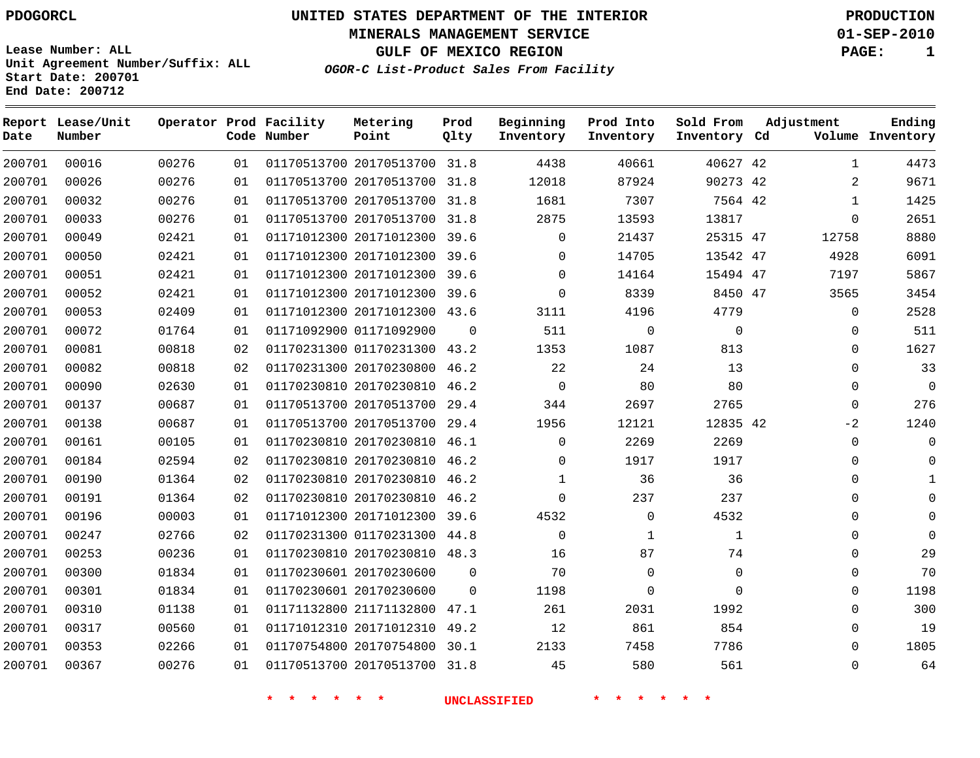**End Date: 200712**

# **UNITED STATES DEPARTMENT OF THE INTERIOR PDOGORCL PRODUCTION**

**MINERALS MANAGEMENT SERVICE 01-SEP-2010**

**GULF OF MEXICO REGION PAGE: 1**

**OGOR-C List-Product Sales From Facility Unit Agreement Number/Suffix: ALL Start Date: 200701**

| Date   | Report Lease/Unit<br>Number |       |    | Operator Prod Facility<br>Code Number | Metering<br>Point            | Prod<br>Qlty | Beginning<br>Inventory | Prod Into<br>Inventory | Sold From<br>Inventory Cd | Adjustment   | Ending<br>Volume Inventory |
|--------|-----------------------------|-------|----|---------------------------------------|------------------------------|--------------|------------------------|------------------------|---------------------------|--------------|----------------------------|
| 200701 | 00016                       | 00276 | 01 |                                       | 01170513700 20170513700 31.8 |              | 4438                   | 40661                  | 40627 42                  |              | 4473<br>$\mathbf{1}$       |
| 200701 | 00026                       | 00276 | 01 |                                       | 01170513700 20170513700      | 31.8         | 12018                  | 87924                  | 90273 42                  |              | 9671<br>2                  |
| 200701 | 00032                       | 00276 | 01 |                                       | 01170513700 20170513700      | 31.8         | 1681                   | 7307                   | 7564 42                   | $\mathbf{1}$ | 1425                       |
| 200701 | 00033                       | 00276 | 01 |                                       | 01170513700 20170513700      | 31.8         | 2875                   | 13593                  | 13817                     | $\Omega$     | 2651                       |
| 200701 | 00049                       | 02421 | 01 |                                       | 01171012300 20171012300      | 39.6         | $\Omega$               | 21437                  | 25315 47                  | 12758        | 8880                       |
| 200701 | 00050                       | 02421 | 01 |                                       | 01171012300 20171012300 39.6 |              | $\Omega$               | 14705                  | 13542 47                  | 4928         | 6091                       |
| 200701 | 00051                       | 02421 | 01 |                                       | 01171012300 20171012300      | 39.6         | $\Omega$               | 14164                  | 15494 47                  | 7197         | 5867                       |
| 200701 | 00052                       | 02421 | 01 |                                       | 01171012300 20171012300 39.6 |              | $\Omega$               | 8339                   | 8450 47                   | 3565         | 3454                       |
| 200701 | 00053                       | 02409 | 01 |                                       | 01171012300 20171012300 43.6 |              | 3111                   | 4196                   | 4779                      |              | $\mathsf{O}$<br>2528       |
| 200701 | 00072                       | 01764 | 01 |                                       | 01171092900 01171092900      | $\Omega$     | 511                    | $\Omega$               | $\Omega$                  |              | 511<br>$\mathbf 0$         |
| 200701 | 00081                       | 00818 | 02 |                                       | 01170231300 01170231300      | 43.2         | 1353                   | 1087                   | 813                       | $\mathbf 0$  | 1627                       |
| 200701 | 00082                       | 00818 | 02 |                                       | 01170231300 20170230800      | 46.2         | 22                     | 24                     | 13                        | $\mathbf 0$  | 33                         |
| 200701 | 00090                       | 02630 | 01 |                                       | 01170230810 20170230810      | 46.2         | $\mathbf 0$            | 80                     | 80                        | $\mathbf 0$  | $\Omega$                   |
| 200701 | 00137                       | 00687 | 01 |                                       | 01170513700 20170513700 29.4 |              | 344                    | 2697                   | 2765                      | $\mathbf 0$  | 276                        |
| 200701 | 00138                       | 00687 | 01 |                                       | 01170513700 20170513700      | 29.4         | 1956                   | 12121                  | 12835 42                  | $-2$         | 1240                       |
| 200701 | 00161                       | 00105 | 01 |                                       | 01170230810 20170230810      | 46.1         | $\Omega$               | 2269                   | 2269                      | $\mathbf 0$  | $\Omega$                   |
| 200701 | 00184                       | 02594 | 02 |                                       | 01170230810 20170230810 46.2 |              | $\Omega$               | 1917                   | 1917                      | $\Omega$     | $\cap$                     |
| 200701 | 00190                       | 01364 | 02 |                                       | 01170230810 20170230810 46.2 |              | $\mathbf{1}$           | 36                     | 36                        | $\Omega$     | $\mathbf{1}$               |
| 200701 | 00191                       | 01364 | 02 |                                       | 01170230810 20170230810      | 46.2         | $\Omega$               | 237                    | 237                       | $\Omega$     | $\cap$                     |
| 200701 | 00196                       | 00003 | 01 |                                       | 01171012300 20171012300      | 39.6         | 4532                   | $\mathbf 0$            | 4532                      | $\Omega$     | $\Omega$                   |
| 200701 | 00247                       | 02766 | 02 |                                       | 01170231300 01170231300      | 44.8         | $\Omega$               | $\mathbf{1}$           | $\mathbf{1}$              | $\Omega$     | $\Omega$                   |
| 200701 | 00253                       | 00236 | 01 |                                       | 01170230810 20170230810 48.3 |              | 16                     | 87                     | 74                        | $\mathbf 0$  | 29                         |
| 200701 | 00300                       | 01834 | 01 |                                       | 01170230601 20170230600      | $\Omega$     | 70                     | $\Omega$               | $\Omega$                  | $\mathbf 0$  | 70                         |
| 200701 | 00301                       | 01834 | 01 |                                       | 01170230601 20170230600      | $\Omega$     | 1198                   | $\mathbf 0$            | $\Omega$                  | $\mathbf 0$  | 1198                       |
| 200701 | 00310                       | 01138 | 01 |                                       | 01171132800 21171132800      | 47.1         | 261                    | 2031                   | 1992                      | $\mathbf 0$  | 300                        |
| 200701 | 00317                       | 00560 | 01 |                                       | 01171012310 20171012310      | 49.2         | 12                     | 861                    | 854                       | $\mathbf 0$  | 19                         |
| 200701 | 00353                       | 02266 | 01 |                                       | 01170754800 20170754800      | 30.1         | 2133                   | 7458                   | 7786                      | $\Omega$     | 1805                       |
| 200701 | 00367                       | 00276 | 01 |                                       | 01170513700 20170513700      | 31.8         | 45                     | 580                    | 561                       | $\Omega$     | 64                         |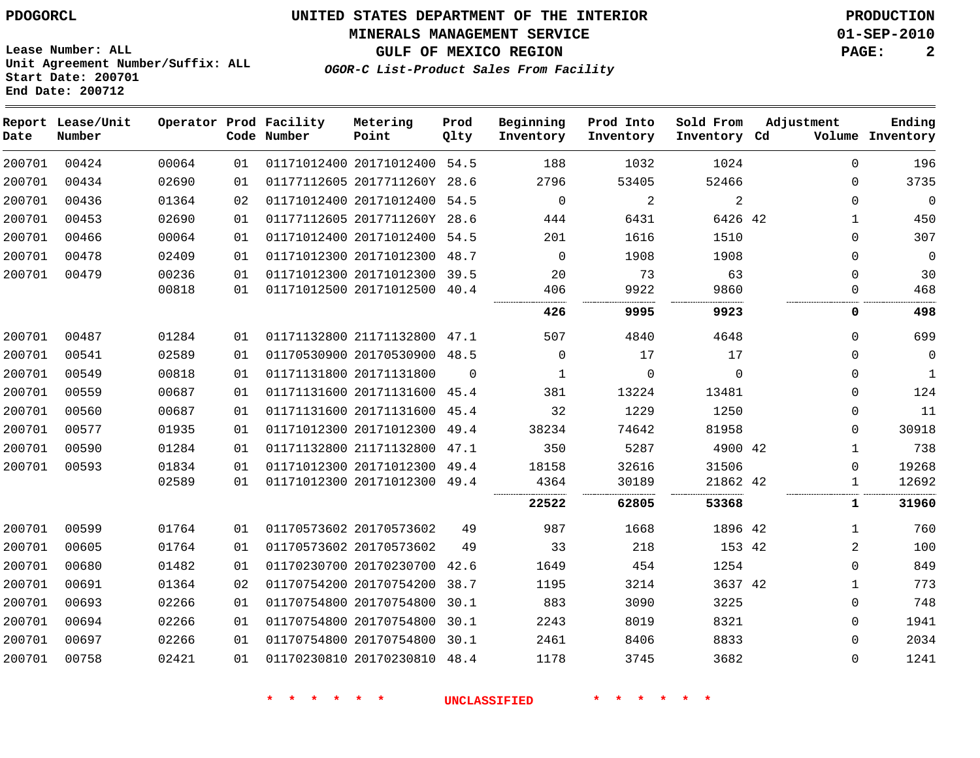**MINERALS MANAGEMENT SERVICE 01-SEP-2010**

**GULF OF MEXICO REGION PAGE: 2**

**Lease Number: ALL Unit Agreement Number/Suffix: ALL Start Date: 200701 End Date: 200712**

**OGOR-C List-Product Sales From Facility**

| Date   | Report Lease/Unit<br>Number |       |    | Operator Prod Facility<br>Code Number | Metering<br>Point            | Prod<br>Qlty | Beginning<br>Inventory | Prod Into<br>Inventory | Sold From<br>Inventory Cd | Adjustment | Ending<br>Volume Inventory |
|--------|-----------------------------|-------|----|---------------------------------------|------------------------------|--------------|------------------------|------------------------|---------------------------|------------|----------------------------|
| 200701 | 00424                       | 00064 | 01 |                                       | 01171012400 20171012400 54.5 |              | 188                    | 1032                   | 1024                      |            | $\Omega$<br>196            |
| 200701 | 00434                       | 02690 | 01 |                                       | 01177112605 2017711260Y      | 28.6         | 2796                   | 53405                  | 52466                     |            | 3735<br>$\Omega$           |
| 200701 | 00436                       | 01364 | 02 |                                       | 01171012400 20171012400 54.5 |              | $\Omega$               | $\overline{2}$         | $\overline{2}$            |            | $\Omega$<br>$\Omega$       |
| 200701 | 00453                       | 02690 | 01 |                                       | 01177112605 2017711260Y 28.6 |              | 444                    | 6431                   | 6426 42                   |            | 450<br>$\mathbf{1}$        |
| 200701 | 00466                       | 00064 | 01 |                                       | 01171012400 20171012400 54.5 |              | 201                    | 1616                   | 1510                      |            | 307<br>$\Omega$            |
| 200701 | 00478                       | 02409 | 01 |                                       | 01171012300 20171012300      | 48.7         | $\Omega$               | 1908                   | 1908                      |            | $\Omega$<br>$\Omega$       |
| 200701 | 00479                       | 00236 | 01 |                                       | 01171012300 20171012300 39.5 |              | 20                     | 73                     | 63                        |            | $\Omega$<br>30             |
|        |                             | 00818 | 01 |                                       | 01171012500 20171012500 40.4 |              | 406                    | 9922                   | 9860                      |            | 468<br>$\Omega$            |
|        |                             |       |    |                                       |                              |              | 426                    | 9995                   | 9923                      |            | 498<br>0                   |
| 200701 | 00487                       | 01284 | 01 |                                       | 01171132800 21171132800 47.1 |              | 507                    | 4840                   | 4648                      |            | 699<br>$\Omega$            |
| 200701 | 00541                       | 02589 | 01 |                                       | 01170530900 20170530900      | 48.5         | $\Omega$               | 17                     | 17                        |            | $\mathbf{0}$<br>$\Omega$   |
| 200701 | 00549                       | 00818 | 01 |                                       | 01171131800 20171131800      | $\Omega$     | 1                      | $\Omega$               | $\Omega$                  |            | $\Omega$<br>$\mathbf{1}$   |
| 200701 | 00559                       | 00687 | 01 |                                       | 01171131600 20171131600      | 45.4         | 381                    | 13224                  | 13481                     |            | 124<br>$\Omega$            |
| 200701 | 00560                       | 00687 | 01 |                                       | 01171131600 20171131600      | 45.4         | 32                     | 1229                   | 1250                      |            | 11<br>$\Omega$             |
| 200701 | 00577                       | 01935 | 01 |                                       | 01171012300 20171012300      | 49.4         | 38234                  | 74642                  | 81958                     |            | 30918<br>0                 |
| 200701 | 00590                       | 01284 | 01 |                                       | 01171132800 21171132800      | 47.1         | 350                    | 5287                   | 4900 42                   |            | 738<br>1                   |
| 200701 | 00593                       | 01834 | 01 |                                       | 01171012300 20171012300      | 49.4         | 18158                  | 32616                  | 31506                     |            | 19268<br>$\mathbf 0$       |
|        |                             | 02589 | 01 |                                       | 01171012300 20171012300 49.4 |              | 4364                   | 30189                  | 21862 42                  |            | 12692<br>1                 |
|        |                             |       |    |                                       |                              |              | 22522                  | 62805                  | 53368                     |            | 31960<br>1                 |
| 200701 | 00599                       | 01764 | 01 |                                       | 01170573602 20170573602      | 49           | 987                    | 1668                   | 1896 42                   |            | 760<br>1                   |
| 200701 | 00605                       | 01764 | 01 |                                       | 01170573602 20170573602      | 49           | 33                     | 218                    | 153 42                    |            | 2<br>100                   |
| 200701 | 00680                       | 01482 | 01 |                                       | 01170230700 20170230700 42.6 |              | 1649                   | 454                    | 1254                      |            | 849<br>0                   |
| 200701 | 00691                       | 01364 | 02 |                                       | 01170754200 20170754200      | 38.7         | 1195                   | 3214                   | 3637 42                   |            | 773<br>1                   |
| 200701 | 00693                       | 02266 | 01 |                                       | 01170754800 20170754800      | 30.1         | 883                    | 3090                   | 3225                      |            | 748<br>$\mathbf 0$         |
| 200701 | 00694                       | 02266 | 01 |                                       | 01170754800 20170754800      | 30.1         | 2243                   | 8019                   | 8321                      |            | 1941<br>0                  |
| 200701 | 00697                       | 02266 | 01 |                                       | 01170754800 20170754800      | 30.1         | 2461                   | 8406                   | 8833                      |            | 2034<br>$\Omega$           |
| 200701 | 00758                       | 02421 | 01 |                                       | 01170230810 20170230810 48.4 |              | 1178                   | 3745                   | 3682                      |            | 1241<br>$\Omega$           |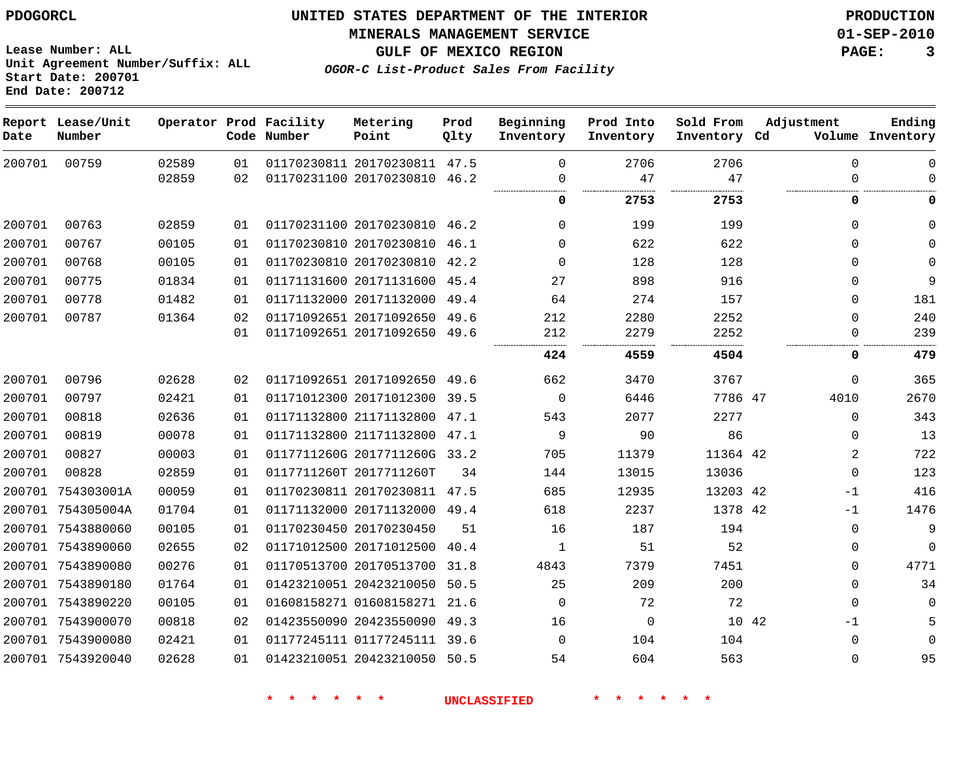**Start Date: 200701**

**Unit Agreement Number/Suffix: ALL**

# **UNITED STATES DEPARTMENT OF THE INTERIOR PDOGORCL PRODUCTION**

**MINERALS MANAGEMENT SERVICE 01-SEP-2010**

**GULF OF MEXICO REGION PAGE: 3**

**OGOR-C List-Product Sales From Facility**

|        | End Date: 200712            |       |    |                                       |                              |              |                        |                        |                           |             |                            |
|--------|-----------------------------|-------|----|---------------------------------------|------------------------------|--------------|------------------------|------------------------|---------------------------|-------------|----------------------------|
| Date   | Report Lease/Unit<br>Number |       |    | Operator Prod Facility<br>Code Number | Metering<br>Point            | Prod<br>Qlty | Beginning<br>Inventory | Prod Into<br>Inventory | Sold From<br>Inventory Cd | Adjustment  | Ending<br>Volume Inventory |
| 200701 | 00759                       | 02589 | 01 |                                       | 01170230811 20170230811 47.5 |              | $\Omega$               | 2706                   | 2706                      | $\Omega$    | $\mathbf 0$                |
|        |                             | 02859 | 02 |                                       | 01170231100 20170230810      | 46.2         | 0                      | 47                     | 47                        | $\Omega$    | $\mathbf 0$                |
|        |                             |       |    |                                       |                              |              | 0                      | 2753                   | 2753                      | 0           | 0                          |
| 200701 | 00763                       | 02859 | 01 |                                       | 01170231100 20170230810      | 46.2         | $\mathbf 0$            | 199                    | 199                       | $\Omega$    | $\mathbf 0$                |
| 200701 | 00767                       | 00105 | 01 |                                       | 01170230810 20170230810      | 46.1         | $\Omega$               | 622                    | 622                       | $\Omega$    | $\mathbf 0$                |
| 200701 | 00768                       | 00105 | 01 |                                       | 01170230810 20170230810      | 42.2         | $\Omega$               | 128                    | 128                       | $\Omega$    | $\Omega$                   |
| 200701 | 00775                       | 01834 | 01 |                                       | 01171131600 20171131600 45.4 |              | 27                     | 898                    | 916                       | $\Omega$    | 9                          |
| 200701 | 00778                       | 01482 | 01 |                                       | 01171132000 20171132000      | 49.4         | 64                     | 274                    | 157                       | $\Omega$    | 181                        |
| 200701 | 00787                       | 01364 | 02 |                                       | 01171092651 20171092650      | 49.6         | 212                    | 2280                   | 2252                      | $\mathbf 0$ | 240                        |
|        |                             |       | 01 |                                       | 01171092651 20171092650      | 49.6         | 212                    | 2279                   | 2252                      | $\Omega$    | 239                        |
|        |                             |       |    |                                       |                              |              | 424                    | 4559                   | 4504                      | 0           | 479                        |
| 200701 | 00796                       | 02628 | 02 |                                       | 01171092651 20171092650      | 49.6         | 662                    | 3470                   | 3767                      | $\Omega$    | 365                        |
| 200701 | 00797                       | 02421 | 01 |                                       | 01171012300 20171012300 39.5 |              | $\mathbf 0$            | 6446                   | 7786 47                   | 4010        | 2670                       |
| 200701 | 00818                       | 02636 | 01 |                                       | 01171132800 21171132800      | 47.1         | 543                    | 2077                   | 2277                      | $\Omega$    | 343                        |
| 200701 | 00819                       | 00078 | 01 |                                       | 01171132800 21171132800 47.1 |              | 9                      | 90                     | 86                        | 0           | 13                         |
| 200701 | 00827                       | 00003 | 01 |                                       | 0117711260G 2017711260G      | 33.2         | 705                    | 11379                  | 11364 42                  | 2           | 722                        |
| 200701 | 00828                       | 02859 | 01 |                                       | 0117711260T 2017711260T      | 34           | 144                    | 13015                  | 13036                     | $\Omega$    | 123                        |
|        | 200701 754303001A           | 00059 | 01 |                                       | 01170230811 20170230811 47.5 |              | 685                    | 12935                  | 13203 42                  | $-1$        | 416                        |
|        | 200701 754305004A           | 01704 | 01 |                                       | 01171132000 20171132000 49.4 |              | 618                    | 2237                   | 1378 42                   | $-1$        | 1476                       |
|        | 200701 7543880060           | 00105 | 01 |                                       | 01170230450 20170230450      | 51           | 16                     | 187                    | 194                       | $\Omega$    | 9                          |
|        | 200701 7543890060           | 02655 | 02 |                                       | 01171012500 20171012500      | 40.4         | $\mathbf{1}$           | 51                     | 52                        | 0           | $\mathbf 0$                |
|        | 200701 7543890080           | 00276 | 01 |                                       | 01170513700 20170513700      | 31.8         | 4843                   | 7379                   | 7451                      | $\Omega$    | 4771                       |
|        | 200701 7543890180           | 01764 | 01 |                                       | 01423210051 20423210050      | 50.5         | 25                     | 209                    | 200                       | $\Omega$    | 34                         |
|        | 200701 7543890220           | 00105 | 01 |                                       | 01608158271 01608158271 21.6 |              | $\mathbf 0$            | 72                     | 72                        | $\Omega$    | $\Omega$                   |
|        | 200701 7543900070           | 00818 | 02 |                                       | 01423550090 20423550090 49.3 |              | 16                     | $\mathbf 0$            | 10 42                     | $-1$        | 5                          |
|        | 200701 7543900080           | 02421 | 01 |                                       | 01177245111 01177245111      | 39.6         | 0                      | 104                    | 104                       | $\mathbf 0$ | $\mathbf 0$                |
|        | 200701 7543920040           | 02628 | 01 |                                       | 01423210051 20423210050      | 50.5         | 54                     | 604                    | 563                       | $\Omega$    | 95                         |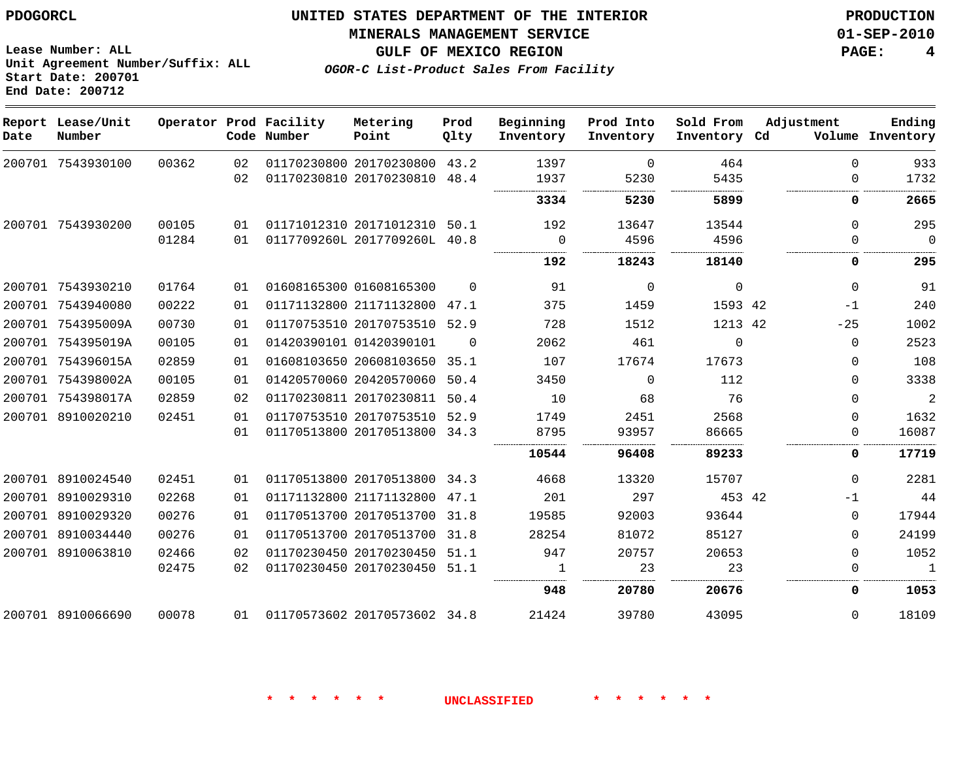**Start Date: 200701 End Date: 200712**

**Unit Agreement Number/Suffix: ALL**

# **UNITED STATES DEPARTMENT OF THE INTERIOR PDOGORCL PRODUCTION**

#### **MINERALS MANAGEMENT SERVICE 01-SEP-2010**

**GULF OF MEXICO REGION PAGE: 4**

**OGOR-C List-Product Sales From Facility**

| Date | Report Lease/Unit<br>Number |       |    | Operator Prod Facility<br>Code Number | Metering<br>Point            | Prod<br>Qlty | Beginning<br>Inventory | Prod Into<br>Inventory | Sold From<br>Inventory Cd | Adjustment  | Ending<br>Volume Inventory |
|------|-----------------------------|-------|----|---------------------------------------|------------------------------|--------------|------------------------|------------------------|---------------------------|-------------|----------------------------|
|      | 200701 7543930100           | 00362 | 02 |                                       | 01170230800 20170230800 43.2 |              | 1397                   | $\Omega$               | 464                       | $\Omega$    | 933                        |
|      |                             |       | 02 |                                       | 01170230810 20170230810      | 48.4         | 1937                   | 5230                   | 5435                      | $\Omega$    | 1732                       |
|      |                             |       |    |                                       |                              |              | 3334                   | 5230                   | 5899                      | 0           | 2665                       |
|      | 200701 7543930200           | 00105 | 01 |                                       | 01171012310 20171012310      | 50.1         | 192                    | 13647                  | 13544                     | $\Omega$    | 295                        |
|      |                             | 01284 | 01 |                                       | 0117709260L 2017709260L 40.8 |              | 0                      | 4596                   | 4596                      |             | $\Omega$                   |
|      |                             |       |    |                                       |                              |              | <br>192                | 18243                  | .<br>18140                | O           | 295                        |
|      | 200701 7543930210           | 01764 | 01 |                                       | 01608165300 01608165300      | $\Omega$     | 91                     | $\Omega$               | $\Omega$                  | $\Omega$    | 91                         |
|      | 200701 7543940080           | 00222 | 01 |                                       | 01171132800 21171132800      | 47.1         | 375                    | 1459                   | 1593 42                   | $-1$        | 240                        |
|      | 200701 754395009A           | 00730 | 01 |                                       | 01170753510 20170753510      | 52.9         | 728                    | 1512                   | 1213 42                   | $-25$       | 1002                       |
|      | 200701 754395019A           | 00105 | 01 |                                       | 01420390101 01420390101      | $\Omega$     | 2062                   | 461                    | $\Omega$                  | $\Omega$    | 2523                       |
|      | 200701 754396015A           | 02859 | 01 |                                       | 01608103650 20608103650      | 35.1         | 107                    | 17674                  | 17673                     | $\Omega$    | 108                        |
|      | 200701 754398002A           | 00105 | 01 |                                       | 01420570060 20420570060      | 50.4         | 3450                   | $\Omega$               | 112                       | $\Omega$    | 3338                       |
|      | 200701 754398017A           | 02859 | 02 |                                       | 01170230811 20170230811      | 50.4         | 10                     | 68                     | 76                        | $\Omega$    | $\overline{2}$             |
|      | 200701 8910020210           | 02451 | 01 |                                       | 01170753510 20170753510 52.9 |              | 1749                   | 2451                   | 2568                      | $\Omega$    | 1632                       |
|      |                             |       | 01 |                                       | 01170513800 20170513800 34.3 |              | 8795                   | 93957                  | 86665                     | $\mathbf 0$ | 16087                      |
|      |                             |       |    |                                       |                              |              | 10544                  | 96408                  | 89233                     | 0           | 17719                      |
|      | 200701 8910024540           | 02451 | 01 |                                       | 01170513800 20170513800 34.3 |              | 4668                   | 13320                  | 15707                     | $\Omega$    | 2281                       |
|      | 200701 8910029310           | 02268 | 01 |                                       | 01171132800 21171132800      | 47.1         | 201                    | 297                    | 453 42                    | -1          | 44                         |
|      | 200701 8910029320           | 00276 | 01 |                                       | 01170513700 20170513700      | 31.8         | 19585                  | 92003                  | 93644                     | $\Omega$    | 17944                      |
|      | 200701 8910034440           | 00276 | 01 |                                       | 01170513700 20170513700      | 31.8         | 28254                  | 81072                  | 85127                     | $\Omega$    | 24199                      |
|      | 200701 8910063810           | 02466 | 02 |                                       | 01170230450 20170230450      | 51.1         | 947                    | 20757                  | 20653                     | $\Omega$    | 1052                       |
|      |                             | 02475 | 02 |                                       | 01170230450 20170230450      | 51.1         | 1                      | 23                     | 23                        | $\Omega$    | 1                          |
|      |                             |       |    |                                       |                              |              | 948                    | 20780                  | 20676                     | 0           | 1053                       |
|      | 200701 8910066690           | 00078 | 01 |                                       | 01170573602 20170573602 34.8 |              | 21424                  | 39780                  | 43095                     | $\Omega$    | 18109                      |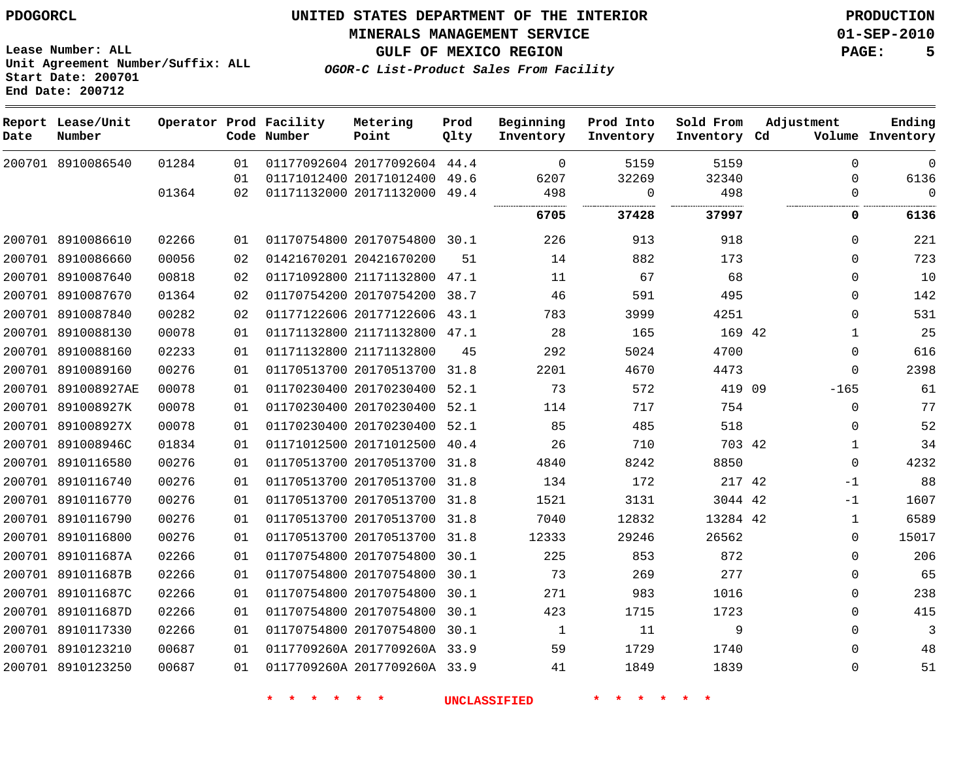**MINERALS MANAGEMENT SERVICE 01-SEP-2010**

**Lease Number: ALL Unit Agreement Number/Suffix: ALL Start Date: 200701 End Date: 200712**

**OGOR-C List-Product Sales From Facility**

**GULF OF MEXICO REGION PAGE: 5**

| Date   | Report Lease/Unit<br>Number |       |    | Operator Prod Facility<br>Code Number | Metering<br>Point            | Prod<br>Qlty | Beginning<br>Inventory | Prod Into<br>Inventory | Sold From<br>Inventory Cd | Adjustment   | Ending<br>Volume Inventory |
|--------|-----------------------------|-------|----|---------------------------------------|------------------------------|--------------|------------------------|------------------------|---------------------------|--------------|----------------------------|
|        | 200701 8910086540           | 01284 | 01 |                                       | 01177092604 20177092604      | 44.4         | $\Omega$               | 5159                   | 5159                      | $\Omega$     | $\mathbf 0$                |
|        |                             |       | 01 |                                       | 01171012400 20171012400      | 49.6         | 6207                   | 32269                  | 32340                     | $\Omega$     | 6136                       |
|        |                             | 01364 | 02 |                                       | 01171132000 20171132000 49.4 |              | 498                    | $\Omega$               | 498                       | $\Omega$     | $\Omega$                   |
|        |                             |       |    |                                       |                              |              | 6705                   | 37428                  | 37997                     | 0            | 6136                       |
|        | 200701 8910086610           | 02266 | 01 |                                       | 01170754800 20170754800 30.1 |              | 226                    | 913                    | 918                       | $\mathbf 0$  | 221                        |
|        | 200701 8910086660           | 00056 | 02 |                                       | 01421670201 20421670200      | 51           | 14                     | 882                    | 173                       | $\mathbf 0$  | 723                        |
|        | 200701 8910087640           | 00818 | 02 |                                       | 01171092800 21171132800 47.1 |              | 11                     | 67                     | 68                        | $\Omega$     | 10                         |
|        | 200701 8910087670           | 01364 | 02 |                                       | 01170754200 20170754200      | 38.7         | 46                     | 591                    | 495                       | $\mathbf 0$  | 142                        |
|        | 200701 8910087840           | 00282 | 02 |                                       | 01177122606 20177122606      | 43.1         | 783                    | 3999                   | 4251                      | $\Omega$     | 531                        |
|        | 200701 8910088130           | 00078 | 01 |                                       | 01171132800 21171132800 47.1 |              | 28                     | 165                    | 169 42                    | $\mathbf{1}$ | 25                         |
|        | 200701 8910088160           | 02233 | 01 |                                       | 01171132800 21171132800      | 45           | 292                    | 5024                   | 4700                      | $\mathbf 0$  | 616                        |
| 200701 | 8910089160                  | 00276 | 01 |                                       | 01170513700 20170513700      | 31.8         | 2201                   | 4670                   | 4473                      | $\mathbf 0$  | 2398                       |
|        | 200701 891008927AE          | 00078 | 01 |                                       | 01170230400 20170230400      | 52.1         | 73                     | 572                    | 419 09                    | $-165$       | 61                         |
|        | 200701 891008927K           | 00078 | 01 |                                       | 01170230400 20170230400      | 52.1         | 114                    | 717                    | 754                       | $\Omega$     | 77                         |
|        | 200701 891008927X           | 00078 | 01 |                                       | 01170230400 20170230400      | 52.1         | 85                     | 485                    | 518                       | $\Omega$     | 52                         |
|        | 200701 891008946C           | 01834 | 01 |                                       | 01171012500 20171012500      | 40.4         | 26                     | 710                    | 703 42                    | 1            | 34                         |
|        | 200701 8910116580           | 00276 | 01 |                                       | 01170513700 20170513700 31.8 |              | 4840                   | 8242                   | 8850                      | $\mathbf 0$  | 4232                       |
|        | 200701 8910116740           | 00276 | 01 |                                       | 01170513700 20170513700 31.8 |              | 134                    | 172                    | 217 42                    | -1           | 88                         |
|        | 200701 8910116770           | 00276 | 01 |                                       | 01170513700 20170513700      | 31.8         | 1521                   | 3131                   | 3044 42                   | $-1$         | 1607                       |
|        | 200701 8910116790           | 00276 | 01 |                                       | 01170513700 20170513700 31.8 |              | 7040                   | 12832                  | 13284 42                  | $\mathbf{1}$ | 6589                       |
|        | 200701 8910116800           | 00276 | 01 |                                       | 01170513700 20170513700 31.8 |              | 12333                  | 29246                  | 26562                     | $\mathbf 0$  | 15017                      |
|        | 200701 891011687A           | 02266 | 01 |                                       | 01170754800 20170754800      | 30.1         | 225                    | 853                    | 872                       | $\mathbf 0$  | 206                        |
|        | 200701 891011687B           | 02266 | 01 |                                       | 01170754800 20170754800      | 30.1         | 73                     | 269                    | 277                       | $\Omega$     | 65                         |
|        | 200701 891011687C           | 02266 | 01 |                                       | 01170754800 20170754800      | 30.1         | 271                    | 983                    | 1016                      | $\Omega$     | 238                        |
|        | 200701 891011687D           | 02266 | 01 |                                       | 01170754800 20170754800 30.1 |              | 423                    | 1715                   | 1723                      | $\Omega$     | 415                        |
|        | 200701 8910117330           | 02266 | 01 |                                       | 01170754800 20170754800 30.1 |              | 1                      | 11                     | 9                         | $\mathbf 0$  | 3                          |
|        | 200701 8910123210           | 00687 | 01 |                                       | 0117709260A 2017709260A 33.9 |              | 59                     | 1729                   | 1740                      | $\mathbf 0$  | 48                         |
|        | 200701 8910123250           | 00687 | 01 |                                       | 0117709260A 2017709260A 33.9 |              | 41                     | 1849                   | 1839                      | $\Omega$     | 51                         |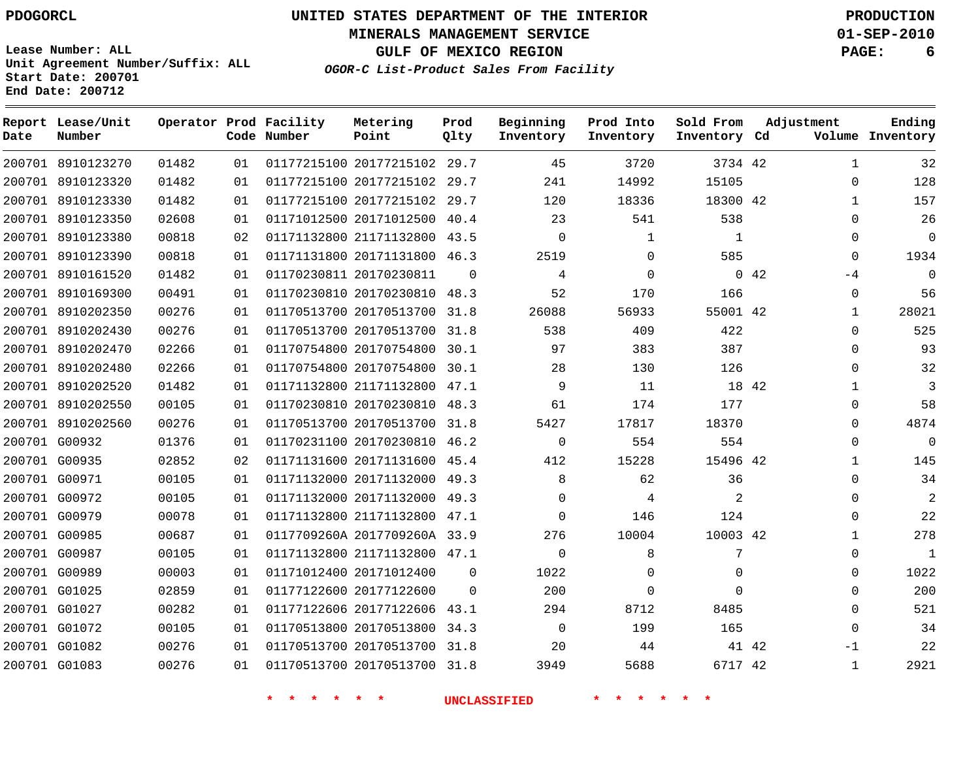**Start Date: 200701 End Date: 200712**

**Unit Agreement Number/Suffix: ALL**

# **UNITED STATES DEPARTMENT OF THE INTERIOR PDOGORCL PRODUCTION**

**MINERALS MANAGEMENT SERVICE 01-SEP-2010**

**GULF OF MEXICO REGION PAGE: 6**

**OGOR-C List-Product Sales From Facility**

| Date   | Report Lease/Unit<br>Number |       |    | Operator Prod Facility<br>Code Number | Metering<br>Point            | Prod<br>Olty | Beginning<br>Inventory | Prod Into<br>Inventory | Sold From<br>Inventory Cd | Adjustment    | Ending<br>Volume Inventory |
|--------|-----------------------------|-------|----|---------------------------------------|------------------------------|--------------|------------------------|------------------------|---------------------------|---------------|----------------------------|
|        | 200701 8910123270           | 01482 | 01 |                                       | 01177215100 20177215102      | 29.7         | 45                     | 3720                   | 3734 42                   | $\mathbf{1}$  | 32                         |
|        | 200701 8910123320           | 01482 | 01 |                                       | 01177215100 20177215102      | 29.7         | 241                    | 14992                  | 15105                     | $\Omega$      | 128                        |
|        | 200701 8910123330           | 01482 | 01 |                                       | 01177215100 20177215102      | 29.7         | 120                    | 18336                  | 18300 42                  | $\mathbf{1}$  | 157                        |
|        | 200701 8910123350           | 02608 | 01 |                                       | 01171012500 20171012500      | 40.4         | 23                     | 541                    | 538                       | $\Omega$      | 26                         |
|        | 200701 8910123380           | 00818 | 02 |                                       | 01171132800 21171132800      | 43.5         | 0                      | 1                      | 1                         | $\Omega$      | $\Omega$                   |
| 200701 | 8910123390                  | 00818 | 01 |                                       | 01171131800 20171131800      | 46.3         | 2519                   | $\Omega$               | 585                       | $\Omega$      | 1934                       |
|        | 200701 8910161520           | 01482 | 01 |                                       | 01170230811 20170230811      | $\Omega$     | 4                      | $\Omega$               |                           | 0.42<br>$-4$  | $\mathbf 0$                |
|        | 200701 8910169300           | 00491 | 01 |                                       | 01170230810 20170230810      | 48.3         | 52                     | 170                    | 166                       | $\Omega$      | 56                         |
|        | 200701 8910202350           | 00276 | 01 |                                       | 01170513700 20170513700      | 31.8         | 26088                  | 56933                  | 55001 42                  | $\mathbf{1}$  | 28021                      |
|        | 200701 8910202430           | 00276 | 01 |                                       | 01170513700 20170513700      | 31.8         | 538                    | 409                    | 422                       | $\Omega$      | 525                        |
|        | 200701 8910202470           | 02266 | 01 |                                       | 01170754800 20170754800      | 30.1         | 97                     | 383                    | 387                       | $\Omega$      | 93                         |
|        | 200701 8910202480           | 02266 | 01 |                                       | 01170754800 20170754800      | 30.1         | 28                     | 130                    | 126                       | $\Omega$      | 32                         |
|        | 200701 8910202520           | 01482 | 01 |                                       | 01171132800 21171132800      | 47.1         | 9                      | 11                     | 18 42                     | $\mathbf{1}$  | 3                          |
|        | 200701 8910202550           | 00105 | 01 |                                       | 01170230810 20170230810      | 48.3         | 61                     | 174                    | 177                       | $\Omega$      | 58                         |
|        | 200701 8910202560           | 00276 | 01 |                                       | 01170513700 20170513700      | 31.8         | 5427                   | 17817                  | 18370                     | $\Omega$      | 4874                       |
|        | 200701 G00932               | 01376 | 01 |                                       | 01170231100 20170230810      | 46.2         | $\mathbf 0$            | 554                    | 554                       | $\mathbf 0$   | $\overline{0}$             |
|        | 200701 G00935               | 02852 | 02 |                                       | 01171131600 20171131600      | 45.4         | 412                    | 15228                  | 15496 42                  | $\mathbf{1}$  | 145                        |
|        | 200701 G00971               | 00105 | 01 |                                       | 01171132000 20171132000      | 49.3         | 8                      | 62                     | 36                        | $\Omega$      | 34                         |
|        | 200701 G00972               | 00105 | 01 |                                       | 01171132000 20171132000      | 49.3         | $\mathbf 0$            | 4                      | 2                         | $\Omega$      | 2                          |
|        | 200701 G00979               | 00078 | 01 |                                       | 01171132800 21171132800      | 47.1         | $\Omega$               | 146                    | 124                       | $\Omega$      | 22                         |
|        | 200701 G00985               | 00687 | 01 |                                       | 0117709260A 2017709260A 33.9 |              | 276                    | 10004                  | 10003 42                  | 1             | 278                        |
|        | 200701 G00987               | 00105 | 01 |                                       | 01171132800 21171132800 47.1 |              | $\mathbf 0$            | 8                      | $\overline{7}$            | $\Omega$      | $\mathbf{1}$               |
|        | 200701 G00989               | 00003 | 01 |                                       | 01171012400 20171012400      | $\Omega$     | 1022                   | $\mathbf 0$            | $\mathbf 0$               | $\Omega$      | 1022                       |
|        | 200701 G01025               | 02859 | 01 |                                       | 01177122600 20177122600      | $\Omega$     | 200                    | $\Omega$               | $\Omega$                  | $\Omega$      | 200                        |
|        | 200701 G01027               | 00282 | 01 |                                       | 01177122606 20177122606      | 43.1         | 294                    | 8712                   | 8485                      | $\Omega$      | 521                        |
|        | 200701 G01072               | 00105 | 01 |                                       | 01170513800 20170513800      | 34.3         | $\mathbf 0$            | 199                    | 165                       | $\Omega$      | 34                         |
|        | 200701 G01082               | 00276 | 01 |                                       | 01170513700 20170513700      | 31.8         | 20                     | 44                     |                           | 41 42<br>$-1$ | 22                         |
|        | 200701 G01083               | 00276 | 01 |                                       | 01170513700 20170513700      | 31.8         | 3949                   | 5688                   | 6717 42                   | $\mathbf{1}$  | 2921                       |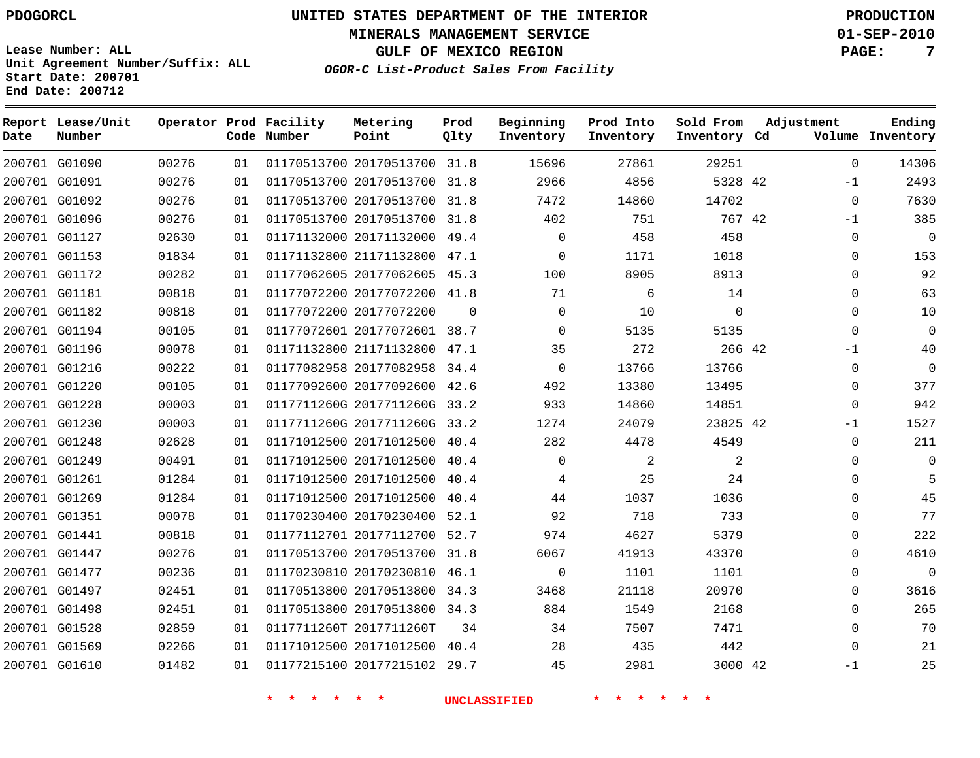**Start Date: 200701 End Date: 200712**

**Unit Agreement Number/Suffix: ALL**

# **UNITED STATES DEPARTMENT OF THE INTERIOR PDOGORCL PRODUCTION**

**MINERALS MANAGEMENT SERVICE 01-SEP-2010**

**GULF OF MEXICO REGION PAGE: 7**

**OGOR-C List-Product Sales From Facility**

| Date | Report Lease/Unit<br>Number |       |    | Operator Prod Facility<br>Code Number | Metering<br>Point            | Prod<br>Olty | Beginning<br>Inventory | Prod Into<br>Inventory | Sold From<br>Inventory Cd | Adjustment |             | Ending<br>Volume Inventory |
|------|-----------------------------|-------|----|---------------------------------------|------------------------------|--------------|------------------------|------------------------|---------------------------|------------|-------------|----------------------------|
|      | 200701 G01090               | 00276 | 01 |                                       | 01170513700 20170513700 31.8 |              | 15696                  | 27861                  | 29251                     |            | $\Omega$    | 14306                      |
|      | 200701 G01091               | 00276 | 01 |                                       | 01170513700 20170513700      | 31.8         | 2966                   | 4856                   | 5328 42                   |            | $-1$        | 2493                       |
|      | 200701 G01092               | 00276 | 01 |                                       | 01170513700 20170513700      | 31.8         | 7472                   | 14860                  | 14702                     |            | $\mathbf 0$ | 7630                       |
|      | 200701 G01096               | 00276 | 01 |                                       | 01170513700 20170513700      | 31.8         | 402                    | 751                    | 767 42                    |            | $-1$        | 385                        |
|      | 200701 G01127               | 02630 | 01 |                                       | 01171132000 20171132000      | 49.4         | $\mathsf{O}$           | 458                    | 458                       |            | $\mathbf 0$ | $\overline{0}$             |
|      | 200701 G01153               | 01834 | 01 |                                       | 01171132800 21171132800      | 47.1         | $\mathbf 0$            | 1171                   | 1018                      |            | $\Omega$    | 153                        |
|      | 200701 G01172               | 00282 | 01 |                                       | 01177062605 20177062605      | 45.3         | 100                    | 8905                   | 8913                      |            | $\Omega$    | 92                         |
|      | 200701 G01181               | 00818 | 01 |                                       | 01177072200 20177072200      | 41.8         | 71                     | 6                      | 14                        |            | $\Omega$    | 63                         |
|      | 200701 G01182               | 00818 | 01 |                                       | 01177072200 20177072200      | $\Omega$     | $\mathbf 0$            | 10                     | $\mathbf 0$               |            | $\Omega$    | $10$                       |
|      | 200701 G01194               | 00105 | 01 |                                       | 01177072601 20177072601 38.7 |              | $\mathbf 0$            | 5135                   | 5135                      |            | $\mathbf 0$ | $\overline{0}$             |
|      | 200701 G01196               | 00078 | 01 |                                       | 01171132800 21171132800      | 47.1         | 35                     | 272                    | 266 42                    |            | $-1$        | 40                         |
|      | 200701 G01216               | 00222 | 01 |                                       | 01177082958 20177082958      | 34.4         | $\mathbf 0$            | 13766                  | 13766                     |            | $\Omega$    | $\Omega$                   |
|      | 200701 G01220               | 00105 | 01 |                                       | 01177092600 20177092600      | 42.6         | 492                    | 13380                  | 13495                     |            | $\Omega$    | 377                        |
|      | 200701 G01228               | 00003 | 01 |                                       | 0117711260G 2017711260G      | 33.2         | 933                    | 14860                  | 14851                     |            | $\Omega$    | 942                        |
|      | 200701 G01230               | 00003 | 01 |                                       | 0117711260G 2017711260G      | 33.2         | 1274                   | 24079                  | 23825 42                  |            | $-1$        | 1527                       |
|      | 200701 G01248               | 02628 | 01 |                                       | 01171012500 20171012500      | 40.4         | 282                    | 4478                   | 4549                      |            | $\mathbf 0$ | 211                        |
|      | 200701 G01249               | 00491 | 01 |                                       | 01171012500 20171012500      | 40.4         | $\mathbf 0$            | $\overline{2}$         | $\overline{a}$            |            | $\Omega$    | $\Omega$                   |
|      | 200701 G01261               | 01284 | 01 |                                       | 01171012500 20171012500      | 40.4         | 4                      | 25                     | 24                        |            | $\Omega$    | 5                          |
|      | 200701 G01269               | 01284 | 01 |                                       | 01171012500 20171012500      | 40.4         | 44                     | 1037                   | 1036                      |            | $\Omega$    | 45                         |
|      | 200701 G01351               | 00078 | 01 |                                       | 01170230400 20170230400      | 52.1         | 92                     | 718                    | 733                       |            | $\Omega$    | 77                         |
|      | 200701 G01441               | 00818 | 01 |                                       | 01177112701 20177112700      | 52.7         | 974                    | 4627                   | 5379                      |            | $\Omega$    | 222                        |
|      | 200701 G01447               | 00276 | 01 |                                       | 01170513700 20170513700 31.8 |              | 6067                   | 41913                  | 43370                     |            | $\Omega$    | 4610                       |
|      | 200701 G01477               | 00236 | 01 |                                       | 01170230810 20170230810      | 46.1         | $\mathbf 0$            | 1101                   | 1101                      |            | $\Omega$    | $\overline{0}$             |
|      | 200701 G01497               | 02451 | 01 |                                       | 01170513800 20170513800      | 34.3         | 3468                   | 21118                  | 20970                     |            | $\Omega$    | 3616                       |
|      | 200701 G01498               | 02451 | 01 |                                       | 01170513800 20170513800      | 34.3         | 884                    | 1549                   | 2168                      |            | $\Omega$    | 265                        |
|      | 200701 G01528               | 02859 | 01 |                                       | 0117711260T 2017711260T      | 34           | 34                     | 7507                   | 7471                      |            | $\mathbf 0$ | 70                         |
|      | 200701 G01569               | 02266 | 01 |                                       | 01171012500 20171012500      | 40.4         | 28                     | 435                    | 442                       |            | $\Omega$    | 21                         |
|      | 200701 G01610               | 01482 | 01 |                                       | 01177215100 20177215102      | 29.7         | 45                     | 2981                   | 3000 42                   |            | $-1$        | 25                         |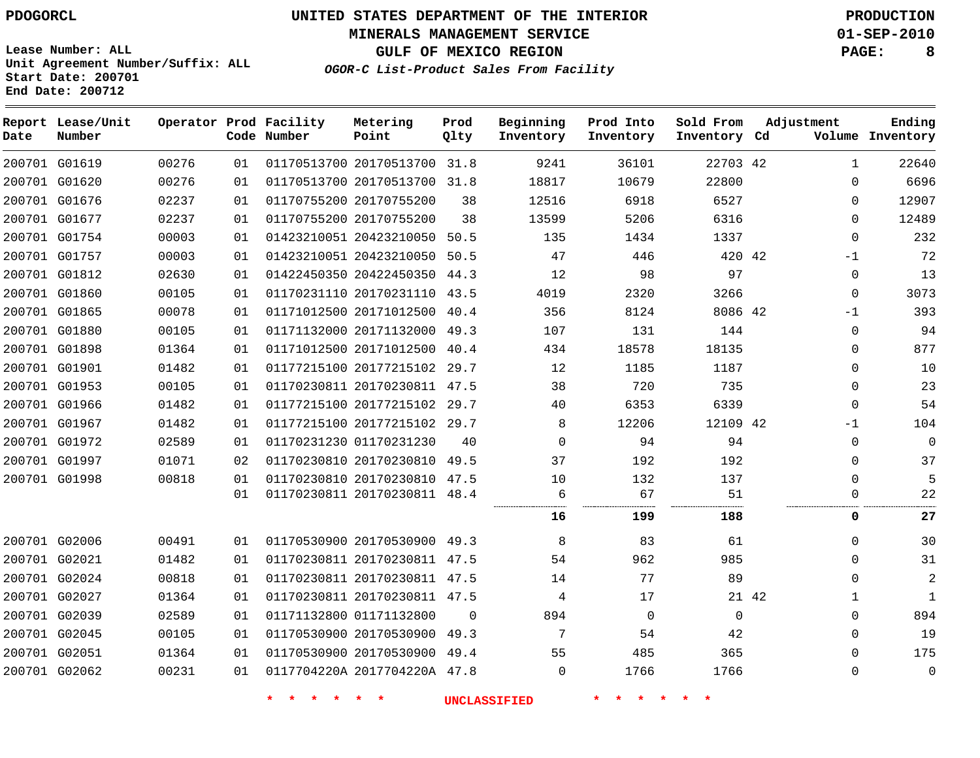# **UNITED STATES DEPARTMENT OF THE INTERIOR PDOGORCL PRODUCTION**

**MINERALS MANAGEMENT SERVICE 01-SEP-2010**

**GULF OF MEXICO REGION PAGE: 8**

**Unit Agreement Number/Suffix: ALL Start Date: 200701 End Date: 200712**

**OGOR-C List-Product Sales From Facility**

| Date | Report Lease/Unit<br>Number |       |    | Operator Prod Facility<br>Code Number | Metering<br>Point            | Prod<br>Qlty | Beginning<br>Inventory | Prod Into<br>Inventory | Sold From<br>Inventory Cd | Adjustment           | Ending<br>Volume Inventory |
|------|-----------------------------|-------|----|---------------------------------------|------------------------------|--------------|------------------------|------------------------|---------------------------|----------------------|----------------------------|
|      | 200701 G01619               | 00276 | 01 |                                       | 01170513700 20170513700      | 31.8         | 9241                   | 36101                  | 22703 42                  | $\mathbf{1}$         | 22640                      |
|      | 200701 G01620               | 00276 | 01 |                                       | 01170513700 20170513700 31.8 |              | 18817                  | 10679                  | 22800                     | $\Omega$             | 6696                       |
|      | 200701 G01676               | 02237 | 01 |                                       | 01170755200 20170755200      | 38           | 12516                  | 6918                   | 6527                      | $\Omega$             | 12907                      |
|      | 200701 G01677               | 02237 | 01 |                                       | 01170755200 20170755200      | 38           | 13599                  | 5206                   | 6316                      | $\Omega$             | 12489                      |
|      | 200701 G01754               | 00003 | 01 |                                       | 01423210051 20423210050 50.5 |              | 135                    | 1434                   | 1337                      | $\Omega$             | 232                        |
|      | 200701 G01757               | 00003 | 01 |                                       | 01423210051 20423210050 50.5 |              | 47                     | 446                    | 420 42                    | $-1$                 | 72                         |
|      | 200701 G01812               | 02630 | 01 |                                       | 01422450350 20422450350 44.3 |              | 12                     | 98                     | 97                        | $\Omega$             | 13                         |
|      | 200701 G01860               | 00105 | 01 |                                       | 01170231110 20170231110      | 43.5         | 4019                   | 2320                   | 3266                      | 0                    | 3073                       |
|      | 200701 G01865               | 00078 | 01 |                                       | 01171012500 20171012500      | 40.4         | 356                    | 8124                   | 8086 42                   | -1                   | 393                        |
|      | 200701 G01880               | 00105 | 01 |                                       | 01171132000 20171132000      | 49.3         | 107                    | 131                    | 144                       | $\Omega$             | 94                         |
|      | 200701 G01898               | 01364 | 01 |                                       | 01171012500 20171012500      | 40.4         | 434                    | 18578                  | 18135                     | $\Omega$             | 877                        |
|      | 200701 G01901               | 01482 | 01 |                                       | 01177215100 20177215102 29.7 |              | 12                     | 1185                   | 1187                      | $\Omega$             | 10                         |
|      | 200701 G01953               | 00105 | 01 |                                       | 01170230811 20170230811 47.5 |              | 38                     | 720                    | 735                       | 0                    | 23                         |
|      | 200701 G01966               | 01482 | 01 |                                       | 01177215100 20177215102 29.7 |              | 40                     | 6353                   | 6339                      | $\Omega$             | 54                         |
|      | 200701 G01967               | 01482 | 01 |                                       | 01177215100 20177215102 29.7 |              | 8                      | 12206                  | 12109 42                  | $-1$                 | 104                        |
|      | 200701 G01972               | 02589 | 01 |                                       | 01170231230 01170231230      | 40           | $\mathbf 0$            | 94                     | 94                        | 0                    | 0                          |
|      | 200701 G01997               | 01071 | 02 |                                       | 01170230810 20170230810      | 49.5         | 37                     | 192                    | 192                       | $\Omega$             | 37                         |
|      | 200701 G01998               | 00818 | 01 |                                       | 01170230810 20170230810 47.5 |              | 10                     | 132                    | 137                       | $\mathbf{0}$         | 5                          |
|      |                             |       | 01 |                                       | 01170230811 20170230811 48.4 |              | 6                      | 67                     | 51                        | $\Omega$             | 22                         |
|      |                             |       |    |                                       |                              |              | 16                     | 199                    | 188                       | 0                    | 27                         |
|      | 200701 G02006               | 00491 | 01 |                                       | 01170530900 20170530900 49.3 |              | 8                      | 83                     | 61                        | $\Omega$             | 30                         |
|      | 200701 G02021               | 01482 | 01 |                                       | 01170230811 20170230811 47.5 |              | 54                     | 962                    | 985                       | $\Omega$             | 31                         |
|      | 200701 G02024               | 00818 | 01 |                                       | 01170230811 20170230811 47.5 |              | 14                     | 77                     | 89                        | $\Omega$             | $\overline{c}$             |
|      | 200701 G02027               | 01364 | 01 |                                       | 01170230811 20170230811 47.5 |              | 4                      | 17                     |                           | 21 42<br>$\mathbf 1$ | $\mathbf{1}$               |
|      | 200701 G02039               | 02589 | 01 |                                       | 01171132800 01171132800      | $\Omega$     | 894                    | 0                      | $\mathsf 0$               | $\mathbf{0}$         | 894                        |
|      | 200701 G02045               | 00105 | 01 |                                       | 01170530900 20170530900 49.3 |              | 7                      | 54                     | 42                        | $\Omega$             | 19                         |
|      | 200701 G02051               | 01364 | 01 |                                       | 01170530900 20170530900 49.4 |              | 55                     | 485                    | 365                       | $\Omega$             | 175                        |
|      | 200701 G02062               | 00231 | 01 |                                       | 0117704220A 2017704220A 47.8 |              | $\Omega$               | 1766                   | 1766                      | 0                    | 0                          |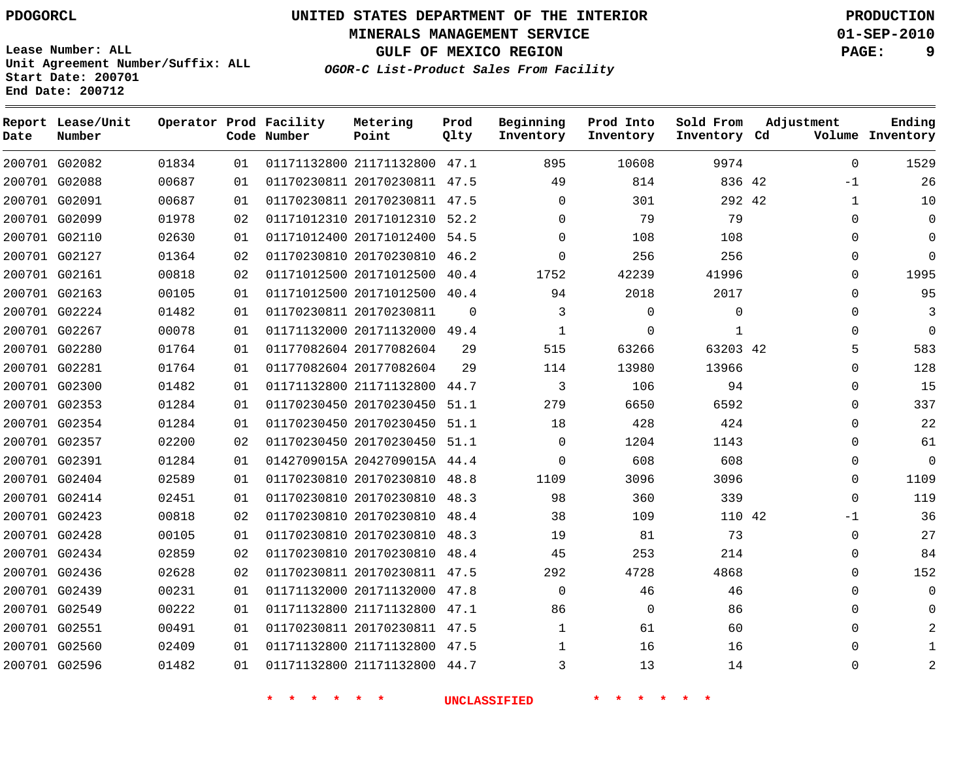**Start Date: 200701 End Date: 200712**

**Unit Agreement Number/Suffix: ALL**

# **UNITED STATES DEPARTMENT OF THE INTERIOR PDOGORCL PRODUCTION**

**MINERALS MANAGEMENT SERVICE 01-SEP-2010**

**GULF OF MEXICO REGION PAGE: 9**

**OGOR-C List-Product Sales From Facility**

| Date | Report Lease/Unit<br>Number |       |    | Operator Prod Facility<br>Code Number | Metering<br>Point            | Prod<br>Qlty | Beginning<br>Inventory | Prod Into<br>Inventory | Sold From<br>Inventory Cd | Adjustment   | Ending<br>Volume Inventory |
|------|-----------------------------|-------|----|---------------------------------------|------------------------------|--------------|------------------------|------------------------|---------------------------|--------------|----------------------------|
|      | 200701 G02082               | 01834 | 01 |                                       | 01171132800 21171132800 47.1 |              | 895                    | 10608                  | 9974                      | $\mathbf 0$  | 1529                       |
|      | 200701 G02088               | 00687 | 01 |                                       | 01170230811 20170230811      | 47.5         | 49                     | 814                    | 836 42                    | $-1$         | 26                         |
|      | 200701 G02091               | 00687 | 01 |                                       | 01170230811 20170230811      | 47.5         | $\Omega$               | 301                    | 292 42                    | $\mathbf{1}$ | 10                         |
|      | 200701 G02099               | 01978 | 02 |                                       | 01171012310 20171012310      | 52.2         | $\Omega$               | 79                     | 79                        | $\Omega$     | $\mathbf 0$                |
|      | 200701 G02110               | 02630 | 01 |                                       | 01171012400 20171012400 54.5 |              | $\Omega$               | 108                    | 108                       | $\mathbf 0$  | $\mathbf 0$                |
|      | 200701 G02127               | 01364 | 02 |                                       | 01170230810 20170230810      | 46.2         | $\mathbf 0$            | 256                    | 256                       | 0            | $\mathbf 0$                |
|      | 200701 G02161               | 00818 | 02 |                                       | 01171012500 20171012500      | 40.4         | 1752                   | 42239                  | 41996                     | $\mathbf 0$  | 1995                       |
|      | 200701 G02163               | 00105 | 01 |                                       | 01171012500 20171012500      | 40.4         | 94                     | 2018                   | 2017                      | 0            | 95                         |
|      | 200701 G02224               | 01482 | 01 |                                       | 01170230811 20170230811      | $\Omega$     | 3                      | $\Omega$               | $\Omega$                  | $\mathbf 0$  | 3                          |
|      | 200701 G02267               | 00078 | 01 |                                       | 01171132000 20171132000 49.4 |              | $\mathbf 1$            | $\Omega$               | $\mathbf{1}$              | $\Omega$     | $\Omega$                   |
|      | 200701 G02280               | 01764 | 01 |                                       | 01177082604 20177082604      | 29           | 515                    | 63266                  | 63203 42                  | 5            | 583                        |
|      | 200701 G02281               | 01764 | 01 |                                       | 01177082604 20177082604      | 29           | 114                    | 13980                  | 13966                     | $\mathbf 0$  | 128                        |
|      | 200701 G02300               | 01482 | 01 |                                       | 01171132800 21171132800      | 44.7         | 3                      | 106                    | 94                        | 0            | 15                         |
|      | 200701 G02353               | 01284 | 01 |                                       | 01170230450 20170230450      | 51.1         | 279                    | 6650                   | 6592                      | $\mathbf 0$  | 337                        |
|      | 200701 G02354               | 01284 | 01 |                                       | 01170230450 20170230450      | 51.1         | 18                     | 428                    | 424                       | $\mathbf 0$  | 22                         |
|      | 200701 G02357               | 02200 | 02 |                                       | 01170230450 20170230450 51.1 |              | $\mathbf 0$            | 1204                   | 1143                      | $\mathbf 0$  | 61                         |
|      | 200701 G02391               | 01284 | 01 |                                       | 0142709015A 2042709015A 44.4 |              | $\Omega$               | 608                    | 608                       | $\Omega$     | $\Omega$                   |
|      | 200701 G02404               | 02589 | 01 |                                       | 01170230810 20170230810 48.8 |              | 1109                   | 3096                   | 3096                      | $\mathbf 0$  | 1109                       |
|      | 200701 G02414               | 02451 | 01 |                                       | 01170230810 20170230810      | 48.3         | 98                     | 360                    | 339                       | $\mathbf 0$  | 119                        |
|      | 200701 G02423               | 00818 | 02 |                                       | 01170230810 20170230810      | 48.4         | 38                     | 109                    | 110 42                    | $-1$         | 36                         |
|      | 200701 G02428               | 00105 | 01 |                                       | 01170230810 20170230810      | 48.3         | 19                     | 81                     | 73                        | $\Omega$     | 27                         |
|      | 200701 G02434               | 02859 | 02 |                                       | 01170230810 20170230810      | 48.4         | 45                     | 253                    | 214                       | $\mathbf 0$  | 84                         |
|      | 200701 G02436               | 02628 | 02 |                                       | 01170230811 20170230811      | 47.5         | 292                    | 4728                   | 4868                      | $\mathbf 0$  | 152                        |
|      | 200701 G02439               | 00231 | 01 |                                       | 01171132000 20171132000 47.8 |              | $\mathbf 0$            | 46                     | 46                        | $\mathbf 0$  | $\mathbf 0$                |
|      | 200701 G02549               | 00222 | 01 |                                       | 01171132800 21171132800      | 47.1         | 86                     | $\Omega$               | 86                        | $\mathbf 0$  | $\Omega$                   |
|      | 200701 G02551               | 00491 | 01 |                                       | 01170230811 20170230811      | 47.5         | 1                      | 61                     | 60                        | $\mathbf 0$  | 2                          |
|      | 200701 G02560               | 02409 | 01 |                                       | 01171132800 21171132800 47.5 |              | 1                      | 16                     | 16                        | $\mathbf 0$  | $\mathbf{1}$               |
|      | 200701 G02596               | 01482 | 01 |                                       | 01171132800 21171132800      | 44.7         | 3                      | 13                     | 14                        | $\Omega$     | $\overline{2}$             |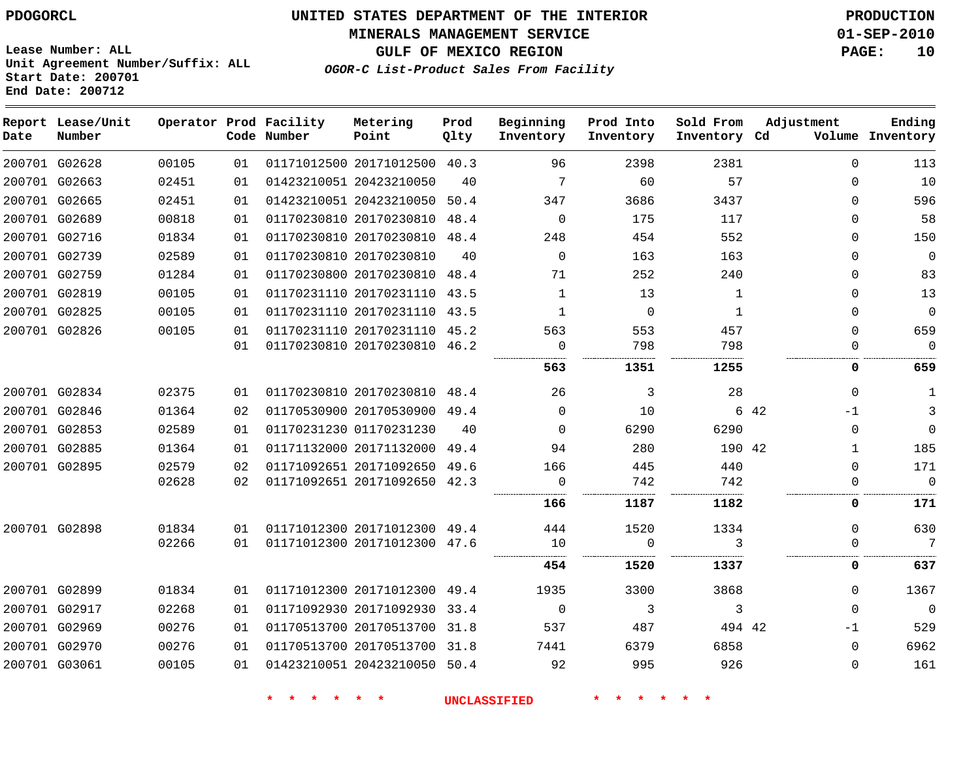#### **MINERALS MANAGEMENT SERVICE 01-SEP-2010**

**GULF OF MEXICO REGION PAGE: 10**

**Lease Number: ALL Unit Agreement Number/Suffix: ALL Start Date: 200701 End Date: 200712**

**OGOR-C List-Product Sales From Facility**

| Date | Report Lease/Unit<br>Number |       |    | Operator Prod Facility<br>Code Number | Metering<br>Point            | Prod<br>Qlty | Beginning<br>Inventory | Prod Into<br>Inventory | Sold From<br>Inventory Cd | Adjustment   | Ending<br>Volume Inventory  |
|------|-----------------------------|-------|----|---------------------------------------|------------------------------|--------------|------------------------|------------------------|---------------------------|--------------|-----------------------------|
|      | 200701 G02628               | 00105 | 01 |                                       | 01171012500 20171012500 40.3 |              | 96                     | 2398                   | 2381                      |              | $\mathbf 0$<br>113          |
|      | 200701 G02663               | 02451 | 01 |                                       | 01423210051 20423210050      | 40           | $7\phantom{.0}$        | 60                     | 57                        |              | 10<br>$\Omega$              |
|      | 200701 G02665               | 02451 | 01 |                                       | 01423210051 20423210050      | 50.4         | 347                    | 3686                   | 3437                      |              | 596<br>$\Omega$             |
|      | 200701 G02689               | 00818 | 01 |                                       | 01170230810 20170230810 48.4 |              | $\Omega$               | 175                    | 117                       |              | 58<br>$\Omega$              |
|      | 200701 G02716               | 01834 | 01 |                                       | 01170230810 20170230810 48.4 |              | 248                    | 454                    | 552                       |              | 150<br>0                    |
|      | 200701 G02739               | 02589 | 01 |                                       | 01170230810 20170230810      | 40           | $\Omega$               | 163                    | 163                       |              | $\mathbf{0}$<br>$\Omega$    |
|      | 200701 G02759               | 01284 | 01 |                                       | 01170230800 20170230810 48.4 |              | 71                     | 252                    | 240                       |              | 83<br>0                     |
|      | 200701 G02819               | 00105 | 01 |                                       | 01170231110 20170231110 43.5 |              | $\mathbf{1}$           | 13                     | 1                         |              | 13<br>$\Omega$              |
|      | 200701 G02825               | 00105 | 01 |                                       | 01170231110 20170231110 43.5 |              | 1                      | $\mathbf 0$            | 1                         |              | $\mathbf 0$<br>$\mathbf{0}$ |
|      | 200701 G02826               | 00105 | 01 |                                       | 01170231110 20170231110 45.2 |              | 563                    | 553                    | 457                       |              | 659<br>$\Omega$             |
|      |                             |       | 01 |                                       | 01170230810 20170230810 46.2 |              | $\Omega$               | 798                    | 798                       |              | $\Omega$<br>$\Omega$        |
|      |                             |       |    |                                       |                              |              | 563                    | .<br>1351              | .<br>1255                 |              | 659<br>0                    |
|      | 200701 G02834               | 02375 | 01 |                                       | 01170230810 20170230810 48.4 |              | 26                     | 3                      | 28                        |              | $\mathbf{1}$<br>$\Omega$    |
|      | 200701 G02846               | 01364 | 02 |                                       | 01170530900 20170530900 49.4 |              | $\Omega$               | 10                     |                           | 6 42<br>$-1$ | 3                           |
|      | 200701 G02853               | 02589 | 01 |                                       | 01170231230 01170231230      | 40           | $\Omega$               | 6290                   | 6290                      |              | $\mathbf{0}$<br>$\Omega$    |
|      | 200701 G02885               | 01364 | 01 |                                       | 01171132000 20171132000      | 49.4         | 94                     | 280                    | 190 42                    |              | 185<br>1                    |
|      | 200701 G02895               | 02579 | 02 |                                       | 01171092651 20171092650      | 49.6         | 166                    | 445                    | 440                       |              | $\Omega$<br>171             |
|      |                             | 02628 | 02 |                                       | 01171092651 20171092650 42.3 |              | 0                      | 742                    | 742                       |              | $\Omega$<br>0               |
|      |                             |       |    |                                       |                              |              | 166                    | 1187                   | 1182                      |              | 171<br>0                    |
|      | 200701 G02898               | 01834 | 01 |                                       | 01171012300 20171012300 49.4 |              | 444                    | 1520                   | 1334                      |              | 630<br>$\Omega$             |
|      |                             | 02266 | 01 |                                       | 01171012300 20171012300 47.6 |              | 10                     | $\mathbf 0$            | 3                         |              | 7<br>$\Omega$               |
|      |                             |       |    |                                       |                              |              | 454                    | 1520                   | 1337                      |              | 0<br>637                    |
|      | 200701 G02899               | 01834 | 01 |                                       | 01171012300 20171012300 49.4 |              | 1935                   | 3300                   | 3868                      |              | 1367<br>$\Omega$            |
|      | 200701 G02917               | 02268 | 01 |                                       | 01171092930 20171092930 33.4 |              | $\overline{0}$         | 3                      | 3                         |              | $\Omega$<br>$\Omega$        |
|      | 200701 G02969               | 00276 | 01 |                                       | 01170513700 20170513700 31.8 |              | 537                    | 487                    | 494 42                    | $-1$         | 529                         |
|      | 200701 G02970               | 00276 | 01 |                                       | 01170513700 20170513700 31.8 |              | 7441                   | 6379                   | 6858                      |              | 6962<br>$\Omega$            |
|      | 200701 G03061               | 00105 | 01 |                                       | 01423210051 20423210050 50.4 |              | 92                     | 995                    | 926                       |              | 161<br>$\Omega$             |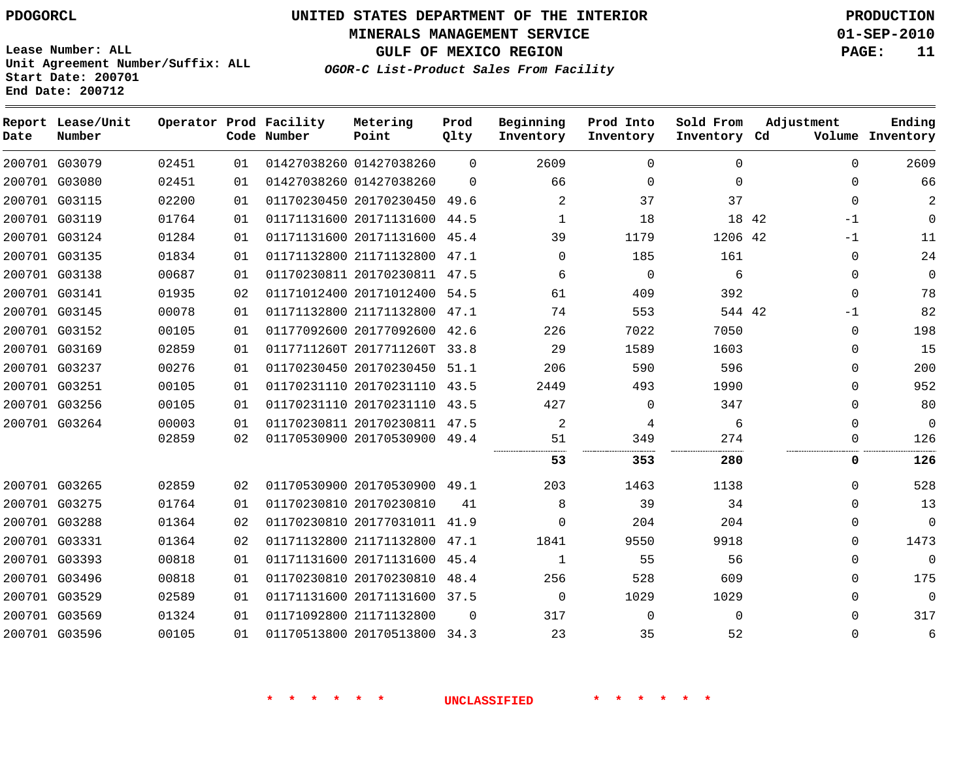**MINERALS MANAGEMENT SERVICE 01-SEP-2010**

**GULF OF MEXICO REGION PAGE: 11**

**Lease Number: ALL Unit Agreement Number/Suffix: ALL Start Date: 200701 End Date: 200712**

**OGOR-C List-Product Sales From Facility**

| Date | Report Lease/Unit<br>Number |       |    | Operator Prod Facility<br>Code Number | Metering<br>Point            | Prod<br>Qlty | Beginning<br>Inventory | Prod Into<br>Inventory | Sold From<br>Inventory Cd |       | Adjustment  | Ending<br>Volume Inventory |
|------|-----------------------------|-------|----|---------------------------------------|------------------------------|--------------|------------------------|------------------------|---------------------------|-------|-------------|----------------------------|
|      | 200701 G03079               | 02451 | 01 |                                       | 01427038260 01427038260      | $\Omega$     | 2609                   | $\Omega$               | $\Omega$                  |       | $\Omega$    | 2609                       |
|      | 200701 G03080               | 02451 | 01 |                                       | 01427038260 01427038260      | $\Omega$     | 66                     | $\Omega$               | $\Omega$                  |       | $\Omega$    | 66                         |
|      | 200701 G03115               | 02200 | 01 |                                       | 01170230450 20170230450 49.6 |              | 2                      | 37                     | 37                        |       | $\Omega$    | 2                          |
|      | 200701 G03119               | 01764 | 01 |                                       | 01171131600 20171131600 44.5 |              | 1                      | 18                     |                           | 18 42 | $-1$        | $\Omega$                   |
|      | 200701 G03124               | 01284 | 01 |                                       | 01171131600 20171131600      | 45.4         | 39                     | 1179                   | 1206 42                   |       | $-1$        | 11                         |
|      | 200701 G03135               | 01834 | 01 |                                       | 01171132800 21171132800 47.1 |              | 0                      | 185                    | 161                       |       | $\Omega$    | 24                         |
|      | 200701 G03138               | 00687 | 01 |                                       | 01170230811 20170230811      | 47.5         | 6                      | $\mathbf 0$            | 6                         |       | $\Omega$    | $\mathbf 0$                |
|      | 200701 G03141               | 01935 | 02 |                                       | 01171012400 20171012400      | 54.5         | 61                     | 409                    | 392                       |       | $\Omega$    | 78                         |
|      | 200701 G03145               | 00078 | 01 |                                       | 01171132800 21171132800      | 47.1         | 74                     | 553                    | 544 42                    |       | $-1$        | 82                         |
|      | 200701 G03152               | 00105 | 01 |                                       | 01177092600 20177092600 42.6 |              | 226                    | 7022                   | 7050                      |       | $\mathbf 0$ | 198                        |
|      | 200701 G03169               | 02859 | 01 |                                       | 0117711260T 2017711260T      | 33.8         | 29                     | 1589                   | 1603                      |       | $\Omega$    | 15                         |
|      | 200701 G03237               | 00276 | 01 |                                       | 01170230450 20170230450      | 51.1         | 206                    | 590                    | 596                       |       | $\Omega$    | 200                        |
|      | 200701 G03251               | 00105 | 01 |                                       | 01170231110 20170231110 43.5 |              | 2449                   | 493                    | 1990                      |       | $\Omega$    | 952                        |
|      | 200701 G03256               | 00105 | 01 |                                       | 01170231110 20170231110 43.5 |              | 427                    | $\mathbf 0$            | 347                       |       | $\Omega$    | 80                         |
|      | 200701 G03264               | 00003 | 01 |                                       | 01170230811 20170230811      | 47.5         | 2                      | 4                      | 6                         |       | $\Omega$    | $\mathbf 0$                |
|      |                             | 02859 | 02 |                                       | 01170530900 20170530900 49.4 |              | 51                     | 349                    | 274                       |       | $\Omega$    | 126                        |
|      |                             |       |    |                                       |                              |              | 53                     | 353                    | 280                       |       | 0           | 126                        |
|      | 200701 G03265               | 02859 | 02 |                                       | 01170530900 20170530900 49.1 |              | 203                    | 1463                   | 1138                      |       | $\Omega$    | 528                        |
|      | 200701 G03275               | 01764 | 01 |                                       | 01170230810 20170230810      | 41           | 8                      | 39                     | 34                        |       | $\Omega$    | 13                         |
|      | 200701 G03288               | 01364 | 02 |                                       | 01170230810 20177031011      | 41.9         | $\Omega$               | 204                    | 204                       |       | $\Omega$    | $\mathbf 0$                |
|      | 200701 G03331               | 01364 | 02 |                                       | 01171132800 21171132800      | 47.1         | 1841                   | 9550                   | 9918                      |       | $\Omega$    | 1473                       |
|      | 200701 G03393               | 00818 | 01 |                                       | 01171131600 20171131600 45.4 |              | 1                      | 55                     | 56                        |       | $\Omega$    | $\mathbf{0}$               |
|      | 200701 G03496               | 00818 | 01 |                                       | 01170230810 20170230810      | 48.4         | 256                    | 528                    | 609                       |       | 0           | 175                        |
|      | 200701 G03529               | 02589 | 01 |                                       | 01171131600 20171131600      | 37.5         | $\Omega$               | 1029                   | 1029                      |       | $\Omega$    | $\Omega$                   |
|      | 200701 G03569               | 01324 | 01 |                                       | 01171092800 21171132800      | $\Omega$     | 317                    | $\Omega$               | $\Omega$                  |       | $\Omega$    | 317                        |
|      | 200701 G03596               | 00105 | 01 |                                       | 01170513800 20170513800      | 34.3         | 23                     | 35                     | 52                        |       | $\Omega$    | 6                          |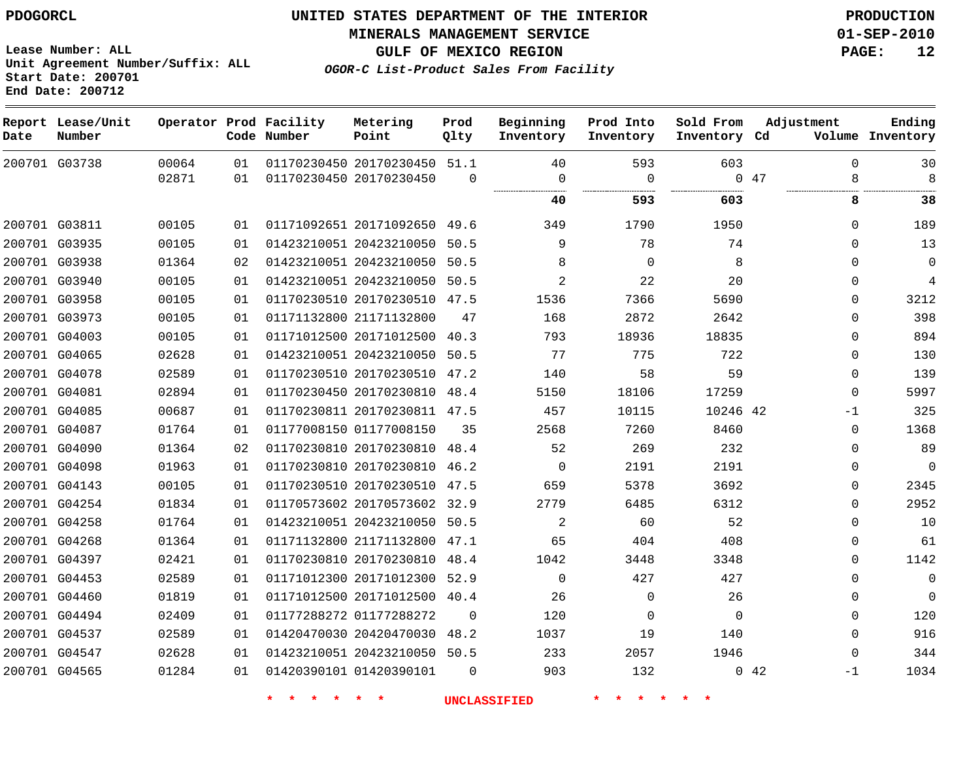**Start Date: 200701 End Date: 200712**

**Unit Agreement Number/Suffix: ALL**

# **UNITED STATES DEPARTMENT OF THE INTERIOR PDOGORCL PRODUCTION**

**MINERALS MANAGEMENT SERVICE 01-SEP-2010**

**GULF OF MEXICO REGION PAGE: 12**

**OGOR-C List-Product Sales From Facility**

| Date | Report Lease/Unit<br>Number |       |    | Operator Prod Facility<br>Code Number | Metering<br>Point            | Prod<br>Qlty | Beginning<br>Inventory | Prod Into<br>Inventory | Sold From<br>Inventory Cd | Adjustment   | Ending<br>Volume Inventory |
|------|-----------------------------|-------|----|---------------------------------------|------------------------------|--------------|------------------------|------------------------|---------------------------|--------------|----------------------------|
|      | 200701 G03738               | 00064 | 01 |                                       | 01170230450 20170230450 51.1 |              | 40                     | 593                    | 603                       | $\Omega$     | 30                         |
|      |                             | 02871 | 01 |                                       | 01170230450 20170230450      | $\Omega$     | $\Omega$<br>           | $\Omega$<br>.          |                           | 047<br>8     | 8                          |
|      |                             |       |    |                                       |                              |              | 40                     | 593                    | 603                       | 8            | 38                         |
|      | 200701 G03811               | 00105 | 01 |                                       | 01171092651 20171092650 49.6 |              | 349                    | 1790                   | 1950                      | $\Omega$     | 189                        |
|      | 200701 G03935               | 00105 | 01 |                                       | 01423210051 20423210050      | 50.5         | 9                      | 78                     | 74                        | $\Omega$     | 13                         |
|      | 200701 G03938               | 01364 | 02 |                                       | 01423210051 20423210050      | 50.5         | 8                      | $\Omega$               | 8                         | $\Omega$     | $\mathbf 0$                |
|      | 200701 G03940               | 00105 | 01 |                                       | 01423210051 20423210050      | 50.5         | $\overline{2}$         | 22                     | 20                        | 0            | 4                          |
|      | 200701 G03958               | 00105 | 01 |                                       | 01170230510 20170230510 47.5 |              | 1536                   | 7366                   | 5690                      | $\Omega$     | 3212                       |
|      | 200701 G03973               | 00105 | 01 |                                       | 01171132800 21171132800      | 47           | 168                    | 2872                   | 2642                      | $\Omega$     | 398                        |
|      | 200701 G04003               | 00105 | 01 |                                       | 01171012500 20171012500      | 40.3         | 793                    | 18936                  | 18835                     | $\Omega$     | 894                        |
|      | 200701 G04065               | 02628 | 01 |                                       | 01423210051 20423210050      | 50.5         | 77                     | 775                    | 722                       | $\Omega$     | 130                        |
|      | 200701 G04078               | 02589 | 01 |                                       | 01170230510 20170230510      | 47.2         | 140                    | 58                     | 59                        | 0            | 139                        |
|      | 200701 G04081               | 02894 | 01 |                                       | 01170230450 20170230810      | 48.4         | 5150                   | 18106                  | 17259                     | $\Omega$     | 5997                       |
|      | 200701 G04085               | 00687 | 01 |                                       | 01170230811 20170230811 47.5 |              | 457                    | 10115                  | 10246 42                  | -1           | 325                        |
|      | 200701 G04087               | 01764 | 01 |                                       | 01177008150 01177008150      | 35           | 2568                   | 7260                   | 8460                      | $\mathbf{0}$ | 1368                       |
|      | 200701 G04090               | 01364 | 02 |                                       | 01170230810 20170230810      | 48.4         | 52                     | 269                    | 232                       | $\mathbf{0}$ | 89                         |
|      | 200701 G04098               | 01963 | 01 |                                       | 01170230810 20170230810 46.2 |              | $\mathbf 0$            | 2191                   | 2191                      | $\mathbf{0}$ | $\mathbf 0$                |
|      | 200701 G04143               | 00105 | 01 |                                       | 01170230510 20170230510 47.5 |              | 659                    | 5378                   | 3692                      | $\mathbf{0}$ | 2345                       |
|      | 200701 G04254               | 01834 | 01 |                                       | 01170573602 20170573602 32.9 |              | 2779                   | 6485                   | 6312                      | 0            | 2952                       |
|      | 200701 G04258               | 01764 | 01 |                                       | 01423210051 20423210050      | 50.5         | $\overline{a}$         | 60                     | 52                        | 0            | 10                         |
|      | 200701 G04268               | 01364 | 01 |                                       | 01171132800 21171132800      | 47.1         | 65                     | 404                    | 408                       | $\Omega$     | 61                         |
|      | 200701 G04397               | 02421 | 01 |                                       | 01170230810 20170230810      | 48.4         | 1042                   | 3448                   | 3348                      | $\Omega$     | 1142                       |
|      | 200701 G04453               | 02589 | 01 |                                       | 01171012300 20171012300 52.9 |              | $\Omega$               | 427                    | 427                       | 0            | $\mathbf 0$                |
|      | 200701 G04460               | 01819 | 01 |                                       | 01171012500 20171012500 40.4 |              | 26                     | $\Omega$               | 26                        | $\Omega$     | $\Omega$                   |
|      | 200701 G04494               | 02409 | 01 |                                       | 01177288272 01177288272      | $\Omega$     | 120                    | 0                      | $\Omega$                  | $\mathbf{0}$ | 120                        |
|      | 200701 G04537               | 02589 | 01 |                                       | 01420470030 20420470030 48.2 |              | 1037                   | 19                     | 140                       | $\Omega$     | 916                        |
|      | 200701 G04547               | 02628 | 01 |                                       | 01423210051 20423210050 50.5 |              | 233                    | 2057                   | 1946                      | $\Omega$     | 344                        |
|      | 200701 G04565               | 01284 | 01 |                                       | 01420390101 01420390101      | $\Omega$     | 903                    | 132                    |                           | 042<br>$-1$  | 1034                       |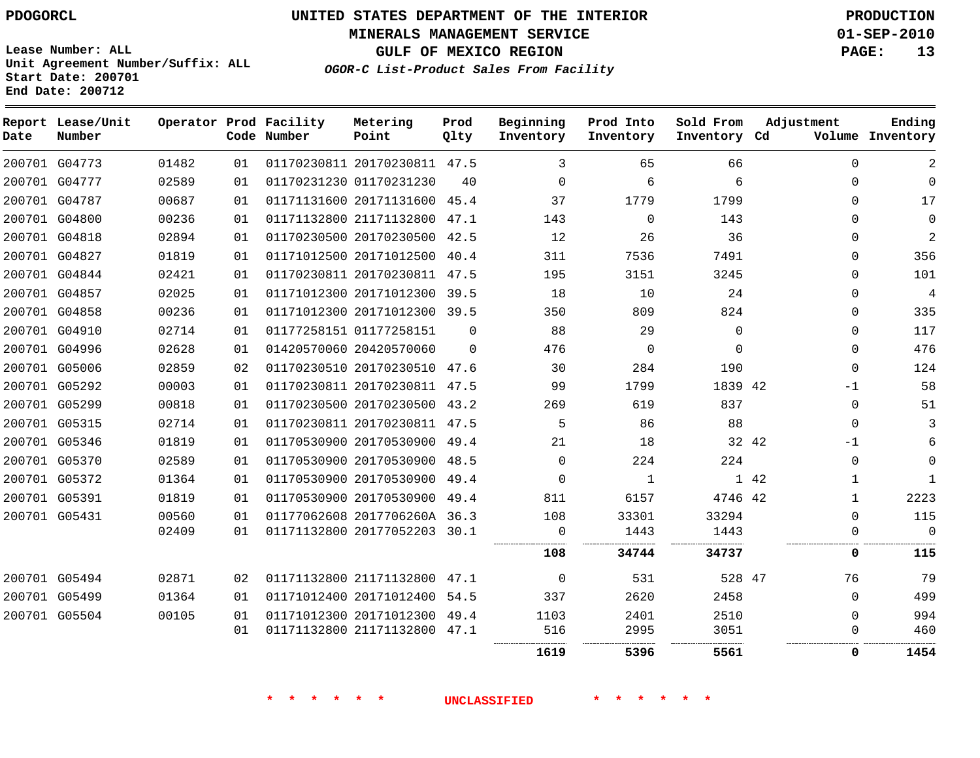# **UNITED STATES DEPARTMENT OF THE INTERIOR PDOGORCL PRODUCTION**

**MINERALS MANAGEMENT SERVICE 01-SEP-2010**

**GULF OF MEXICO REGION PAGE: 13**

**Unit Agreement Number/Suffix: ALL Start Date: 200701 End Date: 200712**

**OGOR-C List-Product Sales From Facility**

| Date | Report Lease/Unit<br>Number |       |    | Operator Prod Facility<br>Code Number | Metering<br>Point            | Prod<br>Qlty | Beginning<br>Inventory | Prod Into<br>Inventory | Sold From<br>Inventory Cd | Adjustment    | Ending<br>Volume Inventory    |
|------|-----------------------------|-------|----|---------------------------------------|------------------------------|--------------|------------------------|------------------------|---------------------------|---------------|-------------------------------|
|      | 200701 G04773               | 01482 | 01 |                                       | 01170230811 20170230811 47.5 |              | 3                      | 65                     | 66                        |               | 2<br>$\mathbf 0$              |
|      | 200701 G04777               | 02589 | 01 |                                       | 01170231230 01170231230      | 40           | $\Omega$               | 6                      | 6                         |               | $\Omega$<br>$\mathbf 0$       |
|      | 200701 G04787               | 00687 | 01 |                                       | 01171131600 20171131600 45.4 |              | 37                     | 1779                   | 1799                      |               | 17<br>$\Omega$                |
|      | 200701 G04800               | 00236 | 01 |                                       | 01171132800 21171132800 47.1 |              | 143                    | $\Omega$               | 143                       |               | $\Omega$<br>$\Omega$          |
|      | 200701 G04818               | 02894 | 01 |                                       | 01170230500 20170230500 42.5 |              | 12                     | 26                     | 36                        |               | $\overline{2}$<br>$\Omega$    |
|      | 200701 G04827               | 01819 | 01 |                                       | 01171012500 20171012500 40.4 |              | 311                    | 7536                   | 7491                      |               | 356<br>$\Omega$               |
|      | 200701 G04844               | 02421 | 01 |                                       | 01170230811 20170230811 47.5 |              | 195                    | 3151                   | 3245                      |               | 101<br>0                      |
|      | 200701 G04857               | 02025 | 01 |                                       | 01171012300 20171012300 39.5 |              | 18                     | 10                     | 24                        |               | $\overline{4}$<br>$\mathbf 0$ |
|      | 200701 G04858               | 00236 | 01 |                                       | 01171012300 20171012300 39.5 |              | 350                    | 809                    | 824                       |               | 335<br>$\Omega$               |
|      | 200701 G04910               | 02714 | 01 |                                       | 01177258151 01177258151      | $\Omega$     | 88                     | 29                     | $\mathbf 0$               |               | 117<br>0                      |
|      | 200701 G04996               | 02628 | 01 |                                       | 01420570060 20420570060      | $\Omega$     | 476                    | $\Omega$               | $\Omega$                  |               | 476<br>$\Omega$               |
|      | 200701 G05006               | 02859 | 02 |                                       | 01170230510 20170230510 47.6 |              | 30                     | 284                    | 190                       |               | 124<br>$\Omega$               |
|      | 200701 G05292               | 00003 | 01 |                                       | 01170230811 20170230811 47.5 |              | 99                     | 1799                   | 1839 42                   | $-1$          | 58                            |
|      | 200701 G05299               | 00818 | 01 |                                       | 01170230500 20170230500 43.2 |              | 269                    | 619                    | 837                       |               | 51<br>$\Omega$                |
|      | 200701 G05315               | 02714 | 01 |                                       | 01170230811 20170230811 47.5 |              | 5                      | 86                     | 88                        |               | 3<br>$\Omega$                 |
|      | 200701 G05346               | 01819 | 01 |                                       | 01170530900 20170530900 49.4 |              | 21                     | 18                     |                           | 32 42<br>$-1$ | 6                             |
|      | 200701 G05370               | 02589 | 01 |                                       | 01170530900 20170530900 48.5 |              | $\Omega$               | 224                    | 224                       |               | $\Omega$<br>$\mathbf 0$       |
|      | 200701 G05372               | 01364 | 01 |                                       | 01170530900 20170530900 49.4 |              | $\Omega$               | 1                      |                           | 1 42          | $\mathbf{1}$<br>1             |
|      | 200701 G05391               | 01819 | 01 |                                       | 01170530900 20170530900 49.4 |              | 811                    | 6157                   | 4746 42                   |               | 2223<br>$\mathbf{1}$          |
|      | 200701 G05431               | 00560 | 01 |                                       | 01177062608 2017706260A 36.3 |              | 108                    | 33301                  | 33294                     |               | 115<br>$\Omega$               |
|      |                             | 02409 | 01 |                                       | 01171132800 20177052203 30.1 |              | 0                      | 1443                   | 1443<br>.                 |               | $\Omega$<br>$\Omega$          |
|      |                             |       |    |                                       |                              |              | 108                    | 34744                  | 34737                     |               | 115<br>0                      |
|      | 200701 G05494               | 02871 | 02 |                                       | 01171132800 21171132800 47.1 |              | $\overline{0}$         | 531                    | 528 47                    | 76            | 79                            |
|      | 200701 G05499               | 01364 | 01 |                                       | 01171012400 20171012400 54.5 |              | 337                    | 2620                   | 2458                      |               | 499<br>$\Omega$               |
|      | 200701 G05504               | 00105 | 01 |                                       | 01171012300 20171012300 49.4 |              | 1103                   | 2401                   | 2510                      |               | 994<br>$\Omega$               |
|      |                             |       | 01 |                                       | 01171132800 21171132800 47.1 |              | 516                    | 2995                   | 3051                      |               | 460<br>0                      |
|      |                             |       |    |                                       |                              |              | 1619                   | 5396                   | 5561                      |               | 1454<br>0                     |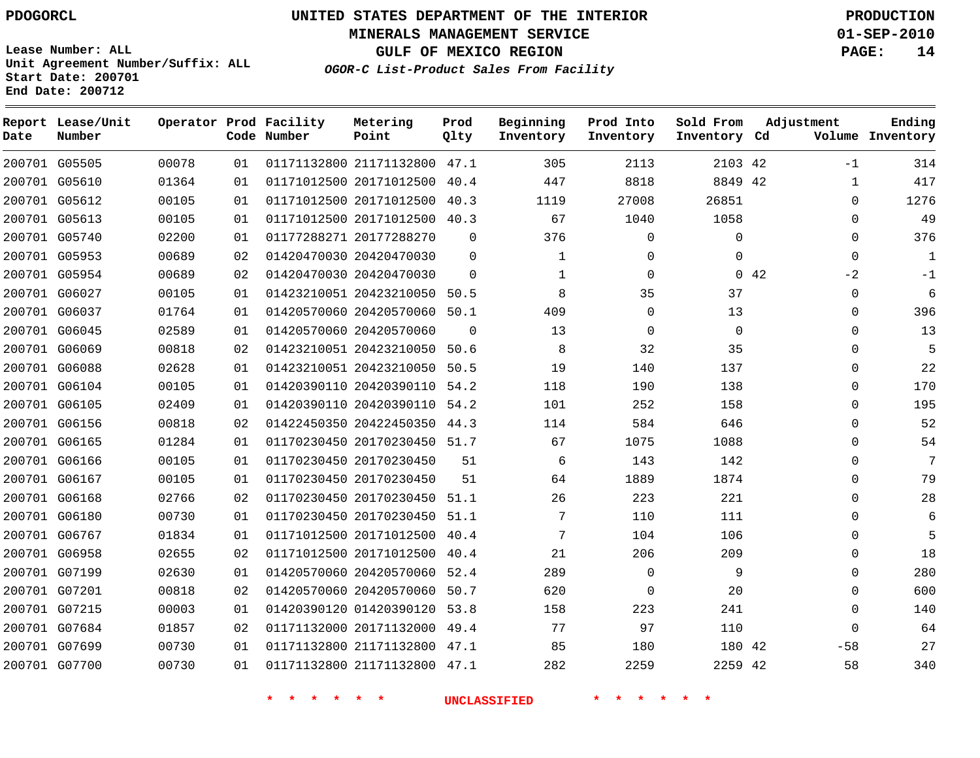**Start Date: 200701 End Date: 200712**

**Unit Agreement Number/Suffix: ALL**

# **UNITED STATES DEPARTMENT OF THE INTERIOR PDOGORCL PRODUCTION**

**MINERALS MANAGEMENT SERVICE 01-SEP-2010**

**GULF OF MEXICO REGION PAGE: 14**

**OGOR-C List-Product Sales From Facility**

| Date | Report Lease/Unit<br>Number |       |    | Operator Prod Facility<br>Code Number | Metering<br>Point            | Prod<br>Qlty | Beginning<br>Inventory | Prod Into<br>Inventory | Sold From<br>Inventory Cd | Adjustment  | Ending<br>Volume Inventory |
|------|-----------------------------|-------|----|---------------------------------------|------------------------------|--------------|------------------------|------------------------|---------------------------|-------------|----------------------------|
|      | 200701 G05505               | 00078 | 01 |                                       | 01171132800 21171132800 47.1 |              | 305                    | 2113                   | 2103 42                   | $-1$        | 314                        |
|      | 200701 G05610               | 01364 | 01 |                                       | 01171012500 20171012500      | 40.4         | 447                    | 8818                   | 8849                      | -42<br>1    | 417                        |
|      | 200701 G05612               | 00105 | 01 |                                       | 01171012500 20171012500      | 40.3         | 1119                   | 27008                  | 26851                     | $\Omega$    | 1276                       |
|      | 200701 G05613               | 00105 | 01 |                                       | 01171012500 20171012500      | 40.3         | 67                     | 1040                   | 1058                      | $\Omega$    | 49                         |
|      | 200701 G05740               | 02200 | 01 |                                       | 01177288271 20177288270      | $\Omega$     | 376                    | $\Omega$               | $\mathbf 0$               | 0           | 376                        |
|      | 200701 G05953               | 00689 | 02 |                                       | 01420470030 20420470030      | $\Omega$     | 1                      | $\Omega$               | $\Omega$                  | $\Omega$    | $\mathbf{1}$               |
|      | 200701 G05954               | 00689 | 02 |                                       | 01420470030 20420470030      | $\Omega$     | 1                      | $\mathbf 0$            |                           | 042<br>$-2$ | $-1$                       |
|      | 200701 G06027               | 00105 | 01 |                                       | 01423210051 20423210050      | 50.5         | 8                      | 35                     | 37                        | 0           | 6                          |
|      | 200701 G06037               | 01764 | 01 |                                       | 01420570060 20420570060      | 50.1         | 409                    | $\mathbf 0$            | 13                        | 0           | 396                        |
|      | 200701 G06045               | 02589 | 01 |                                       | 01420570060 20420570060      | $\Omega$     | 13                     | $\Omega$               | $\Omega$                  | $\Omega$    | 13                         |
|      | 200701 G06069               | 00818 | 02 |                                       | 01423210051 20423210050      | 50.6         | 8                      | 32                     | 35                        | 0           | 5                          |
|      | 200701 G06088               | 02628 | 01 |                                       | 01423210051 20423210050      | 50.5         | 19                     | 140                    | 137                       | $\Omega$    | 22                         |
|      | 200701 G06104               | 00105 | 01 |                                       | 01420390110 20420390110      | 54.2         | 118                    | 190                    | 138                       | $\Omega$    | 170                        |
|      | 200701 G06105               | 02409 | 01 |                                       | 01420390110 20420390110 54.2 |              | 101                    | 252                    | 158                       | 0           | 195                        |
|      | 200701 G06156               | 00818 | 02 |                                       | 01422450350 20422450350      | 44.3         | 114                    | 584                    | 646                       | 0           | 52                         |
|      | 200701 G06165               | 01284 | 01 |                                       | 01170230450 20170230450 51.7 |              | 67                     | 1075                   | 1088                      | 0           | 54                         |
|      | 200701 G06166               | 00105 | 01 |                                       | 01170230450 20170230450      | 51           | 6                      | 143                    | 142                       | $\Omega$    | 7                          |
|      | 200701 G06167               | 00105 | 01 |                                       | 01170230450 20170230450      | 51           | 64                     | 1889                   | 1874                      | 0           | 79                         |
|      | 200701 G06168               | 02766 | 02 |                                       | 01170230450 20170230450      | 51.1         | 26                     | 223                    | 221                       | $\Omega$    | 28                         |
|      | 200701 G06180               | 00730 | 01 |                                       | 01170230450 20170230450      | 51.1         | 7                      | 110                    | 111                       | $\Omega$    | 6                          |
|      | 200701 G06767               | 01834 | 01 |                                       | 01171012500 20171012500      | 40.4         | 7                      | 104                    | 106                       | 0           | 5                          |
|      | 200701 G06958               | 02655 | 02 |                                       | 01171012500 20171012500      | 40.4         | 21                     | 206                    | 209                       | 0           | 18                         |
|      | 200701 G07199               | 02630 | 01 |                                       | 01420570060 20420570060      | 52.4         | 289                    | $\mathbf 0$            | 9                         | 0           | 280                        |
|      | 200701 G07201               | 00818 | 02 |                                       | 01420570060 20420570060      | 50.7         | 620                    | $\Omega$               | 20                        | $\Omega$    | 600                        |
|      | 200701 G07215               | 00003 | 01 |                                       | 01420390120 01420390120      | 53.8         | 158                    | 223                    | 241                       | 0           | 140                        |
|      | 200701 G07684               | 01857 | 02 |                                       | 01171132000 20171132000      | 49.4         | 77                     | 97                     | 110                       | $\Omega$    | 64                         |
|      | 200701 G07699               | 00730 | 01 |                                       | 01171132800 21171132800 47.1 |              | 85                     | 180                    | 180 42                    | $-58$       | 27                         |
|      | 200701 G07700               | 00730 | 01 |                                       | 01171132800 21171132800 47.1 |              | 282                    | 2259                   | 2259 42                   | 58          | 340                        |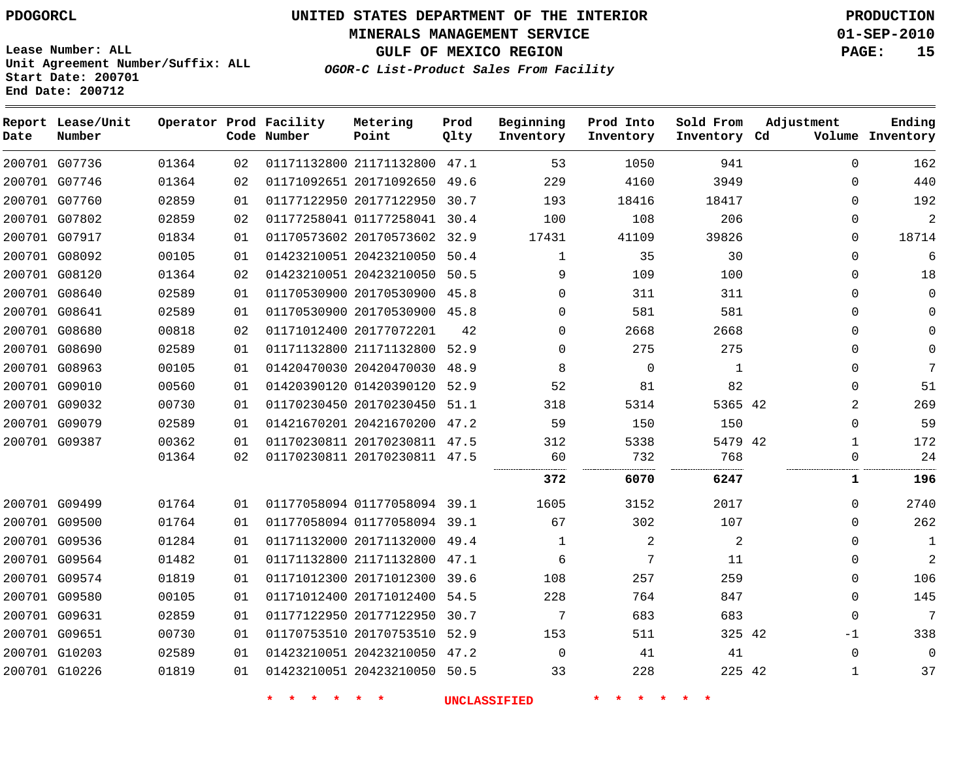**MINERALS MANAGEMENT SERVICE 01-SEP-2010**

**GULF OF MEXICO REGION PAGE: 15**

**Lease Number: ALL Unit Agreement Number/Suffix: ALL Start Date: 200701 End Date: 200712**

**OGOR-C List-Product Sales From Facility**

| Date | Report Lease/Unit<br>Number |       |    | Operator Prod Facility<br>Code Number | Metering<br>Point            | Prod<br>Qlty | Beginning<br>Inventory | Prod Into<br>Inventory | Sold From<br>Inventory Cd | Adjustment   | Ending<br>Volume Inventory |
|------|-----------------------------|-------|----|---------------------------------------|------------------------------|--------------|------------------------|------------------------|---------------------------|--------------|----------------------------|
|      | 200701 G07736               | 01364 | 02 |                                       | 01171132800 21171132800 47.1 |              | 53                     | 1050                   | 941                       | $\Omega$     | 162                        |
|      | 200701 G07746               | 01364 | 02 |                                       | 01171092651 20171092650 49.6 |              | 229                    | 4160                   | 3949                      | $\mathbf 0$  | 440                        |
|      | 200701 G07760               | 02859 | 01 |                                       | 01177122950 20177122950      | 30.7         | 193                    | 18416                  | 18417                     | $\Omega$     | 192                        |
|      | 200701 G07802               | 02859 | 02 |                                       | 01177258041 01177258041 30.4 |              | 100                    | 108                    | 206                       | $\Omega$     | $\overline{2}$             |
|      | 200701 G07917               | 01834 | 01 |                                       | 01170573602 20170573602 32.9 |              | 17431                  | 41109                  | 39826                     | $\Omega$     | 18714                      |
|      | 200701 G08092               | 00105 | 01 |                                       | 01423210051 20423210050      | 50.4         | 1                      | 35                     | 30                        | $\mathbf 0$  | 6                          |
|      | 200701 G08120               | 01364 | 02 |                                       | 01423210051 20423210050 50.5 |              | 9                      | 109                    | 100                       | $\mathbf 0$  | 18                         |
|      | 200701 G08640               | 02589 | 01 |                                       | 01170530900 20170530900      | 45.8         | $\Omega$               | 311                    | 311                       | $\mathbf 0$  | $\Omega$                   |
|      | 200701 G08641               | 02589 | 01 |                                       | 01170530900 20170530900 45.8 |              | $\Omega$               | 581                    | 581                       | $\Omega$     | $\Omega$                   |
|      | 200701 G08680               | 00818 | 02 |                                       | 01171012400 20177072201      | 42           | 0                      | 2668                   | 2668                      | $\Omega$     | $\Omega$                   |
|      | 200701 G08690               | 02589 | 01 |                                       | 01171132800 21171132800 52.9 |              | $\Omega$               | 275                    | 275                       | $\mathbf 0$  | $\Omega$                   |
|      | 200701 G08963               | 00105 | 01 |                                       | 01420470030 20420470030      | 48.9         | 8                      | $\Omega$               | $\mathbf{1}$              | $\Omega$     | 7                          |
|      | 200701 G09010               | 00560 | 01 |                                       | 01420390120 01420390120      | 52.9         | 52                     | 81                     | 82                        | $\Omega$     | 51                         |
|      | 200701 G09032               | 00730 | 01 |                                       | 01170230450 20170230450 51.1 |              | 318                    | 5314                   | 5365 42                   | 2            | 269                        |
|      | 200701 G09079               | 02589 | 01 |                                       | 01421670201 20421670200 47.2 |              | 59                     | 150                    | 150                       | $\mathbf 0$  | 59                         |
|      | 200701 G09387               | 00362 | 01 |                                       | 01170230811 20170230811 47.5 |              | 312                    | 5338                   | 5479 42                   | $\mathbf{1}$ | 172                        |
|      |                             | 01364 | 02 |                                       | 01170230811 20170230811 47.5 |              | 60                     | 732                    | 768<br>.                  | $\mathbf 0$  | 24                         |
|      |                             |       |    |                                       |                              |              | 372                    | 6070                   | 6247                      | 1            | 196                        |
|      | 200701 G09499               | 01764 | 01 |                                       | 01177058094 01177058094 39.1 |              | 1605                   | 3152                   | 2017                      | $\Omega$     | 2740                       |
|      | 200701 G09500               | 01764 | 01 |                                       | 01177058094 01177058094 39.1 |              | 67                     | 302                    | 107                       | $\Omega$     | 262                        |
|      | 200701 G09536               | 01284 | 01 |                                       | 01171132000 20171132000 49.4 |              | 1                      | 2                      | 2                         | $\Omega$     | 1                          |
|      | 200701 G09564               | 01482 | 01 |                                       | 01171132800 21171132800      | 47.1         | 6                      | 7                      | 11                        | $\mathbf 0$  | $\overline{2}$             |
|      | 200701 G09574               | 01819 | 01 |                                       | 01171012300 20171012300 39.6 |              | 108                    | 257                    | 259                       | $\Omega$     | 106                        |
|      | 200701 G09580               | 00105 | 01 |                                       | 01171012400 20171012400      | 54.5         | 228                    | 764                    | 847                       | $\mathbf 0$  | 145                        |
|      | 200701 G09631               | 02859 | 01 |                                       | 01177122950 20177122950      | 30.7         | 7                      | 683                    | 683                       | $\mathbf 0$  | 7                          |
|      | 200701 G09651               | 00730 | 01 |                                       | 01170753510 20170753510      | 52.9         | 153                    | 511                    | 325 42                    | $-1$         | 338                        |
|      | 200701 G10203               | 02589 | 01 |                                       | 01423210051 20423210050 47.2 |              | $\Omega$               | 41                     | 41                        | $\mathbf 0$  | $\Omega$                   |
|      | 200701 G10226               | 01819 | 01 |                                       | 01423210051 20423210050 50.5 |              | 33                     | 228                    | 225 42                    | $\mathbf{1}$ | 37                         |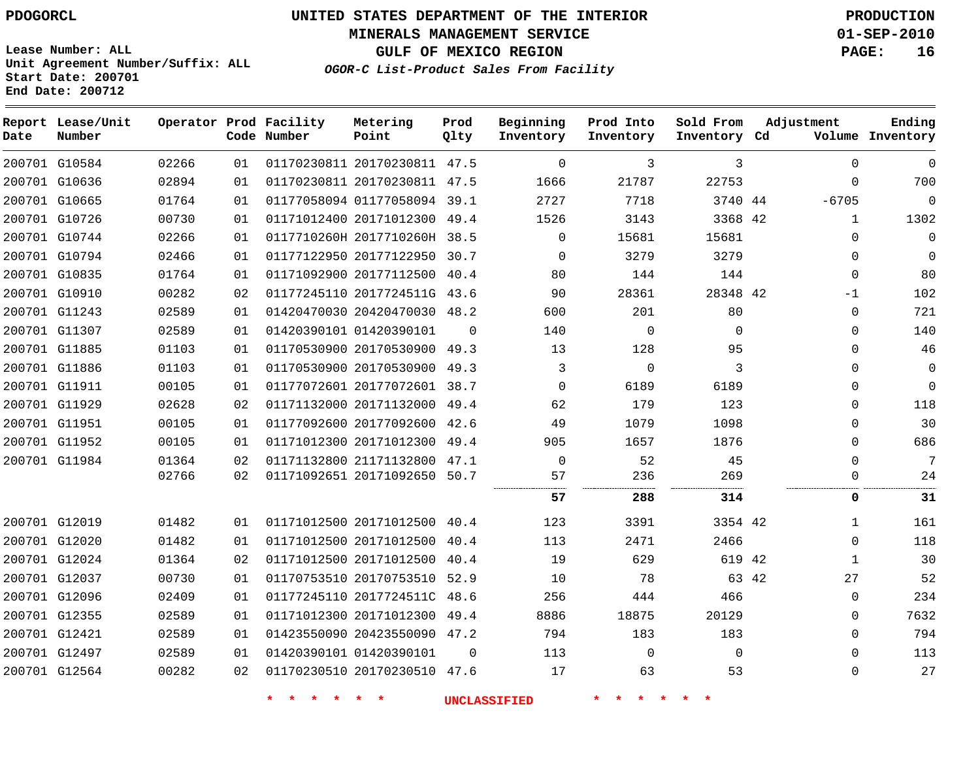**Start Date: 200701 End Date: 200712**

**Unit Agreement Number/Suffix: ALL**

# **UNITED STATES DEPARTMENT OF THE INTERIOR PDOGORCL PRODUCTION**

**MINERALS MANAGEMENT SERVICE 01-SEP-2010**

**GULF OF MEXICO REGION PAGE: 16**

**OGOR-C List-Product Sales From Facility**

| Date          | Report Lease/Unit<br>Number |       |    | Operator Prod Facility<br>Code Number | Metering<br>Point            | Prod<br>Qlty | Beginning<br>Inventory | Prod Into<br>Inventory | Sold From<br>Inventory | Adjustment<br>Cd   | Ending<br>Volume Inventory |
|---------------|-----------------------------|-------|----|---------------------------------------|------------------------------|--------------|------------------------|------------------------|------------------------|--------------------|----------------------------|
|               | 200701 G10584               | 02266 | 01 |                                       | 01170230811 20170230811 47.5 |              | $\Omega$               | 3                      | 3                      | $\mathbf{0}$       | $\mathbf 0$                |
|               | 200701 G10636               | 02894 | 01 |                                       | 01170230811 20170230811 47.5 |              | 1666                   | 21787                  | 22753                  | 0                  | 700                        |
|               | 200701 G10665               | 01764 | 01 |                                       | 01177058094 01177058094 39.1 |              | 2727                   | 7718                   | 3740 44                | $-6705$            | $\mathbf{0}$               |
|               | 200701 G10726               | 00730 | 01 |                                       | 01171012400 20171012300 49.4 |              | 1526                   | 3143                   | 3368 42                | $\mathbf{1}$       | 1302                       |
|               | 200701 G10744               | 02266 | 01 |                                       | 0117710260H 2017710260H 38.5 |              | $\Omega$               | 15681                  | 15681                  | $\Omega$           | $\mathbf 0$                |
|               | 200701 G10794               | 02466 | 01 |                                       | 01177122950 20177122950      | 30.7         | $\Omega$               | 3279                   | 3279                   | $\mathbf{0}$       | $\mathbf 0$                |
|               | 200701 G10835               | 01764 | 01 |                                       | 01171092900 20177112500      | 40.4         | 80                     | 144                    | 144                    | 0                  | 80                         |
|               | 200701 G10910               | 00282 | 02 |                                       | 01177245110 2017724511G 43.6 |              | 90                     | 28361                  | 28348 42               | $-1$               | 102                        |
|               | 200701 G11243               | 02589 | 01 |                                       | 01420470030 20420470030 48.2 |              | 600                    | 201                    | 80                     | $\mathbf{0}$       | 721                        |
|               | 200701 G11307               | 02589 | 01 |                                       | 01420390101 01420390101      | $\Omega$     | 140                    | $\Omega$               | $\Omega$               | $\Omega$           | 140                        |
|               | 200701 G11885               | 01103 | 01 |                                       | 01170530900 20170530900      | 49.3         | 13                     | 128                    | 95                     | $\mathbf 0$        | 46                         |
|               | 200701 G11886               | 01103 | 01 |                                       | 01170530900 20170530900      | 49.3         | 3                      | $\mathbf 0$            | 3                      | 0                  | $\mathbf 0$                |
| 200701 G11911 |                             | 00105 | 01 |                                       | 01177072601 20177072601 38.7 |              | $\Omega$               | 6189                   | 6189                   | 0                  | $\mathbf 0$                |
|               | 200701 G11929               | 02628 | 02 |                                       | 01171132000 20171132000      | 49.4         | 62                     | 179                    | 123                    | $\Omega$           | 118                        |
|               | 200701 G11951               | 00105 | 01 |                                       | 01177092600 20177092600      | 42.6         | 49                     | 1079                   | 1098                   | $\Omega$           | 30                         |
|               | 200701 G11952               | 00105 | 01 |                                       | 01171012300 20171012300      | 49.4         | 905                    | 1657                   | 1876                   | 0                  | 686                        |
|               | 200701 G11984               | 01364 | 02 |                                       | 01171132800 21171132800      | 47.1         | 0                      | 52                     | 45                     | 0                  | 7                          |
|               |                             | 02766 | 02 |                                       | 01171092651 20171092650      | 50.7         | 57<br>                 | 236<br><br>.           | 269<br><br>.           | $\Omega$           | 24                         |
|               |                             |       |    |                                       |                              |              | 57                     | 288                    | 314                    | 0                  | 31                         |
|               | 200701 G12019               | 01482 | 01 |                                       | 01171012500 20171012500      | 40.4         | 123                    | 3391                   | 3354 42                | $\mathbf{1}$       | 161                        |
|               | 200701 G12020               | 01482 | 01 |                                       | 01171012500 20171012500      | 40.4         | 113                    | 2471                   | 2466                   | 0                  | 118                        |
|               | 200701 G12024               | 01364 | 02 |                                       | 01171012500 20171012500      | 40.4         | 19                     | 629                    | 619                    | 42<br>$\mathbf{1}$ | 30                         |
|               | 200701 G12037               | 00730 | 01 |                                       | 01170753510 20170753510      | 52.9         | 10                     | 78                     | 63 42                  | 27                 | 52                         |
| 200701 G12096 |                             | 02409 | 01 |                                       | 01177245110 2017724511C      | 48.6         | 256                    | 444                    | 466                    | 0                  | 234                        |
|               | 200701 G12355               | 02589 | 01 |                                       | 01171012300 20171012300      | 49.4         | 8886                   | 18875                  | 20129                  | 0                  | 7632                       |
| 200701 G12421 |                             | 02589 | 01 |                                       | 01423550090 20423550090 47.2 |              | 794                    | 183                    | 183                    | 0                  | 794                        |
|               | 200701 G12497               | 02589 | 01 |                                       | 01420390101 01420390101      | $\Omega$     | 113                    | $\Omega$               | $\Omega$               | $\mathbf{0}$       | 113                        |
|               | 200701 G12564               | 00282 | 02 |                                       | 01170230510 20170230510 47.6 |              | 17                     | 63                     | 53                     | $\mathbf 0$        | 27                         |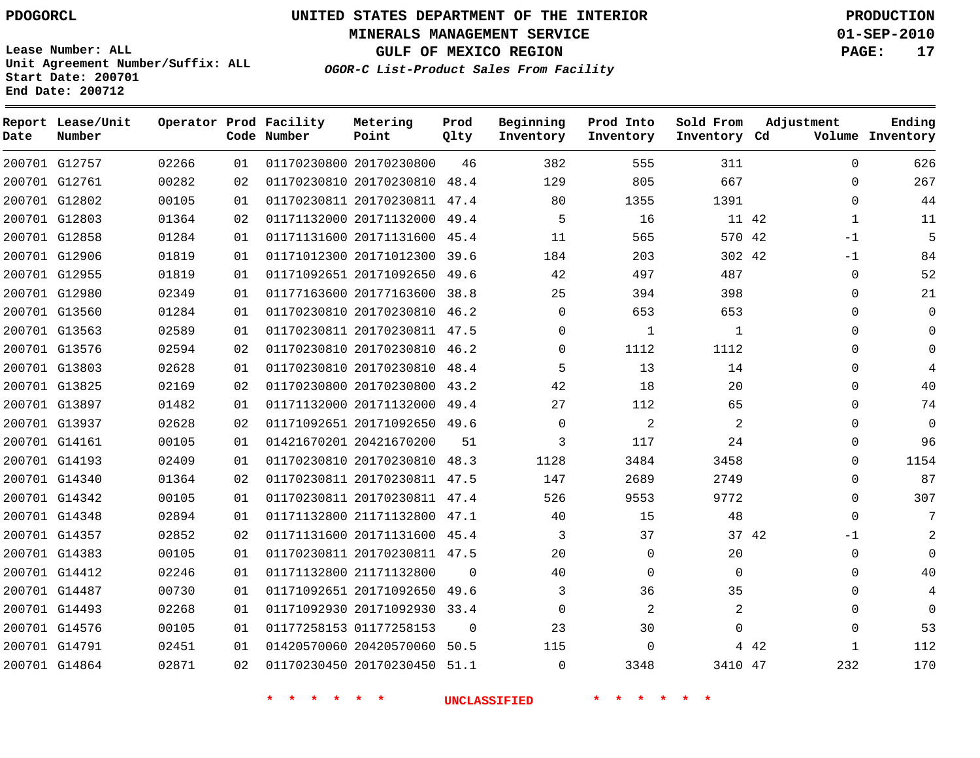**MINERALS MANAGEMENT SERVICE 01-SEP-2010**

**GULF OF MEXICO REGION PAGE: 17**

**Lease Number: ALL Unit Agreement Number/Suffix: ALL Start Date: 200701 End Date: 200712**

**OGOR-C List-Product Sales From Facility**

| Date | Report Lease/Unit<br>Number |       |    | Operator Prod Facility<br>Code Number | Metering<br>Point            | Prod<br>Qlty | Beginning<br>Inventory | Prod Into<br>Inventory | Sold From<br>Inventory Cd | Adjustment |              | Ending<br>Volume Inventory |
|------|-----------------------------|-------|----|---------------------------------------|------------------------------|--------------|------------------------|------------------------|---------------------------|------------|--------------|----------------------------|
|      | 200701 G12757               | 02266 | 01 |                                       | 01170230800 20170230800      | 46           | 382                    | 555                    | 311                       |            | $\Omega$     | 626                        |
|      | 200701 G12761               | 00282 | 02 |                                       | 01170230810 20170230810 48.4 |              | 129                    | 805                    | 667                       |            | 0            | 267                        |
|      | 200701 G12802               | 00105 | 01 |                                       | 01170230811 20170230811 47.4 |              | 80                     | 1355                   | 1391                      |            | $\mathbf{0}$ | 44                         |
|      | 200701 G12803               | 01364 | 02 |                                       | 01171132000 20171132000 49.4 |              | 5                      | 16                     |                           | 11 42      | $\mathbf{1}$ | 11                         |
|      | 200701 G12858               | 01284 | 01 |                                       | 01171131600 20171131600 45.4 |              | 11                     | 565                    | 570 42                    |            | $-1$         | 5                          |
|      | 200701 G12906               | 01819 | 01 |                                       | 01171012300 20171012300 39.6 |              | 184                    | 203                    | 302 42                    |            | $-1$         | 84                         |
|      | 200701 G12955               | 01819 | 01 |                                       | 01171092651 20171092650 49.6 |              | 42                     | 497                    | 487                       |            | $\mathbf{0}$ | 52                         |
|      | 200701 G12980               | 02349 | 01 |                                       | 01177163600 20177163600 38.8 |              | 25                     | 394                    | 398                       |            | $\Omega$     | 21                         |
|      | 200701 G13560               | 01284 | 01 |                                       | 01170230810 20170230810 46.2 |              | $\mathbf 0$            | 653                    | 653                       |            | 0            | $\Omega$                   |
|      | 200701 G13563               | 02589 | 01 |                                       | 01170230811 20170230811 47.5 |              | $\Omega$               | $\mathbf{1}$           | 1                         |            | $\Omega$     | $\Omega$                   |
|      | 200701 G13576               | 02594 | 02 |                                       | 01170230810 20170230810 46.2 |              | $\Omega$               | 1112                   | 1112                      |            | $\Omega$     | $\Omega$                   |
|      | 200701 G13803               | 02628 | 01 |                                       | 01170230810 20170230810 48.4 |              | 5                      | 13                     | 14                        |            | 0            |                            |
|      | 200701 G13825               | 02169 | 02 |                                       | 01170230800 20170230800 43.2 |              | 42                     | 18                     | 20                        |            | $\Omega$     | 40                         |
|      | 200701 G13897               | 01482 | 01 |                                       | 01171132000 20171132000 49.4 |              | 27                     | 112                    | 65                        |            | $\Omega$     | 74                         |
|      | 200701 G13937               | 02628 | 02 |                                       | 01171092651 20171092650 49.6 |              | $\Omega$               | 2                      | 2                         |            | $\mathbf{0}$ | $\mathbf{0}$               |
|      | 200701 G14161               | 00105 | 01 |                                       | 01421670201 20421670200      | 51           | 3                      | 117                    | 24                        |            | 0            | 96                         |
|      | 200701 G14193               | 02409 | 01 |                                       | 01170230810 20170230810 48.3 |              | 1128                   | 3484                   | 3458                      |            | $\Omega$     | 1154                       |
|      | 200701 G14340               | 01364 | 02 |                                       | 01170230811 20170230811 47.5 |              | 147                    | 2689                   | 2749                      |            | $\Omega$     | 87                         |
|      | 200701 G14342               | 00105 | 01 |                                       | 01170230811 20170230811 47.4 |              | 526                    | 9553                   | 9772                      |            | 0            | 307                        |
|      | 200701 G14348               | 02894 | 01 |                                       | 01171132800 21171132800 47.1 |              | 40                     | 15                     | 48                        |            | $\Omega$     | 7                          |
|      | 200701 G14357               | 02852 | 02 |                                       | 01171131600 20171131600 45.4 |              | 3                      | 37                     |                           | 37 42      | $-1$         | $\overline{2}$             |
|      | 200701 G14383               | 00105 | 01 |                                       | 01170230811 20170230811 47.5 |              | 20                     | $\mathbf 0$            | 20                        |            | 0            | $\Omega$                   |
|      | 200701 G14412               | 02246 | 01 |                                       | 01171132800 21171132800      | $\Omega$     | 40                     | $\mathbf 0$            | $\Omega$                  |            | 0            | 40                         |
|      | 200701 G14487               | 00730 | 01 |                                       | 01171092651 20171092650      | 49.6         | 3                      | 36                     | 35                        |            | 0            | 4                          |
|      | 200701 G14493               | 02268 | 01 |                                       | 01171092930 20171092930 33.4 |              | $\Omega$               | 2                      | 2                         |            | $\mathbf 0$  | $\Omega$                   |
|      | 200701 G14576               | 00105 | 01 |                                       | 01177258153 01177258153      | $\Omega$     | 23                     | 30                     | $\Omega$                  |            | $\Omega$     | 53                         |
|      | 200701 G14791               | 02451 | 01 |                                       | 01420570060 20420570060      | 50.5         | 115                    | $\Omega$               |                           | 4 4 2      | $\mathbf{1}$ | 112                        |
|      | 200701 G14864               | 02871 | 02 |                                       | 01170230450 20170230450      | 51.1         | $\Omega$               | 3348                   | 3410 47                   |            | 232          | 170                        |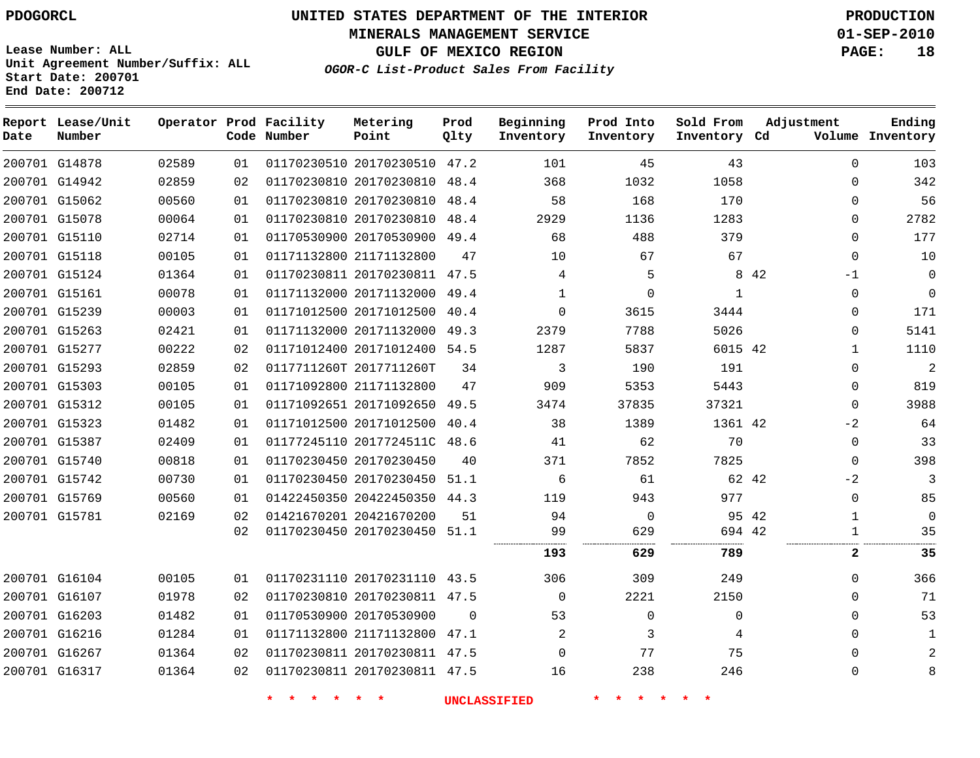# **UNITED STATES DEPARTMENT OF THE INTERIOR PDOGORCL PRODUCTION**

**MINERALS MANAGEMENT SERVICE 01-SEP-2010**

**GULF OF MEXICO REGION PAGE: 18**

**Unit Agreement Number/Suffix: ALL Start Date: 200701 End Date: 200712**

**OGOR-C List-Product Sales From Facility**

| Date | Report Lease/Unit<br>Number |       |    | Operator Prod Facility<br>Code Number | Metering<br>Point            | Prod<br>Qlty | Beginning<br>Inventory | Prod Into<br>Inventory | Sold From<br>Inventory Cd | Adjustment    | Ending<br>Volume Inventory |
|------|-----------------------------|-------|----|---------------------------------------|------------------------------|--------------|------------------------|------------------------|---------------------------|---------------|----------------------------|
|      | 200701 G14878               | 02589 | 01 |                                       | 01170230510 20170230510 47.2 |              | 101                    | 45                     | 43                        | $\Omega$      | 103                        |
|      | 200701 G14942               | 02859 | 02 |                                       | 01170230810 20170230810 48.4 |              | 368                    | 1032                   | 1058                      | $\Omega$      | 342                        |
|      | 200701 G15062               | 00560 | 01 |                                       | 01170230810 20170230810 48.4 |              | 58                     | 168                    | 170                       | $\Omega$      | 56                         |
|      | 200701 G15078               | 00064 | 01 |                                       | 01170230810 20170230810 48.4 |              | 2929                   | 1136                   | 1283                      | 0             | 2782                       |
|      | 200701 G15110               | 02714 | 01 |                                       | 01170530900 20170530900 49.4 |              | 68                     | 488                    | 379                       | $\Omega$      | 177                        |
|      | 200701 G15118               | 00105 | 01 |                                       | 01171132800 21171132800      | 47           | 10                     | 67                     | 67                        | 0             | 10                         |
|      | 200701 G15124               | 01364 | 01 |                                       | 01170230811 20170230811 47.5 |              | 4                      | 5                      |                           | 8 4 2<br>$-1$ | $\Omega$                   |
|      | 200701 G15161               | 00078 | 01 |                                       | 01171132000 20171132000 49.4 |              | $\mathbf{1}$           | $\Omega$               | 1                         | 0             | $\mathbf{0}$               |
|      | 200701 G15239               | 00003 | 01 |                                       | 01171012500 20171012500      | 40.4         | $\Omega$               | 3615                   | 3444                      | 0             | 171                        |
|      | 200701 G15263               | 02421 | 01 |                                       | 01171132000 20171132000 49.3 |              | 2379                   | 7788                   | 5026                      | 0             | 5141                       |
|      | 200701 G15277               | 00222 | 02 |                                       | 01171012400 20171012400 54.5 |              | 1287                   | 5837                   | 6015 42                   | $\mathbf{1}$  | 1110                       |
|      | 200701 G15293               | 02859 | 02 |                                       | 0117711260T 2017711260T      | 34           | 3                      | 190                    | 191                       | 0             | 2                          |
|      | 200701 G15303               | 00105 | 01 |                                       | 01171092800 21171132800      | 47           | 909                    | 5353                   | 5443                      | 0             | 819                        |
|      | 200701 G15312               | 00105 | 01 |                                       | 01171092651 20171092650 49.5 |              | 3474                   | 37835                  | 37321                     | 0             | 3988                       |
|      | 200701 G15323               | 01482 | 01 |                                       | 01171012500 20171012500 40.4 |              | 38                     | 1389                   | 1361 42                   | $-2$          | 64                         |
|      | 200701 G15387               | 02409 | 01 |                                       | 01177245110 2017724511C 48.6 |              | 41                     | 62                     | 70                        | 0             | 33                         |
|      | 200701 G15740               | 00818 | 01 |                                       | 01170230450 20170230450      | 40           | 371                    | 7852                   | 7825                      | 0             | 398                        |
|      | 200701 G15742               | 00730 | 01 |                                       | 01170230450 20170230450 51.1 |              | 6                      | 61                     | 62 42                     | $-2$          | 3                          |
|      | 200701 G15769               | 00560 | 01 |                                       | 01422450350 20422450350 44.3 |              | 119                    | 943                    | 977                       | 0             | 85                         |
|      | 200701 G15781               | 02169 | 02 |                                       | 01421670201 20421670200      | 51           | 94                     | $\overline{0}$         | 95 42                     | $\mathbf{1}$  | $\mathbf 0$                |
|      |                             |       | 02 |                                       | 01170230450 20170230450 51.1 |              | 99                     | 629                    | 694 42                    | 1             | 35                         |
|      |                             |       |    |                                       |                              |              | 193                    | 629                    | 789                       | $\mathbf{2}$  | 35                         |
|      | 200701 G16104               | 00105 | 01 |                                       | 01170231110 20170231110 43.5 |              | 306                    | 309                    | 249                       | $\Omega$      | 366                        |
|      | 200701 G16107               | 01978 | 02 |                                       | 01170230810 20170230811 47.5 |              | $\mathbf 0$            | 2221                   | 2150                      | 0             | 71                         |
|      | 200701 G16203               | 01482 | 01 |                                       | 01170530900 20170530900      | $\Omega$     | 53                     | $\mathbf 0$            | $\mathbf 0$               | 0             | 53                         |
|      | 200701 G16216               | 01284 | 01 |                                       | 01171132800 21171132800 47.1 |              | 2                      | 3                      | 4                         | 0             | $\mathbf{1}$               |
|      | 200701 G16267               | 01364 | 02 |                                       | 01170230811 20170230811 47.5 |              | $\mathbf 0$            | 77                     | 75                        | 0             | $\overline{2}$             |
|      | 200701 G16317               | 01364 | 02 |                                       | 01170230811 20170230811 47.5 |              | 16                     | 238                    | 246                       | $\Omega$      | 8                          |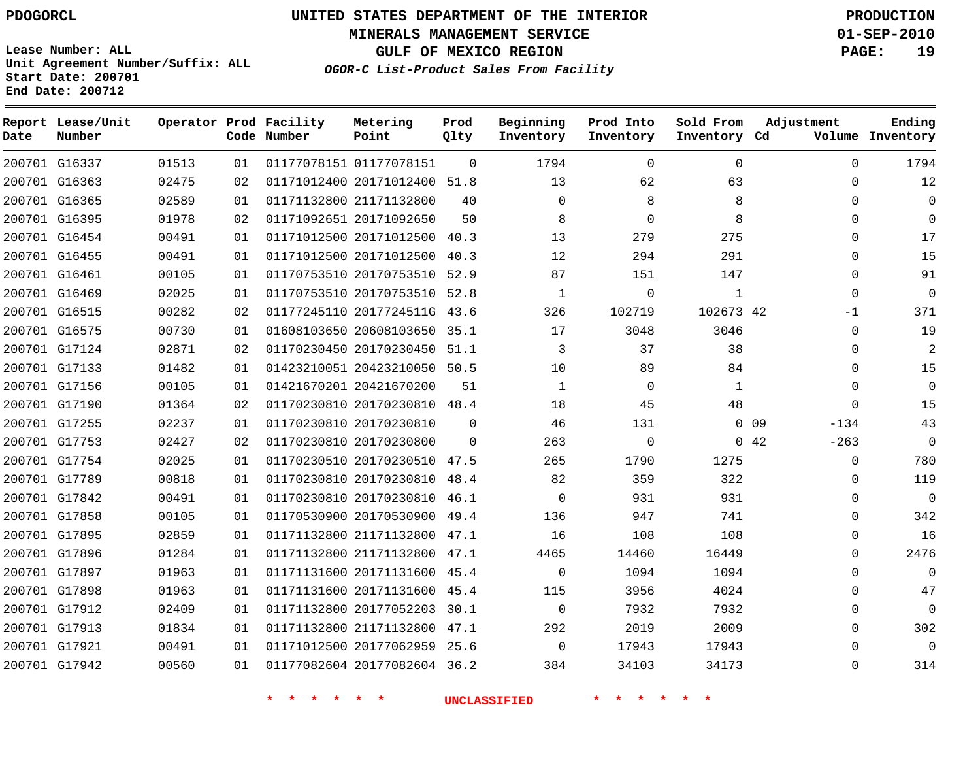**MINERALS MANAGEMENT SERVICE 01-SEP-2010**

**GULF OF MEXICO REGION PAGE: 19**

**Lease Number: ALL Unit Agreement Number/Suffix: ALL Start Date: 200701 End Date: 200712**

**OGOR-C List-Product Sales From Facility**

| Date | Report Lease/Unit<br>Number |       |    | Operator Prod Facility<br>Code Number | Metering<br>Point            | Prod<br>Qlty | Beginning<br>Inventory | Prod Into<br>Inventory | Sold From<br>Inventory Cd | Adjustment                | Ending<br>Volume Inventory |
|------|-----------------------------|-------|----|---------------------------------------|------------------------------|--------------|------------------------|------------------------|---------------------------|---------------------------|----------------------------|
|      | 200701 G16337               | 01513 | 01 |                                       | 01177078151 01177078151      | $\Omega$     | 1794                   | $\Omega$               | $\Omega$                  | $\Omega$                  | 1794                       |
|      | 200701 G16363               | 02475 | 02 |                                       | 01171012400 20171012400 51.8 |              | 13                     | 62                     | 63                        | $\Omega$                  | 12                         |
|      | 200701 G16365               | 02589 | 01 |                                       | 01171132800 21171132800      | 40           | 0                      | 8                      | 8                         | $\mathbf 0$               | $\mathbf 0$                |
|      | 200701 G16395               | 01978 | 02 |                                       | 01171092651 20171092650      | 50           | 8                      | $\Omega$               | 8                         | $\Omega$                  | $\Omega$                   |
|      | 200701 G16454               | 00491 | 01 |                                       | 01171012500 20171012500      | 40.3         | 13                     | 279                    | 275                       | $\Omega$                  | 17                         |
|      | 200701 G16455               | 00491 | 01 |                                       | 01171012500 20171012500 40.3 |              | 12                     | 294                    | 291                       | $\Omega$                  | 15                         |
|      | 200701 G16461               | 00105 | 01 |                                       | 01170753510 20170753510      | 52.9         | 87                     | 151                    | 147                       | $\mathbf 0$               | 91                         |
|      | 200701 G16469               | 02025 | 01 |                                       | 01170753510 20170753510 52.8 |              | 1                      | $\overline{0}$         | $\mathbf 1$               | $\Omega$                  | $\mathbf 0$                |
|      | 200701 G16515               | 00282 | 02 |                                       | 01177245110 2017724511G 43.6 |              | 326                    | 102719                 | 102673 42                 | $-1$                      | 371                        |
|      | 200701 G16575               | 00730 | 01 |                                       | 01608103650 20608103650 35.1 |              | 17                     | 3048                   | 3046                      | $\Omega$                  | 19                         |
|      | 200701 G17124               | 02871 | 02 |                                       | 01170230450 20170230450      | 51.1         | 3                      | 37                     | 38                        | $\mathbf 0$               | $\overline{c}$             |
|      | 200701 G17133               | 01482 | 01 |                                       | 01423210051 20423210050 50.5 |              | 10                     | 89                     | 84                        | 0                         | 15                         |
|      | 200701 G17156               | 00105 | 01 |                                       | 01421670201 20421670200      | 51           | $\mathbf{1}$           | $\overline{0}$         | 1                         | $\Omega$                  | $\Omega$                   |
|      | 200701 G17190               | 01364 | 02 |                                       | 01170230810 20170230810 48.4 |              | 18                     | 45                     | 48                        | $\mathbf 0$               | 15                         |
|      | 200701 G17255               | 02237 | 01 |                                       | 01170230810 20170230810      | $\Omega$     | 46                     | 131                    |                           | 0 <sub>09</sub><br>$-134$ | 43                         |
|      | 200701 G17753               | 02427 | 02 |                                       | 01170230810 20170230800      | 0            | 263                    | $\overline{0}$         |                           | 042<br>$-263$             | $\mathbf 0$                |
|      | 200701 G17754               | 02025 | 01 |                                       | 01170230510 20170230510 47.5 |              | 265                    | 1790                   | 1275                      | $\mathbf 0$               | 780                        |
|      | 200701 G17789               | 00818 | 01 |                                       | 01170230810 20170230810 48.4 |              | 82                     | 359                    | 322                       | 0                         | 119                        |
|      | 200701 G17842               | 00491 | 01 |                                       | 01170230810 20170230810 46.1 |              | $\Omega$               | 931                    | 931                       | $\mathbf 0$               | $\overline{0}$             |
|      | 200701 G17858               | 00105 | 01 |                                       | 01170530900 20170530900      | 49.4         | 136                    | 947                    | 741                       | 0                         | 342                        |
|      | 200701 G17895               | 02859 | 01 |                                       | 01171132800 21171132800 47.1 |              | 16                     | 108                    | 108                       | $\mathbf 0$               | 16                         |
|      | 200701 G17896               | 01284 | 01 |                                       | 01171132800 21171132800 47.1 |              | 4465                   | 14460                  | 16449                     | $\mathbf 0$               | 2476                       |
|      | 200701 G17897               | 01963 | 01 |                                       | 01171131600 20171131600 45.4 |              | $\mathbf 0$            | 1094                   | 1094                      | $\Omega$                  | $\Omega$                   |
|      | 200701 G17898               | 01963 | 01 |                                       | 01171131600 20171131600 45.4 |              | 115                    | 3956                   | 4024                      | $\mathbf 0$               | 47                         |
|      | 200701 G17912               | 02409 | 01 |                                       | 01171132800 20177052203 30.1 |              | $\Omega$               | 7932                   | 7932                      | $\Omega$                  | $\mathbf 0$                |
|      | 200701 G17913               | 01834 | 01 |                                       | 01171132800 21171132800 47.1 |              | 292                    | 2019                   | 2009                      | $\mathbf 0$               | 302                        |
|      | 200701 G17921               | 00491 | 01 |                                       | 01171012500 20177062959 25.6 |              | $\Omega$               | 17943                  | 17943                     | $\Omega$                  | $\overline{0}$             |
|      | 200701 G17942               | 00560 | 01 |                                       | 01177082604 20177082604 36.2 |              | 384                    | 34103                  | 34173                     | $\Omega$                  | 314                        |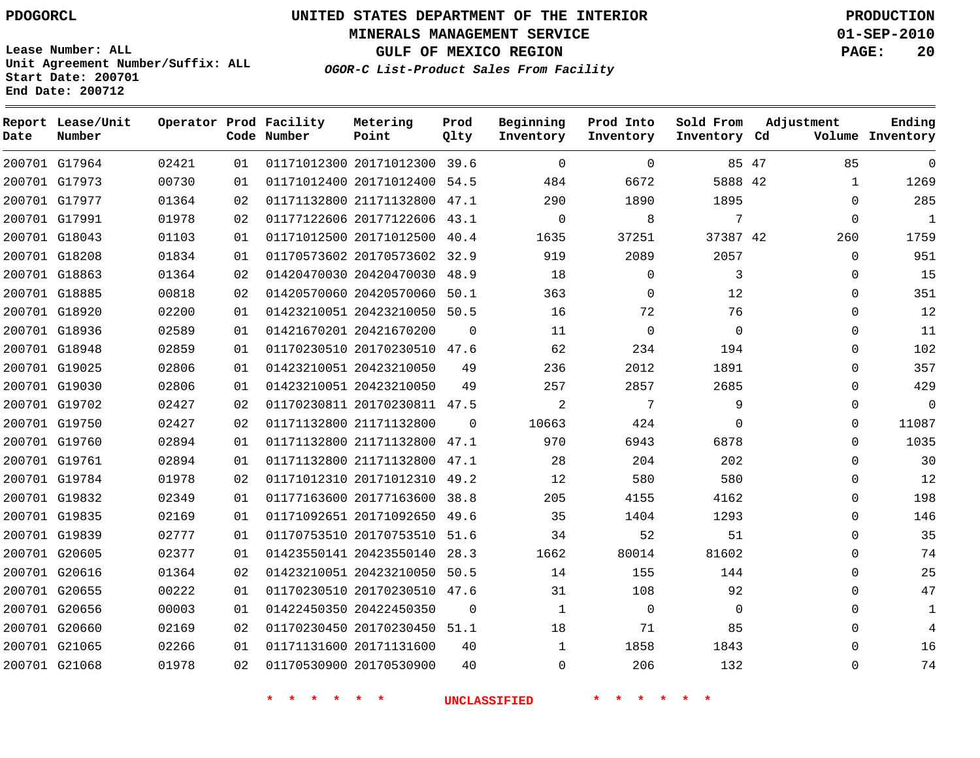**MINERALS MANAGEMENT SERVICE 01-SEP-2010**

**GULF OF MEXICO REGION PAGE: 20**

**Lease Number: ALL Unit Agreement Number/Suffix: ALL Start Date: 200701 End Date: 200712**

**OGOR-C List-Product Sales From Facility**

| Date | Report Lease/Unit<br>Number |       |    | Operator Prod Facility<br>Code Number | Metering<br>Point            | Prod<br>Qlty | Beginning<br>Inventory | Prod Into<br>Inventory | Sold From<br>Inventory Cd | Adjustment  | Ending<br>Volume Inventory |
|------|-----------------------------|-------|----|---------------------------------------|------------------------------|--------------|------------------------|------------------------|---------------------------|-------------|----------------------------|
|      | 200701 G17964               | 02421 | 01 |                                       | 01171012300 20171012300 39.6 |              | $\Omega$               | $\Omega$               |                           | 85 47<br>85 | $\Omega$                   |
|      | 200701 G17973               | 00730 | 01 |                                       | 01171012400 20171012400      | 54.5         | 484                    | 6672                   | 5888 42                   | 1           | 1269                       |
|      | 200701 G17977               | 01364 | 02 |                                       | 01171132800 21171132800 47.1 |              | 290                    | 1890                   | 1895                      | $\Omega$    | 285                        |
|      | 200701 G17991               | 01978 | 02 |                                       | 01177122606 20177122606      | 43.1         | $\Omega$               | 8                      | 7                         | $\mathbf 0$ | $\mathbf{1}$               |
|      | 200701 G18043               | 01103 | 01 |                                       | 01171012500 20171012500      | 40.4         | 1635                   | 37251                  | 37387 42                  | 260         | 1759                       |
|      | 200701 G18208               | 01834 | 01 |                                       | 01170573602 20170573602      | 32.9         | 919                    | 2089                   | 2057                      | $\mathbf 0$ | 951                        |
|      | 200701 G18863               | 01364 | 02 |                                       | 01420470030 20420470030      | 48.9         | 18                     | $\mathbf 0$            | 3                         | $\mathbf 0$ | 15                         |
|      | 200701 G18885               | 00818 | 02 |                                       | 01420570060 20420570060      | 50.1         | 363                    | $\mathbf{0}$           | 12                        | 0           | 351                        |
|      | 200701 G18920               | 02200 | 01 |                                       | 01423210051 20423210050      | 50.5         | 16                     | 72                     | 76                        | 0           | 12                         |
|      | 200701 G18936               | 02589 | 01 |                                       | 01421670201 20421670200      | $\Omega$     | 11                     | $\Omega$               | $\Omega$                  | $\Omega$    | 11                         |
|      | 200701 G18948               | 02859 | 01 |                                       | 01170230510 20170230510      | 47.6         | 62                     | 234                    | 194                       | $\Omega$    | 102                        |
|      | 200701 G19025               | 02806 | 01 |                                       | 01423210051 20423210050      | 49           | 236                    | 2012                   | 1891                      | $\Omega$    | 357                        |
|      | 200701 G19030               | 02806 | 01 |                                       | 01423210051 20423210050      | 49           | 257                    | 2857                   | 2685                      | $\mathbf 0$ | 429                        |
|      | 200701 G19702               | 02427 | 02 |                                       | 01170230811 20170230811 47.5 |              | $\overline{2}$         | 7                      | 9                         | $\mathbf 0$ | $\Omega$                   |
|      | 200701 G19750               | 02427 | 02 |                                       | 01171132800 21171132800      | $\Omega$     | 10663                  | 424                    | $\Omega$                  | $\Omega$    | 11087                      |
|      | 200701 G19760               | 02894 | 01 |                                       | 01171132800 21171132800 47.1 |              | 970                    | 6943                   | 6878                      | $\mathbf 0$ | 1035                       |
|      | 200701 G19761               | 02894 | 01 |                                       | 01171132800 21171132800 47.1 |              | 28                     | 204                    | 202                       | $\Omega$    | 30                         |
|      | 200701 G19784               | 01978 | 02 |                                       | 01171012310 20171012310 49.2 |              | 12                     | 580                    | 580                       | $\Omega$    | 12                         |
|      | 200701 G19832               | 02349 | 01 |                                       | 01177163600 20177163600      | 38.8         | 205                    | 4155                   | 4162                      | $\Omega$    | 198                        |
|      | 200701 G19835               | 02169 | 01 |                                       | 01171092651 20171092650      | 49.6         | 35                     | 1404                   | 1293                      | $\Omega$    | 146                        |
|      | 200701 G19839               | 02777 | 01 |                                       | 01170753510 20170753510      | 51.6         | 34                     | 52                     | 51                        | $\mathbf 0$ | 35                         |
|      | 200701 G20605               | 02377 | 01 |                                       | 01423550141 20423550140      | 28.3         | 1662                   | 80014                  | 81602                     | $\Omega$    | 74                         |
|      | 200701 G20616               | 01364 | 02 |                                       | 01423210051 20423210050      | 50.5         | 14                     | 155                    | 144                       | $\mathbf 0$ | 25                         |
|      | 200701 G20655               | 00222 | 01 |                                       | 01170230510 20170230510 47.6 |              | 31                     | 108                    | 92                        | $\Omega$    | 47                         |
|      | 200701 G20656               | 00003 | 01 |                                       | 01422450350 20422450350      | $\Omega$     | 1                      | $\mathbf 0$            | 0                         | $\Omega$    | 1                          |
|      | 200701 G20660               | 02169 | 02 |                                       | 01170230450 20170230450 51.1 |              | 18                     | 71                     | 85                        | $\Omega$    | 4                          |
|      | 200701 G21065               | 02266 | 01 |                                       | 01171131600 20171131600      | 40           |                        | 1858                   | 1843                      | $\Omega$    | 16                         |
|      | 200701 G21068               | 01978 | 02 |                                       | 01170530900 20170530900      | 40           | $\Omega$               | 206                    | 132                       | $\Omega$    | 74                         |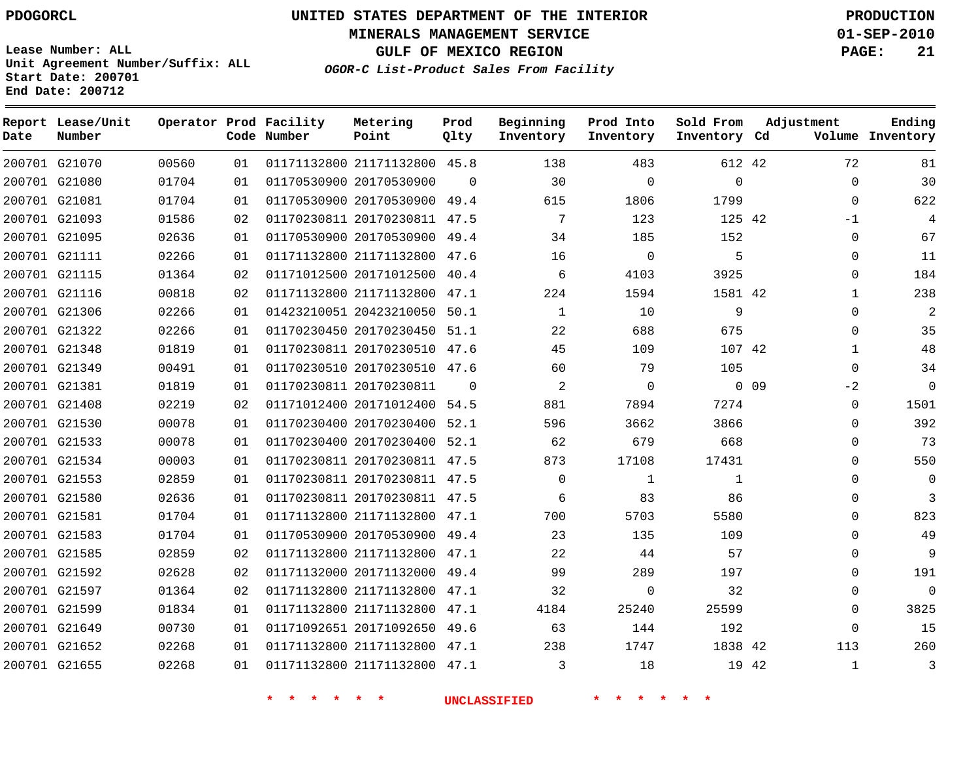# **UNITED STATES DEPARTMENT OF THE INTERIOR PDOGORCL PRODUCTION**

**MINERALS MANAGEMENT SERVICE 01-SEP-2010**

**GULF OF MEXICO REGION PAGE: 21**

**Unit Agreement Number/Suffix: ALL Start Date: 200701 End Date: 200712**

**OGOR-C List-Product Sales From Facility**

| Date | Report Lease/Unit<br>Number |       |    | Operator Prod Facility<br>Code Number | Metering<br>Point            | Prod<br>Qlty | Beginning<br>Inventory | Prod Into<br>Inventory | Sold From<br>Inventory Cd | Adjustment      |              | Ending<br>Volume Inventory |
|------|-----------------------------|-------|----|---------------------------------------|------------------------------|--------------|------------------------|------------------------|---------------------------|-----------------|--------------|----------------------------|
|      | 200701 G21070               | 00560 | 01 |                                       | 01171132800 21171132800 45.8 |              | 138                    | 483                    | 612 42                    |                 | 72           | 81                         |
|      | 200701 G21080               | 01704 | 01 |                                       | 01170530900 20170530900      | $\Omega$     | 30                     | $\Omega$               | $\Omega$                  |                 | $\Omega$     | 30                         |
|      | 200701 G21081               | 01704 | 01 |                                       | 01170530900 20170530900 49.4 |              | 615                    | 1806                   | 1799                      |                 | $\Omega$     | 622                        |
|      | 200701 G21093               | 01586 | 02 |                                       | 01170230811 20170230811 47.5 |              | 7                      | 123                    | 125 42                    |                 | $-1$         | 4                          |
|      | 200701 G21095               | 02636 | 01 |                                       | 01170530900 20170530900 49.4 |              | 34                     | 185                    | 152                       |                 | $\Omega$     | 67                         |
|      | 200701 G21111               | 02266 | 01 |                                       | 01171132800 21171132800 47.6 |              | 16                     | $\Omega$               | 5                         |                 | $\Omega$     | 11                         |
|      | 200701 G21115               | 01364 | 02 |                                       | 01171012500 20171012500      | 40.4         | 6                      | 4103                   | 3925                      |                 | $\Omega$     | 184                        |
|      | 200701 G21116               | 00818 | 02 |                                       | 01171132800 21171132800 47.1 |              | 224                    | 1594                   | 1581 42                   |                 | $\mathbf{1}$ | 238                        |
|      | 200701 G21306               | 02266 | 01 |                                       | 01423210051 20423210050      | 50.1         | $\mathbf{1}$           | 10                     | 9                         |                 | $\Omega$     | $\overline{2}$             |
|      | 200701 G21322               | 02266 | 01 |                                       | 01170230450 20170230450 51.1 |              | 22                     | 688                    | 675                       |                 | $\Omega$     | 35                         |
|      | 200701 G21348               | 01819 | 01 |                                       | 01170230811 20170230510 47.6 |              | 45                     | 109                    | 107 42                    |                 | $\mathbf{1}$ | 48                         |
|      | 200701 G21349               | 00491 | 01 |                                       | 01170230510 20170230510 47.6 |              | 60                     | 79                     | 105                       |                 | $\Omega$     | 34                         |
|      | 200701 G21381               | 01819 | 01 |                                       | 01170230811 20170230811      | $\Omega$     | 2                      | $\mathbf 0$            |                           | 0 <sub>09</sub> | $-2$         | $\mathbf 0$                |
|      | 200701 G21408               | 02219 | 02 |                                       | 01171012400 20171012400      | 54.5         | 881                    | 7894                   | 7274                      |                 | $\Omega$     | 1501                       |
|      | 200701 G21530               | 00078 | 01 |                                       | 01170230400 20170230400      | 52.1         | 596                    | 3662                   | 3866                      |                 | $\Omega$     | 392                        |
|      | 200701 G21533               | 00078 | 01 |                                       | 01170230400 20170230400      | 52.1         | 62                     | 679                    | 668                       |                 | $\Omega$     | 73                         |
|      | 200701 G21534               | 00003 | 01 |                                       | 01170230811 20170230811 47.5 |              | 873                    | 17108                  | 17431                     |                 | $\Omega$     | 550                        |
|      | 200701 G21553               | 02859 | 01 |                                       | 01170230811 20170230811 47.5 |              | $\mathbf 0$            | $\mathbf{1}$           | 1                         |                 | $\Omega$     | $\mathbf 0$                |
|      | 200701 G21580               | 02636 | 01 |                                       | 01170230811 20170230811 47.5 |              | 6                      | 83                     | 86                        |                 | $\Omega$     | 3                          |
|      | 200701 G21581               | 01704 | 01 |                                       | 01171132800 21171132800 47.1 |              | 700                    | 5703                   | 5580                      |                 | $\Omega$     | 823                        |
|      | 200701 G21583               | 01704 | 01 |                                       | 01170530900 20170530900 49.4 |              | 23                     | 135                    | 109                       |                 | $\Omega$     | 49                         |
|      | 200701 G21585               | 02859 | 02 |                                       | 01171132800 21171132800 47.1 |              | 22                     | 44                     | 57                        |                 | $\Omega$     | 9                          |
|      | 200701 G21592               | 02628 | 02 |                                       | 01171132000 20171132000 49.4 |              | 99                     | 289                    | 197                       |                 | $\Omega$     | 191                        |
|      | 200701 G21597               | 01364 | 02 |                                       | 01171132800 21171132800      | 47.1         | 32                     | $\mathbf 0$            | 32                        |                 | $\Omega$     | $\mathbf 0$                |
|      | 200701 G21599               | 01834 | 01 |                                       | 01171132800 21171132800 47.1 |              | 4184                   | 25240                  | 25599                     |                 | $\Omega$     | 3825                       |
|      | 200701 G21649               | 00730 | 01 |                                       | 01171092651 20171092650 49.6 |              | 63                     | 144                    | 192                       |                 | $\Omega$     | 15                         |
|      | 200701 G21652               | 02268 | 01 |                                       | 01171132800 21171132800 47.1 |              | 238                    | 1747                   | 1838 42                   |                 | 113          | 260                        |
|      | 200701 G21655               | 02268 | 01 |                                       | 01171132800 21171132800 47.1 |              | 3                      | 18                     | 19 42                     |                 | $\mathbf{1}$ | 3                          |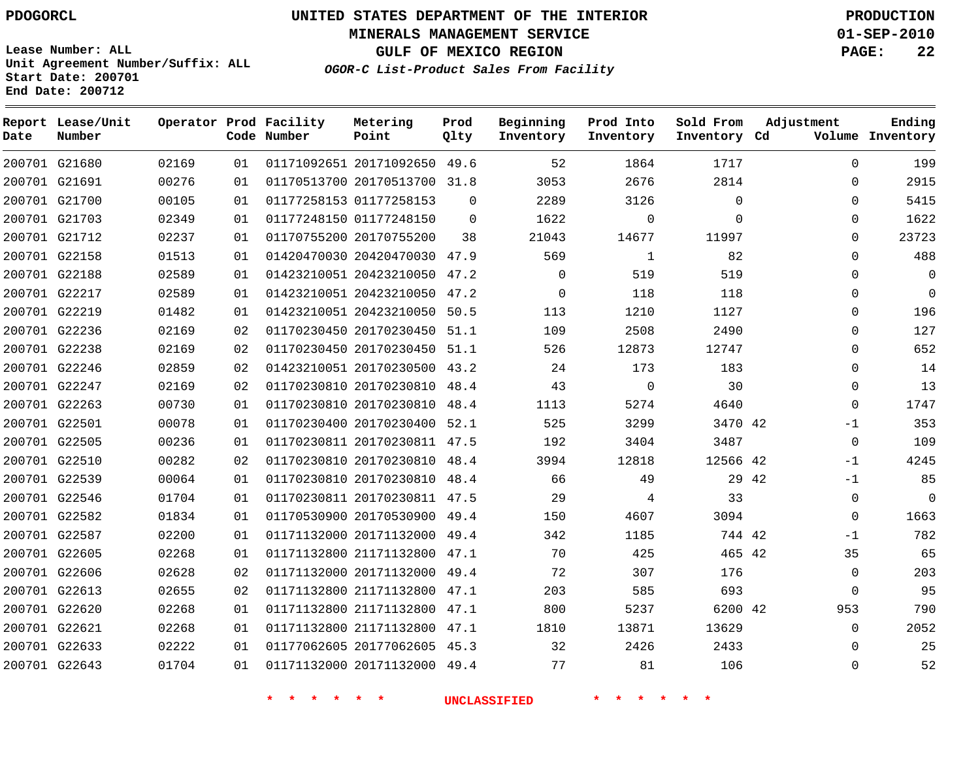**Start Date: 200701 End Date: 200712**

**Unit Agreement Number/Suffix: ALL**

# **UNITED STATES DEPARTMENT OF THE INTERIOR PDOGORCL PRODUCTION**

**MINERALS MANAGEMENT SERVICE 01-SEP-2010**

**GULF OF MEXICO REGION PAGE: 22**

**OGOR-C List-Product Sales From Facility**

| Date | Report Lease/Unit<br>Number |       |    | Operator Prod Facility<br>Code Number | Metering<br>Point            | Prod<br>Qlty | Beginning<br>Inventory | Prod Into<br>Inventory | Sold From<br>Inventory Cd | Adjustment  | Ending<br>Volume Inventory |
|------|-----------------------------|-------|----|---------------------------------------|------------------------------|--------------|------------------------|------------------------|---------------------------|-------------|----------------------------|
|      | 200701 G21680               | 02169 | 01 |                                       | 01171092651 20171092650 49.6 |              | 52                     | 1864                   | 1717                      | $\Omega$    | 199                        |
|      | 200701 G21691               | 00276 | 01 |                                       | 01170513700 20170513700      | 31.8         | 3053                   | 2676                   | 2814                      | $\Omega$    | 2915                       |
|      | 200701 G21700               | 00105 | 01 |                                       | 01177258153 01177258153      | $\Omega$     | 2289                   | 3126                   | $\mathbf 0$               | $\Omega$    | 5415                       |
|      | 200701 G21703               | 02349 | 01 |                                       | 01177248150 01177248150      | $\Omega$     | 1622                   | 0                      | $\mathbf{0}$              | 0           | 1622                       |
|      | 200701 G21712               | 02237 | 01 |                                       | 01170755200 20170755200      | 38           | 21043                  | 14677                  | 11997                     | $\Omega$    | 23723                      |
|      | 200701 G22158               | 01513 | 01 |                                       | 01420470030 20420470030      | 47.9         | 569                    | 1                      | 82                        | $\Omega$    | 488                        |
|      | 200701 G22188               | 02589 | 01 |                                       | 01423210051 20423210050      | 47.2         | $\mathbf 0$            | 519                    | 519                       | $\Omega$    | $\overline{0}$             |
|      | 200701 G22217               | 02589 | 01 |                                       | 01423210051 20423210050      | 47.2         | $\mathbf 0$            | 118                    | 118                       | $\Omega$    | $\Omega$                   |
|      | 200701 G22219               | 01482 | 01 |                                       | 01423210051 20423210050      | 50.5         | 113                    | 1210                   | 1127                      | $\Omega$    | 196                        |
|      | 200701 G22236               | 02169 | 02 |                                       | 01170230450 20170230450      | 51.1         | 109                    | 2508                   | 2490                      | 0           | 127                        |
|      | 200701 G22238               | 02169 | 02 |                                       | 01170230450 20170230450      | 51.1         | 526                    | 12873                  | 12747                     | $\Omega$    | 652                        |
|      | 200701 G22246               | 02859 | 02 |                                       | 01423210051 20170230500      | 43.2         | 24                     | 173                    | 183                       | $\Omega$    | 14                         |
|      | 200701 G22247               | 02169 | 02 |                                       | 01170230810 20170230810      | 48.4         | 43                     | $\mathbf 0$            | 30                        | $\Omega$    | 13                         |
|      | 200701 G22263               | 00730 | 01 |                                       | 01170230810 20170230810      | 48.4         | 1113                   | 5274                   | 4640                      | $\Omega$    | 1747                       |
|      | 200701 G22501               | 00078 | 01 |                                       | 01170230400 20170230400      | 52.1         | 525                    | 3299                   | 3470 42                   | $-1$        | 353                        |
|      | 200701 G22505               | 00236 | 01 |                                       | 01170230811 20170230811 47.5 |              | 192                    | 3404                   | 3487                      | $\mathbf 0$ | 109                        |
|      | 200701 G22510               | 00282 | 02 |                                       | 01170230810 20170230810      | 48.4         | 3994                   | 12818                  | 12566 42                  | $-1$        | 4245                       |
|      | 200701 G22539               | 00064 | 01 |                                       | 01170230810 20170230810 48.4 |              | 66                     | 49                     | 29 42                     | $-1$        | 85                         |
|      | 200701 G22546               | 01704 | 01 |                                       | 01170230811 20170230811 47.5 |              | 29                     | 4                      | 33                        | 0           | $\overline{0}$             |
|      | 200701 G22582               | 01834 | 01 |                                       | 01170530900 20170530900 49.4 |              | 150                    | 4607                   | 3094                      | $\Omega$    | 1663                       |
|      | 200701 G22587               | 02200 | 01 |                                       | 01171132000 20171132000      | 49.4         | 342                    | 1185                   | 744 42                    | $-1$        | 782                        |
|      | 200701 G22605               | 02268 | 01 |                                       | 01171132800 21171132800      | 47.1         | 70                     | 425                    | 465 42                    | 35          | 65                         |
|      | 200701 G22606               | 02628 | 02 |                                       | 01171132000 20171132000      | 49.4         | 72                     | 307                    | 176                       | $\mathbf 0$ | 203                        |
|      | 200701 G22613               | 02655 | 02 |                                       | 01171132800 21171132800      | 47.1         | 203                    | 585                    | 693                       | $\mathbf 0$ | 95                         |
|      | 200701 G22620               | 02268 | 01 |                                       | 01171132800 21171132800      | 47.1         | 800                    | 5237                   | 6200 42                   | 953         | 790                        |
|      | 200701 G22621               | 02268 | 01 |                                       | 01171132800 21171132800      | 47.1         | 1810                   | 13871                  | 13629                     | $\Omega$    | 2052                       |
|      | 200701 G22633               | 02222 | 01 |                                       | 01177062605 20177062605      | 45.3         | 32                     | 2426                   | 2433                      | $\Omega$    | 25                         |
|      | 200701 G22643               | 01704 | 01 |                                       | 01171132000 20171132000      | 49.4         | 77                     | 81                     | 106                       | $\Omega$    | 52                         |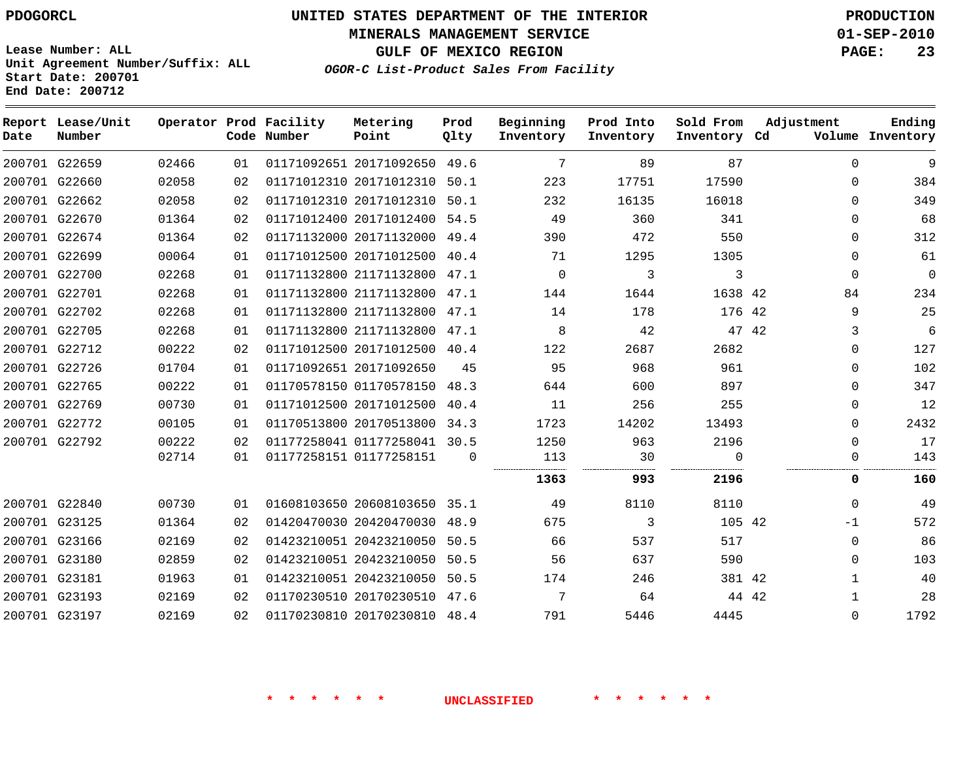**MINERALS MANAGEMENT SERVICE 01-SEP-2010**

**GULF OF MEXICO REGION PAGE: 23**

**Lease Number: ALL Unit Agreement Number/Suffix: ALL Start Date: 200701 End Date: 200712**

**OGOR-C List-Product Sales From Facility**

| Date | Report Lease/Unit<br>Number |       |    | Operator Prod Facility<br>Code Number | Metering<br>Point            | Prod<br>Qlty | Beginning<br>Inventory | Prod Into<br>Inventory | Sold From<br>Inventory Cd | Adjustment |              | Ending<br>Volume Inventory |
|------|-----------------------------|-------|----|---------------------------------------|------------------------------|--------------|------------------------|------------------------|---------------------------|------------|--------------|----------------------------|
|      | 200701 G22659               | 02466 | 01 |                                       | 01171092651 20171092650 49.6 |              | $7\phantom{.0}$        | 89                     | 87                        |            | $\Omega$     | 9                          |
|      | 200701 G22660               | 02058 | 02 |                                       | 01171012310 20171012310      | 50.1         | 223                    | 17751                  | 17590                     |            | $\Omega$     | 384                        |
|      | 200701 G22662               | 02058 | 02 |                                       | 01171012310 20171012310 50.1 |              | 232                    | 16135                  | 16018                     |            | $\Omega$     | 349                        |
|      | 200701 G22670               | 01364 | 02 |                                       | 01171012400 20171012400      | 54.5         | 49                     | 360                    | 341                       |            | $\Omega$     | 68                         |
|      | 200701 G22674               | 01364 | 02 |                                       | 01171132000 20171132000 49.4 |              | 390                    | 472                    | 550                       |            | $\Omega$     | 312                        |
|      | 200701 G22699               | 00064 | 01 |                                       | 01171012500 20171012500 40.4 |              | 71                     | 1295                   | 1305                      |            | $\mathbf 0$  | 61                         |
|      | 200701 G22700               | 02268 | 01 |                                       | 01171132800 21171132800      | 47.1         | $\mathbf 0$            | 3                      | 3                         |            | $\mathbf 0$  | $\Omega$                   |
|      | 200701 G22701               | 02268 | 01 |                                       | 01171132800 21171132800 47.1 |              | 144                    | 1644                   | 1638 42                   |            | 84           | 234                        |
|      | 200701 G22702               | 02268 | 01 |                                       | 01171132800 21171132800 47.1 |              | 14                     | 178                    | 176 42                    |            | 9            | 25                         |
|      | 200701 G22705               | 02268 | 01 |                                       | 01171132800 21171132800      | 47.1         | 8                      | 42                     | 47 42                     |            | 3            | 6                          |
|      | 200701 G22712               | 00222 | 02 |                                       | 01171012500 20171012500 40.4 |              | 122                    | 2687                   | 2682                      |            | $\mathbf 0$  | 127                        |
|      | 200701 G22726               | 01704 | 01 |                                       | 01171092651 20171092650      | 45           | 95                     | 968                    | 961                       |            | $\Omega$     | 102                        |
|      | 200701 G22765               | 00222 | 01 |                                       | 01170578150 01170578150      | 48.3         | 644                    | 600                    | 897                       |            | $\Omega$     | 347                        |
|      | 200701 G22769               | 00730 | 01 |                                       | 01171012500 20171012500      | 40.4         | 11                     | 256                    | 255                       |            | $\mathbf 0$  | 12                         |
|      | 200701 G22772               | 00105 | 01 |                                       | 01170513800 20170513800      | 34.3         | 1723                   | 14202                  | 13493                     |            | $\Omega$     | 2432                       |
|      | 200701 G22792               | 00222 | 02 |                                       | 01177258041 01177258041 30.5 |              | 1250                   | 963                    | 2196                      |            | $\Omega$     | 17                         |
|      |                             | 02714 | 01 |                                       | 01177258151 01177258151      | $\Omega$     | 113                    | 30                     | $\Omega$                  |            | 0            | 143                        |
|      |                             |       |    |                                       |                              |              | 1363                   | 993                    | 2196                      |            | 0            | 160                        |
|      | 200701 G22840               | 00730 | 01 |                                       | 01608103650 20608103650 35.1 |              | 49                     | 8110                   | 8110                      |            | $\Omega$     | 49                         |
|      | 200701 G23125               | 01364 | 02 |                                       | 01420470030 20420470030      | 48.9         | 675                    | 3                      | 105 42                    |            | -1           | 572                        |
|      | 200701 G23166               | 02169 | 02 |                                       | 01423210051 20423210050 50.5 |              | 66                     | 537                    | 517                       |            | $\Omega$     | 86                         |
|      | 200701 G23180               | 02859 | 02 |                                       | 01423210051 20423210050      | 50.5         | 56                     | 637                    | 590                       |            | $\Omega$     | 103                        |
|      | 200701 G23181               | 01963 | 01 |                                       | 01423210051 20423210050 50.5 |              | 174                    | 246                    | 381 42                    |            | $\mathbf{1}$ | 40                         |
|      | 200701 G23193               | 02169 | 02 |                                       | 01170230510 20170230510 47.6 |              | 7                      | 64                     | 44 42                     |            | 1            | 28                         |
|      | 200701 G23197               | 02169 | 02 |                                       | 01170230810 20170230810 48.4 |              | 791                    | 5446                   | 4445                      |            | $\Omega$     | 1792                       |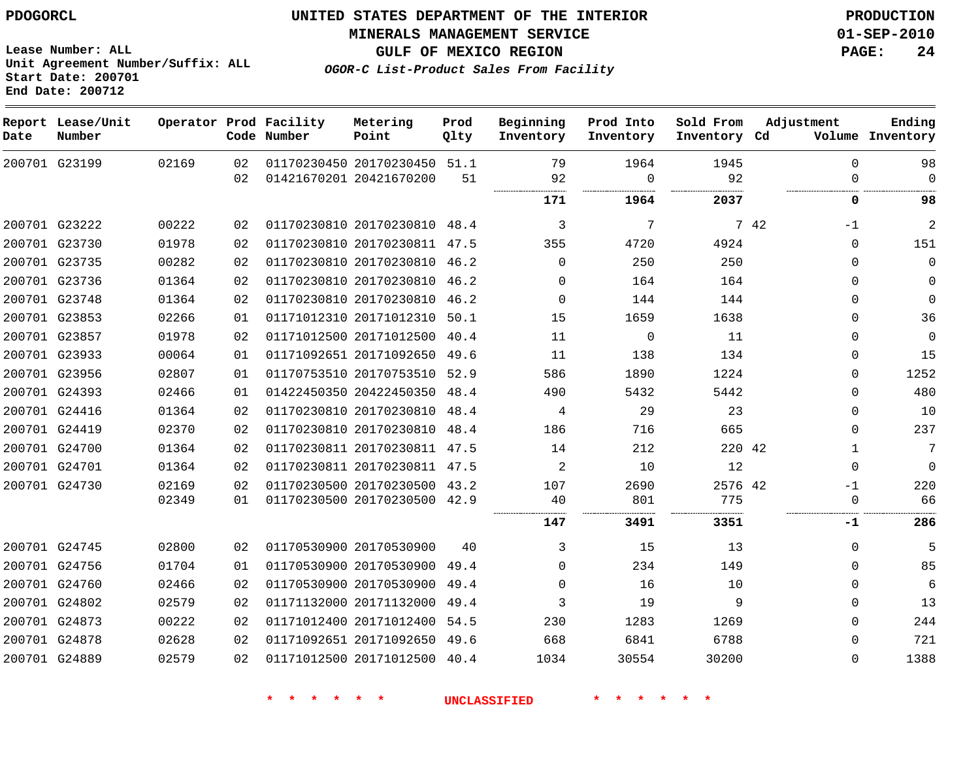**MINERALS MANAGEMENT SERVICE 01-SEP-2010**

**GULF OF MEXICO REGION PAGE: 24**

**OGOR-C List-Product Sales From Facility**

**Lease Number: ALL Unit Agreement Number/Suffix: ALL Start Date: 200701 End Date: 200712**

| Date | Report Lease/Unit<br>Number |       |    | Operator Prod Facility<br>Code Number | Metering<br>Point            | Prod<br>Qlty | Beginning<br>Inventory | Prod Into<br>Inventory | Sold From<br>Inventory Cd | Adjustment   | Ending<br>Volume Inventory |
|------|-----------------------------|-------|----|---------------------------------------|------------------------------|--------------|------------------------|------------------------|---------------------------|--------------|----------------------------|
|      | 200701 G23199               | 02169 | 02 |                                       | 01170230450 20170230450 51.1 |              | 79                     | 1964                   | 1945                      | $\Omega$     | 98                         |
|      |                             |       | 02 |                                       | 01421670201 20421670200      | 51           | 92                     | $\Omega$               | 92                        | $\Omega$     | $\mathbf 0$                |
|      |                             |       |    |                                       |                              |              | 171                    | 1964                   | 2037                      | 0            | 98                         |
|      | 200701 G23222               | 00222 | 02 |                                       | 01170230810 20170230810 48.4 |              | 3                      | 7                      |                           | 7 42<br>$-1$ | $\overline{2}$             |
|      | 200701 G23730               | 01978 | 02 |                                       | 01170230810 20170230811 47.5 |              | 355                    | 4720                   | 4924                      | 0            | 151                        |
|      | 200701 G23735               | 00282 | 02 |                                       | 01170230810 20170230810 46.2 |              | 0                      | 250                    | 250                       | 0            | $\mathbf 0$                |
|      | 200701 G23736               | 01364 | 02 |                                       | 01170230810 20170230810 46.2 |              | $\Omega$               | 164                    | 164                       | $\Omega$     | $\mathbf 0$                |
|      | 200701 G23748               | 01364 | 02 |                                       | 01170230810 20170230810 46.2 |              | $\Omega$               | 144                    | 144                       | $\Omega$     | $\Omega$                   |
|      | 200701 G23853               | 02266 | 01 |                                       | 01171012310 20171012310 50.1 |              | 15                     | 1659                   | 1638                      | $\Omega$     | 36                         |
|      | 200701 G23857               | 01978 | 02 |                                       | 01171012500 20171012500      | 40.4         | 11                     | $\mathsf 0$            | 11                        | 0            | $\mathbf 0$                |
|      | 200701 G23933               | 00064 | 01 |                                       | 01171092651 20171092650 49.6 |              | 11                     | 138                    | 134                       | 0            | 15                         |
|      | 200701 G23956               | 02807 | 01 |                                       | 01170753510 20170753510 52.9 |              | 586                    | 1890                   | 1224                      | 0            | 1252                       |
|      | 200701 G24393               | 02466 | 01 |                                       | 01422450350 20422450350 48.4 |              | 490                    | 5432                   | 5442                      | $\Omega$     | 480                        |
|      | 200701 G24416               | 01364 | 02 |                                       | 01170230810 20170230810      | 48.4         | 4                      | 29                     | 23                        | $\mathbf{0}$ | 10                         |
|      | 200701 G24419               | 02370 | 02 |                                       | 01170230810 20170230810 48.4 |              | 186                    | 716                    | 665                       | $\Omega$     | 237                        |
|      | 200701 G24700               | 01364 | 02 |                                       | 01170230811 20170230811 47.5 |              | 14                     | 212                    | 220 42                    | $\mathbf{1}$ | $7\phantom{.0}$            |
|      | 200701 G24701               | 01364 | 02 |                                       | 01170230811 20170230811 47.5 |              | 2                      | 10                     | 12                        | $\mathbf 0$  | $\mathbf 0$                |
|      | 200701 G24730               | 02169 | 02 |                                       | 01170230500 20170230500 43.2 |              | 107                    | 2690                   | 2576 42                   | $-1$         | 220                        |
|      |                             | 02349 | 01 |                                       | 01170230500 20170230500 42.9 |              | 40                     | 801                    | 775                       | 0            | 66                         |
|      |                             |       |    |                                       |                              |              | 147                    | 3491                   | 3351                      | -1           | 286                        |
|      | 200701 G24745               | 02800 | 02 |                                       | 01170530900 20170530900      | 40           | 3                      | 15                     | 13                        | $\Omega$     | 5                          |
|      | 200701 G24756               | 01704 | 01 |                                       | 01170530900 20170530900      | 49.4         | $\Omega$               | 234                    | 149                       | $\Omega$     | 85                         |
|      | 200701 G24760               | 02466 | 02 |                                       | 01170530900 20170530900      | 49.4         | $\Omega$               | 16                     | 10                        | 0            | 6                          |
|      | 200701 G24802               | 02579 | 02 |                                       | 01171132000 20171132000      | 49.4         | 3                      | 19                     | 9                         | $\Omega$     | 13                         |
|      | 200701 G24873               | 00222 | 02 |                                       | 01171012400 20171012400      | 54.5         | 230                    | 1283                   | 1269                      | $\Omega$     | 244                        |
|      | 200701 G24878               | 02628 | 02 |                                       | 01171092651 20171092650 49.6 |              | 668                    | 6841                   | 6788                      | $\Omega$     | 721                        |
|      | 200701 G24889               | 02579 | 02 |                                       | 01171012500 20171012500 40.4 |              | 1034                   | 30554                  | 30200                     | $\Omega$     | 1388                       |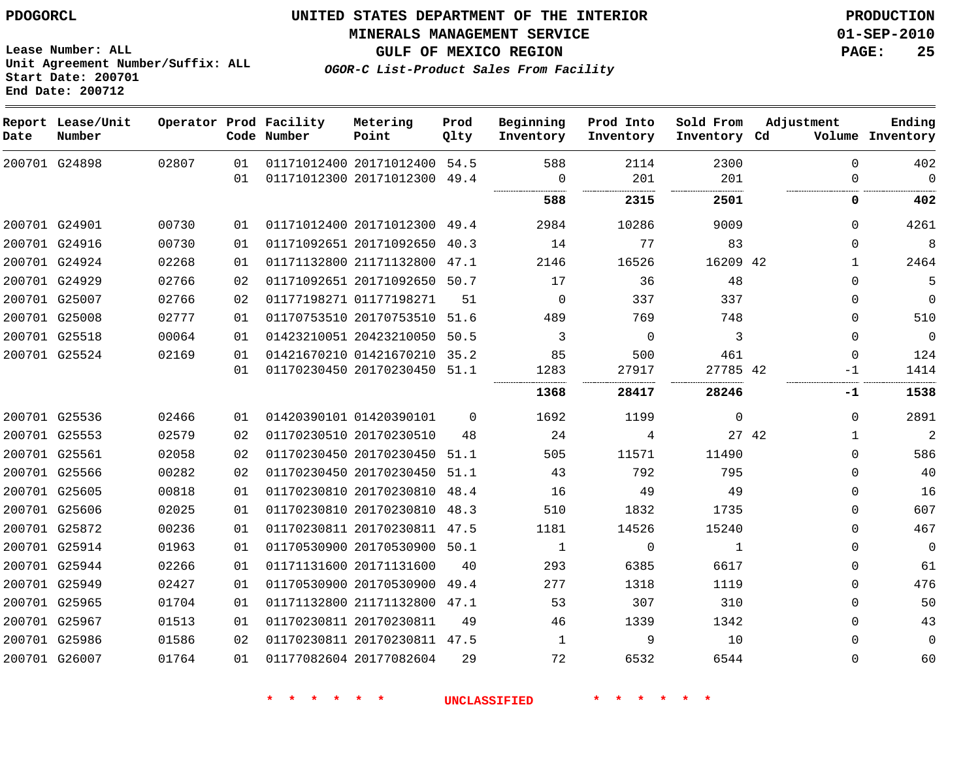**Start Date: 200701 End Date: 200712**

**Unit Agreement Number/Suffix: ALL**

# **UNITED STATES DEPARTMENT OF THE INTERIOR PDOGORCL PRODUCTION**

#### **MINERALS MANAGEMENT SERVICE 01-SEP-2010**

**GULF OF MEXICO REGION PAGE: 25**

**OGOR-C List-Product Sales From Facility**

| Date | Report Lease/Unit<br>Number |       |    | Operator Prod Facility<br>Code Number | Metering<br>Point            | Prod<br>Qlty | Beginning<br>Inventory | Prod Into<br>Inventory | Sold From<br>Inventory Cd | Adjustment           | Ending<br>Volume Inventory |
|------|-----------------------------|-------|----|---------------------------------------|------------------------------|--------------|------------------------|------------------------|---------------------------|----------------------|----------------------------|
|      | 200701 G24898               | 02807 | 01 |                                       | 01171012400 20171012400      | 54.5         | 588                    | 2114                   | 2300                      | $\mathbf 0$          | 402                        |
|      |                             |       | 01 |                                       | 01171012300 20171012300 49.4 |              | $\Omega$               | 201                    | 201                       | 0                    | $\overline{0}$             |
|      |                             |       |    |                                       |                              |              | <br>588                | 2315                   | 2501                      | 0                    | 402                        |
|      | 200701 G24901               | 00730 | 01 |                                       | 01171012400 20171012300 49.4 |              | 2984                   | 10286                  | 9009                      | $\Omega$             | 4261                       |
|      | 200701 G24916               | 00730 | 01 |                                       | 01171092651 20171092650      | 40.3         | 14                     | 77                     | 83                        | 0                    | 8                          |
|      | 200701 G24924               | 02268 | 01 |                                       | 01171132800 21171132800      | 47.1         | 2146                   | 16526                  | 16209 42                  | 1                    | 2464                       |
|      | 200701 G24929               | 02766 | 02 |                                       | 01171092651 20171092650 50.7 |              | 17                     | 36                     | 48                        | 0                    | 5                          |
|      | 200701 G25007               | 02766 | 02 |                                       | 01177198271 01177198271      | 51           | $\Omega$               | 337                    | 337                       | $\Omega$             | $\mathbf 0$                |
|      | 200701 G25008               | 02777 | 01 |                                       | 01170753510 20170753510      | 51.6         | 489                    | 769                    | 748                       | $\Omega$             | 510                        |
|      | 200701 G25518               | 00064 | 01 |                                       | 01423210051 20423210050      | 50.5         | 3                      | $\Omega$               | 3                         | $\Omega$             | $\overline{0}$             |
|      | 200701 G25524               | 02169 | 01 |                                       | 01421670210 01421670210 35.2 |              | 85                     | 500                    | 461                       | $\Omega$             | 124                        |
|      |                             |       | 01 |                                       | 01170230450 20170230450      | 51.1         | 1283                   | 27917                  | 27785 42                  | $-1$                 | 1414                       |
|      |                             |       |    |                                       |                              |              | 1368                   | 28417                  | .<br>28246                | -1                   | 1538                       |
|      | 200701 G25536               | 02466 | 01 |                                       | 01420390101 01420390101      | $\Omega$     | 1692                   | 1199                   | $\Omega$                  | $\Omega$             | 2891                       |
|      | 200701 G25553               | 02579 | 02 |                                       | 01170230510 20170230510      | 48           | 24                     | 4                      |                           | 27 42<br>$\mathbf 1$ | $\overline{2}$             |
|      | 200701 G25561               | 02058 | 02 |                                       | 01170230450 20170230450      | 51.1         | 505                    | 11571                  | 11490                     | 0                    | 586                        |
|      | 200701 G25566               | 00282 | 02 |                                       | 01170230450 20170230450      | 51.1         | 43                     | 792                    | 795                       | 0                    | 40                         |
|      | 200701 G25605               | 00818 | 01 |                                       | 01170230810 20170230810      | 48.4         | 16                     | 49                     | 49                        | $\Omega$             | 16                         |
|      | 200701 G25606               | 02025 | 01 |                                       | 01170230810 20170230810      | 48.3         | 510                    | 1832                   | 1735                      | $\Omega$             | 607                        |
|      | 200701 G25872               | 00236 | 01 |                                       | 01170230811 20170230811 47.5 |              | 1181                   | 14526                  | 15240                     | $\Omega$             | 467                        |
|      | 200701 G25914               | 01963 | 01 |                                       | 01170530900 20170530900 50.1 |              | 1                      | $\mathbf 0$            | 1                         | 0                    | $\overline{0}$             |
|      | 200701 G25944               | 02266 | 01 |                                       | 01171131600 20171131600      | 40           | 293                    | 6385                   | 6617                      | 0                    | 61                         |
|      | 200701 G25949               | 02427 | 01 |                                       | 01170530900 20170530900      | 49.4         | 277                    | 1318                   | 1119                      | 0                    | 476                        |
|      | 200701 G25965               | 01704 | 01 |                                       | 01171132800 21171132800 47.1 |              | 53                     | 307                    | 310                       | $\Omega$             | 50                         |
|      | 200701 G25967               | 01513 | 01 |                                       | 01170230811 20170230811      | 49           | 46                     | 1339                   | 1342                      | 0                    | 43                         |
|      | 200701 G25986               | 01586 | 02 |                                       | 01170230811 20170230811 47.5 |              | 1                      | 9                      | 10                        | $\Omega$             | $\mathbf 0$                |
|      | 200701 G26007               | 01764 | 01 |                                       | 01177082604 20177082604      | 29           | 72                     | 6532                   | 6544                      | $\Omega$             | 60                         |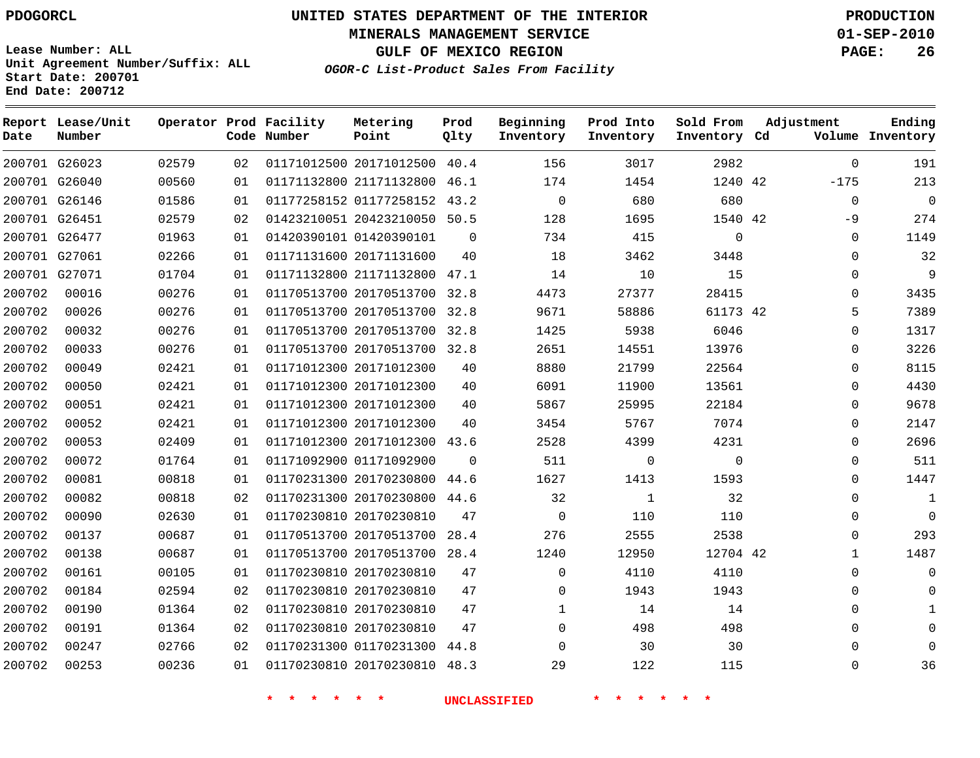**Start Date: 200701 End Date: 200712**

**Unit Agreement Number/Suffix: ALL**

# **UNITED STATES DEPARTMENT OF THE INTERIOR PDOGORCL PRODUCTION**

**MINERALS MANAGEMENT SERVICE 01-SEP-2010**

**GULF OF MEXICO REGION PAGE: 26**

**OGOR-C List-Product Sales From Facility**

| Date   | Report Lease/Unit<br>Number |       |    | Operator Prod Facility<br>Code Number | Metering<br>Point            | Prod<br>Qlty | Beginning<br>Inventory | Prod Into<br>Inventory | Sold From<br>Inventory Cd | Adjustment   | Ending<br>Volume Inventory |
|--------|-----------------------------|-------|----|---------------------------------------|------------------------------|--------------|------------------------|------------------------|---------------------------|--------------|----------------------------|
|        | 200701 G26023               | 02579 | 02 |                                       | 01171012500 20171012500 40.4 |              | 156                    | 3017                   | 2982                      | $\Omega$     | 191                        |
|        | 200701 G26040               | 00560 | 01 |                                       | 01171132800 21171132800      | 46.1         | 174                    | 1454                   | 1240 42                   | $-175$       | 213                        |
|        | 200701 G26146               | 01586 | 01 |                                       | 01177258152 01177258152 43.2 |              | $\mathbf 0$            | 680                    | 680                       | $\Omega$     | $\overline{0}$             |
|        | 200701 G26451               | 02579 | 02 |                                       | 01423210051 20423210050      | 50.5         | 128                    | 1695                   | 1540 42                   | $-9$         | 274                        |
|        | 200701 G26477               | 01963 | 01 |                                       | 01420390101 01420390101      | $\Omega$     | 734                    | 415                    | $\Omega$                  | $\Omega$     | 1149                       |
|        | 200701 G27061               | 02266 | 01 |                                       | 01171131600 20171131600      | 40           | 18                     | 3462                   | 3448                      | $\mathbf 0$  | 32                         |
|        | 200701 G27071               | 01704 | 01 |                                       | 01171132800 21171132800 47.1 |              | 14                     | 10                     | 15                        | $\mathbf 0$  | $\overline{9}$             |
| 200702 | 00016                       | 00276 | 01 |                                       | 01170513700 20170513700      | 32.8         | 4473                   | 27377                  | 28415                     | 0            | 3435                       |
| 200702 | 00026                       | 00276 | 01 |                                       | 01170513700 20170513700      | 32.8         | 9671                   | 58886                  | 61173 42                  | 5            | 7389                       |
| 200702 | 00032                       | 00276 | 01 |                                       | 01170513700 20170513700      | 32.8         | 1425                   | 5938                   | 6046                      | 0            | 1317                       |
| 200702 | 00033                       | 00276 | 01 |                                       | 01170513700 20170513700      | 32.8         | 2651                   | 14551                  | 13976                     | $\Omega$     | 3226                       |
| 200702 | 00049                       | 02421 | 01 |                                       | 01171012300 20171012300      | 40           | 8880                   | 21799                  | 22564                     | $\Omega$     | 8115                       |
| 200702 | 00050                       | 02421 | 01 |                                       | 01171012300 20171012300      | 40           | 6091                   | 11900                  | 13561                     | 0            | 4430                       |
| 200702 | 00051                       | 02421 | 01 |                                       | 01171012300 20171012300      | 40           | 5867                   | 25995                  | 22184                     | $\Omega$     | 9678                       |
| 200702 | 00052                       | 02421 | 01 |                                       | 01171012300 20171012300      | 40           | 3454                   | 5767                   | 7074                      | 0            | 2147                       |
| 200702 | 00053                       | 02409 | 01 |                                       | 01171012300 20171012300 43.6 |              | 2528                   | 4399                   | 4231                      | 0            | 2696                       |
| 200702 | 00072                       | 01764 | 01 |                                       | 01171092900 01171092900      | $\Omega$     | 511                    | $\mathbf 0$            | $\mathbf 0$               | 0            | 511                        |
| 200702 | 00081                       | 00818 | 01 |                                       | 01170231300 20170230800      | 44.6         | 1627                   | 1413                   | 1593                      | 0            | 1447                       |
| 200702 | 00082                       | 00818 | 02 |                                       | 01170231300 20170230800      | 44.6         | 32                     | $\mathbf{1}$           | 32                        | 0            | 1                          |
| 200702 | 00090                       | 02630 | 01 |                                       | 01170230810 20170230810      | 47           | $\mathbf 0$            | 110                    | 110                       | $\Omega$     | $\mathbf 0$                |
| 200702 | 00137                       | 00687 | 01 |                                       | 01170513700 20170513700      | 28.4         | 276                    | 2555                   | 2538                      | 0            | 293                        |
| 200702 | 00138                       | 00687 | 01 |                                       | 01170513700 20170513700 28.4 |              | 1240                   | 12950                  | 12704 42                  | $\mathbf{1}$ | 1487                       |
| 200702 | 00161                       | 00105 | 01 |                                       | 01170230810 20170230810      | 47           | $\mathbf 0$            | 4110                   | 4110                      | $\mathbf 0$  | $\mathbf 0$                |
| 200702 | 00184                       | 02594 | 02 |                                       | 01170230810 20170230810      | 47           | 0                      | 1943                   | 1943                      | 0            | $\mathbf 0$                |
| 200702 | 00190                       | 01364 | 02 |                                       | 01170230810 20170230810      | 47           | $\mathbf{1}$           | 14                     | 14                        | $\Omega$     | 1                          |
| 200702 | 00191                       | 01364 | 02 |                                       | 01170230810 20170230810      | 47           | 0                      | 498                    | 498                       | $\mathbf 0$  | $\mathbf 0$                |
| 200702 | 00247                       | 02766 | 02 |                                       | 01170231300 01170231300      | 44.8         | $\mathbf 0$            | 30                     | 30                        | $\mathbf 0$  | $\mathbf 0$                |
| 200702 | 00253                       | 00236 | 01 |                                       | 01170230810 20170230810      | 48.3         | 29                     | 122                    | 115                       | $\Omega$     | 36                         |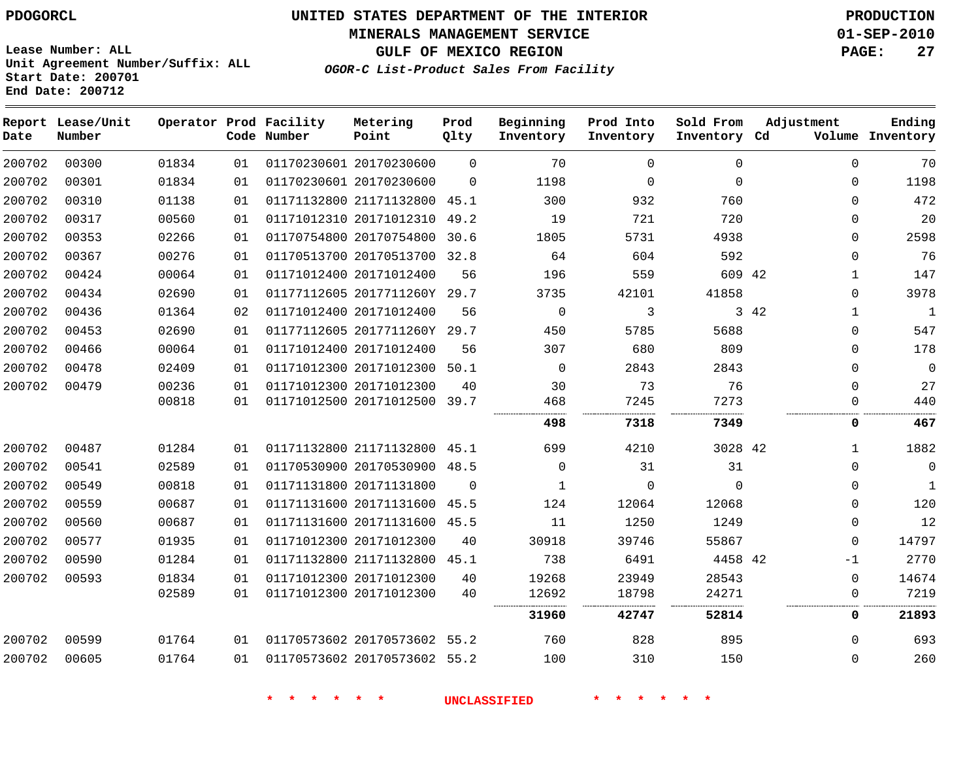**MINERALS MANAGEMENT SERVICE 01-SEP-2010**

**GULF OF MEXICO REGION PAGE: 27**

**Lease Number: ALL Unit Agreement Number/Suffix: ALL Start Date: 200701 End Date: 200712**

**OGOR-C List-Product Sales From Facility**

| Date   | Report Lease/Unit<br>Number |       |    | Operator Prod Facility<br>Code Number | Metering<br>Point            | Prod<br>Qlty | Beginning<br>Inventory | Prod Into<br>Inventory | Sold From<br>Inventory Cd | Adjustment           | Ending<br>Volume Inventory |
|--------|-----------------------------|-------|----|---------------------------------------|------------------------------|--------------|------------------------|------------------------|---------------------------|----------------------|----------------------------|
| 200702 | 00300                       | 01834 | 01 |                                       | 01170230601 20170230600      | $\Omega$     | 70                     | 0                      | $\Omega$                  | $\Omega$             | 70                         |
| 200702 | 00301                       | 01834 | 01 |                                       | 01170230601 20170230600      | $\Omega$     | 1198                   | $\mathbf 0$            | $\Omega$                  | $\Omega$             | 1198                       |
| 200702 | 00310                       | 01138 | 01 |                                       | 01171132800 21171132800      | 45.1         | 300                    | 932                    | 760                       | $\Omega$             | 472                        |
| 200702 | 00317                       | 00560 | 01 |                                       | 01171012310 20171012310      | 49.2         | 19                     | 721                    | 720                       | 0                    | 20                         |
| 200702 | 00353                       | 02266 | 01 |                                       | 01170754800 20170754800      | 30.6         | 1805                   | 5731                   | 4938                      | 0                    | 2598                       |
| 200702 | 00367                       | 00276 | 01 |                                       | 01170513700 20170513700 32.8 |              | 64                     | 604                    | 592                       | $\Omega$             | 76                         |
| 200702 | 00424                       | 00064 | 01 |                                       | 01171012400 20171012400      | 56           | 196                    | 559                    | 609 42                    | $\mathbf{1}$         | 147                        |
| 200702 | 00434                       | 02690 | 01 |                                       | 01177112605 2017711260Y 29.7 |              | 3735                   | 42101                  | 41858                     | $\Omega$             | 3978                       |
| 200702 | 00436                       | 01364 | 02 |                                       | 01171012400 20171012400      | 56           | $\Omega$               | 3                      |                           | 3 42<br>$\mathbf{1}$ | $\mathbf{1}$               |
| 200702 | 00453                       | 02690 | 01 |                                       | 01177112605 2017711260Y 29.7 |              | 450                    | 5785                   | 5688                      | $\Omega$             | 547                        |
| 200702 | 00466                       | 00064 | 01 |                                       | 01171012400 20171012400      | 56           | 307                    | 680                    | 809                       | $\Omega$             | 178                        |
| 200702 | 00478                       | 02409 | 01 |                                       | 01171012300 20171012300      | 50.1         | $\Omega$               | 2843                   | 2843                      | $\Omega$             | $\mathbf{0}$               |
| 200702 | 00479                       | 00236 | 01 |                                       | 01171012300 20171012300      | 40           | 30                     | 73                     | 76                        | $\Omega$             | 27                         |
|        |                             | 00818 | 01 |                                       | 01171012500 20171012500      | 39.7         | 468                    | 7245                   | 7273                      | 0                    | 440                        |
|        |                             |       |    |                                       |                              |              | 498                    | 7318                   | 7349                      | 0                    | 467                        |
| 200702 | 00487                       | 01284 | 01 |                                       | 01171132800 21171132800 45.1 |              | 699                    | 4210                   | 3028 42                   | $\mathbf{1}$         | 1882                       |
| 200702 | 00541                       | 02589 | 01 |                                       | 01170530900 20170530900      | 48.5         | $\Omega$               | 31                     | 31                        | $\Omega$             | $\mathbf 0$                |
| 200702 | 00549                       | 00818 | 01 |                                       | 01171131800 20171131800      | $\mathbf 0$  | 1                      | 0                      | $\Omega$                  | 0                    | $\mathbf{1}$               |
| 200702 | 00559                       | 00687 | 01 |                                       | 01171131600 20171131600      | 45.5         | 124                    | 12064                  | 12068                     | $\Omega$             | 120                        |
| 200702 | 00560                       | 00687 | 01 |                                       | 01171131600 20171131600 45.5 |              | 11                     | 1250                   | 1249                      | 0                    | 12                         |
| 200702 | 00577                       | 01935 | 01 |                                       | 01171012300 20171012300      | 40           | 30918                  | 39746                  | 55867                     | $\Omega$             | 14797                      |
| 200702 | 00590                       | 01284 | 01 |                                       | 01171132800 21171132800      | 45.1         | 738                    | 6491                   | 4458 42                   | $-1$                 | 2770                       |
| 200702 | 00593                       | 01834 | 01 |                                       | 01171012300 20171012300      | 40           | 19268                  | 23949                  | 28543                     | $\Omega$             | 14674                      |
|        |                             | 02589 | 01 |                                       | 01171012300 20171012300      | 40           | 12692                  | 18798                  | 24271                     | 0                    | 7219                       |
|        |                             |       |    |                                       |                              |              | 31960                  | 42747                  | 52814                     | 0                    | 21893                      |
| 200702 | 00599                       | 01764 | 01 |                                       | 01170573602 20170573602 55.2 |              | 760                    | 828                    | 895                       | $\Omega$             | 693                        |
| 200702 | 00605                       | 01764 | 01 |                                       | 01170573602 20170573602 55.2 |              | 100                    | 310                    | 150                       | $\Omega$             | 260                        |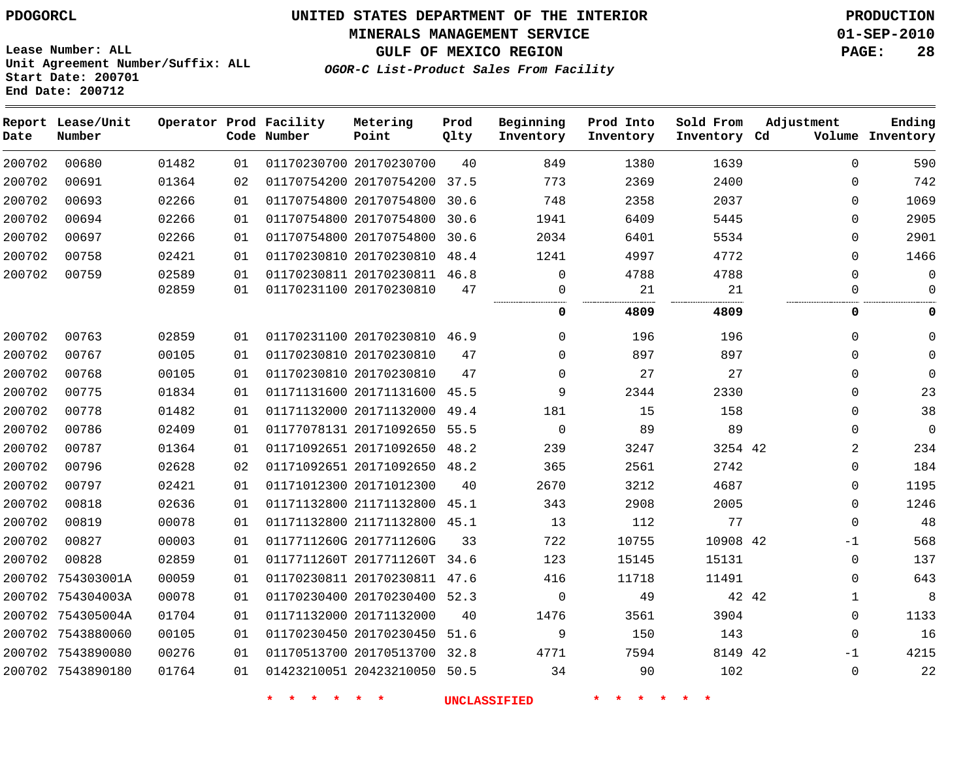#### **MINERALS MANAGEMENT SERVICE 01-SEP-2010**

**GULF OF MEXICO REGION PAGE: 28**

**Lease Number: ALL Unit Agreement Number/Suffix: ALL Start Date: 200701 End Date: 200712**

**OGOR-C List-Product Sales From Facility**

| Date   | Report Lease/Unit<br>Number |       |    | Operator Prod Facility<br>Code Number | Metering<br>Point            | Prod<br>Qlty | Beginning<br>Inventory | Prod Into<br>Inventory | Sold From<br>Inventory Cd | Adjustment   | Ending<br>Volume Inventory |
|--------|-----------------------------|-------|----|---------------------------------------|------------------------------|--------------|------------------------|------------------------|---------------------------|--------------|----------------------------|
| 200702 | 00680                       | 01482 | 01 |                                       | 01170230700 20170230700      | 40           | 849                    | 1380                   | 1639                      | $\mathbf 0$  | 590                        |
| 200702 | 00691                       | 01364 | 02 |                                       | 01170754200 20170754200 37.5 |              | 773                    | 2369                   | 2400                      | $\mathbf 0$  | 742                        |
| 200702 | 00693                       | 02266 | 01 |                                       | 01170754800 20170754800      | 30.6         | 748                    | 2358                   | 2037                      | $\mathbf 0$  | 1069                       |
| 200702 | 00694                       | 02266 | 01 |                                       | 01170754800 20170754800      | 30.6         | 1941                   | 6409                   | 5445                      | $\mathbf 0$  | 2905                       |
| 200702 | 00697                       | 02266 | 01 |                                       | 01170754800 20170754800      | 30.6         | 2034                   | 6401                   | 5534                      | $\mathbf{0}$ | 2901                       |
| 200702 | 00758                       | 02421 | 01 |                                       | 01170230810 20170230810      | 48.4         | 1241                   | 4997                   | 4772                      | $\Omega$     | 1466                       |
| 200702 | 00759                       | 02589 | 01 |                                       | 01170230811 20170230811 46.8 |              | $\Omega$               | 4788                   | 4788                      | $\Omega$     | $\mathbf 0$                |
|        |                             | 02859 | 01 |                                       | 01170231100 20170230810      | 47           | 0                      | 21                     | 21                        | 0            | $\mathbf 0$                |
|        |                             |       |    |                                       |                              |              | 0                      | 4809                   | 4809                      | 0            | 0                          |
| 200702 | 00763                       | 02859 | 01 |                                       | 01170231100 20170230810 46.9 |              | $\Omega$               | 196                    | 196                       | 0            | $\Omega$                   |
| 200702 | 00767                       | 00105 | 01 |                                       | 01170230810 20170230810      | 47           | $\Omega$               | 897                    | 897                       | $\mathbf 0$  | $\Omega$                   |
| 200702 | 00768                       | 00105 | 01 |                                       | 01170230810 20170230810      | 47           | $\Omega$               | 27                     | 27                        | $\mathbf 0$  | $\Omega$                   |
| 200702 | 00775                       | 01834 | 01 |                                       | 01171131600 20171131600      | 45.5         | 9                      | 2344                   | 2330                      | 0            | 23                         |
| 200702 | 00778                       | 01482 | 01 |                                       | 01171132000 20171132000      | 49.4         | 181                    | 15                     | 158                       | $\mathbf 0$  | 38                         |
| 200702 | 00786                       | 02409 | 01 |                                       | 01177078131 20171092650      | 55.5         | $\mathbf 0$            | 89                     | 89                        | $\mathbf 0$  | $\overline{0}$             |
| 200702 | 00787                       | 01364 | 01 |                                       | 01171092651 20171092650 48.2 |              | 239                    | 3247                   | 3254 42                   | 2            | 234                        |
| 200702 | 00796                       | 02628 | 02 |                                       | 01171092651 20171092650 48.2 |              | 365                    | 2561                   | 2742                      | $\mathbf 0$  | 184                        |
| 200702 | 00797                       | 02421 | 01 |                                       | 01171012300 20171012300      | 40           | 2670                   | 3212                   | 4687                      | $\mathbf 0$  | 1195                       |
| 200702 | 00818                       | 02636 | 01 |                                       | 01171132800 21171132800      | 45.1         | 343                    | 2908                   | 2005                      | $\mathbf 0$  | 1246                       |
| 200702 | 00819                       | 00078 | 01 |                                       | 01171132800 21171132800      | 45.1         | 13                     | 112                    | 77                        | $\mathbf 0$  | 48                         |
| 200702 | 00827                       | 00003 | 01 |                                       | 0117711260G 2017711260G      | 33           | 722                    | 10755                  | 10908 42                  | $-1$         | 568                        |
| 200702 | 00828                       | 02859 | 01 |                                       | 0117711260T 2017711260T      | 34.6         | 123                    | 15145                  | 15131                     | 0            | 137                        |
|        | 200702 754303001A           | 00059 | 01 |                                       | 01170230811 20170230811 47.6 |              | 416                    | 11718                  | 11491                     | $\mathbf 0$  | 643                        |
|        | 200702 754304003A           | 00078 | 01 |                                       | 01170230400 20170230400      | 52.3         | $\mathbf 0$            | 49                     | 42 42                     | $\mathbf{1}$ | 8                          |
|        | 200702 754305004A           | 01704 | 01 |                                       | 01171132000 20171132000      | 40           | 1476                   | 3561                   | 3904                      | $\mathbf 0$  | 1133                       |
|        | 200702 7543880060           | 00105 | 01 |                                       | 01170230450 20170230450      | 51.6         | 9                      | 150                    | 143                       | $\mathbf 0$  | 16                         |
|        | 200702 7543890080           | 00276 | 01 |                                       | 01170513700 20170513700      | 32.8         | 4771                   | 7594                   | 8149 42                   | $-1$         | 4215                       |
|        | 200702 7543890180           | 01764 | 01 |                                       | 01423210051 20423210050      | 50.5         | 34                     | 90                     | 102                       | $\mathbf 0$  | 22                         |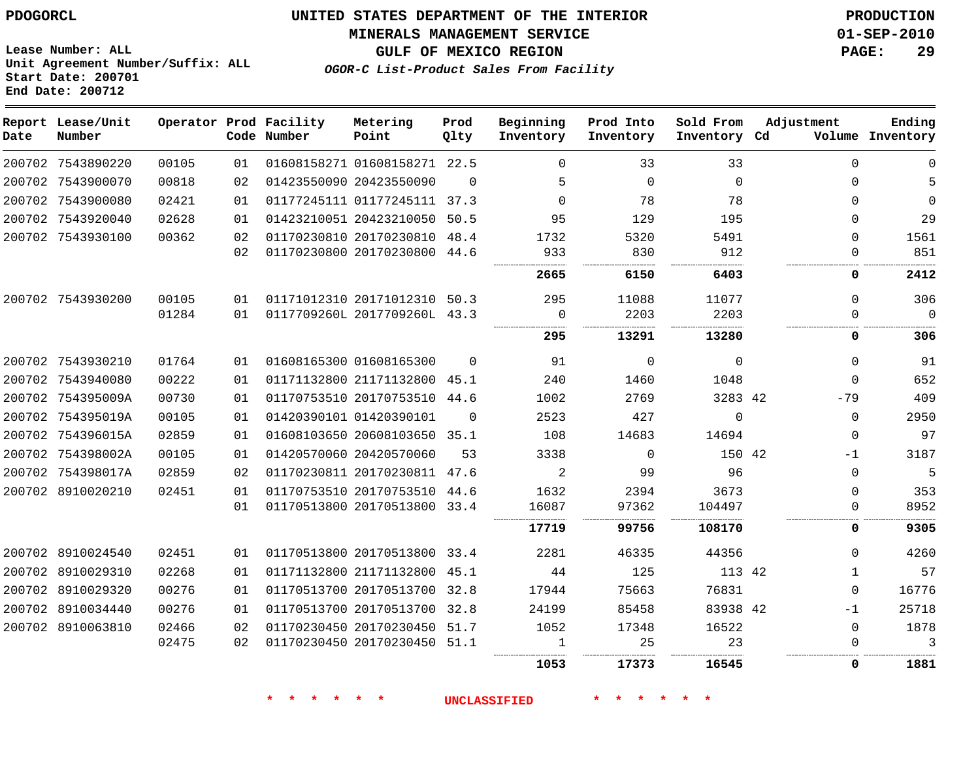**MINERALS MANAGEMENT SERVICE 01-SEP-2010**

**GULF OF MEXICO REGION PAGE: 29**

**Lease Number: ALL Unit Agreement Number/Suffix: ALL Start Date: 200701 End Date: 200712**

**OGOR-C List-Product Sales From Facility**

| Ending<br>Volume Inventory | Adjustment   | Sold From<br>Inventory Cd | Prod Into<br>Inventory | Beginning<br>Inventory | Prod<br>Qlty | Metering<br>Point            | Operator Prod Facility<br>Code Number |    |       | Report Lease/Unit<br>Number | Date |
|----------------------------|--------------|---------------------------|------------------------|------------------------|--------------|------------------------------|---------------------------------------|----|-------|-----------------------------|------|
| $\Omega$                   | $\Omega$     | 33                        | 33                     | $\Omega$               |              | 01608158271 01608158271 22.5 |                                       | 01 | 00105 | 200702 7543890220           |      |
| 5                          | $\Omega$     | $\Omega$                  | $\Omega$               | 5                      | $\Omega$     |                              | 01423550090 20423550090               | 02 | 00818 | 200702 7543900070           |      |
| $\mathbf 0$                | $\Omega$     | 78                        | 78                     | $\Omega$               |              | 01177245111 01177245111 37.3 |                                       | 01 | 02421 | 200702 7543900080           |      |
| 29                         | $\Omega$     | 195                       | 129                    | 95                     |              | 01423210051 20423210050 50.5 |                                       | 01 | 02628 | 200702 7543920040           |      |
| 1561                       | $\Omega$     | 5491                      | 5320                   | 1732                   |              | 01170230810 20170230810 48.4 |                                       | 02 | 00362 | 200702 7543930100           |      |
| 851                        | 0            | 912                       | 830                    | 933                    |              | 01170230800 20170230800 44.6 |                                       | 02 |       |                             |      |
| 2412                       | 0            | 6403                      | 6150                   | 2665                   |              |                              |                                       |    |       |                             |      |
| 306                        | $\Omega$     | 11077                     | 11088                  | 295                    |              | 01171012310 20171012310 50.3 |                                       | 01 | 00105 | 200702 7543930200           |      |
| $\Omega$                   | $\Omega$     | 2203                      | 2203                   | $\Omega$               |              | 0117709260L 2017709260L 43.3 |                                       | 01 | 01284 |                             |      |
| 306                        | 0            | 13280                     | 13291                  | 295                    |              |                              |                                       |    |       |                             |      |
| 91                         | $\Omega$     | $\Omega$                  | $\Omega$               | 91                     | $\Omega$     |                              | 01608165300 01608165300               | 01 | 01764 | 200702 7543930210           |      |
| 652                        | $\Omega$     | 1048                      | 1460                   | 240                    |              | 01171132800 21171132800 45.1 |                                       | 01 | 00222 | 200702 7543940080           |      |
| 409                        | $-79$        | 3283 42                   | 2769                   | 1002                   |              | 01170753510 20170753510 44.6 |                                       | 01 | 00730 | 200702 754395009A           |      |
| 2950                       | $\mathbf 0$  | $\Omega$                  | 427                    | 2523                   | $\Omega$     |                              | 01420390101 01420390101               | 01 | 00105 | 200702 754395019A           |      |
| 97                         | $\mathbf 0$  | 14694                     | 14683                  | 108                    |              | 01608103650 20608103650 35.1 |                                       | 01 | 02859 | 200702 754396015A           |      |
| 3187                       | $-1$         | 150 42                    | $\overline{0}$         | 3338                   | 53           |                              | 01420570060 20420570060               | 01 | 00105 | 200702 754398002A           |      |
| 5                          | $\Omega$     | 96                        | 99                     | 2                      |              | 01170230811 20170230811 47.6 |                                       | 02 | 02859 | 200702 754398017A           |      |
| 353                        | $\Omega$     | 3673                      | 2394                   | 1632                   |              | 01170753510 20170753510 44.6 |                                       | 01 | 02451 | 200702 8910020210           |      |
| 8952                       | 0            | 104497                    | 97362                  | 16087                  |              | 01170513800 20170513800 33.4 |                                       | 01 |       |                             |      |
| 9305                       | 0            | 108170                    | 99756                  | 17719                  |              |                              |                                       |    |       |                             |      |
| 4260                       | $\Omega$     | 44356                     | 46335                  | 2281                   |              | 01170513800 20170513800 33.4 |                                       | 01 | 02451 | 200702 8910024540           |      |
| 57                         | $\mathbf{1}$ | 113 42                    | 125                    | 44                     | 45.1         |                              | 01171132800 21171132800               | 01 | 02268 | 200702 8910029310           |      |
| 16776                      | $\mathbf{0}$ | 76831                     | 75663                  | 17944                  |              | 01170513700 20170513700 32.8 |                                       | 01 | 00276 | 200702 8910029320           |      |
| 25718                      | $-1$         | 83938 42                  | 85458                  | 24199                  | 32.8         |                              | 01170513700 20170513700               | 01 | 00276 | 200702 8910034440           |      |
| 1878                       | $\mathbf 0$  | 16522                     | 17348                  | 1052                   | 51.7         | 01170230450 20170230450      |                                       | 02 | 02466 | 200702 8910063810           |      |
| 3                          | $\mathbf{0}$ | 23                        | 25                     | 1                      |              | 01170230450 20170230450 51.1 |                                       | 02 | 02475 |                             |      |
| 1881                       | $\mathbf{0}$ | 16545                     | 17373                  | 1053                   |              |                              |                                       |    |       |                             |      |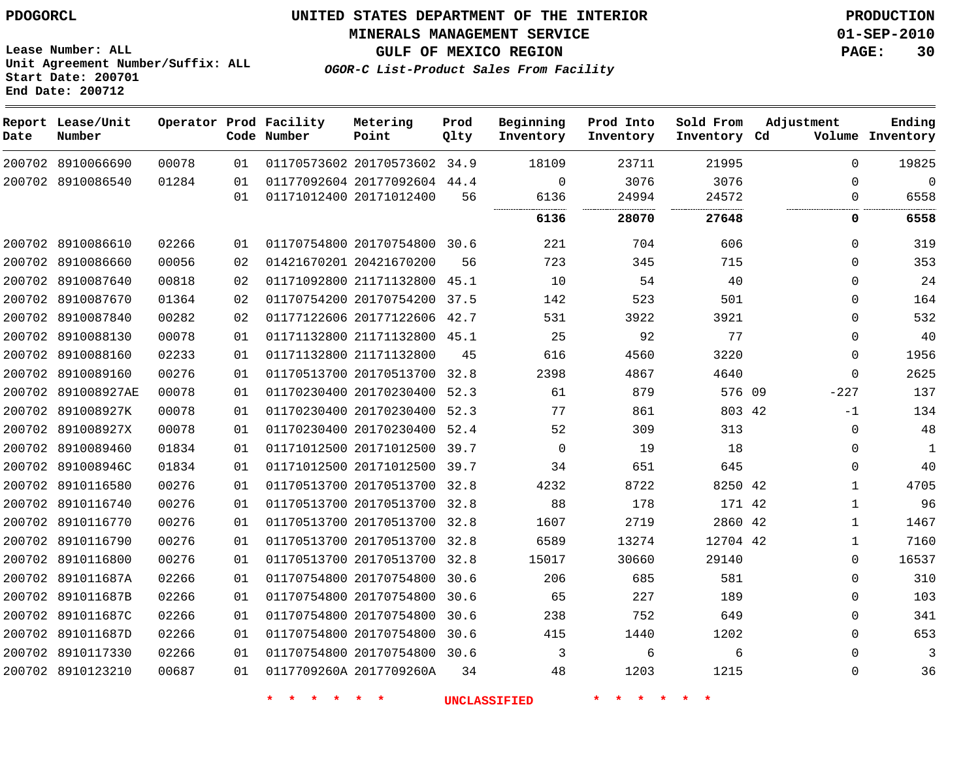**MINERALS MANAGEMENT SERVICE 01-SEP-2010**

**Lease Number: ALL Unit Agreement Number/Suffix: ALL Start Date: 200701 End Date: 200712**

**OGOR-C List-Product Sales From Facility**

**GULF OF MEXICO REGION PAGE: 30**

| Date | Report Lease/Unit<br>Number |       |    | Operator Prod Facility<br>Code Number | Metering<br>Point            | Prod<br>Qlty | Beginning<br>Inventory | Prod Into<br>Inventory | Sold From<br>Inventory Cd | Adjustment   | Ending<br>Volume Inventory |
|------|-----------------------------|-------|----|---------------------------------------|------------------------------|--------------|------------------------|------------------------|---------------------------|--------------|----------------------------|
|      | 200702 8910066690           | 00078 | 01 |                                       | 01170573602 20170573602 34.9 |              | 18109                  | 23711                  | 21995                     | $\Omega$     | 19825                      |
|      | 200702 8910086540           | 01284 | 01 |                                       | 01177092604 20177092604 44.4 |              | $\Omega$               | 3076                   | 3076                      | $\Omega$     | $\Omega$                   |
|      |                             |       | 01 |                                       | 01171012400 20171012400      | 56           | 6136<br>               | 24994<br><br>          | 24572<br>                 | $\Omega$     | 6558                       |
|      |                             |       |    |                                       |                              |              | 6136                   | 28070                  | 27648                     | 0            | 6558                       |
|      | 200702 8910086610           | 02266 | 01 |                                       | 01170754800 20170754800 30.6 |              | 221                    | 704                    | 606                       | $\Omega$     | 319                        |
|      | 200702 8910086660           | 00056 | 02 |                                       | 01421670201 20421670200      | 56           | 723                    | 345                    | 715                       | $\Omega$     | 353                        |
|      | 200702 8910087640           | 00818 | 02 |                                       | 01171092800 21171132800 45.1 |              | 10                     | 54                     | 40                        | $\Omega$     | 24                         |
|      | 200702 8910087670           | 01364 | 02 |                                       | 01170754200 20170754200      | 37.5         | 142                    | 523                    | 501                       | $\mathbf{0}$ | 164                        |
|      | 200702 8910087840           | 00282 | 02 |                                       | 01177122606 20177122606 42.7 |              | 531                    | 3922                   | 3921                      | 0            | 532                        |
|      | 200702 8910088130           | 00078 | 01 |                                       | 01171132800 21171132800 45.1 |              | 25                     | 92                     | 77                        | $\Omega$     | 40                         |
|      | 200702 8910088160           | 02233 | 01 |                                       | 01171132800 21171132800      | 45           | 616                    | 4560                   | 3220                      | 0            | 1956                       |
|      | 200702 8910089160           | 00276 | 01 |                                       | 01170513700 20170513700      | 32.8         | 2398                   | 4867                   | 4640                      | $\Omega$     | 2625                       |
|      | 200702 891008927AE          | 00078 | 01 |                                       | 01170230400 20170230400      | 52.3         | 61                     | 879                    | 576 09                    | $-227$       | 137                        |
|      | 200702 891008927K           | 00078 | 01 |                                       | 01170230400 20170230400 52.3 |              | 77                     | 861                    | 803 42                    | $-1$         | 134                        |
|      | 200702 891008927X           | 00078 | 01 |                                       | 01170230400 20170230400      | 52.4         | 52                     | 309                    | 313                       | 0            | 48                         |
|      | 200702 8910089460           | 01834 | 01 |                                       | 01171012500 20171012500      | 39.7         | $\Omega$               | 19                     | 18                        | $\mathbf{0}$ | $\mathbf{1}$               |
|      | 200702 891008946C           | 01834 | 01 |                                       | 01171012500 20171012500 39.7 |              | 34                     | 651                    | 645                       | $\mathbf{0}$ | 40                         |
|      | 200702 8910116580           | 00276 | 01 |                                       | 01170513700 20170513700 32.8 |              | 4232                   | 8722                   | 8250 42                   | $\mathbf{1}$ | 4705                       |
|      | 200702 8910116740           | 00276 | 01 |                                       | 01170513700 20170513700      | 32.8         | 88                     | 178                    | 171 42                    | $\mathbf{1}$ | 96                         |
|      | 200702 8910116770           | 00276 | 01 |                                       | 01170513700 20170513700 32.8 |              | 1607                   | 2719                   | 2860 42                   | 1            | 1467                       |
|      | 200702 8910116790           | 00276 | 01 |                                       | 01170513700 20170513700      | 32.8         | 6589                   | 13274                  | 12704 42                  | 1            | 7160                       |
|      | 200702 8910116800           | 00276 | 01 |                                       | 01170513700 20170513700 32.8 |              | 15017                  | 30660                  | 29140                     | 0            | 16537                      |
|      | 200702 891011687A           | 02266 | 01 |                                       | 01170754800 20170754800 30.6 |              | 206                    | 685                    | 581                       | 0            | 310                        |
|      | 200702 891011687B           | 02266 | 01 |                                       | 01170754800 20170754800      | 30.6         | 65                     | 227                    | 189                       | $\mathbf{0}$ | 103                        |
|      | 200702 891011687C           | 02266 | 01 |                                       | 01170754800 20170754800      | 30.6         | 238                    | 752                    | 649                       | $\mathbf{0}$ | 341                        |
|      | 200702 891011687D           | 02266 | 01 |                                       | 01170754800 20170754800      | 30.6         | 415                    | 1440                   | 1202                      | $\Omega$     | 653                        |
|      | 200702 8910117330           | 02266 | 01 |                                       | 01170754800 20170754800 30.6 |              | 3                      | 6                      | 6                         | $\Omega$     | 3                          |
|      | 200702 8910123210           | 00687 | 01 |                                       | 0117709260A 2017709260A      | 34           | 48                     | 1203                   | 1215                      | $\Omega$     | 36                         |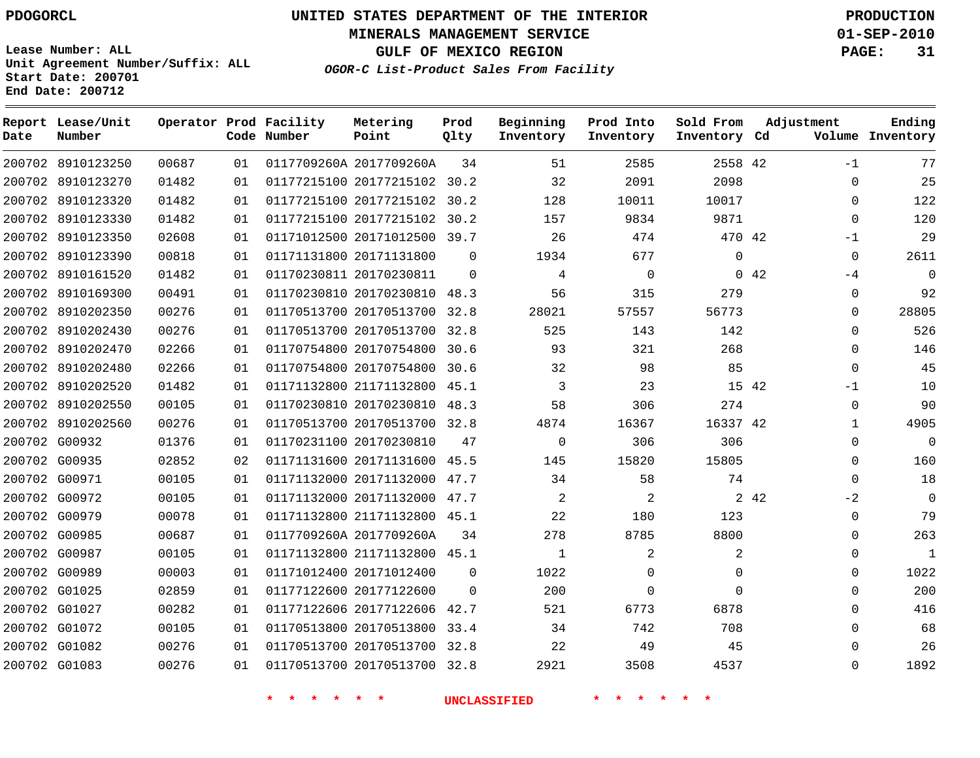# **UNITED STATES DEPARTMENT OF THE INTERIOR PDOGORCL PRODUCTION**

**MINERALS MANAGEMENT SERVICE 01-SEP-2010**

**GULF OF MEXICO REGION PAGE: 31**

**Unit Agreement Number/Suffix: ALL Start Date: 200701 End Date: 200712**

**OGOR-C List-Product Sales From Facility**

| Date | Report Lease/Unit<br>Number |       |    | Operator Prod Facility<br>Code Number | Metering<br>Point            | Prod<br>Qlty | Beginning<br>Inventory | Prod Into<br>Inventory | Sold From<br>Inventory Cd | Adjustment    | Ending<br>Volume Inventory |
|------|-----------------------------|-------|----|---------------------------------------|------------------------------|--------------|------------------------|------------------------|---------------------------|---------------|----------------------------|
|      | 200702 8910123250           | 00687 | 01 |                                       | 0117709260A 2017709260A      | 34           | 51                     | 2585                   | 2558 42                   | $-1$          | 77                         |
|      | 200702 8910123270           | 01482 | 01 |                                       | 01177215100 20177215102 30.2 |              | 32                     | 2091                   | 2098                      | $\Omega$      | 25                         |
|      | 200702 8910123320           | 01482 | 01 |                                       | 01177215100 20177215102 30.2 |              | 128                    | 10011                  | 10017                     | $\Omega$      | 122                        |
|      | 200702 8910123330           | 01482 | 01 |                                       | 01177215100 20177215102 30.2 |              | 157                    | 9834                   | 9871                      | $\mathbf 0$   | 120                        |
|      | 200702 8910123350           | 02608 | 01 |                                       | 01171012500 20171012500 39.7 |              | 26                     | 474                    | 470 42                    | $-1$          | 29                         |
|      | 200702 8910123390           | 00818 | 01 |                                       | 01171131800 20171131800      | $\Omega$     | 1934                   | 677                    | $\Omega$                  | $\Omega$      | 2611                       |
|      | 200702 8910161520           | 01482 | 01 |                                       | 01170230811 20170230811      | $\Omega$     | 4                      | $\mathbf 0$            |                           | 0.42<br>$-4$  | $\Omega$                   |
|      | 200702 8910169300           | 00491 | 01 |                                       | 01170230810 20170230810      | 48.3         | 56                     | 315                    | 279                       | $\Omega$      | 92                         |
|      | 200702 8910202350           | 00276 | 01 |                                       | 01170513700 20170513700      | 32.8         | 28021                  | 57557                  | 56773                     | 0             | 28805                      |
|      | 200702 8910202430           | 00276 | 01 |                                       | 01170513700 20170513700 32.8 |              | 525                    | 143                    | 142                       | $\mathbf 0$   | 526                        |
|      | 200702 8910202470           | 02266 | 01 |                                       | 01170754800 20170754800      | 30.6         | 93                     | 321                    | 268                       | $\mathbf 0$   | 146                        |
|      | 200702 8910202480           | 02266 | 01 |                                       | 01170754800 20170754800      | 30.6         | 32                     | 98                     | 85                        | $\Omega$      | 45                         |
|      | 200702 8910202520           | 01482 | 01 |                                       | 01171132800 21171132800      | 45.1         | 3                      | 23                     | 15 42                     | $-1$          | 10                         |
|      | 200702 8910202550           | 00105 | 01 |                                       | 01170230810 20170230810      | 48.3         | 58                     | 306                    | 274                       | 0             | 90                         |
|      | 200702 8910202560           | 00276 | 01 |                                       | 01170513700 20170513700 32.8 |              | 4874                   | 16367                  | 16337 42                  | $\mathbf{1}$  | 4905                       |
|      | 200702 G00932               | 01376 | 01 |                                       | 01170231100 20170230810      | 47           | $\mathbf 0$            | 306                    | 306                       | $\mathbf 0$   | $\mathbf 0$                |
|      | 200702 G00935               | 02852 | 02 |                                       | 01171131600 20171131600 45.5 |              | 145                    | 15820                  | 15805                     | $\Omega$      | 160                        |
|      | 200702 G00971               | 00105 | 01 |                                       | 01171132000 20171132000      | 47.7         | 34                     | 58                     | 74                        | $\Omega$      | 18                         |
|      | 200702 G00972               | 00105 | 01 |                                       | 01171132000 20171132000 47.7 |              | 2                      | 2                      |                           | $-2$<br>2 4 2 | $\Omega$                   |
|      | 200702 G00979               | 00078 | 01 |                                       | 01171132800 21171132800      | 45.1         | 22                     | 180                    | 123                       | $\mathbf 0$   | 79                         |
|      | 200702 G00985               | 00687 | 01 |                                       | 0117709260A 2017709260A      | 34           | 278                    | 8785                   | 8800                      | $\Omega$      | 263                        |
|      | 200702 G00987               | 00105 | 01 |                                       | 01171132800 21171132800 45.1 |              | 1                      | 2                      | 2                         | $\mathbf 0$   | 1                          |
|      | 200702 G00989               | 00003 | 01 |                                       | 01171012400 20171012400      | $\Omega$     | 1022                   | $\Omega$               | $\Omega$                  | $\Omega$      | 1022                       |
|      | 200702 G01025               | 02859 | 01 |                                       | 01177122600 20177122600      | 0            | 200                    | $\mathbf 0$            | $\Omega$                  | $\mathbf 0$   | 200                        |
|      | 200702 G01027               | 00282 | 01 |                                       | 01177122606 20177122606 42.7 |              | 521                    | 6773                   | 6878                      | $\Omega$      | 416                        |
|      | 200702 G01072               | 00105 | 01 |                                       | 01170513800 20170513800      | 33.4         | 34                     | 742                    | 708                       | $\mathbf 0$   | 68                         |
|      | 200702 G01082               | 00276 | 01 |                                       | 01170513700 20170513700 32.8 |              | 22                     | 49                     | 45                        | $\Omega$      | 26                         |
|      | 200702 G01083               | 00276 | 01 |                                       | 01170513700 20170513700 32.8 |              | 2921                   | 3508                   | 4537                      | $\Omega$      | 1892                       |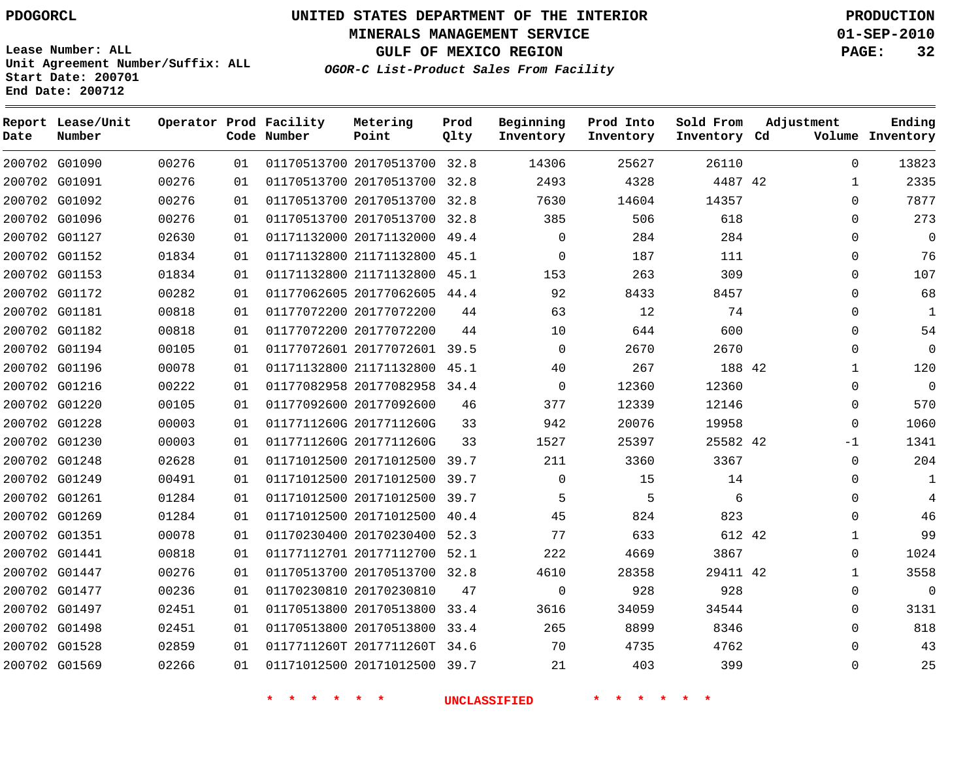**Start Date: 200701 End Date: 200712**

**Unit Agreement Number/Suffix: ALL**

# **UNITED STATES DEPARTMENT OF THE INTERIOR PDOGORCL PRODUCTION**

**MINERALS MANAGEMENT SERVICE 01-SEP-2010**

**GULF OF MEXICO REGION PAGE: 32**

**OGOR-C List-Product Sales From Facility**

| Date | Report Lease/Unit<br>Number |       |    | Operator Prod Facility<br>Code Number | Metering<br>Point            | Prod<br>Qlty | Beginning<br>Inventory | Prod Into<br>Inventory | Sold From<br>Inventory Cd | Adjustment |              | Ending<br>Volume Inventory |
|------|-----------------------------|-------|----|---------------------------------------|------------------------------|--------------|------------------------|------------------------|---------------------------|------------|--------------|----------------------------|
|      | 200702 G01090               | 00276 | 01 |                                       | 01170513700 20170513700 32.8 |              | 14306                  | 25627                  | 26110                     |            | $\Omega$     | 13823                      |
|      | 200702 G01091               | 00276 | 01 |                                       | 01170513700 20170513700      | 32.8         | 2493                   | 4328                   | 4487 42                   |            | 1            | 2335                       |
|      | 200702 G01092               | 00276 | 01 |                                       | 01170513700 20170513700      | 32.8         | 7630                   | 14604                  | 14357                     |            | $\Omega$     | 7877                       |
|      | 200702 G01096               | 00276 | 01 |                                       | 01170513700 20170513700      | 32.8         | 385                    | 506                    | 618                       |            | 0            | 273                        |
|      | 200702 G01127               | 02630 | 01 |                                       | 01171132000 20171132000      | 49.4         | $\Omega$               | 284                    | 284                       |            | $\Omega$     | $\Omega$                   |
|      | 200702 G01152               | 01834 | 01 |                                       | 01171132800 21171132800      | 45.1         | $\Omega$               | 187                    | 111                       |            | 0            | 76                         |
|      | 200702 G01153               | 01834 | 01 |                                       | 01171132800 21171132800      | 45.1         | 153                    | 263                    | 309                       |            | $\Omega$     | 107                        |
|      | 200702 G01172               | 00282 | 01 |                                       | 01177062605 20177062605      | 44.4         | 92                     | 8433                   | 8457                      |            | $\Omega$     | 68                         |
|      | 200702 G01181               | 00818 | 01 |                                       | 01177072200 20177072200      | 44           | 63                     | 12                     | 74                        |            | $\mathbf 0$  | 1                          |
|      | 200702 G01182               | 00818 | 01 |                                       | 01177072200 20177072200      | 44           | 10                     | 644                    | 600                       |            | 0            | 54                         |
|      | 200702 G01194               | 00105 | 01 |                                       | 01177072601 20177072601 39.5 |              | $\Omega$               | 2670                   | 2670                      |            | $\Omega$     | $\mathbf 0$                |
|      | 200702 G01196               | 00078 | 01 |                                       | 01171132800 21171132800 45.1 |              | 40                     | 267                    | 188 42                    |            | $\mathbf{1}$ | 120                        |
|      | 200702 G01216               | 00222 | 01 |                                       | 01177082958 20177082958 34.4 |              | $\mathbf{0}$           | 12360                  | 12360                     |            | $\mathbf{0}$ | $\overline{0}$             |
|      | 200702 G01220               | 00105 | 01 |                                       | 01177092600 20177092600      | 46           | 377                    | 12339                  | 12146                     |            | $\mathbf{0}$ | 570                        |
|      | 200702 G01228               | 00003 | 01 |                                       | 0117711260G 2017711260G      | 33           | 942                    | 20076                  | 19958                     |            | 0            | 1060                       |
|      | 200702 G01230               | 00003 | 01 |                                       | 0117711260G 2017711260G      | 33           | 1527                   | 25397                  | 25582 42                  |            | $-1$         | 1341                       |
|      | 200702 G01248               | 02628 | 01 |                                       | 01171012500 20171012500      | 39.7         | 211                    | 3360                   | 3367                      |            | $\mathbf 0$  | 204                        |
|      | 200702 G01249               | 00491 | 01 |                                       | 01171012500 20171012500 39.7 |              | $\Omega$               | 15                     | 14                        |            | $\Omega$     | 1                          |
|      | 200702 G01261               | 01284 | 01 |                                       | 01171012500 20171012500      | 39.7         | 5                      | 5                      | 6                         |            | $\mathbf 0$  | 4                          |
|      | 200702 G01269               | 01284 | 01 |                                       | 01171012500 20171012500      | 40.4         | 45                     | 824                    | 823                       |            | $\Omega$     | 46                         |
|      | 200702 G01351               | 00078 | 01 |                                       | 01170230400 20170230400      | 52.3         | 77                     | 633                    | 612 42                    |            | 1            | 99                         |
|      | 200702 G01441               | 00818 | 01 |                                       | 01177112701 20177112700      | 52.1         | 222                    | 4669                   | 3867                      |            | $\Omega$     | 1024                       |
|      | 200702 G01447               | 00276 | 01 |                                       | 01170513700 20170513700      | 32.8         | 4610                   | 28358                  | 29411 42                  |            | 1            | 3558                       |
|      | 200702 G01477               | 00236 | 01 |                                       | 01170230810 20170230810      | 47           | $\mathbf 0$            | 928                    | 928                       |            | $\mathbf{0}$ | $\mathbf 0$                |
|      | 200702 G01497               | 02451 | 01 |                                       | 01170513800 20170513800 33.4 |              | 3616                   | 34059                  | 34544                     |            | 0            | 3131                       |
|      | 200702 G01498               | 02451 | 01 |                                       | 01170513800 20170513800      | 33.4         | 265                    | 8899                   | 8346                      |            | $\Omega$     | 818                        |
|      | 200702 G01528               | 02859 | 01 |                                       | 0117711260T 2017711260T 34.6 |              | 70                     | 4735                   | 4762                      |            | $\Omega$     | 43                         |
|      | 200702 G01569               | 02266 | 01 |                                       | 01171012500 20171012500 39.7 |              | 21                     | 403                    | 399                       |            | $\Omega$     | 25                         |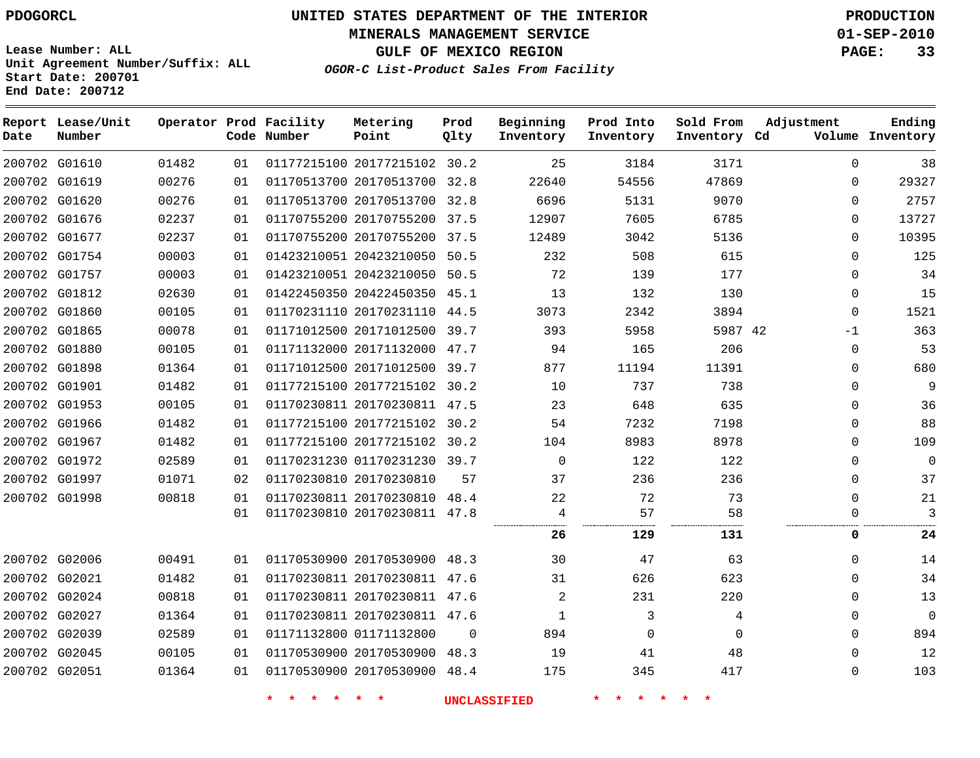**MINERALS MANAGEMENT SERVICE 01-SEP-2010**

**GULF OF MEXICO REGION PAGE: 33**

**Lease Number: ALL Unit Agreement Number/Suffix: ALL Start Date: 200701 End Date: 200712**

**OGOR-C List-Product Sales From Facility**

| Date | Report Lease/Unit<br>Number |       |    | Operator Prod Facility<br>Code Number | Metering<br>Point            | Prod<br>Qlty | Beginning<br>Inventory | Prod Into<br>Inventory | Sold From<br>Inventory Cd | Adjustment   | Ending<br>Volume Inventory |
|------|-----------------------------|-------|----|---------------------------------------|------------------------------|--------------|------------------------|------------------------|---------------------------|--------------|----------------------------|
|      | 200702 G01610               | 01482 | 01 |                                       | 01177215100 20177215102 30.2 |              | 25                     | 3184                   | 3171                      | $\Omega$     | 38                         |
|      | 200702 G01619               | 00276 | 01 |                                       | 01170513700 20170513700 32.8 |              | 22640                  | 54556                  | 47869                     | $\Omega$     | 29327                      |
|      | 200702 G01620               | 00276 | 01 |                                       | 01170513700 20170513700 32.8 |              | 6696                   | 5131                   | 9070                      | $\Omega$     | 2757                       |
|      | 200702 G01676               | 02237 | 01 |                                       | 01170755200 20170755200 37.5 |              | 12907                  | 7605                   | 6785                      | $\mathbf 0$  | 13727                      |
|      | 200702 G01677               | 02237 | 01 |                                       | 01170755200 20170755200 37.5 |              | 12489                  | 3042                   | 5136                      | $\Omega$     | 10395                      |
|      | 200702 G01754               | 00003 | 01 |                                       | 01423210051 20423210050 50.5 |              | 232                    | 508                    | 615                       | $\Omega$     | 125                        |
|      | 200702 G01757               | 00003 | 01 |                                       | 01423210051 20423210050 50.5 |              | 72                     | 139                    | 177                       | $\Omega$     | 34                         |
|      | 200702 G01812               | 02630 | 01 |                                       | 01422450350 20422450350 45.1 |              | 13                     | 132                    | 130                       | 0            | 15                         |
|      | 200702 G01860               | 00105 | 01 |                                       | 01170231110 20170231110 44.5 |              | 3073                   | 2342                   | 3894                      | $\mathbf{0}$ | 1521                       |
|      | 200702 G01865               | 00078 | 01 |                                       | 01171012500 20171012500 39.7 |              | 393                    | 5958                   | 5987 42                   | $-1$         | 363                        |
|      | 200702 G01880               | 00105 | 01 |                                       | 01171132000 20171132000 47.7 |              | 94                     | 165                    | 206                       | $\mathbf{0}$ | 53                         |
|      | 200702 G01898               | 01364 | 01 |                                       | 01171012500 20171012500 39.7 |              | 877                    | 11194                  | 11391                     | 0            | 680                        |
|      | 200702 G01901               | 01482 | 01 |                                       | 01177215100 20177215102 30.2 |              | 10                     | 737                    | 738                       | $\Omega$     | 9                          |
|      | 200702 G01953               | 00105 | 01 |                                       | 01170230811 20170230811 47.5 |              | 23                     | 648                    | 635                       | 0            | 36                         |
|      | 200702 G01966               | 01482 | 01 |                                       | 01177215100 20177215102 30.2 |              | 54                     | 7232                   | 7198                      | $\Omega$     | 88                         |
|      | 200702 G01967               | 01482 | 01 |                                       | 01177215100 20177215102 30.2 |              | 104                    | 8983                   | 8978                      | $\mathbf{0}$ | 109                        |
|      | 200702 G01972               | 02589 | 01 |                                       | 01170231230 01170231230 39.7 |              | $\Omega$               | 122                    | 122                       | $\Omega$     | $\mathbf 0$                |
|      | 200702 G01997               | 01071 | 02 |                                       | 01170230810 20170230810      | 57           | 37                     | 236                    | 236                       | $\Omega$     | 37                         |
|      | 200702 G01998               | 00818 | 01 |                                       | 01170230811 20170230810 48.4 |              | 22                     | 72                     | 73                        | 0            | 21                         |
|      |                             |       | 01 |                                       | 01170230810 20170230811 47.8 |              | 4                      | 57                     | 58                        | $\Omega$     | 3                          |
|      |                             |       |    |                                       |                              |              | 26                     | 129                    | 131                       | 0            | 24                         |
|      | 200702 G02006               | 00491 | 01 |                                       | 01170530900 20170530900 48.3 |              | 30                     | 47                     | 63                        | $\Omega$     | 14                         |
|      | 200702 G02021               | 01482 | 01 |                                       | 01170230811 20170230811 47.6 |              | 31                     | 626                    | 623                       | 0            | 34                         |
|      | 200702 G02024               | 00818 | 01 |                                       | 01170230811 20170230811 47.6 |              | 2                      | 231                    | 220                       | $\mathbf{0}$ | 13                         |
|      | 200702 G02027               | 01364 | 01 |                                       | 01170230811 20170230811 47.6 |              | 1                      | 3                      | 4                         | $\Omega$     | $\mathbf 0$                |
|      | 200702 G02039               | 02589 | 01 |                                       | 01171132800 01171132800      | $\Omega$     | 894                    | 0                      | $\Omega$                  | $\mathbf{0}$ | 894                        |
|      | 200702 G02045               | 00105 | 01 |                                       | 01170530900 20170530900 48.3 |              | 19                     | 41                     | 48                        | $\Omega$     | 12                         |
|      | 200702 G02051               | 01364 | 01 |                                       | 01170530900 20170530900 48.4 |              | 175                    | 345                    | 417                       | $\mathbf 0$  | 103                        |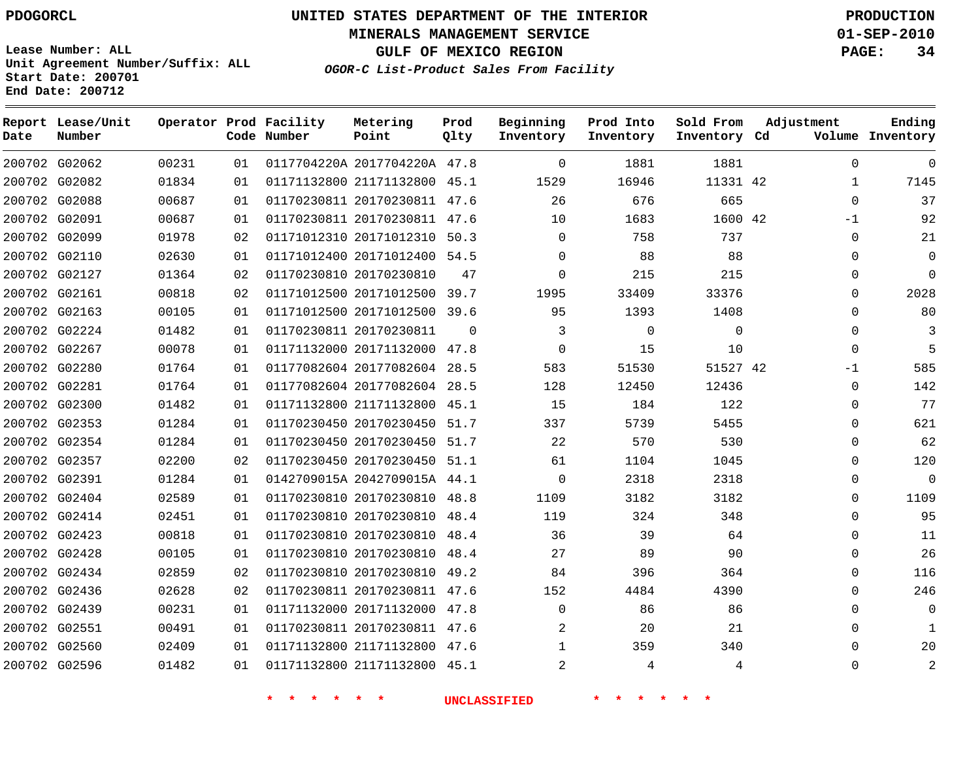**Start Date: 200701 End Date: 200712**

**Unit Agreement Number/Suffix: ALL**

# **UNITED STATES DEPARTMENT OF THE INTERIOR PDOGORCL PRODUCTION**

**MINERALS MANAGEMENT SERVICE 01-SEP-2010**

**GULF OF MEXICO REGION PAGE: 34**

**OGOR-C List-Product Sales From Facility**

| Date   | Report Lease/Unit<br>Number |       |    | Operator Prod Facility<br>Code Number | Metering<br>Point            | Prod<br>Qlty | Beginning<br>Inventory | Prod Into<br>Inventory | Sold From<br>Inventory Cd | Adjustment   | Ending<br>Volume Inventory |
|--------|-----------------------------|-------|----|---------------------------------------|------------------------------|--------------|------------------------|------------------------|---------------------------|--------------|----------------------------|
|        | 200702 G02062               | 00231 | 01 |                                       | 0117704220A 2017704220A 47.8 |              | $\mathbf 0$            | 1881                   | 1881                      | $\mathbf 0$  | $\mathbf 0$                |
|        | 200702 G02082               | 01834 | 01 |                                       | 01171132800 21171132800      | 45.1         | 1529                   | 16946                  | 11331 42                  | $\mathbf{1}$ | 7145                       |
|        | 200702 G02088               | 00687 | 01 |                                       | 01170230811 20170230811      | 47.6         | 26                     | 676                    | 665                       | $\Omega$     | 37                         |
|        | 200702 G02091               | 00687 | 01 |                                       | 01170230811 20170230811 47.6 |              | 10                     | 1683                   | 1600 42                   | $-1$         | 92                         |
| 200702 | G02099                      | 01978 | 02 |                                       | 01171012310 20171012310      | 50.3         | $\mathbf 0$            | 758                    | 737                       | $\Omega$     | 21                         |
| 200702 | G02110                      | 02630 | 01 |                                       | 01171012400 20171012400      | 54.5         | $\mathbf 0$            | 88                     | 88                        | $\Omega$     | $\mathbf 0$                |
|        | 200702 G02127               | 01364 | 02 |                                       | 01170230810 20170230810      | 47           | $\Omega$               | 215                    | 215                       | $\Omega$     | $\Omega$                   |
|        | 200702 G02161               | 00818 | 02 |                                       | 01171012500 20171012500      | 39.7         | 1995                   | 33409                  | 33376                     | $\Omega$     | 2028                       |
|        | 200702 G02163               | 00105 | 01 |                                       | 01171012500 20171012500 39.6 |              | 95                     | 1393                   | 1408                      | 0            | 80                         |
|        | 200702 G02224               | 01482 | 01 |                                       | 01170230811 20170230811      | $\Omega$     | 3                      | $\mathbf 0$            | $\mathsf 0$               | 0            | 3                          |
|        | 200702 G02267               | 00078 | 01 |                                       | 01171132000 20171132000 47.8 |              | $\mathbf 0$            | 15                     | 10                        | $\Omega$     | 5                          |
|        | 200702 G02280               | 01764 | 01 |                                       | 01177082604 20177082604      | 28.5         | 583                    | 51530                  | 51527 42                  | $-1$         | 585                        |
|        | 200702 G02281               | 01764 | 01 |                                       | 01177082604 20177082604 28.5 |              | 128                    | 12450                  | 12436                     | $\mathbf 0$  | 142                        |
|        | 200702 G02300               | 01482 | 01 |                                       | 01171132800 21171132800      | 45.1         | 15                     | 184                    | 122                       | 0            | 77                         |
|        | 200702 G02353               | 01284 | 01 |                                       | 01170230450 20170230450      | 51.7         | 337                    | 5739                   | 5455                      | $\Omega$     | 621                        |
|        | 200702 G02354               | 01284 | 01 |                                       | 01170230450 20170230450      | 51.7         | 22                     | 570                    | 530                       | $\Omega$     | 62                         |
|        | 200702 G02357               | 02200 | 02 |                                       | 01170230450 20170230450      | 51.1         | 61                     | 1104                   | 1045                      | $\Omega$     | 120                        |
|        | 200702 G02391               | 01284 | 01 |                                       | 0142709015A 2042709015A 44.1 |              | $\mathbf 0$            | 2318                   | 2318                      | $\Omega$     | $\overline{0}$             |
|        | 200702 G02404               | 02589 | 01 |                                       | 01170230810 20170230810      | 48.8         | 1109                   | 3182                   | 3182                      | 0            | 1109                       |
|        | 200702 G02414               | 02451 | 01 |                                       | 01170230810 20170230810      | 48.4         | 119                    | 324                    | 348                       | $\Omega$     | 95                         |
|        | 200702 G02423               | 00818 | 01 |                                       | 01170230810 20170230810      | 48.4         | 36                     | 39                     | 64                        | 0            | 11                         |
|        | 200702 G02428               | 00105 | 01 |                                       | 01170230810 20170230810      | 48.4         | 27                     | 89                     | 90                        | $\mathbf 0$  | 26                         |
| 200702 | G02434                      | 02859 | 02 |                                       | 01170230810 20170230810      | 49.2         | 84                     | 396                    | 364                       | $\Omega$     | 116                        |
| 200702 | G02436                      | 02628 | 02 |                                       | 01170230811 20170230811      | 47.6         | 152                    | 4484                   | 4390                      | $\Omega$     | 246                        |
|        | 200702 G02439               | 00231 | 01 |                                       | 01171132000 20171132000      | 47.8         | $\mathbf 0$            | 86                     | 86                        | 0            | $\mathbf 0$                |
|        | 200702 G02551               | 00491 | 01 |                                       | 01170230811 20170230811 47.6 |              | 2                      | 20                     | 21                        | $\Omega$     | 1                          |
|        | 200702 G02560               | 02409 | 01 |                                       | 01171132800 21171132800      | 47.6         | 1                      | 359                    | 340                       | $\Omega$     | 20                         |
|        | 200702 G02596               | 01482 | 01 |                                       | 01171132800 21171132800      | 45.1         | $\overline{2}$         | 4                      | 4                         | $\Omega$     | $\overline{a}$             |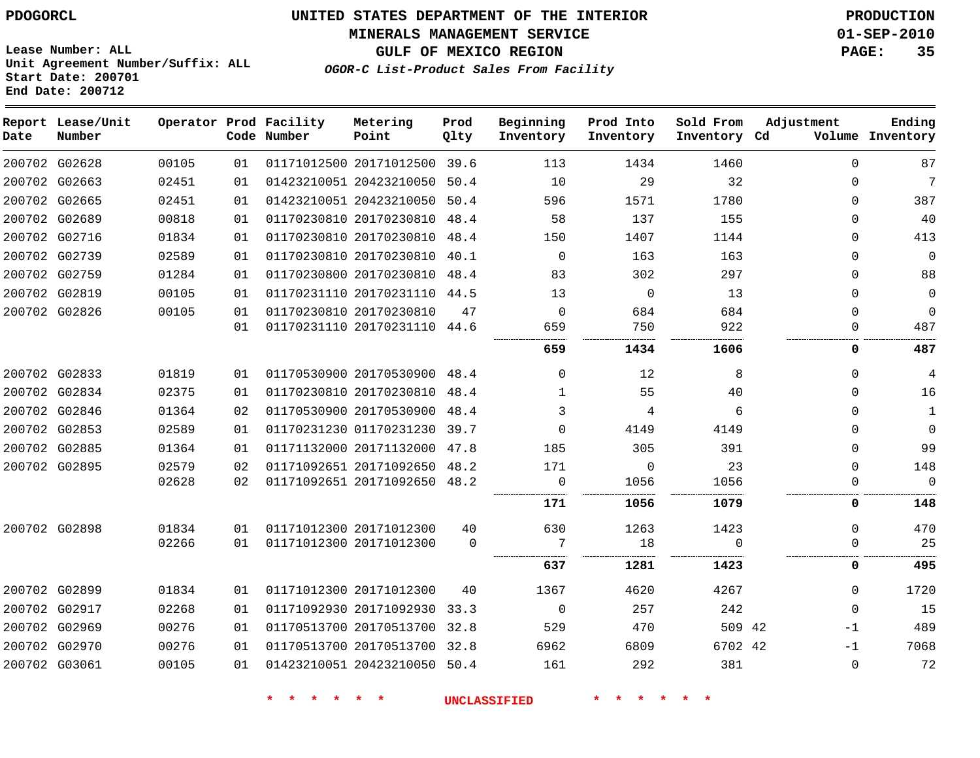**MINERALS MANAGEMENT SERVICE 01-SEP-2010**

**GULF OF MEXICO REGION PAGE: 35**

**Lease Number: ALL Unit Agreement Number/Suffix: ALL Start Date: 200701 End Date: 200712**

**OGOR-C List-Product Sales From Facility**

| Date | Report Lease/Unit<br>Number |       |    | Operator Prod Facility<br>Code Number | Metering<br>Point            | Prod<br>Qlty | Beginning<br>Inventory | Prod Into<br>Inventory | Sold From<br>Inventory Cd | Adjustment | Ending<br>Volume Inventory |
|------|-----------------------------|-------|----|---------------------------------------|------------------------------|--------------|------------------------|------------------------|---------------------------|------------|----------------------------|
|      | 200702 G02628               | 00105 | 01 |                                       | 01171012500 20171012500 39.6 |              | 113                    | 1434                   | 1460                      | $\Omega$   | 87                         |
|      | 200702 G02663               | 02451 | 01 |                                       | 01423210051 20423210050 50.4 |              | 10                     | 29                     | 32                        | $\Omega$   | $\overline{7}$             |
|      | 200702 G02665               | 02451 | 01 |                                       | 01423210051 20423210050      | 50.4         | 596                    | 1571                   | 1780                      | $\Omega$   | 387                        |
|      | 200702 G02689               | 00818 | 01 |                                       | 01170230810 20170230810 48.4 |              | 58                     | 137                    | 155                       | $\Omega$   | 40                         |
|      | 200702 G02716               | 01834 | 01 |                                       | 01170230810 20170230810      | 48.4         | 150                    | 1407                   | 1144                      | $\Omega$   | 413                        |
|      | 200702 G02739               | 02589 | 01 |                                       | 01170230810 20170230810      | 40.1         | $\mathbf 0$            | 163                    | 163                       | $\Omega$   | 0                          |
|      | 200702 G02759               | 01284 | 01 |                                       | 01170230800 20170230810      | 48.4         | 83                     | 302                    | 297                       | 0          | 88                         |
|      | 200702 G02819               | 00105 | 01 |                                       | 01170231110 20170231110 44.5 |              | 13                     | $\mathbf 0$            | 13                        | $\Omega$   | 0                          |
|      | 200702 G02826               | 00105 | 01 |                                       | 01170230810 20170230810      | 47           | $\Omega$               | 684                    | 684                       | $\Omega$   | $\mathbf 0$                |
|      |                             |       | 01 |                                       | 01170231110 20170231110 44.6 |              | 659                    | 750                    | 922                       | 0          | 487                        |
|      |                             |       |    |                                       |                              |              | 659                    | 1434                   | 1606                      | 0          | 487                        |
|      | 200702 G02833               | 01819 | 01 |                                       | 01170530900 20170530900 48.4 |              | $\Omega$               | 12                     | 8                         | $\Omega$   | $\overline{4}$             |
|      | 200702 G02834               | 02375 | 01 |                                       | 01170230810 20170230810 48.4 |              | $\mathbf{1}$           | 55                     | 40                        | $\Omega$   | 16                         |
|      | 200702 G02846               | 01364 | 02 |                                       | 01170530900 20170530900      | 48.4         | 3                      | 4                      | 6                         | 0          | $\mathbf 1$                |
|      | 200702 G02853               | 02589 | 01 |                                       | 01170231230 01170231230 39.7 |              | $\Omega$               | 4149                   | 4149                      | 0          | 0                          |
|      | 200702 G02885               | 01364 | 01 |                                       | 01171132000 20171132000 47.8 |              | 185                    | 305                    | 391                       | $\Omega$   | 99                         |
|      | 200702 G02895               | 02579 | 02 |                                       | 01171092651 20171092650 48.2 |              | 171                    | $\mathbf 0$            | 23                        | $\Omega$   | 148                        |
|      |                             | 02628 | 02 |                                       | 01171092651 20171092650 48.2 |              | 0                      | 1056                   | 1056                      | $\Omega$   | $\Omega$                   |
|      |                             |       |    |                                       |                              |              | 171                    | 1056                   | 1079                      | 0          | 148                        |
|      | 200702 G02898               | 01834 | 01 |                                       | 01171012300 20171012300      | 40           | 630                    | 1263                   | 1423                      | $\Omega$   | 470                        |
|      |                             | 02266 | 01 |                                       | 01171012300 20171012300      | $\Omega$     | 7                      | 18                     | $\Omega$                  | 0          | 25                         |
|      |                             |       |    |                                       |                              |              | 637                    | 1281                   | 1423                      | 0          | 495                        |
|      | 200702 G02899               | 01834 | 01 |                                       | 01171012300 20171012300      | 40           | 1367                   | 4620                   | 4267                      | $\Omega$   | 1720                       |
|      | 200702 G02917               | 02268 | 01 |                                       | 01171092930 20171092930 33.3 |              | $\mathbf 0$            | 257                    | 242                       | $\Omega$   | 15                         |
|      | 200702 G02969               | 00276 | 01 |                                       | 01170513700 20170513700 32.8 |              | 529                    | 470                    | 509 42                    | $-1$       | 489                        |
|      | 200702 G02970               | 00276 | 01 |                                       | 01170513700 20170513700 32.8 |              | 6962                   | 6809                   | 6702 42                   | $-1$       | 7068                       |
|      | 200702 G03061               | 00105 | 01 |                                       | 01423210051 20423210050 50.4 |              | 161                    | 292                    | 381                       | $\Omega$   | 72                         |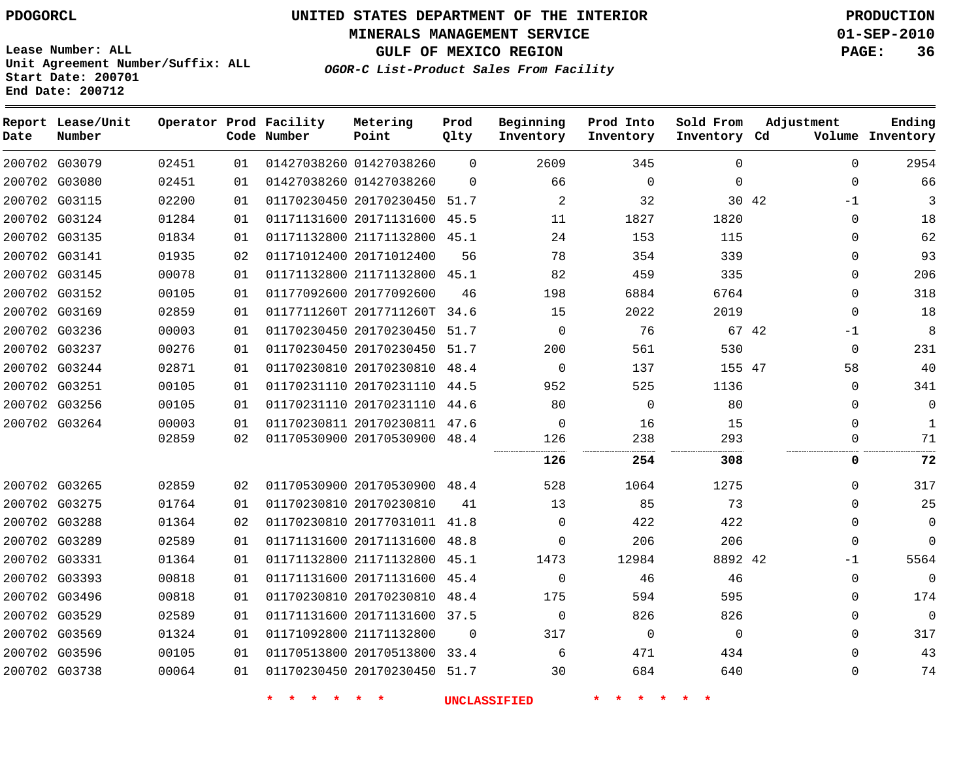**MINERALS MANAGEMENT SERVICE 01-SEP-2010**

**GULF OF MEXICO REGION PAGE: 36**

**Lease Number: ALL Unit Agreement Number/Suffix: ALL Start Date: 200701 End Date: 200712**

**OGOR-C List-Product Sales From Facility**

| Date | Report Lease/Unit<br>Number |       |    | Operator Prod Facility<br>Code Number | Metering<br>Point            | Prod<br>Qlty | Beginning<br>Inventory | Prod Into<br>Inventory | Sold From<br>Inventory Cd | Adjustment    | Ending<br>Volume Inventory |
|------|-----------------------------|-------|----|---------------------------------------|------------------------------|--------------|------------------------|------------------------|---------------------------|---------------|----------------------------|
|      | 200702 G03079               | 02451 | 01 |                                       | 01427038260 01427038260      | $\Omega$     | 2609                   | 345                    | $\Omega$                  | $\Omega$      | 2954                       |
|      | 200702 G03080               | 02451 | 01 |                                       | 01427038260 01427038260      | $\Omega$     | 66                     | $\mathbf 0$            | $\Omega$                  | $\mathbf 0$   | 66                         |
|      | 200702 G03115               | 02200 | 01 |                                       | 01170230450 20170230450 51.7 |              | $\overline{2}$         | 32                     |                           | 30 42<br>$-1$ | 3                          |
|      | 200702 G03124               | 01284 | 01 |                                       | 01171131600 20171131600 45.5 |              | 11                     | 1827                   | 1820                      | $\mathbf 0$   | 18                         |
|      | 200702 G03135               | 01834 | 01 |                                       | 01171132800 21171132800 45.1 |              | 24                     | 153                    | 115                       | $\Omega$      | 62                         |
|      | 200702 G03141               | 01935 | 02 |                                       | 01171012400 20171012400      | 56           | 78                     | 354                    | 339                       | $\Omega$      | 93                         |
|      | 200702 G03145               | 00078 | 01 |                                       | 01171132800 21171132800 45.1 |              | 82                     | 459                    | 335                       | $\mathbf 0$   | 206                        |
|      | 200702 G03152               | 00105 | 01 |                                       | 01177092600 20177092600      | 46           | 198                    | 6884                   | 6764                      | $\mathbf 0$   | 318                        |
|      | 200702 G03169               | 02859 | 01 |                                       | 0117711260T 2017711260T      | 34.6         | 15                     | 2022                   | 2019                      | $\mathbf 0$   | 18                         |
|      | 200702 G03236               | 00003 | 01 |                                       | 01170230450 20170230450 51.7 |              | $\mathbf 0$            | 76                     |                           | 67 42<br>$-1$ | 8                          |
|      | 200702 G03237               | 00276 | 01 |                                       | 01170230450 20170230450 51.7 |              | 200                    | 561                    | 530                       | $\mathbf 0$   | 231                        |
|      | 200702 G03244               | 02871 | 01 |                                       | 01170230810 20170230810 48.4 |              | $\Omega$               | 137                    | 155 47                    | 58            | 40                         |
|      | 200702 G03251               | 00105 | 01 |                                       | 01170231110 20170231110      | 44.5         | 952                    | 525                    | 1136                      | $\mathbf 0$   | 341                        |
|      | 200702 G03256               | 00105 | 01 |                                       | 01170231110 20170231110 44.6 |              | 80                     | $\mathbf 0$            | 80                        | $\mathbf 0$   | $\mathbf 0$                |
|      | 200702 G03264               | 00003 | 01 |                                       | 01170230811 20170230811 47.6 |              | $\Omega$               | 16                     | 15                        | $\mathbf 0$   | $\mathbf{1}$               |
|      |                             | 02859 | 02 |                                       | 01170530900 20170530900 48.4 |              | 126<br>                | 238                    | 293                       | $\Omega$      | 71                         |
|      |                             |       |    |                                       |                              |              | 126                    | 254                    | 308                       | 0             | 72                         |
|      | 200702 G03265               | 02859 | 02 |                                       | 01170530900 20170530900 48.4 |              | 528                    | 1064                   | 1275                      | $\mathbf 0$   | 317                        |
|      | 200702 G03275               | 01764 | 01 |                                       | 01170230810 20170230810      | 41           | 13                     | 85                     | 73                        | $\Omega$      | 25                         |
|      | 200702 G03288               | 01364 | 02 |                                       | 01170230810 20177031011 41.8 |              | $\Omega$               | 422                    | 422                       | $\Omega$      | $\mathbf 0$                |
|      | 200702 G03289               | 02589 | 01 |                                       | 01171131600 20171131600 48.8 |              | $\Omega$               | 206                    | 206                       | $\mathbf 0$   | $\Omega$                   |
|      | 200702 G03331               | 01364 | 01 |                                       | 01171132800 21171132800 45.1 |              | 1473                   | 12984                  | 8892 42                   | -1            | 5564                       |
|      | 200702 G03393               | 00818 | 01 |                                       | 01171131600 20171131600 45.4 |              | $\mathbf 0$            | 46                     | 46                        | $\mathbf 0$   | $\Omega$                   |
|      | 200702 G03496               | 00818 | 01 |                                       | 01170230810 20170230810 48.4 |              | 175                    | 594                    | 595                       | $\mathbf 0$   | 174                        |
|      | 200702 G03529               | 02589 | 01 |                                       | 01171131600 20171131600      | 37.5         | $\mathsf 0$            | 826                    | 826                       | $\mathbf 0$   | $\overline{0}$             |
|      | 200702 G03569               | 01324 | 01 |                                       | 01171092800 21171132800      | $\Omega$     | 317                    | $\Omega$               | $\Omega$                  | $\Omega$      | 317                        |
|      | 200702 G03596               | 00105 | 01 |                                       | 01170513800 20170513800      | 33.4         | 6                      | 471                    | 434                       | $\Omega$      | 43                         |
|      | 200702 G03738               | 00064 | 01 |                                       | 01170230450 20170230450 51.7 |              | 30                     | 684                    | 640                       | $\Omega$      | 74                         |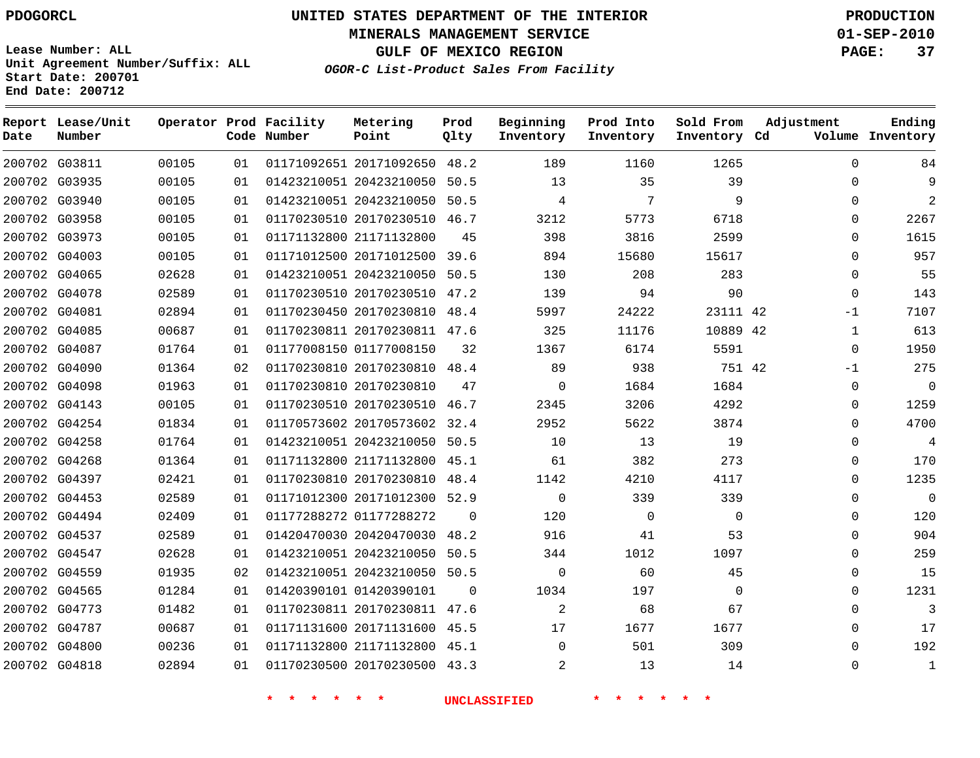**MINERALS MANAGEMENT SERVICE 01-SEP-2010**

**GULF OF MEXICO REGION PAGE: 37**

**Lease Number: ALL Unit Agreement Number/Suffix: ALL Start Date: 200701 End Date: 200712**

**OGOR-C List-Product Sales From Facility**

| Date | Report Lease/Unit<br>Number |       |    | Operator Prod Facility<br>Code Number | Metering<br>Point            | Prod<br>Qlty | Beginning<br>Inventory | Prod Into<br>Inventory | Sold From<br>Inventory Cd | Adjustment  | Ending<br>Volume Inventory |
|------|-----------------------------|-------|----|---------------------------------------|------------------------------|--------------|------------------------|------------------------|---------------------------|-------------|----------------------------|
|      | 200702 G03811               | 00105 | 01 |                                       | 01171092651 20171092650      | 48.2         | 189                    | 1160                   | 1265                      | $\Omega$    | 84                         |
|      | 200702 G03935               | 00105 | 01 |                                       | 01423210051 20423210050 50.5 |              | 13                     | 35                     | 39                        | $\Omega$    | 9                          |
|      | 200702 G03940               | 00105 | 01 |                                       | 01423210051 20423210050 50.5 |              | 4                      | 7                      | 9                         | $\Omega$    | $\overline{2}$             |
|      | 200702 G03958               | 00105 | 01 |                                       | 01170230510 20170230510 46.7 |              | 3212                   | 5773                   | 6718                      | $\Omega$    | 2267                       |
|      | 200702 G03973               | 00105 | 01 |                                       | 01171132800 21171132800      | 45           | 398                    | 3816                   | 2599                      | $\Omega$    | 1615                       |
|      | 200702 G04003               | 00105 | 01 |                                       | 01171012500 20171012500 39.6 |              | 894                    | 15680                  | 15617                     | $\Omega$    | 957                        |
|      | 200702 G04065               | 02628 | 01 |                                       | 01423210051 20423210050      | 50.5         | 130                    | 208                    | 283                       | $\mathbf 0$ | 55                         |
|      | 200702 G04078               | 02589 | 01 |                                       | 01170230510 20170230510 47.2 |              | 139                    | 94                     | 90                        | $\Omega$    | 143                        |
|      | 200702 G04081               | 02894 | 01 |                                       | 01170230450 20170230810      | 48.4         | 5997                   | 24222                  | 23111 42                  | $-1$        | 7107                       |
|      | 200702 G04085               | 00687 | 01 |                                       | 01170230811 20170230811 47.6 |              | 325                    | 11176                  | 10889 42                  | 1           | 613                        |
|      | 200702 G04087               | 01764 | 01 |                                       | 01177008150 01177008150      | 32           | 1367                   | 6174                   | 5591                      | $\Omega$    | 1950                       |
|      | 200702 G04090               | 01364 | 02 |                                       | 01170230810 20170230810      | 48.4         | 89                     | 938                    | 751 42                    | $-1$        | 275                        |
|      | 200702 G04098               | 01963 | 01 |                                       | 01170230810 20170230810      | 47           | $\Omega$               | 1684                   | 1684                      | $\Omega$    | $\Omega$                   |
|      | 200702 G04143               | 00105 | 01 |                                       | 01170230510 20170230510      | 46.7         | 2345                   | 3206                   | 4292                      | 0           | 1259                       |
|      | 200702 G04254               | 01834 | 01 |                                       | 01170573602 20170573602      | 32.4         | 2952                   | 5622                   | 3874                      | $\Omega$    | 4700                       |
|      | 200702 G04258               | 01764 | 01 |                                       | 01423210051 20423210050      | 50.5         | 10                     | 13                     | 19                        | $\Omega$    | 4                          |
|      | 200702 G04268               | 01364 | 01 |                                       | 01171132800 21171132800      | 45.1         | 61                     | 382                    | 273                       | 0           | 170                        |
|      | 200702 G04397               | 02421 | 01 |                                       | 01170230810 20170230810      | 48.4         | 1142                   | 4210                   | 4117                      | $\mathbf 0$ | 1235                       |
|      | 200702 G04453               | 02589 | 01 |                                       | 01171012300 20171012300      | 52.9         | $\mathbf 0$            | 339                    | 339                       | $\Omega$    | $\mathbf 0$                |
|      | 200702 G04494               | 02409 | 01 |                                       | 01177288272 01177288272      | $\Omega$     | 120                    | $\mathbf 0$            | $\Omega$                  | $\Omega$    | 120                        |
|      | 200702 G04537               | 02589 | 01 |                                       | 01420470030 20420470030      | 48.2         | 916                    | 41                     | 53                        | $\Omega$    | 904                        |
|      | 200702 G04547               | 02628 | 01 |                                       | 01423210051 20423210050      | 50.5         | 344                    | 1012                   | 1097                      | $\mathbf 0$ | 259                        |
|      | 200702 G04559               | 01935 | 02 |                                       | 01423210051 20423210050 50.5 |              | $\mathbf{0}$           | 60                     | 45                        | $\mathbf 0$ | 15                         |
|      | 200702 G04565               | 01284 | 01 |                                       | 01420390101 01420390101      | $\Omega$     | 1034                   | 197                    | $\Omega$                  | $\Omega$    | 1231                       |
|      | 200702 G04773               | 01482 | 01 |                                       | 01170230811 20170230811 47.6 |              | 2                      | 68                     | 67                        | $\Omega$    | 3                          |
|      | 200702 G04787               | 00687 | 01 |                                       | 01171131600 20171131600 45.5 |              | 17                     | 1677                   | 1677                      | $\mathbf 0$ | 17                         |
|      | 200702 G04800               | 00236 | 01 |                                       | 01171132800 21171132800 45.1 |              | $\Omega$               | 501                    | 309                       | $\Omega$    | 192                        |
|      | 200702 G04818               | 02894 | 01 |                                       | 01170230500 20170230500      | 43.3         | $\overline{2}$         | 13                     | 14                        | $\Omega$    | $\mathbf{1}$               |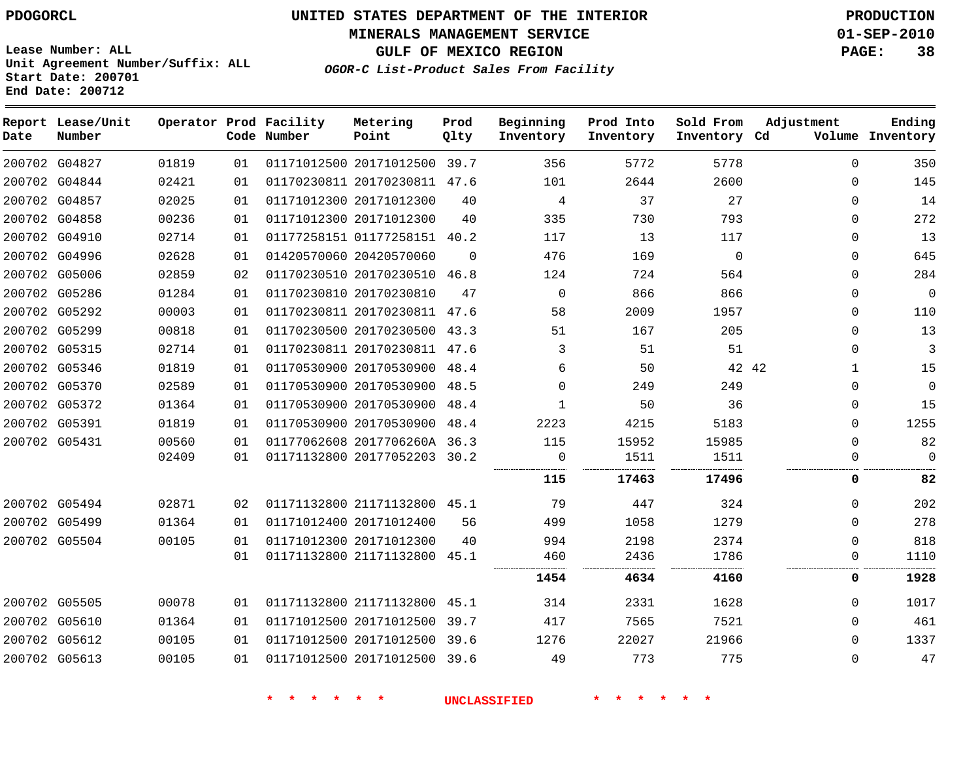**MINERALS MANAGEMENT SERVICE 01-SEP-2010**

**GULF OF MEXICO REGION PAGE: 38**

**Lease Number: ALL Unit Agreement Number/Suffix: ALL Start Date: 200701 End Date: 200712**

**OGOR-C List-Product Sales From Facility**

| Date | Report Lease/Unit<br>Number |       |    | Operator Prod Facility<br>Code Number | Metering<br>Point            | Prod<br>Qlty | Beginning<br>Inventory | Prod Into<br>Inventory | Sold From<br>Inventory Cd | Adjustment   | Ending<br>Volume Inventory |
|------|-----------------------------|-------|----|---------------------------------------|------------------------------|--------------|------------------------|------------------------|---------------------------|--------------|----------------------------|
|      | 200702 G04827               | 01819 | 01 |                                       | 01171012500 20171012500 39.7 |              | 356                    | 5772                   | 5778                      | $\Omega$     | 350                        |
|      | 200702 G04844               | 02421 | 01 |                                       | 01170230811 20170230811 47.6 |              | 101                    | 2644                   | 2600                      | $\Omega$     | 145                        |
|      | 200702 G04857               | 02025 | 01 |                                       | 01171012300 20171012300      | 40           | 4                      | 37                     | 27                        | 0            | 14                         |
|      | 200702 G04858               | 00236 | 01 |                                       | 01171012300 20171012300      | 40           | 335                    | 730                    | 793                       | $\Omega$     | 272                        |
|      | 200702 G04910               | 02714 | 01 |                                       | 01177258151 01177258151      | 40.2         | 117                    | 13                     | 117                       | $\Omega$     | 13                         |
|      | 200702 G04996               | 02628 | 01 |                                       | 01420570060 20420570060      | $\Omega$     | 476                    | 169                    | $\Omega$                  | $\Omega$     | 645                        |
|      | 200702 G05006               | 02859 | 02 |                                       | 01170230510 20170230510      | 46.8         | 124                    | 724                    | 564                       | 0            | 284                        |
|      | 200702 G05286               | 01284 | 01 |                                       | 01170230810 20170230810      | 47           | $\mathbf 0$            | 866                    | 866                       | 0            | $\mathbf 0$                |
|      | 200702 G05292               | 00003 | 01 |                                       | 01170230811 20170230811      | 47.6         | 58                     | 2009                   | 1957                      | 0            | 110                        |
|      | 200702 G05299               | 00818 | 01 |                                       | 01170230500 20170230500      | 43.3         | 51                     | 167                    | 205                       | $\Omega$     | 13                         |
|      | 200702 G05315               | 02714 | 01 |                                       | 01170230811 20170230811      | 47.6         | 3                      | 51                     | 51                        | $\mathbf{0}$ | 3                          |
|      | 200702 G05346               | 01819 | 01 |                                       | 01170530900 20170530900      | 48.4         | 6                      | 50                     | 42 42                     | 1            | 15                         |
|      | 200702 G05370               | 02589 | 01 |                                       | 01170530900 20170530900      | 48.5         | $\Omega$               | 249                    | 249                       | 0            | $\mathbf 0$                |
|      | 200702 G05372               | 01364 | 01 |                                       | 01170530900 20170530900      | 48.4         |                        | 50                     | 36                        | $\Omega$     | 15                         |
|      | 200702 G05391               | 01819 | 01 |                                       | 01170530900 20170530900      | 48.4         | 2223                   | 4215                   | 5183                      | $\Omega$     | 1255                       |
|      | 200702 G05431               | 00560 | 01 |                                       | 01177062608 2017706260A 36.3 |              | 115                    | 15952                  | 15985                     | 0            | 82                         |
|      |                             | 02409 | 01 |                                       | 01171132800 20177052203 30.2 |              | 0                      | 1511                   | 1511                      | $\Omega$     | 0                          |
|      |                             |       |    |                                       |                              |              | 115                    | 17463                  | 17496                     | 0            | 82                         |
|      | 200702 G05494               | 02871 | 02 |                                       | 01171132800 21171132800 45.1 |              | 79                     | 447                    | 324                       | $\Omega$     | 202                        |
|      | 200702 G05499               | 01364 | 01 |                                       | 01171012400 20171012400      | 56           | 499                    | 1058                   | 1279                      | $\Omega$     | 278                        |
|      | 200702 G05504               | 00105 | 01 |                                       | 01171012300 20171012300      | 40           | 994                    | 2198                   | 2374                      | $\Omega$     | 818                        |
|      |                             |       | 01 |                                       | 01171132800 21171132800      | 45.1         | 460                    | 2436                   | 1786                      | $\Omega$     | 1110                       |
|      |                             |       |    |                                       |                              |              | 1454                   | 4634                   | 4160                      | 0            | 1928                       |
|      | 200702 G05505               | 00078 | 01 |                                       | 01171132800 21171132800      | 45.1         | 314                    | 2331                   | 1628                      | 0            | 1017                       |
|      | 200702 G05610               | 01364 | 01 |                                       | 01171012500 20171012500      | 39.7         | 417                    | 7565                   | 7521                      | $\Omega$     | 461                        |
|      | 200702 G05612               | 00105 | 01 |                                       | 01171012500 20171012500 39.6 |              | 1276                   | 22027                  | 21966                     | $\Omega$     | 1337                       |
|      | 200702 G05613               | 00105 | 01 |                                       | 01171012500 20171012500 39.6 |              | 49                     | 773                    | 775                       | $\Omega$     | 47                         |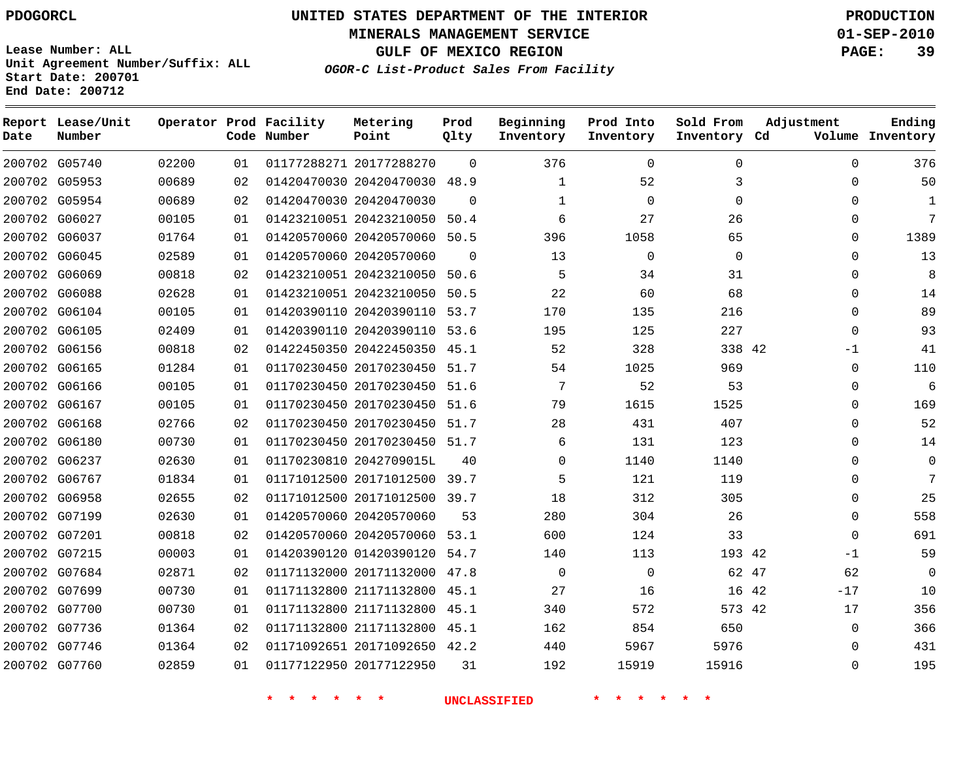**MINERALS MANAGEMENT SERVICE 01-SEP-2010**

**GULF OF MEXICO REGION PAGE: 39**

**Lease Number: ALL Unit Agreement Number/Suffix: ALL Start Date: 200701 End Date: 200712**

**OGOR-C List-Product Sales From Facility**

| Date | Report Lease/Unit<br>Number |       |    | Operator Prod Facility<br>Code Number | Metering<br>Point            | Prod<br>Qlty | Beginning<br>Inventory | Prod Into<br>Inventory | Sold From<br>Inventory Cd | Adjustment     | Ending<br>Volume Inventory |
|------|-----------------------------|-------|----|---------------------------------------|------------------------------|--------------|------------------------|------------------------|---------------------------|----------------|----------------------------|
|      | 200702 G05740               | 02200 | 01 |                                       | 01177288271 20177288270      | $\Omega$     | 376                    | $\mathbf 0$            | $\mathbf 0$               | $\mathbf 0$    | 376                        |
|      | 200702 G05953               | 00689 | 02 |                                       | 01420470030 20420470030      | 48.9         | 1                      | 52                     | 3                         | $\mathbf 0$    | 50                         |
|      | 200702 G05954               | 00689 | 02 |                                       | 01420470030 20420470030      | $\Omega$     | 1                      | $\Omega$               | $\Omega$                  | $\Omega$       | 1                          |
|      | 200702 G06027               | 00105 | 01 |                                       | 01423210051 20423210050      | 50.4         | 6                      | 27                     | 26                        | $\Omega$       | 7                          |
|      | 200702 G06037               | 01764 | 01 |                                       | 01420570060 20420570060 50.5 |              | 396                    | 1058                   | 65                        | $\Omega$       | 1389                       |
|      | 200702 G06045               | 02589 | 01 |                                       | 01420570060 20420570060      | $\Omega$     | 13                     | $\mathbf 0$            | $\Omega$                  | $\Omega$       | 13                         |
|      | 200702 G06069               | 00818 | 02 |                                       | 01423210051 20423210050      | 50.6         | 5                      | 34                     | 31                        | $\Omega$       | 8                          |
|      | 200702 G06088               | 02628 | 01 |                                       | 01423210051 20423210050      | 50.5         | 22                     | 60                     | 68                        | $\Omega$       | 14                         |
|      | 200702 G06104               | 00105 | 01 |                                       | 01420390110 20420390110 53.7 |              | 170                    | 135                    | 216                       | $\Omega$       | 89                         |
|      | 200702 G06105               | 02409 | 01 |                                       | 01420390110 20420390110 53.6 |              | 195                    | 125                    | 227                       | $\mathbf 0$    | 93                         |
|      | 200702 G06156               | 00818 | 02 |                                       | 01422450350 20422450350 45.1 |              | 52                     | 328                    | 338 42                    | -1             | 41                         |
|      | 200702 G06165               | 01284 | 01 |                                       | 01170230450 20170230450      | 51.7         | 54                     | 1025                   | 969                       | $\mathbf 0$    | 110                        |
|      | 200702 G06166               | 00105 | 01 |                                       | 01170230450 20170230450 51.6 |              | 7                      | 52                     | 53                        | $\mathbf 0$    | 6                          |
|      | 200702 G06167               | 00105 | 01 |                                       | 01170230450 20170230450 51.6 |              | 79                     | 1615                   | 1525                      | $\Omega$       | 169                        |
|      | 200702 G06168               | 02766 | 02 |                                       | 01170230450 20170230450 51.7 |              | 28                     | 431                    | 407                       | $\Omega$       | 52                         |
|      | 200702 G06180               | 00730 | 01 |                                       | 01170230450 20170230450 51.7 |              | 6                      | 131                    | 123                       | $\Omega$       | 14                         |
|      | 200702 G06237               | 02630 | 01 |                                       | 01170230810 2042709015L      | 40           | $\Omega$               | 1140                   | 1140                      | $\Omega$       | $\Omega$                   |
|      | 200702 G06767               | 01834 | 01 |                                       | 01171012500 20171012500 39.7 |              | 5                      | 121                    | 119                       | $\Omega$       | 7                          |
|      | 200702 G06958               | 02655 | 02 |                                       | 01171012500 20171012500 39.7 |              | 18                     | 312                    | 305                       | 0              | 25                         |
|      | 200702 G07199               | 02630 | 01 |                                       | 01420570060 20420570060      | 53           | 280                    | 304                    | 26                        | $\mathbf 0$    | 558                        |
|      | 200702 G07201               | 00818 | 02 |                                       | 01420570060 20420570060      | 53.1         | 600                    | 124                    | 33                        | $\mathbf 0$    | 691                        |
|      | 200702 G07215               | 00003 | 01 |                                       | 01420390120 01420390120 54.7 |              | 140                    | 113                    | 193 42                    | $-1$           | 59                         |
|      | 200702 G07684               | 02871 | 02 |                                       | 01171132000 20171132000 47.8 |              | $\Omega$               | $\mathbf 0$            | 62 47                     | 62             | $\Omega$                   |
|      | 200702 G07699               | 00730 | 01 |                                       | 01171132800 21171132800      | 45.1         | 27                     | 16                     |                           | $-17$<br>16 42 | 10                         |
|      | 200702 G07700               | 00730 | 01 |                                       | 01171132800 21171132800      | 45.1         | 340                    | 572                    | 573 42                    | 17             | 356                        |
|      | 200702 G07736               | 01364 | 02 |                                       | 01171132800 21171132800      | 45.1         | 162                    | 854                    | 650                       | $\mathbf 0$    | 366                        |
|      | 200702 G07746               | 01364 | 02 |                                       | 01171092651 20171092650 42.2 |              | 440                    | 5967                   | 5976                      | $\Omega$       | 431                        |
|      | 200702 G07760               | 02859 | 01 |                                       | 01177122950 20177122950      | 31           | 192                    | 15919                  | 15916                     | $\Omega$       | 195                        |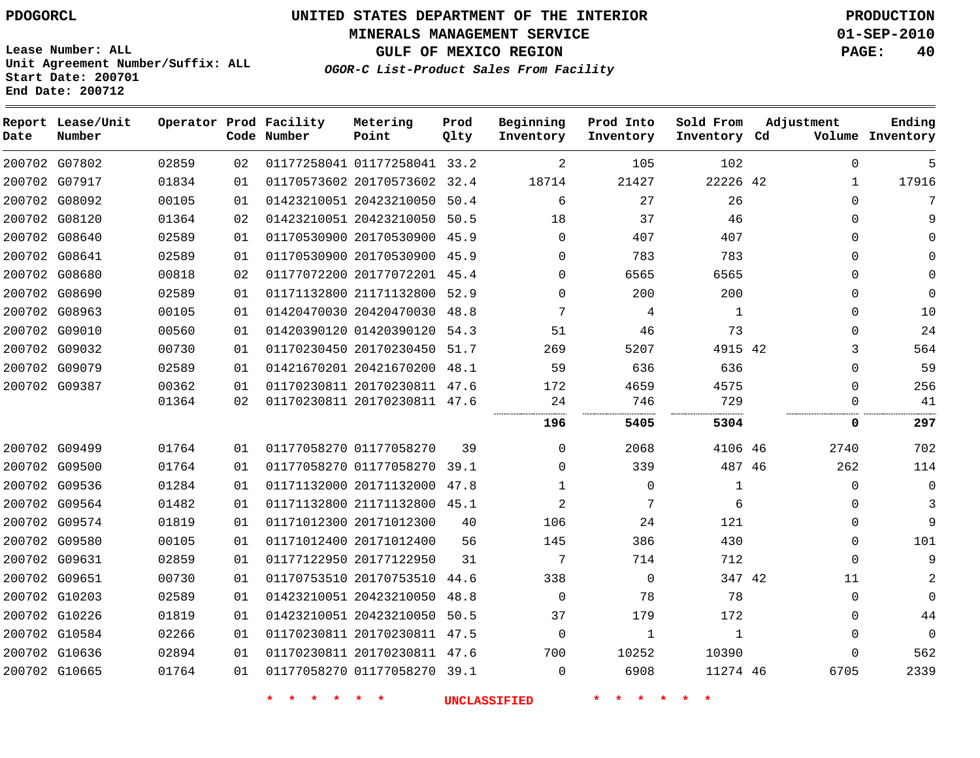# **UNITED STATES DEPARTMENT OF THE INTERIOR PDOGORCL PRODUCTION**

**MINERALS MANAGEMENT SERVICE 01-SEP-2010**

**GULF OF MEXICO REGION PAGE: 40**

**Unit Agreement Number/Suffix: ALL Start Date: 200701 End Date: 200712**

**OGOR-C List-Product Sales From Facility**

| Date | Report Lease/Unit<br>Number |       |    | Operator Prod Facility<br>Code Number | Metering<br>Point            | Prod<br>Qlty | Beginning<br>Inventory | Prod Into<br>Inventory | Sold From<br>Inventory Cd | Adjustment |              | Ending<br>Volume Inventory |
|------|-----------------------------|-------|----|---------------------------------------|------------------------------|--------------|------------------------|------------------------|---------------------------|------------|--------------|----------------------------|
|      | 200702 G07802               | 02859 | 02 |                                       | 01177258041 01177258041 33.2 |              | 2                      | 105                    | 102                       |            | $\Omega$     | 5                          |
|      | 200702 G07917               | 01834 | 01 |                                       | 01170573602 20170573602 32.4 |              | 18714                  | 21427                  | 22226 42                  |            | $\mathbf{1}$ | 17916                      |
|      | 200702 G08092               | 00105 | 01 |                                       | 01423210051 20423210050      | 50.4         | 6                      | 27                     | 26                        |            | $\Omega$     | 7                          |
|      | 200702 G08120               | 01364 | 02 |                                       | 01423210051 20423210050      | 50.5         | 18                     | 37                     | 46                        |            | $\Omega$     | 9                          |
|      | 200702 G08640               | 02589 | 01 |                                       | 01170530900 20170530900 45.9 |              | $\Omega$               | 407                    | 407                       |            | $\Omega$     | <sup>n</sup>               |
|      | 200702 G08641               | 02589 | 01 |                                       | 01170530900 20170530900 45.9 |              | $\Omega$               | 783                    | 783                       |            | $\Omega$     |                            |
|      | 200702 G08680               | 00818 | 02 |                                       | 01177072200 20177072201 45.4 |              | $\Omega$               | 6565                   | 6565                      |            | $\Omega$     | $\Omega$                   |
|      | 200702 G08690               | 02589 | 01 |                                       | 01171132800 21171132800      | 52.9         | $\Omega$               | 200                    | 200                       |            | 0            | $\Omega$                   |
|      | 200702 G08963               | 00105 | 01 |                                       | 01420470030 20420470030 48.8 |              | 7                      | 4                      | 1                         |            | $\Omega$     | 10                         |
|      | 200702 G09010               | 00560 | 01 |                                       | 01420390120 01420390120 54.3 |              | 51                     | 46                     | 73                        |            | $\Omega$     | 24                         |
|      | 200702 G09032               | 00730 | 01 |                                       | 01170230450 20170230450 51.7 |              | 269                    | 5207                   | 4915 42                   |            | 3            | 564                        |
|      | 200702 G09079               | 02589 | 01 |                                       | 01421670201 20421670200      | 48.1         | 59                     | 636                    | 636                       |            | $\mathbf{0}$ | 59                         |
|      | 200702 G09387               | 00362 | 01 |                                       | 01170230811 20170230811 47.6 |              | 172                    | 4659                   | 4575                      |            | $\Omega$     | 256                        |
|      |                             | 01364 | 02 |                                       | 01170230811 20170230811 47.6 |              | 24                     | 746                    | 729                       |            | $\Omega$     | 41                         |
|      |                             |       |    |                                       |                              |              | 196                    | 5405                   | 5304                      |            | 0            | 297                        |
|      | 200702 G09499               | 01764 | 01 |                                       | 01177058270 01177058270      | 39           | $\Omega$               | 2068                   | 4106 46                   |            | 2740         | 702                        |
|      | 200702 G09500               | 01764 | 01 |                                       | 01177058270 01177058270      | 39.1         | $\Omega$               | 339                    | 487 46                    |            | 262          | 114                        |
|      | 200702 G09536               | 01284 | 01 |                                       | 01171132000 20171132000      | 47.8         | $\mathbf{1}$           | $\mathbf 0$            | 1                         |            | 0            | $\mathbf 0$                |
|      | 200702 G09564               | 01482 | 01 |                                       | 01171132800 21171132800 45.1 |              | $\overline{2}$         | 7                      | 6                         |            | 0            | 3                          |
|      | 200702 G09574               | 01819 | 01 |                                       | 01171012300 20171012300      | 40           | 106                    | 24                     | 121                       |            | 0            | 9                          |
|      | 200702 G09580               | 00105 | 01 |                                       | 01171012400 20171012400      | 56           | 145                    | 386                    | 430                       |            | 0            | 101                        |
|      | 200702 G09631               | 02859 | 01 |                                       | 01177122950 20177122950      | 31           | 7                      | 714                    | 712                       |            | $\mathbf{0}$ | 9                          |
|      | 200702 G09651               | 00730 | 01 |                                       | 01170753510 20170753510 44.6 |              | 338                    | $\Omega$               | 347 42                    |            | 11           | 2                          |
|      | 200702 G10203               | 02589 | 01 |                                       | 01423210051 20423210050      | 48.8         | $\mathbf 0$            | 78                     | 78                        |            | $\mathbf{0}$ | $\Omega$                   |
|      | 200702 G10226               | 01819 | 01 |                                       | 01423210051 20423210050      | 50.5         | 37                     | 179                    | 172                       |            | $\Omega$     | 44                         |
|      | 200702 G10584               | 02266 | 01 |                                       | 01170230811 20170230811 47.5 |              | $\Omega$               | $\mathbf{1}$           | 1                         |            | $\Omega$     | $\Omega$                   |
|      | 200702 G10636               | 02894 | 01 |                                       | 01170230811 20170230811 47.6 |              | 700                    | 10252                  | 10390                     |            | $\Omega$     | 562                        |
|      | 200702 G10665               | 01764 | 01 |                                       | 01177058270 01177058270 39.1 |              | $\Omega$               | 6908                   | 11274 46                  |            | 6705         | 2339                       |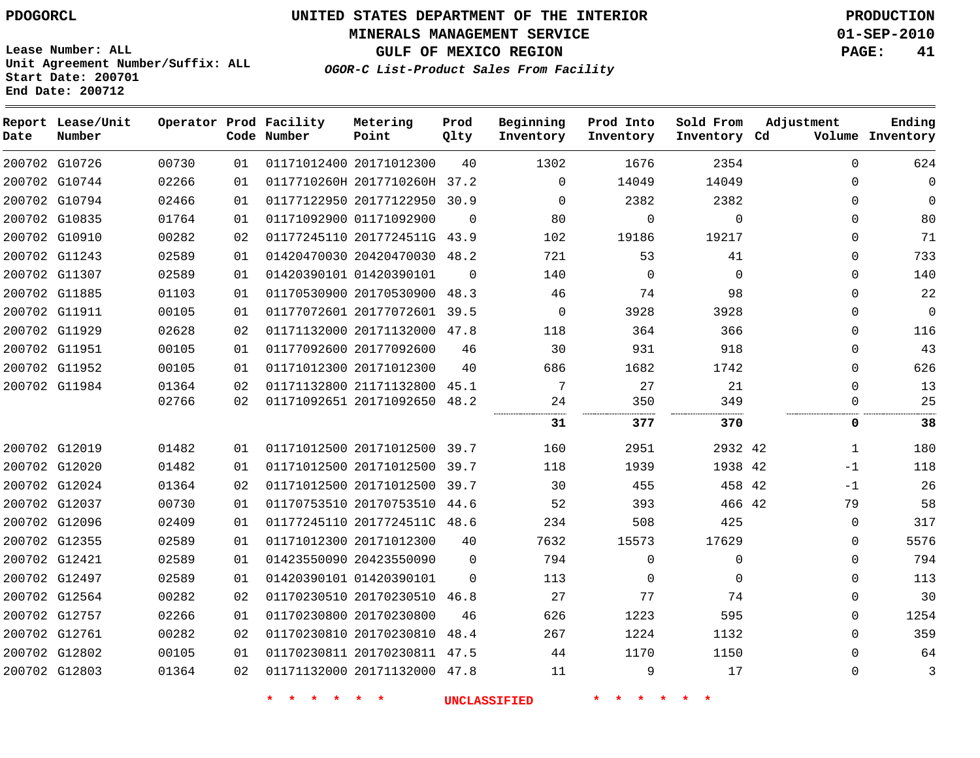**MINERALS MANAGEMENT SERVICE 01-SEP-2010**

**GULF OF MEXICO REGION PAGE: 41 OGOR-C List-Product Sales From Facility**

**Lease Number: ALL Unit Agreement Number/Suffix: ALL Start Date: 200701 End Date: 200712**

| Date | Report Lease/Unit<br>Number |       |    | Operator Prod Facility<br>Code Number | Metering<br>Point            | Prod<br>Qlty   | Beginning<br>Inventory | Prod Into<br>Inventory | Sold From<br>Inventory Cd | Adjustment  | Ending<br>Volume Inventory |
|------|-----------------------------|-------|----|---------------------------------------|------------------------------|----------------|------------------------|------------------------|---------------------------|-------------|----------------------------|
|      | 200702 G10726               | 00730 | 01 |                                       | 01171012400 20171012300      | 40             | 1302                   | 1676                   | 2354                      | $\Omega$    | 624                        |
|      | 200702 G10744               | 02266 | 01 |                                       | 0117710260H 2017710260H 37.2 |                | $\Omega$               | 14049                  | 14049                     | $\Omega$    | 0                          |
|      | 200702 G10794               | 02466 | 01 |                                       | 01177122950 20177122950 30.9 |                | $\Omega$               | 2382                   | 2382                      | $\Omega$    | 0                          |
|      | 200702 G10835               | 01764 | 01 |                                       | 01171092900 01171092900      | $\overline{0}$ | 80                     | 0                      | 0                         | $\Omega$    | 80                         |
|      | 200702 G10910               | 00282 | 02 |                                       | 01177245110 2017724511G 43.9 |                | 102                    | 19186                  | 19217                     | $\Omega$    | 71                         |
|      | 200702 G11243               | 02589 | 01 |                                       | 01420470030 20420470030 48.2 |                | 721                    | 53                     | 41                        | $\Omega$    | 733                        |
|      | 200702 G11307               | 02589 | 01 |                                       | 01420390101 01420390101      | $\Omega$       | 140                    | $\Omega$               | $\Omega$                  | $\Omega$    | 140                        |
|      | 200702 G11885               | 01103 | 01 |                                       | 01170530900 20170530900      | 48.3           | 46                     | 74                     | 98                        | $\Omega$    | 22                         |
|      | 200702 G11911               | 00105 | 01 |                                       | 01177072601 20177072601 39.5 |                | $\mathbf 0$            | 3928                   | 3928                      | $\Omega$    | $\mathbf 0$                |
|      | 200702 G11929               | 02628 | 02 |                                       | 01171132000 20171132000 47.8 |                | 118                    | 364                    | 366                       | $\Omega$    | 116                        |
|      | 200702 G11951               | 00105 | 01 |                                       | 01177092600 20177092600      | 46             | 30                     | 931                    | 918                       | 0           | 43                         |
|      | 200702 G11952               | 00105 | 01 |                                       | 01171012300 20171012300      | 40             | 686                    | 1682                   | 1742                      | $\Omega$    | 626                        |
|      | 200702 G11984               | 01364 | 02 |                                       | 01171132800 21171132800      | 45.1           | 7                      | 27                     | 21                        | $\Omega$    | 13                         |
|      |                             | 02766 | 02 |                                       | 01171092651 20171092650 48.2 |                | 24                     | 350<br>                | 349<br><br>.              | $\Omega$    | 25                         |
|      |                             |       |    |                                       |                              |                | 31                     | 377                    | 370                       | 0           | 38                         |
|      | 200702 G12019               | 01482 | 01 |                                       | 01171012500 20171012500 39.7 |                | 160                    | 2951                   | 2932 42                   | 1           | 180                        |
|      | 200702 G12020               | 01482 | 01 |                                       | 01171012500 20171012500      | 39.7           | 118                    | 1939                   | 1938 42                   | -1          | 118                        |
|      | 200702 G12024               | 01364 | 02 |                                       | 01171012500 20171012500 39.7 |                | 30                     | 455                    | 458 42                    | $-1$        | 26                         |
|      | 200702 G12037               | 00730 | 01 |                                       | 01170753510 20170753510 44.6 |                | 52                     | 393                    | 466 42                    | 79          | 58                         |
|      | 200702 G12096               | 02409 | 01 |                                       | 01177245110 2017724511C 48.6 |                | 234                    | 508                    | 425                       | $\mathbf 0$ | 317                        |
|      | 200702 G12355               | 02589 | 01 |                                       | 01171012300 20171012300      | 40             | 7632                   | 15573                  | 17629                     | $\Omega$    | 5576                       |
|      | 200702 G12421               | 02589 | 01 |                                       | 01423550090 20423550090      | $\mathbf 0$    | 794                    | $\mathbf{0}$           | 0                         | $\Omega$    | 794                        |
|      | 200702 G12497               | 02589 | 01 |                                       | 01420390101 01420390101      | $\Omega$       | 113                    | $\mathbf 0$            | $\Omega$                  | $\Omega$    | 113                        |
|      | 200702 G12564               | 00282 | 02 |                                       | 01170230510 20170230510      | 46.8           | 27                     | 77                     | 74                        | $\Omega$    | 30                         |
|      | 200702 G12757               | 02266 | 01 |                                       | 01170230800 20170230800      | 46             | 626                    | 1223                   | 595                       | $\Omega$    | 1254                       |
|      | 200702 G12761               | 00282 | 02 |                                       | 01170230810 20170230810      | 48.4           | 267                    | 1224                   | 1132                      | $\Omega$    | 359                        |
|      | 200702 G12802               | 00105 | 01 |                                       | 01170230811 20170230811 47.5 |                | 44                     | 1170                   | 1150                      | 0           | 64                         |
|      | 200702 G12803               | 01364 | 02 |                                       | 01171132000 20171132000 47.8 |                | 11                     | 9                      | 17                        | $\Omega$    | 3                          |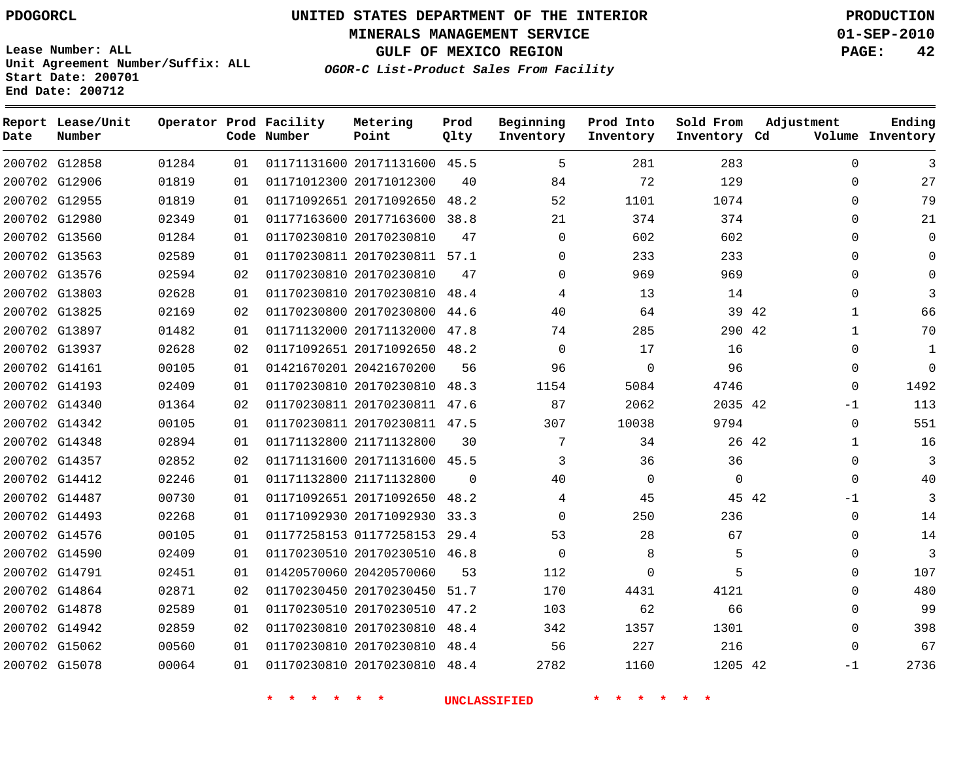# **UNITED STATES DEPARTMENT OF THE INTERIOR PDOGORCL PRODUCTION**

**MINERALS MANAGEMENT SERVICE 01-SEP-2010**

**GULF OF MEXICO REGION PAGE: 42**

**Unit Agreement Number/Suffix: ALL Start Date: 200701 End Date: 200712**

**OGOR-C List-Product Sales From Facility**

| Date | Report Lease/Unit<br>Number |       |    | Operator Prod Facility<br>Code Number | Metering<br>Point            | Prod<br>Qlty | Beginning<br>Inventory | Prod Into<br>Inventory | Sold From<br>Inventory Cd | Adjustment            | Ending<br>Volume Inventory |
|------|-----------------------------|-------|----|---------------------------------------|------------------------------|--------------|------------------------|------------------------|---------------------------|-----------------------|----------------------------|
|      | 200702 G12858               | 01284 | 01 |                                       | 01171131600 20171131600 45.5 |              | 5                      | 281                    | 283                       | $\Omega$              | 3                          |
|      | 200702 G12906               | 01819 | 01 |                                       | 01171012300 20171012300      | 40           | 84                     | 72                     | 129                       | $\Omega$              | 27                         |
|      | 200702 G12955               | 01819 | 01 |                                       | 01171092651 20171092650      | 48.2         | 52                     | 1101                   | 1074                      | $\Omega$              | 79                         |
|      | 200702 G12980               | 02349 | 01 |                                       | 01177163600 20177163600      | 38.8         | 21                     | 374                    | 374                       | $\Omega$              | 21                         |
|      | 200702 G13560               | 01284 | 01 |                                       | 01170230810 20170230810      | 47           | 0                      | 602                    | 602                       | $\Omega$              | $\Omega$                   |
|      | 200702 G13563               | 02589 | 01 |                                       | 01170230811 20170230811 57.1 |              | 0                      | 233                    | 233                       | $\Omega$              | 0                          |
|      | 200702 G13576               | 02594 | 02 |                                       | 01170230810 20170230810      | 47           | $\Omega$               | 969                    | 969                       | $\Omega$              | $\Omega$                   |
|      | 200702 G13803               | 02628 | 01 |                                       | 01170230810 20170230810      | 48.4         | 4                      | 13                     | 14                        | $\Omega$              |                            |
|      | 200702 G13825               | 02169 | 02 |                                       | 01170230800 20170230800      | 44.6         | 40                     | 64                     | 39 42                     | 1                     | 66                         |
|      | 200702 G13897               | 01482 | 01 |                                       | 01171132000 20171132000 47.8 |              | 74                     | 285                    | 290 42                    | $\mathbf{1}$          | 70                         |
|      | 200702 G13937               | 02628 | 02 |                                       | 01171092651 20171092650 48.2 |              | $\Omega$               | 17                     | 16                        | 0                     | 1                          |
|      | 200702 G14161               | 00105 | 01 |                                       | 01421670201 20421670200      | 56           | 96                     | 0                      | 96                        | 0                     | $\Omega$                   |
|      | 200702 G14193               | 02409 | 01 |                                       | 01170230810 20170230810      | 48.3         | 1154                   | 5084                   | 4746                      | $\Omega$              | 1492                       |
|      | 200702 G14340               | 01364 | 02 |                                       | 01170230811 20170230811 47.6 |              | 87                     | 2062                   | 2035 42                   | $-1$                  | 113                        |
|      | 200702 G14342               | 00105 | 01 |                                       | 01170230811 20170230811 47.5 |              | 307                    | 10038                  | 9794                      | $\mathbf{0}$          | 551                        |
|      | 200702 G14348               | 02894 | 01 |                                       | 01171132800 21171132800      | 30           | 7                      | 34                     |                           | 26 42<br>$\mathbf{1}$ | 16                         |
|      | 200702 G14357               | 02852 | 02 |                                       | 01171131600 20171131600 45.5 |              | 3                      | 36                     | 36                        | $\Omega$              | 3                          |
|      | 200702 G14412               | 02246 | 01 |                                       | 01171132800 21171132800      | $\Omega$     | 40                     | $\mathbf 0$            | $\mathbf{0}$              | $\mathbf{0}$          | 40                         |
|      | 200702 G14487               | 00730 | 01 |                                       | 01171092651 20171092650      | 48.2         | 4                      | 45                     | 45 42                     | -1                    | 3                          |
|      | 200702 G14493               | 02268 | 01 |                                       | 01171092930 20171092930      | 33.3         | $\Omega$               | 250                    | 236                       | $\mathbf{0}$          | 14                         |
|      | 200702 G14576               | 00105 | 01 |                                       | 01177258153 01177258153 29.4 |              | 53                     | 28                     | 67                        | $\Omega$              | 14                         |
|      | 200702 G14590               | 02409 | 01 |                                       | 01170230510 20170230510 46.8 |              | $\Omega$               | 8                      | 5                         | $\Omega$              | 3                          |
|      | 200702 G14791               | 02451 | 01 |                                       | 01420570060 20420570060      | 53           | 112                    | 0                      | 5                         | 0                     | 107                        |
|      | 200702 G14864               | 02871 | 02 |                                       | 01170230450 20170230450      | 51.7         | 170                    | 4431                   | 4121                      | 0                     | 480                        |
|      | 200702 G14878               | 02589 | 01 |                                       | 01170230510 20170230510 47.2 |              | 103                    | 62                     | 66                        | $\Omega$              | 99                         |
|      | 200702 G14942               | 02859 | 02 |                                       | 01170230810 20170230810      | 48.4         | 342                    | 1357                   | 1301                      | $\Omega$              | 398                        |
|      | 200702 G15062               | 00560 | 01 |                                       | 01170230810 20170230810 48.4 |              | 56                     | 227                    | 216                       | $\Omega$              | 67                         |
|      | 200702 G15078               | 00064 | 01 |                                       | 01170230810 20170230810 48.4 |              | 2782                   | 1160                   | 1205 42                   | $-1$                  | 2736                       |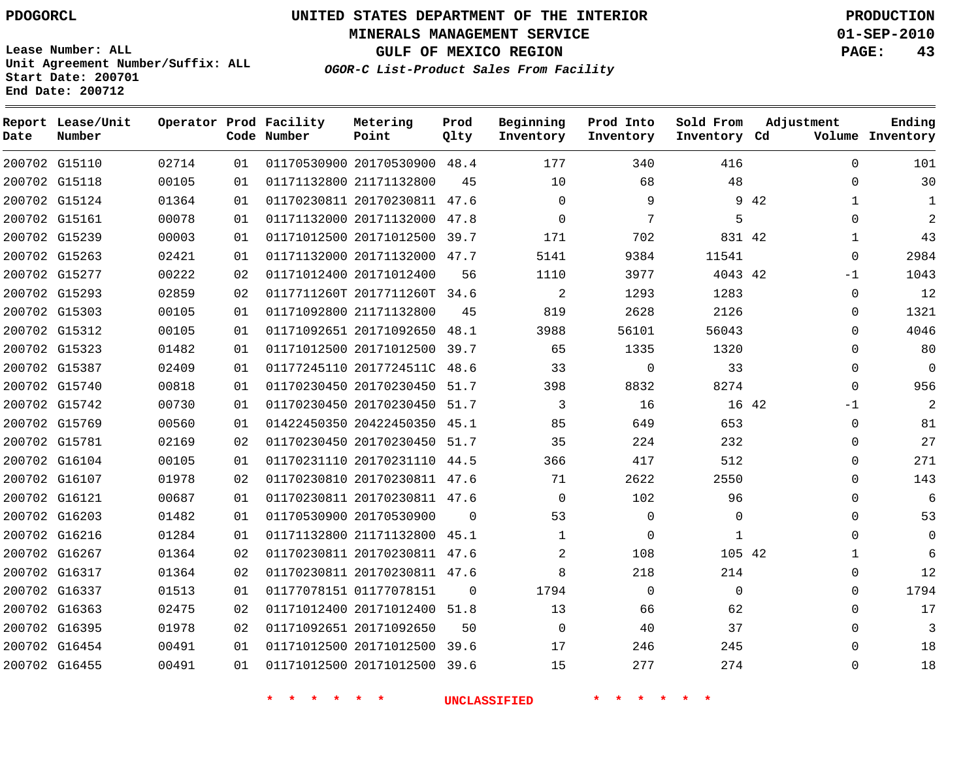**MINERALS MANAGEMENT SERVICE 01-SEP-2010**

**GULF OF MEXICO REGION PAGE: 43**

**Lease Number: ALL Unit Agreement Number/Suffix: ALL Start Date: 200701 End Date: 200712**

**OGOR-C List-Product Sales From Facility**

| Date | Report Lease/Unit<br>Number |       |    | Operator Prod Facility<br>Code Number | Metering<br>Point            | Prod<br>Qlty | Beginning<br>Inventory | Prod Into<br>Inventory | Sold From<br>Inventory Cd | Adjustment           | Ending<br>Volume Inventory |
|------|-----------------------------|-------|----|---------------------------------------|------------------------------|--------------|------------------------|------------------------|---------------------------|----------------------|----------------------------|
|      | 200702 G15110               | 02714 | 01 |                                       | 01170530900 20170530900 48.4 |              | 177                    | 340                    | 416                       | $\Omega$             | 101                        |
|      | 200702 G15118               | 00105 | 01 |                                       | 01171132800 21171132800      | 45           | 10                     | 68                     | 48                        | $\Omega$             | 30                         |
|      | 200702 G15124               | 01364 | 01 |                                       | 01170230811 20170230811 47.6 |              | $\Omega$               | 9                      |                           | 9 42<br>$\mathbf{1}$ | $\mathbf{1}$               |
|      | 200702 G15161               | 00078 | 01 |                                       | 01171132000 20171132000 47.8 |              | $\Omega$               | 7                      | 5                         | $\Omega$             | 2                          |
|      | 200702 G15239               | 00003 | 01 |                                       | 01171012500 20171012500      | 39.7         | 171                    | 702                    | 831 42                    | $\mathbf{1}$         | 43                         |
|      | 200702 G15263               | 02421 | 01 |                                       | 01171132000 20171132000 47.7 |              | 5141                   | 9384                   | 11541                     | $\Omega$             | 2984                       |
|      | 200702 G15277               | 00222 | 02 |                                       | 01171012400 20171012400      | 56           | 1110                   | 3977                   | 4043 42                   | $-1$                 | 1043                       |
|      | 200702 G15293               | 02859 | 02 |                                       | 0117711260T 2017711260T 34.6 |              | 2                      | 1293                   | 1283                      | $\mathbf 0$          | 12                         |
|      | 200702 G15303               | 00105 | 01 |                                       | 01171092800 21171132800      | 45           | 819                    | 2628                   | 2126                      | $\Omega$             | 1321                       |
|      | 200702 G15312               | 00105 | 01 |                                       | 01171092651 20171092650      | 48.1         | 3988                   | 56101                  | 56043                     | $\Omega$             | 4046                       |
|      | 200702 G15323               | 01482 | 01 |                                       | 01171012500 20171012500      | 39.7         | 65                     | 1335                   | 1320                      | $\mathbf 0$          | 80                         |
|      | 200702 G15387               | 02409 | 01 |                                       | 01177245110 2017724511C 48.6 |              | 33                     | 0                      | 33                        | $\mathbf 0$          | $\mathbf 0$                |
|      | 200702 G15740               | 00818 | 01 |                                       | 01170230450 20170230450      | 51.7         | 398                    | 8832                   | 8274                      | $\Omega$             | 956                        |
|      | 200702 G15742               | 00730 | 01 |                                       | 01170230450 20170230450      | 51.7         | 3                      | 16                     |                           | 16 42<br>$-1$        | 2                          |
|      | 200702 G15769               | 00560 | 01 |                                       | 01422450350 20422450350 45.1 |              | 85                     | 649                    | 653                       | $\Omega$             | 81                         |
|      | 200702 G15781               | 02169 | 02 |                                       | 01170230450 20170230450 51.7 |              | 35                     | 224                    | 232                       | 0                    | 27                         |
|      | 200702 G16104               | 00105 | 01 |                                       | 01170231110 20170231110      | 44.5         | 366                    | 417                    | 512                       | $\Omega$             | 271                        |
|      | 200702 G16107               | 01978 | 02 |                                       | 01170230810 20170230811 47.6 |              | 71                     | 2622                   | 2550                      | $\Omega$             | 143                        |
|      | 200702 G16121               | 00687 | 01 |                                       | 01170230811 20170230811 47.6 |              | $\Omega$               | 102                    | 96                        | $\Omega$             | 6                          |
|      | 200702 G16203               | 01482 | 01 |                                       | 01170530900 20170530900      | $\Omega$     | 53                     | 0                      | 0                         | $\Omega$             | 53                         |
|      | 200702 G16216               | 01284 | 01 |                                       | 01171132800 21171132800 45.1 |              | 1                      | $\mathbf{0}$           | 1                         | $\Omega$             | $\Omega$                   |
|      | 200702 G16267               | 01364 | 02 |                                       | 01170230811 20170230811 47.6 |              | 2                      | 108                    | 105 42                    | 1                    | 6                          |
|      | 200702 G16317               | 01364 | 02 |                                       | 01170230811 20170230811 47.6 |              | 8                      | 218                    | 214                       | $\Omega$             | 12                         |
|      | 200702 G16337               | 01513 | 01 |                                       | 01177078151 01177078151      | $\Omega$     | 1794                   | $\mathbf 0$            | $\mathbf{0}$              | $\mathbf 0$          | 1794                       |
|      | 200702 G16363               | 02475 | 02 |                                       | 01171012400 20171012400 51.8 |              | 13                     | 66                     | 62                        | $\Omega$             | 17                         |
|      | 200702 G16395               | 01978 | 02 |                                       | 01171092651 20171092650      | 50           | $\Omega$               | 40                     | 37                        | $\mathbf{0}$         | 3                          |
|      | 200702 G16454               | 00491 | 01 |                                       | 01171012500 20171012500 39.6 |              | 17                     | 246                    | 245                       | $\Omega$             | 18                         |
|      | 200702 G16455               | 00491 | 01 |                                       | 01171012500 20171012500      | 39.6         | 15                     | 277                    | 274                       | $\Omega$             | 18                         |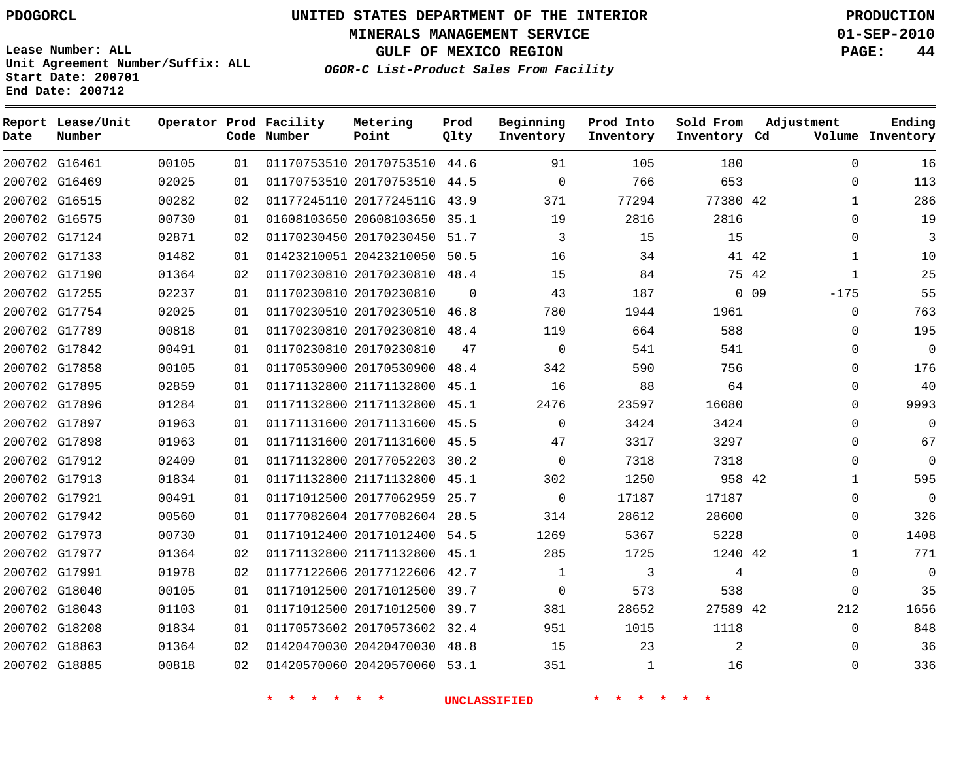**Start Date: 200701 End Date: 200712**

**Unit Agreement Number/Suffix: ALL**

# **UNITED STATES DEPARTMENT OF THE INTERIOR PDOGORCL PRODUCTION**

**MINERALS MANAGEMENT SERVICE 01-SEP-2010**

**GULF OF MEXICO REGION PAGE: 44**

**OGOR-C List-Product Sales From Facility**

 G16461 G16469 G16515 G16575 G17124 G17133 G17190 G17255 G17754 G17789 G17842 G17858 G17895 G17896 G17897 G17898 G17912 G17913 G17921 G17942 G17973 G17977 G17991 G18040 G18043 G18208 G18863 G18885 **Report Lease/Unit Date Number Operator Prod Facility Code Number** 20170753510 44.6 20170753510 44.5 2017724511G 43.9 20608103650 35.1 20170230450 51.7 20423210050 50.5 20170230810 48.4 20170230810 20170230510 46.8 20170230810 20170230810 20170530900 48.4 21171132800 45.1 21171132800 45.1 20171131600 45.5 20171131600 45.5 20177052203 30.2 21171132800 45.1 20177062959 25.7 20177082604 28.5 20171012400 54.5 21171132800 45.1 20177122606 42.7 20171012500 39.7 20171012500 39.7 20170573602 32.4 20420470030 48.8 20420570060 53.1 **Metering Point** 42 42 42 0 0 9 42 42 42  $\Omega$ 48.4 **Prod Qlty**  $\Omega$   $\Omega$   $\Omega$   $\Omega$   $\Omega$   $\Omega$  **Beginning Inventory**  $\Omega$   $\Omega$   $\Omega$  **Ending Inventory Cd Volume Prod Into Inventory Sold From Inventory**  $\Omega$  $\Omega$   $\Omega$  $\Omega$  -175  $\Omega$   $\Omega$   $\Omega$   $\Omega$   $\Omega$  $\Omega$  $\Omega$   $\Omega$  $\Omega$   $\Omega$  $\Omega$  $\Omega$ **Adjustment**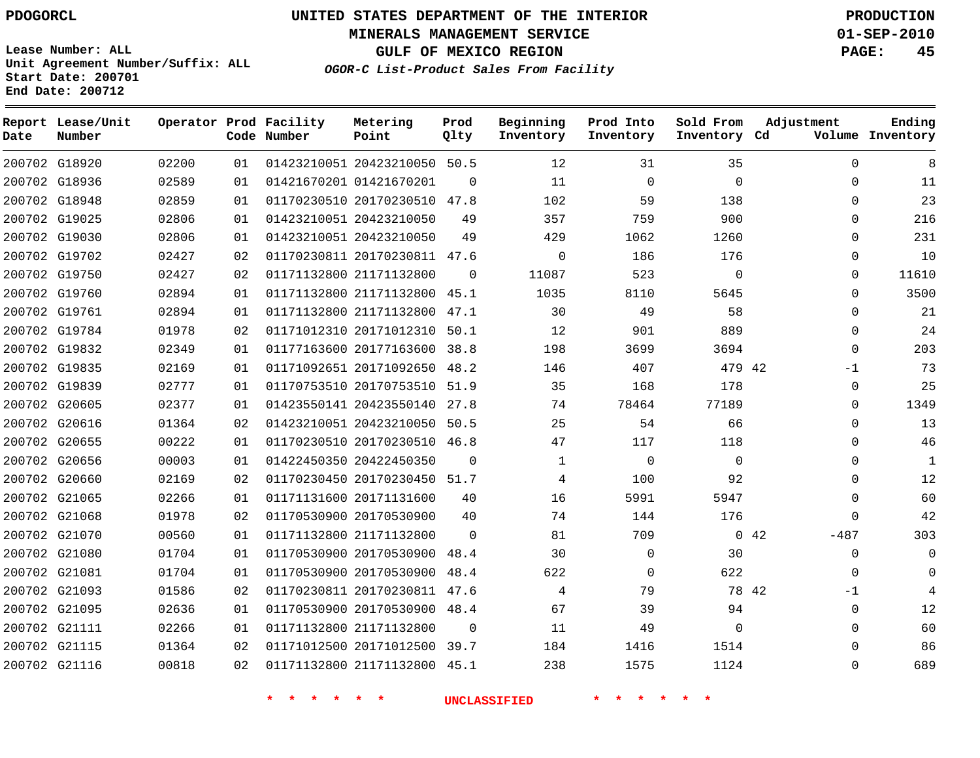**MINERALS MANAGEMENT SERVICE 01-SEP-2010**

**GULF OF MEXICO REGION PAGE: 45**

**Lease Number: ALL Unit Agreement Number/Suffix: ALL Start Date: 200701 End Date: 200712**

**OGOR-C List-Product Sales From Facility**

| Date | Report Lease/Unit<br>Number |       |    | Operator Prod Facility<br>Code Number | Metering<br>Point            | Prod<br>Qlty | Beginning<br>Inventory | Prod Into<br>Inventory | Sold From<br>Inventory Cd | Adjustment    | Ending<br>Volume Inventory |
|------|-----------------------------|-------|----|---------------------------------------|------------------------------|--------------|------------------------|------------------------|---------------------------|---------------|----------------------------|
|      | 200702 G18920               | 02200 | 01 |                                       | 01423210051 20423210050 50.5 |              | 12                     | 31                     | 35                        | $\Omega$      | 8                          |
|      | 200702 G18936               | 02589 | 01 |                                       | 01421670201 01421670201      | $\Omega$     | 11                     | $\mathbf 0$            | $\Omega$                  | $\mathbf 0$   | 11                         |
|      | 200702 G18948               | 02859 | 01 |                                       | 01170230510 20170230510 47.8 |              | 102                    | 59                     | 138                       | $\Omega$      | 23                         |
|      | 200702 G19025               | 02806 | 01 |                                       | 01423210051 20423210050      | 49           | 357                    | 759                    | 900                       | $\Omega$      | 216                        |
|      | 200702 G19030               | 02806 | 01 |                                       | 01423210051 20423210050      | 49           | 429                    | 1062                   | 1260                      | $\Omega$      | 231                        |
|      | 200702 G19702               | 02427 | 02 |                                       | 01170230811 20170230811 47.6 |              | $\Omega$               | 186                    | 176                       | $\mathbf{0}$  | 10                         |
|      | 200702 G19750               | 02427 | 02 |                                       | 01171132800 21171132800      | $\Omega$     | 11087                  | 523                    | $\mathbf 0$               | $\mathbf{0}$  | 11610                      |
|      | 200702 G19760               | 02894 | 01 |                                       | 01171132800 21171132800 45.1 |              | 1035                   | 8110                   | 5645                      | $\Omega$      | 3500                       |
|      | 200702 G19761               | 02894 | 01 |                                       | 01171132800 21171132800      | 47.1         | 30                     | 49                     | 58                        | $\Omega$      | 21                         |
|      | 200702 G19784               | 01978 | 02 |                                       | 01171012310 20171012310      | 50.1         | 12                     | 901                    | 889                       | $\mathbf 0$   | 24                         |
|      | 200702 G19832               | 02349 | 01 |                                       | 01177163600 20177163600      | 38.8         | 198                    | 3699                   | 3694                      | $\Omega$      | 203                        |
|      | 200702 G19835               | 02169 | 01 |                                       | 01171092651 20171092650      | 48.2         | 146                    | 407                    | 479 42                    | $-1$          | 73                         |
|      | 200702 G19839               | 02777 | 01 |                                       | 01170753510 20170753510      | 51.9         | 35                     | 168                    | 178                       | $\Omega$      | 25                         |
|      | 200702 G20605               | 02377 | 01 |                                       | 01423550141 20423550140 27.8 |              | 74                     | 78464                  | 77189                     | 0             | 1349                       |
|      | 200702 G20616               | 01364 | 02 |                                       | 01423210051 20423210050      | 50.5         | 25                     | 54                     | 66                        | $\mathbf 0$   | 13                         |
|      | 200702 G20655               | 00222 | 01 |                                       | 01170230510 20170230510      | 46.8         | 47                     | 117                    | 118                       | $\Omega$      | 46                         |
|      | 200702 G20656               | 00003 | 01 |                                       | 01422450350 20422450350      | $\Omega$     | $\mathbf 1$            | $\mathbf 0$            | $\mathbf 0$               | $\mathbf 0$   | $\mathbf{1}$               |
|      | 200702 G20660               | 02169 | 02 |                                       | 01170230450 20170230450 51.7 |              | 4                      | 100                    | 92                        | $\mathbf 0$   | 12                         |
|      | 200702 G21065               | 02266 | 01 |                                       | 01171131600 20171131600      | 40           | 16                     | 5991                   | 5947                      | $\Omega$      | 60                         |
|      | 200702 G21068               | 01978 | 02 |                                       | 01170530900 20170530900      | 40           | 74                     | 144                    | 176                       | $\Omega$      | 42                         |
|      | 200702 G21070               | 00560 | 01 |                                       | 01171132800 21171132800      | $\Omega$     | 81                     | 709                    |                           | 042<br>$-487$ | 303                        |
|      | 200702 G21080               | 01704 | 01 |                                       | 01170530900 20170530900      | 48.4         | 30                     | 0                      | 30                        | $\mathbf 0$   | $\Omega$                   |
|      | 200702 G21081               | 01704 | 01 |                                       | 01170530900 20170530900      | 48.4         | 622                    | $\mathbf 0$            | 622                       | $\mathbf 0$   | $\Omega$                   |
|      | 200702 G21093               | 01586 | 02 |                                       | 01170230811 20170230811 47.6 |              | 4                      | 79                     | 78 42                     | $-1$          |                            |
|      | 200702 G21095               | 02636 | 01 |                                       | 01170530900 20170530900 48.4 |              | 67                     | 39                     | 94                        | 0             | 12                         |
|      | 200702 G21111               | 02266 | 01 |                                       | 01171132800 21171132800      | $\Omega$     | 11                     | 49                     | $\Omega$                  | $\mathbf 0$   | 60                         |
|      | 200702 G21115               | 01364 | 02 |                                       | 01171012500 20171012500 39.7 |              | 184                    | 1416                   | 1514                      | $\Omega$      | 86                         |
|      | 200702 G21116               | 00818 | 02 |                                       | 01171132800 21171132800      | 45.1         | 238                    | 1575                   | 1124                      | $\Omega$      | 689                        |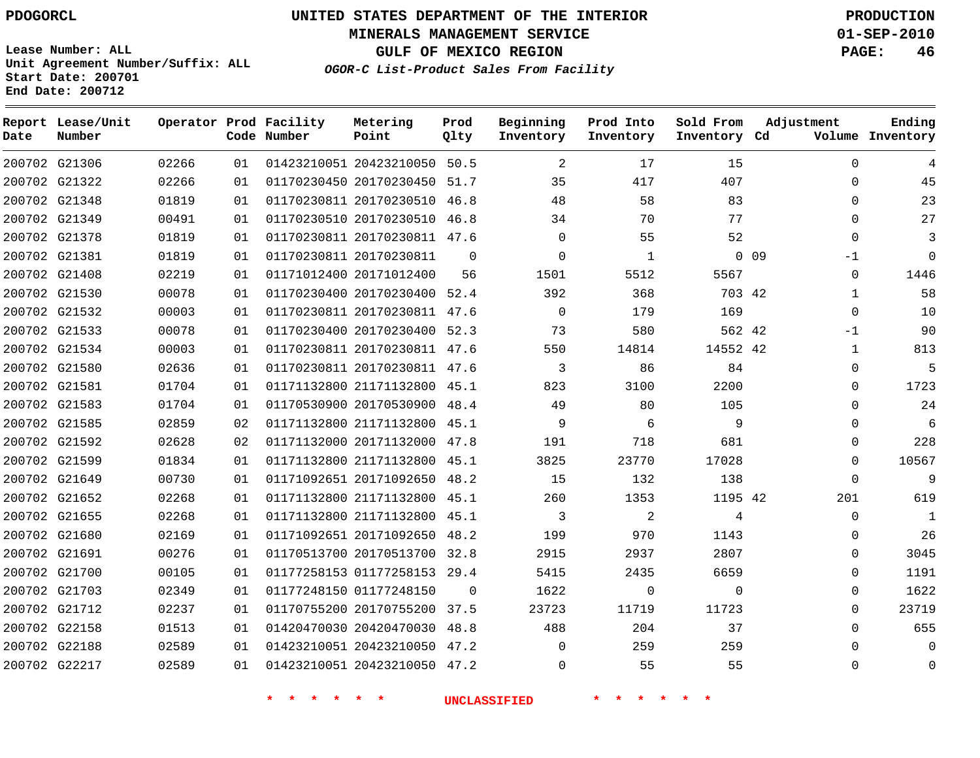# **UNITED STATES DEPARTMENT OF THE INTERIOR PDOGORCL PRODUCTION**

**MINERALS MANAGEMENT SERVICE 01-SEP-2010**

**GULF OF MEXICO REGION PAGE: 46**

**Unit Agreement Number/Suffix: ALL Start Date: 200701 End Date: 200712**

**OGOR-C List-Product Sales From Facility**

| Date | Report Lease/Unit<br>Number |       |    | Operator Prod Facility<br>Code Number | Metering<br>Point            | Prod<br>Qlty | Beginning<br>Inventory | Prod Into<br>Inventory | Sold From<br>Inventory Cd | Adjustment              | Ending<br>Volume Inventory |
|------|-----------------------------|-------|----|---------------------------------------|------------------------------|--------------|------------------------|------------------------|---------------------------|-------------------------|----------------------------|
|      | 200702 G21306               | 02266 | 01 |                                       | 01423210051 20423210050 50.5 |              | 2                      | 17                     | 15                        | $\Omega$                |                            |
|      | 200702 G21322               | 02266 | 01 |                                       | 01170230450 20170230450 51.7 |              | 35                     | 417                    | 407                       | $\Omega$                | 45                         |
|      | 200702 G21348               | 01819 | 01 |                                       | 01170230811 20170230510 46.8 |              | 48                     | 58                     | 83                        | $\Omega$                | 23                         |
|      | 200702 G21349               | 00491 | 01 |                                       | 01170230510 20170230510      | 46.8         | 34                     | 70                     | 77                        | $\Omega$                | 27                         |
|      | 200702 G21378               | 01819 | 01 |                                       | 01170230811 20170230811 47.6 |              | $\Omega$               | 55                     | 52                        | $\Omega$                | 3                          |
|      | 200702 G21381               | 01819 | 01 |                                       | 01170230811 20170230811      | $\Omega$     | $\Omega$               | $\mathbf{1}$           |                           | 0 <sub>09</sub><br>$-1$ | $\Omega$                   |
|      | 200702 G21408               | 02219 | 01 |                                       | 01171012400 20171012400      | 56           | 1501                   | 5512                   | 5567                      | $\Omega$                | 1446                       |
|      | 200702 G21530               | 00078 | 01 |                                       | 01170230400 20170230400      | 52.4         | 392                    | 368                    | 703 42                    | 1                       | 58                         |
|      | 200702 G21532               | 00003 | 01 |                                       | 01170230811 20170230811 47.6 |              | $\mathbf 0$            | 179                    | 169                       | $\Omega$                | 10                         |
|      | 200702 G21533               | 00078 | 01 |                                       | 01170230400 20170230400 52.3 |              | 73                     | 580                    | 562 42                    | $-1$                    | 90                         |
|      | 200702 G21534               | 00003 | 01 |                                       | 01170230811 20170230811 47.6 |              | 550                    | 14814                  | 14552 42                  | $\mathbf 1$             | 813                        |
|      | 200702 G21580               | 02636 | 01 |                                       | 01170230811 20170230811 47.6 |              | 3                      | 86                     | 84                        | 0                       | 5                          |
|      | 200702 G21581               | 01704 | 01 |                                       | 01171132800 21171132800 45.1 |              | 823                    | 3100                   | 2200                      | $\Omega$                | 1723                       |
|      | 200702 G21583               | 01704 | 01 |                                       | 01170530900 20170530900 48.4 |              | 49                     | 80                     | 105                       | $\Omega$                | 24                         |
|      | 200702 G21585               | 02859 | 02 |                                       | 01171132800 21171132800 45.1 |              | 9                      | 6                      | 9                         | $\Omega$                | 6                          |
|      | 200702 G21592               | 02628 | 02 |                                       | 01171132000 20171132000      | 47.8         | 191                    | 718                    | 681                       | $\Omega$                | 228                        |
|      | 200702 G21599               | 01834 | 01 |                                       | 01171132800 21171132800 45.1 |              | 3825                   | 23770                  | 17028                     | $\Omega$                | 10567                      |
|      | 200702 G21649               | 00730 | 01 |                                       | 01171092651 20171092650      | 48.2         | 15                     | 132                    | 138                       | $\Omega$                | 9                          |
|      | 200702 G21652               | 02268 | 01 |                                       | 01171132800 21171132800 45.1 |              | 260                    | 1353                   | 1195 42                   | 201                     | 619                        |
|      | 200702 G21655               | 02268 | 01 |                                       | 01171132800 21171132800      | 45.1         | 3                      | $\overline{c}$         | 4                         | $\mathbf{0}$            | $\mathbf{1}$               |
|      | 200702 G21680               | 02169 | 01 |                                       | 01171092651 20171092650 48.2 |              | 199                    | 970                    | 1143                      | $\Omega$                | 26                         |
|      | 200702 G21691               | 00276 | 01 |                                       | 01170513700 20170513700 32.8 |              | 2915                   | 2937                   | 2807                      | 0                       | 3045                       |
|      | 200702 G21700               | 00105 | 01 |                                       | 01177258153 01177258153 29.4 |              | 5415                   | 2435                   | 6659                      | $\Omega$                | 1191                       |
|      | 200702 G21703               | 02349 | 01 |                                       | 01177248150 01177248150      | $\mathbf 0$  | 1622                   | 0                      | $\mathbf{0}$              | $\Omega$                | 1622                       |
|      | 200702 G21712               | 02237 | 01 |                                       | 01170755200 20170755200 37.5 |              | 23723                  | 11719                  | 11723                     | $\Omega$                | 23719                      |
|      | 200702 G22158               | 01513 | 01 |                                       | 01420470030 20420470030 48.8 |              | 488                    | 204                    | 37                        | $\Omega$                | 655                        |
|      | 200702 G22188               | 02589 | 01 |                                       | 01423210051 20423210050 47.2 |              | 0                      | 259                    | 259                       |                         | 0                          |
|      | 200702 G22217               | 02589 | 01 |                                       | 01423210051 20423210050 47.2 |              | 0                      | 55                     | 55                        | $\Omega$                | 0                          |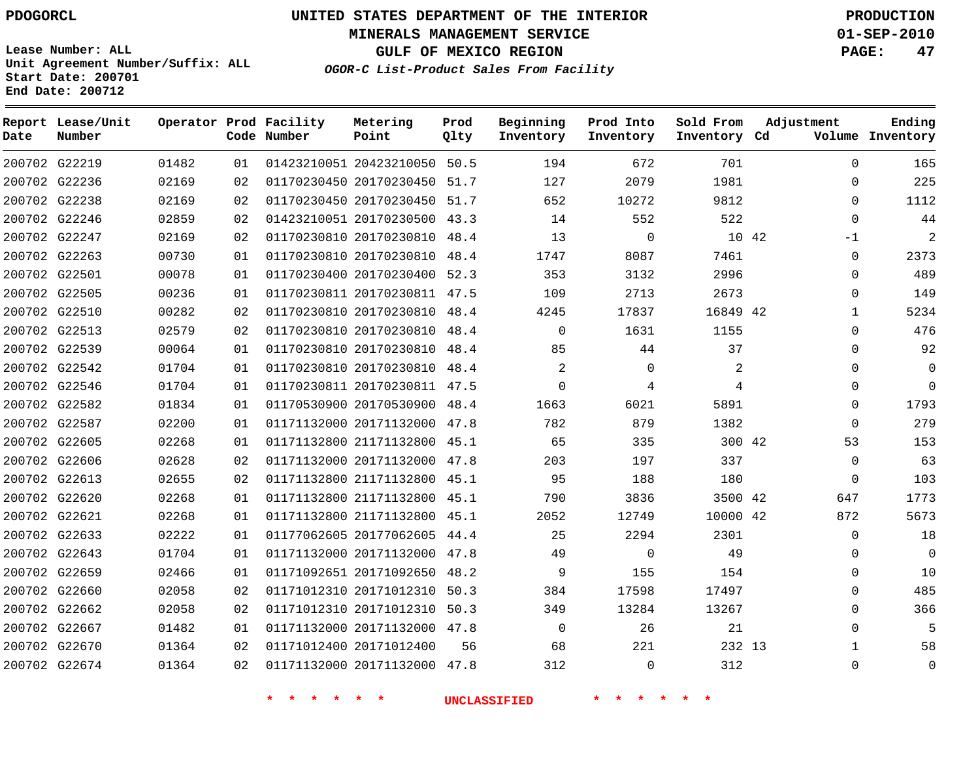**Start Date: 200701 End Date: 200712**

**Unit Agreement Number/Suffix: ALL**

# **UNITED STATES DEPARTMENT OF THE INTERIOR PDOGORCL PRODUCTION**

**MINERALS MANAGEMENT SERVICE 01-SEP-2010**

**GULF OF MEXICO REGION PAGE: 47**

**OGOR-C List-Product Sales From Facility**

 G22219 G22236 G22238 G22246 G22247 G22263 G22501 G22505 G22510 G22513 G22539 G22542 G22546 G22582 G22587 G22605 G22606 G22613 G22620 G22621 G22633 G22643 G22659 G22660 G22662 G22667 G22670 G22674 **Report Lease/Unit Date Number Operator Prod Facility Code Number** 20423210050 50.5 20170230450 51.7 20170230450 51.7 20170230500 43.3 20170230810 48.4 20170230810 48.4 20170230400 52.3 20170230811 47.5 20170230810 48.4 20170230810 48.4 20170230810 48.4 20170230810 48.4 20170230811 47.5 20170530900 48.4 20171132000 47.8 21171132800 45.1 20171132000 47.8 21171132800 45.1 21171132800 45.1 21171132800 45.1 20177062605 44.4 20171132000 47.8 20171092650 48.2 20171012310 50.3 20171012310 50.3 20171132000 47.8 20171012400 20171132000 47.8 **Metering Point** 42 42 42 42 42 13 **Prod Qlty**  $\Omega$   $\Omega$  **Beginning Inventory**  $\overline{2}$   $\Omega$  $\Omega$   $\Omega$ **Ending Inventory Cd Volume**  $\Omega$   $\Omega$   $\Omega$   $\Omega$ **Prod Into Inventory Sold From Inventory**  $\Omega$  $\Omega$  $\cap$  $\Omega$ -1  $\Omega$  $\Omega$  $\Omega$   $\Omega$   $\Omega$   $\Omega$   $\Omega$  $\Omega$   $\Omega$  $\Omega$  $\Omega$  $\Omega$  $\Omega$  $\Omega$   $\Omega$ **Adjustment**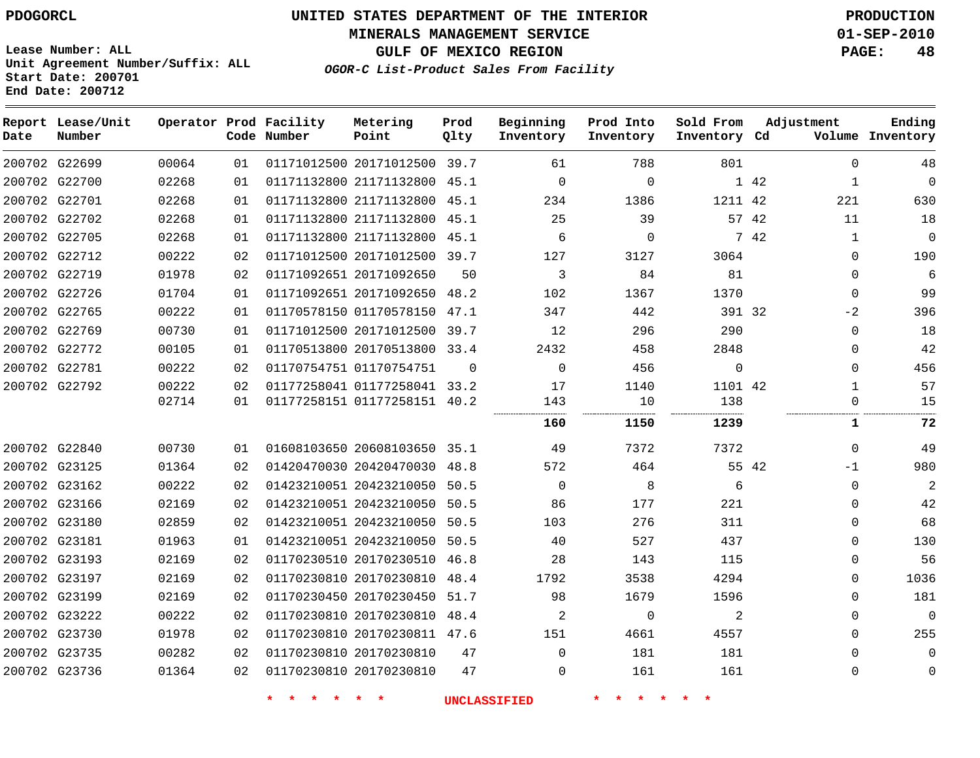**MINERALS MANAGEMENT SERVICE 01-SEP-2010**

**GULF OF MEXICO REGION PAGE: 48**

**Lease Number: ALL Unit Agreement Number/Suffix: ALL Start Date: 200701 End Date: 200712**

**OGOR-C List-Product Sales From Facility**

| Date          | Report Lease/Unit<br>Number |       |    | Operator Prod Facility<br>Code Number | Metering<br>Point            | Prod<br>Qlty | Beginning<br>Inventory | Prod Into<br>Inventory | Sold From<br>Inventory Cd | Adjustment           | Ending<br>Volume Inventory |
|---------------|-----------------------------|-------|----|---------------------------------------|------------------------------|--------------|------------------------|------------------------|---------------------------|----------------------|----------------------------|
| 200702 G22699 |                             | 00064 | 01 |                                       | 01171012500 20171012500 39.7 |              | 61                     | 788                    | 801                       | $\mathbf 0$          | 48                         |
| 200702 G22700 |                             | 02268 | 01 |                                       | 01171132800 21171132800      | 45.1         | $\Omega$               | 0                      |                           | 1 42<br>1            | 0                          |
| 200702 G22701 |                             | 02268 | 01 |                                       | 01171132800 21171132800      | 45.1         | 234                    | 1386                   | 1211 42                   | 221                  | 630                        |
| 200702 G22702 |                             | 02268 | 01 |                                       | 01171132800 21171132800      | 45.1         | 25                     | 39                     |                           | 57 42<br>11          | 18                         |
| 200702 G22705 |                             | 02268 | 01 |                                       | 01171132800 21171132800      | 45.1         | 6                      | $\Omega$               |                           | 7 42<br>$\mathbf{1}$ | $\overline{0}$             |
| 200702 G22712 |                             | 00222 | 02 |                                       | 01171012500 20171012500 39.7 |              | 127                    | 3127                   | 3064                      | $\Omega$             | 190                        |
| 200702 G22719 |                             | 01978 | 02 |                                       | 01171092651 20171092650      | 50           | 3                      | 84                     | 81                        | 0                    | 6                          |
| 200702 G22726 |                             | 01704 | 01 |                                       | 01171092651 20171092650      | 48.2         | 102                    | 1367                   | 1370                      | $\Omega$             | 99                         |
| 200702 G22765 |                             | 00222 | 01 |                                       | 01170578150 01170578150      | 47.1         | 347                    | 442                    | 391 32                    | $-2$                 | 396                        |
| 200702 G22769 |                             | 00730 | 01 |                                       | 01171012500 20171012500      | 39.7         | 12                     | 296                    | 290                       | $\mathbf{0}$         | 18                         |
| 200702 G22772 |                             | 00105 | 01 |                                       | 01170513800 20170513800      | 33.4         | 2432                   | 458                    | 2848                      | $\Omega$             | 42                         |
|               | 200702 G22781               | 00222 | 02 |                                       | 01170754751 01170754751      | $\Omega$     | $\Omega$               | 456                    | $\Omega$                  | $\Omega$             | 456                        |
| 200702 G22792 |                             | 00222 | 02 |                                       | 01177258041 01177258041 33.2 |              | 17                     | 1140                   | 1101 42                   | 1                    | 57                         |
|               |                             | 02714 | 01 |                                       | 01177258151 01177258151 40.2 |              | 143<br>                | 10<br>.                | 138<br>                   | $\Omega$             | 15                         |
|               |                             |       |    |                                       |                              |              | 160                    | 1150                   | 1239                      | 1                    | 72                         |
| 200702 G22840 |                             | 00730 | 01 |                                       | 01608103650 20608103650 35.1 |              | 49                     | 7372                   | 7372                      | $\Omega$             | 49                         |
| 200702 G23125 |                             | 01364 | 02 |                                       | 01420470030 20420470030      | 48.8         | 572                    | 464                    | 55 42                     | $-1$                 | 980                        |
|               | 200702 G23162               | 00222 | 02 |                                       | 01423210051 20423210050      | 50.5         | $\mathbf 0$            | 8                      | 6                         | 0                    | 2                          |
| 200702 G23166 |                             | 02169 | 02 |                                       | 01423210051 20423210050      | 50.5         | 86                     | 177                    | 221                       | $\Omega$             | 42                         |
| 200702 G23180 |                             | 02859 | 02 |                                       | 01423210051 20423210050      | 50.5         | 103                    | 276                    | 311                       | $\Omega$             | 68                         |
| 200702 G23181 |                             | 01963 | 01 |                                       | 01423210051 20423210050      | 50.5         | 40                     | 527                    | 437                       | $\Omega$             | 130                        |
|               | 200702 G23193               | 02169 | 02 |                                       | 01170230510 20170230510      | 46.8         | 28                     | 143                    | 115                       | $\Omega$             | 56                         |
| 200702 G23197 |                             | 02169 | 02 |                                       | 01170230810 20170230810      | 48.4         | 1792                   | 3538                   | 4294                      | $\Omega$             | 1036                       |
| 200702 G23199 |                             | 02169 | 02 |                                       | 01170230450 20170230450      | 51.7         | 98                     | 1679                   | 1596                      | 0                    | 181                        |
| 200702 G23222 |                             | 00222 | 02 |                                       | 01170230810 20170230810      | 48.4         | $\overline{2}$         | 0                      | 2                         | $\Omega$             | 0                          |
| 200702 G23730 |                             | 01978 | 02 |                                       | 01170230810 20170230811 47.6 |              | 151                    | 4661                   | 4557                      | $\Omega$             | 255                        |
| 200702 G23735 |                             | 00282 | 02 |                                       | 01170230810 20170230810      | 47           | $\Omega$               | 181                    | 181                       | 0                    | $\Omega$                   |
| 200702 G23736 |                             | 01364 | 02 |                                       | 01170230810 20170230810      | 47           | $\Omega$               | 161                    | 161                       | $\Omega$             | $\mathbf 0$                |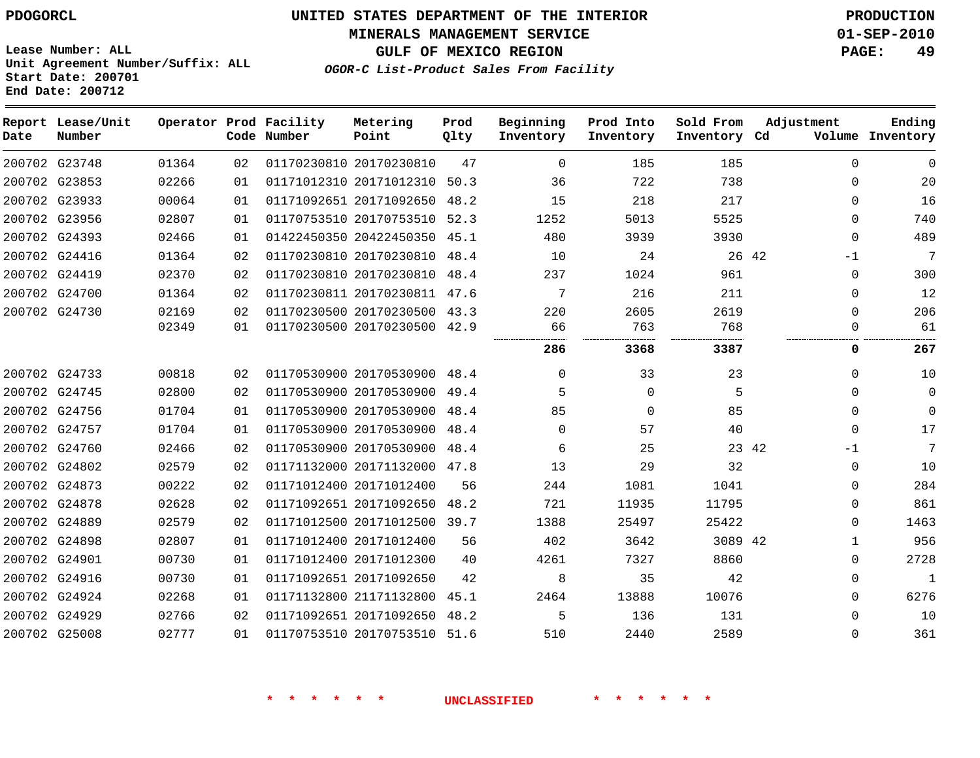**MINERALS MANAGEMENT SERVICE 01-SEP-2010**

**GULF OF MEXICO REGION PAGE: 49**

**Lease Number: ALL Unit Agreement Number/Suffix: ALL Start Date: 200701 End Date: 200712**

**OGOR-C List-Product Sales From Facility**

| Date | Report Lease/Unit<br>Number |       |    | Operator Prod Facility<br>Code Number | Metering<br>Point            | Prod<br>Qlty | Beginning<br>Inventory | Prod Into<br>Inventory | Sold From<br>Inventory Cd | Adjustment    | Ending<br>Volume Inventory |
|------|-----------------------------|-------|----|---------------------------------------|------------------------------|--------------|------------------------|------------------------|---------------------------|---------------|----------------------------|
|      | 200702 G23748               | 01364 | 02 |                                       | 01170230810 20170230810      | 47           | $\mathbf 0$            | 185                    | 185                       | $\mathbf 0$   | $\Omega$                   |
|      | 200702 G23853               | 02266 | 01 |                                       | 01171012310 20171012310      | 50.3         | 36                     | 722                    | 738                       | $\Omega$      | 20                         |
|      | 200702 G23933               | 00064 | 01 |                                       | 01171092651 20171092650      | 48.2         | 15                     | 218                    | 217                       | $\mathbf{0}$  | 16                         |
|      | 200702 G23956               | 02807 | 01 |                                       | 01170753510 20170753510      | 52.3         | 1252                   | 5013                   | 5525                      | $\Omega$      | 740                        |
|      | 200702 G24393               | 02466 | 01 |                                       | 01422450350 20422450350 45.1 |              | 480                    | 3939                   | 3930                      | $\Omega$      | 489                        |
|      | 200702 G24416               | 01364 | 02 |                                       | 01170230810 20170230810      | 48.4         | 10                     | 24                     |                           | 26 42<br>$-1$ | 7                          |
|      | 200702 G24419               | 02370 | 02 |                                       | 01170230810 20170230810      | 48.4         | 237                    | 1024                   | 961                       | $\Omega$      | 300                        |
|      | 200702 G24700               | 01364 | 02 |                                       | 01170230811 20170230811 47.6 |              | 7                      | 216                    | 211                       | $\Omega$      | 12                         |
|      | 200702 G24730               | 02169 | 02 |                                       | 01170230500 20170230500 43.3 |              | 220                    | 2605                   | 2619                      | $\Omega$      | 206                        |
|      |                             | 02349 | 01 |                                       | 01170230500 20170230500 42.9 |              | 66<br>                 | 763                    | 768                       | $\Omega$      | 61                         |
|      |                             |       |    |                                       |                              |              | 286                    | 3368                   | 3387                      | 0             | 267                        |
|      | 200702 G24733               | 00818 | 02 |                                       | 01170530900 20170530900 48.4 |              | $\Omega$               | 33                     | 23                        | $\Omega$      | 10                         |
|      | 200702 G24745               | 02800 | 02 |                                       | 01170530900 20170530900      | 49.4         | 5                      | $\Omega$               | 5                         | $\Omega$      | $\Omega$                   |
|      | 200702 G24756               | 01704 | 01 |                                       | 01170530900 20170530900      | 48.4         | 85                     | $\Omega$               | 85                        | $\Omega$      | $\mathbf 0$                |
|      | 200702 G24757               | 01704 | 01 |                                       | 01170530900 20170530900      | 48.4         | $\Omega$               | 57                     | 40                        | $\Omega$      | 17                         |
|      | 200702 G24760               | 02466 | 02 |                                       | 01170530900 20170530900      | 48.4         | 6                      | 25                     |                           | 23 42<br>$-1$ | 7                          |
|      | 200702 G24802               | 02579 | 02 |                                       | 01171132000 20171132000      | 47.8         | 13                     | 29                     | 32                        | $\Omega$      | 10                         |
|      | 200702 G24873               | 00222 | 02 |                                       | 01171012400 20171012400      | 56           | 244                    | 1081                   | 1041                      | 0             | 284                        |
|      | 200702 G24878               | 02628 | 02 |                                       | 01171092651 20171092650      | 48.2         | 721                    | 11935                  | 11795                     | $\Omega$      | 861                        |
|      | 200702 G24889               | 02579 | 02 |                                       | 01171012500 20171012500 39.7 |              | 1388                   | 25497                  | 25422                     | $\Omega$      | 1463                       |
|      | 200702 G24898               | 02807 | 01 |                                       | 01171012400 20171012400      | 56           | 402                    | 3642                   | 3089 42                   | 1             | 956                        |
|      | 200702 G24901               | 00730 | 01 |                                       | 01171012400 20171012300      | 40           | 4261                   | 7327                   | 8860                      | $\Omega$      | 2728                       |
|      | 200702 G24916               | 00730 | 01 |                                       | 01171092651 20171092650      | 42           | 8                      | 35                     | 42                        | $\mathbf{0}$  | $\mathbf{1}$               |
|      | 200702 G24924               | 02268 | 01 |                                       | 01171132800 21171132800      | 45.1         | 2464                   | 13888                  | 10076                     | $\Omega$      | 6276                       |
|      | 200702 G24929               | 02766 | 02 |                                       | 01171092651 20171092650      | 48.2         | 5                      | 136                    | 131                       | $\Omega$      | 10                         |
|      | 200702 G25008               | 02777 | 01 |                                       | 01170753510 20170753510      | 51.6         | 510                    | 2440                   | 2589                      | $\Omega$      | 361                        |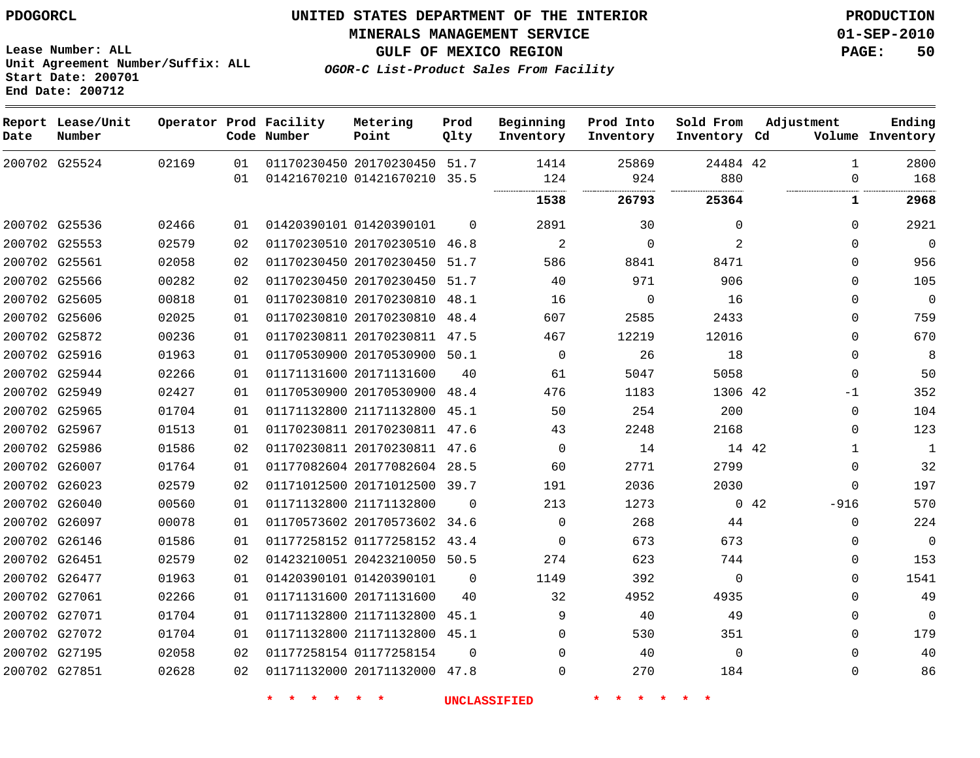**Start Date: 200701 End Date: 200712**

**Unit Agreement Number/Suffix: ALL**

# **UNITED STATES DEPARTMENT OF THE INTERIOR PDOGORCL PRODUCTION**

**MINERALS MANAGEMENT SERVICE 01-SEP-2010**

**GULF OF MEXICO REGION PAGE: 50**

**OGOR-C List-Product Sales From Facility**

| Date          | Report Lease/Unit<br>Number |       |    | Operator Prod Facility<br>Code Number | Metering<br>Point            | Prod<br>Qlty | Beginning<br>Inventory | Prod Into<br>Inventory | Sold From<br>Inventory Cd | Adjustment |              | Ending<br>Volume Inventory |
|---------------|-----------------------------|-------|----|---------------------------------------|------------------------------|--------------|------------------------|------------------------|---------------------------|------------|--------------|----------------------------|
|               | 200702 G25524               | 02169 | 01 |                                       | 01170230450 20170230450      | 51.7         | 1414                   | 25869                  | 24484 42                  |            | $\mathbf{1}$ | 2800                       |
|               |                             |       | 01 |                                       | 01421670210 01421670210      | 35.5         | 124                    | 924                    | 880                       |            | $\mathbf 0$  | 168                        |
|               |                             |       |    |                                       |                              |              | 1538                   | 26793                  | 25364                     |            | 1            | 2968                       |
|               | 200702 G25536               | 02466 | 01 |                                       | 01420390101 01420390101      | $\Omega$     | 2891                   | 30                     | $\mathbf 0$               |            | $\Omega$     | 2921                       |
| 200702 G25553 |                             | 02579 | 02 |                                       | 01170230510 20170230510      | 46.8         | 2                      | $\Omega$               | 2                         |            | $\Omega$     | $\mathbf 0$                |
| 200702 G25561 |                             | 02058 | 02 |                                       | 01170230450 20170230450      | 51.7         | 586                    | 8841                   | 8471                      |            | $\Omega$     | 956                        |
|               | 200702 G25566               | 00282 | 02 |                                       | 01170230450 20170230450      | 51.7         | 40                     | 971                    | 906                       |            | $\Omega$     | 105                        |
| 200702 G25605 |                             | 00818 | 01 |                                       | 01170230810 20170230810 48.1 |              | 16                     | $\mathbf 0$            | 16                        |            | $\mathbf{0}$ | $\mathbf 0$                |
|               | 200702 G25606               | 02025 | 01 |                                       | 01170230810 20170230810      | 48.4         | 607                    | 2585                   | 2433                      |            | $\Omega$     | 759                        |
|               | 200702 G25872               | 00236 | 01 |                                       | 01170230811 20170230811 47.5 |              | 467                    | 12219                  | 12016                     |            | $\Omega$     | 670                        |
|               | 200702 G25916               | 01963 | 01 |                                       | 01170530900 20170530900      | 50.1         | $\Omega$               | 26                     | 18                        |            | $\Omega$     | 8                          |
|               | 200702 G25944               | 02266 | 01 |                                       | 01171131600 20171131600      | 40           | 61                     | 5047                   | 5058                      |            | $\mathbf 0$  | 50                         |
|               | 200702 G25949               | 02427 | 01 |                                       | 01170530900 20170530900 48.4 |              | 476                    | 1183                   | 1306 42                   |            | $-1$         | 352                        |
|               | 200702 G25965               | 01704 | 01 |                                       | 01171132800 21171132800 45.1 |              | 50                     | 254                    | 200                       |            | $\mathbf{0}$ | 104                        |
| 200702 G25967 |                             | 01513 | 01 |                                       | 01170230811 20170230811 47.6 |              | 43                     | 2248                   | 2168                      |            | $\Omega$     | 123                        |
|               | 200702 G25986               | 01586 | 02 |                                       | 01170230811 20170230811 47.6 |              | $\mathbf 0$            | 14                     | 14 42                     |            | $\mathbf{1}$ | $\mathbf{1}$               |
|               | 200702 G26007               | 01764 | 01 |                                       | 01177082604 20177082604 28.5 |              | 60                     | 2771                   | 2799                      |            | $\Omega$     | 32                         |
|               | 200702 G26023               | 02579 | 02 |                                       | 01171012500 20171012500      | 39.7         | 191                    | 2036                   | 2030                      |            | $\Omega$     | 197                        |
|               | 200702 G26040               | 00560 | 01 |                                       | 01171132800 21171132800      | $\Omega$     | 213                    | 1273                   |                           | 0.42       | $-916$       | 570                        |
|               | 200702 G26097               | 00078 | 01 |                                       | 01170573602 20170573602 34.6 |              | $\Omega$               | 268                    | 44                        |            | $\Omega$     | 224                        |
|               | 200702 G26146               | 01586 | 01 |                                       | 01177258152 01177258152 43.4 |              | 0                      | 673                    | 673                       |            | $\mathbf 0$  | $\mathbf 0$                |
| 200702 G26451 |                             | 02579 | 02 |                                       | 01423210051 20423210050 50.5 |              | 274                    | 623                    | 744                       |            | 0            | 153                        |
|               | 200702 G26477               | 01963 | 01 |                                       | 01420390101 01420390101      | $\Omega$     | 1149                   | 392                    | $\Omega$                  |            | $\Omega$     | 1541                       |
| 200702 G27061 |                             | 02266 | 01 |                                       | 01171131600 20171131600      | 40           | 32                     | 4952                   | 4935                      |            | $\Omega$     | 49                         |
|               | 200702 G27071               | 01704 | 01 |                                       | 01171132800 21171132800      | 45.1         | 9                      | 40                     | 49                        |            | $\mathbf 0$  | $\mathbf 0$                |
|               | 200702 G27072               | 01704 | 01 |                                       | 01171132800 21171132800      | 45.1         | 0                      | 530                    | 351                       |            | $\mathbf 0$  | 179                        |
| 200702 G27195 |                             | 02058 | 02 |                                       | 01177258154 01177258154      | $\Omega$     | 0                      | 40                     | $\Omega$                  |            | $\Omega$     | 40                         |
| 200702 G27851 |                             | 02628 | 02 |                                       | 01171132000 20171132000 47.8 |              | $\Omega$               | 270                    | 184                       |            | $\Omega$     | 86                         |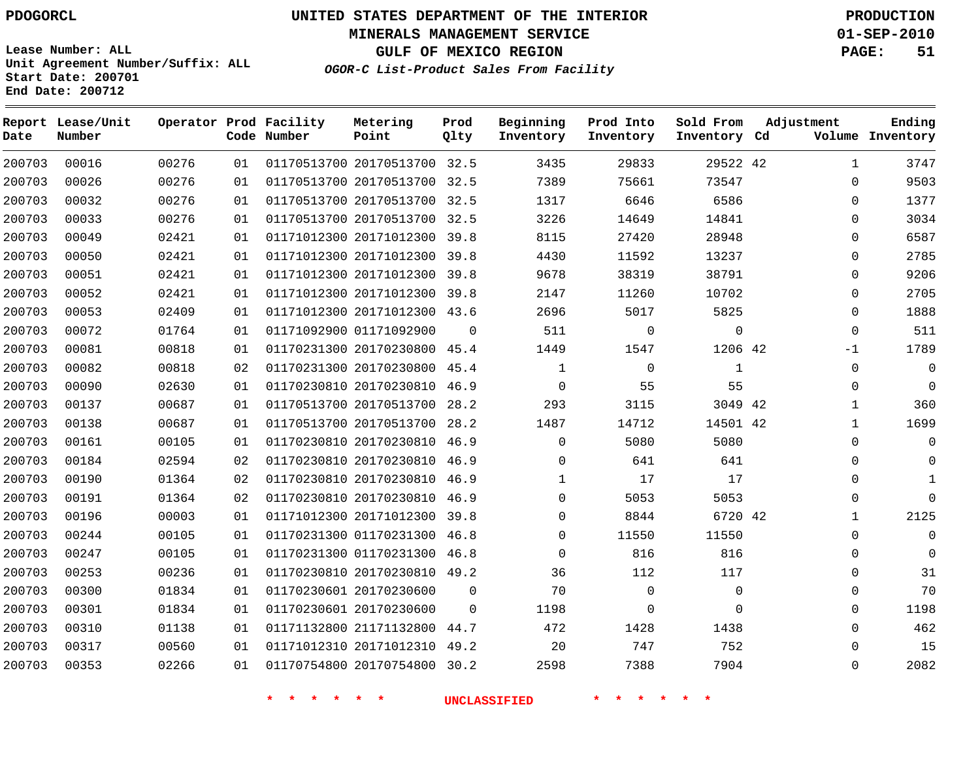**Start Date: 200701 End Date: 200712**

**Unit Agreement Number/Suffix: ALL**

# **UNITED STATES DEPARTMENT OF THE INTERIOR PDOGORCL PRODUCTION**

**MINERALS MANAGEMENT SERVICE 01-SEP-2010**

**GULF OF MEXICO REGION PAGE: 51**

**OGOR-C List-Product Sales From Facility**

| Date   | Report Lease/Unit<br>Number |       |    | Operator Prod Facility<br>Code Number | Metering<br>Point            | Prod<br>Qlty | Beginning<br>Inventory | Prod Into<br>Inventory | Sold From<br>Inventory Cd | Adjustment |              | Ending<br>Volume Inventory |
|--------|-----------------------------|-------|----|---------------------------------------|------------------------------|--------------|------------------------|------------------------|---------------------------|------------|--------------|----------------------------|
| 200703 | 00016                       | 00276 | 01 |                                       | 01170513700 20170513700 32.5 |              | 3435                   | 29833                  | 29522 42                  |            | $\mathbf{1}$ | 3747                       |
| 200703 | 00026                       | 00276 | 01 |                                       | 01170513700 20170513700      | 32.5         | 7389                   | 75661                  | 73547                     |            | $\Omega$     | 9503                       |
| 200703 | 00032                       | 00276 | 01 |                                       | 01170513700 20170513700      | 32.5         | 1317                   | 6646                   | 6586                      |            | 0            | 1377                       |
| 200703 | 00033                       | 00276 | 01 |                                       | 01170513700 20170513700      | 32.5         | 3226                   | 14649                  | 14841                     |            | 0            | 3034                       |
| 200703 | 00049                       | 02421 | 01 |                                       | 01171012300 20171012300      | 39.8         | 8115                   | 27420                  | 28948                     |            | $\Omega$     | 6587                       |
| 200703 | 00050                       | 02421 | 01 |                                       | 01171012300 20171012300      | 39.8         | 4430                   | 11592                  | 13237                     |            | 0            | 2785                       |
| 200703 | 00051                       | 02421 | 01 |                                       | 01171012300 20171012300      | 39.8         | 9678                   | 38319                  | 38791                     |            | $\Omega$     | 9206                       |
| 200703 | 00052                       | 02421 | 01 |                                       | 01171012300 20171012300      | 39.8         | 2147                   | 11260                  | 10702                     |            | 0            | 2705                       |
| 200703 | 00053                       | 02409 | 01 |                                       | 01171012300 20171012300 43.6 |              | 2696                   | 5017                   | 5825                      |            | $\Omega$     | 1888                       |
| 200703 | 00072                       | 01764 | 01 |                                       | 01171092900 01171092900      | $\Omega$     | 511                    | $\mathbf 0$            | $\mathbf 0$               |            | $\Omega$     | 511                        |
| 200703 | 00081                       | 00818 | 01 |                                       | 01170231300 20170230800 45.4 |              | 1449                   | 1547                   | 1206 42                   |            | $-1$         | 1789                       |
| 200703 | 00082                       | 00818 | 02 |                                       | 01170231300 20170230800      | 45.4         | $\mathbf{1}$           | $\mathbf 0$            | $\mathbf{1}$              |            | $\mathbf 0$  | $\mathbf 0$                |
| 200703 | 00090                       | 02630 | 01 |                                       | 01170230810 20170230810      | 46.9         | $\mathbf 0$            | 55                     | 55                        |            | 0            | $\mathbf 0$                |
| 200703 | 00137                       | 00687 | 01 |                                       | 01170513700 20170513700      | 28.2         | 293                    | 3115                   | 3049 42                   |            | $\mathbf{1}$ | 360                        |
| 200703 | 00138                       | 00687 | 01 |                                       | 01170513700 20170513700      | 28.2         | 1487                   | 14712                  | 14501 42                  |            | 1            | 1699                       |
| 200703 | 00161                       | 00105 | 01 |                                       | 01170230810 20170230810      | 46.9         | 0                      | 5080                   | 5080                      |            | $\Omega$     | $\mathbf 0$                |
| 200703 | 00184                       | 02594 | 02 |                                       | 01170230810 20170230810      | 46.9         | 0                      | 641                    | 641                       |            | $\mathbf 0$  | $\mathbf 0$                |
| 200703 | 00190                       | 01364 | 02 |                                       | 01170230810 20170230810 46.9 |              | $\mathbf{1}$           | 17                     | 17                        |            | $\mathbf 0$  | 1                          |
| 200703 | 00191                       | 01364 | 02 |                                       | 01170230810 20170230810      | 46.9         | $\Omega$               | 5053                   | 5053                      |            | 0            | $\Omega$                   |
| 200703 | 00196                       | 00003 | 01 |                                       | 01171012300 20171012300 39.8 |              | 0                      | 8844                   | 6720 42                   |            | 1            | 2125                       |
| 200703 | 00244                       | 00105 | 01 |                                       | 01170231300 01170231300      | 46.8         | 0                      | 11550                  | 11550                     |            | $\Omega$     | $\Omega$                   |
| 200703 | 00247                       | 00105 | 01 |                                       | 01170231300 01170231300 46.8 |              | $\mathbf 0$            | 816                    | 816                       |            | $\mathbf 0$  | $\mathbf 0$                |
| 200703 | 00253                       | 00236 | 01 |                                       | 01170230810 20170230810      | 49.2         | 36                     | 112                    | 117                       |            | $\Omega$     | 31                         |
| 200703 | 00300                       | 01834 | 01 |                                       | 01170230601 20170230600      | $\Omega$     | 70                     | $\Omega$               | $\mathbf 0$               |            | $\Omega$     | 70                         |
| 200703 | 00301                       | 01834 | 01 |                                       | 01170230601 20170230600      | $\Omega$     | 1198                   | $\Omega$               | $\Omega$                  |            | $\mathbf 0$  | 1198                       |
| 200703 | 00310                       | 01138 | 01 |                                       | 01171132800 21171132800      | 44.7         | 472                    | 1428                   | 1438                      |            | $\mathbf 0$  | 462                        |
| 200703 | 00317                       | 00560 | 01 |                                       | 01171012310 20171012310      | 49.2         | 20                     | 747                    | 752                       |            | 0            | 15                         |
| 200703 | 00353                       | 02266 | 01 |                                       | 01170754800 20170754800      | 30.2         | 2598                   | 7388                   | 7904                      |            | $\Omega$     | 2082                       |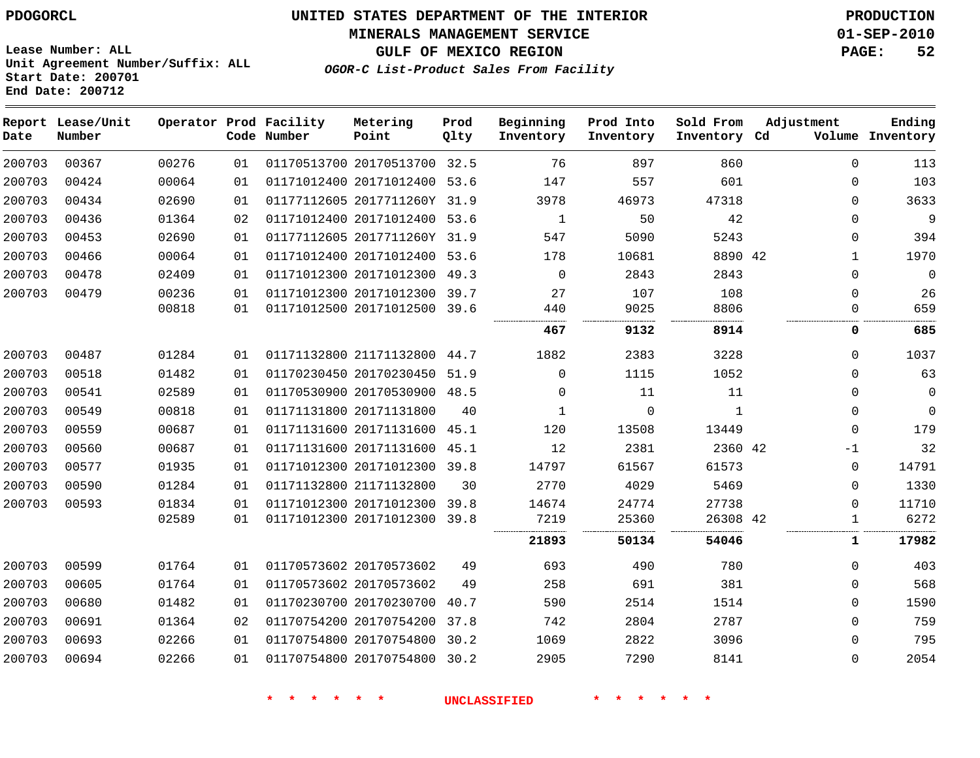## **MINERALS MANAGEMENT SERVICE 01-SEP-2010**

**GULF OF MEXICO REGION PAGE: 52**

**Lease Number: ALL Unit Agreement Number/Suffix: ALL Start Date: 200701 End Date: 200712**

**OGOR-C List-Product Sales From Facility**

| Date   | Report Lease/Unit<br>Number |                |          | Operator Prod Facility<br>Code Number | Metering<br>Point                                       | Prod<br>Qlty | Beginning<br>Inventory | Prod Into<br>Inventory | Sold From<br>Inventory Cd | Adjustment |                      | Ending<br>Volume Inventory |
|--------|-----------------------------|----------------|----------|---------------------------------------|---------------------------------------------------------|--------------|------------------------|------------------------|---------------------------|------------|----------------------|----------------------------|
| 200703 | 00367                       | 00276          | 01       |                                       | 01170513700 20170513700 32.5                            |              | 76                     | 897                    | 860                       |            | $\mathbf 0$          | 113                        |
| 200703 | 00424                       | 00064          | 01       |                                       | 01171012400 20171012400 53.6                            |              | 147                    | 557                    | 601                       |            | $\mathbf 0$          | 103                        |
| 200703 | 00434                       | 02690          | 01       |                                       | 01177112605 2017711260Y 31.9                            |              | 3978                   | 46973                  | 47318                     |            | $\Omega$             | 3633                       |
| 200703 | 00436                       | 01364          | 02       |                                       | 01171012400 20171012400 53.6                            |              | 1                      | 50                     | 42                        |            | $\Omega$             | 9                          |
| 200703 | 00453                       | 02690          | 01       |                                       | 01177112605 2017711260Y 31.9                            |              | 547                    | 5090                   | 5243                      |            | $\mathbf 0$          | 394                        |
| 200703 | 00466                       | 00064          | 01       |                                       | 01171012400 20171012400 53.6                            |              | 178                    | 10681                  | 8890 42                   |            | 1                    | 1970                       |
| 200703 | 00478                       | 02409          | 01       |                                       | 01171012300 20171012300                                 | 49.3         | $\mathbf 0$            | 2843                   | 2843                      |            | $\mathbf 0$          | $\overline{0}$             |
| 200703 | 00479                       | 00236<br>00818 | 01<br>01 |                                       | 01171012300 20171012300 39.7<br>01171012500 20171012500 | 39.6         | 27<br>440              | 107<br>9025            | 108<br>8806               |            | $\Omega$<br>$\Omega$ | 26<br>659                  |
|        |                             |                |          |                                       |                                                         |              | <br>467                | 9132                   | 8914                      |            | 0                    | 685                        |
| 200703 | 00487                       | 01284          | 01       |                                       | 01171132800 21171132800 44.7                            |              | 1882                   | 2383                   | 3228                      |            | $\mathbf 0$          | 1037                       |
| 200703 | 00518                       | 01482          | 01       |                                       | 01170230450 20170230450 51.9                            |              | $\Omega$               | 1115                   | 1052                      |            | $\mathbf 0$          | 63                         |
| 200703 | 00541                       | 02589          | 01       |                                       | 01170530900 20170530900 48.5                            |              | $\Omega$               | 11                     | 11                        |            | $\Omega$             | $\mathbf 0$                |
| 200703 | 00549                       | 00818          | 01       |                                       | 01171131800 20171131800                                 | 40           | 1                      | $\Omega$               | $\mathbf{1}$              |            | $\Omega$             | $\mathbf 0$                |
| 200703 | 00559                       | 00687          | 01       |                                       | 01171131600 20171131600                                 | 45.1         | 120                    | 13508                  | 13449                     |            | $\mathbf 0$          | 179                        |
| 200703 | 00560                       | 00687          | 01       |                                       | 01171131600 20171131600 45.1                            |              | 12                     | 2381                   | 2360 42                   |            | $-1$                 | 32                         |
| 200703 | 00577                       | 01935          | 01       |                                       | 01171012300 20171012300                                 | 39.8         | 14797                  | 61567                  | 61573                     |            | $\mathbf 0$          | 14791                      |
| 200703 | 00590                       | 01284          | 01       |                                       | 01171132800 21171132800                                 | 30           | 2770                   | 4029                   | 5469                      |            | $\Omega$             | 1330                       |
| 200703 | 00593                       | 01834          | 01       |                                       | 01171012300 20171012300                                 | 39.8         | 14674                  | 24774                  | 27738                     |            | $\mathbf 0$          | 11710                      |
|        |                             | 02589          | 01       |                                       | 01171012300 20171012300 39.8                            |              | 7219                   | 25360                  | 26308 42                  |            | 1                    | 6272                       |
|        |                             |                |          |                                       |                                                         |              | 21893                  | 50134                  | 54046                     |            | 1                    | 17982                      |
| 200703 | 00599                       | 01764          | 01       |                                       | 01170573602 20170573602                                 | 49           | 693                    | 490                    | 780                       |            | $\mathbf 0$          | 403                        |
| 200703 | 00605                       | 01764          | 01       |                                       | 01170573602 20170573602                                 | 49           | 258                    | 691                    | 381                       |            | $\Omega$             | 568                        |
| 200703 | 00680                       | 01482          | 01       |                                       | 01170230700 20170230700 40.7                            |              | 590                    | 2514                   | 1514                      |            | $\Omega$             | 1590                       |
| 200703 | 00691                       | 01364          | 02       |                                       | 01170754200 20170754200                                 | 37.8         | 742                    | 2804                   | 2787                      |            | $\mathbf 0$          | 759                        |
| 200703 | 00693                       | 02266          | 01       |                                       | 01170754800 20170754800                                 | 30.2         | 1069                   | 2822                   | 3096                      |            | $\mathbf 0$          | 795                        |
| 200703 | 00694                       | 02266          | 01       |                                       | 01170754800 20170754800                                 | 30.2         | 2905                   | 7290                   | 8141                      |            | $\mathbf 0$          | 2054                       |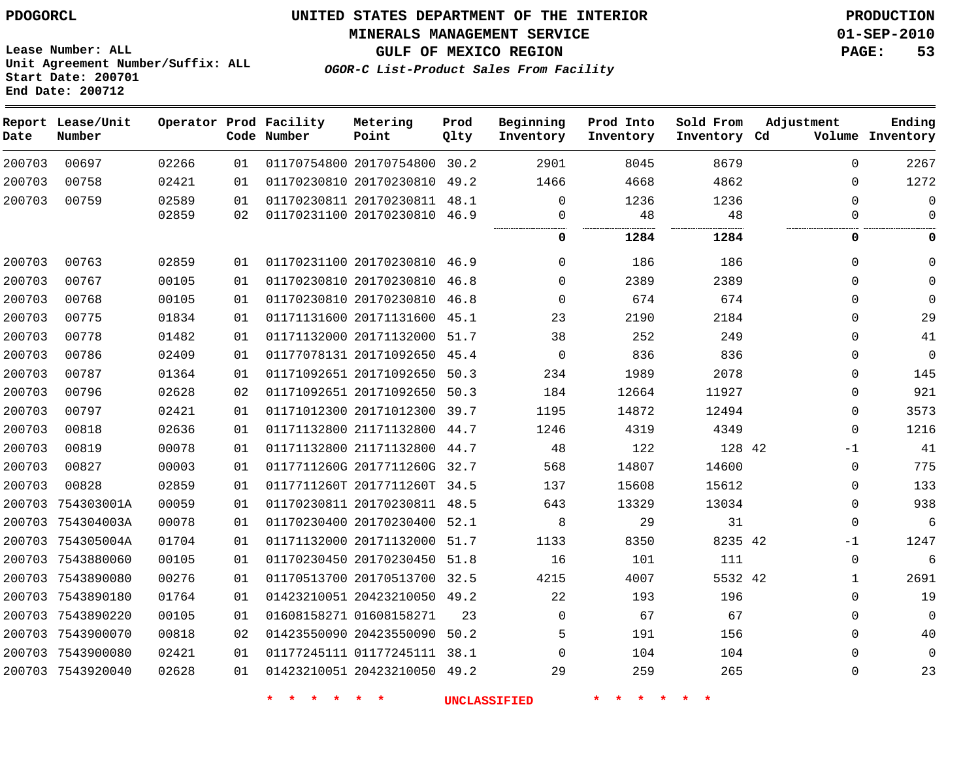**MINERALS MANAGEMENT SERVICE 01-SEP-2010**

**Lease Number: ALL Unit Agreement Number/Suffix: ALL Start Date: 200701 End Date: 200712**

**OGOR-C List-Product Sales From Facility**

**GULF OF MEXICO REGION PAGE: 53**

| Date   | Report Lease/Unit<br>Number |       |    | Operator Prod Facility<br>Code Number | Metering<br>Point            | Prod<br>Qlty | Beginning<br>Inventory | Prod Into<br>Inventory | Sold From<br>Inventory Cd | Adjustment   | Ending<br>Volume Inventory |
|--------|-----------------------------|-------|----|---------------------------------------|------------------------------|--------------|------------------------|------------------------|---------------------------|--------------|----------------------------|
| 200703 | 00697                       | 02266 | 01 |                                       | 01170754800 20170754800 30.2 |              | 2901                   | 8045                   | 8679                      | $\Omega$     | 2267                       |
| 200703 | 00758                       | 02421 | 01 |                                       | 01170230810 20170230810 49.2 |              | 1466                   | 4668                   | 4862                      | $\Omega$     | 1272                       |
| 200703 | 00759                       | 02589 | 01 |                                       | 01170230811 20170230811      | 48.1         | $\Omega$               | 1236                   | 1236                      | $\Omega$     | $\Omega$                   |
|        |                             | 02859 | 02 |                                       | 01170231100 20170230810 46.9 |              | 0                      | 48                     | 48                        | $\Omega$     | $\Omega$                   |
|        |                             |       |    |                                       |                              |              | 0                      | 1284                   | 1284                      | 0            | 0                          |
| 200703 | 00763                       | 02859 | 01 |                                       | 01170231100 20170230810 46.9 |              | $\mathbf 0$            | 186                    | 186                       | $\mathbf 0$  | $\Omega$                   |
| 200703 | 00767                       | 00105 | 01 |                                       | 01170230810 20170230810 46.8 |              | $\Omega$               | 2389                   | 2389                      | $\Omega$     | $\mathbf 0$                |
| 200703 | 00768                       | 00105 | 01 |                                       | 01170230810 20170230810      | 46.8         | $\mathbf 0$            | 674                    | 674                       | $\Omega$     | $\Omega$                   |
| 200703 | 00775                       | 01834 | 01 |                                       | 01171131600 20171131600 45.1 |              | 23                     | 2190                   | 2184                      | $\mathbf{0}$ | 29                         |
| 200703 | 00778                       | 01482 | 01 |                                       | 01171132000 20171132000 51.7 |              | 38                     | 252                    | 249                       | $\Omega$     | 41                         |
| 200703 | 00786                       | 02409 | 01 |                                       | 01177078131 20171092650      | 45.4         | $\mathbf 0$            | 836                    | 836                       | 0            | $\mathsf 0$                |
| 200703 | 00787                       | 01364 | 01 |                                       | 01171092651 20171092650 50.3 |              | 234                    | 1989                   | 2078                      | 0            | 145                        |
| 200703 | 00796                       | 02628 | 02 |                                       | 01171092651 20171092650 50.3 |              | 184                    | 12664                  | 11927                     | 0            | 921                        |
| 200703 | 00797                       | 02421 | 01 |                                       | 01171012300 20171012300 39.7 |              | 1195                   | 14872                  | 12494                     | $\Omega$     | 3573                       |
| 200703 | 00818                       | 02636 | 01 |                                       | 01171132800 21171132800 44.7 |              | 1246                   | 4319                   | 4349                      | $\Omega$     | 1216                       |
| 200703 | 00819                       | 00078 | 01 |                                       | 01171132800 21171132800 44.7 |              | 48                     | 122                    | 128 42                    | $-1$         | 41                         |
| 200703 | 00827                       | 00003 | 01 |                                       | 0117711260G 2017711260G 32.7 |              | 568                    | 14807                  | 14600                     | $\Omega$     | 775                        |
| 200703 | 00828                       | 02859 | 01 |                                       | 0117711260T 2017711260T 34.5 |              | 137                    | 15608                  | 15612                     | $\Omega$     | 133                        |
|        | 200703 754303001A           | 00059 | 01 |                                       | 01170230811 20170230811 48.5 |              | 643                    | 13329                  | 13034                     | $\Omega$     | 938                        |
|        | 200703 754304003A           | 00078 | 01 |                                       | 01170230400 20170230400      | 52.1         | 8                      | 29                     | 31                        | $\Omega$     | 6                          |
|        | 200703 754305004A           | 01704 | 01 |                                       | 01171132000 20171132000 51.7 |              | 1133                   | 8350                   | 8235 42                   | $-1$         | 1247                       |
|        | 200703 7543880060           | 00105 | 01 |                                       | 01170230450 20170230450 51.8 |              | 16                     | 101                    | 111                       | $\mathbf 0$  | 6                          |
|        | 200703 7543890080           | 00276 | 01 |                                       | 01170513700 20170513700 32.5 |              | 4215                   | 4007                   | 5532 42                   | $\mathbf 1$  | 2691                       |
|        | 200703 7543890180           | 01764 | 01 |                                       | 01423210051 20423210050 49.2 |              | 22                     | 193                    | 196                       | $\Omega$     | 19                         |
|        | 200703 7543890220           | 00105 | 01 |                                       | 01608158271 01608158271      | 23           | $\Omega$               | 67                     | 67                        | $\Omega$     | $\mathbf 0$                |
|        | 200703 7543900070           | 00818 | 02 |                                       | 01423550090 20423550090      | 50.2         | 5                      | 191                    | 156                       | $\Omega$     | 40                         |
|        | 200703 7543900080           | 02421 | 01 |                                       | 01177245111 01177245111 38.1 |              | $\Omega$               | 104                    | 104                       | $\Omega$     | $\Omega$                   |
|        | 200703 7543920040           | 02628 | 01 |                                       | 01423210051 20423210050 49.2 |              | 29                     | 259                    | 265                       | $\Omega$     | 23                         |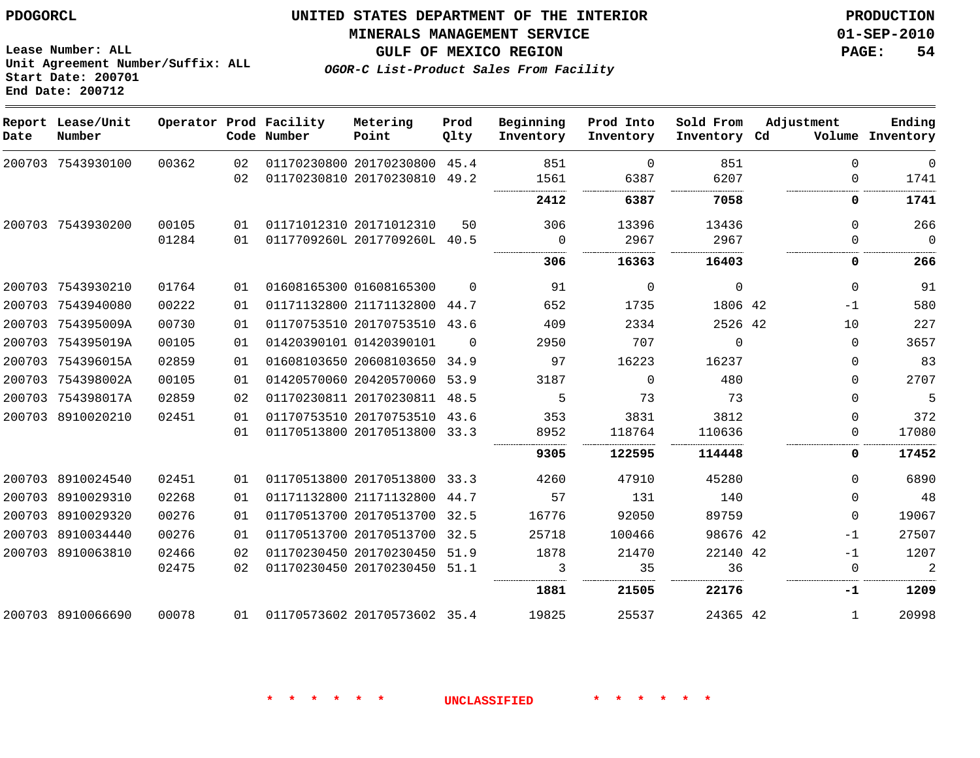## **MINERALS MANAGEMENT SERVICE 01-SEP-2010**

**GULF OF MEXICO REGION PAGE: 54**

**Lease Number: ALL Unit Agreement Number/Suffix: ALL Start Date: 200701 End Date: 200712**

**OGOR-C List-Product Sales From Facility**

| Date   | Report Lease/Unit<br>Number |       |    | Operator Prod Facility<br>Code Number | Metering<br>Point            | Prod<br>Qlty | Beginning<br>Inventory | Prod Into<br>Inventory | Sold From<br>Inventory Cd | Adjustment   | Ending<br>Volume Inventory |
|--------|-----------------------------|-------|----|---------------------------------------|------------------------------|--------------|------------------------|------------------------|---------------------------|--------------|----------------------------|
|        | 200703 7543930100           | 00362 | 02 |                                       | 01170230800 20170230800 45.4 |              | 851                    | $\Omega$               | 851                       | $\Omega$     | $\mathbf{0}$               |
|        |                             |       | 02 |                                       | 01170230810 20170230810      | 49.2         | 1561                   | 6387                   | 6207                      | $\Omega$     | 1741                       |
|        |                             |       |    |                                       |                              |              | 2412                   | 6387                   | 7058                      | 0            | 1741                       |
|        | 200703 7543930200           | 00105 | 01 |                                       | 01171012310 20171012310      | 50           | 306                    | 13396                  | 13436                     | $\Omega$     | 266                        |
|        |                             | 01284 | 01 |                                       | 0117709260L 2017709260L 40.5 |              | $\overline{0}$         | 2967                   | 2967                      | $\Omega$     | $\mathbf{0}$               |
|        |                             |       |    |                                       |                              |              | 306                    | 16363                  | 16403                     | 0            | 266                        |
|        | 200703 7543930210           | 01764 | 01 |                                       | 01608165300 01608165300      | $\Omega$     | 91                     | 0                      | $\Omega$                  | $\Omega$     | 91                         |
|        | 200703 7543940080           | 00222 | 01 |                                       | 01171132800 21171132800 44.7 |              | 652                    | 1735                   | 1806 42                   | -1           | 580                        |
|        | 200703 754395009A           | 00730 | 01 |                                       | 01170753510 20170753510 43.6 |              | 409                    | 2334                   | 2526 42                   | 10           | 227                        |
| 200703 | 754395019A                  | 00105 | 01 |                                       | 01420390101 01420390101      | $\Omega$     | 2950                   | 707                    | $\Omega$                  | $\Omega$     | 3657                       |
|        | 200703 754396015A           | 02859 | 01 |                                       | 01608103650 20608103650 34.9 |              | 97                     | 16223                  | 16237                     | $\Omega$     | 83                         |
|        | 200703 754398002A           | 00105 | 01 |                                       | 01420570060 20420570060 53.9 |              | 3187                   | $\Omega$               | 480                       | $\Omega$     | 2707                       |
|        | 200703 754398017A           | 02859 | 02 |                                       | 01170230811 20170230811      | 48.5         | 5                      | 73                     | 73                        | $\Omega$     | 5                          |
|        | 200703 8910020210           | 02451 | 01 |                                       | 01170753510 20170753510 43.6 |              | 353                    | 3831                   | 3812                      | $\Omega$     | 372                        |
|        |                             |       | 01 |                                       | 01170513800 20170513800 33.3 |              | 8952                   | 118764                 | 110636                    | 0            | 17080                      |
|        |                             |       |    |                                       |                              |              | 9305                   | 122595                 | 114448                    | 0            | 17452                      |
|        | 200703 8910024540           | 02451 | 01 |                                       | 01170513800 20170513800 33.3 |              | 4260                   | 47910                  | 45280                     | $\Omega$     | 6890                       |
|        | 200703 8910029310           | 02268 | 01 |                                       | 01171132800 21171132800      | 44.7         | 57                     | 131                    | 140                       | $\Omega$     | 48                         |
|        | 200703 8910029320           | 00276 | 01 |                                       | 01170513700 20170513700 32.5 |              | 16776                  | 92050                  | 89759                     | $\Omega$     | 19067                      |
|        | 200703 8910034440           | 00276 | 01 |                                       | 01170513700 20170513700 32.5 |              | 25718                  | 100466                 | 98676 42                  | $-1$         | 27507                      |
|        | 200703 8910063810           | 02466 | 02 |                                       | 01170230450 20170230450 51.9 |              | 1878                   | 21470                  | 22140 42                  | $-1$         | 1207                       |
|        |                             | 02475 | 02 |                                       | 01170230450 20170230450 51.1 |              | 3                      | 35                     | 36                        | $\mathbf 0$  | $\overline{a}$             |
|        |                             |       |    |                                       |                              |              | 1881                   | 21505                  | 22176                     | -1           | 1209                       |
|        | 200703 8910066690           | 00078 | 01 |                                       | 01170573602 20170573602 35.4 |              | 19825                  | 25537                  | 24365 42                  | $\mathbf{1}$ | 20998                      |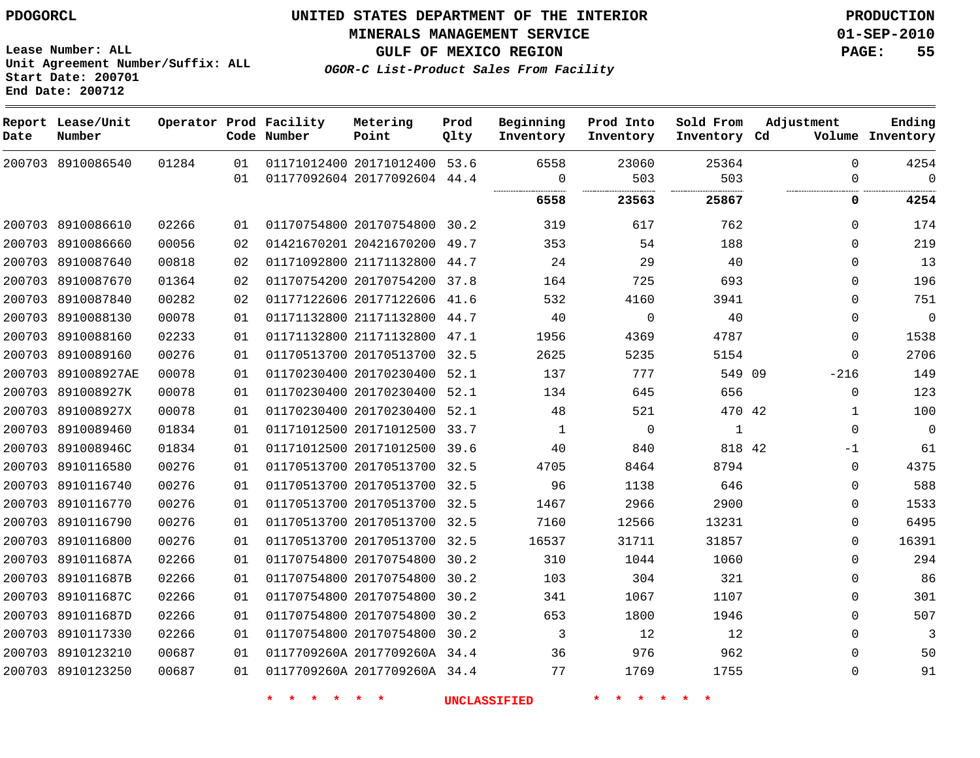**Start Date: 200701 End Date: 200712**

**Unit Agreement Number/Suffix: ALL**

# **UNITED STATES DEPARTMENT OF THE INTERIOR PDOGORCL PRODUCTION**

**MINERALS MANAGEMENT SERVICE 01-SEP-2010**

**GULF OF MEXICO REGION PAGE: 55**

**OGOR-C List-Product Sales From Facility**

| Date   | Report Lease/Unit<br>Number |       |    | Operator Prod Facility<br>Code Number | Metering<br>Point            | Prod<br>Qlty | Beginning<br>Inventory | Prod Into<br>Inventory | Sold From<br>Inventory Cd | Adjustment   | Ending<br>Volume Inventory |
|--------|-----------------------------|-------|----|---------------------------------------|------------------------------|--------------|------------------------|------------------------|---------------------------|--------------|----------------------------|
|        | 200703 8910086540           | 01284 | 01 |                                       | 01171012400 20171012400 53.6 |              | 6558                   | 23060                  | 25364                     | $\Omega$     | 4254                       |
|        |                             |       | 01 |                                       | 01177092604 20177092604 44.4 |              | $\Omega$               | 503                    | 503                       | 0            | $\Omega$                   |
|        |                             |       |    |                                       |                              |              | 6558                   | 23563                  | 25867                     | 0            | 4254                       |
|        | 200703 8910086610           | 02266 | 01 |                                       | 01170754800 20170754800 30.2 |              | 319                    | 617                    | 762                       | $\Omega$     | 174                        |
|        | 200703 8910086660           | 00056 | 02 |                                       | 01421670201 20421670200      | 49.7         | 353                    | 54                     | 188                       | $\mathbf 0$  | 219                        |
|        | 200703 8910087640           | 00818 | 02 |                                       | 01171092800 21171132800      | 44.7         | 24                     | 29                     | 40                        | $\mathbf{0}$ | 13                         |
|        | 200703 8910087670           | 01364 | 02 |                                       | 01170754200 20170754200 37.8 |              | 164                    | 725                    | 693                       | $\mathbf 0$  | 196                        |
|        | 200703 8910087840           | 00282 | 02 |                                       | 01177122606 20177122606      | 41.6         | 532                    | 4160                   | 3941                      | $\mathbf{0}$ | 751                        |
|        | 200703 8910088130           | 00078 | 01 |                                       | 01171132800 21171132800 44.7 |              | 40                     | $\Omega$               | 40                        | $\Omega$     | $\Omega$                   |
|        | 200703 8910088160           | 02233 | 01 |                                       | 01171132800 21171132800      | 47.1         | 1956                   | 4369                   | 4787                      | $\Omega$     | 1538                       |
|        | 200703 8910089160           | 00276 | 01 |                                       | 01170513700 20170513700      | 32.5         | 2625                   | 5235                   | 5154                      | $\mathbf 0$  | 2706                       |
| 200703 | 891008927AE                 | 00078 | 01 |                                       | 01170230400 20170230400 52.1 |              | 137                    | 777                    | 549 09                    | $-216$       | 149                        |
|        | 200703 891008927K           | 00078 | 01 |                                       | 01170230400 20170230400      | 52.1         | 134                    | 645                    | 656                       | $\mathbf 0$  | 123                        |
|        | 200703 891008927X           | 00078 | 01 |                                       | 01170230400 20170230400 52.1 |              | 48                     | 521                    | 470 42                    | 1            | 100                        |
|        | 200703 8910089460           | 01834 | 01 |                                       | 01171012500 20171012500      | 33.7         | $\mathbf{1}$           | $\overline{0}$         | $\mathbf{1}$              | $\mathbf 0$  | $\Omega$                   |
|        | 200703 891008946C           | 01834 | 01 |                                       | 01171012500 20171012500 39.6 |              | 40                     | 840                    | 818 42                    | -1           | 61                         |
|        | 200703 8910116580           | 00276 | 01 |                                       | 01170513700 20170513700 32.5 |              | 4705                   | 8464                   | 8794                      | $\mathbf 0$  | 4375                       |
|        | 200703 8910116740           | 00276 | 01 |                                       | 01170513700 20170513700 32.5 |              | 96                     | 1138                   | 646                       | $\mathbf 0$  | 588                        |
|        | 200703 8910116770           | 00276 | 01 |                                       | 01170513700 20170513700 32.5 |              | 1467                   | 2966                   | 2900                      | $\mathbf 0$  | 1533                       |
|        | 200703 8910116790           | 00276 | 01 |                                       | 01170513700 20170513700 32.5 |              | 7160                   | 12566                  | 13231                     | $\Omega$     | 6495                       |
|        | 200703 8910116800           | 00276 | 01 |                                       | 01170513700 20170513700 32.5 |              | 16537                  | 31711                  | 31857                     | $\mathbf 0$  | 16391                      |
|        | 200703 891011687A           | 02266 | 01 |                                       | 01170754800 20170754800      | 30.2         | 310                    | 1044                   | 1060                      | $\mathbf 0$  | 294                        |
|        | 200703 891011687B           | 02266 | 01 |                                       | 01170754800 20170754800 30.2 |              | 103                    | 304                    | 321                       | $\mathbf 0$  | 86                         |
|        | 200703 891011687C           | 02266 | 01 |                                       | 01170754800 20170754800      | 30.2         | 341                    | 1067                   | 1107                      | $\Omega$     | 301                        |
|        | 200703 891011687D           | 02266 | 01 |                                       | 01170754800 20170754800      | 30.2         | 653                    | 1800                   | 1946                      | $\Omega$     | 507                        |
|        | 200703 8910117330           | 02266 | 01 |                                       | 01170754800 20170754800 30.2 |              | 3                      | 12                     | 12                        | $\mathbf 0$  | 3                          |
|        | 200703 8910123210           | 00687 | 01 |                                       | 0117709260A 2017709260A 34.4 |              | 36                     | 976                    | 962                       | $\mathbf 0$  | 50                         |
|        | 200703 8910123250           | 00687 | 01 |                                       | 0117709260A 2017709260A 34.4 |              | 77                     | 1769                   | 1755                      | $\mathbf 0$  | 91                         |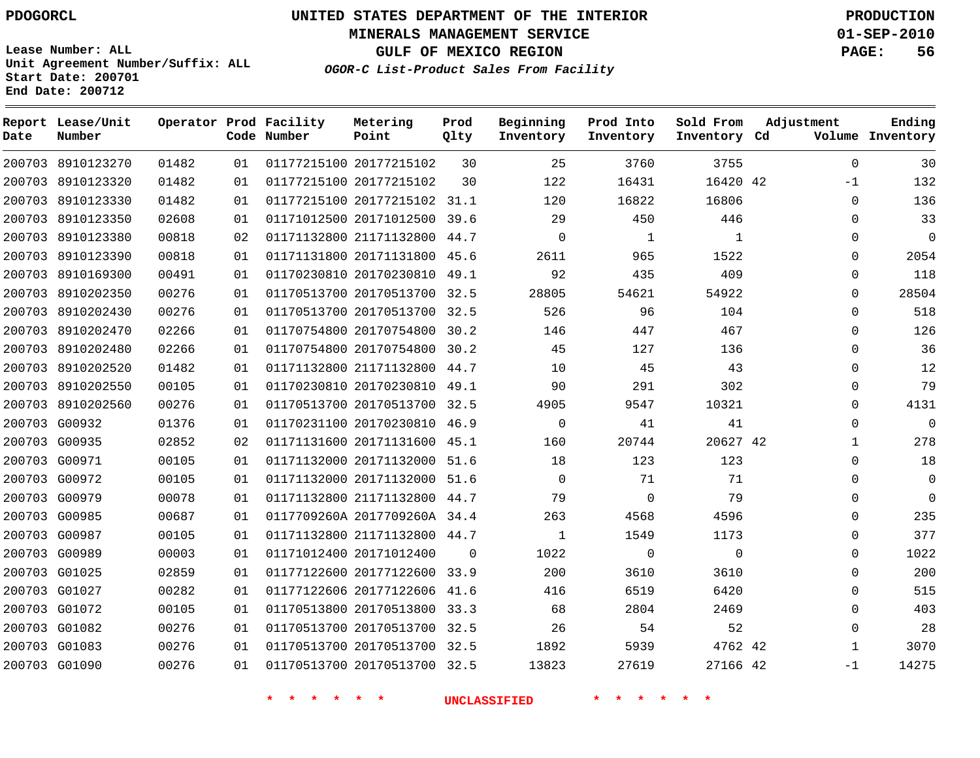# **UNITED STATES DEPARTMENT OF THE INTERIOR PDOGORCL PRODUCTION**

**MINERALS MANAGEMENT SERVICE 01-SEP-2010**

**GULF OF MEXICO REGION PAGE: 56**

**Unit Agreement Number/Suffix: ALL Start Date: 200701 End Date: 200712**

**OGOR-C List-Product Sales From Facility**

| Date | Report Lease/Unit<br>Number |       |    | Operator Prod Facility<br>Code Number | Metering<br>Point            | Prod<br>Qlty | Beginning<br>Inventory | Prod Into<br>Inventory | Sold From<br>Inventory Cd | Adjustment   | Ending<br>Volume Inventory |
|------|-----------------------------|-------|----|---------------------------------------|------------------------------|--------------|------------------------|------------------------|---------------------------|--------------|----------------------------|
|      | 200703 8910123270           | 01482 | 01 |                                       | 01177215100 20177215102      | 30           | 25                     | 3760                   | 3755                      | $\mathbf 0$  | 30                         |
|      | 200703 8910123320           | 01482 | 01 |                                       | 01177215100 20177215102      | 30           | 122                    | 16431                  | 16420 42                  | $-1$         | 132                        |
|      | 200703 8910123330           | 01482 | 01 |                                       | 01177215100 20177215102 31.1 |              | 120                    | 16822                  | 16806                     | $\mathbf 0$  | 136                        |
|      | 200703 8910123350           | 02608 | 01 |                                       | 01171012500 20171012500      | 39.6         | 29                     | 450                    | 446                       | 0            | 33                         |
|      | 200703 8910123380           | 00818 | 02 |                                       | 01171132800 21171132800      | 44.7         | $\mathbf 0$            | 1                      | 1                         | 0            | $\mathbf 0$                |
|      | 200703 8910123390           | 00818 | 01 |                                       | 01171131800 20171131800      | 45.6         | 2611                   | 965                    | 1522                      | 0            | 2054                       |
|      | 200703 8910169300           | 00491 | 01 |                                       | 01170230810 20170230810 49.1 |              | 92                     | 435                    | 409                       | 0            | 118                        |
|      | 200703 8910202350           | 00276 | 01 |                                       | 01170513700 20170513700      | 32.5         | 28805                  | 54621                  | 54922                     | 0            | 28504                      |
|      | 200703 8910202430           | 00276 | 01 |                                       | 01170513700 20170513700 32.5 |              | 526                    | 96                     | 104                       | 0            | 518                        |
|      | 200703 8910202470           | 02266 | 01 |                                       | 01170754800 20170754800      | 30.2         | 146                    | 447                    | 467                       | 0            | 126                        |
|      | 200703 8910202480           | 02266 | 01 |                                       | 01170754800 20170754800      | 30.2         | 45                     | 127                    | 136                       | $\Omega$     | 36                         |
|      | 200703 8910202520           | 01482 | 01 |                                       | 01171132800 21171132800      | 44.7         | 10                     | 45                     | 43                        | 0            | 12                         |
|      | 200703 8910202550           | 00105 | 01 |                                       | 01170230810 20170230810 49.1 |              | 90                     | 291                    | 302                       | $\Omega$     | 79                         |
|      | 200703 8910202560           | 00276 | 01 |                                       | 01170513700 20170513700 32.5 |              | 4905                   | 9547                   | 10321                     | 0            | 4131                       |
|      | 200703 G00932               | 01376 | 01 |                                       | 01170231100 20170230810 46.9 |              | $\mathbf 0$            | 41                     | 41                        | $\Omega$     | $\mathbf 0$                |
|      | 200703 G00935               | 02852 | 02 |                                       | 01171131600 20171131600      | 45.1         | 160                    | 20744                  | 20627 42                  | 1            | 278                        |
|      | 200703 G00971               | 00105 | 01 |                                       | 01171132000 20171132000 51.6 |              | 18                     | 123                    | 123                       | $\Omega$     | 18                         |
|      | 200703 G00972               | 00105 | 01 |                                       | 01171132000 20171132000 51.6 |              | $\Omega$               | 71                     | 71                        | 0            | 0                          |
|      | 200703 G00979               | 00078 | 01 |                                       | 01171132800 21171132800 44.7 |              | 79                     | $\Omega$               | 79                        | $\Omega$     | $\Omega$                   |
|      | 200703 G00985               | 00687 | 01 |                                       | 0117709260A 2017709260A 34.4 |              | 263                    | 4568                   | 4596                      | $\Omega$     | 235                        |
|      | 200703 G00987               | 00105 | 01 |                                       | 01171132800 21171132800 44.7 |              | $\mathbf{1}$           | 1549                   | 1173                      | $\Omega$     | 377                        |
|      | 200703 G00989               | 00003 | 01 |                                       | 01171012400 20171012400      | $\Omega$     | 1022                   | $\mathbf{0}$           | $\Omega$                  | 0            | 1022                       |
|      | 200703 G01025               | 02859 | 01 |                                       | 01177122600 20177122600 33.9 |              | 200                    | 3610                   | 3610                      | $\Omega$     | 200                        |
|      | 200703 G01027               | 00282 | 01 |                                       | 01177122606 20177122606      | 41.6         | 416                    | 6519                   | 6420                      | $\Omega$     | 515                        |
|      | 200703 G01072               | 00105 | 01 |                                       | 01170513800 20170513800 33.3 |              | 68                     | 2804                   | 2469                      | $\Omega$     | 403                        |
|      | 200703 G01082               | 00276 | 01 |                                       | 01170513700 20170513700 32.5 |              | 26                     | 54                     | 52                        | 0            | 28                         |
|      | 200703 G01083               | 00276 | 01 |                                       | 01170513700 20170513700 32.5 |              | 1892                   | 5939                   | 4762 42                   | $\mathbf{1}$ | 3070                       |
|      | 200703 G01090               | 00276 | 01 |                                       | 01170513700 20170513700 32.5 |              | 13823                  | 27619                  | 27166 42                  | $-1$         | 14275                      |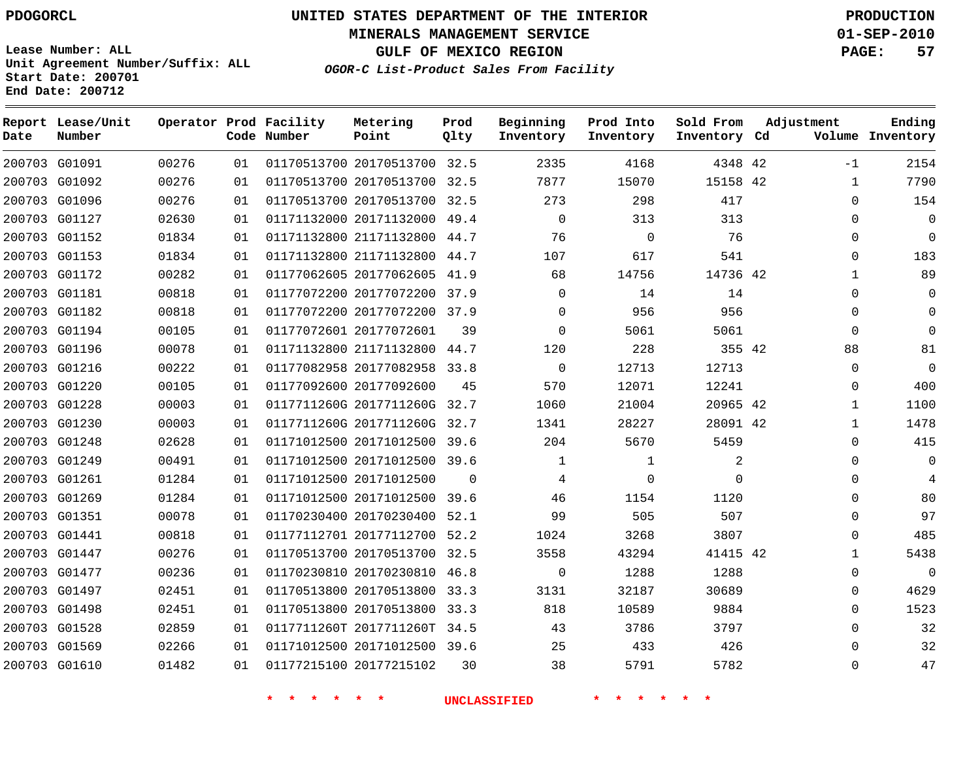# **UNITED STATES DEPARTMENT OF THE INTERIOR PDOGORCL PRODUCTION**

**MINERALS MANAGEMENT SERVICE 01-SEP-2010**

**GULF OF MEXICO REGION PAGE: 57**

**Unit Agreement Number/Suffix: ALL Start Date: 200701 End Date: 200712**

**OGOR-C List-Product Sales From Facility**

| Date | Report Lease/Unit<br>Number |       |    | Operator Prod Facility<br>Code Number | Metering<br>Point            | Prod<br>Qlty | Beginning<br>Inventory | Prod Into<br>Inventory | Sold From<br>Inventory Cd | Adjustment   | Ending<br>Volume Inventory |
|------|-----------------------------|-------|----|---------------------------------------|------------------------------|--------------|------------------------|------------------------|---------------------------|--------------|----------------------------|
|      | 200703 G01091               | 00276 | 01 |                                       | 01170513700 20170513700 32.5 |              | 2335                   | 4168                   | 4348 42                   | $-1$         | 2154                       |
|      | 200703 G01092               | 00276 | 01 |                                       | 01170513700 20170513700 32.5 |              | 7877                   | 15070                  | 15158 42                  | $\mathbf{1}$ | 7790                       |
|      | 200703 G01096               | 00276 | 01 |                                       | 01170513700 20170513700 32.5 |              | 273                    | 298                    | 417                       | 0            | 154                        |
|      | 200703 G01127               | 02630 | 01 |                                       | 01171132000 20171132000 49.4 |              | $\Omega$               | 313                    | 313                       | $\Omega$     | $\mathsf 0$                |
|      | 200703 G01152               | 01834 | 01 |                                       | 01171132800 21171132800 44.7 |              | 76                     | $\mathbf 0$            | 76                        | $\Omega$     | $\Omega$                   |
|      | 200703 G01153               | 01834 | 01 |                                       | 01171132800 21171132800 44.7 |              | 107                    | 617                    | 541                       | $\Omega$     | 183                        |
|      | 200703 G01172               | 00282 | 01 |                                       | 01177062605 20177062605 41.9 |              | 68                     | 14756                  | 14736 42                  | $\mathbf{1}$ | 89                         |
|      | 200703 G01181               | 00818 | 01 |                                       | 01177072200 20177072200 37.9 |              | $\Omega$               | 14                     | 14                        | $\Omega$     | $\Omega$                   |
|      | 200703 G01182               | 00818 | 01 |                                       | 01177072200 20177072200 37.9 |              | $\mathbf 0$            | 956                    | 956                       | 0            | $\Omega$                   |
|      | 200703 G01194               | 00105 | 01 |                                       | 01177072601 20177072601      | 39           | $\Omega$               | 5061                   | 5061                      | $\Omega$     | $\Omega$                   |
|      | 200703 G01196               | 00078 | 01 |                                       | 01171132800 21171132800 44.7 |              | 120                    | 228                    | 355 42                    | 88           | 81                         |
|      | 200703 G01216               | 00222 | 01 |                                       | 01177082958 20177082958      | 33.8         | $\Omega$               | 12713                  | 12713                     | $\Omega$     | $\Omega$                   |
|      | 200703 G01220               | 00105 | 01 |                                       | 01177092600 20177092600      | 45           | 570                    | 12071                  | 12241                     | 0            | 400                        |
|      | 200703 G01228               | 00003 | 01 |                                       | 0117711260G 2017711260G 32.7 |              | 1060                   | 21004                  | 20965 42                  | $\mathbf{1}$ | 1100                       |
|      | 200703 G01230               | 00003 | 01 |                                       | 0117711260G 2017711260G 32.7 |              | 1341                   | 28227                  | 28091 42                  | $\mathbf{1}$ | 1478                       |
|      | 200703 G01248               | 02628 | 01 |                                       | 01171012500 20171012500      | 39.6         | 204                    | 5670                   | 5459                      | $\Omega$     | 415                        |
|      | 200703 G01249               | 00491 | 01 |                                       | 01171012500 20171012500 39.6 |              | 1                      | 1                      | 2                         | $\Omega$     | $\mathbf 0$                |
|      | 200703 G01261               | 01284 | 01 |                                       | 01171012500 20171012500      | $\Omega$     | 4                      | $\mathbf 0$            | $\Omega$                  | $\Omega$     | 4                          |
|      | 200703 G01269               | 01284 | 01 |                                       | 01171012500 20171012500 39.6 |              | 46                     | 1154                   | 1120                      | $\Omega$     | 80                         |
|      | 200703 G01351               | 00078 | 01 |                                       | 01170230400 20170230400      | 52.1         | 99                     | 505                    | 507                       | $\Omega$     | 97                         |
|      | 200703 G01441               | 00818 | 01 |                                       | 01177112701 20177112700 52.2 |              | 1024                   | 3268                   | 3807                      | $\Omega$     | 485                        |
|      | 200703 G01447               | 00276 | 01 |                                       | 01170513700 20170513700 32.5 |              | 3558                   | 43294                  | 41415 42                  | $\mathbf{1}$ | 5438                       |
|      | 200703 G01477               | 00236 | 01 |                                       | 01170230810 20170230810 46.8 |              | $\Omega$               | 1288                   | 1288                      | 0            | $\Omega$                   |
|      | 200703 G01497               | 02451 | 01 |                                       | 01170513800 20170513800      | 33.3         | 3131                   | 32187                  | 30689                     | $\Omega$     | 4629                       |
|      | 200703 G01498               | 02451 | 01 |                                       | 01170513800 20170513800 33.3 |              | 818                    | 10589                  | 9884                      | $\Omega$     | 1523                       |
|      | 200703 G01528               | 02859 | 01 |                                       | 0117711260T 2017711260T      | 34.5         | 43                     | 3786                   | 3797                      | $\Omega$     | 32                         |
|      | 200703 G01569               | 02266 | 01 |                                       | 01171012500 20171012500 39.6 |              | 25                     | 433                    | 426                       | $\Omega$     | 32                         |
|      | 200703 G01610               | 01482 | 01 |                                       | 01177215100 20177215102      | 30           | 38                     | 5791                   | 5782                      | $\Omega$     | 47                         |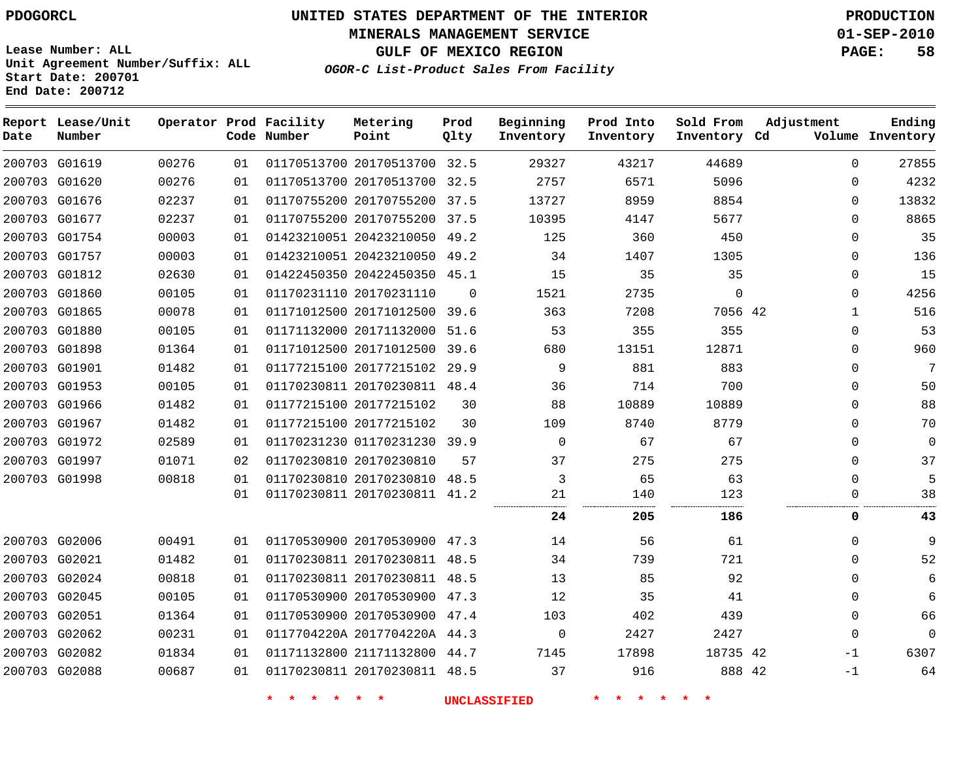**Start Date: 200701 End Date: 200712**

**Unit Agreement Number/Suffix: ALL**

# **UNITED STATES DEPARTMENT OF THE INTERIOR PDOGORCL PRODUCTION**

**MINERALS MANAGEMENT SERVICE 01-SEP-2010**

**GULF OF MEXICO REGION PAGE: 58**

**OGOR-C List-Product Sales From Facility**

| Date | Report Lease/Unit<br>Number |       |    | Operator Prod Facility<br>Code Number | Metering<br>Point            | Prod<br>Qlty | Beginning<br>Inventory | Prod Into<br>Inventory | Sold From<br>Inventory Cd | Adjustment   | Ending<br>Volume Inventory |
|------|-----------------------------|-------|----|---------------------------------------|------------------------------|--------------|------------------------|------------------------|---------------------------|--------------|----------------------------|
|      | 200703 G01619               | 00276 | 01 |                                       | 01170513700 20170513700 32.5 |              | 29327                  | 43217                  | 44689                     | $\mathbf 0$  | 27855                      |
|      | 200703 G01620               | 00276 | 01 |                                       | 01170513700 20170513700      | 32.5         | 2757                   | 6571                   | 5096                      | $\Omega$     | 4232                       |
|      | 200703 G01676               | 02237 | 01 |                                       | 01170755200 20170755200      | 37.5         | 13727                  | 8959                   | 8854                      | $\Omega$     | 13832                      |
|      | 200703 G01677               | 02237 | 01 |                                       | 01170755200 20170755200      | 37.5         | 10395                  | 4147                   | 5677                      | $\Omega$     | 8865                       |
|      | 200703 G01754               | 00003 | 01 |                                       | 01423210051 20423210050      | 49.2         | 125                    | 360                    | 450                       | $\mathbf 0$  | 35                         |
|      | 200703 G01757               | 00003 | 01 |                                       | 01423210051 20423210050      | 49.2         | 34                     | 1407                   | 1305                      | $\Omega$     | 136                        |
|      | 200703 G01812               | 02630 | 01 |                                       | 01422450350 20422450350      | 45.1         | 15                     | 35                     | 35                        | $\mathbf 0$  | 15                         |
|      | 200703 G01860               | 00105 | 01 |                                       | 01170231110 20170231110      | $\Omega$     | 1521                   | 2735                   | $\mathbf 0$               | $\Omega$     | 4256                       |
|      | 200703 G01865               | 00078 | 01 |                                       | 01171012500 20171012500      | 39.6         | 363                    | 7208                   | 7056 42                   | $\mathbf{1}$ | 516                        |
|      | 200703 G01880               | 00105 | 01 |                                       | 01171132000 20171132000      | 51.6         | 53                     | 355                    | 355                       | $\mathbf 0$  | 53                         |
|      | 200703 G01898               | 01364 | 01 |                                       | 01171012500 20171012500      | 39.6         | 680                    | 13151                  | 12871                     | $\mathbf 0$  | 960                        |
|      | 200703 G01901               | 01482 | 01 |                                       | 01177215100 20177215102 29.9 |              | 9                      | 881                    | 883                       | $\Omega$     | 7                          |
|      | 200703 G01953               | 00105 | 01 |                                       | 01170230811 20170230811 48.4 |              | 36                     | 714                    | 700                       | $\mathbf 0$  | 50                         |
|      | 200703 G01966               | 01482 | 01 |                                       | 01177215100 20177215102      | 30           | 88                     | 10889                  | 10889                     | $\Omega$     | 88                         |
|      | 200703 G01967               | 01482 | 01 |                                       | 01177215100 20177215102      | 30           | 109                    | 8740                   | 8779                      | $\Omega$     | 70                         |
|      | 200703 G01972               | 02589 | 01 |                                       | 01170231230 01170231230      | 39.9         | $\mathbf 0$            | 67                     | 67                        | $\mathbf 0$  | $\mathbf 0$                |
|      | 200703 G01997               | 01071 | 02 |                                       | 01170230810 20170230810      | 57           | 37                     | 275                    | 275                       | $\Omega$     | 37                         |
|      | 200703 G01998               | 00818 | 01 |                                       | 01170230810 20170230810      | 48.5         | 3                      | 65                     | 63                        | $\Omega$     | 5                          |
|      |                             |       | 01 |                                       | 01170230811 20170230811 41.2 |              | 21                     | 140                    | 123                       | $\Omega$     | 38                         |
|      |                             |       |    |                                       |                              |              | 24                     | 205                    | 186                       | 0            | 43                         |
|      | 200703 G02006               | 00491 | 01 |                                       | 01170530900 20170530900      | 47.3         | 14                     | 56                     | 61                        | $\mathbf 0$  | 9                          |
|      | 200703 G02021               | 01482 | 01 |                                       | 01170230811 20170230811 48.5 |              | 34                     | 739                    | 721                       | $\Omega$     | 52                         |
|      | 200703 G02024               | 00818 | 01 |                                       | 01170230811 20170230811      | 48.5         | 13                     | 85                     | 92                        | $\Omega$     | 6                          |
|      | 200703 G02045               | 00105 | 01 |                                       | 01170530900 20170530900      | 47.3         | 12                     | 35                     | 41                        | $\Omega$     | 6                          |
|      | 200703 G02051               | 01364 | 01 |                                       | 01170530900 20170530900      | 47.4         | 103                    | 402                    | 439                       | $\mathbf 0$  | 66                         |
|      | 200703 G02062               | 00231 | 01 |                                       | 0117704220A 2017704220A 44.3 |              | 0                      | 2427                   | 2427                      | $\Omega$     | $\Omega$                   |
|      | 200703 G02082               | 01834 | 01 |                                       | 01171132800 21171132800      | 44.7         | 7145                   | 17898                  | 18735 42                  | $-1$         | 6307                       |
|      | 200703 G02088               | 00687 | 01 |                                       | 01170230811 20170230811 48.5 |              | 37                     | 916                    | 888 42                    | $-1$         | 64                         |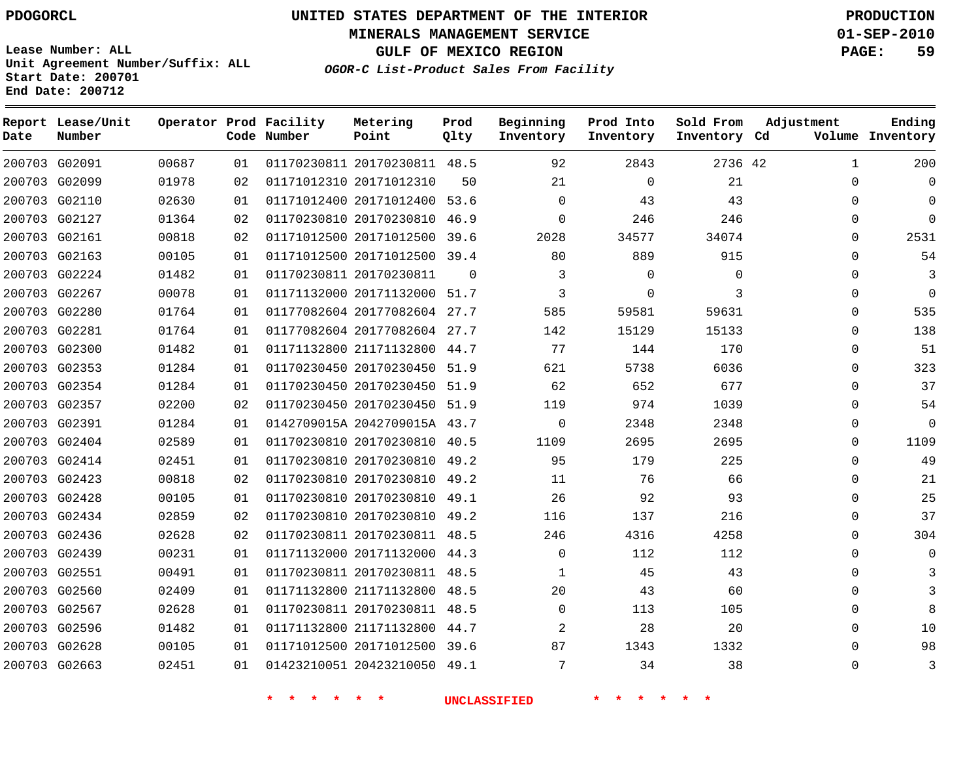**MINERALS MANAGEMENT SERVICE 01-SEP-2010**

**GULF OF MEXICO REGION PAGE: 59**

**Lease Number: ALL Unit Agreement Number/Suffix: ALL Start Date: 200701 End Date: 200712**

**OGOR-C List-Product Sales From Facility**

| Date | Report Lease/Unit<br>Number |       |    | Operator Prod Facility<br>Code Number | Metering<br>Point            | Prod<br>Qlty | Beginning<br>Inventory | Prod Into<br>Inventory | Sold From<br>Inventory Cd | Adjustment   | Ending<br>Volume Inventory |
|------|-----------------------------|-------|----|---------------------------------------|------------------------------|--------------|------------------------|------------------------|---------------------------|--------------|----------------------------|
|      | 200703 G02091               | 00687 | 01 |                                       | 01170230811 20170230811 48.5 |              | 92                     | 2843                   | 2736 42                   | $\mathbf{1}$ | 200                        |
|      | 200703 G02099               | 01978 | 02 |                                       | 01171012310 20171012310      | 50           | 21                     | $\Omega$               | 21                        | $\Omega$     | $\Omega$                   |
|      | 200703 G02110               | 02630 | 01 |                                       | 01171012400 20171012400 53.6 |              | $\Omega$               | 43                     | 43                        | $\Omega$     | $\Omega$                   |
|      | 200703 G02127               | 01364 | 02 |                                       | 01170230810 20170230810      | 46.9         | $\Omega$               | 246                    | 246                       | $\Omega$     | $\Omega$                   |
|      | 200703 G02161               | 00818 | 02 |                                       | 01171012500 20171012500      | 39.6         | 2028                   | 34577                  | 34074                     | 0            | 2531                       |
|      | 200703 G02163               | 00105 | 01 |                                       | 01171012500 20171012500      | 39.4         | 80                     | 889                    | 915                       | $\Omega$     | 54                         |
|      | 200703 G02224               | 01482 | 01 |                                       | 01170230811 20170230811      | $\Omega$     | 3                      | $\mathbf{0}$           | $\mathbf 0$               | $\Omega$     | 3                          |
|      | 200703 G02267               | 00078 | 01 |                                       | 01171132000 20171132000 51.7 |              | 3                      | $\mathbf{0}$           | 3                         | $\Omega$     | $\Omega$                   |
|      | 200703 G02280               | 01764 | 01 |                                       | 01177082604 20177082604 27.7 |              | 585                    | 59581                  | 59631                     | $\Omega$     | 535                        |
|      | 200703 G02281               | 01764 | 01 |                                       | 01177082604 20177082604 27.7 |              | 142                    | 15129                  | 15133                     | $\mathbf 0$  | 138                        |
|      | 200703 G02300               | 01482 | 01 |                                       | 01171132800 21171132800      | 44.7         | 77                     | 144                    | 170                       | $\Omega$     | 51                         |
|      | 200703 G02353               | 01284 | 01 |                                       | 01170230450 20170230450 51.9 |              | 621                    | 5738                   | 6036                      | $\mathbf 0$  | 323                        |
|      | 200703 G02354               | 01284 | 01 |                                       | 01170230450 20170230450 51.9 |              | 62                     | 652                    | 677                       | $\Omega$     | 37                         |
|      | 200703 G02357               | 02200 | 02 |                                       | 01170230450 20170230450 51.9 |              | 119                    | 974                    | 1039                      | $\Omega$     | 54                         |
|      | 200703 G02391               | 01284 | 01 |                                       | 0142709015A 2042709015A 43.7 |              | $\mathbf 0$            | 2348                   | 2348                      | $\mathbf 0$  | $\overline{0}$             |
|      | 200703 G02404               | 02589 | 01 |                                       | 01170230810 20170230810 40.5 |              | 1109                   | 2695                   | 2695                      | $\Omega$     | 1109                       |
|      | 200703 G02414               | 02451 | 01 |                                       | 01170230810 20170230810 49.2 |              | 95                     | 179                    | 225                       | $\mathbf 0$  | 49                         |
|      | 200703 G02423               | 00818 | 02 |                                       | 01170230810 20170230810 49.2 |              | 11                     | 76                     | 66                        | $\Omega$     | 21                         |
|      | 200703 G02428               | 00105 | 01 |                                       | 01170230810 20170230810      | 49.1         | 26                     | 92                     | 93                        | $\Omega$     | 25                         |
|      | 200703 G02434               | 02859 | 02 |                                       | 01170230810 20170230810      | 49.2         | 116                    | 137                    | 216                       | $\mathbf 0$  | 37                         |
|      | 200703 G02436               | 02628 | 02 |                                       | 01170230811 20170230811 48.5 |              | 246                    | 4316                   | 4258                      | $\Omega$     | 304                        |
|      | 200703 G02439               | 00231 | 01 |                                       | 01171132000 20171132000      | 44.3         | $\Omega$               | 112                    | 112                       | $\mathbf 0$  | $\Omega$                   |
|      | 200703 G02551               | 00491 | 01 |                                       | 01170230811 20170230811 48.5 |              | $\mathbf{1}$           | 45                     | 43                        | $\Omega$     |                            |
|      | 200703 G02560               | 02409 | 01 |                                       | 01171132800 21171132800      | 48.5         | 20                     | 43                     | 60                        | $\Omega$     |                            |
|      | 200703 G02567               | 02628 | 01 |                                       | 01170230811 20170230811 48.5 |              | $\Omega$               | 113                    | 105                       | $\mathbf 0$  | 8                          |
|      | 200703 G02596               | 01482 | 01 |                                       | 01171132800 21171132800      | 44.7         | $\overline{2}$         | 28                     | 20                        | $\Omega$     | 10                         |
|      | 200703 G02628               | 00105 | 01 |                                       | 01171012500 20171012500 39.6 |              | 87                     | 1343                   | 1332                      | $\Omega$     | 98                         |
|      | 200703 G02663               | 02451 | 01 |                                       | 01423210051 20423210050 49.1 |              | 7                      | 34                     | 38                        | $\Omega$     | 3                          |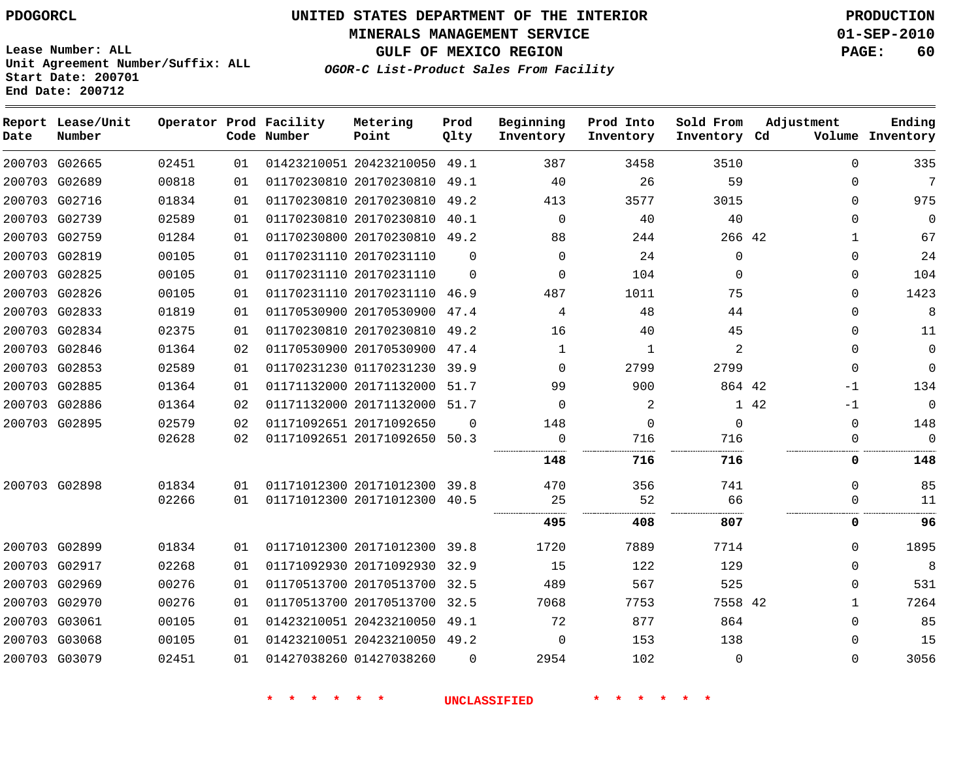**MINERALS MANAGEMENT SERVICE 01-SEP-2010**

**GULF OF MEXICO REGION PAGE: 60**

**Lease Number: ALL Unit Agreement Number/Suffix: ALL Start Date: 200701 End Date: 200712**

**OGOR-C List-Product Sales From Facility**

| Date | Report Lease/Unit<br>Number |       |    | Operator Prod Facility<br>Code Number | Metering<br>Point            | Prod<br>Qlty | Beginning<br>Inventory | Prod Into<br>Inventory | Sold From<br>Inventory Cd | Adjustment   | Ending<br>Volume Inventory |
|------|-----------------------------|-------|----|---------------------------------------|------------------------------|--------------|------------------------|------------------------|---------------------------|--------------|----------------------------|
|      | 200703 G02665               | 02451 | 01 |                                       | 01423210051 20423210050      | 49.1         | 387                    | 3458                   | 3510                      | $\Omega$     | 335                        |
|      | 200703 G02689               | 00818 | 01 |                                       | 01170230810 20170230810 49.1 |              | 40                     | 26                     | 59                        | $\Omega$     | 7                          |
|      | 200703 G02716               | 01834 | 01 |                                       | 01170230810 20170230810      | 49.2         | 413                    | 3577                   | 3015                      | $\mathbf 0$  | 975                        |
|      | 200703 G02739               | 02589 | 01 |                                       | 01170230810 20170230810      | 40.1         | $\Omega$               | 40                     | 40                        | $\Omega$     | $\mathbf 0$                |
|      | 200703 G02759               | 01284 | 01 |                                       | 01170230800 20170230810 49.2 |              | 88                     | 244                    | 266 42                    | $\mathbf{1}$ | 67                         |
|      | 200703 G02819               | 00105 | 01 |                                       | 01170231110 20170231110      | $\Omega$     | $\Omega$               | 24                     | $\Omega$                  | $\Omega$     | 24                         |
|      | 200703 G02825               | 00105 | 01 |                                       | 01170231110 20170231110      | $\Omega$     | $\Omega$               | 104                    | $\Omega$                  | $\Omega$     | 104                        |
|      | 200703 G02826               | 00105 | 01 |                                       | 01170231110 20170231110 46.9 |              | 487                    | 1011                   | 75                        | $\Omega$     | 1423                       |
|      | 200703 G02833               | 01819 | 01 |                                       | 01170530900 20170530900      | 47.4         | 4                      | 48                     | 44                        | $\mathbf 0$  | 8                          |
|      | 200703 G02834               | 02375 | 01 |                                       | 01170230810 20170230810 49.2 |              | 16                     | 40                     | 45                        | $\Omega$     | 11                         |
|      | 200703 G02846               | 01364 | 02 |                                       | 01170530900 20170530900      | 47.4         | $\mathbf 1$            | 1                      | $\overline{2}$            | $\Omega$     | $\Omega$                   |
|      | 200703 G02853               | 02589 | 01 |                                       | 01170231230 01170231230      | 39.9         | $\Omega$               | 2799                   | 2799                      | $\Omega$     | $\Omega$                   |
|      | 200703 G02885               | 01364 | 01 |                                       | 01171132000 20171132000      | 51.7         | 99                     | 900                    | 864 42                    | $-1$         | 134                        |
|      | 200703 G02886               | 01364 | 02 |                                       | 01171132000 20171132000 51.7 |              | $\Omega$               | 2                      |                           | 1 42<br>$-1$ | $\mathbf 0$                |
|      | 200703 G02895               | 02579 | 02 |                                       | 01171092651 20171092650      | $\Omega$     | 148                    | 0                      | $\mathbf 0$               | $\mathbf 0$  | 148                        |
|      |                             | 02628 | 02 |                                       | 01171092651 20171092650      | 50.3         | 0                      | 716                    | 716                       | $\mathbf 0$  | $\mathbf 0$                |
|      |                             |       |    |                                       |                              |              | 148                    | 716                    | 716                       | 0            | 148                        |
|      | 200703 G02898               | 01834 | 01 |                                       | 01171012300 20171012300      | 39.8         | 470                    | 356                    | 741                       | $\Omega$     | 85                         |
|      |                             | 02266 | 01 |                                       | 01171012300 20171012300 40.5 |              | 25                     | 52                     | 66                        | $\Omega$     | 11                         |
|      |                             |       |    |                                       |                              |              | 495                    | 408                    | 807                       | 0            | 96                         |
|      | 200703 G02899               | 01834 | 01 |                                       | 01171012300 20171012300 39.8 |              | 1720                   | 7889                   | 7714                      | $\mathbf 0$  | 1895                       |
|      | 200703 G02917               | 02268 | 01 |                                       | 01171092930 20171092930      | 32.9         | 15                     | 122                    | 129                       | $\Omega$     | 8                          |
|      | 200703 G02969               | 00276 | 01 |                                       | 01170513700 20170513700      | 32.5         | 489                    | 567                    | 525                       | $\Omega$     | 531                        |
|      | 200703 G02970               | 00276 | 01 |                                       | 01170513700 20170513700      | 32.5         | 7068                   | 7753                   | 7558 42                   | $\mathbf{1}$ | 7264                       |
|      | 200703 G03061               | 00105 | 01 |                                       | 01423210051 20423210050      | 49.1         | 72                     | 877                    | 864                       | $\mathbf 0$  | 85                         |
|      | 200703 G03068               | 00105 | 01 |                                       | 01423210051 20423210050      | 49.2         | $\Omega$               | 153                    | 138                       | $\mathbf 0$  | 15                         |
|      | 200703 G03079               | 02451 | 01 |                                       | 01427038260 01427038260      | $\Omega$     | 2954                   | 102                    | $\mathbf 0$               | $\mathbf 0$  | 3056                       |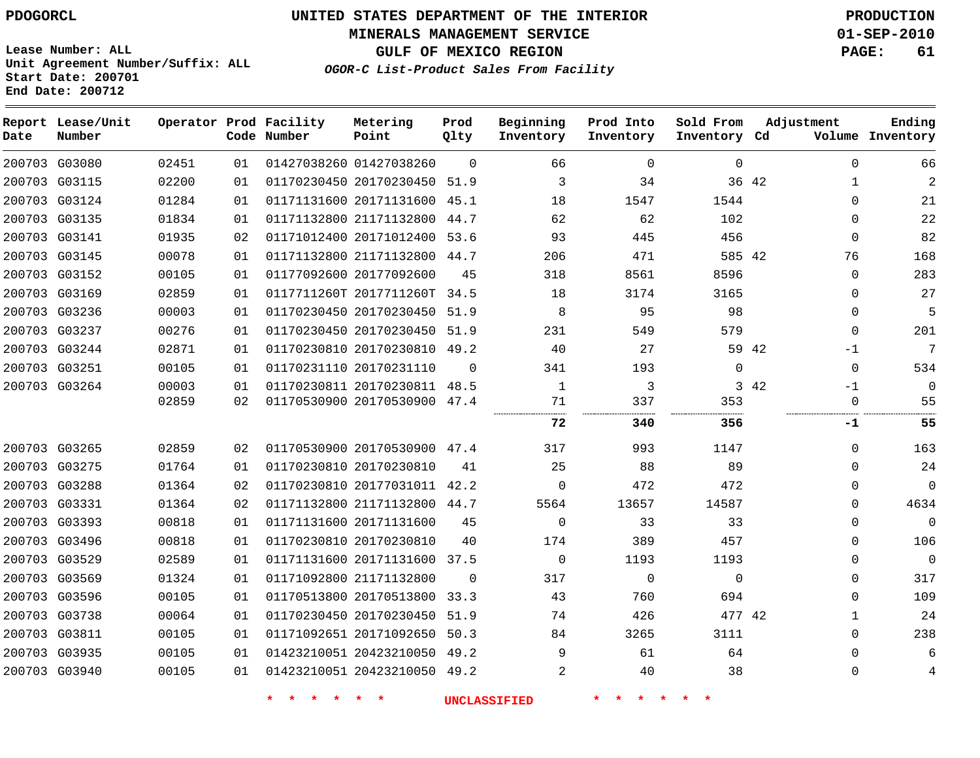**MINERALS MANAGEMENT SERVICE 01-SEP-2010**

**GULF OF MEXICO REGION PAGE: 61**

**Lease Number: ALL Unit Agreement Number/Suffix: ALL Start Date: 200701 End Date: 200712**

**OGOR-C List-Product Sales From Facility**

| Date | Report Lease/Unit<br>Number |       |    | Operator Prod Facility<br>Code Number | Metering<br>Point            | Prod<br>Qlty | Beginning<br>Inventory | Prod Into<br>Inventory | Sold From<br>Inventory Cd | Adjustment | Ending<br>Volume Inventory  |
|------|-----------------------------|-------|----|---------------------------------------|------------------------------|--------------|------------------------|------------------------|---------------------------|------------|-----------------------------|
|      | 200703 G03080               | 02451 | 01 |                                       | 01427038260 01427038260      | $\Omega$     | 66                     | $\mathbf 0$            | $\mathbf 0$               |            | 66<br>$\mathbf 0$           |
|      | 200703 G03115               | 02200 | 01 |                                       | 01170230450 20170230450 51.9 |              | 3                      | 34                     |                           | 36 42      | $\overline{2}$<br>1         |
|      | 200703 G03124               | 01284 | 01 |                                       | 01171131600 20171131600      | 45.1         | 18                     | 1547                   | 1544                      |            | $\Omega$<br>21              |
|      | 200703 G03135               | 01834 | 01 |                                       | 01171132800 21171132800      | 44.7         | 62                     | 62                     | 102                       |            | 22<br>$\Omega$              |
|      | 200703 G03141               | 01935 | 02 |                                       | 01171012400 20171012400      | 53.6         | 93                     | 445                    | 456                       |            | 82<br>$\Omega$              |
|      | 200703 G03145               | 00078 | 01 |                                       | 01171132800 21171132800      | 44.7         | 206                    | 471                    | 585 42                    |            | 168<br>76                   |
|      | 200703 G03152               | 00105 | 01 |                                       | 01177092600 20177092600      | 45           | 318                    | 8561                   | 8596                      |            | 283<br>$\mathbf 0$          |
|      | 200703 G03169               | 02859 | 01 |                                       | 0117711260T 2017711260T      | 34.5         | 18                     | 3174                   | 3165                      |            | 27<br>$\mathbf 0$           |
|      | 200703 G03236               | 00003 | 01 |                                       | 01170230450 20170230450 51.9 |              | 8                      | 95                     | 98                        |            | 5<br>$\Omega$               |
|      | 200703 G03237               | 00276 | 01 |                                       | 01170230450 20170230450 51.9 |              | 231                    | 549                    | 579                       |            | 201<br>$\Omega$             |
|      | 200703 G03244               | 02871 | 01 |                                       | 01170230810 20170230810 49.2 |              | 40                     | 27                     |                           | 59 42      | 7<br>$-1$                   |
|      | 200703 G03251               | 00105 | 01 |                                       | 01170231110 20170231110      | $\Omega$     | 341                    | 193                    | $\Omega$                  |            | 534<br>$\Omega$             |
|      | 200703 G03264               | 00003 | 01 |                                       | 01170230811 20170230811      | 48.5         | 1                      | 3                      |                           | 3 42       | $-1$<br>$\Omega$            |
|      |                             | 02859 | 02 |                                       | 01170530900 20170530900      | 47.4         | 71                     | 337                    | 353                       |            | 55<br>$\mathbf 0$           |
|      |                             |       |    |                                       |                              |              | 72                     | 340                    | 356                       |            | 55<br>$-1$                  |
|      | 200703 G03265               | 02859 | 02 |                                       | 01170530900 20170530900 47.4 |              | 317                    | 993                    | 1147                      |            | 163<br>$\Omega$             |
|      | 200703 G03275               | 01764 | 01 |                                       | 01170230810 20170230810      | 41           | 25                     | 88                     | 89                        |            | 24<br>$\Omega$              |
|      | 200703 G03288               | 01364 | 02 |                                       | 01170230810 20177031011 42.2 |              | $\mathbf 0$            | 472                    | 472                       |            | $\mathbf{0}$<br>$\Omega$    |
|      | 200703 G03331               | 01364 | 02 |                                       | 01171132800 21171132800 44.7 |              | 5564                   | 13657                  | 14587                     |            | 4634<br>$\Omega$            |
|      | 200703 G03393               | 00818 | 01 |                                       | 01171131600 20171131600      | 45           | $\mathbf 0$            | 33                     | 33                        |            | $\mathbf 0$<br>$\mathbf{0}$ |
|      | 200703 G03496               | 00818 | 01 |                                       | 01170230810 20170230810      | 40           | 174                    | 389                    | 457                       |            | 106<br>$\Omega$             |
|      | 200703 G03529               | 02589 | 01 |                                       | 01171131600 20171131600      | 37.5         | $\Omega$               | 1193                   | 1193                      |            | $\Omega$<br>$\Omega$        |
|      | 200703 G03569               | 01324 | 01 |                                       | 01171092800 21171132800      | $\Omega$     | 317                    | $\Omega$               | $\Omega$                  |            | 317<br>$\Omega$             |
|      | 200703 G03596               | 00105 | 01 |                                       | 01170513800 20170513800      | 33.3         | 43                     | 760                    | 694                       |            | 109<br>$\Omega$             |
|      | 200703 G03738               | 00064 | 01 |                                       | 01170230450 20170230450      | 51.9         | 74                     | 426                    | 477 42                    |            | 24<br>1                     |
|      | 200703 G03811               | 00105 | 01 |                                       | 01171092651 20171092650 50.3 |              | 84                     | 3265                   | 3111                      |            | 238<br>$\Omega$             |
|      | 200703 G03935               | 00105 | 01 |                                       | 01423210051 20423210050      | 49.2         | 9                      | 61                     | 64                        |            | 6<br>$\Omega$               |
|      | 200703 G03940               | 00105 | 01 |                                       | 01423210051 20423210050 49.2 |              | 2                      | 40                     | 38                        |            | $\Omega$<br>4               |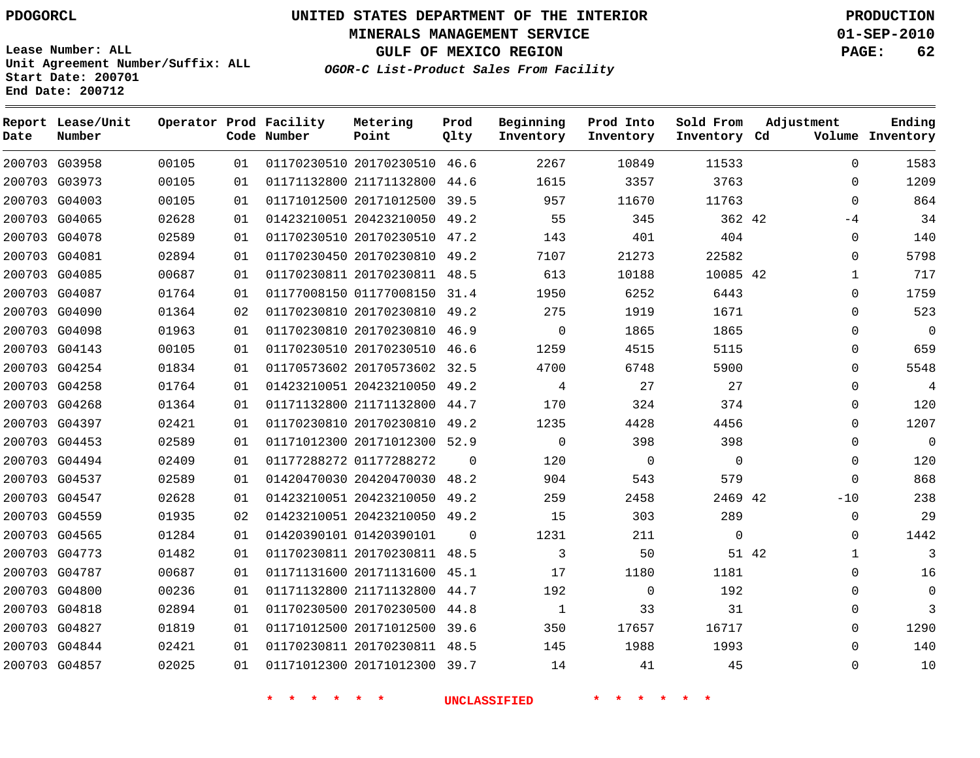**Start Date: 200701 End Date: 200712**

**Unit Agreement Number/Suffix: ALL**

# **UNITED STATES DEPARTMENT OF THE INTERIOR PDOGORCL PRODUCTION**

**MINERALS MANAGEMENT SERVICE 01-SEP-2010**

**GULF OF MEXICO REGION PAGE: 62**

**OGOR-C List-Product Sales From Facility**

 G03958 G03973 G04003 G04065 G04078 G04081 G04085 G04087 G04090 G04098 G04143 G04254 G04258 G04268 G04397 G04453 G04494 G04537 G04547 G04559 G04565 G04773 G04787 G04800 G04818 G04827 G04844 G04857 **Report Lease/Unit Date Number Operator Prod Facility Code Number** 20170230510 46.6 21171132800 20171012500 39.5 20423210050 49.2 20170230510 47.2 20170230810 49.2 20170230811 48.5 01177008150 31.4 20170230810 49.2 20170230810 46.9 20170230510 46.6 20170573602 32.5 20423210050 49.2 21171132800 44.7 20170230810 49.2 20171012300 52.9 01177288272 20420470030 48.2 20423210050 49.2 20423210050 49.2 01420390101 20170230811 48.5 20171131600 45.1 21171132800 44.7 20170230500 44.8 20171012500 39.6 20170230811 48.5 20171012300 39.7 **Metering Point** 42 42 2469 42 42 44.6  $\Omega$  $\Omega$ **Prod Qlty**  $\Omega$  **Beginning Inventory**  $\Omega$   $\Omega$  **Ending Inventory Cd Volume**  $\Omega$   $\Omega$  **Prod Into Inventory**  $\Omega$   $\Omega$  **Sold From Inventory**  $\Omega$  $\Omega$  $\cap$  $-4$  $\Omega$  $\Omega$   $\Omega$   $\Omega$   $\Omega$  $\Omega$   $\Omega$   $\Omega$  $\Omega$  $-10$  $\Omega$  $\Omega$   $\Omega$  $\Omega$  $\Omega$  $\Omega$  $\Omega$  $\Omega$ **Adjustment**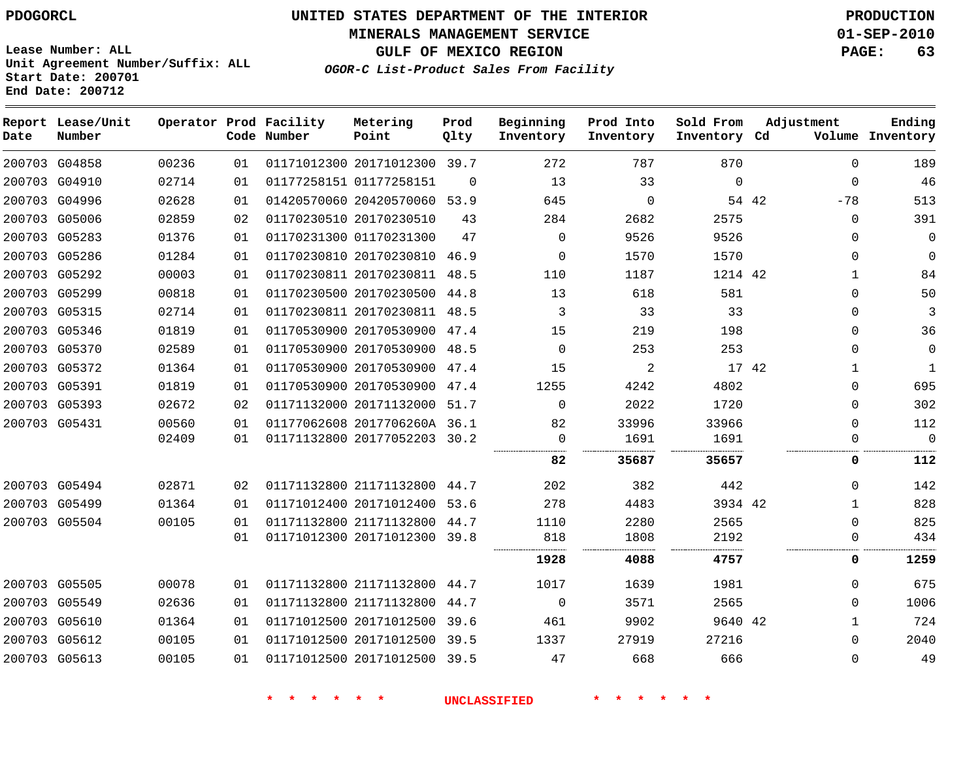**MINERALS MANAGEMENT SERVICE 01-SEP-2010**

**GULF OF MEXICO REGION PAGE: 63**

**Lease Number: ALL Unit Agreement Number/Suffix: ALL Start Date: 200701 End Date: 200712**

**OGOR-C List-Product Sales From Facility**

| Date | Report Lease/Unit<br>Number |       |    | Operator Prod Facility<br>Code Number | Metering<br>Point            | Prod<br>Qlty | Beginning<br>Inventory | Prod Into<br>Inventory | Sold From<br>Inventory Cd | Adjustment   | Ending<br>Volume Inventory |
|------|-----------------------------|-------|----|---------------------------------------|------------------------------|--------------|------------------------|------------------------|---------------------------|--------------|----------------------------|
|      | 200703 G04858               | 00236 | 01 |                                       | 01171012300 20171012300 39.7 |              | 272                    | 787                    | 870                       | $\mathbf{0}$ | 189                        |
|      | 200703 G04910               | 02714 | 01 |                                       | 01177258151 01177258151      | $\Omega$     | 13                     | 33                     | $\mathbf 0$               | $\mathbf 0$  | 46                         |
|      | 200703 G04996               | 02628 | 01 |                                       | 01420570060 20420570060 53.9 |              | 645                    | $\mathbf 0$            | 54 42                     | $-78$        | 513                        |
|      | 200703 G05006               | 02859 | 02 |                                       | 01170230510 20170230510      | 43           | 284                    | 2682                   | 2575                      | $\mathbf 0$  | 391                        |
|      | 200703 G05283               | 01376 | 01 |                                       | 01170231300 01170231300      | 47           | $\Omega$               | 9526                   | 9526                      | $\Omega$     | $\mathbf 0$                |
|      | 200703 G05286               | 01284 | 01 |                                       | 01170230810 20170230810 46.9 |              | $\Omega$               | 1570                   | 1570                      | $\Omega$     | $\mathbf 0$                |
|      | 200703 G05292               | 00003 | 01 |                                       | 01170230811 20170230811 48.5 |              | 110                    | 1187                   | 1214 42                   | $\mathbf{1}$ | 84                         |
|      | 200703 G05299               | 00818 | 01 |                                       | 01170230500 20170230500 44.8 |              | 13                     | 618                    | 581                       | $\Omega$     | 50                         |
|      | 200703 G05315               | 02714 | 01 |                                       | 01170230811 20170230811 48.5 |              | 3                      | 33                     | 33                        | $\Omega$     | 3                          |
|      | 200703 G05346               | 01819 | 01 |                                       | 01170530900 20170530900 47.4 |              | 15                     | 219                    | 198                       | $\Omega$     | 36                         |
|      | 200703 G05370               | 02589 | 01 |                                       | 01170530900 20170530900 48.5 |              | $\Omega$               | 253                    | 253                       | $\Omega$     | $\mathbf 0$                |
|      | 200703 G05372               | 01364 | 01 |                                       | 01170530900 20170530900 47.4 |              | 15                     | 2                      | 17 42                     | $\mathbf{1}$ | $\mathbf{1}$               |
|      | 200703 G05391               | 01819 | 01 |                                       | 01170530900 20170530900 47.4 |              | 1255                   | 4242                   | 4802                      | $\Omega$     | 695                        |
|      | 200703 G05393               | 02672 | 02 |                                       | 01171132000 20171132000 51.7 |              | $\Omega$               | 2022                   | 1720                      | $\Omega$     | 302                        |
|      | 200703 G05431               | 00560 | 01 |                                       | 01177062608 2017706260A 36.1 |              | 82                     | 33996                  | 33966                     | $\Omega$     | 112                        |
|      |                             | 02409 | 01 |                                       | 01171132800 20177052203 30.2 |              | $\mathbf 0$            | 1691                   | 1691                      | $\Omega$     | $\mathbf{0}$               |
|      |                             |       |    |                                       |                              |              | 82                     | 35687                  | 35657                     | 0            | 112                        |
|      | 200703 G05494               | 02871 | 02 |                                       | 01171132800 21171132800 44.7 |              | 202                    | 382                    | 442                       | 0            | 142                        |
|      | 200703 G05499               | 01364 | 01 |                                       | 01171012400 20171012400 53.6 |              | 278                    | 4483                   | 3934 42                   | 1            | 828                        |
|      | 200703 G05504               | 00105 | 01 |                                       | 01171132800 21171132800 44.7 |              | 1110                   | 2280                   | 2565                      | 0            | 825                        |
|      |                             |       | 01 |                                       | 01171012300 20171012300 39.8 |              | 818                    | 1808                   | 2192                      | 0            | 434                        |
|      |                             |       |    |                                       |                              |              | 1928                   | 4088                   | 4757                      | 0            | 1259                       |
|      | 200703 G05505               | 00078 | 01 |                                       | 01171132800 21171132800 44.7 |              | 1017                   | 1639                   | 1981                      | $\Omega$     | 675                        |
|      | 200703 G05549               | 02636 | 01 |                                       | 01171132800 21171132800 44.7 |              | $\overline{0}$         | 3571                   | 2565                      | $\Omega$     | 1006                       |
|      | 200703 G05610               | 01364 | 01 |                                       | 01171012500 20171012500 39.6 |              | 461                    | 9902                   | 9640 42                   | $\mathbf{1}$ | 724                        |
|      | 200703 G05612               | 00105 | 01 |                                       | 01171012500 20171012500 39.5 |              | 1337                   | 27919                  | 27216                     | $\Omega$     | 2040                       |
|      | 200703 G05613               | 00105 | 01 |                                       | 01171012500 20171012500 39.5 |              | 47                     | 668                    | 666                       | $\Omega$     | 49                         |
|      |                             |       |    |                                       |                              |              |                        |                        |                           |              |                            |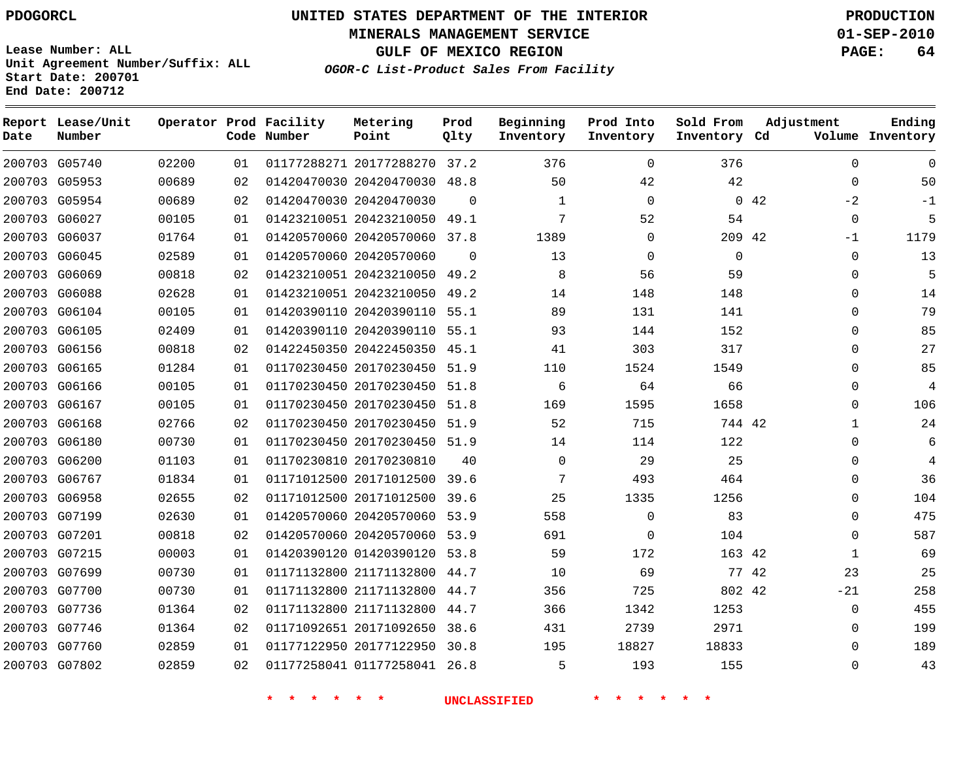**Start Date: 200701 End Date: 200712**

**Unit Agreement Number/Suffix: ALL**

# **UNITED STATES DEPARTMENT OF THE INTERIOR PDOGORCL PRODUCTION**

**MINERALS MANAGEMENT SERVICE 01-SEP-2010**

**GULF OF MEXICO REGION PAGE: 64**

**OGOR-C List-Product Sales From Facility**

| Date   | Report Lease/Unit<br>Number |       |    | Operator Prod Facility<br>Code Number | Metering<br>Point            | Prod<br>Qlty | Beginning<br>Inventory | Prod Into<br>Inventory | Sold From<br>Inventory Cd | Adjustment   | Ending<br>Volume Inventory |
|--------|-----------------------------|-------|----|---------------------------------------|------------------------------|--------------|------------------------|------------------------|---------------------------|--------------|----------------------------|
|        | 200703 G05740               | 02200 | 01 |                                       | 01177288271 20177288270 37.2 |              | 376                    | $\Omega$               | 376                       | $\mathbf 0$  | $\mathbf 0$                |
| 200703 | G05953                      | 00689 | 02 |                                       | 01420470030 20420470030      | 48.8         | 50                     | 42                     | 42                        | $\Omega$     | 50                         |
|        | 200703 G05954               | 00689 | 02 |                                       | 01420470030 20420470030      | $\Omega$     | 1                      | $\Omega$               |                           | 0.42<br>$-2$ | $-1$                       |
| 200703 | G06027                      | 00105 | 01 |                                       | 01423210051 20423210050      | 49.1         | 7                      | 52                     | 54                        | $\mathbf 0$  | 5                          |
|        | 200703 G06037               | 01764 | 01 |                                       | 01420570060 20420570060 37.8 |              | 1389                   | $\Omega$               | 209 42                    | $-1$         | 1179                       |
| 200703 | G06045                      | 02589 | 01 |                                       | 01420570060 20420570060      | $\Omega$     | 13                     | $\Omega$               | $\mathbf 0$               | $\mathbf 0$  | 13                         |
|        | 200703 G06069               | 00818 | 02 |                                       | 01423210051 20423210050      | 49.2         | 8                      | 56                     | 59                        | $\mathbf 0$  | 5                          |
| 200703 | G06088                      | 02628 | 01 |                                       | 01423210051 20423210050      | 49.2         | 14                     | 148                    | 148                       | $\Omega$     | 14                         |
| 200703 | G06104                      | 00105 | 01 |                                       | 01420390110 20420390110      | 55.1         | 89                     | 131                    | 141                       | $\mathbf 0$  | 79                         |
| 200703 | G06105                      | 02409 | 01 |                                       | 01420390110 20420390110      | 55.1         | 93                     | 144                    | 152                       | 0            | 85                         |
| 200703 | G06156                      | 00818 | 02 |                                       | 01422450350 20422450350      | 45.1         | 41                     | 303                    | 317                       | $\Omega$     | 27                         |
| 200703 | G06165                      | 01284 | 01 |                                       | 01170230450 20170230450      | 51.9         | 110                    | 1524                   | 1549                      | 0            | 85                         |
| 200703 | G06166                      | 00105 | 01 |                                       | 01170230450 20170230450      | 51.8         | 6                      | 64                     | 66                        | 0            | $\overline{4}$             |
|        | 200703 G06167               | 00105 | 01 |                                       | 01170230450 20170230450      | 51.8         | 169                    | 1595                   | 1658                      | $\Omega$     | 106                        |
| 200703 | G06168                      | 02766 | 02 |                                       | 01170230450 20170230450      | 51.9         | 52                     | 715                    | 744 42                    | 1            | 24                         |
|        | 200703 G06180               | 00730 | 01 |                                       | 01170230450 20170230450      | 51.9         | 14                     | 114                    | 122                       | $\mathbf 0$  | 6                          |
| 200703 | G06200                      | 01103 | 01 |                                       | 01170230810 20170230810      | 40           | 0                      | 29                     | 25                        | $\mathbf 0$  | 4                          |
|        | 200703 G06767               | 01834 | 01 |                                       | 01171012500 20171012500 39.6 |              | 7                      | 493                    | 464                       | 0            | 36                         |
| 200703 | G06958                      | 02655 | 02 |                                       | 01171012500 20171012500      | 39.6         | 25                     | 1335                   | 1256                      | $\mathbf 0$  | 104                        |
|        | 200703 G07199               | 02630 | 01 |                                       | 01420570060 20420570060      | 53.9         | 558                    | $\Omega$               | 83                        | $\Omega$     | 475                        |
|        | 200703 G07201               | 00818 | 02 |                                       | 01420570060 20420570060      | 53.9         | 691                    | $\Omega$               | 104                       | $\Omega$     | 587                        |
|        | 200703 G07215               | 00003 | 01 |                                       | 01420390120 01420390120      | 53.8         | 59                     | 172                    | 163 42                    | 1            | 69                         |
| 200703 | G07699                      | 00730 | 01 |                                       | 01171132800 21171132800      | 44.7         | 10                     | 69                     |                           | 77 42<br>23  | 25                         |
| 200703 | G07700                      | 00730 | 01 |                                       | 01171132800 21171132800      | 44.7         | 356                    | 725                    | 802 42                    | $-21$        | 258                        |
| 200703 | G07736                      | 01364 | 02 |                                       | 01171132800 21171132800      | 44.7         | 366                    | 1342                   | 1253                      | $\Omega$     | 455                        |
| 200703 | G07746                      | 01364 | 02 |                                       | 01171092651 20171092650      | 38.6         | 431                    | 2739                   | 2971                      | $\mathbf 0$  | 199                        |
|        | 200703 G07760               | 02859 | 01 |                                       | 01177122950 20177122950      | 30.8         | 195                    | 18827                  | 18833                     | 0            | 189                        |
|        | 200703 G07802               | 02859 | 02 |                                       | 01177258041 01177258041      | 26.8         | 5                      | 193                    | 155                       | $\Omega$     | 43                         |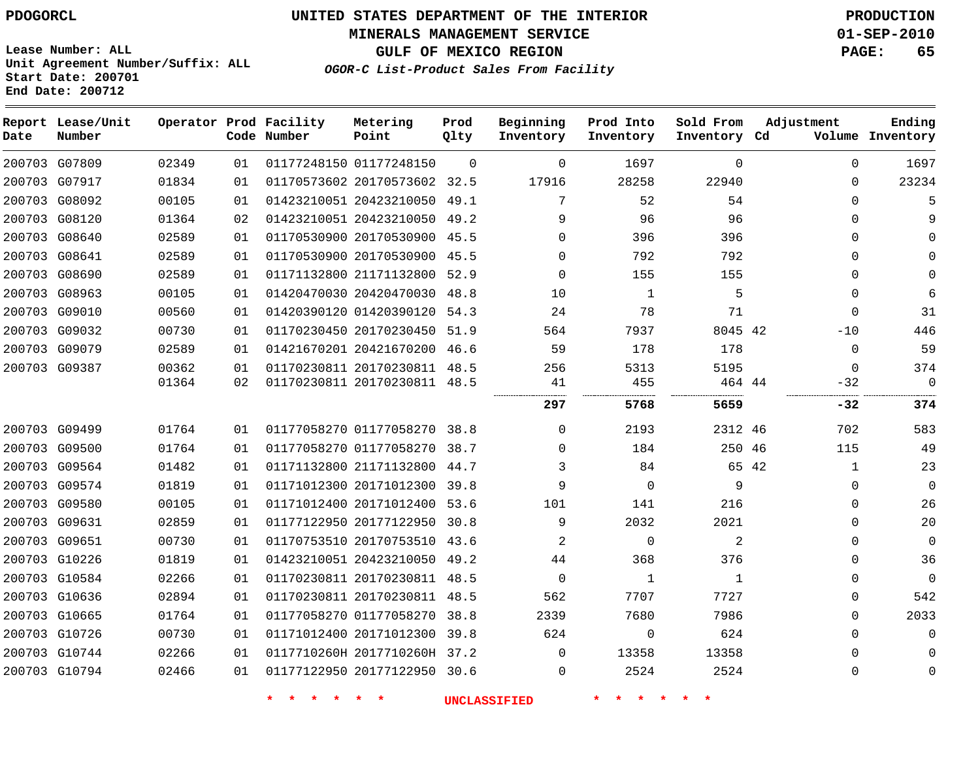# **UNITED STATES DEPARTMENT OF THE INTERIOR PDOGORCL PRODUCTION**

**MINERALS MANAGEMENT SERVICE 01-SEP-2010**

**GULF OF MEXICO REGION PAGE: 65**

**Unit Agreement Number/Suffix: ALL Start Date: 200701 End Date: 200712**

**OGOR-C List-Product Sales From Facility**

| Date | Report Lease/Unit<br>Number |       |    | Operator Prod Facility<br>Code Number | Metering<br>Point            | Prod<br>Qlty | Beginning<br>Inventory | Prod Into<br>Inventory | Sold From<br>Inventory Cd | Adjustment   | Ending<br>Volume Inventory |
|------|-----------------------------|-------|----|---------------------------------------|------------------------------|--------------|------------------------|------------------------|---------------------------|--------------|----------------------------|
|      | 200703 G07809               | 02349 | 01 |                                       | 01177248150 01177248150      | $\Omega$     | $\Omega$               | 1697                   | $\Omega$                  | $\Omega$     | 1697                       |
|      | 200703 G07917               | 01834 | 01 |                                       | 01170573602 20170573602 32.5 |              | 17916                  | 28258                  | 22940                     | $\Omega$     | 23234                      |
|      | 200703 G08092               | 00105 | 01 |                                       | 01423210051 20423210050 49.1 |              | 7                      | 52                     | 54                        | $\Omega$     | 5                          |
|      | 200703 G08120               | 01364 | 02 |                                       | 01423210051 20423210050 49.2 |              | 9                      | 96                     | 96                        | $\Omega$     | 9                          |
|      | 200703 G08640               | 02589 | 01 |                                       | 01170530900 20170530900 45.5 |              | $\Omega$               | 396                    | 396                       | $\Omega$     | $\Omega$                   |
|      | 200703 G08641               | 02589 | 01 |                                       | 01170530900 20170530900 45.5 |              | $\Omega$               | 792                    | 792                       | $\Omega$     | $\Omega$                   |
|      | 200703 G08690               | 02589 | 01 |                                       | 01171132800 21171132800 52.9 |              | $\Omega$               | 155                    | 155                       | $\Omega$     | $\Omega$                   |
|      | 200703 G08963               | 00105 | 01 |                                       | 01420470030 20420470030      | 48.8         | 10                     | 1                      | 5                         | $\Omega$     | 6                          |
|      | 200703 G09010               | 00560 | 01 |                                       | 01420390120 01420390120      | 54.3         | 24                     | 78                     | 71                        | $\Omega$     | 31                         |
|      | 200703 G09032               | 00730 | 01 |                                       | 01170230450 20170230450 51.9 |              | 564                    | 7937                   | 8045 42                   | $-10$        | 446                        |
|      | 200703 G09079               | 02589 | 01 |                                       | 01421670201 20421670200 46.6 |              | 59                     | 178                    | 178                       | $\Omega$     | 59                         |
|      | 200703 G09387               | 00362 | 01 |                                       | 01170230811 20170230811 48.5 |              | 256                    | 5313                   | 5195                      | $\Omega$     | 374                        |
|      |                             | 01364 | 02 |                                       | 01170230811 20170230811 48.5 |              | 41                     | 455                    | 464 44                    | $-32$        | $\Omega$                   |
|      |                             |       |    |                                       |                              |              | 297                    | 5768                   | 5659                      | -32          | 374                        |
|      | 200703 G09499               | 01764 | 01 |                                       | 01177058270 01177058270 38.8 |              | $\Omega$               | 2193                   | 2312 46                   | 702          | 583                        |
|      | 200703 G09500               | 01764 | 01 |                                       | 01177058270 01177058270 38.7 |              | $\Omega$               | 184                    | 250 46                    | 115          | 49                         |
|      | 200703 G09564               | 01482 | 01 |                                       | 01171132800 21171132800 44.7 |              | 3                      | 84                     | 65 42                     | $\mathbf{1}$ | 23                         |
|      | 200703 G09574               | 01819 | 01 |                                       | 01171012300 20171012300 39.8 |              | 9                      | $\Omega$               | 9                         | $\Omega$     | $\overline{0}$             |
|      | 200703 G09580               | 00105 | 01 |                                       | 01171012400 20171012400 53.6 |              | 101                    | 141                    | 216                       | $\Omega$     | 26                         |
|      | 200703 G09631               | 02859 | 01 |                                       | 01177122950 20177122950      | 30.8         | 9                      | 2032                   | 2021                      | $\Omega$     | 20                         |
|      | 200703 G09651               | 00730 | 01 |                                       | 01170753510 20170753510 43.6 |              | 2                      | $\Omega$               | 2                         | $\Omega$     | $\mathbf 0$                |
|      | 200703 G10226               | 01819 | 01 |                                       | 01423210051 20423210050 49.2 |              | 44                     | 368                    | 376                       | $\Omega$     | 36                         |
|      | 200703 G10584               | 02266 | 01 |                                       | 01170230811 20170230811 48.5 |              | $\mathbf 0$            | 1                      | 1                         | $\Omega$     | $\Omega$                   |
|      | 200703 G10636               | 02894 | 01 |                                       | 01170230811 20170230811 48.5 |              | 562                    | 7707                   | 7727                      | $\Omega$     | 542                        |
|      | 200703 G10665               | 01764 | 01 |                                       | 01177058270 01177058270      | 38.8         | 2339                   | 7680                   | 7986                      | $\Omega$     | 2033                       |
|      | 200703 G10726               | 00730 | 01 |                                       | 01171012400 20171012300 39.8 |              | 624                    | $\mathbf 0$            | 624                       | $\Omega$     | $\mathbf{0}$               |
|      | 200703 G10744               | 02266 | 01 |                                       | 0117710260H 2017710260H 37.2 |              | $\Omega$               | 13358                  | 13358                     | $\Omega$     | $\mathbf 0$                |
|      | 200703 G10794               | 02466 | 01 |                                       | 01177122950 20177122950 30.6 |              | $\Omega$               | 2524                   | 2524                      | $\mathbf{0}$ | $\mathbf 0$                |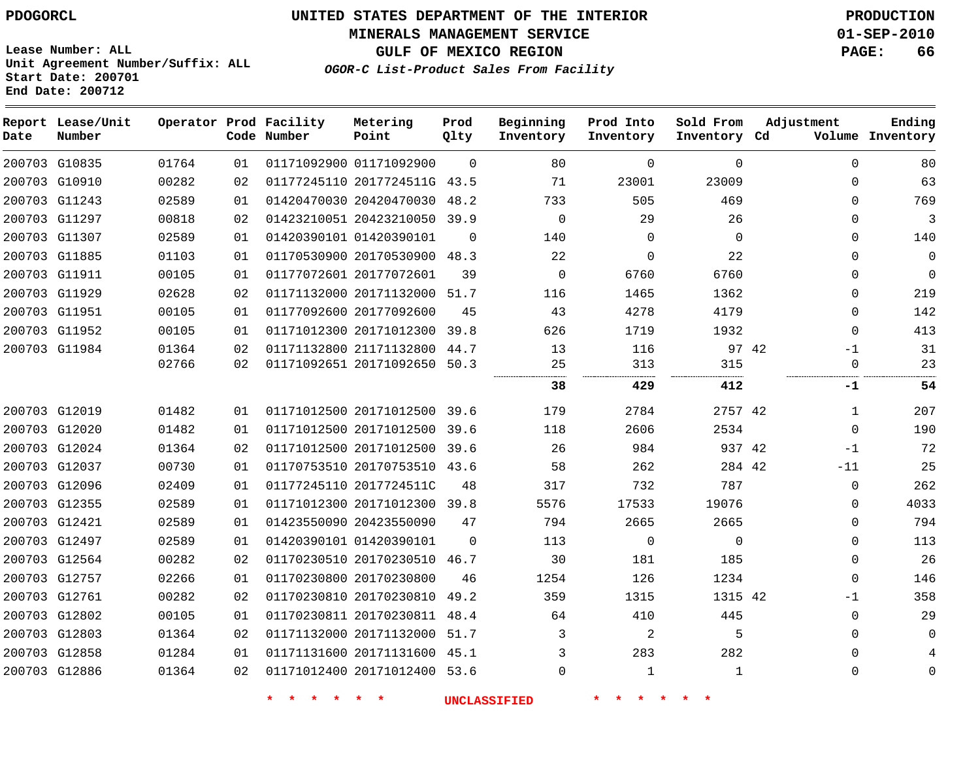**MINERALS MANAGEMENT SERVICE 01-SEP-2010**

**GULF OF MEXICO REGION PAGE: 66**

**Lease Number: ALL Unit Agreement Number/Suffix: ALL Start Date: 200701 End Date: 200712**

**OGOR-C List-Product Sales From Facility**

| Date          | Report Lease/Unit<br>Number |       |    | Operator Prod Facility<br>Code Number | Metering<br>Point            | Prod<br>Qlty | Beginning<br>Inventory | Prod Into<br>Inventory | Sold From<br>Inventory Cd | Adjustment | Ending<br>Volume Inventory |
|---------------|-----------------------------|-------|----|---------------------------------------|------------------------------|--------------|------------------------|------------------------|---------------------------|------------|----------------------------|
|               | 200703 G10835               | 01764 | 01 |                                       | 01171092900 01171092900      | $\Omega$     | 80                     | $\Omega$               | $\Omega$                  |            | $\Omega$<br>80             |
|               | 200703 G10910               | 00282 | 02 |                                       | 01177245110 2017724511G 43.5 |              | 71                     | 23001                  | 23009                     |            | 63<br>$\Omega$             |
|               | 200703 G11243               | 02589 | 01 |                                       | 01420470030 20420470030      | 48.2         | 733                    | 505                    | 469                       |            | 769<br>0                   |
|               | 200703 G11297               | 00818 | 02 |                                       | 01423210051 20423210050 39.9 |              | $\mathbf{0}$           | 29                     | 26                        |            | 3<br>0                     |
|               | 200703 G11307               | 02589 | 01 |                                       | 01420390101 01420390101      | $\Omega$     | 140                    | $\Omega$               | $\Omega$                  |            | 140<br>$\Omega$            |
|               | 200703 G11885               | 01103 | 01 |                                       | 01170530900 20170530900 48.3 |              | 22                     | 0                      | 22                        |            | $\Omega$<br>0              |
| 200703 G11911 |                             | 00105 | 01 |                                       | 01177072601 20177072601      | 39           | $\mathbf 0$            | 6760                   | 6760                      |            | 0<br>$\Omega$              |
|               | 200703 G11929               | 02628 | 02 |                                       | 01171132000 20171132000      | 51.7         | 116                    | 1465                   | 1362                      |            | 219<br>$\Omega$            |
|               | 200703 G11951               | 00105 | 01 |                                       | 01177092600 20177092600      | 45           | 43                     | 4278                   | 4179                      |            | 142<br>$\Omega$            |
|               | 200703 G11952               | 00105 | 01 |                                       | 01171012300 20171012300      | 39.8         | 626                    | 1719                   | 1932                      |            | 413<br>$\Omega$            |
|               | 200703 G11984               | 01364 | 02 |                                       | 01171132800 21171132800      | 44.7         | 13                     | 116                    | 97 42                     |            | 31<br>$-1$                 |
|               |                             | 02766 | 02 |                                       | 01171092651 20171092650 50.3 |              | 25                     | 313                    | 315                       |            | 23<br>0                    |
|               |                             |       |    |                                       |                              |              | 38                     | 429                    | 412                       |            | 54<br>-1                   |
|               | 200703 G12019               | 01482 | 01 |                                       | 01171012500 20171012500 39.6 |              | 179                    | 2784                   | 2757 42                   |            | 207<br>1                   |
|               | 200703 G12020               | 01482 | 01 |                                       | 01171012500 20171012500      | 39.6         | 118                    | 2606                   | 2534                      |            | 190<br>$\mathbf 0$         |
|               | 200703 G12024               | 01364 | 02 |                                       | 01171012500 20171012500 39.6 |              | 26                     | 984                    | 937 42                    |            | 72<br>$-1$                 |
|               | 200703 G12037               | 00730 | 01 |                                       | 01170753510 20170753510 43.6 |              | 58                     | 262                    | 284 42                    | $-11$      | 25                         |
|               | 200703 G12096               | 02409 | 01 |                                       | 01177245110 2017724511C      | 48           | 317                    | 732                    | 787                       |            | 262<br>0                   |
|               | 200703 G12355               | 02589 | 01 |                                       | 01171012300 20171012300 39.8 |              | 5576                   | 17533                  | 19076                     |            | 4033<br>$\Omega$           |
| 200703 G12421 |                             | 02589 | 01 |                                       | 01423550090 20423550090      | 47           | 794                    | 2665                   | 2665                      |            | 794<br>0                   |
|               | 200703 G12497               | 02589 | 01 |                                       | 01420390101 01420390101      | $\mathbf 0$  | 113                    | 0                      | $\mathbf 0$               |            | 113<br>0                   |
|               | 200703 G12564               | 00282 | 02 |                                       | 01170230510 20170230510 46.7 |              | 30                     | 181                    | 185                       |            | 26<br>0                    |
|               | 200703 G12757               | 02266 | 01 |                                       | 01170230800 20170230800      | 46           | 1254                   | 126                    | 1234                      |            | 146<br>$\Omega$            |
|               | 200703 G12761               | 00282 | 02 |                                       | 01170230810 20170230810      | 49.2         | 359                    | 1315                   | 1315 42                   |            | 358<br>$-1$                |
|               | 200703 G12802               | 00105 | 01 |                                       | 01170230811 20170230811      | 48.4         | 64                     | 410                    | 445                       |            | 29<br>$\Omega$             |
|               | 200703 G12803               | 01364 | 02 |                                       | 01171132000 20171132000      | 51.7         | 3                      | 2                      | 5                         |            | 0<br>0                     |
|               | 200703 G12858               | 01284 | 01 |                                       | 01171131600 20171131600 45.1 |              | 3                      | 283                    | 282                       |            | $\Omega$                   |
|               | 200703 G12886               | 01364 | 02 |                                       | 01171012400 20171012400 53.6 |              | $\Omega$               | $\mathbf 1$            | 1                         |            | $\Omega$<br>0              |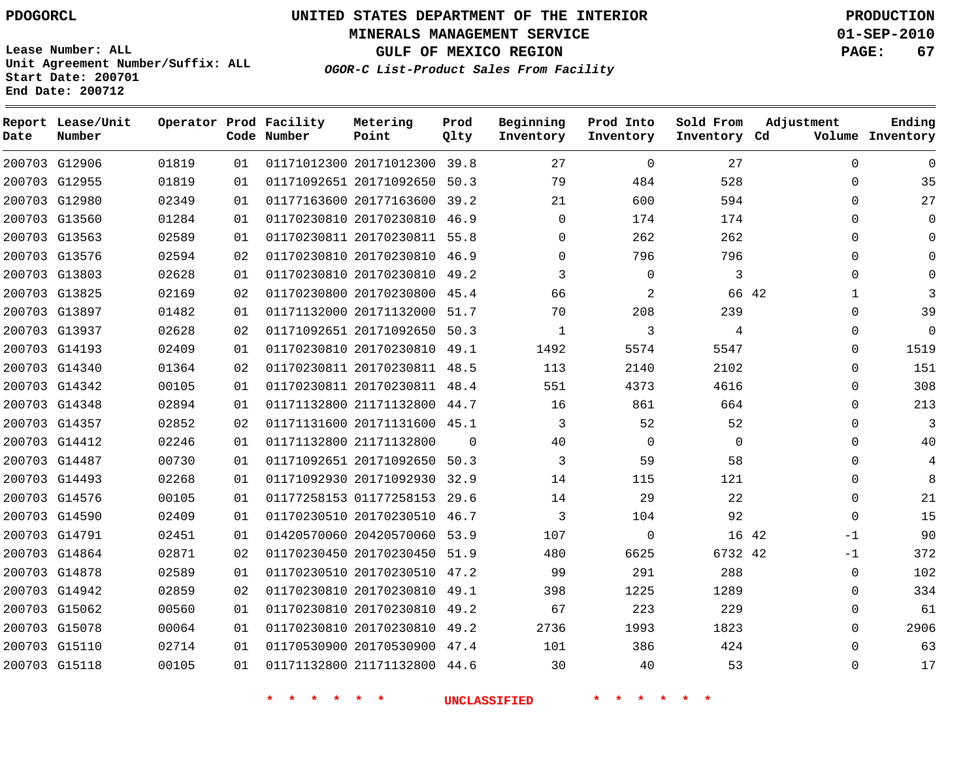**Report Lease/Unit**

# **UNITED STATES DEPARTMENT OF THE INTERIOR PDOGORCL PRODUCTION**

**MINERALS MANAGEMENT SERVICE 01-SEP-2010**

**GULF OF MEXICO REGION PAGE: 67**

**Lease Number: ALL Unit Agreement Number/Suffix: ALL Start Date: 200701 End Date: 200712**

**OGOR-C List-Product Sales From Facility**

**Prod**

**Ending**

| Date | Number        |       |    | Code Number | Point                        | Qlty     | Inventory    | Inventory   | Inventory Cd |       |             | Volume Inventory |
|------|---------------|-------|----|-------------|------------------------------|----------|--------------|-------------|--------------|-------|-------------|------------------|
|      | 200703 G12906 | 01819 | 01 |             | 01171012300 20171012300 39.8 |          | 27           | $\mathbf 0$ | 27           |       | $\Omega$    | $\mathbf 0$      |
|      | 200703 G12955 | 01819 | 01 |             | 01171092651 20171092650 50.3 |          | 79           | 484         | 528          |       | $\Omega$    | 35               |
|      | 200703 G12980 | 02349 | 01 |             | 01177163600 20177163600 39.2 |          | 21           | 600         | 594          |       | $\Omega$    | 27               |
|      | 200703 G13560 | 01284 | 01 |             | 01170230810 20170230810 46.9 |          | $\mathbf 0$  | 174         | 174          |       | $\Omega$    | $\mathbf 0$      |
|      | 200703 G13563 | 02589 | 01 |             | 01170230811 20170230811 55.8 |          | $\Omega$     | 262         | 262          |       | $\Omega$    | $\Omega$         |
|      | 200703 G13576 | 02594 | 02 |             | 01170230810 20170230810 46.9 |          | $\Omega$     | 796         | 796          |       | $\Omega$    | $\Omega$         |
|      | 200703 G13803 | 02628 | 01 |             | 01170230810 20170230810 49.2 |          | 3            | $\mathbf 0$ | 3            |       | $\Omega$    | $\Omega$         |
|      | 200703 G13825 | 02169 | 02 |             | 01170230800 20170230800 45.4 |          | 66           | 2           |              | 66 42 | 1           | 3                |
|      | 200703 G13897 | 01482 | 01 |             | 01171132000 20171132000 51.7 |          | 70           | 208         | 239          |       | $\mathbf 0$ | 39               |
|      | 200703 G13937 | 02628 | 02 |             | 01171092651 20171092650 50.3 |          | $\mathbf{1}$ | 3           | 4            |       | $\Omega$    | $\mathbf 0$      |
|      | 200703 G14193 | 02409 | 01 |             | 01170230810 20170230810 49.1 |          | 1492         | 5574        | 5547         |       | $\Omega$    | 1519             |
|      | 200703 G14340 | 01364 | 02 |             | 01170230811 20170230811 48.5 |          | 113          | 2140        | 2102         |       | $\Omega$    | 151              |
|      | 200703 G14342 | 00105 | 01 |             | 01170230811 20170230811 48.4 |          | 551          | 4373        | 4616         |       | $\Omega$    | 308              |
|      | 200703 G14348 | 02894 | 01 |             | 01171132800 21171132800 44.7 |          | 16           | 861         | 664          |       | $\Omega$    | 213              |
|      | 200703 G14357 | 02852 | 02 |             | 01171131600 20171131600 45.1 |          | 3            | 52          | 52           |       | $\Omega$    | 3                |
|      | 200703 G14412 | 02246 | 01 |             | 01171132800 21171132800      | $\Omega$ | 40           | $\mathbf 0$ | $\Omega$     |       | $\Omega$    | 40               |
|      | 200703 G14487 | 00730 | 01 |             | 01171092651 20171092650 50.3 |          | 3            | 59          | 58           |       | $\Omega$    | 4                |
|      | 200703 G14493 | 02268 | 01 |             | 01171092930 20171092930 32.9 |          | 14           | 115         | 121          |       | $\Omega$    | 8                |
|      | 200703 G14576 | 00105 | 01 |             | 01177258153 01177258153 29.6 |          | 14           | 29          | 22           |       | $\Omega$    | 21               |
|      | 200703 G14590 | 02409 | 01 |             | 01170230510 20170230510 46.7 |          | 3            | 104         | 92           |       | $\Omega$    | 15               |
|      | 200703 G14791 | 02451 | 01 |             | 01420570060 20420570060 53.9 |          | 107          | $\mathbf 0$ | 16 42        |       | $-1$        | 90               |
|      | 200703 G14864 | 02871 | 02 |             | 01170230450 20170230450 51.9 |          | 480          | 6625        | 6732 42      |       | $-1$        | 372              |
|      | 200703 G14878 | 02589 | 01 |             | 01170230510 20170230510 47.2 |          | 99           | 291         | 288          |       | $\Omega$    | 102              |
|      | 200703 G14942 | 02859 | 02 |             | 01170230810 20170230810 49.1 |          | 398          | 1225        | 1289         |       | $\Omega$    | 334              |
|      | 200703 G15062 | 00560 | 01 |             | 01170230810 20170230810 49.2 |          | 67           | 223         | 229          |       | $\Omega$    | 61               |
|      | 200703 G15078 | 00064 | 01 |             | 01170230810 20170230810 49.2 |          | 2736         | 1993        | 1823         |       | $\Omega$    | 2906             |
|      | 200703 G15110 | 02714 | 01 |             | 01170530900 20170530900 47.4 |          | 101          | 386         | 424          |       | $\mathbf 0$ | 63               |
|      | 200703 G15118 | 00105 | 01 |             | 01171132800 21171132800 44.6 |          | 30           | 40          | 53           |       | $\Omega$    | 17               |

**Operator Prod Facility Metering**

**\* \* \* \* \* \* UNCLASSIFIED \* \* \* \* \* \***

**Beginning Prod Into Sold From Adjustment**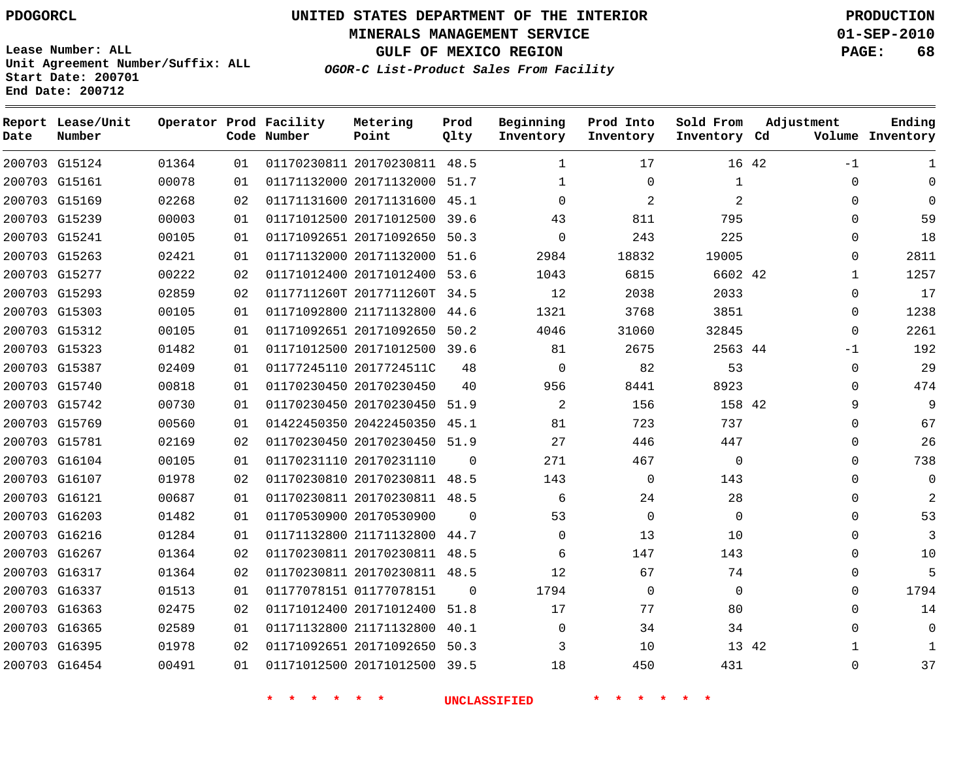**MINERALS MANAGEMENT SERVICE 01-SEP-2010**

**GULF OF MEXICO REGION PAGE: 68**

**Lease Number: ALL Unit Agreement Number/Suffix: ALL Start Date: 200701 End Date: 200712**

**OGOR-C List-Product Sales From Facility**

| Date | Report Lease/Unit<br>Number |       |    | Operator Prod Facility<br>Code Number | Metering<br>Point            | Prod<br>Qlty | Beginning<br>Inventory | Prod Into<br>Inventory | Sold From<br>Inventory Cd | Adjustment    | Ending<br>Volume Inventory |
|------|-----------------------------|-------|----|---------------------------------------|------------------------------|--------------|------------------------|------------------------|---------------------------|---------------|----------------------------|
|      | 200703 G15124               | 01364 | 01 |                                       | 01170230811 20170230811 48.5 |              | $\mathbf{1}$           | 17                     |                           | 16 42<br>$-1$ | $\mathbf{1}$               |
|      | 200703 G15161               | 00078 | 01 |                                       | 01171132000 20171132000 51.7 |              | 1                      | $\mathbf 0$            | $\mathbf{1}$              | 0             | $\Omega$                   |
|      | 200703 G15169               | 02268 | 02 |                                       | 01171131600 20171131600 45.1 |              | $\Omega$               | 2                      | 2                         | $\Omega$      | $\Omega$                   |
|      | 200703 G15239               | 00003 | 01 |                                       | 01171012500 20171012500      | 39.6         | 43                     | 811                    | 795                       | $\Omega$      | 59                         |
|      | 200703 G15241               | 00105 | 01 |                                       | 01171092651 20171092650 50.3 |              | $\Omega$               | 243                    | 225                       | 0             | 18                         |
|      | 200703 G15263               | 02421 | 01 |                                       | 01171132000 20171132000 51.6 |              | 2984                   | 18832                  | 19005                     | 0             | 2811                       |
|      | 200703 G15277               | 00222 | 02 |                                       | 01171012400 20171012400 53.6 |              | 1043                   | 6815                   | 6602 42                   | $\mathbf{1}$  | 1257                       |
|      | 200703 G15293               | 02859 | 02 |                                       | 0117711260T 2017711260T 34.5 |              | 12                     | 2038                   | 2033                      | 0             | 17                         |
|      | 200703 G15303               | 00105 | 01 |                                       | 01171092800 21171132800 44.6 |              | 1321                   | 3768                   | 3851                      | $\Omega$      | 1238                       |
|      | 200703 G15312               | 00105 | 01 |                                       | 01171092651 20171092650      | 50.2         | 4046                   | 31060                  | 32845                     | $\Omega$      | 2261                       |
|      | 200703 G15323               | 01482 | 01 |                                       | 01171012500 20171012500 39.6 |              | 81                     | 2675                   | 2563 44                   | $-1$          | 192                        |
|      | 200703 G15387               | 02409 | 01 |                                       | 01177245110 2017724511C      | 48           | $\mathbf 0$            | 82                     | 53                        | 0             | 29                         |
|      | 200703 G15740               | 00818 | 01 |                                       | 01170230450 20170230450      | 40           | 956                    | 8441                   | 8923                      | $\Omega$      | 474                        |
|      | 200703 G15742               | 00730 | 01 |                                       | 01170230450 20170230450      | 51.9         | $\overline{2}$         | 156                    | 158 42                    | 9             | 9                          |
|      | 200703 G15769               | 00560 | 01 |                                       | 01422450350 20422450350 45.1 |              | 81                     | 723                    | 737                       | $\Omega$      | 67                         |
|      | 200703 G15781               | 02169 | 02 |                                       | 01170230450 20170230450 51.9 |              | 27                     | 446                    | 447                       | $\Omega$      | 26                         |
|      | 200703 G16104               | 00105 | 01 |                                       | 01170231110 20170231110      | $\Omega$     | 271                    | 467                    | $\mathbf 0$               | 0             | 738                        |
|      | 200703 G16107               | 01978 | 02 |                                       | 01170230810 20170230811 48.5 |              | 143                    | $\mathbf 0$            | 143                       | $\Omega$      | $\Omega$                   |
|      | 200703 G16121               | 00687 | 01 |                                       | 01170230811 20170230811 48.5 |              | 6                      | 24                     | 28                        | $\Omega$      | $\overline{2}$             |
|      | 200703 G16203               | 01482 | 01 |                                       | 01170530900 20170530900      | $\Omega$     | 53                     | $\mathbf 0$            | $\mathbf 0$               | 0             | 53                         |
|      | 200703 G16216               | 01284 | 01 |                                       | 01171132800 21171132800      | 44.7         | $\Omega$               | 13                     | 10                        | $\Omega$      | 3                          |
|      | 200703 G16267               | 01364 | 02 |                                       | 01170230811 20170230811 48.5 |              | 6                      | 147                    | 143                       | $\Omega$      | 10                         |
|      | 200703 G16317               | 01364 | 02 |                                       | 01170230811 20170230811 48.5 |              | 12                     | 67                     | 74                        | 0             | 5                          |
|      | 200703 G16337               | 01513 | 01 |                                       | 01177078151 01177078151      | $\Omega$     | 1794                   | $\mathbf 0$            | $\Omega$                  | $\Omega$      | 1794                       |
|      | 200703 G16363               | 02475 | 02 |                                       | 01171012400 20171012400      | 51.8         | 17                     | 77                     | 80                        | $\Omega$      | 14                         |
|      | 200703 G16365               | 02589 | 01 |                                       | 01171132800 21171132800 40.1 |              | $\mathbf 0$            | 34                     | 34                        | 0             | $\mathbf 0$                |
|      | 200703 G16395               | 01978 | 02 |                                       | 01171092651 20171092650 50.3 |              | 3                      | 10                     |                           | 13 42<br>1    |                            |
|      | 200703 G16454               | 00491 | 01 |                                       | 01171012500 20171012500 39.5 |              | 18                     | 450                    | 431                       | $\Omega$      | 37                         |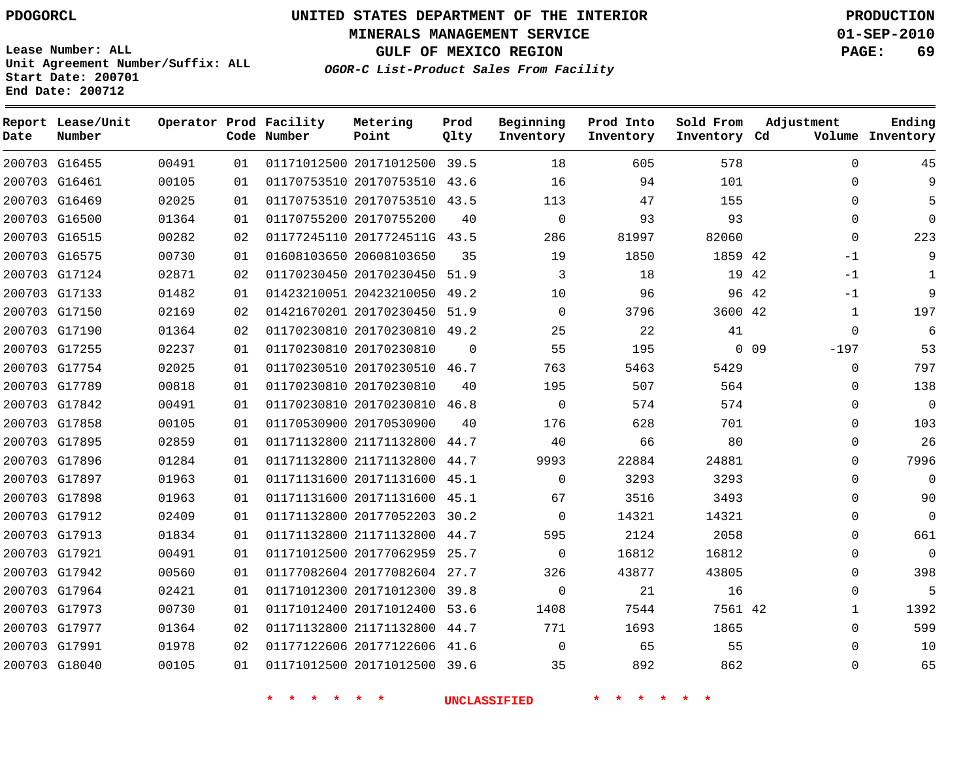**MINERALS MANAGEMENT SERVICE 01-SEP-2010**

**GULF OF MEXICO REGION PAGE: 69**

**Lease Number: ALL Unit Agreement Number/Suffix: ALL Start Date: 200701 End Date: 200712**

**OGOR-C List-Product Sales From Facility**

| Date | Report Lease/Unit<br>Number |       |    | Operator Prod Facility<br>Code Number | Metering<br>Point            | Prod<br>Qlty | Beginning<br>Inventory | Prod Into<br>Inventory | Sold From<br>Inventory Cd | Adjustment                | Ending<br>Volume Inventory |
|------|-----------------------------|-------|----|---------------------------------------|------------------------------|--------------|------------------------|------------------------|---------------------------|---------------------------|----------------------------|
|      | 200703 G16455               | 00491 | 01 |                                       | 01171012500 20171012500 39.5 |              | 18                     | 605                    | 578                       | $\Omega$                  | 45                         |
|      | 200703 G16461               | 00105 | 01 |                                       | 01170753510 20170753510 43.6 |              | 16                     | 94                     | 101                       | $\mathbf 0$               | 9                          |
|      | 200703 G16469               | 02025 | 01 |                                       | 01170753510 20170753510 43.5 |              | 113                    | 47                     | 155                       | $\Omega$                  | 5                          |
|      | 200703 G16500               | 01364 | 01 |                                       | 01170755200 20170755200      | 40           | $\mathbf 0$            | 93                     | 93                        | $\mathbf 0$               | $\Omega$                   |
|      | 200703 G16515               | 00282 | 02 |                                       | 01177245110 2017724511G 43.5 |              | 286                    | 81997                  | 82060                     | $\Omega$                  | 223                        |
|      | 200703 G16575               | 00730 | 01 |                                       | 01608103650 20608103650      | 35           | 19                     | 1850                   | 1859 42                   | $-1$                      | 9                          |
|      | 200703 G17124               | 02871 | 02 |                                       | 01170230450 20170230450 51.9 |              | 3                      | 18                     |                           | 19 42<br>-1               | 1                          |
|      | 200703 G17133               | 01482 | 01 |                                       | 01423210051 20423210050      | 49.2         | 10                     | 96                     |                           | 96 42<br>-1               | 9                          |
|      | 200703 G17150               | 02169 | 02 |                                       | 01421670201 20170230450 51.9 |              | $\Omega$               | 3796                   | 3600 42                   | $\mathbf{1}$              | 197                        |
|      | 200703 G17190               | 01364 | 02 |                                       | 01170230810 20170230810 49.2 |              | 25                     | 22                     | 41                        | $\mathbf 0$               | 6                          |
|      | 200703 G17255               | 02237 | 01 |                                       | 01170230810 20170230810      | $\Omega$     | 55                     | 195                    |                           | 0 <sub>09</sub><br>$-197$ | 53                         |
|      | 200703 G17754               | 02025 | 01 |                                       | 01170230510 20170230510      | 46.7         | 763                    | 5463                   | 5429                      | $\mathbf 0$               | 797                        |
|      | 200703 G17789               | 00818 | 01 |                                       | 01170230810 20170230810      | 40           | 195                    | 507                    | 564                       | $\Omega$                  | 138                        |
|      | 200703 G17842               | 00491 | 01 |                                       | 01170230810 20170230810      | 46.8         | $\mathbf{0}$           | 574                    | 574                       | $\mathbf 0$               | $\overline{0}$             |
|      | 200703 G17858               | 00105 | 01 |                                       | 01170530900 20170530900      | 40           | 176                    | 628                    | 701                       | $\mathbf 0$               | 103                        |
|      | 200703 G17895               | 02859 | 01 |                                       | 01171132800 21171132800      | 44.7         | 40                     | 66                     | 80                        | $\mathbf 0$               | 26                         |
|      | 200703 G17896               | 01284 | 01 |                                       | 01171132800 21171132800      | 44.7         | 9993                   | 22884                  | 24881                     | $\Omega$                  | 7996                       |
|      | 200703 G17897               | 01963 | 01 |                                       | 01171131600 20171131600 45.1 |              | $\Omega$               | 3293                   | 3293                      | $\mathbf 0$               | $\Omega$                   |
|      | 200703 G17898               | 01963 | 01 |                                       | 01171131600 20171131600 45.1 |              | 67                     | 3516                   | 3493                      | $\Omega$                  | 90                         |
|      | 200703 G17912               | 02409 | 01 |                                       | 01171132800 20177052203 30.2 |              | $\Omega$               | 14321                  | 14321                     | $\Omega$                  | $\Omega$                   |
|      | 200703 G17913               | 01834 | 01 |                                       | 01171132800 21171132800 44.7 |              | 595                    | 2124                   | 2058                      | $\Omega$                  | 661                        |
|      | 200703 G17921               | 00491 | 01 |                                       | 01171012500 20177062959      | 25.7         | $\Omega$               | 16812                  | 16812                     | $\mathbf 0$               | $\Omega$                   |
|      | 200703 G17942               | 00560 | 01 |                                       | 01177082604 20177082604 27.7 |              | 326                    | 43877                  | 43805                     | $\mathbf 0$               | 398                        |
|      | 200703 G17964               | 02421 | 01 |                                       | 01171012300 20171012300      | 39.8         | $\mathbf 0$            | 21                     | 16                        | $\mathbf 0$               | 5                          |
|      | 200703 G17973               | 00730 | 01 |                                       | 01171012400 20171012400 53.6 |              | 1408                   | 7544                   | 7561 42                   | 1                         | 1392                       |
|      | 200703 G17977               | 01364 | 02 |                                       | 01171132800 21171132800 44.7 |              | 771                    | 1693                   | 1865                      | $\mathbf 0$               | 599                        |
|      | 200703 G17991               | 01978 | 02 |                                       | 01177122606 20177122606 41.6 |              | $\Omega$               | 65                     | 55                        | $\Omega$                  | 10                         |
|      | 200703 G18040               | 00105 | 01 |                                       | 01171012500 20171012500 39.6 |              | 35                     | 892                    | 862                       | $\Omega$                  | 65                         |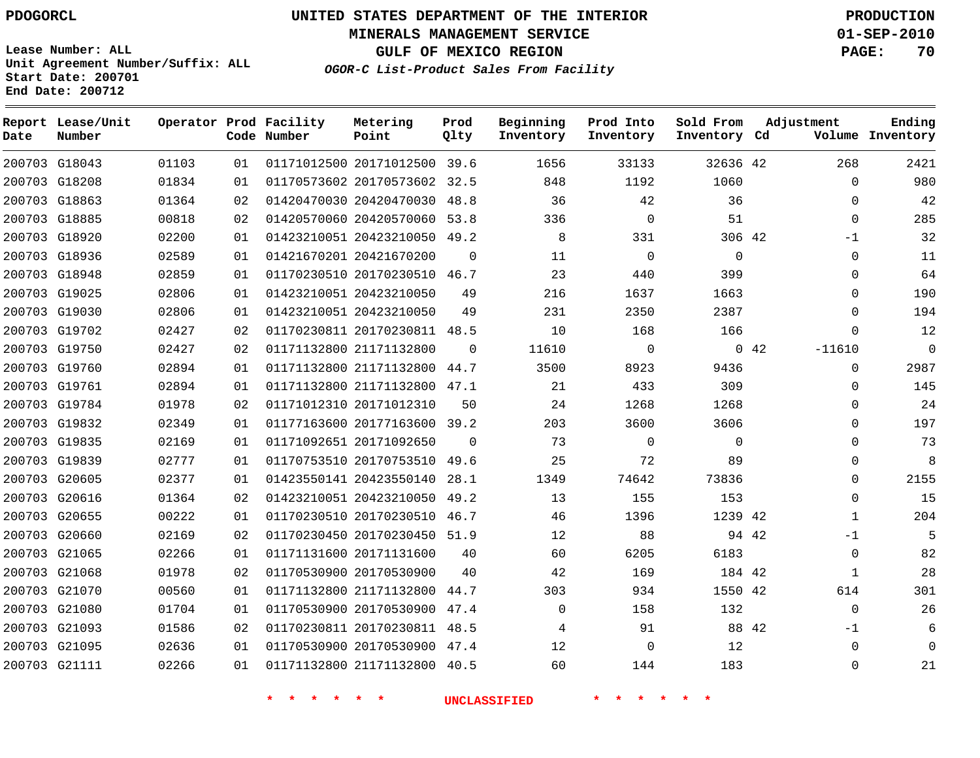**Start Date: 200701 End Date: 200712**

**Unit Agreement Number/Suffix: ALL**

# **UNITED STATES DEPARTMENT OF THE INTERIOR PDOGORCL PRODUCTION**

**MINERALS MANAGEMENT SERVICE 01-SEP-2010**

**GULF OF MEXICO REGION PAGE: 70**

**OGOR-C List-Product Sales From Facility**

| Date   | Report Lease/Unit<br>Number |       |    | Operator Prod Facility<br>Code Number | Metering<br>Point            | Prod<br>Qlty | Beginning<br>Inventory | Prod Into<br>Inventory | Sold From<br>Inventory Cd | Adjustment       | Ending<br>Volume Inventory |
|--------|-----------------------------|-------|----|---------------------------------------|------------------------------|--------------|------------------------|------------------------|---------------------------|------------------|----------------------------|
|        | 200703 G18043               | 01103 | 01 |                                       | 01171012500 20171012500 39.6 |              | 1656                   | 33133                  | 32636 42                  | 268              | 2421                       |
|        | 200703 G18208               | 01834 | 01 |                                       | 01170573602 20170573602      | 32.5         | 848                    | 1192                   | 1060                      |                  | 980<br>$\Omega$            |
|        | 200703 G18863               | 01364 | 02 |                                       | 01420470030 20420470030      | 48.8         | 36                     | 42                     | 36                        |                  | 42<br>0                    |
|        | 200703 G18885               | 00818 | 02 |                                       | 01420570060 20420570060      | 53.8         | 336                    | $\Omega$               | 51                        |                  | 285<br>$\Omega$            |
|        | 200703 G18920               | 02200 | 01 |                                       | 01423210051 20423210050 49.2 |              | 8                      | 331                    | 306 42                    | $-1$             | 32                         |
|        | 200703 G18936               | 02589 | 01 |                                       | 01421670201 20421670200      | $\Omega$     | 11                     | $\mathbf 0$            | $\mathsf 0$               |                  | 11<br>$\mathbf{0}$         |
|        | 200703 G18948               | 02859 | 01 |                                       | 01170230510 20170230510 46.7 |              | 23                     | 440                    | 399                       |                  | 64<br>$\Omega$             |
|        | 200703 G19025               | 02806 | 01 |                                       | 01423210051 20423210050      | 49           | 216                    | 1637                   | 1663                      |                  | $\Omega$<br>190            |
|        | 200703 G19030               | 02806 | 01 |                                       | 01423210051 20423210050      | 49           | 231                    | 2350                   | 2387                      |                  | $\Omega$<br>194            |
|        | 200703 G19702               | 02427 | 02 |                                       | 01170230811 20170230811 48.5 |              | 10                     | 168                    | 166                       |                  | 12<br>$\Omega$             |
|        | 200703 G19750               | 02427 | 02 |                                       | 01171132800 21171132800      | $\Omega$     | 11610                  | $\mathbf 0$            |                           | 0.42<br>$-11610$ | $\overline{0}$             |
|        | 200703 G19760               | 02894 | 01 |                                       | 01171132800 21171132800      | 44.7         | 3500                   | 8923                   | 9436                      |                  | 2987<br>$\Omega$           |
|        | 200703 G19761               | 02894 | 01 |                                       | 01171132800 21171132800      | 47.1         | 21                     | 433                    | 309                       |                  | 145<br>$\Omega$            |
|        | 200703 G19784               | 01978 | 02 |                                       | 01171012310 20171012310      | 50           | 24                     | 1268                   | 1268                      |                  | 24<br>0                    |
|        | 200703 G19832               | 02349 | 01 |                                       | 01177163600 20177163600      | 39.2         | 203                    | 3600                   | 3606                      |                  | 197<br>$\Omega$            |
|        | 200703 G19835               | 02169 | 01 |                                       | 01171092651 20171092650      | $\Omega$     | 73                     | $\Omega$               | $\Omega$                  |                  | 73<br>$\Omega$             |
|        | 200703 G19839               | 02777 | 01 |                                       | 01170753510 20170753510      | 49.6         | 25                     | 72                     | 89                        |                  | 8<br>$\Omega$              |
|        | 200703 G20605               | 02377 | 01 |                                       | 01423550141 20423550140      | 28.1         | 1349                   | 74642                  | 73836                     |                  | $\Omega$<br>2155           |
| 200703 | G20616                      | 01364 | 02 |                                       | 01423210051 20423210050      | 49.2         | 13                     | 155                    | 153                       |                  | 15<br>$\mathbf{0}$         |
|        | 200703 G20655               | 00222 | 01 |                                       | 01170230510 20170230510      | 46.7         | 46                     | 1396                   | 1239 42                   |                  | 204<br>$\mathbf{1}$        |
|        | 200703 G20660               | 02169 | 02 |                                       | 01170230450 20170230450      | 51.9         | 12                     | 88                     | 94 42                     | $-1$             | - 5                        |
|        | 200703 G21065               | 02266 | 01 |                                       | 01171131600 20171131600      | 40           | 60                     | 6205                   | 6183                      |                  | 82<br>$\Omega$             |
| 200703 | G21068                      | 01978 | 02 |                                       | 01170530900 20170530900      | 40           | 42                     | 169                    | 184 42                    |                  | 28<br>1                    |
|        | 200703 G21070               | 00560 | 01 |                                       | 01171132800 21171132800      | 44.7         | 303                    | 934                    | 1550 42                   | 614              | 301                        |
|        | 200703 G21080               | 01704 | 01 |                                       | 01170530900 20170530900      | 47.4         | $\mathbf 0$            | 158                    | 132                       |                  | 26<br>$\Omega$             |
|        | 200703 G21093               | 01586 | 02 |                                       | 01170230811 20170230811      | 48.5         | 4                      | 91                     | 88 42                     | -1               | 6                          |
|        | 200703 G21095               | 02636 | 01 |                                       | 01170530900 20170530900      | 47.4         | 12                     | $\mathbf 0$            | 12                        |                  | $\overline{0}$<br>$\Omega$ |
|        | 200703 G21111               | 02266 | 01 |                                       | 01171132800 21171132800      | 40.5         | 60                     | 144                    | 183                       |                  | 21<br>$\Omega$             |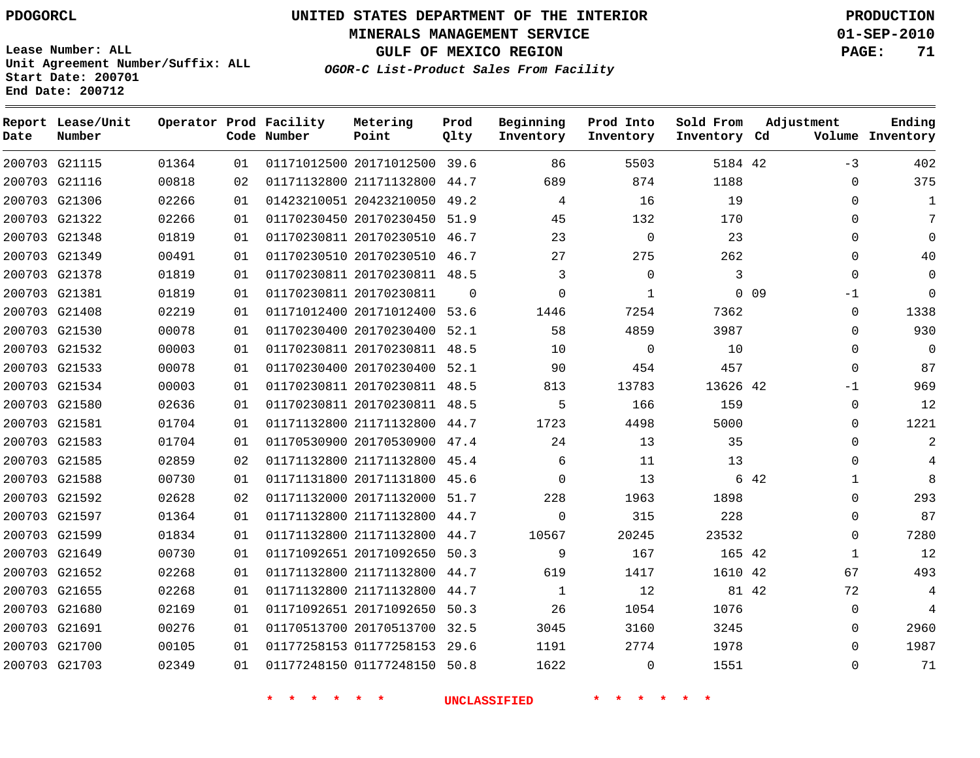# **UNITED STATES DEPARTMENT OF THE INTERIOR PDOGORCL PRODUCTION**

**MINERALS MANAGEMENT SERVICE 01-SEP-2010**

**GULF OF MEXICO REGION PAGE: 71**

**Unit Agreement Number/Suffix: ALL Start Date: 200701 End Date: 200712**

**OGOR-C List-Product Sales From Facility**

| Date | Report Lease/Unit<br>Number |       |    | Operator Prod Facility<br>Code Number | Metering<br>Point            | Prod<br>Qlty | Beginning<br>Inventory | Prod Into<br>Inventory | Sold From<br>Inventory Cd |                 | Adjustment | Ending<br>Volume Inventory |
|------|-----------------------------|-------|----|---------------------------------------|------------------------------|--------------|------------------------|------------------------|---------------------------|-----------------|------------|----------------------------|
|      | 200703 G21115               | 01364 | 01 |                                       | 01171012500 20171012500      | 39.6         | 86                     | 5503                   | 5184 42                   |                 | $-3$       | 402                        |
|      | 200703 G21116               | 00818 | 02 |                                       | 01171132800 21171132800      | 44.7         | 689                    | 874                    | 1188                      |                 | $\Omega$   | 375                        |
|      | 200703 G21306               | 02266 | 01 |                                       | 01423210051 20423210050      | 49.2         | 4                      | 16                     | 19                        |                 | $\Omega$   | 1                          |
|      | 200703 G21322               | 02266 | 01 |                                       | 01170230450 20170230450 51.9 |              | 45                     | 132                    | 170                       |                 | 0          | 7                          |
|      | 200703 G21348               | 01819 | 01 |                                       | 01170230811 20170230510 46.7 |              | 23                     | $\mathbf 0$            | 23                        |                 | $\Omega$   | $\Omega$                   |
|      | 200703 G21349               | 00491 | 01 |                                       | 01170230510 20170230510 46.7 |              | 27                     | 275                    | 262                       |                 | $\Omega$   | 40                         |
|      | 200703 G21378               | 01819 | 01 |                                       | 01170230811 20170230811 48.5 |              | 3                      | $\mathbf 0$            | 3                         |                 | $\Omega$   | $\Omega$                   |
|      | 200703 G21381               | 01819 | 01 |                                       | 01170230811 20170230811      | $\Omega$     | $\Omega$               | $\mathbf{1}$           |                           | 0 <sub>09</sub> | $-1$       | $\Omega$                   |
|      | 200703 G21408               | 02219 | 01 |                                       | 01171012400 20171012400 53.6 |              | 1446                   | 7254                   | 7362                      |                 | 0          | 1338                       |
|      | 200703 G21530               | 00078 | 01 |                                       | 01170230400 20170230400 52.1 |              | 58                     | 4859                   | 3987                      |                 | $\Omega$   | 930                        |
|      | 200703 G21532               | 00003 | 01 |                                       | 01170230811 20170230811 48.5 |              | 10                     | $\Omega$               | 10                        |                 | $\Omega$   | $\Omega$                   |
|      | 200703 G21533               | 00078 | 01 |                                       | 01170230400 20170230400 52.1 |              | 90                     | 454                    | 457                       |                 | $\Omega$   | 87                         |
|      | 200703 G21534               | 00003 | 01 |                                       | 01170230811 20170230811 48.5 |              | 813                    | 13783                  | 13626 42                  |                 | $-1$       | 969                        |
|      | 200703 G21580               | 02636 | 01 |                                       | 01170230811 20170230811 48.5 |              | 5                      | 166                    | 159                       |                 | $\Omega$   | 12                         |
|      | 200703 G21581               | 01704 | 01 |                                       | 01171132800 21171132800      | 44.7         | 1723                   | 4498                   | 5000                      |                 | $\Omega$   | 1221                       |
|      | 200703 G21583               | 01704 | 01 |                                       | 01170530900 20170530900      | 47.4         | 24                     | 13                     | 35                        |                 | $\Omega$   | $\overline{2}$             |
|      | 200703 G21585               | 02859 | 02 |                                       | 01171132800 21171132800      | 45.4         | 6                      | 11                     | 13                        |                 | $\Omega$   |                            |
|      | 200703 G21588               | 00730 | 01 |                                       | 01171131800 20171131800      | 45.6         | $\Omega$               | 13                     |                           | 6 42            | 1          | 8                          |
|      | 200703 G21592               | 02628 | 02 |                                       | 01171132000 20171132000      | 51.7         | 228                    | 1963                   | 1898                      |                 | $\Omega$   | 293                        |
|      | 200703 G21597               | 01364 | 01 |                                       | 01171132800 21171132800      | 44.7         | $\mathbf 0$            | 315                    | 228                       |                 | 0          | 87                         |
|      | 200703 G21599               | 01834 | 01 |                                       | 01171132800 21171132800      | 44.7         | 10567                  | 20245                  | 23532                     |                 | $\Omega$   | 7280                       |
|      | 200703 G21649               | 00730 | 01 |                                       | 01171092651 20171092650      | 50.3         | 9                      | 167                    | 165 42                    |                 | 1          | 12                         |
|      | 200703 G21652               | 02268 | 01 |                                       | 01171132800 21171132800      | 44.7         | 619                    | 1417                   | 1610 42                   |                 | 67         | 493                        |
|      | 200703 G21655               | 02268 | 01 |                                       | 01171132800 21171132800      | 44.7         | $\mathbf{1}$           | 12                     | 81 42                     |                 | 72         | 4                          |
|      | 200703 G21680               | 02169 | 01 |                                       | 01171092651 20171092650      | 50.3         | 26                     | 1054                   | 1076                      |                 | $\Omega$   | $\overline{4}$             |
|      | 200703 G21691               | 00276 | 01 |                                       | 01170513700 20170513700 32.5 |              | 3045                   | 3160                   | 3245                      |                 | $\Omega$   | 2960                       |
|      | 200703 G21700               | 00105 | 01 |                                       | 01177258153 01177258153      | 29.6         | 1191                   | 2774                   | 1978                      |                 | 0          | 1987                       |
|      | 200703 G21703               | 02349 | 01 |                                       | 01177248150 01177248150      | 50.8         | 1622                   | $\Omega$               | 1551                      |                 | $\Omega$   | 71                         |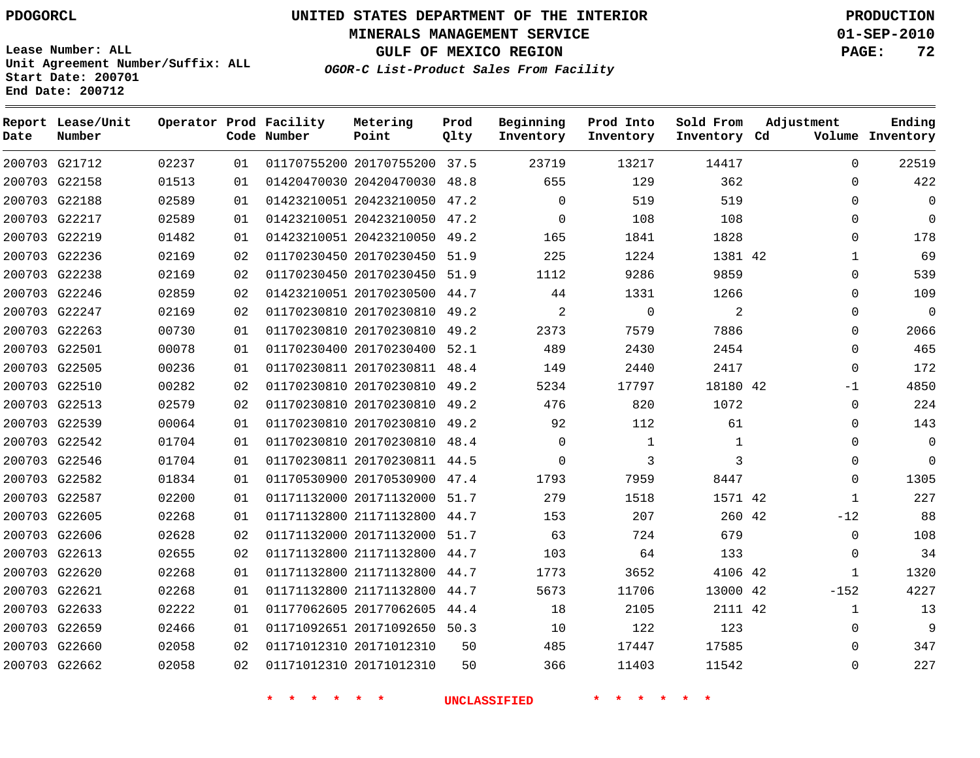# **UNITED STATES DEPARTMENT OF THE INTERIOR PDOGORCL PRODUCTION**

**MINERALS MANAGEMENT SERVICE 01-SEP-2010**

**GULF OF MEXICO REGION PAGE: 72**

**Unit Agreement Number/Suffix: ALL Start Date: 200701 End Date: 200712**

**OGOR-C List-Product Sales From Facility**

| Date | Report Lease/Unit<br>Number |       |                 | Operator Prod Facility<br>Code Number | Metering<br>Point            | Prod<br>Qlty | Beginning<br>Inventory | Prod Into<br>Inventory | Sold From<br>Inventory Cd | Adjustment |              | Ending<br>Volume Inventory |
|------|-----------------------------|-------|-----------------|---------------------------------------|------------------------------|--------------|------------------------|------------------------|---------------------------|------------|--------------|----------------------------|
|      | 200703 G21712               | 02237 | 01              |                                       | 01170755200 20170755200 37.5 |              | 23719                  | 13217                  | 14417                     |            | 0            | 22519                      |
|      | 200703 G22158               | 01513 | 01              |                                       | 01420470030 20420470030 48.8 |              | 655                    | 129                    | 362                       |            | 0            | 422                        |
|      | 200703 G22188               | 02589 | 01              |                                       | 01423210051 20423210050 47.2 |              | $\Omega$               | 519                    | 519                       |            | $\Omega$     | $\Omega$                   |
|      | 200703 G22217               | 02589 | 01              |                                       | 01423210051 20423210050 47.2 |              | $\mathbf 0$            | 108                    | 108                       |            | 0            | $\Omega$                   |
|      | 200703 G22219               | 01482 | 01              |                                       | 01423210051 20423210050 49.2 |              | 165                    | 1841                   | 1828                      |            | $\Omega$     | 178                        |
|      | 200703 G22236               | 02169 | 02              |                                       | 01170230450 20170230450 51.9 |              | 225                    | 1224                   | 1381 42                   |            | $\mathbf{1}$ | 69                         |
|      | 200703 G22238               | 02169 | 02              |                                       | 01170230450 20170230450 51.9 |              | 1112                   | 9286                   | 9859                      |            | 0            | 539                        |
|      | 200703 G22246               | 02859 | 02              |                                       | 01423210051 20170230500 44.7 |              | 44                     | 1331                   | 1266                      |            | 0            | 109                        |
|      | 200703 G22247               | 02169 | 02              |                                       | 01170230810 20170230810 49.2 |              | 2                      | $\mathbf 0$            | 2                         |            | 0            | $\mathbf{0}$               |
|      | 200703 G22263               | 00730 | 01              |                                       | 01170230810 20170230810 49.2 |              | 2373                   | 7579                   | 7886                      |            | 0            | 2066                       |
|      | 200703 G22501               | 00078 | 01              |                                       | 01170230400 20170230400 52.1 |              | 489                    | 2430                   | 2454                      |            | $\Omega$     | 465                        |
|      | 200703 G22505               | 00236 | 01              |                                       | 01170230811 20170230811 48.4 |              | 149                    | 2440                   | 2417                      |            | 0            | 172                        |
|      | 200703 G22510               | 00282 | 02              |                                       | 01170230810 20170230810 49.2 |              | 5234                   | 17797                  | 18180 42                  |            | $-1$         | 4850                       |
|      | 200703 G22513               | 02579 | 02              |                                       | 01170230810 20170230810 49.2 |              | 476                    | 820                    | 1072                      |            | 0            | 224                        |
|      | 200703 G22539               | 00064 | 01              |                                       | 01170230810 20170230810 49.2 |              | 92                     | 112                    | 61                        |            | 0            | 143                        |
|      | 200703 G22542               | 01704 | 01              |                                       | 01170230810 20170230810 48.4 |              | $\Omega$               | $\mathbf{1}$           | $\mathbf{1}$              |            | 0            | $\mathbf{0}$               |
|      | 200703 G22546               | 01704 | 01              |                                       | 01170230811 20170230811 44.5 |              | $\Omega$               | 3                      | 3                         |            | $\Omega$     | $\Omega$                   |
|      | 200703 G22582               | 01834 | 01              |                                       | 01170530900 20170530900 47.4 |              | 1793                   | 7959                   | 8447                      |            | 0            | 1305                       |
|      | 200703 G22587               | 02200 | 01              |                                       | 01171132000 20171132000 51.7 |              | 279                    | 1518                   | 1571 42                   |            | $\mathbf{1}$ | 227                        |
|      | 200703 G22605               | 02268 | 01              |                                       | 01171132800 21171132800 44.7 |              | 153                    | 207                    | 260 42                    |            | $-12$        | 88                         |
|      | 200703 G22606               | 02628 | 02              |                                       | 01171132000 20171132000 51.7 |              | 63                     | 724                    | 679                       |            | 0            | 108                        |
|      | 200703 G22613               | 02655 | 02              |                                       | 01171132800 21171132800 44.7 |              | 103                    | 64                     | 133                       |            | 0            | 34                         |
|      | 200703 G22620               | 02268 | 01              |                                       | 01171132800 21171132800 44.7 |              | 1773                   | 3652                   | 4106 42                   |            | 1            | 1320                       |
|      | 200703 G22621               | 02268 | 01              |                                       | 01171132800 21171132800 44.7 |              | 5673                   | 11706                  | 13000 42                  |            | $-152$       | 4227                       |
|      | 200703 G22633               | 02222 | 01              |                                       | 01177062605 20177062605 44.4 |              | 18                     | 2105                   | 2111 42                   |            | $\mathbf{1}$ | 13                         |
|      | 200703 G22659               | 02466 | 01              |                                       | 01171092651 20171092650 50.3 |              | 10                     | 122                    | 123                       |            | 0            | 9                          |
|      | 200703 G22660               | 02058 | 02              |                                       | 01171012310 20171012310      | 50           | 485                    | 17447                  | 17585                     |            | $\Omega$     | 347                        |
|      | 200703 G22662               | 02058 | 02 <sub>o</sub> |                                       | 01171012310 20171012310      | 50           | 366                    | 11403                  | 11542                     |            | $\Omega$     | 227                        |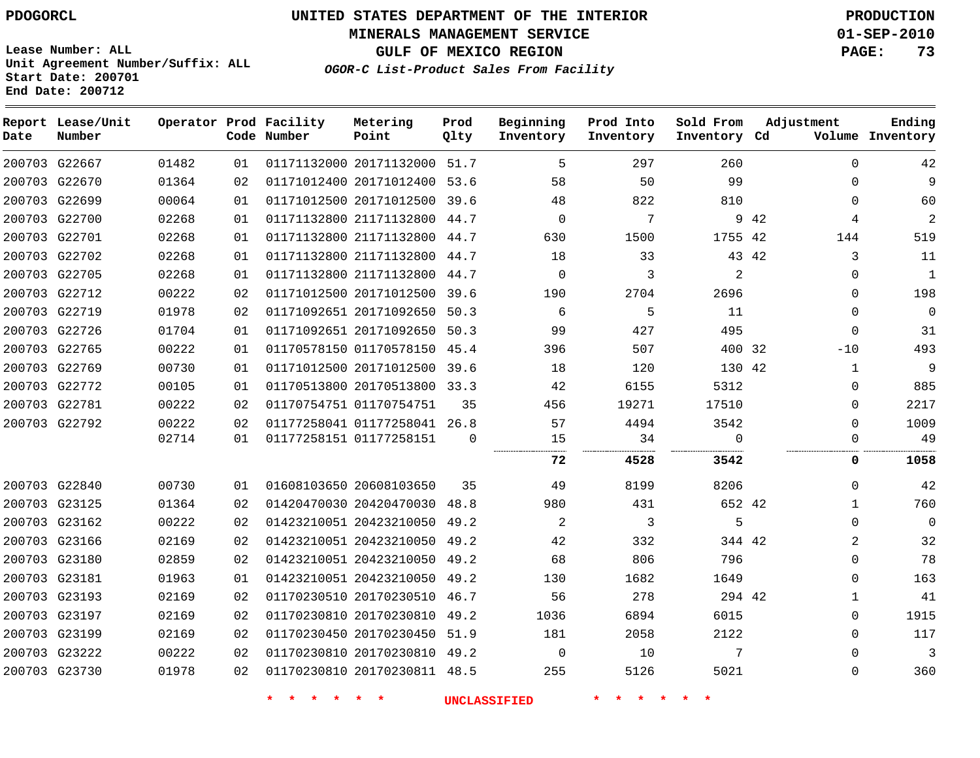**MINERALS MANAGEMENT SERVICE 01-SEP-2010**

**GULF OF MEXICO REGION PAGE: 73**

**Lease Number: ALL Unit Agreement Number/Suffix: ALL Start Date: 200701 End Date: 200712**

**OGOR-C List-Product Sales From Facility**

| Date | Report Lease/Unit<br>Number |       |    | Operator Prod Facility<br>Code Number | Metering<br>Point            | Prod<br>Qlty | Beginning<br>Inventory | Prod Into<br>Inventory | Sold From<br>Inventory Cd | Adjustment |             | Ending<br>Volume Inventory |
|------|-----------------------------|-------|----|---------------------------------------|------------------------------|--------------|------------------------|------------------------|---------------------------|------------|-------------|----------------------------|
|      | 200703 G22667               | 01482 | 01 |                                       | 01171132000 20171132000 51.7 |              | 5                      | 297                    | 260                       |            | $\Omega$    | 42                         |
|      | 200703 G22670               | 01364 | 02 |                                       | 01171012400 20171012400 53.6 |              | 58                     | 50                     | 99                        |            | $\Omega$    | 9                          |
|      | 200703 G22699               | 00064 | 01 |                                       | 01171012500 20171012500      | 39.6         | 48                     | 822                    | 810                       |            | $\Omega$    | 60                         |
|      | 200703 G22700               | 02268 | 01 |                                       | 01171132800 21171132800      | 44.7         | $\Omega$               | 7                      |                           | 9 42       | 4           | $\overline{2}$             |
|      | 200703 G22701               | 02268 | 01 |                                       | 01171132800 21171132800 44.7 |              | 630                    | 1500                   | 1755 42                   |            | 144         | 519                        |
|      | 200703 G22702               | 02268 | 01 |                                       | 01171132800 21171132800      | 44.7         | 18                     | 33                     |                           | 43 42      | 3           | 11                         |
|      | 200703 G22705               | 02268 | 01 |                                       | 01171132800 21171132800 44.7 |              | $\Omega$               | 3                      | $\overline{2}$            |            | $\Omega$    | 1                          |
|      | 200703 G22712               | 00222 | 02 |                                       | 01171012500 20171012500      | 39.6         | 190                    | 2704                   | 2696                      |            | $\Omega$    | 198                        |
|      | 200703 G22719               | 01978 | 02 |                                       | 01171092651 20171092650      | 50.3         | 6                      | 5                      | 11                        |            | $\Omega$    | $\Omega$                   |
|      | 200703 G22726               | 01704 | 01 |                                       | 01171092651 20171092650      | 50.3         | 99                     | 427                    | 495                       |            | $\Omega$    | 31                         |
|      | 200703 G22765               | 00222 | 01 |                                       | 01170578150 01170578150 45.4 |              | 396                    | 507                    | 400 32                    |            | $-10$       | 493                        |
|      | 200703 G22769               | 00730 | 01 |                                       | 01171012500 20171012500      | 39.6         | 18                     | 120                    | 130 42                    |            | 1           | 9                          |
|      | 200703 G22772               | 00105 | 01 |                                       | 01170513800 20170513800      | 33.3         | 42                     | 6155                   | 5312                      |            | $\Omega$    | 885                        |
|      | 200703 G22781               | 00222 | 02 |                                       | 01170754751 01170754751      | 35           | 456                    | 19271                  | 17510                     |            | $\mathbf 0$ | 2217                       |
|      | 200703 G22792               | 00222 | 02 |                                       | 01177258041 01177258041 26.8 |              | 57                     | 4494                   | 3542                      |            | $\Omega$    | 1009                       |
|      |                             | 02714 | 01 |                                       | 01177258151 01177258151      | $\Omega$     | 15                     | 34                     | $\Omega$                  |            | $\Omega$    | 49                         |
|      |                             |       |    |                                       |                              |              | 72                     | 4528                   | 3542                      |            | 0           | 1058                       |
|      | 200703 G22840               | 00730 | 01 |                                       | 01608103650 20608103650      | 35           | 49                     | 8199                   | 8206                      |            | $\Omega$    | 42                         |
|      | 200703 G23125               | 01364 | 02 |                                       | 01420470030 20420470030      | 48.8         | 980                    | 431                    | 652 42                    |            | 1           | 760                        |
|      | 200703 G23162               | 00222 | 02 |                                       | 01423210051 20423210050      | 49.2         | 2                      | 3                      | 5                         |            | $\Omega$    | $\mathbf{0}$               |
|      | 200703 G23166               | 02169 | 02 |                                       | 01423210051 20423210050 49.2 |              | 42                     | 332                    | 344 42                    |            | 2           | 32                         |
|      | 200703 G23180               | 02859 | 02 |                                       | 01423210051 20423210050      | 49.2         | 68                     | 806                    | 796                       |            | $\Omega$    | 78                         |
|      | 200703 G23181               | 01963 | 01 |                                       | 01423210051 20423210050      | 49.2         | 130                    | 1682                   | 1649                      |            | $\Omega$    | 163                        |
|      | 200703 G23193               | 02169 | 02 |                                       | 01170230510 20170230510      | 46.7         | 56                     | 278                    | 294 42                    |            | 1           | 41                         |
|      | 200703 G23197               | 02169 | 02 |                                       | 01170230810 20170230810 49.2 |              | 1036                   | 6894                   | 6015                      |            | $\Omega$    | 1915                       |
|      | 200703 G23199               | 02169 | 02 |                                       | 01170230450 20170230450      | 51.9         | 181                    | 2058                   | 2122                      |            | $\Omega$    | 117                        |
|      | 200703 G23222               | 00222 | 02 |                                       | 01170230810 20170230810 49.2 |              | $\Omega$               | 10                     | 7                         |            | $\Omega$    | 3                          |
|      | 200703 G23730               | 01978 | 02 |                                       | 01170230810 20170230811 48.5 |              | 255                    | 5126                   | 5021                      |            | $\Omega$    | 360                        |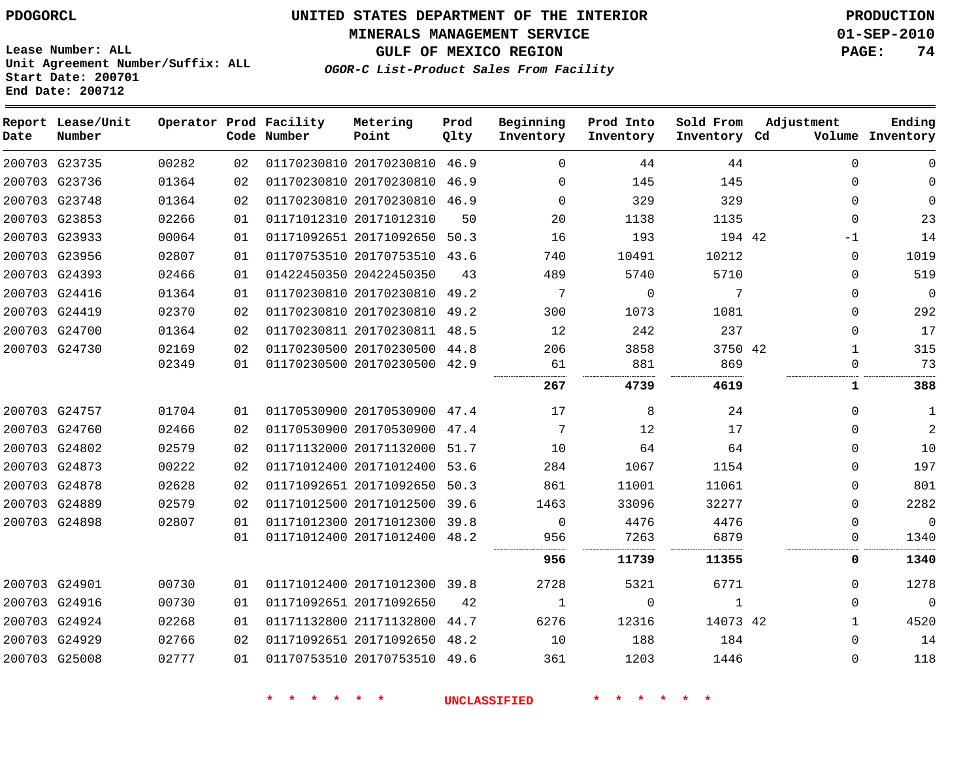**MINERALS MANAGEMENT SERVICE 01-SEP-2010**

**GULF OF MEXICO REGION PAGE: 74**

**Lease Number: ALL Unit Agreement Number/Suffix: ALL Start Date: 200701 End Date: 200712**

**OGOR-C List-Product Sales From Facility**

| Date | Report Lease/Unit<br>Number |       |    | Operator Prod Facility<br>Code Number | Metering<br>Point            | Prod<br>Qlty | Beginning<br>Inventory | Prod Into<br>Inventory | Sold From<br>Inventory Cd | Adjustment   | Ending<br>Volume Inventory |
|------|-----------------------------|-------|----|---------------------------------------|------------------------------|--------------|------------------------|------------------------|---------------------------|--------------|----------------------------|
|      | 200703 G23735               | 00282 | 02 |                                       | 01170230810 20170230810      | 46.9         | $\Omega$               | 44                     | 44                        | $\Omega$     | 0                          |
|      | 200703 G23736               | 01364 | 02 |                                       | 01170230810 20170230810      | 46.9         | 0                      | 145                    | 145                       | $\Omega$     | 0                          |
|      | 200703 G23748               | 01364 | 02 |                                       | 01170230810 20170230810      | 46.9         | $\Omega$               | 329                    | 329                       | $\Omega$     | 0                          |
|      | 200703 G23853               | 02266 | 01 |                                       | 01171012310 20171012310      | 50           | 20                     | 1138                   | 1135                      | $\Omega$     | 23                         |
|      | 200703 G23933               | 00064 | 01 |                                       | 01171092651 20171092650      | 50.3         | 16                     | 193                    | 194 42                    | -1           | 14                         |
|      | 200703 G23956               | 02807 | 01 |                                       | 01170753510 20170753510 43.6 |              | 740                    | 10491                  | 10212                     | $\Omega$     | 1019                       |
|      | 200703 G24393               | 02466 | 01 |                                       | 01422450350 20422450350      | 43           | 489                    | 5740                   | 5710                      | $\Omega$     | 519                        |
|      | 200703 G24416               | 01364 | 01 |                                       | 01170230810 20170230810      | 49.2         | 7                      | 0                      | 7                         | $\Omega$     | 0                          |
|      | 200703 G24419               | 02370 | 02 |                                       | 01170230810 20170230810      | 49.2         | 300                    | 1073                   | 1081                      | $\Omega$     | 292                        |
|      | 200703 G24700               | 01364 | 02 |                                       | 01170230811 20170230811 48.5 |              | 12                     | 242                    | 237                       | $\Omega$     | 17                         |
|      | 200703 G24730               | 02169 | 02 |                                       | 01170230500 20170230500      | 44.8         | 206                    | 3858                   | 3750 42                   | $\mathbf{1}$ | 315                        |
|      |                             | 02349 | 01 |                                       | 01170230500 20170230500      | 42.9         | 61                     | 881                    | 869                       | $\Omega$     | 73                         |
|      |                             |       |    |                                       |                              |              | 267                    | 4739                   | 4619                      | 1            | 388                        |
|      | 200703 G24757               | 01704 | 01 |                                       | 01170530900 20170530900 47.4 |              | 17                     | 8                      | 24                        | $\Omega$     | 1                          |
|      | 200703 G24760               | 02466 | 02 |                                       | 01170530900 20170530900      | 47.4         | 7                      | 12                     | 17                        | $\Omega$     | 2                          |
|      | 200703 G24802               | 02579 | 02 |                                       | 01171132000 20171132000 51.7 |              | 10                     | 64                     | 64                        | $\Omega$     | 10                         |
|      | 200703 G24873               | 00222 | 02 |                                       | 01171012400 20171012400      | 53.6         | 284                    | 1067                   | 1154                      | $\Omega$     | 197                        |
|      | 200703 G24878               | 02628 | 02 |                                       | 01171092651 20171092650      | 50.3         | 861                    | 11001                  | 11061                     | $\Omega$     | 801                        |
|      | 200703 G24889               | 02579 | 02 |                                       | 01171012500 20171012500      | 39.6         | 1463                   | 33096                  | 32277                     | $\Omega$     | 2282                       |
|      | 200703 G24898               | 02807 | 01 |                                       | 01171012300 20171012300      | 39.8         | 0                      | 4476                   | 4476                      | $\Omega$     | $\mathbf 0$                |
|      |                             |       | 01 |                                       | 01171012400 20171012400 48.2 |              | 956                    | 7263                   | 6879<br>                  | $\Omega$     | 1340                       |
|      |                             |       |    |                                       |                              |              | 956                    | 11739                  | 11355                     | 0            | 1340                       |
|      | 200703 G24901               | 00730 | 01 |                                       | 01171012400 20171012300 39.8 |              | 2728                   | 5321                   | 6771                      | $\Omega$     | 1278                       |
|      | 200703 G24916               | 00730 | 01 |                                       | 01171092651 20171092650      | 42           | $\mathbf{1}$           | $\mathbf 0$            | $\mathbf{1}$              | $\Omega$     | $\mathbf 0$                |
|      | 200703 G24924               | 02268 | 01 |                                       | 01171132800 21171132800      | 44.7         | 6276                   | 12316                  | 14073 42                  | $\mathbf{1}$ | 4520                       |
|      | 200703 G24929               | 02766 | 02 |                                       | 01171092651 20171092650      | 48.2         | 10                     | 188                    | 184                       | $\Omega$     | 14                         |
|      | 200703 G25008               | 02777 | 01 |                                       | 01170753510 20170753510 49.6 |              | 361                    | 1203                   | 1446                      | $\Omega$     | 118                        |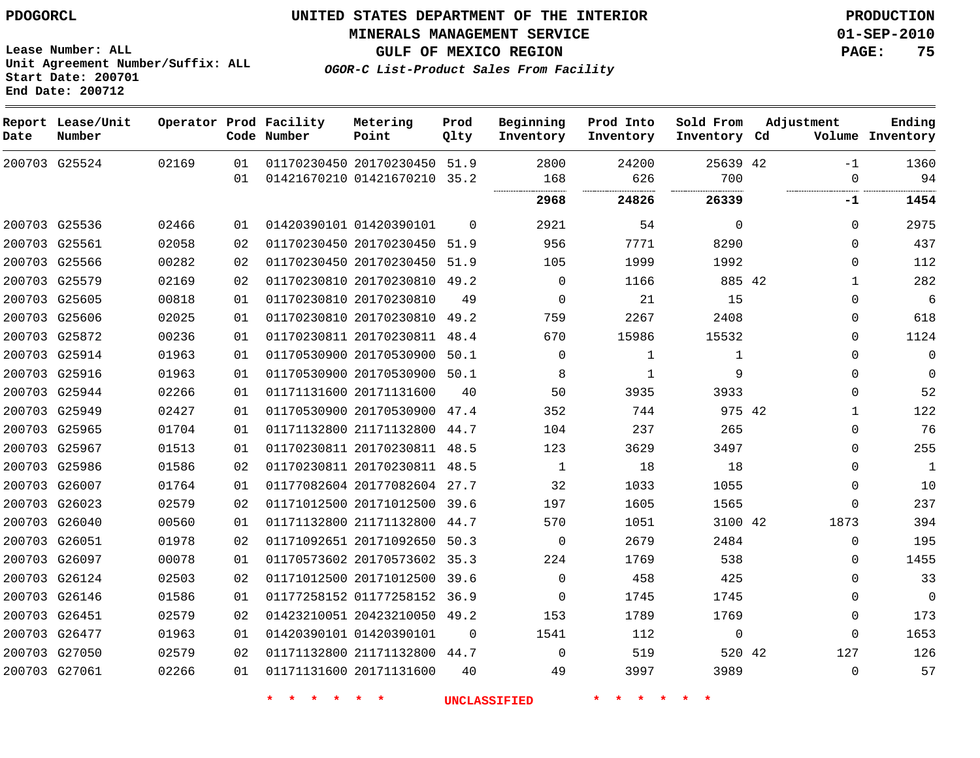**MINERALS MANAGEMENT SERVICE 01-SEP-2010**

**GULF OF MEXICO REGION PAGE: 75**

**OGOR-C List-Product Sales From Facility**

**Lease Number: ALL Unit Agreement Number/Suffix: ALL Start Date: 200701 End Date: 200712**

| Date | Report Lease/Unit<br>Number |       |    | Operator Prod Facility<br>Code Number | Metering<br>Point            | Prod<br>Qlty | Beginning<br>Inventory | Prod Into<br>Inventory | Sold From<br>Inventory Cd | Adjustment   | Ending<br>Volume Inventory |
|------|-----------------------------|-------|----|---------------------------------------|------------------------------|--------------|------------------------|------------------------|---------------------------|--------------|----------------------------|
|      | 200703 G25524               | 02169 | 01 |                                       | 01170230450 20170230450 51.9 |              | 2800                   | 24200                  | 25639 42                  | $-1$         | 1360                       |
|      |                             |       | 01 |                                       | 01421670210 01421670210 35.2 |              | 168                    | 626                    | 700<br>.                  | $\Omega$<br> | 94                         |
|      |                             |       |    |                                       |                              |              | 2968                   | 24826                  | 26339                     | -1           | 1454                       |
|      | 200703 G25536               | 02466 | 01 |                                       | 01420390101 01420390101      | $\Omega$     | 2921                   | 54                     | $\Omega$                  | $\Omega$     | 2975                       |
|      | 200703 G25561               | 02058 | 02 |                                       | 01170230450 20170230450 51.9 |              | 956                    | 7771                   | 8290                      | $\Omega$     | 437                        |
|      | 200703 G25566               | 00282 | 02 |                                       | 01170230450 20170230450 51.9 |              | 105                    | 1999                   | 1992                      | $\Omega$     | 112                        |
|      | 200703 G25579               | 02169 | 02 |                                       | 01170230810 20170230810 49.2 |              | $\Omega$               | 1166                   | 885 42                    | $\mathbf{1}$ | 282                        |
|      | 200703 G25605               | 00818 | 01 |                                       | 01170230810 20170230810      | 49           | $\mathbf 0$            | 21                     | 15                        | $\mathbf 0$  | 6                          |
|      | 200703 G25606               | 02025 | 01 |                                       | 01170230810 20170230810 49.2 |              | 759                    | 2267                   | 2408                      | $\mathbf 0$  | 618                        |
|      | 200703 G25872               | 00236 | 01 |                                       | 01170230811 20170230811 48.4 |              | 670                    | 15986                  | 15532                     | $\mathbf 0$  | 1124                       |
|      | 200703 G25914               | 01963 | 01 |                                       | 01170530900 20170530900 50.1 |              | $\Omega$               | 1                      | $\mathbf{1}$              | $\Omega$     | $\Omega$                   |
|      | 200703 G25916               | 01963 | 01 |                                       | 01170530900 20170530900 50.1 |              | 8                      | 1                      | 9                         | $\Omega$     | $\Omega$                   |
|      | 200703 G25944               | 02266 | 01 |                                       | 01171131600 20171131600      | 40           | 50                     | 3935                   | 3933                      | $\mathbf 0$  | 52                         |
|      | 200703 G25949               | 02427 | 01 |                                       | 01170530900 20170530900 47.4 |              | 352                    | 744                    | 975 42                    | $\mathbf{1}$ | 122                        |
|      | 200703 G25965               | 01704 | 01 |                                       | 01171132800 21171132800 44.7 |              | 104                    | 237                    | 265                       | $\mathbf 0$  | 76                         |
|      | 200703 G25967               | 01513 | 01 |                                       | 01170230811 20170230811 48.5 |              | 123                    | 3629                   | 3497                      | $\Omega$     | 255                        |
|      | 200703 G25986               | 01586 | 02 |                                       | 01170230811 20170230811 48.5 |              | $\mathbf{1}$           | 18                     | 18                        | 0            | $\mathbf{1}$               |
|      | 200703 G26007               | 01764 | 01 |                                       | 01177082604 20177082604 27.7 |              | 32                     | 1033                   | 1055                      | $\mathbf 0$  | 10                         |
|      | 200703 G26023               | 02579 | 02 |                                       | 01171012500 20171012500 39.6 |              | 197                    | 1605                   | 1565                      | $\Omega$     | 237                        |
|      | 200703 G26040               | 00560 | 01 |                                       | 01171132800 21171132800 44.7 |              | 570                    | 1051                   | 3100 42                   | 1873         | 394                        |
|      | 200703 G26051               | 01978 | 02 |                                       | 01171092651 20171092650 50.3 |              | $\Omega$               | 2679                   | 2484                      | $\mathbf 0$  | 195                        |
|      | 200703 G26097               | 00078 | 01 |                                       | 01170573602 20170573602 35.3 |              | 224                    | 1769                   | 538                       | $\mathbf 0$  | 1455                       |
|      | 200703 G26124               | 02503 | 02 |                                       | 01171012500 20171012500 39.6 |              | $\Omega$               | 458                    | 425                       | $\mathbf 0$  | 33                         |
|      | 200703 G26146               | 01586 | 01 |                                       | 01177258152 01177258152 36.9 |              | $\mathbf 0$            | 1745                   | 1745                      | $\mathbf 0$  | $\mathbf 0$                |
|      | 200703 G26451               | 02579 | 02 |                                       | 01423210051 20423210050 49.2 |              | 153                    | 1789                   | 1769                      | $\mathbf 0$  | 173                        |
|      | 200703 G26477               | 01963 | 01 |                                       | 01420390101 01420390101      | $\Omega$     | 1541                   | 112                    | $\mathbf 0$               | $\Omega$     | 1653                       |
|      | 200703 G27050               | 02579 | 02 |                                       | 01171132800 21171132800 44.7 |              | $\Omega$               | 519                    | 520 42                    | 127          | 126                        |
|      | 200703 G27061               | 02266 | 01 |                                       | 01171131600 20171131600      | 40           | 49                     | 3997                   | 3989                      | $\mathbf 0$  | 57                         |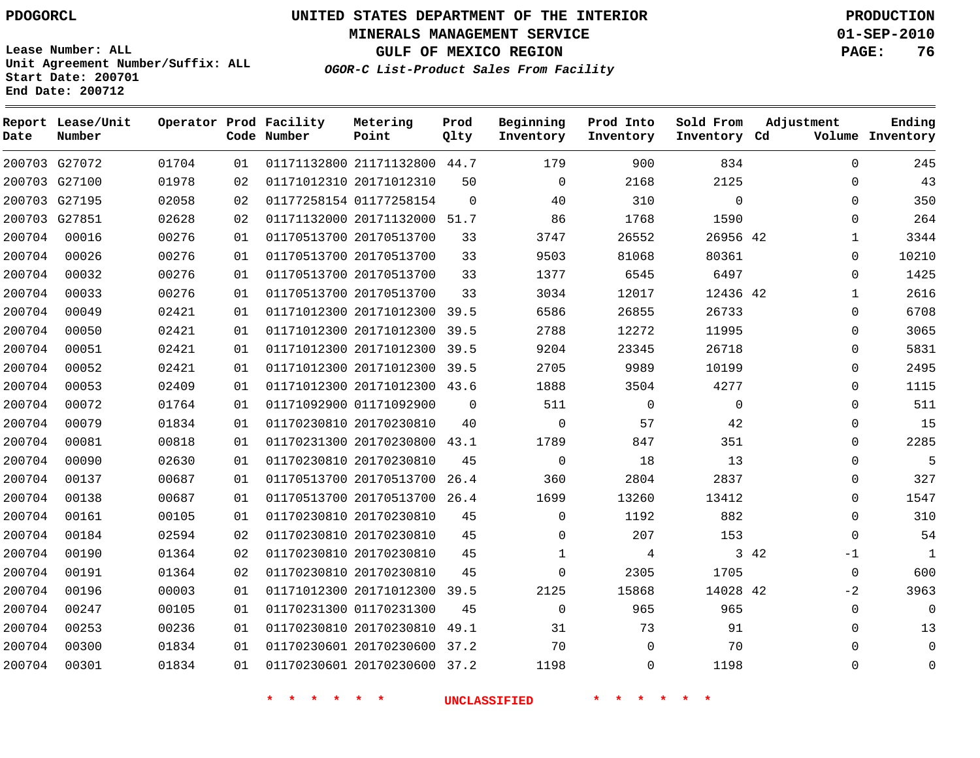# **UNITED STATES DEPARTMENT OF THE INTERIOR PDOGORCL PRODUCTION**

**MINERALS MANAGEMENT SERVICE 01-SEP-2010**

**GULF OF MEXICO REGION PAGE: 76**

**Unit Agreement Number/Suffix: ALL Start Date: 200701 End Date: 200712**

**OGOR-C List-Product Sales From Facility**

| Date   | Report Lease/Unit<br>Number |       |    | Operator Prod Facility<br>Code Number | Metering<br>Point            | Prod<br>Qlty | Beginning<br>Inventory | Prod Into<br>Inventory | Sold From<br>Inventory Cd | Adjustment   | Ending<br>Volume Inventory  |
|--------|-----------------------------|-------|----|---------------------------------------|------------------------------|--------------|------------------------|------------------------|---------------------------|--------------|-----------------------------|
|        | 200703 G27072               | 01704 | 01 |                                       | 01171132800 21171132800 44.7 |              | 179                    | 900                    | 834                       |              | 245<br>$\Omega$             |
|        | 200703 G27100               | 01978 | 02 |                                       | 01171012310 20171012310      | 50           | $\mathbf 0$            | 2168                   | 2125                      |              | 43<br>0                     |
|        | 200703 G27195               | 02058 | 02 |                                       | 01177258154 01177258154      | $\Omega$     | 40                     | 310                    | $\Omega$                  |              | 350<br>$\Omega$             |
|        | 200703 G27851               | 02628 | 02 |                                       | 01171132000 20171132000 51.7 |              | 86                     | 1768                   | 1590                      |              | 264<br>$\mathbf 0$          |
| 200704 | 00016                       | 00276 | 01 |                                       | 01170513700 20170513700      | 33           | 3747                   | 26552                  | 26956 42                  |              | 3344<br>$\mathbf{1}$        |
| 200704 | 00026                       | 00276 | 01 |                                       | 01170513700 20170513700      | 33           | 9503                   | 81068                  | 80361                     |              | 10210<br>0                  |
| 200704 | 00032                       | 00276 | 01 |                                       | 01170513700 20170513700      | 33           | 1377                   | 6545                   | 6497                      |              | 1425<br>$\Omega$            |
| 200704 | 00033                       | 00276 | 01 |                                       | 01170513700 20170513700      | 33           | 3034                   | 12017                  | 12436 42                  | $\mathbf{1}$ | 2616                        |
| 200704 | 00049                       | 02421 | 01 |                                       | 01171012300 20171012300 39.5 |              | 6586                   | 26855                  | 26733                     |              | 6708<br>$\mathbf{0}$        |
| 200704 | 00050                       | 02421 | 01 |                                       | 01171012300 20171012300      | 39.5         | 2788                   | 12272                  | 11995                     |              | 3065<br>$\mathbf 0$         |
| 200704 | 00051                       | 02421 | 01 |                                       | 01171012300 20171012300 39.5 |              | 9204                   | 23345                  | 26718                     |              | 5831<br>$\Omega$            |
| 200704 | 00052                       | 02421 | 01 |                                       | 01171012300 20171012300      | 39.5         | 2705                   | 9989                   | 10199                     |              | 2495<br>0                   |
| 200704 | 00053                       | 02409 | 01 |                                       | 01171012300 20171012300 43.6 |              | 1888                   | 3504                   | 4277                      |              | 1115<br>0                   |
| 200704 | 00072                       | 01764 | 01 |                                       | 01171092900 01171092900      | $\Omega$     | 511                    | $\mathbf 0$            | $\mathbf 0$               |              | 511<br>$\mathbf 0$          |
| 200704 | 00079                       | 01834 | 01 |                                       | 01170230810 20170230810      | 40           | $\mathbf 0$            | 57                     | 42                        |              | 15<br>0                     |
| 200704 | 00081                       | 00818 | 01 |                                       | 01170231300 20170230800      | 43.1         | 1789                   | 847                    | 351                       |              | 2285<br>0                   |
| 200704 | 00090                       | 02630 | 01 |                                       | 01170230810 20170230810      | 45           | $\mathbf 0$            | 18                     | 13                        |              | $\mathbf{0}$<br>5           |
| 200704 | 00137                       | 00687 | 01 |                                       | 01170513700 20170513700      | 26.4         | 360                    | 2804                   | 2837                      |              | 327<br>$\mathbf 0$          |
| 200704 | 00138                       | 00687 | 01 |                                       | 01170513700 20170513700 26.4 |              | 1699                   | 13260                  | 13412                     |              | 1547<br>0                   |
| 200704 | 00161                       | 00105 | 01 |                                       | 01170230810 20170230810      | 45           | $\Omega$               | 1192                   | 882                       |              | 310<br>$\mathbf 0$          |
| 200704 | 00184                       | 02594 | 02 |                                       | 01170230810 20170230810      | 45           | $\Omega$               | 207                    | 153                       |              | 54<br>$\Omega$              |
| 200704 | 00190                       | 01364 | 02 |                                       | 01170230810 20170230810      | 45           | 1                      | 4                      |                           | 3 42<br>$-1$ | $\mathbf{1}$                |
| 200704 | 00191                       | 01364 | 02 |                                       | 01170230810 20170230810      | 45           | $\Omega$               | 2305                   | 1705                      | $\mathbf 0$  | 600                         |
| 200704 | 00196                       | 00003 | 01 |                                       | 01171012300 20171012300      | 39.5         | 2125                   | 15868                  | 14028 42                  | $-2$         | 3963                        |
| 200704 | 00247                       | 00105 | 01 |                                       | 01170231300 01170231300      | 45           | $\Omega$               | 965                    | 965                       |              | 0<br>$\Omega$               |
| 200704 | 00253                       | 00236 | 01 |                                       | 01170230810 20170230810 49.1 |              | 31                     | 73                     | 91                        |              | 0<br>13                     |
| 200704 | 00300                       | 01834 | 01 |                                       | 01170230601 20170230600 37.2 |              | 70                     | $\mathbf 0$            | 70                        |              | $\mathbf{0}$<br>0           |
| 200704 | 00301                       | 01834 | 01 |                                       | 01170230601 20170230600 37.2 |              | 1198                   | 0                      | 1198                      |              | $\mathbf{0}$<br>$\mathbf 0$ |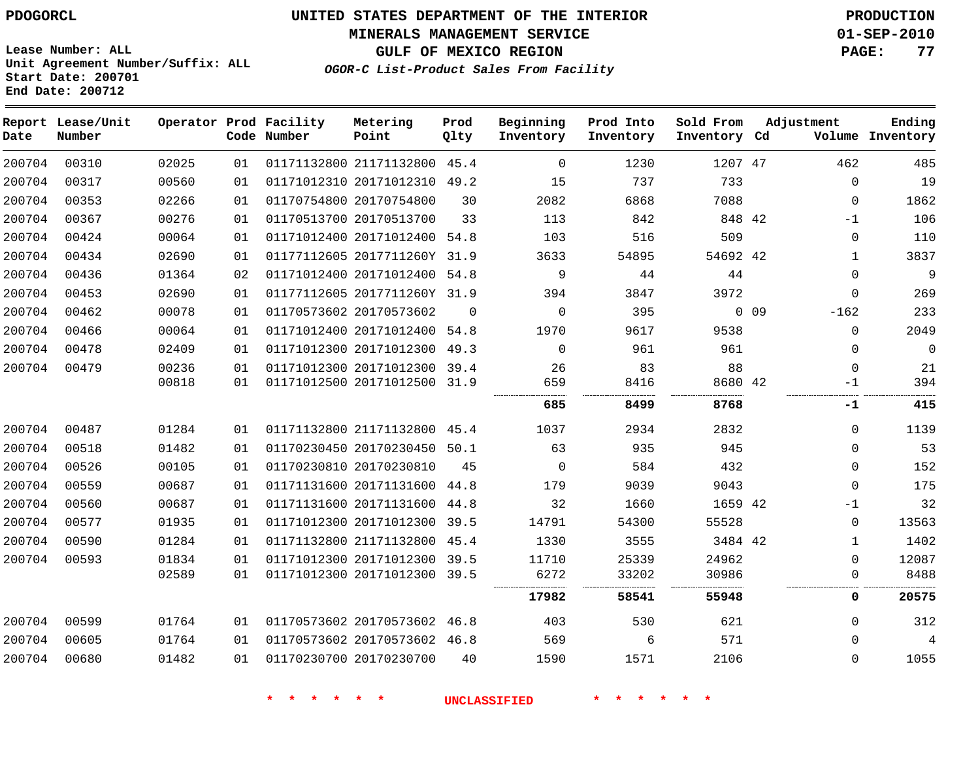**MINERALS MANAGEMENT SERVICE 01-SEP-2010**

**Lease Number: ALL Unit Agreement Number/Suffix: ALL Start Date: 200701 End Date: 200712**

**GULF OF MEXICO REGION PAGE: 77 OGOR-C List-Product Sales From Facility**

| Date   | Report Lease/Unit<br>Number |       |    | Operator Prod Facility<br>Code Number | Metering<br>Point            | Prod<br>Qlty | Beginning<br>Inventory | Prod Into<br>Inventory | Sold From<br>Inventory Cd |                 | Adjustment   | Ending<br>Volume Inventory |
|--------|-----------------------------|-------|----|---------------------------------------|------------------------------|--------------|------------------------|------------------------|---------------------------|-----------------|--------------|----------------------------|
| 200704 | 00310                       | 02025 | 01 |                                       | 01171132800 21171132800 45.4 |              | 0                      | 1230                   | 1207 47                   |                 | 462          | 485                        |
| 200704 | 00317                       | 00560 | 01 |                                       | 01171012310 20171012310 49.2 |              | 15                     | 737                    | 733                       |                 | $\Omega$     | 19                         |
| 200704 | 00353                       | 02266 | 01 |                                       | 01170754800 20170754800      | 30           | 2082                   | 6868                   | 7088                      |                 | $\mathbf 0$  | 1862                       |
| 200704 | 00367                       | 00276 | 01 |                                       | 01170513700 20170513700      | 33           | 113                    | 842                    | 848 42                    |                 | $-1$         | 106                        |
| 200704 | 00424                       | 00064 | 01 |                                       | 01171012400 20171012400 54.8 |              | 103                    | 516                    | 509                       |                 | $\mathbf 0$  | 110                        |
| 200704 | 00434                       | 02690 | 01 |                                       | 01177112605 2017711260Y 31.9 |              | 3633                   | 54895                  | 54692 42                  |                 | $\mathbf{1}$ | 3837                       |
| 200704 | 00436                       | 01364 | 02 |                                       | 01171012400 20171012400 54.8 |              | 9                      | 44                     | 44                        |                 | $\Omega$     | 9                          |
| 200704 | 00453                       | 02690 | 01 |                                       | 01177112605 2017711260Y 31.9 |              | 394                    | 3847                   | 3972                      |                 | $\mathbf{0}$ | 269                        |
| 200704 | 00462                       | 00078 | 01 |                                       | 01170573602 20170573602      | $\Omega$     | $\mathbf 0$            | 395                    |                           | 0 <sub>09</sub> | $-162$       | 233                        |
| 200704 | 00466                       | 00064 | 01 |                                       | 01171012400 20171012400 54.8 |              | 1970                   | 9617                   | 9538                      |                 | $\Omega$     | 2049                       |
| 200704 | 00478                       | 02409 | 01 |                                       | 01171012300 20171012300      | 49.3         | $\Omega$               | 961                    | 961                       |                 | 0            | 0                          |
| 200704 | 00479                       | 00236 | 01 |                                       | 01171012300 20171012300 39.4 |              | 26                     | 83                     | 88                        |                 | $\mathbf 0$  | 21                         |
|        |                             | 00818 | 01 |                                       | 01171012500 20171012500 31.9 |              | 659                    | 8416                   | 8680 42                   |                 | $-1$         | 394                        |
|        |                             |       |    |                                       |                              |              | <br>685                | 8499                   | 8768                      |                 | -1           | 415                        |
| 200704 | 00487                       | 01284 | 01 |                                       | 01171132800 21171132800 45.4 |              | 1037                   | 2934                   | 2832                      |                 | $\Omega$     | 1139                       |
| 200704 | 00518                       | 01482 | 01 |                                       | 01170230450 20170230450      | 50.1         | 63                     | 935                    | 945                       |                 | $\Omega$     | 53                         |
| 200704 | 00526                       | 00105 | 01 |                                       | 01170230810 20170230810      | 45           | $\Omega$               | 584                    | 432                       |                 | $\Omega$     | 152                        |
| 200704 | 00559                       | 00687 | 01 |                                       | 01171131600 20171131600      | 44.8         | 179                    | 9039                   | 9043                      |                 | $\mathbf{0}$ | 175                        |
| 200704 | 00560                       | 00687 | 01 |                                       | 01171131600 20171131600      | 44.8         | 32                     | 1660                   | 1659 42                   |                 | -1           | 32                         |
| 200704 | 00577                       | 01935 | 01 |                                       | 01171012300 20171012300 39.5 |              | 14791                  | 54300                  | 55528                     |                 | 0            | 13563                      |
| 200704 | 00590                       | 01284 | 01 |                                       | 01171132800 21171132800      | 45.4         | 1330                   | 3555                   | 3484 42                   |                 | 1            | 1402                       |
| 200704 | 00593                       | 01834 | 01 |                                       | 01171012300 20171012300 39.5 |              | 11710                  | 25339                  | 24962                     |                 | 0            | 12087                      |
|        |                             | 02589 | 01 |                                       | 01171012300 20171012300 39.5 |              | 6272                   | 33202                  | 30986                     |                 | 0            | 8488                       |
|        |                             |       |    |                                       |                              |              | 17982                  | 58541                  | 55948                     |                 | $\mathbf 0$  | 20575                      |
| 200704 | 00599                       | 01764 | 01 |                                       | 01170573602 20170573602 46.8 |              | 403                    | 530                    | 621                       |                 | $\Omega$     | 312                        |
| 200704 | 00605                       | 01764 | 01 |                                       | 01170573602 20170573602 46.8 |              | 569                    | 6                      | 571                       |                 | $\Omega$     | $\overline{4}$             |
| 200704 | 00680                       | 01482 | 01 |                                       | 01170230700 20170230700      | 40           | 1590                   | 1571                   | 2106                      |                 | $\Omega$     | 1055                       |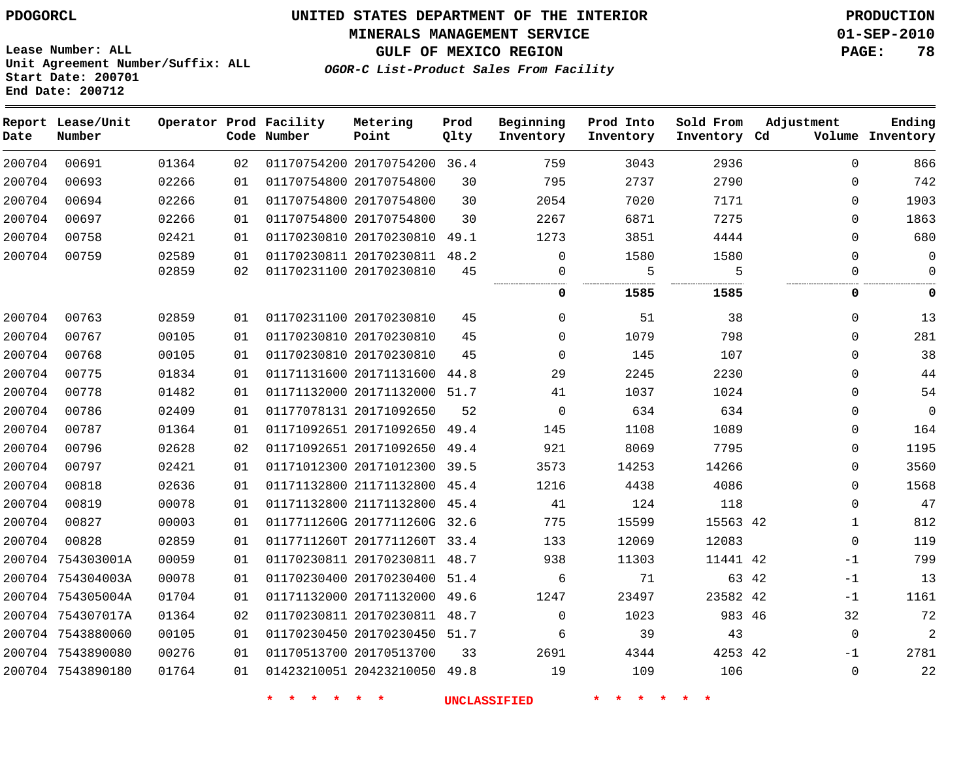#### **MINERALS MANAGEMENT SERVICE 01-SEP-2010**

**GULF OF MEXICO REGION PAGE: 78**

**Lease Number: ALL Unit Agreement Number/Suffix: ALL Start Date: 200701 End Date: 200712**

**OGOR-C List-Product Sales From Facility**

| Date   | Report Lease/Unit<br>Number |       |    | Operator Prod Facility<br>Code Number | Metering<br>Point            | Prod<br>Qlty | Beginning<br>Inventory | Prod Into<br>Inventory | Sold From<br>Inventory Cd | Adjustment   | Ending<br>Volume Inventory |
|--------|-----------------------------|-------|----|---------------------------------------|------------------------------|--------------|------------------------|------------------------|---------------------------|--------------|----------------------------|
| 200704 | 00691                       | 01364 | 02 |                                       | 01170754200 20170754200 36.4 |              | 759                    | 3043                   | 2936                      | $\Omega$     | 866                        |
| 200704 | 00693                       | 02266 | 01 |                                       | 01170754800 20170754800      | 30           | 795                    | 2737                   | 2790                      | 0            | 742                        |
| 200704 | 00694                       | 02266 | 01 |                                       | 01170754800 20170754800      | 30           | 2054                   | 7020                   | 7171                      | $\Omega$     | 1903                       |
| 200704 | 00697                       | 02266 | 01 |                                       | 01170754800 20170754800      | 30           | 2267                   | 6871                   | 7275                      | $\Omega$     | 1863                       |
| 200704 | 00758                       | 02421 | 01 |                                       | 01170230810 20170230810      | 49.1         | 1273                   | 3851                   | 4444                      | $\mathbf{0}$ | 680                        |
| 200704 | 00759                       | 02589 | 01 |                                       | 01170230811 20170230811      | 48.2         | $\mathbf 0$            | 1580                   | 1580                      | $\Omega$     | $\mathbf 0$                |
|        |                             | 02859 | 02 |                                       | 01170231100 20170230810      | 45           | 0                      | 5                      | 5                         | $\Omega$     | $\mathbf 0$                |
|        |                             |       |    |                                       |                              |              | 0                      | 1585                   | 1585                      | 0            | 0                          |
| 200704 | 00763                       | 02859 | 01 |                                       | 01170231100 20170230810      | 45           | $\Omega$               | 51                     | 38                        | $\Omega$     | 13                         |
| 200704 | 00767                       | 00105 | 01 |                                       | 01170230810 20170230810      | 45           | $\Omega$               | 1079                   | 798                       | $\Omega$     | 281                        |
| 200704 | 00768                       | 00105 | 01 |                                       | 01170230810 20170230810      | 45           | $\Omega$               | 145                    | 107                       | $\Omega$     | 38                         |
| 200704 | 00775                       | 01834 | 01 |                                       | 01171131600 20171131600      | 44.8         | 29                     | 2245                   | 2230                      | 0            | 44                         |
| 200704 | 00778                       | 01482 | 01 |                                       | 01171132000 20171132000 51.7 |              | 41                     | 1037                   | 1024                      | $\Omega$     | 54                         |
| 200704 | 00786                       | 02409 | 01 |                                       | 01177078131 20171092650      | 52           | $\mathbf 0$            | 634                    | 634                       | $\mathbf{0}$ | $\mathbf 0$                |
| 200704 | 00787                       | 01364 | 01 |                                       | 01171092651 20171092650 49.4 |              | 145                    | 1108                   | 1089                      | $\mathbf{0}$ | 164                        |
| 200704 | 00796                       | 02628 | 02 |                                       | 01171092651 20171092650      | 49.4         | 921                    | 8069                   | 7795                      | 0            | 1195                       |
| 200704 | 00797                       | 02421 | 01 |                                       | 01171012300 20171012300 39.5 |              | 3573                   | 14253                  | 14266                     | $\Omega$     | 3560                       |
| 200704 | 00818                       | 02636 | 01 |                                       | 01171132800 21171132800 45.4 |              | 1216                   | 4438                   | 4086                      | $\Omega$     | 1568                       |
| 200704 | 00819                       | 00078 | 01 |                                       | 01171132800 21171132800 45.4 |              | 41                     | 124                    | 118                       | $\Omega$     | 47                         |
| 200704 | 00827                       | 00003 | 01 |                                       | 0117711260G 2017711260G      | 32.6         | 775                    | 15599                  | 15563 42                  | $\mathbf{1}$ | 812                        |
| 200704 | 00828                       | 02859 | 01 |                                       | 0117711260T 2017711260T 33.4 |              | 133                    | 12069                  | 12083                     | 0            | 119                        |
|        | 200704 754303001A           | 00059 | 01 |                                       | 01170230811 20170230811 48.7 |              | 938                    | 11303                  | 11441 42                  | $-1$         | 799                        |
|        | 200704 754304003A           | 00078 | 01 |                                       | 01170230400 20170230400 51.4 |              | 6                      | 71                     | 63 42                     | $-1$         | 13                         |
|        | 200704 754305004A           | 01704 | 01 |                                       | 01171132000 20171132000 49.6 |              | 1247                   | 23497                  | 23582 42                  | $-1$         | 1161                       |
|        | 200704 754307017A           | 01364 | 02 |                                       | 01170230811 20170230811 48.7 |              | $\mathbf 0$            | 1023                   | 983 46                    | 32           | 72                         |
|        | 200704 7543880060           | 00105 | 01 |                                       | 01170230450 20170230450 51.7 |              | 6                      | 39                     | 43                        | $\mathbf{0}$ | $\overline{2}$             |
|        | 200704 7543890080           | 00276 | 01 |                                       | 01170513700 20170513700      | 33           | 2691                   | 4344                   | 4253 42                   | $-1$         | 2781                       |
|        | 200704 7543890180           | 01764 | 01 |                                       | 01423210051 20423210050 49.8 |              | 19                     | 109                    | 106                       | $\mathbf{0}$ | 22                         |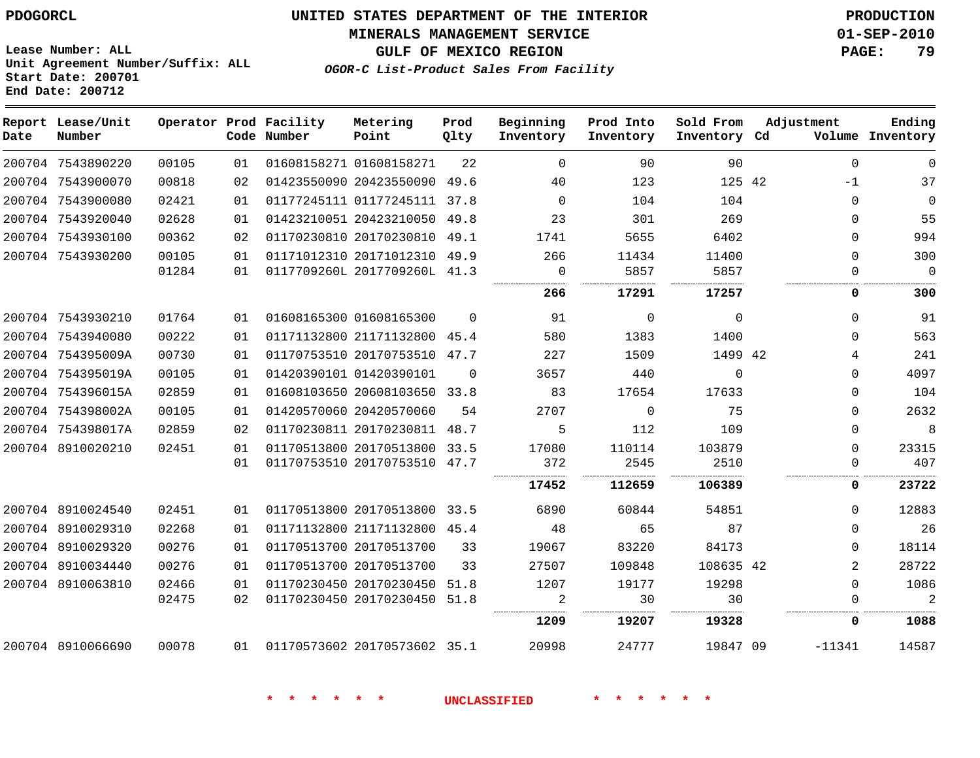**MINERALS MANAGEMENT SERVICE 01-SEP-2010**

**GULF OF MEXICO REGION PAGE: 79**

**Lease Number: ALL Unit Agreement Number/Suffix: ALL Start Date: 200701 End Date: 200712**

**OGOR-C List-Product Sales From Facility**

| Date | Report Lease/Unit<br>Number |       |    | Operator Prod Facility<br>Code Number | Metering<br>Point            | Prod<br>Qlty | Beginning<br>Inventory | Prod Into<br>Inventory | Sold From<br>Inventory Cd | Adjustment     | Ending<br>Volume Inventory |
|------|-----------------------------|-------|----|---------------------------------------|------------------------------|--------------|------------------------|------------------------|---------------------------|----------------|----------------------------|
|      | 200704 7543890220           | 00105 | 01 |                                       | 01608158271 01608158271      | 22           | $\overline{0}$         | 90                     | 90                        | $\Omega$       | $\Omega$                   |
|      | 200704 7543900070           | 00818 | 02 |                                       | 01423550090 20423550090 49.6 |              | 40                     | 123                    | 125 42                    | $-1$           | 37                         |
|      | 200704 7543900080           | 02421 | 01 |                                       | 01177245111 01177245111 37.8 |              | $\overline{0}$         | 104                    | 104                       | $\Omega$       | $\mathbf 0$                |
|      | 200704 7543920040           | 02628 | 01 |                                       | 01423210051 20423210050 49.8 |              | 23                     | 301                    | 269                       | $\Omega$       | 55                         |
|      | 200704 7543930100           | 00362 | 02 |                                       | 01170230810 20170230810 49.1 |              | 1741                   | 5655                   | 6402                      | $\Omega$       | 994                        |
|      | 200704 7543930200           | 00105 | 01 |                                       | 01171012310 20171012310 49.9 |              | 266                    | 11434                  | 11400                     | $\Omega$       | 300                        |
|      |                             | 01284 | 01 |                                       | 0117709260L 2017709260L 41.3 |              | $\overline{0}$         | 5857                   | 5857                      | $\Omega$       | $\Omega$                   |
|      |                             |       |    |                                       |                              |              | 266                    | 17291                  | 17257                     | 0              | 300                        |
|      | 200704 7543930210           | 01764 | 01 |                                       | 01608165300 01608165300      | $\Omega$     | 91                     | $\mathbf 0$            | $\Omega$                  | $\Omega$       | 91                         |
|      | 200704 7543940080           | 00222 | 01 |                                       | 01171132800 21171132800 45.4 |              | 580                    | 1383                   | 1400                      | $\Omega$       | 563                        |
|      | 200704 754395009A           | 00730 | 01 |                                       | 01170753510 20170753510 47.7 |              | 227                    | 1509                   | 1499 42                   | 4              | 241                        |
|      | 200704 754395019A           | 00105 | 01 |                                       | 01420390101 01420390101      | $\Omega$     | 3657                   | 440                    | $\Omega$                  | $\Omega$       | 4097                       |
|      | 200704 754396015A           | 02859 | 01 |                                       | 01608103650 20608103650 33.8 |              | 83                     | 17654                  | 17633                     | $\Omega$       | 104                        |
|      | 200704 754398002A           | 00105 | 01 |                                       | 01420570060 20420570060      | 54           | 2707                   | $\overline{0}$         | 75                        | $\Omega$       | 2632                       |
|      | 200704 754398017A           | 02859 | 02 |                                       | 01170230811 20170230811 48.7 |              | 5                      | 112                    | 109                       | $\Omega$       | 8                          |
|      | 200704 8910020210           | 02451 | 01 |                                       | 01170513800 20170513800 33.5 |              | 17080                  | 110114                 | 103879                    | $\Omega$       | 23315                      |
|      |                             |       | 01 |                                       | 01170753510 20170753510 47.7 |              | 372                    | 2545                   | 2510                      | $\Omega$       | 407                        |
|      |                             |       |    |                                       |                              |              | 17452                  | 112659                 | 106389                    | 0              | 23722                      |
|      | 200704 8910024540           | 02451 | 01 |                                       | 01170513800 20170513800 33.5 |              | 6890                   | 60844                  | 54851                     | $\Omega$       | 12883                      |
|      | 200704 8910029310           | 02268 | 01 |                                       | 01171132800 21171132800 45.4 |              | 48                     | 65                     | 87                        | $\Omega$       | 26                         |
|      | 200704 8910029320           | 00276 | 01 |                                       | 01170513700 20170513700      | 33           | 19067                  | 83220                  | 84173                     | $\Omega$       | 18114                      |
|      | 200704 8910034440           | 00276 | 01 |                                       | 01170513700 20170513700      | 33           | 27507                  | 109848                 | 108635 42                 | $\overline{2}$ | 28722                      |
|      | 200704 8910063810           | 02466 | 01 |                                       | 01170230450 20170230450 51.8 |              | 1207                   | 19177                  | 19298                     | $\Omega$       | 1086                       |
|      |                             | 02475 | 02 |                                       | 01170230450 20170230450      | 51.8         | 2                      | 30                     | 30                        | $\mathbf 0$    | $\overline{2}$             |
|      |                             |       |    |                                       |                              |              | 1209                   | 19207                  | 19328                     | 0              | 1088                       |
|      | 200704 8910066690           | 00078 | 01 |                                       | 01170573602 20170573602 35.1 |              | 20998                  | 24777                  | 19847 09                  | $-11341$       | 14587                      |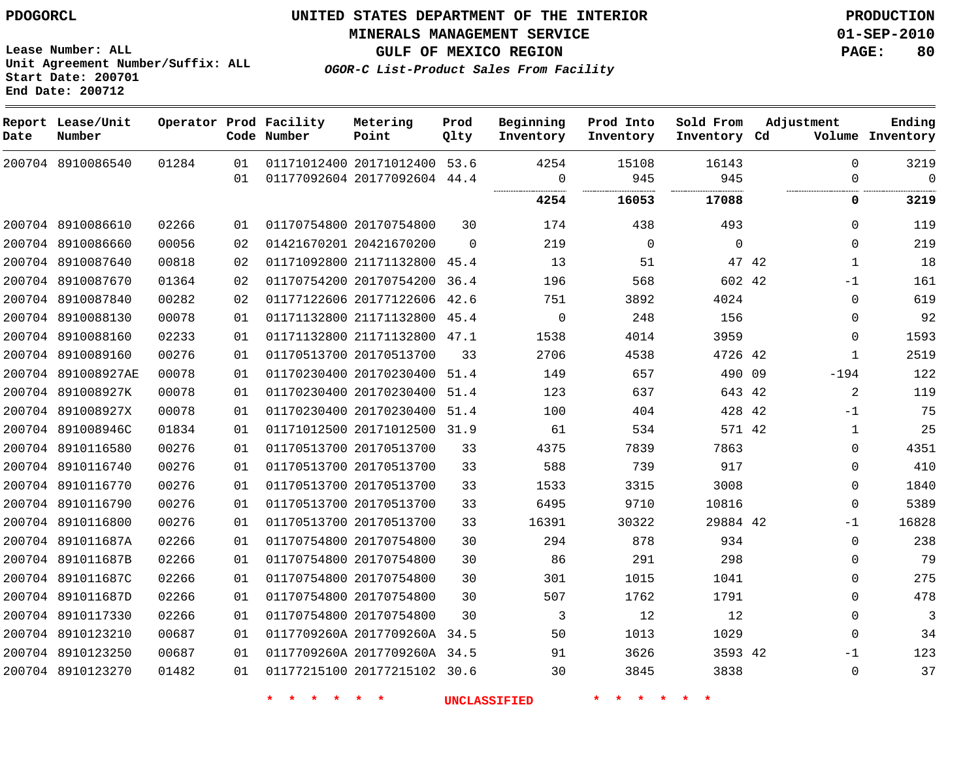**Start Date: 200701 End Date: 200712**

**Unit Agreement Number/Suffix: ALL**

# **UNITED STATES DEPARTMENT OF THE INTERIOR PDOGORCL PRODUCTION**

**MINERALS MANAGEMENT SERVICE 01-SEP-2010**

**GULF OF MEXICO REGION PAGE: 80**

**OGOR-C List-Product Sales From Facility**

| Date | Report Lease/Unit<br>Number |       |    | Operator Prod Facility<br>Code Number | Metering<br>Point            | Prod<br>Qlty | Beginning<br>Inventory | Prod Into<br>Inventory | Sold From<br>Inventory Cd | Adjustment     | Ending<br>Volume Inventory |
|------|-----------------------------|-------|----|---------------------------------------|------------------------------|--------------|------------------------|------------------------|---------------------------|----------------|----------------------------|
|      | 200704 8910086540           | 01284 | 01 |                                       | 01171012400 20171012400 53.6 |              | 4254                   | 15108                  | 16143                     | $\mathbf 0$    | 3219                       |
|      |                             |       | 01 |                                       | 01177092604 20177092604 44.4 |              | $\mathbf 0$<br>        | 945<br>.               | 945                       | $\mathbf 0$    | $\Omega$<br>.              |
|      |                             |       |    |                                       |                              |              | 4254                   | 16053                  | 17088                     | 0              | 3219                       |
|      | 200704 8910086610           | 02266 | 01 |                                       | 01170754800 20170754800      | 30           | 174                    | 438                    | 493                       | $\mathbf 0$    | 119                        |
|      | 200704 8910086660           | 00056 | 02 |                                       | 01421670201 20421670200      | $\Omega$     | 219                    | $\mathbf 0$            | $\mathbf 0$               | $\mathbf 0$    | 219                        |
|      | 200704 8910087640           | 00818 | 02 |                                       | 01171092800 21171132800      | 45.4         | 13                     | 51                     | 47 42                     | $\mathbf{1}$   | 18                         |
|      | 200704 8910087670           | 01364 | 02 |                                       | 01170754200 20170754200      | 36.4         | 196                    | 568                    | 602 42                    | $-1$           | 161                        |
|      | 200704 8910087840           | 00282 | 02 |                                       | 01177122606 20177122606      | 42.6         | 751                    | 3892                   | 4024                      | $\mathbf 0$    | 619                        |
|      | 200704 8910088130           | 00078 | 01 |                                       | 01171132800 21171132800      | 45.4         | $\mathbf 0$            | 248                    | 156                       | $\mathbf 0$    | 92                         |
|      | 200704 8910088160           | 02233 | 01 |                                       | 01171132800 21171132800      | 47.1         | 1538                   | 4014                   | 3959                      | $\mathbf 0$    | 1593                       |
|      | 200704 8910089160           | 00276 | 01 |                                       | 01170513700 20170513700      | 33           | 2706                   | 4538                   | 4726 42                   | $\mathbf 1$    | 2519                       |
|      | 200704 891008927AE          | 00078 | 01 |                                       | 01170230400 20170230400      | 51.4         | 149                    | 657                    | 490 09                    | $-194$         | 122                        |
|      | 200704 891008927K           | 00078 | 01 |                                       | 01170230400 20170230400      | 51.4         | 123                    | 637                    | 643 42                    | $\overline{a}$ | 119                        |
|      | 200704 891008927X           | 00078 | 01 |                                       | 01170230400 20170230400      | 51.4         | 100                    | 404                    | 428 42                    | $-1$           | 75                         |
|      | 200704 891008946C           | 01834 | 01 |                                       | 01171012500 20171012500      | 31.9         | 61                     | 534                    | 571 42                    | $\mathbf{1}$   | 25                         |
|      | 200704 8910116580           | 00276 | 01 |                                       | 01170513700 20170513700      | 33           | 4375                   | 7839                   | 7863                      | $\mathbf 0$    | 4351                       |
|      | 200704 8910116740           | 00276 | 01 |                                       | 01170513700 20170513700      | 33           | 588                    | 739                    | 917                       | $\Omega$       | 410                        |
|      | 200704 8910116770           | 00276 | 01 |                                       | 01170513700 20170513700      | 33           | 1533                   | 3315                   | 3008                      | 0              | 1840                       |
|      | 200704 8910116790           | 00276 | 01 |                                       | 01170513700 20170513700      | 33           | 6495                   | 9710                   | 10816                     | $\mathbf 0$    | 5389                       |
|      | 200704 8910116800           | 00276 | 01 |                                       | 01170513700 20170513700      | 33           | 16391                  | 30322                  | 29884 42                  | $-1$           | 16828                      |
|      | 200704 891011687A           | 02266 | 01 |                                       | 01170754800 20170754800      | 30           | 294                    | 878                    | 934                       | $\mathbf 0$    | 238                        |
|      | 200704 891011687B           | 02266 | 01 |                                       | 01170754800 20170754800      | 30           | 86                     | 291                    | 298                       | $\mathbf 0$    | 79                         |
|      | 200704 891011687C           | 02266 | 01 |                                       | 01170754800 20170754800      | 30           | 301                    | 1015                   | 1041                      | $\mathbf 0$    | 275                        |
|      | 200704 891011687D           | 02266 | 01 |                                       | 01170754800 20170754800      | 30           | 507                    | 1762                   | 1791                      | $\mathbf 0$    | 478                        |
|      | 200704 8910117330           | 02266 | 01 |                                       | 01170754800 20170754800      | 30           | 3                      | 12                     | 12                        | $\Omega$       | 3                          |
|      | 200704 8910123210           | 00687 | 01 |                                       | 0117709260A 2017709260A      | 34.5         | 50                     | 1013                   | 1029                      | $\mathbf 0$    | 34                         |
|      | 200704 8910123250           | 00687 | 01 |                                       | 0117709260A 2017709260A 34.5 |              | 91                     | 3626                   | 3593 42                   | $-1$           | 123                        |
|      | 200704 8910123270           | 01482 | 01 |                                       | 01177215100 20177215102      | 30.6         | 30                     | 3845                   | 3838                      | $\Omega$       | 37                         |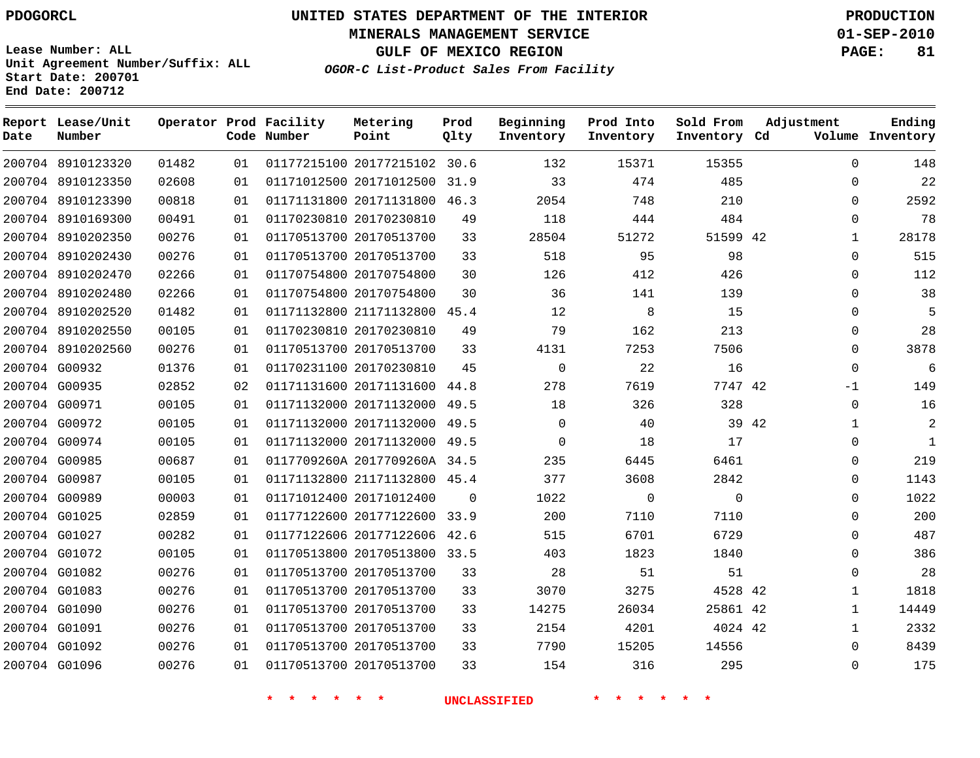**Start Date: 200701 End Date: 200712**

**Unit Agreement Number/Suffix: ALL**

# **UNITED STATES DEPARTMENT OF THE INTERIOR PDOGORCL PRODUCTION**

**MINERALS MANAGEMENT SERVICE 01-SEP-2010**

**GULF OF MEXICO REGION PAGE: 81**

**OGOR-C List-Product Sales From Facility**

 8910123320 8910123350 8910123390 8910169300 8910202350 8910202430 8910202470 8910202480 8910202520 8910202550 8910202560 G00932 G00935 G00971 G00972 G00974 G00985 G00987 G00989 G01025 G01027 G01072 G01082 G01083 G01090 G01091 G01092 G01096 **Report Lease/Unit Date Number Operator Prod Facility Code Number** 20177215102 30.6 20171012500 31.9 20171131800 20170230810 20170513700 20170513700 20170754800 20170754800 21171132800 45.4 20170230810 20170513700 20170230810 20171131600 20171132000 49.5 20171132000 49.5 20171132000 49.5 0117709260A 2017709260A 34.5 21171132800 45.4 20171012400 20177122600 33.9 20177122606 20170513800 33.5 20170513700 20170513700 20170513700 20170513700 20170513700 20170513700 **Metering Point** 42 42 42 42 42 42 46.3 44.8  $\Omega$ 42.6 **Prod Qlty**  $\Omega$   $\Omega$  **Beginning Inventory Ending Inventory Cd Volume**  $\Omega$  **Prod Into Inventory**  $\Omega$  **Sold From Inventory**  $\Omega$  $\Omega$  $\cap$  $\Omega$   $\Omega$  $\Omega$  $\Omega$   $\Omega$  -1  $\Omega$  $\Omega$  $\Omega$   $\Omega$  $\Omega$  $\Omega$   $\Omega$  $\Omega$ **Adjustment**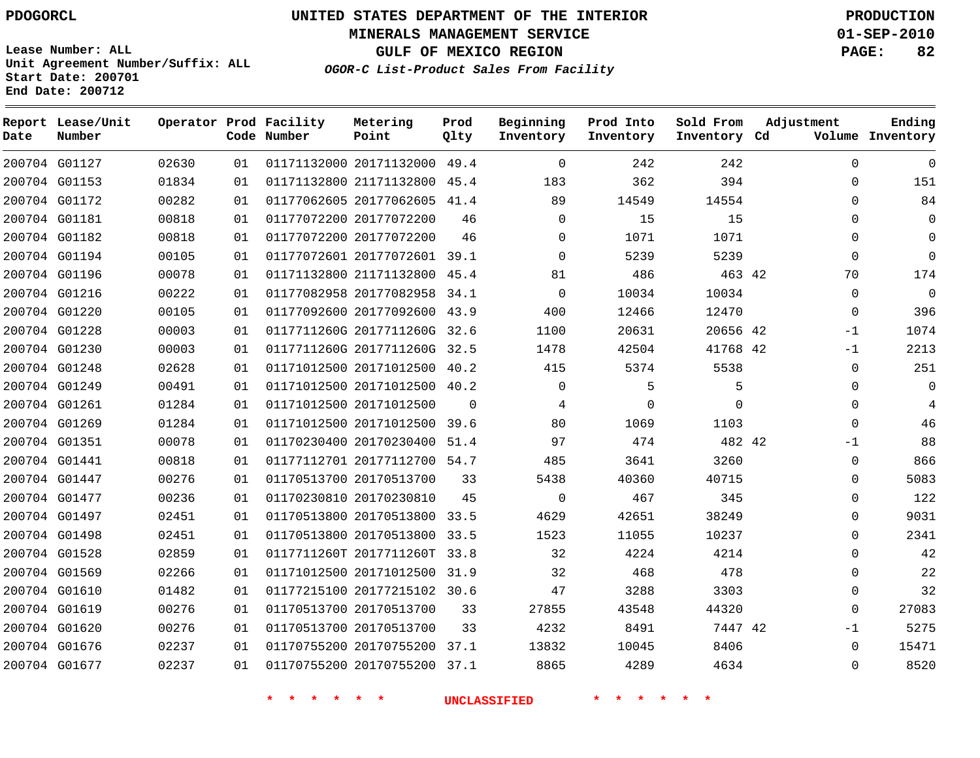**Start Date: 200701 End Date: 200712**

**Unit Agreement Number/Suffix: ALL**

# **UNITED STATES DEPARTMENT OF THE INTERIOR PDOGORCL PRODUCTION**

**MINERALS MANAGEMENT SERVICE 01-SEP-2010**

**GULF OF MEXICO REGION PAGE: 82**

**OGOR-C List-Product Sales From Facility**

 G01127 G01153 G01172 G01181 G01182 G01194 G01196 G01216 G01220 G01228 G01230 G01248 G01249 G01261 G01269 G01351 G01441 G01447 G01477 G01497 G01498 G01528 G01569 G01610 G01619 G01620 G01676 G01677 **Report Lease/Unit Date Number Operator Prod Facility Code Number** 20171132000 49.4 21171132800 20177062605 41.4 20177072200 20177072200 20177072601 39.1 21171132800 45.4 20177082958 34.1 20177092600 43.9 0117711260G 2017711260G 32.6 0117711260G 2017711260G 32.5 20171012500 40.2 20171012500 40.2 20171012500 20171012500 39.6 20170230400 51.4 20177112700 54.7 20170513700 20170230810 20170513800 33.5 20170513800 33.5 0117711260T 2017711260T 33.8 20171012500 31.9 20177215102 30.6 20170513700 20170513700 20170755200 20170755200 37.1 **Metering Point** 42 42 42 42 42 45.4  $\Omega$  37.1 **Prod Qlty**  $\Omega$   $\Omega$  $\Omega$  $\Omega$   $\Omega$   $\Omega$  **Beginning Inventory**  $\Omega$   $\Omega$  $\Omega$  $\Omega$   $\Omega$   $\Omega$  **Ending Inventory Cd Volume**  $\Omega$  **Prod Into Inventory**  $\Omega$  **Sold From Inventory**  $\Omega$  $\Omega$  $\cap$  $\Omega$  $\Omega$  $\Omega$   $\Omega$  -1 -1  $\Omega$  -1  $\Omega$  $\Omega$  $\Omega$  $\Omega$  $\Omega$  $\Omega$  $\Omega$  $\Omega$  $\Omega$  $-1$  $\Omega$  $\Omega$ **Adjustment**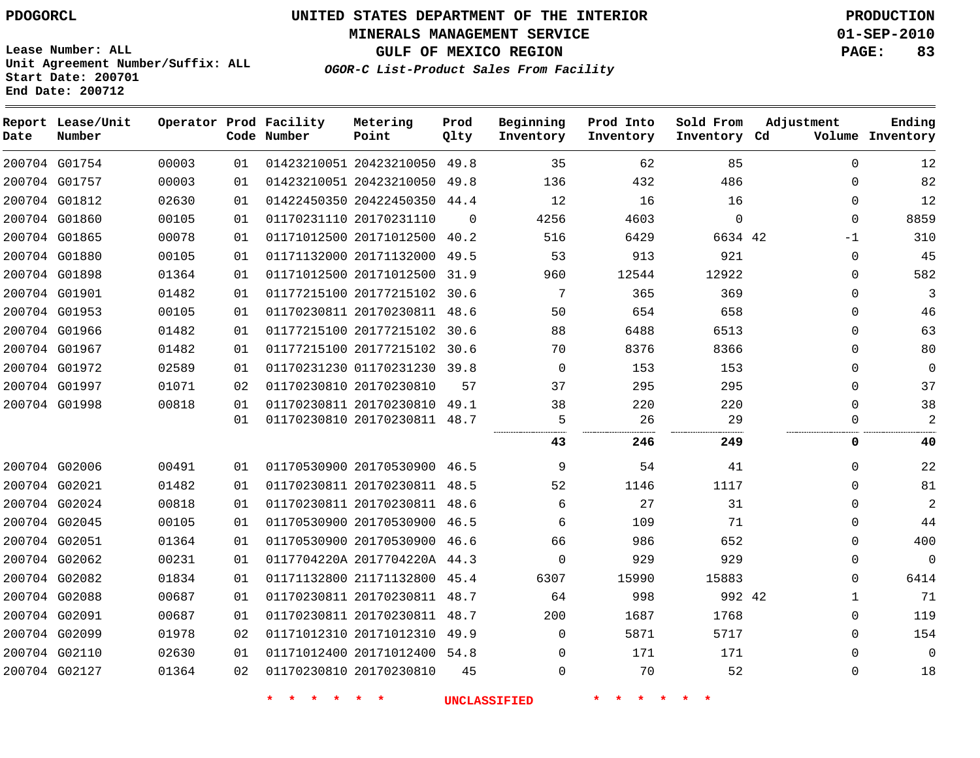**Report Lease/Unit**

# **UNITED STATES DEPARTMENT OF THE INTERIOR PDOGORCL PRODUCTION**

**MINERALS MANAGEMENT SERVICE 01-SEP-2010**

**GULF OF MEXICO REGION PAGE: 83**

**Lease Number: ALL Unit Agreement Number/Suffix: ALL Start Date: 200701 End Date: 200712**

**Operator Prod Facility**

**Adjustment**

**Ending**

**OGOR-C List-Product Sales From Facility**

**Beginning Inventory** **Prod Into Inventory**

**Sold From Inventory**

**Prod Qlty**

**Metering Point**

| Date | Number        |       |    | Code Number | Point                        | Qlty     | Inventory | Inventory | Inventory Cd |             | Volume Inventory |
|------|---------------|-------|----|-------------|------------------------------|----------|-----------|-----------|--------------|-------------|------------------|
|      | 200704 G01754 | 00003 | 01 |             | 01423210051 20423210050 49.8 |          | 35        | 62        | 85           | $\Omega$    | 12               |
|      | 200704 G01757 | 00003 | 01 |             | 01423210051 20423210050 49.8 |          | 136       | 432       | 486          | $\Omega$    | 82               |
|      | 200704 G01812 | 02630 | 01 |             | 01422450350 20422450350 44.4 |          | 12        | 16        | 16           | $\mathbf 0$ | 12               |
|      | 200704 G01860 | 00105 | 01 |             | 01170231110 20170231110      | $\Omega$ | 4256      | 4603      | $\mathbf 0$  | 0           | 8859             |
|      | 200704 G01865 | 00078 | 01 |             | 01171012500 20171012500 40.2 |          | 516       | 6429      | 6634 42      | $-1$        | 310              |
|      | 200704 G01880 | 00105 | 01 |             | 01171132000 20171132000 49.5 |          | 53        | 913       | 921          | $\mathbf 0$ | 45               |
|      | 200704 G01898 | 01364 | 01 |             | 01171012500 20171012500 31.9 |          | 960       | 12544     | 12922        | 0           | 582              |
|      | 200704 G01901 | 01482 | 01 |             | 01177215100 20177215102      | 30.6     | 7         | 365       | 369          | $\mathbf 0$ | 3                |
|      | 200704 G01953 | 00105 | 01 |             | 01170230811 20170230811 48.6 |          | 50        | 654       | 658          | $\mathbf 0$ | 46               |
|      | 200704 G01966 | 01482 | 01 |             | 01177215100 20177215102 30.6 |          | 88        | 6488      | 6513         | 0           | 63               |
|      | 200704 G01967 | 01482 | 01 |             | 01177215100 20177215102 30.6 |          | 70        | 8376      | 8366         | 0           | 80               |
|      | 200704 G01972 | 02589 | 01 |             | 01170231230 01170231230 39.8 |          | 0         | 153       | 153          | 0           | 0                |
|      | 200704 G01997 | 01071 | 02 |             | 01170230810 20170230810      | 57       | 37        | 295       | 295          | 0           | 37               |
|      | 200704 G01998 | 00818 | 01 |             | 01170230811 20170230810 49.1 |          | 38        | 220       | 220          | $\Omega$    | 38               |
|      |               |       | 01 |             | 01170230810 20170230811 48.7 |          | 5         | 26        | 29           | $\Omega$    | 2                |
|      |               |       |    |             |                              |          | 43        | 246       | 249          | 0           | 40               |
|      | 200704 G02006 | 00491 | 01 |             | 01170530900 20170530900 46.5 |          | 9         | 54        | 41           | $\Omega$    | 22               |
|      | 200704 G02021 | 01482 | 01 |             | 01170230811 20170230811 48.5 |          | 52        | 1146      | 1117         | $\Omega$    | 81               |
|      | 200704 G02024 | 00818 | 01 |             | 01170230811 20170230811 48.6 |          | 6         | 27        | 31           | $\Omega$    | $\overline{a}$   |
|      | 200704 G02045 | 00105 | 01 |             | 01170530900 20170530900 46.5 |          | 6         | 109       | 71           | $\Omega$    | 44               |
|      | 200704 G02051 | 01364 | 01 |             | 01170530900 20170530900 46.6 |          | 66        | 986       | 652          | 0           | 400              |
|      | 200704 G02062 | 00231 | 01 |             | 0117704220A 2017704220A 44.3 |          | 0         | 929       | 929          | $\mathbf 0$ | $\mathbf 0$      |
|      | 200704 G02082 | 01834 | 01 |             | 01171132800 21171132800 45.4 |          | 6307      | 15990     | 15883        | $\Omega$    | 6414             |
|      | 200704 G02088 | 00687 | 01 |             | 01170230811 20170230811 48.7 |          | 64        | 998       | 992 42       | 1           | 71               |
|      | 200704 G02091 | 00687 | 01 |             | 01170230811 20170230811 48.7 |          | 200       | 1687      | 1768         | 0           | 119              |
|      | 200704 G02099 | 01978 | 02 |             | 01171012310 20171012310      | 49.9     | 0         | 5871      | 5717         | 0           | 154              |
|      | 200704 G02110 | 02630 | 01 |             | 01171012400 20171012400 54.8 |          | 0         | 171       | 171          | 0           | $\mathbf 0$      |
|      | 200704 G02127 | 01364 | 02 |             | 01170230810 20170230810      | 45       | 0         | 70        | 52           | 0           | 18               |
|      |               |       |    |             |                              |          |           |           |              |             |                  |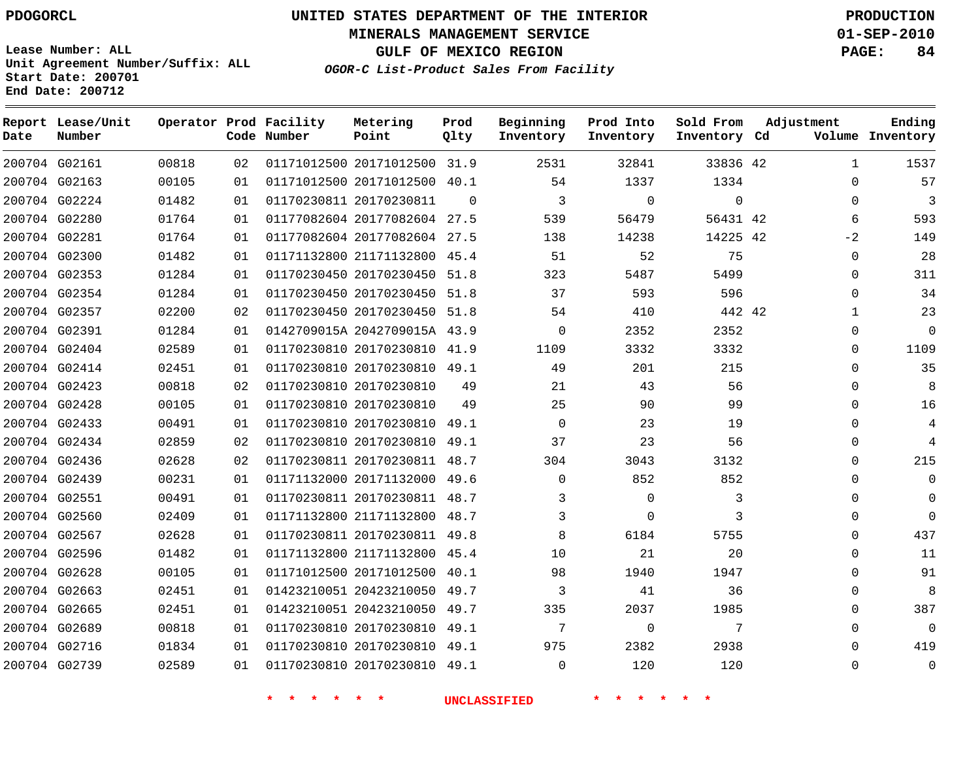**Start Date: 200701 End Date: 200712**

**Unit Agreement Number/Suffix: ALL**

# **UNITED STATES DEPARTMENT OF THE INTERIOR PDOGORCL PRODUCTION**

**MINERALS MANAGEMENT SERVICE 01-SEP-2010**

**GULF OF MEXICO REGION PAGE: 84**

**OGOR-C List-Product Sales From Facility**

| Date | Report Lease/Unit<br>Number |       |    | Operator Prod Facility<br>Code Number | Metering<br>Point            | Prod<br>Qlty | Beginning<br>Inventory | Prod Into<br>Inventory | Sold From<br>Inventory Cd | Adjustment   | Ending<br>Volume Inventory |
|------|-----------------------------|-------|----|---------------------------------------|------------------------------|--------------|------------------------|------------------------|---------------------------|--------------|----------------------------|
|      | 200704 G02161               | 00818 | 02 |                                       | 01171012500 20171012500 31.9 |              | 2531                   | 32841                  | 33836 42                  | $\mathbf{1}$ | 1537                       |
|      | 200704 G02163               | 00105 | 01 |                                       | 01171012500 20171012500      | 40.1         | 54                     | 1337                   | 1334                      | $\Omega$     | 57                         |
|      | 200704 G02224               | 01482 | 01 |                                       | 01170230811 20170230811      | $\Omega$     | 3                      | $\Omega$               | $\Omega$                  | $\Omega$     | 3                          |
|      | 200704 G02280               | 01764 | 01 |                                       | 01177082604 20177082604 27.5 |              | 539                    | 56479                  | 56431 42                  | 6            | 593                        |
|      | 200704 G02281               | 01764 | 01 |                                       | 01177082604 20177082604 27.5 |              | 138                    | 14238                  | 14225 42                  | $-2$         | 149                        |
|      | 200704 G02300               | 01482 | 01 |                                       | 01171132800 21171132800      | 45.4         | 51                     | 52                     | 75                        | 0            | 28                         |
|      | 200704 G02353               | 01284 | 01 |                                       | 01170230450 20170230450 51.8 |              | 323                    | 5487                   | 5499                      | 0            | 311                        |
|      | 200704 G02354               | 01284 | 01 |                                       | 01170230450 20170230450 51.8 |              | 37                     | 593                    | 596                       | 0            | 34                         |
|      | 200704 G02357               | 02200 | 02 |                                       | 01170230450 20170230450      | 51.8         | 54                     | 410                    | 442 42                    | $\mathbf{1}$ | 23                         |
|      | 200704 G02391               | 01284 | 01 |                                       | 0142709015A 2042709015A 43.9 |              | $\Omega$               | 2352                   | 2352                      | 0            | $\Omega$                   |
|      | 200704 G02404               | 02589 | 01 |                                       | 01170230810 20170230810      | 41.9         | 1109                   | 3332                   | 3332                      | 0            | 1109                       |
|      | 200704 G02414               | 02451 | 01 |                                       | 01170230810 20170230810      | 49.1         | 49                     | 201                    | 215                       | $\Omega$     | 35                         |
|      | 200704 G02423               | 00818 | 02 |                                       | 01170230810 20170230810      | 49           | 21                     | 43                     | 56                        | 0            | 8                          |
|      | 200704 G02428               | 00105 | 01 |                                       | 01170230810 20170230810      | 49           | 25                     | 90                     | 99                        | 0            | 16                         |
|      | 200704 G02433               | 00491 | 01 |                                       | 01170230810 20170230810      | 49.1         | $\Omega$               | 23                     | 19                        | $\Omega$     | $\overline{4}$             |
|      | 200704 G02434               | 02859 | 02 |                                       | 01170230810 20170230810 49.1 |              | 37                     | 23                     | 56                        | 0            | 4                          |
|      | 200704 G02436               | 02628 | 02 |                                       | 01170230811 20170230811 48.7 |              | 304                    | 3043                   | 3132                      | 0            | 215                        |
|      | 200704 G02439               | 00231 | 01 |                                       | 01171132000 20171132000 49.6 |              | $\Omega$               | 852                    | 852                       | 0            | $\mathbf 0$                |
|      | 200704 G02551               | 00491 | 01 |                                       | 01170230811 20170230811      | 48.7         | 3                      | $\mathbf 0$            | 3                         | 0            | $\Omega$                   |
|      | 200704 G02560               | 02409 | 01 |                                       | 01171132800 21171132800 48.7 |              | 3                      | $\Omega$               | 3                         | $\Omega$     | $\Omega$                   |
|      | 200704 G02567               | 02628 | 01 |                                       | 01170230811 20170230811 49.8 |              | 8                      | 6184                   | 5755                      | 0            | 437                        |
|      | 200704 G02596               | 01482 | 01 |                                       | 01171132800 21171132800      | 45.4         | 10                     | 21                     | 20                        | $\Omega$     | 11                         |
|      | 200704 G02628               | 00105 | 01 |                                       | 01171012500 20171012500      | 40.1         | 98                     | 1940                   | 1947                      | $\Omega$     | 91                         |
|      | 200704 G02663               | 02451 | 01 |                                       | 01423210051 20423210050      | 49.7         | 3                      | 41                     | 36                        | 0            | 8                          |
|      | 200704 G02665               | 02451 | 01 |                                       | 01423210051 20423210050      | 49.7         | 335                    | 2037                   | 1985                      | $\Omega$     | 387                        |
|      | 200704 G02689               | 00818 | 01 |                                       | 01170230810 20170230810      | 49.1         | 7                      | $\Omega$               | 7                         | 0            | $\Omega$                   |
|      | 200704 G02716               | 01834 | 01 |                                       | 01170230810 20170230810      | 49.1         | 975                    | 2382                   | 2938                      | 0            | 419                        |
|      | 200704 G02739               | 02589 | 01 |                                       | 01170230810 20170230810      | 49.1         | $\Omega$               | 120                    | 120                       | $\Omega$     | $\Omega$                   |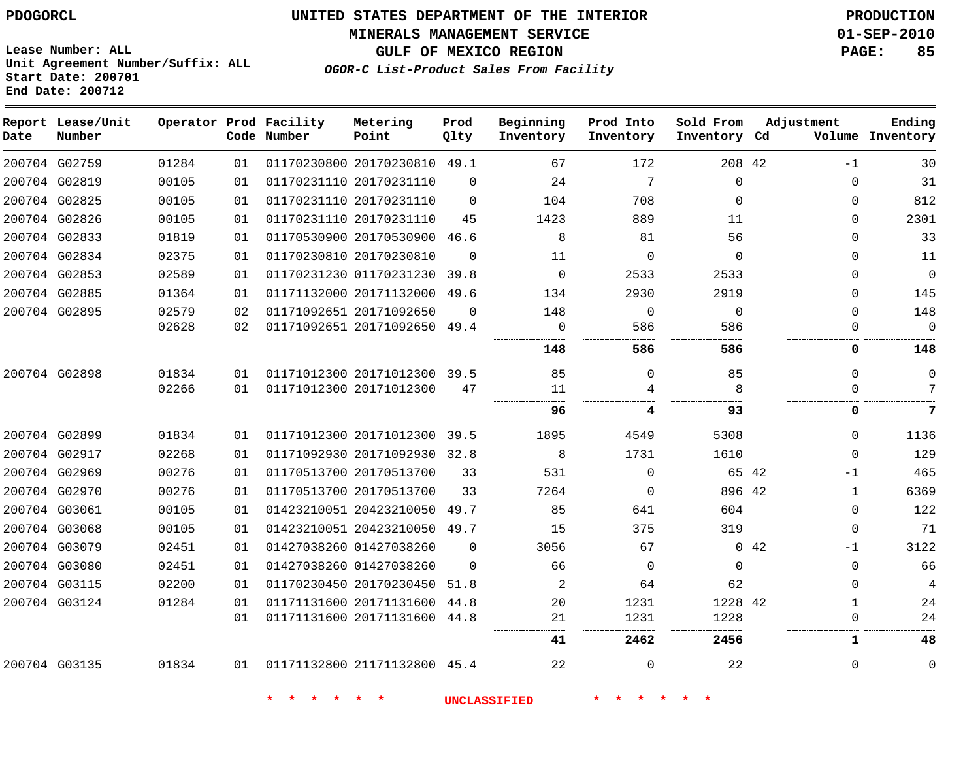#### **MINERALS MANAGEMENT SERVICE 01-SEP-2010**

**GULF OF MEXICO REGION PAGE: 85**

**Lease Number: ALL Unit Agreement Number/Suffix: ALL Start Date: 200701 End Date: 200712**

**OGOR-C List-Product Sales From Facility**

| Date | Report Lease/Unit<br>Number |       |    | Operator Prod Facility<br>Code Number | Metering<br>Point            | Prod<br>Qlty | Beginning<br>Inventory | Prod Into<br>Inventory | Sold From<br>Inventory Cd | Adjustment  |              | Ending<br>Volume Inventory |
|------|-----------------------------|-------|----|---------------------------------------|------------------------------|--------------|------------------------|------------------------|---------------------------|-------------|--------------|----------------------------|
|      | 200704 G02759               | 01284 | 01 |                                       | 01170230800 20170230810 49.1 |              | 67                     | 172                    | 208 42                    |             | $-1$         | 30                         |
|      | 200704 G02819               | 00105 | 01 |                                       | 01170231110 20170231110      | $\Omega$     | 24                     | 7                      | 0                         |             | $\Omega$     | 31                         |
|      | 200704 G02825               | 00105 | 01 |                                       | 01170231110 20170231110      | $\Omega$     | 104                    | 708                    | $\Omega$                  |             | 0            | 812                        |
|      | 200704 G02826               | 00105 | 01 |                                       | 01170231110 20170231110      | 45           | 1423                   | 889                    | 11                        |             | $\Omega$     | 2301                       |
|      | 200704 G02833               | 01819 | 01 |                                       | 01170530900 20170530900      | 46.6         | 8                      | 81                     | 56                        |             | $\Omega$     | 33                         |
|      | 200704 G02834               | 02375 | 01 |                                       | 01170230810 20170230810      | $\Omega$     | 11                     | $\Omega$               | $\Omega$                  |             | $\Omega$     | 11                         |
|      | 200704 G02853               | 02589 | 01 |                                       | 01170231230 01170231230      | 39.8         | $\Omega$               | 2533                   | 2533                      |             | $\Omega$     | $\mathbf{0}$               |
|      | 200704 G02885               | 01364 | 01 |                                       | 01171132000 20171132000      | 49.6         | 134                    | 2930                   | 2919                      |             | $\Omega$     | 145                        |
|      | 200704 G02895               | 02579 | 02 |                                       | 01171092651 20171092650      | $\Omega$     | 148                    | $\mathbf 0$            | $\mathbf 0$               |             | $\Omega$     | 148                        |
|      |                             | 02628 | 02 |                                       | 01171092651 20171092650      | 49.4         | 0                      | 586                    | 586                       |             | $\Omega$     | $\mathbf 0$                |
|      |                             |       |    |                                       |                              |              | 148                    | 586                    | 586                       |             | 0            | 148                        |
|      | 200704 G02898               | 01834 | 01 |                                       | 01171012300 20171012300 39.5 |              | 85                     | $\Omega$               | 85                        |             | $\Omega$     | $\mathbf 0$                |
|      |                             | 02266 | 01 |                                       | 01171012300 20171012300      | 47           | 11                     | 4                      | 8                         |             | $\Omega$     | 7                          |
|      |                             |       |    |                                       |                              |              | 96                     | 4                      | 93                        |             | 0            | 7                          |
|      | 200704 G02899               | 01834 | 01 |                                       | 01171012300 20171012300 39.5 |              | 1895                   | 4549                   | 5308                      |             | $\Omega$     | 1136                       |
|      | 200704 G02917               | 02268 | 01 |                                       | 01171092930 20171092930 32.8 |              | 8                      | 1731                   | 1610                      |             | $\Omega$     | 129                        |
|      | 200704 G02969               | 00276 | 01 |                                       | 01170513700 20170513700      | 33           | 531                    | $\mathbf 0$            |                           | 65 42       | $-1$         | 465                        |
|      | 200704 G02970               | 00276 | 01 |                                       | 01170513700 20170513700      | 33           | 7264                   | $\Omega$               | 896 42                    |             | $\mathbf{1}$ | 6369                       |
|      | 200704 G03061               | 00105 | 01 |                                       | 01423210051 20423210050      | 49.7         | 85                     | 641                    | 604                       |             | $\mathbf{0}$ | 122                        |
|      | 200704 G03068               | 00105 | 01 |                                       | 01423210051 20423210050 49.7 |              | 15                     | 375                    | 319                       |             | $\Omega$     | 71                         |
|      | 200704 G03079               | 02451 | 01 |                                       | 01427038260 01427038260      | $\Omega$     | 3056                   | 67                     |                           | $0\quad 42$ | $-1$         | 3122                       |
|      | 200704 G03080               | 02451 | 01 |                                       | 01427038260 01427038260      | $\Omega$     | 66                     | $\mathbf 0$            | $\mathbf 0$               |             | $\mathbf{0}$ | 66                         |
|      | 200704 G03115               | 02200 | 01 |                                       | 01170230450 20170230450      | 51.8         | 2                      | 64                     | 62                        |             | $\Omega$     | 4                          |
|      | 200704 G03124               | 01284 | 01 |                                       | 01171131600 20171131600      | 44.8         | 20                     | 1231                   | 1228 42                   |             | 1            | 24                         |
|      |                             |       | 01 |                                       | 01171131600 20171131600 44.8 |              | 21                     | 1231                   | 1228                      |             | $\mathbf{0}$ | 24                         |
|      |                             |       |    |                                       |                              |              | 41                     | 2462                   | 2456                      |             | 1            | 48                         |
|      | 200704 G03135               | 01834 | 01 |                                       | 01171132800 21171132800 45.4 |              | 22                     | $\Omega$               | 22                        |             | $\Omega$     | $\mathbf 0$                |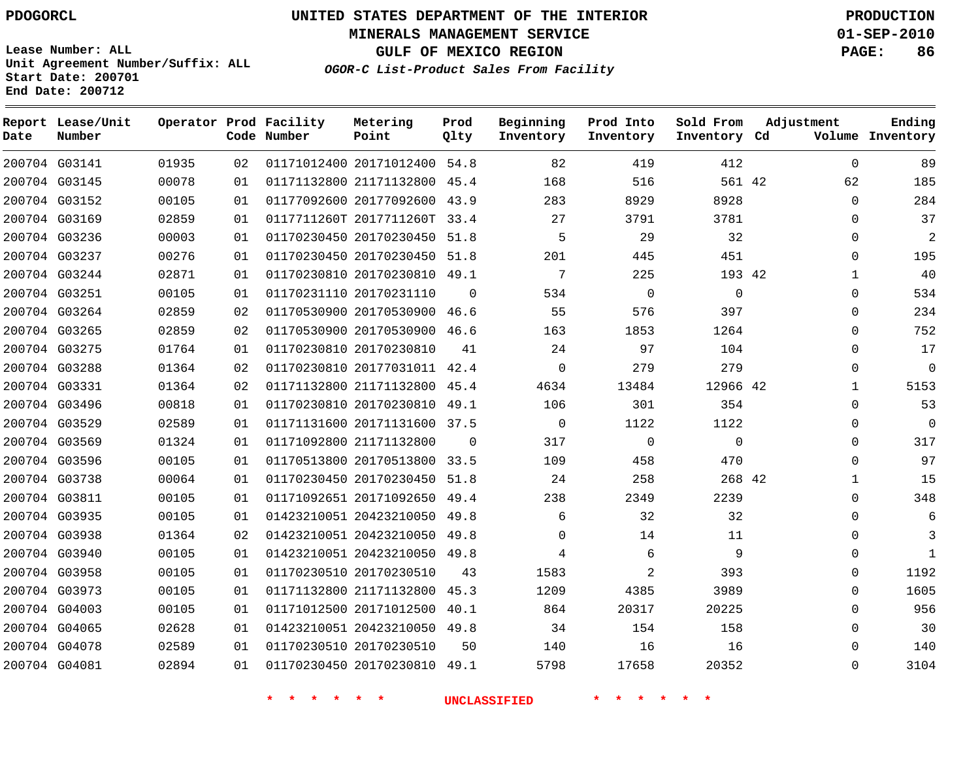**Start Date: 200701 End Date: 200712**

**Unit Agreement Number/Suffix: ALL**

# **UNITED STATES DEPARTMENT OF THE INTERIOR PDOGORCL PRODUCTION**

**MINERALS MANAGEMENT SERVICE 01-SEP-2010**

**GULF OF MEXICO REGION PAGE: 86**

**OGOR-C List-Product Sales From Facility**

 G03141 G03145 G03152 G03169 G03236 G03237 G03244 G03251 G03264 G03265 G03275 G03288 G03331 G03496 G03529 G03569 G03596 G03738 G03811 G03935 G03938 G03940 G03958 G03973 G04003 G04065 G04078 G04081 **Report Lease/Unit Date Number Operator Prod Facility Code Number** 20171012400 54.8 21171132800 45.4 20177092600 43.9 0117711260T 2017711260T 33.4 20170230450 51.8 20170230450 51.8 20170230810 49.1 20170231110 20170530900 46.6 20170530900 46.6 20170230810 20177031011 42.4 21171132800 45.4 20170230810 49.1 20171131600 37.5 21171132800 20170513800 33.5 20170230450 51.8 20171092650 49.4 20423210050 49.8 20423210050 49.8 20423210050 49.8 20170230510 21171132800 45.3 20171012500 40.1 20423210050 49.8 20170230510 20170230810 49.1 **Metering Point** 42 42 42 42  $\Omega$  **Prod Qlty**  $\Omega$   $\Omega$  **Beginning Inventory**  $\overline{2}$   $\Omega$  **Ending Inventory Cd Volume**  $\Omega$   $\Omega$  **Prod Into Inventory**  $\Omega$   $\Omega$  **Sold From Inventory**  $\Omega$   $\cap$  $\Omega$  $\Omega$  $\Omega$   $\Omega$   $\Omega$   $\Omega$   $\Omega$   $\Omega$   $\Omega$  $\Omega$  $\Omega$  $\Omega$  $\Omega$  $\Omega$  $\Omega$  $\Omega$ **Adjustment**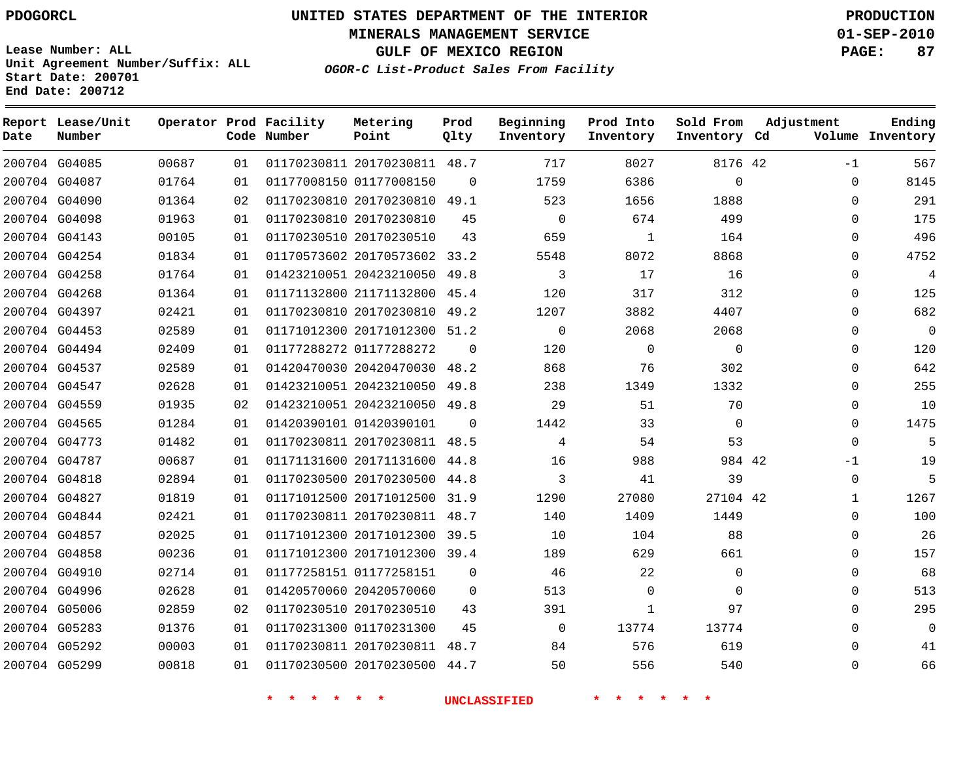**Start Date: 200701 End Date: 200712**

**Unit Agreement Number/Suffix: ALL**

# **UNITED STATES DEPARTMENT OF THE INTERIOR PDOGORCL PRODUCTION**

**MINERALS MANAGEMENT SERVICE 01-SEP-2010**

**GULF OF MEXICO REGION PAGE: 87**

**OGOR-C List-Product Sales From Facility**

| Date | Report Lease/Unit<br>Number |       |    | Operator Prod Facility<br>Code Number | Metering<br>Point            | Prod<br>Olty | Beginning<br>Inventory | Prod Into<br>Inventory | Sold From<br>Inventory Cd | Adjustment  | Ending<br>Volume Inventory |
|------|-----------------------------|-------|----|---------------------------------------|------------------------------|--------------|------------------------|------------------------|---------------------------|-------------|----------------------------|
|      | 200704 G04085               | 00687 | 01 |                                       | 01170230811 20170230811 48.7 |              | 717                    | 8027                   | 8176 42                   | $-1$        | 567                        |
|      | 200704 G04087               | 01764 | 01 |                                       | 01177008150 01177008150      | $\Omega$     | 1759                   | 6386                   | $\mathbf 0$               | $\Omega$    | 8145                       |
|      | 200704 G04090               | 01364 | 02 |                                       | 01170230810 20170230810      | 49.1         | 523                    | 1656                   | 1888                      | $\mathbf 0$ | 291                        |
|      | 200704 G04098               | 01963 | 01 |                                       | 01170230810 20170230810      | 45           | $\mathbf 0$            | 674                    | 499                       | $\Omega$    | 175                        |
|      | 200704 G04143               | 00105 | 01 |                                       | 01170230510 20170230510      | 43           | 659                    | $\mathbf{1}$           | 164                       | $\Omega$    | 496                        |
|      | 200704 G04254               | 01834 | 01 |                                       | 01170573602 20170573602 33.2 |              | 5548                   | 8072                   | 8868                      | $\Omega$    | 4752                       |
|      | 200704 G04258               | 01764 | 01 |                                       | 01423210051 20423210050      | 49.8         | 3                      | 17                     | 16                        | $\mathbf 0$ | 4                          |
|      | 200704 G04268               | 01364 | 01 |                                       | 01171132800 21171132800      | 45.4         | 120                    | 317                    | 312                       | $\Omega$    | 125                        |
|      | 200704 G04397               | 02421 | 01 |                                       | 01170230810 20170230810      | 49.2         | 1207                   | 3882                   | 4407                      | $\Omega$    | 682                        |
|      | 200704 G04453               | 02589 | 01 |                                       | 01171012300 20171012300      | 51.2         | $\mathbf 0$            | 2068                   | 2068                      | $\Omega$    | $\overline{0}$             |
|      | 200704 G04494               | 02409 | 01 |                                       | 01177288272 01177288272      | $\Omega$     | 120                    | $\Omega$               | $\mathbf 0$               | $\Omega$    | 120                        |
|      | 200704 G04537               | 02589 | 01 |                                       | 01420470030 20420470030      | 48.2         | 868                    | 76                     | 302                       | $\Omega$    | 642                        |
|      | 200704 G04547               | 02628 | 01 |                                       | 01423210051 20423210050      | 49.8         | 238                    | 1349                   | 1332                      | $\Omega$    | 255                        |
|      | 200704 G04559               | 01935 | 02 |                                       | 01423210051 20423210050      | 49.8         | 29                     | 51                     | 70                        | $\Omega$    | 10                         |
|      | 200704 G04565               | 01284 | 01 |                                       | 01420390101 01420390101      | $\Omega$     | 1442                   | 33                     | $\mathbf 0$               | $\Omega$    | 1475                       |
|      | 200704 G04773               | 01482 | 01 |                                       | 01170230811 20170230811      | 48.5         | 4                      | 54                     | 53                        | $\Omega$    | 5                          |
|      | 200704 G04787               | 00687 | 01 |                                       | 01171131600 20171131600      | 44.8         | 16                     | 988                    | 984 42                    | $-1$        | 19                         |
|      | 200704 G04818               | 02894 | 01 |                                       | 01170230500 20170230500      | 44.8         | 3                      | 41                     | 39                        | $\Omega$    | 5                          |
|      | 200704 G04827               | 01819 | 01 |                                       | 01171012500 20171012500      | 31.9         | 1290                   | 27080                  | 27104 42                  | 1           | 1267                       |
|      | 200704 G04844               | 02421 | 01 |                                       | 01170230811 20170230811 48.7 |              | 140                    | 1409                   | 1449                      | $\Omega$    | 100                        |
|      | 200704 G04857               | 02025 | 01 |                                       | 01171012300 20171012300      | 39.5         | 10                     | 104                    | 88                        | $\mathbf 0$ | 26                         |
|      | 200704 G04858               | 00236 | 01 |                                       | 01171012300 20171012300 39.4 |              | 189                    | 629                    | 661                       | $\Omega$    | 157                        |
|      | 200704 G04910               | 02714 | 01 |                                       | 01177258151 01177258151      | $\Omega$     | 46                     | 22                     | 0                         | $\mathbf 0$ | 68                         |
|      | 200704 G04996               | 02628 | 01 |                                       | 01420570060 20420570060      | $\mathbf 0$  | 513                    | $\mathbf 0$            | $\mathbf 0$               | $\Omega$    | 513                        |
|      | 200704 G05006               | 02859 | 02 |                                       | 01170230510 20170230510      | 43           | 391                    | $\mathbf{1}$           | 97                        | $\Omega$    | 295                        |
|      | 200704 G05283               | 01376 | 01 |                                       | 01170231300 01170231300      | 45           | $\mathbf 0$            | 13774                  | 13774                     | $\Omega$    | $\Omega$                   |
|      | 200704 G05292               | 00003 | 01 |                                       | 01170230811 20170230811      | 48.7         | 84                     | 576                    | 619                       | $\Omega$    | 41                         |
|      | 200704 G05299               | 00818 | 01 |                                       | 01170230500 20170230500      | 44.7         | 50                     | 556                    | 540                       | $\Omega$    | 66                         |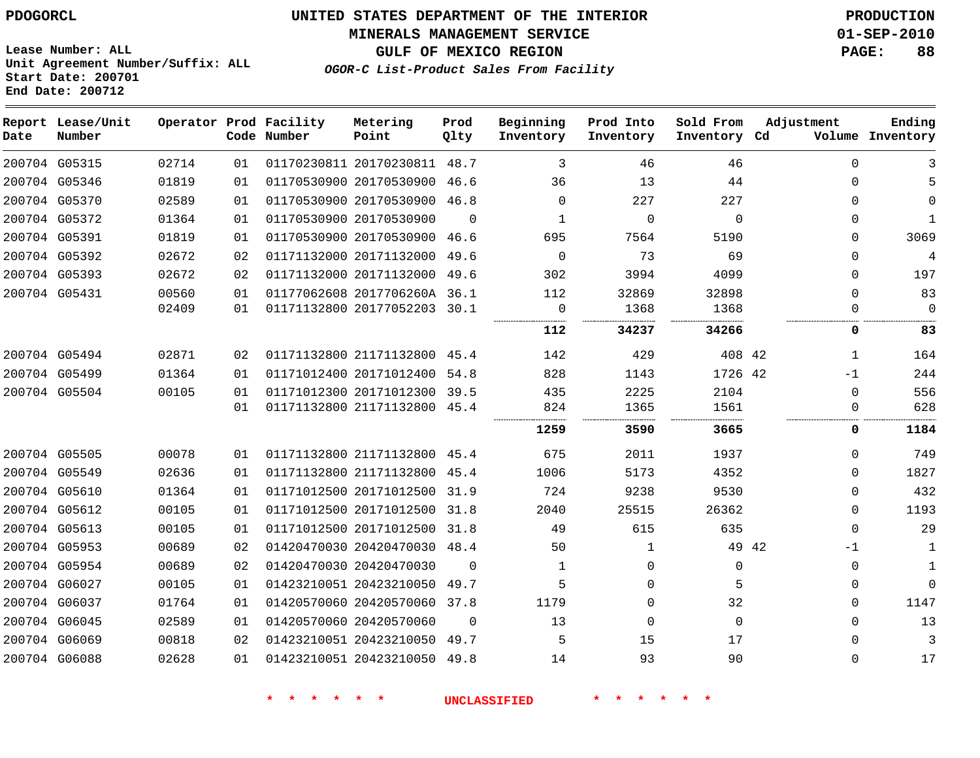**MINERALS MANAGEMENT SERVICE 01-SEP-2010**

**GULF OF MEXICO REGION PAGE: 88**

**Lease Number: ALL Unit Agreement Number/Suffix: ALL Start Date: 200701 End Date: 200712**

**OGOR-C List-Product Sales From Facility**

| Date | Report Lease/Unit<br>Number |       |    | Operator Prod Facility<br>Code Number | Metering<br>Point            | Prod<br>Qlty | Beginning<br>Inventory | Prod Into<br>Inventory | Sold From<br>Inventory Cd | Adjustment |             | Ending<br>Volume Inventory |
|------|-----------------------------|-------|----|---------------------------------------|------------------------------|--------------|------------------------|------------------------|---------------------------|------------|-------------|----------------------------|
|      | 200704 G05315               | 02714 | 01 |                                       | 01170230811 20170230811      | 48.7         | 3                      | 46                     | 46                        |            | $\mathbf 0$ | 3                          |
|      | 200704 G05346               | 01819 | 01 |                                       | 01170530900 20170530900      | 46.6         | 36                     | 13                     | 44                        |            | 0           | 5                          |
|      | 200704 G05370               | 02589 | 01 |                                       | 01170530900 20170530900      | 46.8         | $\mathbf 0$            | 227                    | 227                       |            | 0           | $\Omega$                   |
|      | 200704 G05372               | 01364 | 01 |                                       | 01170530900 20170530900      | $\Omega$     | 1                      | $\mathbf 0$            | $\mathbf 0$               |            | $\Omega$    | $\mathbf{1}$               |
|      | 200704 G05391               | 01819 | 01 |                                       | 01170530900 20170530900      | 46.6         | 695                    | 7564                   | 5190                      |            | $\Omega$    | 3069                       |
|      | 200704 G05392               | 02672 | 02 |                                       | 01171132000 20171132000      | 49.6         | $\mathbf{0}$           | 73                     | 69                        |            | $\Omega$    | 4                          |
|      | 200704 G05393               | 02672 | 02 |                                       | 01171132000 20171132000      | 49.6         | 302                    | 3994                   | 4099                      |            | $\Omega$    | 197                        |
|      | 200704 G05431               | 00560 | 01 |                                       | 01177062608 2017706260A 36.1 |              | 112                    | 32869                  | 32898                     |            | $\Omega$    | 83                         |
|      |                             | 02409 | 01 |                                       | 01171132800 20177052203 30.1 |              | 0                      | 1368                   | 1368                      |            | 0           | $\mathbf 0$                |
|      |                             |       |    |                                       |                              |              | 112                    | 34237                  | 34266                     |            | 0           | 83                         |
|      | 200704 G05494               | 02871 | 02 |                                       | 01171132800 21171132800      | 45.4         | 142                    | 429                    | 408 42                    |            | 1           | 164                        |
|      | 200704 G05499               | 01364 | 01 |                                       | 01171012400 20171012400      | 54.8         | 828                    | 1143                   | 1726 42                   |            | $-1$        | 244                        |
|      | 200704 G05504               | 00105 | 01 |                                       | 01171012300 20171012300 39.5 |              | 435                    | 2225                   | 2104                      |            | 0           | 556                        |
|      |                             |       | 01 |                                       | 01171132800 21171132800 45.4 |              | 824                    | 1365                   | 1561                      |            | $\Omega$    | 628                        |
|      |                             |       |    |                                       |                              |              | 1259                   | 3590                   | 3665                      |            | 0           | 1184                       |
|      | 200704 G05505               | 00078 | 01 |                                       | 01171132800 21171132800 45.4 |              | 675                    | 2011                   | 1937                      |            | $\Omega$    | 749                        |
|      | 200704 G05549               | 02636 | 01 |                                       | 01171132800 21171132800 45.4 |              | 1006                   | 5173                   | 4352                      |            | $\Omega$    | 1827                       |
|      | 200704 G05610               | 01364 | 01 |                                       | 01171012500 20171012500 31.9 |              | 724                    | 9238                   | 9530                      |            | $\Omega$    | 432                        |
|      | 200704 G05612               | 00105 | 01 |                                       | 01171012500 20171012500      | 31.8         | 2040                   | 25515                  | 26362                     |            | $\Omega$    | 1193                       |
|      | 200704 G05613               | 00105 | 01 |                                       | 01171012500 20171012500 31.8 |              | 49                     | 615                    | 635                       |            | $\Omega$    | 29                         |
|      | 200704 G05953               | 00689 | 02 |                                       | 01420470030 20420470030 48.4 |              | 50                     | $\mathbf{1}$           | 49 42                     |            | $-1$        | $\mathbf{1}$               |
|      | 200704 G05954               | 00689 | 02 |                                       | 01420470030 20420470030      | $\Omega$     | $\mathbf{1}$           | $\Omega$               | $\Omega$                  |            | $\Omega$    | $\mathbf{1}$               |
|      | 200704 G06027               | 00105 | 01 |                                       | 01423210051 20423210050      | 49.7         | 5                      | $\Omega$               | 5                         |            | $\Omega$    | $\Omega$                   |
|      | 200704 G06037               | 01764 | 01 |                                       | 01420570060 20420570060 37.8 |              | 1179                   | $\Omega$               | 32                        |            | $\Omega$    | 1147                       |
|      | 200704 G06045               | 02589 | 01 |                                       | 01420570060 20420570060      | $\Omega$     | 13                     | $\Omega$               | $\Omega$                  |            | $\Omega$    | 13                         |
|      | 200704 G06069               | 00818 | 02 |                                       | 01423210051 20423210050      | 49.7         | 5                      | 15                     | 17                        |            | $\Omega$    | 3                          |
|      | 200704 G06088               | 02628 | 01 |                                       | 01423210051 20423210050 49.8 |              | 14                     | 93                     | 90                        |            | $\Omega$    | 17                         |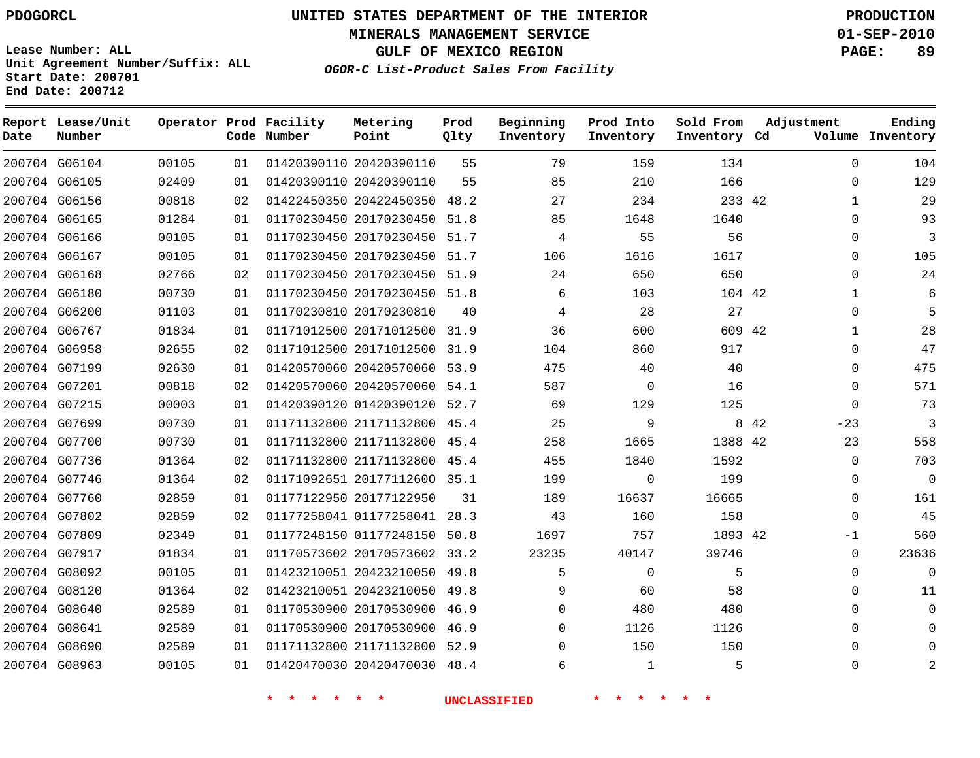**MINERALS MANAGEMENT SERVICE 01-SEP-2010**

**GULF OF MEXICO REGION PAGE: 89**

**Lease Number: ALL Unit Agreement Number/Suffix: ALL Start Date: 200701 End Date: 200712**

**OGOR-C List-Product Sales From Facility**

| Date | Report Lease/Unit<br>Number |       |    | Operator Prod Facility<br>Code Number | Metering<br>Point            | Prod<br>Qlty | Beginning<br>Inventory | Prod Into<br>Inventory | Sold From<br>Inventory Cd | Adjustment |              | Ending<br>Volume Inventory |
|------|-----------------------------|-------|----|---------------------------------------|------------------------------|--------------|------------------------|------------------------|---------------------------|------------|--------------|----------------------------|
|      | 200704 G06104               | 00105 | 01 |                                       | 01420390110 20420390110      | 55           | 79                     | 159                    | 134                       |            | $\mathbf 0$  | 104                        |
|      | 200704 G06105               | 02409 | 01 |                                       | 01420390110 20420390110      | 55           | 85                     | 210                    | 166                       |            | $\Omega$     | 129                        |
|      | 200704 G06156               | 00818 | 02 |                                       | 01422450350 20422450350      | 48.2         | 27                     | 234                    | 233 42                    |            | 1            | 29                         |
|      | 200704 G06165               | 01284 | 01 |                                       | 01170230450 20170230450      | 51.8         | 85                     | 1648                   | 1640                      |            | $\Omega$     | 93                         |
|      | 200704 G06166               | 00105 | 01 |                                       | 01170230450 20170230450 51.7 |              | $\overline{4}$         | 55                     | 56                        |            | $\mathbf 0$  | 3                          |
|      | 200704 G06167               | 00105 | 01 |                                       | 01170230450 20170230450 51.7 |              | 106                    | 1616                   | 1617                      |            | $\mathbf 0$  | 105                        |
|      | 200704 G06168               | 02766 | 02 |                                       | 01170230450 20170230450 51.9 |              | 24                     | 650                    | 650                       |            | $\Omega$     | 24                         |
|      | 200704 G06180               | 00730 | 01 |                                       | 01170230450 20170230450 51.8 |              | 6                      | 103                    | 104 42                    |            | $\mathbf{1}$ | 6                          |
|      | 200704 G06200               | 01103 | 01 |                                       | 01170230810 20170230810      | 40           | 4                      | 28                     | 27                        |            | $\mathbf 0$  | 5                          |
|      | 200704 G06767               | 01834 | 01 |                                       | 01171012500 20171012500 31.9 |              | 36                     | 600                    | 609 42                    |            | 1            | 28                         |
|      | 200704 G06958               | 02655 | 02 |                                       | 01171012500 20171012500      | 31.9         | 104                    | 860                    | 917                       |            | $\mathbf 0$  | 47                         |
|      | 200704 G07199               | 02630 | 01 |                                       | 01420570060 20420570060 53.9 |              | 475                    | 40                     | 40                        |            | $\mathbf 0$  | 475                        |
|      | 200704 G07201               | 00818 | 02 |                                       | 01420570060 20420570060 54.1 |              | 587                    | $\Omega$               | 16                        |            | $\mathbf 0$  | 571                        |
|      | 200704 G07215               | 00003 | 01 |                                       | 01420390120 01420390120 52.7 |              | 69                     | 129                    | 125                       |            | $\Omega$     | 73                         |
|      | 200704 G07699               | 00730 | 01 |                                       | 01171132800 21171132800      | 45.4         | 25                     | 9                      |                           | 8 4 2      | $-23$        | 3                          |
|      | 200704 G07700               | 00730 | 01 |                                       | 01171132800 21171132800 45.4 |              | 258                    | 1665                   | 1388 42                   |            | 23           | 558                        |
|      | 200704 G07736               | 01364 | 02 |                                       | 01171132800 21171132800      | 45.4         | 455                    | 1840                   | 1592                      |            | $\mathbf 0$  | 703                        |
|      | 200704 G07746               | 01364 | 02 |                                       | 01171092651 20177112600 35.1 |              | 199                    | $\Omega$               | 199                       |            | $\Omega$     | $\Omega$                   |
|      | 200704 G07760               | 02859 | 01 |                                       | 01177122950 20177122950      | 31           | 189                    | 16637                  | 16665                     |            | $\mathbf 0$  | 161                        |
|      | 200704 G07802               | 02859 | 02 |                                       | 01177258041 01177258041      | 28.3         | 43                     | 160                    | 158                       |            | $\Omega$     | 45                         |
|      | 200704 G07809               | 02349 | 01 |                                       | 01177248150 01177248150      | 50.8         | 1697                   | 757                    | 1893 42                   |            | $-1$         | 560                        |
|      | 200704 G07917               | 01834 | 01 |                                       | 01170573602 20170573602 33.2 |              | 23235                  | 40147                  | 39746                     |            | $\mathbf 0$  | 23636                      |
|      | 200704 G08092               | 00105 | 01 |                                       | 01423210051 20423210050      | 49.8         | 5                      | $\mathbf 0$            | 5                         |            | $\mathbf 0$  | $\Omega$                   |
|      | 200704 G08120               | 01364 | 02 |                                       | 01423210051 20423210050      | 49.8         | 9                      | 60                     | 58                        |            | 0            | 11                         |
|      | 200704 G08640               | 02589 | 01 |                                       | 01170530900 20170530900      | 46.9         | $\Omega$               | 480                    | 480                       |            | $\Omega$     | $\Omega$                   |
|      | 200704 G08641               | 02589 | 01 |                                       | 01170530900 20170530900      | 46.9         | $\Omega$               | 1126                   | 1126                      |            | $\mathbf 0$  |                            |
|      | 200704 G08690               | 02589 | 01 |                                       | 01171132800 21171132800      | 52.9         | 0                      | 150                    | 150                       |            | $\Omega$     | ∩                          |
|      | 200704 G08963               | 00105 | 01 |                                       | 01420470030 20420470030      | 48.4         | 6                      | $\mathbf{1}$           | 5                         |            | $\Omega$     | 2                          |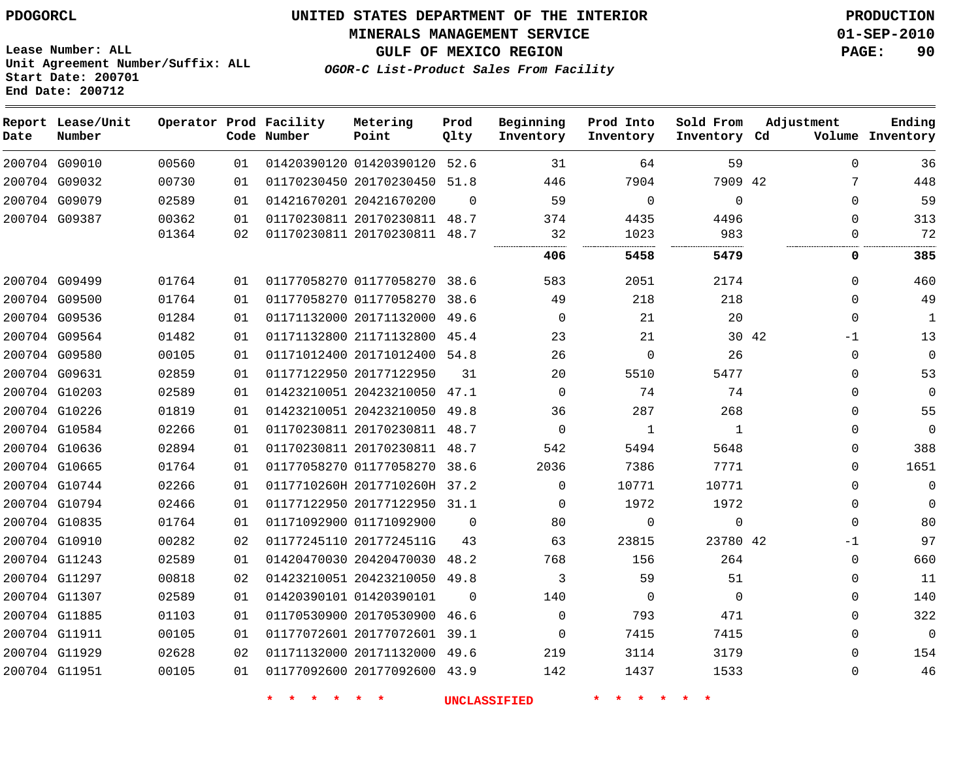**Start Date: 200701 End Date: 200712**

# **UNITED STATES DEPARTMENT OF THE INTERIOR PDOGORCL PRODUCTION**

#### **MINERALS MANAGEMENT SERVICE 01-SEP-2010**

**GULF OF MEXICO REGION PAGE: 90**

**OGOR-C List-Product Sales From Facility Unit Agreement Number/Suffix: ALL**

| Date          | Report Lease/Unit<br>Number |       |    | Operator Prod Facility<br>Code Number | Metering<br>Point            | Prod<br>Qlty | Beginning<br>Inventory | Prod Into<br>Inventory | Sold From<br>Inventory Cd | Adjustment    | Ending<br>Volume Inventory |
|---------------|-----------------------------|-------|----|---------------------------------------|------------------------------|--------------|------------------------|------------------------|---------------------------|---------------|----------------------------|
| 200704 G09010 |                             | 00560 | 01 |                                       | 01420390120 01420390120      | 52.6         | 31                     | 64                     | 59                        | $\Omega$      | 36                         |
|               | 200704 G09032               | 00730 | 01 |                                       | 01170230450 20170230450      | 51.8         | 446                    | 7904                   | 7909 42                   | 7             | 448                        |
| 200704 G09079 |                             | 02589 | 01 |                                       | 01421670201 20421670200      | $\Omega$     | 59                     | $\Omega$               | $\Omega$                  | $\Omega$      | 59                         |
| 200704 G09387 |                             | 00362 | 01 |                                       | 01170230811 20170230811 48.7 |              | 374                    | 4435                   | 4496                      | $\mathbf{0}$  | 313                        |
|               |                             | 01364 | 02 |                                       | 01170230811 20170230811 48.7 |              | 32                     | 1023                   | 983                       | $\Omega$      | 72                         |
|               |                             |       |    |                                       |                              |              | 406                    | 5458                   | 5479                      | 0             | 385                        |
| 200704 G09499 |                             | 01764 | 01 |                                       | 01177058270 01177058270 38.6 |              | 583                    | 2051                   | 2174                      | $\Omega$      | 460                        |
| 200704 G09500 |                             | 01764 | 01 |                                       | 01177058270 01177058270      | 38.6         | 49                     | 218                    | 218                       | $\Omega$      | 49                         |
| 200704 G09536 |                             | 01284 | 01 |                                       | 01171132000 20171132000 49.6 |              | $\Omega$               | 21                     | 20                        | $\Omega$      | $\mathbf{1}$               |
|               | 200704 G09564               | 01482 | 01 |                                       | 01171132800 21171132800      | 45.4         | 23                     | 21                     |                           | 30 42<br>$-1$ | 13                         |
| 200704 G09580 |                             | 00105 | 01 |                                       | 01171012400 20171012400      | 54.8         | 26                     | $\Omega$               | 26                        | $\Omega$      | $\mathbf 0$                |
|               | 200704 G09631               | 02859 | 01 |                                       | 01177122950 20177122950      | 31           | 20                     | 5510                   | 5477                      | $\Omega$      | 53                         |
|               | 200704 G10203               | 02589 | 01 |                                       | 01423210051 20423210050      | 47.1         | $\Omega$               | 74                     | 74                        | $\mathbf{0}$  | $\overline{0}$             |
| 200704 G10226 |                             | 01819 | 01 |                                       | 01423210051 20423210050 49.8 |              | 36                     | 287                    | 268                       | $\Omega$      | 55                         |
| 200704 G10584 |                             | 02266 | 01 |                                       | 01170230811 20170230811      | 48.7         | $\mathbf 0$            | $\mathbf{1}$           | $\mathbf{1}$              | $\mathbf{0}$  | $\mathbf 0$                |
|               | 200704 G10636               | 02894 | 01 |                                       | 01170230811 20170230811 48.7 |              | 542                    | 5494                   | 5648                      | $\Omega$      | 388                        |
|               | 200704 G10665               | 01764 | 01 |                                       | 01177058270 01177058270      | 38.6         | 2036                   | 7386                   | 7771                      | $\Omega$      | 1651                       |
| 200704 G10744 |                             | 02266 | 01 |                                       | 0117710260H 2017710260H 37.2 |              | $\Omega$               | 10771                  | 10771                     | $\mathbf{0}$  | $\mathbf 0$                |
|               | 200704 G10794               | 02466 | 01 |                                       | 01177122950 20177122950 31.1 |              | $\Omega$               | 1972                   | 1972                      | $\mathbf{0}$  | $\mathbf 0$                |
| 200704 G10835 |                             | 01764 | 01 |                                       | 01171092900 01171092900      | $\Omega$     | 80                     | $\Omega$               | $\mathbf 0$               | $\Omega$      | 80                         |
| 200704 G10910 |                             | 00282 | 02 |                                       | 01177245110 2017724511G      | 43           | 63                     | 23815                  | 23780 42                  | $-1$          | 97                         |
|               | 200704 G11243               | 02589 | 01 |                                       | 01420470030 20420470030      | 48.2         | 768                    | 156                    | 264                       | $\Omega$      | 660                        |
| 200704 G11297 |                             | 00818 | 02 |                                       | 01423210051 20423210050      | 49.8         | 3                      | 59                     | 51                        | 0             | 11                         |
| 200704 G11307 |                             | 02589 | 01 |                                       | 01420390101 01420390101      | $\Omega$     | 140                    | 0                      | $\Omega$                  | $\mathbf{0}$  | 140                        |
| 200704 G11885 |                             | 01103 | 01 |                                       | 01170530900 20170530900      | 46.6         | $\mathbf 0$            | 793                    | 471                       | $\mathbf{0}$  | 322                        |
|               | 200704 G11911               | 00105 | 01 |                                       | 01177072601 20177072601 39.1 |              | $\Omega$               | 7415                   | 7415                      | $\Omega$      | $\mathbf 0$                |
| 200704 G11929 |                             | 02628 | 02 |                                       | 01171132000 20171132000      | 49.6         | 219                    | 3114                   | 3179                      | $\Omega$      | 154                        |
| 200704 G11951 |                             | 00105 | 01 |                                       | 01177092600 20177092600 43.9 |              | 142                    | 1437                   | 1533                      | $\Omega$      | 46                         |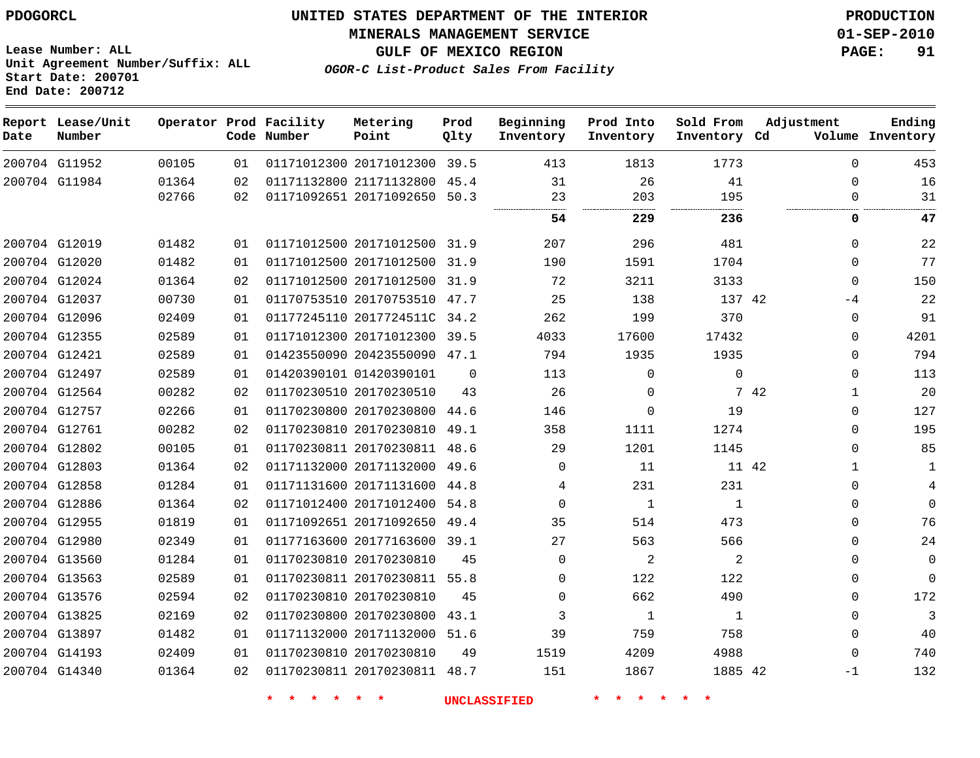**MINERALS MANAGEMENT SERVICE 01-SEP-2010**

**Lease Number: ALL Unit Agreement Number/Suffix: ALL Start Date: 200701 End Date: 200712**

**OGOR-C List-Product Sales From Facility**

**GULF OF MEXICO REGION PAGE: 91**

| Date | Report Lease/Unit<br>Number |       |    | Operator Prod Facility<br>Code Number | Metering<br>Point            | Prod<br>Qlty | Beginning<br>Inventory | Prod Into<br>Inventory | Sold From<br>Inventory Cd | Adjustment |              | Ending<br>Volume Inventory |
|------|-----------------------------|-------|----|---------------------------------------|------------------------------|--------------|------------------------|------------------------|---------------------------|------------|--------------|----------------------------|
|      | 200704 G11952               | 00105 | 01 |                                       | 01171012300 20171012300 39.5 |              | 413                    | 1813                   | 1773                      |            | $\Omega$     | 453                        |
|      | 200704 G11984               | 01364 | 02 |                                       | 01171132800 21171132800 45.4 |              | 31                     | 26                     | 41                        |            | $\Omega$     | 16                         |
|      |                             | 02766 | 02 |                                       | 01171092651 20171092650 50.3 |              | 23<br>                 | 203                    | 195                       |            | 0            | 31                         |
|      |                             |       |    |                                       |                              |              | 54                     | 229                    | 236                       |            | 0            | 47                         |
|      | 200704 G12019               | 01482 | 01 |                                       | 01171012500 20171012500 31.9 |              | 207                    | 296                    | 481                       |            | $\Omega$     | 22                         |
|      | 200704 G12020               | 01482 | 01 |                                       | 01171012500 20171012500      | 31.9         | 190                    | 1591                   | 1704                      |            | 0            | 77                         |
|      | 200704 G12024               | 01364 | 02 |                                       | 01171012500 20171012500 31.9 |              | 72                     | 3211                   | 3133                      |            | $\Omega$     | 150                        |
|      | 200704 G12037               | 00730 | 01 |                                       | 01170753510 20170753510 47.7 |              | 25                     | 138                    | 137 42                    |            | $-4$         | 22                         |
|      | 200704 G12096               | 02409 | 01 |                                       | 01177245110 2017724511C 34.2 |              | 262                    | 199                    | 370                       |            | 0            | 91                         |
|      | 200704 G12355               | 02589 | 01 |                                       | 01171012300 20171012300      | 39.5         | 4033                   | 17600                  | 17432                     |            | $\Omega$     | 4201                       |
|      | 200704 G12421               | 02589 | 01 |                                       | 01423550090 20423550090 47.1 |              | 794                    | 1935                   | 1935                      |            | $\Omega$     | 794                        |
|      | 200704 G12497               | 02589 | 01 |                                       | 01420390101 01420390101      | $\Omega$     | 113                    | $\mathbf 0$            | $\mathbf 0$               |            | 0            | 113                        |
|      | 200704 G12564               | 00282 | 02 |                                       | 01170230510 20170230510      | 43           | 26                     | 0                      |                           | 7 42       | $\mathbf{1}$ | 20                         |
|      | 200704 G12757               | 02266 | 01 |                                       | 01170230800 20170230800      | 44.6         | 146                    | $\Omega$               | 19                        |            | $\Omega$     | 127                        |
|      | 200704 G12761               | 00282 | 02 |                                       | 01170230810 20170230810      | 49.1         | 358                    | 1111                   | 1274                      |            | $\Omega$     | 195                        |
|      | 200704 G12802               | 00105 | 01 |                                       | 01170230811 20170230811 48.6 |              | 29                     | 1201                   | 1145                      |            | $\Omega$     | 85                         |
|      | 200704 G12803               | 01364 | 02 |                                       | 01171132000 20171132000      | 49.6         | $\Omega$               | 11                     | 11 42                     |            | 1            | 1                          |
|      | 200704 G12858               | 01284 | 01 |                                       | 01171131600 20171131600      | 44.8         | 4                      | 231                    | 231                       |            | 0            | 4                          |
|      | 200704 G12886               | 01364 | 02 |                                       | 01171012400 20171012400      | 54.8         | $\mathbf 0$            | $\mathbf{1}$           | 1                         |            | 0            | $\Omega$                   |
|      | 200704 G12955               | 01819 | 01 |                                       | 01171092651 20171092650 49.4 |              | 35                     | 514                    | 473                       |            | 0            | 76                         |
|      | 200704 G12980               | 02349 | 01 |                                       | 01177163600 20177163600 39.1 |              | 27                     | 563                    | 566                       |            | $\Omega$     | 24                         |
|      | 200704 G13560               | 01284 | 01 |                                       | 01170230810 20170230810      | 45           | $\Omega$               | 2                      | 2                         |            | $\Omega$     | $\mathbf 0$                |
|      | 200704 G13563               | 02589 | 01 |                                       | 01170230811 20170230811      | 55.8         | $\Omega$               | 122                    | 122                       |            | $\Omega$     | $\mathbf 0$                |
|      | 200704 G13576               | 02594 | 02 |                                       | 01170230810 20170230810      | 45           | $\Omega$               | 662                    | 490                       |            | 0            | 172                        |
|      | 200704 G13825               | 02169 | 02 |                                       | 01170230800 20170230800      | 43.1         | 3                      | 1                      | 1                         |            | $\Omega$     | $\mathbf{3}$               |
|      | 200704 G13897               | 01482 | 01 |                                       | 01171132000 20171132000      | 51.6         | 39                     | 759                    | 758                       |            | 0            | 40                         |
|      | 200704 G14193               | 02409 | 01 |                                       | 01170230810 20170230810      | 49           | 1519                   | 4209                   | 4988                      |            | $\Omega$     | 740                        |
|      | 200704 G14340               | 01364 | 02 |                                       | 01170230811 20170230811 48.7 |              | 151                    | 1867                   | 1885 42                   |            | $-1$         | 132                        |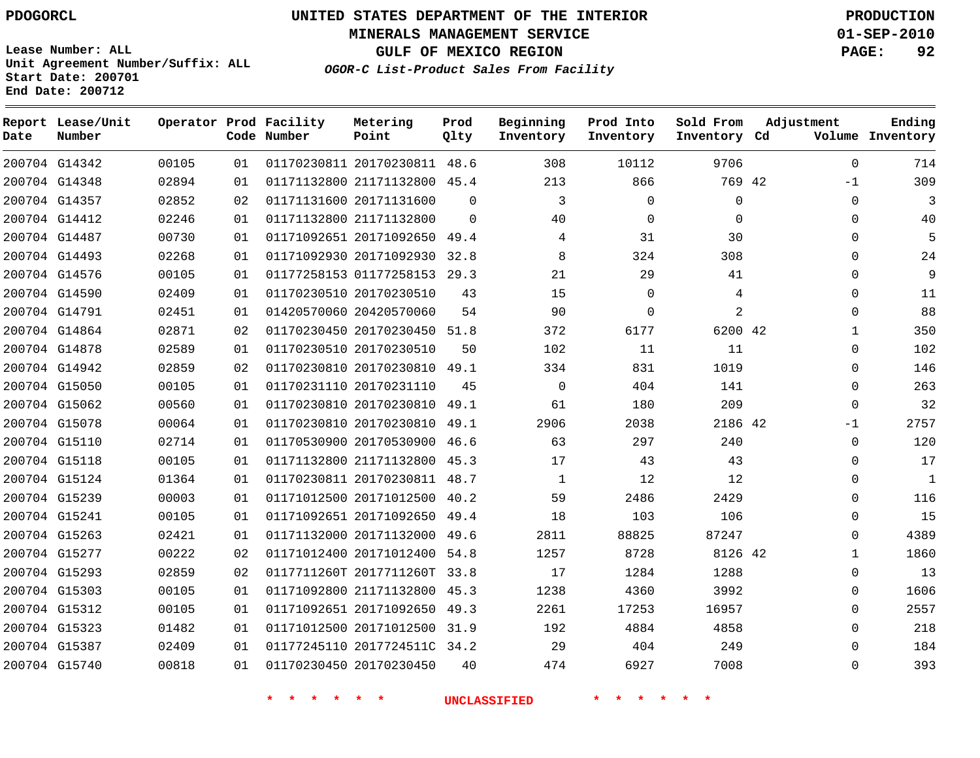**Start Date: 200701 End Date: 200712**

**Unit Agreement Number/Suffix: ALL**

# **UNITED STATES DEPARTMENT OF THE INTERIOR PDOGORCL PRODUCTION**

**MINERALS MANAGEMENT SERVICE 01-SEP-2010**

**GULF OF MEXICO REGION PAGE: 92**

**OGOR-C List-Product Sales From Facility**

| Date | Report Lease/Unit<br>Number |       |    | Operator Prod Facility<br>Code Number | Metering<br>Point            | Prod<br>Qlty | Beginning<br>Inventory | Prod Into<br>Inventory | Sold From<br>Inventory Cd | Adjustment | Ending<br>Volume Inventory   |
|------|-----------------------------|-------|----|---------------------------------------|------------------------------|--------------|------------------------|------------------------|---------------------------|------------|------------------------------|
|      | 200704 G14342               | 00105 | 01 |                                       | 01170230811 20170230811 48.6 |              | 308                    | 10112                  | 9706                      |            | $\Omega$<br>714              |
|      | 200704 G14348               | 02894 | 01 |                                       | 01171132800 21171132800      | 45.4         | 213                    | 866                    | 769 42                    | $-1$       | 309                          |
|      | 200704 G14357               | 02852 | 02 |                                       | 01171131600 20171131600      | $\Omega$     | 3                      | $\Omega$               | $\mathbf 0$               |            | 3<br>$\Omega$                |
|      | 200704 G14412               | 02246 | 01 |                                       | 01171132800 21171132800      | $\Omega$     | 40                     | 0                      | $\mathbf 0$               |            | 40<br>$\Omega$               |
|      | 200704 G14487               | 00730 | 01 |                                       | 01171092651 20171092650      | 49.4         | 4                      | 31                     | 30                        |            | 5<br>$\Omega$                |
|      | 200704 G14493               | 02268 | 01 |                                       | 01171092930 20171092930      | 32.8         | 8                      | 324                    | 308                       |            | $\Omega$<br>24               |
|      | 200704 G14576               | 00105 | 01 |                                       | 01177258153 01177258153      | 29.3         | 21                     | 29                     | 41                        |            | 9<br>$\Omega$                |
|      | 200704 G14590               | 02409 | 01 |                                       | 01170230510 20170230510      | 43           | 15                     | $\mathbf 0$            | 4                         |            | $\Omega$<br>11               |
|      | 200704 G14791               | 02451 | 01 |                                       | 01420570060 20420570060      | 54           | 90                     | $\Omega$               | 2                         |            | 88<br>$\Omega$               |
|      | 200704 G14864               | 02871 | 02 |                                       | 01170230450 20170230450      | 51.8         | 372                    | 6177                   | 6200 42                   |            | 350<br>1                     |
|      | 200704 G14878               | 02589 | 01 |                                       | 01170230510 20170230510      | 50           | 102                    | 11                     | 11                        |            | 102<br>$\Omega$              |
|      | 200704 G14942               | 02859 | 02 |                                       | 01170230810 20170230810      | 49.1         | 334                    | 831                    | 1019                      |            | 146<br>$\Omega$              |
|      | 200704 G15050               | 00105 | 01 |                                       | 01170231110 20170231110      | 45           | $\mathbf 0$            | 404                    | 141                       |            | 263<br>$\Omega$              |
|      | 200704 G15062               | 00560 | 01 |                                       | 01170230810 20170230810      | 49.1         | 61                     | 180                    | 209                       |            | 32<br>$\Omega$               |
|      | 200704 G15078               | 00064 | 01 |                                       | 01170230810 20170230810      | 49.1         | 2906                   | 2038                   | 2186 42                   | $-1$       | 2757                         |
|      | 200704 G15110               | 02714 | 01 |                                       | 01170530900 20170530900      | 46.6         | 63                     | 297                    | 240                       |            | 120<br>$\Omega$              |
|      | 200704 G15118               | 00105 | 01 |                                       | 01171132800 21171132800      | 45.3         | 17                     | 43                     | 43                        |            | 17<br>$\Omega$               |
|      | 200704 G15124               | 01364 | 01 |                                       | 01170230811 20170230811 48.7 |              | $\mathbf{1}$           | 12                     | 12                        |            | $\mathbf{0}$<br>$\mathbf{1}$ |
|      | 200704 G15239               | 00003 | 01 |                                       | 01171012500 20171012500      | 40.2         | 59                     | 2486                   | 2429                      |            | $\Omega$<br>116              |
|      | 200704 G15241               | 00105 | 01 |                                       | 01171092651 20171092650      | 49.4         | 18                     | 103                    | 106                       |            | 15<br>$\Omega$               |
|      | 200704 G15263               | 02421 | 01 |                                       | 01171132000 20171132000      | 49.6         | 2811                   | 88825                  | 87247                     |            | $\Omega$<br>4389             |
|      | 200704 G15277               | 00222 | 02 |                                       | 01171012400 20171012400      | 54.8         | 1257                   | 8728                   | 8126 42                   |            | 1860<br>1                    |
|      | 200704 G15293               | 02859 | 02 |                                       | 0117711260T 2017711260T      | 33.8         | 17                     | 1284                   | 1288                      |            | 13<br>$\Omega$               |
|      | 200704 G15303               | 00105 | 01 |                                       | 01171092800 21171132800      | 45.3         | 1238                   | 4360                   | 3992                      |            | 1606<br>$\Omega$             |
|      | 200704 G15312               | 00105 | 01 |                                       | 01171092651 20171092650      | 49.3         | 2261                   | 17253                  | 16957                     |            | 2557<br>$\Omega$             |
|      | 200704 G15323               | 01482 | 01 |                                       | 01171012500 20171012500      | 31.9         | 192                    | 4884                   | 4858                      |            | 218<br>$\Omega$              |
|      | 200704 G15387               | 02409 | 01 |                                       | 01177245110 2017724511C      | 34.2         | 29                     | 404                    | 249                       |            | 184<br>$\Omega$              |
|      | 200704 G15740               | 00818 | 01 |                                       | 01170230450 20170230450      | 40           | 474                    | 6927                   | 7008                      |            | 393<br>$\Omega$              |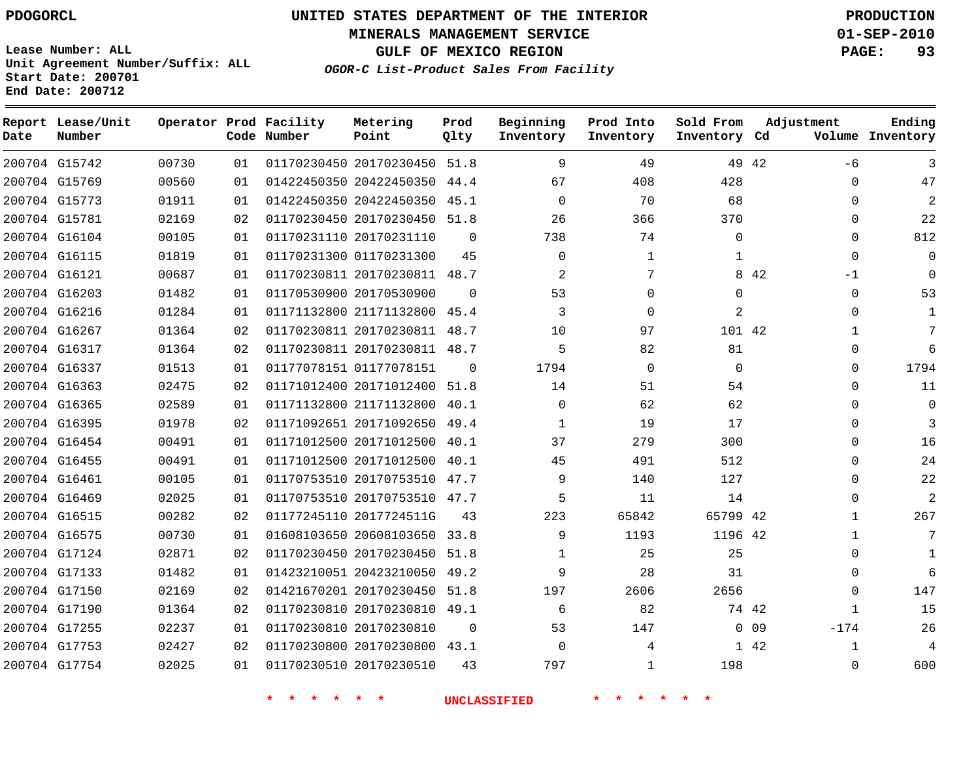# **UNITED STATES DEPARTMENT OF THE INTERIOR PDOGORCL PRODUCTION**

**MINERALS MANAGEMENT SERVICE 01-SEP-2010**

**GULF OF MEXICO REGION PAGE: 93**

**Unit Agreement Number/Suffix: ALL Start Date: 200701 End Date: 200712**

**OGOR-C List-Product Sales From Facility**

| Date | Report Lease/Unit<br>Number |       |    | Operator Prod Facility<br>Code Number | Metering<br>Point            | Prod<br>Qlty | Beginning<br>Inventory | Prod Into<br>Inventory | Sold From<br>Inventory Cd |        | Adjustment   | Ending<br>Volume Inventory |
|------|-----------------------------|-------|----|---------------------------------------|------------------------------|--------------|------------------------|------------------------|---------------------------|--------|--------------|----------------------------|
|      | 200704 G15742               | 00730 | 01 |                                       | 01170230450 20170230450 51.8 |              | 9                      | 49                     |                           | 49 42  | $-6$         | 3                          |
|      | 200704 G15769               | 00560 | 01 |                                       | 01422450350 20422450350 44.4 |              | 67                     | 408                    | 428                       |        | $\Omega$     | 47                         |
|      | 200704 G15773               | 01911 | 01 |                                       | 01422450350 20422450350      | 45.1         | $\Omega$               | 70                     | 68                        |        | $\Omega$     | $\overline{a}$             |
|      | 200704 G15781               | 02169 | 02 |                                       | 01170230450 20170230450 51.8 |              | 26                     | 366                    | 370                       |        | $\Omega$     | 22                         |
|      | 200704 G16104               | 00105 | 01 |                                       | 01170231110 20170231110      | $\Omega$     | 738                    | 74                     | $\Omega$                  |        | $\Omega$     | 812                        |
|      | 200704 G16115               | 01819 | 01 |                                       | 01170231300 01170231300      | 45           | $\Omega$               | $\mathbf 1$            | 1                         |        | $\Omega$     | $\Omega$                   |
|      | 200704 G16121               | 00687 | 01 |                                       | 01170230811 20170230811      | 48.7         | 2                      | 7                      |                           | 8 4 2  | $-1$         | $\Omega$                   |
|      | 200704 G16203               | 01482 | 01 |                                       | 01170530900 20170530900      | $\Omega$     | 53                     | $\Omega$               | $\Omega$                  |        | $\Omega$     | 53                         |
|      | 200704 G16216               | 01284 | 01 |                                       | 01171132800 21171132800      | 45.4         | 3                      | $\Omega$               | 2                         |        | $\Omega$     | $\mathbf{1}$               |
|      | 200704 G16267               | 01364 | 02 |                                       | 01170230811 20170230811 48.7 |              | 10                     | 97                     | 101 42                    |        | 1            | 7                          |
|      | 200704 G16317               | 01364 | 02 |                                       | 01170230811 20170230811      | 48.7         | 5                      | 82                     | 81                        |        | $\Omega$     | 6                          |
|      | 200704 G16337               | 01513 | 01 |                                       | 01177078151 01177078151      | $\Omega$     | 1794                   | $\Omega$               | $\Omega$                  |        | $\Omega$     | 1794                       |
|      | 200704 G16363               | 02475 | 02 |                                       | 01171012400 20171012400      | 51.8         | 14                     | 51                     | 54                        |        | $\Omega$     | 11                         |
|      | 200704 G16365               | 02589 | 01 |                                       | 01171132800 21171132800      | 40.1         | $\Omega$               | 62                     | 62                        |        | $\Omega$     | $\mathbf 0$                |
|      | 200704 G16395               | 01978 | 02 |                                       | 01171092651 20171092650      | 49.4         | 1                      | 19                     | 17                        |        | $\Omega$     | 3                          |
|      | 200704 G16454               | 00491 | 01 |                                       | 01171012500 20171012500      | 40.1         | 37                     | 279                    | 300                       |        | $\Omega$     | 16                         |
|      | 200704 G16455               | 00491 | 01 |                                       | 01171012500 20171012500      | 40.1         | 45                     | 491                    | 512                       |        | $\Omega$     | 24                         |
|      | 200704 G16461               | 00105 | 01 |                                       | 01170753510 20170753510 47.7 |              | 9                      | 140                    | 127                       |        | $\Omega$     | 22                         |
|      | 200704 G16469               | 02025 | 01 |                                       | 01170753510 20170753510 47.7 |              | 5                      | 11                     | 14                        |        | $\Omega$     | 2                          |
|      | 200704 G16515               | 00282 | 02 |                                       | 01177245110 2017724511G      | 43           | 223                    | 65842                  | 65799 42                  |        | 1            | 267                        |
|      | 200704 G16575               | 00730 | 01 |                                       | 01608103650 20608103650      | 33.8         | 9                      | 1193                   | 1196 42                   |        | $\mathbf{1}$ | 7                          |
|      | 200704 G17124               | 02871 | 02 |                                       | 01170230450 20170230450      | 51.8         | 1                      | 25                     | 25                        |        | $\Omega$     | 1                          |
|      | 200704 G17133               | 01482 | 01 |                                       | 01423210051 20423210050      | 49.2         | 9                      | 28                     | 31                        |        | $\Omega$     | 6                          |
|      | 200704 G17150               | 02169 | 02 |                                       | 01421670201 20170230450      | 51.8         | 197                    | 2606                   | 2656                      |        | $\Omega$     | 147                        |
|      | 200704 G17190               | 01364 | 02 |                                       | 01170230810 20170230810 49.1 |              | 6                      | 82                     |                           | 74 42  | 1            | 15                         |
|      | 200704 G17255               | 02237 | 01 |                                       | 01170230810 20170230810      | $\Omega$     | 53                     | 147                    |                           | $0$ 09 | $-174$       | 26                         |
|      | 200704 G17753               | 02427 | 02 |                                       | 01170230800 20170230800 43.1 |              | $\Omega$               | 4                      |                           | 1 42   | 1            | 4                          |
|      | 200704 G17754               | 02025 | 01 |                                       | 01170230510 20170230510      | 43           | 797                    | $\mathbf{1}$           | 198                       |        | $\Omega$     | 600                        |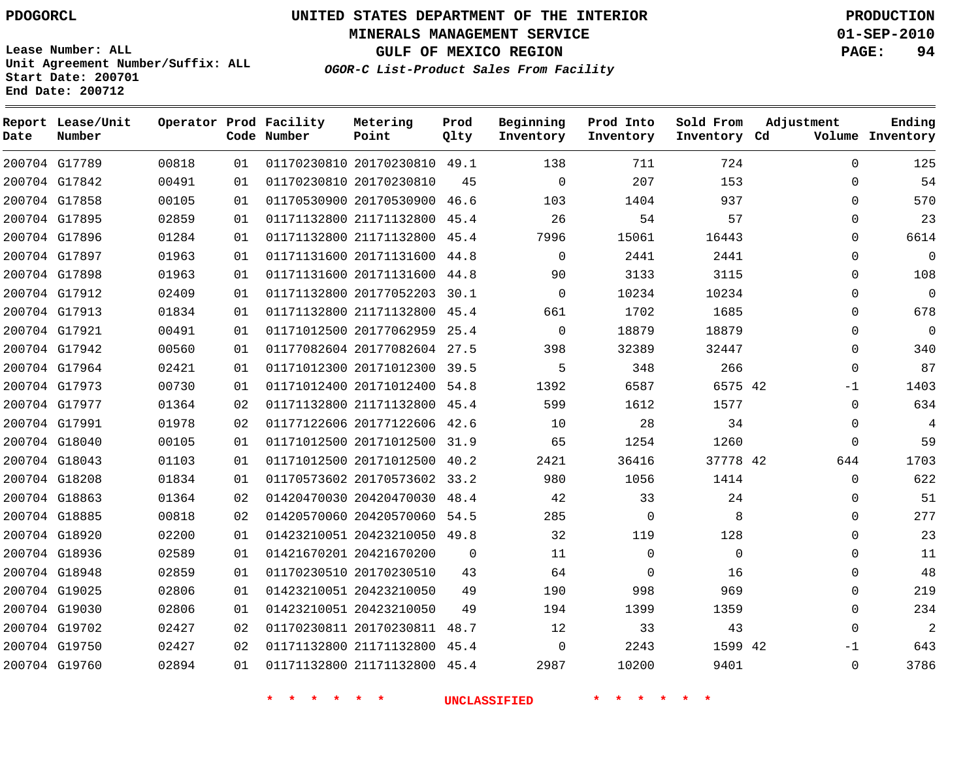**MINERALS MANAGEMENT SERVICE 01-SEP-2010**

**GULF OF MEXICO REGION PAGE: 94**

**Lease Number: ALL Unit Agreement Number/Suffix: ALL Start Date: 200701 End Date: 200712**

**OGOR-C List-Product Sales From Facility**

| Date | Report Lease/Unit<br>Number |       |    | Operator Prod Facility<br>Code Number | Metering<br>Point            | Prod<br>Qlty | Beginning<br>Inventory | Prod Into<br>Inventory | Sold From<br>Inventory Cd | Adjustment  | Ending<br>Volume Inventory |
|------|-----------------------------|-------|----|---------------------------------------|------------------------------|--------------|------------------------|------------------------|---------------------------|-------------|----------------------------|
|      | 200704 G17789               | 00818 | 01 |                                       | 01170230810 20170230810 49.1 |              | 138                    | 711                    | 724                       | $\mathbf 0$ | 125                        |
|      | 200704 G17842               | 00491 | 01 |                                       | 01170230810 20170230810      | 45           | $\mathbf 0$            | 207                    | 153                       | $\Omega$    | 54                         |
|      | 200704 G17858               | 00105 | 01 |                                       | 01170530900 20170530900 46.6 |              | 103                    | 1404                   | 937                       | $\Omega$    | 570                        |
|      | 200704 G17895               | 02859 | 01 |                                       | 01171132800 21171132800      | 45.4         | 26                     | 54                     | 57                        | $\mathbf 0$ | 23                         |
|      | 200704 G17896               | 01284 | 01 |                                       | 01171132800 21171132800      | 45.4         | 7996                   | 15061                  | 16443                     | $\mathbf 0$ | 6614                       |
|      | 200704 G17897               | 01963 | 01 |                                       | 01171131600 20171131600      | 44.8         | $\Omega$               | 2441                   | 2441                      | $\Omega$    | $\Omega$                   |
|      | 200704 G17898               | 01963 | 01 |                                       | 01171131600 20171131600 44.8 |              | 90                     | 3133                   | 3115                      | $\mathbf 0$ | 108                        |
|      | 200704 G17912               | 02409 | 01 |                                       | 01171132800 20177052203 30.1 |              | $\Omega$               | 10234                  | 10234                     | $\mathbf 0$ | $\mathbf 0$                |
|      | 200704 G17913               | 01834 | 01 |                                       | 01171132800 21171132800      | 45.4         | 661                    | 1702                   | 1685                      | $\Omega$    | 678                        |
|      | 200704 G17921               | 00491 | 01 |                                       | 01171012500 20177062959 25.4 |              | $\Omega$               | 18879                  | 18879                     | $\mathbf 0$ | $\mathbf 0$                |
|      | 200704 G17942               | 00560 | 01 |                                       | 01177082604 20177082604 27.5 |              | 398                    | 32389                  | 32447                     | $\mathbf 0$ | 340                        |
|      | 200704 G17964               | 02421 | 01 |                                       | 01171012300 20171012300 39.5 |              | 5                      | 348                    | 266                       | $\mathbf 0$ | 87                         |
|      | 200704 G17973               | 00730 | 01 |                                       | 01171012400 20171012400 54.8 |              | 1392                   | 6587                   | 6575 42                   | $-1$        | 1403                       |
|      | 200704 G17977               | 01364 | 02 |                                       | 01171132800 21171132800 45.4 |              | 599                    | 1612                   | 1577                      | $\Omega$    | 634                        |
|      | 200704 G17991               | 01978 | 02 |                                       | 01177122606 20177122606 42.6 |              | 10                     | 28                     | 34                        | $\mathbf 0$ | $\overline{4}$             |
|      | 200704 G18040               | 00105 | 01 |                                       | 01171012500 20171012500 31.9 |              | 65                     | 1254                   | 1260                      | $\mathbf 0$ | 59                         |
|      | 200704 G18043               | 01103 | 01 |                                       | 01171012500 20171012500      | 40.2         | 2421                   | 36416                  | 37778 42                  | 644         | 1703                       |
|      | 200704 G18208               | 01834 | 01 |                                       | 01170573602 20170573602 33.2 |              | 980                    | 1056                   | 1414                      | $\mathbf 0$ | 622                        |
|      | 200704 G18863               | 01364 | 02 |                                       | 01420470030 20420470030      | 48.4         | 42                     | 33                     | 24                        | $\mathbf 0$ | 51                         |
|      | 200704 G18885               | 00818 | 02 |                                       | 01420570060 20420570060 54.5 |              | 285                    | $\Omega$               | 8                         | $\Omega$    | 277                        |
|      | 200704 G18920               | 02200 | 01 |                                       | 01423210051 20423210050 49.8 |              | 32                     | 119                    | 128                       | $\mathbf 0$ | 23                         |
|      | 200704 G18936               | 02589 | 01 |                                       | 01421670201 20421670200      | $\Omega$     | 11                     | $\Omega$               | $\Omega$                  | $\Omega$    | 11                         |
|      | 200704 G18948               | 02859 | 01 |                                       | 01170230510 20170230510      | 43           | 64                     | $\mathbf 0$            | 16                        | $\mathbf 0$ | 48                         |
|      | 200704 G19025               | 02806 | 01 |                                       | 01423210051 20423210050      | 49           | 190                    | 998                    | 969                       | $\mathbf 0$ | 219                        |
|      | 200704 G19030               | 02806 | 01 |                                       | 01423210051 20423210050      | 49           | 194                    | 1399                   | 1359                      | $\Omega$    | 234                        |
|      | 200704 G19702               | 02427 | 02 |                                       | 01170230811 20170230811      | 48.7         | 12                     | 33                     | 43                        | $\mathbf 0$ | $\overline{a}$             |
|      | 200704 G19750               | 02427 | 02 |                                       | 01171132800 21171132800 45.4 |              | $\mathbf 0$            | 2243                   | 1599 42                   | $-1$        | 643                        |
|      | 200704 G19760               | 02894 | 01 |                                       | 01171132800 21171132800 45.4 |              | 2987                   | 10200                  | 9401                      | $\Omega$    | 3786                       |
|      |                             |       |    |                                       |                              |              |                        |                        |                           |             |                            |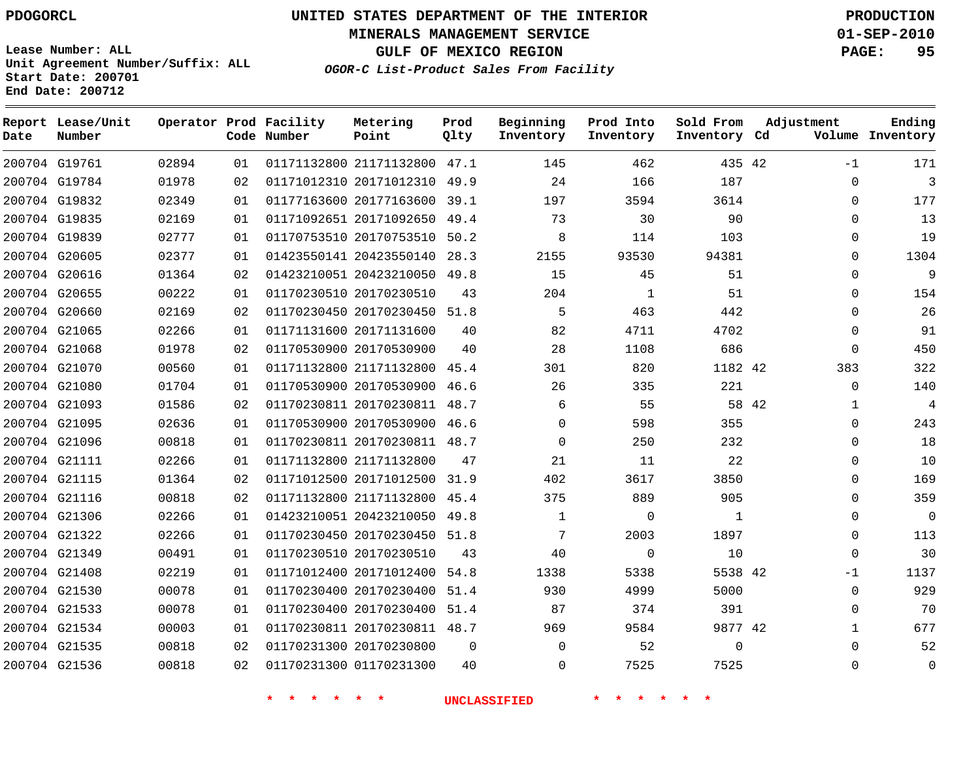**MINERALS MANAGEMENT SERVICE 01-SEP-2010**

**GULF OF MEXICO REGION PAGE: 95**

**Lease Number: ALL Unit Agreement Number/Suffix: ALL Start Date: 200701 End Date: 200712**

**OGOR-C List-Product Sales From Facility**

| Date | Report Lease/Unit<br>Number |       |    | Operator Prod Facility<br>Code Number | Metering<br>Point            | Prod<br>Qlty | Beginning<br>Inventory | Prod Into<br>Inventory | Sold From<br>Inventory Cd | Adjustment |              | Ending<br>Volume Inventory |
|------|-----------------------------|-------|----|---------------------------------------|------------------------------|--------------|------------------------|------------------------|---------------------------|------------|--------------|----------------------------|
|      | 200704 G19761               | 02894 | 01 |                                       | 01171132800 21171132800 47.1 |              | 145                    | 462                    | 435 42                    |            | $-1$         | 171                        |
|      | 200704 G19784               | 01978 | 02 |                                       | 01171012310 20171012310      | 49.9         | 24                     | 166                    | 187                       |            | $\Omega$     | 3                          |
|      | 200704 G19832               | 02349 | 01 |                                       | 01177163600 20177163600      | 39.1         | 197                    | 3594                   | 3614                      |            | 0            | 177                        |
|      | 200704 G19835               | 02169 | 01 |                                       | 01171092651 20171092650      | 49.4         | 73                     | 30                     | 90                        |            | $\Omega$     | 13                         |
|      | 200704 G19839               | 02777 | 01 |                                       | 01170753510 20170753510      | 50.2         | 8                      | 114                    | 103                       |            | $\mathbf 0$  | 19                         |
|      | 200704 G20605               | 02377 | 01 |                                       | 01423550141 20423550140      | 28.3         | 2155                   | 93530                  | 94381                     |            | $\Omega$     | 1304                       |
|      | 200704 G20616               | 01364 | 02 |                                       | 01423210051 20423210050      | 49.8         | 15                     | 45                     | 51                        |            | $\Omega$     | 9                          |
|      | 200704 G20655               | 00222 | 01 |                                       | 01170230510 20170230510      | 43           | 204                    | 1                      | 51                        |            | 0            | 154                        |
|      | 200704 G20660               | 02169 | 02 |                                       | 01170230450 20170230450      | 51.8         | 5                      | 463                    | 442                       |            | $\Omega$     | 26                         |
|      | 200704 G21065               | 02266 | 01 |                                       | 01171131600 20171131600      | 40           | 82                     | 4711                   | 4702                      |            | $\mathbf 0$  | 91                         |
|      | 200704 G21068               | 01978 | 02 |                                       | 01170530900 20170530900      | 40           | 28                     | 1108                   | 686                       |            | $\mathbf 0$  | 450                        |
|      | 200704 G21070               | 00560 | 01 |                                       | 01171132800 21171132800      | 45.4         | 301                    | 820                    | 1182 42                   |            | 383          | 322                        |
|      | 200704 G21080               | 01704 | 01 |                                       | 01170530900 20170530900      | 46.6         | 26                     | 335                    | 221                       |            | $\mathbf 0$  | 140                        |
|      | 200704 G21093               | 01586 | 02 |                                       | 01170230811 20170230811 48.7 |              | 6                      | 55                     |                           | 58 42      | $\mathbf{1}$ | $\overline{4}$             |
|      | 200704 G21095               | 02636 | 01 |                                       | 01170530900 20170530900      | 46.6         | $\Omega$               | 598                    | 355                       |            | $\Omega$     | 243                        |
|      | 200704 G21096               | 00818 | 01 |                                       | 01170230811 20170230811 48.7 |              | $\Omega$               | 250                    | 232                       |            | $\Omega$     | 18                         |
|      | 200704 G21111               | 02266 | 01 |                                       | 01171132800 21171132800      | 47           | 21                     | 11                     | 22                        |            | $\Omega$     | 10                         |
|      | 200704 G21115               | 01364 | 02 |                                       | 01171012500 20171012500      | 31.9         | 402                    | 3617                   | 3850                      |            | $\Omega$     | 169                        |
|      | 200704 G21116               | 00818 | 02 |                                       | 01171132800 21171132800      | 45.4         | 375                    | 889                    | 905                       |            | $\mathbf 0$  | 359                        |
|      | 200704 G21306               | 02266 | 01 |                                       | 01423210051 20423210050      | 49.8         | $\mathbf{1}$           | $\mathbf 0$            | 1                         |            | $\Omega$     | $\Omega$                   |
|      | 200704 G21322               | 02266 | 01 |                                       | 01170230450 20170230450      | 51.8         | 7                      | 2003                   | 1897                      |            | $\Omega$     | 113                        |
|      | 200704 G21349               | 00491 | 01 |                                       | 01170230510 20170230510      | 43           | 40                     | $\mathbf 0$            | 10                        |            | $\mathbf 0$  | 30                         |
|      | 200704 G21408               | 02219 | 01 |                                       | 01171012400 20171012400      | 54.8         | 1338                   | 5338                   | 5538 42                   |            | $-1$         | 1137                       |
|      | 200704 G21530               | 00078 | 01 |                                       | 01170230400 20170230400      | 51.4         | 930                    | 4999                   | 5000                      |            | $\mathbf 0$  | 929                        |
|      | 200704 G21533               | 00078 | 01 |                                       | 01170230400 20170230400      | 51.4         | 87                     | 374                    | 391                       |            | $\Omega$     | 70                         |
|      | 200704 G21534               | 00003 | 01 |                                       | 01170230811 20170230811 48.7 |              | 969                    | 9584                   | 9877 42                   |            | 1            | 677                        |
|      | 200704 G21535               | 00818 | 02 |                                       | 01170231300 20170230800      | 0            | $\Omega$               | 52                     | $\mathbf{0}$              |            | $\Omega$     | 52                         |
|      | 200704 G21536               | 00818 | 02 |                                       | 01170231300 01170231300      | 40           | $\Omega$               | 7525                   | 7525                      |            | $\Omega$     | $\Omega$                   |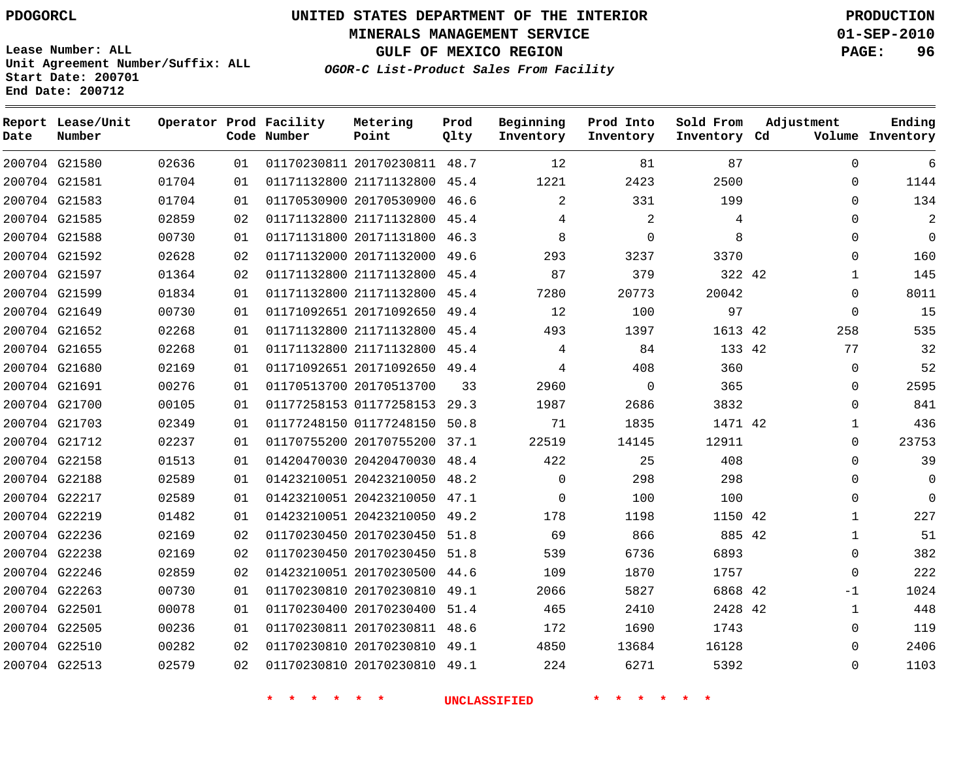**MINERALS MANAGEMENT SERVICE 01-SEP-2010**

**GULF OF MEXICO REGION PAGE: 96**

**Lease Number: ALL Unit Agreement Number/Suffix: ALL Start Date: 200701 End Date: 200712**

**OGOR-C List-Product Sales From Facility**

| Date | Report Lease/Unit<br>Number |       |    | Operator Prod Facility<br>Code Number | Metering<br>Point            | Prod<br>Qlty | Beginning<br>Inventory | Prod Into<br>Inventory | Sold From<br>Inventory Cd | Adjustment  | Ending<br>Volume Inventory |
|------|-----------------------------|-------|----|---------------------------------------|------------------------------|--------------|------------------------|------------------------|---------------------------|-------------|----------------------------|
|      | 200704 G21580               | 02636 | 01 |                                       | 01170230811 20170230811 48.7 |              | 12                     | 81                     | 87                        | $\Omega$    | 6                          |
|      | 200704 G21581               | 01704 | 01 |                                       | 01171132800 21171132800 45.4 |              | 1221                   | 2423                   | 2500                      | 0           | 1144                       |
|      | 200704 G21583               | 01704 | 01 |                                       | 01170530900 20170530900 46.6 |              | 2                      | 331                    | 199                       | $\Omega$    | 134                        |
|      | 200704 G21585               | 02859 | 02 |                                       | 01171132800 21171132800      | 45.4         | 4                      | 2                      | 4                         | $\Omega$    | 2                          |
|      | 200704 G21588               | 00730 | 01 |                                       | 01171131800 20171131800 46.3 |              | 8                      | $\mathbf 0$            | 8                         | $\Omega$    | $\mathbf 0$                |
|      | 200704 G21592               | 02628 | 02 |                                       | 01171132000 20171132000      | 49.6         | 293                    | 3237                   | 3370                      | $\Omega$    | 160                        |
|      | 200704 G21597               | 01364 | 02 |                                       | 01171132800 21171132800 45.4 |              | 87                     | 379                    | 322 42                    | 1           | 145                        |
|      | 200704 G21599               | 01834 | 01 |                                       | 01171132800 21171132800      | 45.4         | 7280                   | 20773                  | 20042                     | $\Omega$    | 8011                       |
|      | 200704 G21649               | 00730 | 01 |                                       | 01171092651 20171092650 49.4 |              | 12                     | 100                    | 97                        | $\Omega$    | 15                         |
|      | 200704 G21652               | 02268 | 01 |                                       | 01171132800 21171132800 45.4 |              | 493                    | 1397                   | 1613 42                   | 258         | 535                        |
|      | 200704 G21655               | 02268 | 01 |                                       | 01171132800 21171132800 45.4 |              | 4                      | 84                     | 133 42                    | 77          | 32                         |
|      | 200704 G21680               | 02169 | 01 |                                       | 01171092651 20171092650      | 49.4         | 4                      | 408                    | 360                       | $\mathbf 0$ | 52                         |
|      | 200704 G21691               | 00276 | 01 |                                       | 01170513700 20170513700      | 33           | 2960                   | $\Omega$               | 365                       | $\Omega$    | 2595                       |
|      | 200704 G21700               | 00105 | 01 |                                       | 01177258153 01177258153      | 29.3         | 1987                   | 2686                   | 3832                      | $\mathbf 0$ | 841                        |
|      | 200704 G21703               | 02349 | 01 |                                       | 01177248150 01177248150 50.8 |              | 71                     | 1835                   | 1471 42                   | 1           | 436                        |
|      | 200704 G21712               | 02237 | 01 |                                       | 01170755200 20170755200      | 37.1         | 22519                  | 14145                  | 12911                     | 0           | 23753                      |
|      | 200704 G22158               | 01513 | 01 |                                       | 01420470030 20420470030 48.4 |              | 422                    | 25                     | 408                       | $\Omega$    | 39                         |
|      | 200704 G22188               | 02589 | 01 |                                       | 01423210051 20423210050 48.2 |              | $\mathbf 0$            | 298                    | 298                       | 0           | 0                          |
|      | 200704 G22217               | 02589 | 01 |                                       | 01423210051 20423210050 47.1 |              | $\Omega$               | 100                    | 100                       | 0           | $\mathbf 0$                |
|      | 200704 G22219               | 01482 | 01 |                                       | 01423210051 20423210050      | 49.2         | 178                    | 1198                   | 1150 42                   | 1           | 227                        |
|      | 200704 G22236               | 02169 | 02 |                                       | 01170230450 20170230450 51.8 |              | 69                     | 866                    | 885 42                    | 1           | 51                         |
|      | 200704 G22238               | 02169 | 02 |                                       | 01170230450 20170230450 51.8 |              | 539                    | 6736                   | 6893                      | $\Omega$    | 382                        |
|      | 200704 G22246               | 02859 | 02 |                                       | 01423210051 20170230500 44.6 |              | 109                    | 1870                   | 1757                      | $\Omega$    | 222                        |
|      | 200704 G22263               | 00730 | 01 |                                       | 01170230810 20170230810      | 49.1         | 2066                   | 5827                   | 6868 42                   | $-1$        | 1024                       |
|      | 200704 G22501               | 00078 | 01 |                                       | 01170230400 20170230400 51.4 |              | 465                    | 2410                   | 2428 42                   | 1           | 448                        |
|      | 200704 G22505               | 00236 | 01 |                                       | 01170230811 20170230811 48.6 |              | 172                    | 1690                   | 1743                      | $\Omega$    | 119                        |
|      | 200704 G22510               | 00282 | 02 |                                       | 01170230810 20170230810 49.1 |              | 4850                   | 13684                  | 16128                     | $\Omega$    | 2406                       |
|      | 200704 G22513               | 02579 | 02 |                                       | 01170230810 20170230810 49.1 |              | 224                    | 6271                   | 5392                      | $\Omega$    | 1103                       |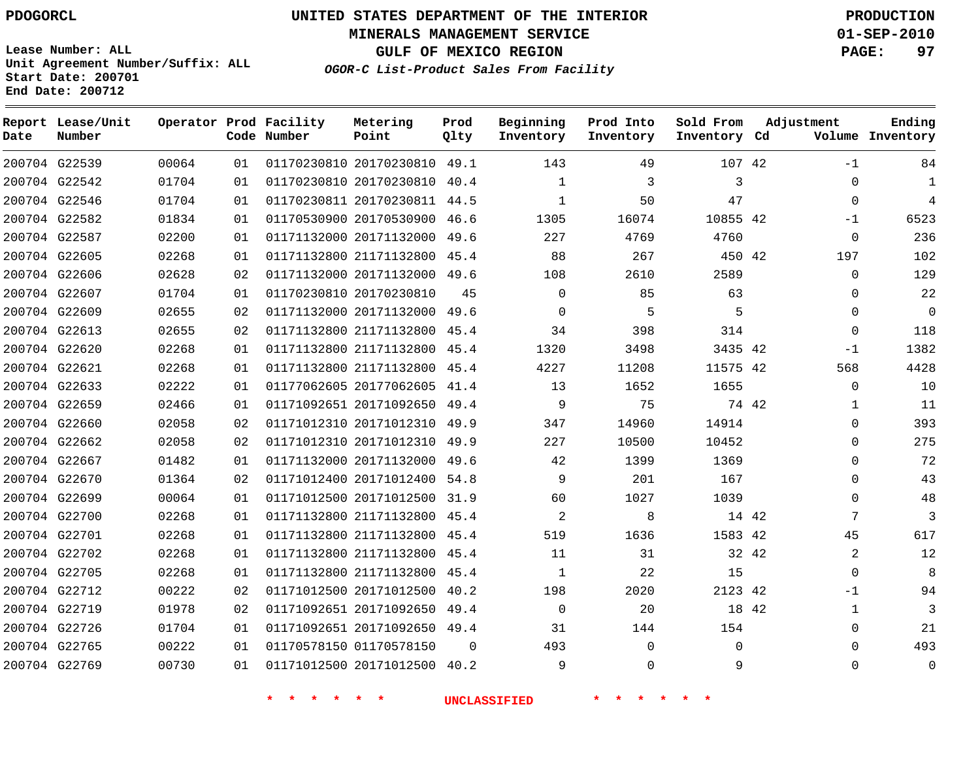**MINERALS MANAGEMENT SERVICE 01-SEP-2010**

**GULF OF MEXICO REGION PAGE: 97**

**Lease Number: ALL Unit Agreement Number/Suffix: ALL Start Date: 200701 End Date: 200712**

**OGOR-C List-Product Sales From Facility**

| Date | Report Lease/Unit<br>Number |       |    | Operator Prod Facility<br>Code Number | Metering<br>Point            | Prod<br>Qlty | Beginning<br>Inventory | Prod Into<br>Inventory | Sold From<br>Inventory Cd |       | Adjustment   | Ending<br>Volume Inventory |
|------|-----------------------------|-------|----|---------------------------------------|------------------------------|--------------|------------------------|------------------------|---------------------------|-------|--------------|----------------------------|
|      | 200704 G22539               | 00064 | 01 |                                       | 01170230810 20170230810      | 49.1         | 143                    | 49                     | 107 42                    |       | $-1$         | 84                         |
|      | 200704 G22542               | 01704 | 01 |                                       | 01170230810 20170230810      | 40.4         | 1                      | 3                      | 3                         |       | $\Omega$     | $\mathbf{1}$               |
|      | 200704 G22546               | 01704 | 01 |                                       | 01170230811 20170230811      | 44.5         | 1                      | 50                     | 47                        |       | $\mathbf 0$  | $\overline{4}$             |
|      | 200704 G22582               | 01834 | 01 |                                       | 01170530900 20170530900      | 46.6         | 1305                   | 16074                  | 10855 42                  |       | $-1$         | 6523                       |
|      | 200704 G22587               | 02200 | 01 |                                       | 01171132000 20171132000      | 49.6         | 227                    | 4769                   | 4760                      |       | $\mathbf 0$  | 236                        |
|      | 200704 G22605               | 02268 | 01 |                                       | 01171132800 21171132800      | 45.4         | 88                     | 267                    | 450 42                    |       | 197          | 102                        |
|      | 200704 G22606               | 02628 | 02 |                                       | 01171132000 20171132000      | 49.6         | 108                    | 2610                   | 2589                      |       | $\mathbf 0$  | 129                        |
|      | 200704 G22607               | 01704 | 01 |                                       | 01170230810 20170230810      | 45           | $\mathbf 0$            | 85                     | 63                        |       | 0            | 22                         |
|      | 200704 G22609               | 02655 | 02 |                                       | 01171132000 20171132000      | 49.6         | 0                      | 5                      | 5                         |       | $\mathbf 0$  | $\mathbf{0}$               |
|      | 200704 G22613               | 02655 | 02 |                                       | 01171132800 21171132800 45.4 |              | 34                     | 398                    | 314                       |       | $\mathbf 0$  | 118                        |
|      | 200704 G22620               | 02268 | 01 |                                       | 01171132800 21171132800      | 45.4         | 1320                   | 3498                   | 3435 42                   |       | $-1$         | 1382                       |
|      | 200704 G22621               | 02268 | 01 |                                       | 01171132800 21171132800      | 45.4         | 4227                   | 11208                  | 11575 42                  |       | 568          | 4428                       |
|      | 200704 G22633               | 02222 | 01 |                                       | 01177062605 20177062605      | 41.4         | 13                     | 1652                   | 1655                      |       | $\Omega$     | 10                         |
|      | 200704 G22659               | 02466 | 01 |                                       | 01171092651 20171092650      | 49.4         | 9                      | 75                     |                           | 74 42 | $\mathbf{1}$ | 11                         |
|      | 200704 G22660               | 02058 | 02 |                                       | 01171012310 20171012310      | 49.9         | 347                    | 14960                  | 14914                     |       | $\Omega$     | 393                        |
|      | 200704 G22662               | 02058 | 02 |                                       | 01171012310 20171012310      | 49.9         | 227                    | 10500                  | 10452                     |       | 0            | 275                        |
|      | 200704 G22667               | 01482 | 01 |                                       | 01171132000 20171132000      | 49.6         | 42                     | 1399                   | 1369                      |       | $\Omega$     | 72                         |
|      | 200704 G22670               | 01364 | 02 |                                       | 01171012400 20171012400      | 54.8         | 9                      | 201                    | 167                       |       | $\Omega$     | 43                         |
|      | 200704 G22699               | 00064 | 01 |                                       | 01171012500 20171012500      | 31.9         | 60                     | 1027                   | 1039                      |       | $\Omega$     | 48                         |
|      | 200704 G22700               | 02268 | 01 |                                       | 01171132800 21171132800      | 45.4         | 2                      | 8                      |                           | 14 42 | 7            | 3                          |
|      | 200704 G22701               | 02268 | 01 |                                       | 01171132800 21171132800      | 45.4         | 519                    | 1636                   | 1583 42                   |       | 45           | 617                        |
|      | 200704 G22702               | 02268 | 01 |                                       | 01171132800 21171132800      | 45.4         | 11                     | 31                     |                           | 32 42 | 2            | 12                         |
|      | 200704 G22705               | 02268 | 01 |                                       | 01171132800 21171132800      | 45.4         | $\mathbf{1}$           | 22                     | 15                        |       | $\Omega$     | 8                          |
|      | 200704 G22712               | 00222 | 02 |                                       | 01171012500 20171012500      | 40.2         | 198                    | 2020                   | 2123 42                   |       | -1           | 94                         |
|      | 200704 G22719               | 01978 | 02 |                                       | 01171092651 20171092650      | 49.4         | $\Omega$               | 20                     |                           | 18 42 | 1            | 3                          |
|      | 200704 G22726               | 01704 | 01 |                                       | 01171092651 20171092650      | 49.4         | 31                     | 144                    | 154                       |       | $\mathbf 0$  | 21                         |
|      | 200704 G22765               | 00222 | 01 |                                       | 01170578150 01170578150      | $\Omega$     | 493                    | $\mathbf{0}$           | $\Omega$                  |       | $\Omega$     | 493                        |
|      | 200704 G22769               | 00730 | 01 |                                       | 01171012500 20171012500      | 40.2         | 9                      | $\Omega$               | 9                         |       | $\Omega$     | $\Omega$                   |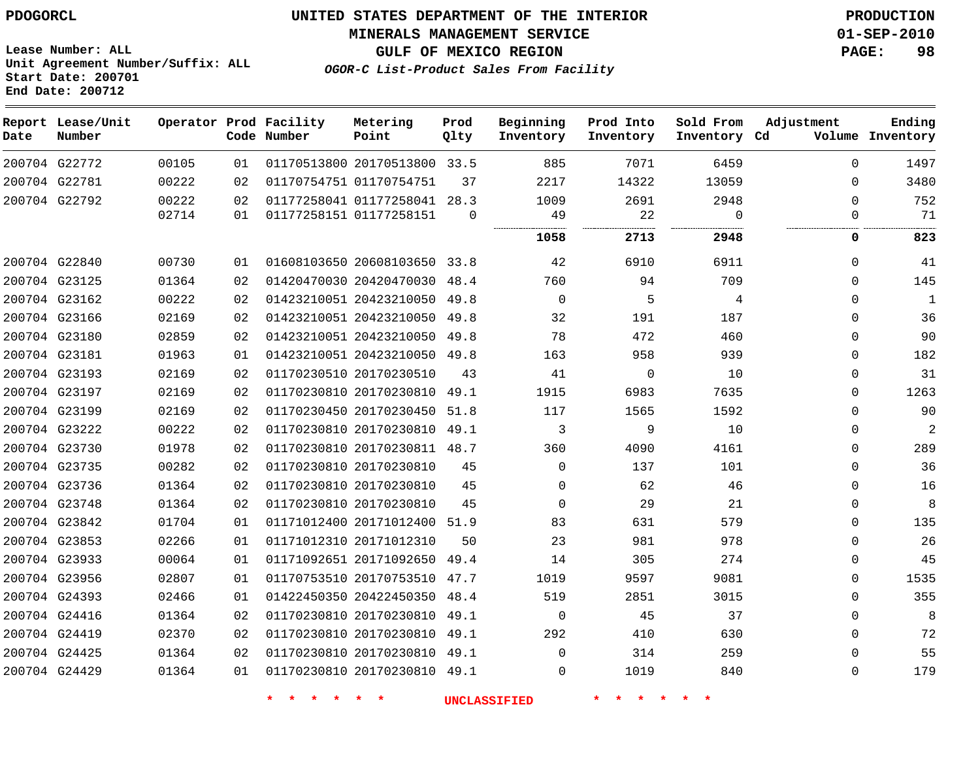**MINERALS MANAGEMENT SERVICE 01-SEP-2010**

**Lease Number: ALL Unit Agreement Number/Suffix: ALL Start Date: 200701 End Date: 200712**

**OGOR-C List-Product Sales From Facility**

**GULF OF MEXICO REGION PAGE: 98**

| Date | Report Lease/Unit<br>Number |       |    | Operator Prod Facility<br>Code Number | Metering<br>Point            | Prod<br>Qlty | Beginning<br>Inventory | Prod Into<br>Inventory | Sold From<br>Inventory Cd | Adjustment   | Ending<br>Volume Inventory |
|------|-----------------------------|-------|----|---------------------------------------|------------------------------|--------------|------------------------|------------------------|---------------------------|--------------|----------------------------|
|      | 200704 G22772               | 00105 | 01 |                                       | 01170513800 20170513800 33.5 |              | 885                    | 7071                   | 6459                      | $\Omega$     | 1497                       |
|      | 200704 G22781               | 00222 | 02 |                                       | 01170754751 01170754751      | 37           | 2217                   | 14322                  | 13059                     | $\Omega$     | 3480                       |
|      | 200704 G22792               | 00222 | 02 |                                       | 01177258041 01177258041 28.3 |              | 1009                   | 2691                   | 2948                      | $\mathbf{0}$ | 752                        |
|      |                             | 02714 | 01 |                                       | 01177258151 01177258151      | $\Omega$     | 49                     | 22                     | $\Omega$                  | $\Omega$     | 71                         |
|      |                             |       |    |                                       |                              |              | 1058                   | 2713                   | 2948                      | 0            | 823                        |
|      | 200704 G22840               | 00730 | 01 |                                       | 01608103650 20608103650 33.8 |              | 42                     | 6910                   | 6911                      | $\Omega$     | 41                         |
|      | 200704 G23125               | 01364 | 02 |                                       | 01420470030 20420470030      | 48.4         | 760                    | 94                     | 709                       | 0            | 145                        |
|      | 200704 G23162               | 00222 | 02 |                                       | 01423210051 20423210050      | 49.8         | $\mathbf 0$            | 5                      | 4                         | $\mathbf{0}$ | $\mathbf{1}$               |
|      | 200704 G23166               | 02169 | 02 |                                       | 01423210051 20423210050 49.8 |              | 32                     | 191                    | 187                       | $\Omega$     | 36                         |
|      | 200704 G23180               | 02859 | 02 |                                       | 01423210051 20423210050      | 49.8         | 78                     | 472                    | 460                       | $\Omega$     | 90                         |
|      | 200704 G23181               | 01963 | 01 |                                       | 01423210051 20423210050 49.8 |              | 163                    | 958                    | 939                       | $\Omega$     | 182                        |
|      | 200704 G23193               | 02169 | 02 |                                       | 01170230510 20170230510      | 43           | 41                     | $\Omega$               | 10                        | $\Omega$     | 31                         |
|      | 200704 G23197               | 02169 | 02 |                                       | 01170230810 20170230810      | 49.1         | 1915                   | 6983                   | 7635                      | 0            | 1263                       |
|      | 200704 G23199               | 02169 | 02 |                                       | 01170230450 20170230450      | 51.8         | 117                    | 1565                   | 1592                      | $\mathbf{0}$ | 90                         |
|      | 200704 G23222               | 00222 | 02 |                                       | 01170230810 20170230810      | 49.1         | 3                      | 9                      | 10                        | $\mathbf{0}$ | $\overline{2}$             |
|      | 200704 G23730               | 01978 | 02 |                                       | 01170230810 20170230811 48.7 |              | 360                    | 4090                   | 4161                      | $\mathbf 0$  | 289                        |
|      | 200704 G23735               | 00282 | 02 |                                       | 01170230810 20170230810      | 45           | $\Omega$               | 137                    | 101                       | $\Omega$     | 36                         |
|      | 200704 G23736               | 01364 | 02 |                                       | 01170230810 20170230810      | 45           | $\Omega$               | 62                     | 46                        | $\Omega$     | 16                         |
|      | 200704 G23748               | 01364 | 02 |                                       | 01170230810 20170230810      | 45           | $\Omega$               | 29                     | 21                        | $\mathbf 0$  | 8                          |
|      | 200704 G23842               | 01704 | 01 |                                       | 01171012400 20171012400      | 51.9         | 83                     | 631                    | 579                       | $\mathbf{0}$ | 135                        |
|      | 200704 G23853               | 02266 | 01 |                                       | 01171012310 20171012310      | 50           | 23                     | 981                    | 978                       | $\Omega$     | 26                         |
|      | 200704 G23933               | 00064 | 01 |                                       | 01171092651 20171092650      | 49.4         | 14                     | 305                    | 274                       | 0            | 45                         |
|      | 200704 G23956               | 02807 | 01 |                                       | 01170753510 20170753510 47.7 |              | 1019                   | 9597                   | 9081                      | 0            | 1535                       |
|      | 200704 G24393               | 02466 | 01 |                                       | 01422450350 20422450350      | 48.4         | 519                    | 2851                   | 3015                      | $\Omega$     | 355                        |
|      | 200704 G24416               | 01364 | 02 |                                       | 01170230810 20170230810 49.1 |              | $\mathbf 0$            | 45                     | 37                        | $\mathbf{0}$ | 8                          |
|      | 200704 G24419               | 02370 | 02 |                                       | 01170230810 20170230810      | 49.1         | 292                    | 410                    | 630                       | $\mathbf{0}$ | 72                         |
|      | 200704 G24425               | 01364 | 02 |                                       | 01170230810 20170230810      | 49.1         | $\Omega$               | 314                    | 259                       | $\Omega$     | 55                         |
|      | 200704 G24429               | 01364 | 01 |                                       | 01170230810 20170230810 49.1 |              | $\Omega$               | 1019                   | 840                       | $\Omega$     | 179                        |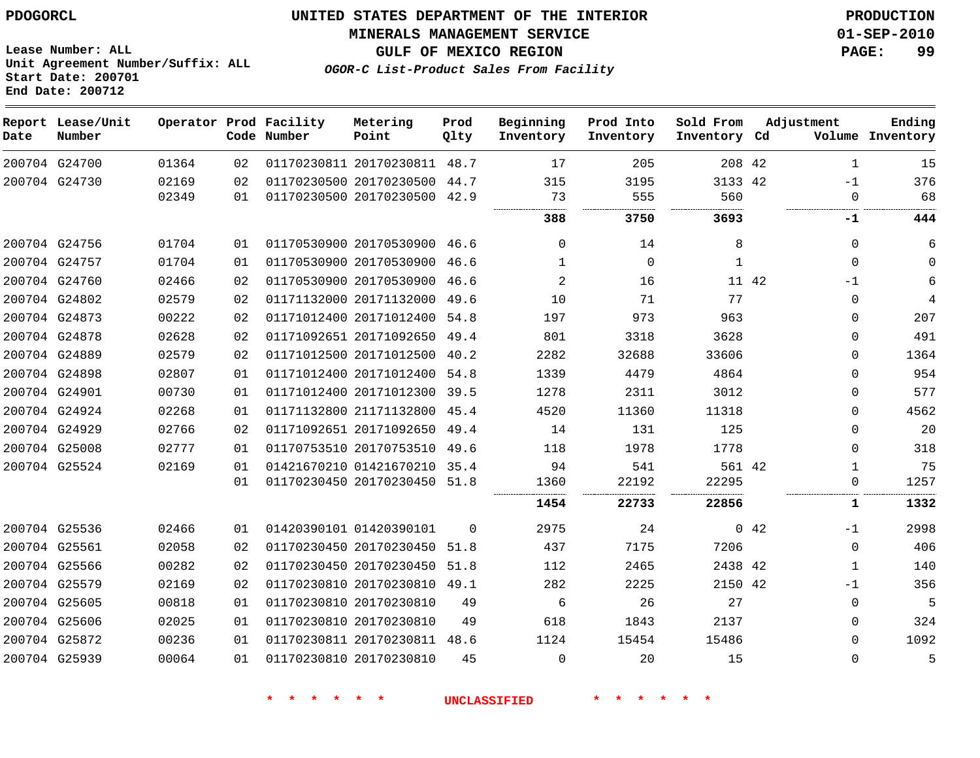**MINERALS MANAGEMENT SERVICE 01-SEP-2010**

**Lease Number: ALL Unit Agreement Number/Suffix: ALL Start Date: 200701 End Date: 200712**

**OGOR-C List-Product Sales From Facility**

**GULF OF MEXICO REGION PAGE: 99**

| Date | Report Lease/Unit<br>Number |       |    | Operator Prod Facility<br>Code Number | Metering<br>Point            | Prod<br>Qlty | Beginning<br>Inventory | Prod Into<br>Inventory | Sold From<br>Inventory Cd | Adjustment      | Ending<br>Volume Inventory |
|------|-----------------------------|-------|----|---------------------------------------|------------------------------|--------------|------------------------|------------------------|---------------------------|-----------------|----------------------------|
|      | 200704 G24700               | 01364 | 02 |                                       | 01170230811 20170230811 48.7 |              | 17                     | 205                    | 208 42                    | 1               | 15                         |
|      | 200704 G24730               | 02169 | 02 |                                       | 01170230500 20170230500      | 44.7         | 315                    | 3195                   | 3133 42                   | $-1$            | 376                        |
|      |                             | 02349 | 01 |                                       | 01170230500 20170230500 42.9 |              | 73                     | 555<br>.               | 560<br>                   | $\mathbf 0$     | 68                         |
|      |                             |       |    |                                       |                              |              | 388                    | 3750                   | 3693                      | -1              | 444                        |
|      | 200704 G24756               | 01704 | 01 |                                       | 01170530900 20170530900 46.6 |              | $\Omega$               | 14                     | 8                         | $\Omega$        | 6                          |
|      | 200704 G24757               | 01704 | 01 |                                       | 01170530900 20170530900      | 46.6         | 1                      | $\Omega$               | 1                         | $\Omega$        | $\Omega$                   |
|      | 200704 G24760               | 02466 | 02 |                                       | 01170530900 20170530900      | 46.6         | 2                      | 16                     |                           | 11 42<br>$-1$   | 6                          |
|      | 200704 G24802               | 02579 | 02 |                                       | 01171132000 20171132000      | 49.6         | 10                     | 71                     | 77                        | 0               | 4                          |
|      | 200704 G24873               | 00222 | 02 |                                       | 01171012400 20171012400      | 54.8         | 197                    | 973                    | 963                       | 0               | 207                        |
|      | 200704 G24878               | 02628 | 02 |                                       | 01171092651 20171092650      | 49.4         | 801                    | 3318                   | 3628                      | $\Omega$        | 491                        |
|      | 200704 G24889               | 02579 | 02 |                                       | 01171012500 20171012500      | 40.2         | 2282                   | 32688                  | 33606                     | $\Omega$        | 1364                       |
|      | 200704 G24898               | 02807 | 01 |                                       | 01171012400 20171012400      | 54.8         | 1339                   | 4479                   | 4864                      | $\Omega$        | 954                        |
|      | 200704 G24901               | 00730 | 01 |                                       | 01171012400 20171012300      | 39.5         | 1278                   | 2311                   | 3012                      | 0               | 577                        |
|      | 200704 G24924               | 02268 | 01 |                                       | 01171132800 21171132800      | 45.4         | 4520                   | 11360                  | 11318                     | $\Omega$        | 4562                       |
|      | 200704 G24929               | 02766 | 02 |                                       | 01171092651 20171092650      | 49.4         | 14                     | 131                    | 125                       | 0               | 20                         |
|      | 200704 G25008               | 02777 | 01 |                                       | 01170753510 20170753510      | 49.6         | 118                    | 1978                   | 1778                      | $\Omega$        | 318                        |
|      | 200704 G25524               | 02169 | 01 |                                       | 01421670210 01421670210      | 35.4         | 94                     | 541                    | 561 42                    | $\mathbf{1}$    | 75                         |
|      |                             |       | 01 |                                       | 01170230450 20170230450 51.8 |              | 1360                   | 22192                  | 22295                     | $\mathbf{0}$    | 1257                       |
|      |                             |       |    |                                       |                              |              | 1454                   | 22733                  | 22856                     | 1               | 1332                       |
|      | 200704 G25536               | 02466 | 01 |                                       | 01420390101 01420390101      | $\Omega$     | 2975                   | 24                     |                           | $0 \t 42$<br>-1 | 2998                       |
|      | 200704 G25561               | 02058 | 02 |                                       | 01170230450 20170230450      | 51.8         | 437                    | 7175                   | 7206                      | $\mathbf 0$     | 406                        |
|      | 200704 G25566               | 00282 | 02 |                                       | 01170230450 20170230450      | 51.8         | 112                    | 2465                   | 2438 42                   | 1               | 140                        |
|      | 200704 G25579               | 02169 | 02 |                                       | 01170230810 20170230810      | 49.1         | 282                    | 2225                   | 2150 42                   | $-1$            | 356                        |
|      | 200704 G25605               | 00818 | 01 |                                       | 01170230810 20170230810      | 49           | 6                      | 26                     | 27                        | $\mathbf{0}$    | 5                          |
|      | 200704 G25606               | 02025 | 01 |                                       | 01170230810 20170230810      | 49           | 618                    | 1843                   | 2137                      | $\Omega$        | 324                        |
|      | 200704 G25872               | 00236 | 01 |                                       | 01170230811 20170230811 48.6 |              | 1124                   | 15454                  | 15486                     | $\Omega$        | 1092                       |
|      | 200704 G25939               | 00064 | 01 |                                       | 01170230810 20170230810      | 45           | $\Omega$               | 20                     | 15                        | $\Omega$        | 5                          |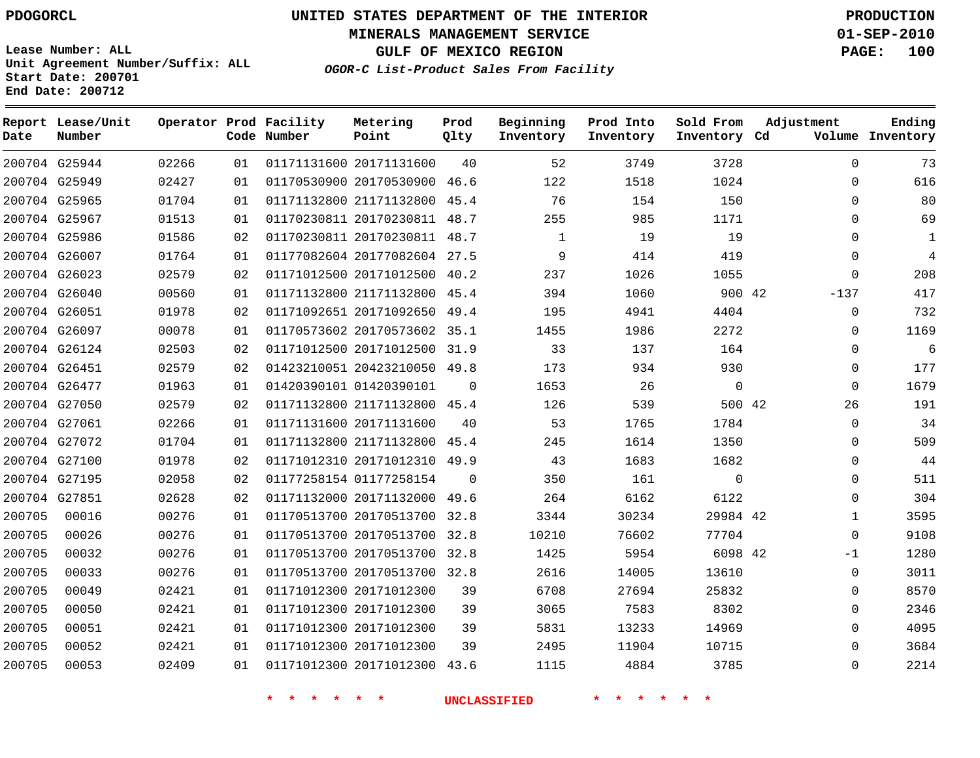**MINERALS MANAGEMENT SERVICE 01-SEP-2010**

**GULF OF MEXICO REGION PAGE: 100**

**Lease Number: ALL Unit Agreement Number/Suffix: ALL Start Date: 200701 End Date: 200712**

**OGOR-C List-Product Sales From Facility**

| Date   | Report Lease/Unit<br>Number |       |    | Operator Prod Facility<br>Code Number | Metering<br>Point            | Prod<br>Qlty | Beginning<br>Inventory | Prod Into<br>Inventory | Sold From<br>Inventory Cd | Adjustment  | Ending<br>Volume Inventory |
|--------|-----------------------------|-------|----|---------------------------------------|------------------------------|--------------|------------------------|------------------------|---------------------------|-------------|----------------------------|
|        | 200704 G25944               | 02266 | 01 |                                       | 01171131600 20171131600      | 40           | 52                     | 3749                   | 3728                      | $\Omega$    | 73                         |
|        | 200704 G25949               | 02427 | 01 |                                       | 01170530900 20170530900 46.6 |              | 122                    | 1518                   | 1024                      | $\Omega$    | 616                        |
|        | 200704 G25965               | 01704 | 01 |                                       | 01171132800 21171132800 45.4 |              | 76                     | 154                    | 150                       | $\mathbf 0$ | 80                         |
|        | 200704 G25967               | 01513 | 01 |                                       | 01170230811 20170230811 48.7 |              | 255                    | 985                    | 1171                      | $\Omega$    | 69                         |
|        | 200704 G25986               | 01586 | 02 |                                       | 01170230811 20170230811 48.7 |              | $\mathbf{1}$           | 19                     | 19                        | $\Omega$    | $\mathbf{1}$               |
|        | 200704 G26007               | 01764 | 01 |                                       | 01177082604 20177082604 27.5 |              | 9                      | 414                    | 419                       | $\Omega$    | $\overline{4}$             |
|        | 200704 G26023               | 02579 | 02 |                                       | 01171012500 20171012500 40.2 |              | 237                    | 1026                   | 1055                      | $\mathbf 0$ | 208                        |
|        | 200704 G26040               | 00560 | 01 |                                       | 01171132800 21171132800 45.4 |              | 394                    | 1060                   | 900 42                    | $-137$      | 417                        |
|        | 200704 G26051               | 01978 | 02 |                                       | 01171092651 20171092650 49.4 |              | 195                    | 4941                   | 4404                      | $\mathbf 0$ | 732                        |
|        | 200704 G26097               | 00078 | 01 |                                       | 01170573602 20170573602 35.1 |              | 1455                   | 1986                   | 2272                      | $\Omega$    | 1169                       |
|        | 200704 G26124               | 02503 | 02 |                                       | 01171012500 20171012500      | 31.9         | 33                     | 137                    | 164                       | $\mathbf 0$ | 6                          |
|        | 200704 G26451               | 02579 | 02 |                                       | 01423210051 20423210050 49.8 |              | 173                    | 934                    | 930                       | 0           | 177                        |
|        | 200704 G26477               | 01963 | 01 |                                       | 01420390101 01420390101      | 0            | 1653                   | 26                     | $\mathbf 0$               | $\mathbf 0$ | 1679                       |
|        | 200704 G27050               | 02579 | 02 |                                       | 01171132800 21171132800 45.4 |              | 126                    | 539                    | 500 42                    | 26          | 191                        |
|        | 200704 G27061               | 02266 | 01 |                                       | 01171131600 20171131600      | 40           | 53                     | 1765                   | 1784                      | $\Omega$    | 34                         |
|        | 200704 G27072               | 01704 | 01 |                                       | 01171132800 21171132800      | 45.4         | 245                    | 1614                   | 1350                      | 0           | 509                        |
|        | 200704 G27100               | 01978 | 02 |                                       | 01171012310 20171012310 49.9 |              | 43                     | 1683                   | 1682                      | $\mathbf 0$ | 44                         |
|        | 200704 G27195               | 02058 | 02 |                                       | 01177258154 01177258154      | $\Omega$     | 350                    | 161                    | $\mathbf 0$               | $\mathbf 0$ | 511                        |
|        | 200704 G27851               | 02628 | 02 |                                       | 01171132000 20171132000      | 49.6         | 264                    | 6162                   | 6122                      | $\Omega$    | 304                        |
| 200705 | 00016                       | 00276 | 01 |                                       | 01170513700 20170513700      | 32.8         | 3344                   | 30234                  | 29984 42                  | 1           | 3595                       |
| 200705 | 00026                       | 00276 | 01 |                                       | 01170513700 20170513700      | 32.8         | 10210                  | 76602                  | 77704                     | $\mathbf 0$ | 9108                       |
| 200705 | 00032                       | 00276 | 01 |                                       | 01170513700 20170513700 32.8 |              | 1425                   | 5954                   | 6098 42                   | -1          | 1280                       |
| 200705 | 00033                       | 00276 | 01 |                                       | 01170513700 20170513700 32.8 |              | 2616                   | 14005                  | 13610                     | $\mathbf 0$ | 3011                       |
| 200705 | 00049                       | 02421 | 01 |                                       | 01171012300 20171012300      | 39           | 6708                   | 27694                  | 25832                     | $\mathbf 0$ | 8570                       |
| 200705 | 00050                       | 02421 | 01 |                                       | 01171012300 20171012300      | 39           | 3065                   | 7583                   | 8302                      | 0           | 2346                       |
| 200705 | 00051                       | 02421 | 01 |                                       | 01171012300 20171012300      | 39           | 5831                   | 13233                  | 14969                     | $\mathbf 0$ | 4095                       |
| 200705 | 00052                       | 02421 | 01 |                                       | 01171012300 20171012300      | 39           | 2495                   | 11904                  | 10715                     | $\Omega$    | 3684                       |
| 200705 | 00053                       | 02409 | 01 |                                       | 01171012300 20171012300      | 43.6         | 1115                   | 4884                   | 3785                      | $\Omega$    | 2214                       |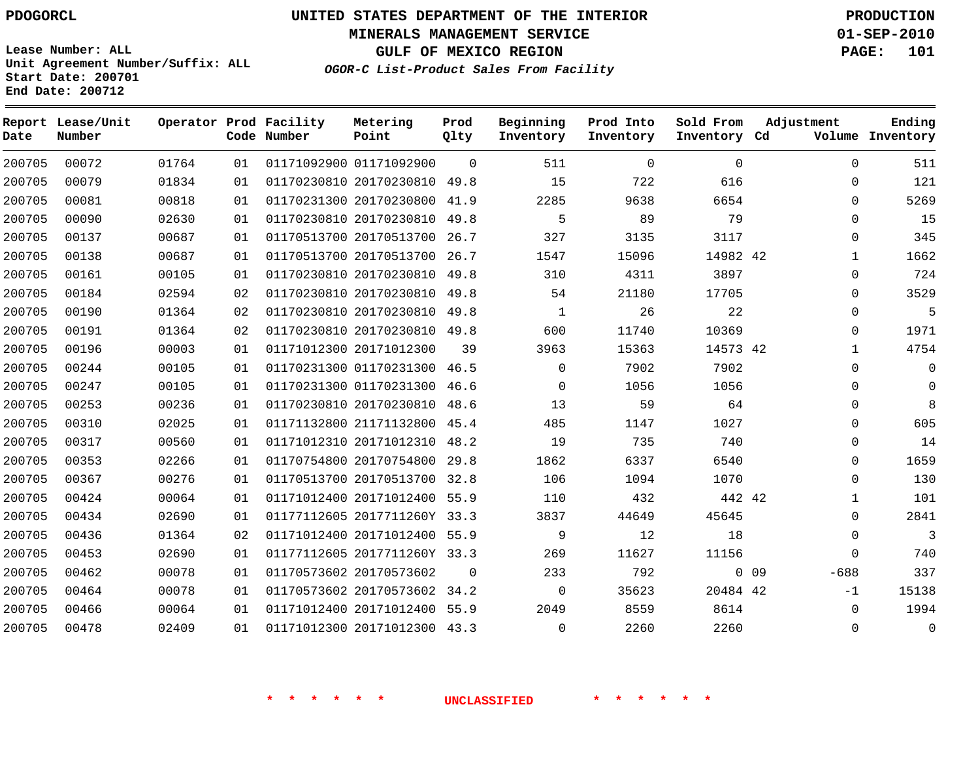**MINERALS MANAGEMENT SERVICE 01-SEP-2010**

**GULF OF MEXICO REGION PAGE: 101**

**Lease Number: ALL Unit Agreement Number/Suffix: ALL Start Date: 200701 End Date: 200712**

**OGOR-C List-Product Sales From Facility**

| Date   | Report Lease/Unit<br>Number |       |    | Operator Prod Facility<br>Code Number | Metering<br>Point            | Prod<br>Qlty | Beginning<br>Inventory | Prod Into<br>Inventory | Sold From<br>Inventory Cd |        | Adjustment   | Ending<br>Volume Inventory |
|--------|-----------------------------|-------|----|---------------------------------------|------------------------------|--------------|------------------------|------------------------|---------------------------|--------|--------------|----------------------------|
| 200705 | 00072                       | 01764 | 01 |                                       | 01171092900 01171092900      | $\Omega$     | 511                    | $\Omega$               | $\Omega$                  |        | $\Omega$     | 511                        |
| 200705 | 00079                       | 01834 | 01 |                                       | 01170230810 20170230810      | 49.8         | 15                     | 722                    | 616                       |        | $\Omega$     | 121                        |
| 200705 | 00081                       | 00818 | 01 |                                       | 01170231300 20170230800      | 41.9         | 2285                   | 9638                   | 6654                      |        | $\Omega$     | 5269                       |
| 200705 | 00090                       | 02630 | 01 |                                       | 01170230810 20170230810      | 49.8         | 5                      | 89                     | 79                        |        | $\Omega$     | 15                         |
| 200705 | 00137                       | 00687 | 01 |                                       | 01170513700 20170513700      | 26.7         | 327                    | 3135                   | 3117                      |        | $\mathbf 0$  | 345                        |
| 200705 | 00138                       | 00687 | 01 |                                       | 01170513700 20170513700      | 26.7         | 1547                   | 15096                  | 14982 42                  |        | $\mathbf{1}$ | 1662                       |
| 200705 | 00161                       | 00105 | 01 |                                       | 01170230810 20170230810      | 49.8         | 310                    | 4311                   | 3897                      |        | $\mathbf 0$  | 724                        |
| 200705 | 00184                       | 02594 | 02 |                                       | 01170230810 20170230810      | 49.8         | 54                     | 21180                  | 17705                     |        | $\Omega$     | 3529                       |
| 200705 | 00190                       | 01364 | 02 |                                       | 01170230810 20170230810      | 49.8         | $\mathbf{1}$           | 26                     | 22                        |        | $\mathbf 0$  | 5                          |
| 200705 | 00191                       | 01364 | 02 |                                       | 01170230810 20170230810 49.8 |              | 600                    | 11740                  | 10369                     |        | $\Omega$     | 1971                       |
| 200705 | 00196                       | 00003 | 01 |                                       | 01171012300 20171012300      | 39           | 3963                   | 15363                  | 14573 42                  |        | $\mathbf{1}$ | 4754                       |
| 200705 | 00244                       | 00105 | 01 |                                       | 01170231300 01170231300      | 46.5         | $\Omega$               | 7902                   | 7902                      |        | $\Omega$     | $\Omega$                   |
| 200705 | 00247                       | 00105 | 01 |                                       | 01170231300 01170231300      | 46.6         | $\Omega$               | 1056                   | 1056                      |        | $\Omega$     | $\Omega$                   |
| 200705 | 00253                       | 00236 | 01 |                                       | 01170230810 20170230810      | 48.6         | 13                     | 59                     | 64                        |        | $\mathbf 0$  | 8                          |
| 200705 | 00310                       | 02025 | 01 |                                       | 01171132800 21171132800      | 45.4         | 485                    | 1147                   | 1027                      |        | $\mathbf 0$  | 605                        |
| 200705 | 00317                       | 00560 | 01 |                                       | 01171012310 20171012310      | 48.2         | 19                     | 735                    | 740                       |        | $\Omega$     | 14                         |
| 200705 | 00353                       | 02266 | 01 |                                       | 01170754800 20170754800      | 29.8         | 1862                   | 6337                   | 6540                      |        | $\mathbf 0$  | 1659                       |
| 200705 | 00367                       | 00276 | 01 |                                       | 01170513700 20170513700      | 32.8         | 106                    | 1094                   | 1070                      |        | $\Omega$     | 130                        |
| 200705 | 00424                       | 00064 | 01 |                                       | 01171012400 20171012400 55.9 |              | 110                    | 432                    | 442 42                    |        | $\mathbf{1}$ | 101                        |
| 200705 | 00434                       | 02690 | 01 |                                       | 01177112605 2017711260Y 33.3 |              | 3837                   | 44649                  | 45645                     |        | $\Omega$     | 2841                       |
| 200705 | 00436                       | 01364 | 02 |                                       | 01171012400 20171012400 55.9 |              | 9                      | 12                     | 18                        |        | $\mathbf 0$  | 3                          |
| 200705 | 00453                       | 02690 | 01 |                                       | 01177112605 2017711260Y 33.3 |              | 269                    | 11627                  | 11156                     |        | $\Omega$     | 740                        |
| 200705 | 00462                       | 00078 | 01 |                                       | 01170573602 20170573602      | $\Omega$     | 233                    | 792                    |                           | $0$ 09 | $-688$       | 337                        |
| 200705 | 00464                       | 00078 | 01 |                                       | 01170573602 20170573602 34.2 |              | $\Omega$               | 35623                  | 20484 42                  |        | $-1$         | 15138                      |
| 200705 | 00466                       | 00064 | 01 |                                       | 01171012400 20171012400 55.9 |              | 2049                   | 8559                   | 8614                      |        | $\Omega$     | 1994                       |
| 200705 | 00478                       | 02409 | 01 |                                       | 01171012300 20171012300 43.3 |              | $\Omega$               | 2260                   | 2260                      |        | $\mathbf 0$  | $\mathbf 0$                |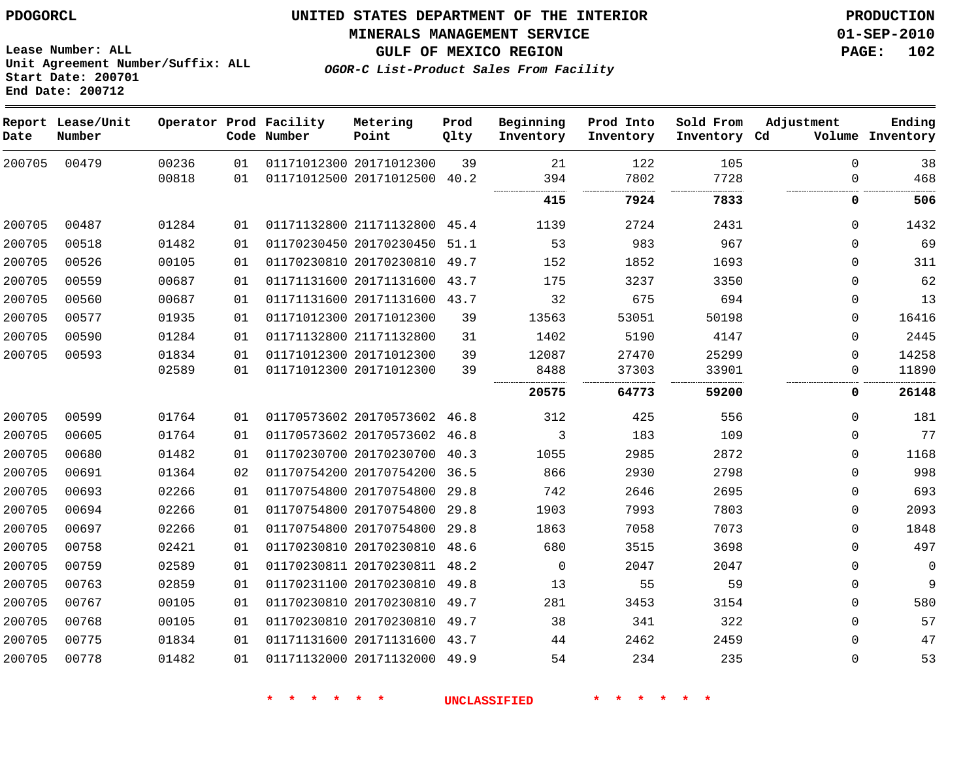**MINERALS MANAGEMENT SERVICE 01-SEP-2010**

**GULF OF MEXICO REGION PAGE: 102**

**OGOR-C List-Product Sales From Facility**

**Lease Number: ALL Unit Agreement Number/Suffix: ALL Start Date: 200701 End Date: 200712**

| Date   | Report Lease/Unit<br>Number |       |    | Operator Prod Facility<br>Code Number | Metering<br>Point            | Prod<br>Qlty | Beginning<br>Inventory | Prod Into<br>Inventory | Sold From<br>Inventory Cd | Adjustment  | Ending<br>Volume Inventory |
|--------|-----------------------------|-------|----|---------------------------------------|------------------------------|--------------|------------------------|------------------------|---------------------------|-------------|----------------------------|
| 200705 | 00479                       | 00236 | 01 |                                       | 01171012300 20171012300      | 39           | 21                     | 122                    | 105                       | $\mathbf 0$ | 38                         |
|        |                             | 00818 | 01 |                                       | 01171012500 20171012500 40.2 |              | 394<br>                | 7802                   | 7728                      | $\Omega$    | 468                        |
|        |                             |       |    |                                       |                              |              | 415                    | 7924                   | 7833                      | 0           | 506                        |
| 200705 | 00487                       | 01284 | 01 |                                       | 01171132800 21171132800 45.4 |              | 1139                   | 2724                   | 2431                      | $\Omega$    | 1432                       |
| 200705 | 00518                       | 01482 | 01 |                                       | 01170230450 20170230450      | 51.1         | 53                     | 983                    | 967                       | $\Omega$    | 69                         |
| 200705 | 00526                       | 00105 | 01 |                                       | 01170230810 20170230810 49.7 |              | 152                    | 1852                   | 1693                      | $\Omega$    | 311                        |
| 200705 | 00559                       | 00687 | 01 |                                       | 01171131600 20171131600 43.7 |              | 175                    | 3237                   | 3350                      | 0           | 62                         |
| 200705 | 00560                       | 00687 | 01 |                                       | 01171131600 20171131600 43.7 |              | 32                     | 675                    | 694                       | $\mathbf 0$ | 13                         |
| 200705 | 00577                       | 01935 | 01 |                                       | 01171012300 20171012300      | 39           | 13563                  | 53051                  | 50198                     | 0           | 16416                      |
| 200705 | 00590                       | 01284 | 01 |                                       | 01171132800 21171132800      | 31           | 1402                   | 5190                   | 4147                      | $\Omega$    | 2445                       |
| 200705 | 00593                       | 01834 | 01 |                                       | 01171012300 20171012300      | 39           | 12087                  | 27470                  | 25299                     | $\Omega$    | 14258                      |
|        |                             | 02589 | 01 |                                       | 01171012300 20171012300      | 39           | 8488                   | 37303                  | 33901                     | $\Omega$    | 11890                      |
|        |                             |       |    |                                       |                              |              | 20575                  | 64773                  | 59200                     | 0           | 26148                      |
| 200705 | 00599                       | 01764 | 01 |                                       | 01170573602 20170573602 46.8 |              | 312                    | 425                    | 556                       | 0           | 181                        |
| 200705 | 00605                       | 01764 | 01 |                                       | 01170573602 20170573602 46.8 |              | 3                      | 183                    | 109                       | 0           | 77                         |
| 200705 | 00680                       | 01482 | 01 |                                       | 01170230700 20170230700 40.3 |              | 1055                   | 2985                   | 2872                      | $\Omega$    | 1168                       |
| 200705 | 00691                       | 01364 | 02 |                                       | 01170754200 20170754200 36.5 |              | 866                    | 2930                   | 2798                      | $\mathbf 0$ | 998                        |
| 200705 | 00693                       | 02266 | 01 |                                       | 01170754800 20170754800      | 29.8         | 742                    | 2646                   | 2695                      | $\mathbf 0$ | 693                        |
| 200705 | 00694                       | 02266 | 01 |                                       | 01170754800 20170754800      | 29.8         | 1903                   | 7993                   | 7803                      | 0           | 2093                       |
| 200705 | 00697                       | 02266 | 01 |                                       | 01170754800 20170754800      | 29.8         | 1863                   | 7058                   | 7073                      | 0           | 1848                       |
| 200705 | 00758                       | 02421 | 01 |                                       | 01170230810 20170230810 48.6 |              | 680                    | 3515                   | 3698                      | 0           | 497                        |
| 200705 | 00759                       | 02589 | 01 |                                       | 01170230811 20170230811 48.2 |              | $\Omega$               | 2047                   | 2047                      | $\mathbf 0$ | $\Omega$                   |
| 200705 | 00763                       | 02859 | 01 |                                       | 01170231100 20170230810 49.8 |              | 13                     | 55                     | 59                        | $\mathbf 0$ | 9                          |
| 200705 | 00767                       | 00105 | 01 |                                       | 01170230810 20170230810 49.7 |              | 281                    | 3453                   | 3154                      | $\Omega$    | 580                        |
| 200705 | 00768                       | 00105 | 01 |                                       | 01170230810 20170230810 49.7 |              | 38                     | 341                    | 322                       | $\mathbf 0$ | 57                         |
| 200705 | 00775                       | 01834 | 01 |                                       | 01171131600 20171131600 43.7 |              | 44                     | 2462                   | 2459                      | $\mathbf 0$ | 47                         |
| 200705 | 00778                       | 01482 | 01 |                                       | 01171132000 20171132000 49.9 |              | 54                     | 234                    | 235                       | $\mathbf 0$ | 53                         |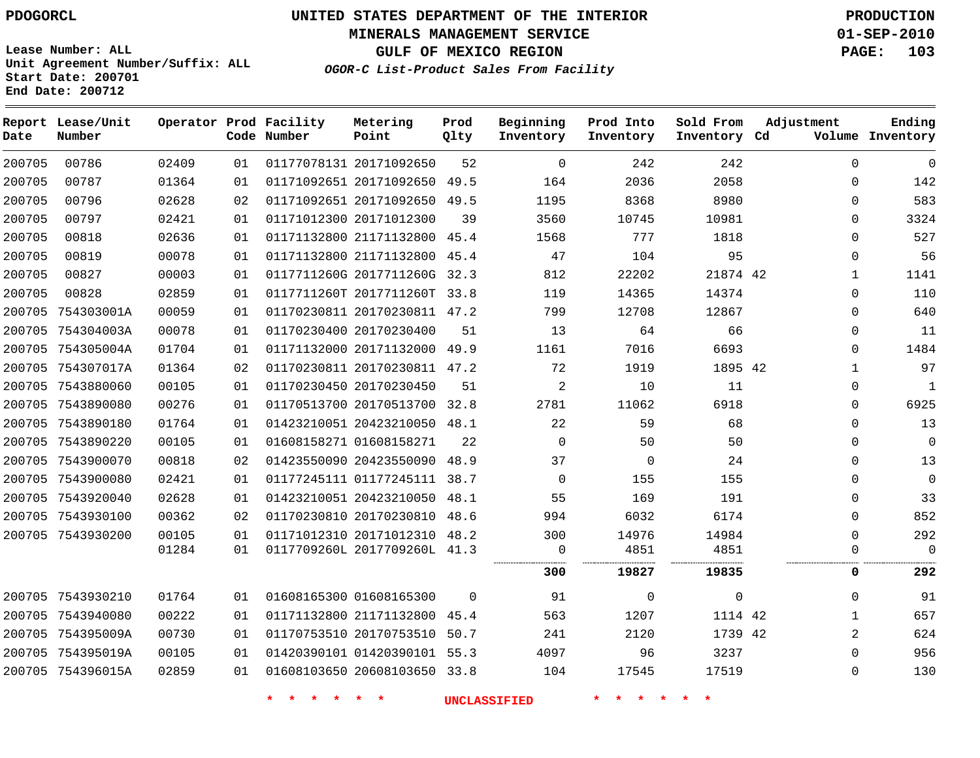**MINERALS MANAGEMENT SERVICE 01-SEP-2010**

**GULF OF MEXICO REGION PAGE: 103**

**Lease Number: ALL Unit Agreement Number/Suffix: ALL Start Date: 200701 End Date: 200712**

**OGOR-C List-Product Sales From Facility**

| Date   | Report Lease/Unit<br>Number |       |    | Operator Prod Facility<br>Code Number | Metering<br>Point            | Prod<br>Qlty | Beginning<br>Inventory | Prod Into<br>Inventory | Sold From<br>Inventory Cd | Adjustment   | Ending<br>Volume Inventory |
|--------|-----------------------------|-------|----|---------------------------------------|------------------------------|--------------|------------------------|------------------------|---------------------------|--------------|----------------------------|
| 200705 | 00786                       | 02409 | 01 |                                       | 01177078131 20171092650      | 52           | $\mathbf 0$            | 242                    | 242                       | $\mathbf 0$  | $\mathbf 0$                |
| 200705 | 00787                       | 01364 | 01 |                                       | 01171092651 20171092650      | 49.5         | 164                    | 2036                   | 2058                      | $\Omega$     | 142                        |
| 200705 | 00796                       | 02628 | 02 |                                       | 01171092651 20171092650 49.5 |              | 1195                   | 8368                   | 8980                      | $\Omega$     | 583                        |
| 200705 | 00797                       | 02421 | 01 |                                       | 01171012300 20171012300      | 39           | 3560                   | 10745                  | 10981                     | $\Omega$     | 3324                       |
| 200705 | 00818                       | 02636 | 01 |                                       | 01171132800 21171132800      | 45.4         | 1568                   | 777                    | 1818                      | $\Omega$     | 527                        |
| 200705 | 00819                       | 00078 | 01 |                                       | 01171132800 21171132800 45.4 |              | 47                     | 104                    | 95                        | 0            | 56                         |
| 200705 | 00827                       | 00003 | 01 |                                       | 0117711260G 2017711260G 32.3 |              | 812                    | 22202                  | 21874 42                  | $\mathbf{1}$ | 1141                       |
| 200705 | 00828                       | 02859 | 01 |                                       | 0117711260T 2017711260T 33.8 |              | 119                    | 14365                  | 14374                     | $\mathbf{0}$ | 110                        |
|        | 200705 754303001A           | 00059 | 01 |                                       | 01170230811 20170230811 47.2 |              | 799                    | 12708                  | 12867                     | $\mathbf{0}$ | 640                        |
|        | 200705 754304003A           | 00078 | 01 |                                       | 01170230400 20170230400      | 51           | 13                     | 64                     | 66                        | $\Omega$     | 11                         |
|        | 200705 754305004A           | 01704 | 01 |                                       | 01171132000 20171132000 49.9 |              | 1161                   | 7016                   | 6693                      | 0            | 1484                       |
|        | 200705 754307017A           | 01364 | 02 |                                       | 01170230811 20170230811 47.2 |              | 72                     | 1919                   | 1895 42                   | $\mathbf 1$  | 97                         |
|        | 200705 7543880060           | 00105 | 01 |                                       | 01170230450 20170230450      | 51           | $\overline{2}$         | 10                     | 11                        | 0            | $\mathbf{1}$               |
|        | 200705 7543890080           | 00276 | 01 |                                       | 01170513700 20170513700      | 32.8         | 2781                   | 11062                  | 6918                      | $\Omega$     | 6925                       |
|        | 200705 7543890180           | 01764 | 01 |                                       | 01423210051 20423210050 48.1 |              | 22                     | 59                     | 68                        | $\Omega$     | 13                         |
|        | 200705 7543890220           | 00105 | 01 |                                       | 01608158271 01608158271      | 22           | $\Omega$               | 50                     | 50                        | $\Omega$     | $\mathbf 0$                |
|        | 200705 7543900070           | 00818 | 02 |                                       | 01423550090 20423550090      | 48.9         | 37                     | $\Omega$               | 24                        | $\Omega$     | 13                         |
|        | 200705 7543900080           | 02421 | 01 |                                       | 01177245111 01177245111 38.7 |              | $\mathbf 0$            | 155                    | 155                       | 0            | $\mathbf{0}$               |
|        | 200705 7543920040           | 02628 | 01 |                                       | 01423210051 20423210050 48.1 |              | 55                     | 169                    | 191                       | $\Omega$     | 33                         |
|        | 200705 7543930100           | 00362 | 02 |                                       | 01170230810 20170230810 48.6 |              | 994                    | 6032                   | 6174                      | 0            | 852                        |
|        | 200705 7543930200           | 00105 | 01 |                                       | 01171012310 20171012310 48.2 |              | 300                    | 14976                  | 14984                     | $\Omega$     | 292                        |
|        |                             | 01284 | 01 |                                       | 0117709260L 2017709260L 41.3 |              | 0<br>                  | 4851                   | 4851                      | $\Omega$     | $\mathbf 0$                |
|        |                             |       |    |                                       |                              |              | 300                    | 19827                  | 19835                     | 0            | 292                        |
|        | 200705 7543930210           | 01764 | 01 |                                       | 01608165300 01608165300      | $\Omega$     | 91                     | $\mathbf 0$            | $\mathbf{0}$              | $\mathbf{0}$ | 91                         |
|        | 200705 7543940080           | 00222 | 01 |                                       | 01171132800 21171132800      | 45.4         | 563                    | 1207                   | 1114 42                   | $\mathbf{1}$ | 657                        |
|        | 200705 754395009A           | 00730 | 01 |                                       | 01170753510 20170753510 50.7 |              | 241                    | 2120                   | 1739 42                   | 2            | 624                        |
|        | 200705 754395019A           | 00105 | 01 |                                       | 01420390101 01420390101 55.3 |              | 4097                   | 96                     | 3237                      | $\mathbf{0}$ | 956                        |
|        | 200705 754396015A           | 02859 | 01 |                                       | 01608103650 20608103650 33.8 |              | 104                    | 17545                  | 17519                     | $\Omega$     | 130                        |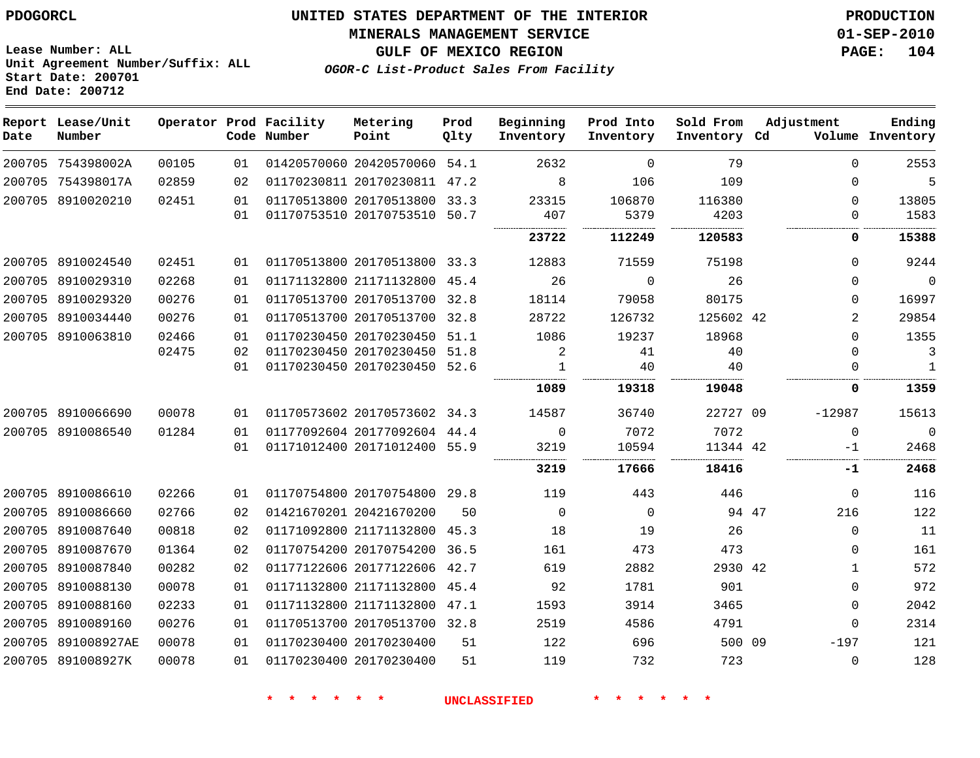**Start Date: 200701 End Date: 200712**

**Unit Agreement Number/Suffix: ALL**

# **UNITED STATES DEPARTMENT OF THE INTERIOR PDOGORCL PRODUCTION**

#### **MINERALS MANAGEMENT SERVICE 01-SEP-2010**

**GULF OF MEXICO REGION PAGE: 104**

**OGOR-C List-Product Sales From Facility**

| Date   | Report Lease/Unit<br>Number |       |    | Operator Prod Facility<br>Code Number | Metering<br>Point            | Prod<br>Qlty | Beginning<br>Inventory | Prod Into<br>Inventory | Sold From<br>Inventory Cd | Adjustment |          | Ending<br>Volume Inventory |
|--------|-----------------------------|-------|----|---------------------------------------|------------------------------|--------------|------------------------|------------------------|---------------------------|------------|----------|----------------------------|
|        | 200705 754398002A           | 00105 | 01 |                                       | 01420570060 20420570060 54.1 |              | 2632                   | $\Omega$               | 79                        |            | $\Omega$ | 2553                       |
|        | 200705 754398017A           | 02859 | 02 |                                       | 01170230811 20170230811      | 47.2         | 8                      | 106                    | 109                       |            | 0        | 5                          |
|        | 200705 8910020210           | 02451 | 01 |                                       | 01170513800 20170513800 33.3 |              | 23315                  | 106870                 | 116380                    |            | $\Omega$ | 13805                      |
|        |                             |       | 01 |                                       | 01170753510 20170753510      | 50.7         | 407                    | 5379                   | 4203                      |            | $\Omega$ | 1583                       |
|        |                             |       |    |                                       |                              |              | 23722                  | 112249                 | 120583                    |            | 0        | 15388                      |
|        | 200705 8910024540           | 02451 | 01 |                                       | 01170513800 20170513800 33.3 |              | 12883                  | 71559                  | 75198                     |            | $\Omega$ | 9244                       |
|        | 200705 8910029310           | 02268 | 01 |                                       | 01171132800 21171132800 45.4 |              | 26                     | $\Omega$               | 26                        |            | $\Omega$ | $\Omega$                   |
|        | 200705 8910029320           | 00276 | 01 |                                       | 01170513700 20170513700      | 32.8         | 18114                  | 79058                  | 80175                     |            | $\Omega$ | 16997                      |
|        | 200705 8910034440           | 00276 | 01 |                                       | 01170513700 20170513700      | 32.8         | 28722                  | 126732                 | 125602 42                 |            | 2        | 29854                      |
|        | 200705 8910063810           | 02466 | 01 |                                       | 01170230450 20170230450      | 51.1         | 1086                   | 19237                  | 18968                     |            | $\Omega$ | 1355                       |
|        |                             | 02475 | 02 |                                       | 01170230450 20170230450      | 51.8         | 2                      | 41                     | 40                        |            | $\Omega$ | 3                          |
|        |                             |       | 01 |                                       | 01170230450 20170230450      | 52.6         | 1                      | 40                     | 40                        |            | 0        | $\mathbf{1}$               |
|        |                             |       |    |                                       |                              |              | 1089                   | 19318                  | 19048                     |            | 0        | 1359                       |
|        | 200705 8910066690           | 00078 | 01 |                                       | 01170573602 20170573602 34.3 |              | 14587                  | 36740                  | 22727 09                  | $-12987$   |          | 15613                      |
|        | 200705 8910086540           | 01284 | 01 |                                       | 01177092604 20177092604 44.4 |              | $\Omega$               | 7072                   | 7072                      |            | $\Omega$ | $\mathbf 0$                |
|        |                             |       | 01 |                                       | 01171012400 20171012400 55.9 |              | 3219                   | 10594                  | 11344 42                  |            | -1       | 2468                       |
|        |                             |       |    |                                       |                              |              | .<br>3219              | 17666                  | 18416                     |            | -1       | 2468                       |
|        | 200705 8910086610           | 02266 | 01 |                                       | 01170754800 20170754800 29.8 |              | 119                    | 443                    | 446                       |            | 0        | 116                        |
|        | 200705 8910086660           | 02766 | 02 |                                       | 01421670201 20421670200      | 50           | $\Omega$               | $\Omega$               | 94 47                     |            | 216      | 122                        |
|        | 200705 8910087640           | 00818 | 02 |                                       | 01171092800 21171132800      | 45.3         | 18                     | 19                     | 26                        |            | $\Omega$ | 11                         |
| 200705 | 8910087670                  | 01364 | 02 |                                       | 01170754200 20170754200      | 36.5         | 161                    | 473                    | 473                       |            | 0        | 161                        |
|        | 200705 8910087840           | 00282 | 02 |                                       | 01177122606 20177122606      | 42.7         | 619                    | 2882                   | 2930 42                   |            | 1        | 572                        |
|        | 200705 8910088130           | 00078 | 01 |                                       | 01171132800 21171132800      | 45.4         | 92                     | 1781                   | 901                       |            | $\Omega$ | 972                        |
|        | 200705 8910088160           | 02233 | 01 |                                       | 01171132800 21171132800      | 47.1         | 1593                   | 3914                   | 3465                      |            | 0        | 2042                       |
|        | 200705 8910089160           | 00276 | 01 |                                       | 01170513700 20170513700 32.8 |              | 2519                   | 4586                   | 4791                      |            | $\Omega$ | 2314                       |
|        | 200705 891008927AE          | 00078 | 01 |                                       | 01170230400 20170230400      | 51           | 122                    | 696                    | 500 09                    |            | $-197$   | 121                        |
|        | 200705 891008927K           | 00078 | 01 |                                       | 01170230400 20170230400      | 51           | 119                    | 732                    | 723                       |            | $\Omega$ | 128                        |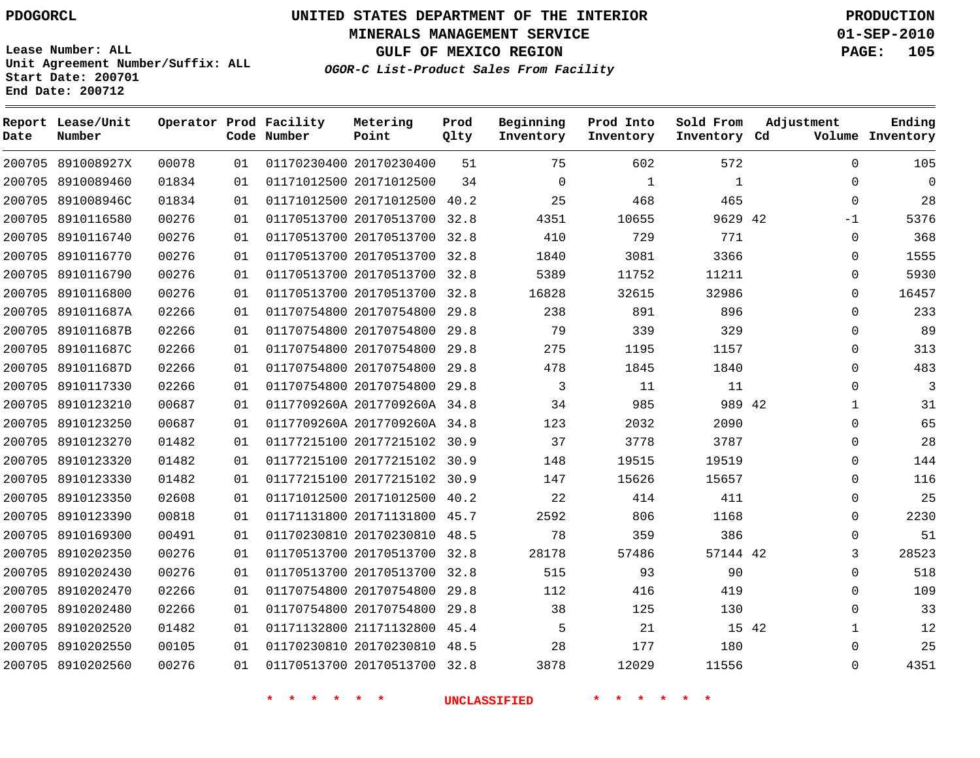**MINERALS MANAGEMENT SERVICE 01-SEP-2010**

**GULF OF MEXICO REGION PAGE: 105**

**Lease Number: ALL Unit Agreement Number/Suffix: ALL Start Date: 200701 End Date: 200712**

**OGOR-C List-Product Sales From Facility**

| Date | Report Lease/Unit<br>Number |       |    | Operator Prod Facility<br>Code Number | Metering<br>Point            | Prod<br>Qlty | Beginning<br>Inventory | Prod Into<br>Inventory | Sold From<br>Inventory Cd | Adjustment  | Ending<br>Volume Inventory |
|------|-----------------------------|-------|----|---------------------------------------|------------------------------|--------------|------------------------|------------------------|---------------------------|-------------|----------------------------|
|      | 200705 891008927X           | 00078 | 01 |                                       | 01170230400 20170230400      | 51           | 75                     | 602                    | 572                       | $\Omega$    | 105                        |
|      | 200705 8910089460           | 01834 | 01 |                                       | 01171012500 20171012500      | 34           | $\Omega$               | $\mathbf{1}$           | $\mathbf{1}$              | $\Omega$    | $\Omega$                   |
|      | 200705 891008946C           | 01834 | 01 |                                       | 01171012500 20171012500      | 40.2         | 25                     | 468                    | 465                       | $\Omega$    | 28                         |
|      | 200705 8910116580           | 00276 | 01 |                                       | 01170513700 20170513700 32.8 |              | 4351                   | 10655                  | 9629 42                   | $-1$        | 5376                       |
|      | 200705 8910116740           | 00276 | 01 |                                       | 01170513700 20170513700      | 32.8         | 410                    | 729                    | 771                       | $\mathbf 0$ | 368                        |
|      | 200705 8910116770           | 00276 | 01 |                                       | 01170513700 20170513700 32.8 |              | 1840                   | 3081                   | 3366                      | $\Omega$    | 1555                       |
|      | 200705 8910116790           | 00276 | 01 |                                       | 01170513700 20170513700      | 32.8         | 5389                   | 11752                  | 11211                     | $\Omega$    | 5930                       |
|      | 200705 8910116800           | 00276 | 01 |                                       | 01170513700 20170513700 32.8 |              | 16828                  | 32615                  | 32986                     | $\Omega$    | 16457                      |
|      | 200705 891011687A           | 02266 | 01 |                                       | 01170754800 20170754800      | 29.8         | 238                    | 891                    | 896                       | $\Omega$    | 233                        |
|      | 200705 891011687B           | 02266 | 01 |                                       | 01170754800 20170754800 29.8 |              | 79                     | 339                    | 329                       | $\mathbf 0$ | 89                         |
|      | 200705 891011687C           | 02266 | 01 |                                       | 01170754800 20170754800      | 29.8         | 275                    | 1195                   | 1157                      | $\mathbf 0$ | 313                        |
|      | 200705 891011687D           | 02266 | 01 |                                       | 01170754800 20170754800      | 29.8         | 478                    | 1845                   | 1840                      | $\Omega$    | 483                        |
|      | 200705 8910117330           | 02266 | 01 |                                       | 01170754800 20170754800      | 29.8         | 3                      | 11                     | 11                        | $\Omega$    | 3                          |
|      | 200705 8910123210           | 00687 | 01 |                                       | 0117709260A 2017709260A 34.8 |              | 34                     | 985                    | 989 42                    | 1           | 31                         |
|      | 200705 8910123250           | 00687 | 01 |                                       | 0117709260A 2017709260A 34.8 |              | 123                    | 2032                   | 2090                      | $\Omega$    | 65                         |
|      | 200705 8910123270           | 01482 | 01 |                                       | 01177215100 20177215102 30.9 |              | 37                     | 3778                   | 3787                      | 0           | 28                         |
|      | 200705 8910123320           | 01482 | 01 |                                       | 01177215100 20177215102 30.9 |              | 148                    | 19515                  | 19519                     | $\Omega$    | 144                        |
|      | 200705 8910123330           | 01482 | 01 |                                       | 01177215100 20177215102 30.9 |              | 147                    | 15626                  | 15657                     | $\Omega$    | 116                        |
|      | 200705 8910123350           | 02608 | 01 |                                       | 01171012500 20171012500      | 40.2         | 22                     | 414                    | 411                       | $\mathbf 0$ | 25                         |
|      | 200705 8910123390           | 00818 | 01 |                                       | 01171131800 20171131800      | 45.7         | 2592                   | 806                    | 1168                      | $\mathbf 0$ | 2230                       |
|      | 200705 8910169300           | 00491 | 01 |                                       | 01170230810 20170230810 48.5 |              | 78                     | 359                    | 386                       | $\Omega$    | 51                         |
|      | 200705 8910202350           | 00276 | 01 |                                       | 01170513700 20170513700 32.8 |              | 28178                  | 57486                  | 57144 42                  | 3           | 28523                      |
|      | 200705 8910202430           | 00276 | 01 |                                       | 01170513700 20170513700 32.8 |              | 515                    | 93                     | 90                        | $\Omega$    | 518                        |
|      | 200705 8910202470           | 02266 | 01 |                                       | 01170754800 20170754800      | 29.8         | 112                    | 416                    | 419                       | $\mathbf 0$ | 109                        |
|      | 200705 8910202480           | 02266 | 01 |                                       | 01170754800 20170754800      | 29.8         | 38                     | 125                    | 130                       | $\Omega$    | 33                         |
|      | 200705 8910202520           | 01482 | 01 |                                       | 01171132800 21171132800      | 45.4         | 5                      | 21                     |                           | 15 42<br>1  | 12                         |
|      | 200705 8910202550           | 00105 | 01 |                                       | 01170230810 20170230810 48.5 |              | 28                     | 177                    | 180                       | $\Omega$    | 25                         |
|      | 200705 8910202560           | 00276 | 01 |                                       | 01170513700 20170513700 32.8 |              | 3878                   | 12029                  | 11556                     | $\Omega$    | 4351                       |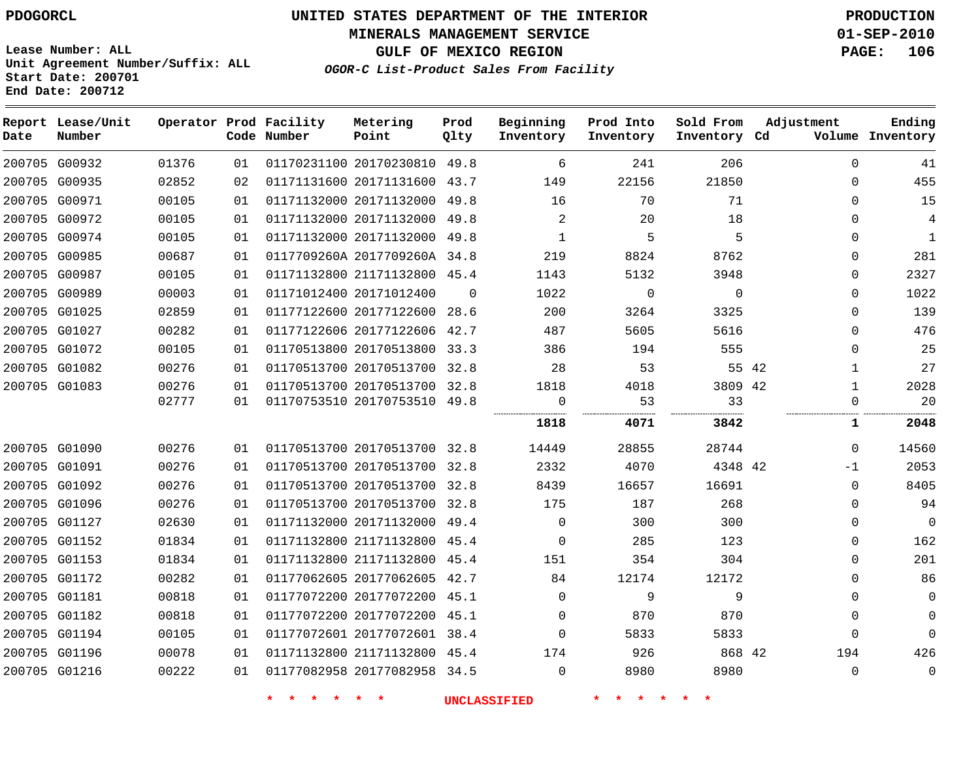**MINERALS MANAGEMENT SERVICE 01-SEP-2010**

**GULF OF MEXICO REGION PAGE: 106**

**Lease Number: ALL Unit Agreement Number/Suffix: ALL Start Date: 200701 End Date: 200712**

| OGOR-C List-Product Sales From Facility |  |  |  |
|-----------------------------------------|--|--|--|
|-----------------------------------------|--|--|--|

| Date | Report Lease/Unit<br>Number |       |    | Operator Prod Facility<br>Code Number | Metering<br>Point            | Prod<br>Qlty | Beginning<br>Inventory | Prod Into<br>Inventory | Sold From<br>Inventory Cd | Adjustment   | Ending<br>Volume Inventory |
|------|-----------------------------|-------|----|---------------------------------------|------------------------------|--------------|------------------------|------------------------|---------------------------|--------------|----------------------------|
|      | 200705 G00932               | 01376 | 01 |                                       | 01170231100 20170230810 49.8 |              | 6                      | 241                    | 206                       | $\Omega$     | 41                         |
|      | 200705 G00935               | 02852 | 02 |                                       | 01171131600 20171131600 43.7 |              | 149                    | 22156                  | 21850                     | $\Omega$     | 455                        |
|      | 200705 G00971               | 00105 | 01 |                                       | 01171132000 20171132000 49.8 |              | 16                     | 70                     | 71                        | $\Omega$     | 15                         |
|      | 200705 G00972               | 00105 | 01 |                                       | 01171132000 20171132000      | 49.8         | 2                      | 20                     | 18                        | $\Omega$     | $\overline{4}$             |
|      | 200705 G00974               | 00105 | 01 |                                       | 01171132000 20171132000 49.8 |              | $\mathbf{1}$           | 5                      | 5                         | 0            | $\mathbf{1}$               |
|      | 200705 G00985               | 00687 | 01 |                                       | 0117709260A 2017709260A 34.8 |              | 219                    | 8824                   | 8762                      | $\Omega$     | 281                        |
|      | 200705 G00987               | 00105 | 01 |                                       | 01171132800 21171132800 45.4 |              | 1143                   | 5132                   | 3948                      | $\mathbf 0$  | 2327                       |
|      | 200705 G00989               | 00003 | 01 |                                       | 01171012400 20171012400      | $\Omega$     | 1022                   | $\Omega$               | $\Omega$                  | 0            | 1022                       |
|      | 200705 G01025               | 02859 | 01 |                                       | 01177122600 20177122600      | 28.6         | 200                    | 3264                   | 3325                      | $\Omega$     | 139                        |
|      | 200705 G01027               | 00282 | 01 |                                       | 01177122606 20177122606 42.7 |              | 487                    | 5605                   | 5616                      | $\Omega$     | 476                        |
|      | 200705 G01072               | 00105 | 01 |                                       | 01170513800 20170513800      | 33.3         | 386                    | 194                    | 555                       | $\Omega$     | 25                         |
|      | 200705 G01082               | 00276 | 01 |                                       | 01170513700 20170513700 32.8 |              | 28                     | 53                     | 55 42                     | $\mathbf 1$  | 27                         |
|      | 200705 G01083               | 00276 | 01 |                                       | 01170513700 20170513700 32.8 |              | 1818                   | 4018                   | 3809 42                   | $\mathbf{1}$ | 2028                       |
|      |                             | 02777 | 01 |                                       | 01170753510 20170753510 49.8 |              | $\mathbf 0$            | 53                     | 33                        | 0            | 20                         |
|      |                             |       |    |                                       |                              |              | 1818                   | 4071                   | 3842                      | 1            | 2048                       |
|      | 200705 G01090               | 00276 | 01 |                                       | 01170513700 20170513700 32.8 |              | 14449                  | 28855                  | 28744                     | $\Omega$     | 14560                      |
|      | 200705 G01091               | 00276 | 01 |                                       | 01170513700 20170513700 32.8 |              | 2332                   | 4070                   | 4348 42                   | $-1$         | 2053                       |
|      | 200705 G01092               | 00276 | 01 |                                       | 01170513700 20170513700 32.8 |              | 8439                   | 16657                  | 16691                     | $\Omega$     | 8405                       |
|      | 200705 G01096               | 00276 | 01 |                                       | 01170513700 20170513700 32.8 |              | 175                    | 187                    | 268                       | $\Omega$     | 94                         |
|      | 200705 G01127               | 02630 | 01 |                                       | 01171132000 20171132000 49.4 |              | $\Omega$               | 300                    | 300                       | $\Omega$     | $\Omega$                   |
|      | 200705 G01152               | 01834 | 01 |                                       | 01171132800 21171132800 45.4 |              | $\mathbf 0$            | 285                    | 123                       | $\mathbf{0}$ | 162                        |
|      | 200705 G01153               | 01834 | 01 |                                       | 01171132800 21171132800 45.4 |              | 151                    | 354                    | 304                       | $\Omega$     | 201                        |
|      | 200705 G01172               | 00282 | 01 |                                       | 01177062605 20177062605 42.7 |              | 84                     | 12174                  | 12172                     | $\Omega$     | 86                         |
|      | 200705 G01181               | 00818 | 01 |                                       | 01177072200 20177072200 45.1 |              | $\Omega$               | 9                      | 9                         | $\Omega$     | $\mathbf 0$                |
|      | 200705 G01182               | 00818 | 01 |                                       | 01177072200 20177072200 45.1 |              | $\Omega$               | 870                    | 870                       | $\Omega$     | $\Omega$                   |
|      | 200705 G01194               | 00105 | 01 |                                       | 01177072601 20177072601 38.4 |              | $\Omega$               | 5833                   | 5833                      | $\Omega$     | $\Omega$                   |
|      | 200705 G01196               | 00078 | 01 |                                       | 01171132800 21171132800 45.4 |              | 174                    | 926                    | 868 42                    | 194          | 426                        |
|      | 200705 G01216               | 00222 | 01 |                                       | 01177082958 20177082958 34.5 |              | $\Omega$               | 8980                   | 8980                      | $\mathbf 0$  | $\mathbf 0$                |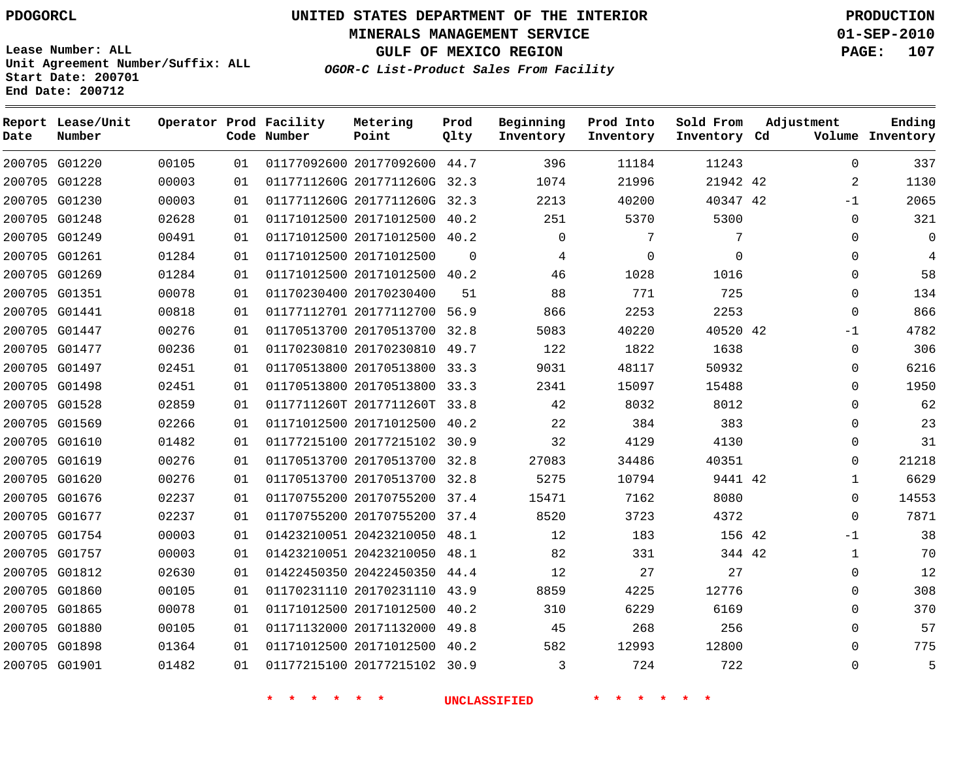**Start Date: 200701 End Date: 200712**

**Unit Agreement Number/Suffix: ALL**

# **UNITED STATES DEPARTMENT OF THE INTERIOR PDOGORCL PRODUCTION**

**MINERALS MANAGEMENT SERVICE 01-SEP-2010**

**GULF OF MEXICO REGION PAGE: 107**

**OGOR-C List-Product Sales From Facility**

|      | Report Lease/Unit |       |    | Operator Prod Facility | Metering                     | Prod        | Beginning   | Prod Into | Sold From    | Adjustment |              | Ending           |
|------|-------------------|-------|----|------------------------|------------------------------|-------------|-------------|-----------|--------------|------------|--------------|------------------|
| Date | Number            |       |    | Code Number            | Point                        | Qlty        | Inventory   | Inventory | Inventory Cd |            |              | Volume Inventory |
|      | 200705 G01220     | 00105 | 01 |                        | 01177092600 20177092600 44.7 |             | 396         | 11184     | 11243        |            | $\Omega$     | 337              |
|      | 200705 G01228     | 00003 | 01 |                        | 0117711260G 2017711260G      | 32.3        | 1074        | 21996     | 21942 42     |            | 2            | 1130             |
|      | 200705 G01230     | 00003 | 01 |                        | 0117711260G 2017711260G      | 32.3        | 2213        | 40200     | 40347 42     |            | $-1$         | 2065             |
|      | 200705 G01248     | 02628 | 01 |                        | 01171012500 20171012500      | 40.2        | 251         | 5370      | 5300         |            | $\mathbf 0$  | 321              |
|      | 200705 G01249     | 00491 | 01 |                        | 01171012500 20171012500      | 40.2        | $\mathbf 0$ | 7         | 7            |            | $\Omega$     | $\Omega$         |
|      | 200705 G01261     | 01284 | 01 |                        | 01171012500 20171012500      | $\mathbf 0$ | 4           | 0         | $\mathbf 0$  |            | 0            | 4                |
|      | 200705 G01269     | 01284 | 01 |                        | 01171012500 20171012500 40.2 |             | 46          | 1028      | 1016         |            | 0            | 58               |
|      | 200705 G01351     | 00078 | 01 |                        | 01170230400 20170230400      | 51          | 88          | 771       | 725          |            | $\mathbf 0$  | 134              |
|      | 200705 G01441     | 00818 | 01 |                        | 01177112701 20177112700 56.9 |             | 866         | 2253      | 2253         |            | $\Omega$     | 866              |
|      | 200705 G01447     | 00276 | 01 |                        | 01170513700 20170513700      | 32.8        | 5083        | 40220     | 40520 42     |            | $-1$         | 4782             |
|      | 200705 G01477     | 00236 | 01 |                        | 01170230810 20170230810      | 49.7        | 122         | 1822      | 1638         |            | $\Omega$     | 306              |
|      | 200705 G01497     | 02451 | 01 |                        | 01170513800 20170513800      | 33.3        | 9031        | 48117     | 50932        |            | $\mathbf 0$  | 6216             |
|      | 200705 G01498     | 02451 | 01 |                        | 01170513800 20170513800      | 33.3        | 2341        | 15097     | 15488        |            | $\mathbf 0$  | 1950             |
|      | 200705 G01528     | 02859 | 01 |                        | 0117711260T 2017711260T      | 33.8        | 42          | 8032      | 8012         |            | $\Omega$     | 62               |
|      | 200705 G01569     | 02266 | 01 |                        | 01171012500 20171012500      | 40.2        | 22          | 384       | 383          |            | 0            | 23               |
|      | 200705 G01610     | 01482 | 01 |                        | 01177215100 20177215102 30.9 |             | 32          | 4129      | 4130         |            | $\Omega$     | 31               |
|      | 200705 G01619     | 00276 | 01 |                        | 01170513700 20170513700      | 32.8        | 27083       | 34486     | 40351        |            | $\Omega$     | 21218            |
|      | 200705 G01620     | 00276 | 01 |                        | 01170513700 20170513700 32.8 |             | 5275        | 10794     | 9441 42      |            | 1            | 6629             |
|      | 200705 G01676     | 02237 | 01 |                        | 01170755200 20170755200      | 37.4        | 15471       | 7162      | 8080         |            | $\Omega$     | 14553            |
|      | 200705 G01677     | 02237 | 01 |                        | 01170755200 20170755200 37.4 |             | 8520        | 3723      | 4372         |            | $\Omega$     | 7871             |
|      | 200705 G01754     | 00003 | 01 |                        | 01423210051 20423210050      | 48.1        | 12          | 183       | 156 42       |            | $-1$         | 38               |
|      | 200705 G01757     | 00003 | 01 |                        | 01423210051 20423210050      | 48.1        | 82          | 331       | 344 42       |            | $\mathbf{1}$ | 70               |
|      | 200705 G01812     | 02630 | 01 |                        | 01422450350 20422450350      | 44.4        | 12          | 27        | 27           |            | $\Omega$     | 12               |
|      | 200705 G01860     | 00105 | 01 |                        | 01170231110 20170231110      | 43.9        | 8859        | 4225      | 12776        |            | $\Omega$     | 308              |
|      | 200705 G01865     | 00078 | 01 |                        | 01171012500 20171012500      | 40.2        | 310         | 6229      | 6169         |            | 0            | 370              |
|      | 200705 G01880     | 00105 | 01 |                        | 01171132000 20171132000      | 49.8        | 45          | 268       | 256          |            | $\mathbf 0$  | 57               |
|      | 200705 G01898     | 01364 | 01 |                        | 01171012500 20171012500      | 40.2        | 582         | 12993     | 12800        |            | $\Omega$     | 775              |
|      | 200705 G01901     | 01482 | 01 |                        | 01177215100 20177215102      | 30.9        | 3           | 724       | 722          |            | $\Omega$     | 5                |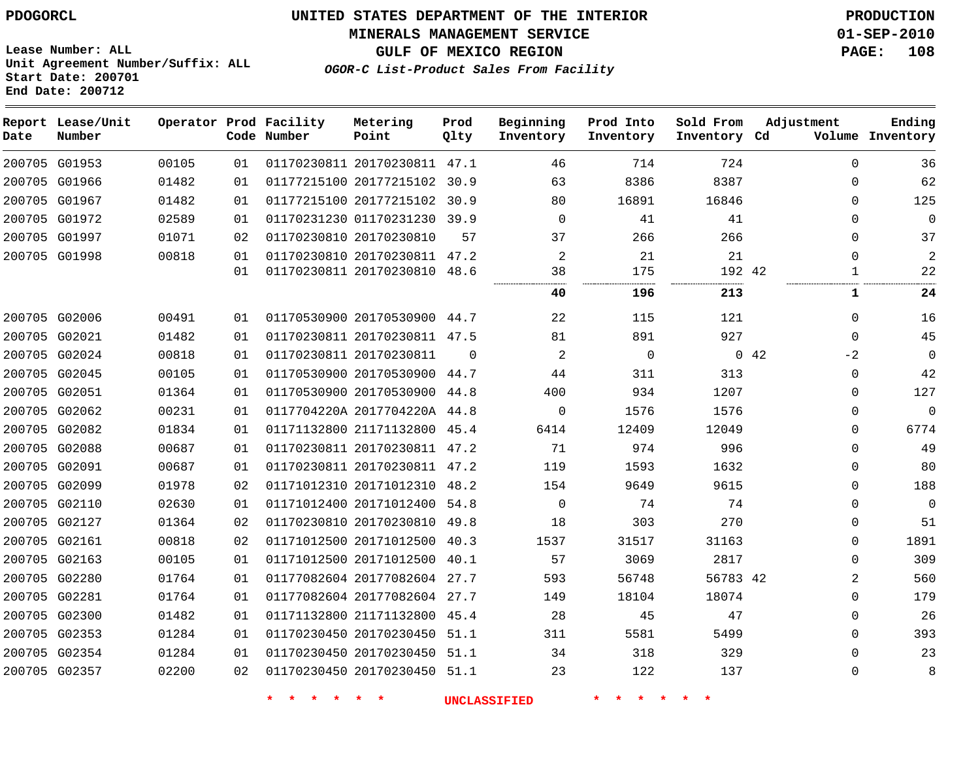# **UNITED STATES DEPARTMENT OF THE INTERIOR PDOGORCL PRODUCTION**

**MINERALS MANAGEMENT SERVICE 01-SEP-2010**

**GULF OF MEXICO REGION PAGE: 108**

**Unit Agreement Number/Suffix: ALL Start Date: 200701 End Date: 200712**

**OGOR-C List-Product Sales From Facility**

| Date | Report Lease/Unit<br>Number |       |    | Operator Prod Facility<br>Code Number | Metering<br>Point            | Prod<br>Qlty | Beginning<br>Inventory | Prod Into<br>Inventory | Sold From<br>Inventory Cd | Adjustment   | Ending<br>Volume Inventory |
|------|-----------------------------|-------|----|---------------------------------------|------------------------------|--------------|------------------------|------------------------|---------------------------|--------------|----------------------------|
|      | 200705 G01953               | 00105 | 01 |                                       | 01170230811 20170230811 47.1 |              | 46                     | 714                    | 724                       | 0            | 36                         |
|      | 200705 G01966               | 01482 | 01 |                                       | 01177215100 20177215102 30.9 |              | 63                     | 8386                   | 8387                      | $\Omega$     | 62                         |
|      | 200705 G01967               | 01482 | 01 |                                       | 01177215100 20177215102 30.9 |              | 80                     | 16891                  | 16846                     | $\Omega$     | 125                        |
|      | 200705 G01972               | 02589 | 01 |                                       | 01170231230 01170231230 39.9 |              | $\Omega$               | 41                     | 41                        | $\Omega$     | $\mathbf 0$                |
|      | 200705 G01997               | 01071 | 02 |                                       | 01170230810 20170230810      | 57           | 37                     | 266                    | 266                       | $\Omega$     | 37                         |
|      | 200705 G01998               | 00818 | 01 |                                       | 01170230810 20170230811 47.2 |              | 2                      | 21                     | 21                        | $\Omega$     | 2                          |
|      |                             |       | 01 |                                       | 01170230811 20170230810 48.6 |              | 38                     | 175<br>.               | 192 42<br>.               |              | 22                         |
|      |                             |       |    |                                       |                              |              | 40                     | 196                    | 213                       | 1            | 24                         |
|      | 200705 G02006               | 00491 | 01 |                                       | 01170530900 20170530900 44.7 |              | 22                     | 115                    | 121                       | 0            | 16                         |
|      | 200705 G02021               | 01482 | 01 |                                       | 01170230811 20170230811 47.5 |              | 81                     | 891                    | 927                       | $\Omega$     | 45                         |
|      | 200705 G02024               | 00818 | 01 |                                       | 01170230811 20170230811      | $\Omega$     | $\overline{a}$         | $\mathbf 0$            |                           | 0.42<br>$-2$ | 0                          |
|      | 200705 G02045               | 00105 | 01 |                                       | 01170530900 20170530900      | 44.7         | 44                     | 311                    | 313                       | 0            | 42                         |
|      | 200705 G02051               | 01364 | 01 |                                       | 01170530900 20170530900      | 44.8         | 400                    | 934                    | 1207                      | $\Omega$     | 127                        |
|      | 200705 G02062               | 00231 | 01 |                                       | 0117704220A 2017704220A 44.8 |              | $\mathbf 0$            | 1576                   | 1576                      | $\Omega$     | $\mathbf 0$                |
|      | 200705 G02082               | 01834 | 01 |                                       | 01171132800 21171132800 45.4 |              | 6414                   | 12409                  | 12049                     | $\Omega$     | 6774                       |
|      | 200705 G02088               | 00687 | 01 |                                       | 01170230811 20170230811 47.2 |              | 71                     | 974                    | 996                       | $\Omega$     | 49                         |
|      | 200705 G02091               | 00687 | 01 |                                       | 01170230811 20170230811 47.2 |              | 119                    | 1593                   | 1632                      | $\Omega$     | 80                         |
|      | 200705 G02099               | 01978 | 02 |                                       | 01171012310 20171012310 48.2 |              | 154                    | 9649                   | 9615                      | $\Omega$     | 188                        |
|      | 200705 G02110               | 02630 | 01 |                                       | 01171012400 20171012400 54.8 |              | $\mathbf 0$            | 74                     | 74                        | $\Omega$     | $\mathbf 0$                |
|      | 200705 G02127               | 01364 | 02 |                                       | 01170230810 20170230810      | 49.8         | 18                     | 303                    | 270                       | $\Omega$     | 51                         |
|      | 200705 G02161               | 00818 | 02 |                                       | 01171012500 20171012500 40.3 |              | 1537                   | 31517                  | 31163                     | $\Omega$     | 1891                       |
|      | 200705 G02163               | 00105 | 01 |                                       | 01171012500 20171012500      | 40.1         | 57                     | 3069                   | 2817                      | $\Omega$     | 309                        |
|      | 200705 G02280               | 01764 | 01 |                                       | 01177082604 20177082604 27.7 |              | 593                    | 56748                  | 56783 42                  | 2            | 560                        |
|      | 200705 G02281               | 01764 | 01 |                                       | 01177082604 20177082604 27.7 |              | 149                    | 18104                  | 18074                     | $\Omega$     | 179                        |
|      | 200705 G02300               | 01482 | 01 |                                       | 01171132800 21171132800 45.4 |              | 28                     | 45                     | 47                        | $\Omega$     | 26                         |
|      | 200705 G02353               | 01284 | 01 |                                       | 01170230450 20170230450 51.1 |              | 311                    | 5581                   | 5499                      | $\Omega$     | 393                        |
|      | 200705 G02354               | 01284 | 01 |                                       | 01170230450 20170230450 51.1 |              | 34                     | 318                    | 329                       | $\Omega$     | 23                         |
|      | 200705 G02357               | 02200 | 02 |                                       | 01170230450 20170230450 51.1 |              | 23                     | 122                    | 137                       | $\Omega$     | 8                          |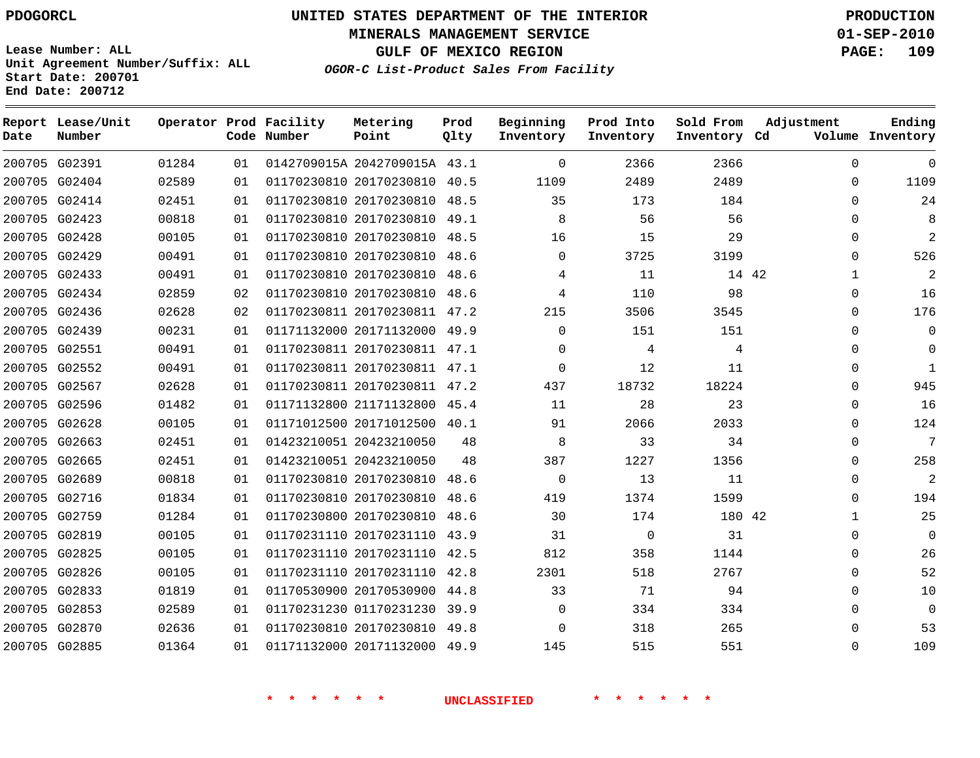# **UNITED STATES DEPARTMENT OF THE INTERIOR PDOGORCL PRODUCTION**

**MINERALS MANAGEMENT SERVICE 01-SEP-2010**

**GULF OF MEXICO REGION PAGE: 109**

**Unit Agreement Number/Suffix: ALL Start Date: 200701 End Date: 200712**

| OGOR-C List-Product Sales From Facility |  |  |
|-----------------------------------------|--|--|
|                                         |  |  |

| Date | Report Lease/Unit<br>Number |       |    | Operator Prod Facility<br>Code Number | Metering<br>Point            | Prod<br>Qlty | Beginning<br>Inventory | Prod Into<br>Inventory | Sold From<br>Inventory Cd | Adjustment  | Ending<br>Volume Inventory |
|------|-----------------------------|-------|----|---------------------------------------|------------------------------|--------------|------------------------|------------------------|---------------------------|-------------|----------------------------|
|      | 200705 G02391               | 01284 | 01 |                                       | 0142709015A 2042709015A 43.1 |              | $\Omega$               | 2366                   | 2366                      | $\Omega$    | $\Omega$                   |
|      | 200705 G02404               | 02589 | 01 |                                       | 01170230810 20170230810      | 40.5         | 1109                   | 2489                   | 2489                      | $\Omega$    | 1109                       |
|      | 200705 G02414               | 02451 | 01 |                                       | 01170230810 20170230810      | 48.5         | 35                     | 173                    | 184                       | $\Omega$    | 24                         |
|      | 200705 G02423               | 00818 | 01 |                                       | 01170230810 20170230810 49.1 |              | 8                      | 56                     | 56                        | 0           | 8                          |
|      | 200705 G02428               | 00105 | 01 |                                       | 01170230810 20170230810 48.5 |              | 16                     | 15                     | 29                        | $\Omega$    | $\overline{a}$             |
|      | 200705 G02429               | 00491 | 01 |                                       | 01170230810 20170230810      | 48.6         | $\Omega$               | 3725                   | 3199                      | $\Omega$    | 526                        |
|      | 200705 G02433               | 00491 | 01 |                                       | 01170230810 20170230810 48.6 |              | 4                      | 11                     | 14 42                     | 1           | 2                          |
|      | 200705 G02434               | 02859 | 02 |                                       | 01170230810 20170230810 48.6 |              | 4                      | 110                    | 98                        | $\mathbf 0$ | 16                         |
|      | 200705 G02436               | 02628 | 02 |                                       | 01170230811 20170230811 47.2 |              | 215                    | 3506                   | 3545                      | $\Omega$    | 176                        |
|      | 200705 G02439               | 00231 | 01 |                                       | 01171132000 20171132000      | 49.9         | $\Omega$               | 151                    | 151                       | $\Omega$    | $\mathbf 0$                |
|      | 200705 G02551               | 00491 | 01 |                                       | 01170230811 20170230811 47.1 |              | $\Omega$               | 4                      | 4                         | $\Omega$    | $\mathbf 0$                |
|      | 200705 G02552               | 00491 | 01 |                                       | 01170230811 20170230811 47.1 |              | $\Omega$               | 12                     | 11                        | $\Omega$    | $\mathbf{1}$               |
|      | 200705 G02567               | 02628 | 01 |                                       | 01170230811 20170230811 47.2 |              | 437                    | 18732                  | 18224                     | $\Omega$    | 945                        |
|      | 200705 G02596               | 01482 | 01 |                                       | 01171132800 21171132800 45.4 |              | 11                     | 28                     | 23                        | $\Omega$    | 16                         |
|      | 200705 G02628               | 00105 | 01 |                                       | 01171012500 20171012500 40.1 |              | 91                     | 2066                   | 2033                      | $\Omega$    | 124                        |
|      | 200705 G02663               | 02451 | 01 |                                       | 01423210051 20423210050      | 48           | 8                      | 33                     | 34                        | $\Omega$    | 7                          |
|      | 200705 G02665               | 02451 | 01 |                                       | 01423210051 20423210050      | 48           | 387                    | 1227                   | 1356                      | 0           | 258                        |
|      | 200705 G02689               | 00818 | 01 |                                       | 01170230810 20170230810 48.6 |              | $\mathbf 0$            | 13                     | 11                        | $\Omega$    | $\overline{a}$             |
|      | 200705 G02716               | 01834 | 01 |                                       | 01170230810 20170230810 48.6 |              | 419                    | 1374                   | 1599                      | $\Omega$    | 194                        |
|      | 200705 G02759               | 01284 | 01 |                                       | 01170230800 20170230810 48.6 |              | 30                     | 174                    | 180 42                    | 1           | 25                         |
|      | 200705 G02819               | 00105 | 01 |                                       | 01170231110 20170231110      | 43.9         | 31                     | $\mathbf 0$            | 31                        | 0           | $\mathbf 0$                |
|      | 200705 G02825               | 00105 | 01 |                                       | 01170231110 20170231110      | 42.5         | 812                    | 358                    | 1144                      | $\Omega$    | 26                         |
|      | 200705 G02826               | 00105 | 01 |                                       | 01170231110 20170231110      | 42.8         | 2301                   | 518                    | 2767                      | $\Omega$    | 52                         |
|      | 200705 G02833               | 01819 | 01 |                                       | 01170530900 20170530900      | 44.8         | 33                     | 71                     | 94                        | $\Omega$    | 10                         |
|      | 200705 G02853               | 02589 | 01 |                                       | 01170231230 01170231230      | 39.9         | $\Omega$               | 334                    | 334                       | $\Omega$    | $\mathbf 0$                |
|      | 200705 G02870               | 02636 | 01 |                                       | 01170230810 20170230810 49.8 |              | $\Omega$               | 318                    | 265                       | $\Omega$    | 53                         |
|      | 200705 G02885               | 01364 | 01 |                                       | 01171132000 20171132000 49.9 |              | 145                    | 515                    | 551                       | $\mathbf 0$ | 109                        |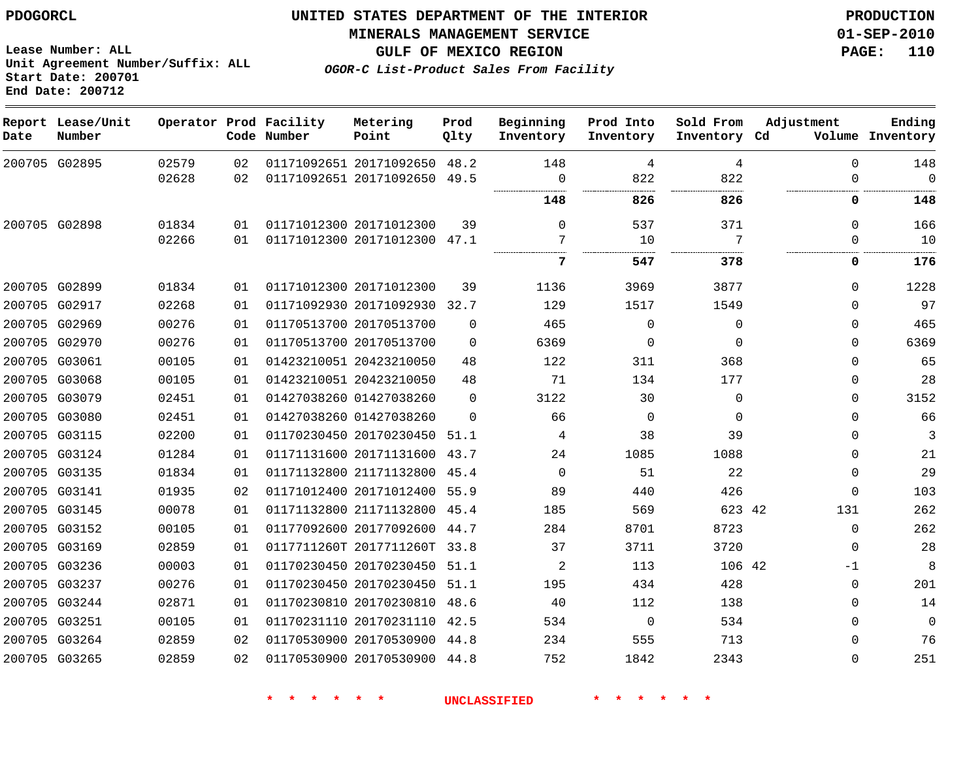**Start Date: 200701 End Date: 200712**

**Unit Agreement Number/Suffix: ALL**

# **UNITED STATES DEPARTMENT OF THE INTERIOR PDOGORCL PRODUCTION**

#### **MINERALS MANAGEMENT SERVICE 01-SEP-2010**

**GULF OF MEXICO REGION PAGE: 110**

**OGOR-C List-Product Sales From Facility**

| Date | Report Lease/Unit<br>Number |       |    | Operator Prod Facility<br>Code Number | Metering<br>Point            | Prod<br>Qlty | Beginning<br>Inventory | Prod Into<br>Inventory | Sold From<br>Inventory Cd | Adjustment | Ending<br>Volume Inventory |
|------|-----------------------------|-------|----|---------------------------------------|------------------------------|--------------|------------------------|------------------------|---------------------------|------------|----------------------------|
|      | 200705 G02895               | 02579 | 02 |                                       | 01171092651 20171092650      | 48.2         | 148                    | 4                      | 4                         | $\Omega$   | 148                        |
|      |                             | 02628 | 02 |                                       | 01171092651 20171092650      | 49.5         | 0                      | 822                    | 822                       | $\Omega$   | $\Omega$                   |
|      |                             |       |    |                                       |                              |              | 148                    | 826                    | 826                       | 0          | 148                        |
|      | 200705 G02898               | 01834 | 01 |                                       | 01171012300 20171012300      | 39           | $\Omega$               | 537                    | 371                       | $\Omega$   | 166                        |
|      |                             | 02266 | 01 |                                       | 01171012300 20171012300 47.1 |              | 7                      | 10                     | 7                         | $\Omega$   | 10                         |
|      |                             |       |    |                                       |                              |              | 7                      | 547                    | 378                       | 0          | 176                        |
|      | 200705 G02899               | 01834 | 01 |                                       | 01171012300 20171012300      | 39           | 1136                   | 3969                   | 3877                      | $\Omega$   | 1228                       |
|      | 200705 G02917               | 02268 | 01 |                                       | 01171092930 20171092930      | 32.7         | 129                    | 1517                   | 1549                      | $\Omega$   | 97                         |
|      | 200705 G02969               | 00276 | 01 |                                       | 01170513700 20170513700      | 0            | 465                    | $\mathbf 0$            | $\mathbf 0$               | $\Omega$   | 465                        |
|      | 200705 G02970               | 00276 | 01 |                                       | 01170513700 20170513700      | $\Omega$     | 6369                   | 0                      | $\mathbf 0$               | $\Omega$   | 6369                       |
|      | 200705 G03061               | 00105 | 01 |                                       | 01423210051 20423210050      | 48           | 122                    | 311                    | 368                       | $\Omega$   | 65                         |
|      | 200705 G03068               | 00105 | 01 |                                       | 01423210051 20423210050      | 48           | 71                     | 134                    | 177                       | $\Omega$   | 28                         |
|      | 200705 G03079               | 02451 | 01 |                                       | 01427038260 01427038260      | 0            | 3122                   | 30                     | 0                         | $\Omega$   | 3152                       |
|      | 200705 G03080               | 02451 | 01 |                                       | 01427038260 01427038260      | $\Omega$     | 66                     | 0                      | $\mathbf 0$               | $\Omega$   | 66                         |
|      | 200705 G03115               | 02200 | 01 |                                       | 01170230450 20170230450 51.1 |              | 4                      | 38                     | 39                        | $\Omega$   | 3                          |
|      | 200705 G03124               | 01284 | 01 |                                       | 01171131600 20171131600      | 43.7         | 24                     | 1085                   | 1088                      | $\Omega$   | 21                         |
|      | 200705 G03135               | 01834 | 01 |                                       | 01171132800 21171132800      | 45.4         | $\Omega$               | 51                     | 22                        | $\Omega$   | 29                         |
|      | 200705 G03141               | 01935 | 02 |                                       | 01171012400 20171012400 55.9 |              | 89                     | 440                    | 426                       | 0          | 103                        |
|      | 200705 G03145               | 00078 | 01 |                                       | 01171132800 21171132800      | 45.4         | 185                    | 569                    | 623 42                    | 131        | 262                        |
|      | 200705 G03152               | 00105 | 01 |                                       | 01177092600 20177092600      | 44.7         | 284                    | 8701                   | 8723                      | $\Omega$   | 262                        |
|      | 200705 G03169               | 02859 | 01 |                                       | 0117711260T 2017711260T      | 33.8         | 37                     | 3711                   | 3720                      | $\Omega$   | 28                         |
|      | 200705 G03236               | 00003 | 01 |                                       | 01170230450 20170230450      | 51.1         | 2                      | 113                    | 106 42                    | $-1$       | 8                          |
|      | 200705 G03237               | 00276 | 01 |                                       | 01170230450 20170230450 51.1 |              | 195                    | 434                    | 428                       | 0          | 201                        |
|      | 200705 G03244               | 02871 | 01 |                                       | 01170230810 20170230810      | 48.6         | 40                     | 112                    | 138                       | 0          | 14                         |
|      | 200705 G03251               | 00105 | 01 |                                       | 01170231110 20170231110 42.5 |              | 534                    | $\mathbf 0$            | 534                       | $\Omega$   | $\mathbf 0$                |
|      | 200705 G03264               | 02859 | 02 |                                       | 01170530900 20170530900 44.8 |              | 234                    | 555                    | 713                       | $\Omega$   | 76                         |
|      | 200705 G03265               | 02859 | 02 |                                       | 01170530900 20170530900 44.8 |              | 752                    | 1842                   | 2343                      | $\Omega$   | 251                        |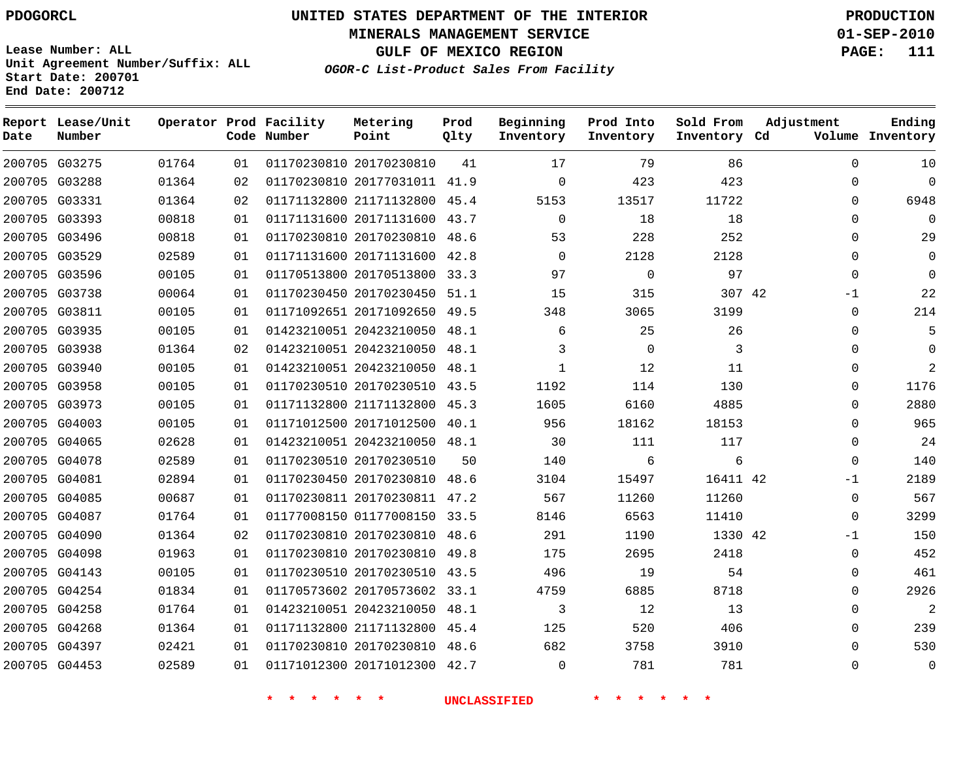**MINERALS MANAGEMENT SERVICE 01-SEP-2010**

**GULF OF MEXICO REGION PAGE: 111**

**Lease Number: ALL Unit Agreement Number/Suffix: ALL Start Date: 200701 End Date: 200712**

**OGOR-C List-Product Sales From Facility**

| Date | Report Lease/Unit<br>Number |       |    | Operator Prod Facility<br>Code Number | Metering<br>Point            | Prod<br>Qlty | Beginning<br>Inventory | Prod Into<br>Inventory | Sold From<br>Inventory Cd | Adjustment |             | Ending<br>Volume Inventory |
|------|-----------------------------|-------|----|---------------------------------------|------------------------------|--------------|------------------------|------------------------|---------------------------|------------|-------------|----------------------------|
|      | 200705 G03275               | 01764 | 01 |                                       | 01170230810 20170230810      | 41           | 17                     | 79                     | 86                        |            | $\Omega$    | 10                         |
|      | 200705 G03288               | 01364 | 02 |                                       | 01170230810 20177031011 41.9 |              | $\Omega$               | 423                    | 423                       |            | $\Omega$    | $\Omega$                   |
|      | 200705 G03331               | 01364 | 02 |                                       | 01171132800 21171132800      | 45.4         | 5153                   | 13517                  | 11722                     |            | 0           | 6948                       |
|      | 200705 G03393               | 00818 | 01 |                                       | 01171131600 20171131600 43.7 |              | $\Omega$               | 18                     | 18                        |            | 0           | $\Omega$                   |
|      | 200705 G03496               | 00818 | 01 |                                       | 01170230810 20170230810      | 48.6         | 53                     | 228                    | 252                       |            | $\Omega$    | 29                         |
|      | 200705 G03529               | 02589 | 01 |                                       | 01171131600 20171131600 42.8 |              | $\Omega$               | 2128                   | 2128                      |            | $\Omega$    | $\mathbf 0$                |
|      | 200705 G03596               | 00105 | 01 |                                       | 01170513800 20170513800      | 33.3         | 97                     | $\mathbf 0$            | 97                        |            | $\Omega$    | $\Omega$                   |
|      | 200705 G03738               | 00064 | 01 |                                       | 01170230450 20170230450 51.1 |              | 15                     | 315                    | 307 42                    |            | -1          | 22                         |
|      | 200705 G03811               | 00105 | 01 |                                       | 01171092651 20171092650      | 49.5         | 348                    | 3065                   | 3199                      |            | 0           | 214                        |
|      | 200705 G03935               | 00105 | 01 |                                       | 01423210051 20423210050 48.1 |              | 6                      | 25                     | 26                        |            | $\Omega$    | 5                          |
|      | 200705 G03938               | 01364 | 02 |                                       | 01423210051 20423210050      | 48.1         | 3                      | $\overline{0}$         | 3                         |            | $\Omega$    | $\Omega$                   |
|      | 200705 G03940               | 00105 | 01 |                                       | 01423210051 20423210050 48.1 |              | $\mathbf{1}$           | 12                     | 11                        |            | $\Omega$    | 2                          |
|      | 200705 G03958               | 00105 | 01 |                                       | 01170230510 20170230510 43.5 |              | 1192                   | 114                    | 130                       |            | $\Omega$    | 1176                       |
|      | 200705 G03973               | 00105 | 01 |                                       | 01171132800 21171132800 45.3 |              | 1605                   | 6160                   | 4885                      |            | $\Omega$    | 2880                       |
|      | 200705 G04003               | 00105 | 01 |                                       | 01171012500 20171012500      | 40.1         | 956                    | 18162                  | 18153                     |            | $\Omega$    | 965                        |
|      | 200705 G04065               | 02628 | 01 |                                       | 01423210051 20423210050 48.1 |              | 30                     | 111                    | 117                       |            | $\Omega$    | 24                         |
|      | 200705 G04078               | 02589 | 01 |                                       | 01170230510 20170230510      | 50           | 140                    | 6                      | 6                         |            | $\Omega$    | 140                        |
|      | 200705 G04081               | 02894 | 01 |                                       | 01170230450 20170230810 48.6 |              | 3104                   | 15497                  | 16411 42                  |            | $-1$        | 2189                       |
|      | 200705 G04085               | 00687 | 01 |                                       | 01170230811 20170230811      | 47.2         | 567                    | 11260                  | 11260                     |            | $\mathbf 0$ | 567                        |
|      | 200705 G04087               | 01764 | 01 |                                       | 01177008150 01177008150 33.5 |              | 8146                   | 6563                   | 11410                     |            | $\Omega$    | 3299                       |
|      | 200705 G04090               | 01364 | 02 |                                       | 01170230810 20170230810      | 48.6         | 291                    | 1190                   | 1330 42                   |            | -1          | 150                        |
|      | 200705 G04098               | 01963 | 01 |                                       | 01170230810 20170230810      | 49.8         | 175                    | 2695                   | 2418                      |            | 0           | 452                        |
|      | 200705 G04143               | 00105 | 01 |                                       | 01170230510 20170230510 43.5 |              | 496                    | 19                     | 54                        |            | $\Omega$    | 461                        |
|      | 200705 G04254               | 01834 | 01 |                                       | 01170573602 20170573602 33.1 |              | 4759                   | 6885                   | 8718                      |            | $\Omega$    | 2926                       |
|      | 200705 G04258               | 01764 | 01 |                                       | 01423210051 20423210050 48.1 |              | 3                      | 12                     | 13                        |            | $\Omega$    | $\overline{2}$             |
|      | 200705 G04268               | 01364 | 01 |                                       | 01171132800 21171132800      | 45.4         | 125                    | 520                    | 406                       |            | 0           | 239                        |
|      | 200705 G04397               | 02421 | 01 |                                       | 01170230810 20170230810 48.6 |              | 682                    | 3758                   | 3910                      |            | $\Omega$    | 530                        |
|      | 200705 G04453               | 02589 | 01 |                                       | 01171012300 20171012300 42.7 |              | $\Omega$               | 781                    | 781                       |            | $\Omega$    | $\mathbf{0}$               |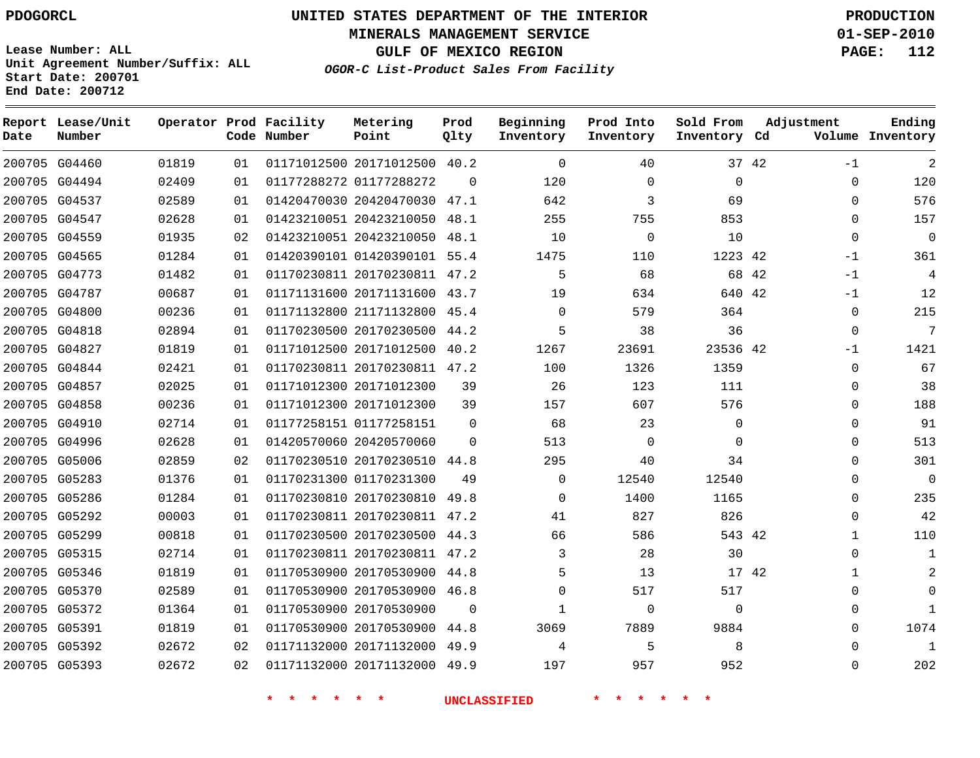**MINERALS MANAGEMENT SERVICE 01-SEP-2010**

**GULF OF MEXICO REGION PAGE: 112**

**Lease Number: ALL Unit Agreement Number/Suffix: ALL Start Date: 200701 End Date: 200712**

**OGOR-C List-Product Sales From Facility**

| Date | Report Lease/Unit<br>Number |       |    | Operator Prod Facility<br>Code Number | Metering<br>Point            | Prod<br>Qlty | Beginning<br>Inventory | Prod Into<br>Inventory | Sold From<br>Inventory Cd |       | Adjustment   | Ending<br>Volume Inventory |
|------|-----------------------------|-------|----|---------------------------------------|------------------------------|--------------|------------------------|------------------------|---------------------------|-------|--------------|----------------------------|
|      | 200705 G04460               | 01819 | 01 |                                       | 01171012500 20171012500 40.2 |              | $\Omega$               | 40                     |                           | 37 42 | -1           | $\overline{2}$             |
|      | 200705 G04494               | 02409 | 01 |                                       | 01177288272 01177288272      | $\Omega$     | 120                    | $\Omega$               | $\Omega$                  |       | $\Omega$     | 120                        |
|      | 200705 G04537               | 02589 | 01 |                                       | 01420470030 20420470030 47.1 |              | 642                    | 3                      | 69                        |       | 0            | 576                        |
|      | 200705 G04547               | 02628 | 01 |                                       | 01423210051 20423210050 48.1 |              | 255                    | 755                    | 853                       |       | $\Omega$     | 157                        |
|      | 200705 G04559               | 01935 | 02 |                                       | 01423210051 20423210050 48.1 |              | 10                     | $\mathbf 0$            | 10                        |       | $\mathbf 0$  | $\mathsf{O}\xspace$        |
|      | 200705 G04565               | 01284 | 01 |                                       | 01420390101 01420390101 55.4 |              | 1475                   | 110                    | 1223 42                   |       | $-1$         | 361                        |
|      | 200705 G04773               | 01482 | 01 |                                       | 01170230811 20170230811 47.2 |              | 5                      | 68                     |                           | 68 42 | $-1$         | 4                          |
|      | 200705 G04787               | 00687 | 01 |                                       | 01171131600 20171131600 43.7 |              | 19                     | 634                    | 640 42                    |       | $-1$         | 12                         |
|      | 200705 G04800               | 00236 | 01 |                                       | 01171132800 21171132800 45.4 |              | $\Omega$               | 579                    | 364                       |       | $\mathbf 0$  | 215                        |
|      | 200705 G04818               | 02894 | 01 |                                       | 01170230500 20170230500 44.2 |              | 5                      | 38                     | 36                        |       | $\Omega$     | 7                          |
|      | 200705 G04827               | 01819 | 01 |                                       | 01171012500 20171012500 40.2 |              | 1267                   | 23691                  | 23536 42                  |       | -1           | 1421                       |
|      | 200705 G04844               | 02421 | 01 |                                       | 01170230811 20170230811 47.2 |              | 100                    | 1326                   | 1359                      |       | $\mathbf{0}$ | 67                         |
|      | 200705 G04857               | 02025 | 01 |                                       | 01171012300 20171012300      | 39           | 26                     | 123                    | 111                       |       | 0            | 38                         |
|      | 200705 G04858               | 00236 | 01 |                                       | 01171012300 20171012300      | 39           | 157                    | 607                    | 576                       |       | $\Omega$     | 188                        |
|      | 200705 G04910               | 02714 | 01 |                                       | 01177258151 01177258151      | 0            | 68                     | 23                     | $\mathbf 0$               |       | 0            | 91                         |
|      | 200705 G04996               | 02628 | 01 |                                       | 01420570060 20420570060      | $\Omega$     | 513                    | $\Omega$               | $\Omega$                  |       | $\Omega$     | 513                        |
|      | 200705 G05006               | 02859 | 02 |                                       | 01170230510 20170230510 44.8 |              | 295                    | 40                     | 34                        |       | $\Omega$     | 301                        |
|      | 200705 G05283               | 01376 | 01 |                                       | 01170231300 01170231300      | 49           | $\Omega$               | 12540                  | 12540                     |       | $\Omega$     | $\Omega$                   |
|      | 200705 G05286               | 01284 | 01 |                                       | 01170230810 20170230810 49.8 |              | $\Omega$               | 1400                   | 1165                      |       | 0            | 235                        |
|      | 200705 G05292               | 00003 | 01 |                                       | 01170230811 20170230811 47.2 |              | 41                     | 827                    | 826                       |       | $\Omega$     | 42                         |
|      | 200705 G05299               | 00818 | 01 |                                       | 01170230500 20170230500 44.3 |              | 66                     | 586                    | 543 42                    |       | 1            | 110                        |
|      | 200705 G05315               | 02714 | 01 |                                       | 01170230811 20170230811 47.2 |              | 3                      | 28                     | 30                        |       | $\Omega$     | $\mathbf{1}$               |
|      | 200705 G05346               | 01819 | 01 |                                       | 01170530900 20170530900 44.8 |              | 5                      | 13                     | 17 42                     |       | 1            | 2                          |
|      | 200705 G05370               | 02589 | 01 |                                       | 01170530900 20170530900 46.8 |              | $\Omega$               | 517                    | 517                       |       | $\Omega$     | $\Omega$                   |
|      | 200705 G05372               | 01364 | 01 |                                       | 01170530900 20170530900      | $\Omega$     | 1                      | $\mathbf 0$            | $\mathbf 0$               |       | 0            | 1                          |
|      | 200705 G05391               | 01819 | 01 |                                       | 01170530900 20170530900 44.8 |              | 3069                   | 7889                   | 9884                      |       | $\Omega$     | 1074                       |
|      | 200705 G05392               | 02672 | 02 |                                       | 01171132000 20171132000 49.9 |              | 4                      | 5                      | 8                         |       | $\Omega$     | 1                          |
|      | 200705 G05393               | 02672 | 02 |                                       | 01171132000 20171132000 49.9 |              | 197                    | 957                    | 952                       |       | $\Omega$     | 202                        |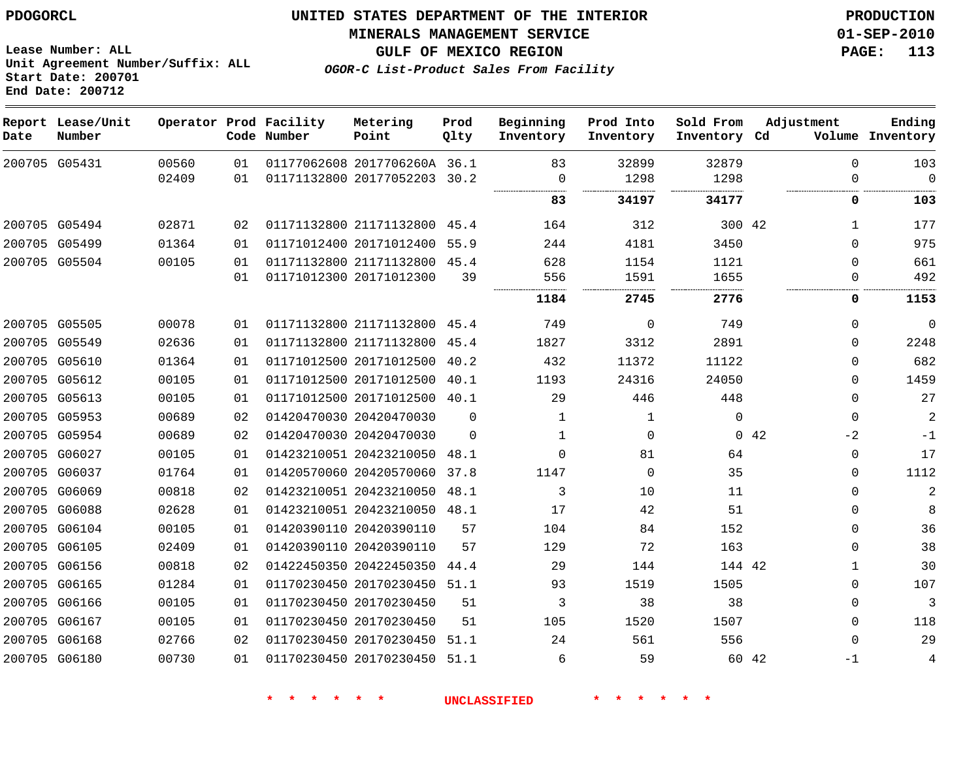**Start Date: 200701 End Date: 200712**

**Unit Agreement Number/Suffix: ALL**

# **UNITED STATES DEPARTMENT OF THE INTERIOR PDOGORCL PRODUCTION**

**MINERALS MANAGEMENT SERVICE 01-SEP-2010**

**GULF OF MEXICO REGION PAGE: 113**

**OGOR-C List-Product Sales From Facility**

| Date   | Report Lease/Unit<br>Number |       |    | Operator Prod Facility<br>Code Number | Metering<br>Point            | Prod<br>Qlty | Beginning<br>Inventory | Prod Into<br>Inventory | Sold From<br>Inventory Cd | Adjustment | Ending<br>Volume Inventory |
|--------|-----------------------------|-------|----|---------------------------------------|------------------------------|--------------|------------------------|------------------------|---------------------------|------------|----------------------------|
|        | 200705 G05431               | 00560 | 01 |                                       | 01177062608 2017706260A 36.1 |              | 83                     | 32899                  | 32879                     |            | $\Omega$<br>103            |
|        |                             | 02409 | 01 |                                       | 01171132800 20177052203      | 30.2         | 0                      | 1298                   | 1298                      |            | $\overline{0}$<br>$\Omega$ |
|        |                             |       |    |                                       |                              |              | 83                     | 34197                  | 34177                     |            | 0<br>103                   |
|        | 200705 G05494               | 02871 | 02 |                                       | 01171132800 21171132800      | 45.4         | 164                    | 312                    | 300 42                    |            | 177                        |
|        | 200705 G05499               | 01364 | 01 |                                       | 01171012400 20171012400      | 55.9         | 244                    | 4181                   | 3450                      |            | 975<br>$\Omega$            |
|        | 200705 G05504               | 00105 | 01 |                                       | 01171132800 21171132800 45.4 |              | 628                    | 1154                   | 1121                      |            | 661<br>0                   |
|        |                             |       | 01 |                                       | 01171012300 20171012300      | 39           | 556                    | 1591                   | 1655                      |            | 492<br>0                   |
|        |                             |       |    |                                       |                              |              | 1184                   | 2745                   | 2776                      |            | 0<br>1153                  |
|        | 200705 G05505               | 00078 | 01 |                                       | 01171132800 21171132800      | 45.4         | 749                    | $\mathbf 0$            | 749                       |            | 0<br>$\mathbf 0$           |
|        | 200705 G05549               | 02636 | 01 |                                       | 01171132800 21171132800      | 45.4         | 1827                   | 3312                   | 2891                      |            | 2248<br>$\Omega$           |
|        | 200705 G05610               | 01364 | 01 |                                       | 01171012500 20171012500      | 40.2         | 432                    | 11372                  | 11122                     |            | 682<br>0                   |
|        | 200705 G05612               | 00105 | 01 |                                       | 01171012500 20171012500      | 40.1         | 1193                   | 24316                  | 24050                     |            | 1459<br>$\Omega$           |
|        | 200705 G05613               | 00105 | 01 |                                       | 01171012500 20171012500      | 40.1         | 29                     | 446                    | 448                       |            | 27<br>0                    |
|        | 200705 G05953               | 00689 | 02 |                                       | 01420470030 20420470030      | $\mathbf 0$  | 1                      | 1                      | $\mathbf 0$               |            | $\sqrt{2}$<br>$\mathbf 0$  |
|        | 200705 G05954               | 00689 | 02 |                                       | 01420470030 20420470030      | $\Omega$     | $\mathbf{1}$           | $\mathbf 0$            |                           | 0.42       | $-2$<br>$-1$               |
|        | 200705 G06027               | 00105 | 01 |                                       | 01423210051 20423210050      | 48.1         | 0                      | 81                     | 64                        |            | 17<br>0                    |
|        | 200705 G06037               | 01764 | 01 |                                       | 01420570060 20420570060      | 37.8         | 1147                   | $\Omega$               | 35                        |            | 1112<br>0                  |
|        | 200705 G06069               | 00818 | 02 |                                       | 01423210051 20423210050      | 48.1         | 3                      | 10                     | 11                        |            | $\overline{c}$<br>0        |
|        | 200705 G06088               | 02628 | 01 |                                       | 01423210051 20423210050      | 48.1         | 17                     | 42                     | 51                        |            | $\mathbf 0$<br>8           |
|        | 200705 G06104               | 00105 | 01 |                                       | 01420390110 20420390110      | 57           | 104                    | 84                     | 152                       |            | 36<br>$\Omega$             |
|        | 200705 G06105               | 02409 | 01 |                                       | 01420390110 20420390110      | 57           | 129                    | 72                     | 163                       |            | 38<br>$\Omega$             |
|        | 200705 G06156               | 00818 | 02 |                                       | 01422450350 20422450350      | 44.4         | 29                     | 144                    | 144 42                    |            | 30<br>1                    |
| 200705 | G06165                      | 01284 | 01 |                                       | 01170230450 20170230450      | 51.1         | 93                     | 1519                   | 1505                      |            | 107<br>0                   |
| 200705 | G06166                      | 00105 | 01 |                                       | 01170230450 20170230450      | 51           | 3                      | 38                     | 38                        |            | 3<br>$\mathbf 0$           |
|        | 200705 G06167               | 00105 | 01 |                                       | 01170230450 20170230450      | 51           | 105                    | 1520                   | 1507                      |            | 118<br>$\Omega$            |
|        | 200705 G06168               | 02766 | 02 |                                       | 01170230450 20170230450      | 51.1         | 24                     | 561                    | 556                       |            | 29<br>$\mathbf 0$          |
|        | 200705 G06180               | 00730 | 01 |                                       | 01170230450 20170230450      | 51.1         | 6                      | 59                     |                           | 60 42      | 4<br>$-1$                  |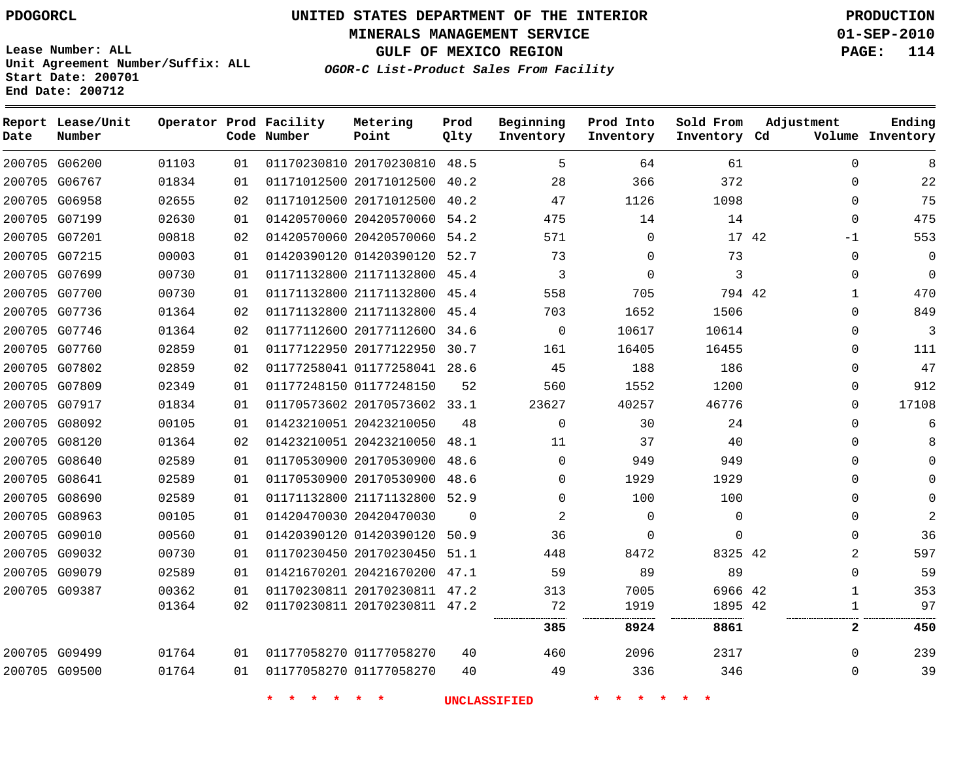**End Date: 200712**

# **UNITED STATES DEPARTMENT OF THE INTERIOR PDOGORCL PRODUCTION**

**MINERALS MANAGEMENT SERVICE 01-SEP-2010**

**GULF OF MEXICO REGION PAGE: 114**

**Unit Agreement Number/Suffix: ALL Start Date: 200701**

| Date | Report Lease/Unit<br>Number |       |                 | Operator Prod Facility<br>Code Number | Metering<br>Point            | Prod<br>Qlty | Beginning<br>Inventory | Prod Into<br>Inventory | Sold From<br>Inventory Cd | Adjustment     | Ending<br>Volume Inventory |
|------|-----------------------------|-------|-----------------|---------------------------------------|------------------------------|--------------|------------------------|------------------------|---------------------------|----------------|----------------------------|
|      | 200705 G06200               | 01103 | 01              |                                       | 01170230810 20170230810 48.5 |              | 5                      | 64                     | 61                        | $\Omega$       | 8                          |
|      | 200705 G06767               | 01834 | 01              |                                       | 01171012500 20171012500 40.2 |              | 28                     | 366                    | 372                       | 0              | 22                         |
|      | 200705 G06958               | 02655 | 02              |                                       | 01171012500 20171012500 40.2 |              | 47                     | 1126                   | 1098                      | 0              | 75                         |
|      | 200705 G07199               | 02630 | 01              |                                       | 01420570060 20420570060 54.2 |              | 475                    | 14                     | 14                        | $\Omega$       | 475                        |
|      | 200705 G07201               | 00818 | 02              |                                       | 01420570060 20420570060      | 54.2         | 571                    | $\mathbf 0$            | 17 42                     | $-1$           | 553                        |
|      | 200705 G07215               | 00003 | 01              |                                       | 01420390120 01420390120 52.7 |              | 73                     | $\mathbf 0$            | 73                        | 0              | $\mathbf 0$                |
|      | 200705 G07699               | 00730 | 01              |                                       | 01171132800 21171132800 45.4 |              | 3                      | $\Omega$               | 3                         | 0              | $\Omega$                   |
|      | 200705 G07700               | 00730 | 01              |                                       | 01171132800 21171132800 45.4 |              | 558                    | 705                    | 794 42                    | $\mathbf{1}$   | 470                        |
|      | 200705 G07736               | 01364 | 02 <sub>o</sub> |                                       | 01171132800 21171132800 45.4 |              | 703                    | 1652                   | 1506                      | $\Omega$       | 849                        |
|      | 200705 G07746               | 01364 | 02              |                                       | 01177112600 20177112600 34.6 |              | $\mathbf 0$            | 10617                  | 10614                     | 0              | 3                          |
|      | 200705 G07760               | 02859 | 01              |                                       | 01177122950 20177122950 30.7 |              | 161                    | 16405                  | 16455                     | 0              | 111                        |
|      | 200705 G07802               | 02859 | 02              |                                       | 01177258041 01177258041 28.6 |              | 45                     | 188                    | 186                       | 0              | 47                         |
|      | 200705 G07809               | 02349 | 01              |                                       | 01177248150 01177248150      | 52           | 560                    | 1552                   | 1200                      | 0              | 912                        |
|      | 200705 G07917               | 01834 | 01              |                                       | 01170573602 20170573602 33.1 |              | 23627                  | 40257                  | 46776                     | 0              | 17108                      |
|      | 200705 G08092               | 00105 | 01              |                                       | 01423210051 20423210050      | 48           | $\Omega$               | 30                     | 24                        | $\Omega$       | 6                          |
|      | 200705 G08120               | 01364 | 02              |                                       | 01423210051 20423210050 48.1 |              | 11                     | 37                     | 40                        | 0              | 8                          |
|      | 200705 G08640               | 02589 | 01              |                                       | 01170530900 20170530900      | 48.6         | $\mathbf 0$            | 949                    | 949                       | 0              | $\Omega$                   |
|      | 200705 G08641               | 02589 | 01              |                                       | 01170530900 20170530900 48.6 |              | $\Omega$               | 1929                   | 1929                      | $\Omega$       | $\Omega$                   |
|      | 200705 G08690               | 02589 | 01              |                                       | 01171132800 21171132800 52.9 |              | $\Omega$               | 100                    | 100                       | 0              | $\Omega$                   |
|      | 200705 G08963               | 00105 | 01              |                                       | 01420470030 20420470030      | $\Omega$     | 2                      | $\mathbf 0$            | $\mathbf 0$               | 0              | $\overline{2}$             |
|      | 200705 G09010               | 00560 | 01              |                                       | 01420390120 01420390120 50.9 |              | 36                     | $\Omega$               | $\Omega$                  | $\Omega$       | 36                         |
|      | 200705 G09032               | 00730 | 01              |                                       | 01170230450 20170230450      | 51.1         | 448                    | 8472                   | 8325 42                   | $\overline{2}$ | 597                        |
|      | 200705 G09079               | 02589 | 01              |                                       | 01421670201 20421670200 47.1 |              | 59                     | 89                     | 89                        | 0              | 59                         |
|      | 200705 G09387               | 00362 | 01              |                                       | 01170230811 20170230811 47.2 |              | 313                    | 7005                   | 6966 42                   | $\mathbf{1}$   | 353                        |
|      |                             | 01364 | 02              |                                       | 01170230811 20170230811 47.2 |              | 72                     | 1919                   | 1895 42                   | $\mathbf{1}$   | 97                         |
|      |                             |       |                 |                                       |                              |              | 385                    | 8924                   | 8861                      | $\mathbf{2}$   | 450                        |
|      | 200705 G09499               | 01764 | 01              |                                       | 01177058270 01177058270      | 40           | 460                    | 2096                   | 2317                      | $\Omega$       | 239                        |
|      | 200705 G09500               | 01764 | 01              |                                       | 01177058270 01177058270      | 40           | 49                     | 336                    | 346                       | 0              | 39                         |
|      |                             |       |                 | $\star$<br>一天<br>$\star$              | $*$ *                        |              | <b>UNCLASSIFIED</b>    | * * * *                | $\star$                   |                |                            |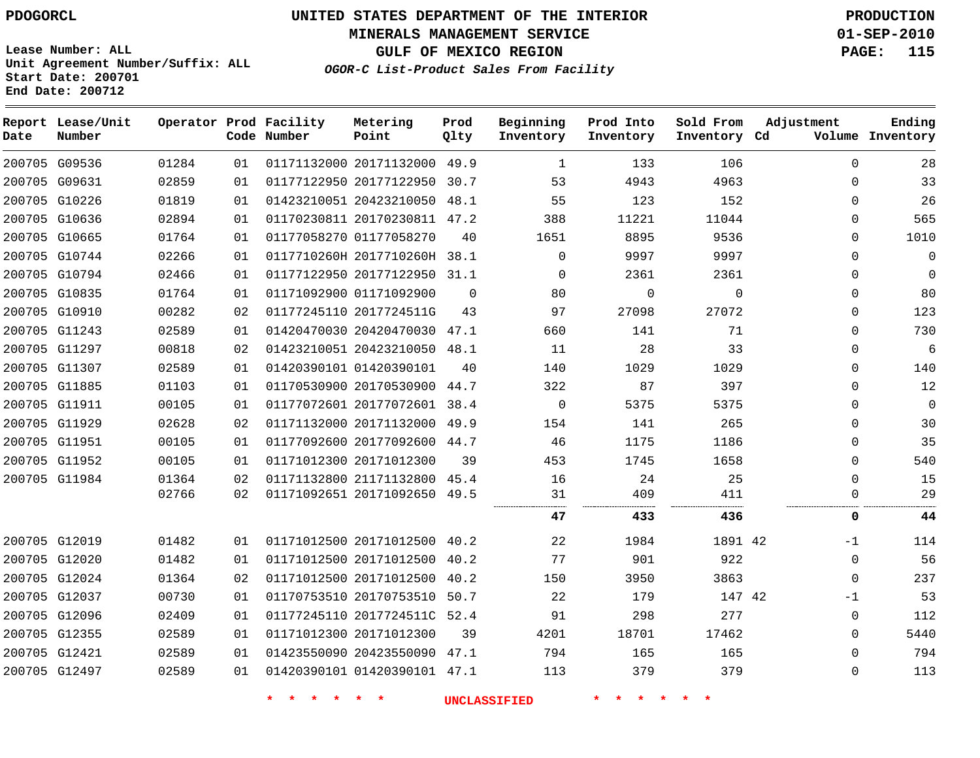# **UNITED STATES DEPARTMENT OF THE INTERIOR PDOGORCL PRODUCTION**

**MINERALS MANAGEMENT SERVICE 01-SEP-2010**

**GULF OF MEXICO REGION PAGE: 115**

**Unit Agreement Number/Suffix: ALL Start Date: 200701 End Date: 200712**

**OGOR-C List-Product Sales From Facility**

| Date | Report Lease/Unit<br>Number |       |    | Operator Prod Facility<br>Code Number | Metering<br>Point            | Prod<br>Qlty | Beginning<br>Inventory | Prod Into<br>Inventory | Sold From<br>Inventory Cd | Adjustment   | Ending<br>Volume Inventory |
|------|-----------------------------|-------|----|---------------------------------------|------------------------------|--------------|------------------------|------------------------|---------------------------|--------------|----------------------------|
|      | 200705 G09536               | 01284 | 01 |                                       | 01171132000 20171132000 49.9 |              | 1                      | 133                    | 106                       | $\mathbf{0}$ | 28                         |
|      | 200705 G09631               | 02859 | 01 |                                       | 01177122950 20177122950      | 30.7         | 53                     | 4943                   | 4963                      | $\mathbf{0}$ | 33                         |
|      | 200705 G10226               | 01819 | 01 |                                       | 01423210051 20423210050      | 48.1         | 55                     | 123                    | 152                       | $\Omega$     | 26                         |
|      | 200705 G10636               | 02894 | 01 |                                       | 01170230811 20170230811 47.2 |              | 388                    | 11221                  | 11044                     | $\mathbf{0}$ | 565                        |
|      | 200705 G10665               | 01764 | 01 |                                       | 01177058270 01177058270      | 40           | 1651                   | 8895                   | 9536                      | $\Omega$     | 1010                       |
|      | 200705 G10744               | 02266 | 01 |                                       | 0117710260H 2017710260H 38.1 |              | $\Omega$               | 9997                   | 9997                      | $\Omega$     | $\mathbf 0$                |
|      | 200705 G10794               | 02466 | 01 |                                       | 01177122950 20177122950 31.1 |              | $\Omega$               | 2361                   | 2361                      | $\mathbf{0}$ | $\Omega$                   |
|      | 200705 G10835               | 01764 | 01 |                                       | 01171092900 01171092900      | $\Omega$     | 80                     | $\Omega$               | $\mathbf 0$               | 0            | 80                         |
|      | 200705 G10910               | 00282 | 02 |                                       | 01177245110 2017724511G      | 43           | 97                     | 27098                  | 27072                     | $\mathbf{0}$ | 123                        |
|      | 200705 G11243               | 02589 | 01 |                                       | 01420470030 20420470030 47.1 |              | 660                    | 141                    | 71                        | $\Omega$     | 730                        |
|      | 200705 G11297               | 00818 | 02 |                                       | 01423210051 20423210050 48.1 |              | 11                     | 28                     | 33                        | $\mathbf{0}$ | 6                          |
|      | 200705 G11307               | 02589 | 01 |                                       | 01420390101 01420390101      | 40           | 140                    | 1029                   | 1029                      | $\Omega$     | 140                        |
|      | 200705 G11885               | 01103 | 01 |                                       | 01170530900 20170530900      | 44.7         | 322                    | 87                     | 397                       | $\mathbf 0$  | 12                         |
|      | 200705 G11911               | 00105 | 01 |                                       | 01177072601 20177072601 38.4 |              | $\mathbf 0$            | 5375                   | 5375                      | $\Omega$     | $\mathbf 0$                |
|      | 200705 G11929               | 02628 | 02 |                                       | 01171132000 20171132000      | 49.9         | 154                    | 141                    | 265                       | 0            | 30                         |
|      | 200705 G11951               | 00105 | 01 |                                       | 01177092600 20177092600      | 44.7         | 46                     | 1175                   | 1186                      | $\Omega$     | 35                         |
|      | 200705 G11952               | 00105 | 01 |                                       | 01171012300 20171012300      | 39           | 453                    | 1745                   | 1658                      | 0            | 540                        |
|      | 200705 G11984               | 01364 | 02 |                                       | 01171132800 21171132800      | 45.4         | 16                     | 24                     | 25                        | $\mathbf{0}$ | 15                         |
|      |                             | 02766 | 02 |                                       | 01171092651 20171092650      | 49.5         | 31<br>                 | 409<br>                | 411<br><br>.              | $\Omega$     | 29                         |
|      |                             |       |    |                                       |                              |              | 47                     | 433                    | 436                       | 0            | 44                         |
|      | 200705 G12019               | 01482 | 01 |                                       | 01171012500 20171012500 40.2 |              | 22                     | 1984                   | 1891 42                   | $-1$         | 114                        |
|      | 200705 G12020               | 01482 | 01 |                                       | 01171012500 20171012500 40.2 |              | 77                     | 901                    | 922                       | $\mathbf{0}$ | 56                         |
|      | 200705 G12024               | 01364 | 02 |                                       | 01171012500 20171012500      | 40.2         | 150                    | 3950                   | 3863                      | $\mathbf{0}$ | 237                        |
|      | 200705 G12037               | 00730 | 01 |                                       | 01170753510 20170753510      | 50.7         | 22                     | 179                    | 147 42                    | $-1$         | 53                         |
|      | 200705 G12096               | 02409 | 01 |                                       | 01177245110 2017724511C 52.4 |              | 91                     | 298                    | 277                       | 0            | 112                        |
|      | 200705 G12355               | 02589 | 01 |                                       | 01171012300 20171012300      | 39           | 4201                   | 18701                  | 17462                     | $\Omega$     | 5440                       |
|      | 200705 G12421               | 02589 | 01 |                                       | 01423550090 20423550090      | 47.1         | 794                    | 165                    | 165                       | $\Omega$     | 794                        |
|      | 200705 G12497               | 02589 | 01 |                                       | 01420390101 01420390101 47.1 |              | 113                    | 379                    | 379                       | $\Omega$     | 113                        |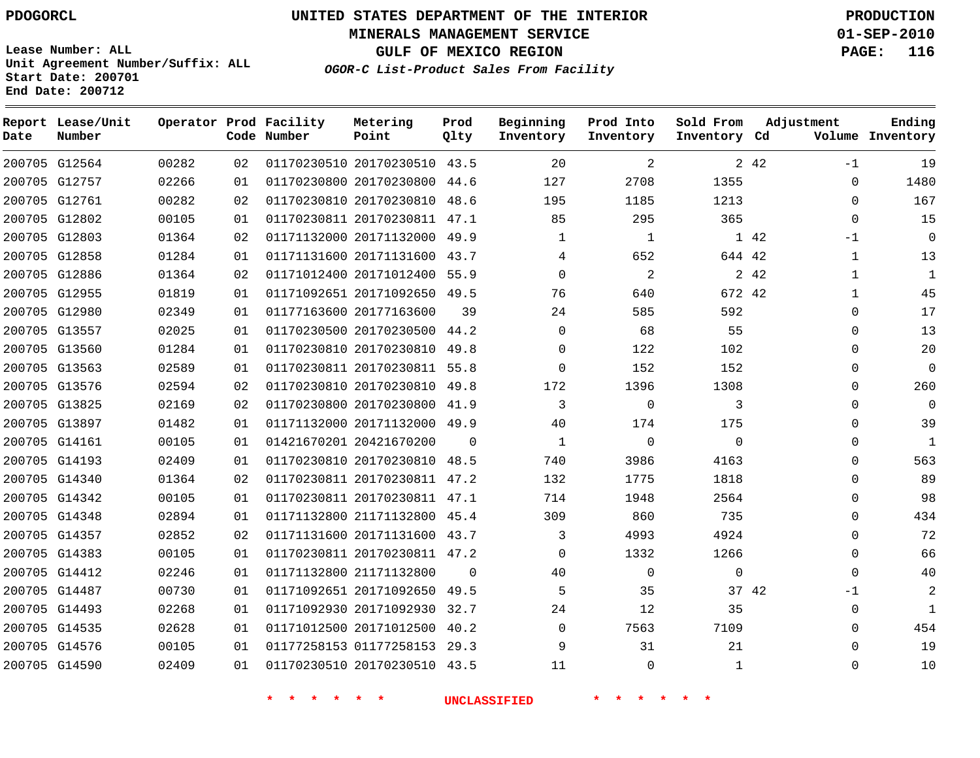**Start Date: 200701 End Date: 200712**

**Unit Agreement Number/Suffix: ALL**

# **UNITED STATES DEPARTMENT OF THE INTERIOR PDOGORCL PRODUCTION**

**MINERALS MANAGEMENT SERVICE 01-SEP-2010**

**GULF OF MEXICO REGION PAGE: 116**

**OGOR-C List-Product Sales From Facility**

| Date   | Report Lease/Unit<br>Number |       |    | Operator Prod Facility<br>Code Number | Metering<br>Point            | Prod<br>Qlty | Beginning<br>Inventory | Prod Into<br>Inventory | Sold From<br>Inventory Cd | Adjustment            | Ending<br>Volume Inventory |
|--------|-----------------------------|-------|----|---------------------------------------|------------------------------|--------------|------------------------|------------------------|---------------------------|-----------------------|----------------------------|
|        | 200705 G12564               | 00282 | 02 |                                       | 01170230510 20170230510 43.5 |              | 20                     | 2                      |                           | 2 4 2<br>$-1$         | 19                         |
|        | 200705 G12757               | 02266 | 01 |                                       | 01170230800 20170230800      | 44.6         | 127                    | 2708                   | 1355                      | $\Omega$              | 1480                       |
|        | 200705 G12761               | 00282 | 02 |                                       | 01170230810 20170230810      | 48.6         | 195                    | 1185                   | 1213                      | $\Omega$              | 167                        |
|        | 200705 G12802               | 00105 | 01 |                                       | 01170230811 20170230811      | 47.1         | 85                     | 295                    | 365                       | $\Omega$              | 15                         |
|        | 200705 G12803               | 01364 | 02 |                                       | 01171132000 20171132000      | 49.9         | 1                      | $\mathbf{1}$           |                           | 1 42<br>$-1$          | $\overline{0}$             |
|        | 200705 G12858               | 01284 | 01 |                                       | 01171131600 20171131600      | 43.7         | 4                      | 652                    | 644 42                    | 1                     | 13                         |
|        | 200705 G12886               | 01364 | 02 |                                       | 01171012400 20171012400      | 55.9         | $\Omega$               | $\overline{2}$         |                           | 2 4 2<br>$\mathbf{1}$ | $\mathbf{1}$               |
|        | 200705 G12955               | 01819 | 01 |                                       | 01171092651 20171092650      | 49.5         | 76                     | 640                    | 672 42                    | $\mathbf{1}$          | 45                         |
|        | 200705 G12980               | 02349 | 01 |                                       | 01177163600 20177163600      | 39           | 24                     | 585                    | 592                       | $\Omega$              | 17                         |
|        | 200705 G13557               | 02025 | 01 |                                       | 01170230500 20170230500      | 44.2         | $\mathbf 0$            | 68                     | 55                        | $\Omega$              | 13                         |
|        | 200705 G13560               | 01284 | 01 |                                       | 01170230810 20170230810      | 49.8         | 0                      | 122                    | 102                       | $\Omega$              | 20                         |
|        | 200705 G13563               | 02589 | 01 |                                       | 01170230811 20170230811      | 55.8         | 0                      | 152                    | 152                       | $\Omega$              | $\overline{0}$             |
|        | 200705 G13576               | 02594 | 02 |                                       | 01170230810 20170230810      | 49.8         | 172                    | 1396                   | 1308                      | $\Omega$              | 260                        |
|        | 200705 G13825               | 02169 | 02 |                                       | 01170230800 20170230800      | 41.9         | 3                      | $\Omega$               | 3                         | $\Omega$              | $\overline{0}$             |
|        | 200705 G13897               | 01482 | 01 |                                       | 01171132000 20171132000      | 49.9         | 40                     | 174                    | 175                       | $\Omega$              | 39                         |
|        | 200705 G14161               | 00105 | 01 |                                       | 01421670201 20421670200      | $\Omega$     | 1                      | $\Omega$               | $\mathbf 0$               | $\Omega$              | $\mathbf{1}$               |
|        | 200705 G14193               | 02409 | 01 |                                       | 01170230810 20170230810      | 48.5         | 740                    | 3986                   | 4163                      | $\Omega$              | 563                        |
|        | 200705 G14340               | 01364 | 02 |                                       | 01170230811 20170230811 47.2 |              | 132                    | 1775                   | 1818                      | $\Omega$              | 89                         |
|        | 200705 G14342               | 00105 | 01 |                                       | 01170230811 20170230811      | 47.1         | 714                    | 1948                   | 2564                      | 0                     | 98                         |
|        | 200705 G14348               | 02894 | 01 |                                       | 01171132800 21171132800 45.4 |              | 309                    | 860                    | 735                       | $\Omega$              | 434                        |
|        | 200705 G14357               | 02852 | 02 |                                       | 01171131600 20171131600      | 43.7         | 3                      | 4993                   | 4924                      | $\Omega$              | 72                         |
|        | 200705 G14383               | 00105 | 01 |                                       | 01170230811 20170230811 47.2 |              | $\Omega$               | 1332                   | 1266                      | $\Omega$              | 66                         |
| 200705 | G14412                      | 02246 | 01 |                                       | 01171132800 21171132800      | $\Omega$     | 40                     | $\mathbf 0$            | $\mathbf 0$               | $\Omega$              | 40                         |
|        | 200705 G14487               | 00730 | 01 |                                       | 01171092651 20171092650      | 49.5         | 5                      | 35                     |                           | 37 42<br>$-1$         | 2                          |
|        | 200705 G14493               | 02268 | 01 |                                       | 01171092930 20171092930      | 32.7         | 24                     | 12                     | 35                        | $\Omega$              | 1                          |
|        | 200705 G14535               | 02628 | 01 |                                       | 01171012500 20171012500      | 40.2         | 0                      | 7563                   | 7109                      | $\Omega$              | 454                        |
|        | 200705 G14576               | 00105 | 01 |                                       | 01177258153 01177258153 29.3 |              | 9                      | 31                     | 21                        | $\Omega$              | 19                         |
|        | 200705 G14590               | 02409 | 01 |                                       | 01170230510 20170230510      | 43.5         | 11                     | $\Omega$               | $\mathbf{1}$              | $\Omega$              | 10                         |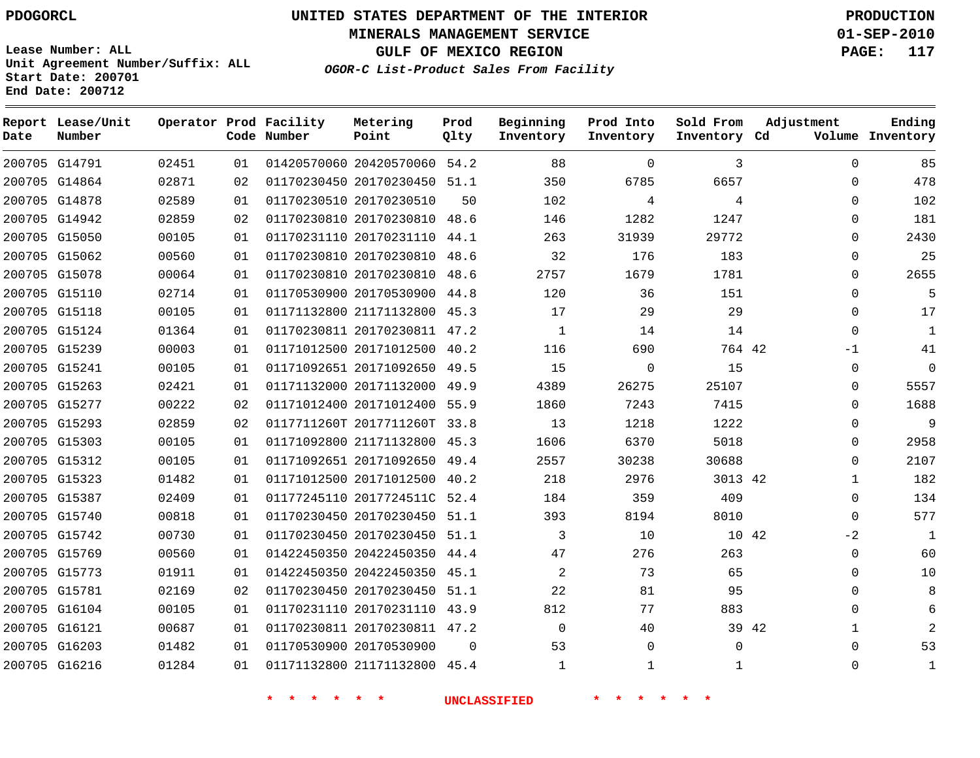**MINERALS MANAGEMENT SERVICE 01-SEP-2010**

**GULF OF MEXICO REGION PAGE: 117**

**Lease Number: ALL Unit Agreement Number/Suffix: ALL Start Date: 200701 End Date: 200712**

**OGOR-C List-Product Sales From Facility**

| Date          | Report Lease/Unit<br>Number |       |    | Operator Prod Facility<br>Code Number | Metering<br>Point            | Prod<br>Qlty | Beginning<br>Inventory | Prod Into<br>Inventory | Sold From<br>Inventory Cd | Adjustment | Ending<br>Volume Inventory |
|---------------|-----------------------------|-------|----|---------------------------------------|------------------------------|--------------|------------------------|------------------------|---------------------------|------------|----------------------------|
|               | 200705 G14791               | 02451 | 01 |                                       | 01420570060 20420570060 54.2 |              | 88                     | $\Omega$               | 3                         |            | $\Omega$<br>85             |
|               | 200705 G14864               | 02871 | 02 |                                       | 01170230450 20170230450 51.1 |              | 350                    | 6785                   | 6657                      |            | 478<br>$\Omega$            |
|               | 200705 G14878               | 02589 | 01 |                                       | 01170230510 20170230510      | 50           | 102                    | 4                      | 4                         |            | 102<br>$\Omega$            |
|               | 200705 G14942               | 02859 | 02 |                                       | 01170230810 20170230810 48.6 |              | 146                    | 1282                   | 1247                      |            | 181<br>0                   |
|               | 200705 G15050               | 00105 | 01 |                                       | 01170231110 20170231110      | 44.1         | 263                    | 31939                  | 29772                     |            | 2430<br>$\mathbf 0$        |
|               | 200705 G15062               | 00560 | 01 |                                       | 01170230810 20170230810 48.6 |              | 32                     | 176                    | 183                       |            | 25<br>$\Omega$             |
|               | 200705 G15078               | 00064 | 01 |                                       | 01170230810 20170230810      | 48.6         | 2757                   | 1679                   | 1781                      |            | 2655<br>0                  |
|               | 200705 G15110               | 02714 | 01 |                                       | 01170530900 20170530900      | 44.8         | 120                    | 36                     | 151                       |            | $\Omega$<br>5              |
|               | 200705 G15118               | 00105 | 01 |                                       | 01171132800 21171132800 45.3 |              | 17                     | 29                     | 29                        |            | $\Omega$<br>17             |
|               | 200705 G15124               | 01364 | 01 |                                       | 01170230811 20170230811 47.2 |              | $\mathbf{1}$           | 14                     | 14                        |            | $\Omega$<br>$\mathbf{1}$   |
|               | 200705 G15239               | 00003 | 01 |                                       | 01171012500 20171012500      | 40.2         | 116                    | 690                    | 764 42                    |            | 41<br>$-1$                 |
|               | 200705 G15241               | 00105 | 01 |                                       | 01171092651 20171092650      | 49.5         | 15                     | $\mathbf 0$            | 15                        |            | $\mathbf 0$<br>0           |
|               | 200705 G15263               | 02421 | 01 |                                       | 01171132000 20171132000      | 49.9         | 4389                   | 26275                  | 25107                     |            | 5557<br>0                  |
|               | 200705 G15277               | 00222 | 02 |                                       | 01171012400 20171012400 55.9 |              | 1860                   | 7243                   | 7415                      |            | 1688<br>$\Omega$           |
|               | 200705 G15293               | 02859 | 02 |                                       | 0117711260T 2017711260T      | 33.8         | 13                     | 1218                   | 1222                      |            | $\mathsf 9$<br>$\Omega$    |
|               | 200705 G15303               | 00105 | 01 |                                       | 01171092800 21171132800 45.3 |              | 1606                   | 6370                   | 5018                      |            | 2958<br>0                  |
|               | 200705 G15312               | 00105 | 01 |                                       | 01171092651 20171092650      | 49.4         | 2557                   | 30238                  | 30688                     |            | 2107<br>$\Omega$           |
|               | 200705 G15323               | 01482 | 01 |                                       | 01171012500 20171012500      | 40.2         | 218                    | 2976                   | 3013 42                   |            | 182<br>$\mathbf{1}$        |
|               | 200705 G15387               | 02409 | 01 |                                       | 01177245110 2017724511C 52.4 |              | 184                    | 359                    | 409                       |            | 134<br>0                   |
|               | 200705 G15740               | 00818 | 01 |                                       | 01170230450 20170230450 51.1 |              | 393                    | 8194                   | 8010                      |            | 577<br>$\Omega$            |
|               | 200705 G15742               | 00730 | 01 |                                       | 01170230450 20170230450      | 51.1         | 3                      | 10                     | 10 42                     |            | $\mathbf{1}$<br>$-2$       |
|               | 200705 G15769               | 00560 | 01 |                                       | 01422450350 20422450350      | 44.4         | 47                     | 276                    | 263                       |            | 60<br>0                    |
|               | 200705 G15773               | 01911 | 01 |                                       | 01422450350 20422450350 45.1 |              | 2                      | 73                     | 65                        |            | 10<br>0                    |
| 200705 G15781 |                             | 02169 | 02 |                                       | 01170230450 20170230450 51.1 |              | 22                     | 81                     | 95                        |            | 8<br>$\Omega$              |
|               | 200705 G16104               | 00105 | 01 |                                       | 01170231110 20170231110 43.9 |              | 812                    | 77                     | 883                       |            | 6<br>0                     |
|               | 200705 G16121               | 00687 | 01 |                                       | 01170230811 20170230811 47.2 |              | $\mathbf 0$            | 40                     |                           | 39 42      | 1                          |
|               | 200705 G16203               | 01482 | 01 |                                       | 01170530900 20170530900      | $\Omega$     | 53                     | $\mathbf 0$            | $\Omega$                  |            | 53<br>$\Omega$             |
|               | 200705 G16216               | 01284 | 01 |                                       | 01171132800 21171132800      | 45.4         | $\mathbf{1}$           | $\mathbf{1}$           | 1                         |            | $\Omega$<br>1              |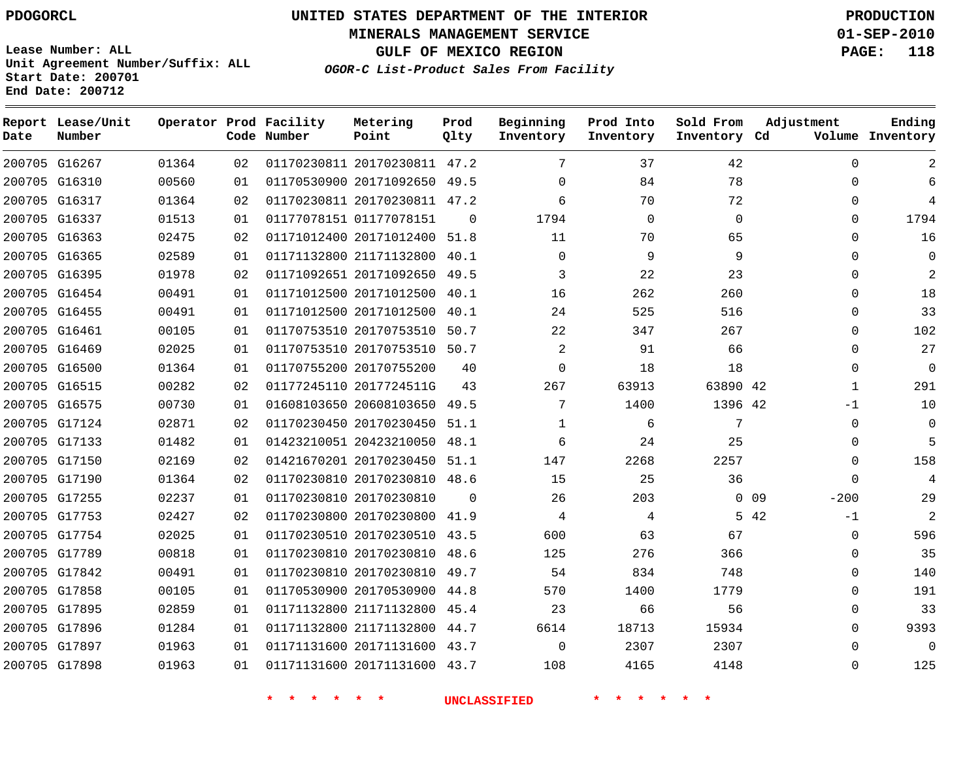**MINERALS MANAGEMENT SERVICE 01-SEP-2010**

**GULF OF MEXICO REGION PAGE: 118**

**Lease Number: ALL Unit Agreement Number/Suffix: ALL Start Date: 200701 End Date: 200712**

**OGOR-C List-Product Sales From Facility**

| Date | Report Lease/Unit<br>Number |       |    | Operator Prod Facility<br>Code Number | Metering<br>Point            | Prod<br>Qlty | Beginning<br>Inventory | Prod Into<br>Inventory | Sold From<br>Inventory Cd | Adjustment       | Ending<br>Volume Inventory |
|------|-----------------------------|-------|----|---------------------------------------|------------------------------|--------------|------------------------|------------------------|---------------------------|------------------|----------------------------|
|      | 200705 G16267               | 01364 | 02 |                                       | 01170230811 20170230811 47.2 |              | 7                      | 37                     | 42                        | $\Omega$         |                            |
|      | 200705 G16310               | 00560 | 01 |                                       | 01170530900 20171092650 49.5 |              | $\Omega$               | 84                     | 78                        | $\Omega$         | 6                          |
|      | 200705 G16317               | 01364 | 02 |                                       | 01170230811 20170230811 47.2 |              | 6                      | 70                     | 72                        | 0                | 4                          |
|      | 200705 G16337               | 01513 | 01 |                                       | 01177078151 01177078151      | $\Omega$     | 1794                   | 0                      | $\mathbf 0$               | 0                | 1794                       |
|      | 200705 G16363               | 02475 | 02 |                                       | 01171012400 20171012400      | 51.8         | 11                     | 70                     | 65                        | $\Omega$         | 16                         |
|      | 200705 G16365               | 02589 | 01 |                                       | 01171132800 21171132800      | 40.1         | $\Omega$               | 9                      | 9                         | 0                | $\Omega$                   |
|      | 200705 G16395               | 01978 | 02 |                                       | 01171092651 20171092650      | 49.5         | 3                      | 22                     | 23                        | 0                | $\overline{2}$             |
|      | 200705 G16454               | 00491 | 01 |                                       | 01171012500 20171012500      | 40.1         | 16                     | 262                    | 260                       | 0                | 18                         |
|      | 200705 G16455               | 00491 | 01 |                                       | 01171012500 20171012500      | 40.1         | 24                     | 525                    | 516                       | $\Omega$         | 33                         |
|      | 200705 G16461               | 00105 | 01 |                                       | 01170753510 20170753510 50.7 |              | 22                     | 347                    | 267                       | $\Omega$         | 102                        |
|      | 200705 G16469               | 02025 | 01 |                                       | 01170753510 20170753510 50.7 |              | 2                      | 91                     | 66                        | 0                | 27                         |
|      | 200705 G16500               | 01364 | 01 |                                       | 01170755200 20170755200      | 40           | 0                      | 18                     | 18                        | 0                | 0                          |
|      | 200705 G16515               | 00282 | 02 |                                       | 01177245110 2017724511G      | 43           | 267                    | 63913                  | 63890 42                  | 1                | 291                        |
|      | 200705 G16575               | 00730 | 01 |                                       | 01608103650 20608103650      | 49.5         | 7                      | 1400                   | 1396 42                   | -1               | 10                         |
|      | 200705 G17124               | 02871 | 02 |                                       | 01170230450 20170230450 51.1 |              | $\mathbf 1$            | 6                      | 7                         | $\Omega$         | $\mathbf 0$                |
|      | 200705 G17133               | 01482 | 01 |                                       | 01423210051 20423210050      | 48.1         | 6                      | 24                     | 25                        | 0                | 5                          |
|      | 200705 G17150               | 02169 | 02 |                                       | 01421670201 20170230450 51.1 |              | 147                    | 2268                   | 2257                      | 0                | 158                        |
|      | 200705 G17190               | 01364 | 02 |                                       | 01170230810 20170230810      | 48.6         | 15                     | 25                     | 36                        | $\Omega$         | 4                          |
|      | 200705 G17255               | 02237 | 01 |                                       | 01170230810 20170230810      | $\Omega$     | 26                     | 203                    |                           | $0$ 09<br>$-200$ | 29                         |
|      | 200705 G17753               | 02427 | 02 |                                       | 01170230800 20170230800      | 41.9         | 4                      | 4                      |                           | 5 42<br>-1       | 2                          |
|      | 200705 G17754               | 02025 | 01 |                                       | 01170230510 20170230510 43.5 |              | 600                    | 63                     | 67                        | 0                | 596                        |
|      | 200705 G17789               | 00818 | 01 |                                       | 01170230810 20170230810      | 48.6         | 125                    | 276                    | 366                       | 0                | 35                         |
|      | 200705 G17842               | 00491 | 01 |                                       | 01170230810 20170230810      | 49.7         | 54                     | 834                    | 748                       | $\Omega$         | 140                        |
|      | 200705 G17858               | 00105 | 01 |                                       | 01170530900 20170530900      | 44.8         | 570                    | 1400                   | 1779                      | 0                | 191                        |
|      | 200705 G17895               | 02859 | 01 |                                       | 01171132800 21171132800 45.4 |              | 23                     | 66                     | 56                        | 0                | 33                         |
|      | 200705 G17896               | 01284 | 01 |                                       | 01171132800 21171132800      | 44.7         | 6614                   | 18713                  | 15934                     | 0                | 9393                       |
|      | 200705 G17897               | 01963 | 01 |                                       | 01171131600 20171131600 43.7 |              | $\Omega$               | 2307                   | 2307                      | $\Omega$         | $\Omega$                   |
|      | 200705 G17898               | 01963 | 01 |                                       | 01171131600 20171131600 43.7 |              | 108                    | 4165                   | 4148                      | $\Omega$         | 125                        |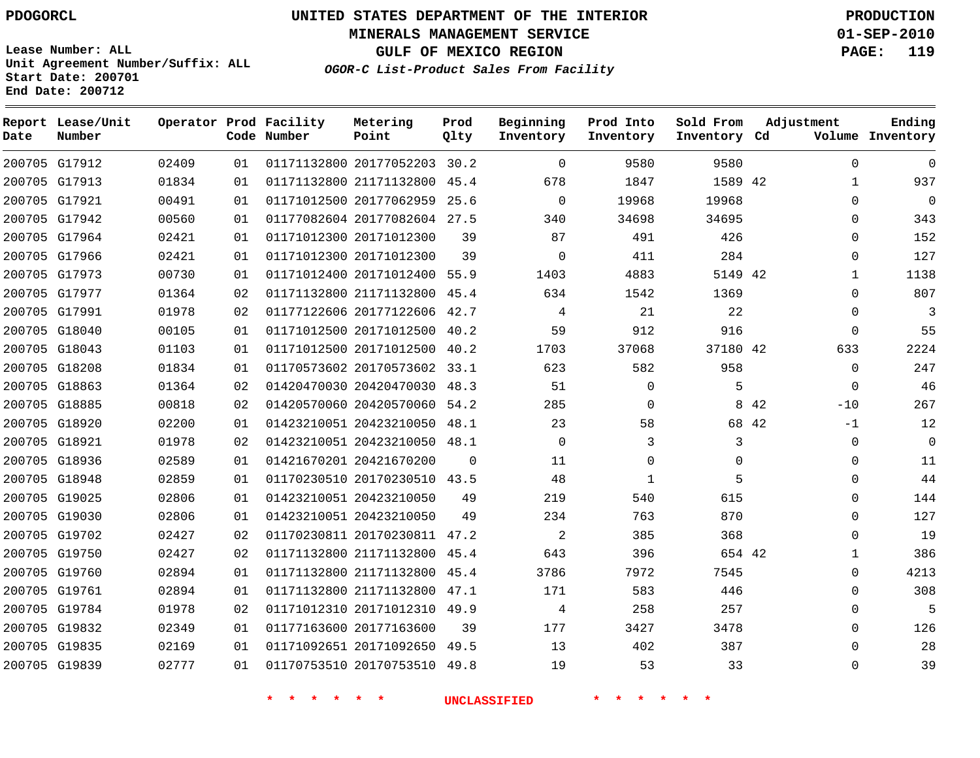**Start Date: 200701 End Date: 200712**

**Unit Agreement Number/Suffix: ALL**

# **UNITED STATES DEPARTMENT OF THE INTERIOR PDOGORCL PRODUCTION**

**MINERALS MANAGEMENT SERVICE 01-SEP-2010**

**GULF OF MEXICO REGION PAGE: 119**

**OGOR-C List-Product Sales From Facility**

| Date   | Report Lease/Unit<br>Number |       |    | Operator Prod Facility<br>Code Number | Metering<br>Point            | Prod<br>Qlty | Beginning<br>Inventory | Prod Into<br>Inventory | Sold From<br>Inventory Cd | Adjustment    | Ending<br>Volume Inventory |
|--------|-----------------------------|-------|----|---------------------------------------|------------------------------|--------------|------------------------|------------------------|---------------------------|---------------|----------------------------|
|        | 200705 G17912               | 02409 | 01 |                                       | 01171132800 20177052203 30.2 |              | $\Omega$               | 9580                   | 9580                      | $\Omega$      | $\Omega$                   |
|        | 200705 G17913               | 01834 | 01 |                                       | 01171132800 21171132800      | 45.4         | 678                    | 1847                   | 1589 42                   | 1             | 937                        |
|        | 200705 G17921               | 00491 | 01 |                                       | 01171012500 20177062959      | 25.6         | $\Omega$               | 19968                  | 19968                     | $\Omega$      | $\overline{0}$             |
|        | 200705 G17942               | 00560 | 01 |                                       | 01177082604 20177082604      | 27.5         | 340                    | 34698                  | 34695                     | $\Omega$      | 343                        |
|        | 200705 G17964               | 02421 | 01 |                                       | 01171012300 20171012300      | 39           | 87                     | 491                    | 426                       | $\Omega$      | 152                        |
|        | 200705 G17966               | 02421 | 01 |                                       | 01171012300 20171012300      | 39           | $\mathbf 0$            | 411                    | 284                       | $\Omega$      | 127                        |
|        | 200705 G17973               | 00730 | 01 |                                       | 01171012400 20171012400      | 55.9         | 1403                   | 4883                   | 5149 42                   | 1             | 1138                       |
|        | 200705 G17977               | 01364 | 02 |                                       | 01171132800 21171132800      | 45.4         | 634                    | 1542                   | 1369                      | $\Omega$      | 807                        |
| 200705 | G17991                      | 01978 | 02 |                                       | 01177122606 20177122606      | 42.7         | 4                      | 21                     | 22                        | $\Omega$      | 3                          |
|        | 200705 G18040               | 00105 | 01 |                                       | 01171012500 20171012500      | 40.2         | 59                     | 912                    | 916                       | $\Omega$      | 55                         |
| 200705 | G18043                      | 01103 | 01 |                                       | 01171012500 20171012500      | 40.2         | 1703                   | 37068                  | 37180 42                  | 633           | 2224                       |
|        | 200705 G18208               | 01834 | 01 |                                       | 01170573602 20170573602      | 33.1         | 623                    | 582                    | 958                       | $\Omega$      | 247                        |
|        | 200705 G18863               | 01364 | 02 |                                       | 01420470030 20420470030      | 48.3         | 51                     | $\Omega$               | 5                         | $\Omega$      | 46                         |
|        | 200705 G18885               | 00818 | 02 |                                       | 01420570060 20420570060      | 54.2         | 285                    | $\mathbf 0$            | 8                         | 42<br>$-10$   | 267                        |
|        | 200705 G18920               | 02200 | 01 |                                       | 01423210051 20423210050      | 48.1         | 23                     | 58                     |                           | 68 42<br>$-1$ | 12                         |
|        | 200705 G18921               | 01978 | 02 |                                       | 01423210051 20423210050      | 48.1         | $\mathbf 0$            | 3                      | 3                         | $\Omega$      | $\overline{0}$             |
|        | 200705 G18936               | 02589 | 01 |                                       | 01421670201 20421670200      | $\Omega$     | 11                     | $\Omega$               | $\Omega$                  | $\Omega$      | 11                         |
|        | 200705 G18948               | 02859 | 01 |                                       | 01170230510 20170230510 43.5 |              | 48                     | 1                      | 5                         | $\Omega$      | 44                         |
|        | 200705 G19025               | 02806 | 01 |                                       | 01423210051 20423210050      | 49           | 219                    | 540                    | 615                       | $\Omega$      | 144                        |
|        | 200705 G19030               | 02806 | 01 |                                       | 01423210051 20423210050      | 49           | 234                    | 763                    | 870                       | $\Omega$      | 127                        |
|        | 200705 G19702               | 02427 | 02 |                                       | 01170230811 20170230811      | 47.2         | $\overline{a}$         | 385                    | 368                       | $\Omega$      | 19                         |
|        | 200705 G19750               | 02427 | 02 |                                       | 01171132800 21171132800      | 45.4         | 643                    | 396                    | 654 42                    | 1             | 386                        |
| 200705 | G19760                      | 02894 | 01 |                                       | 01171132800 21171132800      | 45.4         | 3786                   | 7972                   | 7545                      | $\Omega$      | 4213                       |
|        | 200705 G19761               | 02894 | 01 |                                       | 01171132800 21171132800      | 47.1         | 171                    | 583                    | 446                       | $\Omega$      | 308                        |
|        | 200705 G19784               | 01978 | 02 |                                       | 01171012310 20171012310      | 49.9         | 4                      | 258                    | 257                       | $\Omega$      | 5                          |
|        | 200705 G19832               | 02349 | 01 |                                       | 01177163600 20177163600      | 39           | 177                    | 3427                   | 3478                      | $\Omega$      | 126                        |
|        | 200705 G19835               | 02169 | 01 |                                       | 01171092651 20171092650      | 49.5         | 13                     | 402                    | 387                       | $\Omega$      | 28                         |
|        | 200705 G19839               | 02777 | 01 |                                       | 01170753510 20170753510      | 49.8         | 19                     | 53                     | 33                        | $\Omega$      | 39                         |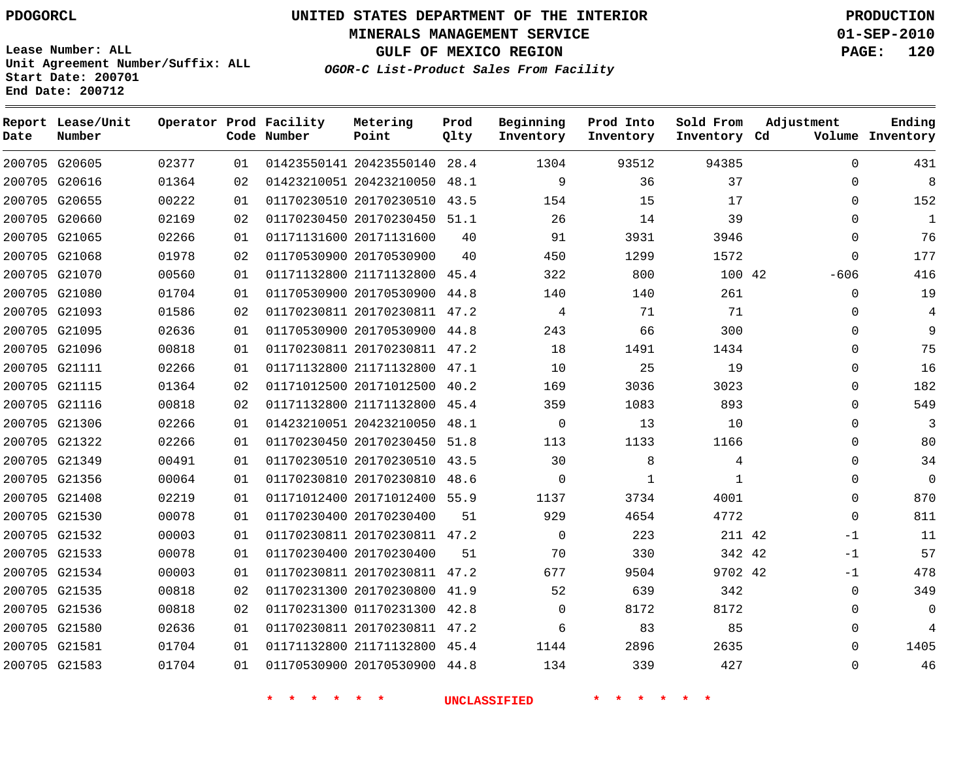**MINERALS MANAGEMENT SERVICE 01-SEP-2010**

**GULF OF MEXICO REGION PAGE: 120**

**Lease Number: ALL Unit Agreement Number/Suffix: ALL Start Date: 200701 End Date: 200712**

**OGOR-C List-Product Sales From Facility**

| Date | Report Lease/Unit<br>Number |       |    | Operator Prod Facility<br>Code Number | Metering<br>Point            | Prod<br>Qlty | Beginning<br>Inventory | Prod Into<br>Inventory | Sold From<br>Inventory Cd | Adjustment   | Ending<br>Volume Inventory |
|------|-----------------------------|-------|----|---------------------------------------|------------------------------|--------------|------------------------|------------------------|---------------------------|--------------|----------------------------|
|      | 200705 G20605               | 02377 | 01 |                                       | 01423550141 20423550140      | 28.4         | 1304                   | 93512                  | 94385                     | $\Omega$     | 431                        |
|      | 200705 G20616               | 01364 | 02 |                                       | 01423210051 20423210050      | 48.1         | 9                      | 36                     | 37                        | $\Omega$     | 8                          |
|      | 200705 G20655               | 00222 | 01 |                                       | 01170230510 20170230510      | 43.5         | 154                    | 15                     | 17                        | 0            | 152                        |
|      | 200705 G20660               | 02169 | 02 |                                       | 01170230450 20170230450 51.1 |              | 26                     | 14                     | 39                        | $\Omega$     | 1                          |
|      | 200705 G21065               | 02266 | 01 |                                       | 01171131600 20171131600      | 40           | 91                     | 3931                   | 3946                      | $\Omega$     | 76                         |
|      | 200705 G21068               | 01978 | 02 |                                       | 01170530900 20170530900      | 40           | 450                    | 1299                   | 1572                      | $\Omega$     | 177                        |
|      | 200705 G21070               | 00560 | 01 |                                       | 01171132800 21171132800      | 45.4         | 322                    | 800                    | 100 42                    | $-606$       | 416                        |
|      | 200705 G21080               | 01704 | 01 |                                       | 01170530900 20170530900      | 44.8         | 140                    | 140                    | 261                       | 0            | 19                         |
|      | 200705 G21093               | 01586 | 02 |                                       | 01170230811 20170230811      | 47.2         | 4                      | 71                     | 71                        | 0            | 4                          |
|      | 200705 G21095               | 02636 | 01 |                                       | 01170530900 20170530900      | 44.8         | 243                    | 66                     | 300                       | 0            | 9                          |
|      | 200705 G21096               | 00818 | 01 |                                       | 01170230811 20170230811      | 47.2         | 18                     | 1491                   | 1434                      | 0            | 75                         |
|      | 200705 G21111               | 02266 | 01 |                                       | 01171132800 21171132800      | 47.1         | 10                     | 25                     | 19                        | 0            | 16                         |
|      | 200705 G21115               | 01364 | 02 |                                       | 01171012500 20171012500      | 40.2         | 169                    | 3036                   | 3023                      | 0            | 182                        |
|      | 200705 G21116               | 00818 | 02 |                                       | 01171132800 21171132800      | 45.4         | 359                    | 1083                   | 893                       | 0            | 549                        |
|      | 200705 G21306               | 02266 | 01 |                                       | 01423210051 20423210050      | 48.1         | $\mathbf 0$            | 13                     | 10                        | 0            | 3                          |
|      | 200705 G21322               | 02266 | 01 |                                       | 01170230450 20170230450 51.8 |              | 113                    | 1133                   | 1166                      | 0            | 80                         |
|      | 200705 G21349               | 00491 | 01 |                                       | 01170230510 20170230510 43.5 |              | 30                     | 8                      | 4                         | 0            | 34                         |
|      | 200705 G21356               | 00064 | 01 |                                       | 01170230810 20170230810      | 48.6         | $\Omega$               | 1                      | $\mathbf{1}$              | 0            | 0                          |
|      | 200705 G21408               | 02219 | 01 |                                       | 01171012400 20171012400 55.9 |              | 1137                   | 3734                   | 4001                      | $\Omega$     | 870                        |
|      | 200705 G21530               | 00078 | 01 |                                       | 01170230400 20170230400      | 51           | 929                    | 4654                   | 4772                      | $\mathbf{0}$ | 811                        |
|      | 200705 G21532               | 00003 | 01 |                                       | 01170230811 20170230811 47.2 |              | 0                      | 223                    | 211 42                    | $-1$         | 11                         |
|      | 200705 G21533               | 00078 | 01 |                                       | 01170230400 20170230400      | 51           | 70                     | 330                    | 342 42                    | $-1$         | 57                         |
|      | 200705 G21534               | 00003 | 01 |                                       | 01170230811 20170230811 47.2 |              | 677                    | 9504                   | 9702 42                   | $-1$         | 478                        |
|      | 200705 G21535               | 00818 | 02 |                                       | 01170231300 20170230800      | 41.9         | 52                     | 639                    | 342                       | $\mathbf 0$  | 349                        |
|      | 200705 G21536               | 00818 | 02 |                                       | 01170231300 01170231300 42.8 |              | 0                      | 8172                   | 8172                      | 0            | 0                          |
|      | 200705 G21580               | 02636 | 01 |                                       | 01170230811 20170230811 47.2 |              | 6                      | 83                     | 85                        | 0            | 4                          |
|      | 200705 G21581               | 01704 | 01 |                                       | 01171132800 21171132800 45.4 |              | 1144                   | 2896                   | 2635                      | $\Omega$     | 1405                       |
|      | 200705 G21583               | 01704 | 01 |                                       | 01170530900 20170530900      | 44.8         | 134                    | 339                    | 427                       | $\Omega$     | 46                         |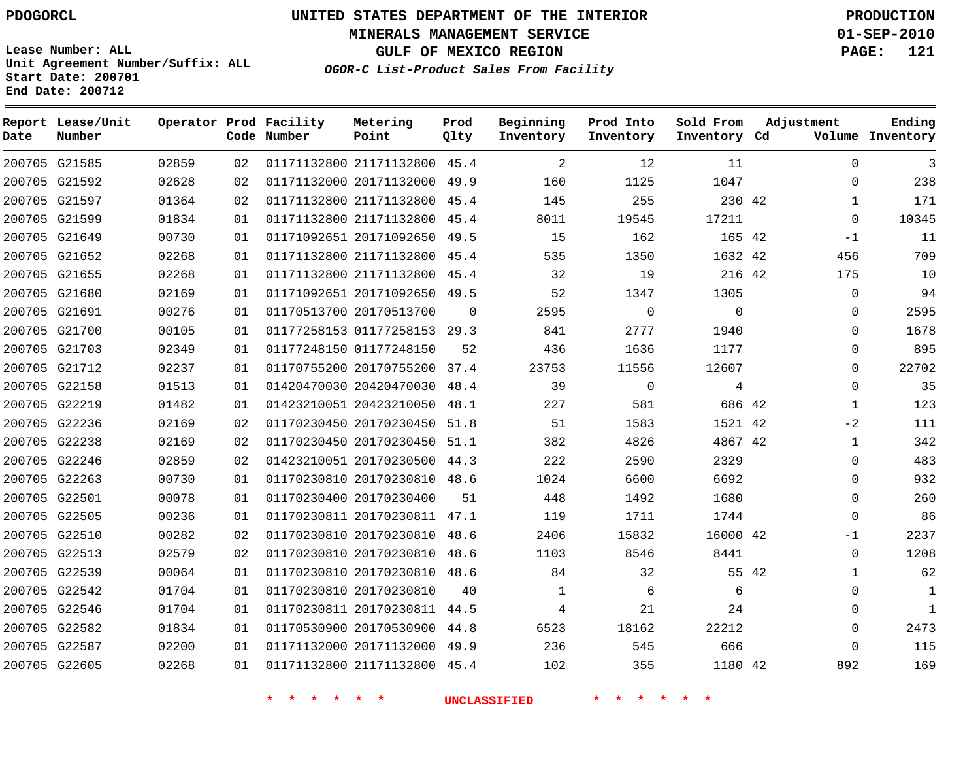**MINERALS MANAGEMENT SERVICE 01-SEP-2010**

**GULF OF MEXICO REGION PAGE: 121**

**Lease Number: ALL Unit Agreement Number/Suffix: ALL Start Date: 200701 End Date: 200712**

**OGOR-C List-Product Sales From Facility**

| Date | Report Lease/Unit<br>Number |       |    | Operator Prod Facility<br>Code Number | Metering<br>Point            | Prod<br>Qlty | Beginning<br>Inventory | Prod Into<br>Inventory | Sold From<br>Inventory Cd | Adjustment |              | Ending<br>Volume Inventory |
|------|-----------------------------|-------|----|---------------------------------------|------------------------------|--------------|------------------------|------------------------|---------------------------|------------|--------------|----------------------------|
|      | 200705 G21585               | 02859 | 02 |                                       | 01171132800 21171132800 45.4 |              | 2                      | 12                     | 11                        |            | $\mathbf 0$  | 3                          |
|      | 200705 G21592               | 02628 | 02 |                                       | 01171132000 20171132000 49.9 |              | 160                    | 1125                   | 1047                      |            | $\mathbf 0$  | 238                        |
|      | 200705 G21597               | 01364 | 02 |                                       | 01171132800 21171132800      | 45.4         | 145                    | 255                    | 230 42                    |            | $\mathbf{1}$ | 171                        |
|      | 200705 G21599               | 01834 | 01 |                                       | 01171132800 21171132800      | 45.4         | 8011                   | 19545                  | 17211                     |            | $\Omega$     | 10345                      |
|      | 200705 G21649               | 00730 | 01 |                                       | 01171092651 20171092650 49.5 |              | 15                     | 162                    | 165 42                    |            | $-1$         | 11                         |
|      | 200705 G21652               | 02268 | 01 |                                       | 01171132800 21171132800 45.4 |              | 535                    | 1350                   | 1632 42                   |            | 456          | 709                        |
|      | 200705 G21655               | 02268 | 01 |                                       | 01171132800 21171132800 45.4 |              | 32                     | 19                     | 216 42                    |            | 175          | 10                         |
|      | 200705 G21680               | 02169 | 01 |                                       | 01171092651 20171092650      | 49.5         | 52                     | 1347                   | 1305                      |            | $\mathbf 0$  | 94                         |
|      | 200705 G21691               | 00276 | 01 |                                       | 01170513700 20170513700      | 0            | 2595                   | 0                      | $\mathbf{0}$              |            | 0            | 2595                       |
|      | 200705 G21700               | 00105 | 01 |                                       | 01177258153 01177258153 29.3 |              | 841                    | 2777                   | 1940                      |            | $\mathbf 0$  | 1678                       |
|      | 200705 G21703               | 02349 | 01 |                                       | 01177248150 01177248150      | 52           | 436                    | 1636                   | 1177                      |            | $\mathbf 0$  | 895                        |
|      | 200705 G21712               | 02237 | 01 |                                       | 01170755200 20170755200      | 37.4         | 23753                  | 11556                  | 12607                     |            | $\mathbf 0$  | 22702                      |
|      | 200705 G22158               | 01513 | 01 |                                       | 01420470030 20420470030 48.4 |              | 39                     | $\mathbf 0$            | 4                         |            | $\Omega$     | 35                         |
|      | 200705 G22219               | 01482 | 01 |                                       | 01423210051 20423210050      | 48.1         | 227                    | 581                    | 686 42                    |            | $\mathbf{1}$ | 123                        |
|      | 200705 G22236               | 02169 | 02 |                                       | 01170230450 20170230450 51.8 |              | 51                     | 1583                   | 1521 42                   |            | $-2$         | 111                        |
|      | 200705 G22238               | 02169 | 02 |                                       | 01170230450 20170230450 51.1 |              | 382                    | 4826                   | 4867 42                   |            | $\mathbf{1}$ | 342                        |
|      | 200705 G22246               | 02859 | 02 |                                       | 01423210051 20170230500 44.3 |              | 222                    | 2590                   | 2329                      |            | $\Omega$     | 483                        |
|      | 200705 G22263               | 00730 | 01 |                                       | 01170230810 20170230810 48.6 |              | 1024                   | 6600                   | 6692                      |            | $\Omega$     | 932                        |
|      | 200705 G22501               | 00078 | 01 |                                       | 01170230400 20170230400      | 51           | 448                    | 1492                   | 1680                      |            | $\mathbf 0$  | 260                        |
|      | 200705 G22505               | 00236 | 01 |                                       | 01170230811 20170230811 47.1 |              | 119                    | 1711                   | 1744                      |            | $\mathbf 0$  | 86                         |
|      | 200705 G22510               | 00282 | 02 |                                       | 01170230810 20170230810 48.6 |              | 2406                   | 15832                  | 16000 42                  |            | -1           | 2237                       |
|      | 200705 G22513               | 02579 | 02 |                                       | 01170230810 20170230810 48.6 |              | 1103                   | 8546                   | 8441                      |            | $\mathbf 0$  | 1208                       |
|      | 200705 G22539               | 00064 | 01 |                                       | 01170230810 20170230810 48.6 |              | 84                     | 32                     |                           | 55 42      | 1            | 62                         |
|      | 200705 G22542               | 01704 | 01 |                                       | 01170230810 20170230810      | 40           | $\mathbf 1$            | 6                      | 6                         |            | $\mathbf 0$  | 1                          |
|      | 200705 G22546               | 01704 | 01 |                                       | 01170230811 20170230811 44.5 |              | 4                      | 21                     | 24                        |            | $\Omega$     | $\mathbf{1}$               |
|      | 200705 G22582               | 01834 | 01 |                                       | 01170530900 20170530900      | 44.8         | 6523                   | 18162                  | 22212                     |            | $\mathbf 0$  | 2473                       |
|      | 200705 G22587               | 02200 | 01 |                                       | 01171132000 20171132000 49.9 |              | 236                    | 545                    | 666                       |            | $\Omega$     | 115                        |
|      | 200705 G22605               | 02268 | 01 |                                       | 01171132800 21171132800 45.4 |              | 102                    | 355                    | 1180 42                   |            | 892          | 169                        |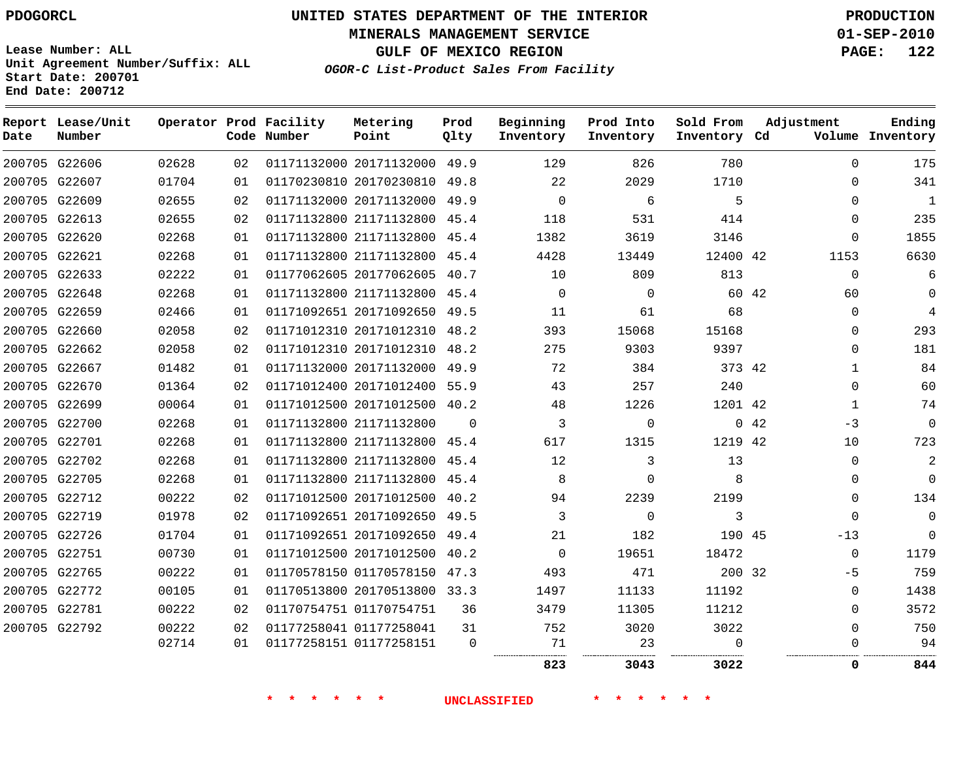**Start Date: 200701 End Date: 200712**

**Unit Agreement Number/Suffix: ALL**

# **UNITED STATES DEPARTMENT OF THE INTERIOR PDOGORCL PRODUCTION**

**MINERALS MANAGEMENT SERVICE 01-SEP-2010**

**GULF OF MEXICO REGION PAGE: 122**

**OGOR-C List-Product Sales From Facility**

| Date | Report Lease/Unit<br>Number |       |    | Operator Prod Facility<br>Code Number | Metering<br>Point            | Prod<br>Qlty | Beginning<br>Inventory | Prod Into<br>Inventory | Sold From<br>Inventory Cd | Adjustment   | Ending<br>Volume Inventory |
|------|-----------------------------|-------|----|---------------------------------------|------------------------------|--------------|------------------------|------------------------|---------------------------|--------------|----------------------------|
|      | 200705 G22606               | 02628 | 02 |                                       | 01171132000 20171132000 49.9 |              | 129                    | 826                    | 780                       | $\Omega$     | 175                        |
|      | 200705 G22607               | 01704 | 01 |                                       | 01170230810 20170230810      | 49.8         | 22                     | 2029                   | 1710                      | $\Omega$     | 341                        |
|      | 200705 G22609               | 02655 | 02 |                                       | 01171132000 20171132000      | 49.9         | $\Omega$               | 6                      | 5                         | $\Omega$     | 1                          |
|      | 200705 G22613               | 02655 | 02 |                                       | 01171132800 21171132800      | 45.4         | 118                    | 531                    | 414                       | 0            | 235                        |
|      | 200705 G22620               | 02268 | 01 |                                       | 01171132800 21171132800 45.4 |              | 1382                   | 3619                   | 3146                      | $\Omega$     | 1855                       |
|      | 200705 G22621               | 02268 | 01 |                                       | 01171132800 21171132800      | 45.4         | 4428                   | 13449                  | 12400 42                  | 1153         | 6630                       |
|      | 200705 G22633               | 02222 | 01 |                                       | 01177062605 20177062605      | 40.7         | 10                     | 809                    | 813                       | $\mathbf 0$  | 6                          |
|      | 200705 G22648               | 02268 | 01 |                                       | 01171132800 21171132800      | 45.4         | $\Omega$               | $\Omega$               |                           | 60 42<br>60  | $\Omega$                   |
|      | 200705 G22659               | 02466 | 01 |                                       | 01171092651 20171092650      | 49.5         | 11                     | 61                     | 68                        | $\mathbf 0$  | 4                          |
|      | 200705 G22660               | 02058 | 02 |                                       | 01171012310 20171012310 48.2 |              | 393                    | 15068                  | 15168                     | $\Omega$     | 293                        |
|      | 200705 G22662               | 02058 | 02 |                                       | 01171012310 20171012310      | 48.2         | 275                    | 9303                   | 9397                      | $\Omega$     | 181                        |
|      | 200705 G22667               | 01482 | 01 |                                       | 01171132000 20171132000 49.9 |              | 72                     | 384                    | 373 42                    | 1            | 84                         |
|      | 200705 G22670               | 01364 | 02 |                                       | 01171012400 20171012400 55.9 |              | 43                     | 257                    | 240                       | $\mathbf{0}$ | 60                         |
|      | 200705 G22699               | 00064 | 01 |                                       | 01171012500 20171012500 40.2 |              | 48                     | 1226                   | 1201 42                   | $\mathbf{1}$ | 74                         |
|      | 200705 G22700               | 02268 | 01 |                                       | 01171132800 21171132800      | $\Omega$     | 3                      | $\mathbf 0$            |                           | 042<br>$-3$  | $\mathbf 0$                |
|      | 200705 G22701               | 02268 | 01 |                                       | 01171132800 21171132800 45.4 |              | 617                    | 1315                   | 1219 42                   | 10           | 723                        |
|      | 200705 G22702               | 02268 | 01 |                                       | 01171132800 21171132800      | 45.4         | 12                     | 3                      | 13                        | $\Omega$     | 2                          |
|      | 200705 G22705               | 02268 | 01 |                                       | 01171132800 21171132800 45.4 |              | 8                      | $\Omega$               | 8                         | $\mathbf 0$  | $\Omega$                   |
|      | 200705 G22712               | 00222 | 02 |                                       | 01171012500 20171012500      | 40.2         | 94                     | 2239                   | 2199                      | $\Omega$     | 134                        |
|      | 200705 G22719               | 01978 | 02 |                                       | 01171092651 20171092650      | 49.5         | 3                      | $\Omega$               | 3                         | $\Omega$     | $\Omega$                   |
|      | 200705 G22726               | 01704 | 01 |                                       | 01171092651 20171092650      | 49.4         | 21                     | 182                    | 190 45                    | $-13$        | $\Omega$                   |
|      | 200705 G22751               | 00730 | 01 |                                       | 01171012500 20171012500      | 40.2         | $\Omega$               | 19651                  | 18472                     | $\Omega$     | 1179                       |
|      | 200705 G22765               | 00222 | 01 |                                       | 01170578150 01170578150      | 47.3         | 493                    | 471                    | 200 32                    | $-5$         | 759                        |
|      | 200705 G22772               | 00105 | 01 |                                       | 01170513800 20170513800      | 33.3         | 1497                   | 11133                  | 11192                     | $\Omega$     | 1438                       |
|      | 200705 G22781               | 00222 | 02 |                                       | 01170754751 01170754751      | 36           | 3479                   | 11305                  | 11212                     | 0            | 3572                       |
|      | 200705 G22792               | 00222 | 02 |                                       | 01177258041 01177258041      | 31           | 752                    | 3020                   | 3022                      | $\Omega$     | 750                        |
|      |                             | 02714 | 01 |                                       | 01177258151 01177258151      | $\Omega$     | 71<br>                 | 23                     | $\Omega$                  | $\Omega$     | 94                         |
|      |                             |       |    |                                       |                              |              | 823                    | 3043                   | 3022                      | $\Omega$     | 844                        |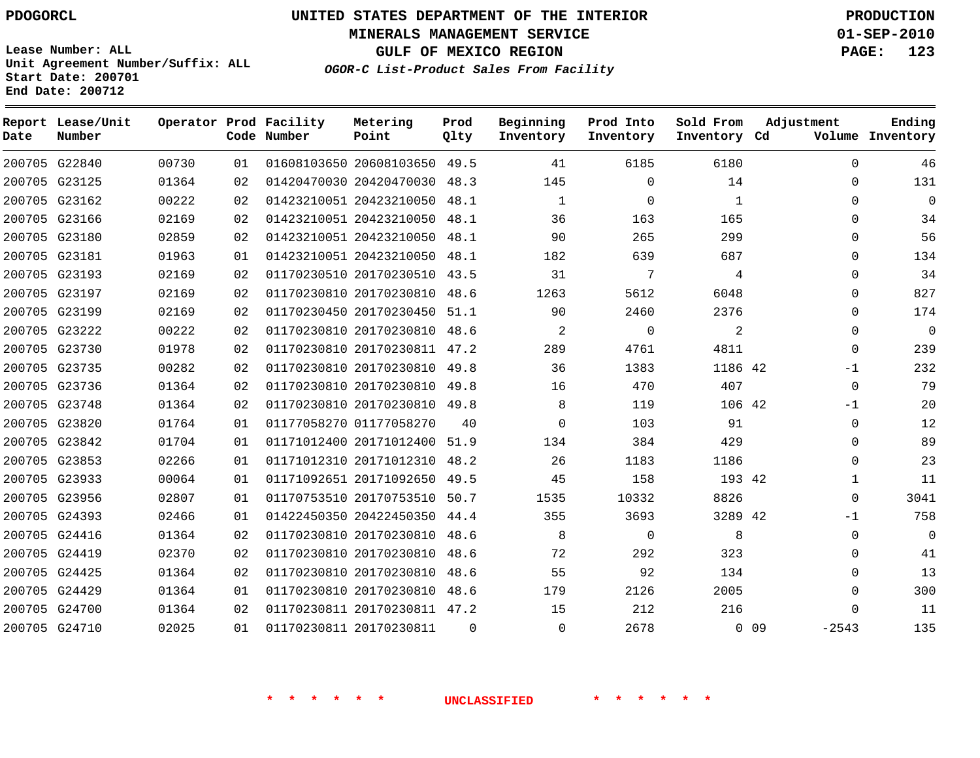**End Date: 200712**

# **UNITED STATES DEPARTMENT OF THE INTERIOR PDOGORCL PRODUCTION**

**MINERALS MANAGEMENT SERVICE 01-SEP-2010**

**OGOR-C List-Product Sales From Facility Lease Number: ALL Unit Agreement Number/Suffix: ALL Start Date: 200701**

**GULF OF MEXICO REGION PAGE: 123**

| Ending<br>Volume Inventory | Adjustment                 |                | Sold From<br>Inventory Cd | Prod Into<br>Inventory | Beginning<br>Inventory | Prod<br>Qlty | Metering<br>Point            | Operator Prod Facility<br>Code Number |    |       | Report Lease/Unit<br>Number | Date |
|----------------------------|----------------------------|----------------|---------------------------|------------------------|------------------------|--------------|------------------------------|---------------------------------------|----|-------|-----------------------------|------|
| 46                         | $\mathbf 0$                | 6180           |                           | 6185                   | 41                     | 49.5         | 01608103650 20608103650      |                                       | 01 | 00730 | 200705 G22840               |      |
| 131                        | $\mathbf 0$                | 14             |                           | $\Omega$               | 145                    | 48.3         | 01420470030 20420470030      |                                       | 02 | 01364 | 200705 G23125               |      |
| $\Omega$                   | $\mathbf 0$                | 1              |                           | $\Omega$               | $\mathbf{1}$           | 48.1         | 01423210051 20423210050      |                                       | 02 | 00222 | 200705 G23162               |      |
| 34                         | $\Omega$                   | 165            |                           | 163                    | 36                     | 48.1         | 01423210051 20423210050      |                                       | 02 | 02169 | 200705 G23166               |      |
| 56                         | $\mathbf 0$                | 299            |                           | 265                    | 90                     | 48.1         | 01423210051 20423210050      |                                       | 02 | 02859 | 200705 G23180               |      |
| 134                        | $\mathbf 0$                | 687            |                           | 639                    | 182                    | 48.1         | 01423210051 20423210050      |                                       | 01 | 01963 | 200705 G23181               |      |
| 34                         | $\Omega$                   | $\overline{4}$ |                           | 7                      | 31                     | 43.5         | 01170230510 20170230510      |                                       | 02 | 02169 | 200705 G23193               |      |
| 827                        | $\Omega$                   | 6048           |                           | 5612                   | 1263                   | 48.6         | 01170230810 20170230810      |                                       | 02 | 02169 | 200705 G23197               |      |
| 174                        | $\mathbf 0$                | 2376           |                           | 2460                   | 90                     | 51.1         | 01170230450 20170230450      |                                       | 02 | 02169 | 200705 G23199               |      |
| $\overline{0}$             | $\mathbf 0$                | $\overline{a}$ |                           | $\mathbf 0$            | 2                      | 48.6         | 01170230810 20170230810      |                                       | 02 | 00222 | 200705 G23222               |      |
| 239                        | $\mathbf 0$                | 4811           |                           | 4761                   | 289                    | 47.2         | 01170230810 20170230811      |                                       | 02 | 01978 | 200705 G23730               |      |
| 232                        | $-1$                       | 1186 42        |                           | 1383                   | 36                     | 49.8         | 01170230810 20170230810      |                                       | 02 | 00282 | 200705 G23735               |      |
| 79                         | $\mathbf 0$                | 407            |                           | 470                    | 16                     | 49.8         | 01170230810 20170230810      |                                       | 02 | 01364 | 200705 G23736               |      |
| 20                         | -1                         | 106 42         |                           | 119                    | 8                      |              | 01170230810 20170230810 49.8 |                                       | 02 | 01364 | 200705 G23748               |      |
| 12                         | $\mathbf 0$                | 91             |                           | 103                    | $\Omega$               | 40           | 01177058270 01177058270      |                                       | 01 | 01764 | 200705 G23820               |      |
| 89                         | $\mathbf 0$                | 429            |                           | 384                    | 134                    | 51.9         | 01171012400 20171012400      |                                       | 01 | 01704 | 200705 G23842               |      |
| 23                         | $\mathbf 0$                | 1186           |                           | 1183                   | 26                     | 48.2         | 01171012310 20171012310      |                                       | 01 | 02266 | 200705 G23853               |      |
| 11                         | $\mathbf{1}$               | 193 42         |                           | 158                    | 45                     | 49.5         | 01171092651 20171092650      |                                       | 01 | 00064 | 200705 G23933               |      |
| 3041                       | $\mathbf 0$                | 8826           |                           | 10332                  | 1535                   | 50.7         | 01170753510 20170753510      |                                       | 01 | 02807 | 200705 G23956               |      |
| 758                        | $-1$                       | 3289 42        |                           | 3693                   | 355                    | 44.4         | 01422450350 20422450350      |                                       | 01 | 02466 | 200705 G24393               |      |
| $\Omega$                   | $\mathbf 0$                | 8              |                           | $\mathbf 0$            | 8                      | 48.6         | 01170230810 20170230810      |                                       | 02 | 01364 | 200705 G24416               |      |
| 41                         | $\Omega$                   | 323            |                           | 292                    | 72                     | 48.6         | 01170230810 20170230810      |                                       | 02 | 02370 | 200705 G24419               |      |
| 13                         | $\mathbf 0$                | 134            |                           | 92                     | 55                     | 48.6         | 01170230810 20170230810      |                                       | 02 | 01364 | 200705 G24425               |      |
| 300                        | $\mathbf 0$                | 2005           |                           | 2126                   | 179                    | 48.6         | 01170230810 20170230810      |                                       | 01 | 01364 | 200705 G24429               |      |
| 11                         | $\Omega$                   | 216            |                           | 212                    | 15                     |              | 01170230811 20170230811 47.2 |                                       | 02 | 01364 | 200705 G24700               |      |
| 135                        | 0 <sub>09</sub><br>$-2543$ |                |                           | 2678                   | $\mathbf{0}$           | $\Omega$     | 01170230811 20170230811      |                                       | 01 | 02025 | 200705 G24710               |      |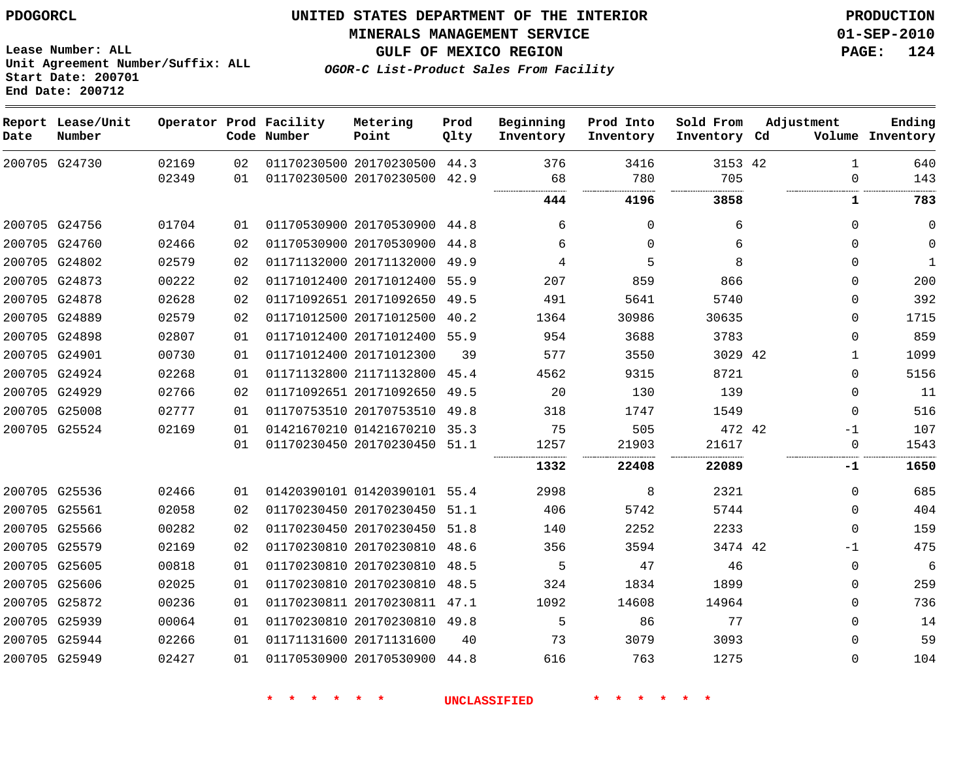**MINERALS MANAGEMENT SERVICE 01-SEP-2010**

**GULF OF MEXICO REGION PAGE: 124**

**OGOR-C List-Product Sales From Facility**

|      | <b>ENG DECE.</b> ZUVILZ     |       |    |                                       |                              |              |                        |                        |                           |              |                            |
|------|-----------------------------|-------|----|---------------------------------------|------------------------------|--------------|------------------------|------------------------|---------------------------|--------------|----------------------------|
| Date | Report Lease/Unit<br>Number |       |    | Operator Prod Facility<br>Code Number | Metering<br>Point            | Prod<br>Qlty | Beginning<br>Inventory | Prod Into<br>Inventory | Sold From<br>Inventory Cd | Adjustment   | Ending<br>Volume Inventory |
|      | 200705 G24730               | 02169 | 02 |                                       | 01170230500 20170230500 44.3 |              | 376                    | 3416                   | 3153 42                   | 1            | 640                        |
|      |                             | 02349 | 01 |                                       | 01170230500 20170230500 42.9 |              | 68<br>                 | 780<br>                | 705<br>                   | 0            | 143                        |
|      |                             |       |    |                                       |                              |              | 444                    | 4196                   | 3858                      | 1            | 783                        |
|      | 200705 G24756               | 01704 | 01 |                                       | 01170530900 20170530900 44.8 |              | 6                      | $\Omega$               | 6                         | $\Omega$     | $\mathbf 0$                |
|      | 200705 G24760               | 02466 | 02 |                                       | 01170530900 20170530900 44.8 |              | 6                      | $\Omega$               | 6                         | $\Omega$     | $\mathbf 0$                |
|      | 200705 G24802               | 02579 | 02 |                                       | 01171132000 20171132000 49.9 |              | 4                      | 5                      | 8                         | $\Omega$     | 1                          |
|      | 200705 G24873               | 00222 | 02 |                                       | 01171012400 20171012400 55.9 |              | 207                    | 859                    | 866                       | $\Omega$     | 200                        |
|      | 200705 G24878               | 02628 | 02 |                                       | 01171092651 20171092650 49.5 |              | 491                    | 5641                   | 5740                      | $\Omega$     | 392                        |
|      | 200705 G24889               | 02579 | 02 |                                       | 01171012500 20171012500 40.2 |              | 1364                   | 30986                  | 30635                     | $\Omega$     | 1715                       |
|      | 200705 G24898               | 02807 | 01 |                                       | 01171012400 20171012400 55.9 |              | 954                    | 3688                   | 3783                      | $\Omega$     | 859                        |
|      | 200705 G24901               | 00730 | 01 |                                       | 01171012400 20171012300      | 39           | 577                    | 3550                   | 3029 42                   | $\mathbf{1}$ | 1099                       |
|      | 200705 G24924               | 02268 | 01 |                                       | 01171132800 21171132800 45.4 |              | 4562                   | 9315                   | 8721                      | $\Omega$     | 5156                       |
|      | 200705 G24929               | 02766 | 02 |                                       | 01171092651 20171092650 49.5 |              | 20                     | 130                    | 139                       | $\Omega$     | 11                         |
|      | 200705 G25008               | 02777 | 01 |                                       | 01170753510 20170753510 49.8 |              | 318                    | 1747                   | 1549                      | $\Omega$     | 516                        |
|      | 200705 G25524               | 02169 | 01 |                                       | 01421670210 01421670210 35.3 |              | 75                     | 505                    | 472 42                    | $-1$         | 107                        |
|      |                             |       | 01 |                                       | 01170230450 20170230450 51.1 |              | 1257                   | 21903                  | 21617                     | $\Omega$     | 1543                       |
|      |                             |       |    |                                       |                              |              | 1332                   | 22408                  | 22089                     | -1           | 1650                       |
|      | 200705 G25536               | 02466 | 01 |                                       | 01420390101 01420390101 55.4 |              | 2998                   | 8                      | 2321                      | $\Omega$     | 685                        |
|      | 200705 G25561               | 02058 | 02 |                                       | 01170230450 20170230450 51.1 |              | 406                    | 5742                   | 5744                      | $\Omega$     | 404                        |
|      | 200705 G25566               | 00282 | 02 |                                       | 01170230450 20170230450 51.8 |              | 140                    | 2252                   | 2233                      | $\Omega$     | 159                        |
|      | 200705 G25579               | 02169 | 02 |                                       | 01170230810 20170230810 48.6 |              | 356                    | 3594                   | 3474 42                   | $-1$         | 475                        |
|      | 200705 G25605               | 00818 | 01 |                                       | 01170230810 20170230810 48.5 |              | 5                      | 47                     | 46                        | $\mathbf 0$  | 6                          |
|      | 200705 G25606               | 02025 | 01 |                                       | 01170230810 20170230810 48.5 |              | 324                    | 1834                   | 1899                      | $\Omega$     | 259                        |
|      | 200705 G25872               | 00236 | 01 |                                       | 01170230811 20170230811 47.1 |              | 1092                   | 14608                  | 14964                     | $\Omega$     | 736                        |
|      | 200705 G25939               | 00064 | 01 |                                       | 01170230810 20170230810 49.8 |              | 5                      | 86                     | 77                        | $\Omega$     | 14                         |
|      | 200705 G25944               | 02266 | 01 |                                       | 01171131600 20171131600      | 40           | 73                     | 3079                   | 3093                      | $\Omega$     | 59                         |
|      | 200705 G25949               | 02427 | 01 |                                       | 01170530900 20170530900 44.8 |              | 616                    | 763                    | 1275                      | $\Omega$     | 104                        |

**Lease Number: ALL Unit Agreement Number/Suffix: ALL Start Date: 200701 End Date: 200712**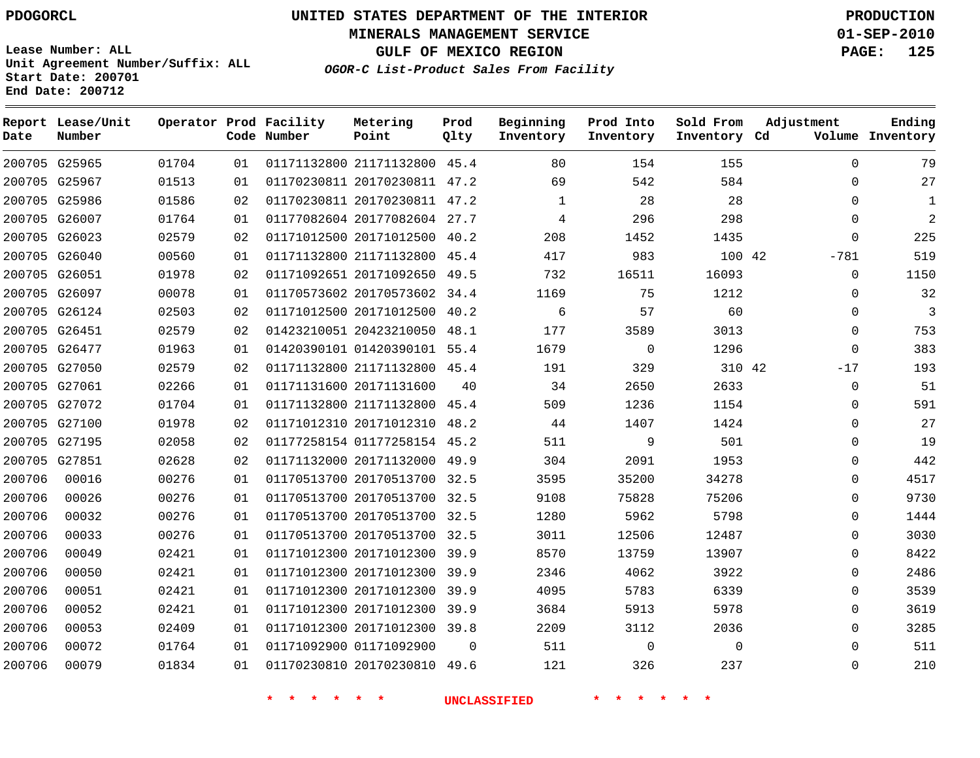**MINERALS MANAGEMENT SERVICE 01-SEP-2010**

**GULF OF MEXICO REGION PAGE: 125**

**Lease Number: ALL Unit Agreement Number/Suffix: ALL Start Date: 200701 End Date: 200712**

**OGOR-C List-Product Sales From Facility**

| Date   | Report Lease/Unit<br>Number |       |    | Operator Prod Facility<br>Code Number | Metering<br>Point            | Prod<br>Qlty | Beginning<br>Inventory | Prod Into<br>Inventory | Sold From<br>Inventory Cd | Adjustment  | Ending<br>Volume Inventory |
|--------|-----------------------------|-------|----|---------------------------------------|------------------------------|--------------|------------------------|------------------------|---------------------------|-------------|----------------------------|
|        | 200705 G25965               | 01704 | 01 |                                       | 01171132800 21171132800 45.4 |              | 80                     | 154                    | 155                       | $\mathbf 0$ | 79                         |
|        | 200705 G25967               | 01513 | 01 |                                       | 01170230811 20170230811 47.2 |              | 69                     | 542                    | 584                       | $\Omega$    | 27                         |
|        | 200705 G25986               | 01586 | 02 |                                       | 01170230811 20170230811 47.2 |              | $\mathbf{1}$           | 28                     | 28                        | $\Omega$    | 1                          |
|        | 200705 G26007               | 01764 | 01 |                                       | 01177082604 20177082604 27.7 |              | 4                      | 296                    | 298                       | $\Omega$    | 2                          |
|        | 200705 G26023               | 02579 | 02 |                                       | 01171012500 20171012500 40.2 |              | 208                    | 1452                   | 1435                      | $\Omega$    | 225                        |
|        | 200705 G26040               | 00560 | 01 |                                       | 01171132800 21171132800 45.4 |              | 417                    | 983                    | 100 42                    | $-781$      | 519                        |
|        | 200705 G26051               | 01978 | 02 |                                       | 01171092651 20171092650 49.5 |              | 732                    | 16511                  | 16093                     | $\Omega$    | 1150                       |
|        | 200705 G26097               | 00078 | 01 |                                       | 01170573602 20170573602 34.4 |              | 1169                   | 75                     | 1212                      | $\Omega$    | 32                         |
|        | 200705 G26124               | 02503 | 02 |                                       | 01171012500 20171012500 40.2 |              | 6                      | 57                     | 60                        | $\Omega$    | 3                          |
|        | 200705 G26451               | 02579 | 02 |                                       | 01423210051 20423210050 48.1 |              | 177                    | 3589                   | 3013                      | $\Omega$    | 753                        |
|        | 200705 G26477               | 01963 | 01 |                                       | 01420390101 01420390101 55.4 |              | 1679                   | $\mathbf 0$            | 1296                      | $\mathbf 0$ | 383                        |
|        | 200705 G27050               | 02579 | 02 |                                       | 01171132800 21171132800 45.4 |              | 191                    | 329                    | 310 42                    | $-17$       | 193                        |
|        | 200705 G27061               | 02266 | 01 |                                       | 01171131600 20171131600      | 40           | 34                     | 2650                   | 2633                      | $\Omega$    | 51                         |
|        | 200705 G27072               | 01704 | 01 |                                       | 01171132800 21171132800      | 45.4         | 509                    | 1236                   | 1154                      | 0           | 591                        |
|        | 200705 G27100               | 01978 | 02 |                                       | 01171012310 20171012310 48.2 |              | 44                     | 1407                   | 1424                      | $\Omega$    | 27                         |
|        | 200705 G27195               | 02058 | 02 |                                       | 01177258154 01177258154 45.2 |              | 511                    | 9                      | 501                       | $\Omega$    | 19                         |
|        | 200705 G27851               | 02628 | 02 |                                       | 01171132000 20171132000 49.9 |              | 304                    | 2091                   | 1953                      | $\Omega$    | 442                        |
| 200706 | 00016                       | 00276 | 01 |                                       | 01170513700 20170513700 32.5 |              | 3595                   | 35200                  | 34278                     | 0           | 4517                       |
| 200706 | 00026                       | 00276 | 01 |                                       | 01170513700 20170513700 32.5 |              | 9108                   | 75828                  | 75206                     | $\Omega$    | 9730                       |
| 200706 | 00032                       | 00276 | 01 |                                       | 01170513700 20170513700 32.5 |              | 1280                   | 5962                   | 5798                      | 0           | 1444                       |
| 200706 | 00033                       | 00276 | 01 |                                       | 01170513700 20170513700 32.5 |              | 3011                   | 12506                  | 12487                     | $\Omega$    | 3030                       |
| 200706 | 00049                       | 02421 | 01 |                                       | 01171012300 20171012300      | 39.9         | 8570                   | 13759                  | 13907                     | $\Omega$    | 8422                       |
| 200706 | 00050                       | 02421 | 01 |                                       | 01171012300 20171012300 39.9 |              | 2346                   | 4062                   | 3922                      | 0           | 2486                       |
| 200706 | 00051                       | 02421 | 01 |                                       | 01171012300 20171012300      | 39.9         | 4095                   | 5783                   | 6339                      | $\mathbf 0$ | 3539                       |
| 200706 | 00052                       | 02421 | 01 |                                       | 01171012300 20171012300 39.9 |              | 3684                   | 5913                   | 5978                      | $\Omega$    | 3619                       |
| 200706 | 00053                       | 02409 | 01 |                                       | 01171012300 20171012300 39.8 |              | 2209                   | 3112                   | 2036                      | 0           | 3285                       |
| 200706 | 00072                       | 01764 | 01 |                                       | 01171092900 01171092900      | $\Omega$     | 511                    | $\mathbf 0$            | $\Omega$                  | $\Omega$    | 511                        |
| 200706 | 00079                       | 01834 | 01 |                                       | 01170230810 20170230810 49.6 |              | 121                    | 326                    | 237                       | $\Omega$    | 210                        |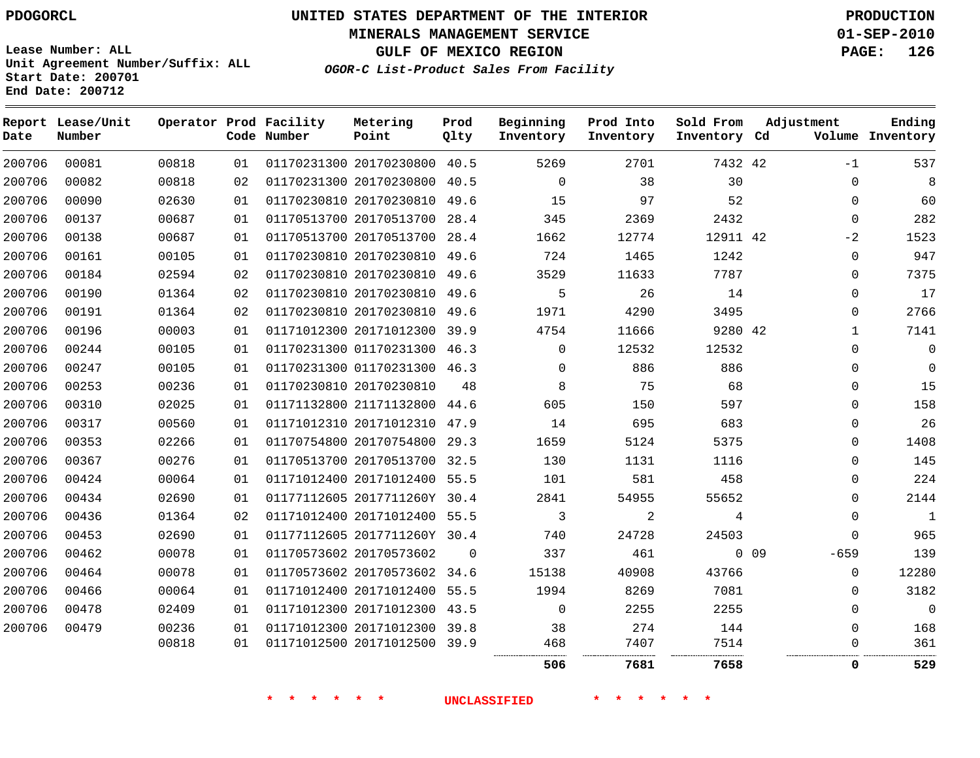**Start Date: 200701 End Date: 200712**

# **UNITED STATES DEPARTMENT OF THE INTERIOR PDOGORCL PRODUCTION**

**MINERALS MANAGEMENT SERVICE 01-SEP-2010**

**GULF OF MEXICO REGION PAGE: 126**

**OGOR-C List-Product Sales From Facility Unit Agreement Number/Suffix: ALL**

| Date   | Report Lease/Unit<br>Number |       |    | Operator Prod Facility<br>Code Number | Metering<br>Point            | Prod<br>Qlty | Beginning<br>Inventory | Prod Into<br>Inventory | Sold From<br>Inventory Cd | Adjustment   | Ending<br>Volume Inventory |
|--------|-----------------------------|-------|----|---------------------------------------|------------------------------|--------------|------------------------|------------------------|---------------------------|--------------|----------------------------|
| 200706 | 00081                       | 00818 | 01 |                                       | 01170231300 20170230800      | 40.5         | 5269                   | 2701                   | 7432 42                   | $-1$         | 537                        |
| 200706 | 00082                       | 00818 | 02 |                                       | 01170231300 20170230800      | 40.5         | $\mathbf 0$            | 38                     | 30                        | $\mathbf 0$  | 8                          |
| 200706 | 00090                       | 02630 | 01 |                                       | 01170230810 20170230810      | 49.6         | 15                     | 97                     | 52                        | $\Omega$     | 60                         |
| 200706 | 00137                       | 00687 | 01 |                                       | 01170513700 20170513700      | 28.4         | 345                    | 2369                   | 2432                      | $\Omega$     | 282                        |
| 200706 | 00138                       | 00687 | 01 |                                       | 01170513700 20170513700      | 28.4         | 1662                   | 12774                  | 12911 42                  | $-2$         | 1523                       |
| 200706 | 00161                       | 00105 | 01 |                                       | 01170230810 20170230810      | 49.6         | 724                    | 1465                   | 1242                      | $\mathbf{0}$ | 947                        |
| 200706 | 00184                       | 02594 | 02 |                                       | 01170230810 20170230810 49.6 |              | 3529                   | 11633                  | 7787                      | $\Omega$     | 7375                       |
| 200706 | 00190                       | 01364 | 02 |                                       | 01170230810 20170230810      | 49.6         | 5                      | 26                     | 14                        | $\Omega$     | 17                         |
| 200706 | 00191                       | 01364 | 02 |                                       | 01170230810 20170230810 49.6 |              | 1971                   | 4290                   | 3495                      | $\Omega$     | 2766                       |
| 200706 | 00196                       | 00003 | 01 |                                       | 01171012300 20171012300      | 39.9         | 4754                   | 11666                  | 9280 42                   | $\mathbf{1}$ | 7141                       |
| 200706 | 00244                       | 00105 | 01 |                                       | 01170231300 01170231300      | 46.3         | $\mathbf 0$            | 12532                  | 12532                     | $\Omega$     | $\mathbf 0$                |
| 200706 | 00247                       | 00105 | 01 |                                       | 01170231300 01170231300      | 46.3         | $\mathbf 0$            | 886                    | 886                       | $\Omega$     | $\overline{0}$             |
| 200706 | 00253                       | 00236 | 01 |                                       | 01170230810 20170230810      | 48           | 8                      | 75                     | 68                        | $\mathbf{0}$ | 15                         |
| 200706 | 00310                       | 02025 | 01 |                                       | 01171132800 21171132800      | 44.6         | 605                    | 150                    | 597                       | $\Omega$     | 158                        |
| 200706 | 00317                       | 00560 | 01 |                                       | 01171012310 20171012310      | 47.9         | 14                     | 695                    | 683                       | $\Omega$     | 26                         |
| 200706 | 00353                       | 02266 | 01 |                                       | 01170754800 20170754800      | 29.3         | 1659                   | 5124                   | 5375                      | $\Omega$     | 1408                       |
| 200706 | 00367                       | 00276 | 01 |                                       | 01170513700 20170513700      | 32.5         | 130                    | 1131                   | 1116                      | $\Omega$     | 145                        |
| 200706 | 00424                       | 00064 | 01 |                                       | 01171012400 20171012400 55.5 |              | 101                    | 581                    | 458                       | $\Omega$     | 224                        |
| 200706 | 00434                       | 02690 | 01 |                                       | 01177112605 2017711260Y      | 30.4         | 2841                   | 54955                  | 55652                     | 0            | 2144                       |
| 200706 | 00436                       | 01364 | 02 |                                       | 01171012400 20171012400 55.5 |              | 3                      | $\overline{a}$         | 4                         | $\mathbf{0}$ | $\mathbf{1}$               |
| 200706 | 00453                       | 02690 | 01 |                                       | 01177112605 2017711260Y 30.4 |              | 740                    | 24728                  | 24503                     | $\Omega$     | 965                        |
| 200706 | 00462                       | 00078 | 01 |                                       | 01170573602 20170573602      | $\Omega$     | 337                    | 461                    |                           | 0.09<br>-659 | 139                        |
| 200706 | 00464                       | 00078 | 01 |                                       | 01170573602 20170573602      | 34.6         | 15138                  | 40908                  | 43766                     | $\Omega$     | 12280                      |
| 200706 | 00466                       | 00064 | 01 |                                       | 01171012400 20171012400      | 55.5         | 1994                   | 8269                   | 7081                      | 0            | 3182                       |
| 200706 | 00478                       | 02409 | 01 |                                       | 01171012300 20171012300      | 43.5         | $\mathbf 0$            | 2255                   | 2255                      | $\Omega$     | $\overline{0}$             |
| 200706 | 00479                       | 00236 | 01 |                                       | 01171012300 20171012300      | 39.8         | 38                     | 274                    | 144                       | 0            | 168                        |
|        |                             | 00818 | 01 |                                       | 01171012500 20171012500      | 39.9         | 468                    | 7407                   | 7514                      | $\Omega$     | 361                        |
|        |                             |       |    |                                       |                              |              | 506                    | <br>7681               | .<br>7658                 | $\Omega$     | .<br>529                   |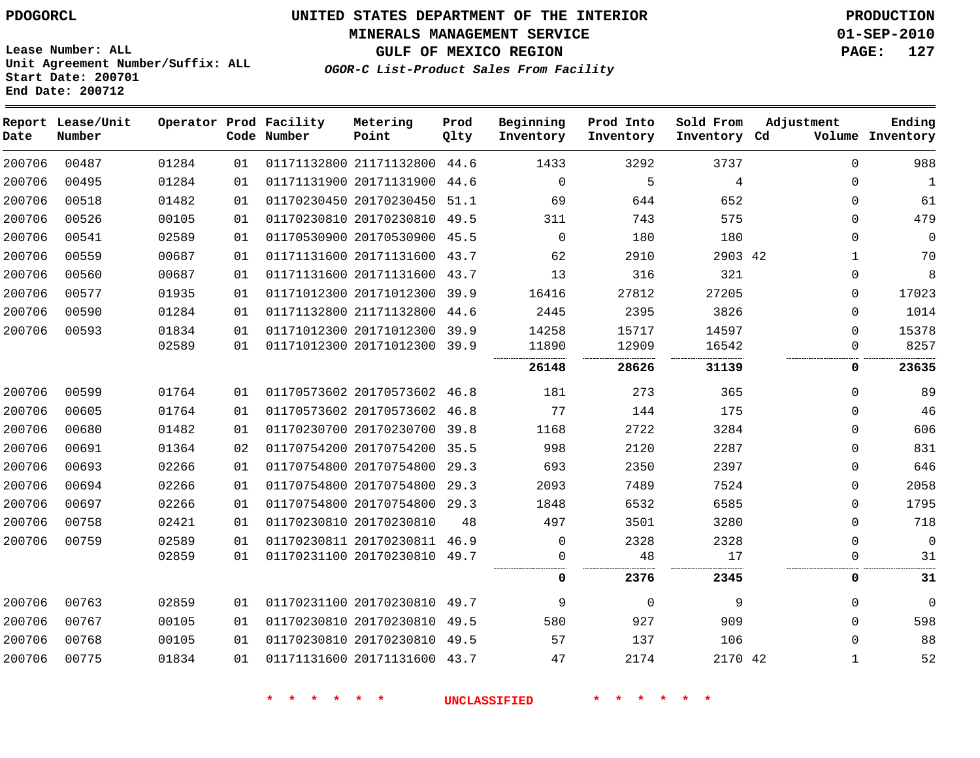**MINERALS MANAGEMENT SERVICE 01-SEP-2010**

**GULF OF MEXICO REGION PAGE: 127**

**Lease Number: ALL Unit Agreement Number/Suffix: ALL Start Date: 200701 End Date: 200712**

**OGOR-C List-Product Sales From Facility**

| Date   | Report Lease/Unit<br>Number |       |    | Operator Prod Facility<br>Code Number | Metering<br>Point            | Prod<br>Qlty | Beginning<br>Inventory | Prod Into<br>Inventory | Sold From<br>Inventory Cd | Adjustment   | Ending<br>Volume Inventory |
|--------|-----------------------------|-------|----|---------------------------------------|------------------------------|--------------|------------------------|------------------------|---------------------------|--------------|----------------------------|
| 200706 | 00487                       | 01284 | 01 |                                       | 01171132800 21171132800 44.6 |              | 1433                   | 3292                   | 3737                      | $\Omega$     | 988                        |
| 200706 | 00495                       | 01284 | 01 |                                       | 01171131900 20171131900 44.6 |              | $\mathbf 0$            | 5                      | 4                         | 0            | $\mathbf{1}$               |
| 200706 | 00518                       | 01482 | 01 |                                       | 01170230450 20170230450 51.1 |              | 69                     | 644                    | 652                       | 0            | 61                         |
| 200706 | 00526                       | 00105 | 01 |                                       | 01170230810 20170230810 49.5 |              | 311                    | 743                    | 575                       | $\Omega$     | 479                        |
| 200706 | 00541                       | 02589 | 01 |                                       | 01170530900 20170530900 45.5 |              | $\Omega$               | 180                    | 180                       | $\Omega$     | $\mathbf 0$                |
| 200706 | 00559                       | 00687 | 01 |                                       | 01171131600 20171131600 43.7 |              | 62                     | 2910                   | 2903 42                   | 1            | 70                         |
| 200706 | 00560                       | 00687 | 01 |                                       | 01171131600 20171131600 43.7 |              | 13                     | 316                    | 321                       | 0            | 8                          |
| 200706 | 00577                       | 01935 | 01 |                                       | 01171012300 20171012300 39.9 |              | 16416                  | 27812                  | 27205                     | $\Omega$     | 17023                      |
| 200706 | 00590                       | 01284 | 01 |                                       | 01171132800 21171132800      | 44.6         | 2445                   | 2395                   | 3826                      | 0            | 1014                       |
| 200706 | 00593                       | 01834 | 01 |                                       | 01171012300 20171012300 39.9 |              | 14258                  | 15717                  | 14597                     | 0            | 15378                      |
|        |                             | 02589 | 01 |                                       | 01171012300 20171012300 39.9 |              | 11890                  | 12909                  | 16542                     | 0            | 8257                       |
|        |                             |       |    |                                       |                              |              | 26148                  | 28626                  | 31139                     | 0            | 23635                      |
| 200706 | 00599                       | 01764 | 01 |                                       | 01170573602 20170573602 46.8 |              | 181                    | 273                    | 365                       | 0            | 89                         |
| 200706 | 00605                       | 01764 | 01 |                                       | 01170573602 20170573602 46.8 |              | 77                     | 144                    | 175                       | 0            | 46                         |
| 200706 | 00680                       | 01482 | 01 |                                       | 01170230700 20170230700 39.8 |              | 1168                   | 2722                   | 3284                      | 0            | 606                        |
| 200706 | 00691                       | 01364 | 02 |                                       | 01170754200 20170754200 35.5 |              | 998                    | 2120                   | 2287                      | $\Omega$     | 831                        |
| 200706 | 00693                       | 02266 | 01 |                                       | 01170754800 20170754800 29.3 |              | 693                    | 2350                   | 2397                      | $\Omega$     | 646                        |
| 200706 | 00694                       | 02266 | 01 |                                       | 01170754800 20170754800 29.3 |              | 2093                   | 7489                   | 7524                      | 0            | 2058                       |
| 200706 | 00697                       | 02266 | 01 |                                       | 01170754800 20170754800 29.3 |              | 1848                   | 6532                   | 6585                      | 0            | 1795                       |
| 200706 | 00758                       | 02421 | 01 |                                       | 01170230810 20170230810      | 48           | 497                    | 3501                   | 3280                      | 0            | 718                        |
| 200706 | 00759                       | 02589 | 01 |                                       | 01170230811 20170230811 46.9 |              | 0                      | 2328                   | 2328                      | 0            | $\Omega$                   |
|        |                             | 02859 | 01 |                                       | 01170231100 20170230810 49.7 |              | 0                      | 48                     | 17                        | 0            | 31                         |
|        |                             |       |    |                                       |                              |              | 0                      | 2376                   | 2345                      | 0            | 31                         |
| 200706 | 00763                       | 02859 | 01 |                                       | 01170231100 20170230810 49.7 |              | 9                      | $\Omega$               | 9                         | $\Omega$     | $\mathbf 0$                |
| 200706 | 00767                       | 00105 | 01 |                                       | 01170230810 20170230810 49.5 |              | 580                    | 927                    | 909                       | $\Omega$     | 598                        |
| 200706 | 00768                       | 00105 | 01 |                                       | 01170230810 20170230810 49.5 |              | 57                     | 137                    | 106                       | $\Omega$     | 88                         |
| 200706 | 00775                       | 01834 | 01 |                                       | 01171131600 20171131600 43.7 |              | 47                     | 2174                   | 2170 42                   | $\mathbf{1}$ | 52                         |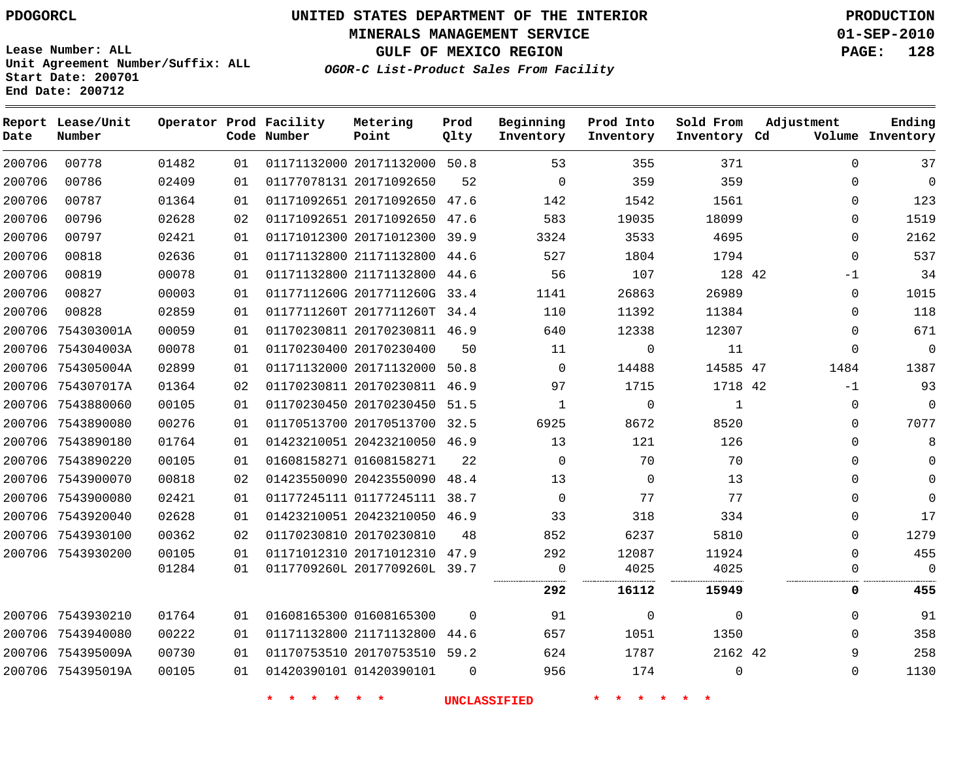**MINERALS MANAGEMENT SERVICE 01-SEP-2010**

**GULF OF MEXICO REGION PAGE: 128**

**Lease Number: ALL Unit Agreement Number/Suffix: ALL Start Date: 200701 End Date: 200712**

**OGOR-C List-Product Sales From Facility**

| Date   | Report Lease/Unit<br>Number |       |    | Operator Prod Facility<br>Code Number | Metering<br>Point            | Prod<br>Qlty | Beginning<br>Inventory | Prod Into<br>Inventory | Sold From<br>Inventory Cd | Adjustment  | Ending<br>Volume Inventory |
|--------|-----------------------------|-------|----|---------------------------------------|------------------------------|--------------|------------------------|------------------------|---------------------------|-------------|----------------------------|
| 200706 | 00778                       | 01482 | 01 |                                       | 01171132000 20171132000 50.8 |              | 53                     | 355                    | 371                       | $\mathbf 0$ | 37                         |
| 200706 | 00786                       | 02409 | 01 |                                       | 01177078131 20171092650      | 52           | $\Omega$               | 359                    | 359                       | $\Omega$    | $\overline{0}$             |
| 200706 | 00787                       | 01364 | 01 |                                       | 01171092651 20171092650 47.6 |              | 142                    | 1542                   | 1561                      | $\Omega$    | 123                        |
| 200706 | 00796                       | 02628 | 02 |                                       | 01171092651 20171092650 47.6 |              | 583                    | 19035                  | 18099                     | 0           | 1519                       |
| 200706 | 00797                       | 02421 | 01 |                                       | 01171012300 20171012300      | 39.9         | 3324                   | 3533                   | 4695                      | $\Omega$    | 2162                       |
| 200706 | 00818                       | 02636 | 01 |                                       | 01171132800 21171132800 44.6 |              | 527                    | 1804                   | 1794                      | 0           | 537                        |
| 200706 | 00819                       | 00078 | 01 |                                       | 01171132800 21171132800 44.6 |              | 56                     | 107                    | 128 42                    | $-1$        | 34                         |
| 200706 | 00827                       | 00003 | 01 |                                       | 0117711260G 2017711260G 33.4 |              | 1141                   | 26863                  | 26989                     | 0           | 1015                       |
| 200706 | 00828                       | 02859 | 01 |                                       | 0117711260T 2017711260T 34.4 |              | 110                    | 11392                  | 11384                     | $\Omega$    | 118                        |
|        | 200706 754303001A           | 00059 | 01 |                                       | 01170230811 20170230811 46.9 |              | 640                    | 12338                  | 12307                     | $\Omega$    | 671                        |
|        | 200706 754304003A           | 00078 | 01 |                                       | 01170230400 20170230400      | 50           | 11                     | 0                      | 11                        | 0           | $\mathbf 0$                |
|        | 200706 754305004A           | 02899 | 01 |                                       | 01171132000 20171132000      | 50.8         | $\Omega$               | 14488                  | 14585 47                  | 1484        | 1387                       |
|        | 200706 754307017A           | 01364 | 02 |                                       | 01170230811 20170230811 46.9 |              | 97                     | 1715                   | 1718 42                   | $-1$        | 93                         |
|        | 200706 7543880060           | 00105 | 01 |                                       | 01170230450 20170230450 51.5 |              | $\mathbf{1}$           | $\mathbf 0$            | $\mathbf{1}$              | $\mathbf 0$ | $\mathbf 0$                |
|        | 200706 7543890080           | 00276 | 01 |                                       | 01170513700 20170513700 32.5 |              | 6925                   | 8672                   | 8520                      | $\Omega$    | 7077                       |
|        | 200706 7543890180           | 01764 | 01 |                                       | 01423210051 20423210050 46.9 |              | 13                     | 121                    | 126                       | $\Omega$    | 8                          |
|        | 200706 7543890220           | 00105 | 01 |                                       | 01608158271 01608158271      | 22           | $\Omega$               | 70                     | 70                        | $\Omega$    | $\Omega$                   |
|        | 200706 7543900070           | 00818 | 02 |                                       | 01423550090 20423550090 48.4 |              | 13                     | $\mathbf 0$            | 13                        | $\Omega$    | $\Omega$                   |
|        | 200706 7543900080           | 02421 | 01 |                                       | 01177245111 01177245111 38.7 |              | $\Omega$               | 77                     | 77                        | $\Omega$    | $\Omega$                   |
|        | 200706 7543920040           | 02628 | 01 |                                       | 01423210051 20423210050 46.9 |              | 33                     | 318                    | 334                       | 0           | 17                         |
|        | 200706 7543930100           | 00362 | 02 |                                       | 01170230810 20170230810      | 48           | 852                    | 6237                   | 5810                      | $\Omega$    | 1279                       |
|        | 200706 7543930200           | 00105 | 01 |                                       | 01171012310 20171012310      | 47.9         | 292                    | 12087                  | 11924                     | $\Omega$    | 455                        |
|        |                             | 01284 | 01 |                                       | 0117709260L 2017709260L 39.7 |              | $\Omega$               | 4025                   | 4025                      | $\Omega$    | $\Omega$                   |
|        |                             |       |    |                                       |                              |              | 292                    | 16112                  | 15949                     | 0           | 455                        |
|        | 200706 7543930210           | 01764 | 01 |                                       | 01608165300 01608165300      | $\Omega$     | 91                     | $\mathbf 0$            | $\Omega$                  | $\Omega$    | 91                         |
|        | 200706 7543940080           | 00222 | 01 |                                       | 01171132800 21171132800      | 44.6         | 657                    | 1051                   | 1350                      | $\Omega$    | 358                        |
|        | 200706 754395009A           | 00730 | 01 |                                       | 01170753510 20170753510 59.2 |              | 624                    | 1787                   | 2162 42                   | 9           | 258                        |
|        | 200706 754395019A           | 00105 | 01 |                                       | 01420390101 01420390101      | $\Omega$     | 956                    | 174                    | $\Omega$                  | $\Omega$    | 1130                       |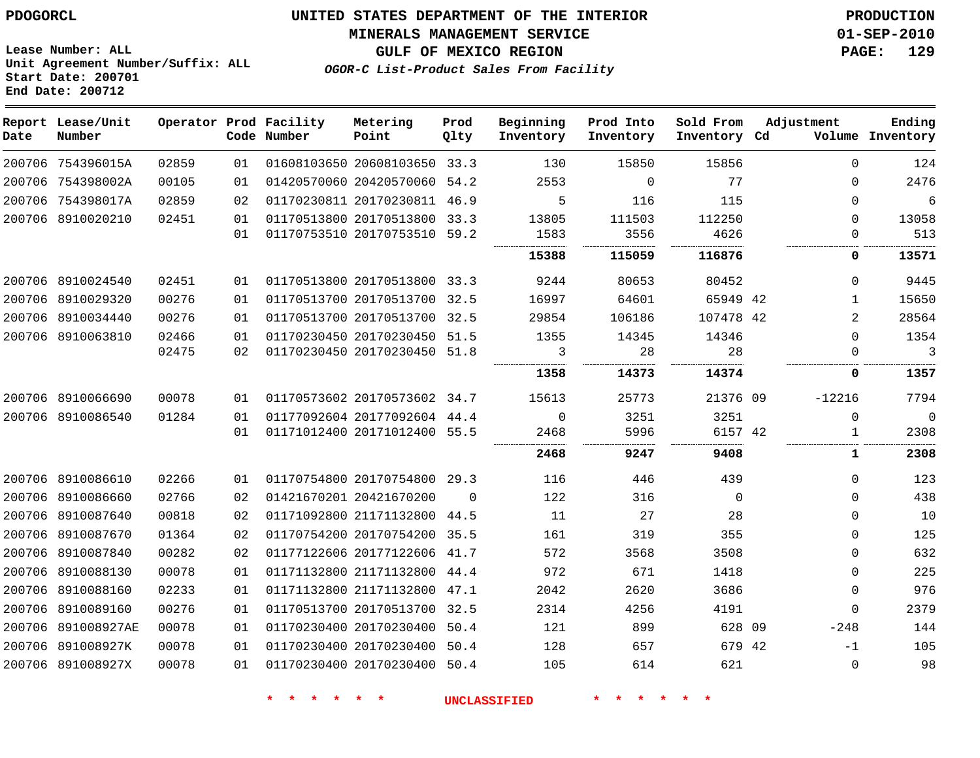#### **MINERALS MANAGEMENT SERVICE 01-SEP-2010**

**GULF OF MEXICO REGION PAGE: 129**

**Lease Number: ALL Unit Agreement Number/Suffix: ALL Start Date: 200701 End Date: 200712**

**OGOR-C List-Product Sales From Facility**

| Date | Report Lease/Unit<br>Number |       |    | Operator Prod Facility<br>Code Number | Metering<br>Point            | Prod<br>Qlty | Beginning<br>Inventory | Prod Into<br>Inventory | Sold From<br>Inventory Cd | Adjustment     | Ending<br>Volume Inventory |
|------|-----------------------------|-------|----|---------------------------------------|------------------------------|--------------|------------------------|------------------------|---------------------------|----------------|----------------------------|
|      | 200706 754396015A           | 02859 | 01 |                                       | 01608103650 20608103650 33.3 |              | 130                    | 15850                  | 15856                     | $\Omega$       | 124                        |
|      | 200706 754398002A           | 00105 | 01 |                                       | 01420570060 20420570060 54.2 |              | 2553                   | $\mathbf 0$            | 77                        | $\Omega$       | 2476                       |
|      | 200706 754398017A           | 02859 | 02 |                                       | 01170230811 20170230811 46.9 |              | 5                      | 116                    | 115                       | $\Omega$       | $\overline{6}$             |
|      | 200706 8910020210           | 02451 | 01 |                                       | 01170513800 20170513800 33.3 |              | 13805                  | 111503                 | 112250                    | $\Omega$       | 13058                      |
|      |                             |       | 01 |                                       | 01170753510 20170753510 59.2 |              | 1583                   | 3556                   | 4626<br>.                 | $\Omega$       | 513                        |
|      |                             |       |    |                                       |                              |              | 15388                  | 115059                 | 116876                    | 0              | 13571                      |
|      | 200706 8910024540           | 02451 | 01 |                                       | 01170513800 20170513800 33.3 |              | 9244                   | 80653                  | 80452                     | $\Omega$       | 9445                       |
|      | 200706 8910029320           | 00276 | 01 |                                       | 01170513700 20170513700      | 32.5         | 16997                  | 64601                  | 65949 42                  | $\mathbf{1}$   | 15650                      |
|      | 200706 8910034440           | 00276 | 01 |                                       | 01170513700 20170513700 32.5 |              | 29854                  | 106186                 | 107478 42                 | $\overline{2}$ | 28564                      |
|      | 200706 8910063810           | 02466 | 01 |                                       | 01170230450 20170230450      | 51.5         | 1355                   | 14345                  | 14346                     | $\Omega$       | 1354                       |
|      |                             | 02475 | 02 |                                       | 01170230450 20170230450 51.8 |              | 3<br>                  | 28                     | 28<br>.                   | $\Omega$<br>   | $\overline{3}$<br>         |
|      |                             |       |    |                                       |                              |              | 1358                   | 14373                  | 14374                     | 0              | 1357                       |
|      | 200706 8910066690           | 00078 | 01 |                                       | 01170573602 20170573602 34.7 |              | 15613                  | 25773                  | 21376 09                  | $-12216$       | 7794                       |
|      | 200706 8910086540           | 01284 | 01 |                                       | 01177092604 20177092604 44.4 |              | $\Omega$               | 3251                   | 3251                      | $\mathbf 0$    | $\mathbf 0$                |
|      |                             |       | 01 |                                       | 01171012400 20171012400 55.5 |              | 2468                   | 5996                   | 6157 42                   | 1              | 2308                       |
|      |                             |       |    |                                       |                              |              | 2468                   | 9247                   | 9408                      | 1              | 2308                       |
|      | 200706 8910086610           | 02266 | 01 |                                       | 01170754800 20170754800 29.3 |              | 116                    | 446                    | 439                       | 0              | 123                        |
|      | 200706 8910086660           | 02766 | 02 |                                       | 01421670201 20421670200      | $\Omega$     | 122                    | 316                    | $\Omega$                  | $\Omega$       | 438                        |
|      | 200706 8910087640           | 00818 | 02 |                                       | 01171092800 21171132800      | 44.5         | 11                     | 27                     | 28                        | 0              | 10                         |
|      | 200706 8910087670           | 01364 | 02 |                                       | 01170754200 20170754200 35.5 |              | 161                    | 319                    | 355                       | 0              | 125                        |
|      | 200706 8910087840           | 00282 | 02 |                                       | 01177122606 20177122606 41.7 |              | 572                    | 3568                   | 3508                      | 0              | 632                        |
|      | 200706 8910088130           | 00078 | 01 |                                       | 01171132800 21171132800 44.4 |              | 972                    | 671                    | 1418                      | 0              | 225                        |
|      | 200706 8910088160           | 02233 | 01 |                                       | 01171132800 21171132800      | 47.1         | 2042                   | 2620                   | 3686                      | 0              | 976                        |
|      | 200706 8910089160           | 00276 | 01 |                                       | 01170513700 20170513700 32.5 |              | 2314                   | 4256                   | 4191                      | 0              | 2379                       |
|      | 200706 891008927AE          | 00078 | 01 |                                       | 01170230400 20170230400      | 50.4         | 121                    | 899                    | 628 09                    | $-248$         | 144                        |
|      | 200706 891008927K           | 00078 | 01 |                                       | 01170230400 20170230400      | 50.4         | 128                    | 657                    | 679 42                    | $-1$           | 105                        |
|      | 200706 891008927X           | 00078 | 01 |                                       | 01170230400 20170230400      | 50.4         | 105                    | 614                    | 621                       | $\mathbf 0$    | 98                         |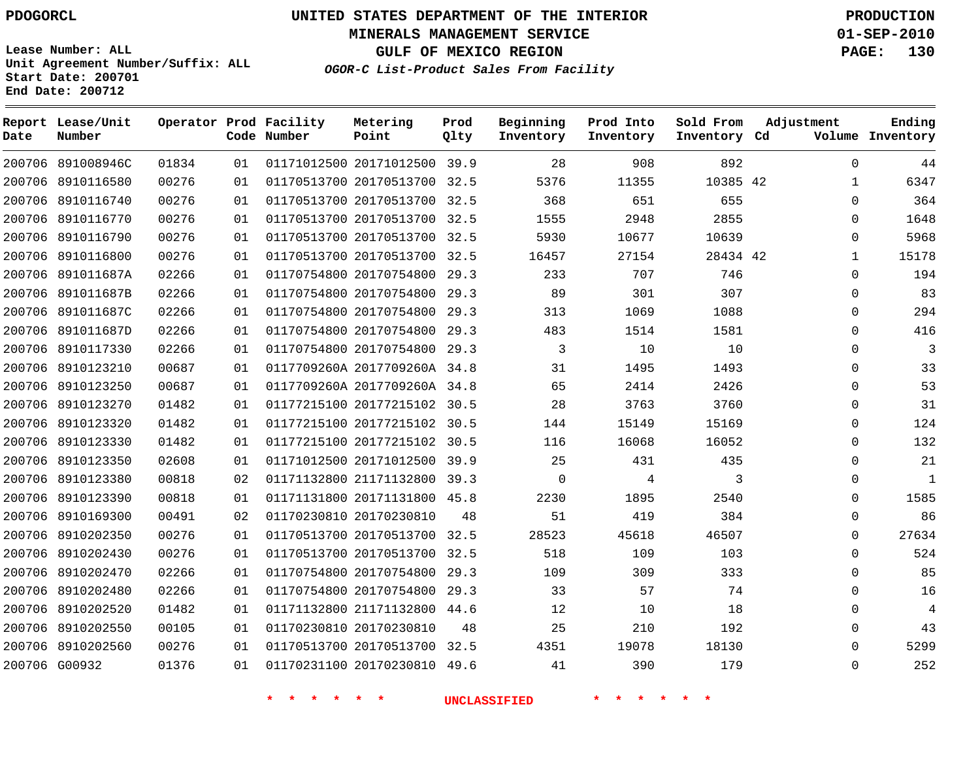**Start Date: 200701 End Date: 200712**

**Unit Agreement Number/Suffix: ALL**

# **UNITED STATES DEPARTMENT OF THE INTERIOR PDOGORCL PRODUCTION**

**MINERALS MANAGEMENT SERVICE 01-SEP-2010**

**GULF OF MEXICO REGION PAGE: 130**

**OGOR-C List-Product Sales From Facility**

| Date   | Report Lease/Unit<br>Number |       |    | Operator Prod Facility<br>Code Number | Metering<br>Point            | Prod<br>Qlty | Beginning<br>Inventory | Prod Into<br>Inventory | Sold From<br>Inventory Cd | Adjustment   | Ending<br>Volume Inventory |
|--------|-----------------------------|-------|----|---------------------------------------|------------------------------|--------------|------------------------|------------------------|---------------------------|--------------|----------------------------|
|        | 200706 891008946C           | 01834 | 01 |                                       | 01171012500 20171012500 39.9 |              | 28                     | 908                    | 892                       | $\Omega$     | 44                         |
| 200706 | 8910116580                  | 00276 | 01 |                                       | 01170513700 20170513700      | 32.5         | 5376                   | 11355                  | 10385 42                  | $\mathbf{1}$ | 6347                       |
| 200706 | 8910116740                  | 00276 | 01 |                                       | 01170513700 20170513700      | 32.5         | 368                    | 651                    | 655                       | $\Omega$     | 364                        |
| 200706 | 8910116770                  | 00276 | 01 |                                       | 01170513700 20170513700      | 32.5         | 1555                   | 2948                   | 2855                      | $\Omega$     | 1648                       |
| 200706 | 8910116790                  | 00276 | 01 |                                       | 01170513700 20170513700 32.5 |              | 5930                   | 10677                  | 10639                     | $\Omega$     | 5968                       |
| 200706 | 8910116800                  | 00276 | 01 |                                       | 01170513700 20170513700      | 32.5         | 16457                  | 27154                  | 28434 42                  | $\mathbf{1}$ | 15178                      |
| 200706 | 891011687A                  | 02266 | 01 |                                       | 01170754800 20170754800      | 29.3         | 233                    | 707                    | 746                       | 0            | 194                        |
| 200706 | 891011687B                  | 02266 | 01 |                                       | 01170754800 20170754800      | 29.3         | 89                     | 301                    | 307                       | $\Omega$     | 83                         |
| 200706 | 891011687C                  | 02266 | 01 |                                       | 01170754800 20170754800      | 29.3         | 313                    | 1069                   | 1088                      | $\Omega$     | 294                        |
| 200706 | 891011687D                  | 02266 | 01 |                                       | 01170754800 20170754800      | 29.3         | 483                    | 1514                   | 1581                      | $\Omega$     | 416                        |
| 200706 | 8910117330                  | 02266 | 01 |                                       | 01170754800 20170754800      | 29.3         | 3                      | 10                     | 10                        | $\Omega$     | $\overline{3}$             |
| 200706 | 8910123210                  | 00687 | 01 |                                       | 0117709260A 2017709260A 34.8 |              | 31                     | 1495                   | 1493                      | $\Omega$     | 33                         |
| 200706 | 8910123250                  | 00687 | 01 |                                       | 0117709260A 2017709260A 34.8 |              | 65                     | 2414                   | 2426                      | $\Omega$     | 53                         |
| 200706 | 8910123270                  | 01482 | 01 |                                       | 01177215100 20177215102 30.5 |              | 28                     | 3763                   | 3760                      | $\Omega$     | 31                         |
| 200706 | 8910123320                  | 01482 | 01 |                                       | 01177215100 20177215102      | 30.5         | 144                    | 15149                  | 15169                     | $\Omega$     | 124                        |
| 200706 | 8910123330                  | 01482 | 01 |                                       | 01177215100 20177215102 30.5 |              | 116                    | 16068                  | 16052                     | $\Omega$     | 132                        |
| 200706 | 8910123350                  | 02608 | 01 |                                       | 01171012500 20171012500      | 39.9         | 25                     | 431                    | 435                       | $\Omega$     | 21                         |
| 200706 | 8910123380                  | 00818 | 02 |                                       | 01171132800 21171132800 39.3 |              | $\mathbf 0$            | 4                      | 3                         | $\Omega$     | 1                          |
| 200706 | 8910123390                  | 00818 | 01 |                                       | 01171131800 20171131800      | 45.8         | 2230                   | 1895                   | 2540                      | 0            | 1585                       |
| 200706 | 8910169300                  | 00491 | 02 |                                       | 01170230810 20170230810      | 48           | 51                     | 419                    | 384                       | $\Omega$     | 86                         |
| 200706 | 8910202350                  | 00276 | 01 |                                       | 01170513700 20170513700      | 32.5         | 28523                  | 45618                  | 46507                     | $\Omega$     | 27634                      |
| 200706 | 8910202430                  | 00276 | 01 |                                       | 01170513700 20170513700      | 32.5         | 518                    | 109                    | 103                       | $\Omega$     | 524                        |
| 200706 | 8910202470                  | 02266 | 01 |                                       | 01170754800 20170754800      | 29.3         | 109                    | 309                    | 333                       | 0            | 85                         |
| 200706 | 8910202480                  | 02266 | 01 |                                       | 01170754800 20170754800      | 29.3         | 33                     | 57                     | 74                        | $\Omega$     | 16                         |
| 200706 | 8910202520                  | 01482 | 01 |                                       | 01171132800 21171132800      | 44.6         | 12                     | 10                     | 18                        | $\Omega$     | $\overline{4}$             |
| 200706 | 8910202550                  | 00105 | 01 |                                       | 01170230810 20170230810      | 48           | 25                     | 210                    | 192                       | $\Omega$     | 43                         |
| 200706 | 8910202560                  | 00276 | 01 |                                       | 01170513700 20170513700 32.5 |              | 4351                   | 19078                  | 18130                     | $\Omega$     | 5299                       |
|        | 200706 G00932               | 01376 | 01 |                                       | 01170231100 20170230810      | 49.6         | 41                     | 390                    | 179                       | $\Omega$     | 252                        |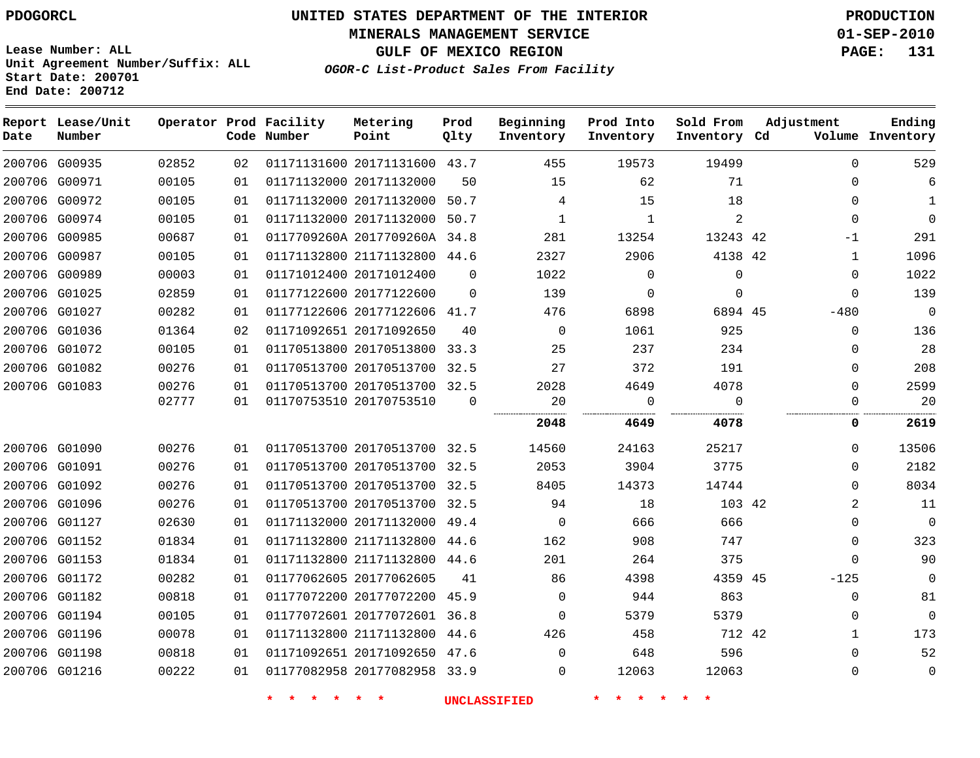**MINERALS MANAGEMENT SERVICE 01-SEP-2010**

**GULF OF MEXICO REGION PAGE: 131**

**Lease Number: ALL Unit Agreement Number/Suffix: ALL Start Date: 200701 End Date: 200712**

|  | OGOR-C List-Product Sales From Facility |  |  |  |
|--|-----------------------------------------|--|--|--|
|--|-----------------------------------------|--|--|--|

| Date | Report Lease/Unit<br>Number |       |    | Operator Prod Facility<br>Code Number | Metering<br>Point            | Prod<br>Qlty | Beginning<br>Inventory | Prod Into<br>Inventory | Sold From<br>Inventory Cd | Adjustment   | Ending<br>Volume Inventory |
|------|-----------------------------|-------|----|---------------------------------------|------------------------------|--------------|------------------------|------------------------|---------------------------|--------------|----------------------------|
|      | 200706 G00935               | 02852 | 02 |                                       | 01171131600 20171131600 43.7 |              | 455                    | 19573                  | 19499                     | $\Omega$     | 529                        |
|      | 200706 G00971               | 00105 | 01 |                                       | 01171132000 20171132000      | 50           | 15                     | 62                     | 71                        | $\Omega$     | 6                          |
|      | 200706 G00972               | 00105 | 01 |                                       | 01171132000 20171132000 50.7 |              | 4                      | 15                     | 18                        | $\mathbf 0$  | $\mathbf{1}$               |
|      | 200706 G00974               | 00105 | 01 |                                       | 01171132000 20171132000 50.7 |              | $\mathbf{1}$           | $\mathbf{1}$           | $\overline{a}$            | $\mathbf 0$  | $\Omega$                   |
|      | 200706 G00985               | 00687 | 01 |                                       | 0117709260A 2017709260A 34.8 |              | 281                    | 13254                  | 13243 42                  | $-1$         | 291                        |
|      | 200706 G00987               | 00105 | 01 |                                       | 01171132800 21171132800 44.6 |              | 2327                   | 2906                   | 4138 42                   | $\mathbf 1$  | 1096                       |
|      | 200706 G00989               | 00003 | 01 |                                       | 01171012400 20171012400      | $\Omega$     | 1022                   | $\mathbf 0$            | $\mathbf 0$               | $\mathbf 0$  | 1022                       |
|      | 200706 G01025               | 02859 | 01 |                                       | 01177122600 20177122600      | $\Omega$     | 139                    | $\Omega$               | $\Omega$                  | $\Omega$     | 139                        |
|      | 200706 G01027               | 00282 | 01 |                                       | 01177122606 20177122606 41.7 |              | 476                    | 6898                   | 6894 45                   | $-480$       | $\mathbf 0$                |
|      | 200706 G01036               | 01364 | 02 |                                       | 01171092651 20171092650      | 40           | $\mathbf 0$            | 1061                   | 925                       | $\mathbf 0$  | 136                        |
|      | 200706 G01072               | 00105 | 01 |                                       | 01170513800 20170513800 33.3 |              | 25                     | 237                    | 234                       | $\Omega$     | 28                         |
|      | 200706 G01082               | 00276 | 01 |                                       | 01170513700 20170513700 32.5 |              | 27                     | 372                    | 191                       | $\Omega$     | 208                        |
|      | 200706 G01083               | 00276 | 01 |                                       | 01170513700 20170513700 32.5 |              | 2028                   | 4649                   | 4078                      | $\Omega$     | 2599                       |
|      |                             | 02777 | 01 |                                       | 01170753510 20170753510      | $\Omega$     | 20                     | $\Omega$               | $\Omega$                  | $\Omega$     | 20                         |
|      |                             |       |    |                                       |                              |              | 2048                   | 4649                   | 4078                      | 0            | 2619                       |
|      | 200706 G01090               | 00276 | 01 |                                       | 01170513700 20170513700 32.5 |              | 14560                  | 24163                  | 25217                     | $\mathbf 0$  | 13506                      |
|      | 200706 G01091               | 00276 | 01 |                                       | 01170513700 20170513700 32.5 |              | 2053                   | 3904                   | 3775                      | $\Omega$     | 2182                       |
|      | 200706 G01092               | 00276 | 01 |                                       | 01170513700 20170513700 32.5 |              | 8405                   | 14373                  | 14744                     | $\Omega$     | 8034                       |
|      | 200706 G01096               | 00276 | 01 |                                       | 01170513700 20170513700 32.5 |              | 94                     | 18                     | 103 42                    | 2            | 11                         |
|      | 200706 G01127               | 02630 | 01 |                                       | 01171132000 20171132000 49.4 |              | $\mathbf 0$            | 666                    | 666                       | $\mathbf 0$  | $\mathbf 0$                |
|      | 200706 G01152               | 01834 | 01 |                                       | 01171132800 21171132800 44.6 |              | 162                    | 908                    | 747                       | $\mathbf 0$  | 323                        |
|      | 200706 G01153               | 01834 | 01 |                                       | 01171132800 21171132800 44.6 |              | 201                    | 264                    | 375                       | $\Omega$     | 90                         |
|      | 200706 G01172               | 00282 | 01 |                                       | 01177062605 20177062605      | 41           | 86                     | 4398                   | 4359 45                   | $-125$       | $\Omega$                   |
|      | 200706 G01182               | 00818 | 01 |                                       | 01177072200 20177072200 45.9 |              | $\Omega$               | 944                    | 863                       | 0            | 81                         |
|      | 200706 G01194               | 00105 | 01 |                                       | 01177072601 20177072601 36.8 |              | $\Omega$               | 5379                   | 5379                      | $\mathbf 0$  | $\overline{0}$             |
|      | 200706 G01196               | 00078 | 01 |                                       | 01171132800 21171132800      | 44.6         | 426                    | 458                    | 712 42                    | $\mathbf{1}$ | 173                        |
|      | 200706 G01198               | 00818 | 01 |                                       | 01171092651 20171092650 47.6 |              | $\Omega$               | 648                    | 596                       | $\Omega$     | 52                         |
|      | 200706 G01216               | 00222 | 01 |                                       | 01177082958 20177082958 33.9 |              | $\Omega$               | 12063                  | 12063                     | $\mathbf 0$  | $\mathbf 0$                |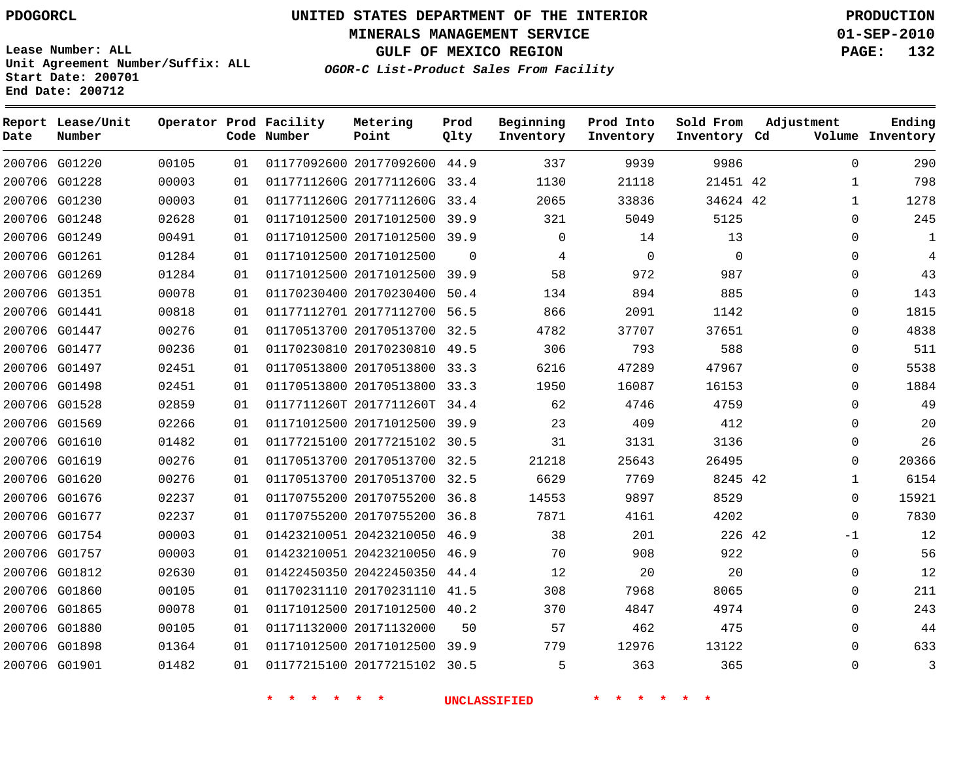**Start Date: 200701 End Date: 200712**

**Unit Agreement Number/Suffix: ALL**

# **UNITED STATES DEPARTMENT OF THE INTERIOR PDOGORCL PRODUCTION**

**MINERALS MANAGEMENT SERVICE 01-SEP-2010**

**GULF OF MEXICO REGION PAGE: 132**

**OGOR-C List-Product Sales From Facility**

| Date | Report Lease/Unit<br>Number |       |    | Operator Prod Facility<br>Code Number | Metering<br>Point            | Prod<br>Qlty | Beginning<br>Inventory | Prod Into<br>Inventory | Sold From<br>Inventory Cd | Adjustment   | Ending<br>Volume Inventory |
|------|-----------------------------|-------|----|---------------------------------------|------------------------------|--------------|------------------------|------------------------|---------------------------|--------------|----------------------------|
|      | 200706 G01220               | 00105 | 01 |                                       | 01177092600 20177092600      | 44.9         | 337                    | 9939                   | 9986                      | $\Omega$     | 290                        |
|      | 200706 G01228               | 00003 | 01 |                                       | 0117711260G 2017711260G      | 33.4         | 1130                   | 21118                  | 21451 42                  | $\mathbf{1}$ | 798                        |
|      | 200706 G01230               | 00003 | 01 |                                       | 0117711260G 2017711260G      | 33.4         | 2065                   | 33836                  | 34624 42                  | $\mathbf{1}$ | 1278                       |
|      | 200706 G01248               | 02628 | 01 |                                       | 01171012500 20171012500      | 39.9         | 321                    | 5049                   | 5125                      | $\Omega$     | 245                        |
|      | 200706 G01249               | 00491 | 01 |                                       | 01171012500 20171012500 39.9 |              | $\mathbf{0}$           | 14                     | 13                        | $\Omega$     | 1                          |
|      | 200706 G01261               | 01284 | 01 |                                       | 01171012500 20171012500      | $\mathbf 0$  | 4                      | $\mathbf 0$            | $\mathbf 0$               | $\mathbf 0$  | $\overline{4}$             |
|      | 200706 G01269               | 01284 | 01 |                                       | 01171012500 20171012500 39.9 |              | 58                     | 972                    | 987                       | $\Omega$     | 43                         |
|      | 200706 G01351               | 00078 | 01 |                                       | 01170230400 20170230400      | 50.4         | 134                    | 894                    | 885                       | $\Omega$     | 143                        |
|      | 200706 G01441               | 00818 | 01 |                                       | 01177112701 20177112700      | 56.5         | 866                    | 2091                   | 1142                      | $\Omega$     | 1815                       |
|      | 200706 G01447               | 00276 | 01 |                                       | 01170513700 20170513700      | 32.5         | 4782                   | 37707                  | 37651                     | $\Omega$     | 4838                       |
|      | 200706 G01477               | 00236 | 01 |                                       | 01170230810 20170230810      | 49.5         | 306                    | 793                    | 588                       | $\Omega$     | 511                        |
|      | 200706 G01497               | 02451 | 01 |                                       | 01170513800 20170513800      | 33.3         | 6216                   | 47289                  | 47967                     | $\Omega$     | 5538                       |
|      | 200706 G01498               | 02451 | 01 |                                       | 01170513800 20170513800      | 33.3         | 1950                   | 16087                  | 16153                     | $\mathbf 0$  | 1884                       |
|      | 200706 G01528               | 02859 | 01 |                                       | 0117711260T 2017711260T      | 34.4         | 62                     | 4746                   | 4759                      | $\Omega$     | 49                         |
|      | 200706 G01569               | 02266 | 01 |                                       | 01171012500 20171012500      | 39.9         | 23                     | 409                    | 412                       | $\mathbf 0$  | 20                         |
|      | 200706 G01610               | 01482 | 01 |                                       | 01177215100 20177215102 30.5 |              | 31                     | 3131                   | 3136                      | $\Omega$     | 26                         |
|      | 200706 G01619               | 00276 | 01 |                                       | 01170513700 20170513700      | 32.5         | 21218                  | 25643                  | 26495                     | $\Omega$     | 20366                      |
|      | 200706 G01620               | 00276 | 01 |                                       | 01170513700 20170513700 32.5 |              | 6629                   | 7769                   | 8245 42                   | 1            | 6154                       |
|      | 200706 G01676               | 02237 | 01 |                                       | 01170755200 20170755200      | 36.8         | 14553                  | 9897                   | 8529                      | $\mathbf 0$  | 15921                      |
|      | 200706 G01677               | 02237 | 01 |                                       | 01170755200 20170755200      | 36.8         | 7871                   | 4161                   | 4202                      | $\Omega$     | 7830                       |
|      | 200706 G01754               | 00003 | 01 |                                       | 01423210051 20423210050      | 46.9         | 38                     | 201                    | 226 42                    | $-1$         | 12                         |
|      | 200706 G01757               | 00003 | 01 |                                       | 01423210051 20423210050      | 46.9         | 70                     | 908                    | 922                       | $\Omega$     | 56                         |
|      | 200706 G01812               | 02630 | 01 |                                       | 01422450350 20422450350      | 44.4         | $12$                   | 20                     | 20                        | $\mathbf 0$  | 12                         |
|      | 200706 G01860               | 00105 | 01 |                                       | 01170231110 20170231110      | 41.5         | 308                    | 7968                   | 8065                      | $\mathbf 0$  | 211                        |
|      | 200706 G01865               | 00078 | 01 |                                       | 01171012500 20171012500      | 40.2         | 370                    | 4847                   | 4974                      | $\Omega$     | 243                        |
|      | 200706 G01880               | 00105 | 01 |                                       | 01171132000 20171132000      | 50           | 57                     | 462                    | 475                       | $\mathbf 0$  | 44                         |
|      | 200706 G01898               | 01364 | 01 |                                       | 01171012500 20171012500      | 39.9         | 779                    | 12976                  | 13122                     | $\Omega$     | 633                        |
|      | 200706 G01901               | 01482 | 01 |                                       | 01177215100 20177215102      | 30.5         | 5                      | 363                    | 365                       | $\Omega$     | 3                          |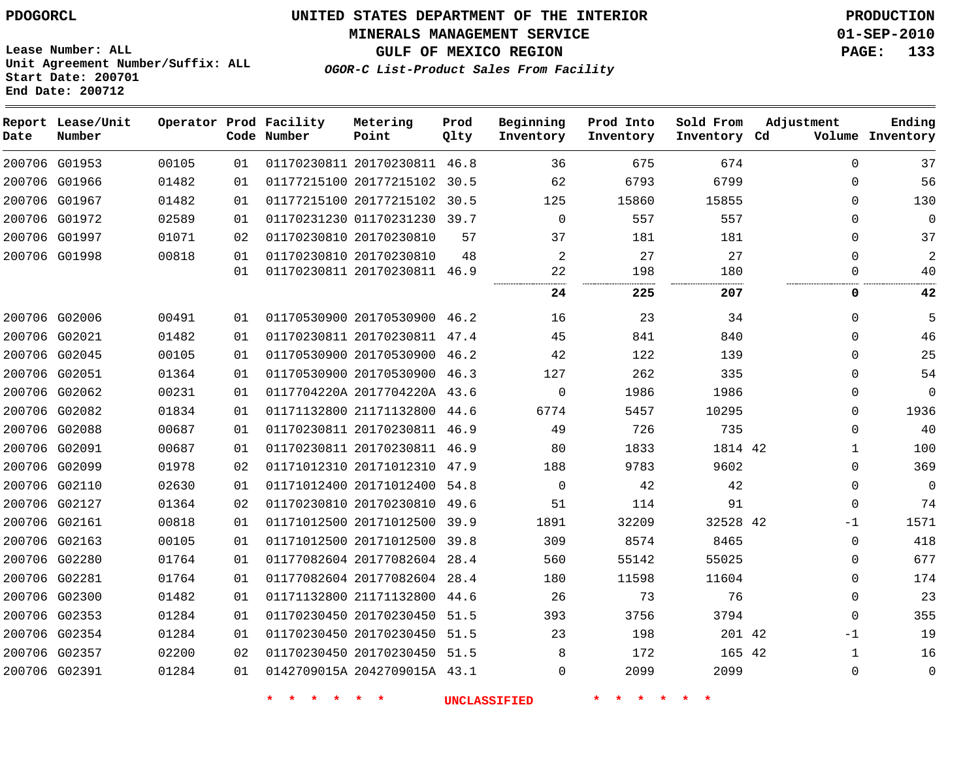#### **MINERALS MANAGEMENT SERVICE 01-SEP-2010**

**GULF OF MEXICO REGION PAGE: 133**

**Lease Number: ALL Unit Agreement Number/Suffix: ALL Start Date: 200701 End Date: 200712**

**OGOR-C List-Product Sales From Facility**

| Date | Report Lease/Unit<br>Number |       |    | Operator Prod Facility<br>Code Number | Metering<br>Point            | Prod<br>Qlty | Beginning<br>Inventory | Prod Into<br>Inventory | Sold From<br>Inventory Cd | Adjustment   | Ending<br>Volume Inventory |
|------|-----------------------------|-------|----|---------------------------------------|------------------------------|--------------|------------------------|------------------------|---------------------------|--------------|----------------------------|
|      | 200706 G01953               | 00105 | 01 |                                       | 01170230811 20170230811 46.8 |              | 36                     | 675                    | 674                       | $\Omega$     | 37                         |
|      | 200706 G01966               | 01482 | 01 |                                       | 01177215100 20177215102 30.5 |              | 62                     | 6793                   | 6799                      | $\mathbf{0}$ | 56                         |
|      | 200706 G01967               | 01482 | 01 |                                       | 01177215100 20177215102      | 30.5         | 125                    | 15860                  | 15855                     | $\mathbf{0}$ | 130                        |
|      | 200706 G01972               | 02589 | 01 |                                       | 01170231230 01170231230 39.7 |              | $\mathbf 0$            | 557                    | 557                       | 0            | $\mathbf 0$                |
|      | 200706 G01997               | 01071 | 02 |                                       | 01170230810 20170230810      | 57           | 37                     | 181                    | 181                       | $\mathbf{0}$ | 37                         |
|      | 200706 G01998               | 00818 | 01 |                                       | 01170230810 20170230810      | 48           | $\overline{a}$         | 27                     | 27                        | $\mathbf{0}$ | $\overline{2}$             |
|      |                             |       | 01 |                                       | 01170230811 20170230811 46.9 |              | 22                     | 198                    | 180                       | $\Omega$     | 40                         |
|      |                             |       |    |                                       |                              |              | 24                     | 225                    | 207                       | 0            | 42                         |
|      | 200706 G02006               | 00491 | 01 |                                       | 01170530900 20170530900 46.2 |              | 16                     | 23                     | 34                        | 0            | 5                          |
|      | 200706 G02021               | 01482 | 01 |                                       | 01170230811 20170230811 47.4 |              | 45                     | 841                    | 840                       | 0            | 46                         |
|      | 200706 G02045               | 00105 | 01 |                                       | 01170530900 20170530900 46.2 |              | 42                     | 122                    | 139                       | 0            | 25                         |
|      | 200706 G02051               | 01364 | 01 |                                       | 01170530900 20170530900 46.3 |              | 127                    | 262                    | 335                       | $\Omega$     | 54                         |
|      | 200706 G02062               | 00231 | 01 |                                       | 0117704220A 2017704220A 43.6 |              | 0                      | 1986                   | 1986                      | 0            | $\mathbf 0$                |
|      | 200706 G02082               | 01834 | 01 |                                       | 01171132800 21171132800 44.6 |              | 6774                   | 5457                   | 10295                     | 0            | 1936                       |
|      | 200706 G02088               | 00687 | 01 |                                       | 01170230811 20170230811 46.9 |              | 49                     | 726                    | 735                       | $\Omega$     | 40                         |
|      | 200706 G02091               | 00687 | 01 |                                       | 01170230811 20170230811 46.9 |              | 80                     | 1833                   | 1814 42                   | 1            | 100                        |
|      | 200706 G02099               | 01978 | 02 |                                       | 01171012310 20171012310 47.9 |              | 188                    | 9783                   | 9602                      | $\Omega$     | 369                        |
|      | 200706 G02110               | 02630 | 01 |                                       | 01171012400 20171012400 54.8 |              | $\mathbf 0$            | 42                     | 42                        | 0            | $\Omega$                   |
|      | 200706 G02127               | 01364 | 02 |                                       | 01170230810 20170230810 49.6 |              | 51                     | 114                    | 91                        | 0            | 74                         |
|      | 200706 G02161               | 00818 | 01 |                                       | 01171012500 20171012500 39.9 |              | 1891                   | 32209                  | 32528 42                  | -1           | 1571                       |
|      | 200706 G02163               | 00105 | 01 |                                       | 01171012500 20171012500 39.8 |              | 309                    | 8574                   | 8465                      | 0            | 418                        |
|      | 200706 G02280               | 01764 | 01 |                                       | 01177082604 20177082604 28.4 |              | 560                    | 55142                  | 55025                     | 0            | 677                        |
|      | 200706 G02281               | 01764 | 01 |                                       | 01177082604 20177082604 28.4 |              | 180                    | 11598                  | 11604                     | 0            | 174                        |
|      | 200706 G02300               | 01482 | 01 |                                       | 01171132800 21171132800 44.6 |              | 26                     | 73                     | 76                        | 0            | 23                         |
|      | 200706 G02353               | 01284 | 01 |                                       | 01170230450 20170230450 51.5 |              | 393                    | 3756                   | 3794                      | 0            | 355                        |
|      | 200706 G02354               | 01284 | 01 |                                       | 01170230450 20170230450 51.5 |              | 23                     | 198                    | 201 42                    | -1           | 19                         |
|      | 200706 G02357               | 02200 | 02 |                                       | 01170230450 20170230450 51.5 |              | 8                      | 172                    | 165 42                    | $\mathbf{1}$ | 16                         |
|      | 200706 G02391               | 01284 | 01 |                                       | 0142709015A 2042709015A 43.1 |              | $\Omega$               | 2099                   | 2099                      | $\Omega$     | 0                          |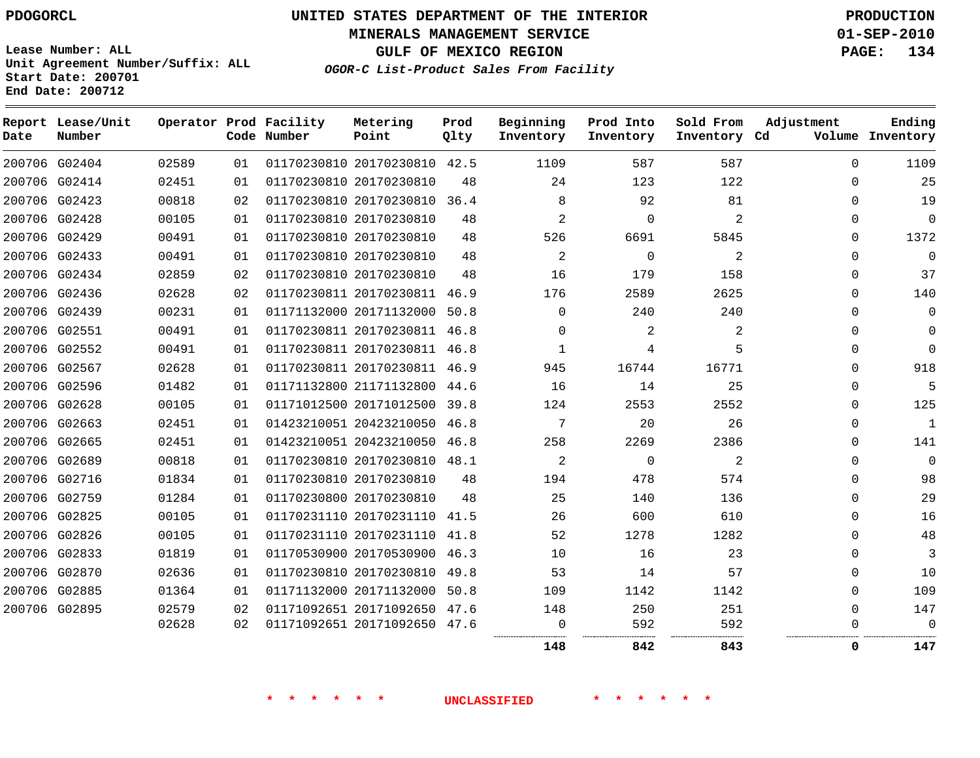**Start Date: 200701 End Date: 200712**

**Unit Agreement Number/Suffix: ALL**

# **UNITED STATES DEPARTMENT OF THE INTERIOR PDOGORCL PRODUCTION**

**MINERALS MANAGEMENT SERVICE 01-SEP-2010**

**GULF OF MEXICO REGION PAGE: 134**

**OGOR-C List-Product Sales From Facility**

| Date | Report Lease/Unit<br>Number |       |    | Operator Prod Facility<br>Code Number | Metering<br>Point            | Prod<br>Qlty | Beginning<br>Inventory | Prod Into<br>Inventory | Sold From<br>Inventory Cd | Adjustment  | Ending<br>Volume Inventory |
|------|-----------------------------|-------|----|---------------------------------------|------------------------------|--------------|------------------------|------------------------|---------------------------|-------------|----------------------------|
|      | 200706 G02404               | 02589 | 01 |                                       | 01170230810 20170230810 42.5 |              | 1109                   | 587                    | 587                       | $\Omega$    | 1109                       |
|      | 200706 G02414               | 02451 | 01 |                                       | 01170230810 20170230810      | 48           | 24                     | 123                    | 122                       | $\Omega$    | 25                         |
|      | 200706 G02423               | 00818 | 02 |                                       | 01170230810 20170230810      | 36.4         | 8                      | 92                     | 81                        | $\mathbf 0$ | 19                         |
|      | 200706 G02428               | 00105 | 01 |                                       | 01170230810 20170230810      | 48           | 2                      | $\Omega$               | 2                         | 0           | $\mathbf 0$                |
|      | 200706 G02429               | 00491 | 01 |                                       | 01170230810 20170230810      | 48           | 526                    | 6691                   | 5845                      | 0           | 1372                       |
|      | 200706 G02433               | 00491 | 01 |                                       | 01170230810 20170230810      | 48           | 2                      | $\Omega$               | 2                         | $\Omega$    | $\mathbf 0$                |
|      | 200706 G02434               | 02859 | 02 |                                       | 01170230810 20170230810      | 48           | 16                     | 179                    | 158                       | $\mathbf 0$ | 37                         |
|      | 200706 G02436               | 02628 | 02 |                                       | 01170230811 20170230811      | 46.9         | 176                    | 2589                   | 2625                      | $\Omega$    | 140                        |
|      | 200706 G02439               | 00231 | 01 |                                       | 01171132000 20171132000      | 50.8         | 0                      | 240                    | 240                       | $\Omega$    | $\mathbf 0$                |
|      | 200706 G02551               | 00491 | 01 |                                       | 01170230811 20170230811      | 46.8         | $\Omega$               | 2                      | 2                         | 0           | $\Omega$                   |
|      | 200706 G02552               | 00491 | 01 |                                       | 01170230811 20170230811 46.8 |              | 1                      | 4                      | 5                         | $\mathbf 0$ | $\Omega$                   |
|      | 200706 G02567               | 02628 | 01 |                                       | 01170230811 20170230811      | 46.9         | 945                    | 16744                  | 16771                     | 0           | 918                        |
|      | 200706 G02596               | 01482 | 01 |                                       | 01171132800 21171132800      | 44.6         | 16                     | 14                     | 25                        | $\mathbf 0$ | 5                          |
|      | 200706 G02628               | 00105 | 01 |                                       | 01171012500 20171012500      | 39.8         | 124                    | 2553                   | 2552                      | 0           | 125                        |
|      | 200706 G02663               | 02451 | 01 |                                       | 01423210051 20423210050      | 46.8         | 7                      | 20                     | 26                        | 0           | 1                          |
|      | 200706 G02665               | 02451 | 01 |                                       | 01423210051 20423210050      | 46.8         | 258                    | 2269                   | 2386                      | 0           | 141                        |
|      | 200706 G02689               | 00818 | 01 |                                       | 01170230810 20170230810      | 48.1         | 2                      | 0                      | 2                         | $\mathbf 0$ | $\mathbf 0$                |
|      | 200706 G02716               | 01834 | 01 |                                       | 01170230810 20170230810      | 48           | 194                    | 478                    | 574                       | $\mathbf 0$ | 98                         |
|      | 200706 G02759               | 01284 | 01 |                                       | 01170230800 20170230810      | 48           | 25                     | 140                    | 136                       | $\Omega$    | 29                         |
|      | 200706 G02825               | 00105 | 01 |                                       | 01170231110 20170231110      | 41.5         | 26                     | 600                    | 610                       | $\Omega$    | 16                         |
|      | 200706 G02826               | 00105 | 01 |                                       | 01170231110 20170231110      | 41.8         | 52                     | 1278                   | 1282                      | $\Omega$    | 48                         |
|      | 200706 G02833               | 01819 | 01 |                                       | 01170530900 20170530900      | 46.3         | 10                     | 16                     | 23                        | 0           | 3                          |
|      | 200706 G02870               | 02636 | 01 |                                       | 01170230810 20170230810      | 49.8         | 53                     | 14                     | 57                        | $\mathbf 0$ | 10                         |
|      | 200706 G02885               | 01364 | 01 |                                       | 01171132000 20171132000      | 50.8         | 109                    | 1142                   | 1142                      | $\Omega$    | 109                        |
|      | 200706 G02895               | 02579 | 02 |                                       | 01171092651 20171092650      | 47.6         | 148                    | 250                    | 251                       | $\mathbf 0$ | 147                        |
|      |                             | 02628 | 02 |                                       | 01171092651 20171092650 47.6 |              | $\Omega$               | 592                    | 592                       | $\Omega$    | $\Omega$                   |
|      |                             |       |    |                                       |                              |              | 148                    | 842                    | 843                       | 0           | 147                        |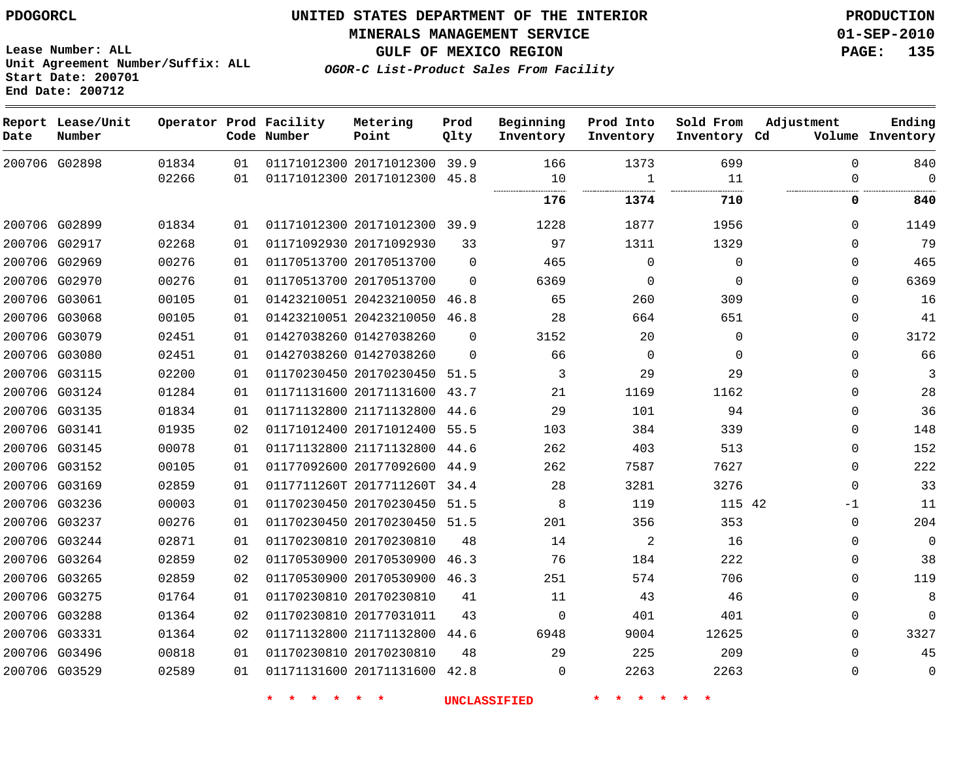**MINERALS MANAGEMENT SERVICE 01-SEP-2010**

**GULF OF MEXICO REGION PAGE: 135**

**OGOR-C List-Product Sales From Facility**

**Lease Number: ALL Unit Agreement Number/Suffix: ALL Start Date: 200701 End Date: 200712**

| Date | Report Lease/Unit<br>Number |       |    | Operator Prod Facility<br>Code Number | Metering<br>Point            | Prod<br>Qlty | Beginning<br>Inventory | Prod Into<br>Inventory | Sold From<br>Inventory Cd | Adjustment  | Ending<br>Volume Inventory |
|------|-----------------------------|-------|----|---------------------------------------|------------------------------|--------------|------------------------|------------------------|---------------------------|-------------|----------------------------|
|      | 200706 G02898               | 01834 | 01 |                                       | 01171012300 20171012300 39.9 |              | 166                    | 1373                   | 699                       | $\Omega$    | 840                        |
|      |                             | 02266 | 01 |                                       | 01171012300 20171012300 45.8 |              | 10<br>                 | $\mathbf{1}$           | 11                        | $\Omega$    | $\mathbf 0$                |
|      |                             |       |    |                                       |                              |              | 176                    | 1374                   | 710                       | 0           | 840                        |
|      | 200706 G02899               | 01834 | 01 |                                       | 01171012300 20171012300 39.9 |              | 1228                   | 1877                   | 1956                      | $\Omega$    | 1149                       |
|      | 200706 G02917               | 02268 | 01 |                                       | 01171092930 20171092930      | 33           | 97                     | 1311                   | 1329                      | $\Omega$    | 79                         |
|      | 200706 G02969               | 00276 | 01 |                                       | 01170513700 20170513700      | $\Omega$     | 465                    | $\Omega$               | $\Omega$                  | $\Omega$    | 465                        |
|      | 200706 G02970               | 00276 | 01 |                                       | 01170513700 20170513700      | $\Omega$     | 6369                   | 0                      | $\Omega$                  | 0           | 6369                       |
|      | 200706 G03061               | 00105 | 01 |                                       | 01423210051 20423210050      | 46.8         | 65                     | 260                    | 309                       | 0           | 16                         |
|      | 200706 G03068               | 00105 | 01 |                                       | 01423210051 20423210050      | 46.8         | 28                     | 664                    | 651                       | $\mathbf 0$ | 41                         |
|      | 200706 G03079               | 02451 | 01 |                                       | 01427038260 01427038260      | $\Omega$     | 3152                   | 20                     | $\Omega$                  | 0           | 3172                       |
|      | 200706 G03080               | 02451 | 01 |                                       | 01427038260 01427038260      | $\Omega$     | 66                     | $\Omega$               | $\Omega$                  | $\Omega$    | 66                         |
|      | 200706 G03115               | 02200 | 01 |                                       | 01170230450 20170230450      | 51.5         | 3                      | 29                     | 29                        | 0           | 3                          |
|      | 200706 G03124               | 01284 | 01 |                                       | 01171131600 20171131600 43.7 |              | 21                     | 1169                   | 1162                      | 0           | 28                         |
|      | 200706 G03135               | 01834 | 01 |                                       | 01171132800 21171132800 44.6 |              | 29                     | 101                    | 94                        | 0           | 36                         |
|      | 200706 G03141               | 01935 | 02 |                                       | 01171012400 20171012400 55.5 |              | 103                    | 384                    | 339                       | $\Omega$    | 148                        |
|      | 200706 G03145               | 00078 | 01 |                                       | 01171132800 21171132800      | 44.6         | 262                    | 403                    | 513                       | $\Omega$    | 152                        |
|      | 200706 G03152               | 00105 | 01 |                                       | 01177092600 20177092600      | 44.9         | 262                    | 7587                   | 7627                      | 0           | 222                        |
|      | 200706 G03169               | 02859 | 01 |                                       | 0117711260T 2017711260T      | 34.4         | 28                     | 3281                   | 3276                      | $\mathbf 0$ | 33                         |
|      | 200706 G03236               | 00003 | 01 |                                       | 01170230450 20170230450 51.5 |              | 8                      | 119                    | 115 42                    | -1          | 11                         |
|      | 200706 G03237               | 00276 | 01 |                                       | 01170230450 20170230450 51.5 |              | 201                    | 356                    | 353                       | 0           | 204                        |
|      | 200706 G03244               | 02871 | 01 |                                       | 01170230810 20170230810      | 48           | 14                     | 2                      | 16                        | 0           | $\mathbf 0$                |
|      | 200706 G03264               | 02859 | 02 |                                       | 01170530900 20170530900      | 46.3         | 76                     | 184                    | 222                       | 0           | 38                         |
|      | 200706 G03265               | 02859 | 02 |                                       | 01170530900 20170530900 46.3 |              | 251                    | 574                    | 706                       | 0           | 119                        |
|      | 200706 G03275               | 01764 | 01 |                                       | 01170230810 20170230810      | 41           | 11                     | 43                     | 46                        | $\mathbf 0$ | 8                          |
|      | 200706 G03288               | 01364 | 02 |                                       | 01170230810 20177031011      | 43           | $\Omega$               | 401                    | 401                       | 0           | $\Omega$                   |
|      | 200706 G03331               | 01364 | 02 |                                       | 01171132800 21171132800      | 44.6         | 6948                   | 9004                   | 12625                     | 0           | 3327                       |
|      | 200706 G03496               | 00818 | 01 |                                       | 01170230810 20170230810      | 48           | 29                     | 225                    | 209                       | 0           | 45                         |
|      | 200706 G03529               | 02589 | 01 |                                       | 01171131600 20171131600 42.8 |              | 0                      | 2263                   | 2263                      | 0           | $\mathbf 0$                |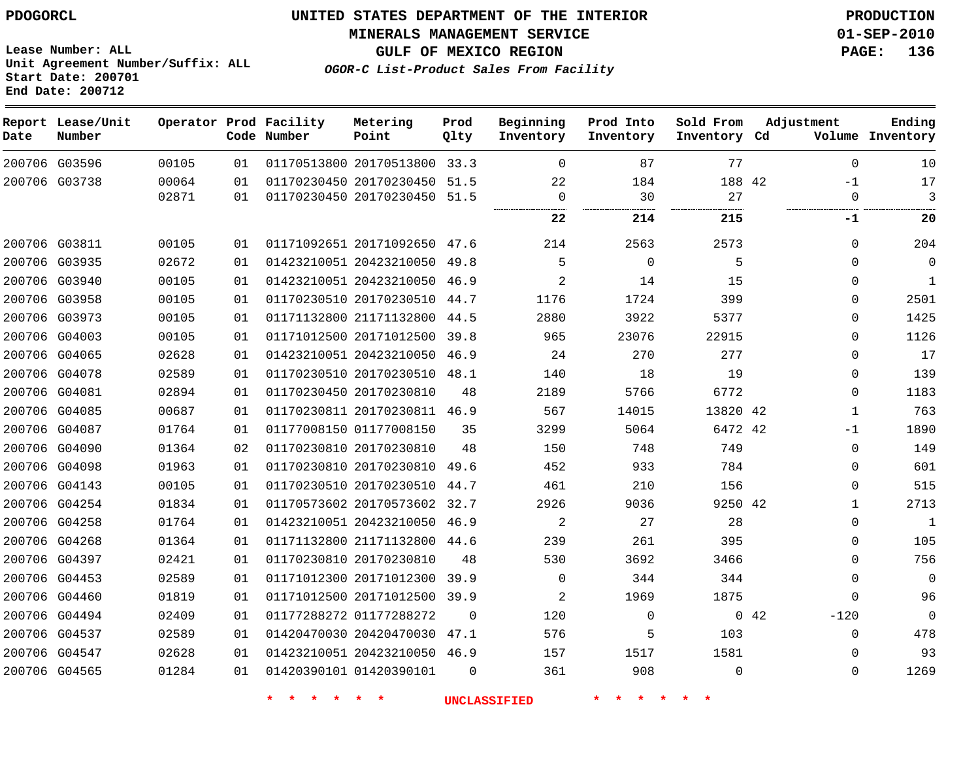**Start Date: 200701 End Date: 200712**

**Unit Agreement Number/Suffix: ALL**

# **UNITED STATES DEPARTMENT OF THE INTERIOR PDOGORCL PRODUCTION**

**MINERALS MANAGEMENT SERVICE 01-SEP-2010**

**GULF OF MEXICO REGION PAGE: 136**

**OGOR-C List-Product Sales From Facility**

| Date          | Report Lease/Unit<br>Number |                |          | Operator Prod Facility<br>Code Number | Metering<br>Point                                            | Prod<br>Qlty | Beginning<br>Inventory | Prod Into<br>Inventory | Sold From<br>Inventory Cd | Adjustment       | Ending<br>Volume Inventory |
|---------------|-----------------------------|----------------|----------|---------------------------------------|--------------------------------------------------------------|--------------|------------------------|------------------------|---------------------------|------------------|----------------------------|
|               | 200706 G03596               | 00105          | 01       |                                       | 01170513800 20170513800 33.3                                 |              | $\Omega$               | 87                     | 77                        | $\Omega$         | 10                         |
|               | 200706 G03738               | 00064<br>02871 | 01<br>01 |                                       | 01170230450 20170230450 51.5<br>01170230450 20170230450 51.5 |              | 22<br>$\Omega$         | 184<br>30              | 188 42<br>27              | $-1$<br>$\Omega$ | $17$<br>3                  |
|               |                             |                |          |                                       |                                                              |              | 22                     | 214                    | 215                       | $-1$             | 20                         |
| 200706 G03811 |                             | 00105          | 01       |                                       | 01171092651 20171092650 47.6                                 |              | 214                    | 2563                   | 2573                      | $\mathbf 0$      | 204                        |
|               | 200706 G03935               | 02672          | 01       |                                       | 01423210051 20423210050                                      | 49.8         | 5                      | $\mathbf 0$            | 5                         | $\Omega$         | $\mathbf 0$                |
|               | 200706 G03940               | 00105          | 01       |                                       | 01423210051 20423210050 46.9                                 |              | 2                      | 14                     | 15                        | $\Omega$         | 1                          |
|               | 200706 G03958               | 00105          | 01       |                                       | 01170230510 20170230510                                      | 44.7         | 1176                   | 1724                   | 399                       | $\Omega$         | 2501                       |
|               | 200706 G03973               | 00105          | 01       |                                       | 01171132800 21171132800                                      | 44.5         | 2880                   | 3922                   | 5377                      | $\Omega$         | 1425                       |
|               | 200706 G04003               | 00105          | 01       |                                       | 01171012500 20171012500                                      | 39.8         | 965                    | 23076                  | 22915                     | $\Omega$         | 1126                       |
|               | 200706 G04065               | 02628          | 01       |                                       | 01423210051 20423210050                                      | 46.9         | 24                     | 270                    | 277                       | $\mathbf 0$      | 17                         |
|               | 200706 G04078               | 02589          | 01       |                                       | 01170230510 20170230510                                      | 48.1         | 140                    | 18                     | 19                        | $\Omega$         | 139                        |
| 200706 G04081 |                             | 02894          | 01       |                                       | 01170230450 20170230810                                      | 48           | 2189                   | 5766                   | 6772                      | $\Omega$         | 1183                       |
| 200706 G04085 |                             | 00687          | 01       |                                       | 01170230811 20170230811 46.9                                 |              | 567                    | 14015                  | 13820 42                  | 1                | 763                        |
| 200706 G04087 |                             | 01764          | 01       |                                       | 01177008150 01177008150                                      | 35           | 3299                   | 5064                   | 6472 42                   | $-1$             | 1890                       |
|               | 200706 G04090               | 01364          | 02       |                                       | 01170230810 20170230810                                      | 48           | 150                    | 748                    | 749                       | $\Omega$         | 149                        |
|               | 200706 G04098               | 01963          | 01       |                                       | 01170230810 20170230810                                      | 49.6         | 452                    | 933                    | 784                       | $\Omega$         | 601                        |
| 200706 G04143 |                             | 00105          | 01       |                                       | 01170230510 20170230510                                      | 44.7         | 461                    | 210                    | 156                       | $\Omega$         | 515                        |
|               | 200706 G04254               | 01834          | 01       |                                       | 01170573602 20170573602                                      | 32.7         | 2926                   | 9036                   | 9250 42                   | 1                | 2713                       |
| 200706 G04258 |                             | 01764          | 01       |                                       | 01423210051 20423210050                                      | 46.9         | 2                      | 27                     | 28                        | $\Omega$         | 1                          |
| 200706 G04268 |                             | 01364          | 01       |                                       | 01171132800 21171132800 44.6                                 |              | 239                    | 261                    | 395                       | $\Omega$         | 105                        |
| 200706 G04397 |                             | 02421          | 01       |                                       | 01170230810 20170230810                                      | 48           | 530                    | 3692                   | 3466                      | $\Omega$         | 756                        |
|               | 200706 G04453               | 02589          | 01       |                                       | 01171012300 20171012300 39.9                                 |              | $\Omega$               | 344                    | 344                       | $\Omega$         | $\Omega$                   |
|               | 200706 G04460               | 01819          | 01       |                                       | 01171012500 20171012500                                      | 39.9         | 2                      | 1969                   | 1875                      | $\Omega$         | 96                         |
|               | 200706 G04494               | 02409          | 01       |                                       | 01177288272 01177288272                                      | $\Omega$     | 120                    | $\Omega$               |                           | 042<br>$-120$    | $\Omega$                   |
| 200706 G04537 |                             | 02589          | 01       |                                       | 01420470030 20420470030                                      | 47.1         | 576                    | 5                      | 103                       | $\Omega$         | 478                        |
| 200706 G04547 |                             | 02628          | 01       |                                       | 01423210051 20423210050 46.9                                 |              | 157                    | 1517                   | 1581                      | $\Omega$         | 93                         |
| 200706 G04565 |                             | 01284          | 01       |                                       | 01420390101 01420390101                                      | $\Omega$     | 361                    | 908                    | $\mathbf 0$               | $\Omega$         | 1269                       |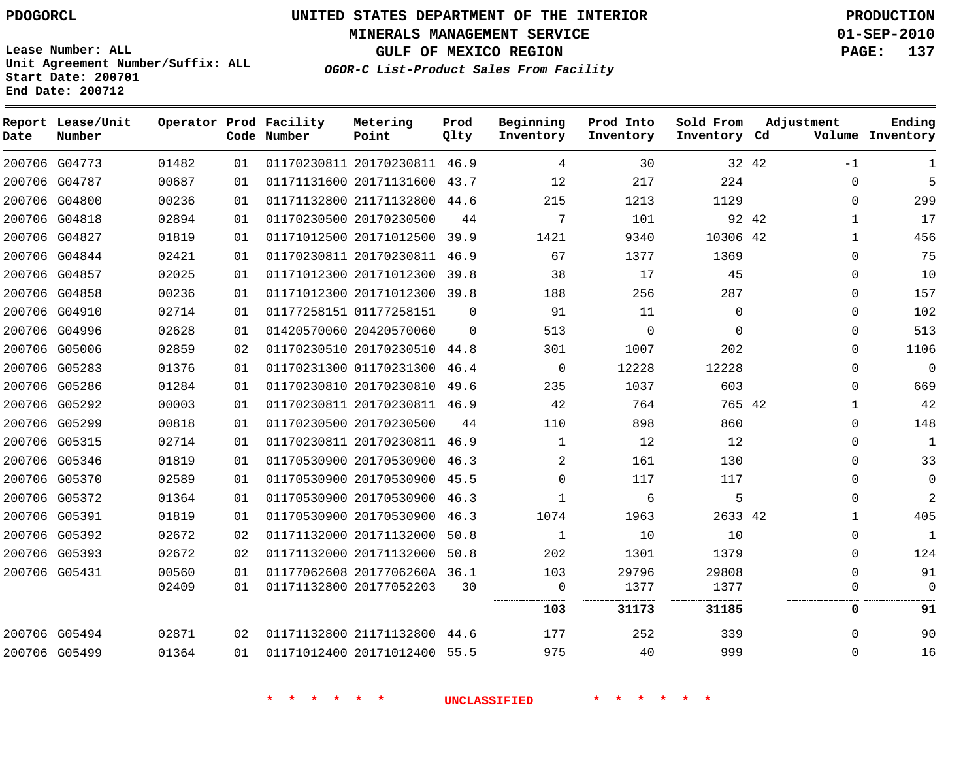**Start Date: 200701 End Date: 200712**

**Unit Agreement Number/Suffix: ALL**

# **UNITED STATES DEPARTMENT OF THE INTERIOR PDOGORCL PRODUCTION**

**MINERALS MANAGEMENT SERVICE 01-SEP-2010**

**GULF OF MEXICO REGION PAGE: 137**

**OGOR-C List-Product Sales From Facility**

| Date | Report Lease/Unit<br>Number |       |    | Operator Prod Facility<br>Code Number | Metering<br>Point            | Prod<br>Qlty | Beginning<br>Inventory | Prod Into<br>Inventory | Sold From<br>Inventory Cd | Adjustment   | Ending<br>Volume Inventory |
|------|-----------------------------|-------|----|---------------------------------------|------------------------------|--------------|------------------------|------------------------|---------------------------|--------------|----------------------------|
|      | 200706 G04773               | 01482 | 01 |                                       | 01170230811 20170230811      | 46.9         | 4                      | 30                     | 32 42                     | $-1$         | 1                          |
|      | 200706 G04787               | 00687 | 01 |                                       | 01171131600 20171131600      | 43.7         | 12                     | 217                    | 224                       | $\mathbf 0$  | 5                          |
|      | 200706 G04800               | 00236 | 01 |                                       | 01171132800 21171132800 44.6 |              | 215                    | 1213                   | 1129                      | $\Omega$     | 299                        |
|      | 200706 G04818               | 02894 | 01 |                                       | 01170230500 20170230500      | 44           | 7                      | 101                    | 92 42                     | 1            | 17                         |
|      | 200706 G04827               | 01819 | 01 |                                       | 01171012500 20171012500      | 39.9         | 1421                   | 9340                   | 10306 42                  | $\mathbf{1}$ | 456                        |
|      | 200706 G04844               | 02421 | 01 |                                       | 01170230811 20170230811      | 46.9         | 67                     | 1377                   | 1369                      | $\Omega$     | 75                         |
|      | 200706 G04857               | 02025 | 01 |                                       | 01171012300 20171012300      | 39.8         | 38                     | 17                     | 45                        | $\Omega$     | 10                         |
|      | 200706 G04858               | 00236 | 01 |                                       | 01171012300 20171012300      | 39.8         | 188                    | 256                    | 287                       | $\Omega$     | 157                        |
|      | 200706 G04910               | 02714 | 01 |                                       | 01177258151 01177258151      | $\Omega$     | 91                     | 11                     | $\Omega$                  | $\Omega$     | 102                        |
|      | 200706 G04996               | 02628 | 01 |                                       | 01420570060 20420570060      | $\Omega$     | 513                    | $\Omega$               | $\mathbf 0$               | $\mathbf 0$  | 513                        |
|      | 200706 G05006               | 02859 | 02 |                                       | 01170230510 20170230510      | 44.8         | 301                    | 1007                   | 202                       | $\mathbf 0$  | 1106                       |
|      | 200706 G05283               | 01376 | 01 |                                       | 01170231300 01170231300      | 46.4         | $\mathbf 0$            | 12228                  | 12228                     | $\Omega$     | $\Omega$                   |
|      | 200706 G05286               | 01284 | 01 |                                       | 01170230810 20170230810      | 49.6         | 235                    | 1037                   | 603                       | $\mathbf 0$  | 669                        |
|      | 200706 G05292               | 00003 | 01 |                                       | 01170230811 20170230811 46.9 |              | 42                     | 764                    | 765 42                    | 1            | 42                         |
|      | 200706 G05299               | 00818 | 01 |                                       | 01170230500 20170230500      | 44           | 110                    | 898                    | 860                       | $\mathbf 0$  | 148                        |
|      | 200706 G05315               | 02714 | 01 |                                       | 01170230811 20170230811 46.9 |              | 1                      | 12                     | 12                        | $\Omega$     | 1                          |
|      | 200706 G05346               | 01819 | 01 |                                       | 01170530900 20170530900      | 46.3         | 2                      | 161                    | 130                       | $\mathbf 0$  | 33                         |
|      | 200706 G05370               | 02589 | 01 |                                       | 01170530900 20170530900      | 45.5         | $\mathbf 0$            | 117                    | 117                       | $\mathbf 0$  | $\Omega$                   |
|      | 200706 G05372               | 01364 | 01 |                                       | 01170530900 20170530900      | 46.3         | 1                      | 6                      | 5                         | $\Omega$     | 2                          |
|      | 200706 G05391               | 01819 | 01 |                                       | 01170530900 20170530900      | 46.3         | 1074                   | 1963                   | 2633 42                   | $\mathbf{1}$ | 405                        |
|      | 200706 G05392               | 02672 | 02 |                                       | 01171132000 20171132000      | 50.8         | 1                      | 10                     | 10                        | $\mathbf 0$  | 1                          |
|      | 200706 G05393               | 02672 | 02 |                                       | 01171132000 20171132000      | 50.8         | 202                    | 1301                   | 1379                      | $\Omega$     | 124                        |
|      | 200706 G05431               | 00560 | 01 |                                       | 01177062608 2017706260A 36.1 |              | 103                    | 29796                  | 29808                     | $\mathbf 0$  | 91                         |
|      |                             | 02409 | 01 |                                       | 01171132800 20177052203      | 30           | $\mathbf 0$            | 1377                   | 1377                      | $\Omega$     | $\Omega$                   |
|      |                             |       |    |                                       |                              |              | 103                    | 31173                  | 31185                     | 0            | 91                         |
|      | 200706 G05494               | 02871 | 02 |                                       | 01171132800 21171132800      | 44.6         | 177                    | 252                    | 339                       | $\Omega$     | 90                         |
|      | 200706 G05499               | 01364 | 01 |                                       | 01171012400 20171012400 55.5 |              | 975                    | 40                     | 999                       | $\Omega$     | 16                         |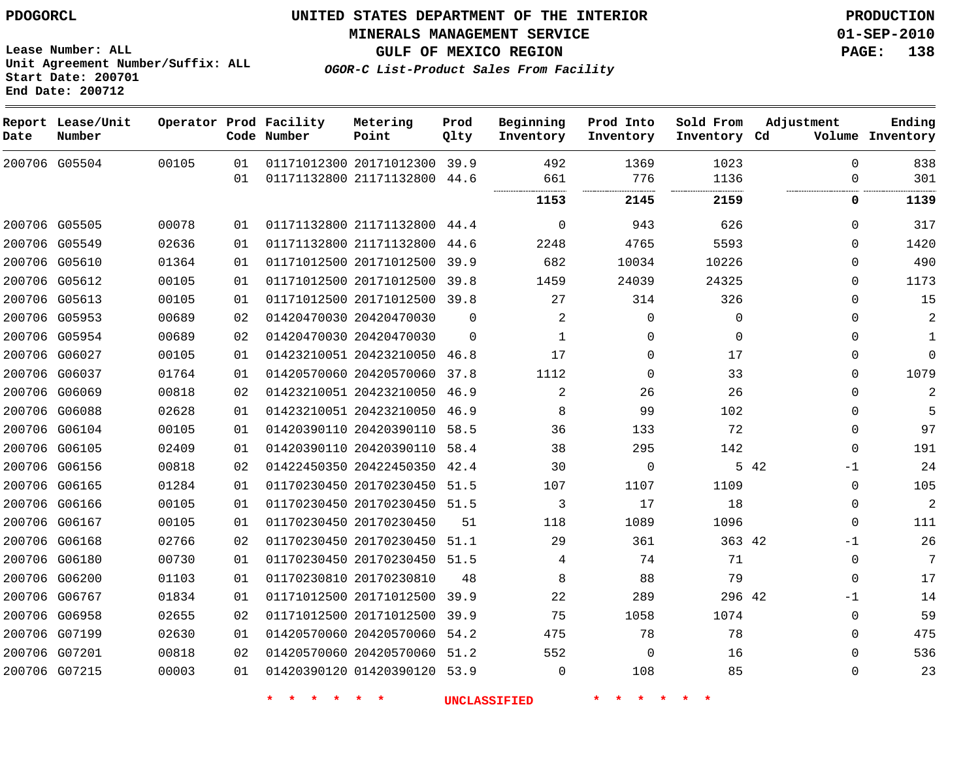**Start Date: 200701 End Date: 200712**

**Unit Agreement Number/Suffix: ALL**

# **UNITED STATES DEPARTMENT OF THE INTERIOR PDOGORCL PRODUCTION**

**MINERALS MANAGEMENT SERVICE 01-SEP-2010**

**GULF OF MEXICO REGION PAGE: 138**

**OGOR-C List-Product Sales From Facility**

| Date          | Report Lease/Unit<br>Number |       |    | Operator Prod Facility<br>Code Number | Metering<br>Point            | Prod<br>Qlty | Beginning<br>Inventory | Prod Into<br>Inventory | Sold From<br>Inventory Cd | Adjustment  | Ending<br>Volume Inventory |
|---------------|-----------------------------|-------|----|---------------------------------------|------------------------------|--------------|------------------------|------------------------|---------------------------|-------------|----------------------------|
|               | 200706 G05504               | 00105 | 01 |                                       | 01171012300 20171012300 39.9 |              | 492                    | 1369                   | 1023                      | $\Omega$    | 838                        |
|               |                             |       | 01 |                                       | 01171132800 21171132800 44.6 |              | 661                    | 776                    | 1136                      | $\mathbf 0$ | 301                        |
|               |                             |       |    |                                       |                              |              | 1153                   | 2145                   | 2159                      | 0           | 1139                       |
| 200706 G05505 |                             | 00078 | 01 |                                       | 01171132800 21171132800 44.4 |              | $\Omega$               | 943                    | 626                       | $\Omega$    | 317                        |
|               | 200706 G05549               | 02636 | 01 |                                       | 01171132800 21171132800      | 44.6         | 2248                   | 4765                   | 5593                      | 0           | 1420                       |
| 200706 G05610 |                             | 01364 | 01 |                                       | 01171012500 20171012500      | 39.9         | 682                    | 10034                  | 10226                     | 0           | 490                        |
| 200706 G05612 |                             | 00105 | 01 |                                       | 01171012500 20171012500      | 39.8         | 1459                   | 24039                  | 24325                     | 0           | 1173                       |
| 200706 G05613 |                             | 00105 | 01 |                                       | 01171012500 20171012500 39.8 |              | 27                     | 314                    | 326                       | 0           | 15                         |
| 200706 G05953 |                             | 00689 | 02 |                                       | 01420470030 20420470030      | 0            | 2                      | $\mathbf 0$            | $\mathbf 0$               | $\mathbf 0$ | $\mathbf{2}$               |
|               | 200706 G05954               | 00689 | 02 |                                       | 01420470030 20420470030      | $\Omega$     | $\mathbf{1}$           | $\Omega$               | $\mathbf 0$               | $\Omega$    | 1                          |
| 200706 G06027 |                             | 00105 | 01 |                                       | 01423210051 20423210050      | 46.8         | 17                     | 0                      | 17                        | 0           | $\mathbf 0$                |
| 200706 G06037 |                             | 01764 | 01 |                                       | 01420570060 20420570060      | 37.8         | 1112                   | $\Omega$               | 33                        | $\Omega$    | 1079                       |
|               | 200706 G06069               | 00818 | 02 |                                       | 01423210051 20423210050      | 46.9         | 2                      | 26                     | 26                        | 0           | 2                          |
| 200706 G06088 |                             | 02628 | 01 |                                       | 01423210051 20423210050 46.9 |              | 8                      | 99                     | 102                       | $\mathbf 0$ | 5                          |
| 200706 G06104 |                             | 00105 | 01 |                                       | 01420390110 20420390110      | 58.5         | 36                     | 133                    | 72                        | 0           | 97                         |
| 200706 G06105 |                             | 02409 | 01 |                                       | 01420390110 20420390110      | 58.4         | 38                     | 295                    | 142                       | $\Omega$    | 191                        |
| 200706 G06156 |                             | 00818 | 02 |                                       | 01422450350 20422450350      | 42.4         | 30                     | 0                      |                           | 5 42<br>-1  | 24                         |
| 200706 G06165 |                             | 01284 | 01 |                                       | 01170230450 20170230450      | 51.5         | 107                    | 1107                   | 1109                      | $\mathbf 0$ | 105                        |
|               | 200706 G06166               | 00105 | 01 |                                       | 01170230450 20170230450 51.5 |              | 3                      | 17                     | 18                        | 0           | $\overline{c}$             |
| 200706 G06167 |                             | 00105 | 01 |                                       | 01170230450 20170230450      | 51           | 118                    | 1089                   | 1096                      | $\mathbf 0$ | 111                        |
| 200706 G06168 |                             | 02766 | 02 |                                       | 01170230450 20170230450      | 51.1         | 29                     | 361                    | 363 42                    | $-1$        | 26                         |
| 200706 G06180 |                             | 00730 | 01 |                                       | 01170230450 20170230450 51.5 |              | 4                      | 74                     | 71                        | $\mathbf 0$ | 7                          |
| 200706 G06200 |                             | 01103 | 01 |                                       | 01170230810 20170230810      | 48           | 8                      | 88                     | 79                        | $\mathbf 0$ | 17                         |
| 200706 G06767 |                             | 01834 | 01 |                                       | 01171012500 20171012500      | 39.9         | 22                     | 289                    | 296 42                    | $-1$        | 14                         |
| 200706 G06958 |                             | 02655 | 02 |                                       | 01171012500 20171012500      | 39.9         | 75                     | 1058                   | 1074                      | $\mathbf 0$ | 59                         |
| 200706 G07199 |                             | 02630 | 01 |                                       | 01420570060 20420570060      | 54.2         | 475                    | 78                     | 78                        | $\mathbf 0$ | 475                        |
| 200706 G07201 |                             | 00818 | 02 |                                       | 01420570060 20420570060 51.2 |              | 552                    | $\Omega$               | 16                        | $\Omega$    | 536                        |
| 200706 G07215 |                             | 00003 | 01 |                                       | 01420390120 01420390120 53.9 |              | $\mathbf 0$            | 108                    | 85                        | $\mathbf 0$ | 23                         |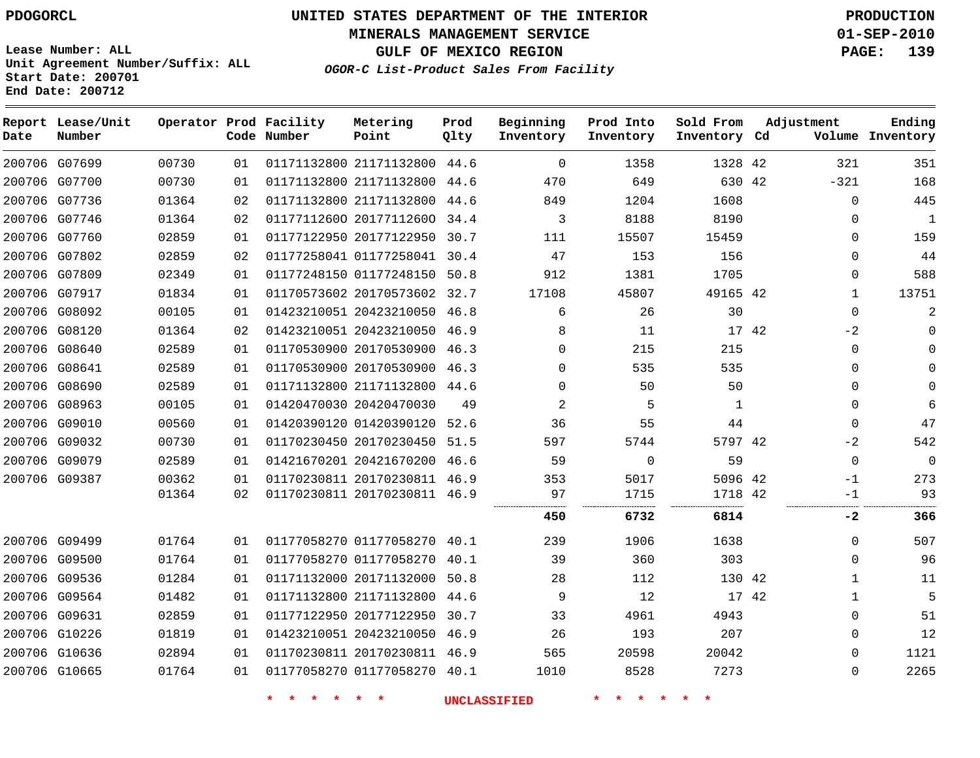**MINERALS MANAGEMENT SERVICE 01-SEP-2010**

**GULF OF MEXICO REGION PAGE: 139**

**Lease Number: ALL Unit Agreement Number/Suffix: ALL Start Date: 200701 End Date: 200712**

**OGOR-C List-Product Sales From Facility**

| Date | Report Lease/Unit<br>Number |       |    | Operator Prod Facility<br>Code Number | Metering<br>Point            | Prod<br>Qlty | Beginning<br>Inventory | Prod Into<br>Inventory | Sold From<br>Inventory Cd | Adjustment |              | Ending<br>Volume Inventory |
|------|-----------------------------|-------|----|---------------------------------------|------------------------------|--------------|------------------------|------------------------|---------------------------|------------|--------------|----------------------------|
|      | 200706 G07699               | 00730 | 01 |                                       | 01171132800 21171132800      | 44.6         | $\mathbf 0$            | 1358                   | 1328 42                   |            | 321          | 351                        |
|      | 200706 G07700               | 00730 | 01 |                                       | 01171132800 21171132800 44.6 |              | 470                    | 649                    | 630 42                    |            | $-321$       | 168                        |
|      | 200706 G07736               | 01364 | 02 |                                       | 01171132800 21171132800      | 44.6         | 849                    | 1204                   | 1608                      |            | $\mathbf 0$  | 445                        |
|      | 200706 G07746               | 01364 | 02 |                                       | 01177112600 20177112600 34.4 |              | 3                      | 8188                   | 8190                      |            | 0            | $\mathbf{1}$               |
|      | 200706 G07760               | 02859 | 01 |                                       | 01177122950 20177122950      | 30.7         | 111                    | 15507                  | 15459                     |            | $\Omega$     | 159                        |
|      | 200706 G07802               | 02859 | 02 |                                       | 01177258041 01177258041 30.4 |              | 47                     | 153                    | 156                       |            | $\Omega$     | 44                         |
|      | 200706 G07809               | 02349 | 01 |                                       | 01177248150 01177248150 50.8 |              | 912                    | 1381                   | 1705                      |            | $\Omega$     | 588                        |
|      | 200706 G07917               | 01834 | 01 |                                       | 01170573602 20170573602 32.7 |              | 17108                  | 45807                  | 49165 42                  |            | $\mathbf{1}$ | 13751                      |
|      | 200706 G08092               | 00105 | 01 |                                       | 01423210051 20423210050 46.8 |              | 6                      | 26                     | 30                        |            | $\mathbf{0}$ | $\overline{a}$             |
|      | 200706 G08120               | 01364 | 02 |                                       | 01423210051 20423210050 46.9 |              | 8                      | 11                     | 17 42                     |            | $-2$         | $\Omega$                   |
|      | 200706 G08640               | 02589 | 01 |                                       | 01170530900 20170530900 46.3 |              | $\Omega$               | 215                    | 215                       |            | 0            | $\Omega$                   |
|      | 200706 G08641               | 02589 | 01 |                                       | 01170530900 20170530900 46.3 |              | $\Omega$               | 535                    | 535                       |            | $\Omega$     | $\Omega$                   |
|      | 200706 G08690               | 02589 | 01 |                                       | 01171132800 21171132800      | 44.6         | $\mathbf 0$            | 50                     | 50                        |            | 0            | $\Omega$                   |
|      | 200706 G08963               | 00105 | 01 |                                       | 01420470030 20420470030      | 49           | 2                      | 5                      | 1                         |            | 0            | 6                          |
|      | 200706 G09010               | 00560 | 01 |                                       | 01420390120 01420390120 52.6 |              | 36                     | 55                     | 44                        |            | $\mathbf{0}$ | 47                         |
|      | 200706 G09032               | 00730 | 01 |                                       | 01170230450 20170230450 51.5 |              | 597                    | 5744                   | 5797 42                   |            | $-2$         | 542                        |
|      | 200706 G09079               | 02589 | 01 |                                       | 01421670201 20421670200      | 46.6         | 59                     | $\Omega$               | 59                        |            | $\mathbf 0$  | $\Omega$                   |
|      | 200706 G09387               | 00362 | 01 |                                       | 01170230811 20170230811 46.9 |              | 353                    | 5017                   | 5096 42                   |            | $-1$         | 273                        |
|      |                             | 01364 | 02 |                                       | 01170230811 20170230811 46.9 |              | 97                     | 1715                   | 1718 42<br>.              |            | $-1$         | 93                         |
|      |                             |       |    |                                       |                              |              | <br>450                | .<br>6732              | 6814                      |            | $-2$         | 366                        |
|      | 200706 G09499               | 01764 | 01 |                                       | 01177058270 01177058270 40.1 |              | 239                    | 1906                   | 1638                      |            | 0            | 507                        |
|      | 200706 G09500               | 01764 | 01 |                                       | 01177058270 01177058270      | 40.1         | 39                     | 360                    | 303                       |            | $\mathbf{0}$ | 96                         |
|      | 200706 G09536               | 01284 | 01 |                                       | 01171132000 20171132000      | 50.8         | 28                     | 112                    | 130 42                    |            | 1            | 11                         |
|      | 200706 G09564               | 01482 | 01 |                                       | 01171132800 21171132800      | 44.6         | 9                      | 12                     | 17 42                     |            | $\mathbf{1}$ | 5                          |
|      | 200706 G09631               | 02859 | 01 |                                       | 01177122950 20177122950      | 30.7         | 33                     | 4961                   | 4943                      |            | 0            | 51                         |
|      | 200706 G10226               | 01819 | 01 |                                       | 01423210051 20423210050 46.9 |              | 26                     | 193                    | 207                       |            | 0            | 12                         |
|      | 200706 G10636               | 02894 | 01 |                                       | 01170230811 20170230811 46.9 |              | 565                    | 20598                  | 20042                     |            | $\mathbf{0}$ | 1121                       |
|      | 200706 G10665               | 01764 | 01 |                                       | 01177058270 01177058270 40.1 |              | 1010                   | 8528                   | 7273                      |            | $\Omega$     | 2265                       |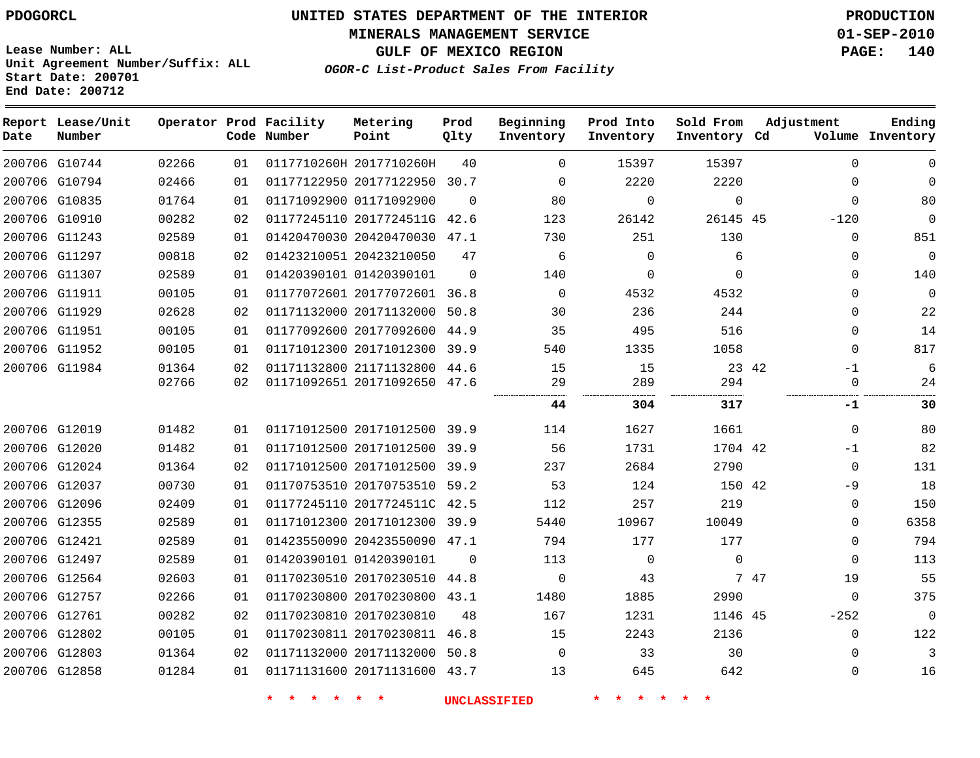**MINERALS MANAGEMENT SERVICE 01-SEP-2010**

**GULF OF MEXICO REGION PAGE: 140**

**Lease Number: ALL Unit Agreement Number/Suffix: ALL Start Date: 200701 End Date: 200712**

**OGOR-C List-Product Sales From Facility**

| Date | Report Lease/Unit<br>Number |       |    | Operator Prod Facility<br>Code Number | Metering<br>Point            | Prod<br>Qlty | Beginning<br>Inventory | Prod Into<br>Inventory | Sold From<br>Inventory Cd | Adjustment |              | Ending<br>Volume Inventory |
|------|-----------------------------|-------|----|---------------------------------------|------------------------------|--------------|------------------------|------------------------|---------------------------|------------|--------------|----------------------------|
|      | 200706 G10744               | 02266 | 01 |                                       | 0117710260H 2017710260H      | 40           | $\Omega$               | 15397                  | 15397                     |            | $\Omega$     | 0                          |
|      | 200706 G10794               | 02466 | 01 |                                       | 01177122950 20177122950      | 30.7         | 0                      | 2220                   | 2220                      |            | $\Omega$     | 0                          |
|      | 200706 G10835               | 01764 | 01 |                                       | 01171092900 01171092900      | $\Omega$     | 80                     | $\mathbf{0}$           | $\mathbf 0$               |            | $\Omega$     | 80                         |
|      | 200706 G10910               | 00282 | 02 |                                       | 01177245110 2017724511G      | 42.6         | 123                    | 26142                  | 26145 45                  |            | $-120$       | $\mathbf 0$                |
|      | 200706 G11243               | 02589 | 01 |                                       | 01420470030 20420470030      | 47.1         | 730                    | 251                    | 130                       |            | 0            | 851                        |
|      | 200706 G11297               | 00818 | 02 |                                       | 01423210051 20423210050      | 47           | 6                      | $\mathbf{0}$           | 6                         |            | $\Omega$     | $\mathbf 0$                |
|      | 200706 G11307               | 02589 | 01 |                                       | 01420390101 01420390101      | $\Omega$     | 140                    | $\mathbf{0}$           | $\Omega$                  |            | $\Omega$     | 140                        |
|      | 200706 G11911               | 00105 | 01 |                                       | 01177072601 20177072601 36.8 |              | $\mathbf 0$            | 4532                   | 4532                      |            | $\Omega$     | 0                          |
|      | 200706 G11929               | 02628 | 02 |                                       | 01171132000 20171132000      | 50.8         | 30                     | 236                    | 244                       |            | $\Omega$     | 22                         |
|      | 200706 G11951               | 00105 | 01 |                                       | 01177092600 20177092600 44.9 |              | 35                     | 495                    | 516                       |            | $\Omega$     | 14                         |
|      | 200706 G11952               | 00105 | 01 |                                       | 01171012300 20171012300 39.9 |              | 540                    | 1335                   | 1058                      |            | $\mathbf 0$  | 817                        |
|      | 200706 G11984               | 01364 | 02 |                                       | 01171132800 21171132800 44.6 |              | 15                     | 15                     | 23 42                     |            | $-1$         | 6                          |
|      |                             | 02766 | 02 |                                       | 01171092651 20171092650 47.6 |              | 29                     | 289                    | 294                       |            | $\mathbf{0}$ | 24                         |
|      |                             |       |    |                                       |                              |              | 44                     | 304                    | 317                       |            | -1           | 30                         |
|      | 200706 G12019               | 01482 | 01 |                                       | 01171012500 20171012500 39.9 |              | 114                    | 1627                   | 1661                      |            | $\mathbf 0$  | 80                         |
|      | 200706 G12020               | 01482 | 01 |                                       | 01171012500 20171012500 39.9 |              | 56                     | 1731                   | 1704 42                   |            | $-1$         | 82                         |
|      | 200706 G12024               | 01364 | 02 |                                       | 01171012500 20171012500 39.9 |              | 237                    | 2684                   | 2790                      |            | $\mathbf 0$  | 131                        |
|      | 200706 G12037               | 00730 | 01 |                                       | 01170753510 20170753510 59.2 |              | 53                     | 124                    | 150 42                    |            | $-9$         | 18                         |
|      | 200706 G12096               | 02409 | 01 |                                       | 01177245110 2017724511C 42.5 |              | 112                    | 257                    | 219                       |            | $\Omega$     | 150                        |
|      | 200706 G12355               | 02589 | 01 |                                       | 01171012300 20171012300 39.9 |              | 5440                   | 10967                  | 10049                     |            | 0            | 6358                       |
|      | 200706 G12421               | 02589 | 01 |                                       | 01423550090 20423550090 47.1 |              | 794                    | 177                    | 177                       |            | 0            | 794                        |
|      | 200706 G12497               | 02589 | 01 |                                       | 01420390101 01420390101      | $\Omega$     | 113                    | 0                      | $\mathbf 0$               |            | $\Omega$     | 113                        |
|      | 200706 G12564               | 02603 | 01 |                                       | 01170230510 20170230510 44.8 |              | $\mathbf 0$            | 43                     |                           | 7 47       | 19           | 55                         |
|      | 200706 G12757               | 02266 | 01 |                                       | 01170230800 20170230800      | 43.1         | 1480                   | 1885                   | 2990                      |            | $\mathbf 0$  | 375                        |
|      | 200706 G12761               | 00282 | 02 |                                       | 01170230810 20170230810      | 48           | 167                    | 1231                   | 1146 45                   |            | $-252$       | $\overline{0}$             |
|      | 200706 G12802               | 00105 | 01 |                                       | 01170230811 20170230811 46.8 |              | 15                     | 2243                   | 2136                      |            | 0            | 122                        |
|      | 200706 G12803               | 01364 | 02 |                                       | 01171132000 20171132000 50.8 |              | $\Omega$               | 33                     | 30                        |            | 0            | 3                          |
|      | 200706 G12858               | 01284 | 01 |                                       | 01171131600 20171131600      | 43.7         | 13                     | 645                    | 642                       |            | $\Omega$     | 16                         |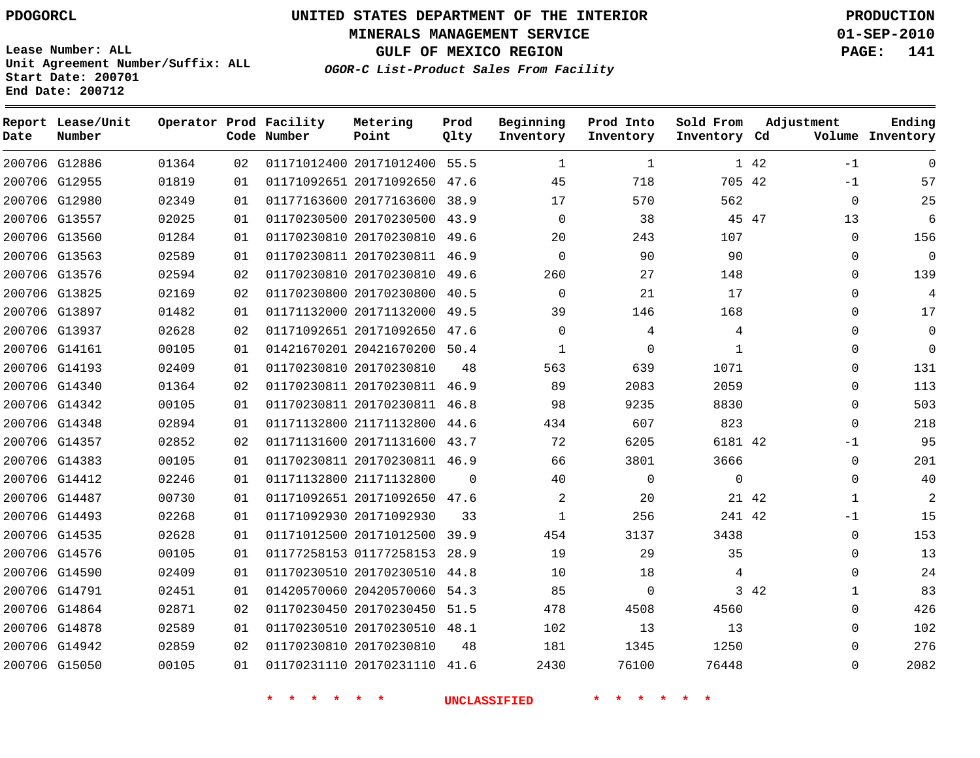# **UNITED STATES DEPARTMENT OF THE INTERIOR PDOGORCL PRODUCTION**

**MINERALS MANAGEMENT SERVICE 01-SEP-2010**

**GULF OF MEXICO REGION PAGE: 141**

**Unit Agreement Number/Suffix: ALL Start Date: 200701 End Date: 200712**

**OGOR-C List-Product Sales From Facility**

| Date | Report Lease/Unit<br>Number |       |    | Operator Prod Facility<br>Code Number | Metering<br>Point            | Prod<br>Qlty | Beginning<br>Inventory | Prod Into<br>Inventory | Sold From<br>Inventory Cd | Adjustment |              | Ending<br>Volume Inventory |
|------|-----------------------------|-------|----|---------------------------------------|------------------------------|--------------|------------------------|------------------------|---------------------------|------------|--------------|----------------------------|
|      | 200706 G12886               | 01364 | 02 |                                       | 01171012400 20171012400 55.5 |              | $\mathbf{1}$           | $\mathbf{1}$           |                           | 1 42       | $-1$         | $\Omega$                   |
|      | 200706 G12955               | 01819 | 01 |                                       | 01171092651 20171092650 47.6 |              | 45                     | 718                    | 705 42                    |            | $-1$         | 57                         |
|      | 200706 G12980               | 02349 | 01 |                                       | 01177163600 20177163600 38.9 |              | 17                     | 570                    | 562                       |            | $\mathbf 0$  | 25                         |
|      | 200706 G13557               | 02025 | 01 |                                       | 01170230500 20170230500 43.9 |              | $\Omega$               | 38                     | 45 47                     |            | 13           | 6                          |
|      | 200706 G13560               | 01284 | 01 |                                       | 01170230810 20170230810 49.6 |              | 20                     | 243                    | 107                       |            | $\mathbf 0$  | 156                        |
|      | 200706 G13563               | 02589 | 01 |                                       | 01170230811 20170230811 46.9 |              | $\Omega$               | 90                     | 90                        |            | $\mathbf 0$  | $\mathbf 0$                |
|      | 200706 G13576               | 02594 | 02 |                                       | 01170230810 20170230810 49.6 |              | 260                    | 27                     | 148                       |            | $\Omega$     | 139                        |
|      | 200706 G13825               | 02169 | 02 |                                       | 01170230800 20170230800 40.5 |              | $\Omega$               | 21                     | 17                        |            | $\Omega$     | 4                          |
|      | 200706 G13897               | 01482 | 01 |                                       | 01171132000 20171132000 49.5 |              | 39                     | 146                    | 168                       |            | $\Omega$     | 17                         |
|      | 200706 G13937               | 02628 | 02 |                                       | 01171092651 20171092650 47.6 |              | $\Omega$               | 4                      | 4                         |            | $\Omega$     | $\mathbf 0$                |
|      | 200706 G14161               | 00105 | 01 |                                       | 01421670201 20421670200 50.4 |              | $\mathbf{1}$           | $\Omega$               | $\mathbf{1}$              |            | $\Omega$     | $\mathbf 0$                |
|      | 200706 G14193               | 02409 | 01 |                                       | 01170230810 20170230810      | 48           | 563                    | 639                    | 1071                      |            | $\Omega$     | 131                        |
|      | 200706 G14340               | 01364 | 02 |                                       | 01170230811 20170230811 46.9 |              | 89                     | 2083                   | 2059                      |            | $\Omega$     | 113                        |
|      | 200706 G14342               | 00105 | 01 |                                       | 01170230811 20170230811 46.8 |              | 98                     | 9235                   | 8830                      |            | $\mathbf 0$  | 503                        |
|      | 200706 G14348               | 02894 | 01 |                                       | 01171132800 21171132800 44.6 |              | 434                    | 607                    | 823                       |            | $\mathbf 0$  | 218                        |
|      | 200706 G14357               | 02852 | 02 |                                       | 01171131600 20171131600 43.7 |              | 72                     | 6205                   | 6181 42                   |            | $-1$         | 95                         |
|      | 200706 G14383               | 00105 | 01 |                                       | 01170230811 20170230811 46.9 |              | 66                     | 3801                   | 3666                      |            | $\mathbf 0$  | 201                        |
|      | 200706 G14412               | 02246 | 01 |                                       | 01171132800 21171132800      | $\Omega$     | 40                     | $\mathbf 0$            | $\mathbf{0}$              |            | $\mathbf 0$  | 40                         |
|      | 200706 G14487               | 00730 | 01 |                                       | 01171092651 20171092650 47.6 |              | 2                      | 20                     | 21 42                     |            | $\mathbf{1}$ | 2                          |
|      | 200706 G14493               | 02268 | 01 |                                       | 01171092930 20171092930      | 33           | $\mathbf{1}$           | 256                    | 241 42                    |            | $-1$         | 15                         |
|      | 200706 G14535               | 02628 | 01 |                                       | 01171012500 20171012500 39.9 |              | 454                    | 3137                   | 3438                      |            | $\mathbf 0$  | 153                        |
|      | 200706 G14576               | 00105 | 01 |                                       | 01177258153 01177258153 28.9 |              | 19                     | 29                     | 35                        |            | 0            | 13                         |
|      | 200706 G14590               | 02409 | 01 |                                       | 01170230510 20170230510 44.8 |              | 10                     | 18                     | 4                         |            | 0            | 24                         |
|      | 200706 G14791               | 02451 | 01 |                                       | 01420570060 20420570060      | 54.3         | 85                     | 0                      |                           | 3 42       | $\mathbf{1}$ | 83                         |
|      | 200706 G14864               | 02871 | 02 |                                       | 01170230450 20170230450 51.5 |              | 478                    | 4508                   | 4560                      |            | 0            | 426                        |
|      | 200706 G14878               | 02589 | 01 |                                       | 01170230510 20170230510 48.1 |              | 102                    | 13                     | 13                        |            | 0            | 102                        |
|      | 200706 G14942               | 02859 | 02 |                                       | 01170230810 20170230810      | 48           | 181                    | 1345                   | 1250                      |            | 0            | 276                        |
|      | 200706 G15050               | 00105 | 01 |                                       | 01170231110 20170231110 41.6 |              | 2430                   | 76100                  | 76448                     |            | 0            | 2082                       |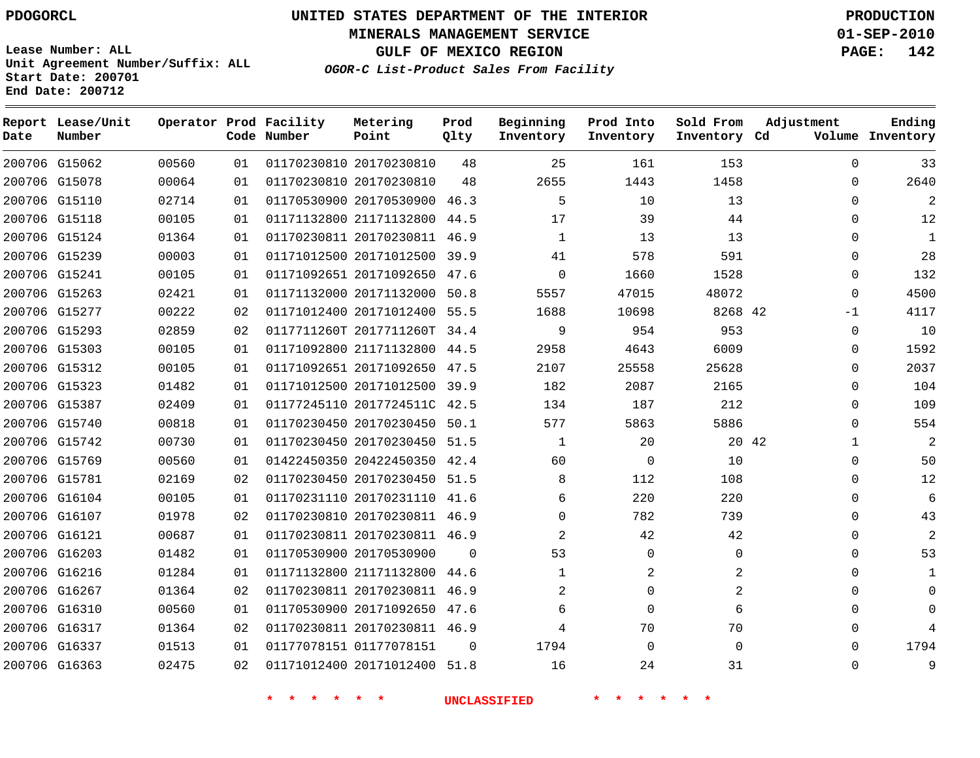**MINERALS MANAGEMENT SERVICE 01-SEP-2010**

**GULF OF MEXICO REGION PAGE: 142**

**Lease Number: ALL Unit Agreement Number/Suffix: ALL Start Date: 200701 End Date: 200712**

**OGOR-C List-Product Sales From Facility**

| Date | Report Lease/Unit<br>Number |       |    | Operator Prod Facility<br>Code Number | Metering<br>Point            | Prod<br>Qlty | Beginning<br>Inventory | Prod Into<br>Inventory | Sold From<br>Inventory Cd | Adjustment   | Ending<br>Volume Inventory |
|------|-----------------------------|-------|----|---------------------------------------|------------------------------|--------------|------------------------|------------------------|---------------------------|--------------|----------------------------|
|      | 200706 G15062               | 00560 | 01 |                                       | 01170230810 20170230810      | 48           | 25                     | 161                    | 153                       | $\Omega$     | 33                         |
|      | 200706 G15078               | 00064 | 01 |                                       | 01170230810 20170230810      | 48           | 2655                   | 1443                   | 1458                      | $\Omega$     | 2640                       |
|      | 200706 G15110               | 02714 | 01 |                                       | 01170530900 20170530900      | 46.3         | 5                      | 10                     | 13                        | $\Omega$     | 2                          |
|      | 200706 G15118               | 00105 | 01 |                                       | 01171132800 21171132800 44.5 |              | 17                     | 39                     | 44                        | $\Omega$     | 12                         |
|      | 200706 G15124               | 01364 | 01 |                                       | 01170230811 20170230811      | 46.9         | $\mathbf{1}$           | 13                     | 13                        | $\Omega$     | $\mathbf{1}$               |
|      | 200706 G15239               | 00003 | 01 |                                       | 01171012500 20171012500 39.9 |              | 41                     | 578                    | 591                       | $\Omega$     | 28                         |
|      | 200706 G15241               | 00105 | 01 |                                       | 01171092651 20171092650      | 47.6         | $\mathbf 0$            | 1660                   | 1528                      | $\mathbf{0}$ | 132                        |
|      | 200706 G15263               | 02421 | 01 |                                       | 01171132000 20171132000      | 50.8         | 5557                   | 47015                  | 48072                     | $\Omega$     | 4500                       |
|      | 200706 G15277               | 00222 | 02 |                                       | 01171012400 20171012400      | 55.5         | 1688                   | 10698                  | 8268 42                   | -1           | 4117                       |
|      | 200706 G15293               | 02859 | 02 |                                       | 0117711260T 2017711260T      | 34.4         | 9                      | 954                    | 953                       | $\Omega$     | 10                         |
|      | 200706 G15303               | 00105 | 01 |                                       | 01171092800 21171132800      | 44.5         | 2958                   | 4643                   | 6009                      | 0            | 1592                       |
|      | 200706 G15312               | 00105 | 01 |                                       | 01171092651 20171092650      | 47.5         | 2107                   | 25558                  | 25628                     | 0            | 2037                       |
|      | 200706 G15323               | 01482 | 01 |                                       | 01171012500 20171012500      | 39.9         | 182                    | 2087                   | 2165                      | $\Omega$     | 104                        |
|      | 200706 G15387               | 02409 | 01 |                                       | 01177245110 2017724511C 42.5 |              | 134                    | 187                    | 212                       | $\Omega$     | 109                        |
|      | 200706 G15740               | 00818 | 01 |                                       | 01170230450 20170230450 50.1 |              | 577                    | 5863                   | 5886                      | $\Omega$     | 554                        |
|      | 200706 G15742               | 00730 | 01 |                                       | 01170230450 20170230450 51.5 |              | $\mathbf{1}$           | 20                     | 20 42                     | 1            | 2                          |
|      | 200706 G15769               | 00560 | 01 |                                       | 01422450350 20422450350      | 42.4         | 60                     | $\mathbf 0$            | 10                        | $\Omega$     | 50                         |
|      | 200706 G15781               | 02169 | 02 |                                       | 01170230450 20170230450 51.5 |              | 8                      | 112                    | 108                       | $\Omega$     | 12                         |
|      | 200706 G16104               | 00105 | 01 |                                       | 01170231110 20170231110 41.6 |              | 6                      | 220                    | 220                       | $\Omega$     | 6                          |
|      | 200706 G16107               | 01978 | 02 |                                       | 01170230810 20170230811 46.9 |              | 0                      | 782                    | 739                       | 0            | 43                         |
|      | 200706 G16121               | 00687 | 01 |                                       | 01170230811 20170230811 46.9 |              | 2                      | 42                     | 42                        | 0            | $\overline{2}$             |
|      | 200706 G16203               | 01482 | 01 |                                       | 01170530900 20170530900      | $\Omega$     | 53                     | $\mathbf 0$            | 0                         | $\Omega$     | 53                         |
|      | 200706 G16216               | 01284 | 01 |                                       | 01171132800 21171132800      | 44.6         | $\mathbf{1}$           | 2                      | 2                         | $\Omega$     |                            |
|      | 200706 G16267               | 01364 | 02 |                                       | 01170230811 20170230811      | 46.9         | 2                      | 0                      | 2                         | 0            | $\Omega$                   |
|      | 200706 G16310               | 00560 | 01 |                                       | 01170530900 20171092650      | 47.6         | 6                      | $\mathbf 0$            | 6                         | 0            | $\Omega$                   |
|      | 200706 G16317               | 01364 | 02 |                                       | 01170230811 20170230811 46.9 |              | 4                      | 70                     | 70                        | $\Omega$     |                            |
|      | 200706 G16337               | 01513 | 01 |                                       | 01177078151 01177078151      | $\Omega$     | 1794                   | $\mathbf 0$            | $\Omega$                  | 0            | 1794                       |
|      | 200706 G16363               | 02475 | 02 |                                       | 01171012400 20171012400      | 51.8         | 16                     | 24                     | 31                        | $\Omega$     | 9                          |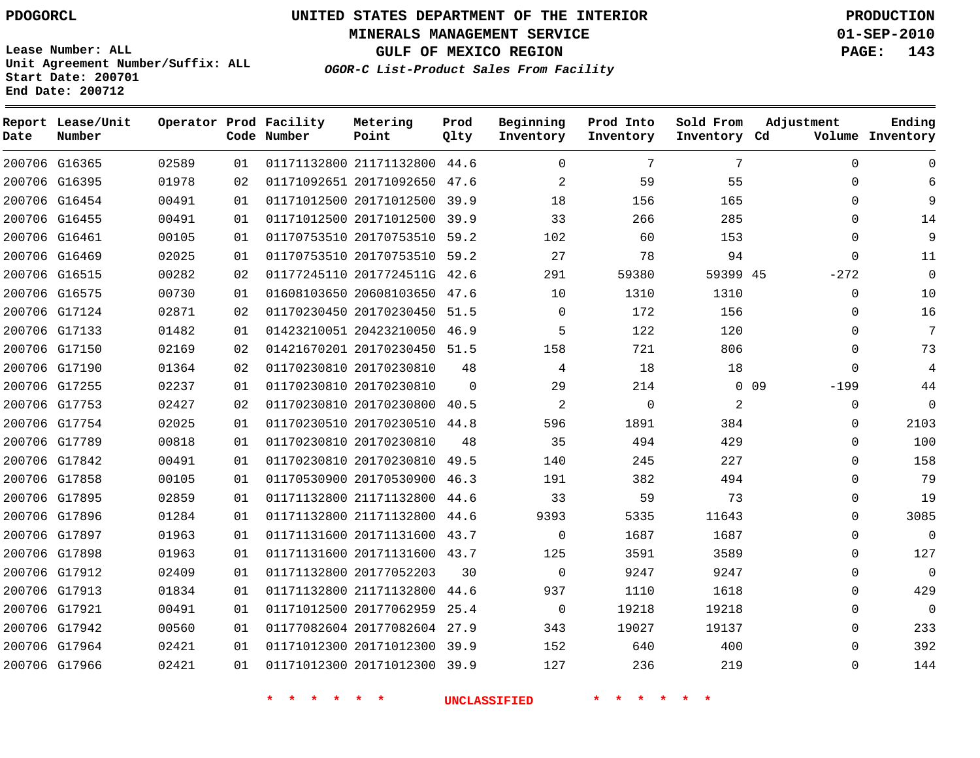**MINERALS MANAGEMENT SERVICE 01-SEP-2010**

**GULF OF MEXICO REGION PAGE: 143**

**Lease Number: ALL Unit Agreement Number/Suffix: ALL Start Date: 200701 End Date: 200712**

**OGOR-C List-Product Sales From Facility**

| Date | Report Lease/Unit<br>Number |       |    | Operator Prod Facility<br>Code Number | Metering<br>Point            | Prod<br>Qlty | Beginning<br>Inventory | Prod Into<br>Inventory | Sold From<br>Inventory Cd | Adjustment                | Ending<br>Volume Inventory |
|------|-----------------------------|-------|----|---------------------------------------|------------------------------|--------------|------------------------|------------------------|---------------------------|---------------------------|----------------------------|
|      | 200706 G16365               | 02589 | 01 |                                       | 01171132800 21171132800 44.6 |              | $\Omega$               | 7                      | 7                         | $\mathbf 0$               | $\Omega$                   |
|      | 200706 G16395               | 01978 | 02 |                                       | 01171092651 20171092650 47.6 |              | $\overline{2}$         | 59                     | 55                        | $\mathbf 0$               | 6                          |
|      | 200706 G16454               | 00491 | 01 |                                       | 01171012500 20171012500 39.9 |              | 18                     | 156                    | 165                       | $\Omega$                  | 9                          |
|      | 200706 G16455               | 00491 | 01 |                                       | 01171012500 20171012500      | 39.9         | 33                     | 266                    | 285                       | $\mathbf 0$               | 14                         |
|      | 200706 G16461               | 00105 | 01 |                                       | 01170753510 20170753510 59.2 |              | 102                    | 60                     | 153                       | $\Omega$                  | 9                          |
|      | 200706 G16469               | 02025 | 01 |                                       | 01170753510 20170753510 59.2 |              | 27                     | 78                     | 94                        | $\mathbf 0$               | 11                         |
|      | 200706 G16515               | 00282 | 02 |                                       | 01177245110 2017724511G 42.6 |              | 291                    | 59380                  | 59399 45                  | $-272$                    | $\mathbf 0$                |
|      | 200706 G16575               | 00730 | 01 |                                       | 01608103650 20608103650      | 47.6         | 10                     | 1310                   | 1310                      | 0                         | 10                         |
|      | 200706 G17124               | 02871 | 02 |                                       | 01170230450 20170230450 51.5 |              | $\Omega$               | 172                    | 156                       | $\Omega$                  | 16                         |
|      | 200706 G17133               | 01482 | 01 |                                       | 01423210051 20423210050 46.9 |              | 5                      | 122                    | 120                       | $\mathbf 0$               | 7                          |
|      | 200706 G17150               | 02169 | 02 |                                       | 01421670201 20170230450 51.5 |              | 158                    | 721                    | 806                       | $\Omega$                  | 73                         |
|      | 200706 G17190               | 01364 | 02 |                                       | 01170230810 20170230810      | 48           | 4                      | 18                     | 18                        | $\mathbf 0$               | 4                          |
|      | 200706 G17255               | 02237 | 01 |                                       | 01170230810 20170230810      | $\Omega$     | 29                     | 214                    |                           | 0 <sub>09</sub><br>$-199$ | 44                         |
|      | 200706 G17753               | 02427 | 02 |                                       | 01170230810 20170230800 40.5 |              | $\overline{a}$         | $\mathbf 0$            | 2                         | $\mathbf 0$               | $\Omega$                   |
|      | 200706 G17754               | 02025 | 01 |                                       | 01170230510 20170230510 44.8 |              | 596                    | 1891                   | 384                       | $\mathbf 0$               | 2103                       |
|      | 200706 G17789               | 00818 | 01 |                                       | 01170230810 20170230810      | 48           | 35                     | 494                    | 429                       | $\Omega$                  | 100                        |
|      | 200706 G17842               | 00491 | 01 |                                       | 01170230810 20170230810 49.5 |              | 140                    | 245                    | 227                       | $\Omega$                  | 158                        |
|      | 200706 G17858               | 00105 | 01 |                                       | 01170530900 20170530900 46.3 |              | 191                    | 382                    | 494                       | $\Omega$                  | 79                         |
|      | 200706 G17895               | 02859 | 01 |                                       | 01171132800 21171132800 44.6 |              | 33                     | 59                     | 73                        | $\Omega$                  | 19                         |
|      | 200706 G17896               | 01284 | 01 |                                       | 01171132800 21171132800      | 44.6         | 9393                   | 5335                   | 11643                     | $\Omega$                  | 3085                       |
|      | 200706 G17897               | 01963 | 01 |                                       | 01171131600 20171131600 43.7 |              | $\Omega$               | 1687                   | 1687                      | $\Omega$                  | $\Omega$                   |
|      | 200706 G17898               | 01963 | 01 |                                       | 01171131600 20171131600 43.7 |              | 125                    | 3591                   | 3589                      | $\mathbf 0$               | 127                        |
|      | 200706 G17912               | 02409 | 01 |                                       | 01171132800 20177052203      | 30           | $\Omega$               | 9247                   | 9247                      | $\Omega$                  | $\Omega$                   |
|      | 200706 G17913               | 01834 | 01 |                                       | 01171132800 21171132800      | 44.6         | 937                    | 1110                   | 1618                      | $\Omega$                  | 429                        |
|      | 200706 G17921               | 00491 | 01 |                                       | 01171012500 20177062959 25.4 |              | $\Omega$               | 19218                  | 19218                     | $\Omega$                  | $\Omega$                   |
|      | 200706 G17942               | 00560 | 01 |                                       | 01177082604 20177082604 27.9 |              | 343                    | 19027                  | 19137                     | $\Omega$                  | 233                        |
|      | 200706 G17964               | 02421 | 01 |                                       | 01171012300 20171012300 39.9 |              | 152                    | 640                    | 400                       | $\Omega$                  | 392                        |
|      | 200706 G17966               | 02421 | 01 |                                       | 01171012300 20171012300 39.9 |              | 127                    | 236                    | 219                       | $\Omega$                  | 144                        |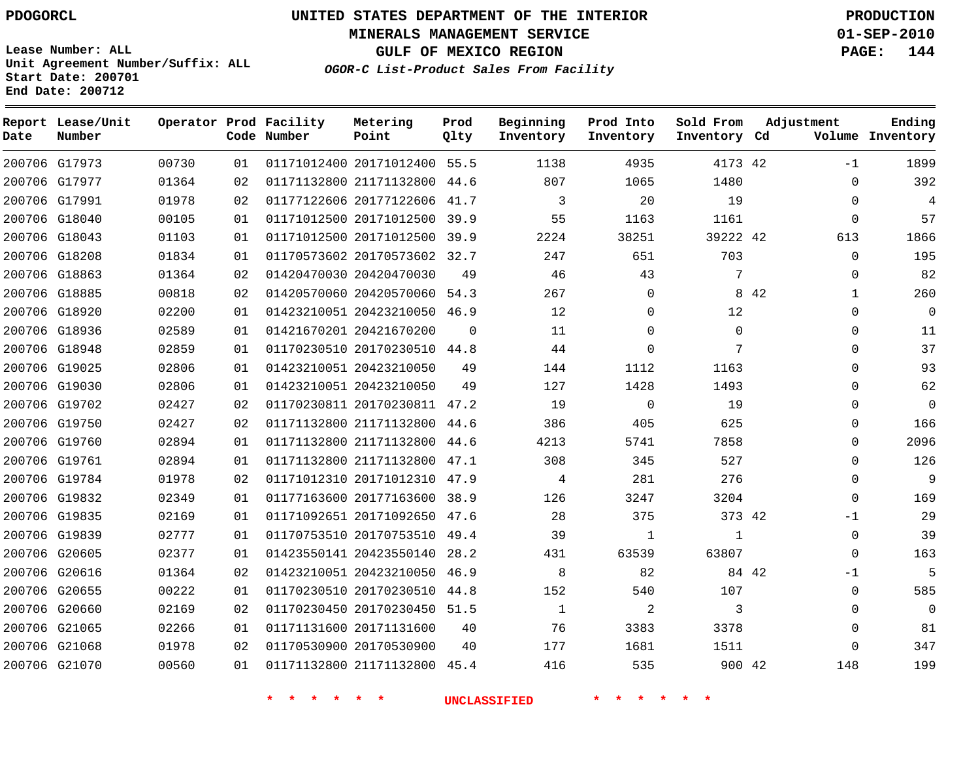**Start Date: 200701 End Date: 200712**

**Unit Agreement Number/Suffix: ALL**

# **UNITED STATES DEPARTMENT OF THE INTERIOR PDOGORCL PRODUCTION**

**MINERALS MANAGEMENT SERVICE 01-SEP-2010**

**GULF OF MEXICO REGION PAGE: 144**

**OGOR-C List-Product Sales From Facility**

 G17973 G17977 G17991 G18040 G18043 G18208 G18863 G18885 G18920 G18936 G18948 G19025 G19030 G19702 G19750 G19760 G19761 G19784 G19832 G19835 G19839 G20605 G20616 G20655 G20660 G21065 G21068 G21070 **Report Lease/Unit Date Number Operator Prod Facility Code Number** 20171012400 55.5 21171132800 20177122606 41.7 20171012500 39.9 20171012500 39.9 20170573602 32.7 20420470030 20420570060 54.3 20423210050 46.9 20421670200 20170230510 44.8 20423210050 20423210050 20170230811 47.2 21171132800 44.6 21171132800 44.6 21171132800 47.1 20171012310 47.9 20177163600 38.9 20171092650 47.6 20170753510 49.4 20423550140 28.2 20423210050 46.9 20170230510 44.8 20170230450 51.5 20171131600 20170530900 21171132800 45.4 **Metering Point** 42 42 42 42 42 42 44.6 **Prod Qlty Beginning Inventory**  $\Omega$   $\Omega$  **Ending Inventory Cd Volume**  $\Omega$  $\Omega$  $\Omega$  $\Omega$   $\Omega$  **Prod Into Inventory**  $\Omega$  **Sold From Inventory**  $-1$  $\Omega$  $\cap$  $\overline{0}$   $\Omega$  $\Omega$   $\Omega$   $\Omega$   $\Omega$  $\Omega$  $\Omega$  $\Omega$  $\Omega$ -1  $\Omega$  $\Omega$ -1  $\Omega$  $\Omega$  $\Omega$  $\Omega$  **Adjustment**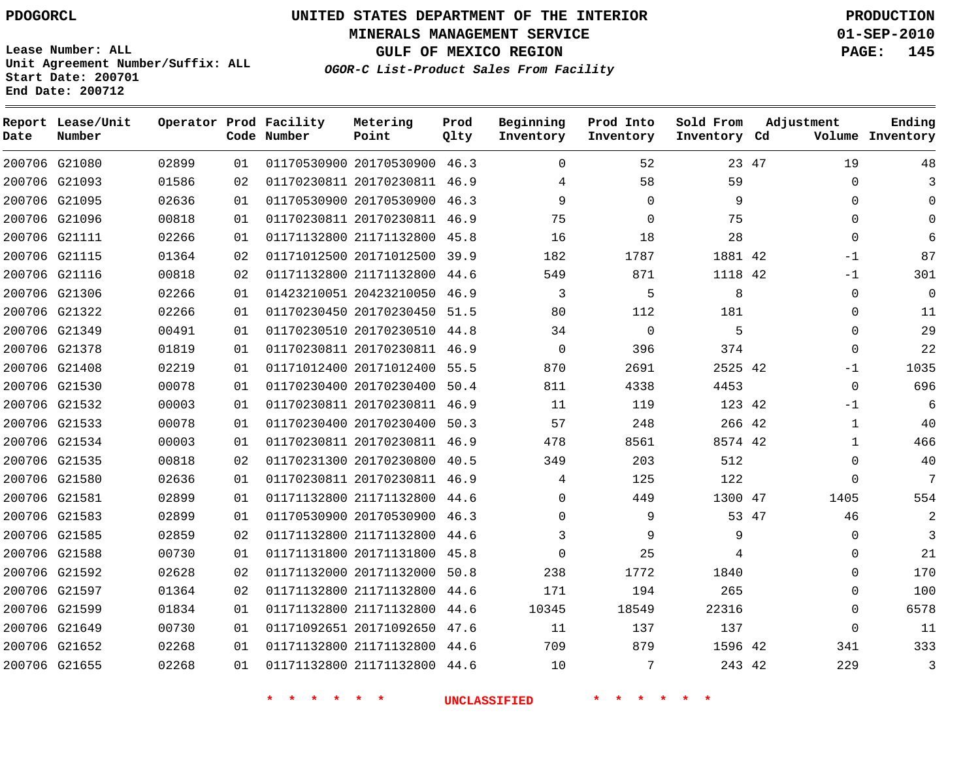**MINERALS MANAGEMENT SERVICE 01-SEP-2010**

**GULF OF MEXICO REGION PAGE: 145**

**Lease Number: ALL Unit Agreement Number/Suffix: ALL Start Date: 200701 End Date: 200712**

**OGOR-C List-Product Sales From Facility**

| Date | Report Lease/Unit<br>Number |       |    | Operator Prod Facility<br>Code Number | Metering<br>Point            | Prod<br>Qlty | Beginning<br>Inventory | Prod Into<br>Inventory | Sold From<br>Inventory Cd | Adjustment   | Ending<br>Volume Inventory |
|------|-----------------------------|-------|----|---------------------------------------|------------------------------|--------------|------------------------|------------------------|---------------------------|--------------|----------------------------|
|      | 200706 G21080               | 02899 | 01 |                                       | 01170530900 20170530900 46.3 |              | $\Omega$               | 52                     |                           | 23 47<br>19  | 48                         |
|      | 200706 G21093               | 01586 | 02 |                                       | 01170230811 20170230811 46.9 |              | 4                      | 58                     | 59                        | $\Omega$     |                            |
|      | 200706 G21095               | 02636 | 01 |                                       | 01170530900 20170530900 46.3 |              | 9                      | $\Omega$               | 9                         | $\Omega$     |                            |
|      | 200706 G21096               | 00818 | 01 |                                       | 01170230811 20170230811      | 46.9         | 75                     | $\mathbf 0$            | 75                        | $\Omega$     |                            |
|      | 200706 G21111               | 02266 | 01 |                                       | 01171132800 21171132800 45.8 |              | 16                     | 18                     | 28                        | $\Omega$     |                            |
|      | 200706 G21115               | 01364 | 02 |                                       | 01171012500 20171012500      | 39.9         | 182                    | 1787                   | 1881 42                   | $-1$         | 87                         |
|      | 200706 G21116               | 00818 | 02 |                                       | 01171132800 21171132800 44.6 |              | 549                    | 871                    | 1118 42                   | $-1$         | 301                        |
|      | 200706 G21306               | 02266 | 01 |                                       | 01423210051 20423210050      | 46.9         | 3                      | 5                      | 8                         | 0            | $\mathbf 0$                |
|      | 200706 G21322               | 02266 | 01 |                                       | 01170230450 20170230450 51.5 |              | 80                     | 112                    | 181                       | $\Omega$     | 11                         |
|      | 200706 G21349               | 00491 | 01 |                                       | 01170230510 20170230510 44.8 |              | 34                     | $\mathbf 0$            | 5                         | $\Omega$     | 29                         |
|      | 200706 G21378               | 01819 | 01 |                                       | 01170230811 20170230811 46.9 |              | $\Omega$               | 396                    | 374                       | $\mathbf 0$  | 22                         |
|      | 200706 G21408               | 02219 | 01 |                                       | 01171012400 20171012400      | 55.5         | 870                    | 2691                   | 2525 42                   | $-1$         | 1035                       |
|      | 200706 G21530               | 00078 | 01 |                                       | 01170230400 20170230400 50.4 |              | 811                    | 4338                   | 4453                      | $\mathbf 0$  | 696                        |
|      | 200706 G21532               | 00003 | 01 |                                       | 01170230811 20170230811 46.9 |              | 11                     | 119                    | 123 42                    | $-1$         | 6                          |
|      | 200706 G21533               | 00078 | 01 |                                       | 01170230400 20170230400 50.3 |              | 57                     | 248                    | 266 42                    | $\mathbf{1}$ | 40                         |
|      | 200706 G21534               | 00003 | 01 |                                       | 01170230811 20170230811 46.9 |              | 478                    | 8561                   | 8574 42                   | $\mathbf{1}$ | 466                        |
|      | 200706 G21535               | 00818 | 02 |                                       | 01170231300 20170230800      | 40.5         | 349                    | 203                    | 512                       | $\Omega$     | 40                         |
|      | 200706 G21580               | 02636 | 01 |                                       | 01170230811 20170230811 46.9 |              | 4                      | 125                    | 122                       | $\mathbf{0}$ | 7                          |
|      | 200706 G21581               | 02899 | 01 |                                       | 01171132800 21171132800 44.6 |              | $\Omega$               | 449                    | 1300 47                   | 1405         | 554                        |
|      | 200706 G21583               | 02899 | 01 |                                       | 01170530900 20170530900      | 46.3         | $\Omega$               | 9                      |                           | 53 47<br>46  |                            |
|      | 200706 G21585               | 02859 | 02 |                                       | 01171132800 21171132800 44.6 |              | 3                      | 9                      | 9                         | $\Omega$     | 3                          |
|      | 200706 G21588               | 00730 | 01 |                                       | 01171131800 20171131800      | 45.8         | $\Omega$               | 25                     | 4                         | $\Omega$     | 21                         |
|      | 200706 G21592               | 02628 | 02 |                                       | 01171132000 20171132000      | 50.8         | 238                    | 1772                   | 1840                      | $\Omega$     | 170                        |
|      | 200706 G21597               | 01364 | 02 |                                       | 01171132800 21171132800      | 44.6         | 171                    | 194                    | 265                       | 0            | 100                        |
|      | 200706 G21599               | 01834 | 01 |                                       | 01171132800 21171132800 44.6 |              | 10345                  | 18549                  | 22316                     | 0            | 6578                       |
|      | 200706 G21649               | 00730 | 01 |                                       | 01171092651 20171092650      | 47.6         | 11                     | 137                    | 137                       | $\mathbf 0$  | 11                         |
|      | 200706 G21652               | 02268 | 01 |                                       | 01171132800 21171132800 44.6 |              | 709                    | 879                    | 1596 42                   | 341          | 333                        |
|      | 200706 G21655               | 02268 | 01 |                                       | 01171132800 21171132800      | 44.6         | 10                     | 7                      | 243 42                    | 229          | 3                          |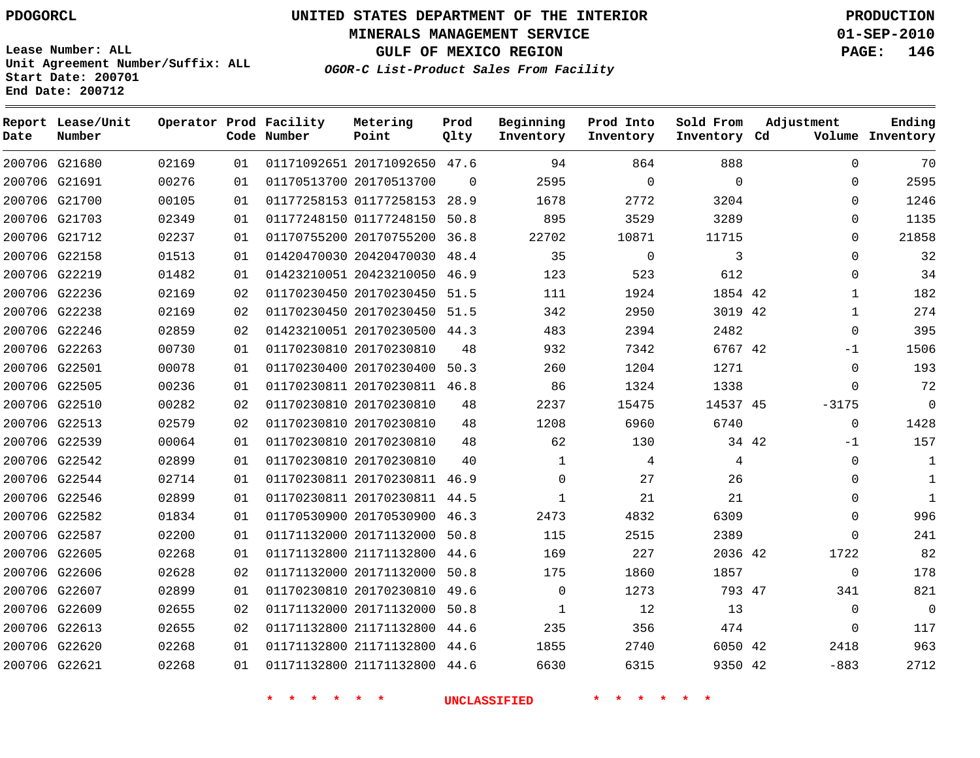**Start Date: 200701 End Date: 200712**

**Unit Agreement Number/Suffix: ALL**

# **UNITED STATES DEPARTMENT OF THE INTERIOR PDOGORCL PRODUCTION**

**MINERALS MANAGEMENT SERVICE 01-SEP-2010**

**GULF OF MEXICO REGION PAGE: 146**

**OGOR-C List-Product Sales From Facility**

 G21680 G21691 G21700 G21703 G21712 G22158 G22219 G22236 G22238 G22246 G22263 G22501 G22505 G22510 G22513 G22539 G22542 G22544 G22546 G22582 G22587 G22605 G22606 G22607 G22609 G22613 G22620 G22621 **Report Lease/Unit Date Number Operator Prod Facility Code Number** 20171092650 47.6 20170513700 01177258153 28.9 01177248150 50.8 20170755200 36.8 20420470030 48.4 20423210050 20170230450 51.5 20170230450 51.5 20170230500 44.3 20170230810 20170230400 50.3 20170230811 46.8 20170230810 20170230810 20170230810 20170230810 20170230811 46.9 20170230811 44.5 20170530900 46.3 20171132000 50.8 21171132800 44.6 20171132000 50.8 20170230810 49.6 20171132000 50.8 21171132800 21171132800 21171132800 44.6 **Metering Point** 42 42 42 45 34 42 42 47 42 42  $\Omega$ 46.9 44.6 44.6 **Prod Qlty**  $\Omega$   $\Omega$  **Beginning Inventory**  $\Omega$   $\Omega$  **Ending Inventory Cd Volume**  $\Omega$   $\Omega$  **Prod Into Inventory**  $\Omega$  **Sold From Inventory**  $\Omega$  $\Omega$  $\cap$  $\Omega$  $\Omega$  $\Omega$  $\Omega$   $\Omega$ -1  $\Omega$ -3175 -1  $\Omega$  $\Omega$  $\Omega$   $\Omega$   $\Omega$   $\Omega$  $\Omega$  -883 **Adjustment**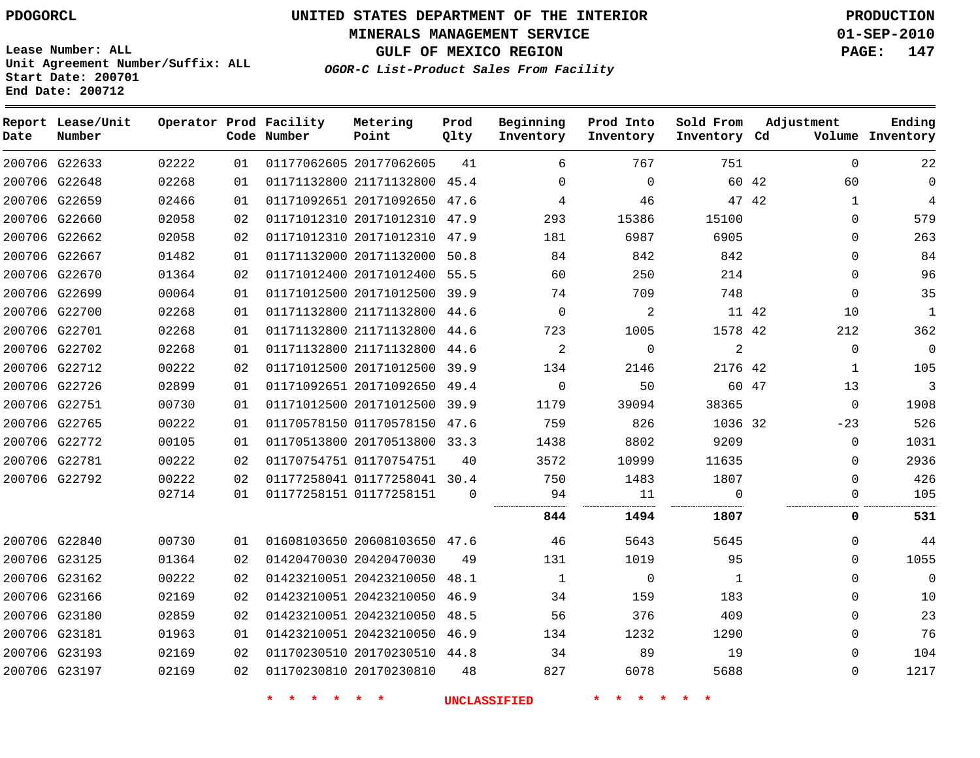**MINERALS MANAGEMENT SERVICE 01-SEP-2010**

**GULF OF MEXICO REGION PAGE: 147**

**Lease Number: ALL Unit Agreement Number/Suffix: ALL Start Date: 200701 End Date: 200712**

**OGOR-C List-Product Sales From Facility**

| Date | Report Lease/Unit<br>Number |       |    | Operator Prod Facility<br>Code Number | Metering<br>Point            | Prod<br>Qlty | Beginning<br>Inventory | Prod Into<br>Inventory | Sold From<br>Inventory Cd |       | Adjustment   | Ending<br>Volume Inventory |
|------|-----------------------------|-------|----|---------------------------------------|------------------------------|--------------|------------------------|------------------------|---------------------------|-------|--------------|----------------------------|
|      | 200706 G22633               | 02222 | 01 |                                       | 01177062605 20177062605      | 41           | 6                      | 767                    | 751                       |       | $\mathbf 0$  | 22                         |
|      | 200706 G22648               | 02268 | 01 |                                       | 01171132800 21171132800 45.4 |              | $\Omega$               | $\mathbf 0$            |                           | 60 42 | 60           | $\mathbf{0}$               |
|      | 200706 G22659               | 02466 | 01 |                                       | 01171092651 20171092650 47.6 |              | 4                      | 46                     |                           | 47 42 | $\mathbf{1}$ | 4                          |
|      | 200706 G22660               | 02058 | 02 |                                       | 01171012310 20171012310      | 47.9         | 293                    | 15386                  | 15100                     |       | $\mathbf 0$  | 579                        |
|      | 200706 G22662               | 02058 | 02 |                                       | 01171012310 20171012310      | 47.9         | 181                    | 6987                   | 6905                      |       | $\mathbf 0$  | 263                        |
|      | 200706 G22667               | 01482 | 01 |                                       | 01171132000 20171132000      | 50.8         | 84                     | 842                    | 842                       |       | $\mathbf 0$  | 84                         |
|      | 200706 G22670               | 01364 | 02 |                                       | 01171012400 20171012400 55.5 |              | 60                     | 250                    | 214                       |       | $\Omega$     | 96                         |
|      | 200706 G22699               | 00064 | 01 |                                       | 01171012500 20171012500 39.9 |              | 74                     | 709                    | 748                       |       | $\mathbf 0$  | 35                         |
|      | 200706 G22700               | 02268 | 01 |                                       | 01171132800 21171132800      | 44.6         | $\mathbf 0$            | 2                      |                           | 11 42 | 10           | $\mathbf{1}$               |
|      | 200706 G22701               | 02268 | 01 |                                       | 01171132800 21171132800      | 44.6         | 723                    | 1005                   | 1578 42                   |       | 212          | 362                        |
|      | 200706 G22702               | 02268 | 01 |                                       | 01171132800 21171132800      | 44.6         | $\overline{a}$         | $\mathbf 0$            | $\overline{a}$            |       | $\mathbf 0$  | $\mathbf{0}$               |
|      | 200706 G22712               | 00222 | 02 |                                       | 01171012500 20171012500 39.9 |              | 134                    | 2146                   | 2176 42                   |       | $\mathbf{1}$ | 105                        |
|      | 200706 G22726               | 02899 | 01 |                                       | 01171092651 20171092650 49.4 |              | $\Omega$               | 50                     |                           | 60 47 | 13           | 3                          |
|      | 200706 G22751               | 00730 | 01 |                                       | 01171012500 20171012500 39.9 |              | 1179                   | 39094                  | 38365                     |       | $\mathbf 0$  | 1908                       |
|      | 200706 G22765               | 00222 | 01 |                                       | 01170578150 01170578150      | 47.6         | 759                    | 826                    | 1036 32                   |       | $-23$        | 526                        |
|      | 200706 G22772               | 00105 | 01 |                                       | 01170513800 20170513800 33.3 |              | 1438                   | 8802                   | 9209                      |       | 0            | 1031                       |
|      | 200706 G22781               | 00222 | 02 |                                       | 01170754751 01170754751      | 40           | 3572                   | 10999                  | 11635                     |       | $\Omega$     | 2936                       |
|      | 200706 G22792               | 00222 | 02 |                                       | 01177258041 01177258041 30.4 |              | 750                    | 1483                   | 1807                      |       | $\mathbf 0$  | 426                        |
|      |                             | 02714 | 01 | 01177258151 01177258151               |                              | $\mathbf 0$  | 94                     | 11                     | $\Omega$                  |       | $\mathbf 0$  | 105                        |
|      |                             |       |    |                                       |                              |              | 844                    | 1494                   | 1807                      |       | $\mathbf 0$  | 531                        |
|      | 200706 G22840               | 00730 | 01 |                                       | 01608103650 20608103650 47.6 |              | 46                     | 5643                   | 5645                      |       | $\mathbf 0$  | 44                         |
|      | 200706 G23125               | 01364 | 02 |                                       | 01420470030 20420470030      | 49           | 131                    | 1019                   | 95                        |       | $\Omega$     | 1055                       |
|      | 200706 G23162               | 00222 | 02 |                                       | 01423210051 20423210050      | 48.1         | 1                      | $\mathbf 0$            | $\mathbf 1$               |       | $\mathbf 0$  | $\Omega$                   |
|      | 200706 G23166               | 02169 | 02 |                                       | 01423210051 20423210050      | 46.9         | 34                     | 159                    | 183                       |       | $\Omega$     | 10                         |
|      | 200706 G23180               | 02859 | 02 |                                       | 01423210051 20423210050      | 48.5         | 56                     | 376                    | 409                       |       | $\mathbf 0$  | 23                         |
|      | 200706 G23181               | 01963 | 01 |                                       | 01423210051 20423210050      | 46.9         | 134                    | 1232                   | 1290                      |       | $\mathbf 0$  | 76                         |
|      | 200706 G23193               | 02169 | 02 |                                       | 01170230510 20170230510 44.8 |              | 34                     | 89                     | 19                        |       | $\Omega$     | 104                        |
|      | 200706 G23197               | 02169 | 02 |                                       | 01170230810 20170230810      | 48           | 827                    | 6078                   | 5688                      |       | $\mathbf 0$  | 1217                       |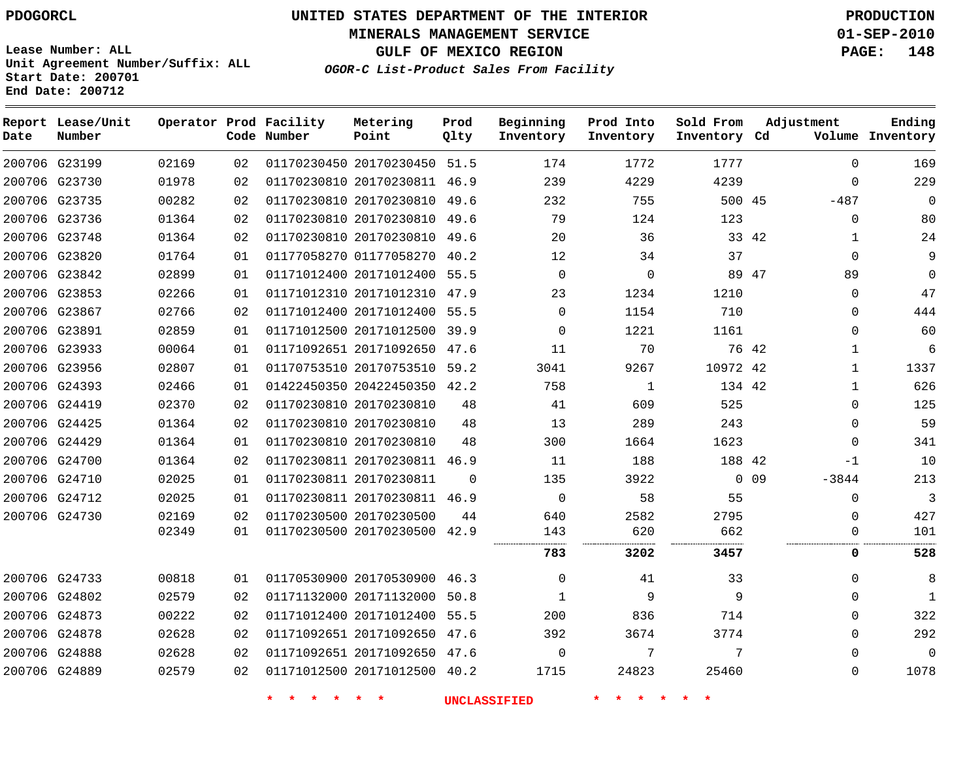**Start Date: 200701 End Date: 200712**

# **UNITED STATES DEPARTMENT OF THE INTERIOR PDOGORCL PRODUCTION**

**MINERALS MANAGEMENT SERVICE 01-SEP-2010**

**GULF OF MEXICO REGION PAGE: 148**

**OGOR-C List-Product Sales From Facility Unit Agreement Number/Suffix: ALL**

| Date          | Report Lease/Unit<br>Number |       |                 | Operator Prod Facility<br>Code Number | Metering<br>Point            | Prod<br>Qlty | Beginning<br>Inventory | Prod Into<br>Inventory | Sold From<br>Inventory Cd | Adjustment                 | Ending<br>Volume Inventory |
|---------------|-----------------------------|-------|-----------------|---------------------------------------|------------------------------|--------------|------------------------|------------------------|---------------------------|----------------------------|----------------------------|
|               | 200706 G23199               | 02169 | 02 <sub>2</sub> |                                       | 01170230450 20170230450      | 51.5         | 174                    | 1772                   | 1777                      | $\Omega$                   | 169                        |
|               | 200706 G23730               | 01978 | 02              |                                       | 01170230810 20170230811      | 46.9         | 239                    | 4229                   | 4239                      | $\Omega$                   | 229                        |
|               | 200706 G23735               | 00282 | 02              |                                       | 01170230810 20170230810      | 49.6         | 232                    | 755                    | 500 45                    | $-487$                     | $\Omega$                   |
|               | 200706 G23736               | 01364 | 02              |                                       | 01170230810 20170230810      | 49.6         | 79                     | 124                    | 123                       | $\Omega$                   | 80                         |
|               | 200706 G23748               | 01364 | 02              |                                       | 01170230810 20170230810      | 49.6         | 20                     | 36                     | 33 42                     | 1                          | 24                         |
|               | 200706 G23820               | 01764 | 01              |                                       | 01177058270 01177058270      | 40.2         | 12                     | 34                     | 37                        | $\Omega$                   | 9                          |
|               | 200706 G23842               | 02899 | 01              |                                       | 01171012400 20171012400      | 55.5         | $\mathbf 0$            | 0                      | 89 47                     | 89                         | $\mathbf 0$                |
|               | 200706 G23853               | 02266 | 01              |                                       | 01171012310 20171012310      | 47.9         | 23                     | 1234                   | 1210                      | 0                          | 47                         |
|               | 200706 G23867               | 02766 | 02              |                                       | 01171012400 20171012400      | 55.5         | 0                      | 1154                   | 710                       | $\Omega$                   | 444                        |
|               | 200706 G23891               | 02859 | 01              |                                       | 01171012500 20171012500      | 39.9         | 0                      | 1221                   | 1161                      | $\mathbf 0$                | 60                         |
|               | 200706 G23933               | 00064 | 01              |                                       | 01171092651 20171092650      | 47.6         | 11                     | 70                     | 76 42                     | $\mathbf{1}$               | 6                          |
|               | 200706 G23956               | 02807 | 01              |                                       | 01170753510 20170753510      | 59.2         | 3041                   | 9267                   | 10972 42                  | 1                          | 1337                       |
|               | 200706 G24393               | 02466 | 01              |                                       | 01422450350 20422450350      | 42.2         | 758                    | 1                      | 134 42                    | -1                         | 626                        |
|               | 200706 G24419               | 02370 | 02              |                                       | 01170230810 20170230810      | 48           | 41                     | 609                    | 525                       | $\Omega$                   | 125                        |
|               | 200706 G24425               | 01364 | 02              |                                       | 01170230810 20170230810      | 48           | 13                     | 289                    | 243                       | $\Omega$                   | 59                         |
|               | 200706 G24429               | 01364 | 01              |                                       | 01170230810 20170230810      | 48           | 300                    | 1664                   | 1623                      | $\Omega$                   | 341                        |
|               | 200706 G24700               | 01364 | 02              |                                       | 01170230811 20170230811      | 46.9         | 11                     | 188                    | 188 42                    | $-1$                       | 10                         |
| 200706 G24710 |                             | 02025 | 01              |                                       | 01170230811 20170230811      | $\mathbf 0$  | 135                    | 3922                   |                           | 0 <sub>09</sub><br>$-3844$ | 213                        |
|               | 200706 G24712               | 02025 | 01              |                                       | 01170230811 20170230811 46.9 |              | 0                      | 58                     | 55                        | $\Omega$                   | 3                          |
| 200706 G24730 |                             | 02169 | 02              |                                       | 01170230500 20170230500      | 44           | 640                    | 2582                   | 2795                      | $\mathbf 0$                | 427                        |
|               |                             | 02349 | 01              |                                       | 01170230500 20170230500      | 42.9         | 143                    | 620                    | 662                       | $\Omega$                   | 101                        |
|               |                             |       |                 |                                       |                              |              | 783                    | 3202                   | 3457                      | 0                          | 528                        |
|               | 200706 G24733               | 00818 | 01              |                                       | 01170530900 20170530900      | 46.3         | $\mathbf 0$            | 41                     | 33                        | $\Omega$                   | 8                          |
|               | 200706 G24802               | 02579 | 02              |                                       | 01171132000 20171132000      | 50.8         | 1                      | 9                      | 9                         | $\Omega$                   | 1                          |
|               | 200706 G24873               | 00222 | 02              |                                       | 01171012400 20171012400      | 55.5         | 200                    | 836                    | 714                       | $\Omega$                   | 322                        |
|               | 200706 G24878               | 02628 | 02              |                                       | 01171092651 20171092650      | 47.6         | 392                    | 3674                   | 3774                      | $\Omega$                   | 292                        |
|               | 200706 G24888               | 02628 | 02              |                                       | 01171092651 20171092650      | 47.6         | 0                      | 7                      | 7                         | $\Omega$                   | $\Omega$                   |
|               | 200706 G24889               | 02579 | 02              |                                       | 01171012500 20171012500 40.2 |              | 1715                   | 24823                  | 25460                     | $\Omega$                   | 1078                       |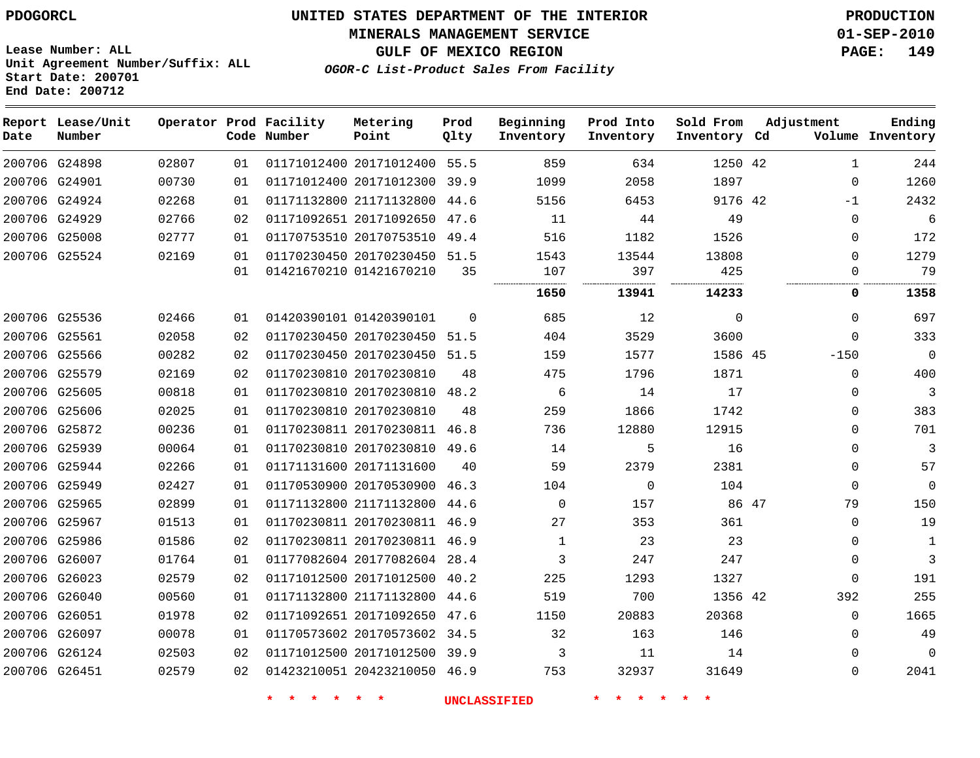#### **MINERALS MANAGEMENT SERVICE 01-SEP-2010**

**GULF OF MEXICO REGION PAGE: 149**

**Lease Number: ALL Unit Agreement Number/Suffix: ALL Start Date: 200701 End Date: 200712**

**OGOR-C List-Product Sales From Facility**

| Date | Report Lease/Unit<br>Number |       |    | Operator Prod Facility<br>Code Number | Metering<br>Point            | Prod<br>Qlty | Beginning<br>Inventory | Prod Into<br>Inventory | Sold From<br>Inventory Cd | Adjustment | Ending<br>Volume Inventory |
|------|-----------------------------|-------|----|---------------------------------------|------------------------------|--------------|------------------------|------------------------|---------------------------|------------|----------------------------|
|      | 200706 G24898               | 02807 | 01 |                                       | 01171012400 20171012400 55.5 |              | 859                    | 634                    | 1250 42                   |            | 244<br>1                   |
|      | 200706 G24901               | 00730 | 01 |                                       | 01171012400 20171012300 39.9 |              | 1099                   | 2058                   | 1897                      |            | 1260<br>$\Omega$           |
|      | 200706 G24924               | 02268 | 01 |                                       | 01171132800 21171132800      | 44.6         | 5156                   | 6453                   | 9176 42                   |            | 2432<br>$-1$               |
|      | 200706 G24929               | 02766 | 02 |                                       | 01171092651 20171092650 47.6 |              | 11                     | 44                     | 49                        |            | 6<br>$\Omega$              |
|      | 200706 G25008               | 02777 | 01 |                                       | 01170753510 20170753510 49.4 |              | 516                    | 1182                   | 1526                      |            | 172<br>$\Omega$            |
|      | 200706 G25524               | 02169 | 01 |                                       | 01170230450 20170230450 51.5 |              | 1543                   | 13544                  | 13808                     |            | 1279<br>$\Omega$           |
|      |                             |       | 01 |                                       | 01421670210 01421670210      | 35           | 107                    | 397                    | 425                       |            | 79<br>$\Omega$             |
|      |                             |       |    |                                       |                              |              | 1650                   | 13941                  | 14233                     |            | 1358<br>0                  |
|      | 200706 G25536               | 02466 | 01 |                                       | 01420390101 01420390101      | $\Omega$     | 685                    | 12                     | $\Omega$                  |            | 697<br>$\Omega$            |
|      | 200706 G25561               | 02058 | 02 |                                       | 01170230450 20170230450 51.5 |              | 404                    | 3529                   | 3600                      |            | 333<br>$\Omega$            |
|      | 200706 G25566               | 00282 | 02 |                                       | 01170230450 20170230450 51.5 |              | 159                    | 1577                   | 1586 45                   | $-150$     | $\overline{0}$             |
|      | 200706 G25579               | 02169 | 02 |                                       | 01170230810 20170230810      | 48           | 475                    | 1796                   | 1871                      |            | 400<br>$\Omega$            |
|      | 200706 G25605               | 00818 | 01 |                                       | 01170230810 20170230810 48.2 |              | 6                      | 14                     | 17                        |            | 3<br>0                     |
|      | 200706 G25606               | 02025 | 01 |                                       | 01170230810 20170230810      | 48           | 259                    | 1866                   | 1742                      |            | 383<br>0                   |
|      | 200706 G25872               | 00236 | 01 |                                       | 01170230811 20170230811 46.8 |              | 736                    | 12880                  | 12915                     |            | 701<br>$\Omega$            |
|      | 200706 G25939               | 00064 | 01 |                                       | 01170230810 20170230810 49.6 |              | 14                     | 5                      | 16                        |            | 3<br>$\Omega$              |
|      | 200706 G25944               | 02266 | 01 |                                       | 01171131600 20171131600      | 40           | 59                     | 2379                   | 2381                      |            | $\Omega$<br>57             |
|      | 200706 G25949               | 02427 | 01 |                                       | 01170530900 20170530900 46.3 |              | 104                    | $\Omega$               | 104                       |            | $\Omega$<br>$\Omega$       |
|      | 200706 G25965               | 02899 | 01 |                                       | 01171132800 21171132800      | -44.6        | $\Omega$               | 157                    | 86 47                     |            | 79<br>150                  |
|      | 200706 G25967               | 01513 | 01 |                                       | 01170230811 20170230811 46.9 |              | 27                     | 353                    | 361                       |            | 19<br>$\Omega$             |
|      | 200706 G25986               | 01586 | 02 |                                       | 01170230811 20170230811 46.9 |              | 1                      | 23                     | 23                        |            | $\Omega$<br>1              |
|      | 200706 G26007               | 01764 | 01 |                                       | 01177082604 20177082604 28.4 |              | 3                      | 247                    | 247                       |            | 3<br>0                     |
|      | 200706 G26023               | 02579 | 02 |                                       | 01171012500 20171012500 40.2 |              | 225                    | 1293                   | 1327                      |            | 191<br>$\mathbf 0$         |
|      | 200706 G26040               | 00560 | 01 |                                       | 01171132800 21171132800 44.6 |              | 519                    | 700                    | 1356 42                   | 392        | 255                        |
|      | 200706 G26051               | 01978 | 02 |                                       | 01171092651 20171092650 47.6 |              | 1150                   | 20883                  | 20368                     |            | 1665<br>$\Omega$           |
|      | 200706 G26097               | 00078 | 01 |                                       | 01170573602 20170573602 34.5 |              | 32                     | 163                    | 146                       |            | 49<br>$\Omega$             |
|      | 200706 G26124               | 02503 | 02 |                                       | 01171012500 20171012500 39.9 |              | 3                      | 11                     | 14                        |            | $\mathbf 0$<br>0           |
|      | 200706 G26451               | 02579 | 02 |                                       | 01423210051 20423210050 46.9 |              | 753                    | 32937                  | 31649                     |            | 2041<br>$\Omega$           |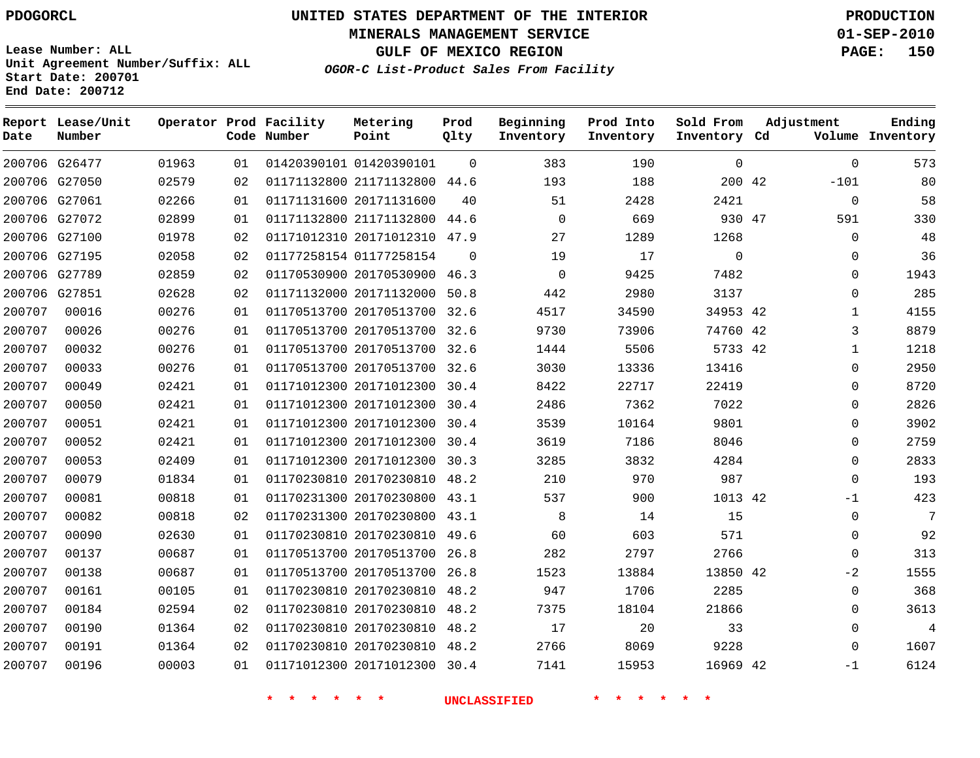**Start Date: 200701 End Date: 200712**

**Unit Agreement Number/Suffix: ALL**

# **UNITED STATES DEPARTMENT OF THE INTERIOR PDOGORCL PRODUCTION**

**MINERALS MANAGEMENT SERVICE 01-SEP-2010**

**GULF OF MEXICO REGION PAGE: 150**

**OGOR-C List-Product Sales From Facility**

 G26477 G27050 G27061 G27072 G27100 G27195 G27789 G27851 **Report Lease/Unit Date Number Operator Prod Facility Code Number** 01420390101 21171132800 44.6 20171131600 21171132800 44.6 20171012310 47.9 01177258154 20170530900 46.3 20171132000 50.8 20170513700 32.6 20170513700 32.6 20170513700 32.6 20170513700 32.6 20171012300 30.4 20171012300 30.4 20171012300 30.4 20171012300 30.4 20171012300 30.3 20170230810 48.2 20170230800 43.1 20170230800 43.1 20170230810 49.6 20170513700 26.8 20170513700 26.8 20170230810 48.2 20170230810 48.2 20170230810 48.2 20170230810 48.2 20171012300 30.4 **Metering Point** 42 47 42 42 42 42 42 42  $\Omega$  $\cap$ **Prod Qlty**  $\Omega$   $\Omega$  **Beginning Inventory Ending Inventory Cd Volume Prod Into Inventory**  $\Omega$   $\Omega$  **Sold From Inventory**  $\Omega$  $-101$  $\Omega$   $\Omega$  $\Omega$  $\Omega$   $\Omega$   $\Omega$  $\Omega$  $-1$   $\Omega$  $\Omega$  $-2$  $\Omega$  $\Omega$  $\Omega$  $\Omega$  $-1$ **Adjustment**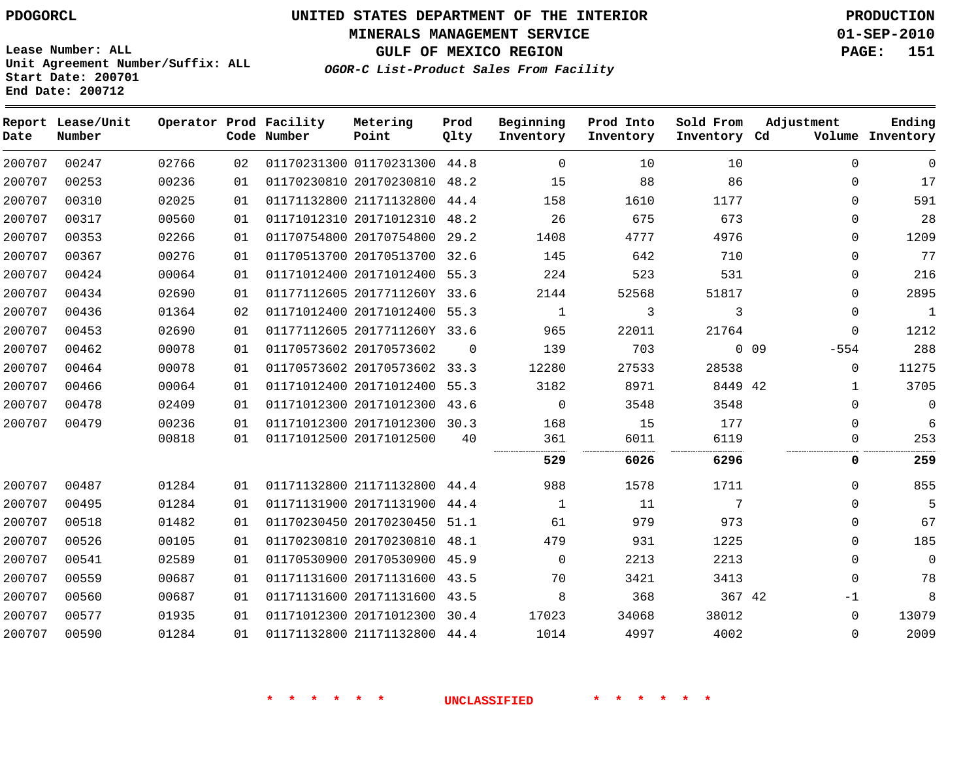**MINERALS MANAGEMENT SERVICE 01-SEP-2010**

**GULF OF MEXICO REGION PAGE: 151**

**Lease Number: ALL Unit Agreement Number/Suffix: ALL Start Date: 200701 End Date: 200712**

**OGOR-C List-Product Sales From Facility**

| Date   | Report Lease/Unit<br>Number |       |    | Operator Prod Facility<br>Code Number | Metering<br>Point            | Prod<br>Qlty | Beginning<br>Inventory | Prod Into<br>Inventory | Sold From<br>Inventory Cd | Adjustment                | Ending<br>Volume Inventory |
|--------|-----------------------------|-------|----|---------------------------------------|------------------------------|--------------|------------------------|------------------------|---------------------------|---------------------------|----------------------------|
| 200707 | 00247                       | 02766 | 02 |                                       | 01170231300 01170231300 44.8 |              | $\Omega$               | 10                     | 1 O                       | $\Omega$                  | $\Omega$                   |
| 200707 | 00253                       | 00236 | 01 |                                       | 01170230810 20170230810      | 48.2         | 15                     | 88                     | 86                        | $\Omega$                  | 17                         |
| 200707 | 00310                       | 02025 | 01 |                                       | 01171132800 21171132800 44.4 |              | 158                    | 1610                   | 1177                      | $\Omega$                  | 591                        |
| 200707 | 00317                       | 00560 | 01 |                                       | 01171012310 20171012310      | 48.2         | 26                     | 675                    | 673                       | $\Omega$                  | 28                         |
| 200707 | 00353                       | 02266 | 01 |                                       | 01170754800 20170754800      | 29.2         | 1408                   | 4777                   | 4976                      | $\Omega$                  | 1209                       |
| 200707 | 00367                       | 00276 | 01 |                                       | 01170513700 20170513700 32.6 |              | 145                    | 642                    | 710                       | $\Omega$                  | 77                         |
| 200707 | 00424                       | 00064 | 01 |                                       | 01171012400 20171012400      | 55.3         | 224                    | 523                    | 531                       | 0                         | 216                        |
| 200707 | 00434                       | 02690 | 01 |                                       | 01177112605 2017711260Y 33.6 |              | 2144                   | 52568                  | 51817                     | $\Omega$                  | 2895                       |
| 200707 | 00436                       | 01364 | 02 |                                       | 01171012400 20171012400 55.3 |              | 1                      | 3                      | 3                         | $\mathbf 0$               | $\mathbf{1}$               |
| 200707 | 00453                       | 02690 | 01 |                                       | 01177112605 2017711260Y 33.6 |              | 965                    | 22011                  | 21764                     | $\mathbf 0$               | 1212                       |
| 200707 | 00462                       | 00078 | 01 |                                       | 01170573602 20170573602      | $\Omega$     | 139                    | 703                    |                           | 0 <sub>09</sub><br>$-554$ | 288                        |
| 200707 | 00464                       | 00078 | 01 |                                       | 01170573602 20170573602 33.3 |              | 12280                  | 27533                  | 28538                     | $\Omega$                  | 11275                      |
| 200707 | 00466                       | 00064 | 01 |                                       | 01171012400 20171012400 55.3 |              | 3182                   | 8971                   | 8449 42                   | $\mathbf{1}$              | 3705                       |
| 200707 | 00478                       | 02409 | 01 |                                       | 01171012300 20171012300 43.6 |              | $\Omega$               | 3548                   | 3548                      | $\Omega$                  | $\mathbf 0$                |
| 200707 | 00479                       | 00236 | 01 |                                       | 01171012300 20171012300 30.3 |              | 168                    | 15                     | 177                       | $\Omega$                  | 6                          |
|        |                             | 00818 | 01 |                                       | 01171012500 20171012500      | 40           | 361                    | 6011                   | 6119                      | $\Omega$                  | 253                        |
|        |                             |       |    |                                       |                              |              | 529                    | 6026                   | 6296                      | 0                         | 259                        |
| 200707 | 00487                       | 01284 | 01 |                                       | 01171132800 21171132800 44.4 |              | 988                    | 1578                   | 1711                      | $\Omega$                  | 855                        |
| 200707 | 00495                       | 01284 | 01 |                                       | 01171131900 20171131900      | 44.4         | 1                      | 11                     | 7                         | $\Omega$                  | 5                          |
| 200707 | 00518                       | 01482 | 01 |                                       | 01170230450 20170230450      | 51.1         | 61                     | 979                    | 973                       | $\Omega$                  | 67                         |
| 200707 | 00526                       | 00105 | 01 |                                       | 01170230810 20170230810 48.1 |              | 479                    | 931                    | 1225                      | $\Omega$                  | 185                        |
| 200707 | 00541                       | 02589 | 01 |                                       | 01170530900 20170530900 45.9 |              | $\Omega$               | 2213                   | 2213                      | $\Omega$                  | $\mathbf 0$                |
| 200707 | 00559                       | 00687 | 01 |                                       | 01171131600 20171131600      | 43.5         | 70                     | 3421                   | 3413                      | $\Omega$                  | 78                         |
| 200707 | 00560                       | 00687 | 01 |                                       | 01171131600 20171131600      | 43.5         | 8                      | 368                    | 367 42                    | $-1$                      | 8                          |
| 200707 | 00577                       | 01935 | 01 |                                       | 01171012300 20171012300 30.4 |              | 17023                  | 34068                  | 38012                     | $\Omega$                  | 13079                      |
| 200707 | 00590                       | 01284 | 01 |                                       | 01171132800 21171132800 44.4 |              | 1014                   | 4997                   | 4002                      | $\Omega$                  | 2009                       |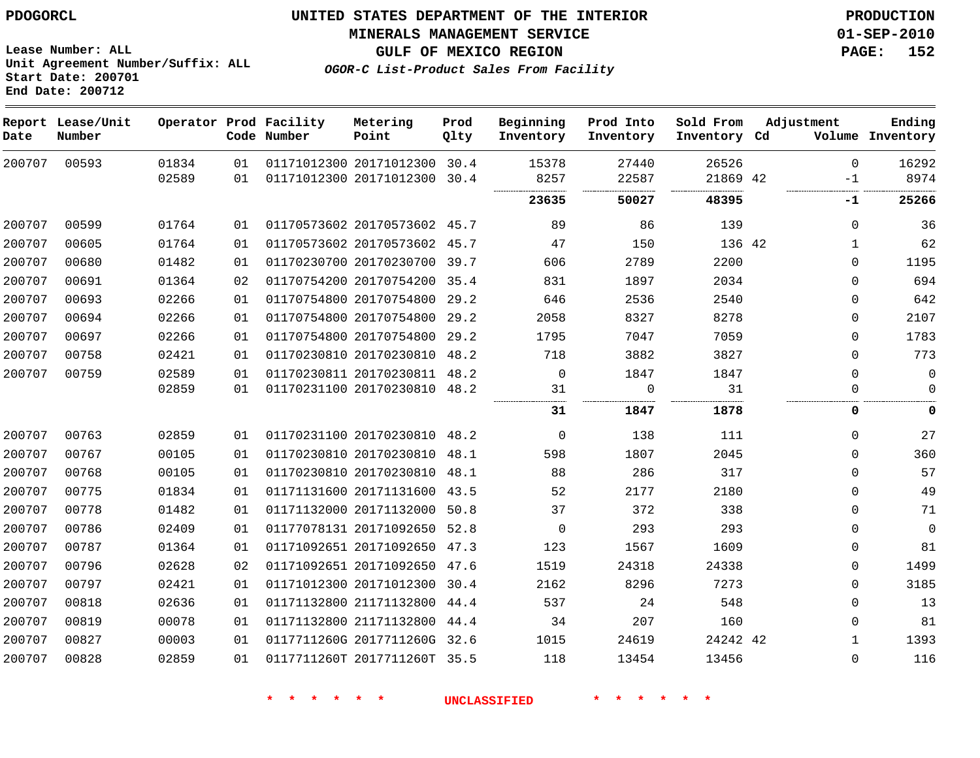**Start Date: 200701 End Date: 200712**

**Unit Agreement Number/Suffix: ALL**

# **UNITED STATES DEPARTMENT OF THE INTERIOR PDOGORCL PRODUCTION**

**MINERALS MANAGEMENT SERVICE 01-SEP-2010**

**GULF OF MEXICO REGION PAGE: 152**

**OGOR-C List-Product Sales From Facility**

| Date   | Report Lease/Unit<br>Number |       |    | Operator Prod Facility<br>Code Number | Metering<br>Point            | Prod<br>Qlty | Beginning<br>Inventory | Prod Into<br>Inventory | Sold From<br>Inventory Cd | Adjustment   | Ending<br>Volume Inventory |
|--------|-----------------------------|-------|----|---------------------------------------|------------------------------|--------------|------------------------|------------------------|---------------------------|--------------|----------------------------|
| 200707 | 00593                       | 01834 | 01 |                                       | 01171012300 20171012300 30.4 |              | 15378                  | 27440                  | 26526                     | $\Omega$     | 16292                      |
|        |                             | 02589 | 01 |                                       | 01171012300 20171012300      | 30.4         | 8257<br>               | 22587<br>.             | 21869 42<br>.<br>         | $-1$<br><br> | 8974                       |
|        |                             |       |    |                                       |                              |              | 23635                  | 50027                  | 48395                     | $-1$         | 25266                      |
| 200707 | 00599                       | 01764 | 01 |                                       | 01170573602 20170573602 45.7 |              | 89                     | 86                     | 139                       | $\Omega$     | 36                         |
| 200707 | 00605                       | 01764 | 01 |                                       | 01170573602 20170573602      | 45.7         | 47                     | 150                    | 136 42                    | $\mathbf{1}$ | 62                         |
| 200707 | 00680                       | 01482 | 01 |                                       | 01170230700 20170230700 39.7 |              | 606                    | 2789                   | 2200                      | $\Omega$     | 1195                       |
| 200707 | 00691                       | 01364 | 02 |                                       | 01170754200 20170754200      | 35.4         | 831                    | 1897                   | 2034                      | 0            | 694                        |
| 200707 | 00693                       | 02266 | 01 |                                       | 01170754800 20170754800      | 29.2         | 646                    | 2536                   | 2540                      | 0            | 642                        |
| 200707 | 00694                       | 02266 | 01 |                                       | 01170754800 20170754800      | 29.2         | 2058                   | 8327                   | 8278                      | 0            | 2107                       |
| 200707 | 00697                       | 02266 | 01 |                                       | 01170754800 20170754800      | 29.2         | 1795                   | 7047                   | 7059                      | $\Omega$     | 1783                       |
| 200707 | 00758                       | 02421 | 01 |                                       | 01170230810 20170230810      | 48.2         | 718                    | 3882                   | 3827                      | $\mathbf 0$  | 773                        |
| 200707 | 00759                       | 02589 | 01 |                                       | 01170230811 20170230811 48.2 |              | $\mathbf 0$            | 1847                   | 1847                      | $\mathbf 0$  | $\mathbf 0$                |
|        |                             | 02859 | 01 |                                       | 01170231100 20170230810 48.2 |              | 31                     | $\mathbf 0$            | 31                        | $\Omega$     | $\mathbf 0$                |
|        |                             |       |    |                                       |                              |              | 31                     | 1847                   | 1878                      | 0            | 0                          |
| 200707 | 00763                       | 02859 | 01 |                                       | 01170231100 20170230810      | 48.2         | $\mathbf 0$            | 138                    | 111                       | $\Omega$     | 27                         |
| 200707 | 00767                       | 00105 | 01 |                                       | 01170230810 20170230810      | 48.1         | 598                    | 1807                   | 2045                      | $\Omega$     | 360                        |
| 200707 | 00768                       | 00105 | 01 |                                       | 01170230810 20170230810      | 48.1         | 88                     | 286                    | 317                       | $\Omega$     | 57                         |
| 200707 | 00775                       | 01834 | 01 |                                       | 01171131600 20171131600      | 43.5         | 52                     | 2177                   | 2180                      | $\mathbf 0$  | 49                         |
| 200707 | 00778                       | 01482 | 01 |                                       | 01171132000 20171132000      | 50.8         | 37                     | 372                    | 338                       | $\mathbf 0$  | 71                         |
| 200707 | 00786                       | 02409 | 01 |                                       | 01177078131 20171092650      | 52.8         | $\mathbf 0$            | 293                    | 293                       | $\mathbf 0$  | $\mathbf 0$                |
| 200707 | 00787                       | 01364 | 01 |                                       | 01171092651 20171092650      | 47.3         | 123                    | 1567                   | 1609                      | 0            | 81                         |
| 200707 | 00796                       | 02628 | 02 |                                       | 01171092651 20171092650      | 47.6         | 1519                   | 24318                  | 24338                     | 0            | 1499                       |
| 200707 | 00797                       | 02421 | 01 |                                       | 01171012300 20171012300      | 30.4         | 2162                   | 8296                   | 7273                      | $\Omega$     | 3185                       |
| 200707 | 00818                       | 02636 | 01 |                                       | 01171132800 21171132800      | 44.4         | 537                    | 24                     | 548                       | 0            | 13                         |
| 200707 | 00819                       | 00078 | 01 |                                       | 01171132800 21171132800      | 44.4         | 34                     | 207                    | 160                       | $\Omega$     | 81                         |
| 200707 | 00827                       | 00003 | 01 |                                       | 0117711260G 2017711260G      | 32.6         | 1015                   | 24619                  | 24242 42                  | 1            | 1393                       |
| 200707 | 00828                       | 02859 | 01 |                                       | 0117711260T 2017711260T      | 35.5         | 118                    | 13454                  | 13456                     | $\Omega$     | 116                        |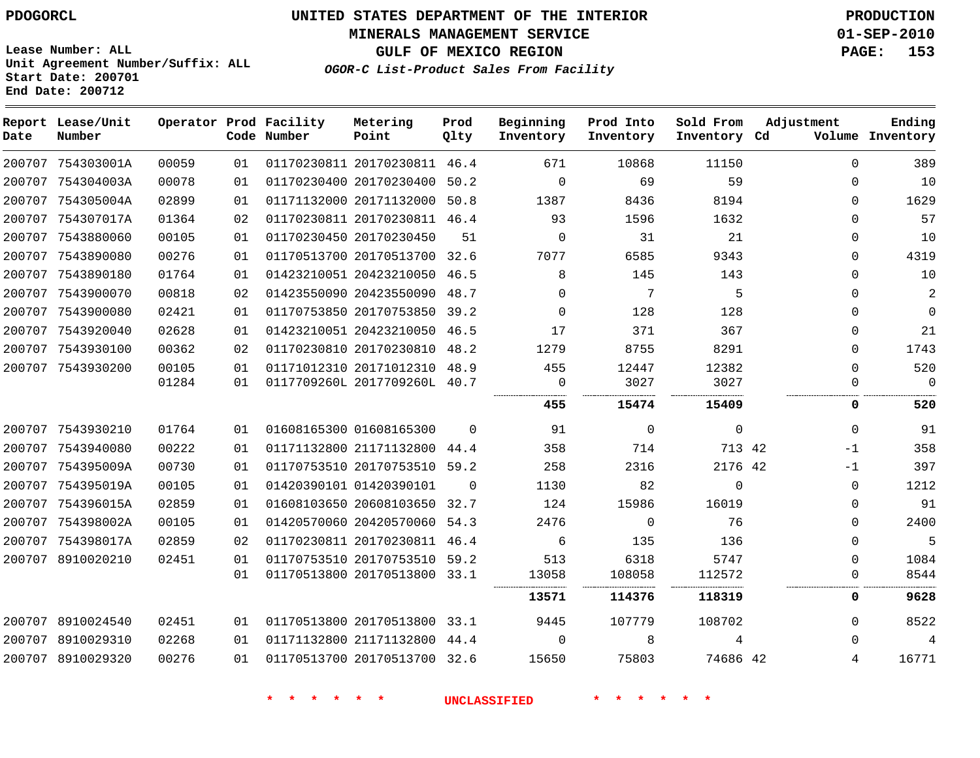**MINERALS MANAGEMENT SERVICE 01-SEP-2010**

**Lease Number: ALL Unit Agreement Number/Suffix: ALL Start Date: 200701 End Date: 200712**

**GULF OF MEXICO REGION PAGE: 153 OGOR-C List-Product Sales From Facility**

| Date | Report Lease/Unit<br>Number |       |    | Operator Prod Facility<br>Code Number | Metering<br>Point            | Prod<br>Qlty | Beginning<br>Inventory | Prod Into<br>Inventory | Sold From<br>Inventory Cd | Adjustment | Ending<br>Volume Inventory |
|------|-----------------------------|-------|----|---------------------------------------|------------------------------|--------------|------------------------|------------------------|---------------------------|------------|----------------------------|
|      | 200707 754303001A           | 00059 | 01 |                                       | 01170230811 20170230811 46.4 |              | 671                    | 10868                  | 11150                     | 0          | 389                        |
|      | 200707 754304003A           | 00078 | 01 |                                       | 01170230400 20170230400 50.2 |              | $\mathbf 0$            | 69                     | 59                        | 0          | 10                         |
|      | 200707 754305004A           | 02899 | 01 |                                       | 01171132000 20171132000      | 50.8         | 1387                   | 8436                   | 8194                      | 0          | 1629                       |
|      | 200707 754307017A           | 01364 | 02 |                                       | 01170230811 20170230811 46.4 |              | 93                     | 1596                   | 1632                      | 0          | 57                         |
|      | 200707 7543880060           | 00105 | 01 |                                       | 01170230450 20170230450      | 51           | $\mathbf 0$            | 31                     | 21                        | 0          | 10                         |
|      | 200707 7543890080           | 00276 | 01 |                                       | 01170513700 20170513700 32.6 |              | 7077                   | 6585                   | 9343                      | 0          | 4319                       |
|      | 200707 7543890180           | 01764 | 01 |                                       | 01423210051 20423210050      | 46.5         | 8                      | 145                    | 143                       | 0          | 10                         |
|      | 200707 7543900070           | 00818 | 02 |                                       | 01423550090 20423550090 48.7 |              | $\Omega$               | 7                      | 5                         | 0          | 2                          |
|      | 200707 7543900080           | 02421 | 01 |                                       | 01170753850 20170753850 39.2 |              | $\Omega$               | 128                    | 128                       | 0          | $\mathbf 0$                |
|      | 200707 7543920040           | 02628 | 01 |                                       | 01423210051 20423210050 46.5 |              | 17                     | 371                    | 367                       | 0          | 21                         |
|      | 200707 7543930100           | 00362 | 02 |                                       | 01170230810 20170230810      | 48.2         | 1279                   | 8755                   | 8291                      | 0          | 1743                       |
|      | 200707 7543930200           | 00105 | 01 |                                       | 01171012310 20171012310 48.9 |              | 455                    | 12447                  | 12382                     | 0          | 520                        |
|      |                             | 01284 | 01 |                                       | 0117709260L 2017709260L 40.7 |              | 0                      | 3027                   | 3027                      | 0          | $\mathbf 0$                |
|      |                             |       |    |                                       |                              |              | 455                    | 15474                  | 15409                     | 0          | 520                        |
|      | 200707 7543930210           | 01764 | 01 |                                       | 01608165300 01608165300      | $\Omega$     | 91                     | $\mathbf 0$            | $\mathbf 0$               | 0          | 91                         |
|      | 200707 7543940080           | 00222 | 01 |                                       | 01171132800 21171132800 44.4 |              | 358                    | 714                    | 713 42                    | $-1$       | 358                        |
|      | 200707 754395009A           | 00730 | 01 |                                       | 01170753510 20170753510 59.2 |              | 258                    | 2316                   | 2176 42                   | $-1$       | 397                        |
|      | 200707 754395019A           | 00105 | 01 |                                       | 01420390101 01420390101      | $\Omega$     | 1130                   | 82                     | 0                         | 0          | 1212                       |
|      | 200707 754396015A           | 02859 | 01 |                                       | 01608103650 20608103650 32.7 |              | 124                    | 15986                  | 16019                     | 0          | 91                         |
|      | 200707 754398002A           | 00105 | 01 |                                       | 01420570060 20420570060 54.3 |              | 2476                   | $\Omega$               | 76                        | 0          | 2400                       |
|      | 200707 754398017A           | 02859 | 02 |                                       | 01170230811 20170230811 46.4 |              | 6                      | 135                    | 136                       | 0          | 5                          |
|      | 200707 8910020210           | 02451 | 01 |                                       | 01170753510 20170753510 59.2 |              | 513                    | 6318                   | 5747                      | 0          | 1084                       |
|      |                             |       | 01 |                                       | 01170513800 20170513800 33.1 |              | 13058                  | 108058                 | 112572                    | 0          | 8544                       |
|      |                             |       |    |                                       |                              |              | 13571                  | 114376                 | 118319                    | 0          | 9628                       |
|      | 200707 8910024540           | 02451 | 01 |                                       | 01170513800 20170513800 33.1 |              | 9445                   | 107779                 | 108702                    | 0          | 8522                       |
|      | 200707 8910029310           | 02268 | 01 |                                       | 01171132800 21171132800      | 44.4         | $\Omega$               | 8                      | 4                         | 0          | 4                          |
|      | 200707 8910029320           | 00276 | 01 |                                       | 01170513700 20170513700 32.6 |              | 15650                  | 75803                  | 74686 42                  | 4          | 16771                      |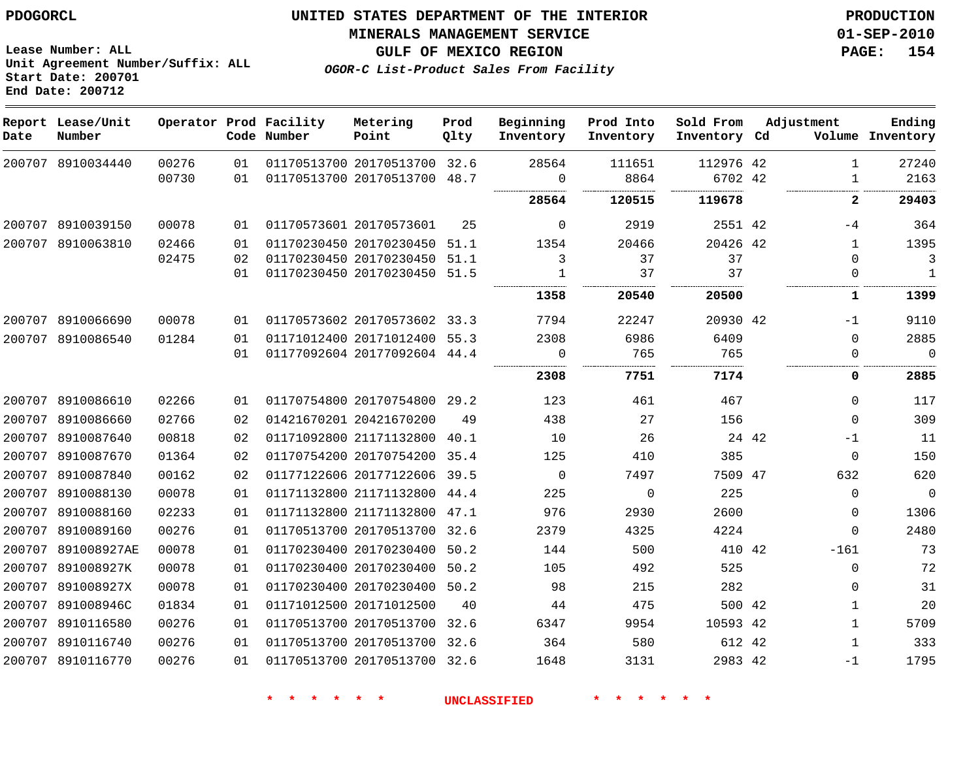# **UNITED STATES DEPARTMENT OF THE INTERIOR PDOGORCL PRODUCTION**

#### **MINERALS MANAGEMENT SERVICE 01-SEP-2010**

**GULF OF MEXICO REGION PAGE: 154**

**OGOR-C List-Product Sales From Facility Unit Agreement Number/Suffix: ALL Start Date: 200701 End Date: 200712**

| Date   | Report Lease/Unit<br>Number |       |    | Operator Prod Facility<br>Code Number | Metering<br>Point            | Prod<br>Qlty | Beginning<br>Inventory | Prod Into<br>Inventory | Sold From<br>Inventory Cd |       | Adjustment       | Ending<br>Volume Inventory |
|--------|-----------------------------|-------|----|---------------------------------------|------------------------------|--------------|------------------------|------------------------|---------------------------|-------|------------------|----------------------------|
|        | 200707 8910034440           | 00276 | 01 |                                       | 01170513700 20170513700 32.6 |              | 28564                  | 111651                 | 112976 42                 |       | $\mathbf{1}$     | 27240                      |
|        |                             | 00730 | 01 |                                       | 01170513700 20170513700 48.7 |              | $\mathbf 0$            | 8864                   | 6702 42                   |       | $\mathbf 1$      | 2163                       |
|        |                             |       |    |                                       |                              |              | 28564                  | 120515                 | 119678                    |       | $\overline{2}$   | 29403                      |
| 200707 | 8910039150                  | 00078 | 01 |                                       | 01170573601 20170573601      | 25           | 0                      | 2919                   | 2551 42                   |       | -4               | 364                        |
|        | 200707 8910063810           | 02466 | 01 |                                       | 01170230450 20170230450 51.1 |              | 1354                   | 20466                  | 20426 42                  |       | $\mathbf{1}$     | 1395                       |
|        |                             | 02475 | 02 |                                       | 01170230450 20170230450 51.1 |              | 3                      | 37                     | 37                        |       | $\Omega$         | 3                          |
|        |                             |       | 01 |                                       | 01170230450 20170230450 51.5 |              | 1                      | 37                     | 37                        |       | $\mathbf 0$<br>. | $\mathbf{1}$               |
|        |                             |       |    |                                       |                              |              | 1358                   | 20540                  | 20500                     |       | 1                | 1399                       |
|        | 200707 8910066690           | 00078 | 01 |                                       | 01170573602 20170573602 33.3 |              | 7794                   | 22247                  | 20930 42                  |       | $-1$             | 9110                       |
|        | 200707 8910086540           | 01284 | 01 |                                       | 01171012400 20171012400 55.3 |              | 2308                   | 6986                   | 6409                      |       | $\Omega$         | 2885                       |
|        |                             |       | 01 |                                       | 01177092604 20177092604 44.4 |              | $\Omega$               | 765                    | 765                       |       | $\Omega$         | $\Omega$                   |
|        |                             |       |    |                                       |                              |              | 2308                   | 7751                   | 7174                      |       | 0                | 2885                       |
| 200707 | 8910086610                  | 02266 | 01 |                                       | 01170754800 20170754800 29.2 |              | 123                    | 461                    | 467                       |       | $\Omega$         | 117                        |
| 200707 | 8910086660                  | 02766 | 02 |                                       | 01421670201 20421670200      | 49           | 438                    | 27                     | 156                       |       | $\mathbf 0$      | 309                        |
| 200707 | 8910087640                  | 00818 | 02 |                                       | 01171092800 21171132800      | 40.1         | 10                     | 26                     |                           | 24 42 | $-1$             | 11                         |
| 200707 | 8910087670                  | 01364 | 02 |                                       | 01170754200 20170754200      | 35.4         | 125                    | 410                    | 385                       |       | $\mathbf 0$      | 150                        |
| 200707 | 8910087840                  | 00162 | 02 |                                       | 01177122606 20177122606 39.5 |              | $\Omega$               | 7497                   | 7509 47                   |       | 632              | 620                        |
| 200707 | 8910088130                  | 00078 | 01 |                                       | 01171132800 21171132800 44.4 |              | 225                    | $\mathbf 0$            | 225                       |       | $\mathbf 0$      | $\mathbf{0}$               |
| 200707 | 8910088160                  | 02233 | 01 |                                       | 01171132800 21171132800      | 47.1         | 976                    | 2930                   | 2600                      |       | 0                | 1306                       |
| 200707 | 8910089160                  | 00276 | 01 |                                       | 01170513700 20170513700 32.6 |              | 2379                   | 4325                   | 4224                      |       | $\Omega$         | 2480                       |
| 200707 | 891008927AE                 | 00078 | 01 |                                       | 01170230400 20170230400      | 50.2         | 144                    | 500                    | 410 42                    |       | $-161$           | 73                         |
|        | 200707 891008927K           | 00078 | 01 |                                       | 01170230400 20170230400 50.2 |              | 105                    | 492                    | 525                       |       | $\mathbf 0$      | 72                         |
| 200707 | 891008927X                  | 00078 | 01 |                                       | 01170230400 20170230400 50.2 |              | 98                     | 215                    | 282                       |       | $\mathbf 0$      | 31                         |
| 200707 | 891008946C                  | 01834 | 01 |                                       | 01171012500 20171012500      | 40           | 44                     | 475                    | 500 42                    |       | $\mathbf{1}$     | 20                         |
| 200707 | 8910116580                  | 00276 | 01 |                                       | 01170513700 20170513700 32.6 |              | 6347                   | 9954                   | 10593 42                  |       | $\mathbf{1}$     | 5709                       |
| 200707 | 8910116740                  | 00276 | 01 |                                       | 01170513700 20170513700 32.6 |              | 364                    | 580                    | 612 42                    |       | $\mathbf{1}$     | 333                        |
|        | 200707 8910116770           | 00276 | 01 |                                       | 01170513700 20170513700 32.6 |              | 1648                   | 3131                   | 2983 42                   |       | $-1$             | 1795                       |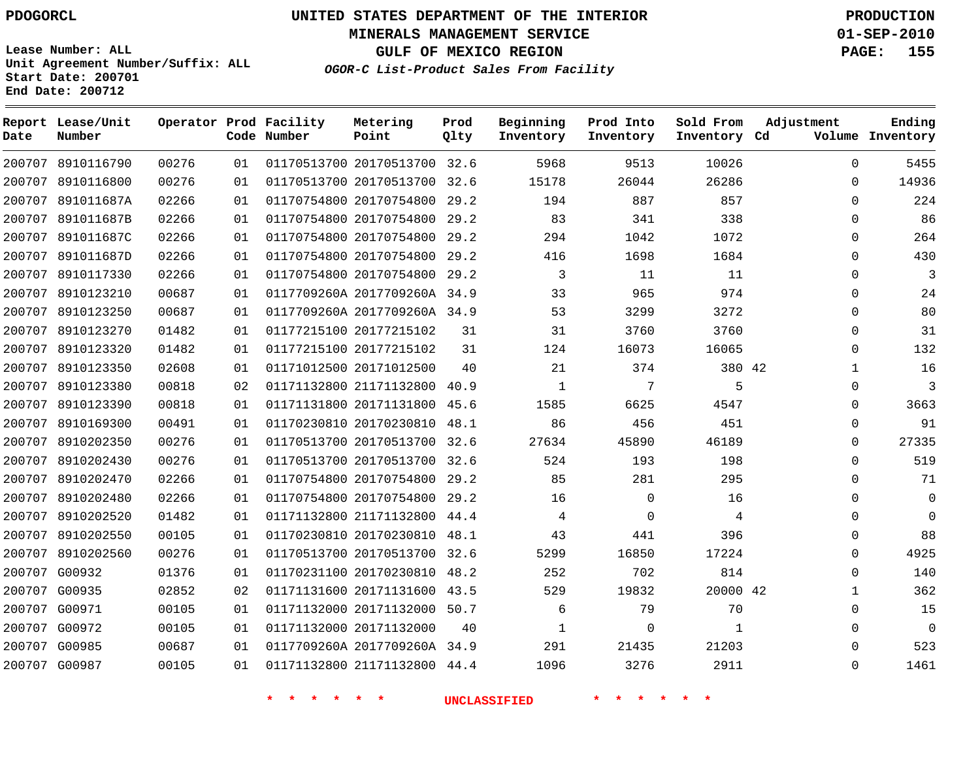**Start Date: 200701 End Date: 200712**

**Unit Agreement Number/Suffix: ALL**

# **UNITED STATES DEPARTMENT OF THE INTERIOR PDOGORCL PRODUCTION**

**MINERALS MANAGEMENT SERVICE 01-SEP-2010**

**GULF OF MEXICO REGION PAGE: 155**

**OGOR-C List-Product Sales From Facility**

| Date   | Report Lease/Unit<br>Number |       |    | Operator Prod Facility<br>Code Number | Metering<br>Point            | Prod<br>Qlty | Beginning<br>Inventory | Prod Into<br>Inventory | Sold From<br>Inventory Cd | Adjustment   | Ending<br>Volume Inventory |
|--------|-----------------------------|-------|----|---------------------------------------|------------------------------|--------------|------------------------|------------------------|---------------------------|--------------|----------------------------|
|        | 200707 8910116790           | 00276 | 01 |                                       | 01170513700 20170513700 32.6 |              | 5968                   | 9513                   | 10026                     | $\Omega$     | 5455                       |
| 200707 | 8910116800                  | 00276 | 01 |                                       | 01170513700 20170513700      | 32.6         | 15178                  | 26044                  | 26286                     | $\Omega$     | 14936                      |
| 200707 | 891011687A                  | 02266 | 01 |                                       | 01170754800 20170754800      | 29.2         | 194                    | 887                    | 857                       | $\Omega$     | 224                        |
| 200707 | 891011687B                  | 02266 | 01 |                                       | 01170754800 20170754800      | 29.2         | 83                     | 341                    | 338                       | $\Omega$     | 86                         |
| 200707 | 891011687C                  | 02266 | 01 |                                       | 01170754800 20170754800      | 29.2         | 294                    | 1042                   | 1072                      | $\Omega$     | 264                        |
| 200707 | 891011687D                  | 02266 | 01 |                                       | 01170754800 20170754800      | 29.2         | 416                    | 1698                   | 1684                      | $\Omega$     | 430                        |
| 200707 | 8910117330                  | 02266 | 01 |                                       | 01170754800 20170754800      | 29.2         | 3                      | 11                     | 11                        | $\Omega$     | $\mathbf{3}$               |
| 200707 | 8910123210                  | 00687 | 01 |                                       | 0117709260A 2017709260A 34.9 |              | 33                     | 965                    | 974                       | $\Omega$     | 24                         |
| 200707 | 8910123250                  | 00687 | 01 |                                       | 0117709260A 2017709260A 34.9 |              | 53                     | 3299                   | 3272                      | $\mathbf 0$  | 80                         |
| 200707 | 8910123270                  | 01482 | 01 |                                       | 01177215100 20177215102      | 31           | 31                     | 3760                   | 3760                      | $\Omega$     | 31                         |
| 200707 | 8910123320                  | 01482 | 01 |                                       | 01177215100 20177215102      | 31           | 124                    | 16073                  | 16065                     | $\Omega$     | 132                        |
| 200707 | 8910123350                  | 02608 | 01 |                                       | 01171012500 20171012500      | 40           | 21                     | 374                    | 380 42                    | $\mathbf{1}$ | 16                         |
| 200707 | 8910123380                  | 00818 | 02 |                                       | 01171132800 21171132800      | 40.9         | 1                      | 7                      | 5                         | $\Omega$     | 3                          |
| 200707 | 8910123390                  | 00818 | 01 |                                       | 01171131800 20171131800      | 45.6         | 1585                   | 6625                   | 4547                      | 0            | 3663                       |
| 200707 | 8910169300                  | 00491 | 01 |                                       | 01170230810 20170230810      | 48.1         | 86                     | 456                    | 451                       | $\Omega$     | 91                         |
| 200707 | 8910202350                  | 00276 | 01 |                                       | 01170513700 20170513700      | 32.6         | 27634                  | 45890                  | 46189                     | $\Omega$     | 27335                      |
| 200707 | 8910202430                  | 00276 | 01 |                                       | 01170513700 20170513700      | 32.6         | 524                    | 193                    | 198                       | 0            | 519                        |
| 200707 | 8910202470                  | 02266 | 01 |                                       | 01170754800 20170754800      | 29.2         | 85                     | 281                    | 295                       | $\Omega$     | 71                         |
| 200707 | 8910202480                  | 02266 | 01 |                                       | 01170754800 20170754800      | 29.2         | 16                     | $\mathbf 0$            | 16                        | 0            | $\mathbf 0$                |
| 200707 | 8910202520                  | 01482 | 01 |                                       | 01171132800 21171132800      | 44.4         | 4                      | $\Omega$               | 4                         | $\Omega$     | $\Omega$                   |
| 200707 | 8910202550                  | 00105 | 01 |                                       | 01170230810 20170230810      | 48.1         | 43                     | 441                    | 396                       | $\Omega$     | 88                         |
| 200707 | 8910202560                  | 00276 | 01 |                                       | 01170513700 20170513700      | 32.6         | 5299                   | 16850                  | 17224                     | $\Omega$     | 4925                       |
| 200707 | G00932                      | 01376 | 01 |                                       | 01170231100 20170230810      | 48.2         | 252                    | 702                    | 814                       | $\Omega$     | 140                        |
| 200707 | G00935                      | 02852 | 02 |                                       | 01171131600 20171131600      | 43.5         | 529                    | 19832                  | 20000 42                  | $\mathbf{1}$ | 362                        |
| 200707 | G00971                      | 00105 | 01 |                                       | 01171132000 20171132000      | 50.7         | 6                      | 79                     | 70                        | 0            | 15                         |
| 200707 | G00972                      | 00105 | 01 |                                       | 01171132000 20171132000      | 40           | 1                      | $\Omega$               | 1                         | $\Omega$     | $\Omega$                   |
|        | 200707 G00985               | 00687 | 01 |                                       | 0117709260A 2017709260A 34.9 |              | 291                    | 21435                  | 21203                     | $\Omega$     | 523                        |
|        | 200707 G00987               | 00105 | 01 |                                       | 01171132800 21171132800      | 44.4         | 1096                   | 3276                   | 2911                      | $\Omega$     | 1461                       |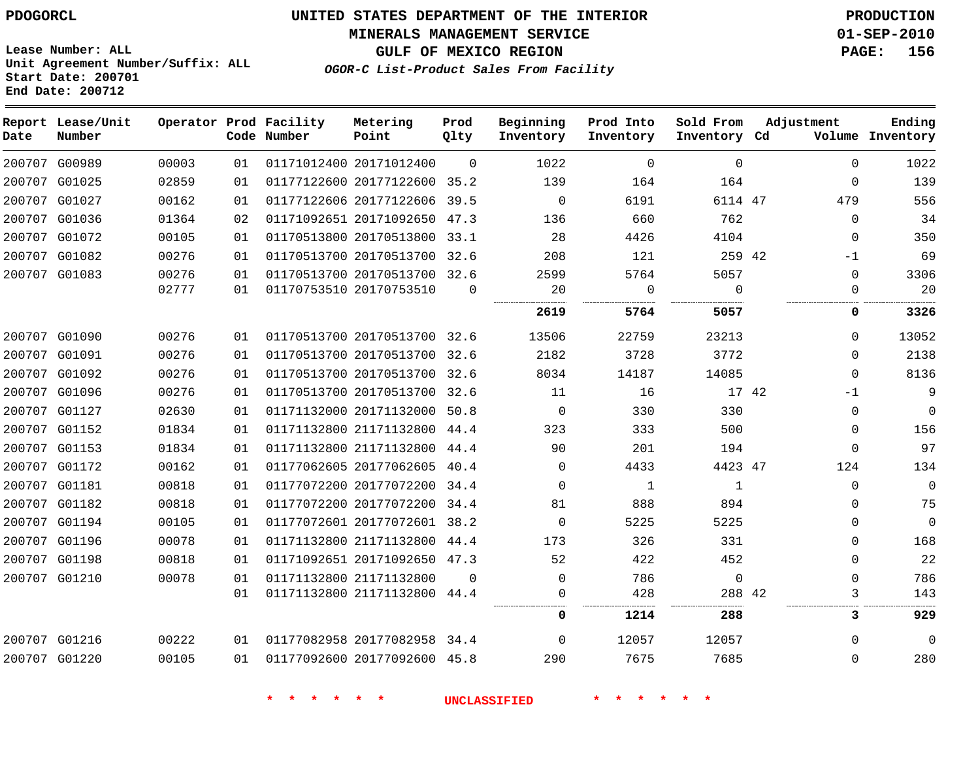**MINERALS MANAGEMENT SERVICE 01-SEP-2010**

**GULF OF MEXICO REGION PAGE: 156**

**Lease Number: ALL Unit Agreement Number/Suffix: ALL Start Date: 200701 End Date: 200712**

**OGOR-C List-Product Sales From Facility**

| Date | Report Lease/Unit<br>Number |       |    | Operator Prod Facility<br>Code Number | Metering<br>Point            | Prod<br>Qlty | Beginning<br>Inventory | Prod Into<br>Inventory | Sold From<br>Inventory Cd | Adjustment | Ending<br>Volume Inventory |
|------|-----------------------------|-------|----|---------------------------------------|------------------------------|--------------|------------------------|------------------------|---------------------------|------------|----------------------------|
|      | 200707 G00989               | 00003 | 01 |                                       | 01171012400 20171012400      | $\Omega$     | 1022                   | $\mathbf 0$            | 0                         |            | 1022<br>$\Omega$           |
|      | 200707 G01025               | 02859 | 01 |                                       | 01177122600 20177122600 35.2 |              | 139                    | 164                    | 164                       |            | 139<br>$\mathbf 0$         |
|      | 200707 G01027               | 00162 | 01 |                                       | 01177122606 20177122606 39.5 |              | $\mathbf 0$            | 6191                   | 6114 47                   | 479        | 556                        |
|      | 200707 G01036               | 01364 | 02 |                                       | 01171092651 20171092650 47.3 |              | 136                    | 660                    | 762                       |            | 34<br>$\mathbf 0$          |
|      | 200707 G01072               | 00105 | 01 |                                       | 01170513800 20170513800 33.1 |              | 28                     | 4426                   | 4104                      |            | 350<br>$\mathbf 0$         |
|      | 200707 G01082               | 00276 | 01 |                                       | 01170513700 20170513700 32.6 |              | 208                    | 121                    | 259 42                    | $-1$       | 69                         |
|      | 200707 G01083               | 00276 | 01 |                                       | 01170513700 20170513700 32.6 |              | 2599                   | 5764                   | 5057                      |            | 3306<br>$\mathbf 0$        |
|      |                             | 02777 | 01 |                                       | 01170753510 20170753510      | $\Omega$     | 20                     | $\mathbf 0$            | $\Omega$                  |            | 20<br>0                    |
|      |                             |       |    |                                       |                              |              | 2619                   | 5764                   | 5057                      |            | 3326<br>0                  |
|      | 200707 G01090               | 00276 | 01 |                                       | 01170513700 20170513700 32.6 |              | 13506                  | 22759                  | 23213                     |            | 13052<br>$\mathbf 0$       |
|      | 200707 G01091               | 00276 | 01 |                                       | 01170513700 20170513700 32.6 |              | 2182                   | 3728                   | 3772                      |            | 2138<br>$\Omega$           |
|      | 200707 G01092               | 00276 | 01 |                                       | 01170513700 20170513700 32.6 |              | 8034                   | 14187                  | 14085                     |            | 8136<br>$\Omega$           |
|      | 200707 G01096               | 00276 | 01 |                                       | 01170513700 20170513700 32.6 |              | 11                     | 16                     | 17 42                     | $-1$       | 9                          |
|      | 200707 G01127               | 02630 | 01 |                                       | 01171132000 20171132000      | 50.8         | $\mathbf 0$            | 330                    | 330                       |            | $\mathbf 0$<br>$\mathbf 0$ |
|      | 200707 G01152               | 01834 | 01 |                                       | 01171132800 21171132800      | 44.4         | 323                    | 333                    | 500                       |            | 156<br>$\mathbf 0$         |
|      | 200707 G01153               | 01834 | 01 |                                       | 01171132800 21171132800 44.4 |              | 90                     | 201                    | 194                       |            | 97<br>$\Omega$             |
|      | 200707 G01172               | 00162 | 01 |                                       | 01177062605 20177062605 40.4 |              | $\Omega$               | 4433                   | 4423 47                   | 124        | 134                        |
|      | 200707 G01181               | 00818 | 01 |                                       | 01177072200 20177072200      | 34.4         | $\Omega$               | $\mathbf{1}$           | $\mathbf{1}$              |            | $\Omega$<br>$\Omega$       |
|      | 200707 G01182               | 00818 | 01 |                                       | 01177072200 20177072200 34.4 |              | 81                     | 888                    | 894                       |            | 75<br>$\Omega$             |
|      | 200707 G01194               | 00105 | 01 |                                       | 01177072601 20177072601 38.2 |              | $\Omega$               | 5225                   | 5225                      |            | $\Omega$<br>$\Omega$       |
|      | 200707 G01196               | 00078 | 01 |                                       | 01171132800 21171132800 44.4 |              | 173                    | 326                    | 331                       |            | 168<br>$\Omega$            |
|      | 200707 G01198               | 00818 | 01 |                                       | 01171092651 20171092650 47.3 |              | 52                     | 422                    | 452                       |            | 22<br>$\Omega$             |
|      | 200707 G01210               | 00078 | 01 |                                       | 01171132800 21171132800      | $\Omega$     | $\Omega$               | 786                    | $\Omega$                  |            | 786<br>$\Omega$            |
|      |                             |       | 01 |                                       | 01171132800 21171132800 44.4 |              | $\Omega$               | 428                    | 288 42                    |            | 143<br>3                   |
|      |                             |       |    |                                       |                              |              | 0                      | 1214                   | 288                       |            | 929<br>3                   |
|      | 200707 G01216               | 00222 | 01 |                                       | 01177082958 20177082958 34.4 |              | $\Omega$               | 12057                  | 12057                     |            | $\Omega$<br>$\Omega$       |
|      | 200707 G01220               | 00105 | 01 |                                       | 01177092600 20177092600 45.8 |              | 290                    | 7675                   | 7685                      |            | 280<br>$\Omega$            |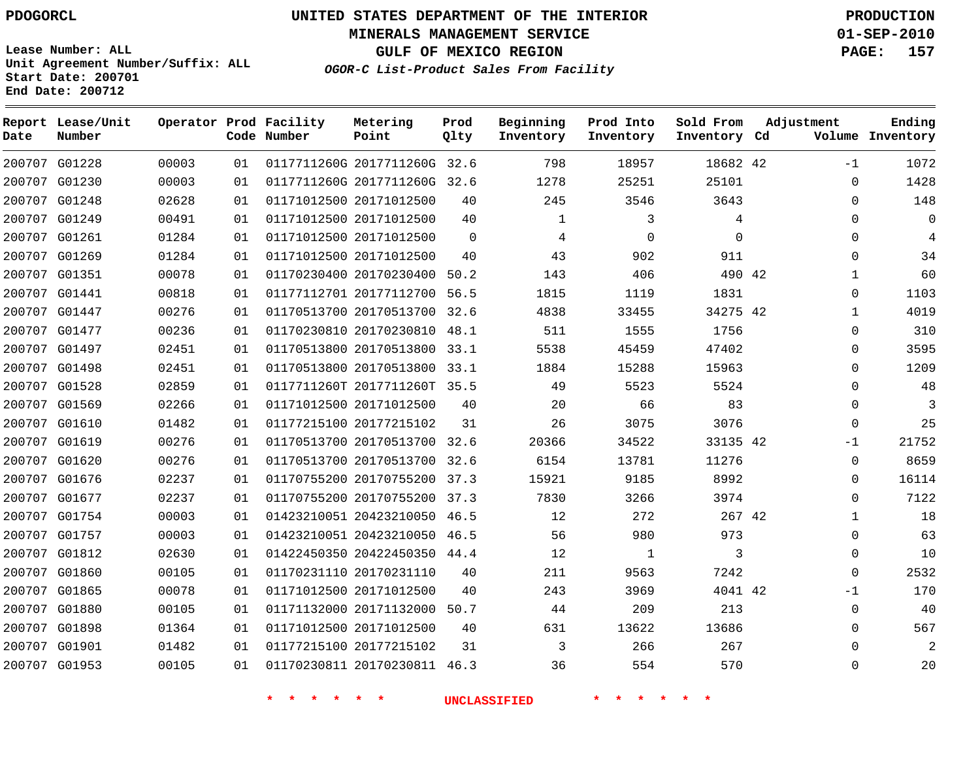**Start Date: 200701 End Date: 200712**

**Unit Agreement Number/Suffix: ALL**

# **UNITED STATES DEPARTMENT OF THE INTERIOR PDOGORCL PRODUCTION**

**MINERALS MANAGEMENT SERVICE 01-SEP-2010**

**GULF OF MEXICO REGION PAGE: 157**

**OGOR-C List-Product Sales From Facility**

| Date   | Report Lease/Unit<br>Number |       |    | Operator Prod Facility<br>Code Number | Metering<br>Point            | Prod<br>Qlty | Beginning<br>Inventory | Prod Into<br>Inventory | Sold From<br>Inventory Cd | Adjustment   | Ending<br>Volume Inventory |
|--------|-----------------------------|-------|----|---------------------------------------|------------------------------|--------------|------------------------|------------------------|---------------------------|--------------|----------------------------|
|        | 200707 G01228               | 00003 | 01 |                                       | 0117711260G 2017711260G 32.6 |              | 798                    | 18957                  | 18682 42                  | $-1$         | 1072                       |
|        | 200707 G01230               | 00003 | 01 |                                       | 0117711260G 2017711260G      | 32.6         | 1278                   | 25251                  | 25101                     | $\Omega$     | 1428                       |
|        | 200707 G01248               | 02628 | 01 | 01171012500 20171012500               |                              | 40           | 245                    | 3546                   | 3643                      | $\Omega$     | 148                        |
|        | 200707 G01249               | 00491 | 01 |                                       | 01171012500 20171012500      | 40           | $\mathbf{1}$           | 3                      | 4                         | 0            | $\mathbf 0$                |
|        | 200707 G01261               | 01284 | 01 |                                       | 01171012500 20171012500      | $\Omega$     | 4                      | $\Omega$               | $\Omega$                  | $\Omega$     | 4                          |
| 200707 | G01269                      | 01284 | 01 |                                       | 01171012500 20171012500      | 40           | 43                     | 902                    | 911                       | 0            | 34                         |
|        | 200707 G01351               | 00078 | 01 |                                       | 01170230400 20170230400      | 50.2         | 143                    | 406                    | 490 42                    | $\mathbf{1}$ | 60                         |
|        | 200707 G01441               | 00818 | 01 |                                       | 01177112701 20177112700      | 56.5         | 1815                   | 1119                   | 1831                      | $\Omega$     | 1103                       |
|        | 200707 G01447               | 00276 | 01 |                                       | 01170513700 20170513700      | 32.6         | 4838                   | 33455                  | 34275 42                  | $\mathbf{1}$ | 4019                       |
| 200707 | G01477                      | 00236 | 01 |                                       | 01170230810 20170230810      | 48.1         | 511                    | 1555                   | 1756                      | $\mathbf 0$  | 310                        |
| 200707 | G01497                      | 02451 | 01 |                                       | 01170513800 20170513800      | 33.1         | 5538                   | 45459                  | 47402                     | $\Omega$     | 3595                       |
|        | 200707 G01498               | 02451 | 01 |                                       | 01170513800 20170513800      | 33.1         | 1884                   | 15288                  | 15963                     | $\Omega$     | 1209                       |
|        | 200707 G01528               | 02859 | 01 |                                       | 0117711260T 2017711260T 35.5 |              | 49                     | 5523                   | 5524                      | $\Omega$     | 48                         |
|        | 200707 G01569               | 02266 | 01 |                                       | 01171012500 20171012500      | 40           | 20                     | 66                     | 83                        | $\Omega$     | 3                          |
|        | 200707 G01610               | 01482 | 01 |                                       | 01177215100 20177215102      | 31           | 26                     | 3075                   | 3076                      | 0            | 25                         |
|        | 200707 G01619               | 00276 | 01 |                                       | 01170513700 20170513700 32.6 |              | 20366                  | 34522                  | 33135 42                  | $-1$         | 21752                      |
|        | 200707 G01620               | 00276 | 01 |                                       | 01170513700 20170513700      | 32.6         | 6154                   | 13781                  | 11276                     | $\Omega$     | 8659                       |
|        | 200707 G01676               | 02237 | 01 |                                       | 01170755200 20170755200 37.3 |              | 15921                  | 9185                   | 8992                      | $\Omega$     | 16114                      |
| 200707 | G01677                      | 02237 | 01 |                                       | 01170755200 20170755200      | 37.3         | 7830                   | 3266                   | 3974                      | 0            | 7122                       |
|        | 200707 G01754               | 00003 | 01 |                                       | 01423210051 20423210050      | 46.5         | 12                     | 272                    | 267 42                    | $\mathbf{1}$ | 18                         |
|        | 200707 G01757               | 00003 | 01 |                                       | 01423210051 20423210050      | 46.5         | 56                     | 980                    | 973                       | 0            | 63                         |
|        | 200707 G01812               | 02630 | 01 |                                       | 01422450350 20422450350 44.4 |              | 12                     | $\mathbf{1}$           | 3                         | $\Omega$     | 10                         |
| 200707 | G01860                      | 00105 | 01 |                                       | 01170231110 20170231110      | 40           | 211                    | 9563                   | 7242                      | $\Omega$     | 2532                       |
|        | 200707 G01865               | 00078 | 01 |                                       | 01171012500 20171012500      | 40           | 243                    | 3969                   | 4041 42                   | $-1$         | 170                        |
| 200707 | G01880                      | 00105 | 01 |                                       | 01171132000 20171132000      | 50.7         | 44                     | 209                    | 213                       | $\Omega$     | 40                         |
|        | 200707 G01898               | 01364 | 01 | 01171012500 20171012500               |                              | 40           | 631                    | 13622                  | 13686                     | $\Omega$     | 567                        |
|        | 200707 G01901               | 01482 | 01 |                                       | 01177215100 20177215102      | 31           | 3                      | 266                    | 267                       | $\Omega$     | 2                          |
|        | 200707 G01953               | 00105 | 01 |                                       | 01170230811 20170230811      | 46.3         | 36                     | 554                    | 570                       | $\Omega$     | 20                         |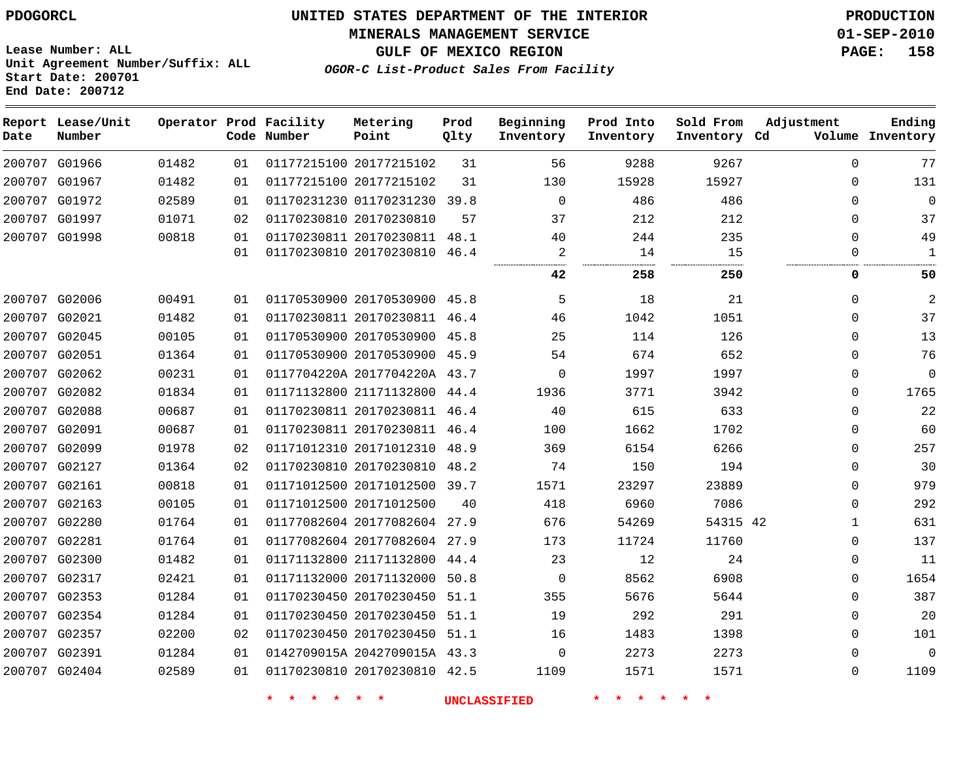**MINERALS MANAGEMENT SERVICE 01-SEP-2010**

**GULF OF MEXICO REGION PAGE: 158**

**Lease Number: ALL Unit Agreement Number/Suffix: ALL Start Date: 200701 End Date: 200712**

**OGOR-C List-Product Sales From Facility**

| Date | Report Lease/Unit<br>Number |       |    | Operator Prod Facility<br>Code Number | Metering<br>Point            | Prod<br>Qlty | Beginning<br>Inventory | Prod Into<br>Inventory | Sold From<br>Inventory Cd | Adjustment   | Ending<br>Volume Inventory |
|------|-----------------------------|-------|----|---------------------------------------|------------------------------|--------------|------------------------|------------------------|---------------------------|--------------|----------------------------|
|      | 200707 G01966               | 01482 | 01 |                                       | 01177215100 20177215102      | 31           | 56                     | 9288                   | 9267                      | $\Omega$     | 77                         |
|      | 200707 G01967               | 01482 | 01 |                                       | 01177215100 20177215102      | 31           | 130                    | 15928                  | 15927                     | $\Omega$     | 131                        |
|      | 200707 G01972               | 02589 | 01 |                                       | 01170231230 01170231230      | 39.8         | $\mathbf 0$            | 486                    | 486                       | $\Omega$     | $\Omega$                   |
|      | 200707 G01997               | 01071 | 02 |                                       | 01170230810 20170230810      | 57           | 37                     | 212                    | 212                       | $\Omega$     | 37                         |
|      | 200707 G01998               | 00818 | 01 |                                       | 01170230811 20170230811 48.1 |              | 40                     | 244                    | 235                       | $\Omega$     | 49                         |
|      |                             |       | 01 |                                       | 01170230810 20170230810      | 46.4         | 2<br>                  | 14                     | 15                        | $\Omega$     | 1                          |
|      |                             |       |    |                                       |                              |              | 42                     | 258                    | 250                       | 0            | 50                         |
|      | 200707 G02006               | 00491 | 01 |                                       | 01170530900 20170530900 45.8 |              | 5                      | 18                     | 21                        | $\Omega$     | $\overline{2}$             |
|      | 200707 G02021               | 01482 | 01 |                                       | 01170230811 20170230811 46.4 |              | 46                     | 1042                   | 1051                      | $\mathbf{0}$ | 37                         |
|      | 200707 G02045               | 00105 | 01 |                                       | 01170530900 20170530900      | 45.8         | 25                     | 114                    | 126                       | $\Omega$     | 13                         |
|      | 200707 G02051               | 01364 | 01 |                                       | 01170530900 20170530900 45.9 |              | 54                     | 674                    | 652                       | $\Omega$     | 76                         |
|      | 200707 G02062               | 00231 | 01 |                                       | 0117704220A 2017704220A 43.7 |              | $\Omega$               | 1997                   | 1997                      | $\Omega$     | $\Omega$                   |
|      | 200707 G02082               | 01834 | 01 |                                       | 01171132800 21171132800 44.4 |              | 1936                   | 3771                   | 3942                      | $\Omega$     | 1765                       |
|      | 200707 G02088               | 00687 | 01 |                                       | 01170230811 20170230811 46.4 |              | 40                     | 615                    | 633                       | $\mathbf{0}$ | 22                         |
|      | 200707 G02091               | 00687 | 01 |                                       | 01170230811 20170230811 46.4 |              | 100                    | 1662                   | 1702                      | $\mathbf 0$  | 60                         |
|      | 200707 G02099               | 01978 | 02 |                                       | 01171012310 20171012310 48.9 |              | 369                    | 6154                   | 6266                      | $\Omega$     | 257                        |
|      | 200707 G02127               | 01364 | 02 |                                       | 01170230810 20170230810 48.2 |              | 74                     | 150                    | 194                       | $\mathbf 0$  | 30                         |
|      | 200707 G02161               | 00818 | 01 |                                       | 01171012500 20171012500 39.7 |              | 1571                   | 23297                  | 23889                     | $\Omega$     | 979                        |
|      | 200707 G02163               | 00105 | 01 |                                       | 01171012500 20171012500      | 40           | 418                    | 6960                   | 7086                      | $\Omega$     | 292                        |
|      | 200707 G02280               | 01764 | 01 |                                       | 01177082604 20177082604 27.9 |              | 676                    | 54269                  | 54315 42                  | $\mathbf{1}$ | 631                        |
|      | 200707 G02281               | 01764 | 01 |                                       | 01177082604 20177082604 27.9 |              | 173                    | 11724                  | 11760                     | $\Omega$     | 137                        |
|      | 200707 G02300               | 01482 | 01 |                                       | 01171132800 21171132800 44.4 |              | 23                     | 12                     | 24                        | 0            | 11                         |
|      | 200707 G02317               | 02421 | 01 |                                       | 01171132000 20171132000 50.8 |              | 0                      | 8562                   | 6908                      | 0            | 1654                       |
|      | 200707 G02353               | 01284 | 01 |                                       | 01170230450 20170230450      | 51.1         | 355                    | 5676                   | 5644                      | $\mathbf 0$  | 387                        |
|      | 200707 G02354               | 01284 | 01 |                                       | 01170230450 20170230450 51.1 |              | 19                     | 292                    | 291                       | $\Omega$     | 20                         |
|      | 200707 G02357               | 02200 | 02 |                                       | 01170230450 20170230450 51.1 |              | 16                     | 1483                   | 1398                      | $\Omega$     | 101                        |
|      | 200707 G02391               | 01284 | 01 |                                       | 0142709015A 2042709015A 43.3 |              | $\Omega$               | 2273                   | 2273                      | $\Omega$     | $\Omega$                   |
|      | 200707 G02404               | 02589 | 01 |                                       | 01170230810 20170230810 42.5 |              | 1109                   | 1571                   | 1571                      | $\Omega$     | 1109                       |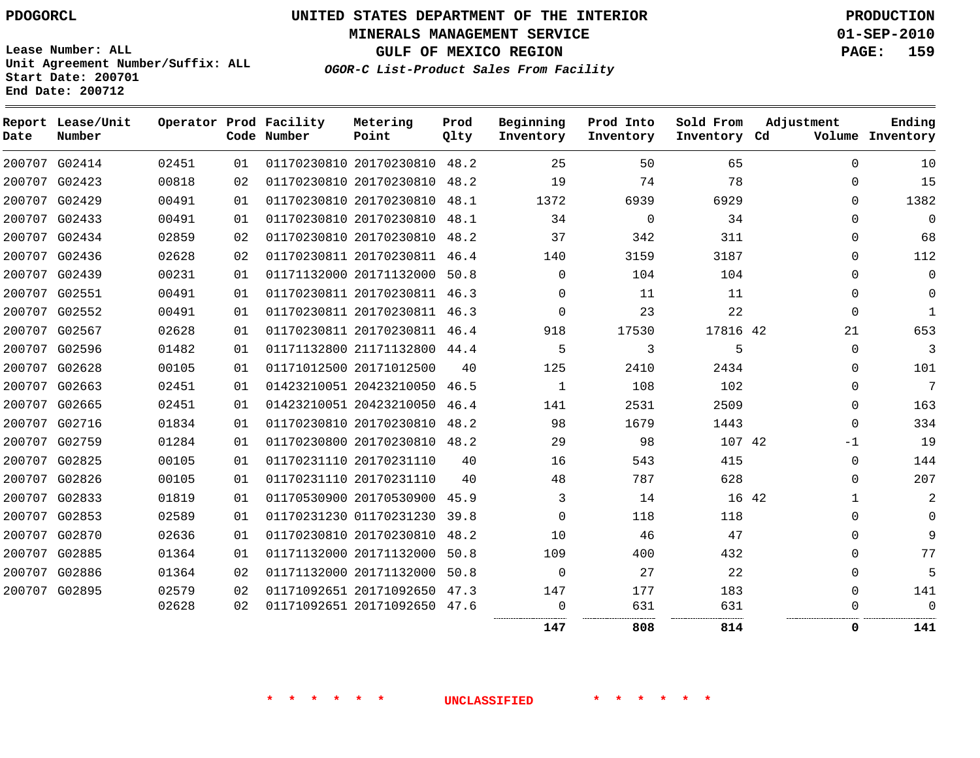**MINERALS MANAGEMENT SERVICE 01-SEP-2010**

**GULF OF MEXICO REGION PAGE: 159**

**Lease Number: ALL Unit Agreement Number/Suffix: ALL Start Date: 200701 End Date: 200712**

**OGOR-C List-Product Sales From Facility**

| Date | Report Lease/Unit<br>Number |       |    | Operator Prod Facility<br>Code Number | Metering<br>Point            | Prod<br>Olty | Beginning<br>Inventory | Prod Into<br>Inventory | Sold From<br>Inventory Cd | Adjustment  | Ending<br>Volume Inventory |
|------|-----------------------------|-------|----|---------------------------------------|------------------------------|--------------|------------------------|------------------------|---------------------------|-------------|----------------------------|
|      | 200707 G02414               | 02451 | 01 |                                       | 01170230810 20170230810 48.2 |              | 25                     | 50                     | 65                        | $\Omega$    | 10                         |
|      | 200707 G02423               | 00818 | 02 |                                       | 01170230810 20170230810      | 48.2         | 19                     | 74                     | 78                        | $\mathbf 0$ | 15                         |
|      | 200707 G02429               | 00491 | 01 |                                       | 01170230810 20170230810 48.1 |              | 1372                   | 6939                   | 6929                      | $\Omega$    | 1382                       |
|      | 200707 G02433               | 00491 | 01 |                                       | 01170230810 20170230810 48.1 |              | 34                     | $\mathbf{0}$           | 34                        | $\mathbf 0$ | $\mathbf 0$                |
|      | 200707 G02434               | 02859 | 02 |                                       | 01170230810 20170230810 48.2 |              | 37                     | 342                    | 311                       | $\Omega$    | 68                         |
|      | 200707 G02436               | 02628 | 02 |                                       | 01170230811 20170230811 46.4 |              | 140                    | 3159                   | 3187                      | 0           | 112                        |
|      | 200707 G02439               | 00231 | 01 |                                       | 01171132000 20171132000      | 50.8         | $\Omega$               | 104                    | 104                       | $\mathbf 0$ | $\mathbf 0$                |
|      | 200707 G02551               | 00491 | 01 |                                       | 01170230811 20170230811 46.3 |              | $\Omega$               | 11                     | 11                        | $\Omega$    | $\Omega$                   |
|      | 200707 G02552               | 00491 | 01 |                                       | 01170230811 20170230811 46.3 |              | $\mathbf 0$            | 23                     | 22                        | $\mathbf 0$ | $\mathbf{1}$               |
|      | 200707 G02567               | 02628 | 01 |                                       | 01170230811 20170230811 46.4 |              | 918                    | 17530                  | 17816 42                  | 21          | 653                        |
|      | 200707 G02596               | 01482 | 01 |                                       | 01171132800 21171132800      | 44.4         | 5                      | 3                      | 5                         | $\Omega$    | 3                          |
|      | 200707 G02628               | 00105 | 01 |                                       | 01171012500 20171012500      | 40           | 125                    | 2410                   | 2434                      | $\mathbf 0$ | 101                        |
|      | 200707 G02663               | 02451 | 01 |                                       | 01423210051 20423210050 46.5 |              | 1                      | 108                    | 102                       | $\Omega$    | 7                          |
|      | 200707 G02665               | 02451 | 01 |                                       | 01423210051 20423210050      | 46.4         | 141                    | 2531                   | 2509                      | 0           | 163                        |
|      | 200707 G02716               | 01834 | 01 |                                       | 01170230810 20170230810      | 48.2         | 98                     | 1679                   | 1443                      | $\Omega$    | 334                        |
|      | 200707 G02759               | 01284 | 01 |                                       | 01170230800 20170230810 48.2 |              | 29                     | 98                     | 107 42                    | -1          | 19                         |
|      | 200707 G02825               | 00105 | 01 |                                       | 01170231110 20170231110      | 40           | 16                     | 543                    | 415                       | $\Omega$    | 144                        |
|      | 200707 G02826               | 00105 | 01 |                                       | 01170231110 20170231110      | 40           | 48                     | 787                    | 628                       | $\Omega$    | 207                        |
|      | 200707 G02833               | 01819 | 01 |                                       | 01170530900 20170530900 45.9 |              | 3                      | 14                     | 16 42                     | 1           | 2                          |
|      | 200707 G02853               | 02589 | 01 |                                       | 01170231230 01170231230      | 39.8         | $\Omega$               | 118                    | 118                       | $\Omega$    | $\Omega$                   |
|      | 200707 G02870               | 02636 | 01 |                                       | 01170230810 20170230810      | 48.2         | 10                     | 46                     | 47                        | $\Omega$    | 9                          |
|      | 200707 G02885               | 01364 | 01 |                                       | 01171132000 20171132000      | 50.8         | 109                    | 400                    | 432                       | $\Omega$    | 77                         |
|      | 200707 G02886               | 01364 | 02 |                                       | 01171132000 20171132000      | 50.8         | $\mathbf 0$            | 27                     | 22                        | $\mathbf 0$ | 5                          |
|      | 200707 G02895               | 02579 | 02 |                                       | 01171092651 20171092650      | 47.3         | 147                    | 177                    | 183                       | $\Omega$    | 141                        |
|      |                             | 02628 | 02 |                                       | 01171092651 20171092650 47.6 |              | 0                      | 631                    | 631                       | 0           | $\Omega$                   |
|      |                             |       |    |                                       |                              |              | 147                    | 808                    | 814                       | 0           | 141                        |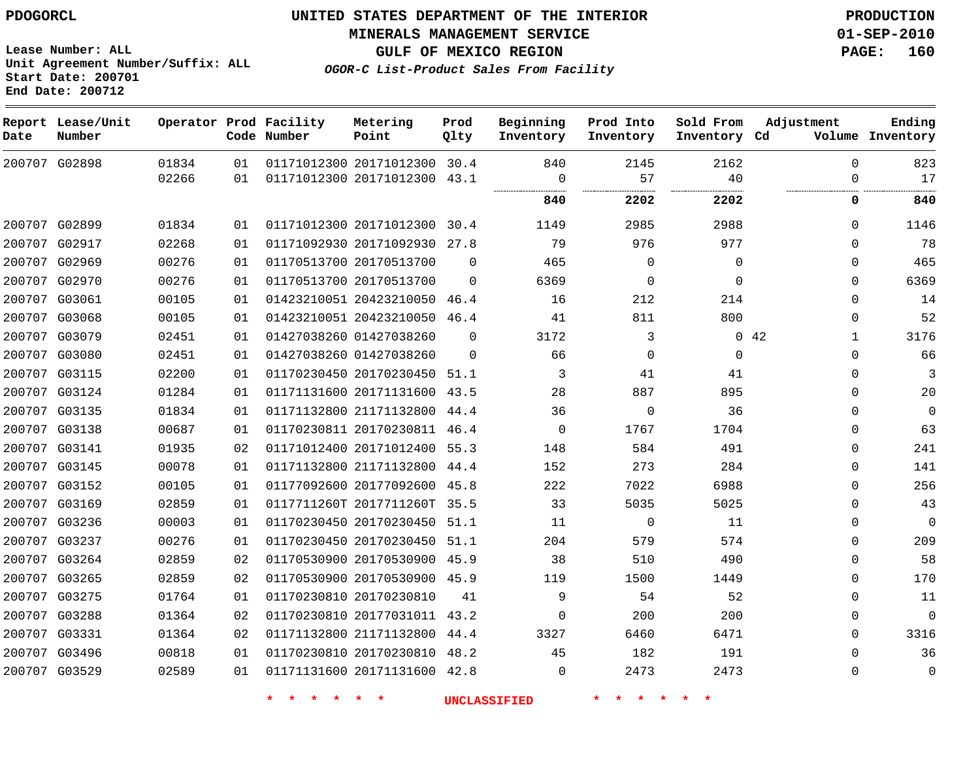**Start Date: 200701 End Date: 200712**

**Unit Agreement Number/Suffix: ALL**

# **UNITED STATES DEPARTMENT OF THE INTERIOR PDOGORCL PRODUCTION**

**MINERALS MANAGEMENT SERVICE 01-SEP-2010**

**GULF OF MEXICO REGION PAGE: 160**

**OGOR-C List-Product Sales From Facility**

**Report Lease/Unit Operator Prod Facility Metering Prod Beginning Prod Into Sold From Adjustment Ending Code Number Point Inventory Cd Volume Date Number Qlty Inventory Inventory Inventory**  $\Omega$  G02898 20171012300 30.4 20171012300 43.1  $\Omega$   $\Omega$  . . . . . . . . . . . . . . . . . . . . . . . . . . . . . . . . . . . . . . . . . . . . . . . . **2202 2202 0 840** G02899 20171012300 30.4  $\Omega$  G02917 20171092930 27.8  $\Omega$  G02969 20170513700  $\Omega$   $\Omega$  $\Omega$  $\Omega$  G02970 20170513700  $\Omega$   $\Omega$  $\Omega$  $\Omega$  G03061 20423210050 46.4  $\Omega$  G03068 20423210050 46.4  $\Omega$  G03079 01427038260  $\Omega$  42 G03080 01427038260  $\Omega$   $\Omega$  $\Omega$  $\Omega$  G03115 20170230450 51.1  $\cap$  G03124 20171131600 43.5  $\Omega$  G03135 21171132800 44.4  $\Omega$   $\Omega$  $\Omega$  G03138 20170230811 46.4  $\Omega$   $\Omega$  G03141 20171012400 55.3  $\Omega$  G03145 21171132800 44.4  $\Omega$  G03152 20177092600 45.8  $\Omega$  G03169 0117711260T 2017711260T 35.5  $\Omega$  G03236 20170230450 51.1  $\Omega$   $\Omega$  $\Omega$  G03237 20170230450 51.1  $\Omega$  G03264 20170530900 45.9  $\Omega$  G03265 20170530900 45.9  $\Omega$  G03275 20170230810  $\Omega$  G03288 20177031011 43.2  $\Omega$   $\Omega$  $\Omega$  G03331 21171132800 44.4  $\Omega$  G03496 20170230810 48.2  $\Omega$  G03529 20171131600 42.8  $\Omega$   $\Omega$   $\Omega$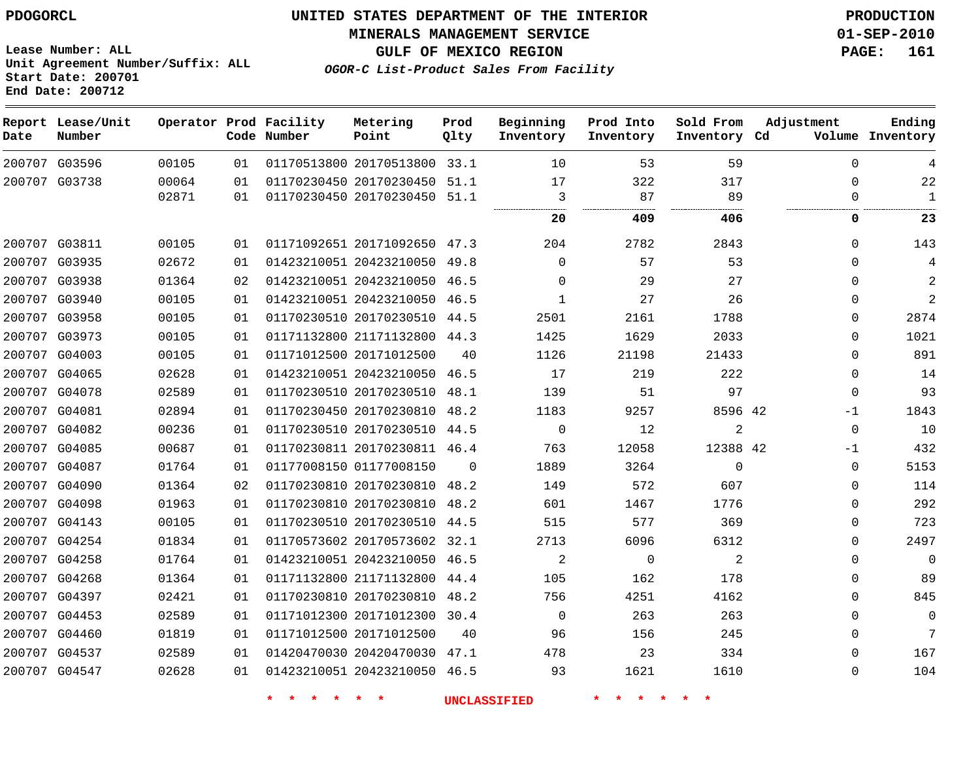**End Date: 200712**

# **UNITED STATES DEPARTMENT OF THE INTERIOR PDOGORCL PRODUCTION**

**MINERALS MANAGEMENT SERVICE 01-SEP-2010**

**Lease Number: ALL Unit Agreement Number/Suffix: ALL Start Date: 200701**

**GULF OF MEXICO REGION PAGE: 161**

**OGOR-C List-Product Sales From Facility**

| Date | Report Lease/Unit<br>Number |       |    | Operator Prod Facility<br>Code Number | Metering<br>Point            | Prod<br>Qlty | Beginning<br>Inventory | Prod Into<br>Inventory | Sold From<br>Inventory Cd | Adjustment   | Ending<br>Volume Inventory |
|------|-----------------------------|-------|----|---------------------------------------|------------------------------|--------------|------------------------|------------------------|---------------------------|--------------|----------------------------|
|      | 200707 G03596               | 00105 | 01 |                                       | 01170513800 20170513800 33.1 |              | 10                     | 53                     | 59                        | $\mathbf{0}$ | 4                          |
|      | 200707 G03738               | 00064 | 01 |                                       | 01170230450 20170230450 51.1 |              | 17                     | 322                    | 317                       | 0            | 22                         |
|      |                             | 02871 | 01 |                                       | 01170230450 20170230450 51.1 |              | 3                      | 87                     | 89                        | $\Omega$     | 1                          |
|      |                             |       |    |                                       |                              |              | 20                     | 409                    | 406                       | 0            | 23                         |
|      | 200707 G03811               | 00105 | 01 |                                       | 01171092651 20171092650 47.3 |              | 204                    | 2782                   | 2843                      | $\Omega$     | 143                        |
|      | 200707 G03935               | 02672 | 01 |                                       | 01423210051 20423210050 49.8 |              | $\Omega$               | 57                     | 53                        | $\Omega$     | 4                          |
|      | 200707 G03938               | 01364 | 02 |                                       | 01423210051 20423210050 46.5 |              | $\Omega$               | 29                     | 27                        | $\Omega$     | 2                          |
|      | 200707 G03940               | 00105 | 01 |                                       | 01423210051 20423210050 46.5 |              | $\mathbf 1$            | 27                     | 26                        | 0            | $\overline{a}$             |
|      | 200707 G03958               | 00105 | 01 |                                       | 01170230510 20170230510 44.5 |              | 2501                   | 2161                   | 1788                      | 0            | 2874                       |
|      | 200707 G03973               | 00105 | 01 |                                       | 01171132800 21171132800 44.3 |              | 1425                   | 1629                   | 2033                      | $\Omega$     | 1021                       |
|      | 200707 G04003               | 00105 | 01 |                                       | 01171012500 20171012500      | 40           | 1126                   | 21198                  | 21433                     | $\Omega$     | 891                        |
|      | 200707 G04065               | 02628 | 01 |                                       | 01423210051 20423210050 46.5 |              | 17                     | 219                    | 222                       | $\Omega$     | 14                         |
|      | 200707 G04078               | 02589 | 01 |                                       | 01170230510 20170230510 48.1 |              | 139                    | 51                     | 97                        | $\Omega$     | 93                         |
|      | 200707 G04081               | 02894 | 01 |                                       | 01170230450 20170230810 48.2 |              | 1183                   | 9257                   | 8596 42                   | -1           | 1843                       |
|      | 200707 G04082               | 00236 | 01 |                                       | 01170230510 20170230510 44.5 |              | $\mathbf 0$            | 12                     | $\mathbf{2}$              | $\mathbf 0$  | 10                         |
|      | 200707 G04085               | 00687 | 01 |                                       | 01170230811 20170230811 46.4 |              | 763                    | 12058                  | 12388 42                  | $-1$         | 432                        |
|      | 200707 G04087               | 01764 | 01 |                                       | 01177008150 01177008150      | $\Omega$     | 1889                   | 3264                   | $\mathbf 0$               | $\Omega$     | 5153                       |
|      | 200707 G04090               | 01364 | 02 |                                       | 01170230810 20170230810 48.2 |              | 149                    | 572                    | 607                       | $\Omega$     | 114                        |
|      | 200707 G04098               | 01963 | 01 |                                       | 01170230810 20170230810 48.2 |              | 601                    | 1467                   | 1776                      | $\Omega$     | 292                        |
|      | 200707 G04143               | 00105 | 01 |                                       | 01170230510 20170230510 44.5 |              | 515                    | 577                    | 369                       | 0            | 723                        |
|      | 200707 G04254               | 01834 | 01 |                                       | 01170573602 20170573602 32.1 |              | 2713                   | 6096                   | 6312                      | 0            | 2497                       |
|      | 200707 G04258               | 01764 | 01 |                                       | 01423210051 20423210050 46.5 |              | 2                      | $\mathbf 0$            | 2                         | $\Omega$     | $\overline{0}$             |
|      | 200707 G04268               | 01364 | 01 |                                       | 01171132800 21171132800 44.4 |              | 105                    | 162                    | 178                       | 0            | 89                         |
|      | 200707 G04397               | 02421 | 01 |                                       | 01170230810 20170230810 48.2 |              | 756                    | 4251                   | 4162                      | $\Omega$     | 845                        |
|      | 200707 G04453               | 02589 | 01 |                                       | 01171012300 20171012300 30.4 |              | $\mathbf{0}$           | 263                    | 263                       | $\Omega$     | 0                          |
|      | 200707 G04460               | 01819 | 01 |                                       | 01171012500 20171012500      | 40           | 96                     | 156                    | 245                       | 0            | 7                          |
|      | 200707 G04537               | 02589 | 01 |                                       | 01420470030 20420470030 47.1 |              | 478                    | 23                     | 334                       | $\Omega$     | 167                        |
|      | 200707 G04547               | 02628 | 01 |                                       | 01423210051 20423210050 46.5 |              | 93                     | 1621                   | 1610                      | $\mathbf 0$  | 104                        |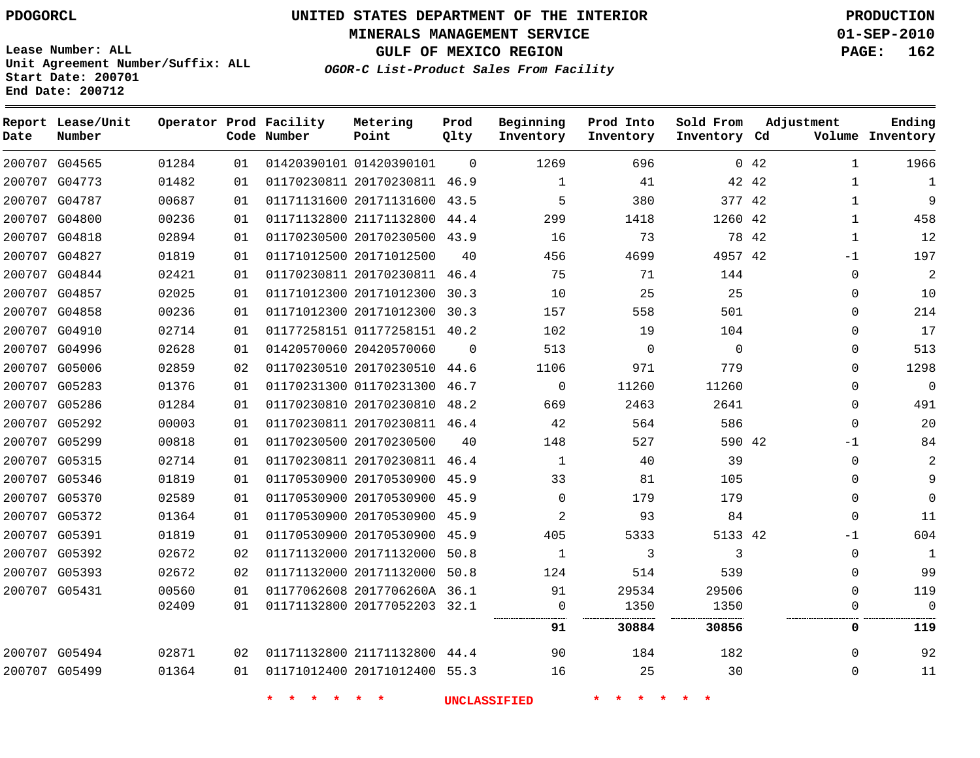**Start Date: 200701 End Date: 200712**

**Unit Agreement Number/Suffix: ALL**

# **UNITED STATES DEPARTMENT OF THE INTERIOR PDOGORCL PRODUCTION**

**MINERALS MANAGEMENT SERVICE 01-SEP-2010**

**GULF OF MEXICO REGION PAGE: 162**

**OGOR-C List-Product Sales From Facility**

| Date | Report Lease/Unit<br>Number |       |    | Operator Prod Facility<br>Code Number | Metering<br>Point            | Prod<br>Qlty | Beginning<br>Inventory | Prod Into<br>Inventory | Sold From<br>Inventory Cd | Adjustment                | Ending<br>Volume Inventory |
|------|-----------------------------|-------|----|---------------------------------------|------------------------------|--------------|------------------------|------------------------|---------------------------|---------------------------|----------------------------|
|      | 200707 G04565               | 01284 | 01 |                                       | 01420390101 01420390101      | $\Omega$     | 1269                   | 696                    |                           | $0 \t 42$<br>$\mathbf{1}$ | 1966                       |
|      | 200707 G04773               | 01482 | 01 |                                       | 01170230811 20170230811 46.9 |              | $\mathbf 1$            | 41                     | 42 42                     | 1                         | $\mathbf{1}$               |
|      | 200707 G04787               | 00687 | 01 |                                       | 01171131600 20171131600      | 43.5         | 5                      | 380                    | 377 42                    | $\mathbf{1}$              | 9                          |
|      | 200707 G04800               | 00236 | 01 |                                       | 01171132800 21171132800      | 44.4         | 299                    | 1418                   | 1260 42                   | $\mathbf{1}$              | 458                        |
|      | 200707 G04818               | 02894 | 01 |                                       | 01170230500 20170230500      | 43.9         | 16                     | 73                     | 78 42                     | $\mathbf 1$               | 12                         |
|      | 200707 G04827               | 01819 | 01 |                                       | 01171012500 20171012500      | 40           | 456                    | 4699                   | 4957 42                   | $-1$                      | 197                        |
|      | 200707 G04844               | 02421 | 01 |                                       | 01170230811 20170230811      | 46.4         | 75                     | 71                     | 144                       | $\mathbf 0$               | 2                          |
|      | 200707 G04857               | 02025 | 01 |                                       | 01171012300 20171012300      | 30.3         | 10                     | 25                     | 25                        | $\mathbf 0$               | 10                         |
|      | 200707 G04858               | 00236 | 01 |                                       | 01171012300 20171012300 30.3 |              | 157                    | 558                    | 501                       | $\Omega$                  | 214                        |
|      | 200707 G04910               | 02714 | 01 |                                       | 01177258151 01177258151 40.2 |              | 102                    | 19                     | 104                       | $\Omega$                  | 17                         |
|      | 200707 G04996               | 02628 | 01 |                                       | 01420570060 20420570060      | $\Omega$     | 513                    | $\Omega$               | $\mathbf 0$               | $\Omega$                  | 513                        |
|      | 200707 G05006               | 02859 | 02 |                                       | 01170230510 20170230510      | 44.6         | 1106                   | 971                    | 779                       | $\Omega$                  | 1298                       |
|      | 200707 G05283               | 01376 | 01 |                                       | 01170231300 01170231300      | 46.7         | $\mathsf{O}$           | 11260                  | 11260                     | $\mathbf 0$               | $\overline{0}$             |
|      | 200707 G05286               | 01284 | 01 |                                       | 01170230810 20170230810 48.2 |              | 669                    | 2463                   | 2641                      | $\Omega$                  | 491                        |
|      | 200707 G05292               | 00003 | 01 |                                       | 01170230811 20170230811 46.4 |              | 42                     | 564                    | 586                       | $\Omega$                  | 20                         |
|      | 200707 G05299               | 00818 | 01 |                                       | 01170230500 20170230500      | 40           | 148                    | 527                    | 590 42                    | $-1$                      | 84                         |
|      | 200707 G05315               | 02714 | 01 |                                       | 01170230811 20170230811      | 46.4         | $\mathbf 1$            | 40                     | 39                        | $\mathbf 0$               | 2                          |
|      | 200707 G05346               | 01819 | 01 |                                       | 01170530900 20170530900      | 45.9         | 33                     | 81                     | 105                       | $\Omega$                  | 9                          |
|      | 200707 G05370               | 02589 | 01 |                                       | 01170530900 20170530900 45.9 |              | $\mathbf 0$            | 179                    | 179                       | $\Omega$                  | $\Omega$                   |
|      | 200707 G05372               | 01364 | 01 |                                       | 01170530900 20170530900      | 45.9         | $\overline{a}$         | 93                     | 84                        | $\Omega$                  | 11                         |
|      | 200707 G05391               | 01819 | 01 |                                       | 01170530900 20170530900 45.9 |              | 405                    | 5333                   | 5133 42                   | $-1$                      | 604                        |
|      | 200707 G05392               | 02672 | 02 |                                       | 01171132000 20171132000      | 50.8         | $\mathbf 1$            | 3                      | 3                         | $\mathbf 0$               | 1                          |
|      | 200707 G05393               | 02672 | 02 |                                       | 01171132000 20171132000      | 50.8         | 124                    | 514                    | 539                       | $\mathbf 0$               | 99                         |
|      | 200707 G05431               | 00560 | 01 |                                       | 01177062608 2017706260A 36.1 |              | 91                     | 29534                  | 29506                     | $\Omega$                  | 119                        |
|      |                             | 02409 | 01 |                                       | 01171132800 20177052203 32.1 |              | $\mathbf 0$            | 1350                   | 1350                      | $\mathbf 0$               | $\Omega$                   |
|      |                             |       |    |                                       |                              |              | 91                     | 30884                  | 30856                     | 0                         | 119                        |
|      | 200707 G05494               | 02871 | 02 |                                       | 01171132800 21171132800 44.4 |              | 90                     | 184                    | 182                       | $\Omega$                  | 92                         |
|      | 200707 G05499               | 01364 | 01 |                                       | 01171012400 20171012400 55.3 |              | 16                     | 25                     | 30                        | $\Omega$                  | 11                         |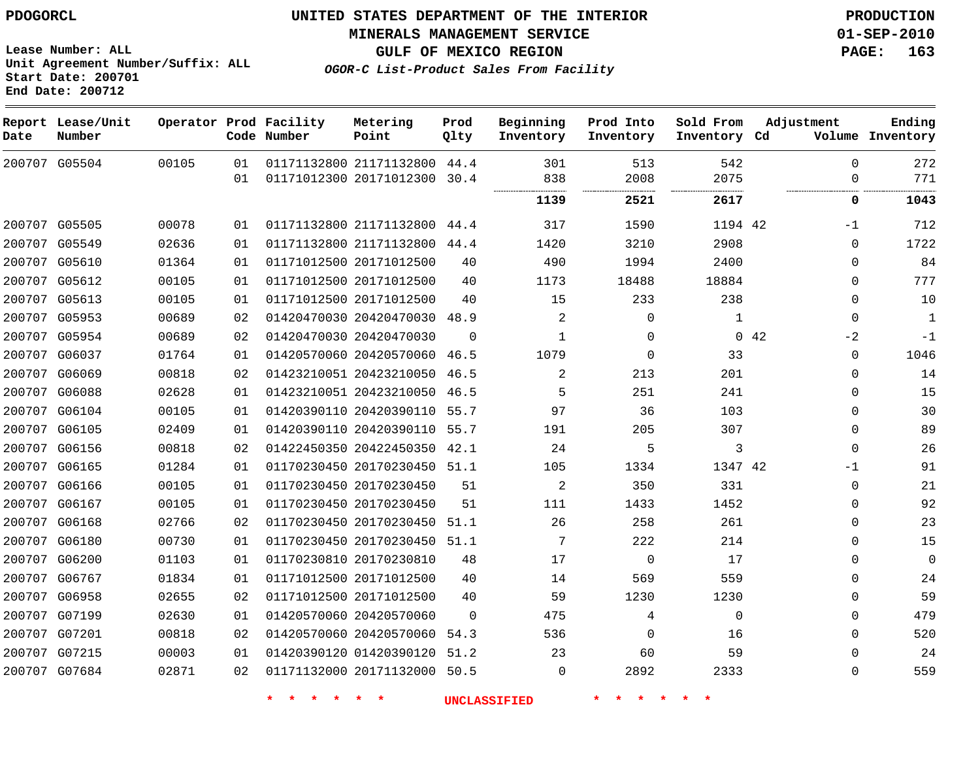**Start Date: 200701 End Date: 200712**

**Unit Agreement Number/Suffix: ALL**

# **UNITED STATES DEPARTMENT OF THE INTERIOR PDOGORCL PRODUCTION**

**MINERALS MANAGEMENT SERVICE 01-SEP-2010**

**GULF OF MEXICO REGION PAGE: 163**

**OGOR-C List-Product Sales From Facility**

| Date          | Report Lease/Unit<br>Number |       |    | Operator Prod Facility<br>Code Number | Metering<br>Point            | Prod<br>Qlty | Beginning<br>Inventory | Prod Into<br>Inventory | Sold From<br>Inventory Cd | Adjustment  | Ending<br>Volume Inventory |
|---------------|-----------------------------|-------|----|---------------------------------------|------------------------------|--------------|------------------------|------------------------|---------------------------|-------------|----------------------------|
| 200707 G05504 |                             | 00105 | 01 |                                       | 01171132800 21171132800      | 44.4         | 301                    | 513                    | 542                       | $\Omega$    | 272                        |
|               |                             |       | 01 |                                       | 01171012300 20171012300      | 30.4         | 838<br>                | 2008<br>               | 2075<br>                  | 0           | 771<br>.                   |
|               |                             |       |    |                                       |                              |              | 1139                   | 2521                   | 2617                      | 0           | 1043                       |
| 200707 G05505 |                             | 00078 | 01 |                                       | 01171132800 21171132800      | 44.4         | 317                    | 1590                   | 1194 42                   | $-1$        | 712                        |
| 200707 G05549 |                             | 02636 | 01 |                                       | 01171132800 21171132800      | 44.4         | 1420                   | 3210                   | 2908                      | $\mathbf 0$ | 1722                       |
| 200707        | G05610                      | 01364 | 01 |                                       | 01171012500 20171012500      | 40           | 490                    | 1994                   | 2400                      | $\mathbf 0$ | 84                         |
|               | 200707 G05612               | 00105 | 01 |                                       | 01171012500 20171012500      | 40           | 1173                   | 18488                  | 18884                     | $\mathbf 0$ | 777                        |
| 200707        | G05613                      | 00105 | 01 |                                       | 01171012500 20171012500      | 40           | 15                     | 233                    | 238                       | $\mathbf 0$ | 10                         |
| 200707 G05953 |                             | 00689 | 02 |                                       | 01420470030 20420470030 48.9 |              | 2                      | $\mathbf 0$            | 1                         | $\mathbf 0$ | $\mathbf{1}$               |
| 200707        | G05954                      | 00689 | 02 |                                       | 01420470030 20420470030      | $\Omega$     | $\mathbf{1}$           | $\mathbf 0$            | $\Omega$                  | $-2$<br>42  | $-1$                       |
| 200707        | G06037                      | 01764 | 01 |                                       | 01420570060 20420570060      | 46.5         | 1079                   | $\mathbf 0$            | 33                        | $\mathbf 0$ | 1046                       |
| 200707        | G06069                      | 00818 | 02 |                                       | 01423210051 20423210050      | 46.5         | 2                      | 213                    | 201                       | 0           | 14                         |
| 200707        | G06088                      | 02628 | 01 |                                       | 01423210051 20423210050      | 46.5         | 5                      | 251                    | 241                       | $\mathbf 0$ | 15                         |
|               | 200707 G06104               | 00105 | 01 |                                       | 01420390110 20420390110      | 55.7         | 97                     | 36                     | 103                       | $\mathbf 0$ | 30                         |
| 200707        | G06105                      | 02409 | 01 |                                       | 01420390110 20420390110      | 55.7         | 191                    | 205                    | 307                       | $\mathbf 0$ | 89                         |
| 200707 G06156 |                             | 00818 | 02 |                                       | 01422450350 20422450350      | 42.1         | 24                     | 5                      | 3                         | $\Omega$    | 26                         |
| 200707        | G06165                      | 01284 | 01 |                                       | 01170230450 20170230450      | 51.1         | 105                    | 1334                   | 1347 42                   | $-1$        | 91                         |
| 200707        | G06166                      | 00105 | 01 |                                       | 01170230450 20170230450      | 51           | $\overline{2}$         | 350                    | 331                       | $\mathbf 0$ | 21                         |
| 200707 G06167 |                             | 00105 | 01 |                                       | 01170230450 20170230450      | 51           | 111                    | 1433                   | 1452                      | $\mathbf 0$ | 92                         |
| 200707        | G06168                      | 02766 | 02 |                                       | 01170230450 20170230450      | 51.1         | 26                     | 258                    | 261                       | $\mathbf 0$ | 23                         |
| 200707 G06180 |                             | 00730 | 01 |                                       | 01170230450 20170230450      | 51.1         | 7                      | 222                    | 214                       | $\mathbf 0$ | 15                         |
| 200707        | G06200                      | 01103 | 01 |                                       | 01170230810 20170230810      | 48           | 17                     | $\mathbf 0$            | 17                        | $\mathbf 0$ | $\mathbf 0$                |
| 200707        | G06767                      | 01834 | 01 |                                       | 01171012500 20171012500      | 40           | 14                     | 569                    | 559                       | $\mathbf 0$ | 24                         |
| 200707        | G06958                      | 02655 | 02 |                                       | 01171012500 20171012500      | 40           | 59                     | 1230                   | 1230                      | $\mathbf 0$ | 59                         |
| 200707        | G07199                      | 02630 | 01 |                                       | 01420570060 20420570060      | $\mathbf 0$  | 475                    | 4                      | $\mathbf 0$               | $\mathbf 0$ | 479                        |
| 200707 G07201 |                             | 00818 | 02 |                                       | 01420570060 20420570060      | 54.3         | 536                    | 0                      | 16                        | 0           | 520                        |
| 200707        | G07215                      | 00003 | 01 |                                       | 01420390120 01420390120      | 51.2         | 23                     | 60                     | 59                        | $\Omega$    | 24                         |
|               | 200707 G07684               | 02871 | 02 |                                       | 01171132000 20171132000 50.5 |              | $\Omega$               | 2892                   | 2333                      | $\Omega$    | 559                        |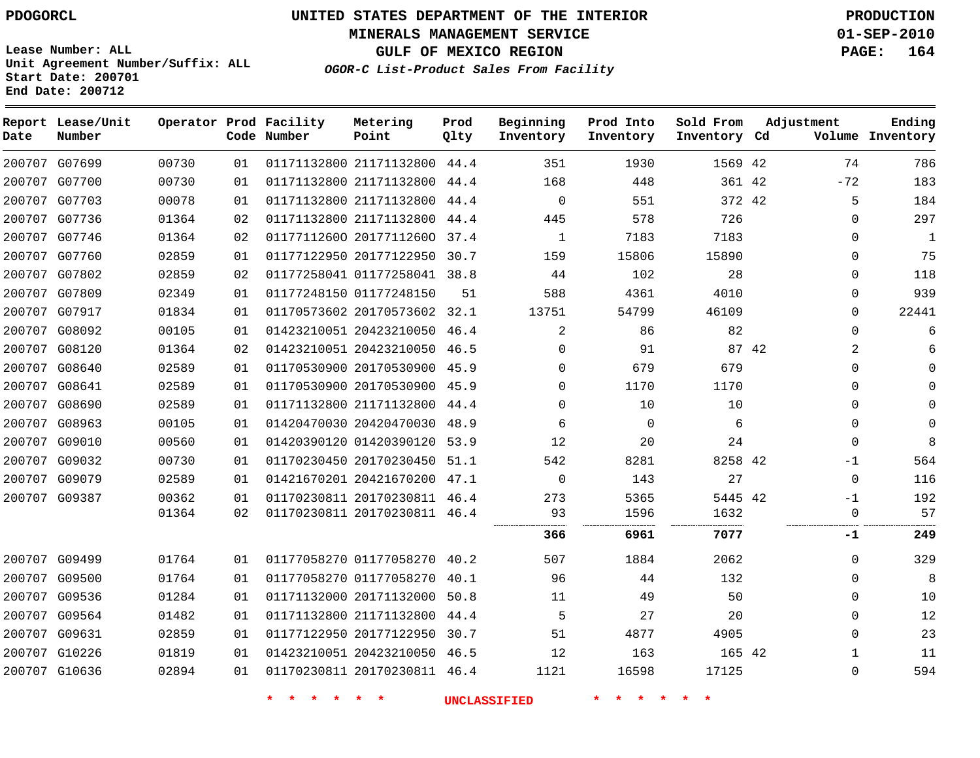**MINERALS MANAGEMENT SERVICE 01-SEP-2010**

**GULF OF MEXICO REGION PAGE: 164**

**Lease Number: ALL Unit Agreement Number/Suffix: ALL Start Date: 200701 End Date: 200712**

**OGOR-C List-Product Sales From Facility**

| Date | Report Lease/Unit<br>Number |       |    | Operator Prod Facility<br>Code Number | Metering<br>Point            | Prod<br>Qlty | Beginning<br>Inventory | Prod Into<br>Inventory | Sold From<br>Inventory Cd | Adjustment |              | Ending<br>Volume Inventory |
|------|-----------------------------|-------|----|---------------------------------------|------------------------------|--------------|------------------------|------------------------|---------------------------|------------|--------------|----------------------------|
|      | 200707 G07699               | 00730 | 01 |                                       | 01171132800 21171132800 44.4 |              | 351                    | 1930                   | 1569 42                   |            | 74           | 786                        |
|      | 200707 G07700               | 00730 | 01 |                                       | 01171132800 21171132800 44.4 |              | 168                    | 448                    | 361 42                    |            | $-72$        | 183                        |
|      | 200707 G07703               | 00078 | 01 |                                       | 01171132800 21171132800 44.4 |              | $\Omega$               | 551                    | 372 42                    |            | 5            | 184                        |
|      | 200707 G07736               | 01364 | 02 |                                       | 01171132800 21171132800 44.4 |              | 445                    | 578                    | 726                       |            | $\Omega$     | 297                        |
|      | 200707 G07746               | 01364 | 02 |                                       | 01177112600 20177112600      | 37.4         | $\mathbf{1}$           | 7183                   | 7183                      |            | $\mathbf{0}$ | $\mathbf{1}$               |
|      | 200707 G07760               | 02859 | 01 |                                       | 01177122950 20177122950 30.7 |              | 159                    | 15806                  | 15890                     |            | $\Omega$     | 75                         |
|      | 200707 G07802               | 02859 | 02 |                                       | 01177258041 01177258041 38.8 |              | 44                     | 102                    | 28                        |            | $\Omega$     | 118                        |
|      | 200707 G07809               | 02349 | 01 |                                       | 01177248150 01177248150      | 51           | 588                    | 4361                   | 4010                      |            | 0            | 939                        |
|      | 200707 G07917               | 01834 | 01 |                                       | 01170573602 20170573602      | 32.1         | 13751                  | 54799                  | 46109                     |            | $\mathbf{0}$ | 22441                      |
|      | 200707 G08092               | 00105 | 01 |                                       | 01423210051 20423210050 46.4 |              | 2                      | 86                     | 82                        |            | 0            | 6                          |
|      | 200707 G08120               | 01364 | 02 |                                       | 01423210051 20423210050 46.5 |              | $\Omega$               | 91                     | 87 42                     |            | 2            |                            |
|      | 200707 G08640               | 02589 | 01 |                                       | 01170530900 20170530900 45.9 |              | $\Omega$               | 679                    | 679                       |            | 0            |                            |
|      | 200707 G08641               | 02589 | 01 |                                       | 01170530900 20170530900 45.9 |              | $\Omega$               | 1170                   | 1170                      |            | $\Omega$     |                            |
|      | 200707 G08690               | 02589 | 01 |                                       | 01171132800 21171132800 44.4 |              | $\Omega$               | 10                     | 10                        |            | 0            |                            |
|      | 200707 G08963               | 00105 | 01 |                                       | 01420470030 20420470030 48.9 |              | 6                      | $\Omega$               | 6                         |            | $\Omega$     | $\Omega$                   |
|      | 200707 G09010               | 00560 | 01 |                                       | 01420390120 01420390120      | 53.9         | 12                     | 20                     | 24                        |            | $\Omega$     | 8                          |
|      | 200707 G09032               | 00730 | 01 |                                       | 01170230450 20170230450 51.1 |              | 542                    | 8281                   | 8258 42                   |            | $-1$         | 564                        |
|      | 200707 G09079               | 02589 | 01 |                                       | 01421670201 20421670200 47.1 |              | $\Omega$               | 143                    | 27                        |            | $\Omega$     | 116                        |
|      | 200707 G09387               | 00362 | 01 |                                       | 01170230811 20170230811 46.4 |              | 273                    | 5365                   | 5445 42                   |            | $-1$         | 192                        |
|      |                             | 01364 | 02 |                                       | 01170230811 20170230811 46.4 |              | 93                     | 1596<br>.              | 1632<br>.                 |            | $\mathbf 0$  | 57                         |
|      |                             |       |    |                                       |                              |              | 366                    | 6961                   | 7077                      |            | -1           | 249                        |
|      | 200707 G09499               | 01764 | 01 |                                       | 01177058270 01177058270 40.2 |              | 507                    | 1884                   | 2062                      |            | $\Omega$     | 329                        |
|      | 200707 G09500               | 01764 | 01 |                                       | 01177058270 01177058270 40.1 |              | 96                     | 44                     | 132                       |            | $\Omega$     | 8                          |
|      | 200707 G09536               | 01284 | 01 |                                       | 01171132000 20171132000      | 50.8         | 11                     | 49                     | 50                        |            | 0            | 10                         |
|      | 200707 G09564               | 01482 | 01 |                                       | 01171132800 21171132800 44.4 |              | 5                      | 27                     | 20                        |            | $\Omega$     | 12                         |
|      | 200707 G09631               | 02859 | 01 |                                       | 01177122950 20177122950 30.7 |              | 51                     | 4877                   | 4905                      |            | $\Omega$     | 23                         |
|      | 200707 G10226               | 01819 | 01 |                                       | 01423210051 20423210050 46.5 |              | 12                     | 163                    | 165 42                    |            | 1            | 11                         |
|      | 200707 G10636               | 02894 | 01 |                                       | 01170230811 20170230811 46.4 |              | 1121                   | 16598                  | 17125                     |            | 0            | 594                        |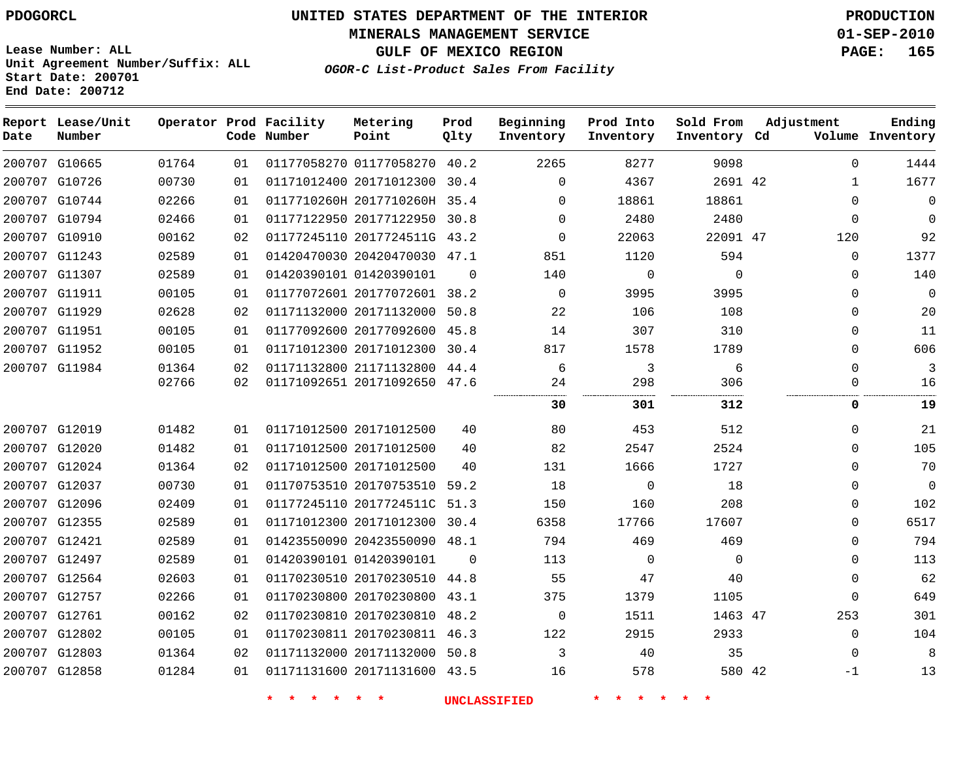**MINERALS MANAGEMENT SERVICE 01-SEP-2010**

**GULF OF MEXICO REGION PAGE: 165**

**Lease Number: ALL Unit Agreement Number/Suffix: ALL Start Date: 200701 End Date: 200712**

**OGOR-C List-Product Sales From Facility**

| Date | Report Lease/Unit<br>Number |       |    | Operator Prod Facility<br>Code Number | Metering<br>Point            | Prod<br>Qlty | Beginning<br>Inventory | Prod Into<br>Inventory | Sold From<br>Inventory Cd | Adjustment   | Ending<br>Volume Inventory |
|------|-----------------------------|-------|----|---------------------------------------|------------------------------|--------------|------------------------|------------------------|---------------------------|--------------|----------------------------|
|      | 200707 G10665               | 01764 | 01 |                                       | 01177058270 01177058270 40.2 |              | 2265                   | 8277                   | 9098                      | $\Omega$     | 1444                       |
|      | 200707 G10726               | 00730 | 01 |                                       | 01171012400 20171012300      | 30.4         | $\Omega$               | 4367                   | 2691 42                   | $\mathbf{1}$ | 1677                       |
|      | 200707 G10744               | 02266 | 01 |                                       | 0117710260H 2017710260H 35.4 |              | $\Omega$               | 18861                  | 18861                     | $\Omega$     | $\Omega$                   |
|      | 200707 G10794               | 02466 | 01 |                                       | 01177122950 20177122950 30.8 |              | $\Omega$               | 2480                   | 2480                      | $\Omega$     | $\Omega$                   |
|      | 200707 G10910               | 00162 | 02 |                                       | 01177245110 2017724511G 43.2 |              | $\Omega$               | 22063                  | 22091 47                  | 120          | 92                         |
|      | 200707 G11243               | 02589 | 01 |                                       | 01420470030 20420470030 47.1 |              | 851                    | 1120                   | 594                       | $\mathbf 0$  | 1377                       |
|      | 200707 G11307               | 02589 | 01 |                                       | 01420390101 01420390101      | $\Omega$     | 140                    | $\mathbf 0$            | $\Omega$                  | $\Omega$     | 140                        |
|      | 200707 G11911               | 00105 | 01 |                                       | 01177072601 20177072601 38.2 |              | $\Omega$               | 3995                   | 3995                      | $\Omega$     | $\Omega$                   |
|      | 200707 G11929               | 02628 | 02 |                                       | 01171132000 20171132000      | 50.8         | 22                     | 106                    | 108                       | $\mathbf{0}$ | 20                         |
|      | 200707 G11951               | 00105 | 01 |                                       | 01177092600 20177092600 45.8 |              | 14                     | 307                    | 310                       | $\Omega$     | 11                         |
|      | 200707 G11952               | 00105 | 01 |                                       | 01171012300 20171012300      | 30.4         | 817                    | 1578                   | 1789                      | $\Omega$     | 606                        |
|      | 200707 G11984               | 01364 | 02 |                                       | 01171132800 21171132800      | 44.4         | 6                      | 3                      | 6                         | $\Omega$     | 3                          |
|      |                             | 02766 | 02 |                                       | 01171092651 20171092650 47.6 |              | 24                     | 298                    | 306                       | $\mathbf{0}$ | 16                         |
|      |                             |       |    |                                       |                              |              | 30                     | 301                    | 312                       | 0            | 19                         |
|      | 200707 G12019               | 01482 | 01 |                                       | 01171012500 20171012500      | 40           | 80                     | 453                    | 512                       | $\Omega$     | 21                         |
|      | 200707 G12020               | 01482 | 01 |                                       | 01171012500 20171012500      | 40           | 82                     | 2547                   | 2524                      | $\Omega$     | 105                        |
|      | 200707 G12024               | 01364 | 02 |                                       | 01171012500 20171012500      | 40           | 131                    | 1666                   | 1727                      | $\Omega$     | 70                         |
|      | 200707 G12037               | 00730 | 01 |                                       | 01170753510 20170753510 59.2 |              | 18                     | 0                      | 18                        | $\Omega$     | $\Omega$                   |
|      | 200707 G12096               | 02409 | 01 |                                       | 01177245110 2017724511C 51.3 |              | 150                    | 160                    | 208                       | $\mathbf{0}$ | 102                        |
|      | 200707 G12355               | 02589 | 01 |                                       | 01171012300 20171012300 30.4 |              | 6358                   | 17766                  | 17607                     | $\Omega$     | 6517                       |
|      | 200707 G12421               | 02589 | 01 |                                       | 01423550090 20423550090      | 48.1         | 794                    | 469                    | 469                       | $\Omega$     | 794                        |
|      | 200707 G12497               | 02589 | 01 |                                       | 01420390101 01420390101      | $\Omega$     | 113                    | $\Omega$               | $\Omega$                  | $\mathbf{0}$ | 113                        |
|      | 200707 G12564               | 02603 | 01 |                                       | 01170230510 20170230510      | 44.8         | 55                     | 47                     | 40                        | $\mathbf{0}$ | 62                         |
|      | 200707 G12757               | 02266 | 01 |                                       | 01170230800 20170230800 43.1 |              | 375                    | 1379                   | 1105                      | $\mathbf 0$  | 649                        |
|      | 200707 G12761               | 00162 | 02 |                                       | 01170230810 20170230810      | 48.2         | $\mathbf 0$            | 1511                   | 1463 47                   | 253          | 301                        |
|      | 200707 G12802               | 00105 | 01 |                                       | 01170230811 20170230811 46.3 |              | 122                    | 2915                   | 2933                      | $\mathbf{0}$ | 104                        |
|      | 200707 G12803               | 01364 | 02 |                                       | 01171132000 20171132000 50.8 |              | 3                      | 40                     | 35                        | $\Omega$     | 8                          |
|      | 200707 G12858               | 01284 | 01 |                                       | 01171131600 20171131600 43.5 |              | 16                     | 578                    | 580 42                    | -1           | 13                         |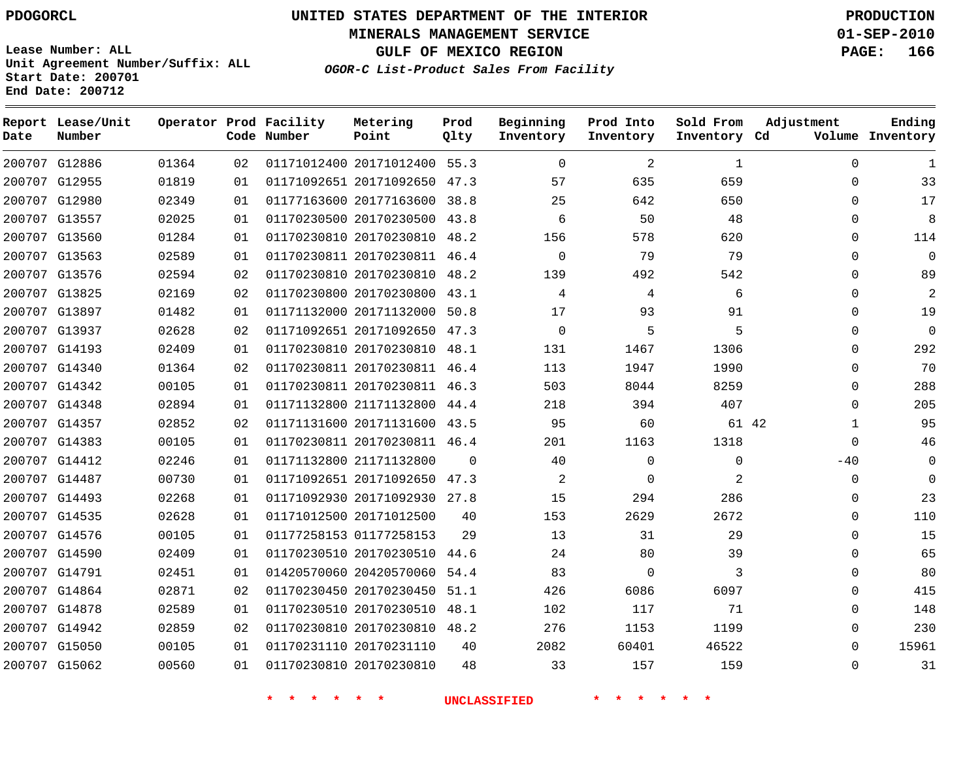**Start Date: 200701 End Date: 200712**

**Unit Agreement Number/Suffix: ALL**

# **UNITED STATES DEPARTMENT OF THE INTERIOR PDOGORCL PRODUCTION**

**MINERALS MANAGEMENT SERVICE 01-SEP-2010**

**GULF OF MEXICO REGION PAGE: 166**

**OGOR-C List-Product Sales From Facility**

| Date   | Report Lease/Unit<br>Number |       |    | Operator Prod Facility<br>Code Number | Metering<br>Point            | Prod<br>Qlty | Beginning<br>Inventory | Prod Into<br>Inventory | Sold From<br>Inventory Cd | Adjustment   | Ending<br>Volume Inventory |
|--------|-----------------------------|-------|----|---------------------------------------|------------------------------|--------------|------------------------|------------------------|---------------------------|--------------|----------------------------|
|        | 200707 G12886               | 01364 | 02 |                                       | 01171012400 20171012400 55.3 |              | $\mathbf 0$            | $\overline{c}$         | 1                         | $\Omega$     | $\mathbf{1}$               |
|        | 200707 G12955               | 01819 | 01 |                                       | 01171092651 20171092650      | 47.3         | 57                     | 635                    | 659                       | $\Omega$     | 33                         |
|        | 200707 G12980               | 02349 | 01 |                                       | 01177163600 20177163600      | 38.8         | 25                     | 642                    | 650                       | $\Omega$     | 17                         |
|        | 200707 G13557               | 02025 | 01 |                                       | 01170230500 20170230500      | 43.8         | 6                      | 50                     | 48                        | $\mathbf{0}$ | 8                          |
|        | 200707 G13560               | 01284 | 01 |                                       | 01170230810 20170230810      | 48.2         | 156                    | 578                    | 620                       | $\Omega$     | 114                        |
|        | 200707 G13563               | 02589 | 01 |                                       | 01170230811 20170230811 46.4 |              | $\mathbf 0$            | 79                     | 79                        | $\Omega$     | $\overline{0}$             |
|        | 200707 G13576               | 02594 | 02 |                                       | 01170230810 20170230810      | 48.2         | 139                    | 492                    | 542                       | $\Omega$     | 89                         |
|        | 200707 G13825               | 02169 | 02 |                                       | 01170230800 20170230800      | 43.1         | 4                      | 4                      | 6                         | $\Omega$     | 2                          |
|        | 200707 G13897               | 01482 | 01 |                                       | 01171132000 20171132000      | 50.8         | 17                     | 93                     | 91                        | $\Omega$     | 19                         |
|        | 200707 G13937               | 02628 | 02 |                                       | 01171092651 20171092650      | 47.3         | $\mathbf 0$            | 5                      | 5                         | $\Omega$     | $\overline{0}$             |
|        | 200707 G14193               | 02409 | 01 |                                       | 01170230810 20170230810      | 48.1         | 131                    | 1467                   | 1306                      | $\Omega$     | 292                        |
|        | 200707 G14340               | 01364 | 02 |                                       | 01170230811 20170230811 46.4 |              | 113                    | 1947                   | 1990                      | $\Omega$     | 70                         |
|        | 200707 G14342               | 00105 | 01 |                                       | 01170230811 20170230811 46.3 |              | 503                    | 8044                   | 8259                      | $\Omega$     | 288                        |
|        | 200707 G14348               | 02894 | 01 |                                       | 01171132800 21171132800      | 44.4         | 218                    | 394                    | 407                       | $\Omega$     | 205                        |
|        | 200707 G14357               | 02852 | 02 |                                       | 01171131600 20171131600      | 43.5         | 95                     | 60                     | 61 42                     | 1            | 95                         |
|        | 200707 G14383               | 00105 | 01 |                                       | 01170230811 20170230811 46.4 |              | 201                    | 1163                   | 1318                      | $\Omega$     | 46                         |
|        | 200707 G14412               | 02246 | 01 |                                       | 01171132800 21171132800      | $\Omega$     | 40                     | $\Omega$               | $\mathbf 0$               | $-40$        | $\Omega$                   |
|        | 200707 G14487               | 00730 | 01 |                                       | 01171092651 20171092650      | 47.3         | 2                      | $\Omega$               | 2                         | $\Omega$     | $\Omega$                   |
| 200707 | G14493                      | 02268 | 01 |                                       | 01171092930 20171092930      | 27.8         | 15                     | 294                    | 286                       | $\mathbf 0$  | 23                         |
|        | 200707 G14535               | 02628 | 01 |                                       | 01171012500 20171012500      | 40           | 153                    | 2629                   | 2672                      | $\Omega$     | 110                        |
|        | 200707 G14576               | 00105 | 01 |                                       | 01177258153 01177258153      | 29           | 13                     | 31                     | 29                        | $\Omega$     | 15                         |
|        | 200707 G14590               | 02409 | 01 |                                       | 01170230510 20170230510      | 44.6         | 24                     | 80                     | 39                        | $\Omega$     | 65                         |
|        | 200707 G14791               | 02451 | 01 |                                       | 01420570060 20420570060      | 54.4         | 83                     | $\Omega$               | 3                         | $\Omega$     | 80                         |
|        | 200707 G14864               | 02871 | 02 |                                       | 01170230450 20170230450      | 51.1         | 426                    | 6086                   | 6097                      | $\Omega$     | 415                        |
|        | 200707 G14878               | 02589 | 01 |                                       | 01170230510 20170230510      | 48.1         | 102                    | 117                    | 71                        | $\Omega$     | 148                        |
|        | 200707 G14942               | 02859 | 02 |                                       | 01170230810 20170230810      | 48.2         | 276                    | 1153                   | 1199                      | $\Omega$     | 230                        |
|        | 200707 G15050               | 00105 | 01 |                                       | 01170231110 20170231110      | 40           | 2082                   | 60401                  | 46522                     | $\Omega$     | 15961                      |
|        | 200707 G15062               | 00560 | 01 |                                       | 01170230810 20170230810      | 48           | 33                     | 157                    | 159                       | $\Omega$     | 31                         |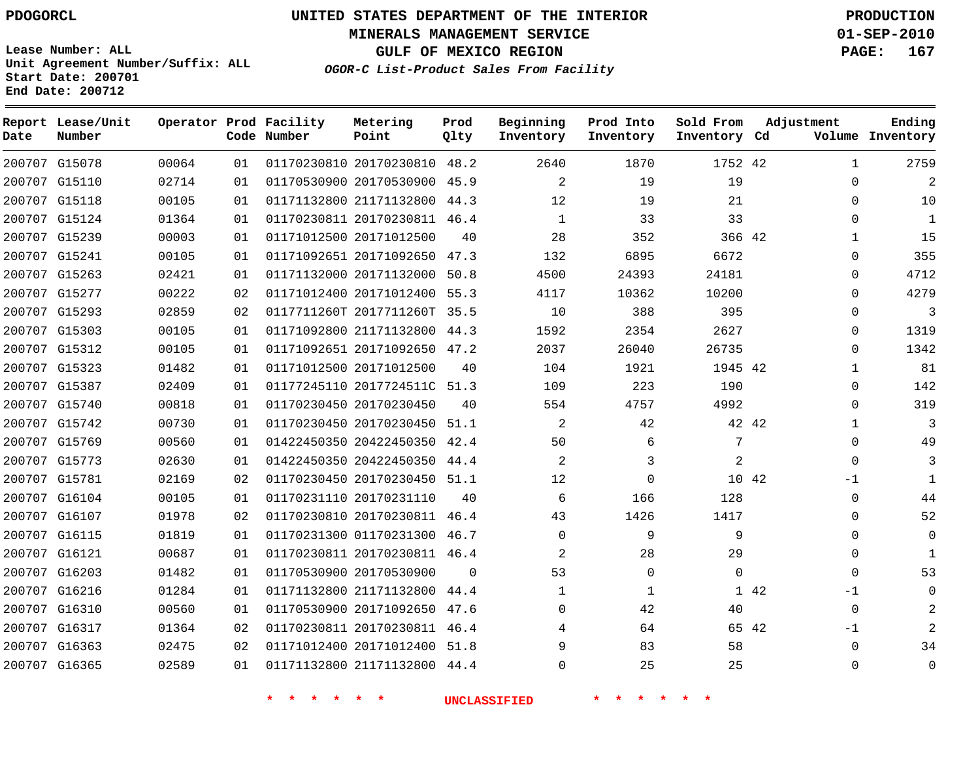**Start Date: 200701 End Date: 200712**

**Unit Agreement Number/Suffix: ALL**

# **UNITED STATES DEPARTMENT OF THE INTERIOR PDOGORCL PRODUCTION**

**MINERALS MANAGEMENT SERVICE 01-SEP-2010**

**GULF OF MEXICO REGION PAGE: 167**

**OGOR-C List-Product Sales From Facility**

| Date   | Report Lease/Unit<br>Number |       |    | Operator Prod Facility<br>Code Number | Metering<br>Point            | Prod<br>Qlty | Beginning<br>Inventory | Prod Into<br>Inventory | Sold From<br>Inventory Cd | Adjustment |              | Ending<br>Volume Inventory |
|--------|-----------------------------|-------|----|---------------------------------------|------------------------------|--------------|------------------------|------------------------|---------------------------|------------|--------------|----------------------------|
|        | 200707 G15078               | 00064 | 01 |                                       | 01170230810 20170230810 48.2 |              | 2640                   | 1870                   | 1752 42                   |            | 1            | 2759                       |
| 200707 | G15110                      | 02714 | 01 |                                       | 01170530900 20170530900      | 45.9         | $\overline{a}$         | 19                     | 19                        |            | $\Omega$     | 2                          |
|        | 200707 G15118               | 00105 | 01 |                                       | 01171132800 21171132800      | 44.3         | 12                     | 19                     | 21                        |            | $\Omega$     | 10                         |
|        | 200707 G15124               | 01364 | 01 |                                       | 01170230811 20170230811 46.4 |              | 1                      | 33                     | 33                        |            | $\Omega$     | 1                          |
|        | 200707 G15239               | 00003 | 01 |                                       | 01171012500 20171012500      | 40           | 28                     | 352                    | 366 42                    |            | $\mathbf{1}$ | 15                         |
|        | 200707 G15241               | 00105 | 01 |                                       | 01171092651 20171092650      | 47.3         | 132                    | 6895                   | 6672                      |            | $\Omega$     | 355                        |
|        | 200707 G15263               | 02421 | 01 |                                       | 01171132000 20171132000      | 50.8         | 4500                   | 24393                  | 24181                     |            | $\Omega$     | 4712                       |
|        | 200707 G15277               | 00222 | 02 |                                       | 01171012400 20171012400      | 55.3         | 4117                   | 10362                  | 10200                     |            | $\Omega$     | 4279                       |
|        | 200707 G15293               | 02859 | 02 |                                       | 0117711260T 2017711260T      | 35.5         | 10                     | 388                    | 395                       |            | $\Omega$     | 3                          |
| 200707 | G15303                      | 00105 | 01 |                                       | 01171092800 21171132800      | 44.3         | 1592                   | 2354                   | 2627                      |            | $\Omega$     | 1319                       |
|        | 200707 G15312               | 00105 | 01 |                                       | 01171092651 20171092650      | 47.2         | 2037                   | 26040                  | 26735                     |            | $\Omega$     | 1342                       |
|        | 200707 G15323               | 01482 | 01 |                                       | 01171012500 20171012500      | 40           | 104                    | 1921                   | 1945 42                   |            | 1            | 81                         |
|        | 200707 G15387               | 02409 | 01 |                                       | 01177245110 2017724511C 51.3 |              | 109                    | 223                    | 190                       |            | $\Omega$     | 142                        |
|        | 200707 G15740               | 00818 | 01 |                                       | 01170230450 20170230450      | 40           | 554                    | 4757                   | 4992                      |            | $\Omega$     | 319                        |
| 200707 | G15742                      | 00730 | 01 |                                       | 01170230450 20170230450      | 51.1         | 2                      | 42                     |                           | 42 42      | 1            | 3                          |
|        | 200707 G15769               | 00560 | 01 |                                       | 01422450350 20422450350      | 42.4         | 50                     | 6                      | 7                         |            | $\Omega$     | 49                         |
|        | 200707 G15773               | 02630 | 01 |                                       | 01422450350 20422450350      | 44.4         | 2                      | 3                      | 2                         |            | $\Omega$     | 3                          |
|        | 200707 G15781               | 02169 | 02 |                                       | 01170230450 20170230450 51.1 |              | 12                     | 0                      | 10 42                     |            | $-1$         | $\mathbf{1}$               |
| 200707 | G16104                      | 00105 | 01 |                                       | 01170231110 20170231110      | 40           | 6                      | 166                    | 128                       |            | $\Omega$     | 44                         |
|        | 200707 G16107               | 01978 | 02 |                                       | 01170230810 20170230811 46.4 |              | 43                     | 1426                   | 1417                      |            | $\Omega$     | 52                         |
|        | 200707 G16115               | 01819 | 01 |                                       | 01170231300 01170231300      | 46.7         | $\mathbf 0$            | 9                      | 9                         |            | $\Omega$     | $\Omega$                   |
|        | 200707 G16121               | 00687 | 01 |                                       | 01170230811 20170230811 46.4 |              | 2                      | 28                     | 29                        |            | $\Omega$     | 1                          |
| 200707 | G16203                      | 01482 | 01 |                                       | 01170530900 20170530900      | $\Omega$     | 53                     | $\mathbf 0$            | $\mathbf 0$               |            | $\Omega$     | 53                         |
|        | 200707 G16216               | 01284 | 01 |                                       | 01171132800 21171132800      | 44.4         | 1                      | 1                      |                           | 1 42       | $-1$         | $\mathbf 0$                |
|        | 200707 G16310               | 00560 | 01 |                                       | 01170530900 20171092650      | 47.6         | $\Omega$               | 42                     | 40                        |            | $\Omega$     | 2                          |
| 200707 | G16317                      | 01364 | 02 |                                       | 01170230811 20170230811      | 46.4         | 4                      | 64                     | 65 42                     |            | $-1$         | 2                          |
|        | 200707 G16363               | 02475 | 02 |                                       | 01171012400 20171012400      | 51.8         | 9                      | 83                     | 58                        |            | $\Omega$     | 34                         |
|        | 200707 G16365               | 02589 | 01 |                                       | 01171132800 21171132800      | 44.4         | $\Omega$               | 25                     | 25                        |            | $\Omega$     | $\Omega$                   |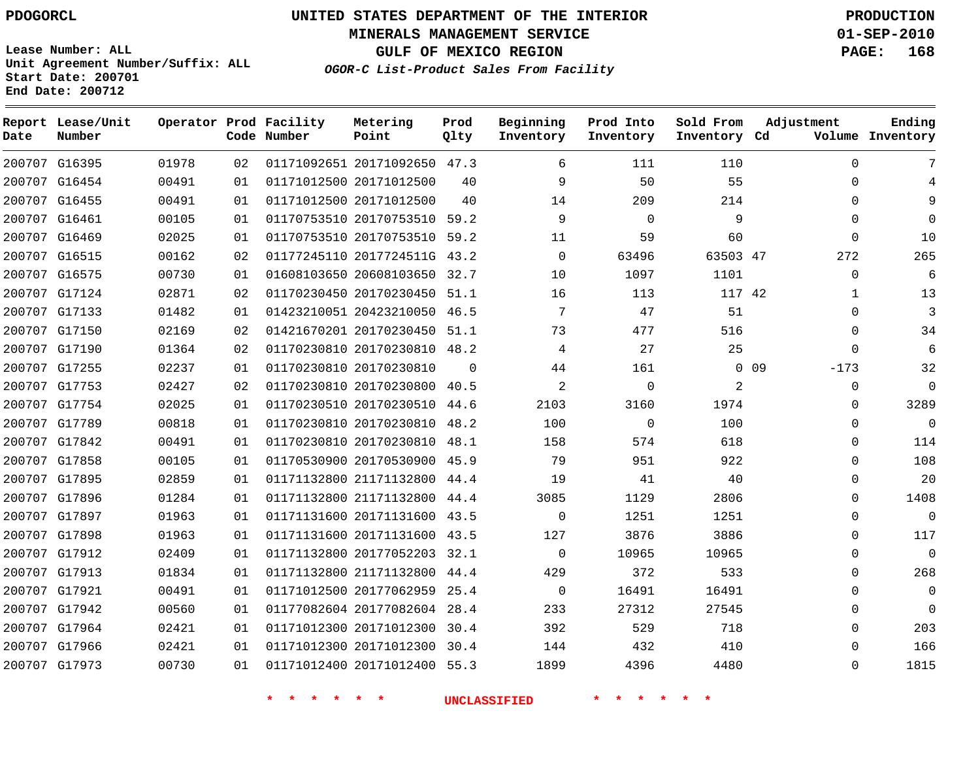**MINERALS MANAGEMENT SERVICE 01-SEP-2010**

**GULF OF MEXICO REGION PAGE: 168**

**Lease Number: ALL Unit Agreement Number/Suffix: ALL Start Date: 200701 End Date: 200712**

**OGOR-C List-Product Sales From Facility**

| Date | Report Lease/Unit<br>Number |       |    | Operator Prod Facility<br>Code Number | Metering<br>Point            | Prod<br>Qlty | Beginning<br>Inventory | Prod Into<br>Inventory | Sold From<br>Inventory Cd | Adjustment                | Ending<br>Volume Inventory |
|------|-----------------------------|-------|----|---------------------------------------|------------------------------|--------------|------------------------|------------------------|---------------------------|---------------------------|----------------------------|
|      | 200707 G16395               | 01978 | 02 |                                       | 01171092651 20171092650 47.3 |              | 6                      | 111                    | 110                       | $\Omega$                  | 7                          |
|      | 200707 G16454               | 00491 | 01 |                                       | 01171012500 20171012500      | 40           | 9                      | 50                     | 55                        | $\Omega$                  |                            |
|      | 200707 G16455               | 00491 | 01 |                                       | 01171012500 20171012500      | 40           | 14                     | 209                    | 214                       | $\Omega$                  | 9                          |
|      | 200707 G16461               | 00105 | 01 |                                       | 01170753510 20170753510 59.2 |              | 9                      | $\mathbf 0$            | 9                         | $\Omega$                  | $\Omega$                   |
|      | 200707 G16469               | 02025 | 01 |                                       | 01170753510 20170753510 59.2 |              | 11                     | 59                     | 60                        | $\Omega$                  | 10                         |
|      | 200707 G16515               | 00162 | 02 |                                       | 01177245110 2017724511G 43.2 |              | $\mathbf 0$            | 63496                  | 63503 47                  | 272                       | 265                        |
|      | 200707 G16575               | 00730 | 01 |                                       | 01608103650 20608103650 32.7 |              | 10                     | 1097                   | 1101                      | $\Omega$                  | 6                          |
|      | 200707 G17124               | 02871 | 02 |                                       | 01170230450 20170230450 51.1 |              | 16                     | 113                    | 117 42                    | 1                         | 13                         |
|      | 200707 G17133               | 01482 | 01 |                                       | 01423210051 20423210050 46.5 |              | 7                      | 47                     | 51                        | $\Omega$                  | 3                          |
|      | 200707 G17150               | 02169 | 02 |                                       | 01421670201 20170230450 51.1 |              | 73                     | 477                    | 516                       | $\Omega$                  | 34                         |
|      | 200707 G17190               | 01364 | 02 |                                       | 01170230810 20170230810 48.2 |              | 4                      | 27                     | 25                        | $\Omega$                  | 6                          |
|      | 200707 G17255               | 02237 | 01 |                                       | 01170230810 20170230810      | $\Omega$     | 44                     | 161                    |                           | 0 <sub>09</sub><br>$-173$ | 32                         |
|      | 200707 G17753               | 02427 | 02 |                                       | 01170230810 20170230800 40.5 |              | 2                      | $\mathbf 0$            | 2                         | $\Omega$                  | $\Omega$                   |
|      | 200707 G17754               | 02025 | 01 |                                       | 01170230510 20170230510 44.6 |              | 2103                   | 3160                   | 1974                      | $\Omega$                  | 3289                       |
|      | 200707 G17789               | 00818 | 01 |                                       | 01170230810 20170230810 48.2 |              | 100                    | $\mathbf 0$            | 100                       | $\Omega$                  | $\Omega$                   |
|      | 200707 G17842               | 00491 | 01 |                                       | 01170230810 20170230810      | 48.1         | 158                    | 574                    | 618                       | $\Omega$                  | 114                        |
|      | 200707 G17858               | 00105 | 01 |                                       | 01170530900 20170530900 45.9 |              | 79                     | 951                    | 922                       | $\Omega$                  | 108                        |
|      | 200707 G17895               | 02859 | 01 |                                       | 01171132800 21171132800      | 44.4         | 19                     | 41                     | 40                        | $\Omega$                  | 20                         |
|      | 200707 G17896               | 01284 | 01 |                                       | 01171132800 21171132800      | 44.4         | 3085                   | 1129                   | 2806                      | $\Omega$                  | 1408                       |
|      | 200707 G17897               | 01963 | 01 |                                       | 01171131600 20171131600      | 43.5         | $\mathbf 0$            | 1251                   | 1251                      | $\Omega$                  | $\Omega$                   |
|      | 200707 G17898               | 01963 | 01 |                                       | 01171131600 20171131600 43.5 |              | 127                    | 3876                   | 3886                      | $\Omega$                  | 117                        |
|      | 200707 G17912               | 02409 | 01 |                                       | 01171132800 20177052203 32.1 |              | $\Omega$               | 10965                  | 10965                     | $\Omega$                  | $\Omega$                   |
|      | 200707 G17913               | 01834 | 01 |                                       | 01171132800 21171132800 44.4 |              | 429                    | 372                    | 533                       | $\Omega$                  | 268                        |
|      | 200707 G17921               | 00491 | 01 |                                       | 01171012500 20177062959      | 25.4         | $\mathbf 0$            | 16491                  | 16491                     | $\Omega$                  | $\Omega$                   |
|      | 200707 G17942               | 00560 | 01 |                                       | 01177082604 20177082604      | 28.4         | 233                    | 27312                  | 27545                     | $\Omega$                  | $\Omega$                   |
|      | 200707 G17964               | 02421 | 01 |                                       | 01171012300 20171012300 30.4 |              | 392                    | 529                    | 718                       | $\Omega$                  | 203                        |
|      | 200707 G17966               | 02421 | 01 |                                       | 01171012300 20171012300 30.4 |              | 144                    | 432                    | 410                       | $\Omega$                  | 166                        |
|      | 200707 G17973               | 00730 | 01 |                                       | 01171012400 20171012400 55.3 |              | 1899                   | 4396                   | 4480                      | $\Omega$                  | 1815                       |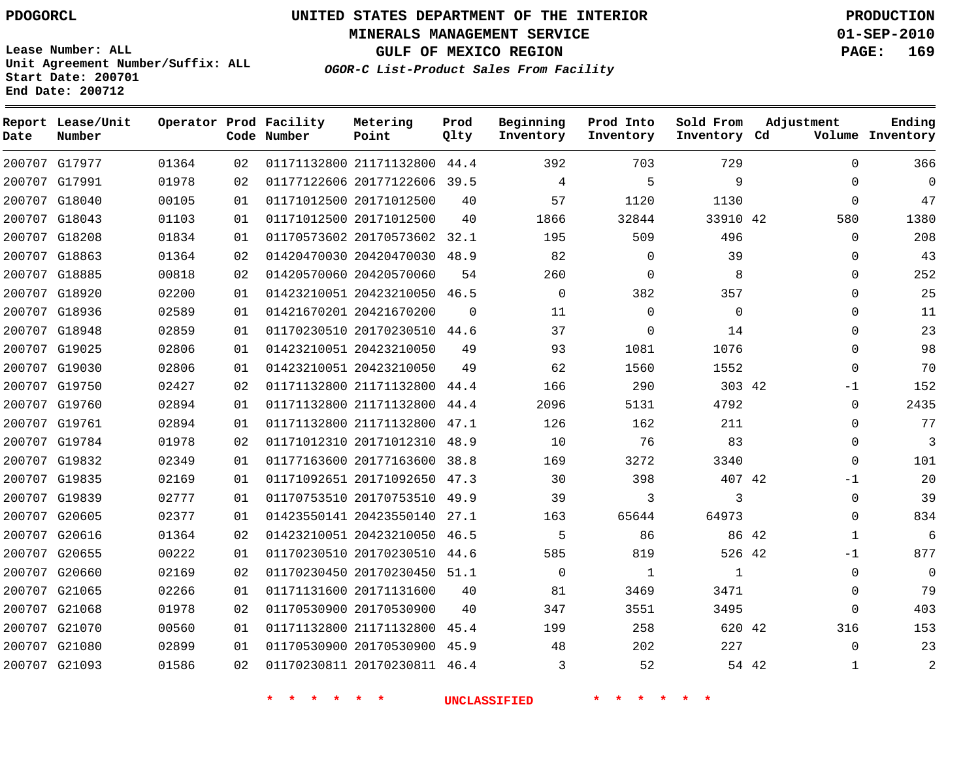# **UNITED STATES DEPARTMENT OF THE INTERIOR PDOGORCL PRODUCTION**

**MINERALS MANAGEMENT SERVICE 01-SEP-2010**

**GULF OF MEXICO REGION PAGE: 169**

**Unit Agreement Number/Suffix: ALL Start Date: 200701 End Date: 200712**

**OGOR-C List-Product Sales From Facility**

| Date   | Report Lease/Unit<br>Number |       |    | Operator Prod Facility<br>Code Number | Metering<br>Point            | Prod<br>Qlty | Beginning<br>Inventory | Prod Into<br>Inventory | Sold From<br>Inventory Cd | Adjustment |             | Ending<br>Volume Inventory |
|--------|-----------------------------|-------|----|---------------------------------------|------------------------------|--------------|------------------------|------------------------|---------------------------|------------|-------------|----------------------------|
|        | 200707 G17977               | 01364 | 02 |                                       | 01171132800 21171132800      | 44.4         | 392                    | 703                    | 729                       |            | $\Omega$    | 366                        |
|        | 200707 G17991               | 01978 | 02 |                                       | 01177122606 20177122606      | 39.5         | $\overline{4}$         | 5                      | 9                         |            | $\Omega$    | $\mathbf{0}$               |
|        | 200707 G18040               | 00105 | 01 |                                       | 01171012500 20171012500      | 40           | 57                     | 1120                   | 1130                      |            | $\mathbf 0$ | 47                         |
|        | 200707 G18043               | 01103 | 01 |                                       | 01171012500 20171012500      | 40           | 1866                   | 32844                  | 33910 42                  |            | 580         | 1380                       |
|        | 200707 G18208               | 01834 | 01 |                                       | 01170573602 20170573602      | 32.1         | 195                    | 509                    | 496                       |            | 0           | 208                        |
|        | 200707 G18863               | 01364 | 02 |                                       | 01420470030 20420470030      | 48.9         | 82                     | $\Omega$               | 39                        |            | $\Omega$    | 43                         |
|        | 200707 G18885               | 00818 | 02 |                                       | 01420570060 20420570060      | 54           | 260                    | $\mathbf 0$            | 8                         |            | $\Omega$    | 252                        |
|        | 200707 G18920               | 02200 | 01 |                                       | 01423210051 20423210050      | 46.5         | $\Omega$               | 382                    | 357                       |            | $\Omega$    | 25                         |
|        | 200707 G18936               | 02589 | 01 |                                       | 01421670201 20421670200      | $\Omega$     | 11                     | $\mathbf 0$            | $\Omega$                  |            | $\Omega$    | 11                         |
|        | 200707 G18948               | 02859 | 01 |                                       | 01170230510 20170230510      | 44.6         | 37                     | $\Omega$               | 14                        |            | $\Omega$    | 23                         |
|        | 200707 G19025               | 02806 | 01 |                                       | 01423210051 20423210050      | 49           | 93                     | 1081                   | 1076                      |            | $\Omega$    | 98                         |
|        | 200707 G19030               | 02806 | 01 |                                       | 01423210051 20423210050      | 49           | 62                     | 1560                   | 1552                      |            | $\Omega$    | 70                         |
|        | 200707 G19750               | 02427 | 02 |                                       | 01171132800 21171132800      | 44.4         | 166                    | 290                    | 303 42                    |            | -1          | 152                        |
|        | 200707 G19760               | 02894 | 01 |                                       | 01171132800 21171132800      | 44.4         | 2096                   | 5131                   | 4792                      |            | $\Omega$    | 2435                       |
|        | 200707 G19761               | 02894 | 01 |                                       | 01171132800 21171132800      | 47.1         | 126                    | 162                    | 211                       |            | $\Omega$    | 77                         |
|        | 200707 G19784               | 01978 | 02 |                                       | 01171012310 20171012310      | 48.9         | 10                     | 76                     | 83                        |            | $\Omega$    | 3                          |
|        | 200707 G19832               | 02349 | 01 |                                       | 01177163600 20177163600      | 38.8         | 169                    | 3272                   | 3340                      |            | $\Omega$    | 101                        |
|        | 200707 G19835               | 02169 | 01 |                                       | 01171092651 20171092650      | 47.3         | 30                     | 398                    | 407 42                    |            | $-1$        | 20                         |
|        | 200707 G19839               | 02777 | 01 |                                       | 01170753510 20170753510 49.9 |              | 39                     | 3                      | 3                         |            | 0           | 39                         |
|        | 200707 G20605               | 02377 | 01 |                                       | 01423550141 20423550140      | 27.1         | 163                    | 65644                  | 64973                     |            | $\Omega$    | 834                        |
|        | 200707 G20616               | 01364 | 02 |                                       | 01423210051 20423210050      | 46.5         | 5                      | 86                     | 86 42                     |            | 1           | 6                          |
| 200707 | G20655                      | 00222 | 01 |                                       | 01170230510 20170230510      | 44.6         | 585                    | 819                    | 526 42                    |            | $-1$        | 877                        |
|        | 200707 G20660               | 02169 | 02 |                                       | 01170230450 20170230450 51.1 |              | $\Omega$               | 1                      | 1                         |            | $\Omega$    | $\Omega$                   |
|        | 200707 G21065               | 02266 | 01 |                                       | 01171131600 20171131600      | 40           | 81                     | 3469                   | 3471                      |            | $\Omega$    | 79                         |
|        | 200707 G21068               | 01978 | 02 |                                       | 01170530900 20170530900      | 40           | 347                    | 3551                   | 3495                      |            | $\Omega$    | 403                        |
|        | 200707 G21070               | 00560 | 01 |                                       | 01171132800 21171132800      | 45.4         | 199                    | 258                    | 620 42                    |            | 316         | 153                        |
|        | 200707 G21080               | 02899 | 01 |                                       | 01170530900 20170530900      | 45.9         | 48                     | 202                    | 227                       |            | $\Omega$    | 23                         |
|        | 200707 G21093               | 01586 | 02 |                                       | 01170230811 20170230811      | 46.4         | 3                      | 52                     | 54 42                     |            | 1           | $\overline{2}$             |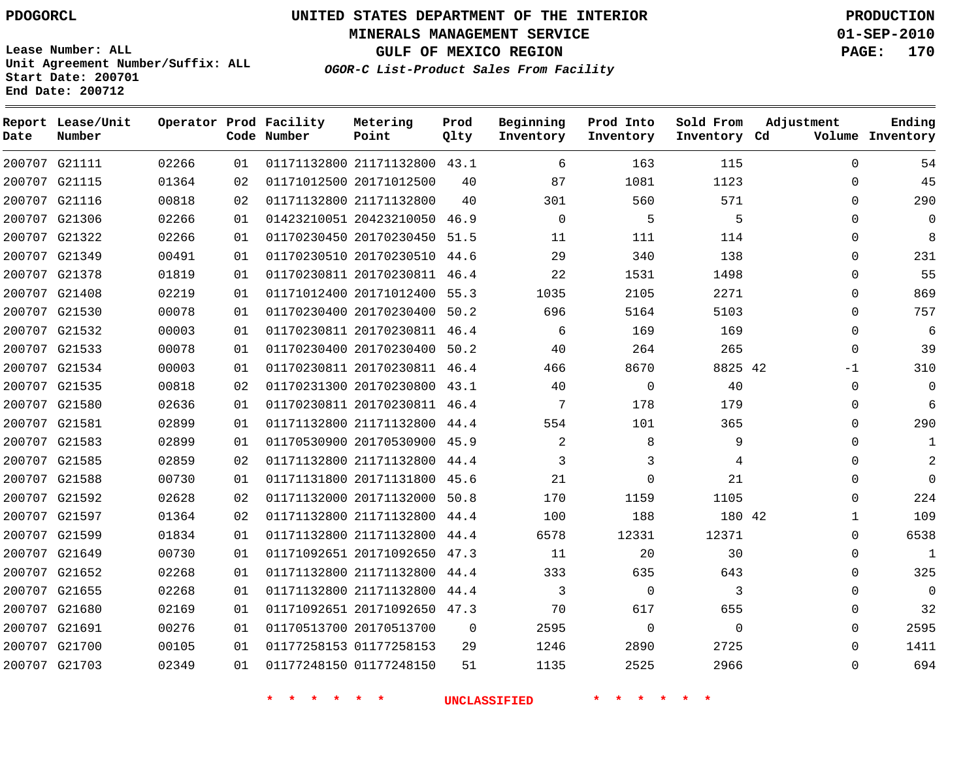**Start Date: 200701 End Date: 200712**

**Unit Agreement Number/Suffix: ALL**

# **UNITED STATES DEPARTMENT OF THE INTERIOR PDOGORCL PRODUCTION**

**MINERALS MANAGEMENT SERVICE 01-SEP-2010**

**GULF OF MEXICO REGION PAGE: 170**

**OGOR-C List-Product Sales From Facility**

| Date   | Report Lease/Unit<br>Number |       |    | Operator Prod Facility<br>Code Number | Metering<br>Point            | Prod<br>Qlty | Beginning<br>Inventory | Prod Into<br>Inventory | Sold From<br>Inventory Cd | Adjustment   | Ending<br>Volume Inventory |
|--------|-----------------------------|-------|----|---------------------------------------|------------------------------|--------------|------------------------|------------------------|---------------------------|--------------|----------------------------|
|        | 200707 G21111               | 02266 | 01 |                                       | 01171132800 21171132800 43.1 |              | 6                      | 163                    | 115                       | $\Omega$     | 54                         |
|        | 200707 G21115               | 01364 | 02 |                                       | 01171012500 20171012500      | 40           | 87                     | 1081                   | 1123                      | $\Omega$     | 45                         |
| 200707 | G21116                      | 00818 | 02 |                                       | 01171132800 21171132800      | 40           | 301                    | 560                    | 571                       | $\Omega$     | 290                        |
| 200707 | G21306                      | 02266 | 01 |                                       | 01423210051 20423210050      | 46.9         | 0                      | 5                      | 5                         | $\mathbf 0$  | $\mathbf 0$                |
| 200707 | G21322                      | 02266 | 01 |                                       | 01170230450 20170230450      | 51.5         | 11                     | 111                    | 114                       | $\Omega$     | 8                          |
| 200707 | G21349                      | 00491 | 01 |                                       | 01170230510 20170230510      | 44.6         | 29                     | 340                    | 138                       | $\Omega$     | 231                        |
|        | 200707 G21378               | 01819 | 01 |                                       | 01170230811 20170230811 46.4 |              | 22                     | 1531                   | 1498                      | $\Omega$     | 55                         |
| 200707 | G21408                      | 02219 | 01 |                                       | 01171012400 20171012400      | 55.3         | 1035                   | 2105                   | 2271                      | $\mathbf 0$  | 869                        |
|        | 200707 G21530               | 00078 | 01 |                                       | 01170230400 20170230400      | 50.2         | 696                    | 5164                   | 5103                      | $\Omega$     | 757                        |
| 200707 | G21532                      | 00003 | 01 |                                       | 01170230811 20170230811 46.4 |              | 6                      | 169                    | 169                       | $\Omega$     | 6                          |
|        | 200707 G21533               | 00078 | 01 |                                       | 01170230400 20170230400      | 50.2         | 40                     | 264                    | 265                       | $\Omega$     | 39                         |
| 200707 | G21534                      | 00003 | 01 |                                       | 01170230811 20170230811 46.4 |              | 466                    | 8670                   | 8825 42                   | $-1$         | 310                        |
| 200707 | G21535                      | 00818 | 02 |                                       | 01170231300 20170230800      | 43.1         | 40                     | $\mathbf 0$            | 40                        | $\mathbf 0$  | $\overline{0}$             |
| 200707 | G21580                      | 02636 | 01 |                                       | 01170230811 20170230811      | 46.4         | 7                      | 178                    | 179                       | $\Omega$     | 6                          |
| 200707 | G21581                      | 02899 | 01 |                                       | 01171132800 21171132800      | 44.4         | 554                    | 101                    | 365                       | $\Omega$     | 290                        |
| 200707 | G21583                      | 02899 | 01 |                                       | 01170530900 20170530900      | 45.9         | 2                      | 8                      | 9                         | $\Omega$     | 1                          |
| 200707 | G21585                      | 02859 | 02 |                                       | 01171132800 21171132800      | 44.4         | 3                      | 3                      | 4                         | $\mathbf 0$  | 2                          |
|        | 200707 G21588               | 00730 | 01 |                                       | 01171131800 20171131800      | 45.6         | 21                     | 0                      | 21                        | $\mathbf 0$  | $\Omega$                   |
| 200707 | G21592                      | 02628 | 02 |                                       | 01171132000 20171132000      | 50.8         | 170                    | 1159                   | 1105                      | $\Omega$     | 224                        |
|        | 200707 G21597               | 01364 | 02 |                                       | 01171132800 21171132800      | 44.4         | 100                    | 188                    | 180 42                    | $\mathbf{1}$ | 109                        |
| 200707 | G21599                      | 01834 | 01 |                                       | 01171132800 21171132800      | 44.4         | 6578                   | 12331                  | 12371                     | $\Omega$     | 6538                       |
|        | 200707 G21649               | 00730 | 01 |                                       | 01171092651 20171092650      | 47.3         | 11                     | 20                     | 30                        | $\Omega$     | 1                          |
| 200707 | G21652                      | 02268 | 01 |                                       | 01171132800 21171132800      | 44.4         | 333                    | 635                    | 643                       | $\Omega$     | 325                        |
| 200707 | G21655                      | 02268 | 01 |                                       | 01171132800 21171132800      | 44.4         | 3                      | $\Omega$               | 3                         | $\Omega$     | $\Omega$                   |
| 200707 | G21680                      | 02169 | 01 |                                       | 01171092651 20171092650      | 47.3         | 70                     | 617                    | 655                       | $\Omega$     | 32                         |
| 200707 | G21691                      | 00276 | 01 |                                       | 01170513700 20170513700      | $\mathbf 0$  | 2595                   | $\mathbf 0$            | 0                         | $\mathbf 0$  | 2595                       |
| 200707 | G21700                      | 00105 | 01 |                                       | 01177258153 01177258153      | 29           | 1246                   | 2890                   | 2725                      | $\Omega$     | 1411                       |
|        | 200707 G21703               | 02349 | 01 |                                       | 01177248150 01177248150      | 51           | 1135                   | 2525                   | 2966                      | $\Omega$     | 694                        |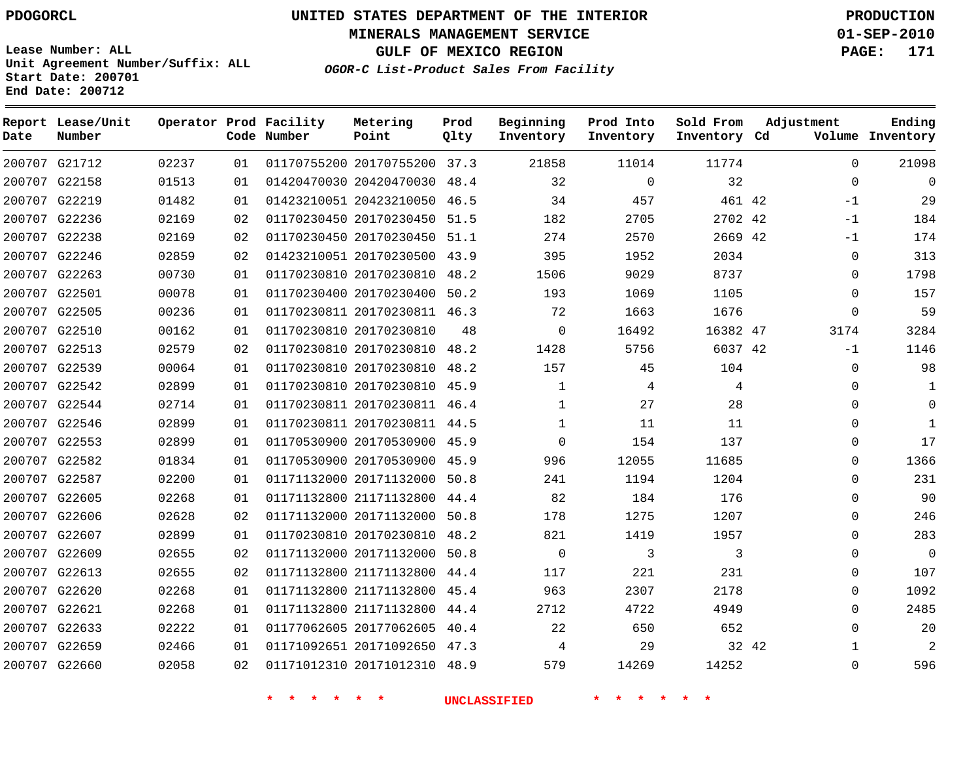**Start Date: 200701 End Date: 200712**

**Unit Agreement Number/Suffix: ALL**

# **UNITED STATES DEPARTMENT OF THE INTERIOR PDOGORCL PRODUCTION**

**MINERALS MANAGEMENT SERVICE 01-SEP-2010**

**GULF OF MEXICO REGION PAGE: 171**

**OGOR-C List-Product Sales From Facility**

| Date | Report Lease/Unit<br>Number |       |    | Operator Prod Facility<br>Code Number | Metering<br>Point            | Prod<br>Qlty | Beginning<br>Inventory | Prod Into<br>Inventory | Sold From<br>Inventory Cd | Adjustment  | Ending<br>Volume Inventory |
|------|-----------------------------|-------|----|---------------------------------------|------------------------------|--------------|------------------------|------------------------|---------------------------|-------------|----------------------------|
|      | 200707 G21712               | 02237 | 01 |                                       | 01170755200 20170755200 37.3 |              | 21858                  | 11014                  | 11774                     | $\Omega$    | 21098                      |
|      | 200707 G22158               | 01513 | 01 |                                       | 01420470030 20420470030      | 48.4         | 32                     | $\mathbf 0$            | 32                        | $\Omega$    | $\overline{0}$             |
|      | 200707 G22219               | 01482 | 01 |                                       | 01423210051 20423210050 46.5 |              | 34                     | 457                    | 461 42                    | $-1$        | 29                         |
|      | 200707 G22236               | 02169 | 02 |                                       | 01170230450 20170230450      | 51.5         | 182                    | 2705                   | 2702 42                   | -1          | 184                        |
|      | 200707 G22238               | 02169 | 02 |                                       | 01170230450 20170230450      | 51.1         | 274                    | 2570                   | 2669 42                   | $-1$        | 174                        |
|      | 200707 G22246               | 02859 | 02 |                                       | 01423210051 20170230500 43.9 |              | 395                    | 1952                   | 2034                      | $\Omega$    | 313                        |
|      | 200707 G22263               | 00730 | 01 |                                       | 01170230810 20170230810      | 48.2         | 1506                   | 9029                   | 8737                      | $\Omega$    | 1798                       |
|      | 200707 G22501               | 00078 | 01 |                                       | 01170230400 20170230400      | 50.2         | 193                    | 1069                   | 1105                      | $\Omega$    | 157                        |
|      | 200707 G22505               | 00236 | 01 |                                       | 01170230811 20170230811 46.3 |              | 72                     | 1663                   | 1676                      | $\mathbf 0$ | 59                         |
|      | 200707 G22510               | 00162 | 01 |                                       | 01170230810 20170230810      | 48           | $\mathbf 0$            | 16492                  | 16382 47                  | 3174        | 3284                       |
|      | 200707 G22513               | 02579 | 02 |                                       | 01170230810 20170230810      | 48.2         | 1428                   | 5756                   | 6037 42                   | $-1$        | 1146                       |
|      | 200707 G22539               | 00064 | 01 |                                       | 01170230810 20170230810      | 48.2         | 157                    | 45                     | 104                       | $\mathbf 0$ | 98                         |
|      | 200707 G22542               | 02899 | 01 |                                       | 01170230810 20170230810 45.9 |              | 1                      | 4                      | 4                         | $\Omega$    | 1                          |
|      | 200707 G22544               | 02714 | 01 |                                       | 01170230811 20170230811 46.4 |              | 1                      | 27                     | 28                        | $\mathbf 0$ | $\mathbf 0$                |
|      | 200707 G22546               | 02899 | 01 |                                       | 01170230811 20170230811 44.5 |              | $\mathbf{1}$           | 11                     | 11                        | $\Omega$    | $\mathbf{1}$               |
|      | 200707 G22553               | 02899 | 01 |                                       | 01170530900 20170530900 45.9 |              | $\mathbf 0$            | 154                    | 137                       | $\Omega$    | 17                         |
|      | 200707 G22582               | 01834 | 01 |                                       | 01170530900 20170530900 45.9 |              | 996                    | 12055                  | 11685                     | $\Omega$    | 1366                       |
|      | 200707 G22587               | 02200 | 01 |                                       | 01171132000 20171132000      | 50.8         | 241                    | 1194                   | 1204                      | $\Omega$    | 231                        |
|      | 200707 G22605               | 02268 | 01 |                                       | 01171132800 21171132800      | 44.4         | 82                     | 184                    | 176                       | $\mathbf 0$ | 90                         |
|      | 200707 G22606               | 02628 | 02 |                                       | 01171132000 20171132000      | 50.8         | 178                    | 1275                   | 1207                      | $\Omega$    | 246                        |
|      | 200707 G22607               | 02899 | 01 |                                       | 01170230810 20170230810      | 48.2         | 821                    | 1419                   | 1957                      | $\Omega$    | 283                        |
|      | 200707 G22609               | 02655 | 02 |                                       | 01171132000 20171132000      | 50.8         | $\mathsf 0$            | 3                      | 3                         | $\mathbf 0$ | $\overline{0}$             |
|      | 200707 G22613               | 02655 | 02 |                                       | 01171132800 21171132800      | 44.4         | 117                    | 221                    | 231                       | $\mathbf 0$ | 107                        |
|      | 200707 G22620               | 02268 | 01 |                                       | 01171132800 21171132800      | 45.4         | 963                    | 2307                   | 2178                      | $\Omega$    | 1092                       |
|      | 200707 G22621               | 02268 | 01 |                                       | 01171132800 21171132800      | 44.4         | 2712                   | 4722                   | 4949                      | $\Omega$    | 2485                       |
|      | 200707 G22633               | 02222 | 01 |                                       | 01177062605 20177062605      | 40.4         | 22                     | 650                    | 652                       | $\mathbf 0$ | 20                         |
|      | 200707 G22659               | 02466 | 01 |                                       | 01171092651 20171092650 47.3 |              | 4                      | 29                     | 32 42                     | 1           | 2                          |
|      | 200707 G22660               | 02058 | 02 |                                       | 01171012310 20171012310 48.9 |              | 579                    | 14269                  | 14252                     | $\Omega$    | 596                        |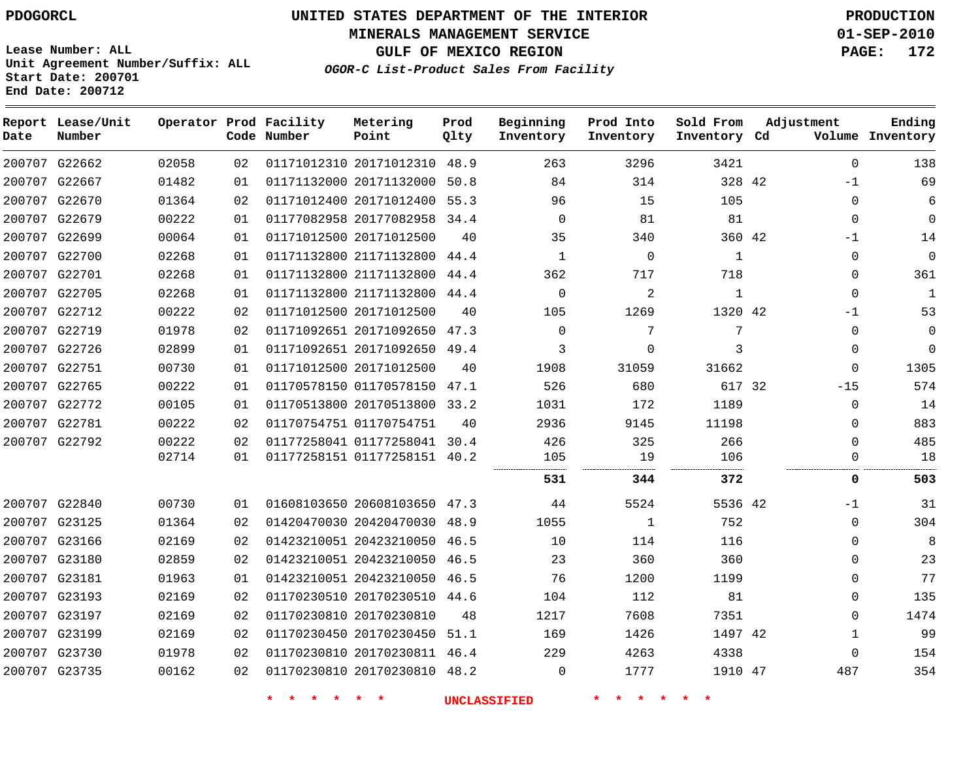# **UNITED STATES DEPARTMENT OF THE INTERIOR PDOGORCL PRODUCTION**

**MINERALS MANAGEMENT SERVICE 01-SEP-2010**

**GULF OF MEXICO REGION PAGE: 172**

**Unit Agreement Number/Suffix: ALL Start Date: 200701 End Date: 200712**

**OGOR-C List-Product Sales From Facility**

| Date | Report Lease/Unit<br>Number |       |    | Operator Prod Facility<br>Code Number | Metering<br>Point            | Prod<br>Qlty | Beginning<br>Inventory | Prod Into<br>Inventory | Sold From<br>Inventory Cd | Adjustment |              | Ending<br>Volume Inventory |
|------|-----------------------------|-------|----|---------------------------------------|------------------------------|--------------|------------------------|------------------------|---------------------------|------------|--------------|----------------------------|
|      | 200707 G22662               | 02058 | 02 |                                       | 01171012310 20171012310      | 48.9         | 263                    | 3296                   | 3421                      |            | $\Omega$     | 138                        |
|      | 200707 G22667               | 01482 | 01 |                                       | 01171132000 20171132000      | 50.8         | 84                     | 314                    | 328 42                    |            | $-1$         | 69                         |
|      | 200707 G22670               | 01364 | 02 |                                       | 01171012400 20171012400      | 55.3         | 96                     | 15                     | 105                       |            | $\mathbf{0}$ | 6                          |
|      | 200707 G22679               | 00222 | 01 |                                       | 01177082958 20177082958      | 34.4         | $\mathbf 0$            | 81                     | 81                        |            | $\mathbf 0$  | $\mathbf 0$                |
|      | 200707 G22699               | 00064 | 01 |                                       | 01171012500 20171012500      | 40           | 35                     | 340                    | 360 42                    |            | $-1$         | 14                         |
|      | 200707 G22700               | 02268 | 01 |                                       | 01171132800 21171132800      | 44.4         | $\mathbf 1$            | $\mathbf 0$            | 1                         |            | 0            | $\mathbf 0$                |
|      | 200707 G22701               | 02268 | 01 |                                       | 01171132800 21171132800      | 44.4         | 362                    | 717                    | 718                       |            | 0            | 361                        |
|      | 200707 G22705               | 02268 | 01 |                                       | 01171132800 21171132800      | 44.4         | $\mathbf 0$            | 2                      | $\mathbf{1}$              |            | 0            | 1                          |
|      | 200707 G22712               | 00222 | 02 |                                       | 01171012500 20171012500      | 40           | 105                    | 1269                   | 1320 42                   |            | -1           | 53                         |
|      | 200707 G22719               | 01978 | 02 |                                       | 01171092651 20171092650 47.3 |              | $\Omega$               | 7                      | 7                         |            | $\mathbf{0}$ | $\Omega$                   |
|      | 200707 G22726               | 02899 | 01 |                                       | 01171092651 20171092650 49.4 |              | 3                      | $\Omega$               | 3                         |            | $\mathbf{0}$ | $\Omega$                   |
|      | 200707 G22751               | 00730 | 01 |                                       | 01171012500 20171012500      | 40           | 1908                   | 31059                  | 31662                     |            | $\Omega$     | 1305                       |
|      | 200707 G22765               | 00222 | 01 |                                       | 01170578150 01170578150      | 47.1         | 526                    | 680                    | 617 32                    |            | $-15$        | 574                        |
|      | 200707 G22772               | 00105 | 01 |                                       | 01170513800 20170513800 33.2 |              | 1031                   | 172                    | 1189                      |            | $\Omega$     | 14                         |
|      | 200707 G22781               | 00222 | 02 |                                       | 01170754751 01170754751      | 40           | 2936                   | 9145                   | 11198                     |            | $\Omega$     | 883                        |
|      | 200707 G22792               | 00222 | 02 |                                       | 01177258041 01177258041 30.4 |              | 426                    | 325                    | 266                       |            | $\Omega$     | 485                        |
|      |                             | 02714 | 01 |                                       | 01177258151 01177258151 40.2 |              | 105<br>                | 19                     | 106<br><br>.              |            | $\Omega$     | 18                         |
|      |                             |       |    |                                       |                              |              | 531                    | 344                    | 372                       |            | 0            | 503                        |
|      | 200707 G22840               | 00730 | 01 |                                       | 01608103650 20608103650 47.3 |              | 44                     | 5524                   | 5536 42                   |            | $-1$         | 31                         |
|      | 200707 G23125               | 01364 | 02 |                                       | 01420470030 20420470030      | 48.9         | 1055                   | 1                      | 752                       |            | $\Omega$     | 304                        |
|      | 200707 G23166               | 02169 | 02 |                                       | 01423210051 20423210050 46.5 |              | 10                     | 114                    | 116                       |            | $\Omega$     | 8                          |
|      | 200707 G23180               | 02859 | 02 |                                       | 01423210051 20423210050      | 46.5         | 23                     | 360                    | 360                       |            | $\Omega$     | 23                         |
|      | 200707 G23181               | 01963 | 01 |                                       | 01423210051 20423210050 46.5 |              | 76                     | 1200                   | 1199                      |            | $\Omega$     | 77                         |
|      | 200707 G23193               | 02169 | 02 |                                       | 01170230510 20170230510      | 44.6         | 104                    | 112                    | 81                        |            | 0            | 135                        |
|      | 200707 G23197               | 02169 | 02 |                                       | 01170230810 20170230810      | 48           | 1217                   | 7608                   | 7351                      |            | $\Omega$     | 1474                       |
|      | 200707 G23199               | 02169 | 02 |                                       | 01170230450 20170230450      | 51.1         | 169                    | 1426                   | 1497 42                   |            | $\mathbf{1}$ | 99                         |
|      | 200707 G23730               | 01978 | 02 |                                       | 01170230810 20170230811 46.4 |              | 229                    | 4263                   | 4338                      |            | $\Omega$     | 154                        |
|      | 200707 G23735               | 00162 | 02 |                                       | 01170230810 20170230810 48.2 |              | $\Omega$               | 1777                   | 1910 47                   |            | 487          | 354                        |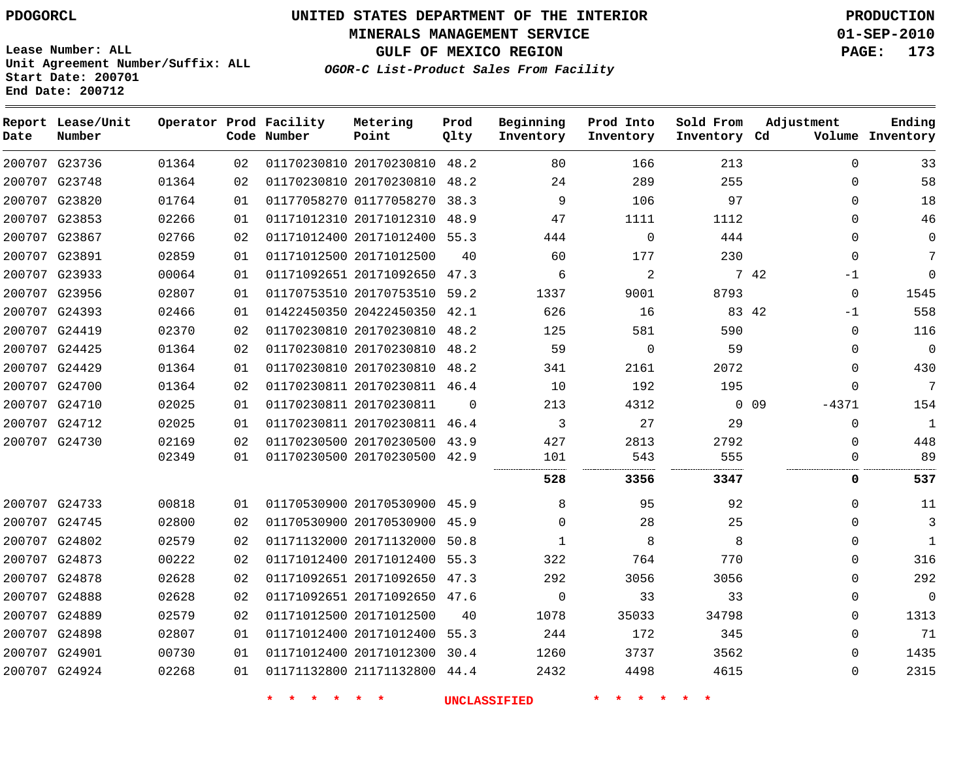**MINERALS MANAGEMENT SERVICE 01-SEP-2010**

**GULF OF MEXICO REGION PAGE: 173**

**Lease Number: ALL Unit Agreement Number/Suffix: ALL Start Date: 200701 End Date: 200712**

**OGOR-C List-Product Sales From Facility**

| Date | Report Lease/Unit<br>Number |       |    | Operator Prod Facility<br>Code Number | Metering<br>Point            | Prod<br>Qlty | Beginning<br>Inventory | Prod Into<br>Inventory | Sold From<br>Inventory Cd | Adjustment            | Ending<br>Volume Inventory |
|------|-----------------------------|-------|----|---------------------------------------|------------------------------|--------------|------------------------|------------------------|---------------------------|-----------------------|----------------------------|
|      | 200707 G23736               | 01364 | 02 |                                       | 01170230810 20170230810      | 48.2         | 80                     | 166                    | 213                       | $\Omega$              | 33                         |
|      | 200707 G23748               | 01364 | 02 |                                       | 01170230810 20170230810 48.2 |              | 24                     | 289                    | 255                       | $\mathbf 0$           | 58                         |
|      | 200707 G23820               | 01764 | 01 |                                       | 01177058270 01177058270      | 38.3         | 9                      | 106                    | 97                        | $\Omega$              | 18                         |
|      | 200707 G23853               | 02266 | 01 |                                       | 01171012310 20171012310      | 48.9         | 47                     | 1111                   | 1112                      | $\mathbf 0$           | 46                         |
|      | 200707 G23867               | 02766 | 02 |                                       | 01171012400 20171012400 55.3 |              | 444                    | $\Omega$               | 444                       | $\Omega$              | $\Omega$                   |
|      | 200707 G23891               | 02859 | 01 |                                       | 01171012500 20171012500      | 40           | 60                     | 177                    | 230                       | $\mathbf 0$           | 7                          |
|      | 200707 G23933               | 00064 | 01 |                                       | 01171092651 20171092650 47.3 |              | 6                      | 2                      |                           | 7 42<br>$-1$          | $\Omega$                   |
|      | 200707 G23956               | 02807 | 01 |                                       | 01170753510 20170753510 59.2 |              | 1337                   | 9001                   | 8793                      | $\mathbf 0$           | 1545                       |
|      | 200707 G24393               | 02466 | 01 |                                       | 01422450350 20422450350 42.1 |              | 626                    | 16                     |                           | 83 42<br>$-1$         | 558                        |
|      | 200707 G24419               | 02370 | 02 |                                       | 01170230810 20170230810      | 48.2         | 125                    | 581                    | 590                       | $\mathbf 0$           | 116                        |
|      | 200707 G24425               | 01364 | 02 |                                       | 01170230810 20170230810      | 48.2         | 59                     | 0                      | 59                        | $\mathbf 0$           | $\mathbf 0$                |
|      | 200707 G24429               | 01364 | 01 |                                       | 01170230810 20170230810 48.2 |              | 341                    | 2161                   | 2072                      | $\Omega$              | 430                        |
|      | 200707 G24700               | 01364 | 02 |                                       | 01170230811 20170230811 46.4 |              | 10                     | 192                    | 195                       | $\Omega$              | 7                          |
|      | 200707 G24710               | 02025 | 01 |                                       | 01170230811 20170230811      | $\Omega$     | 213                    | 4312                   |                           | $0\quad09$<br>$-4371$ | 154                        |
|      | 200707 G24712               | 02025 | 01 |                                       | 01170230811 20170230811 46.4 |              | 3                      | 27                     | 29                        | $\mathbf 0$           | $\mathbf{1}$               |
|      | 200707 G24730               | 02169 | 02 |                                       | 01170230500 20170230500 43.9 |              | 427                    | 2813                   | 2792                      | $\Omega$              | 448                        |
|      |                             | 02349 | 01 |                                       | 01170230500 20170230500 42.9 |              | 101<br>                | 543                    | 555                       | $\mathbf 0$           | 89                         |
|      |                             |       |    |                                       |                              |              | 528                    | 3356                   | 3347                      | 0                     | 537                        |
|      | 200707 G24733               | 00818 | 01 |                                       | 01170530900 20170530900 45.9 |              | 8                      | 95                     | 92                        | $\mathbf 0$           | 11                         |
|      | 200707 G24745               | 02800 | 02 |                                       | 01170530900 20170530900      | 45.9         | $\Omega$               | 28                     | 25                        | $\Omega$              | 3                          |
|      | 200707 G24802               | 02579 | 02 |                                       | 01171132000 20171132000      | 50.8         | 1                      | 8                      | 8                         | $\Omega$              | $\mathbf{1}$               |
|      | 200707 G24873               | 00222 | 02 |                                       | 01171012400 20171012400      | 55.3         | 322                    | 764                    | 770                       | $\mathbf 0$           | 316                        |
|      | 200707 G24878               | 02628 | 02 |                                       | 01171092651 20171092650 47.3 |              | 292                    | 3056                   | 3056                      | $\Omega$              | 292                        |
|      | 200707 G24888               | 02628 | 02 |                                       | 01171092651 20171092650 47.6 |              | $\mathbf 0$            | 33                     | 33                        | $\mathbf 0$           | $\mathbf{0}$               |
|      | 200707 G24889               | 02579 | 02 |                                       | 01171012500 20171012500      | 40           | 1078                   | 35033                  | 34798                     | $\mathbf 0$           | 1313                       |
|      | 200707 G24898               | 02807 | 01 |                                       | 01171012400 20171012400      | 55.3         | 244                    | 172                    | 345                       | $\mathbf 0$           | 71                         |
|      | 200707 G24901               | 00730 | 01 |                                       | 01171012400 20171012300      | 30.4         | 1260                   | 3737                   | 3562                      | $\Omega$              | 1435                       |
|      | 200707 G24924               | 02268 | 01 |                                       | 01171132800 21171132800 44.4 |              | 2432                   | 4498                   | 4615                      | $\Omega$              | 2315                       |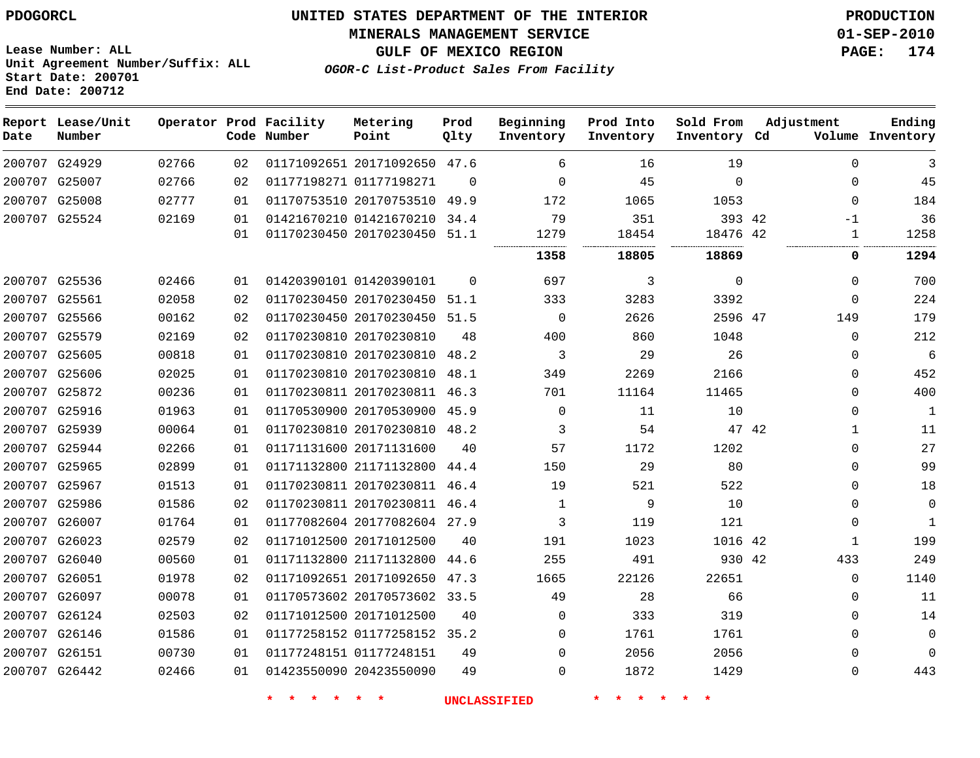**Start Date: 200701 End Date: 200712**

**Unit Agreement Number/Suffix: ALL**

# **UNITED STATES DEPARTMENT OF THE INTERIOR PDOGORCL PRODUCTION**

**MINERALS MANAGEMENT SERVICE 01-SEP-2010**

**GULF OF MEXICO REGION PAGE: 174**

**OGOR-C List-Product Sales From Facility**

| Date | Report Lease/Unit<br>Number |       |    | Operator Prod Facility<br>Code Number | Metering<br>Point            | Prod<br>Qlty | Beginning<br>Inventory | Prod Into<br>Inventory | Sold From<br>Inventory Cd | Adjustment   | Ending<br>Volume Inventory |
|------|-----------------------------|-------|----|---------------------------------------|------------------------------|--------------|------------------------|------------------------|---------------------------|--------------|----------------------------|
|      | 200707 G24929               | 02766 | 02 |                                       | 01171092651 20171092650 47.6 |              | 6                      | 16                     | 19                        | $\Omega$     | 3                          |
|      | 200707 G25007               | 02766 | 02 |                                       | 01177198271 01177198271      | $\Omega$     | $\mathbf 0$            | 45                     | $\mathbf 0$               | 0            | 45                         |
|      | 200707 G25008               | 02777 | 01 |                                       | 01170753510 20170753510      | 49.9         | 172                    | 1065                   | 1053                      | 0            | 184                        |
|      | 200707 G25524               | 02169 | 01 |                                       | 01421670210 01421670210 34.4 |              | 79                     | 351                    | 393 42                    | $-1$         | 36                         |
|      |                             |       | 01 |                                       | 01170230450 20170230450      | 51.1         | 1279                   | 18454                  | 18476 42                  | $\mathbf 1$  | 1258                       |
|      |                             |       |    |                                       |                              |              | 1358                   | 18805                  | 18869                     | 0            | 1294                       |
|      | 200707 G25536               | 02466 | 01 |                                       | 01420390101 01420390101      | $\Omega$     | 697                    | 3                      | $\mathbf 0$               | 0            | 700                        |
|      | 200707 G25561               | 02058 | 02 |                                       | 01170230450 20170230450 51.1 |              | 333                    | 3283                   | 3392                      | 0            | 224                        |
|      | 200707 G25566               | 00162 | 02 |                                       | 01170230450 20170230450 51.5 |              | $\mathbf 0$            | 2626                   | 2596 47                   | 149          | 179                        |
|      | 200707 G25579               | 02169 | 02 |                                       | 01170230810 20170230810      | 48           | 400                    | 860                    | 1048                      | $\Omega$     | 212                        |
|      | 200707 G25605               | 00818 | 01 |                                       | 01170230810 20170230810      | 48.2         | 3                      | 29                     | 26                        | 0            | $\overline{6}$             |
|      | 200707 G25606               | 02025 | 01 |                                       | 01170230810 20170230810      | 48.1         | 349                    | 2269                   | 2166                      | 0            | 452                        |
|      | 200707 G25872               | 00236 | 01 |                                       | 01170230811 20170230811 46.3 |              | 701                    | 11164                  | 11465                     | 0            | 400                        |
|      | 200707 G25916               | 01963 | 01 |                                       | 01170530900 20170530900 45.9 |              | $\mathbf 0$            | 11                     | 10                        | 0            | $\mathbf{1}$               |
|      | 200707 G25939               | 00064 | 01 |                                       | 01170230810 20170230810      | 48.2         | 3                      | 54                     | 47 42                     | $\mathbf{1}$ | 11                         |
|      | 200707 G25944               | 02266 | 01 |                                       | 01171131600 20171131600      | 40           | 57                     | 1172                   | 1202                      | $\Omega$     | 27                         |
|      | 200707 G25965               | 02899 | 01 |                                       | 01171132800 21171132800      | 44.4         | 150                    | 29                     | 80                        | $\Omega$     | 99                         |
|      | 200707 G25967               | 01513 | 01 |                                       | 01170230811 20170230811 46.4 |              | 19                     | 521                    | 522                       | 0            | 18                         |
|      | 200707 G25986               | 01586 | 02 |                                       | 01170230811 20170230811 46.4 |              | 1                      | 9                      | 10                        | 0            | $\mathbf{0}$               |
|      | 200707 G26007               | 01764 | 01 |                                       | 01177082604 20177082604 27.9 |              | 3                      | 119                    | 121                       | 0            | 1                          |
|      | 200707 G26023               | 02579 | 02 |                                       | 01171012500 20171012500      | 40           | 191                    | 1023                   | 1016 42                   | $\mathbf{1}$ | 199                        |
|      | 200707 G26040               | 00560 | 01 |                                       | 01171132800 21171132800      | 44.6         | 255                    | 491                    | 930 42                    | 433          | 249                        |
|      | 200707 G26051               | 01978 | 02 |                                       | 01171092651 20171092650      | 47.3         | 1665                   | 22126                  | 22651                     | 0            | 1140                       |
|      | 200707 G26097               | 00078 | 01 |                                       | 01170573602 20170573602 33.5 |              | 49                     | 28                     | 66                        | 0            | 11                         |
|      | 200707 G26124               | 02503 | 02 |                                       | 01171012500 20171012500      | 40           | 0                      | 333                    | 319                       | 0            | 14                         |
|      | 200707 G26146               | 01586 | 01 |                                       | 01177258152 01177258152 35.2 |              | $\Omega$               | 1761                   | 1761                      | $\Omega$     | $\mathbf{0}$               |
|      | 200707 G26151               | 00730 | 01 |                                       | 01177248151 01177248151      | 49           | $\Omega$               | 2056                   | 2056                      | $\Omega$     | $\Omega$                   |
|      | 200707 G26442               | 02466 | 01 |                                       | 01423550090 20423550090      | 49           | $\Omega$               | 1872                   | 1429                      | $\Omega$     | 443                        |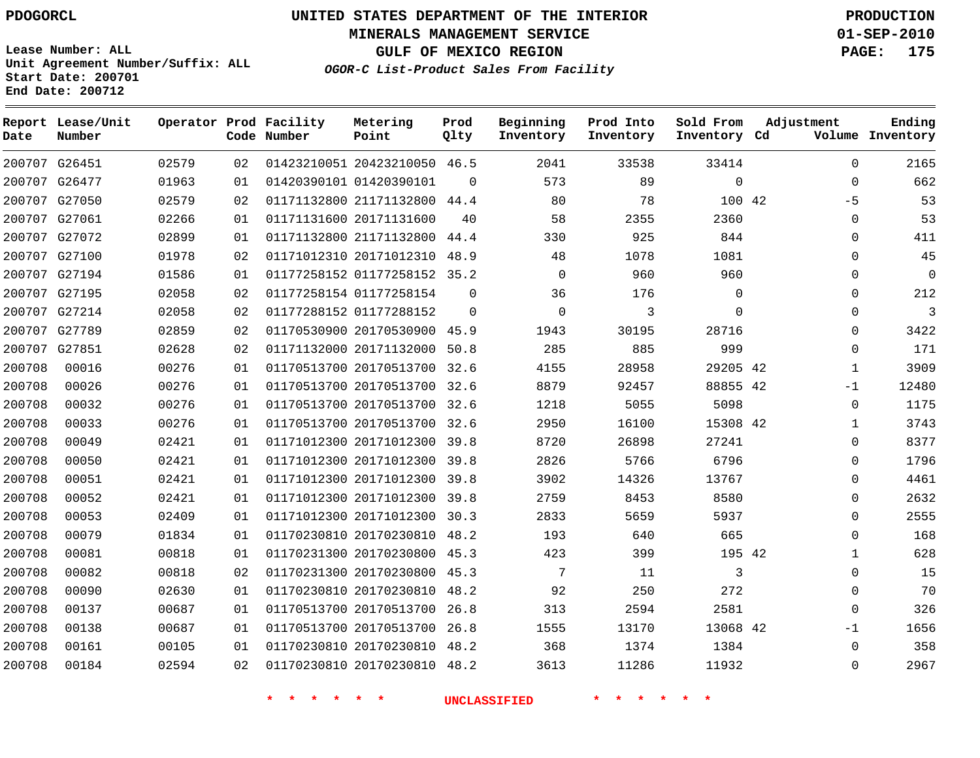**Start Date: 200701 End Date: 200712**

**Unit Agreement Number/Suffix: ALL**

# **UNITED STATES DEPARTMENT OF THE INTERIOR PDOGORCL PRODUCTION**

**MINERALS MANAGEMENT SERVICE 01-SEP-2010**

**GULF OF MEXICO REGION PAGE: 175**

**OGOR-C List-Product Sales From Facility**

| Date   | Report Lease/Unit<br>Number |       |    | Operator Prod Facility<br>Code Number | Metering<br>Point            | Prod<br>Qlty | Beginning<br>Inventory | Prod Into<br>Inventory | Sold From<br>Inventory Cd | Adjustment   | Ending<br>Volume Inventory |
|--------|-----------------------------|-------|----|---------------------------------------|------------------------------|--------------|------------------------|------------------------|---------------------------|--------------|----------------------------|
|        | 200707 G26451               | 02579 | 02 |                                       | 01423210051 20423210050 46.5 |              | 2041                   | 33538                  | 33414                     | $\mathbf 0$  | 2165                       |
|        | 200707 G26477               | 01963 | 01 |                                       | 01420390101 01420390101      | $\mathbf 0$  | 573                    | 89                     | $\mathbf 0$               | $\mathbf 0$  | 662                        |
|        | 200707 G27050               | 02579 | 02 |                                       | 01171132800 21171132800      | 44.4         | 80                     | 78                     | 100 42                    | $-5$         | 53                         |
|        | 200707 G27061               | 02266 | 01 |                                       | 01171131600 20171131600      | 40           | 58                     | 2355                   | 2360                      | $\mathbf 0$  | 53                         |
|        | 200707 G27072               | 02899 | 01 |                                       | 01171132800 21171132800      | 44.4         | 330                    | 925                    | 844                       | $\mathbf 0$  | 411                        |
| 200707 | G27100                      | 01978 | 02 |                                       | 01171012310 20171012310      | 48.9         | 48                     | 1078                   | 1081                      | $\mathsf 0$  | 45                         |
|        | 200707 G27194               | 01586 | 01 |                                       | 01177258152 01177258152 35.2 |              | $\mathbf 0$            | 960                    | 960                       | $\mathbf{0}$ | $\overline{0}$             |
| 200707 | G27195                      | 02058 | 02 |                                       | 01177258154 01177258154      | $\Omega$     | 36                     | 176                    | $\mathbf 0$               | $\Omega$     | 212                        |
|        | 200707 G27214               | 02058 | 02 |                                       | 01177288152 01177288152      | $\Omega$     | $\mathbf 0$            | 3                      | $\Omega$                  | $\mathbf 0$  | 3                          |
| 200707 | G27789                      | 02859 | 02 |                                       | 01170530900 20170530900      | 45.9         | 1943                   | 30195                  | 28716                     | $\Omega$     | 3422                       |
| 200707 | G27851                      | 02628 | 02 |                                       | 01171132000 20171132000      | 50.8         | 285                    | 885                    | 999                       | $\Omega$     | 171                        |
| 200708 | 00016                       | 00276 | 01 |                                       | 01170513700 20170513700      | 32.6         | 4155                   | 28958                  | 29205 42                  | 1            | 3909                       |
| 200708 | 00026                       | 00276 | 01 |                                       | 01170513700 20170513700      | 32.6         | 8879                   | 92457                  | 88855 42                  | $-1$         | 12480                      |
| 200708 | 00032                       | 00276 | 01 |                                       | 01170513700 20170513700      | 32.6         | 1218                   | 5055                   | 5098                      | $\Omega$     | 1175                       |
| 200708 | 00033                       | 00276 | 01 |                                       | 01170513700 20170513700      | 32.6         | 2950                   | 16100                  | 15308 42                  | 1            | 3743                       |
| 200708 | 00049                       | 02421 | 01 |                                       | 01171012300 20171012300      | 39.8         | 8720                   | 26898                  | 27241                     | $\Omega$     | 8377                       |
| 200708 | 00050                       | 02421 | 01 |                                       | 01171012300 20171012300      | 39.8         | 2826                   | 5766                   | 6796                      | $\Omega$     | 1796                       |
| 200708 | 00051                       | 02421 | 01 |                                       | 01171012300 20171012300      | 39.8         | 3902                   | 14326                  | 13767                     | $\Omega$     | 4461                       |
| 200708 | 00052                       | 02421 | 01 |                                       | 01171012300 20171012300      | 39.8         | 2759                   | 8453                   | 8580                      | $\mathbf{0}$ | 2632                       |
| 200708 | 00053                       | 02409 | 01 |                                       | 01171012300 20171012300      | 30.3         | 2833                   | 5659                   | 5937                      | $\mathbf{0}$ | 2555                       |
| 200708 | 00079                       | 01834 | 01 |                                       | 01170230810 20170230810      | 48.2         | 193                    | 640                    | 665                       | $\Omega$     | 168                        |
| 200708 | 00081                       | 00818 | 01 |                                       | 01170231300 20170230800      | 45.3         | 423                    | 399                    | 195 42                    | $\mathbf{1}$ | 628                        |
| 200708 | 00082                       | 00818 | 02 |                                       | 01170231300 20170230800      | 45.3         | 7                      | 11                     | 3                         | $\mathbf 0$  | 15                         |
| 200708 | 00090                       | 02630 | 01 |                                       | 01170230810 20170230810      | 48.2         | 92                     | 250                    | 272                       | 0            | 70                         |
| 200708 | 00137                       | 00687 | 01 |                                       | 01170513700 20170513700      | 26.8         | 313                    | 2594                   | 2581                      | $\Omega$     | 326                        |
| 200708 | 00138                       | 00687 | 01 |                                       | 01170513700 20170513700      | 26.8         | 1555                   | 13170                  | 13068 42                  | $-1$         | 1656                       |
| 200708 | 00161                       | 00105 | 01 |                                       | 01170230810 20170230810      | 48.2         | 368                    | 1374                   | 1384                      | $\Omega$     | 358                        |
| 200708 | 00184                       | 02594 | 02 |                                       | 01170230810 20170230810      | 48.2         | 3613                   | 11286                  | 11932                     | $\Omega$     | 2967                       |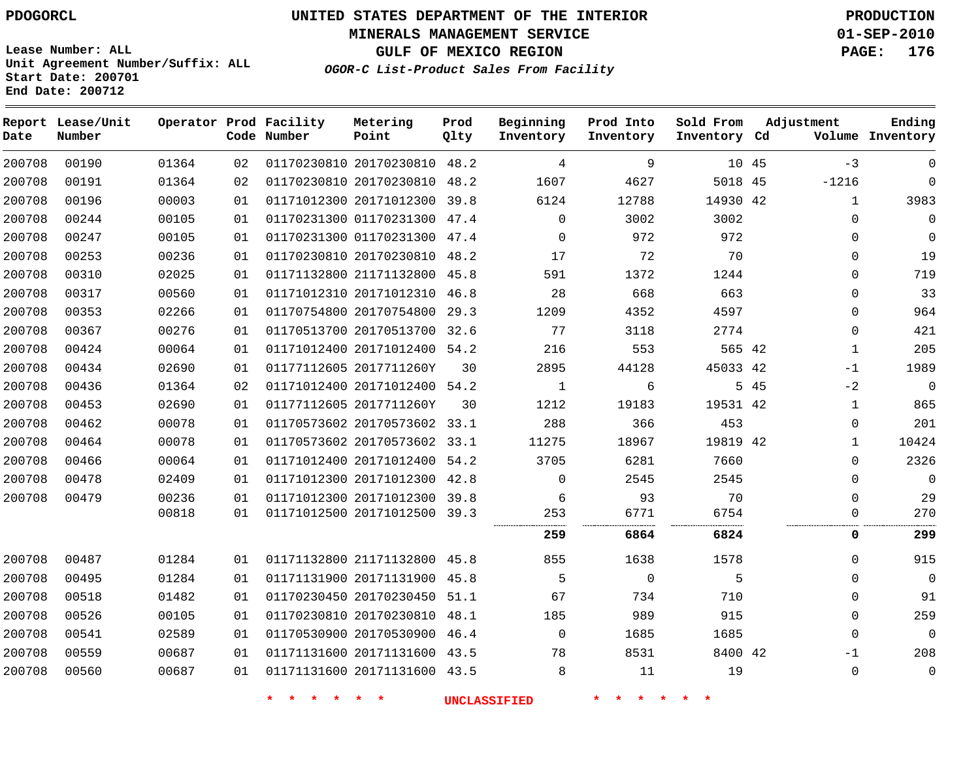**Start Date: 200701 End Date: 200712**

**Unit Agreement Number/Suffix: ALL**

# **UNITED STATES DEPARTMENT OF THE INTERIOR PDOGORCL PRODUCTION**

**MINERALS MANAGEMENT SERVICE 01-SEP-2010**

**GULF OF MEXICO REGION PAGE: 176**

**OGOR-C List-Product Sales From Facility**

| Date   | Report Lease/Unit<br>Number |       |    | Operator Prod Facility<br>Code Number | Metering<br>Point            | Prod<br>Qlty | Beginning<br>Inventory | Prod Into<br>Inventory | Sold From<br>Inventory Cd | Adjustment |              | Ending<br>Volume Inventory |
|--------|-----------------------------|-------|----|---------------------------------------|------------------------------|--------------|------------------------|------------------------|---------------------------|------------|--------------|----------------------------|
| 200708 | 00190                       | 01364 | 02 |                                       | 01170230810 20170230810      | 48.2         | 4                      | 9                      | 10 45                     |            | $-3$         | $\mathbf 0$                |
| 200708 | 00191                       | 01364 | 02 |                                       | 01170230810 20170230810      | 48.2         | 1607                   | 4627                   | 5018 45                   |            | $-1216$      | $\Omega$                   |
| 200708 | 00196                       | 00003 | 01 |                                       | 01171012300 20171012300      | 39.8         | 6124                   | 12788                  | 14930 42                  |            | 1            | 3983                       |
| 200708 | 00244                       | 00105 | 01 |                                       | 01170231300 01170231300      | 47.4         | $\mathbf 0$            | 3002                   | 3002                      |            | $\Omega$     | $\mathbf 0$                |
| 200708 | 00247                       | 00105 | 01 |                                       | 01170231300 01170231300      | 47.4         | $\mathbf 0$            | 972                    | 972                       |            | $\Omega$     | $\Omega$                   |
| 200708 | 00253                       | 00236 | 01 |                                       | 01170230810 20170230810      | 48.2         | 17                     | 72                     | 70                        |            | $\mathbf 0$  | 19                         |
| 200708 | 00310                       | 02025 | 01 |                                       | 01171132800 21171132800      | 45.8         | 591                    | 1372                   | 1244                      |            | $\Omega$     | 719                        |
| 200708 | 00317                       | 00560 | 01 |                                       | 01171012310 20171012310      | 46.8         | 28                     | 668                    | 663                       |            | $\mathbf 0$  | 33                         |
| 200708 | 00353                       | 02266 | 01 |                                       | 01170754800 20170754800      | 29.3         | 1209                   | 4352                   | 4597                      |            | $\mathbf 0$  | 964                        |
| 200708 | 00367                       | 00276 | 01 |                                       | 01170513700 20170513700 32.6 |              | 77                     | 3118                   | 2774                      |            | $\Omega$     | 421                        |
| 200708 | 00424                       | 00064 | 01 |                                       | 01171012400 20171012400      | 54.2         | 216                    | 553                    | 565 42                    |            | 1            | 205                        |
| 200708 | 00434                       | 02690 | 01 |                                       | 01177112605 2017711260Y      | 30           | 2895                   | 44128                  | 45033 42                  |            | $-1$         | 1989                       |
| 200708 | 00436                       | 01364 | 02 |                                       | 01171012400 20171012400 54.2 |              | 1                      | 6                      |                           | 5 45       | $-2$         | $\overline{0}$             |
| 200708 | 00453                       | 02690 | 01 |                                       | 01177112605 2017711260Y      | 30           | 1212                   | 19183                  | 19531 42                  |            | $\mathbf{1}$ | 865                        |
| 200708 | 00462                       | 00078 | 01 |                                       | 01170573602 20170573602 33.1 |              | 288                    | 366                    | 453                       |            | $\Omega$     | 201                        |
| 200708 | 00464                       | 00078 | 01 |                                       | 01170573602 20170573602      | 33.1         | 11275                  | 18967                  | 19819 42                  |            | 1            | 10424                      |
| 200708 | 00466                       | 00064 | 01 |                                       | 01171012400 20171012400      | 54.2         | 3705                   | 6281                   | 7660                      |            | $\Omega$     | 2326                       |
| 200708 | 00478                       | 02409 | 01 |                                       | 01171012300 20171012300      | 42.8         | $\mathbf 0$            | 2545                   | 2545                      |            | $\Omega$     | $\overline{0}$             |
| 200708 | 00479                       | 00236 | 01 |                                       | 01171012300 20171012300      | 39.8         | 6                      | 93                     | 70                        |            | $\mathbf 0$  | 29                         |
|        |                             | 00818 | 01 |                                       | 01171012500 20171012500      | 39.3         | 253                    | 6771                   | 6754                      |            | $\mathbf 0$  | 270                        |
|        |                             |       |    |                                       |                              |              | 259                    | 6864                   | 6824                      |            | 0            | 299                        |
| 200708 | 00487                       | 01284 | 01 |                                       | 01171132800 21171132800      | 45.8         | 855                    | 1638                   | 1578                      |            | $\mathbf 0$  | 915                        |
| 200708 | 00495                       | 01284 | 01 |                                       | 01171131900 20171131900      | 45.8         | 5                      | $\Omega$               | 5                         |            | $\Omega$     | $\overline{0}$             |
| 200708 | 00518                       | 01482 | 01 |                                       | 01170230450 20170230450      | 51.1         | 67                     | 734                    | 710                       |            | $\mathbf 0$  | 91                         |
| 200708 | 00526                       | 00105 | 01 |                                       | 01170230810 20170230810      | 48.1         | 185                    | 989                    | 915                       |            | $\Omega$     | 259                        |
| 200708 | 00541                       | 02589 | 01 |                                       | 01170530900 20170530900      | 46.4         | $\mathbf 0$            | 1685                   | 1685                      |            | $\Omega$     | $\overline{0}$             |
| 200708 | 00559                       | 00687 | 01 |                                       | 01171131600 20171131600      | 43.5         | 78                     | 8531                   | 8400 42                   |            | $-1$         | 208                        |
| 200708 | 00560                       | 00687 | 01 |                                       | 01171131600 20171131600 43.5 |              | 8                      | 11                     | 19                        |            | $\mathbf 0$  | $\overline{0}$             |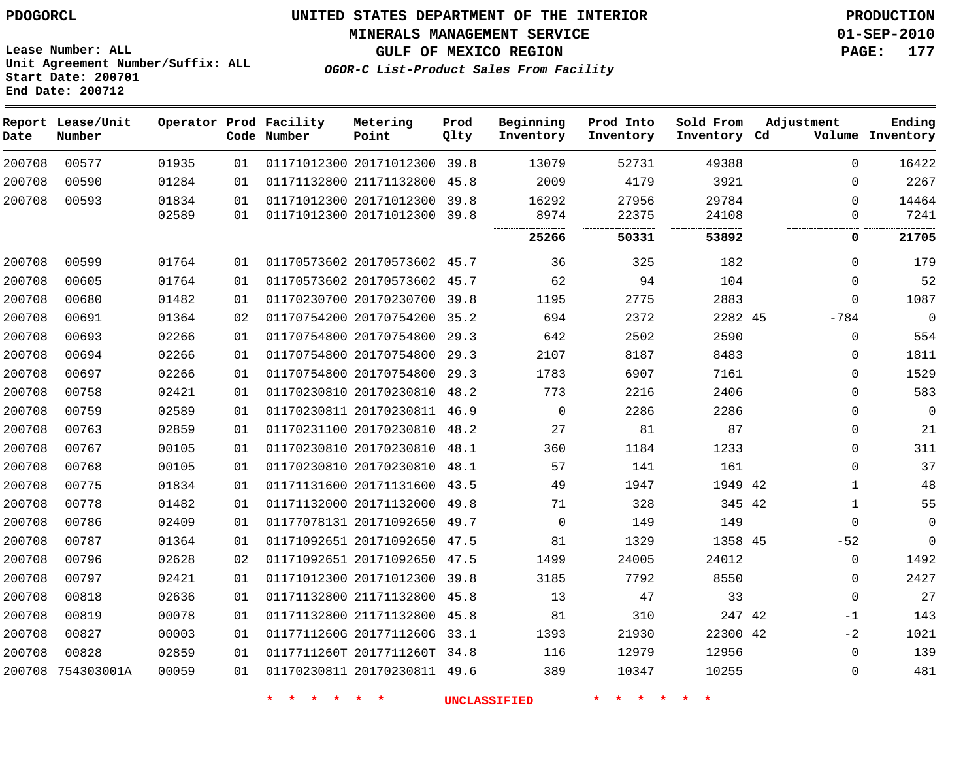**MINERALS MANAGEMENT SERVICE 01-SEP-2010**

**Lease Number: ALL Unit Agreement Number/Suffix: ALL Start Date: 200701 End Date: 200712**

**OGOR-C List-Product Sales From Facility**

**GULF OF MEXICO REGION PAGE: 177**

| Date   | Report Lease/Unit<br>Number |       |    | Operator Prod Facility<br>Code Number | Metering<br>Point            | Prod<br>Qlty | Beginning<br>Inventory | Prod Into<br>Inventory | Sold From<br>Inventory Cd | Adjustment      | Ending<br>Volume Inventory |
|--------|-----------------------------|-------|----|---------------------------------------|------------------------------|--------------|------------------------|------------------------|---------------------------|-----------------|----------------------------|
| 200708 | 00577                       | 01935 | 01 |                                       | 01171012300 20171012300      | 39.8         | 13079                  | 52731                  | 49388                     | $\Omega$        | 16422                      |
| 200708 | 00590                       | 01284 | 01 |                                       | 01171132800 21171132800 45.8 |              | 2009                   | 4179                   | 3921                      | $\Omega$        | 2267                       |
| 200708 | 00593                       | 01834 | 01 |                                       | 01171012300 20171012300      | 39.8         | 16292                  | 27956                  | 29784                     | $\Omega$        | 14464                      |
|        |                             | 02589 | 01 |                                       | 01171012300 20171012300 39.8 |              | 8974                   | 22375                  | 24108                     | $\mathbf 0$<br> | 7241                       |
|        |                             |       |    |                                       |                              |              | 25266                  | 50331                  | 53892                     | 0               | 21705                      |
| 200708 | 00599                       | 01764 | 01 |                                       | 01170573602 20170573602 45.7 |              | 36                     | 325                    | 182                       | $\mathbf 0$     | 179                        |
| 200708 | 00605                       | 01764 | 01 |                                       | 01170573602 20170573602 45.7 |              | 62                     | 94                     | 104                       | $\mathbf 0$     | 52                         |
| 200708 | 00680                       | 01482 | 01 |                                       | 01170230700 20170230700 39.8 |              | 1195                   | 2775                   | 2883                      | $\Omega$        | 1087                       |
| 200708 | 00691                       | 01364 | 02 |                                       | 01170754200 20170754200 35.2 |              | 694                    | 2372                   | 2282 45                   | $-784$          | $\Omega$                   |
| 200708 | 00693                       | 02266 | 01 |                                       | 01170754800 20170754800 29.3 |              | 642                    | 2502                   | 2590                      | $\Omega$        | 554                        |
| 200708 | 00694                       | 02266 | 01 |                                       | 01170754800 20170754800      | 29.3         | 2107                   | 8187                   | 8483                      | $\mathbf 0$     | 1811                       |
| 200708 | 00697                       | 02266 | 01 |                                       | 01170754800 20170754800 29.3 |              | 1783                   | 6907                   | 7161                      | $\mathbf 0$     | 1529                       |
| 200708 | 00758                       | 02421 | 01 |                                       | 01170230810 20170230810 48.2 |              | 773                    | 2216                   | 2406                      | $\mathbf 0$     | 583                        |
| 200708 | 00759                       | 02589 | 01 |                                       | 01170230811 20170230811 46.9 |              | $\Omega$               | 2286                   | 2286                      | $\mathbf 0$     | $\mathsf 0$                |
| 200708 | 00763                       | 02859 | 01 |                                       | 01170231100 20170230810      | 48.2         | 27                     | 81                     | 87                        | $\mathbf 0$     | 21                         |
| 200708 | 00767                       | 00105 | 01 |                                       | 01170230810 20170230810 48.1 |              | 360                    | 1184                   | 1233                      | $\mathbf 0$     | 311                        |
| 200708 | 00768                       | 00105 | 01 |                                       | 01170230810 20170230810      | 48.1         | 57                     | 141                    | 161                       | $\mathbf 0$     | 37                         |
| 200708 | 00775                       | 01834 | 01 |                                       | 01171131600 20171131600 43.5 |              | 49                     | 1947                   | 1949 42                   | $\mathbf{1}$    | 48                         |
| 200708 | 00778                       | 01482 | 01 |                                       | 01171132000 20171132000      | 49.8         | 71                     | 328                    | 345 42                    | $\mathbf{1}$    | 55                         |
| 200708 | 00786                       | 02409 | 01 |                                       | 01177078131 20171092650      | 49.7         | $\mathbf 0$            | 149                    | 149                       | $\mathbf 0$     | $\mathbf 0$                |
| 200708 | 00787                       | 01364 | 01 |                                       | 01171092651 20171092650 47.5 |              | 81                     | 1329                   | 1358 45                   | $-52$           | 0                          |
| 200708 | 00796                       | 02628 | 02 |                                       | 01171092651 20171092650 47.5 |              | 1499                   | 24005                  | 24012                     | 0               | 1492                       |
| 200708 | 00797                       | 02421 | 01 |                                       | 01171012300 20171012300 39.8 |              | 3185                   | 7792                   | 8550                      | $\mathbf 0$     | 2427                       |
| 200708 | 00818                       | 02636 | 01 |                                       | 01171132800 21171132800      | 45.8         | 13                     | 47                     | 33                        | $\mathbf 0$     | 27                         |
| 200708 | 00819                       | 00078 | 01 |                                       | 01171132800 21171132800 45.8 |              | 81                     | 310                    | 247 42                    | $-1$            | 143                        |
| 200708 | 00827                       | 00003 | 01 |                                       | 0117711260G 2017711260G 33.1 |              | 1393                   | 21930                  | 22300 42                  | $-2$            | 1021                       |
| 200708 | 00828                       | 02859 | 01 |                                       | 0117711260T 2017711260T 34.8 |              | 116                    | 12979                  | 12956                     | $\mathbf 0$     | 139                        |
|        | 200708 754303001A           | 00059 | 01 |                                       | 01170230811 20170230811 49.6 |              | 389                    | 10347                  | 10255                     | $\mathbf 0$     | 481                        |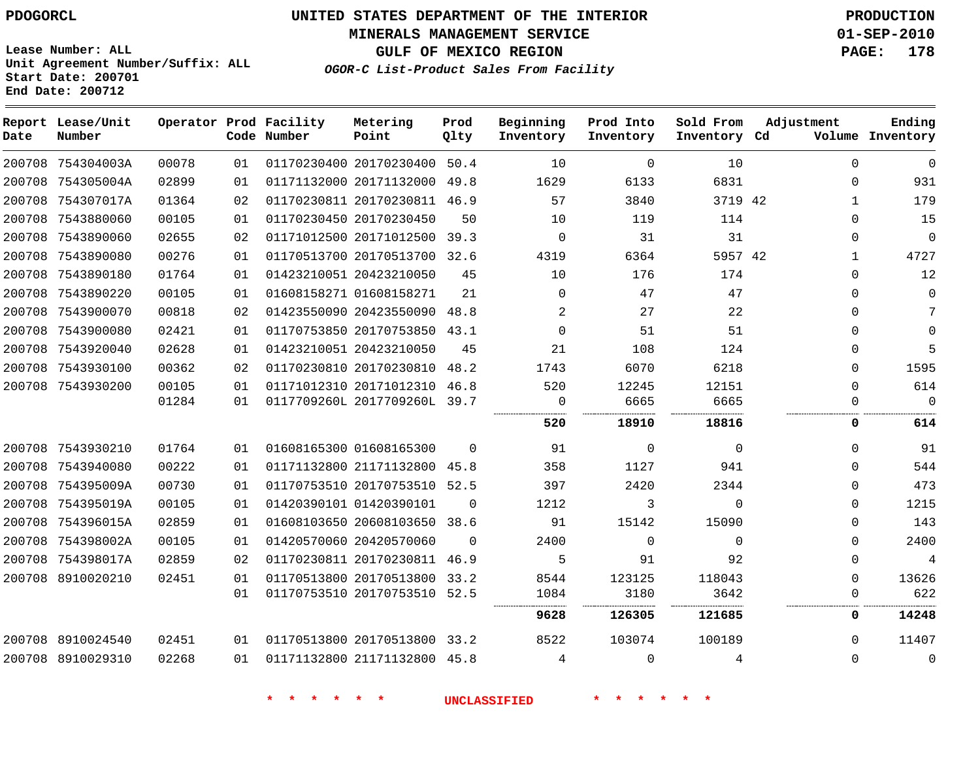**MINERALS MANAGEMENT SERVICE 01-SEP-2010**

**GULF OF MEXICO REGION PAGE: 178**

**Lease Number: ALL Unit Agreement Number/Suffix: ALL Start Date: 200701 End Date: 200712**

**OGOR-C List-Product Sales From Facility**

| Date   | Report Lease/Unit<br>Number |       |    | Operator Prod Facility<br>Code Number | Metering<br>Point            | Prod<br>Qlty | Beginning<br>Inventory | Prod Into<br>Inventory | Sold From<br>Inventory Cd | Adjustment   | Ending<br>Volume Inventory |
|--------|-----------------------------|-------|----|---------------------------------------|------------------------------|--------------|------------------------|------------------------|---------------------------|--------------|----------------------------|
|        | 200708 754304003A           | 00078 | 01 |                                       | 01170230400 20170230400 50.4 |              | 10                     | $\mathbf 0$            | 10                        | $\Omega$     | $\Omega$                   |
|        | 200708 754305004A           | 02899 | 01 |                                       | 01171132000 20171132000 49.8 |              | 1629                   | 6133                   | 6831                      | $\Omega$     | 931                        |
|        | 200708 754307017A           | 01364 | 02 |                                       | 01170230811 20170230811 46.9 |              | 57                     | 3840                   | 3719 42                   | $\mathbf{1}$ | 179                        |
|        | 200708 7543880060           | 00105 | 01 |                                       | 01170230450 20170230450      | 50           | 10                     | 119                    | 114                       | $\Omega$     | 15                         |
|        | 200708 7543890060           | 02655 | 02 |                                       | 01171012500 20171012500      | 39.3         | $\Omega$               | 31                     | 31                        | $\Omega$     | $\Omega$                   |
|        | 200708 7543890080           | 00276 | 01 |                                       | 01170513700 20170513700 32.6 |              | 4319                   | 6364                   | 5957 42                   | $\mathbf{1}$ | 4727                       |
|        | 200708 7543890180           | 01764 | 01 |                                       | 01423210051 20423210050      | 45           | 10                     | 176                    | 174                       | $\Omega$     | 12                         |
|        | 200708 7543890220           | 00105 | 01 |                                       | 01608158271 01608158271      | 21           | $\Omega$               | 47                     | 47                        | $\Omega$     | $\mathbf 0$                |
|        | 200708 7543900070           | 00818 | 02 |                                       | 01423550090 20423550090      | 48.8         | $\overline{2}$         | 27                     | 22                        | $\Omega$     | 7                          |
|        | 200708 7543900080           | 02421 | 01 |                                       | 01170753850 20170753850 43.1 |              | $\Omega$               | 51                     | 51                        | $\Omega$     | $\Omega$                   |
|        | 200708 7543920040           | 02628 | 01 |                                       | 01423210051 20423210050      | 45           | 21                     | 108                    | 124                       | $\Omega$     | 5                          |
|        | 200708 7543930100           | 00362 | 02 |                                       | 01170230810 20170230810      | 48.2         | 1743                   | 6070                   | 6218                      | $\Omega$     | 1595                       |
|        | 200708 7543930200           | 00105 | 01 |                                       | 01171012310 20171012310 46.8 |              | 520                    | 12245                  | 12151                     | $\Omega$     | 614                        |
|        |                             | 01284 | 01 |                                       | 0117709260L 2017709260L 39.7 |              | 0                      | 6665                   | 6665                      | 0            | $\mathbf 0$                |
|        |                             |       |    |                                       |                              |              | 520                    | 18910                  | 18816                     | 0            | 614                        |
|        | 200708 7543930210           | 01764 | 01 |                                       | 01608165300 01608165300      | $\Omega$     | 91                     | $\mathbf{0}$           | $\Omega$                  | $\Omega$     | 91                         |
|        | 200708 7543940080           | 00222 | 01 |                                       | 01171132800 21171132800 45.8 |              | 358                    | 1127                   | 941                       | $\Omega$     | 544                        |
|        | 200708 754395009A           | 00730 | 01 |                                       | 01170753510 20170753510 52.5 |              | 397                    | 2420                   | 2344                      | $\Omega$     | 473                        |
|        | 200708 754395019A           | 00105 | 01 |                                       | 01420390101 01420390101      | $\Omega$     | 1212                   | 3                      | $\Omega$                  | $\Omega$     | 1215                       |
|        | 200708 754396015A           | 02859 | 01 |                                       | 01608103650 20608103650      | 38.6         | 91                     | 15142                  | 15090                     | $\Omega$     | 143                        |
|        | 200708 754398002A           | 00105 | 01 |                                       | 01420570060 20420570060      | $\Omega$     | 2400                   | $\mathbf 0$            | $\mathbf 0$               | $\Omega$     | 2400                       |
| 200708 | 754398017A                  | 02859 | 02 |                                       | 01170230811 20170230811 46.9 |              | 5                      | 91                     | 92                        | 0            | $\overline{4}$             |
|        | 200708 8910020210           | 02451 | 01 |                                       | 01170513800 20170513800 33.2 |              | 8544                   | 123125                 | 118043                    | $\Omega$     | 13626                      |
|        |                             |       | 01 |                                       | 01170753510 20170753510 52.5 |              | 1084                   | 3180                   | 3642                      | 0            | 622                        |
|        |                             |       |    |                                       |                              |              | 9628                   | 126305                 | 121685                    | 0            | 14248                      |
|        | 200708 8910024540           | 02451 | 01 |                                       | 01170513800 20170513800 33.2 |              | 8522                   | 103074                 | 100189                    | $\Omega$     | 11407                      |
|        | 200708 8910029310           | 02268 | 01 |                                       | 01171132800 21171132800 45.8 |              | $\overline{4}$         | $\Omega$               | 4                         | $\Omega$     | $\mathbf{0}$               |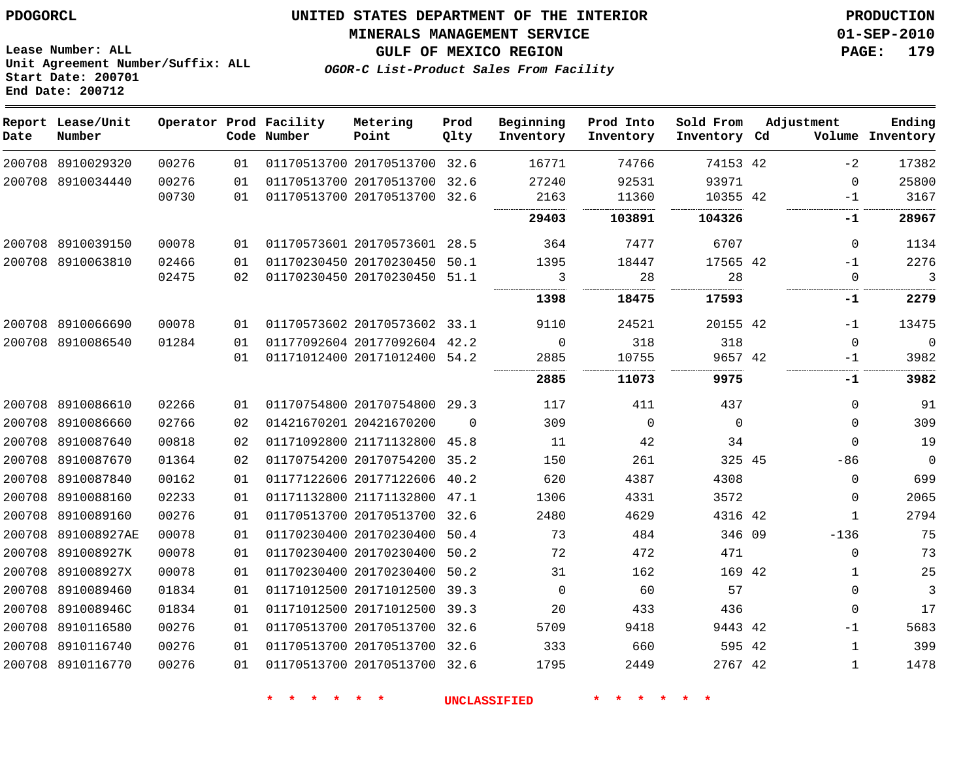**Start Date: 200701 End Date: 200712**

**Unit Agreement Number/Suffix: ALL**

# **UNITED STATES DEPARTMENT OF THE INTERIOR PDOGORCL PRODUCTION**

#### **MINERALS MANAGEMENT SERVICE 01-SEP-2010**

**GULF OF MEXICO REGION PAGE: 179**

**OGOR-C List-Product Sales From Facility**

| Date | Report Lease/Unit<br>Number |       |                 | Operator Prod Facility<br>Code Number | Metering<br>Point            | Prod<br>Qlty | Beginning<br>Inventory | Prod Into<br>Inventory | Sold From<br>Inventory Cd | Adjustment   | Ending<br>Volume Inventory |
|------|-----------------------------|-------|-----------------|---------------------------------------|------------------------------|--------------|------------------------|------------------------|---------------------------|--------------|----------------------------|
|      | 200708 8910029320           | 00276 | 01              |                                       | 01170513700 20170513700      | 32.6         | 16771                  | 74766                  | 74153 42                  | $-2$         | 17382                      |
|      | 200708 8910034440           | 00276 | 01              |                                       | 01170513700 20170513700      | 32.6         | 27240                  | 92531                  | 93971                     | $\mathbf 0$  | 25800                      |
|      |                             | 00730 | 01              |                                       | 01170513700 20170513700 32.6 |              | 2163                   | 11360                  | 10355 42                  | $-1$         | 3167                       |
|      |                             |       |                 |                                       |                              |              | <br>29403              | 103891                 | 104326                    | <br>.<br>-1  | 28967                      |
|      | 200708 8910039150           | 00078 | 01              |                                       | 01170573601 20170573601 28.5 |              | 364                    | 7477                   | 6707                      | $\Omega$     | 1134                       |
|      | 200708 8910063810           | 02466 | 01              |                                       | 01170230450 20170230450      | 50.1         | 1395                   | 18447                  | 17565 42                  | $-1$         | 2276                       |
|      |                             | 02475 | 02 <sub>o</sub> |                                       | 01170230450 20170230450      | 51.1         | 3                      | 28                     | 28                        | $\Omega$     | 3                          |
|      |                             |       |                 |                                       |                              |              | 1398                   | 18475                  | 17593                     | -1           | 2279                       |
|      | 200708 8910066690           | 00078 | 01              |                                       | 01170573602 20170573602 33.1 |              | 9110                   | 24521                  | 20155 42                  | $-1$         | 13475                      |
|      | 200708 8910086540           | 01284 | 01              |                                       | 01177092604 20177092604 42.2 |              | $\mathbf 0$            | 318                    | 318                       | $\mathbf 0$  | $\mathbf 0$                |
|      |                             |       | 01              |                                       | 01171012400 20171012400 54.2 |              | 2885                   | 10755                  | 9657 42                   | $-1$         | 3982                       |
|      |                             |       |                 |                                       |                              |              | <br>2885               | 11073                  | .<br>9975                 | <br>-1       | 3982                       |
|      | 200708 8910086610           | 02266 | 01              |                                       | 01170754800 20170754800 29.3 |              | 117                    | 411                    | 437                       | $\Omega$     | 91                         |
|      | 200708 8910086660           | 02766 | 02              |                                       | 01421670201 20421670200      | $\Omega$     | 309                    | 0                      | 0                         | $\Omega$     | 309                        |
|      | 200708 8910087640           | 00818 | 02              |                                       | 01171092800 21171132800 45.8 |              | 11                     | 42                     | 34                        | $\Omega$     | 19                         |
|      | 200708 8910087670           | 01364 | 02              |                                       | 01170754200 20170754200      | 35.2         | 150                    | 261                    | 325 45                    | $-86$        | $\Omega$                   |
|      | 200708 8910087840           | 00162 | 01              |                                       | 01177122606 20177122606      | 40.2         | 620                    | 4387                   | 4308                      | $\Omega$     | 699                        |
|      | 200708 8910088160           | 02233 | 01              |                                       | 01171132800 21171132800      | 47.1         | 1306                   | 4331                   | 3572                      | $\mathbf 0$  | 2065                       |
|      | 200708 8910089160           | 00276 | 01              |                                       | 01170513700 20170513700 32.6 |              | 2480                   | 4629                   | 4316 42                   | $\mathbf{1}$ | 2794                       |
|      | 200708 891008927AE          | 00078 | 01              |                                       | 01170230400 20170230400      | 50.4         | 73                     | 484                    | 346 09                    | $-136$       | 75                         |
|      | 200708 891008927K           | 00078 | 01              |                                       | 01170230400 20170230400      | 50.2         | 72                     | 472                    | 471                       | $\Omega$     | 73                         |
|      | 200708 891008927X           | 00078 | 01              |                                       | 01170230400 20170230400      | 50.2         | 31                     | 162                    | 169 42                    | $\mathbf{1}$ | 25                         |
|      | 200708 8910089460           | 01834 | 01              |                                       | 01171012500 20171012500      | 39.3         | $\mathbf 0$            | 60                     | 57                        | $\mathbf 0$  | 3                          |
|      | 200708 891008946C           | 01834 | 01              |                                       | 01171012500 20171012500      | 39.3         | 20                     | 433                    | 436                       | $\Omega$     | 17                         |
|      | 200708 8910116580           | 00276 | 01              |                                       | 01170513700 20170513700      | 32.6         | 5709                   | 9418                   | 9443 42                   | $-1$         | 5683                       |
|      | 200708 8910116740           | 00276 | 01              |                                       | 01170513700 20170513700      | 32.6         | 333                    | 660                    | 595 42                    | 1            | 399                        |
|      | 200708 8910116770           | 00276 | 01              |                                       | 01170513700 20170513700      | 32.6         | 1795                   | 2449                   | 2767 42                   | $\mathbf{1}$ | 1478                       |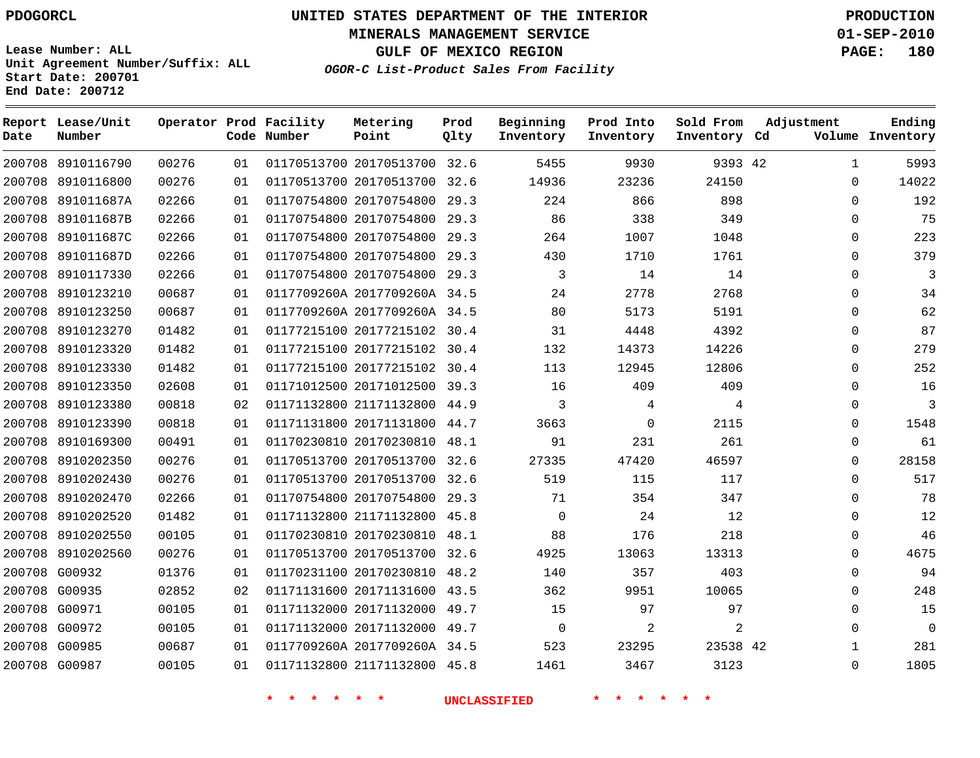**Start Date: 200701 End Date: 200712**

**Unit Agreement Number/Suffix: ALL**

# **UNITED STATES DEPARTMENT OF THE INTERIOR PDOGORCL PRODUCTION**

**MINERALS MANAGEMENT SERVICE 01-SEP-2010**

**GULF OF MEXICO REGION PAGE: 180**

**OGOR-C List-Product Sales From Facility**

| Date   | Report Lease/Unit<br>Number |       |    | Operator Prod Facility<br>Code Number | Metering<br>Point            | Prod<br>Qlty | Beginning<br>Inventory | Prod Into<br>Inventory | Sold From<br>Inventory Cd | Adjustment   | Ending<br>Volume Inventory |
|--------|-----------------------------|-------|----|---------------------------------------|------------------------------|--------------|------------------------|------------------------|---------------------------|--------------|----------------------------|
|        | 200708 8910116790           | 00276 | 01 |                                       | 01170513700 20170513700 32.6 |              | 5455                   | 9930                   | 9393 42                   | $\mathbf{1}$ | 5993                       |
| 200708 | 8910116800                  | 00276 | 01 |                                       | 01170513700 20170513700      | 32.6         | 14936                  | 23236                  | 24150                     | $\Omega$     | 14022                      |
| 200708 | 891011687A                  | 02266 | 01 |                                       | 01170754800 20170754800      | 29.3         | 224                    | 866                    | 898                       | $\Omega$     | 192                        |
| 200708 | 891011687B                  | 02266 | 01 |                                       | 01170754800 20170754800      | 29.3         | 86                     | 338                    | 349                       | $\mathbf 0$  | 75                         |
| 200708 | 891011687C                  | 02266 | 01 |                                       | 01170754800 20170754800 29.3 |              | 264                    | 1007                   | 1048                      | $\Omega$     | 223                        |
| 200708 | 891011687D                  | 02266 | 01 |                                       | 01170754800 20170754800      | 29.3         | 430                    | 1710                   | 1761                      | $\mathbf 0$  | 379                        |
| 200708 | 8910117330                  | 02266 | 01 |                                       | 01170754800 20170754800 29.3 |              | 3                      | 14                     | 14                        | $\mathbf 0$  | 3                          |
| 200708 | 8910123210                  | 00687 | 01 |                                       | 0117709260A 2017709260A 34.5 |              | 24                     | 2778                   | 2768                      | $\Omega$     | 34                         |
| 200708 | 8910123250                  | 00687 | 01 |                                       | 0117709260A 2017709260A 34.5 |              | 80                     | 5173                   | 5191                      | $\Omega$     | 62                         |
| 200708 | 8910123270                  | 01482 | 01 |                                       | 01177215100 20177215102      | 30.4         | 31                     | 4448                   | 4392                      | $\mathbf 0$  | 87                         |
| 200708 | 8910123320                  | 01482 | 01 |                                       | 01177215100 20177215102      | 30.4         | 132                    | 14373                  | 14226                     | $\Omega$     | 279                        |
| 200708 | 8910123330                  | 01482 | 01 |                                       | 01177215100 20177215102 30.4 |              | 113                    | 12945                  | 12806                     | $\mathbf 0$  | 252                        |
| 200708 | 8910123350                  | 02608 | 01 |                                       | 01171012500 20171012500      | 39.3         | 16                     | 409                    | 409                       | $\mathbf 0$  | 16                         |
| 200708 | 8910123380                  | 00818 | 02 |                                       | 01171132800 21171132800      | 44.9         | 3                      | 4                      | 4                         | $\Omega$     | 3                          |
| 200708 | 8910123390                  | 00818 | 01 |                                       | 01171131800 20171131800      | 44.7         | 3663                   | $\mathbf 0$            | 2115                      | $\mathbf 0$  | 1548                       |
| 200708 | 8910169300                  | 00491 | 01 |                                       | 01170230810 20170230810      | 48.1         | 91                     | 231                    | 261                       | $\mathbf 0$  | 61                         |
| 200708 | 8910202350                  | 00276 | 01 |                                       | 01170513700 20170513700      | 32.6         | 27335                  | 47420                  | 46597                     | $\Omega$     | 28158                      |
| 200708 | 8910202430                  | 00276 | 01 |                                       | 01170513700 20170513700 32.6 |              | 519                    | 115                    | 117                       | $\mathbf 0$  | 517                        |
| 200708 | 8910202470                  | 02266 | 01 |                                       | 01170754800 20170754800      | 29.3         | 71                     | 354                    | 347                       | $\mathbf 0$  | 78                         |
| 200708 | 8910202520                  | 01482 | 01 |                                       | 01171132800 21171132800 45.8 |              | $\mathbf 0$            | 24                     | 12                        | $\Omega$     | 12                         |
| 200708 | 8910202550                  | 00105 | 01 |                                       | 01170230810 20170230810      | 48.1         | 88                     | 176                    | 218                       | $\Omega$     | 46                         |
| 200708 | 8910202560                  | 00276 | 01 |                                       | 01170513700 20170513700 32.6 |              | 4925                   | 13063                  | 13313                     | $\Omega$     | 4675                       |
|        | 200708 G00932               | 01376 | 01 |                                       | 01170231100 20170230810      | 48.2         | 140                    | 357                    | 403                       | $\mathbf 0$  | 94                         |
|        | 200708 G00935               | 02852 | 02 |                                       | 01171131600 20171131600      | 43.5         | 362                    | 9951                   | 10065                     | $\mathbf 0$  | 248                        |
| 200708 | G00971                      | 00105 | 01 |                                       | 01171132000 20171132000      | 49.7         | 15                     | 97                     | 97                        | $\Omega$     | 15                         |
|        | 200708 G00972               | 00105 | 01 |                                       | 01171132000 20171132000      | 49.7         | $\mathbf 0$            | 2                      | 2                         | $\Omega$     | $\Omega$                   |
|        | 200708 G00985               | 00687 | 01 |                                       | 0117709260A 2017709260A 34.5 |              | 523                    | 23295                  | 23538 42                  | 1            | 281                        |
|        | 200708 G00987               | 00105 | 01 |                                       | 01171132800 21171132800      | 45.8         | 1461                   | 3467                   | 3123                      | $\Omega$     | 1805                       |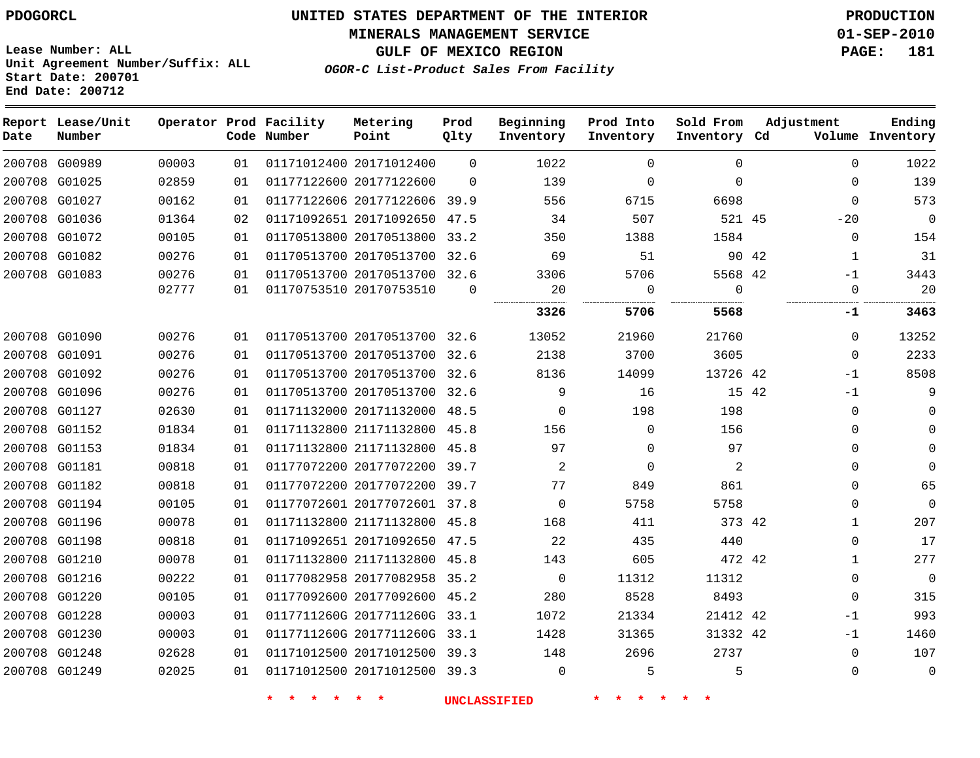**MINERALS MANAGEMENT SERVICE 01-SEP-2010**

**GULF OF MEXICO REGION PAGE: 181**

**Lease Number: ALL Unit Agreement Number/Suffix: ALL Start Date: 200701 End Date: 200712**

**OGOR-C List-Product Sales From Facility**

| Date | Report Lease/Unit<br>Number |       |    | Operator Prod Facility<br>Code Number | Metering<br>Point            | Prod<br>Qlty | Beginning<br>Inventory | Prod Into<br>Inventory | Sold From<br>Inventory Cd | Adjustment |              | Ending<br>Volume Inventory |
|------|-----------------------------|-------|----|---------------------------------------|------------------------------|--------------|------------------------|------------------------|---------------------------|------------|--------------|----------------------------|
|      | 200708 G00989               | 00003 | 01 |                                       | 01171012400 20171012400      | $\Omega$     | 1022                   | $\mathbf 0$            | $\mathbf 0$               |            | $\mathbf 0$  | 1022                       |
|      | 200708 G01025               | 02859 | 01 |                                       | 01177122600 20177122600      | $\Omega$     | 139                    | 0                      | $\Omega$                  |            | $\Omega$     | 139                        |
|      | 200708 G01027               | 00162 | 01 |                                       | 01177122606 20177122606 39.9 |              | 556                    | 6715                   | 6698                      |            | $\mathbf 0$  | 573                        |
|      | 200708 G01036               | 01364 | 02 |                                       | 01171092651 20171092650 47.5 |              | 34                     | 507                    | 521 45                    |            | $-20$        | $\mathbf 0$                |
|      | 200708 G01072               | 00105 | 01 |                                       | 01170513800 20170513800      | 33.2         | 350                    | 1388                   | 1584                      |            | 0            | 154                        |
|      | 200708 G01082               | 00276 | 01 |                                       | 01170513700 20170513700 32.6 |              | 69                     | 51                     |                           | 90 42      | 1            | 31                         |
|      | 200708 G01083               | 00276 | 01 |                                       | 01170513700 20170513700 32.6 |              | 3306                   | 5706                   | 5568 42                   |            | $-1$         | 3443                       |
|      |                             | 02777 | 01 |                                       | 01170753510 20170753510      | $\Omega$     | 20                     | 0                      | $\mathbf 0$               |            | $\mathbf 0$  | 20                         |
|      |                             |       |    |                                       |                              |              | 3326                   | 5706                   | 5568                      |            | -1           | 3463                       |
|      | 200708 G01090               | 00276 | 01 |                                       | 01170513700 20170513700      | 32.6         | 13052                  | 21960                  | 21760                     |            | $\Omega$     | 13252                      |
|      | 200708 G01091               | 00276 | 01 |                                       | 01170513700 20170513700 32.6 |              | 2138                   | 3700                   | 3605                      |            | $\mathbf 0$  | 2233                       |
|      | 200708 G01092               | 00276 | 01 |                                       | 01170513700 20170513700      | 32.6         | 8136                   | 14099                  | 13726 42                  |            | $-1$         | 8508                       |
|      | 200708 G01096               | 00276 | 01 |                                       | 01170513700 20170513700 32.6 |              | 9                      | 16                     | 15 42                     |            | $-1$         | 9                          |
|      | 200708 G01127               | 02630 | 01 |                                       | 01171132000 20171132000      | 48.5         | $\Omega$               | 198                    | 198                       |            | $\mathbf 0$  | $\Omega$                   |
|      | 200708 G01152               | 01834 | 01 |                                       | 01171132800 21171132800 45.8 |              | 156                    | $\mathbf 0$            | 156                       |            | $\mathbf 0$  | $\Omega$                   |
|      | 200708 G01153               | 01834 | 01 |                                       | 01171132800 21171132800      | 45.8         | 97                     | $\mathbf 0$            | 97                        |            | $\mathbf 0$  | $\Omega$                   |
|      | 200708 G01181               | 00818 | 01 |                                       | 01177072200 20177072200      | 39.7         | $\overline{c}$         | $\Omega$               | 2                         |            | $\Omega$     | $\Omega$                   |
|      | 200708 G01182               | 00818 | 01 |                                       | 01177072200 20177072200      | 39.7         | 77                     | 849                    | 861                       |            | $\Omega$     | 65                         |
|      | 200708 G01194               | 00105 | 01 |                                       | 01177072601 20177072601 37.8 |              | $\Omega$               | 5758                   | 5758                      |            | $\mathbf 0$  | $\Omega$                   |
|      | 200708 G01196               | 00078 | 01 |                                       | 01171132800 21171132800 45.8 |              | 168                    | 411                    | 373 42                    |            | 1            | 207                        |
|      | 200708 G01198               | 00818 | 01 |                                       | 01171092651 20171092650      | 47.5         | 22                     | 435                    | 440                       |            | 0            | 17                         |
|      | 200708 G01210               | 00078 | 01 |                                       | 01171132800 21171132800 45.8 |              | 143                    | 605                    | 472 42                    |            | $\mathbf{1}$ | 277                        |
|      | 200708 G01216               | 00222 | 01 |                                       | 01177082958 20177082958      | 35.2         | $\mathbf 0$            | 11312                  | 11312                     |            | 0            | $\mathbf 0$                |
|      | 200708 G01220               | 00105 | 01 |                                       | 01177092600 20177092600 45.2 |              | 280                    | 8528                   | 8493                      |            | $\mathbf 0$  | 315                        |
|      | 200708 G01228               | 00003 | 01 |                                       | 0117711260G 2017711260G      | 33.1         | 1072                   | 21334                  | 21412 42                  |            | $-1$         | 993                        |
|      | 200708 G01230               | 00003 | 01 |                                       | 0117711260G 2017711260G 33.1 |              | 1428                   | 31365                  | 31332 42                  |            | $-1$         | 1460                       |
|      | 200708 G01248               | 02628 | 01 |                                       | 01171012500 20171012500      | 39.3         | 148                    | 2696                   | 2737                      |            | $\Omega$     | 107                        |
|      | 200708 G01249               | 02025 | 01 |                                       | 01171012500 20171012500 39.3 |              | $\Omega$               | 5                      | 5                         |            | $\mathbf 0$  | $\mathbf 0$                |
|      |                             |       |    |                                       |                              |              |                        |                        |                           |            |              |                            |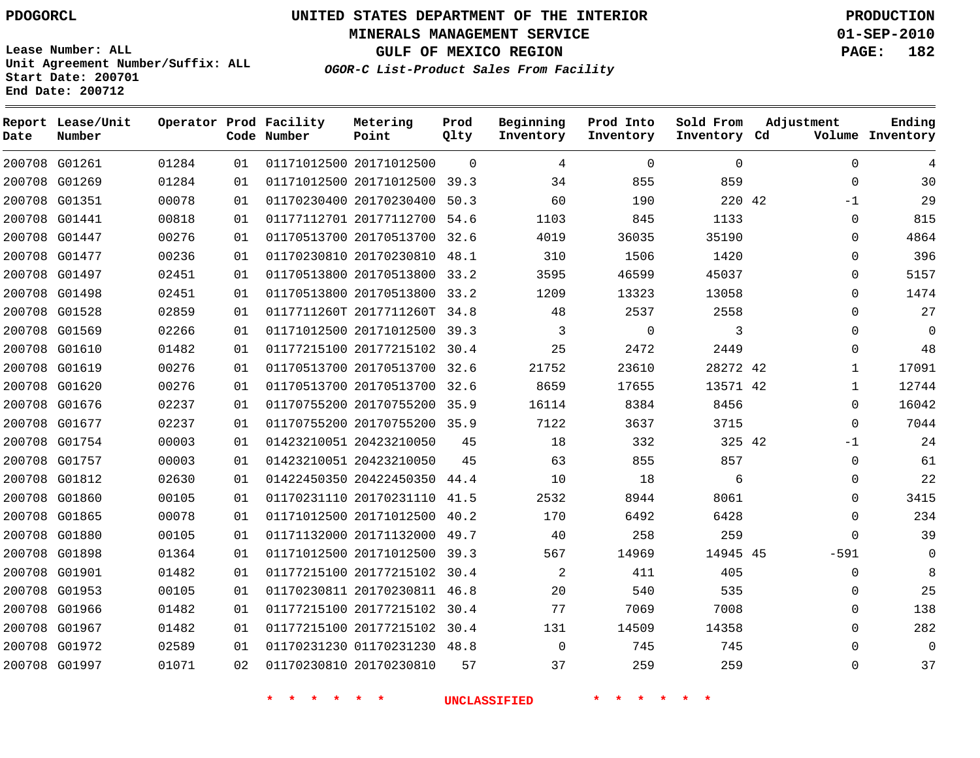**MINERALS MANAGEMENT SERVICE 01-SEP-2010**

**GULF OF MEXICO REGION PAGE: 182**

**Lease Number: ALL Unit Agreement Number/Suffix: ALL Start Date: 200701 End Date: 200712**

**OGOR-C List-Product Sales From Facility**

| Date | Report Lease/Unit<br>Number |       |    | Operator Prod Facility<br>Code Number | Metering<br>Point            | Prod<br>Qlty | Beginning<br>Inventory | Prod Into<br>Inventory | Sold From<br>Inventory Cd | Adjustment   | Ending<br>Volume Inventory |
|------|-----------------------------|-------|----|---------------------------------------|------------------------------|--------------|------------------------|------------------------|---------------------------|--------------|----------------------------|
|      | 200708 G01261               | 01284 | 01 |                                       | 01171012500 20171012500      | $\Omega$     | 4                      | $\Omega$               | $\Omega$                  | $\Omega$     |                            |
|      | 200708 G01269               | 01284 | 01 |                                       | 01171012500 20171012500      | 39.3         | 34                     | 855                    | 859                       | $\Omega$     | 30                         |
|      | 200708 G01351               | 00078 | 01 |                                       | 01170230400 20170230400      | 50.3         | 60                     | 190                    | 220 42                    | $-1$         | 29                         |
|      | 200708 G01441               | 00818 | 01 |                                       | 01177112701 20177112700      | 54.6         | 1103                   | 845                    | 1133                      | $\mathbf 0$  | 815                        |
|      | 200708 G01447               | 00276 | 01 |                                       | 01170513700 20170513700      | 32.6         | 4019                   | 36035                  | 35190                     | $\Omega$     | 4864                       |
|      | 200708 G01477               | 00236 | 01 |                                       | 01170230810 20170230810      | 48.1         | 310                    | 1506                   | 1420                      | $\Omega$     | 396                        |
|      | 200708 G01497               | 02451 | 01 |                                       | 01170513800 20170513800 33.2 |              | 3595                   | 46599                  | 45037                     | $\Omega$     | 5157                       |
|      | 200708 G01498               | 02451 | 01 |                                       | 01170513800 20170513800      | 33.2         | 1209                   | 13323                  | 13058                     | $\Omega$     | 1474                       |
|      | 200708 G01528               | 02859 | 01 |                                       | 0117711260T 2017711260T 34.8 |              | 48                     | 2537                   | 2558                      | $\Omega$     | 27                         |
|      | 200708 G01569               | 02266 | 01 |                                       | 01171012500 20171012500      | 39.3         | 3                      | $\mathbf 0$            | 3                         | $\Omega$     | 0                          |
|      | 200708 G01610               | 01482 | 01 |                                       | 01177215100 20177215102 30.4 |              | 25                     | 2472                   | 2449                      | $\Omega$     | 48                         |
|      | 200708 G01619               | 00276 | 01 |                                       | 01170513700 20170513700      | 32.6         | 21752                  | 23610                  | 28272 42                  | $\mathbf{1}$ | 17091                      |
|      | 200708 G01620               | 00276 | 01 |                                       | 01170513700 20170513700 32.6 |              | 8659                   | 17655                  | 13571 42                  | $\mathbf 1$  | 12744                      |
|      | 200708 G01676               | 02237 | 01 |                                       | 01170755200 20170755200 35.9 |              | 16114                  | 8384                   | 8456                      | $\Omega$     | 16042                      |
|      | 200708 G01677               | 02237 | 01 |                                       | 01170755200 20170755200 35.9 |              | 7122                   | 3637                   | 3715                      | $\Omega$     | 7044                       |
|      | 200708 G01754               | 00003 | 01 |                                       | 01423210051 20423210050      | 45           | 18                     | 332                    | 325 42                    | $-1$         | 24                         |
|      | 200708 G01757               | 00003 | 01 |                                       | 01423210051 20423210050      | 45           | 63                     | 855                    | 857                       | $\Omega$     | 61                         |
|      | 200708 G01812               | 02630 | 01 |                                       | 01422450350 20422450350 44.4 |              | 10                     | 18                     | 6                         | $\Omega$     | 22                         |
|      | 200708 G01860               | 00105 | 01 |                                       | 01170231110 20170231110 41.5 |              | 2532                   | 8944                   | 8061                      | $\Omega$     | 3415                       |
|      | 200708 G01865               | 00078 | 01 |                                       | 01171012500 20171012500      | 40.2         | 170                    | 6492                   | 6428                      | $\Omega$     | 234                        |
|      | 200708 G01880               | 00105 | 01 |                                       | 01171132000 20171132000 49.7 |              | 40                     | 258                    | 259                       | $\Omega$     | 39                         |
|      | 200708 G01898               | 01364 | 01 |                                       | 01171012500 20171012500 39.3 |              | 567                    | 14969                  | 14945 45                  | $-591$       | 0                          |
|      | 200708 G01901               | 01482 | 01 |                                       | 01177215100 20177215102 30.4 |              | 2                      | 411                    | 405                       | 0            | 8                          |
|      | 200708 G01953               | 00105 | 01 |                                       | 01170230811 20170230811 46.8 |              | 20                     | 540                    | 535                       | 0            | 25                         |
|      | 200708 G01966               | 01482 | 01 |                                       | 01177215100 20177215102 30.4 |              | 77                     | 7069                   | 7008                      | $\Omega$     | 138                        |
|      | 200708 G01967               | 01482 | 01 |                                       | 01177215100 20177215102 30.4 |              | 131                    | 14509                  | 14358                     | 0            | 282                        |
|      | 200708 G01972               | 02589 | 01 |                                       | 01170231230 01170231230 48.8 |              | $\mathbf 0$            | 745                    | 745                       |              | 0                          |
|      | 200708 G01997               | 01071 | 02 |                                       | 01170230810 20170230810      | 57           | 37                     | 259                    | 259                       | $\Omega$     | 37                         |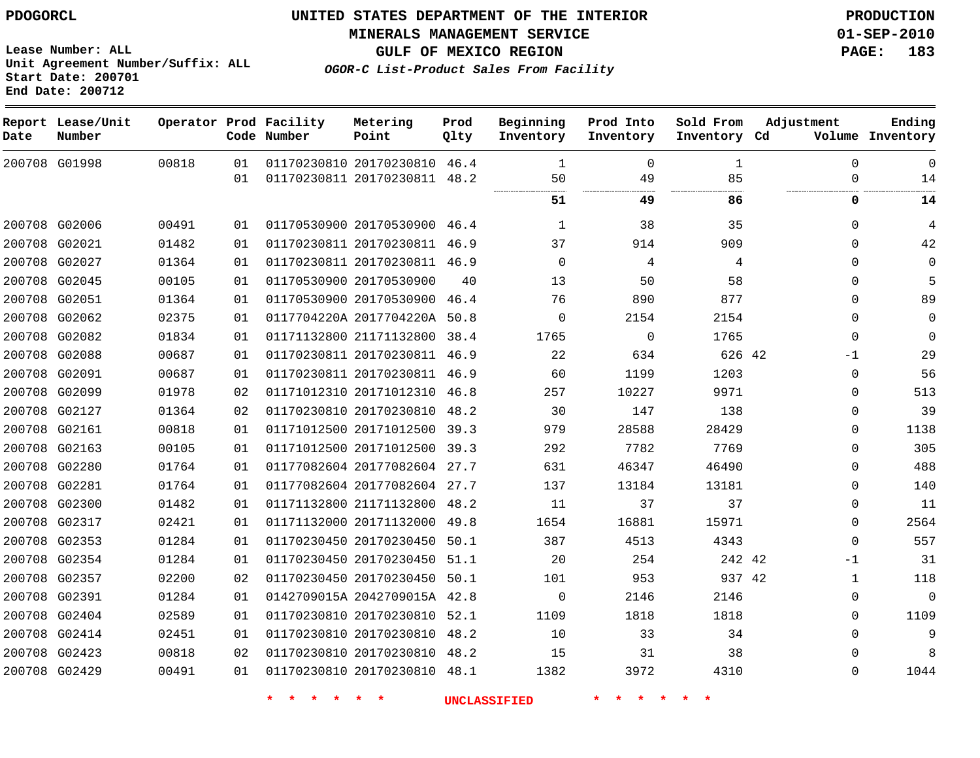**MINERALS MANAGEMENT SERVICE 01-SEP-2010**

**GULF OF MEXICO REGION PAGE: 183**

**Ending**

**OGOR-C List-Product Sales From Facility Lease Number: ALL Unit Agreement Number/Suffix: ALL Start Date: 200701 End Date: 200712 Report Lease/Unit Date Number Operator Prod Facility Metering Code Number Point Prod**  $Q$ **Beginning Prod Into Sold From Adjustment Inventory**

| Date | Number        |       |    | Code Number | Point                        | Qlty | Inventory | Inventory      | Inventory Cd |          | Volume Inventory |
|------|---------------|-------|----|-------------|------------------------------|------|-----------|----------------|--------------|----------|------------------|
|      | 200708 G01998 | 00818 | 01 |             | 01170230810 20170230810 46.4 |      | 1         | $\Omega$       | 1            | $\Omega$ | $\mathbf 0$      |
|      |               |       | 01 |             | 01170230811 20170230811 48.2 |      | 50        | 49             | 85<br>.      |          | 14               |
|      |               |       |    |             |                              |      | 51        | 49             | 86           | 0        | 14               |
|      | 200708 G02006 | 00491 | 01 |             | 01170530900 20170530900      | 46.4 | 1         | 38             | 35           | $\Omega$ | 4                |
|      | 200708 G02021 | 01482 | 01 |             | 01170230811 20170230811 46.9 |      | 37        | 914            | 909          | $\Omega$ | 42               |
|      | 200708 G02027 | 01364 | 01 |             | 01170230811 20170230811 46.9 |      | 0         | $\overline{4}$ | 4            | $\Omega$ | $\mathbf 0$      |
|      | 200708 G02045 | 00105 | 01 |             | 01170530900 20170530900      | 40   | 13        | 50             | 58           | $\Omega$ | 5                |
|      | 200708 G02051 | 01364 | 01 |             | 01170530900 20170530900      | 46.4 | 76        | 890            | 877          | $\Omega$ | 89               |
|      | 200708 G02062 | 02375 | 01 |             | 0117704220A 2017704220A 50.8 |      | 0         | 2154           | 2154         | $\Omega$ | $\mathbf 0$      |
|      | 200708 G02082 | 01834 | 01 |             | 01171132800 21171132800      | 38.4 | 1765      | $\Omega$       | 1765         | $\Omega$ | $\mathbf 0$      |
|      | 200708 G02088 | 00687 | 01 |             | 01170230811 20170230811 46.9 |      | 22        | 634            | 626 42       | -1       | 29               |
|      | 200708 G02091 | 00687 | 01 |             | 01170230811 20170230811 46.9 |      | 60        | 1199           | 1203         | 0        | 56               |
|      | 200708 G02099 | 01978 | 02 |             | 01171012310 20171012310      | 46.8 | 257       | 10227          | 9971         | 0        | 513              |
|      | 200708 G02127 | 01364 | 02 |             | 01170230810 20170230810      | 48.2 | 30        | 147            | 138          | $\Omega$ | 39               |
|      | 200708 G02161 | 00818 | 01 |             | 01171012500 20171012500      | 39.3 | 979       | 28588          | 28429        | $\Omega$ | 1138             |
|      | 200708 G02163 | 00105 | 01 |             | 01171012500 20171012500      | 39.3 | 292       | 7782           | 7769         | 0        | 305              |
|      | 200708 G02280 | 01764 | 01 |             | 01177082604 20177082604 27.7 |      | 631       | 46347          | 46490        | 0        | 488              |
|      | 200708 G02281 | 01764 | 01 |             | 01177082604 20177082604 27.7 |      | 137       | 13184          | 13181        | 0        | 140              |
|      | 200708 G02300 | 01482 | 01 |             | 01171132800 21171132800      | 48.2 | 11        | 37             | 37           | $\Omega$ | 11               |
|      | 200708 G02317 | 02421 | 01 |             | 01171132000 20171132000      | 49.8 | 1654      | 16881          | 15971        | $\Omega$ | 2564             |
|      | 200708 G02353 | 01284 | 01 |             | 01170230450 20170230450      | 50.1 | 387       | 4513           | 4343         | $\Omega$ | 557              |
|      | 200708 G02354 | 01284 | 01 |             | 01170230450 20170230450      | 51.1 | 20        | 254            | 242 42       | -1       | 31               |
|      | 200708 G02357 | 02200 | 02 |             | 01170230450 20170230450      | 50.1 | 101       | 953            | 937 42       | 1        | 118              |
|      | 200708 G02391 | 01284 | 01 |             | 0142709015A 2042709015A 42.8 |      | 0         | 2146           | 2146         | $\Omega$ | $\Omega$         |
|      | 200708 G02404 | 02589 | 01 |             | 01170230810 20170230810      | 52.1 | 1109      | 1818           | 1818         | $\Omega$ | 1109             |
|      | 200708 G02414 | 02451 | 01 |             | 01170230810 20170230810      | 48.2 | 10        | 33             | 34           | $\Omega$ | 9                |
|      | 200708 G02423 | 00818 | 02 |             | 01170230810 20170230810      | 48.2 | 15        | 31             | 38           | $\Omega$ | 8                |
|      | 200708 G02429 | 00491 | 01 |             | 01170230810 20170230810 48.1 |      | 1382      | 3972           | 4310         | 0        | 1044             |
|      |               |       |    |             |                              |      |           |                |              |          |                  |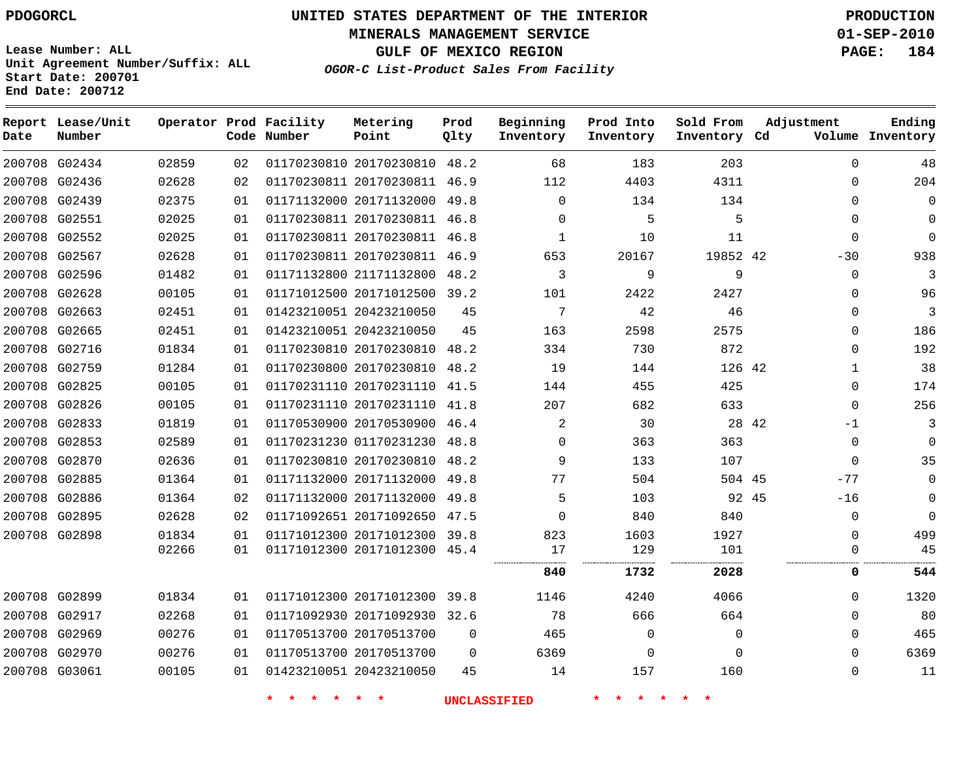**Start Date: 200701 End Date: 200712**

# **UNITED STATES DEPARTMENT OF THE INTERIOR PDOGORCL PRODUCTION**

**MINERALS MANAGEMENT SERVICE 01-SEP-2010**

**GULF OF MEXICO REGION PAGE: 184**

**OGOR-C List-Product Sales From Facility Unit Agreement Number/Suffix: ALL**

| Date | Report Lease/Unit<br>Number |       |    | Operator Prod Facility<br>Code Number | Metering<br>Point            | Prod<br>Qlty | Beginning<br>Inventory | Prod Into<br>Inventory | Sold From<br>Inventory Cd | Adjustment   | Ending<br>Volume Inventory |
|------|-----------------------------|-------|----|---------------------------------------|------------------------------|--------------|------------------------|------------------------|---------------------------|--------------|----------------------------|
|      | 200708 G02434               | 02859 | 02 |                                       | 01170230810 20170230810 48.2 |              | 68                     | 183                    | 203                       | $\Omega$     | 48                         |
|      | 200708 G02436               | 02628 | 02 |                                       | 01170230811 20170230811 46.9 |              | 112                    | 4403                   | 4311                      | $\Omega$     | 204                        |
|      | 200708 G02439               | 02375 | 01 |                                       | 01171132000 20171132000      | 49.8         | 0                      | 134                    | 134                       | 0            | $\mathbf 0$                |
|      | 200708 G02551               | 02025 | 01 |                                       | 01170230811 20170230811 46.8 |              | $\Omega$               | 5                      | 5                         | $\Omega$     | $\Omega$                   |
|      | 200708 G02552               | 02025 | 01 |                                       | 01170230811 20170230811 46.8 |              | 1                      | 10                     | 11                        | $\Omega$     | $\mathbf 0$                |
|      | 200708 G02567               | 02628 | 01 |                                       | 01170230811 20170230811 46.9 |              | 653                    | 20167                  | 19852 42                  | $-30$        | 938                        |
|      | 200708 G02596               | 01482 | 01 |                                       | 01171132800 21171132800      | 48.2         | 3                      | 9                      | 9                         | $\Omega$     | $\overline{3}$             |
|      | 200708 G02628               | 00105 | 01 |                                       | 01171012500 20171012500      | 39.2         | 101                    | 2422                   | 2427                      | $\Omega$     | 96                         |
|      | 200708 G02663               | 02451 | 01 |                                       | 01423210051 20423210050      | 45           | 7                      | 42                     | 46                        | $\Omega$     | $\overline{3}$             |
|      | 200708 G02665               | 02451 | 01 |                                       | 01423210051 20423210050      | 45           | 163                    | 2598                   | 2575                      | $\Omega$     | 186                        |
|      | 200708 G02716               | 01834 | 01 |                                       | 01170230810 20170230810 48.2 |              | 334                    | 730                    | 872                       | $\Omega$     | 192                        |
|      | 200708 G02759               | 01284 | 01 |                                       | 01170230800 20170230810      | 48.2         | 19                     | 144                    | 126 42                    | 1            | 38                         |
|      | 200708 G02825               | 00105 | 01 |                                       | 01170231110 20170231110      | 41.5         | 144                    | 455                    | 425                       | $\Omega$     | 174                        |
|      | 200708 G02826               | 00105 | 01 |                                       | 01170231110 20170231110 41.8 |              | 207                    | 682                    | 633                       | $\Omega$     | 256                        |
|      | 200708 G02833               | 01819 | 01 |                                       | 01170530900 20170530900      | 46.4         | 2                      | 30                     | 28 42                     | $-1$         | 3                          |
|      | 200708 G02853               | 02589 | 01 |                                       | 01170231230 01170231230      | 48.8         | 0                      | 363                    | 363                       | $\Omega$     | $\mathbf 0$                |
|      | 200708 G02870               | 02636 | 01 |                                       | 01170230810 20170230810      | 48.2         | 9                      | 133                    | 107                       | $\Omega$     | 35                         |
|      | 200708 G02885               | 01364 | 01 |                                       | 01171132000 20171132000      | 49.8         | 77                     | 504                    | 504 45                    | $-77$        | $\mathbf 0$                |
|      | 200708 G02886               | 01364 | 02 |                                       | 01171132000 20171132000      | 49.8         | 5                      | 103                    | 92 45                     | -16          | $\Omega$                   |
|      | 200708 G02895               | 02628 | 02 |                                       | 01171092651 20171092650      | 47.5         | 0                      | 840                    | 840                       | $\mathbf 0$  | $\mathbf 0$                |
|      | 200708 G02898               | 01834 | 01 |                                       | 01171012300 20171012300      | 39.8         | 823                    | 1603                   | 1927                      | $\Omega$     | 499                        |
|      |                             | 02266 | 01 |                                       | 01171012300 20171012300 45.4 |              | 17                     | 129                    | 101                       | 0            | 45                         |
|      |                             |       |    |                                       |                              |              | 840                    | 1732                   | 2028                      | 0            | 544                        |
|      | 200708 G02899               | 01834 | 01 |                                       | 01171012300 20171012300      | 39.8         | 1146                   | 4240                   | 4066                      | $\Omega$     | 1320                       |
|      | 200708 G02917               | 02268 | 01 |                                       | 01171092930 20171092930      | 32.6         | 78                     | 666                    | 664                       | $\Omega$     | 80                         |
|      | 200708 G02969               | 00276 | 01 |                                       | 01170513700 20170513700      | 0            | 465                    | 0                      | 0                         | $\Omega$     | 465                        |
|      | 200708 G02970               | 00276 | 01 |                                       | 01170513700 20170513700      | $\Omega$     | 6369                   | $\mathbf 0$            | $\mathbf 0$               | $\Omega$     | 6369                       |
|      | 200708 G03061               | 00105 | 01 |                                       | 01423210051 20423210050      | 45           | 14                     | 157                    | 160                       | $\mathbf{0}$ | 11                         |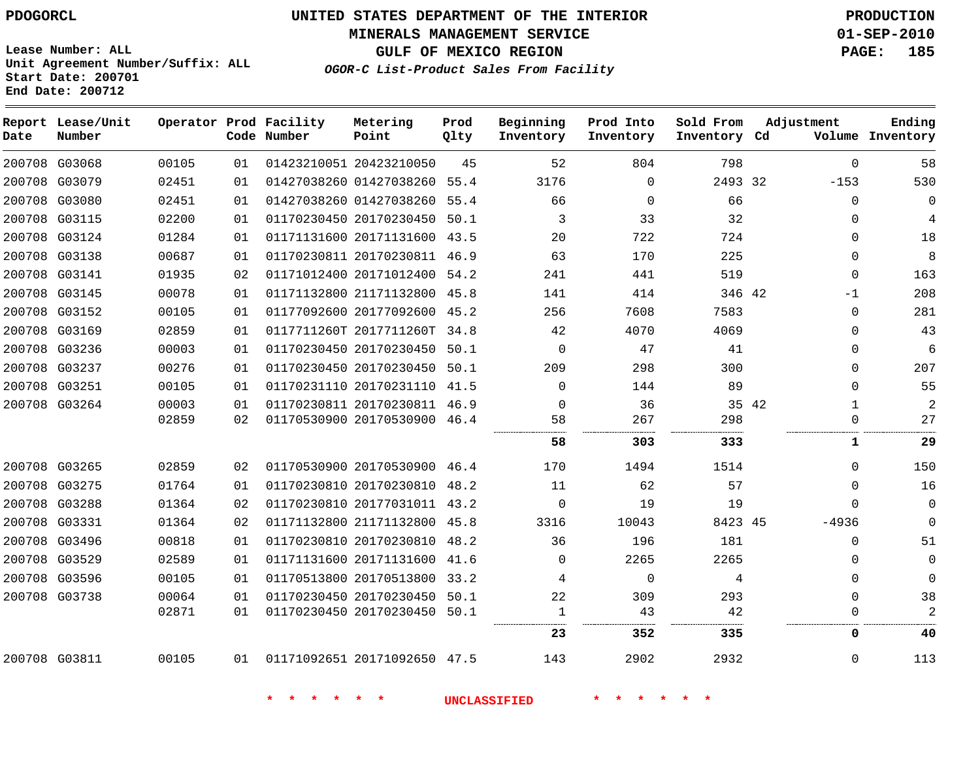## **MINERALS MANAGEMENT SERVICE 01-SEP-2010**

**GULF OF MEXICO REGION PAGE: 185**

**Lease Number: ALL Unit Agreement Number/Suffix: ALL Start Date: 200701 End Date: 200712**

**OGOR-C List-Product Sales From Facility**

| Date | Report Lease/Unit<br>Number |       |    | Operator Prod Facility<br>Code Number | Metering<br>Point            | Prod<br>Qlty | Beginning<br>Inventory | Prod Into<br>Inventory | Sold From<br>Inventory Cd | Adjustment            | Ending<br>Volume Inventory |
|------|-----------------------------|-------|----|---------------------------------------|------------------------------|--------------|------------------------|------------------------|---------------------------|-----------------------|----------------------------|
|      | 200708 G03068               | 00105 | 01 |                                       | 01423210051 20423210050      | 45           | 52                     | 804                    | 798                       | $\Omega$              | 58                         |
|      | 200708 G03079               | 02451 | 01 |                                       | 01427038260 01427038260      | 55.4         | 3176                   | $\Omega$               | 2493 32                   | $-153$                | 530                        |
|      | 200708 G03080               | 02451 | 01 |                                       | 01427038260 01427038260 55.4 |              | 66                     | $\Omega$               | 66                        | $\Omega$              | $\Omega$                   |
|      | 200708 G03115               | 02200 | 01 |                                       | 01170230450 20170230450 50.1 |              | 3                      | 33                     | 32                        | $\Omega$              | 4                          |
|      | 200708 G03124               | 01284 | 01 |                                       | 01171131600 20171131600 43.5 |              | 20                     | 722                    | 724                       | $\Omega$              | 18                         |
|      | 200708 G03138               | 00687 | 01 |                                       | 01170230811 20170230811 46.9 |              | 63                     | 170                    | 225                       | $\Omega$              | 8                          |
|      | 200708 G03141               | 01935 | 02 |                                       | 01171012400 20171012400 54.2 |              | 241                    | 441                    | 519                       | $\Omega$              | 163                        |
|      | 200708 G03145               | 00078 | 01 |                                       | 01171132800 21171132800 45.8 |              | 141                    | 414                    | 346 42                    | $-1$                  | 208                        |
|      | 200708 G03152               | 00105 | 01 |                                       | 01177092600 20177092600 45.2 |              | 256                    | 7608                   | 7583                      | $\Omega$              | 281                        |
|      | 200708 G03169               | 02859 | 01 |                                       | 0117711260T 2017711260T 34.8 |              | 42                     | 4070                   | 4069                      | $\Omega$              | 43                         |
|      | 200708 G03236               | 00003 | 01 |                                       | 01170230450 20170230450 50.1 |              | $\Omega$               | 47                     | 41                        | $\Omega$              | 6                          |
|      | 200708 G03237               | 00276 | 01 |                                       | 01170230450 20170230450 50.1 |              | 209                    | 298                    | 300                       | $\Omega$              | 207                        |
|      | 200708 G03251               | 00105 | 01 |                                       | 01170231110 20170231110 41.5 |              | $\Omega$               | 144                    | 89                        | $\Omega$              | 55                         |
|      | 200708 G03264               | 00003 | 01 |                                       | 01170230811 20170230811 46.9 |              | $\Omega$               | 36                     |                           | 35 42<br>$\mathbf{1}$ | $\overline{a}$             |
|      |                             | 02859 | 02 |                                       | 01170530900 20170530900 46.4 |              | 58                     | 267                    | 298                       | $\mathbf 0$           | 27                         |
|      |                             |       |    |                                       |                              |              | 58                     | 303                    | 333                       | $\mathbf{1}$          | 29                         |
|      | 200708 G03265               | 02859 | 02 |                                       | 01170530900 20170530900 46.4 |              | 170                    | 1494                   | 1514                      | $\Omega$              | 150                        |
|      | 200708 G03275               | 01764 | 01 |                                       | 01170230810 20170230810      | 48.2         | 11                     | 62                     | 57                        | $\Omega$              | 16                         |
|      | 200708 G03288               | 01364 | 02 |                                       | 01170230810 20177031011 43.2 |              | $\Omega$               | 19                     | 19                        | $\Omega$              | $\mathbf 0$                |
|      | 200708 G03331               | 01364 | 02 |                                       | 01171132800 21171132800 45.8 |              | 3316                   | 10043                  | 8423 45                   | $-4936$               | $\Omega$                   |
|      | 200708 G03496               | 00818 | 01 |                                       | 01170230810 20170230810 48.2 |              | 36                     | 196                    | 181                       | 0                     | 51                         |
|      | 200708 G03529               | 02589 | 01 |                                       | 01171131600 20171131600      | 41.6         | $\Omega$               | 2265                   | 2265                      | $\mathbf{0}$          | $\mathbf{0}$               |
|      | 200708 G03596               | 00105 | 01 |                                       | 01170513800 20170513800 33.2 |              | 4                      | $\mathbf 0$            | 4                         | 0                     | 0                          |
|      | 200708 G03738               | 00064 | 01 |                                       | 01170230450 20170230450 50.1 |              | 22                     | 309                    | 293                       | $\Omega$              | 38                         |
|      |                             | 02871 | 01 |                                       | 01170230450 20170230450 50.1 |              | $\mathbf 1$            | 43                     | 42                        | 0                     | $\overline{2}$             |
|      |                             |       |    |                                       |                              |              | 23                     | 352                    | 335                       | 0                     | 40                         |
|      | 200708 G03811               | 00105 | 01 | 01171092651 20171092650 47.5          |                              |              | 143                    | 2902                   | 2932                      | 0                     | 113                        |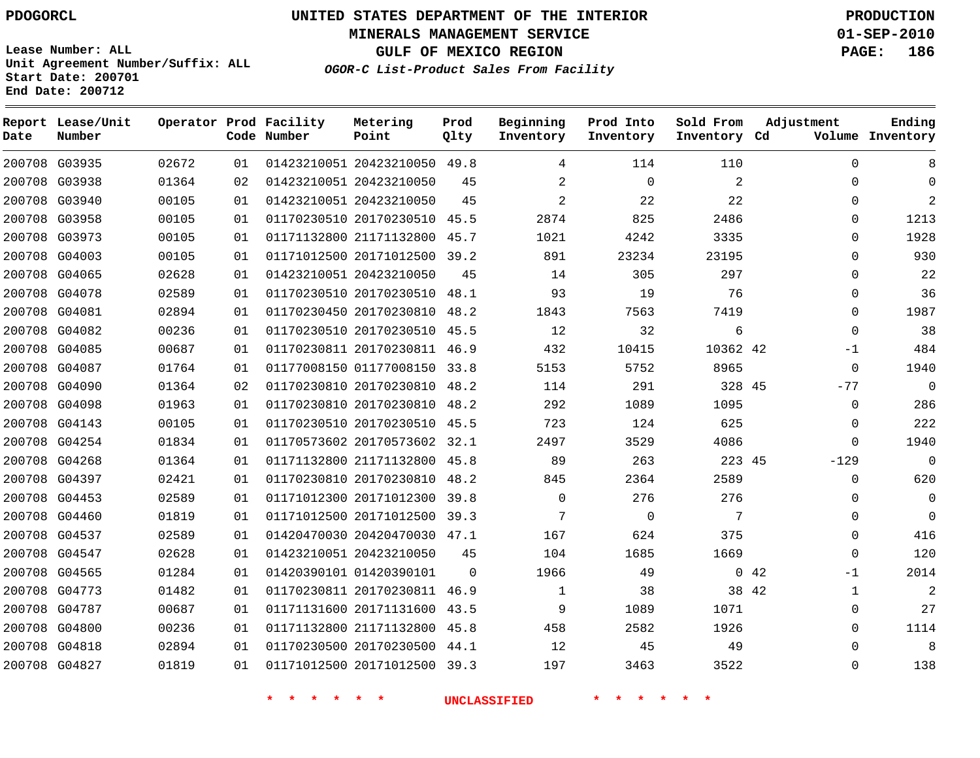**MINERALS MANAGEMENT SERVICE 01-SEP-2010**

**GULF OF MEXICO REGION PAGE: 186**

**Lease Number: ALL Unit Agreement Number/Suffix: ALL Start Date: 200701 End Date: 200712**

**OGOR-C List-Product Sales From Facility**

| Date | Report Lease/Unit<br>Number |       |    | Operator Prod Facility<br>Code Number | Metering<br>Point            | Prod<br>Qlty | Beginning<br>Inventory | Prod Into<br>Inventory | Sold From<br>Inventory Cd | Adjustment            | Ending<br>Volume Inventory |
|------|-----------------------------|-------|----|---------------------------------------|------------------------------|--------------|------------------------|------------------------|---------------------------|-----------------------|----------------------------|
|      | 200708 G03935               | 02672 | 01 |                                       | 01423210051 20423210050 49.8 |              | 4                      | 114                    | 110                       | $\Omega$              | 8                          |
|      | 200708 G03938               | 01364 | 02 |                                       | 01423210051 20423210050      | 45           | $\overline{2}$         | $\Omega$               | 2                         | $\Omega$              | $\Omega$                   |
|      | 200708 G03940               | 00105 | 01 |                                       | 01423210051 20423210050      | 45           | $\overline{2}$         | 22                     | 22                        | $\Omega$              | 2                          |
|      | 200708 G03958               | 00105 | 01 |                                       | 01170230510 20170230510 45.5 |              | 2874                   | 825                    | 2486                      | $\Omega$              | 1213                       |
|      | 200708 G03973               | 00105 | 01 |                                       | 01171132800 21171132800      | 45.7         | 1021                   | 4242                   | 3335                      | $\Omega$              | 1928                       |
|      | 200708 G04003               | 00105 | 01 |                                       | 01171012500 20171012500 39.2 |              | 891                    | 23234                  | 23195                     | $\Omega$              | 930                        |
|      | 200708 G04065               | 02628 | 01 |                                       | 01423210051 20423210050      | 45           | 14                     | 305                    | 297                       | $\mathbf 0$           | 22                         |
|      | 200708 G04078               | 02589 | 01 |                                       | 01170230510 20170230510      | 48.1         | 93                     | 19                     | 76                        | $\Omega$              | 36                         |
|      | 200708 G04081               | 02894 | 01 |                                       | 01170230450 20170230810      | 48.2         | 1843                   | 7563                   | 7419                      | $\Omega$              | 1987                       |
|      | 200708 G04082               | 00236 | 01 |                                       | 01170230510 20170230510 45.5 |              | 12                     | 32                     | 6                         | $\Omega$              | 38                         |
|      | 200708 G04085               | 00687 | 01 |                                       | 01170230811 20170230811      | 46.9         | 432                    | 10415                  | 10362 42                  | $-1$                  | 484                        |
|      | 200708 G04087               | 01764 | 01 |                                       | 01177008150 01177008150 33.8 |              | 5153                   | 5752                   | 8965                      | $\mathbf 0$           | 1940                       |
|      | 200708 G04090               | 01364 | 02 |                                       | 01170230810 20170230810      | 48.2         | 114                    | 291                    | 328 45                    | $-77$                 | $\mathbf 0$                |
|      | 200708 G04098               | 01963 | 01 |                                       | 01170230810 20170230810      | 48.2         | 292                    | 1089                   | 1095                      | $\mathbf 0$           | 286                        |
|      | 200708 G04143               | 00105 | 01 |                                       | 01170230510 20170230510 45.5 |              | 723                    | 124                    | 625                       | $\mathbf 0$           | 222                        |
|      | 200708 G04254               | 01834 | 01 |                                       | 01170573602 20170573602 32.1 |              | 2497                   | 3529                   | 4086                      | 0                     | 1940                       |
|      | 200708 G04268               | 01364 | 01 |                                       | 01171132800 21171132800      | 45.8         | 89                     | 263                    | 223 45                    | $-129$                | $\mathbf 0$                |
|      | 200708 G04397               | 02421 | 01 |                                       | 01170230810 20170230810      | 48.2         | 845                    | 2364                   | 2589                      | $\mathbf 0$           | 620                        |
|      | 200708 G04453               | 02589 | 01 |                                       | 01171012300 20171012300      | 39.8         | $\Omega$               | 276                    | 276                       | $\Omega$              | $\mathbf{0}$               |
|      | 200708 G04460               | 01819 | 01 |                                       | 01171012500 20171012500 39.3 |              | 7                      | 0                      | 7                         | 0                     | $\mathbf 0$                |
|      | 200708 G04537               | 02589 | 01 |                                       | 01420470030 20420470030 47.1 |              | 167                    | 624                    | 375                       | $\Omega$              | 416                        |
|      | 200708 G04547               | 02628 | 01 |                                       | 01423210051 20423210050      | 45           | 104                    | 1685                   | 1669                      | $\mathbf 0$           | 120                        |
|      | 200708 G04565               | 01284 | 01 |                                       | 01420390101 01420390101      | $\Omega$     | 1966                   | 49                     |                           | 0.42<br>$-1$          | 2014                       |
|      | 200708 G04773               | 01482 | 01 |                                       | 01170230811 20170230811      | 46.9         | $\mathbf 1$            | 38                     |                           | 38 42<br>$\mathbf{1}$ | $\overline{c}$             |
|      | 200708 G04787               | 00687 | 01 |                                       | 01171131600 20171131600      | 43.5         | 9                      | 1089                   | 1071                      | $\Omega$              | 27                         |
|      | 200708 G04800               | 00236 | 01 |                                       | 01171132800 21171132800      | 45.8         | 458                    | 2582                   | 1926                      | $\Omega$              | 1114                       |
|      | 200708 G04818               | 02894 | 01 |                                       | 01170230500 20170230500      | 44.1         | 12                     | 45                     | 49                        | $\Omega$              | 8                          |
|      | 200708 G04827               | 01819 | 01 |                                       | 01171012500 20171012500      | 39.3         | 197                    | 3463                   | 3522                      | $\Omega$              | 138                        |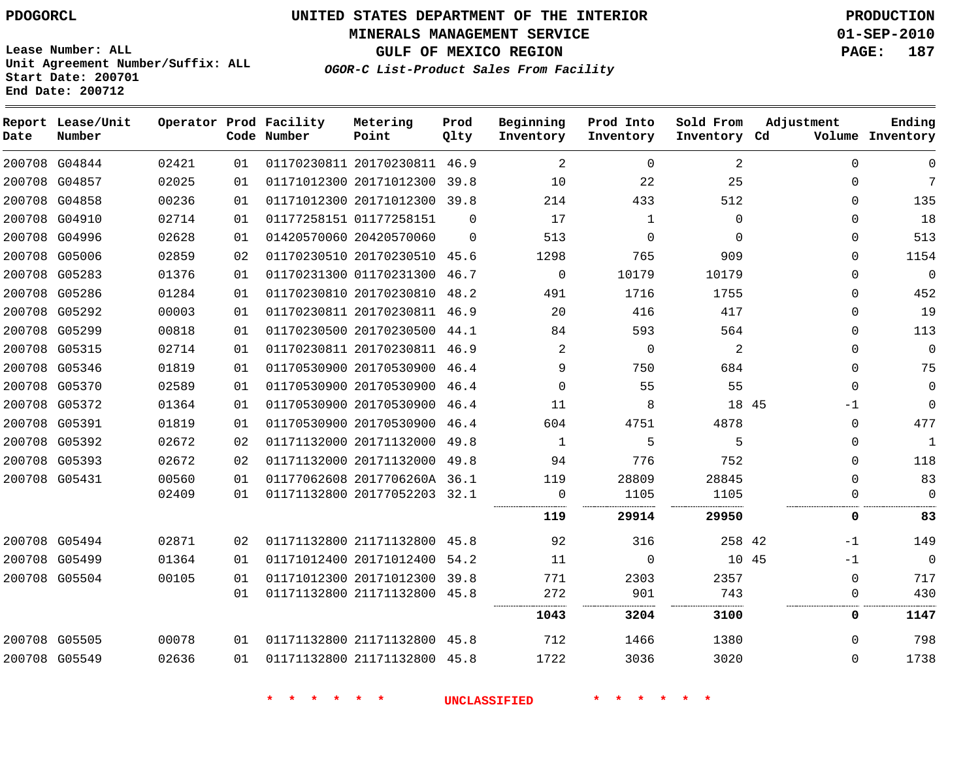**Date**

**Report Lease/Unit**

**Number**

# **UNITED STATES DEPARTMENT OF THE INTERIOR PDOGORCL PRODUCTION**

**MINERALS MANAGEMENT SERVICE 01-SEP-2010**

**GULF OF MEXICO REGION PAGE: 187**

**Lease Number: ALL Unit Agreement Number/Suffix: ALL Start Date: 200701 End Date: 200712**

**Operator Prod Facility**

**Code Number**

**OGOR-C List-Product Sales From Facility**

**Prod Qlty**

**Inventory**

**Metering Point**

**Inventory Cd Volume**

**Ending**

| 200708 G04844 | 02421 | 01 | 01170230811 20170230811 46.9 |          | 2        | $\Omega$    | 2        | $\Omega$ | $\Omega$     |
|---------------|-------|----|------------------------------|----------|----------|-------------|----------|----------|--------------|
| 200708 G04857 | 02025 | 01 | 01171012300 20171012300 39.8 |          | 10       | 22          | 25       | $\Omega$ | 7            |
| 200708 G04858 | 00236 | 01 | 01171012300 20171012300 39.8 |          | 214      | 433         | 512      | 0        | 135          |
| 200708 G04910 | 02714 | 01 | 01177258151 01177258151      | $\Omega$ | 17       | 1           | $\Omega$ | $\Omega$ | 18           |
| 200708 G04996 | 02628 | 01 | 01420570060 20420570060      | $\Omega$ | 513      | $\Omega$    | $\Omega$ | $\Omega$ | 513          |
| 200708 G05006 | 02859 | 02 | 01170230510 20170230510 45.6 |          | 1298     | 765         | 909      | $\Omega$ | 1154         |
| 200708 G05283 | 01376 | 01 | 01170231300 01170231300      | 46.7     | $\Omega$ | 10179       | 10179    | $\Omega$ | $\mathbf 0$  |
| 200708 G05286 | 01284 | 01 | 01170230810 20170230810 48.2 |          | 491      | 1716        | 1755     | 0        | 452          |
| 200708 G05292 | 00003 | 01 | 01170230811 20170230811 46.9 |          | 20       | 416         | 417      | $\Omega$ | 19           |
| 200708 G05299 | 00818 | 01 | 01170230500 20170230500 44.1 |          | 84       | 593         | 564      | $\Omega$ | 113          |
| 200708 G05315 | 02714 | 01 | 01170230811 20170230811 46.9 |          | 2        | $\mathbf 0$ | 2        | $\Omega$ | $\Omega$     |
| 200708 G05346 | 01819 | 01 | 01170530900 20170530900 46.4 |          | 9        | 750         | 684      | $\Omega$ | 75           |
| 200708 G05370 | 02589 | 01 | 01170530900 20170530900 46.4 |          | $\Omega$ | 55          | 55       | $\Omega$ | $\Omega$     |
| 200708 G05372 | 01364 | 01 | 01170530900 20170530900 46.4 |          | 11       | 8           | 18 45    | -1       | $\Omega$     |
| 200708 G05391 | 01819 | 01 | 01170530900 20170530900 46.4 |          | 604      | 4751        | 4878     | $\Omega$ | 477          |
| 200708 G05392 | 02672 | 02 | 01171132000 20171132000      | 49.8     | 1        | 5           | 5        | $\Omega$ | $\mathbf{1}$ |
| 200708 G05393 | 02672 | 02 | 01171132000 20171132000 49.8 |          | 94       | 776         | 752      | $\Omega$ | 118          |
| 200708 G05431 | 00560 | 01 | 01177062608 2017706260A 36.1 |          | 119      | 28809       | 28845    | $\Omega$ | 83           |
|               | 02409 | 01 | 01171132800 20177052203 32.1 |          | 0        | 1105        | 1105     |          | $\Omega$     |
|               |       |    |                              |          | 119      | 29914       | 29950    | 0        | 83           |
| 200708 G05494 | 02871 | 02 | 01171132800 21171132800 45.8 |          | 92       | 316         | 258 42   | $-1$     | 149          |
| 200708 G05499 | 01364 | 01 | 01171012400 20171012400      | 54.2     | 11       | $\Omega$    | 10 45    | -1       | $\mathbf 0$  |
| 200708 G05504 | 00105 | 01 | 01171012300 20171012300 39.8 |          | 771      | 2303        | 2357     | 0        | 717          |
|               |       | 01 | 01171132800 21171132800 45.8 |          | 272      | 901         | 743      | 0        | 430          |
|               |       |    |                              |          | 1043     | 3204        | 3100     | 0        | 1147         |
| 200708 G05505 | 00078 | 01 | 01171132800 21171132800 45.8 |          | 712      | 1466        | 1380     | $\Omega$ | 798          |
| 200708 G05549 | 02636 | 01 | 01171132800 21171132800 45.8 |          | 1722     | 3036        | 3020     | 0        | 1738         |
|               |       |    |                              |          |          |             |          |          |              |

**\* \* \* \* \* \* UNCLASSIFIED \* \* \* \* \* \***

**Beginning Prod Into Sold From Adjustment**

**Inventory**

**Inventory**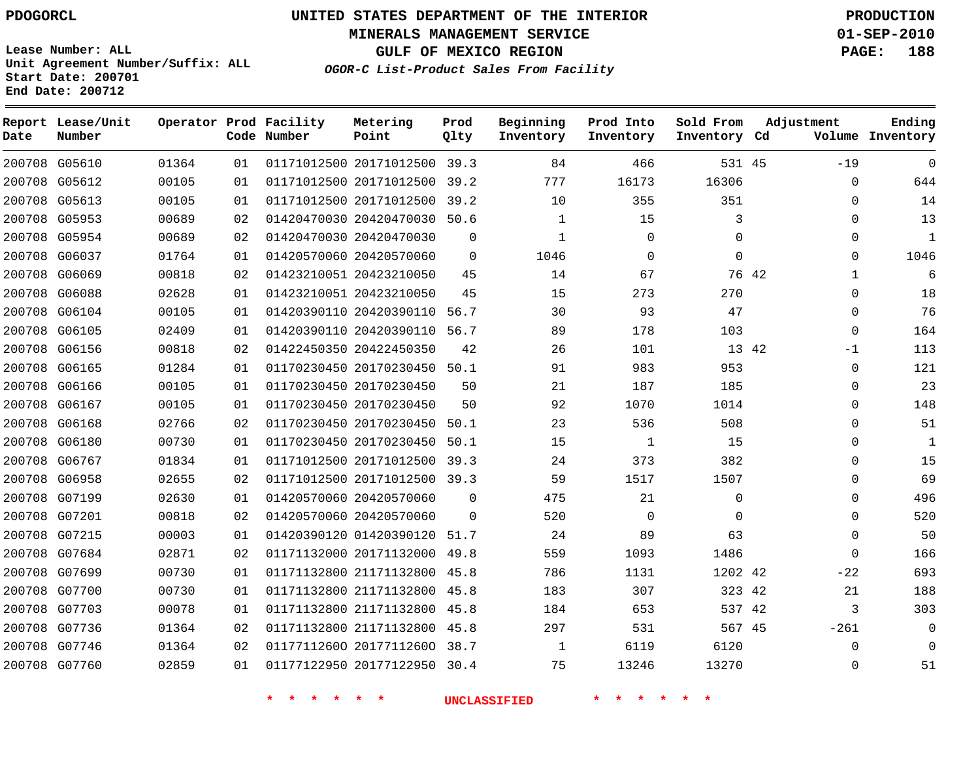**Start Date: 200701 End Date: 200712**

**Unit Agreement Number/Suffix: ALL**

# **UNITED STATES DEPARTMENT OF THE INTERIOR PDOGORCL PRODUCTION**

**MINERALS MANAGEMENT SERVICE 01-SEP-2010**

**GULF OF MEXICO REGION PAGE: 188**

**OGOR-C List-Product Sales From Facility**

| Date   | Report Lease/Unit<br>Number |       |    | Operator Prod Facility<br>Code Number | Metering<br>Point            | Prod<br>Qlty | Beginning<br>Inventory | Prod Into<br>Inventory | Sold From<br>Inventory Cd | Adjustment            | Ending<br>Volume Inventory |
|--------|-----------------------------|-------|----|---------------------------------------|------------------------------|--------------|------------------------|------------------------|---------------------------|-----------------------|----------------------------|
|        | 200708 G05610               | 01364 | 01 |                                       | 01171012500 20171012500 39.3 |              | 84                     | 466                    | 531 45                    | $-19$                 | $\overline{0}$             |
| 200708 | G05612                      | 00105 | 01 |                                       | 01171012500 20171012500      | 39.2         | 777                    | 16173                  | 16306                     | $\Omega$              | 644                        |
|        | 200708 G05613               | 00105 | 01 |                                       | 01171012500 20171012500      | 39.2         | 10                     | 355                    | 351                       | $\Omega$              | 14                         |
| 200708 | G05953                      | 00689 | 02 |                                       | 01420470030 20420470030      | 50.6         | $\mathbf{1}$           | 15                     | 3                         | $\mathbf 0$           | 13                         |
|        | 200708 G05954               | 00689 | 02 |                                       | 01420470030 20420470030      | $\Omega$     | $\mathbf{1}$           | $\Omega$               | $\Omega$                  | $\Omega$              | $\mathbf{1}$               |
|        | 200708 G06037               | 01764 | 01 |                                       | 01420570060 20420570060      | $\Omega$     | 1046                   | $\Omega$               | $\mathbf 0$               | $\Omega$              | 1046                       |
|        | 200708 G06069               | 00818 | 02 |                                       | 01423210051 20423210050      | 45           | 14                     | 67                     |                           | 76 42<br>$\mathbf{1}$ | 6                          |
|        | 200708 G06088               | 02628 | 01 |                                       | 01423210051 20423210050      | 45           | 15                     | 273                    | 270                       | $\Omega$              | 18                         |
|        | 200708 G06104               | 00105 | 01 |                                       | 01420390110 20420390110      | 56.7         | 30                     | 93                     | 47                        | $\Omega$              | 76                         |
| 200708 | G06105                      | 02409 | 01 |                                       | 01420390110 20420390110      | 56.7         | 89                     | 178                    | 103                       | $\mathbf 0$           | 164                        |
| 200708 | G06156                      | 00818 | 02 |                                       | 01422450350 20422450350      | 42           | 26                     | 101                    | 13 42                     | $-1$                  | 113                        |
| 200708 | G06165                      | 01284 | 01 |                                       | 01170230450 20170230450      | 50.1         | 91                     | 983                    | 953                       | $\Omega$              | 121                        |
| 200708 | G06166                      | 00105 | 01 |                                       | 01170230450 20170230450      | 50           | 21                     | 187                    | 185                       | $\mathbf 0$           | 23                         |
| 200708 | G06167                      | 00105 | 01 |                                       | 01170230450 20170230450      | 50           | 92                     | 1070                   | 1014                      | $\Omega$              | 148                        |
| 200708 | G06168                      | 02766 | 02 |                                       | 01170230450 20170230450      | 50.1         | 23                     | 536                    | 508                       | $\mathbf 0$           | 51                         |
|        | 200708 G06180               | 00730 | 01 |                                       | 01170230450 20170230450      | 50.1         | 15                     | $\mathbf{1}$           | 15                        | $\mathbf 0$           | $\mathbf{1}$               |
| 200708 | G06767                      | 01834 | 01 |                                       | 01171012500 20171012500      | 39.3         | 24                     | 373                    | 382                       | $\mathbf 0$           | 15                         |
|        | 200708 G06958               | 02655 | 02 |                                       | 01171012500 20171012500 39.3 |              | 59                     | 1517                   | 1507                      | $\mathbf 0$           | 69                         |
| 200708 | G07199                      | 02630 | 01 |                                       | 01420570060 20420570060      | $\mathbf 0$  | 475                    | 21                     | 0                         | $\mathbf 0$           | 496                        |
|        | 200708 G07201               | 00818 | 02 |                                       | 01420570060 20420570060      | $\Omega$     | 520                    | $\Omega$               | $\mathbf 0$               | $\Omega$              | 520                        |
|        | 200708 G07215               | 00003 | 01 |                                       | 01420390120 01420390120      | 51.7         | 24                     | 89                     | 63                        | $\Omega$              | 50                         |
|        | 200708 G07684               | 02871 | 02 |                                       | 01171132000 20171132000      | 49.8         | 559                    | 1093                   | 1486                      | $\Omega$              | 166                        |
| 200708 | G07699                      | 00730 | 01 |                                       | 01171132800 21171132800      | 45.8         | 786                    | 1131                   | 1202 42                   | $-22$                 | 693                        |
| 200708 | G07700                      | 00730 | 01 |                                       | 01171132800 21171132800      | 45.8         | 183                    | 307                    | 323 42                    | 21                    | 188                        |
| 200708 | G07703                      | 00078 | 01 |                                       | 01171132800 21171132800      | 45.8         | 184                    | 653                    | 537 42                    | 3                     | 303                        |
| 200708 | G07736                      | 01364 | 02 |                                       | 01171132800 21171132800      | 45.8         | 297                    | 531                    | 567 45                    | $-261$                | $\mathbf 0$                |
| 200708 | G07746                      | 01364 | 02 |                                       | 01177112600 20177112600      | 38.7         | $\mathbf{1}$           | 6119                   | 6120                      | $\Omega$              | $\mathbf 0$                |
|        | 200708 G07760               | 02859 | 01 |                                       | 01177122950 20177122950      | 30.4         | 75                     | 13246                  | 13270                     | $\Omega$              | 51                         |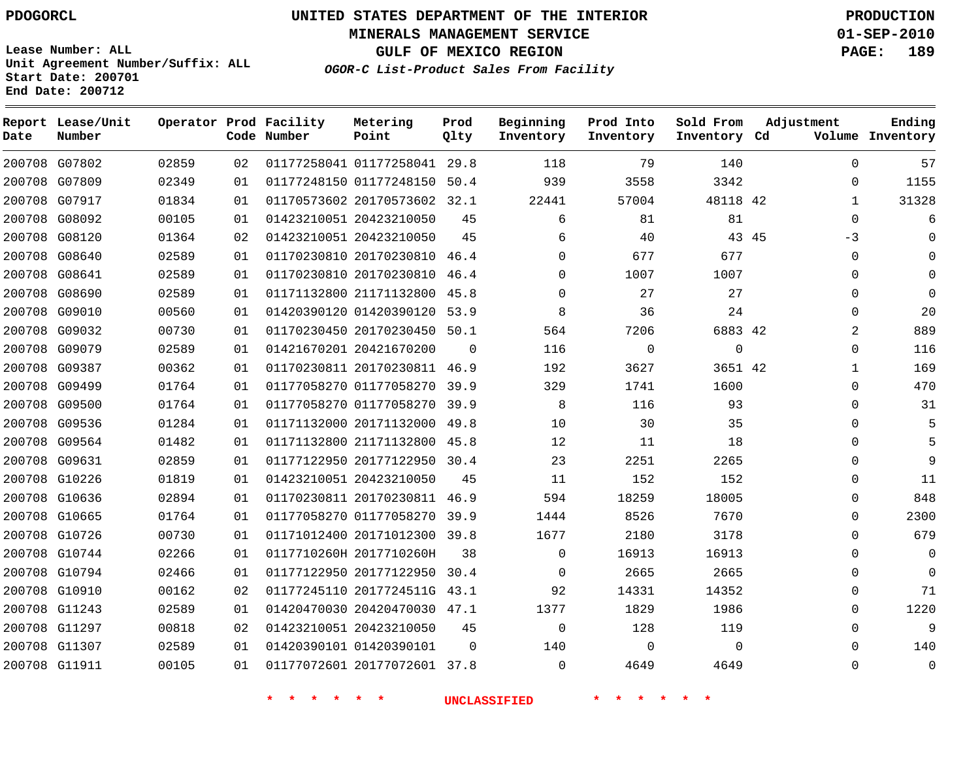**Start Date: 200701 End Date: 200712**

**Unit Agreement Number/Suffix: ALL**

# **UNITED STATES DEPARTMENT OF THE INTERIOR PDOGORCL PRODUCTION**

**MINERALS MANAGEMENT SERVICE 01-SEP-2010**

**GULF OF MEXICO REGION PAGE: 189**

**OGOR-C List-Product Sales From Facility**

| Date          | Report Lease/Unit<br>Number |       |    | Operator Prod Facility<br>Code Number | Metering<br>Point            | Prod<br>Qlty | Beginning<br>Inventory | Prod Into<br>Inventory | Sold From<br>Inventory Cd | Adjustment    | Ending<br>Volume Inventory |
|---------------|-----------------------------|-------|----|---------------------------------------|------------------------------|--------------|------------------------|------------------------|---------------------------|---------------|----------------------------|
|               | 200708 G07802               | 02859 | 02 |                                       | 01177258041 01177258041 29.8 |              | 118                    | 79                     | 140                       | 0             | 57                         |
| 200708        | G07809                      | 02349 | 01 |                                       | 01177248150 01177248150      | 50.4         | 939                    | 3558                   | 3342                      | $\Omega$      | 1155                       |
|               | 200708 G07917               | 01834 | 01 |                                       | 01170573602 20170573602      | 32.1         | 22441                  | 57004                  | 48118 42                  |               | 31328                      |
|               | 200708 G08092               | 00105 | 01 |                                       | 01423210051 20423210050      | 45           | 6                      | 81                     | 81                        | $\mathbf 0$   | 6                          |
|               | 200708 G08120               | 01364 | 02 |                                       | 01423210051 20423210050      | 45           | 6                      | 40                     |                           | 43 45<br>$-3$ | $\mathbf 0$                |
| 200708        | G08640                      | 02589 | 01 |                                       | 01170230810 20170230810      | 46.4         | $\Omega$               | 677                    | 677                       | $\mathbf 0$   | $\Omega$                   |
|               | 200708 G08641               | 02589 | 01 |                                       | 01170230810 20170230810      | 46.4         | $\Omega$               | 1007                   | 1007                      | $\Omega$      | $\mathbf 0$                |
|               | 200708 G08690               | 02589 | 01 |                                       | 01171132800 21171132800      | 45.8         | $\Omega$               | 27                     | 27                        | $\mathbf{0}$  | $\mathbf 0$                |
|               | 200708 G09010               | 00560 | 01 |                                       | 01420390120 01420390120      | 53.9         | 8                      | 36                     | 24                        | $\Omega$      | 20                         |
| 200708        | G09032                      | 00730 | 01 |                                       | 01170230450 20170230450      | 50.1         | 564                    | 7206                   | 6883 42                   | 2             | 889                        |
| 200708        | G09079                      | 02589 | 01 |                                       | 01421670201 20421670200      | $\mathbf 0$  | 116                    | $\mathbf 0$            | $\mathbf 0$               | $\mathbf{0}$  | 116                        |
| 200708        | G09387                      | 00362 | 01 |                                       | 01170230811 20170230811      | 46.9         | 192                    | 3627                   | 3651 42                   | 1             | 169                        |
| 200708        | G09499                      | 01764 | 01 |                                       | 01177058270 01177058270      | 39.9         | 329                    | 1741                   | 1600                      | 0             | 470                        |
|               | 200708 G09500               | 01764 | 01 |                                       | 01177058270 01177058270      | 39.9         | 8                      | 116                    | 93                        | $\mathbf{0}$  | 31                         |
| 200708        | G09536                      | 01284 | 01 |                                       | 01171132000 20171132000      | 49.8         | 10                     | 30                     | 35                        | $\Omega$      | 5                          |
|               | 200708 G09564               | 01482 | 01 |                                       | 01171132800 21171132800      | 45.8         | 12                     | 11                     | 18                        | $\Omega$      | 5                          |
|               | 200708 G09631               | 02859 | 01 |                                       | 01177122950 20177122950      | 30.4         | 23                     | 2251                   | 2265                      | 0             | 9                          |
|               | 200708 G10226               | 01819 | 01 |                                       | 01423210051 20423210050      | 45           | 11                     | 152                    | 152                       | $\mathbf{0}$  | 11                         |
|               | 200708 G10636               | 02894 | 01 |                                       | 01170230811 20170230811      | 46.9         | 594                    | 18259                  | 18005                     | 0             | 848                        |
|               | 200708 G10665               | 01764 | 01 |                                       | 01177058270 01177058270      | 39.9         | 1444                   | 8526                   | 7670                      | 0             | 2300                       |
|               | 200708 G10726               | 00730 | 01 |                                       | 01171012400 20171012300      | 39.8         | 1677                   | 2180                   | 3178                      | $\mathbf{0}$  | 679                        |
|               | 200708 G10744               | 02266 | 01 |                                       | 0117710260H 2017710260H      | 38           | $\Omega$               | 16913                  | 16913                     | $\Omega$      | $\Omega$                   |
| 200708        | G10794                      | 02466 | 01 |                                       | 01177122950 20177122950      | 30.4         | 0                      | 2665                   | 2665                      | 0             | $\mathbf 0$                |
|               | 200708 G10910               | 00162 | 02 |                                       | 01177245110 2017724511G      | 43.1         | 92                     | 14331                  | 14352                     | $\mathbf{0}$  | 71                         |
|               | 200708 G11243               | 02589 | 01 |                                       | 01420470030 20420470030      | 47.1         | 1377                   | 1829                   | 1986                      | $\Omega$      | 1220                       |
| 200708        | G11297                      | 00818 | 02 |                                       | 01423210051 20423210050      | 45           | 0                      | 128                    | 119                       | 0             | 9                          |
|               | 200708 G11307               | 02589 | 01 |                                       | 01420390101 01420390101      | $\Omega$     | 140                    | $\Omega$               | $\Omega$                  | $\Omega$      | 140                        |
| 200708 G11911 |                             | 00105 | 01 |                                       | 01177072601 20177072601 37.8 |              | $\Omega$               | 4649                   | 4649                      | $\Omega$      | $\Omega$                   |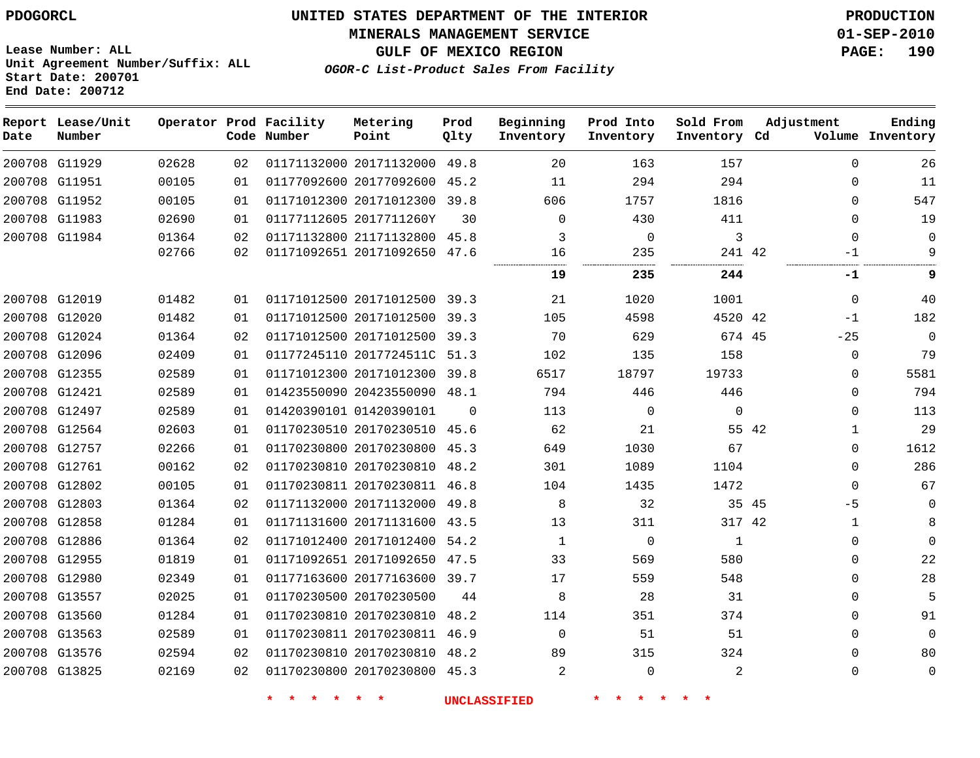**MINERALS MANAGEMENT SERVICE 01-SEP-2010**

**Lease Number: ALL Unit Agreement Number/Suffix: ALL Start Date: 200701 End Date: 200712**

**OGOR-C List-Product Sales From Facility**

**GULF OF MEXICO REGION PAGE: 190**

| Date | Report Lease/Unit<br>Number |       |    | Operator Prod Facility<br>Code Number | Metering<br>Point            | Prod<br>Qlty | Beginning<br>Inventory | Prod Into<br>Inventory | Sold From<br>Inventory Cd | Adjustment |              | Ending<br>Volume Inventory |
|------|-----------------------------|-------|----|---------------------------------------|------------------------------|--------------|------------------------|------------------------|---------------------------|------------|--------------|----------------------------|
|      | 200708 G11929               | 02628 | 02 |                                       | 01171132000 20171132000      | 49.8         | 20                     | 163                    | 157                       |            | $\Omega$     | 26                         |
|      | 200708 G11951               | 00105 | 01 |                                       | 01177092600 20177092600      | 45.2         | 11                     | 294                    | 294                       |            | $\Omega$     | 11                         |
|      | 200708 G11952               | 00105 | 01 |                                       | 01171012300 20171012300      | 39.8         | 606                    | 1757                   | 1816                      |            | 0            | 547                        |
|      | 200708 G11983               | 02690 | 01 |                                       | 01177112605 2017711260Y      | 30           | $\Omega$               | 430                    | 411                       |            | $\Omega$     | 19                         |
|      | 200708 G11984               | 01364 | 02 |                                       | 01171132800 21171132800      | 45.8         | 3                      | $\mathbf 0$            | 3                         |            | $\mathbf{0}$ | $\Omega$                   |
|      |                             | 02766 | 02 |                                       | 01171092651 20171092650 47.6 |              | 16                     | 235                    | 241 42                    |            | $-1$         | 9                          |
|      |                             |       |    |                                       |                              |              | 19                     | 235                    | 244                       |            | -1           | 9                          |
|      | 200708 G12019               | 01482 | 01 |                                       | 01171012500 20171012500      | 39.3         | 21                     | 1020                   | 1001                      |            | $\mathbf 0$  | 40                         |
|      | 200708 G12020               | 01482 | 01 |                                       | 01171012500 20171012500 39.3 |              | 105                    | 4598                   | 4520 42                   |            | $-1$         | 182                        |
|      | 200708 G12024               | 01364 | 02 |                                       | 01171012500 20171012500      | 39.3         | 70                     | 629                    | 674 45                    |            | $-25$        | $\Omega$                   |
|      | 200708 G12096               | 02409 | 01 |                                       | 01177245110 2017724511C 51.3 |              | 102                    | 135                    | 158                       |            | 0            | 79                         |
|      | 200708 G12355               | 02589 | 01 |                                       | 01171012300 20171012300      | 39.8         | 6517                   | 18797                  | 19733                     |            | $\Omega$     | 5581                       |
|      | 200708 G12421               | 02589 | 01 |                                       | 01423550090 20423550090      | 48.1         | 794                    | 446                    | 446                       |            | $\mathbf{0}$ | 794                        |
|      | 200708 G12497               | 02589 | 01 |                                       | 01420390101 01420390101      | $\Omega$     | 113                    | $\mathbf 0$            | $\mathbf{0}$              |            | $\Omega$     | 113                        |
|      | 200708 G12564               | 02603 | 01 |                                       | 01170230510 20170230510      | 45.6         | 62                     | 21                     |                           | 55 42      | $\mathbf{1}$ | 29                         |
|      | 200708 G12757               | 02266 | 01 |                                       | 01170230800 20170230800 45.3 |              | 649                    | 1030                   | 67                        |            | $\Omega$     | 1612                       |
|      | 200708 G12761               | 00162 | 02 |                                       | 01170230810 20170230810 48.2 |              | 301                    | 1089                   | 1104                      |            | $\Omega$     | 286                        |
|      | 200708 G12802               | 00105 | 01 |                                       | 01170230811 20170230811 46.8 |              | 104                    | 1435                   | 1472                      |            | $\Omega$     | 67                         |
|      | 200708 G12803               | 01364 | 02 |                                       | 01171132000 20171132000      | 49.8         | 8                      | 32                     | 35 45                     |            | $-5$         | $\mathbf 0$                |
|      | 200708 G12858               | 01284 | 01 |                                       | 01171131600 20171131600      | 43.5         | 13                     | 311                    | 317 42                    |            | $\mathbf{1}$ | 8                          |
|      | 200708 G12886               | 01364 | 02 |                                       | 01171012400 20171012400 54.2 |              | $\mathbf{1}$           | $\mathbf 0$            | 1                         |            | $\Omega$     | $\Omega$                   |
|      | 200708 G12955               | 01819 | 01 |                                       | 01171092651 20171092650      | 47.5         | 33                     | 569                    | 580                       |            | 0            | 22                         |
|      | 200708 G12980               | 02349 | 01 |                                       | 01177163600 20177163600 39.7 |              | 17                     | 559                    | 548                       |            | $\Omega$     | 28                         |
|      | 200708 G13557               | 02025 | 01 |                                       | 01170230500 20170230500      | 44           | 8                      | 28                     | 31                        |            | $\Omega$     | 5                          |
|      | 200708 G13560               | 01284 | 01 |                                       | 01170230810 20170230810      | 48.2         | 114                    | 351                    | 374                       |            | 0            | 91                         |
|      | 200708 G13563               | 02589 | 01 |                                       | 01170230811 20170230811      | 46.9         | $\mathbf 0$            | 51                     | 51                        |            | $\mathbf{0}$ | $\Omega$                   |
|      | 200708 G13576               | 02594 | 02 |                                       | 01170230810 20170230810      | 48.2         | 89                     | 315                    | 324                       |            | $\Omega$     | 80                         |
|      | 200708 G13825               | 02169 | 02 |                                       | 01170230800 20170230800 45.3 |              | 2                      | $\mathbf 0$            | 2                         |            | $\Omega$     | $\mathbf 0$                |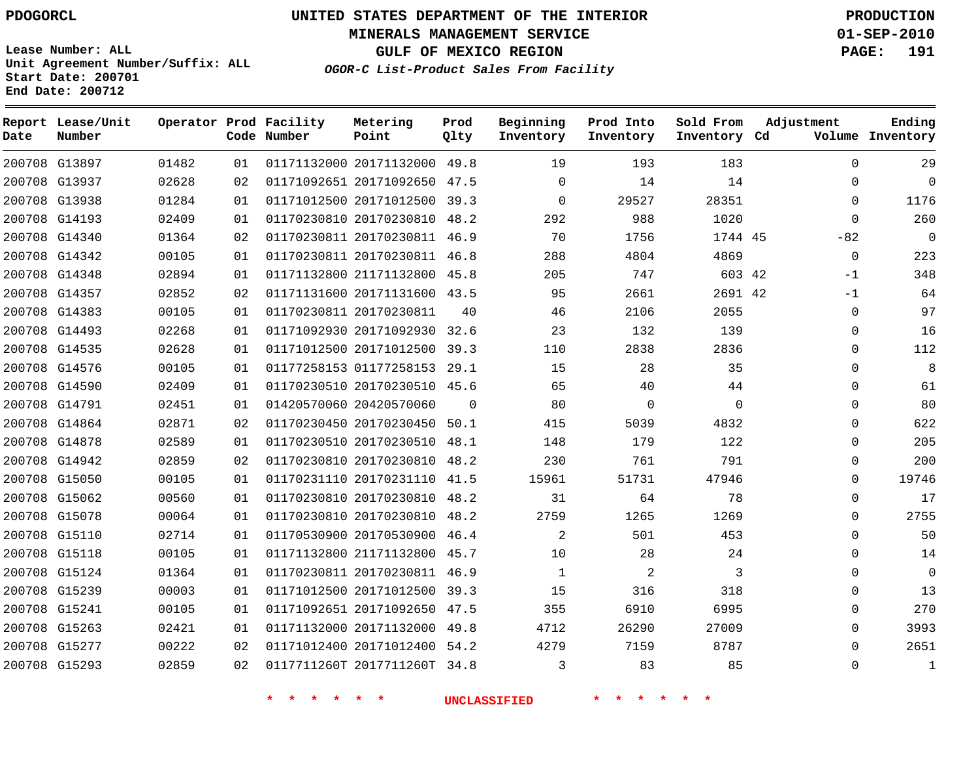**Start Date: 200701 End Date: 200712**

# **UNITED STATES DEPARTMENT OF THE INTERIOR PDOGORCL PRODUCTION**

**MINERALS MANAGEMENT SERVICE 01-SEP-2010**

**GULF OF MEXICO REGION PAGE: 191**

**OGOR-C List-Product Sales From Facility Unit Agreement Number/Suffix: ALL**

| Date | Report Lease/Unit<br>Number |       |    | Operator Prod Facility<br>Code Number | Metering<br>Point            | Prod<br>Qlty | Beginning<br>Inventory | Prod Into<br>Inventory | Sold From<br>Inventory Cd | Adjustment  | Ending<br>Volume Inventory |
|------|-----------------------------|-------|----|---------------------------------------|------------------------------|--------------|------------------------|------------------------|---------------------------|-------------|----------------------------|
|      | 200708 G13897               | 01482 | 01 |                                       | 01171132000 20171132000 49.8 |              | 19                     | 193                    | 183                       | $\Omega$    | 29                         |
|      | 200708 G13937               | 02628 | 02 |                                       | 01171092651 20171092650 47.5 |              | $\Omega$               | 14                     | 14                        | $\Omega$    | $\Omega$                   |
|      | 200708 G13938               | 01284 | 01 |                                       | 01171012500 20171012500      | 39.3         | $\mathbf 0$            | 29527                  | 28351                     | 0           | 1176                       |
|      | 200708 G14193               | 02409 | 01 |                                       | 01170230810 20170230810 48.2 |              | 292                    | 988                    | 1020                      | $\Omega$    | 260                        |
|      | 200708 G14340               | 01364 | 02 |                                       | 01170230811 20170230811 46.9 |              | 70                     | 1756                   | 1744 45                   | $-82$       | $\Omega$                   |
|      | 200708 G14342               | 00105 | 01 |                                       | 01170230811 20170230811 46.8 |              | 288                    | 4804                   | 4869                      | $\mathbf 0$ | 223                        |
|      | 200708 G14348               | 02894 | 01 |                                       | 01171132800 21171132800      | 45.8         | 205                    | 747                    | 603 42                    | $-1$        | 348                        |
|      | 200708 G14357               | 02852 | 02 |                                       | 01171131600 20171131600 43.5 |              | 95                     | 2661                   | 2691 42                   | $-1$        | 64                         |
|      | 200708 G14383               | 00105 | 01 |                                       | 01170230811 20170230811      | 40           | 46                     | 2106                   | 2055                      | 0           | 97                         |
|      | 200708 G14493               | 02268 | 01 |                                       | 01171092930 20171092930 32.6 |              | 23                     | 132                    | 139                       | 0           | 16                         |
|      | 200708 G14535               | 02628 | 01 |                                       | 01171012500 20171012500      | 39.3         | 110                    | 2838                   | 2836                      | 0           | 112                        |
|      | 200708 G14576               | 00105 | 01 |                                       | 01177258153 01177258153 29.1 |              | 15                     | 28                     | 35                        | $\Omega$    | 8                          |
|      | 200708 G14590               | 02409 | 01 |                                       | 01170230510 20170230510 45.6 |              | 65                     | 40                     | 44                        | $\Omega$    | 61                         |
|      | 200708 G14791               | 02451 | 01 |                                       | 01420570060 20420570060      | $\Omega$     | 80                     | $\Omega$               | $\Omega$                  | $\Omega$    | 80                         |
|      | 200708 G14864               | 02871 | 02 |                                       | 01170230450 20170230450      | 50.1         | 415                    | 5039                   | 4832                      | $\Omega$    | 622                        |
|      | 200708 G14878               | 02589 | 01 |                                       | 01170230510 20170230510 48.1 |              | 148                    | 179                    | 122                       | $\Omega$    | 205                        |
|      | 200708 G14942               | 02859 | 02 |                                       | 01170230810 20170230810 48.2 |              | 230                    | 761                    | 791                       | $\Omega$    | 200                        |
|      | 200708 G15050               | 00105 | 01 |                                       | 01170231110 20170231110 41.5 |              | 15961                  | 51731                  | 47946                     | 0           | 19746                      |
|      | 200708 G15062               | 00560 | 01 |                                       | 01170230810 20170230810      | 48.2         | 31                     | 64                     | 78                        | $\Omega$    | 17                         |
|      | 200708 G15078               | 00064 | 01 |                                       | 01170230810 20170230810 48.2 |              | 2759                   | 1265                   | 1269                      | 0           | 2755                       |
|      | 200708 G15110               | 02714 | 01 |                                       | 01170530900 20170530900 46.4 |              | 2                      | 501                    | 453                       | $\Omega$    | 50                         |
|      | 200708 G15118               | 00105 | 01 |                                       | 01171132800 21171132800 45.7 |              | 10                     | 28                     | 24                        | 0           | 14                         |
|      | 200708 G15124               | 01364 | 01 |                                       | 01170230811 20170230811 46.9 |              | 1                      | 2                      | 3                         | $\Omega$    | $\mathbf{0}$               |
|      | 200708 G15239               | 00003 | 01 |                                       | 01171012500 20171012500      | 39.3         | 15                     | 316                    | 318                       | 0           | 13                         |
|      | 200708 G15241               | 00105 | 01 |                                       | 01171092651 20171092650 47.5 |              | 355                    | 6910                   | 6995                      | $\Omega$    | 270                        |
|      | 200708 G15263               | 02421 | 01 |                                       | 01171132000 20171132000      | 49.8         | 4712                   | 26290                  | 27009                     | $\Omega$    | 3993                       |
|      | 200708 G15277               | 00222 | 02 |                                       | 01171012400 20171012400      | 54.2         | 4279                   | 7159                   | 8787                      | $\Omega$    | 2651                       |
|      | 200708 G15293               | 02859 | 02 |                                       | 0117711260T 2017711260T      | 34.8         | 3                      | 83                     | 85                        | $\Omega$    | $\mathbf{1}$               |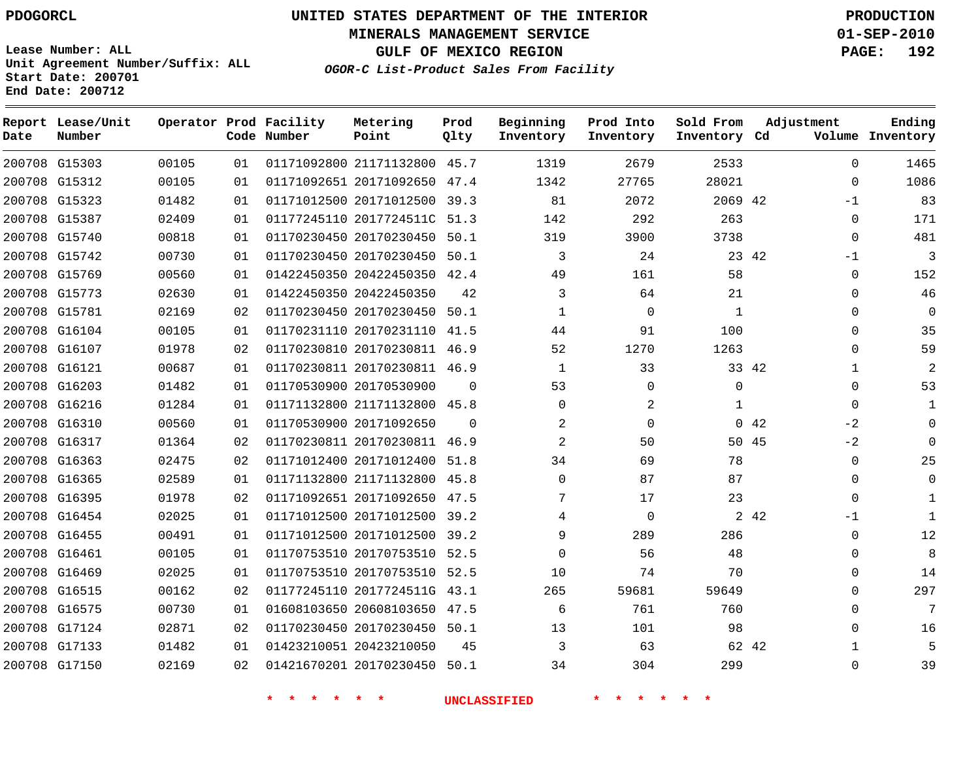**End Date: 200712**

# **UNITED STATES DEPARTMENT OF THE INTERIOR PDOGORCL PRODUCTION**

**MINERALS MANAGEMENT SERVICE 01-SEP-2010**

**GULF OF MEXICO REGION PAGE: 192**

**OGOR-C List-Product Sales From Facility Unit Agreement Number/Suffix: ALL Start Date: 200701**

| Date | Report Lease/Unit<br>Number |       |    | Operator Prod Facility<br>Code Number | Metering<br>Point            | Prod<br>Qlty | Beginning<br>Inventory | Prod Into<br>Inventory | Sold From<br>Inventory Cd | Adjustment           | Ending<br>Volume Inventory |
|------|-----------------------------|-------|----|---------------------------------------|------------------------------|--------------|------------------------|------------------------|---------------------------|----------------------|----------------------------|
|      | 200708 G15303               | 00105 | 01 |                                       | 01171092800 21171132800      | 45.7         | 1319                   | 2679                   | 2533                      | $\Omega$             | 1465                       |
|      | 200708 G15312               | 00105 | 01 |                                       | 01171092651 20171092650      | 47.4         | 1342                   | 27765                  | 28021                     | $\Omega$             | 1086                       |
|      | 200708 G15323               | 01482 | 01 |                                       | 01171012500 20171012500      | 39.3         | 81                     | 2072                   | 2069 42                   | $-1$                 | 83                         |
|      | 200708 G15387               | 02409 | 01 |                                       | 01177245110 2017724511C      | 51.3         | 142                    | 292                    | 263                       | $\mathbf 0$          | 171                        |
|      | 200708 G15740               | 00818 | 01 |                                       | 01170230450 20170230450      | 50.1         | 319                    | 3900                   | 3738                      | $\mathbf 0$          | 481                        |
|      | 200708 G15742               | 00730 | 01 |                                       | 01170230450 20170230450      | 50.1         | 3                      | 24                     | 23 42                     | $-1$                 | $\overline{3}$             |
|      | 200708 G15769               | 00560 | 01 |                                       | 01422450350 20422450350      | 42.4         | 49                     | 161                    | 58                        | $\mathbf 0$          | 152                        |
|      | 200708 G15773               | 02630 | 01 |                                       | 01422450350 20422450350      | 42           | 3                      | 64                     | 21                        | $\mathbf 0$          | 46                         |
|      | 200708 G15781               | 02169 | 02 |                                       | 01170230450 20170230450      | 50.1         | 1                      | $\Omega$               | 1                         | $\mathbf 0$          | $\mathbf 0$                |
|      | 200708 G16104               | 00105 | 01 |                                       | 01170231110 20170231110      | 41.5         | 44                     | 91                     | 100                       | $\mathbf 0$          | 35                         |
|      | 200708 G16107               | 01978 | 02 |                                       | 01170230810 20170230811 46.9 |              | 52                     | 1270                   | 1263                      | $\Omega$             | 59                         |
|      | 200708 G16121               | 00687 | 01 |                                       | 01170230811 20170230811 46.9 |              | $\mathbf{1}$           | 33                     |                           | 33 42<br>$\mathbf 1$ | $\mathbf{2}$               |
|      | 200708 G16203               | 01482 | 01 |                                       | 01170530900 20170530900      | $\Omega$     | 53                     | $\mathbf 0$            | $\Omega$                  | $\Omega$             | 53                         |
|      | 200708 G16216               | 01284 | 01 |                                       | 01171132800 21171132800 45.8 |              | $\Omega$               | 2                      | 1                         | $\mathbf 0$          | $\mathbf{1}$               |
|      | 200708 G16310               | 00560 | 01 |                                       | 01170530900 20171092650      | $\Omega$     | 2                      | $\Omega$               | $\Omega$                  | $-2$<br>42           | $\Omega$                   |
|      | 200708 G16317               | 01364 | 02 |                                       | 01170230811 20170230811 46.9 |              | $\overline{a}$         | 50                     |                           | $-2$<br>50 45        | $\Omega$                   |
|      | 200708 G16363               | 02475 | 02 |                                       | 01171012400 20171012400      | 51.8         | 34                     | 69                     | 78                        | $\Omega$             | 25                         |
|      | 200708 G16365               | 02589 | 01 |                                       | 01171132800 21171132800      | 45.8         | $\Omega$               | 87                     | 87                        | $\Omega$             | $\Omega$                   |
|      | 200708 G16395               | 01978 | 02 |                                       | 01171092651 20171092650      | 47.5         | 7                      | 17                     | 23                        | $\Omega$             | 1                          |
|      | 200708 G16454               | 02025 | 01 |                                       | 01171012500 20171012500      | 39.2         | 4                      | $\Omega$               |                           | 2 42<br>$-1$         | $\mathbf{1}$               |
|      | 200708 G16455               | 00491 | 01 |                                       | 01171012500 20171012500      | 39.2         | 9                      | 289                    | 286                       | $\Omega$             | 12                         |
|      | 200708 G16461               | 00105 | 01 |                                       | 01170753510 20170753510      | 52.5         | $\Omega$               | 56                     | 48                        | $\Omega$             | 8                          |
|      | 200708 G16469               | 02025 | 01 |                                       | 01170753510 20170753510      | 52.5         | 10                     | 74                     | 70                        | $\mathbf 0$          | 14                         |
|      | 200708 G16515               | 00162 | 02 |                                       | 01177245110 2017724511G 43.1 |              | 265                    | 59681                  | 59649                     | $\Omega$             | 297                        |
|      | 200708 G16575               | 00730 | 01 |                                       | 01608103650 20608103650      | 47.5         | 6                      | 761                    | 760                       | $\mathbf 0$          | 7                          |
|      | 200708 G17124               | 02871 | 02 |                                       | 01170230450 20170230450 50.1 |              | 13                     | 101                    | 98                        | $\Omega$             | 16                         |
|      | 200708 G17133               | 01482 | 01 |                                       | 01423210051 20423210050      | 45           | 3                      | 63                     |                           | 62 42<br>1           | 5                          |
|      | 200708 G17150               | 02169 | 02 |                                       | 01421670201 20170230450      | 50.1         | 34                     | 304                    | 299                       | $\Omega$             | 39                         |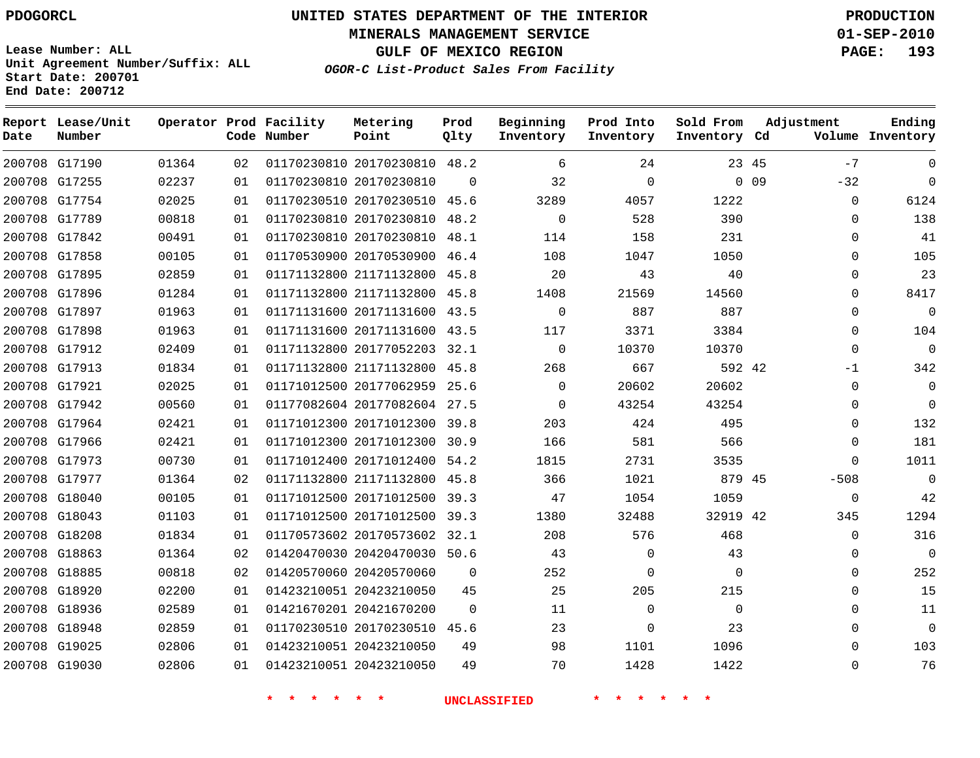**MINERALS MANAGEMENT SERVICE 01-SEP-2010**

**GULF OF MEXICO REGION PAGE: 193**

**Lease Number: ALL Unit Agreement Number/Suffix: ALL Start Date: 200701 End Date: 200712**

**OGOR-C List-Product Sales From Facility**

| Date | Report Lease/Unit<br>Number |       |    | Operator Prod Facility<br>Code Number | Metering<br>Point            | Prod<br>Qlty | Beginning<br>Inventory | Prod Into<br>Inventory | Sold From<br>Inventory Cd |                 | Adjustment  | Ending<br>Volume Inventory |
|------|-----------------------------|-------|----|---------------------------------------|------------------------------|--------------|------------------------|------------------------|---------------------------|-----------------|-------------|----------------------------|
|      | 200708 G17190               | 01364 | 02 |                                       | 01170230810 20170230810 48.2 |              | 6                      | 24                     |                           | 23 45           | $-7$        | $\Omega$                   |
|      | 200708 G17255               | 02237 | 01 |                                       | 01170230810 20170230810      | $\Omega$     | 32                     | $\Omega$               |                           | 0 <sub>09</sub> | $-32$       | $\Omega$                   |
|      | 200708 G17754               | 02025 | 01 |                                       | 01170230510 20170230510 45.6 |              | 3289                   | 4057                   | 1222                      |                 | $\mathbf 0$ | 6124                       |
|      | 200708 G17789               | 00818 | 01 |                                       | 01170230810 20170230810 48.2 |              | $\Omega$               | 528                    | 390                       |                 | $\Omega$    | 138                        |
|      | 200708 G17842               | 00491 | 01 |                                       | 01170230810 20170230810 48.1 |              | 114                    | 158                    | 231                       |                 | $\mathbf 0$ | 41                         |
|      | 200708 G17858               | 00105 | 01 |                                       | 01170530900 20170530900 46.4 |              | 108                    | 1047                   | 1050                      |                 | $\Omega$    | 105                        |
|      | 200708 G17895               | 02859 | 01 |                                       | 01171132800 21171132800      | 45.8         | 20                     | 43                     | 40                        |                 | $\Omega$    | 23                         |
|      | 200708 G17896               | 01284 | 01 |                                       | 01171132800 21171132800 45.8 |              | 1408                   | 21569                  | 14560                     |                 | $\Omega$    | 8417                       |
|      | 200708 G17897               | 01963 | 01 |                                       | 01171131600 20171131600      | 43.5         | $\overline{0}$         | 887                    | 887                       |                 | $\mathbf 0$ | $\mathbf 0$                |
|      | 200708 G17898               | 01963 | 01 |                                       | 01171131600 20171131600 43.5 |              | 117                    | 3371                   | 3384                      |                 | $\Omega$    | 104                        |
|      | 200708 G17912               | 02409 | 01 |                                       | 01171132800 20177052203      | 32.1         | $\Omega$               | 10370                  | 10370                     |                 | $\Omega$    | $\Omega$                   |
|      | 200708 G17913               | 01834 | 01 |                                       | 01171132800 21171132800 45.8 |              | 268                    | 667                    | 592 42                    |                 | -1          | 342                        |
|      | 200708 G17921               | 02025 | 01 |                                       | 01171012500 20177062959 25.6 |              | $\Omega$               | 20602                  | 20602                     |                 | $\Omega$    | $\mathbf 0$                |
|      | 200708 G17942               | 00560 | 01 |                                       | 01177082604 20177082604 27.5 |              | $\Omega$               | 43254                  | 43254                     |                 | $\Omega$    | $\Omega$                   |
|      | 200708 G17964               | 02421 | 01 |                                       | 01171012300 20171012300 39.8 |              | 203                    | 424                    | 495                       |                 | $\mathbf 0$ | 132                        |
|      | 200708 G17966               | 02421 | 01 |                                       | 01171012300 20171012300      | 30.9         | 166                    | 581                    | 566                       |                 | $\mathbf 0$ | 181                        |
|      | 200708 G17973               | 00730 | 01 |                                       | 01171012400 20171012400      | 54.2         | 1815                   | 2731                   | 3535                      |                 | $\Omega$    | 1011                       |
|      | 200708 G17977               | 01364 | 02 |                                       | 01171132800 21171132800 45.8 |              | 366                    | 1021                   | 879 45                    |                 | $-508$      | $\Omega$                   |
|      | 200708 G18040               | 00105 | 01 |                                       | 01171012500 20171012500      | 39.3         | 47                     | 1054                   | 1059                      |                 | 0           | 42                         |
|      | 200708 G18043               | 01103 | 01 |                                       | 01171012500 20171012500      | 39.3         | 1380                   | 32488                  | 32919 42                  |                 | 345         | 1294                       |
|      | 200708 G18208               | 01834 | 01 |                                       | 01170573602 20170573602 32.1 |              | 208                    | 576                    | 468                       |                 | $\Omega$    | 316                        |
|      | 200708 G18863               | 01364 | 02 |                                       | 01420470030 20420470030 50.6 |              | 43                     | $\mathbf 0$            | 43                        |                 | 0           | $\Omega$                   |
|      | 200708 G18885               | 00818 | 02 |                                       | 01420570060 20420570060      | $\mathbf 0$  | 252                    | $\mathbf 0$            | $\Omega$                  |                 | $\Omega$    | 252                        |
|      | 200708 G18920               | 02200 | 01 |                                       | 01423210051 20423210050      | 45           | 25                     | 205                    | 215                       |                 | $\mathbf 0$ | 15                         |
|      | 200708 G18936               | 02589 | 01 |                                       | 01421670201 20421670200      | $\mathbf 0$  | 11                     | $\mathbf 0$            | $\Omega$                  |                 | $\Omega$    | 11                         |
|      | 200708 G18948               | 02859 | 01 |                                       | 01170230510 20170230510 45.6 |              | 23                     | $\mathbf 0$            | 23                        |                 | $\mathbf 0$ | $\overline{0}$             |
|      | 200708 G19025               | 02806 | 01 |                                       | 01423210051 20423210050      | 49           | 98                     | 1101                   | 1096                      |                 | $\Omega$    | 103                        |
|      | 200708 G19030               | 02806 | 01 |                                       | 01423210051 20423210050      | 49           | 70                     | 1428                   | 1422                      |                 | $\Omega$    | 76                         |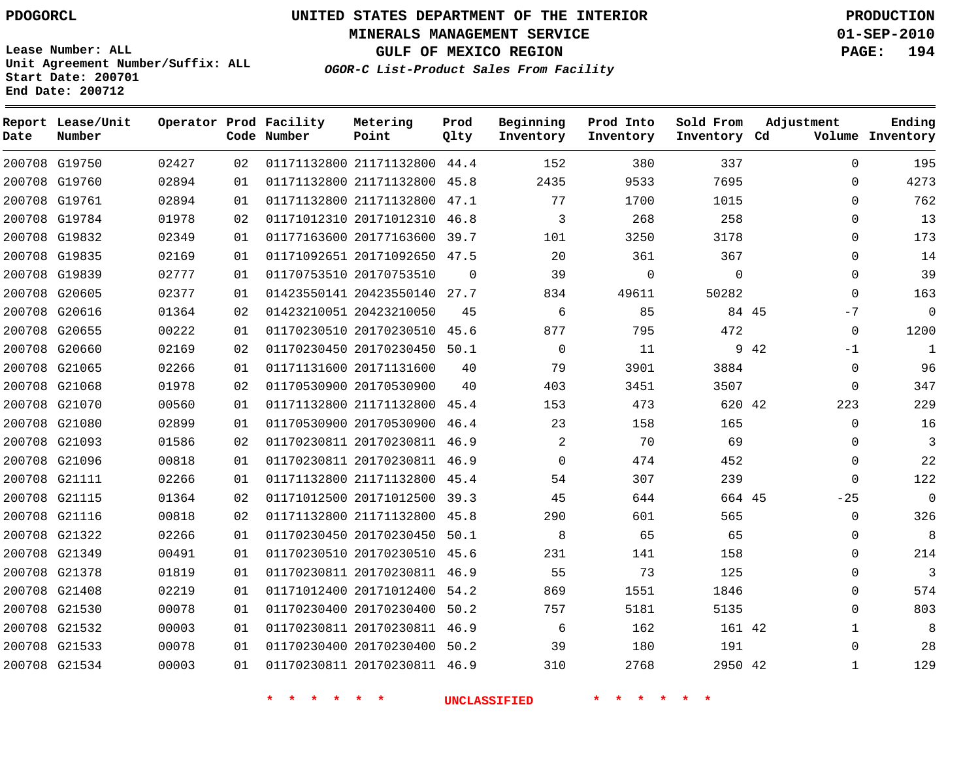# **UNITED STATES DEPARTMENT OF THE INTERIOR PDOGORCL PRODUCTION**

**MINERALS MANAGEMENT SERVICE 01-SEP-2010**

**GULF OF MEXICO REGION PAGE: 194**

**Unit Agreement Number/Suffix: ALL Start Date: 200701 End Date: 200712**

**OGOR-C List-Product Sales From Facility**

| Date | Report Lease/Unit<br>Number |       |    | Operator Prod Facility<br>Code Number | Metering<br>Point            | Prod<br>Qlty | Beginning<br>Inventory | Prod Into<br>Inventory | Sold From<br>Inventory Cd | Adjustment   | Ending<br>Volume Inventory |
|------|-----------------------------|-------|----|---------------------------------------|------------------------------|--------------|------------------------|------------------------|---------------------------|--------------|----------------------------|
|      | 200708 G19750               | 02427 | 02 |                                       | 01171132800 21171132800 44.4 |              | 152                    | 380                    | 337                       | $\Omega$     | 195                        |
|      | 200708 G19760               | 02894 | 01 |                                       | 01171132800 21171132800      | 45.8         | 2435                   | 9533                   | 7695                      | 0            | 4273                       |
|      | 200708 G19761               | 02894 | 01 |                                       | 01171132800 21171132800 47.1 |              | 77                     | 1700                   | 1015                      | $\Omega$     | 762                        |
|      | 200708 G19784               | 01978 | 02 |                                       | 01171012310 20171012310      | 46.8         | 3                      | 268                    | 258                       | 0            | 13                         |
|      | 200708 G19832               | 02349 | 01 |                                       | 01177163600 20177163600      | 39.7         | 101                    | 3250                   | 3178                      | $\Omega$     | 173                        |
|      | 200708 G19835               | 02169 | 01 |                                       | 01171092651 20171092650 47.5 |              | 20                     | 361                    | 367                       | $\Omega$     | 14                         |
|      | 200708 G19839               | 02777 | 01 |                                       | 01170753510 20170753510      | $\Omega$     | 39                     | $\Omega$               | $\Omega$                  | $\Omega$     | 39                         |
|      | 200708 G20605               | 02377 | 01 |                                       | 01423550141 20423550140      | 27.7         | 834                    | 49611                  | 50282                     | $\Omega$     | 163                        |
|      | 200708 G20616               | 01364 | 02 |                                       | 01423210051 20423210050      | 45           | 6                      | 85                     | 84 45                     | -7           | 0                          |
|      | 200708 G20655               | 00222 | 01 |                                       | 01170230510 20170230510      | 45.6         | 877                    | 795                    | 472                       | 0            | 1200                       |
|      | 200708 G20660               | 02169 | 02 |                                       | 01170230450 20170230450 50.1 |              | $\Omega$               | 11                     |                           | 9 42<br>-1   | 1                          |
|      | 200708 G21065               | 02266 | 01 |                                       | 01171131600 20171131600      | 40           | 79                     | 3901                   | 3884                      | 0            | 96                         |
|      | 200708 G21068               | 01978 | 02 |                                       | 01170530900 20170530900      | 40           | 403                    | 3451                   | 3507                      | $\mathbf 0$  | 347                        |
|      | 200708 G21070               | 00560 | 01 |                                       | 01171132800 21171132800 45.4 |              | 153                    | 473                    | 620 42                    | 223          | 229                        |
|      | 200708 G21080               | 02899 | 01 |                                       | 01170530900 20170530900 46.4 |              | 23                     | 158                    | 165                       | $\Omega$     | 16                         |
|      | 200708 G21093               | 01586 | 02 |                                       | 01170230811 20170230811 46.9 |              | $\overline{2}$         | 70                     | 69                        | $\Omega$     | 3                          |
|      | 200708 G21096               | 00818 | 01 |                                       | 01170230811 20170230811 46.9 |              | $\Omega$               | 474                    | 452                       | $\Omega$     | 22                         |
|      | 200708 G21111               | 02266 | 01 |                                       | 01171132800 21171132800 45.4 |              | 54                     | 307                    | 239                       | $\Omega$     | 122                        |
|      | 200708 G21115               | 01364 | 02 |                                       | 01171012500 20171012500 39.3 |              | 45                     | 644                    | 664 45                    | $-25$        | $\mathbf 0$                |
|      | 200708 G21116               | 00818 | 02 |                                       | 01171132800 21171132800      | 45.8         | 290                    | 601                    | 565                       | 0            | 326                        |
|      | 200708 G21322               | 02266 | 01 |                                       | 01170230450 20170230450 50.1 |              | 8                      | 65                     | 65                        | $\Omega$     | 8                          |
|      | 200708 G21349               | 00491 | 01 |                                       | 01170230510 20170230510 45.6 |              | 231                    | 141                    | 158                       | $\Omega$     | 214                        |
|      | 200708 G21378               | 01819 | 01 |                                       | 01170230811 20170230811 46.9 |              | 55                     | 73                     | 125                       | $\Omega$     | 3                          |
|      | 200708 G21408               | 02219 | 01 |                                       | 01171012400 20171012400      | 54.2         | 869                    | 1551                   | 1846                      | $\Omega$     | 574                        |
|      | 200708 G21530               | 00078 | 01 |                                       | 01170230400 20170230400 50.2 |              | 757                    | 5181                   | 5135                      | $\Omega$     | 803                        |
|      | 200708 G21532               | 00003 | 01 |                                       | 01170230811 20170230811 46.9 |              | 6                      | 162                    | 161 42                    | $\mathbf{1}$ | 8                          |
|      | 200708 G21533               | 00078 | 01 |                                       | 01170230400 20170230400 50.2 |              | 39                     | 180                    | 191                       | $\Omega$     | 28                         |
|      | 200708 G21534               | 00003 | 01 |                                       | 01170230811 20170230811 46.9 |              | 310                    | 2768                   | 2950 42                   | $\mathbf{1}$ | 129                        |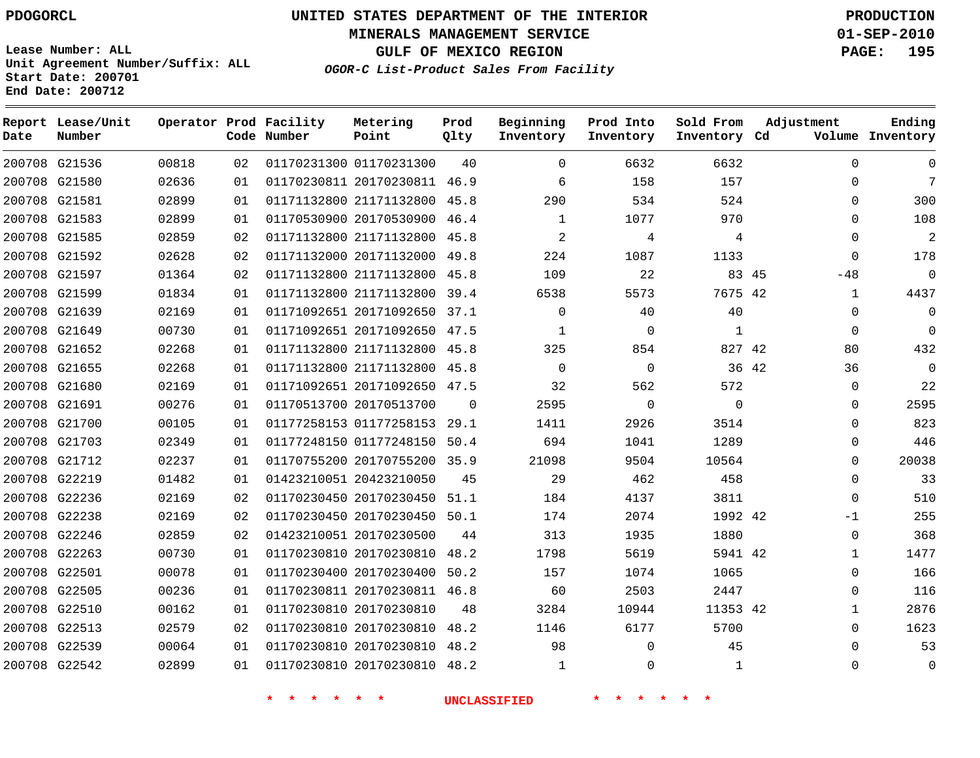**MINERALS MANAGEMENT SERVICE 01-SEP-2010**

**GULF OF MEXICO REGION PAGE: 195**

**Lease Number: ALL Unit Agreement Number/Suffix: ALL Start Date: 200701 End Date: 200712**

**OGOR-C List-Product Sales From Facility**

| Date | Report Lease/Unit<br>Number |       |    | Operator Prod Facility<br>Code Number | Metering<br>Point            | Prod<br>Qlty | Beginning<br>Inventory | Prod Into<br>Inventory | Sold From<br>Inventory Cd | Adjustment  | Ending<br>Volume Inventory |
|------|-----------------------------|-------|----|---------------------------------------|------------------------------|--------------|------------------------|------------------------|---------------------------|-------------|----------------------------|
|      | 200708 G21536               | 00818 | 02 |                                       | 01170231300 01170231300      | 40           | $\Omega$               | 6632                   | 6632                      | $\Omega$    | $\Omega$                   |
|      | 200708 G21580               | 02636 | 01 |                                       | 01170230811 20170230811 46.9 |              | 6                      | 158                    | 157                       | $\Omega$    | 7                          |
|      | 200708 G21581               | 02899 | 01 |                                       | 01171132800 21171132800      | 45.8         | 290                    | 534                    | 524                       | $\Omega$    | 300                        |
|      | 200708 G21583               | 02899 | 01 |                                       | 01170530900 20170530900      | 46.4         | 1                      | 1077                   | 970                       | $\Omega$    | 108                        |
|      | 200708 G21585               | 02859 | 02 |                                       | 01171132800 21171132800      | 45.8         | 2                      | 4                      | 4                         | 0           | $\overline{a}$             |
|      | 200708 G21592               | 02628 | 02 |                                       | 01171132000 20171132000      | 49.8         | 224                    | 1087                   | 1133                      | $\mathbf 0$ | 178                        |
|      | 200708 G21597               | 01364 | 02 |                                       | 01171132800 21171132800      | 45.8         | 109                    | 22                     | 83 45                     | $-48$       | $\mathbf 0$                |
|      | 200708 G21599               | 01834 | 01 |                                       | 01171132800 21171132800      | 39.4         | 6538                   | 5573                   | 7675 42                   | 1           | 4437                       |
|      | 200708 G21639               | 02169 | 01 |                                       | 01171092651 20171092650      | 37.1         | $\mathbf 0$            | 40                     | 40                        | $\Omega$    | $\Omega$                   |
|      | 200708 G21649               | 00730 | 01 |                                       | 01171092651 20171092650      | 47.5         | $\mathbf{1}$           | $\mathbf{0}$           | $\mathbf{1}$              | $\Omega$    | $\Omega$                   |
|      | 200708 G21652               | 02268 | 01 |                                       | 01171132800 21171132800      | 45.8         | 325                    | 854                    | 827 42                    | 80          | 432                        |
|      | 200708 G21655               | 02268 | 01 |                                       | 01171132800 21171132800      | 45.8         | 0                      | 0                      |                           | 36 42<br>36 | 0                          |
|      | 200708 G21680               | 02169 | 01 |                                       | 01171092651 20171092650 47.5 |              | 32                     | 562                    | 572                       | 0           | 22                         |
|      | 200708 G21691               | 00276 | 01 |                                       | 01170513700 20170513700      | $\Omega$     | 2595                   | $\mathbf{0}$           | $\Omega$                  | 0           | 2595                       |
|      | 200708 G21700               | 00105 | 01 |                                       | 01177258153 01177258153      | 29.1         | 1411                   | 2926                   | 3514                      | $\Omega$    | 823                        |
|      | 200708 G21703               | 02349 | 01 |                                       | 01177248150 01177248150      | 50.4         | 694                    | 1041                   | 1289                      | $\Omega$    | 446                        |
|      | 200708 G21712               | 02237 | 01 |                                       | 01170755200 20170755200 35.9 |              | 21098                  | 9504                   | 10564                     | 0           | 20038                      |
|      | 200708 G22219               | 01482 | 01 |                                       | 01423210051 20423210050      | 45           | 29                     | 462                    | 458                       | 0           | 33                         |
|      | 200708 G22236               | 02169 | 02 |                                       | 01170230450 20170230450      | 51.1         | 184                    | 4137                   | 3811                      | 0           | 510                        |
|      | 200708 G22238               | 02169 | 02 |                                       | 01170230450 20170230450      | 50.1         | 174                    | 2074                   | 1992 42                   | $-1$        | 255                        |
|      | 200708 G22246               | 02859 | 02 |                                       | 01423210051 20170230500      | 44           | 313                    | 1935                   | 1880                      | $\Omega$    | 368                        |
|      | 200708 G22263               | 00730 | 01 |                                       | 01170230810 20170230810      | 48.2         | 1798                   | 5619                   | 5941 42                   | $\mathbf 1$ | 1477                       |
|      | 200708 G22501               | 00078 | 01 |                                       | 01170230400 20170230400      | 50.2         | 157                    | 1074                   | 1065                      | 0           | 166                        |
|      | 200708 G22505               | 00236 | 01 |                                       | 01170230811 20170230811 46.8 |              | 60                     | 2503                   | 2447                      | 0           | 116                        |
|      | 200708 G22510               | 00162 | 01 |                                       | 01170230810 20170230810      | 48           | 3284                   | 10944                  | 11353 42                  | 1           | 2876                       |
|      | 200708 G22513               | 02579 | 02 |                                       | 01170230810 20170230810      | 48.2         | 1146                   | 6177                   | 5700                      | $\Omega$    | 1623                       |
|      | 200708 G22539               | 00064 | 01 |                                       | 01170230810 20170230810 48.2 |              | 98                     | $\mathbf{0}$           | 45                        | $\Omega$    | 53                         |
|      | 200708 G22542               | 02899 | 01 |                                       | 01170230810 20170230810      | 48.2         | $\mathbf{1}$           | $\Omega$               | $\mathbf{1}$              | $\Omega$    | $\mathbf{0}$               |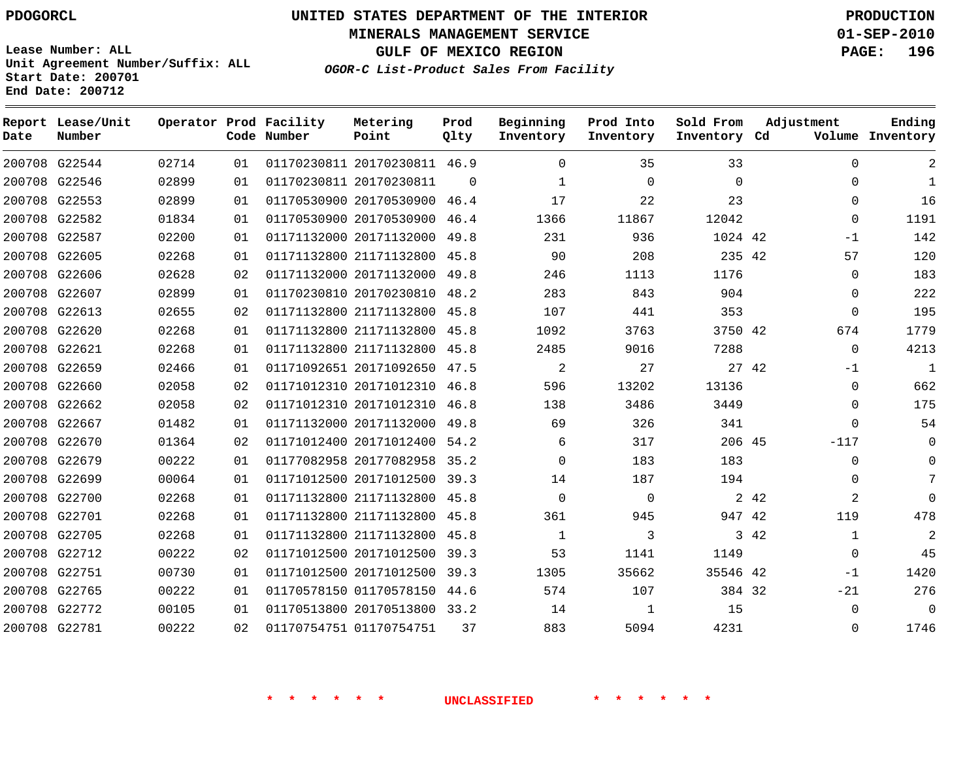**MINERALS MANAGEMENT SERVICE 01-SEP-2010**

**GULF OF MEXICO REGION PAGE: 196**

**Lease Number: ALL Unit Agreement Number/Suffix: ALL Start Date: 200701 End Date: 200712**

| OGOR-C List-Product Sales From Facility |  |  |
|-----------------------------------------|--|--|
|                                         |  |  |

| Report Lease/Unit<br>Number |       |    | Metering<br>Point                     | Prod<br>Qlty                                                                  | Beginning<br>Inventory                                                                                                                                                                                                                                                                                                                                                                                                                                                                                                                                                                                                                                                                                          | Prod Into<br>Inventory | Sold From | Adjustment     | Ending<br>Volume Inventory                                                                                      |
|-----------------------------|-------|----|---------------------------------------|-------------------------------------------------------------------------------|-----------------------------------------------------------------------------------------------------------------------------------------------------------------------------------------------------------------------------------------------------------------------------------------------------------------------------------------------------------------------------------------------------------------------------------------------------------------------------------------------------------------------------------------------------------------------------------------------------------------------------------------------------------------------------------------------------------------|------------------------|-----------|----------------|-----------------------------------------------------------------------------------------------------------------|
| 200708 G22544               | 02714 | 01 |                                       |                                                                               | $\Omega$                                                                                                                                                                                                                                                                                                                                                                                                                                                                                                                                                                                                                                                                                                        | 35                     | 33        | $\Omega$       | 2                                                                                                               |
| 200708 G22546               | 02899 | 01 |                                       | $\Omega$                                                                      | 1                                                                                                                                                                                                                                                                                                                                                                                                                                                                                                                                                                                                                                                                                                               | $\Omega$               | $\Omega$  | $\mathbf{0}$   | $\mathbf{1}$                                                                                                    |
| 200708 G22553               | 02899 | 01 |                                       |                                                                               | 17                                                                                                                                                                                                                                                                                                                                                                                                                                                                                                                                                                                                                                                                                                              | 22                     | 23        | $\Omega$       | 16                                                                                                              |
| 200708 G22582               | 01834 | 01 |                                       | 46.4                                                                          | 1366                                                                                                                                                                                                                                                                                                                                                                                                                                                                                                                                                                                                                                                                                                            | 11867                  | 12042     | $\Omega$       | 1191                                                                                                            |
| 200708 G22587               | 02200 | 01 |                                       | 49.8                                                                          | 231                                                                                                                                                                                                                                                                                                                                                                                                                                                                                                                                                                                                                                                                                                             | 936                    |           | $-1$           | 142                                                                                                             |
| 200708 G22605               | 02268 | 01 |                                       |                                                                               | 90                                                                                                                                                                                                                                                                                                                                                                                                                                                                                                                                                                                                                                                                                                              | 208                    |           | 57             | 120                                                                                                             |
| 200708 G22606               | 02628 | 02 |                                       | 49.8                                                                          | 246                                                                                                                                                                                                                                                                                                                                                                                                                                                                                                                                                                                                                                                                                                             | 1113                   | 1176      | $\mathbf 0$    | 183                                                                                                             |
| 200708 G22607               | 02899 | 01 |                                       | 48.2                                                                          | 283                                                                                                                                                                                                                                                                                                                                                                                                                                                                                                                                                                                                                                                                                                             | 843                    | 904       | $\Omega$       | 222                                                                                                             |
| 200708 G22613               | 02655 | 02 |                                       |                                                                               | 107                                                                                                                                                                                                                                                                                                                                                                                                                                                                                                                                                                                                                                                                                                             | 441                    | 353       | $\mathbf{0}$   | 195                                                                                                             |
| 200708 G22620               | 02268 | 01 |                                       |                                                                               | 1092                                                                                                                                                                                                                                                                                                                                                                                                                                                                                                                                                                                                                                                                                                            | 3763                   |           | 674            | 1779                                                                                                            |
| 200708 G22621               | 02268 | 01 |                                       | 45.8                                                                          | 2485                                                                                                                                                                                                                                                                                                                                                                                                                                                                                                                                                                                                                                                                                                            | 9016                   | 7288      | $\Omega$       | 4213                                                                                                            |
| 200708 G22659               | 02466 | 01 |                                       |                                                                               | 2                                                                                                                                                                                                                                                                                                                                                                                                                                                                                                                                                                                                                                                                                                               | 27                     |           | $-1$           | $\mathbf{1}$                                                                                                    |
| 200708 G22660               | 02058 | 02 |                                       |                                                                               | 596                                                                                                                                                                                                                                                                                                                                                                                                                                                                                                                                                                                                                                                                                                             | 13202                  | 13136     | $\mathbf 0$    | 662                                                                                                             |
| 200708 G22662               | 02058 | 02 |                                       | 46.8                                                                          | 138                                                                                                                                                                                                                                                                                                                                                                                                                                                                                                                                                                                                                                                                                                             | 3486                   | 3449      | 0              | 175                                                                                                             |
| 200708 G22667               | 01482 | 01 |                                       | 49.8                                                                          | 69                                                                                                                                                                                                                                                                                                                                                                                                                                                                                                                                                                                                                                                                                                              | 326                    | 341       | $\Omega$       | 54                                                                                                              |
| 200708 G22670               | 01364 | 02 |                                       |                                                                               | 6                                                                                                                                                                                                                                                                                                                                                                                                                                                                                                                                                                                                                                                                                                               | 317                    |           | $-117$         | $\Omega$                                                                                                        |
| 200708 G22679               | 00222 | 01 |                                       |                                                                               | $\Omega$                                                                                                                                                                                                                                                                                                                                                                                                                                                                                                                                                                                                                                                                                                        | 183                    | 183       | $\Omega$       | $\Omega$                                                                                                        |
| 200708 G22699               | 00064 | 01 |                                       |                                                                               | 14                                                                                                                                                                                                                                                                                                                                                                                                                                                                                                                                                                                                                                                                                                              | 187                    | 194       | $\Omega$       | $7\phantom{.0}$                                                                                                 |
| 200708 G22700               | 02268 | 01 |                                       |                                                                               | $\Omega$                                                                                                                                                                                                                                                                                                                                                                                                                                                                                                                                                                                                                                                                                                        | $\Omega$               |           | $\overline{2}$ | $\Omega$                                                                                                        |
| 200708 G22701               | 02268 | 01 |                                       | 45.8                                                                          | 361                                                                                                                                                                                                                                                                                                                                                                                                                                                                                                                                                                                                                                                                                                             | 945                    |           | 119            | 478                                                                                                             |
| 200708 G22705               | 02268 | 01 |                                       |                                                                               | $\mathbf{1}$                                                                                                                                                                                                                                                                                                                                                                                                                                                                                                                                                                                                                                                                                                    | 3                      |           | $\mathbf{1}$   | 2                                                                                                               |
| 200708 G22712               | 00222 | 02 |                                       |                                                                               | 53                                                                                                                                                                                                                                                                                                                                                                                                                                                                                                                                                                                                                                                                                                              | 1141                   | 1149      | $\Omega$       | 45                                                                                                              |
| 200708 G22751               | 00730 | 01 |                                       | 39.3                                                                          | 1305                                                                                                                                                                                                                                                                                                                                                                                                                                                                                                                                                                                                                                                                                                            | 35662                  |           | $-1$           | 1420                                                                                                            |
| 200708 G22765               | 00222 | 01 |                                       | 44.6                                                                          | 574                                                                                                                                                                                                                                                                                                                                                                                                                                                                                                                                                                                                                                                                                                             | 107                    |           | $-21$          | 276                                                                                                             |
| 200708 G22772               | 00105 | 01 |                                       |                                                                               | 14                                                                                                                                                                                                                                                                                                                                                                                                                                                                                                                                                                                                                                                                                                              | 1                      | 15        | $\mathbf 0$    | $\overline{0}$                                                                                                  |
| 200708 G22781               | 00222 | 02 |                                       | 37                                                                            | 883                                                                                                                                                                                                                                                                                                                                                                                                                                                                                                                                                                                                                                                                                                             | 5094                   | 4231      | $\Omega$       | 1746                                                                                                            |
|                             |       |    | Operator Prod Facility<br>Code Number | 01170230811 20170230811<br>01170230810 20170230810<br>01170754751 01170754751 | 01170230811 20170230811 46.9<br>01170530900 20170530900 46.4<br>01170530900 20170530900<br>01171132000 20171132000<br>01171132800 21171132800 45.8<br>01171132000 20171132000<br>01171132800 21171132800 45.8<br>01171132800 21171132800 45.8<br>01171132800 21171132800<br>01171092651 20171092650 47.5<br>01171012310 20171012310 46.8<br>01171012310 20171012310<br>01171132000 20171132000<br>01171012400 20171012400 54.2<br>01177082958 20177082958 35.2<br>01171012500 20171012500 39.3<br>01171132800 21171132800 45.8<br>01171132800 21171132800<br>01171132800 21171132800 45.8<br>01171012500 20171012500 39.3<br>01171012500 20171012500<br>01170578150 01170578150<br>01170513800 20170513800 33.2 |                        |           |                | Inventory Cd<br>1024 42<br>235 42<br>3750 42<br>27 42<br>206 45<br>2 42<br>947 42<br>3 42<br>35546 42<br>384 32 |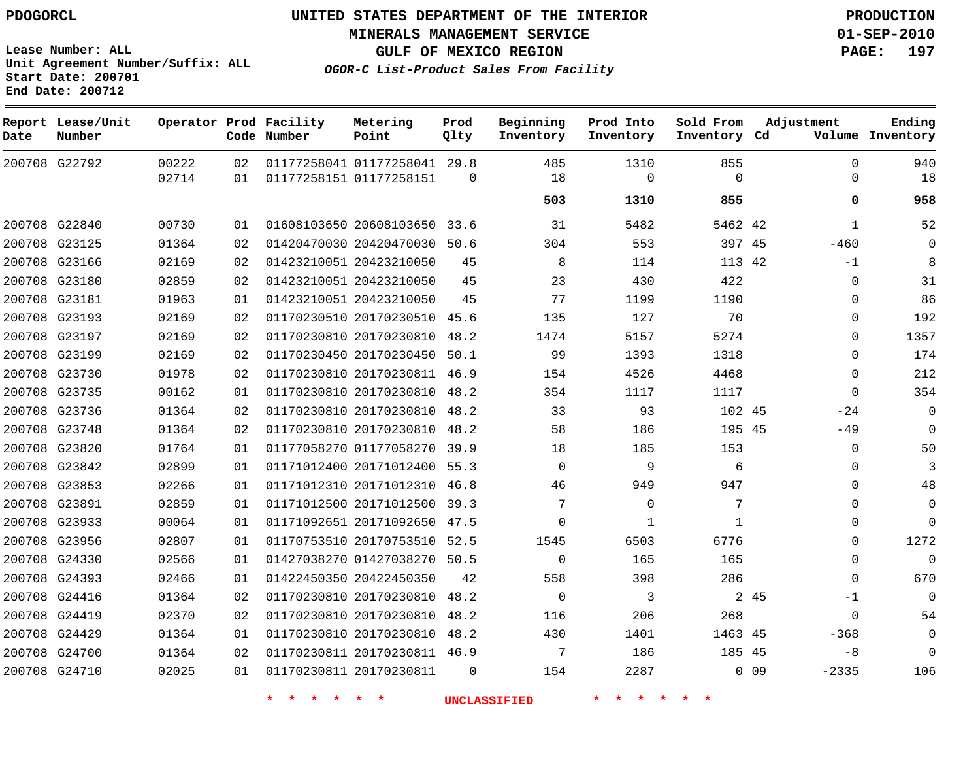**MINERALS MANAGEMENT SERVICE 01-SEP-2010**

**GULF OF MEXICO REGION PAGE: 197**

**OGOR-C List-Product Sales From Facility**

**Lease Number: ALL Unit Agreement Number/Suffix: ALL Start Date: 200701 End Date: 200712**

| Date          | Report Lease/Unit<br>Number |       |    | Operator Prod Facility<br>Code Number | Metering<br>Point            | Prod<br>Qlty | Beginning<br>Inventory | Prod Into<br>Inventory | Sold From<br>Inventory Cd | Adjustment            | Ending<br>Volume Inventory |
|---------------|-----------------------------|-------|----|---------------------------------------|------------------------------|--------------|------------------------|------------------------|---------------------------|-----------------------|----------------------------|
|               | 200708 G22792               | 00222 | 02 |                                       | 01177258041 01177258041 29.8 |              | 485                    | 1310                   | 855                       | $\Omega$              | 940                        |
|               |                             | 02714 | 01 |                                       | 01177258151 01177258151      | $\mathbf 0$  | 18                     | $\mathbf 0$            | $\Omega$                  | $\mathbf 0$           | 18                         |
|               |                             |       |    |                                       |                              |              | 503                    | 1310                   | 855                       | 0                     | 958                        |
|               | 200708 G22840               | 00730 | 01 |                                       | 01608103650 20608103650 33.6 |              | 31                     | 5482                   | 5462 42                   | 1                     | 52                         |
|               | 200708 G23125               | 01364 | 02 |                                       | 01420470030 20420470030      | 50.6         | 304                    | 553                    | 397 45                    | $-460$                | 0                          |
|               | 200708 G23166               | 02169 | 02 |                                       | 01423210051 20423210050      | 45           | 8                      | 114                    | 113 42                    | $-1$                  | 8                          |
|               | 200708 G23180               | 02859 | 02 |                                       | 01423210051 20423210050      | 45           | 23                     | 430                    | 422                       | 0                     | 31                         |
| 200708 G23181 |                             | 01963 | 01 |                                       | 01423210051 20423210050      | 45           | 77                     | 1199                   | 1190                      | $\mathbf 0$           | 86                         |
| 200708 G23193 |                             | 02169 | 02 |                                       | 01170230510 20170230510 45.6 |              | 135                    | 127                    | 70                        | $\mathbf 0$           | 192                        |
|               | 200708 G23197               | 02169 | 02 |                                       | 01170230810 20170230810 48.2 |              | 1474                   | 5157                   | 5274                      | $\mathbf 0$           | 1357                       |
|               | 200708 G23199               | 02169 | 02 |                                       | 01170230450 20170230450 50.1 |              | 99                     | 1393                   | 1318                      | $\Omega$              | 174                        |
|               | 200708 G23730               | 01978 | 02 |                                       | 01170230810 20170230811 46.9 |              | 154                    | 4526                   | 4468                      | 0                     | 212                        |
|               | 200708 G23735               | 00162 | 01 |                                       | 01170230810 20170230810 48.2 |              | 354                    | 1117                   | 1117                      | $\Omega$              | 354                        |
|               | 200708 G23736               | 01364 | 02 |                                       | 01170230810 20170230810 48.2 |              | 33                     | 93                     | 102 45                    | $-24$                 | 0                          |
|               | 200708 G23748               | 01364 | 02 |                                       | 01170230810 20170230810 48.2 |              | 58                     | 186                    | 195 45                    | $-49$                 | $\Omega$                   |
| 200708 G23820 |                             | 01764 | 01 |                                       | 01177058270 01177058270 39.9 |              | 18                     | 185                    | 153                       | $\mathbf 0$           | 50                         |
|               | 200708 G23842               | 02899 | 01 |                                       | 01171012400 20171012400 55.3 |              | $\mathbf 0$            | 9                      | 6                         | 0                     | 3                          |
|               | 200708 G23853               | 02266 | 01 |                                       | 01171012310 20171012310 46.8 |              | 46                     | 949                    | 947                       | $\mathbf 0$           | 48                         |
| 200708 G23891 |                             | 02859 | 01 |                                       | 01171012500 20171012500 39.3 |              | 7                      | $\mathbf 0$            | 7                         | $\mathbf 0$           | 0                          |
| 200708 G23933 |                             | 00064 | 01 |                                       | 01171092651 20171092650 47.5 |              | $\Omega$               | $\mathbf 1$            | $\mathbf{1}$              | $\mathbf 0$           | $\mathbf 0$                |
|               | 200708 G23956               | 02807 | 01 |                                       | 01170753510 20170753510 52.5 |              | 1545                   | 6503                   | 6776                      | $\mathbf 0$           | 1272                       |
| 200708 G24330 |                             | 02566 | 01 |                                       | 01427038270 01427038270 50.5 |              | $\Omega$               | 165                    | 165                       | $\Omega$              | $\Omega$                   |
|               | 200708 G24393               | 02466 | 01 |                                       | 01422450350 20422450350      | 42           | 558                    | 398                    | 286                       | $\Omega$              | 670                        |
|               | 200708 G24416               | 01364 | 02 |                                       | 01170230810 20170230810      | 48.2         | $\Omega$               | 3                      |                           | 2 45<br>$-1$          | 0                          |
|               | 200708 G24419               | 02370 | 02 |                                       | 01170230810 20170230810 48.2 |              | 116                    | 206                    | 268                       | $\mathbf 0$           | 54                         |
|               | 200708 G24429               | 01364 | 01 |                                       | 01170230810 20170230810 48.2 |              | 430                    | 1401                   | 1463 45                   | $-368$                | 0                          |
| 200708 G24700 |                             | 01364 | 02 |                                       | 01170230811 20170230811 46.9 |              | 7                      | 186                    | 185 45                    | -8                    | $\mathbf 0$                |
| 200708 G24710 |                             | 02025 | 01 |                                       | 01170230811 20170230811      | $\Omega$     | 154                    | 2287                   |                           | $0\quad09$<br>$-2335$ | 106                        |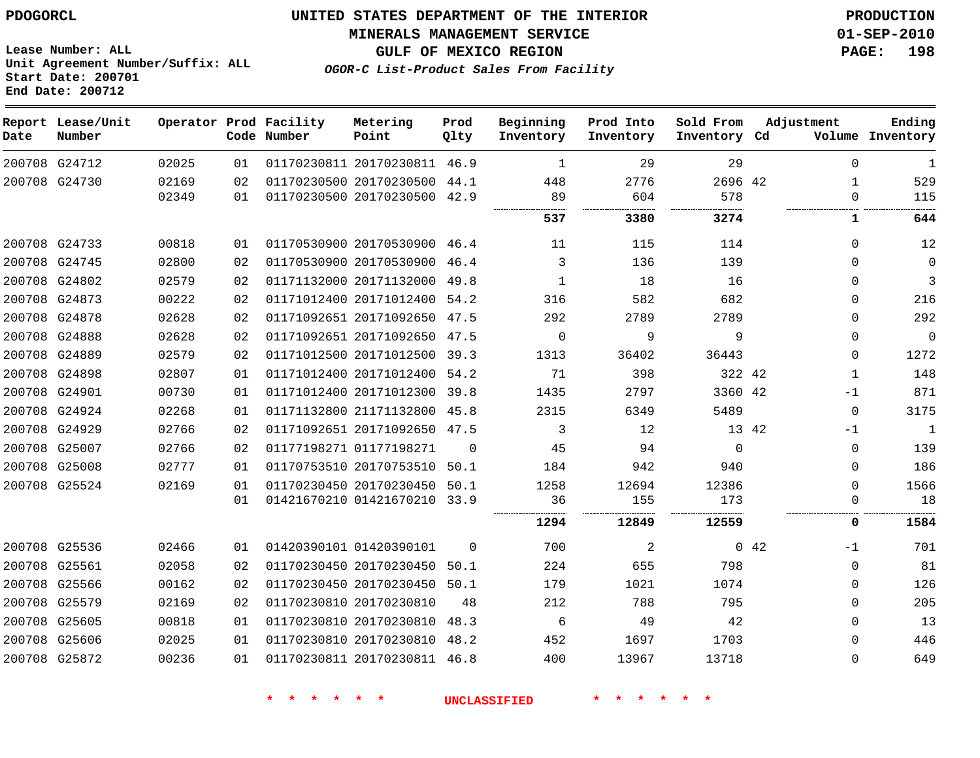**MINERALS MANAGEMENT SERVICE 01-SEP-2010**

**Lease Number: ALL Unit Agreement Number/Suffix: ALL Start Date: 200701 End Date: 200712**

**OGOR-C List-Product Sales From Facility**

**GULF OF MEXICO REGION PAGE: 198**

| Date | Report Lease/Unit<br>Number |       |    | Operator Prod Facility<br>Code Number | Metering<br>Point            | Prod<br>Qlty | Beginning<br>Inventory | Prod Into<br>Inventory | Sold From<br>Inventory Cd |             | Adjustment   | Ending<br>Volume Inventory |
|------|-----------------------------|-------|----|---------------------------------------|------------------------------|--------------|------------------------|------------------------|---------------------------|-------------|--------------|----------------------------|
|      | 200708 G24712               | 02025 | 01 |                                       | 01170230811 20170230811      | 46.9         | 1                      | 29                     | 29                        |             | $\Omega$     | 1                          |
|      | 200708 G24730               | 02169 | 02 |                                       | 01170230500 20170230500      | 44.1         | 448                    | 2776                   | 2696 42                   |             | $\mathbf{1}$ | 529                        |
|      |                             | 02349 | 01 |                                       | 01170230500 20170230500      | 42.9         | 89<br>                 | 604                    | 578<br>                   |             | $\Omega$     | 115                        |
|      |                             |       |    |                                       |                              |              | 537                    | 3380                   | 3274                      |             | 1            | 644                        |
|      | 200708 G24733               | 00818 | 01 |                                       | 01170530900 20170530900 46.4 |              | 11                     | 115                    | 114                       |             | $\Omega$     | 12                         |
|      | 200708 G24745               | 02800 | 02 |                                       | 01170530900 20170530900      | 46.4         | 3                      | 136                    | 139                       |             | $\Omega$     | $\mathbf 0$                |
|      | 200708 G24802               | 02579 | 02 |                                       | 01171132000 20171132000      | 49.8         | 1                      | 18                     | 16                        |             | $\Omega$     | 3                          |
|      | 200708 G24873               | 00222 | 02 |                                       | 01171012400 20171012400      | 54.2         | 316                    | 582                    | 682                       |             | $\Omega$     | 216                        |
|      | 200708 G24878               | 02628 | 02 |                                       | 01171092651 20171092650      | 47.5         | 292                    | 2789                   | 2789                      |             | 0            | 292                        |
|      | 200708 G24888               | 02628 | 02 |                                       | 01171092651 20171092650      | 47.5         | $\Omega$               | 9                      | 9                         |             | 0            | $\mathbf 0$                |
|      | 200708 G24889               | 02579 | 02 |                                       | 01171012500 20171012500      | 39.3         | 1313                   | 36402                  | 36443                     |             | $\mathbf 0$  | 1272                       |
|      | 200708 G24898               | 02807 | 01 |                                       | 01171012400 20171012400      | 54.2         | 71                     | 398                    | 322 42                    |             | 1            | 148                        |
|      | 200708 G24901               | 00730 | 01 |                                       | 01171012400 20171012300      | 39.8         | 1435                   | 2797                   | 3360 42                   |             | $-1$         | 871                        |
|      | 200708 G24924               | 02268 | 01 |                                       | 01171132800 21171132800      | 45.8         | 2315                   | 6349                   | 5489                      |             | $\Omega$     | 3175                       |
|      | 200708 G24929               | 02766 | 02 |                                       | 01171092651 20171092650      | 47.5         | 3                      | 12                     |                           | 13 42       | $-1$         | 1                          |
|      | 200708 G25007               | 02766 | 02 |                                       | 01177198271 01177198271      | $\Omega$     | 45                     | 94                     | $\Omega$                  |             | $\Omega$     | 139                        |
|      | 200708 G25008               | 02777 | 01 |                                       | 01170753510 20170753510      | 50.1         | 184                    | 942                    | 940                       |             | $\Omega$     | 186                        |
|      | 200708 G25524               | 02169 | 01 |                                       | 01170230450 20170230450      | 50.1         | 1258                   | 12694                  | 12386                     |             | $\Omega$     | 1566                       |
|      |                             |       | 01 |                                       | 01421670210 01421670210 33.9 |              | 36                     | 155                    | 173                       |             | $\Omega$     | 18                         |
|      |                             |       |    |                                       |                              |              | <br>1294               | 12849                  | 12559                     |             | 0            | 1584                       |
|      | 200708 G25536               | 02466 | 01 |                                       | 01420390101 01420390101      | $\Omega$     | 700                    | 2                      |                           | $0\quad 42$ | $-1$         | 701                        |
|      | 200708 G25561               | 02058 | 02 |                                       | 01170230450 20170230450      | 50.1         | 224                    | 655                    | 798                       |             | 0            | 81                         |
|      | 200708 G25566               | 00162 | 02 |                                       | 01170230450 20170230450      | 50.1         | 179                    | 1021                   | 1074                      |             | 0            | 126                        |
|      | 200708 G25579               | 02169 | 02 |                                       | 01170230810 20170230810      | 48           | 212                    | 788                    | 795                       |             | 0            | 205                        |
|      | 200708 G25605               | 00818 | 01 |                                       | 01170230810 20170230810      | 48.3         | 6                      | 49                     | 42                        |             | 0            | 13                         |
|      | 200708 G25606               | 02025 | 01 |                                       | 01170230810 20170230810      | 48.2         | 452                    | 1697                   | 1703                      |             | 0            | 446                        |
|      | 200708 G25872               | 00236 | 01 |                                       | 01170230811 20170230811      | 46.8         | 400                    | 13967                  | 13718                     |             | $\Omega$     | 649                        |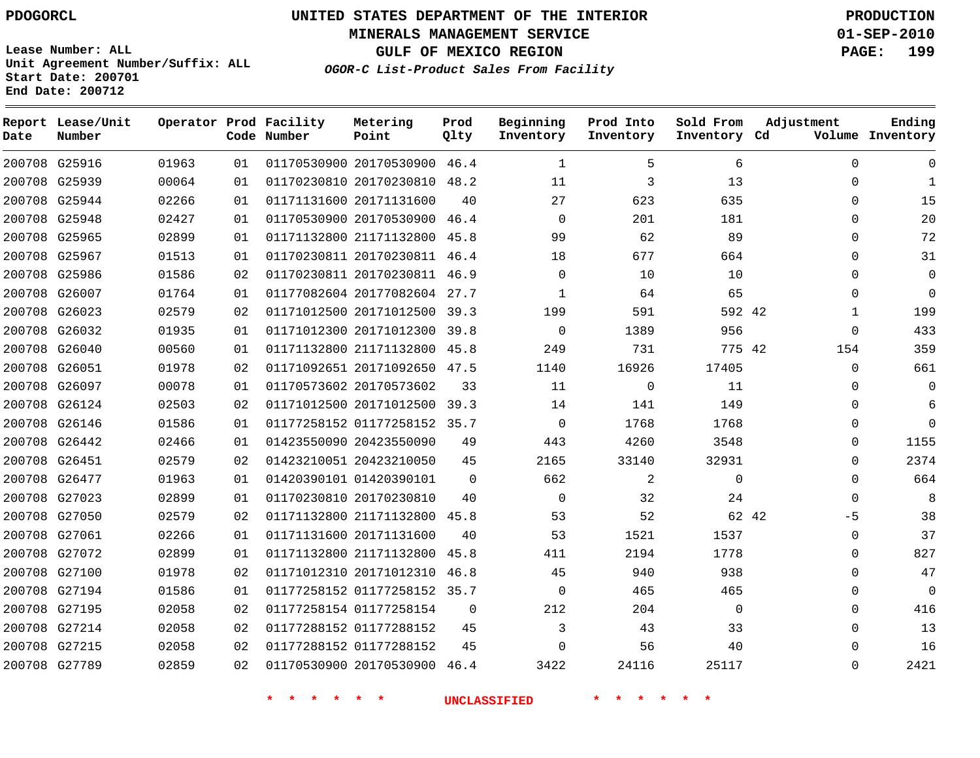**MINERALS MANAGEMENT SERVICE 01-SEP-2010**

**GULF OF MEXICO REGION PAGE: 199**

**Lease Number: ALL Unit Agreement Number/Suffix: ALL Start Date: 200701 End Date: 200712**

**OGOR-C List-Product Sales From Facility**

| Date | Report Lease/Unit<br>Number |       |    | Operator Prod Facility<br>Code Number | Metering<br>Point            | Prod<br>Qlty | Beginning<br>Inventory | Prod Into<br>Inventory | Sold From<br>Inventory Cd | Adjustment    | Ending<br>Volume Inventory |
|------|-----------------------------|-------|----|---------------------------------------|------------------------------|--------------|------------------------|------------------------|---------------------------|---------------|----------------------------|
|      | 200708 G25916               | 01963 | 01 |                                       | 01170530900 20170530900      | 46.4         | $\mathbf{1}$           | 5                      | 6                         | $\Omega$      | $\Omega$                   |
|      | 200708 G25939               | 00064 | 01 |                                       | 01170230810 20170230810 48.2 |              | 11                     | 3                      | 13                        | $\Omega$      | $\mathbf{1}$               |
|      | 200708 G25944               | 02266 | 01 |                                       | 01171131600 20171131600      | 40           | 27                     | 623                    | 635                       | $\Omega$      | 15                         |
|      | 200708 G25948               | 02427 | 01 |                                       | 01170530900 20170530900      | 46.4         | $\Omega$               | 201                    | 181                       | $\Omega$      | 20                         |
|      | 200708 G25965               | 02899 | 01 |                                       | 01171132800 21171132800      | 45.8         | 99                     | 62                     | 89                        | $\mathbf 0$   | 72                         |
|      | 200708 G25967               | 01513 | 01 |                                       | 01170230811 20170230811 46.4 |              | 18                     | 677                    | 664                       | 0             | 31                         |
|      | 200708 G25986               | 01586 | 02 |                                       | 01170230811 20170230811 46.9 |              | $\Omega$               | 10                     | 10                        | $\mathbf 0$   | $\mathbf 0$                |
|      | 200708 G26007               | 01764 | 01 |                                       | 01177082604 20177082604 27.7 |              | 1                      | 64                     | 65                        | $\Omega$      | $\Omega$                   |
|      | 200708 G26023               | 02579 | 02 |                                       | 01171012500 20171012500 39.3 |              | 199                    | 591                    | 592 42                    | $\mathbf{1}$  | 199                        |
|      | 200708 G26032               | 01935 | 01 |                                       | 01171012300 20171012300      | 39.8         | $\Omega$               | 1389                   | 956                       | $\mathbf 0$   | 433                        |
|      | 200708 G26040               | 00560 | 01 |                                       | 01171132800 21171132800      | 45.8         | 249                    | 731                    | 775 42                    | 154           | 359                        |
|      | 200708 G26051               | 01978 | 02 |                                       | 01171092651 20171092650      | 47.5         | 1140                   | 16926                  | 17405                     | $\mathbf 0$   | 661                        |
|      | 200708 G26097               | 00078 | 01 |                                       | 01170573602 20170573602      | 33           | 11                     | 0                      | 11                        | $\Omega$      | $\Omega$                   |
|      | 200708 G26124               | 02503 | 02 |                                       | 01171012500 20171012500 39.3 |              | 14                     | 141                    | 149                       | $\Omega$      | 6                          |
|      | 200708 G26146               | 01586 | 01 |                                       | 01177258152 01177258152 35.7 |              | $\Omega$               | 1768                   | 1768                      | $\Omega$      | $\Omega$                   |
|      | 200708 G26442               | 02466 | 01 |                                       | 01423550090 20423550090      | 49           | 443                    | 4260                   | 3548                      | $\Omega$      | 1155                       |
|      | 200708 G26451               | 02579 | 02 |                                       | 01423210051 20423210050      | 45           | 2165                   | 33140                  | 32931                     | 0             | 2374                       |
|      | 200708 G26477               | 01963 | 01 |                                       | 01420390101 01420390101      | $\Omega$     | 662                    | 2                      | $\mathbf{0}$              | $\mathbf 0$   | 664                        |
|      | 200708 G27023               | 02899 | 01 |                                       | 01170230810 20170230810      | 40           | $\Omega$               | 32                     | 24                        | $\mathbf 0$   | 8                          |
|      | 200708 G27050               | 02579 | 02 |                                       | 01171132800 21171132800      | 45.8         | 53                     | 52                     |                           | 62 42<br>$-5$ | 38                         |
|      | 200708 G27061               | 02266 | 01 |                                       | 01171131600 20171131600      | 40           | 53                     | 1521                   | 1537                      | $\Omega$      | 37                         |
|      | 200708 G27072               | 02899 | 01 |                                       | 01171132800 21171132800      | 45.8         | 411                    | 2194                   | 1778                      | $\Omega$      | 827                        |
|      | 200708 G27100               | 01978 | 02 |                                       | 01171012310 20171012310 46.8 |              | 45                     | 940                    | 938                       | $\mathbf 0$   | 47                         |
|      | 200708 G27194               | 01586 | 01 |                                       | 01177258152 01177258152 35.7 |              | $\mathbf 0$            | 465                    | 465                       | $\mathbf 0$   | $\overline{0}$             |
|      | 200708 G27195               | 02058 | 02 |                                       | 01177258154 01177258154      | $\mathbf 0$  | 212                    | 204                    | $\mathbf{0}$              | $\Omega$      | 416                        |
|      | 200708 G27214               | 02058 | 02 |                                       | 01177288152 01177288152      | 45           | 3                      | 43                     | 33                        | $\mathbf 0$   | 13                         |
|      | 200708 G27215               | 02058 | 02 |                                       | 01177288152 01177288152      | 45           | $\Omega$               | 56                     | 40                        | $\Omega$      | 16                         |
|      | 200708 G27789               | 02859 | 02 |                                       | 01170530900 20170530900      | 46.4         | 3422                   | 24116                  | 25117                     | $\Omega$      | 2421                       |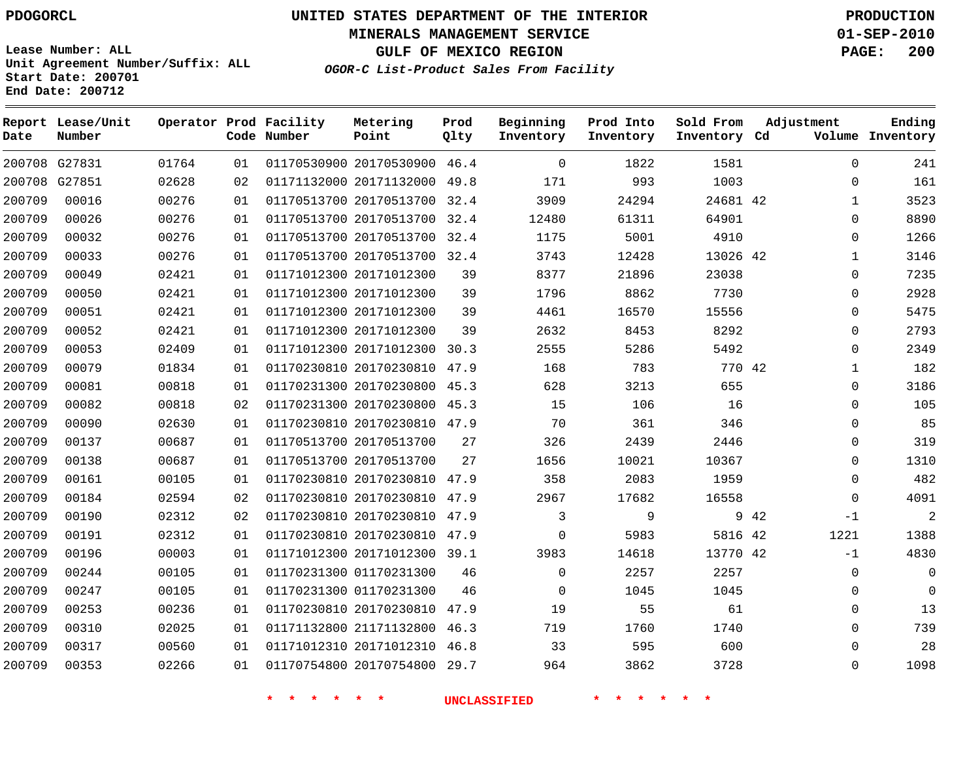**MINERALS MANAGEMENT SERVICE 01-SEP-2010**

**GULF OF MEXICO REGION PAGE: 200**

**Lease Number: ALL Unit Agreement Number/Suffix: ALL Start Date: 200701 End Date: 200712**

**OGOR-C List-Product Sales From Facility**

**Ending**

| Date   | Report Lease/Unit<br>Number |       |    | Operator Prod Facility<br>Code Number | Metering<br>Point            | Prod<br>Qlty | Beginning<br>Inventory | Prod Into<br>Inventory | Sold From<br>Inventory Cd | Adjustment |              | Ending<br>Volume Inventory |
|--------|-----------------------------|-------|----|---------------------------------------|------------------------------|--------------|------------------------|------------------------|---------------------------|------------|--------------|----------------------------|
|        | 200708 G27831               | 01764 | 01 |                                       | 01170530900 20170530900 46.4 |              | $\Omega$               | 1822                   | 1581                      |            | $\Omega$     | 241                        |
|        | 200708 G27851               | 02628 | 02 |                                       | 01171132000 20171132000 49.8 |              | 171                    | 993                    | 1003                      |            | $\Omega$     | 161                        |
| 200709 | 00016                       | 00276 | 01 |                                       | 01170513700 20170513700 32.4 |              | 3909                   | 24294                  | 24681 42                  |            | $\mathbf{1}$ | 3523                       |
| 200709 | 00026                       | 00276 | 01 |                                       | 01170513700 20170513700 32.4 |              | 12480                  | 61311                  | 64901                     |            | $\mathbf 0$  | 8890                       |
| 200709 | 00032                       | 00276 | 01 |                                       | 01170513700 20170513700 32.4 |              | 1175                   | 5001                   | 4910                      |            | 0            | 1266                       |
| 200709 | 00033                       | 00276 | 01 |                                       | 01170513700 20170513700 32.4 |              | 3743                   | 12428                  | 13026 42                  |            | $\mathbf{1}$ | 3146                       |
| 200709 | 00049                       | 02421 | 01 |                                       | 01171012300 20171012300      | 39           | 8377                   | 21896                  | 23038                     |            | 0            | 7235                       |
| 200709 | 00050                       | 02421 | 01 |                                       | 01171012300 20171012300      | 39           | 1796                   | 8862                   | 7730                      |            | 0            | 2928                       |
| 200709 | 00051                       | 02421 | 01 |                                       | 01171012300 20171012300      | 39           | 4461                   | 16570                  | 15556                     |            | 0            | 5475                       |
| 200709 | 00052                       | 02421 | 01 |                                       | 01171012300 20171012300      | 39           | 2632                   | 8453                   | 8292                      |            | 0            | 2793                       |
| 200709 | 00053                       | 02409 | 01 |                                       | 01171012300 20171012300 30.3 |              | 2555                   | 5286                   | 5492                      |            | 0            | 2349                       |
| 200709 | 00079                       | 01834 | 01 |                                       | 01170230810 20170230810 47.9 |              | 168                    | 783                    | 770 42                    |            | $\mathbf 1$  | 182                        |
| 200709 | 00081                       | 00818 | 01 |                                       | 01170231300 20170230800 45.3 |              | 628                    | 3213                   | 655                       |            | 0            | 3186                       |
| 200709 | 00082                       | 00818 | 02 |                                       | 01170231300 20170230800 45.3 |              | 15                     | 106                    | 16                        |            | $\mathbf 0$  | 105                        |
| 200709 | 00090                       | 02630 | 01 |                                       | 01170230810 20170230810 47.9 |              | 70                     | 361                    | 346                       |            | $\mathbf 0$  | 85                         |
| 200709 | 00137                       | 00687 | 01 |                                       | 01170513700 20170513700      | 27           | 326                    | 2439                   | 2446                      |            | 0            | 319                        |
| 200709 | 00138                       | 00687 | 01 |                                       | 01170513700 20170513700      | 27           | 1656                   | 10021                  | 10367                     |            | 0            | 1310                       |
| 200709 | 00161                       | 00105 | 01 |                                       | 01170230810 20170230810 47.9 |              | 358                    | 2083                   | 1959                      |            | $\mathbf{0}$ | 482                        |
| 200709 | 00184                       | 02594 | 02 |                                       | 01170230810 20170230810 47.9 |              | 2967                   | 17682                  | 16558                     |            | $\Omega$     | 4091                       |
| 200709 | 00190                       | 02312 | 02 |                                       | 01170230810 20170230810 47.9 |              | 3                      | 9                      |                           | 9 42       | $-1$         | $\overline{c}$             |
| 200709 | 00191                       | 02312 | 01 |                                       | 01170230810 20170230810 47.9 |              | $\Omega$               | 5983                   | 5816 42                   |            | 1221         | 1388                       |
| 200709 | 00196                       | 00003 | 01 |                                       | 01171012300 20171012300 39.1 |              | 3983                   | 14618                  | 13770 42                  |            | $-1$         | 4830                       |
| 200709 | 00244                       | 00105 | 01 |                                       | 01170231300 01170231300      | 46           | $\Omega$               | 2257                   | 2257                      |            | 0            | $\overline{0}$             |
| 200709 | 00247                       | 00105 | 01 |                                       | 01170231300 01170231300      | 46           | $\mathbf 0$            | 1045                   | 1045                      |            | 0            | $\mathbf 0$                |
| 200709 | 00253                       | 00236 | 01 |                                       | 01170230810 20170230810 47.9 |              | 19                     | 55                     | 61                        |            | 0            | 13                         |
| 200709 | 00310                       | 02025 | 01 |                                       | 01171132800 21171132800 46.3 |              | 719                    | 1760                   | 1740                      |            | 0            | 739                        |
| 200709 | 00317                       | 00560 | 01 |                                       | 01171012310 20171012310 46.8 |              | 33                     | 595                    | 600                       |            | 0            | 28                         |
| 200709 | 00353                       | 02266 | 01 |                                       | 01170754800 20170754800 29.7 |              | 964                    | 3862                   | 3728                      |            | $\Omega$     | 1098                       |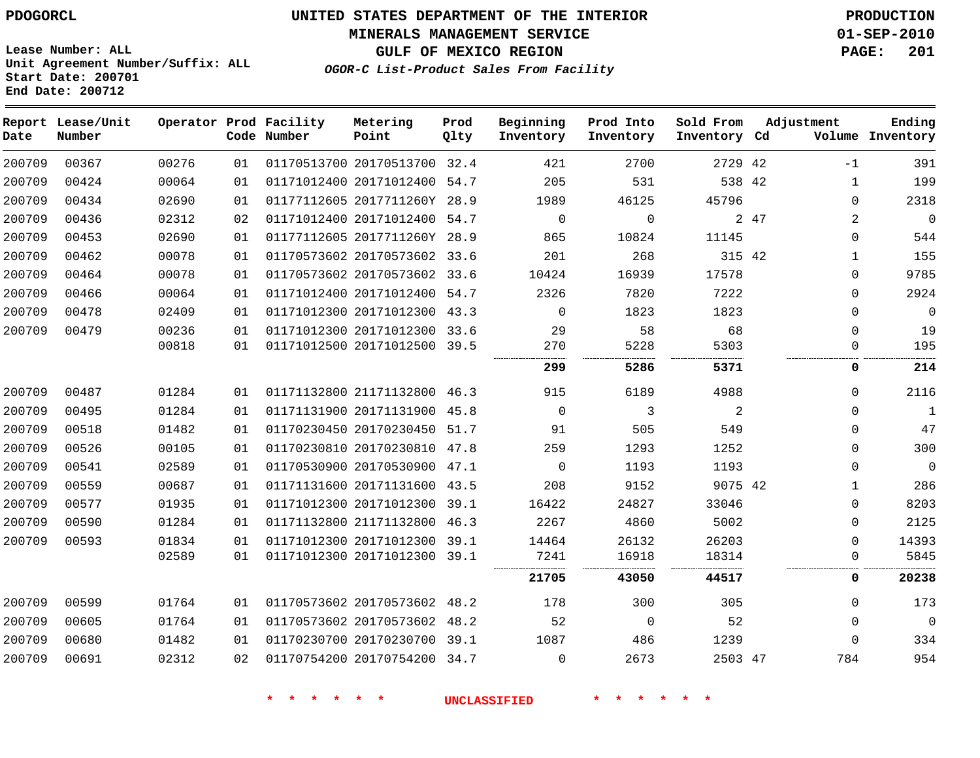**MINERALS MANAGEMENT SERVICE 01-SEP-2010**

**GULF OF MEXICO REGION PAGE: 201**

**Lease Number: ALL Unit Agreement Number/Suffix: ALL Start Date: 200701 End Date: 200712**

**OGOR-C List-Product Sales From Facility**

| Date   | Report Lease/Unit<br>Number |       |    | Operator Prod Facility<br>Code Number | Metering<br>Point            | Prod<br>Qlty | Beginning<br>Inventory | Prod Into<br>Inventory | Sold From<br>Inventory Cd |      | Adjustment     | Ending<br>Volume Inventory |
|--------|-----------------------------|-------|----|---------------------------------------|------------------------------|--------------|------------------------|------------------------|---------------------------|------|----------------|----------------------------|
| 200709 | 00367                       | 00276 | 01 |                                       | 01170513700 20170513700 32.4 |              | 421                    | 2700                   | 2729 42                   |      | $-1$           | 391                        |
| 200709 | 00424                       | 00064 | 01 |                                       | 01171012400 20171012400 54.7 |              | 205                    | 531                    | 538 42                    |      | $\mathbf 1$    | 199                        |
| 200709 | 00434                       | 02690 | 01 |                                       | 01177112605 2017711260Y 28.9 |              | 1989                   | 46125                  | 45796                     |      | $\Omega$       | 2318                       |
| 200709 | 00436                       | 02312 | 02 |                                       | 01171012400 20171012400 54.7 |              | $\mathbf 0$            | $\mathbf 0$            |                           | 2 47 | $\overline{2}$ | $\mathbf 0$                |
| 200709 | 00453                       | 02690 | 01 |                                       | 01177112605 2017711260Y 28.9 |              | 865                    | 10824                  | 11145                     |      | $\Omega$       | 544                        |
| 200709 | 00462                       | 00078 | 01 |                                       | 01170573602 20170573602 33.6 |              | 201                    | 268                    | 315 42                    |      | 1              | 155                        |
| 200709 | 00464                       | 00078 | 01 |                                       | 01170573602 20170573602 33.6 |              | 10424                  | 16939                  | 17578                     |      | 0              | 9785                       |
| 200709 | 00466                       | 00064 | 01 |                                       | 01171012400 20171012400 54.7 |              | 2326                   | 7820                   | 7222                      |      | $\Omega$       | 2924                       |
| 200709 | 00478                       | 02409 | 01 |                                       | 01171012300 20171012300      | 43.3         | $\Omega$               | 1823                   | 1823                      |      | $\Omega$       | $\overline{0}$             |
| 200709 | 00479                       | 00236 | 01 |                                       | 01171012300 20171012300 33.6 |              | 29                     | 58                     | 68                        |      | $\Omega$       | 19                         |
|        |                             | 00818 | 01 |                                       | 01171012500 20171012500 39.5 |              | 270                    | 5228                   | 5303                      |      | $\Omega$       | 195                        |
|        |                             |       |    |                                       |                              |              | 299                    | 5286                   | 5371                      |      | 0              | 214                        |
| 200709 | 00487                       | 01284 | 01 |                                       | 01171132800 21171132800 46.3 |              | 915                    | 6189                   | 4988                      |      | $\Omega$       | 2116                       |
| 200709 | 00495                       | 01284 | 01 |                                       | 01171131900 20171131900      | 45.8         | $\mathbf 0$            | 3                      | 2                         |      | $\Omega$       | 1                          |
| 200709 | 00518                       | 01482 | 01 |                                       | 01170230450 20170230450 51.7 |              | 91                     | 505                    | 549                       |      | $\Omega$       | 47                         |
| 200709 | 00526                       | 00105 | 01 |                                       | 01170230810 20170230810 47.8 |              | 259                    | 1293                   | 1252                      |      | $\Omega$       | 300                        |
| 200709 | 00541                       | 02589 | 01 |                                       | 01170530900 20170530900      | 47.1         | $\mathbf 0$            | 1193                   | 1193                      |      | $\Omega$       | $\mathbf 0$                |
| 200709 | 00559                       | 00687 | 01 |                                       | 01171131600 20171131600 43.5 |              | 208                    | 9152                   | 9075 42                   |      | 1              | 286                        |
| 200709 | 00577                       | 01935 | 01 |                                       | 01171012300 20171012300 39.1 |              | 16422                  | 24827                  | 33046                     |      | $\Omega$       | 8203                       |
| 200709 | 00590                       | 01284 | 01 |                                       | 01171132800 21171132800 46.3 |              | 2267                   | 4860                   | 5002                      |      | $\Omega$       | 2125                       |
| 200709 | 00593                       | 01834 | 01 |                                       | 01171012300 20171012300 39.1 |              | 14464                  | 26132                  | 26203                     |      | $\Omega$       | 14393                      |
|        |                             | 02589 | 01 |                                       | 01171012300 20171012300 39.1 |              | 7241                   | 16918                  | 18314                     |      | 0              | 5845                       |
|        |                             |       |    |                                       |                              |              | 21705                  | 43050                  | 44517                     |      | 0              | 20238                      |
| 200709 | 00599                       | 01764 | 01 |                                       | 01170573602 20170573602 48.2 |              | 178                    | 300                    | 305                       |      | 0              | 173                        |
| 200709 | 00605                       | 01764 | 01 |                                       | 01170573602 20170573602 48.2 |              | 52                     | $\mathbf 0$            | 52                        |      | $\Omega$       | 0                          |
| 200709 | 00680                       | 01482 | 01 |                                       | 01170230700 20170230700 39.1 |              | 1087                   | 486                    | 1239                      |      | 0              | 334                        |
| 200709 | 00691                       | 02312 | 02 |                                       | 01170754200 20170754200 34.7 |              | 0                      | 2673                   | 2503 47                   |      | 784            | 954                        |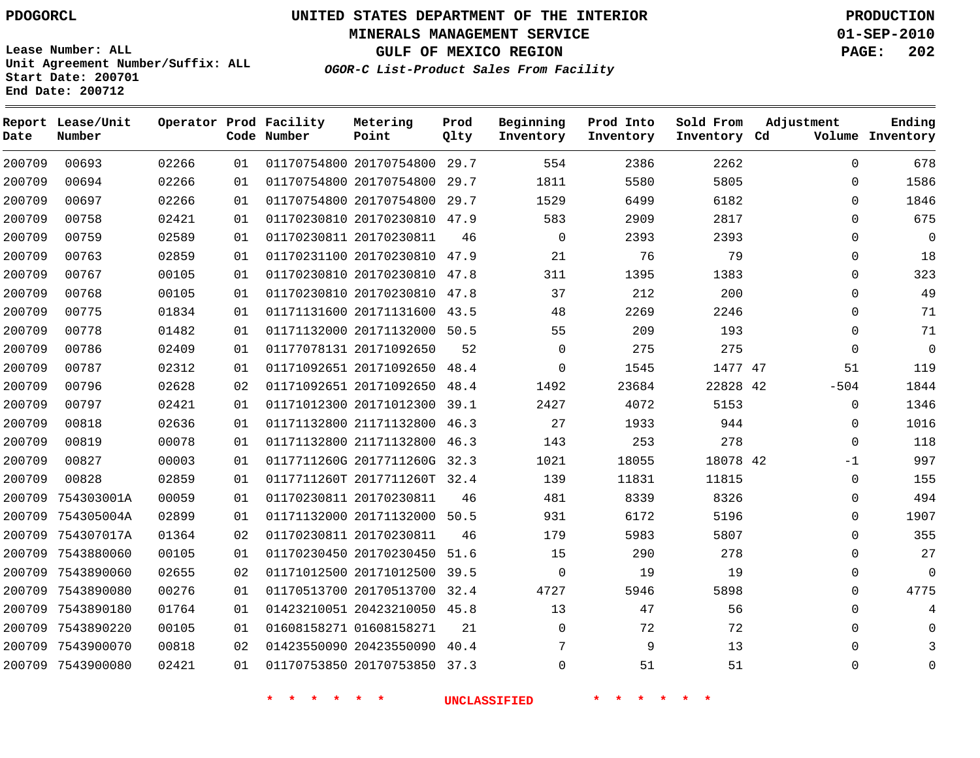**Start Date: 200701 End Date: 200712**

**Unit Agreement Number/Suffix: ALL**

# **UNITED STATES DEPARTMENT OF THE INTERIOR PDOGORCL PRODUCTION**

**MINERALS MANAGEMENT SERVICE 01-SEP-2010**

**GULF OF MEXICO REGION PAGE: 202**

**OGOR-C List-Product Sales From Facility**

| Date   | Report Lease/Unit<br>Number |       |    | Operator Prod Facility<br>Code Number | Metering<br>Point            | Prod<br>Qlty | Beginning<br>Inventory | Prod Into<br>Inventory | Sold From<br>Inventory Cd | Adjustment  | Ending<br>Volume Inventory |
|--------|-----------------------------|-------|----|---------------------------------------|------------------------------|--------------|------------------------|------------------------|---------------------------|-------------|----------------------------|
| 200709 | 00693                       | 02266 | 01 |                                       | 01170754800 20170754800 29.7 |              | 554                    | 2386                   | 2262                      | $\Omega$    | 678                        |
| 200709 | 00694                       | 02266 | 01 |                                       | 01170754800 20170754800      | 29.7         | 1811                   | 5580                   | 5805                      | $\Omega$    | 1586                       |
| 200709 | 00697                       | 02266 | 01 |                                       | 01170754800 20170754800      | 29.7         | 1529                   | 6499                   | 6182                      | $\Omega$    | 1846                       |
| 200709 | 00758                       | 02421 | 01 |                                       | 01170230810 20170230810      | 47.9         | 583                    | 2909                   | 2817                      | $\mathbf 0$ | 675                        |
| 200709 | 00759                       | 02589 | 01 |                                       | 01170230811 20170230811      | 46           | $\mathbf 0$            | 2393                   | 2393                      | 0           | $\overline{0}$             |
| 200709 | 00763                       | 02859 | 01 |                                       | 01170231100 20170230810      | 47.9         | 21                     | 76                     | 79                        | 0           | 18                         |
| 200709 | 00767                       | 00105 | 01 |                                       | 01170230810 20170230810      | 47.8         | 311                    | 1395                   | 1383                      | $\Omega$    | 323                        |
| 200709 | 00768                       | 00105 | 01 |                                       | 01170230810 20170230810      | 47.8         | 37                     | 212                    | 200                       | 0           | 49                         |
| 200709 | 00775                       | 01834 | 01 |                                       | 01171131600 20171131600      | 43.5         | 48                     | 2269                   | 2246                      | $\Omega$    | 71                         |
| 200709 | 00778                       | 01482 | 01 |                                       | 01171132000 20171132000      | 50.5         | 55                     | 209                    | 193                       | $\Omega$    | 71                         |
| 200709 | 00786                       | 02409 | 01 |                                       | 01177078131 20171092650      | 52           | $\mathbf 0$            | 275                    | 275                       | $\Omega$    | $\overline{0}$             |
| 200709 | 00787                       | 02312 | 01 |                                       | 01171092651 20171092650      | 48.4         | $\mathbf{0}$           | 1545                   | 1477 47                   | 51          | 119                        |
| 200709 | 00796                       | 02628 | 02 |                                       | 01171092651 20171092650      | 48.4         | 1492                   | 23684                  | 22828 42                  | $-504$      | 1844                       |
| 200709 | 00797                       | 02421 | 01 |                                       | 01171012300 20171012300      | 39.1         | 2427                   | 4072                   | 5153                      | $\Omega$    | 1346                       |
| 200709 | 00818                       | 02636 | 01 |                                       | 01171132800 21171132800      | 46.3         | 27                     | 1933                   | 944                       | $\Omega$    | 1016                       |
| 200709 | 00819                       | 00078 | 01 |                                       | 01171132800 21171132800      | 46.3         | 143                    | 253                    | 278                       | $\Omega$    | 118                        |
| 200709 | 00827                       | 00003 | 01 |                                       | 0117711260G 2017711260G 32.3 |              | 1021                   | 18055                  | 18078 42                  | $-1$        | 997                        |
| 200709 | 00828                       | 02859 | 01 |                                       | 0117711260T 2017711260T 32.4 |              | 139                    | 11831                  | 11815                     | $\mathbf 0$ | 155                        |
| 200709 | 754303001A                  | 00059 | 01 |                                       | 01170230811 20170230811      | 46           | 481                    | 8339                   | 8326                      | $\Omega$    | 494                        |
| 200709 | 754305004A                  | 02899 | 01 |                                       | 01171132000 20171132000 50.5 |              | 931                    | 6172                   | 5196                      | $\Omega$    | 1907                       |
| 200709 | 754307017A                  | 01364 | 02 |                                       | 01170230811 20170230811      | 46           | 179                    | 5983                   | 5807                      | 0           | 355                        |
| 200709 | 7543880060                  | 00105 | 01 |                                       | 01170230450 20170230450 51.6 |              | 15                     | 290                    | 278                       | $\mathbf 0$ | 27                         |
| 200709 | 7543890060                  | 02655 | 02 |                                       | 01171012500 20171012500      | 39.5         | $\mathbf 0$            | 19                     | 19                        | $\Omega$    | $\Omega$                   |
| 200709 | 7543890080                  | 00276 | 01 |                                       | 01170513700 20170513700      | 32.4         | 4727                   | 5946                   | 5898                      | $\Omega$    | 4775                       |
| 200709 | 7543890180                  | 01764 | 01 |                                       | 01423210051 20423210050      | 45.8         | 13                     | 47                     | 56                        | $\Omega$    | 4                          |
| 200709 | 7543890220                  | 00105 | 01 |                                       | 01608158271 01608158271      | 21           | 0                      | 72                     | 72                        | 0           | $\mathbf 0$                |
| 200709 | 7543900070                  | 00818 | 02 |                                       | 01423550090 20423550090      | 40.4         | 7                      | 9                      | 13                        | 0           | $\mathbf{3}$               |
| 200709 | 7543900080                  | 02421 | 01 |                                       | 01170753850 20170753850      | 37.3         | $\Omega$               | 51                     | 51                        | $\Omega$    | $\Omega$                   |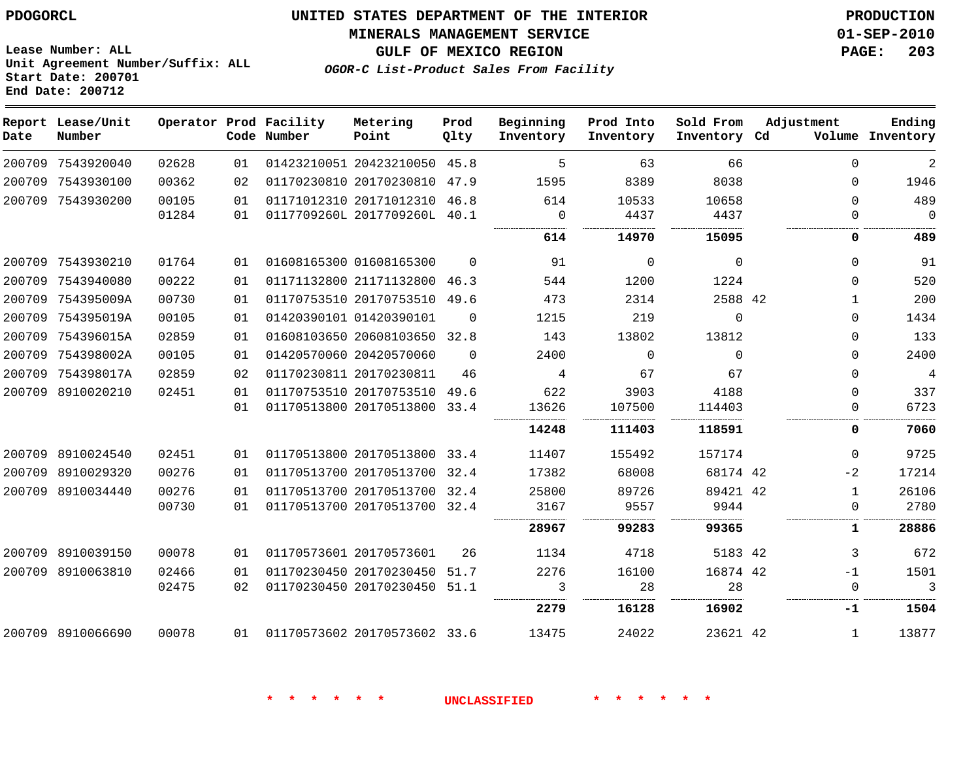**End Date: 200712**

# **UNITED STATES DEPARTMENT OF THE INTERIOR PDOGORCL PRODUCTION**

**MINERALS MANAGEMENT SERVICE 01-SEP-2010**

**Unit Agreement Number/Suffix: ALL Start Date: 200701**

**OGOR-C List-Product Sales From Facility**

**GULF OF MEXICO REGION PAGE: 203**

| Date   | Report Lease/Unit<br>Number |       |    | Operator Prod Facility<br>Code Number | Metering<br>Point            | Prod<br>Qlty | Beginning<br>Inventory | Prod Into<br>Inventory | Sold From<br>Inventory Cd | Adjustment   | Ending<br>Volume Inventory |
|--------|-----------------------------|-------|----|---------------------------------------|------------------------------|--------------|------------------------|------------------------|---------------------------|--------------|----------------------------|
| 200709 | 7543920040                  | 02628 | 01 |                                       | 01423210051 20423210050 45.8 |              | 5                      | 63                     | 66                        | $\Omega$     | $\overline{2}$             |
| 200709 | 7543930100                  | 00362 | 02 |                                       | 01170230810 20170230810      | 47.9         | 1595                   | 8389                   | 8038                      | $\Omega$     | 1946                       |
| 200709 | 7543930200                  | 00105 | 01 |                                       | 01171012310 20171012310      | 46.8         | 614                    | 10533                  | 10658                     | $\mathbf{0}$ | 489                        |
|        |                             | 01284 | 01 |                                       | 0117709260L 2017709260L      | 40.1         | $\Omega$               | 4437                   | 4437                      | $\Omega$     | $\Omega$                   |
|        |                             |       |    |                                       |                              |              | 614                    | 14970                  | 15095                     | 0            | 489                        |
| 200709 | 7543930210                  | 01764 | 01 |                                       | 01608165300 01608165300      | $\Omega$     | 91                     | $\Omega$               | $\Omega$                  | $\Omega$     | 91                         |
| 200709 | 7543940080                  | 00222 | 01 |                                       | 01171132800 21171132800      | 46.3         | 544                    | 1200                   | 1224                      | $\Omega$     | 520                        |
| 200709 | 754395009A                  | 00730 | 01 |                                       | 01170753510 20170753510      | 49.6         | 473                    | 2314                   | 2588 42                   | $\mathbf 1$  | 200                        |
| 200709 | 754395019A                  | 00105 | 01 |                                       | 01420390101 01420390101      | $\Omega$     | 1215                   | 219                    | $\Omega$                  | $\Omega$     | 1434                       |
| 200709 | 754396015A                  | 02859 | 01 |                                       | 01608103650 20608103650      | 32.8         | 143                    | 13802                  | 13812                     | 0            | 133                        |
| 200709 | 754398002A                  | 00105 | 01 |                                       | 01420570060 20420570060      | $\Omega$     | 2400                   | $\Omega$               | $\Omega$                  | $\Omega$     | 2400                       |
| 200709 | 754398017A                  | 02859 | 02 |                                       | 01170230811 20170230811      | 46           | 4                      | 67                     | 67                        | $\Omega$     | $\overline{4}$             |
| 200709 | 8910020210                  | 02451 | 01 |                                       | 01170753510 20170753510      | 49.6         | 622                    | 3903                   | 4188                      | 0            | 337                        |
|        |                             |       | 01 |                                       | 01170513800 20170513800      | 33.4         | 13626                  | 107500                 | 114403                    | $\Omega$     | 6723                       |
|        |                             |       |    |                                       |                              |              | 14248                  | 111403                 | 118591                    | 0            | 7060                       |
| 200709 | 8910024540                  | 02451 | 01 |                                       | 01170513800 20170513800      | 33.4         | 11407                  | 155492                 | 157174                    | $\Omega$     | 9725                       |
| 200709 | 8910029320                  | 00276 | 01 |                                       | 01170513700 20170513700      | 32.4         | 17382                  | 68008                  | 68174 42                  | $-2$         | 17214                      |
| 200709 | 8910034440                  | 00276 | 01 |                                       | 01170513700 20170513700      | 32.4         | 25800                  | 89726                  | 89421 42                  | $\mathbf{1}$ | 26106                      |
|        |                             | 00730 | 01 |                                       | 01170513700 20170513700      | 32.4         | 3167                   | 9557                   | 9944                      | $\Omega$     | 2780                       |
|        |                             |       |    |                                       |                              |              | 28967                  | 99283                  | 99365                     | 1            | 28886                      |
| 200709 | 8910039150                  | 00078 | 01 |                                       | 01170573601 20170573601      | 26           | 1134                   | 4718                   | 5183 42                   | 3            | 672                        |
| 200709 | 8910063810                  | 02466 | 01 |                                       | 01170230450 20170230450      | 51.7         | 2276                   | 16100                  | 16874 42                  | $-1$         | 1501                       |
|        |                             | 02475 | 02 |                                       | 01170230450 20170230450      | 51.1         | 3                      | 28                     | 28                        | $\Omega$     | 3                          |
|        |                             |       |    |                                       |                              |              | 2279                   | 16128                  | 16902                     | -1           | 1504                       |
|        | 200709 8910066690           | 00078 | 01 |                                       | 01170573602 20170573602 33.6 |              | 13475                  | 24022                  | 23621 42                  | $\mathbf{1}$ | 13877                      |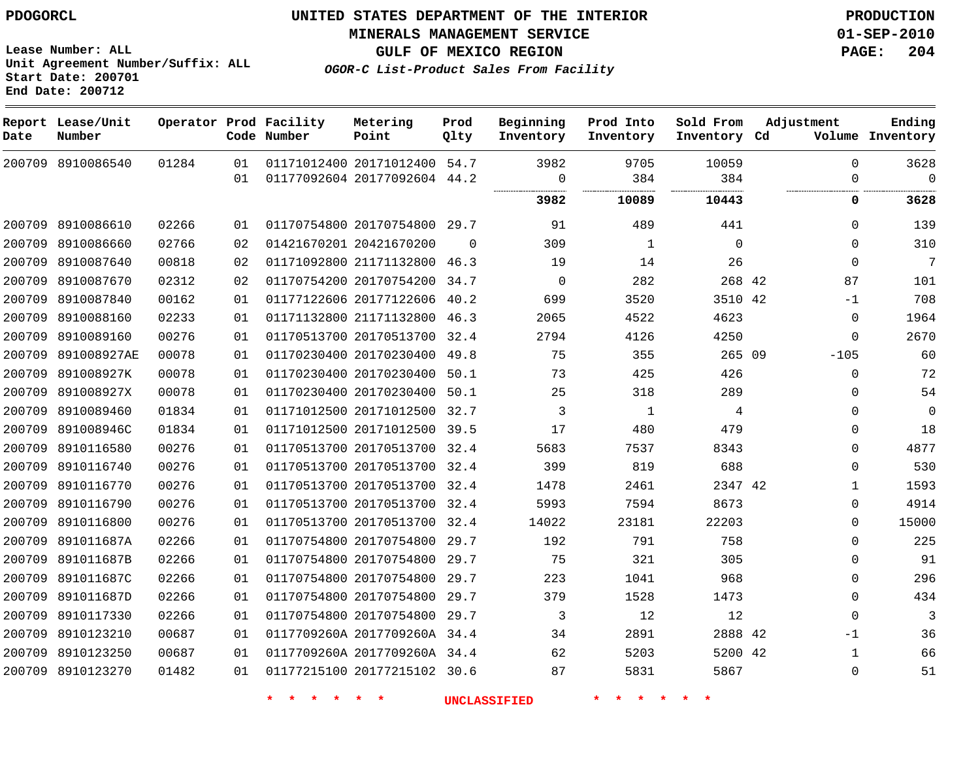**Start Date: 200701 End Date: 200712**

**Unit Agreement Number/Suffix: ALL**

# **UNITED STATES DEPARTMENT OF THE INTERIOR PDOGORCL PRODUCTION**

**MINERALS MANAGEMENT SERVICE 01-SEP-2010**

**GULF OF MEXICO REGION PAGE: 204**

**OGOR-C List-Product Sales From Facility**

| Date   | Report Lease/Unit<br>Number |       |     | Operator Prod Facility<br>Code Number | Metering<br>Point            | Prod<br>Qlty | Beginning<br>Inventory | Prod Into<br>Inventory | Sold From<br>Inventory Cd | Adjustment   | Ending<br>Volume Inventory |
|--------|-----------------------------|-------|-----|---------------------------------------|------------------------------|--------------|------------------------|------------------------|---------------------------|--------------|----------------------------|
|        | 200709 8910086540           | 01284 | 01  |                                       | 01171012400 20171012400 54.7 |              | 3982                   | 9705                   | 10059                     | $\Omega$     | 3628                       |
|        |                             |       | 01  |                                       | 01177092604 20177092604 44.2 |              | 0                      | 384                    | 384                       | 0            | $\Omega$                   |
|        |                             |       |     |                                       |                              |              | 3982                   | 10089                  | 10443                     | 0            | 3628                       |
|        | 200709 8910086610           | 02266 | 01  |                                       | 01170754800 20170754800 29.7 |              | 91                     | 489                    | 441                       | $\Omega$     | 139                        |
|        | 200709 8910086660           | 02766 | 02  |                                       | 01421670201 20421670200      | 0            | 309                    | 1                      | $\mathbf 0$               | $\Omega$     | 310                        |
|        | 200709 8910087640           | 00818 | 02  |                                       | 01171092800 21171132800 46.3 |              | 19                     | 14                     | 26                        | $\Omega$     | 7                          |
|        | 200709 8910087670           | 02312 | 02  |                                       | 01170754200 20170754200      | 34.7         | 0                      | 282                    | 268 42                    | 87           | 101                        |
|        | 200709 8910087840           | 00162 | 01  |                                       | 01177122606 20177122606      | 40.2         | 699                    | 3520                   | 3510 42                   | $-1$         | 708                        |
| 200709 | 8910088160                  | 02233 | 01  |                                       | 01171132800 21171132800      | 46.3         | 2065                   | 4522                   | 4623                      | $\Omega$     | 1964                       |
| 200709 | 8910089160                  | 00276 | 01  |                                       | 01170513700 20170513700      | 32.4         | 2794                   | 4126                   | 4250                      | $\Omega$     | 2670                       |
| 200709 | 891008927AE                 | 00078 | 01  |                                       | 01170230400 20170230400      | 49.8         | 75                     | 355                    | 265 09                    | $-105$       | 60                         |
| 200709 | 891008927K                  | 00078 | 01  |                                       | 01170230400 20170230400      | 50.1         | 73                     | 425                    | 426                       | $\mathbf 0$  | 72                         |
|        | 200709 891008927X           | 00078 | 01  |                                       | 01170230400 20170230400      | 50.1         | 25                     | 318                    | 289                       | $\Omega$     | 54                         |
| 200709 | 8910089460                  | 01834 | 01  |                                       | 01171012500 20171012500      | 32.7         | 3                      | $\mathbf{1}$           | 4                         | 0            | $\overline{0}$             |
|        | 200709 891008946C           | 01834 | 01  |                                       | 01171012500 20171012500      | 39.5         | 17                     | 480                    | 479                       | $\Omega$     | 18                         |
|        | 200709 8910116580           | 00276 | 01  |                                       | 01170513700 20170513700      | 32.4         | 5683                   | 7537                   | 8343                      | $\Omega$     | 4877                       |
|        | 200709 8910116740           | 00276 | 01  |                                       | 01170513700 20170513700 32.4 |              | 399                    | 819                    | 688                       | $\Omega$     | 530                        |
| 200709 | 8910116770                  | 00276 | 01  |                                       | 01170513700 20170513700      | 32.4         | 1478                   | 2461                   | 2347 42                   | $\mathbf{1}$ | 1593                       |
| 200709 | 8910116790                  | 00276 | 01  |                                       | 01170513700 20170513700      | 32.4         | 5993                   | 7594                   | 8673                      | $\Omega$     | 4914                       |
|        | 200709 8910116800           | 00276 | 01  |                                       | 01170513700 20170513700      | 32.4         | 14022                  | 23181                  | 22203                     | $\Omega$     | 15000                      |
|        | 200709 891011687A           | 02266 | 01  |                                       | 01170754800 20170754800      | 29.7         | 192                    | 791                    | 758                       | 0            | 225                        |
|        | 200709 891011687B           | 02266 | 01  |                                       | 01170754800 20170754800      | 29.7         | 75                     | 321                    | 305                       | 0            | 91                         |
| 200709 | 891011687C                  | 02266 | 01  |                                       | 01170754800 20170754800      | 29.7         | 223                    | 1041                   | 968                       | $\Omega$     | 296                        |
|        | 200709 891011687D           | 02266 | 01  |                                       | 01170754800 20170754800      | 29.7         | 379                    | 1528                   | 1473                      | $\Omega$     | 434                        |
| 200709 | 8910117330                  | 02266 | 01  |                                       | 01170754800 20170754800      | 29.7         | 3                      | 12                     | 12                        | $\Omega$     | $\overline{3}$             |
| 200709 | 8910123210                  | 00687 | 01  |                                       | 0117709260A 2017709260A 34.4 |              | 34                     | 2891                   | 2888 42                   | $-1$         | 36                         |
| 200709 | 8910123250                  | 00687 | 01  |                                       | 0117709260A 2017709260A 34.4 |              | 62                     | 5203                   | 5200 42                   | $\mathbf{1}$ | 66                         |
|        | 200709 8910123270           | 01482 | O 1 |                                       | 01177215100 20177215102 30.6 |              | 87                     | 5831                   | 5867                      | $\Omega$     | 51                         |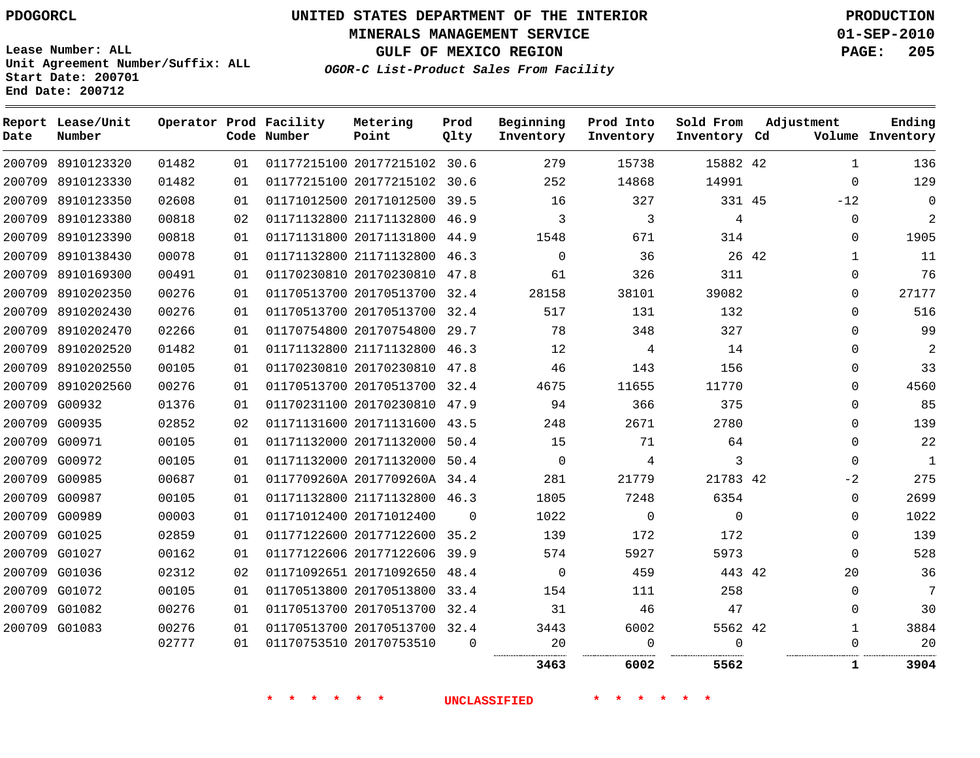**Start Date: 200701 End Date: 200712**

**Unit Agreement Number/Suffix: ALL**

# **UNITED STATES DEPARTMENT OF THE INTERIOR PDOGORCL PRODUCTION**

**MINERALS MANAGEMENT SERVICE 01-SEP-2010**

**GULF OF MEXICO REGION PAGE: 205**

**OGOR-C List-Product Sales From Facility**

| Date   | Report Lease/Unit<br>Number |       |    | Operator Prod Facility<br>Code Number | Metering<br>Point            | Prod<br>Olty | Beginning<br>Inventory | Prod Into<br>Inventory | Sold From<br>Inventory Cd | Adjustment |              | Ending<br>Volume Inventory |
|--------|-----------------------------|-------|----|---------------------------------------|------------------------------|--------------|------------------------|------------------------|---------------------------|------------|--------------|----------------------------|
|        | 200709 8910123320           | 01482 | 01 |                                       | 01177215100 20177215102 30.6 |              | 279                    | 15738                  | 15882 42                  |            | $\mathbf{1}$ | 136                        |
|        | 200709 8910123330           | 01482 | 01 |                                       | 01177215100 20177215102      | 30.6         | 252                    | 14868                  | 14991                     |            | $\Omega$     | 129                        |
| 200709 | 8910123350                  | 02608 | 01 |                                       | 01171012500 20171012500      | 39.5         | 16                     | 327                    | 331 45                    |            | $-12$        | $\Omega$                   |
|        | 200709 8910123380           | 00818 | 02 |                                       | 01171132800 21171132800      | 46.9         | 3                      | 3                      | $\overline{4}$            |            | $\mathbf 0$  | 2                          |
| 200709 | 8910123390                  | 00818 | 01 |                                       | 01171131800 20171131800      | 44.9         | 1548                   | 671                    | 314                       |            | $\Omega$     | 1905                       |
|        | 200709 8910138430           | 00078 | 01 |                                       | 01171132800 21171132800      | 46.3         | $\mathbf 0$            | 36                     | 26 42                     |            | 1            | 11                         |
|        | 200709 8910169300           | 00491 | 01 |                                       | 01170230810 20170230810      | 47.8         | 61                     | 326                    | 311                       |            | $\Omega$     | 76                         |
|        | 200709 8910202350           | 00276 | 01 |                                       | 01170513700 20170513700 32.4 |              | 28158                  | 38101                  | 39082                     |            | 0            | 27177                      |
|        | 200709 8910202430           | 00276 | 01 |                                       | 01170513700 20170513700 32.4 |              | 517                    | 131                    | 132                       |            | $\mathbf{0}$ | 516                        |
|        | 200709 8910202470           | 02266 | 01 |                                       | 01170754800 20170754800      | 29.7         | 78                     | 348                    | 327                       |            | $\mathbf 0$  | 99                         |
|        | 200709 8910202520           | 01482 | 01 |                                       | 01171132800 21171132800 46.3 |              | 12                     | 4                      | 14                        |            | $\Omega$     | $\sqrt{2}$                 |
|        | 200709 8910202550           | 00105 | 01 |                                       | 01170230810 20170230810      | 47.8         | 46                     | 143                    | 156                       |            | $\Omega$     | 33                         |
|        | 200709 8910202560           | 00276 | 01 |                                       | 01170513700 20170513700 32.4 |              | 4675                   | 11655                  | 11770                     |            | $\Omega$     | 4560                       |
|        | 200709 G00932               | 01376 | 01 |                                       | 01170231100 20170230810      | 47.9         | 94                     | 366                    | 375                       |            | 0            | 85                         |
|        | 200709 G00935               | 02852 | 02 |                                       | 01171131600 20171131600      | 43.5         | 248                    | 2671                   | 2780                      |            | $\mathbf 0$  | 139                        |
|        | 200709 G00971               | 00105 | 01 |                                       | 01171132000 20171132000 50.4 |              | 15                     | 71                     | 64                        |            | $\Omega$     | 22                         |
|        | 200709 G00972               | 00105 | 01 |                                       | 01171132000 20171132000      | 50.4         | $\mathbf 0$            | 4                      | 3                         |            | $\Omega$     | 1                          |
|        | 200709 G00985               | 00687 | 01 |                                       | 0117709260A 2017709260A 34.4 |              | 281                    | 21779                  | 21783 42                  |            | $-2$         | 275                        |
|        | 200709 G00987               | 00105 | 01 |                                       | 01171132800 21171132800      | 46.3         | 1805                   | 7248                   | 6354                      |            | 0            | 2699                       |
|        | 200709 G00989               | 00003 | 01 |                                       | 01171012400 20171012400      | $\Omega$     | 1022                   | $\mathbf 0$            | $\Omega$                  |            | $\Omega$     | 1022                       |
|        | 200709 G01025               | 02859 | 01 |                                       | 01177122600 20177122600 35.2 |              | 139                    | 172                    | 172                       |            | $\mathbf 0$  | 139                        |
|        | 200709 G01027               | 00162 | 01 |                                       | 01177122606 20177122606 39.9 |              | 574                    | 5927                   | 5973                      |            | $\Omega$     | 528                        |
|        | 200709 G01036               | 02312 | 02 |                                       | 01171092651 20171092650      | 48.4         | 0                      | 459                    | 443 42                    |            | 20           | 36                         |
|        | 200709 G01072               | 00105 | 01 |                                       | 01170513800 20170513800      | 33.4         | 154                    | 111                    | 258                       |            | $\Omega$     | 7                          |
|        | 200709 G01082               | 00276 | 01 |                                       | 01170513700 20170513700      | 32.4         | 31                     | 46                     | 47                        |            | $\Omega$     | 30                         |
|        | 200709 G01083               | 00276 | 01 |                                       | 01170513700 20170513700 32.4 |              | 3443                   | 6002                   | 5562 42                   |            | $\mathbf{1}$ | 3884                       |
|        |                             | 02777 | 01 |                                       | 01170753510 20170753510      | $\Omega$     | 20<br>                 | $\Omega$<br>           | $\Omega$<br>              |            | $\Omega$     | 20<br>.                    |
|        |                             |       |    |                                       |                              |              | 3463                   | 6002                   | 5562                      |            | 1            | 3904                       |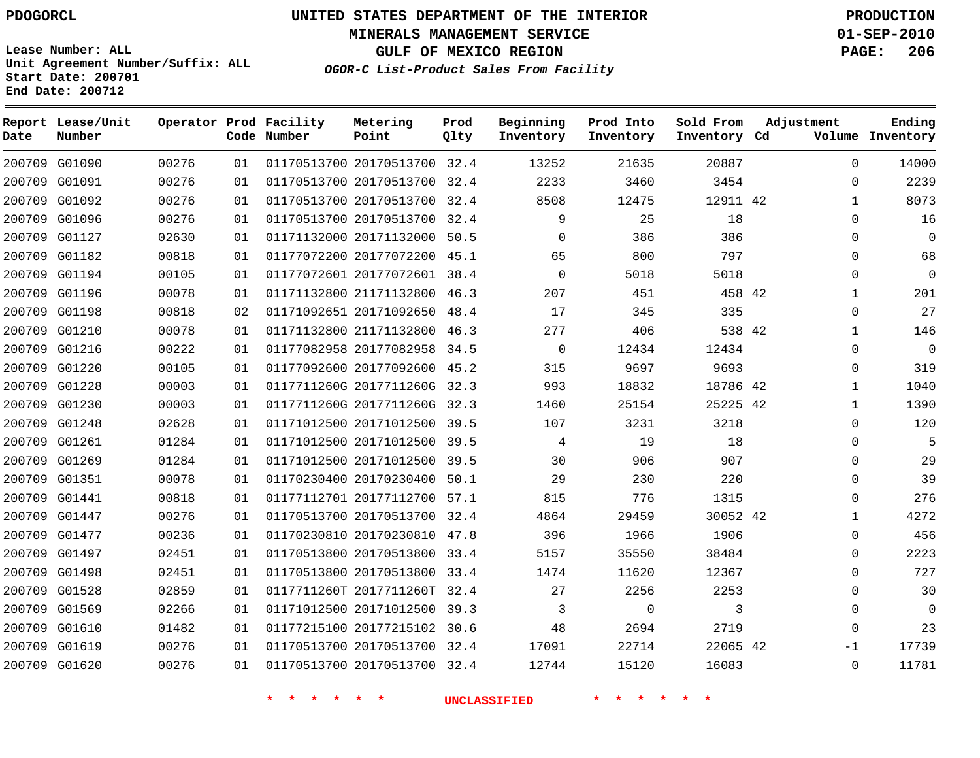**Start Date: 200701 End Date: 200712**

**Unit Agreement Number/Suffix: ALL**

# **UNITED STATES DEPARTMENT OF THE INTERIOR PDOGORCL PRODUCTION**

**MINERALS MANAGEMENT SERVICE 01-SEP-2010**

**GULF OF MEXICO REGION PAGE: 206**

**OGOR-C List-Product Sales From Facility**

 G01090 G01091 G01092 G01096 G01127 G01182 G01194 G01196 G01198 G01210 G01216 G01220 G01228 G01230 G01248 G01261 G01269 G01351 G01441 G01447 G01477 G01497 G01498 G01528 G01569 G01610 G01619 G01620 **Report Lease/Unit Date Number Operator Prod Facility Code Number** 20170513700 32.4 20170513700 32.4 20170513700 32.4 20170513700 32.4 20171132000 50.5 20177072200 45.1 20177072601 38.4 21171132800 46.3 20171092650 48.4 21171132800 46.3 20177082958 34.5 20177092600 45.2 0117711260G 2017711260G 32.3 0117711260G 2017711260G 32.3 20171012500 39.5 20171012500 39.5 20171012500 39.5 20170230400 50.1 20177112700 57.1 20170513700 32.4 20170230810 47.8 20170513800 33.4 20170513800 33.4 0117711260T 2017711260T 32.4 20171012500 39.3 20177215102 30.6 20170513700 32.4 20170513700 32.4 **Metering Point** 42 42 42 42 42 42 42 **Prod Qlty**  $\Omega$   $\Omega$   $\Omega$  **Beginning Inventory**  $\Omega$   $\Omega$   $\Omega$   $\Omega$  **Ending Inventory Cd Volume**  $\Omega$  **Prod Into Inventory Sold From Inventory**  $\Omega$  $\Omega$   $\Omega$  $\Omega$  $\Omega$  $\Omega$   $\Omega$   $\Omega$  $\Omega$  $\Omega$   $\Omega$  $\cap$  $\Omega$  $\Omega$  $\Omega$  $\Omega$ -1  $\Omega$ **Adjustment**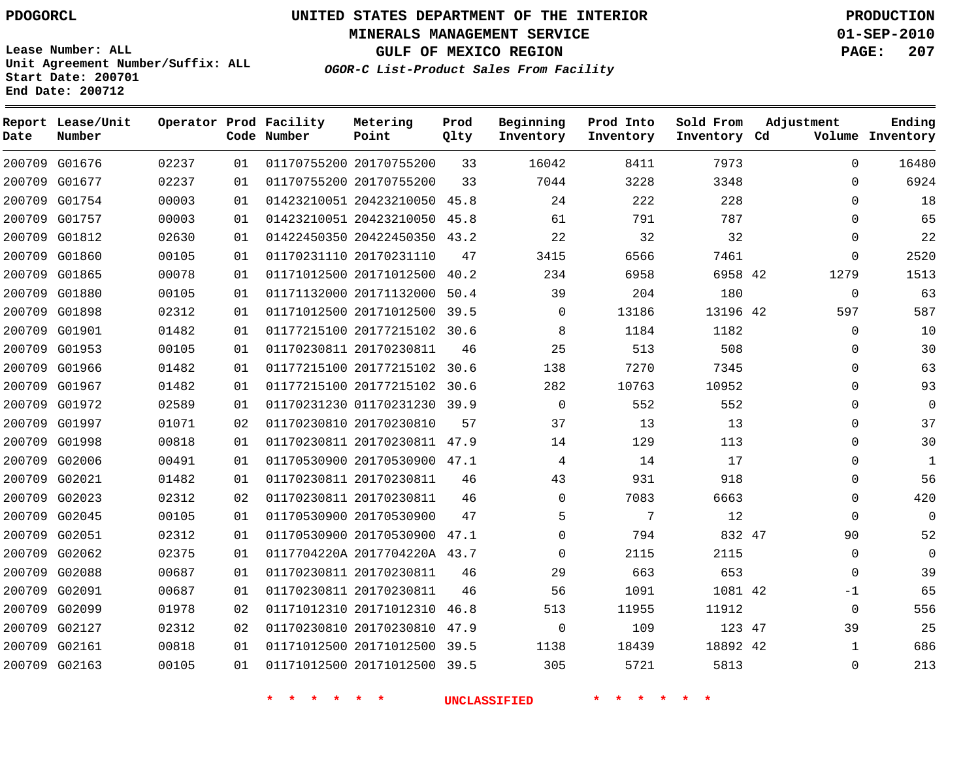**Start Date: 200701 End Date: 200712**

**Unit Agreement Number/Suffix: ALL**

# **UNITED STATES DEPARTMENT OF THE INTERIOR PDOGORCL PRODUCTION**

**MINERALS MANAGEMENT SERVICE 01-SEP-2010**

**GULF OF MEXICO REGION PAGE: 207**

**OGOR-C List-Product Sales From Facility**

| Date   | Report Lease/Unit<br>Number |       |    | Operator Prod Facility<br>Code Number | Metering<br>Point            | Prod<br>Qlty | Beginning<br>Inventory | Prod Into<br>Inventory | Sold From<br>Inventory Cd | Adjustment  | Ending<br>Volume Inventory |
|--------|-----------------------------|-------|----|---------------------------------------|------------------------------|--------------|------------------------|------------------------|---------------------------|-------------|----------------------------|
|        | 200709 G01676               | 02237 | 01 |                                       | 01170755200 20170755200      | 33           | 16042                  | 8411                   | 7973                      | $\mathbf 0$ | 16480                      |
| 200709 | G01677                      | 02237 | 01 |                                       | 01170755200 20170755200      | 33           | 7044                   | 3228                   | 3348                      | $\mathbf 0$ | 6924                       |
| 200709 | G01754                      | 00003 | 01 |                                       | 01423210051 20423210050      | 45.8         | 24                     | 222                    | 228                       | $\Omega$    | 18                         |
| 200709 | G01757                      | 00003 | 01 |                                       | 01423210051 20423210050      | 45.8         | 61                     | 791                    | 787                       | $\Omega$    | 65                         |
| 200709 | G01812                      | 02630 | 01 |                                       | 01422450350 20422450350      | 43.2         | 22                     | 32                     | 32                        | $\mathbf 0$ | 22                         |
| 200709 | G01860                      | 00105 | 01 |                                       | 01170231110 20170231110      | 47           | 3415                   | 6566                   | 7461                      | $\mathbf 0$ | 2520                       |
|        | 200709 G01865               | 00078 | 01 |                                       | 01171012500 20171012500      | 40.2         | 234                    | 6958                   | 6958 42                   | 1279        | 1513                       |
| 200709 | G01880                      | 00105 | 01 |                                       | 01171132000 20171132000      | 50.4         | 39                     | 204                    | 180                       | $\mathbf 0$ | 63                         |
|        | 200709 G01898               | 02312 | 01 |                                       | 01171012500 20171012500 39.5 |              | $\mathbf 0$            | 13186                  | 13196 42                  | 597         | 587                        |
| 200709 | G01901                      | 01482 | 01 |                                       | 01177215100 20177215102      | 30.6         | 8                      | 1184                   | 1182                      | $\mathbf 0$ | 10                         |
|        | 200709 G01953               | 00105 | 01 |                                       | 01170230811 20170230811      | 46           | 25                     | 513                    | 508                       | $\Omega$    | 30                         |
| 200709 | G01966                      | 01482 | 01 |                                       | 01177215100 20177215102      | 30.6         | 138                    | 7270                   | 7345                      | $\mathbf 0$ | 63                         |
| 200709 | G01967                      | 01482 | 01 |                                       | 01177215100 20177215102      | 30.6         | 282                    | 10763                  | 10952                     | $\mathbf 0$ | 93                         |
| 200709 | G01972                      | 02589 | 01 |                                       | 01170231230 01170231230 39.9 |              | $\mathbf 0$            | 552                    | 552                       | $\mathbf 0$ | $\mathbf 0$                |
| 200709 | G01997                      | 01071 | 02 |                                       | 01170230810 20170230810      | 57           | 37                     | 13                     | 13                        | $\Omega$    | 37                         |
| 200709 | G01998                      | 00818 | 01 |                                       | 01170230811 20170230811 47.9 |              | 14                     | 129                    | 113                       | $\mathbf 0$ | 30                         |
| 200709 | G02006                      | 00491 | 01 |                                       | 01170530900 20170530900 47.1 |              | 4                      | 14                     | 17                        | $\Omega$    | $\mathbf{1}$               |
|        | 200709 G02021               | 01482 | 01 |                                       | 01170230811 20170230811      | 46           | 43                     | 931                    | 918                       | $\mathbf 0$ | 56                         |
| 200709 | G02023                      | 02312 | 02 |                                       | 01170230811 20170230811      | 46           | $\mathbf 0$            | 7083                   | 6663                      | $\mathbf 0$ | 420                        |
|        | 200709 G02045               | 00105 | 01 |                                       | 01170530900 20170530900      | 47           | 5                      | 7                      | 12                        | $\Omega$    | $\mathbf 0$                |
| 200709 | G02051                      | 02312 | 01 |                                       | 01170530900 20170530900      | 47.1         | $\Omega$               | 794                    | 832 47                    | 90          | 52                         |
|        | 200709 G02062               | 02375 | 01 |                                       | 0117704220A 2017704220A 43.7 |              | $\Omega$               | 2115                   | 2115                      | $\Omega$    | $\Omega$                   |
| 200709 | G02088                      | 00687 | 01 |                                       | 01170230811 20170230811      | 46           | 29                     | 663                    | 653                       | $\mathbf 0$ | 39                         |
| 200709 | G02091                      | 00687 | 01 |                                       | 01170230811 20170230811      | 46           | 56                     | 1091                   | 1081 42                   | $-1$        | 65                         |
| 200709 | G02099                      | 01978 | 02 |                                       | 01171012310 20171012310      | 46.8         | 513                    | 11955                  | 11912                     | $\mathbf 0$ | 556                        |
| 200709 | G02127                      | 02312 | 02 |                                       | 01170230810 20170230810      | 47.9         | 0                      | 109                    | 123 47                    | 39          | 25                         |
| 200709 | G02161                      | 00818 | 01 |                                       | 01171012500 20171012500      | 39.5         | 1138                   | 18439                  | 18892 42                  | 1           | 686                        |
|        | 200709 G02163               | 00105 | 01 |                                       | 01171012500 20171012500      | 39.5         | 305                    | 5721                   | 5813                      | $\Omega$    | 213                        |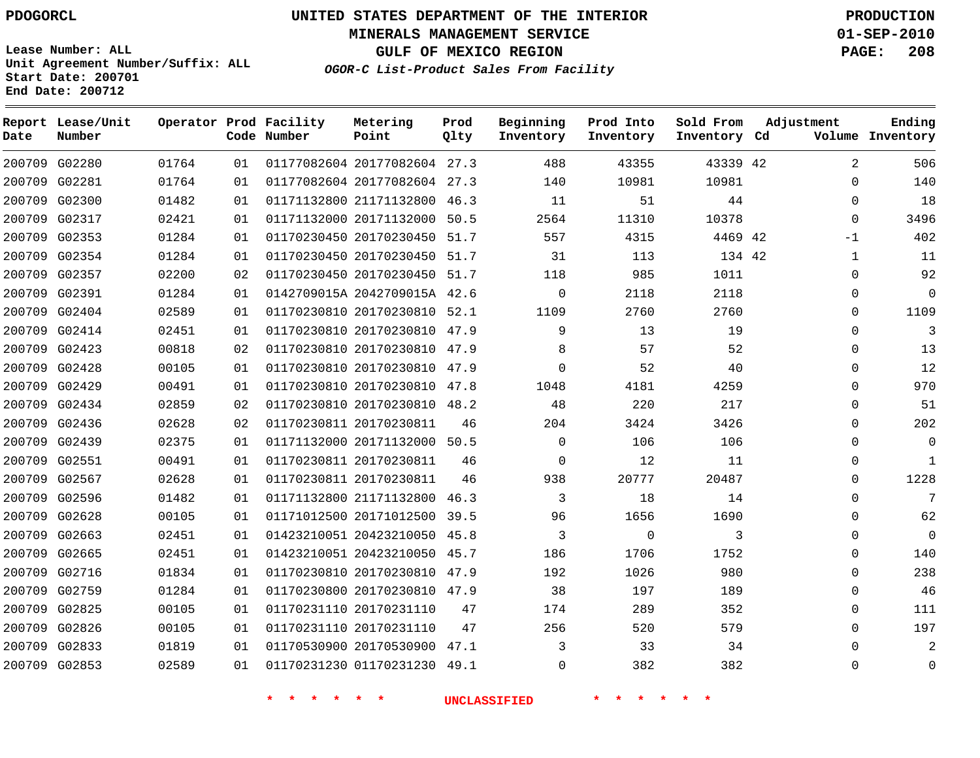**End Date: 200712**

# **UNITED STATES DEPARTMENT OF THE INTERIOR PDOGORCL PRODUCTION**

**MINERALS MANAGEMENT SERVICE 01-SEP-2010**

**GULF OF MEXICO REGION PAGE: 208**

**OGOR-C List-Product Sales From Facility Unit Agreement Number/Suffix: ALL Start Date: 200701**

| Date | Report Lease/Unit<br>Number |       |    | Operator Prod Facility<br>Code Number | Metering<br>Point            | Prod<br>Qlty | Beginning<br>Inventory | Prod Into<br>Inventory | Sold From<br>Inventory Cd | Adjustment     | Ending<br>Volume Inventory |
|------|-----------------------------|-------|----|---------------------------------------|------------------------------|--------------|------------------------|------------------------|---------------------------|----------------|----------------------------|
|      | 200709 G02280               | 01764 | 01 |                                       | 01177082604 20177082604 27.3 |              | 488                    | 43355                  | 43339 42                  | $\overline{2}$ | 506                        |
|      | 200709 G02281               | 01764 | 01 |                                       | 01177082604 20177082604 27.3 |              | 140                    | 10981                  | 10981                     | $\Omega$       | 140                        |
|      | 200709 G02300               | 01482 | 01 |                                       | 01171132800 21171132800 46.3 |              | 11                     | 51                     | 44                        | $\mathbf{0}$   | 18                         |
|      | 200709 G02317               | 02421 | 01 |                                       | 01171132000 20171132000      | 50.5         | 2564                   | 11310                  | 10378                     | $\Omega$       | 3496                       |
|      | 200709 G02353               | 01284 | 01 |                                       | 01170230450 20170230450      | 51.7         | 557                    | 4315                   | 4469 42                   | -1             | 402                        |
|      | 200709 G02354               | 01284 | 01 |                                       | 01170230450 20170230450 51.7 |              | 31                     | 113                    | 134 42                    | 1              | 11                         |
|      | 200709 G02357               | 02200 | 02 |                                       | 01170230450 20170230450 51.7 |              | 118                    | 985                    | 1011                      | 0              | 92                         |
|      | 200709 G02391               | 01284 | 01 |                                       | 0142709015A 2042709015A 42.6 |              | $\mathbf{0}$           | 2118                   | 2118                      | 0              | $\mathbf 0$                |
|      | 200709 G02404               | 02589 | 01 |                                       | 01170230810 20170230810 52.1 |              | 1109                   | 2760                   | 2760                      | $\Omega$       | 1109                       |
|      | 200709 G02414               | 02451 | 01 |                                       | 01170230810 20170230810 47.9 |              | 9                      | 13                     | 19                        | $\Omega$       | 3                          |
|      | 200709 G02423               | 00818 | 02 |                                       | 01170230810 20170230810 47.9 |              | 8                      | 57                     | 52                        | 0              | 13                         |
|      | 200709 G02428               | 00105 | 01 |                                       | 01170230810 20170230810 47.9 |              | $\mathbf 0$            | 52                     | 40                        | 0              | 12                         |
|      | 200709 G02429               | 00491 | 01 |                                       | 01170230810 20170230810 47.8 |              | 1048                   | 4181                   | 4259                      | $\Omega$       | 970                        |
|      | 200709 G02434               | 02859 | 02 |                                       | 01170230810 20170230810 48.2 |              | 48                     | 220                    | 217                       | $\Omega$       | 51                         |
|      | 200709 G02436               | 02628 | 02 |                                       | 01170230811 20170230811      | 46           | 204                    | 3424                   | 3426                      | $\Omega$       | 202                        |
|      | 200709 G02439               | 02375 | 01 |                                       | 01171132000 20171132000 50.5 |              | $\Omega$               | 106                    | 106                       | $\Omega$       | $\mathbf 0$                |
|      | 200709 G02551               | 00491 | 01 |                                       | 01170230811 20170230811      | 46           | $\mathbf 0$            | 12                     | 11                        | 0              | $\mathbf{1}$               |
|      | 200709 G02567               | 02628 | 01 |                                       | 01170230811 20170230811      | 46           | 938                    | 20777                  | 20487                     | 0              | 1228                       |
|      | 200709 G02596               | 01482 | 01 |                                       | 01171132800 21171132800 46.3 |              | 3                      | 18                     | 14                        | $\Omega$       | 7                          |
|      | 200709 G02628               | 00105 | 01 |                                       | 01171012500 20171012500 39.5 |              | 96                     | 1656                   | 1690                      | $\Omega$       | 62                         |
|      | 200709 G02663               | 02451 | 01 |                                       | 01423210051 20423210050 45.8 |              | 3                      | $\mathbf 0$            | 3                         | $\Omega$       | $\Omega$                   |
|      | 200709 G02665               | 02451 | 01 |                                       | 01423210051 20423210050      | 45.7         | 186                    | 1706                   | 1752                      | $\Omega$       | 140                        |
|      | 200709 G02716               | 01834 | 01 |                                       | 01170230810 20170230810 47.9 |              | 192                    | 1026                   | 980                       | 0              | 238                        |
|      | 200709 G02759               | 01284 | 01 |                                       | 01170230800 20170230810 47.9 |              | 38                     | 197                    | 189                       | 0              | 46                         |
|      | 200709 G02825               | 00105 | 01 |                                       | 01170231110 20170231110      | 47           | 174                    | 289                    | 352                       | $\Omega$       | 111                        |
|      | 200709 G02826               | 00105 | 01 |                                       | 01170231110 20170231110      | 47           | 256                    | 520                    | 579                       | $\Omega$       | 197                        |
|      | 200709 G02833               | 01819 | 01 |                                       | 01170530900 20170530900 47.1 |              | 3                      | 33                     | 34                        | $\Omega$       | $\overline{2}$             |
|      | 200709 G02853               | 02589 | 01 |                                       | 01170231230 01170231230      | 49.1         | $\Omega$               | 382                    | 382                       | $\Omega$       | $\Omega$                   |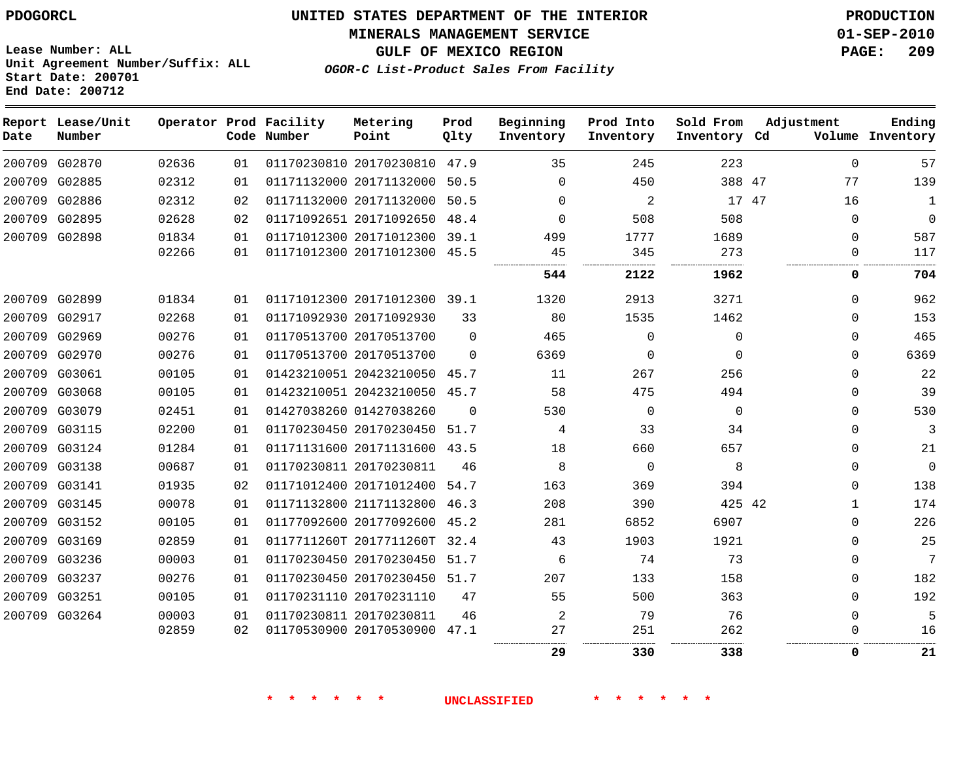**MINERALS MANAGEMENT SERVICE 01-SEP-2010**

**Lease Number: ALL Unit Agreement Number/Suffix: ALL Start Date: 200701 End Date: 200712**

**OGOR-C List-Product Sales From Facility**

**GULF OF MEXICO REGION PAGE: 209**

| Date | Report Lease/Unit<br>Number |       |    | Operator Prod Facility<br>Code Number | Metering<br>Point            | Prod<br>Qlty | Beginning<br>Inventory | Prod Into<br>Inventory | Sold From<br>Inventory Cd | Adjustment   | Ending<br>Volume Inventory |
|------|-----------------------------|-------|----|---------------------------------------|------------------------------|--------------|------------------------|------------------------|---------------------------|--------------|----------------------------|
|      | 200709 G02870               | 02636 | 01 |                                       | 01170230810 20170230810 47.9 |              | 35                     | 245                    | 223                       | $\Omega$     | 57                         |
|      | 200709 G02885               | 02312 | 01 |                                       | 01171132000 20171132000      | 50.5         | $\Omega$               | 450                    | 388 47                    | 77           | 139                        |
|      | 200709 G02886               | 02312 | 02 |                                       | 01171132000 20171132000      | 50.5         | 0                      | 2                      | 17 47                     | 16           | 1                          |
|      | 200709 G02895               | 02628 | 02 |                                       | 01171092651 20171092650      | 48.4         | $\Omega$               | 508                    | 508                       | $\Omega$     | $\Omega$                   |
|      | 200709 G02898               | 01834 | 01 |                                       | 01171012300 20171012300 39.1 |              | 499                    | 1777                   | 1689                      | $\Omega$     | 587                        |
|      |                             | 02266 | 01 |                                       | 01171012300 20171012300 45.5 |              | 45                     | 345                    | 273                       | 0            | 117                        |
|      |                             |       |    |                                       |                              |              | 544                    | 2122                   | 1962                      | 0            | 704                        |
|      | 200709 G02899               | 01834 | 01 |                                       | 01171012300 20171012300 39.1 |              | 1320                   | 2913                   | 3271                      | $\Omega$     | 962                        |
|      | 200709 G02917               | 02268 | 01 |                                       | 01171092930 20171092930      | 33           | 80                     | 1535                   | 1462                      | $\Omega$     | 153                        |
|      | 200709 G02969               | 00276 | 01 |                                       | 01170513700 20170513700      | $\Omega$     | 465                    | $\Omega$               | $\Omega$                  | $\Omega$     | 465                        |
|      | 200709 G02970               | 00276 | 01 |                                       | 01170513700 20170513700      | $\Omega$     | 6369                   | $\Omega$               | $\Omega$                  | $\Omega$     | 6369                       |
|      | 200709 G03061               | 00105 | 01 |                                       | 01423210051 20423210050 45.7 |              | 11                     | 267                    | 256                       | $\mathbf 0$  | 22                         |
|      | 200709 G03068               | 00105 | 01 |                                       | 01423210051 20423210050 45.7 |              | 58                     | 475                    | 494                       | $\Omega$     | 39                         |
|      | 200709 G03079               | 02451 | 01 |                                       | 01427038260 01427038260      | $\Omega$     | 530                    | $\Omega$               | $\Omega$                  | $\Omega$     | 530                        |
|      | 200709 G03115               | 02200 | 01 |                                       | 01170230450 20170230450 51.7 |              | 4                      | 33                     | 34                        | $\mathbf 0$  | 3                          |
|      | 200709 G03124               | 01284 | 01 |                                       | 01171131600 20171131600      | 43.5         | 18                     | 660                    | 657                       | 0            | 21                         |
|      | 200709 G03138               | 00687 | 01 |                                       | 01170230811 20170230811      | 46           | 8                      | $\Omega$               | 8                         | $\Omega$     | $\Omega$                   |
|      | 200709 G03141               | 01935 | 02 |                                       | 01171012400 20171012400 54.7 |              | 163                    | 369                    | 394                       | $\Omega$     | 138                        |
|      | 200709 G03145               | 00078 | 01 |                                       | 01171132800 21171132800      | 46.3         | 208                    | 390                    | 425 42                    | $\mathbf{1}$ | 174                        |
|      | 200709 G03152               | 00105 | 01 |                                       | 01177092600 20177092600 45.2 |              | 281                    | 6852                   | 6907                      | $\Omega$     | 226                        |
|      | 200709 G03169               | 02859 | 01 |                                       | 0117711260T 2017711260T      | 32.4         | 43                     | 1903                   | 1921                      | $\mathbf 0$  | 25                         |
|      | 200709 G03236               | 00003 | 01 |                                       | 01170230450 20170230450 51.7 |              | 6                      | 74                     | 73                        | $\Omega$     | 7                          |
|      | 200709 G03237               | 00276 | 01 |                                       | 01170230450 20170230450 51.7 |              | 207                    | 133                    | 158                       | 0            | 182                        |
|      | 200709 G03251               | 00105 | 01 |                                       | 01170231110 20170231110      | 47           | 55                     | 500                    | 363                       | $\Omega$     | 192                        |
|      | 200709 G03264               | 00003 | 01 |                                       | 01170230811 20170230811      | 46           | 2                      | 79                     | 76                        | $\Omega$     |                            |
|      |                             | 02859 | 02 |                                       | 01170530900 20170530900 47.1 |              | 27                     | 251                    | 262                       | $\Omega$     | 16                         |
|      |                             |       |    |                                       |                              |              | 29                     | 330                    | 338                       | 0            | 21                         |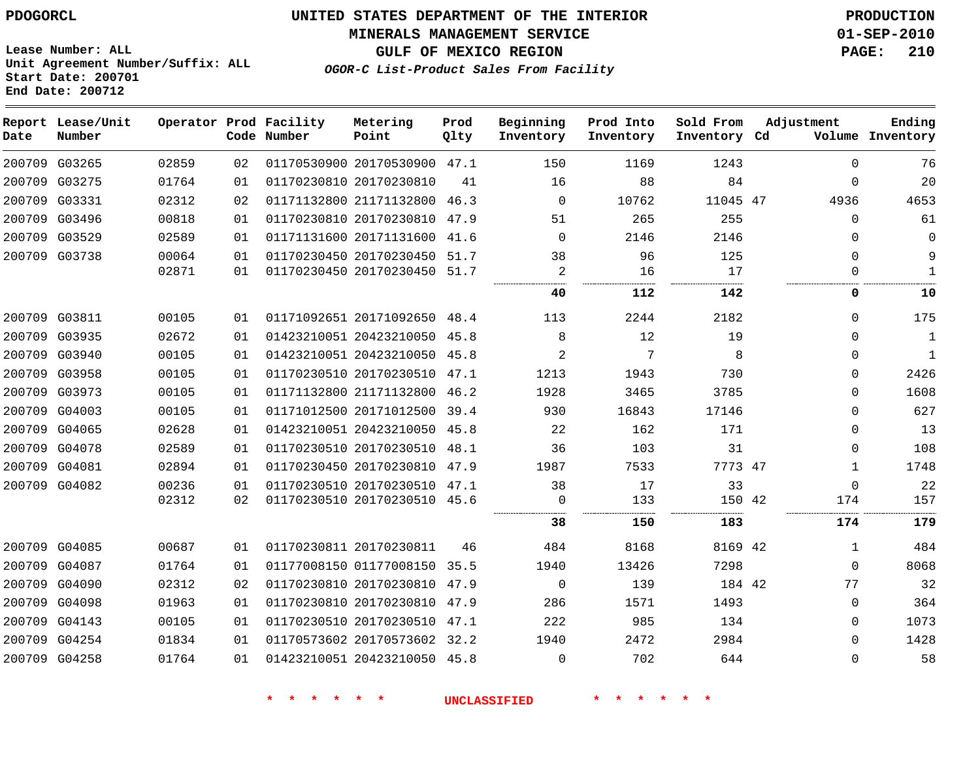**MINERALS MANAGEMENT SERVICE 01-SEP-2010**

**GULF OF MEXICO REGION PAGE: 210**

**Lease Number: ALL Unit Agreement Number/Suffix: ALL Start Date: 200701 End Date: 200712**

**OGOR-C List-Product Sales From Facility**

| Date | Report Lease/Unit<br>Number |       |    | Operator Prod Facility<br>Code Number | Metering<br>Point            | Prod<br>Qlty | Beginning<br>Inventory | Prod Into<br>Inventory | Sold From<br>Inventory Cd | Adjustment   | Ending<br>Volume Inventory |
|------|-----------------------------|-------|----|---------------------------------------|------------------------------|--------------|------------------------|------------------------|---------------------------|--------------|----------------------------|
|      | 200709 G03265               | 02859 | 02 |                                       | 01170530900 20170530900 47.1 |              | 150                    | 1169                   | 1243                      | $\Omega$     | 76                         |
|      | 200709 G03275               | 01764 | 01 |                                       | 01170230810 20170230810      | 41           | 16                     | 88                     | 84                        | $\Omega$     | 20                         |
|      | 200709 G03331               | 02312 | 02 |                                       | 01171132800 21171132800 46.3 |              | $\Omega$               | 10762                  | 11045 47                  | 4936         | 4653                       |
|      | 200709 G03496               | 00818 | 01 |                                       | 01170230810 20170230810 47.9 |              | 51                     | 265                    | 255                       | $\mathbf 0$  | 61                         |
|      | 200709 G03529               | 02589 | 01 |                                       | 01171131600 20171131600 41.6 |              | 0                      | 2146                   | 2146                      | 0            | $\Omega$                   |
|      | 200709 G03738               | 00064 | 01 |                                       | 01170230450 20170230450 51.7 |              | 38                     | 96                     | 125                       | $\Omega$     | 9                          |
|      |                             | 02871 | 01 |                                       | 01170230450 20170230450 51.7 |              | 2                      | 16                     | 17                        | $\mathbf 0$  | $\mathbf{1}$               |
|      |                             |       |    |                                       |                              |              | 40                     | 112                    | 142                       | 0            | 10                         |
|      | 200709 G03811               | 00105 | 01 |                                       | 01171092651 20171092650 48.4 |              | 113                    | 2244                   | 2182                      | $\mathbf 0$  | 175                        |
|      | 200709 G03935               | 02672 | 01 |                                       | 01423210051 20423210050 45.8 |              | 8                      | 12                     | 19                        | $\Omega$     | $\mathbf{1}$               |
|      | 200709 G03940               | 00105 | 01 |                                       | 01423210051 20423210050 45.8 |              | $\overline{2}$         | 7                      | 8                         | $\Omega$     | $\mathbf{1}$               |
|      | 200709 G03958               | 00105 | 01 |                                       | 01170230510 20170230510 47.1 |              | 1213                   | 1943                   | 730                       | $\mathbf 0$  | 2426                       |
|      | 200709 G03973               | 00105 | 01 |                                       | 01171132800 21171132800 46.2 |              | 1928                   | 3465                   | 3785                      | $\Omega$     | 1608                       |
|      | 200709 G04003               | 00105 | 01 |                                       | 01171012500 20171012500 39.4 |              | 930                    | 16843                  | 17146                     | $\Omega$     | 627                        |
|      | 200709 G04065               | 02628 | 01 |                                       | 01423210051 20423210050 45.8 |              | 22                     | 162                    | 171                       | $\mathbf 0$  | 13                         |
|      | 200709 G04078               | 02589 | 01 |                                       | 01170230510 20170230510 48.1 |              | 36                     | 103                    | 31                        | $\mathbf 0$  | 108                        |
|      | 200709 G04081               | 02894 | 01 |                                       | 01170230450 20170230810 47.9 |              | 1987                   | 7533                   | 7773 47                   | $\mathbf{1}$ | 1748                       |
|      | 200709 G04082               | 00236 | 01 |                                       | 01170230510 20170230510 47.1 |              | 38                     | 17                     | 33                        | $\Omega$     | 22                         |
|      |                             | 02312 | 02 |                                       | 01170230510 20170230510 45.6 |              | $\Omega$               | 133                    | 150 42                    | 174          | 157                        |
|      |                             |       |    |                                       |                              |              | 38                     | 150                    | 183                       | 174          | 179                        |
|      | 200709 G04085               | 00687 | 01 |                                       | 01170230811 20170230811      | 46           | 484                    | 8168                   | 8169 42                   | 1            | 484                        |
|      | 200709 G04087               | 01764 | 01 |                                       | 01177008150 01177008150 35.5 |              | 1940                   | 13426                  | 7298                      | $\mathbf 0$  | 8068                       |
|      | 200709 G04090               | 02312 | 02 |                                       | 01170230810 20170230810 47.9 |              | $\mathbf 0$            | 139                    | 184 42                    | 77           | 32                         |
|      | 200709 G04098               | 01963 | 01 |                                       | 01170230810 20170230810 47.9 |              | 286                    | 1571                   | 1493                      | $\Omega$     | 364                        |
|      | 200709 G04143               | 00105 | 01 |                                       | 01170230510 20170230510 47.1 |              | 222                    | 985                    | 134                       | $\Omega$     | 1073                       |
|      | 200709 G04254               | 01834 | 01 |                                       | 01170573602 20170573602 32.2 |              | 1940                   | 2472                   | 2984                      | $\Omega$     | 1428                       |
|      | 200709 G04258               | 01764 | 01 |                                       | 01423210051 20423210050 45.8 |              | $\Omega$               | 702                    | 644                       | $\Omega$     | 58                         |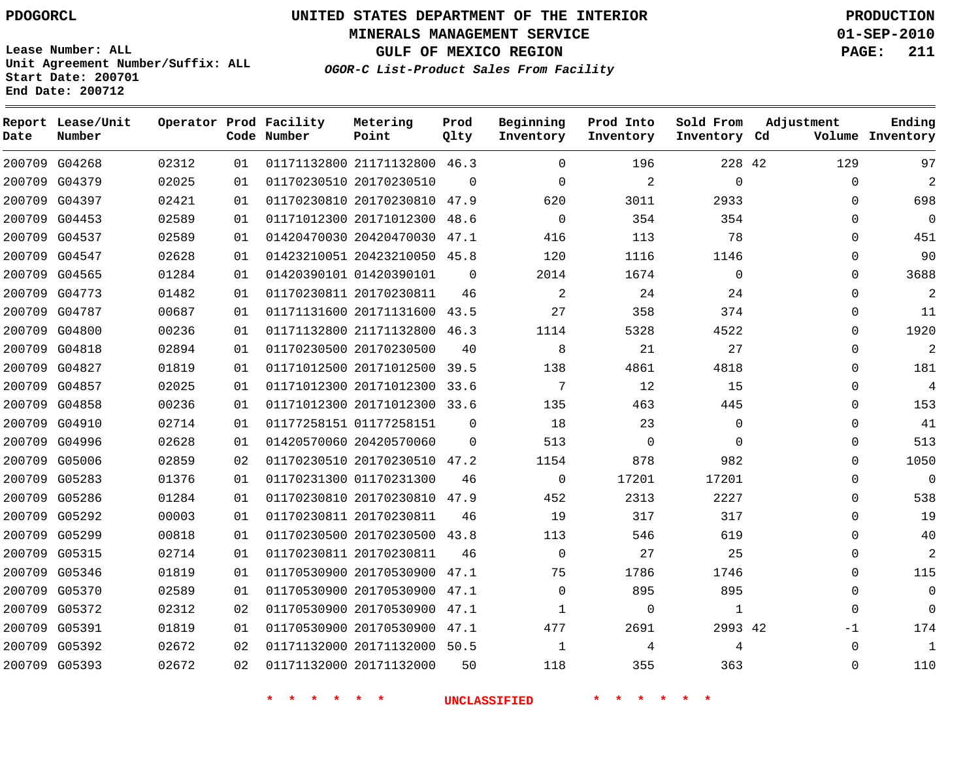# **UNITED STATES DEPARTMENT OF THE INTERIOR PDOGORCL PRODUCTION**

**MINERALS MANAGEMENT SERVICE 01-SEP-2010**

**GULF OF MEXICO REGION PAGE: 211**

**Unit Agreement Number/Suffix: ALL Start Date: 200701 End Date: 200712**

**OGOR-C List-Product Sales From Facility**

| Date | Report Lease/Unit<br>Number |       |    | Operator Prod Facility<br>Code Number | Metering<br>Point            | Prod<br>Qlty | Beginning<br>Inventory | Prod Into<br>Inventory | Sold From<br>Inventory Cd | Adjustment  | Ending<br>Volume Inventory |
|------|-----------------------------|-------|----|---------------------------------------|------------------------------|--------------|------------------------|------------------------|---------------------------|-------------|----------------------------|
|      | 200709 G04268               | 02312 | 01 |                                       | 01171132800 21171132800 46.3 |              | $\Omega$               | 196                    | 228 42                    | 129         | 97                         |
|      | 200709 G04379               | 02025 | 01 |                                       | 01170230510 20170230510      | $\Omega$     | $\Omega$               | $\overline{a}$         | $\Omega$                  | $\mathbf 0$ | $\overline{a}$             |
|      | 200709 G04397               | 02421 | 01 |                                       | 01170230810 20170230810 47.9 |              | 620                    | 3011                   | 2933                      | $\Omega$    | 698                        |
|      | 200709 G04453               | 02589 | 01 |                                       | 01171012300 20171012300 48.6 |              | $\Omega$               | 354                    | 354                       | $\Omega$    | $\Omega$                   |
|      | 200709 G04537               | 02589 | 01 |                                       | 01420470030 20420470030 47.1 |              | 416                    | 113                    | 78                        | $\Omega$    | 451                        |
|      | 200709 G04547               | 02628 | 01 |                                       | 01423210051 20423210050 45.8 |              | 120                    | 1116                   | 1146                      | $\mathbf 0$ | 90                         |
|      | 200709 G04565               | 01284 | 01 |                                       | 01420390101 01420390101      | $\Omega$     | 2014                   | 1674                   | $\mathbf 0$               | $\Omega$    | 3688                       |
|      | 200709 G04773               | 01482 | 01 |                                       | 01170230811 20170230811      | 46           | 2                      | 24                     | 24                        | $\Omega$    | 2                          |
|      | 200709 G04787               | 00687 | 01 |                                       | 01171131600 20171131600      | 43.5         | 27                     | 358                    | 374                       | $\Omega$    | 11                         |
|      | 200709 G04800               | 00236 | 01 |                                       | 01171132800 21171132800 46.3 |              | 1114                   | 5328                   | 4522                      | $\mathbf 0$ | 1920                       |
|      | 200709 G04818               | 02894 | 01 |                                       | 01170230500 20170230500      | 40           | 8                      | 21                     | 27                        | $\Omega$    | 2                          |
|      | 200709 G04827               | 01819 | 01 |                                       | 01171012500 20171012500      | 39.5         | 138                    | 4861                   | 4818                      | $\Omega$    | 181                        |
|      | 200709 G04857               | 02025 | 01 |                                       | 01171012300 20171012300      | 33.6         | 7                      | 12                     | 15                        | $\Omega$    | 4                          |
|      | 200709 G04858               | 00236 | 01 |                                       | 01171012300 20171012300 33.6 |              | 135                    | 463                    | 445                       | 0           | 153                        |
|      | 200709 G04910               | 02714 | 01 |                                       | 01177258151 01177258151      | $\Omega$     | 18                     | 23                     | $\mathbf 0$               | $\mathbf 0$ | 41                         |
|      | 200709 G04996               | 02628 | 01 |                                       | 01420570060 20420570060      | $\Omega$     | 513                    | $\mathbf 0$            | $\Omega$                  | $\Omega$    | 513                        |
|      | 200709 G05006               | 02859 | 02 |                                       | 01170230510 20170230510      | 47.2         | 1154                   | 878                    | 982                       | $\mathbf 0$ | 1050                       |
|      | 200709 G05283               | 01376 | 01 |                                       | 01170231300 01170231300      | 46           | $\mathbf 0$            | 17201                  | 17201                     | $\mathbf 0$ | $\Omega$                   |
|      | 200709 G05286               | 01284 | 01 |                                       | 01170230810 20170230810      | 47.9         | 452                    | 2313                   | 2227                      | $\mathbf 0$ | 538                        |
|      | 200709 G05292               | 00003 | 01 |                                       | 01170230811 20170230811      | 46           | 19                     | 317                    | 317                       | $\Omega$    | 19                         |
|      | 200709 G05299               | 00818 | 01 |                                       | 01170230500 20170230500 43.8 |              | 113                    | 546                    | 619                       | $\Omega$    | 40                         |
|      | 200709 G05315               | 02714 | 01 |                                       | 01170230811 20170230811      | 46           | $\Omega$               | 27                     | 25                        | 0           | 2                          |
|      | 200709 G05346               | 01819 | 01 |                                       | 01170530900 20170530900      | 47.1         | 75                     | 1786                   | 1746                      | $\Omega$    | 115                        |
|      | 200709 G05370               | 02589 | 01 |                                       | 01170530900 20170530900      | 47.1         | $\Omega$               | 895                    | 895                       | $\Omega$    | $\Omega$                   |
|      | 200709 G05372               | 02312 | 02 |                                       | 01170530900 20170530900 47.1 |              | 1                      | 0                      | 1                         | $\Omega$    | $\Omega$                   |
|      | 200709 G05391               | 01819 | 01 |                                       | 01170530900 20170530900      | 47.1         | 477                    | 2691                   | 2993 42                   | $-1$        | 174                        |
|      | 200709 G05392               | 02672 | 02 |                                       | 01171132000 20171132000 50.5 |              | 1                      | 4                      | 4                         | $\Omega$    | $\mathbf{1}$               |
|      | 200709 G05393               | 02672 | 02 |                                       | 01171132000 20171132000      | 50           | 118                    | 355                    | 363                       | $\Omega$    | 110                        |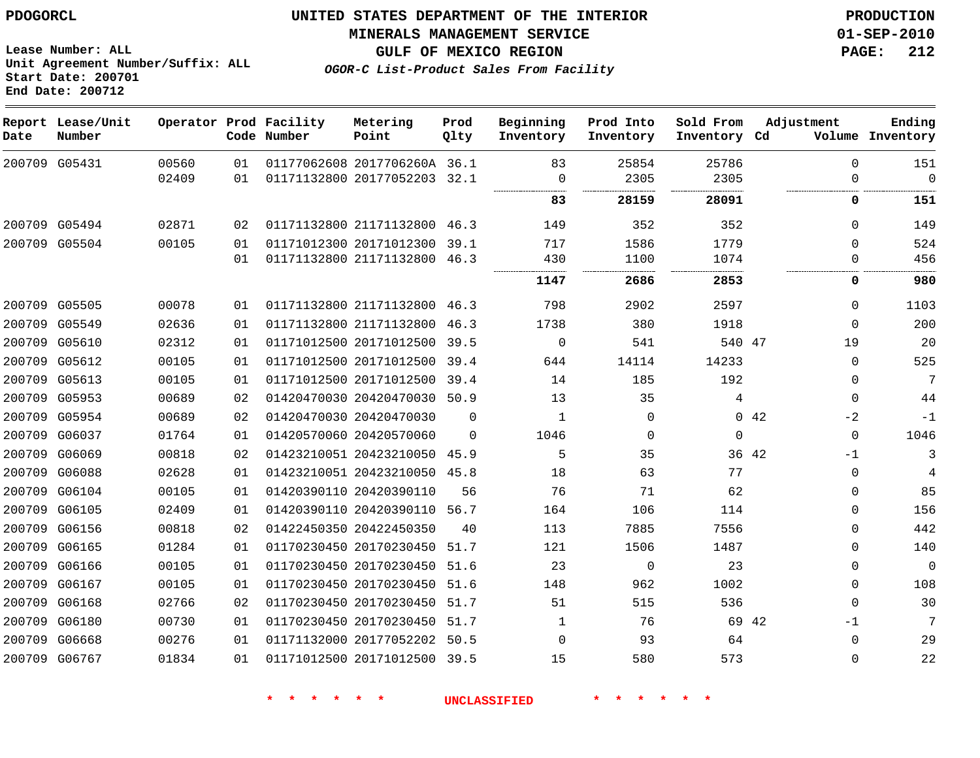**MINERALS MANAGEMENT SERVICE 01-SEP-2010**

**GULF OF MEXICO REGION PAGE: 212**

**OGOR-C List-Product Sales From Facility**

**Lease Number: ALL Unit Agreement Number/Suffix: ALL Start Date: 200701 End Date: 200712**

| Date | Report Lease/Unit<br>Number |       |    | Operator Prod Facility<br>Code Number | Metering<br>Point            | Prod<br>Qlty | Beginning<br>Inventory | Prod Into<br>Inventory | Sold From<br>Inventory Cd | Adjustment    | Ending<br>Volume Inventory |
|------|-----------------------------|-------|----|---------------------------------------|------------------------------|--------------|------------------------|------------------------|---------------------------|---------------|----------------------------|
|      | 200709 G05431               | 00560 | 01 |                                       | 01177062608 2017706260A 36.1 |              | 83                     | 25854                  | 25786                     | $\Omega$      | 151                        |
|      |                             | 02409 | 01 |                                       | 01171132800 20177052203 32.1 |              | 0                      | 2305                   | 2305                      | $\Omega$      | $\Omega$                   |
|      |                             |       |    |                                       |                              |              | 83                     | 28159                  | 28091                     | 0             | 151                        |
|      | 200709 G05494               | 02871 | 02 |                                       | 01171132800 21171132800 46.3 |              | 149                    | 352                    | 352                       | $\Omega$      | 149                        |
|      | 200709 G05504               | 00105 | 01 |                                       | 01171012300 20171012300 39.1 |              | 717                    | 1586                   | 1779                      | $\Omega$      | 524                        |
|      |                             |       | 01 |                                       | 01171132800 21171132800 46.3 |              | 430                    | 1100                   | 1074                      | $\Omega$      | 456                        |
|      |                             |       |    |                                       |                              |              | 1147                   | 2686                   | 2853                      | 0             | 980                        |
|      | 200709 G05505               | 00078 | 01 |                                       | 01171132800 21171132800 46.3 |              | 798                    | 2902                   | 2597                      | $\Omega$      | 1103                       |
|      | 200709 G05549               | 02636 | 01 |                                       | 01171132800 21171132800      | 46.3         | 1738                   | 380                    | 1918                      | $\Omega$      | 200                        |
|      | 200709 G05610               | 02312 | 01 |                                       | 01171012500 20171012500 39.5 |              | 0                      | 541                    | 540 47                    | 19            | 20                         |
|      | 200709 G05612               | 00105 | 01 |                                       | 01171012500 20171012500      | 39.4         | 644                    | 14114                  | 14233                     | $\Omega$      | 525                        |
|      | 200709 G05613               | 00105 | 01 |                                       | 01171012500 20171012500 39.4 |              | 14                     | 185                    | 192                       | $\Omega$      | 7                          |
|      | 200709 G05953               | 00689 | 02 |                                       | 01420470030 20420470030 50.9 |              | 13                     | 35                     | 4                         | $\Omega$      | 44                         |
|      | 200709 G05954               | 00689 | 02 |                                       | 01420470030 20420470030      | $\Omega$     | 1                      | $\Omega$               |                           | 0.42<br>$-2$  | $-1$                       |
|      | 200709 G06037               | 01764 | 01 |                                       | 01420570060 20420570060      | $\Omega$     | 1046                   | $\Omega$               | $\Omega$                  | $\Omega$      | 1046                       |
|      | 200709 G06069               | 00818 | 02 |                                       | 01423210051 20423210050 45.9 |              | 5                      | 35                     |                           | 36 42<br>$-1$ | 3                          |
|      | 200709 G06088               | 02628 | 01 |                                       | 01423210051 20423210050 45.8 |              | 18                     | 63                     | 77                        | $\mathbf 0$   | $\overline{4}$             |
|      | 200709 G06104               | 00105 | 01 |                                       | 01420390110 20420390110      | 56           | 76                     | 71                     | 62                        | $\mathbf 0$   | 85                         |
|      | 200709 G06105               | 02409 | 01 |                                       | 01420390110 20420390110 56.7 |              | 164                    | 106                    | 114                       | $\mathbf{0}$  | 156                        |
|      | 200709 G06156               | 00818 | 02 |                                       | 01422450350 20422450350      | 40           | 113                    | 7885                   | 7556                      | $\Omega$      | 442                        |
|      | 200709 G06165               | 01284 | 01 |                                       | 01170230450 20170230450      | 51.7         | 121                    | 1506                   | 1487                      | $\Omega$      | 140                        |
|      | 200709 G06166               | 00105 | 01 |                                       | 01170230450 20170230450 51.6 |              | 23                     | 0                      | 23                        | $\Omega$      | $\Omega$                   |
|      | 200709 G06167               | 00105 | 01 |                                       | 01170230450 20170230450 51.6 |              | 148                    | 962                    | 1002                      | $\Omega$      | 108                        |
|      | 200709 G06168               | 02766 | 02 |                                       | 01170230450 20170230450      | 51.7         | 51                     | 515                    | 536                       | $\Omega$      | 30                         |
|      | 200709 G06180               | 00730 | 01 |                                       | 01170230450 20170230450      | 51.7         | 1                      | 76                     | 69 42                     | $-1$          | 7                          |
|      | 200709 G06668               | 00276 | 01 |                                       | 01171132000 20177052202 50.5 |              | $\Omega$               | 93                     | 64                        | $\Omega$      | 29                         |
|      | 200709 G06767               | 01834 | 01 |                                       | 01171012500 20171012500 39.5 |              | 15                     | 580                    | 573                       | $\Omega$      | 22                         |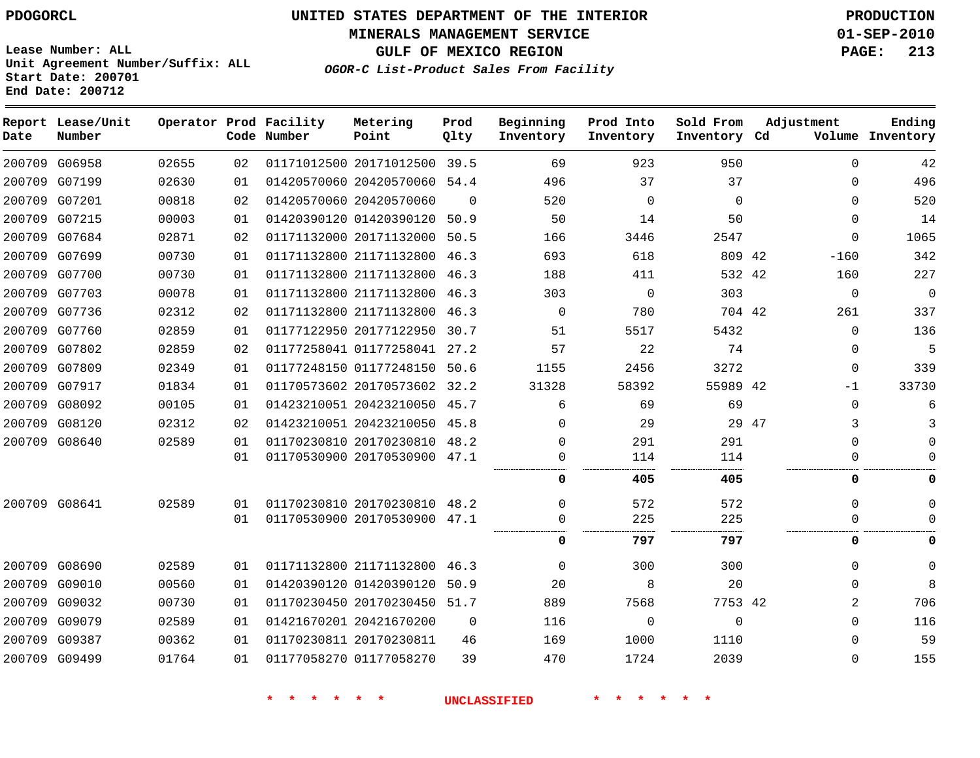**MINERALS MANAGEMENT SERVICE 01-SEP-2010**

**GULF OF MEXICO REGION PAGE: 213**

**Lease Number: ALL Unit Agreement Number/Suffix: ALL Start Date: 200701 End Date: 200712**

|  | OGOR-C List-Product Sales From Facility |  |  |  |
|--|-----------------------------------------|--|--|--|
|--|-----------------------------------------|--|--|--|

| Date | Report Lease/Unit<br>Number |       |    | Operator Prod Facility<br>Code Number | Metering<br>Point            | Prod<br>Qlty | Beginning<br>Inventory | Prod Into<br>Inventory | Sold From<br>Inventory Cd | Adjustment  | Ending<br>Volume Inventory |
|------|-----------------------------|-------|----|---------------------------------------|------------------------------|--------------|------------------------|------------------------|---------------------------|-------------|----------------------------|
|      | 200709 G06958               | 02655 | 02 |                                       | 01171012500 20171012500      | 39.5         | 69                     | 923                    | 950                       | $\Omega$    | 42                         |
|      | 200709 G07199               | 02630 | 01 |                                       | 01420570060 20420570060 54.4 |              | 496                    | 37                     | 37                        | $\Omega$    | 496                        |
|      | 200709 G07201               | 00818 | 02 |                                       | 01420570060 20420570060      | $\Omega$     | 520                    | $\Omega$               | $\mathbf 0$               | $\Omega$    | 520                        |
|      | 200709 G07215               | 00003 | 01 |                                       | 01420390120 01420390120      | 50.9         | 50                     | 14                     | 50                        | $\Omega$    | 14                         |
|      | 200709 G07684               | 02871 | 02 |                                       | 01171132000 20171132000      | 50.5         | 166                    | 3446                   | 2547                      | $\Omega$    | 1065                       |
|      | 200709 G07699               | 00730 | 01 |                                       | 01171132800 21171132800 46.3 |              | 693                    | 618                    | 809 42                    | $-160$      | 342                        |
|      | 200709 G07700               | 00730 | 01 |                                       | 01171132800 21171132800      | 46.3         | 188                    | 411                    | 532 42                    | 160         | 227                        |
|      | 200709 G07703               | 00078 | 01 |                                       | 01171132800 21171132800      | 46.3         | 303                    | 0                      | 303                       | $\mathbf 0$ | $\mathbf 0$                |
|      | 200709 G07736               | 02312 | 02 |                                       | 01171132800 21171132800 46.3 |              | 0                      | 780                    | 704 42                    | 261         | 337                        |
|      | 200709 G07760               | 02859 | 01 |                                       | 01177122950 20177122950      | 30.7         | 51                     | 5517                   | 5432                      | $\Omega$    | 136                        |
|      | 200709 G07802               | 02859 | 02 |                                       | 01177258041 01177258041 27.2 |              | 57                     | 22                     | 74                        | $\Omega$    | 5                          |
|      | 200709 G07809               | 02349 | 01 |                                       | 01177248150 01177248150      | 50.6         | 1155                   | 2456                   | 3272                      | $\Omega$    | 339                        |
|      | 200709 G07917               | 01834 | 01 |                                       | 01170573602 20170573602 32.2 |              | 31328                  | 58392                  | 55989 42                  | -1          | 33730                      |
|      | 200709 G08092               | 00105 | 01 |                                       | 01423210051 20423210050 45.7 |              | 6                      | 69                     | 69                        | $\Omega$    | 6                          |
|      | 200709 G08120               | 02312 | 02 |                                       | 01423210051 20423210050 45.8 |              | $\Omega$               | 29                     |                           | 29 47<br>3  | 3                          |
|      | 200709 G08640               | 02589 | 01 |                                       | 01170230810 20170230810 48.2 |              | 0                      | 291                    | 291                       | 0           | 0                          |
|      |                             |       | 01 |                                       | 01170530900 20170530900 47.1 |              | $\Omega$               | 114                    | 114                       | $\Omega$    | $\Omega$                   |
|      |                             |       |    |                                       |                              |              | 0                      | 405                    | 405                       | 0           | 0                          |
|      | 200709 G08641               | 02589 | 01 |                                       | 01170230810 20170230810      | 48.2         | $\Omega$               | 572                    | 572                       | $\Omega$    | $\Omega$                   |
|      |                             |       | 01 |                                       | 01170530900 20170530900      | 47.1         | $\Omega$               | 225                    | 225                       |             | $\Omega$                   |
|      |                             |       |    |                                       |                              |              | <br>0                  | 797                    | 797                       | 0           | 0                          |
|      | 200709 G08690               | 02589 | 01 |                                       | 01171132800 21171132800      | 46.3         | $\Omega$               | 300                    | 300                       | $\Omega$    | 0                          |
|      | 200709 G09010               | 00560 | 01 |                                       | 01420390120 01420390120      | 50.9         | 20                     | 8                      | 20                        | $\Omega$    | 8                          |
|      | 200709 G09032               | 00730 | 01 |                                       | 01170230450 20170230450      | 51.7         | 889                    | 7568                   | 7753 42                   | 2           | 706                        |
|      | 200709 G09079               | 02589 | 01 |                                       | 01421670201 20421670200      | 0            | 116                    | 0                      | $\mathbf 0$               | $\Omega$    | 116                        |
|      | 200709 G09387               | 00362 | 01 |                                       | 01170230811 20170230811      | 46           | 169                    | 1000                   | 1110                      | $\Omega$    | 59                         |
|      | 200709 G09499               | 01764 | 01 |                                       | 01177058270 01177058270      | 39           | 470                    | 1724                   | 2039                      | $\Omega$    | 155                        |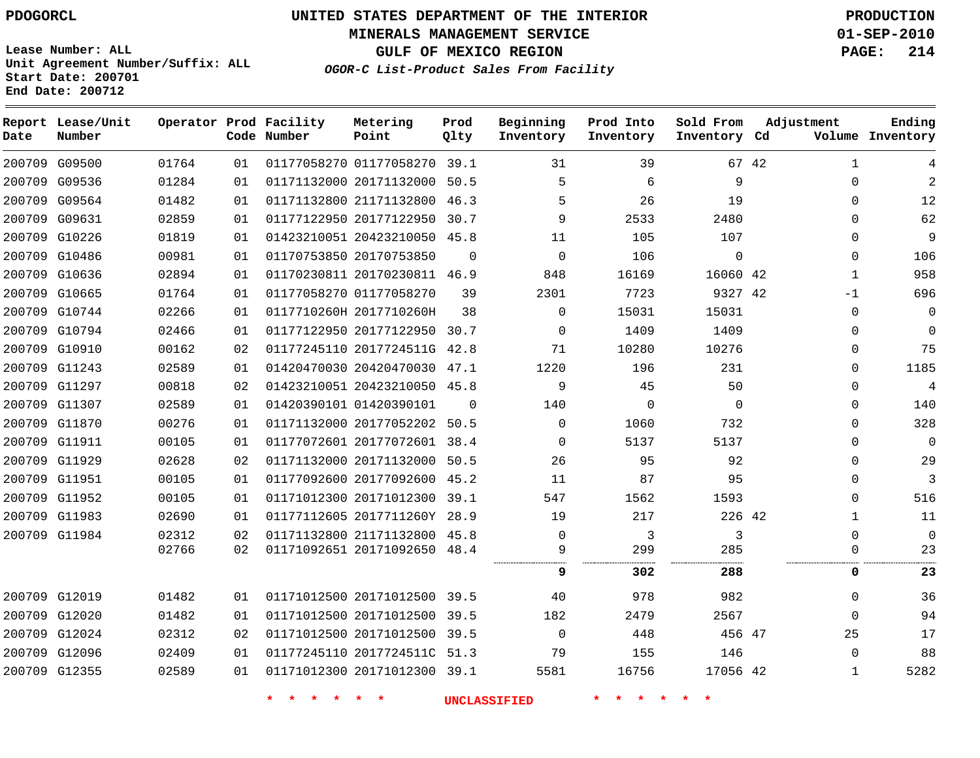# **UNITED STATES DEPARTMENT OF THE INTERIOR PDOGORCL PRODUCTION**

**MINERALS MANAGEMENT SERVICE 01-SEP-2010**

**GULF OF MEXICO REGION PAGE: 214**

**Unit Agreement Number/Suffix: ALL Start Date: 200701 End Date: 200712**

**OGOR-C List-Product Sales From Facility**

| Date | Report Lease/Unit<br>Number |       |    | Operator Prod Facility<br>Code Number | Metering<br>Point            | Prod<br>Qlty | Beginning<br>Inventory | Prod Into<br>Inventory | Sold From<br>Inventory Cd |       | Adjustment   | Ending<br>Volume Inventory |
|------|-----------------------------|-------|----|---------------------------------------|------------------------------|--------------|------------------------|------------------------|---------------------------|-------|--------------|----------------------------|
|      | 200709 G09500               | 01764 | 01 |                                       | 01177058270 01177058270 39.1 |              | 31                     | 39                     |                           | 67 42 | $\mathbf{1}$ | 4                          |
|      | 200709 G09536               | 01284 | 01 |                                       | 01171132000 20171132000 50.5 |              | 5                      | 6                      | 9                         |       | $\mathbf{0}$ | $\overline{2}$             |
|      | 200709 G09564               | 01482 | 01 |                                       | 01171132800 21171132800 46.3 |              | 5                      | 26                     | 19                        |       | $\mathbf{0}$ | 12                         |
|      | 200709 G09631               | 02859 | 01 |                                       | 01177122950 20177122950 30.7 |              | 9                      | 2533                   | 2480                      |       | $\Omega$     | 62                         |
|      | 200709 G10226               | 01819 | 01 |                                       | 01423210051 20423210050 45.8 |              | 11                     | 105                    | 107                       |       | $\mathbf{0}$ | 9                          |
|      | 200709 G10486               | 00981 | 01 |                                       | 01170753850 20170753850      | $\Omega$     | $\Omega$               | 106                    | $\Omega$                  |       | $\Omega$     | 106                        |
|      | 200709 G10636               | 02894 | 01 |                                       | 01170230811 20170230811 46.9 |              | 848                    | 16169                  | 16060 42                  |       | $\mathbf{1}$ | 958                        |
|      | 200709 G10665               | 01764 | 01 |                                       | 01177058270 01177058270      | 39           | 2301                   | 7723                   | 9327 42                   |       | $-1$         | 696                        |
|      | 200709 G10744               | 02266 | 01 |                                       | 0117710260H 2017710260H      | 38           | $\Omega$               | 15031                  | 15031                     |       | $\mathbf{0}$ | $\mathbf 0$                |
|      | 200709 G10794               | 02466 | 01 |                                       | 01177122950 20177122950 30.7 |              | $\mathbf 0$            | 1409                   | 1409                      |       | $\mathbf{0}$ | $\overline{0}$             |
|      | 200709 G10910               | 00162 | 02 |                                       | 01177245110 2017724511G 42.8 |              | 71                     | 10280                  | 10276                     |       | 0            | 75                         |
|      | 200709 G11243               | 02589 | 01 |                                       | 01420470030 20420470030 47.1 |              | 1220                   | 196                    | 231                       |       | $\mathbf{0}$ | 1185                       |
|      | 200709 G11297               | 00818 | 02 |                                       | 01423210051 20423210050 45.8 |              | 9                      | 45                     | 50                        |       | $\Omega$     | $\overline{4}$             |
|      | 200709 G11307               | 02589 | 01 |                                       | 01420390101 01420390101      | $\Omega$     | 140                    | $\Omega$               | $\Omega$                  |       | $\Omega$     | 140                        |
|      | 200709 G11870               | 00276 | 01 |                                       | 01171132000 20177052202 50.5 |              | 0                      | 1060                   | 732                       |       | $\mathbf{0}$ | 328                        |
|      | 200709 G11911               | 00105 | 01 |                                       | 01177072601 20177072601 38.4 |              | $\Omega$               | 5137                   | 5137                      |       | $\mathbf{0}$ | $\mathbf 0$                |
|      | 200709 G11929               | 02628 | 02 |                                       | 01171132000 20171132000 50.5 |              | 26                     | 95                     | 92                        |       | $\mathbf{0}$ | 29                         |
|      | 200709 G11951               | 00105 | 01 |                                       | 01177092600 20177092600 45.2 |              | 11                     | 87                     | 95                        |       | $\mathbf{0}$ | 3                          |
|      | 200709 G11952               | 00105 | 01 |                                       | 01171012300 20171012300      | 39.1         | 547                    | 1562                   | 1593                      |       | $\mathbf{0}$ | 516                        |
|      | 200709 G11983               | 02690 | 01 |                                       | 01177112605 2017711260Y 28.9 |              | 19                     | 217                    | 226 42                    |       | $\mathbf{1}$ | 11                         |
|      | 200709 G11984               | 02312 | 02 |                                       | 01171132800 21171132800 45.8 |              | $\Omega$               | 3                      | 3                         |       | $\Omega$     | $\Omega$                   |
|      |                             | 02766 | 02 |                                       | 01171092651 20171092650 48.4 |              | 9                      | 299                    | 285                       |       | $\Omega$     | 23                         |
|      |                             |       |    |                                       |                              |              | 9                      | 302                    | 288                       |       | 0            | 23                         |
|      | 200709 G12019               | 01482 | 01 |                                       | 01171012500 20171012500 39.5 |              | 40                     | 978                    | 982                       |       | $\mathbf{0}$ | 36                         |
|      | 200709 G12020               | 01482 | 01 |                                       | 01171012500 20171012500 39.5 |              | 182                    | 2479                   | 2567                      |       | $\Omega$     | 94                         |
|      | 200709 G12024               | 02312 | 02 |                                       | 01171012500 20171012500 39.5 |              | $\Omega$               | 448                    | 456 47                    |       | 25           | 17                         |
|      | 200709 G12096               | 02409 | 01 |                                       | 01177245110 2017724511C 51.3 |              | 79                     | 155                    | 146                       |       | $\mathbf{0}$ | 88                         |
|      | 200709 G12355               | 02589 | 01 |                                       | 01171012300 20171012300 39.1 |              | 5581                   | 16756                  | 17056 42                  |       | $\mathbf 1$  | 5282                       |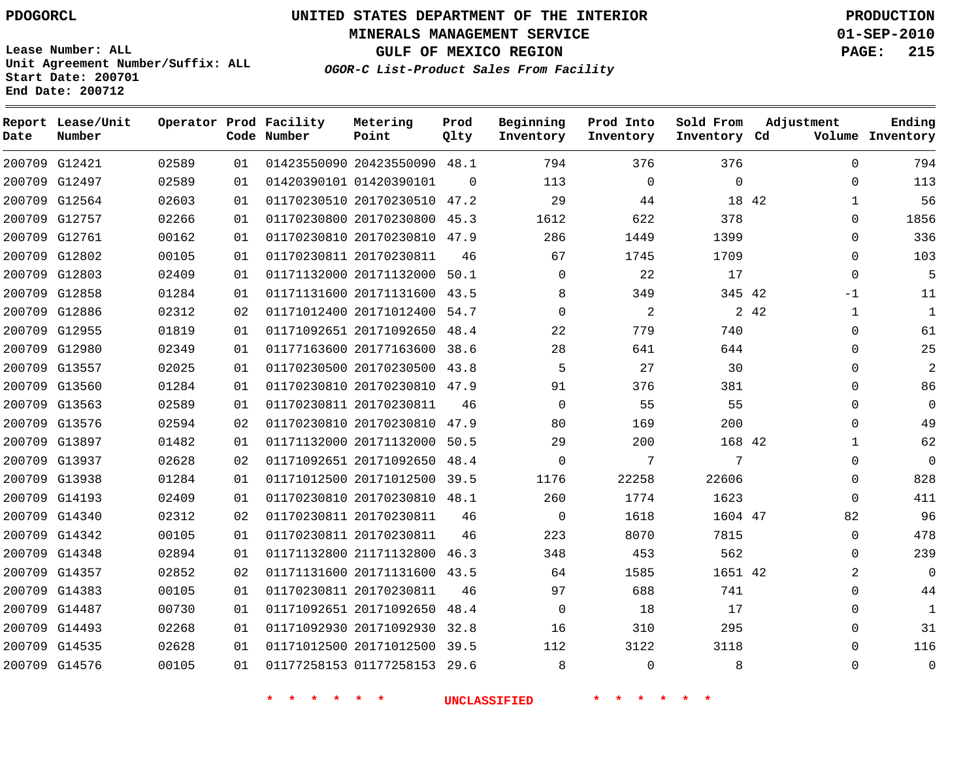**Start Date: 200701 End Date: 200712**

**Unit Agreement Number/Suffix: ALL**

# **UNITED STATES DEPARTMENT OF THE INTERIOR PDOGORCL PRODUCTION**

**MINERALS MANAGEMENT SERVICE 01-SEP-2010**

**GULF OF MEXICO REGION PAGE: 215**

**OGOR-C List-Product Sales From Facility**

| Date | Report Lease/Unit<br>Number |       |    | Operator Prod Facility<br>Code Number | Metering<br>Point            | Prod<br>Qlty | Beginning<br>Inventory | Prod Into<br>Inventory | Sold From<br>Inventory Cd | Adjustment           | Ending<br>Volume Inventory |
|------|-----------------------------|-------|----|---------------------------------------|------------------------------|--------------|------------------------|------------------------|---------------------------|----------------------|----------------------------|
|      | 200709 G12421               | 02589 | 01 |                                       | 01423550090 20423550090      | 48.1         | 794                    | 376                    | 376                       | $\Omega$             | 794                        |
|      | 200709 G12497               | 02589 | 01 |                                       | 01420390101 01420390101      | $\Omega$     | 113                    | $\Omega$               | $\Omega$                  | $\Omega$             | 113                        |
|      | 200709 G12564               | 02603 | 01 |                                       | 01170230510 20170230510      | 47.2         | 29                     | 44                     | 18 42                     | $\mathbf{1}$         | 56                         |
|      | 200709 G12757               | 02266 | 01 |                                       | 01170230800 20170230800      | 45.3         | 1612                   | 622                    | 378                       | $\Omega$             | 1856                       |
|      | 200709 G12761               | 00162 | 01 |                                       | 01170230810 20170230810      | 47.9         | 286                    | 1449                   | 1399                      | $\mathbf 0$          | 336                        |
|      | 200709 G12802               | 00105 | 01 |                                       | 01170230811 20170230811      | 46           | 67                     | 1745                   | 1709                      | $\mathbf 0$          | 103                        |
|      | 200709 G12803               | 02409 | 01 |                                       | 01171132000 20171132000      | 50.1         | 0                      | 22                     | 17                        | $\mathbf 0$          | 5                          |
|      | 200709 G12858               | 01284 | 01 |                                       | 01171131600 20171131600      | 43.5         | 8                      | 349                    | 345 42                    | $-1$                 | 11                         |
|      | 200709 G12886               | 02312 | 02 |                                       | 01171012400 20171012400      | 54.7         | $\overline{0}$         | 2                      |                           | 2 42<br>$\mathbf{1}$ | $\mathbf{1}$               |
|      | 200709 G12955               | 01819 | 01 |                                       | 01171092651 20171092650 48.4 |              | 22                     | 779                    | 740                       | $\mathbf 0$          | 61                         |
|      | 200709 G12980               | 02349 | 01 |                                       | 01177163600 20177163600      | 38.6         | 28                     | 641                    | 644                       | 0                    | 25                         |
|      | 200709 G13557               | 02025 | 01 |                                       | 01170230500 20170230500 43.8 |              | 5                      | 27                     | 30                        | $\mathbf 0$          | $\mathbf{2}$               |
|      | 200709 G13560               | 01284 | 01 |                                       | 01170230810 20170230810 47.9 |              | 91                     | 376                    | 381                       | 0                    | 86                         |
|      | 200709 G13563               | 02589 | 01 |                                       | 01170230811 20170230811      | 46           | $\Omega$               | 55                     | 55                        | $\mathbf 0$          | $\Omega$                   |
|      | 200709 G13576               | 02594 | 02 |                                       | 01170230810 20170230810      | 47.9         | 80                     | 169                    | 200                       | $\Omega$             | 49                         |
|      | 200709 G13897               | 01482 | 01 |                                       | 01171132000 20171132000      | 50.5         | 29                     | 200                    | 168 42                    | $\mathbf{1}$         | 62                         |
|      | 200709 G13937               | 02628 | 02 |                                       | 01171092651 20171092650      | 48.4         | $\Omega$               | 7                      | 7                         | $\Omega$             | $\Omega$                   |
|      | 200709 G13938               | 01284 | 01 |                                       | 01171012500 20171012500      | 39.5         | 1176                   | 22258                  | 22606                     | $\mathbf 0$          | 828                        |
|      | 200709 G14193               | 02409 | 01 |                                       | 01170230810 20170230810 48.1 |              | 260                    | 1774                   | 1623                      | $\Omega$             | 411                        |
|      | 200709 G14340               | 02312 | 02 |                                       | 01170230811 20170230811      | 46           | 0                      | 1618                   | 1604 47                   | 82                   | 96                         |
|      | 200709 G14342               | 00105 | 01 |                                       | 01170230811 20170230811      | 46           | 223                    | 8070                   | 7815                      | $\mathbf 0$          | 478                        |
|      | 200709 G14348               | 02894 | 01 |                                       | 01171132800 21171132800      | 46.3         | 348                    | 453                    | 562                       | $\mathbf 0$          | 239                        |
|      | 200709 G14357               | 02852 | 02 |                                       | 01171131600 20171131600      | 43.5         | 64                     | 1585                   | 1651 42                   | 2                    | $\overline{0}$             |
|      | 200709 G14383               | 00105 | 01 |                                       | 01170230811 20170230811      | 46           | 97                     | 688                    | 741                       | $\mathbf 0$          | 44                         |
|      | 200709 G14487               | 00730 | 01 |                                       | 01171092651 20171092650      | 48.4         | 0                      | 18                     | 17                        | 0                    | $\mathbf{1}$               |
|      | 200709 G14493               | 02268 | 01 |                                       | 01171092930 20171092930      | 32.8         | 16                     | 310                    | 295                       | 0                    | 31                         |
|      | 200709 G14535               | 02628 | 01 |                                       | 01171012500 20171012500 39.5 |              | 112                    | 3122                   | 3118                      | $\Omega$             | 116                        |
|      | 200709 G14576               | 00105 | 01 |                                       | 01177258153 01177258153      | 29.6         | 8                      | $\Omega$               | 8                         | $\Omega$             | $\Omega$                   |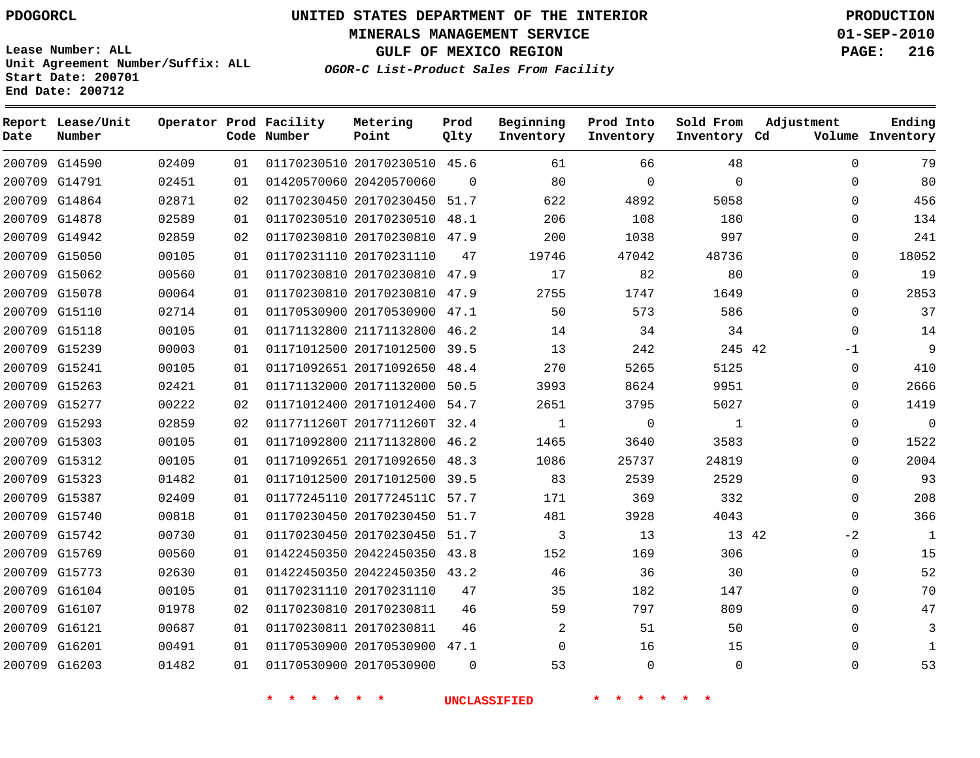**MINERALS MANAGEMENT SERVICE 01-SEP-2010**

**GULF OF MEXICO REGION PAGE: 216**

**Lease Number: ALL Unit Agreement Number/Suffix: ALL Start Date: 200701 End Date: 200712**

**OGOR-C List-Product Sales From Facility**

| Date          | Report Lease/Unit<br>Number |       |    | Operator Prod Facility<br>Code Number | Metering<br>Point            | Prod<br>Qlty | Beginning<br>Inventory | Prod Into<br>Inventory | Sold From<br>Inventory Cd | Adjustment  | Ending<br>Volume Inventory |
|---------------|-----------------------------|-------|----|---------------------------------------|------------------------------|--------------|------------------------|------------------------|---------------------------|-------------|----------------------------|
|               | 200709 G14590               | 02409 | 01 |                                       | 01170230510 20170230510 45.6 |              | 61                     | 66                     | 48                        | $\mathbf 0$ | 79                         |
| 200709 G14791 |                             | 02451 | 01 |                                       | 01420570060 20420570060      | $\Omega$     | 80                     | $\mathbf 0$            | $\mathbf 0$               | $\mathbf 0$ | 80                         |
| 200709 G14864 |                             | 02871 | 02 |                                       | 01170230450 20170230450 51.7 |              | 622                    | 4892                   | 5058                      | $\Omega$    | 456                        |
| 200709 G14878 |                             | 02589 | 01 |                                       | 01170230510 20170230510      | 48.1         | 206                    | 108                    | 180                       | $\mathbf 0$ | 134                        |
| 200709 G14942 |                             | 02859 | 02 |                                       | 01170230810 20170230810 47.9 |              | 200                    | 1038                   | 997                       | $\Omega$    | 241                        |
| 200709 G15050 |                             | 00105 | 01 |                                       | 01170231110 20170231110      | 47           | 19746                  | 47042                  | 48736                     | $\mathbf 0$ | 18052                      |
| 200709 G15062 |                             | 00560 | 01 |                                       | 01170230810 20170230810 47.9 |              | 17                     | 82                     | 80                        | $\Omega$    | 19                         |
| 200709 G15078 |                             | 00064 | 01 |                                       | 01170230810 20170230810      | 47.9         | 2755                   | 1747                   | 1649                      | $\Omega$    | 2853                       |
|               | 200709 G15110               | 02714 | 01 |                                       | 01170530900 20170530900 47.1 |              | 50                     | 573                    | 586                       | $\mathbf 0$ | 37                         |
| 200709 G15118 |                             | 00105 | 01 |                                       | 01171132800 21171132800 46.2 |              | 14                     | 34                     | 34                        | $\mathbf 0$ | 14                         |
| 200709 G15239 |                             | 00003 | 01 |                                       | 01171012500 20171012500 39.5 |              | 13                     | 242                    | 245 42                    | $-1$        | 9                          |
| 200709 G15241 |                             | 00105 | 01 |                                       | 01171092651 20171092650      | 48.4         | 270                    | 5265                   | 5125                      | $\mathbf 0$ | 410                        |
|               | 200709 G15263               | 02421 | 01 |                                       | 01171132000 20171132000 50.5 |              | 3993                   | 8624                   | 9951                      | $\Omega$    | 2666                       |
| 200709 G15277 |                             | 00222 | 02 |                                       | 01171012400 20171012400 54.7 |              | 2651                   | 3795                   | 5027                      | $\mathbf 0$ | 1419                       |
| 200709 G15293 |                             | 02859 | 02 |                                       | 0117711260T 2017711260T 32.4 |              | 1                      | $\Omega$               | $\mathbf{1}$              | $\Omega$    | $\mathbf 0$                |
| 200709 G15303 |                             | 00105 | 01 |                                       | 01171092800 21171132800      | 46.2         | 1465                   | 3640                   | 3583                      | $\mathbf 0$ | 1522                       |
| 200709 G15312 |                             | 00105 | 01 |                                       | 01171092651 20171092650 48.3 |              | 1086                   | 25737                  | 24819                     | $\Omega$    | 2004                       |
| 200709 G15323 |                             | 01482 | 01 |                                       | 01171012500 20171012500 39.5 |              | 83                     | 2539                   | 2529                      | $\Omega$    | 93                         |
| 200709 G15387 |                             | 02409 | 01 |                                       | 01177245110 2017724511C 57.7 |              | 171                    | 369                    | 332                       | $\mathbf 0$ | 208                        |
| 200709 G15740 |                             | 00818 | 01 |                                       | 01170230450 20170230450      | 51.7         | 481                    | 3928                   | 4043                      | $\Omega$    | 366                        |
|               | 200709 G15742               | 00730 | 01 |                                       | 01170230450 20170230450 51.7 |              | 3                      | 13                     | 13 42                     | $-2$        | $\mathbf{1}$               |
| 200709 G15769 |                             | 00560 | 01 |                                       | 01422450350 20422450350 43.8 |              | 152                    | 169                    | 306                       | $\mathbf 0$ | 15                         |
| 200709 G15773 |                             | 02630 | 01 |                                       | 01422450350 20422450350 43.2 |              | 46                     | 36                     | 30                        | $\Omega$    | 52                         |
| 200709 G16104 |                             | 00105 | 01 |                                       | 01170231110 20170231110      | 47           | 35                     | 182                    | 147                       | $\mathbf 0$ | 70                         |
| 200709 G16107 |                             | 01978 | 02 |                                       | 01170230810 20170230811      | 46           | 59                     | 797                    | 809                       | $\Omega$    | 47                         |
| 200709 G16121 |                             | 00687 | 01 |                                       | 01170230811 20170230811      | 46           | 2                      | 51                     | 50                        | $\Omega$    | 3                          |
| 200709 G16201 |                             | 00491 | 01 |                                       | 01170530900 20170530900 47.1 |              | $\Omega$               | 16                     | 15                        | $\Omega$    | -1                         |
| 200709 G16203 |                             | 01482 | 01 |                                       | 01170530900 20170530900      | $\Omega$     | 53                     | $\mathbf 0$            | $\Omega$                  | $\Omega$    | 53                         |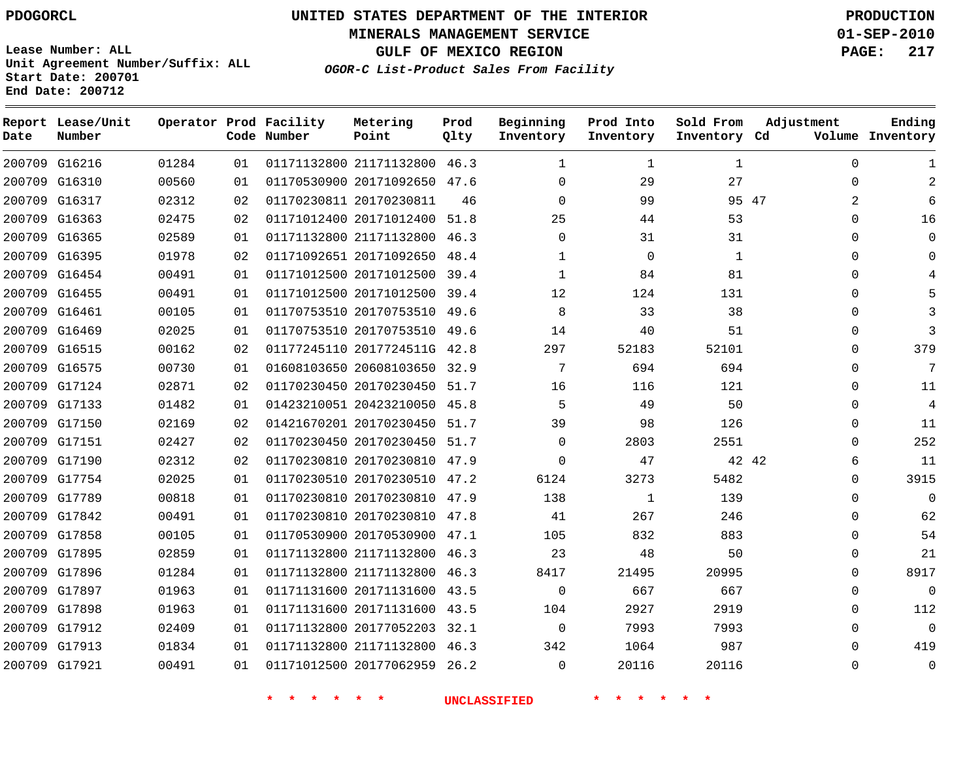# **UNITED STATES DEPARTMENT OF THE INTERIOR PDOGORCL PRODUCTION**

**MINERALS MANAGEMENT SERVICE 01-SEP-2010**

**GULF OF MEXICO REGION PAGE: 217**

**Unit Agreement Number/Suffix: ALL Start Date: 200701 End Date: 200712**

**OGOR-C List-Product Sales From Facility**

| Date | Report Lease/Unit<br>Number |       |    | Operator Prod Facility<br>Code Number | Metering<br>Point            | Prod<br>Qlty | Beginning<br>Inventory | Prod Into<br>Inventory | Sold From<br>Inventory Cd | Adjustment | Ending<br>Volume Inventory |
|------|-----------------------------|-------|----|---------------------------------------|------------------------------|--------------|------------------------|------------------------|---------------------------|------------|----------------------------|
|      | 200709 G16216               | 01284 | 01 |                                       | 01171132800 21171132800 46.3 |              | $\mathbf{1}$           | $\mathbf 1$            | 1                         | $\Omega$   | 1                          |
|      | 200709 G16310               | 00560 | 01 |                                       | 01170530900 20171092650 47.6 |              | $\Omega$               | 29                     | 27                        | $\Omega$   | $\overline{2}$             |
|      | 200709 G16317               | 02312 | 02 |                                       | 01170230811 20170230811      | 46           | $\Omega$               | 99                     | 95 47                     | 2          |                            |
|      | 200709 G16363               | 02475 | 02 |                                       | 01171012400 20171012400 51.8 |              | 25                     | 44                     | 53                        | $\Omega$   | 16                         |
|      | 200709 G16365               | 02589 | 01 |                                       | 01171132800 21171132800 46.3 |              | $\Omega$               | 31                     | 31                        | 0          | $\Omega$                   |
|      | 200709 G16395               | 01978 | 02 |                                       | 01171092651 20171092650 48.4 |              | 1                      | $\mathbf 0$            | $\mathbf{1}$              | 0          | 0                          |
|      | 200709 G16454               | 00491 | 01 |                                       | 01171012500 20171012500      | 39.4         | $\mathbf{1}$           | 84                     | 81                        | 0          |                            |
|      | 200709 G16455               | 00491 | 01 |                                       | 01171012500 20171012500 39.4 |              | 12                     | 124                    | 131                       | 0          |                            |
|      | 200709 G16461               | 00105 | 01 |                                       | 01170753510 20170753510 49.6 |              | 8                      | 33                     | 38                        | $\Omega$   |                            |
|      | 200709 G16469               | 02025 | 01 |                                       | 01170753510 20170753510 49.6 |              | 14                     | 40                     | 51                        | $\Omega$   | 3                          |
|      | 200709 G16515               | 00162 | 02 |                                       | 01177245110 2017724511G 42.8 |              | 297                    | 52183                  | 52101                     | $\Omega$   | 379                        |
|      | 200709 G16575               | 00730 | 01 |                                       | 01608103650 20608103650 32.9 |              | 7                      | 694                    | 694                       | $\Omega$   | 7                          |
|      | 200709 G17124               | 02871 | 02 |                                       | 01170230450 20170230450      | 51.7         | 16                     | 116                    | 121                       | $\Omega$   | 11                         |
|      | 200709 G17133               | 01482 | 01 |                                       | 01423210051 20423210050 45.8 |              | 5                      | 49                     | 50                        | $\Omega$   | 4                          |
|      | 200709 G17150               | 02169 | 02 |                                       | 01421670201 20170230450      | 51.7         | 39                     | 98                     | 126                       | $\Omega$   | 11                         |
|      | 200709 G17151               | 02427 | 02 |                                       | 01170230450 20170230450 51.7 |              | $\Omega$               | 2803                   | 2551                      | $\Omega$   | 252                        |
|      | 200709 G17190               | 02312 | 02 |                                       | 01170230810 20170230810 47.9 |              | 0                      | 47                     |                           | 42 42<br>6 | 11                         |
|      | 200709 G17754               | 02025 | 01 |                                       | 01170230510 20170230510 47.2 |              | 6124                   | 3273                   | 5482                      | $\Omega$   | 3915                       |
|      | 200709 G17789               | 00818 | 01 |                                       | 01170230810 20170230810      | 47.9         | 138                    | $\mathbf{1}$           | 139                       | $\Omega$   | $\Omega$                   |
|      | 200709 G17842               | 00491 | 01 |                                       | 01170230810 20170230810      | 47.8         | 41                     | 267                    | 246                       | $\Omega$   | 62                         |
|      | 200709 G17858               | 00105 | 01 |                                       | 01170530900 20170530900 47.1 |              | 105                    | 832                    | 883                       | $\Omega$   | 54                         |
|      | 200709 G17895               | 02859 | 01 |                                       | 01171132800 21171132800      | 46.3         | 23                     | 48                     | 50                        | 0          | 21                         |
|      | 200709 G17896               | 01284 | 01 |                                       | 01171132800 21171132800      | 46.3         | 8417                   | 21495                  | 20995                     | $\Omega$   | 8917                       |
|      | 200709 G17897               | 01963 | 01 |                                       | 01171131600 20171131600      | 43.5         | $\Omega$               | 667                    | 667                       | $\Omega$   | $\Omega$                   |
|      | 200709 G17898               | 01963 | 01 |                                       | 01171131600 20171131600 43.5 |              | 104                    | 2927                   | 2919                      | $\Omega$   | 112                        |
|      | 200709 G17912               | 02409 | 01 |                                       | 01171132800 20177052203 32.1 |              | $\Omega$               | 7993                   | 7993                      | $\Omega$   | $\Omega$                   |
|      | 200709 G17913               | 01834 | 01 |                                       | 01171132800 21171132800 46.3 |              | 342                    | 1064                   | 987                       | 0          | 419                        |
|      | 200709 G17921               | 00491 | 01 |                                       | 01171012500 20177062959      | 26.2         | $\Omega$               | 20116                  | 20116                     | $\Omega$   | $\Omega$                   |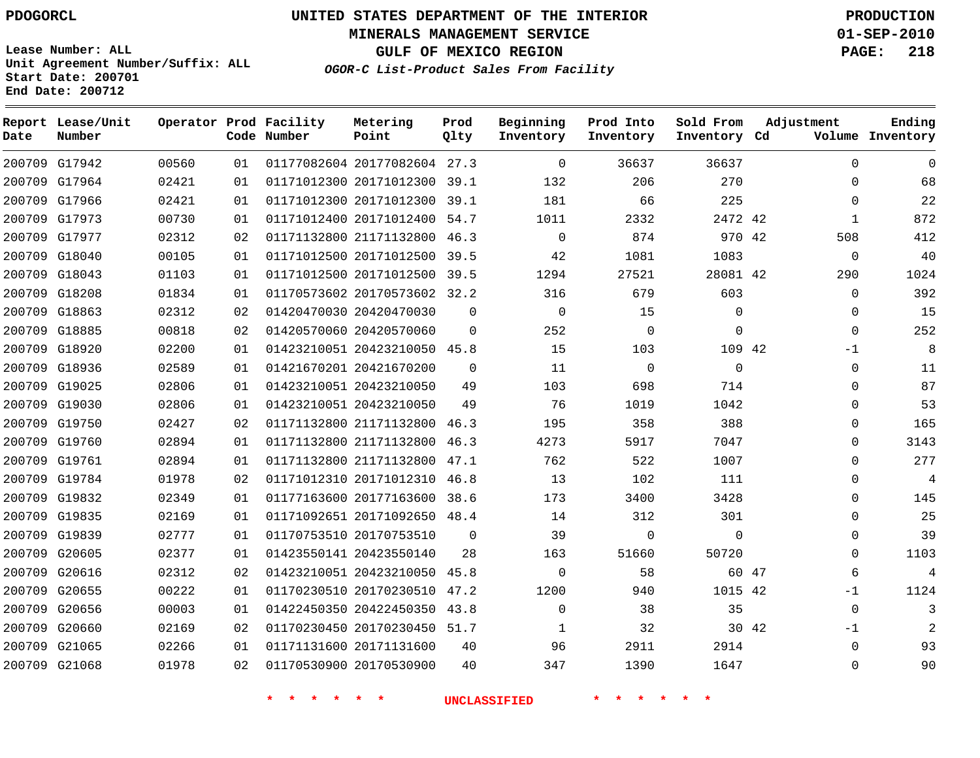**End Date: 200712**

# **UNITED STATES DEPARTMENT OF THE INTERIOR PDOGORCL PRODUCTION**

**MINERALS MANAGEMENT SERVICE 01-SEP-2010**

**GULF OF MEXICO REGION PAGE: 218**

**OGOR-C List-Product Sales From Facility Unit Agreement Number/Suffix: ALL Start Date: 200701**

| Date | Report Lease/Unit<br>Number |       |    | Operator Prod Facility<br>Code Number | Metering<br>Point            | Prod<br>Qlty | Beginning<br>Inventory | Prod Into<br>Inventory | Sold From<br>Inventory Cd | Adjustment    | Ending<br>Volume Inventory |
|------|-----------------------------|-------|----|---------------------------------------|------------------------------|--------------|------------------------|------------------------|---------------------------|---------------|----------------------------|
|      | 200709 G17942               | 00560 | 01 |                                       | 01177082604 20177082604 27.3 |              | $\mathbf{0}$           | 36637                  | 36637                     | $\Omega$      | 0                          |
|      | 200709 G17964               | 02421 | 01 |                                       | 01171012300 20171012300 39.1 |              | 132                    | 206                    | 270                       | 0             | 68                         |
|      | 200709 G17966               | 02421 | 01 |                                       | 01171012300 20171012300      | 39.1         | 181                    | 66                     | 225                       | $\Omega$      | 22                         |
|      | 200709 G17973               | 00730 | 01 |                                       | 01171012400 20171012400 54.7 |              | 1011                   | 2332                   | 2472 42                   | $\mathbf{1}$  | 872                        |
|      | 200709 G17977               | 02312 | 02 |                                       | 01171132800 21171132800      | 46.3         | $\Omega$               | 874                    | 970 42                    | 508           | 412                        |
|      | 200709 G18040               | 00105 | 01 |                                       | 01171012500 20171012500      | 39.5         | 42                     | 1081                   | 1083                      | $\mathbf 0$   | 40                         |
|      | 200709 G18043               | 01103 | 01 |                                       | 01171012500 20171012500 39.5 |              | 1294                   | 27521                  | 28081 42                  | 290           | 1024                       |
|      | 200709 G18208               | 01834 | 01 |                                       | 01170573602 20170573602 32.2 |              | 316                    | 679                    | 603                       | $\Omega$      | 392                        |
|      | 200709 G18863               | 02312 | 02 |                                       | 01420470030 20420470030      | 0            | $\mathbf 0$            | 15                     | $\Omega$                  | $\Omega$      | 15                         |
|      | 200709 G18885               | 00818 | 02 |                                       | 01420570060 20420570060      | 0            | 252                    | 0                      | $\mathbf 0$               | 0             | 252                        |
|      | 200709 G18920               | 02200 | 01 |                                       | 01423210051 20423210050 45.8 |              | 15                     | 103                    | 109 42                    | -1            | 8                          |
|      | 200709 G18936               | 02589 | 01 |                                       | 01421670201 20421670200      | $\mathbf 0$  | 11                     | $\mathbf 0$            | $\mathbf 0$               | 0             | 11                         |
|      | 200709 G19025               | 02806 | 01 |                                       | 01423210051 20423210050      | 49           | 103                    | 698                    | 714                       | 0             | 87                         |
|      | 200709 G19030               | 02806 | 01 |                                       | 01423210051 20423210050      | 49           | 76                     | 1019                   | 1042                      | $\Omega$      | 53                         |
|      | 200709 G19750               | 02427 | 02 |                                       | 01171132800 21171132800      | 46.3         | 195                    | 358                    | 388                       | $\Omega$      | 165                        |
|      | 200709 G19760               | 02894 | 01 |                                       | 01171132800 21171132800      | 46.3         | 4273                   | 5917                   | 7047                      | $\Omega$      | 3143                       |
|      | 200709 G19761               | 02894 | 01 |                                       | 01171132800 21171132800      | 47.1         | 762                    | 522                    | 1007                      | $\Omega$      | 277                        |
|      | 200709 G19784               | 01978 | 02 |                                       | 01171012310 20171012310      | 46.8         | 13                     | 102                    | 111                       | $\Omega$      | 4                          |
|      | 200709 G19832               | 02349 | 01 |                                       | 01177163600 20177163600      | 38.6         | 173                    | 3400                   | 3428                      | 0             | 145                        |
|      | 200709 G19835               | 02169 | 01 |                                       | 01171092651 20171092650      | 48.4         | 14                     | 312                    | 301                       | $\Omega$      | 25                         |
|      | 200709 G19839               | 02777 | 01 |                                       | 01170753510 20170753510      | 0            | 39                     | 0                      | $\Omega$                  | $\Omega$      | 39                         |
|      | 200709 G20605               | 02377 | 01 |                                       | 01423550141 20423550140      | 28           | 163                    | 51660                  | 50720                     | $\Omega$      | 1103                       |
|      | 200709 G20616               | 02312 | 02 |                                       | 01423210051 20423210050      | 45.8         | $\Omega$               | 58                     |                           | 60 47<br>6    | $\overline{4}$             |
|      | 200709 G20655               | 00222 | 01 |                                       | 01170230510 20170230510      | 47.2         | 1200                   | 940                    | 1015 42                   | $-1$          | 1124                       |
|      | 200709 G20656               | 00003 | 01 |                                       | 01422450350 20422450350      | 43.8         | $\Omega$               | 38                     | 35                        | $\Omega$      | 3                          |
|      | 200709 G20660               | 02169 | 02 |                                       | 01170230450 20170230450 51.7 |              | 1                      | 32                     |                           | 30 42<br>$-1$ |                            |
|      | 200709 G21065               | 02266 | 01 |                                       | 01171131600 20171131600      | 40           | 96                     | 2911                   | 2914                      | $\Omega$      | 93                         |
|      | 200709 G21068               | 01978 | 02 |                                       | 01170530900 20170530900      | 40           | 347                    | 1390                   | 1647                      | $\Omega$      | 90                         |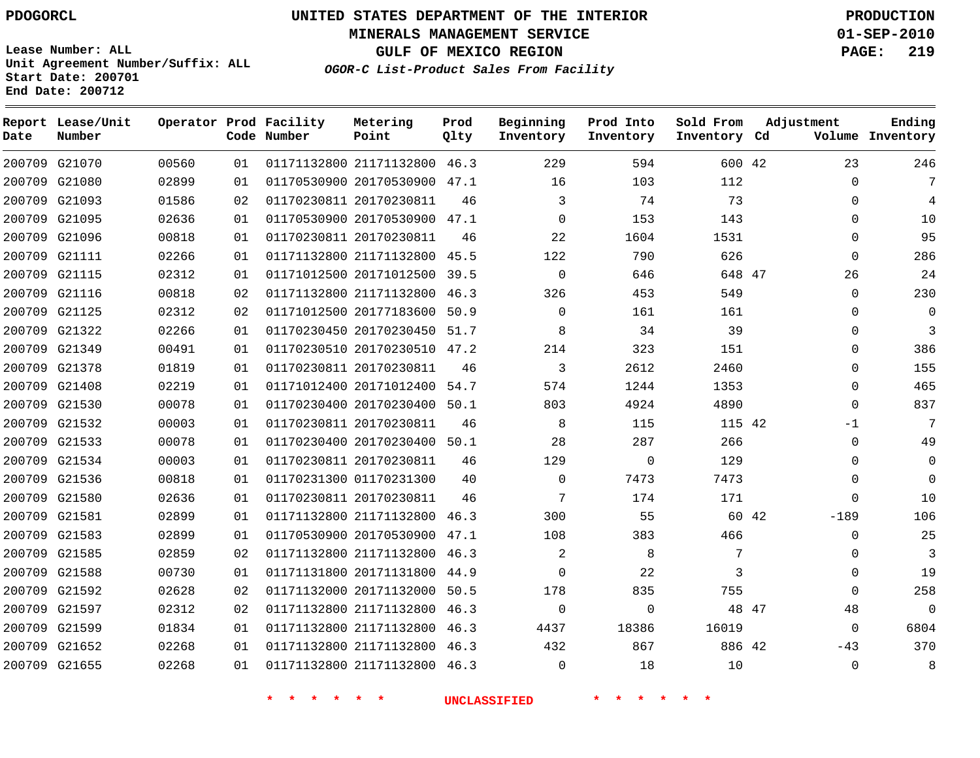**Start Date: 200701 End Date: 200712**

**Unit Agreement Number/Suffix: ALL**

# **UNITED STATES DEPARTMENT OF THE INTERIOR PDOGORCL PRODUCTION**

**MINERALS MANAGEMENT SERVICE 01-SEP-2010**

**GULF OF MEXICO REGION PAGE: 219**

**OGOR-C List-Product Sales From Facility**

| Date   | Report Lease/Unit<br>Number |       |    | Operator Prod Facility<br>Code Number | Metering<br>Point            | Prod<br>Qlty | Beginning<br>Inventory | Prod Into<br>Inventory | Sold From<br>Inventory Cd | Adjustment |             | Ending<br>Volume Inventory |
|--------|-----------------------------|-------|----|---------------------------------------|------------------------------|--------------|------------------------|------------------------|---------------------------|------------|-------------|----------------------------|
|        | 200709 G21070               | 00560 | 01 |                                       | 01171132800 21171132800      | 46.3         | 229                    | 594                    | 600 42                    |            | 23          | 246                        |
| 200709 | G21080                      | 02899 | 01 |                                       | 01170530900 20170530900      | 47.1         | 16                     | 103                    | 112                       |            | $\Omega$    | 7                          |
|        | 200709 G21093               | 01586 | 02 |                                       | 01170230811 20170230811      | 46           | 3                      | 74                     | 73                        |            | $\Omega$    | 4                          |
| 200709 | G21095                      | 02636 | 01 |                                       | 01170530900 20170530900 47.1 |              | $\mathbf 0$            | 153                    | 143                       |            | 0           | 10                         |
|        | 200709 G21096               | 00818 | 01 |                                       | 01170230811 20170230811      | 46           | 22                     | 1604                   | 1531                      |            | $\mathbf 0$ | 95                         |
| 200709 | G21111                      | 02266 | 01 |                                       | 01171132800 21171132800      | 45.5         | 122                    | 790                    | 626                       |            | $\Omega$    | 286                        |
|        | 200709 G21115               | 02312 | 01 |                                       | 01171012500 20171012500      | 39.5         | $\mathbf 0$            | 646                    | 648 47                    |            | 26          | 24                         |
| 200709 | G21116                      | 00818 | 02 |                                       | 01171132800 21171132800      | 46.3         | 326                    | 453                    | 549                       |            | $\mathbf 0$ | 230                        |
|        | 200709 G21125               | 02312 | 02 |                                       | 01171012500 20177183600      | 50.9         | $\Omega$               | 161                    | 161                       |            | $\Omega$    | $\Omega$                   |
| 200709 | G21322                      | 02266 | 01 |                                       | 01170230450 20170230450      | 51.7         | 8                      | 34                     | 39                        |            | $\mathbf 0$ | 3                          |
| 200709 | G21349                      | 00491 | 01 |                                       | 01170230510 20170230510      | 47.2         | 214                    | 323                    | 151                       |            | 0           | 386                        |
| 200709 | G21378                      | 01819 | 01 |                                       | 01170230811 20170230811      | 46           | 3                      | 2612                   | 2460                      |            | $\Omega$    | 155                        |
| 200709 | G21408                      | 02219 | 01 |                                       | 01171012400 20171012400      | 54.7         | 574                    | 1244                   | 1353                      |            | $\mathbf 0$ | 465                        |
|        | 200709 G21530               | 00078 | 01 |                                       | 01170230400 20170230400      | 50.1         | 803                    | 4924                   | 4890                      |            | $\Omega$    | 837                        |
| 200709 | G21532                      | 00003 | 01 |                                       | 01170230811 20170230811      | 46           | 8                      | 115                    | 115 42                    |            | $-1$        | 7                          |
|        | 200709 G21533               | 00078 | 01 |                                       | 01170230400 20170230400      | 50.1         | 28                     | 287                    | 266                       |            | $\Omega$    | 49                         |
|        | 200709 G21534               | 00003 | 01 |                                       | 01170230811 20170230811      | 46           | 129                    | $\mathbf 0$            | 129                       |            | 0           | $\mathbf 0$                |
|        | 200709 G21536               | 00818 | 01 |                                       | 01170231300 01170231300      | 40           | $\mathbf 0$            | 7473                   | 7473                      |            | $\mathbf 0$ | $\mathbf 0$                |
| 200709 | G21580                      | 02636 | 01 |                                       | 01170230811 20170230811      | 46           | 7                      | 174                    | 171                       |            | $\Omega$    | 10                         |
|        | 200709 G21581               | 02899 | 01 |                                       | 01171132800 21171132800      | 46.3         | 300                    | 55                     | 60 42                     |            | $-189$      | 106                        |
| 200709 | G21583                      | 02899 | 01 |                                       | 01170530900 20170530900      | 47.1         | 108                    | 383                    | 466                       |            | $\mathbf 0$ | 25                         |
|        | 200709 G21585               | 02859 | 02 |                                       | 01171132800 21171132800      | 46.3         | 2                      | 8                      | 7                         |            | $\Omega$    | 3                          |
| 200709 | G21588                      | 00730 | 01 |                                       | 01171131800 20171131800      | 44.9         | $\mathbf 0$            | 22                     | 3                         |            | $\Omega$    | 19                         |
| 200709 | G21592                      | 02628 | 02 |                                       | 01171132000 20171132000      | 50.5         | 178                    | 835                    | 755                       |            | $\mathbf 0$ | 258                        |
| 200709 | G21597                      | 02312 | 02 |                                       | 01171132800 21171132800      | 46.3         | $\mathbf 0$            | $\Omega$               | 48 47                     |            | 48          | $\mathbf 0$                |
| 200709 | G21599                      | 01834 | 01 |                                       | 01171132800 21171132800      | 46.3         | 4437                   | 18386                  | 16019                     |            | $\Omega$    | 6804                       |
|        | 200709 G21652               | 02268 | 01 |                                       | 01171132800 21171132800      | 46.3         | 432                    | 867                    | 886 42                    |            | $-43$       | 370                        |
|        | 200709 G21655               | 02268 | 01 |                                       | 01171132800 21171132800      | 46.3         | $\Omega$               | 18                     | 10                        |            | $\Omega$    | 8                          |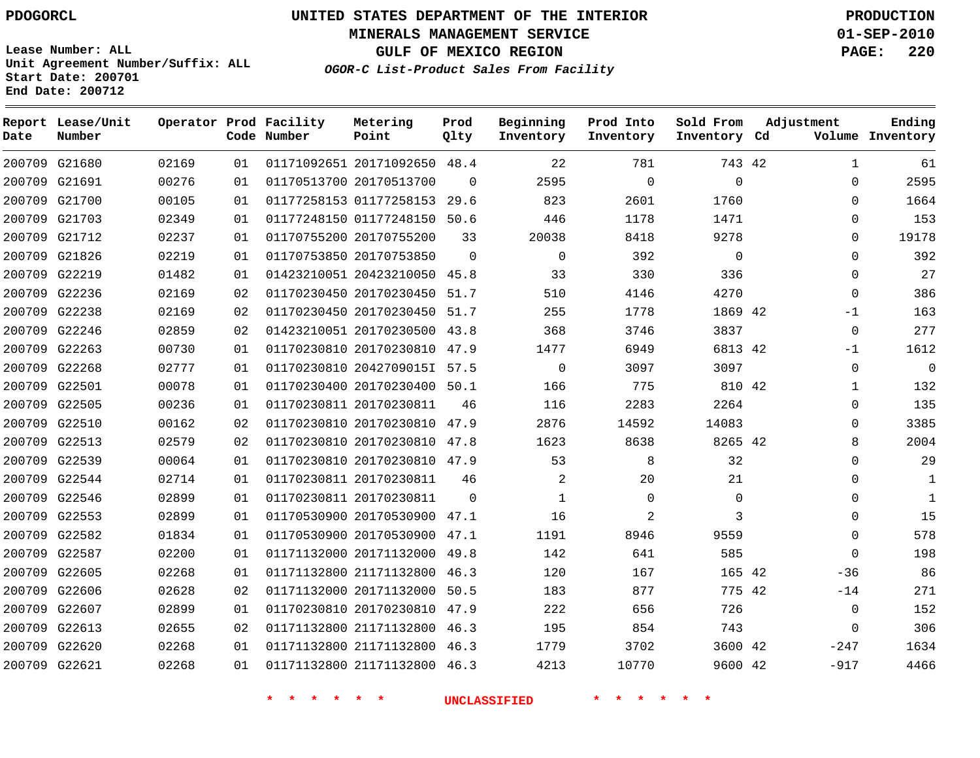**Start Date: 200701 End Date: 200712**

**Unit Agreement Number/Suffix: ALL**

# **UNITED STATES DEPARTMENT OF THE INTERIOR PDOGORCL PRODUCTION**

**MINERALS MANAGEMENT SERVICE 01-SEP-2010**

**GULF OF MEXICO REGION PAGE: 220**

**OGOR-C List-Product Sales From Facility**

| Date | Report Lease/Unit<br>Number |       |    | Operator Prod Facility<br>Code Number | Metering<br>Point            | Prod<br>Qlty | Beginning<br>Inventory | Prod Into<br>Inventory | Sold From<br>Inventory Cd | Adjustment   | Ending<br>Volume Inventory |
|------|-----------------------------|-------|----|---------------------------------------|------------------------------|--------------|------------------------|------------------------|---------------------------|--------------|----------------------------|
|      | 200709 G21680               | 02169 | 01 |                                       | 01171092651 20171092650 48.4 |              | 22                     | 781                    | 743 42                    | $\mathbf{1}$ | 61                         |
|      | 200709 G21691               | 00276 | 01 |                                       | 01170513700 20170513700      | $\Omega$     | 2595                   | $\mathbf 0$            | $\mathbf 0$               | $\mathbf 0$  | 2595                       |
|      | 200709 G21700               | 00105 | 01 |                                       | 01177258153 01177258153      | 29.6         | 823                    | 2601                   | 1760                      | $\Omega$     | 1664                       |
|      | 200709 G21703               | 02349 | 01 |                                       | 01177248150 01177248150      | 50.6         | 446                    | 1178                   | 1471                      | $\mathbf 0$  | 153                        |
|      | 200709 G21712               | 02237 | 01 |                                       | 01170755200 20170755200      | 33           | 20038                  | 8418                   | 9278                      | $\Omega$     | 19178                      |
|      | 200709 G21826               | 02219 | 01 |                                       | 01170753850 20170753850      | $\Omega$     | $\mathbf 0$            | 392                    | $\mathbf 0$               | $\Omega$     | 392                        |
|      | 200709 G22219               | 01482 | 01 |                                       | 01423210051 20423210050 45.8 |              | 33                     | 330                    | 336                       | $\mathbf 0$  | 27                         |
|      | 200709 G22236               | 02169 | 02 |                                       | 01170230450 20170230450      | 51.7         | 510                    | 4146                   | 4270                      | $\mathbf 0$  | 386                        |
|      | 200709 G22238               | 02169 | 02 |                                       | 01170230450 20170230450 51.7 |              | 255                    | 1778                   | 1869 42                   | $-1$         | 163                        |
|      | 200709 G22246               | 02859 | 02 |                                       | 01423210051 20170230500      | 43.8         | 368                    | 3746                   | 3837                      | $\Omega$     | 277                        |
|      | 200709 G22263               | 00730 | 01 |                                       | 01170230810 20170230810 47.9 |              | 1477                   | 6949                   | 6813 42                   | $-1$         | 1612                       |
|      | 200709 G22268               | 02777 | 01 |                                       | 01170230810 2042709015I 57.5 |              | $\mathbf 0$            | 3097                   | 3097                      | $\mathbf 0$  | $\overline{0}$             |
|      | 200709 G22501               | 00078 | 01 |                                       | 01170230400 20170230400      | 50.1         | 166                    | 775                    | 810 42                    | $\mathbf{1}$ | 132                        |
|      | 200709 G22505               | 00236 | 01 |                                       | 01170230811 20170230811      | 46           | 116                    | 2283                   | 2264                      | $\Omega$     | 135                        |
|      | 200709 G22510               | 00162 | 02 |                                       | 01170230810 20170230810      | 47.9         | 2876                   | 14592                  | 14083                     | $\mathbf 0$  | 3385                       |
|      | 200709 G22513               | 02579 | 02 |                                       | 01170230810 20170230810      | 47.8         | 1623                   | 8638                   | 8265 42                   | 8            | 2004                       |
|      | 200709 G22539               | 00064 | 01 |                                       | 01170230810 20170230810 47.9 |              | 53                     | 8                      | 32                        | $\mathbf 0$  | 29                         |
|      | 200709 G22544               | 02714 | 01 |                                       | 01170230811 20170230811      | 46           | 2                      | 20                     | 21                        | $\mathbf 0$  | 1                          |
|      | 200709 G22546               | 02899 | 01 |                                       | 01170230811 20170230811      | $\Omega$     | $\mathbf{1}$           | $\mathbf 0$            | $\mathbf 0$               | $\mathbf 0$  | 1                          |
|      | 200709 G22553               | 02899 | 01 |                                       | 01170530900 20170530900 47.1 |              | 16                     | 2                      | 3                         | $\Omega$     | 15                         |
|      | 200709 G22582               | 01834 | 01 |                                       | 01170530900 20170530900      | 47.1         | 1191                   | 8946                   | 9559                      | $\Omega$     | 578                        |
|      | 200709 G22587               | 02200 | 01 |                                       | 01171132000 20171132000 49.8 |              | 142                    | 641                    | 585                       | $\Omega$     | 198                        |
|      | 200709 G22605               | 02268 | 01 |                                       | 01171132800 21171132800      | 46.3         | 120                    | 167                    | 165 42                    | -36          | 86                         |
|      | 200709 G22606               | 02628 | 02 |                                       | 01171132000 20171132000      | 50.5         | 183                    | 877                    | 775 42                    | $-14$        | 271                        |
|      | 200709 G22607               | 02899 | 01 |                                       | 01170230810 20170230810      | 47.9         | 222                    | 656                    | 726                       | $\mathbf 0$  | 152                        |
|      | 200709 G22613               | 02655 | 02 |                                       | 01171132800 21171132800      | 46.3         | 195                    | 854                    | 743                       | $\mathbf 0$  | 306                        |
|      | 200709 G22620               | 02268 | 01 |                                       | 01171132800 21171132800      | 46.3         | 1779                   | 3702                   | 3600 42                   | $-247$       | 1634                       |
|      | 200709 G22621               | 02268 | 01 |                                       | 01171132800 21171132800      | 46.3         | 4213                   | 10770                  | 9600 42                   | $-917$       | 4466                       |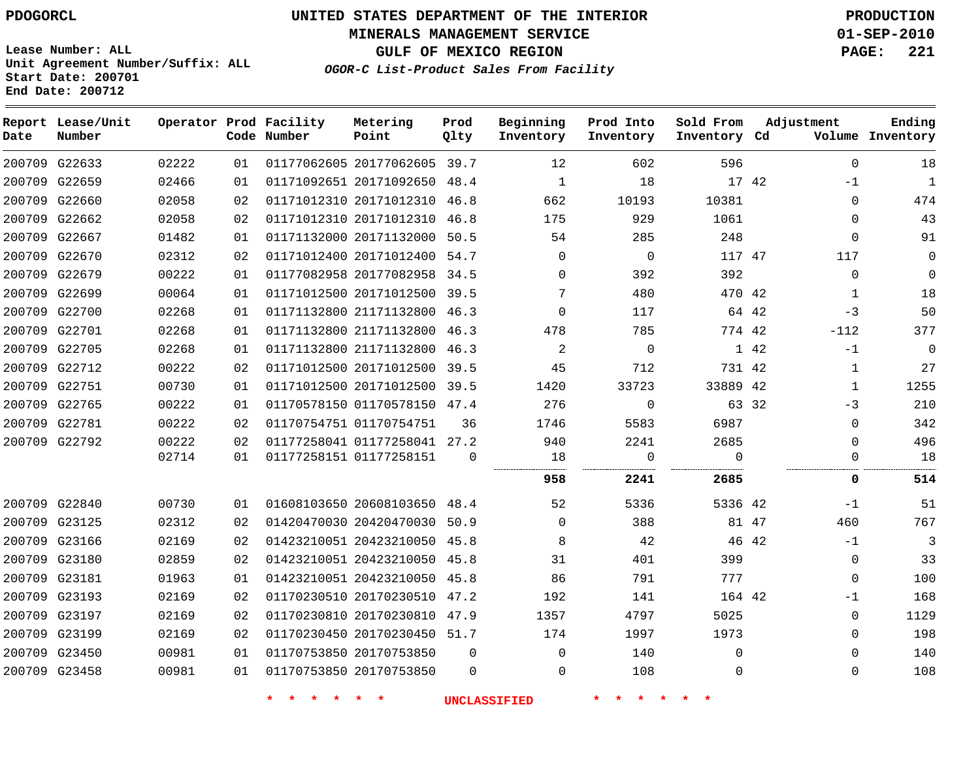**MINERALS MANAGEMENT SERVICE 01-SEP-2010**

**GULF OF MEXICO REGION PAGE: 221**

**Lease Number: ALL Unit Agreement Number/Suffix: ALL Start Date: 200701 End Date: 200712**

**OGOR-C List-Product Sales From Facility**

| Date | Report Lease/Unit<br>Number |       |    | Operator Prod Facility<br>Code Number | Metering<br>Point            | Prod<br>Olty | Beginning<br>Inventory | Prod Into<br>Inventory | Sold From<br>Inventory Cd |       | Adjustment   | Ending<br>Volume Inventory |
|------|-----------------------------|-------|----|---------------------------------------|------------------------------|--------------|------------------------|------------------------|---------------------------|-------|--------------|----------------------------|
|      | 200709 G22633               | 02222 | 01 |                                       | 01177062605 20177062605 39.7 |              | 12                     | 602                    | 596                       |       | $\mathbf 0$  | 18                         |
|      | 200709 G22659               | 02466 | 01 |                                       | 01171092651 20171092650 48.4 |              | $\mathbf{1}$           | 18                     | 17 42                     |       | $-1$         | $\mathbf{1}$               |
|      | 200709 G22660               | 02058 | 02 |                                       | 01171012310 20171012310      | 46.8         | 662                    | 10193                  | 10381                     |       | $\mathbf 0$  | 474                        |
|      | 200709 G22662               | 02058 | 02 |                                       | 01171012310 20171012310 46.8 |              | 175                    | 929                    | 1061                      |       | $\mathbf 0$  | 43                         |
|      | 200709 G22667               | 01482 | 01 |                                       | 01171132000 20171132000      | 50.5         | 54                     | 285                    | 248                       |       | $\mathbf 0$  | 91                         |
|      | 200709 G22670               | 02312 | 02 |                                       | 01171012400 20171012400      | 54.7         | $\Omega$               | $\overline{0}$         | 117 47                    |       | 117          | $\Omega$                   |
|      | 200709 G22679               | 00222 | 01 |                                       | 01177082958 20177082958      | 34.5         | $\Omega$               | 392                    | 392                       |       | $\mathbf 0$  | $\Omega$                   |
|      | 200709 G22699               | 00064 | 01 |                                       | 01171012500 20171012500      | 39.5         | 7                      | 480                    | 470 42                    |       | $\mathbf{1}$ | 18                         |
|      | 200709 G22700               | 02268 | 01 |                                       | 01171132800 21171132800 46.3 |              | $\Omega$               | 117                    |                           | 64 42 | $-3$         | 50                         |
|      | 200709 G22701               | 02268 | 01 |                                       | 01171132800 21171132800      | 46.3         | 478                    | 785                    | 774 42                    |       | $-112$       | 377                        |
|      | 200709 G22705               | 02268 | 01 |                                       | 01171132800 21171132800 46.3 |              | 2                      | $\Omega$               |                           | 1 42  | $-1$         | $\mathbf 0$                |
|      | 200709 G22712               | 00222 | 02 |                                       | 01171012500 20171012500      | 39.5         | 45                     | 712                    | 731 42                    |       | 1            | 27                         |
|      | 200709 G22751               | 00730 | 01 |                                       | 01171012500 20171012500      | 39.5         | 1420                   | 33723                  | 33889 42                  |       | 1            | 1255                       |
|      | 200709 G22765               | 00222 | 01 |                                       | 01170578150 01170578150 47.4 |              | 276                    | $\mathbf{0}$           |                           | 63 32 | $-3$         | 210                        |
|      | 200709 G22781               | 00222 | 02 |                                       | 01170754751 01170754751      | 36           | 1746                   | 5583                   | 6987                      |       | $\Omega$     | 342                        |
|      | 200709 G22792               | 00222 | 02 |                                       | 01177258041 01177258041 27.2 |              | 940                    | 2241                   | 2685                      |       | $\mathbf 0$  | 496                        |
|      |                             | 02714 | 01 |                                       | 01177258151 01177258151      | $\Omega$     | 18                     | $\mathbf 0$            | $\Omega$                  |       | 0            | 18                         |
|      |                             |       |    |                                       |                              |              | 958                    | 2241                   | 2685                      |       | 0            | 514                        |
|      | 200709 G22840               | 00730 | 01 |                                       | 01608103650 20608103650 48.4 |              | 52                     | 5336                   | 5336 42                   |       | $-1$         | 51                         |
|      | 200709 G23125               | 02312 | 02 |                                       | 01420470030 20420470030      | 50.9         | $\mathbf 0$            | 388                    |                           | 81 47 | 460          | 767                        |
|      | 200709 G23166               | 02169 | 02 |                                       | 01423210051 20423210050 45.8 |              | 8                      | 42                     |                           | 46 42 | $-1$         | 3                          |
|      | 200709 G23180               | 02859 | 02 |                                       | 01423210051 20423210050      | 45.8         | 31                     | 401                    | 399                       |       | $\mathbf 0$  | 33                         |
|      | 200709 G23181               | 01963 | 01 |                                       | 01423210051 20423210050 45.8 |              | 86                     | 791                    | 777                       |       | $\Omega$     | 100                        |
|      | 200709 G23193               | 02169 | 02 |                                       | 01170230510 20170230510      | 47.2         | 192                    | 141                    | 164 42                    |       | $-1$         | 168                        |
|      | 200709 G23197               | 02169 | 02 |                                       | 01170230810 20170230810      | 47.9         | 1357                   | 4797                   | 5025                      |       | $\mathbf 0$  | 1129                       |
|      | 200709 G23199               | 02169 | 02 |                                       | 01170230450 20170230450 51.7 |              | 174                    | 1997                   | 1973                      |       | $\mathbf 0$  | 198                        |
|      | 200709 G23450               | 00981 | 01 |                                       | 01170753850 20170753850      | $\Omega$     | $\Omega$               | 140                    | $\Omega$                  |       | $\Omega$     | 140                        |
|      | 200709 G23458               | 00981 | 01 |                                       | 01170753850 20170753850      | $\Omega$     | $\Omega$               | 108                    | $\mathbf 0$               |       | $\Omega$     | 108                        |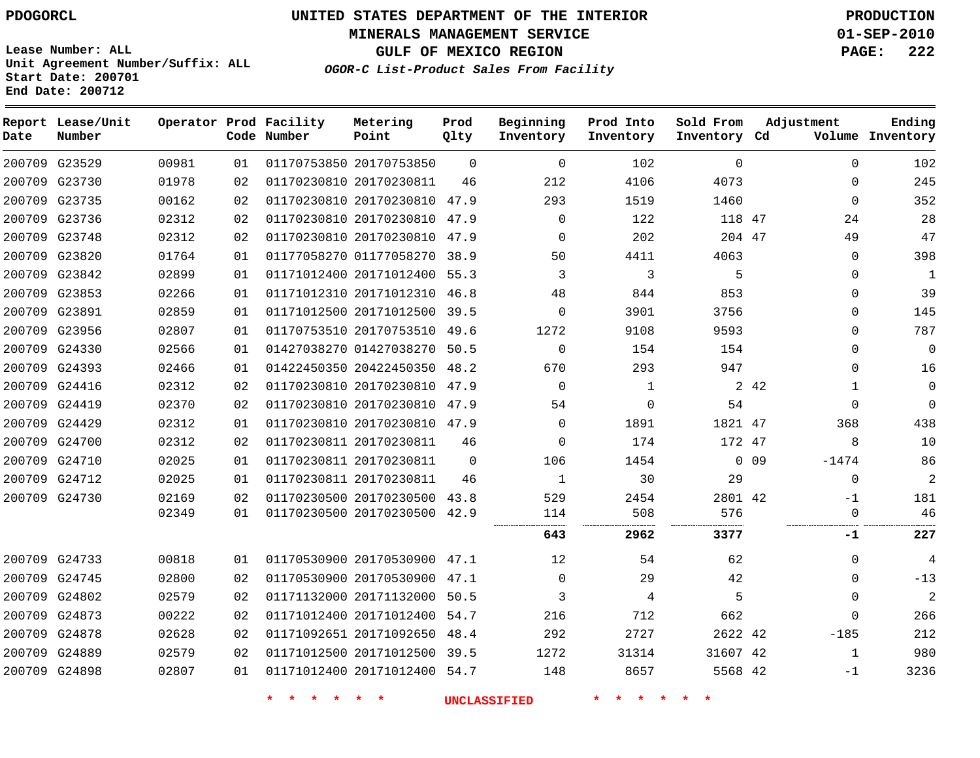**MINERALS MANAGEMENT SERVICE 01-SEP-2010**

**GULF OF MEXICO REGION PAGE: 222**

**Lease Number: ALL Unit Agreement Number/Suffix: ALL Start Date: 200701 End Date: 200712**

**OGOR-C List-Product Sales From Facility**

| Date | Report Lease/Unit<br>Number |       |    | Operator Prod Facility<br>Code Number | Metering<br>Point            | Prod<br>Qlty | Beginning<br>Inventory | Prod Into<br>Inventory | Sold From<br>Inventory Cd | Adjustment                 | Ending<br>Volume Inventory |
|------|-----------------------------|-------|----|---------------------------------------|------------------------------|--------------|------------------------|------------------------|---------------------------|----------------------------|----------------------------|
|      | 200709 G23529               | 00981 | 01 |                                       | 01170753850 20170753850      | $\mathbf 0$  | $\mathbf 0$            | 102                    | $\mathbf 0$               | $\mathbf 0$                | 102                        |
|      | 200709 G23730               | 01978 | 02 |                                       | 01170230810 20170230811      | 46           | 212                    | 4106                   | 4073                      | $\mathbf 0$                | 245                        |
|      | 200709 G23735               | 00162 | 02 |                                       | 01170230810 20170230810 47.9 |              | 293                    | 1519                   | 1460                      | $\mathbf 0$                | 352                        |
|      | 200709 G23736               | 02312 | 02 |                                       | 01170230810 20170230810 47.9 |              | $\Omega$               | 122                    | 118 47                    | 24                         | 28                         |
|      | 200709 G23748               | 02312 | 02 |                                       | 01170230810 20170230810 47.9 |              | $\Omega$               | 202                    | 204 47                    | 49                         | 47                         |
|      | 200709 G23820               | 01764 | 01 |                                       | 01177058270 01177058270 38.9 |              | 50                     | 4411                   | 4063                      | $\mathbf 0$                | 398                        |
|      | 200709 G23842               | 02899 | 01 |                                       | 01171012400 20171012400 55.3 |              | 3                      | 3                      | 5                         | $\mathbf 0$                | $\mathbf{1}$               |
|      | 200709 G23853               | 02266 | 01 |                                       | 01171012310 20171012310 46.8 |              | 48                     | 844                    | 853                       | $\Omega$                   | 39                         |
|      | 200709 G23891               | 02859 | 01 |                                       | 01171012500 20171012500      | 39.5         | $\Omega$               | 3901                   | 3756                      | $\mathbf 0$                | 145                        |
|      | 200709 G23956               | 02807 | 01 |                                       | 01170753510 20170753510 49.6 |              | 1272                   | 9108                   | 9593                      | $\mathbf 0$                | 787                        |
|      | 200709 G24330               | 02566 | 01 |                                       | 01427038270 01427038270 50.5 |              | $\Omega$               | 154                    | 154                       | $\mathbf 0$                | $\Omega$                   |
|      | 200709 G24393               | 02466 | 01 |                                       | 01422450350 20422450350      | 48.2         | 670                    | 293                    | 947                       | 0                          | 16                         |
|      | 200709 G24416               | 02312 | 02 |                                       | 01170230810 20170230810 47.9 |              | $\Omega$               | $\mathbf 1$            |                           | 2 42<br>1                  | $\mathbf 0$                |
|      | 200709 G24419               | 02370 | 02 |                                       | 01170230810 20170230810 47.9 |              | 54                     | $\mathbf 0$            | 54                        | $\Omega$                   | $\Omega$                   |
|      | 200709 G24429               | 02312 | 01 |                                       | 01170230810 20170230810 47.9 |              | $\Omega$               | 1891                   | 1821 47                   | 368                        | 438                        |
|      | 200709 G24700               | 02312 | 02 |                                       | 01170230811 20170230811      | 46           | $\Omega$               | 174                    | 172 47                    | 8                          | 10                         |
|      | 200709 G24710               | 02025 | 01 |                                       | 01170230811 20170230811      | $\Omega$     | 106                    | 1454                   |                           | 0 <sub>09</sub><br>$-1474$ | 86                         |
|      | 200709 G24712               | 02025 | 01 |                                       | 01170230811 20170230811      | 46           | $\mathbf{1}$           | 30                     | 29                        | 0                          | 2                          |
|      | 200709 G24730               | 02169 | 02 |                                       | 01170230500 20170230500 43.8 |              | 529                    | 2454                   | 2801 42                   | $-1$                       | 181                        |
|      |                             | 02349 | 01 |                                       | 01170230500 20170230500 42.9 |              | 114                    | 508                    | 576                       | $\mathbf 0$                | 46                         |
|      |                             |       |    |                                       |                              |              | 643                    | 2962                   | 3377                      | -1                         | 227                        |
|      | 200709 G24733               | 00818 | 01 |                                       | 01170530900 20170530900 47.1 |              | 12                     | 54                     | 62                        | $\mathbf 0$                | 4                          |
|      | 200709 G24745               | 02800 | 02 |                                       | 01170530900 20170530900 47.1 |              | $\Omega$               | 29                     | 42                        | $\mathbf 0$                | $-13$                      |
|      | 200709 G24802               | 02579 | 02 |                                       | 01171132000 20171132000 50.5 |              | 3                      | 4                      | 5                         | $\Omega$                   | $\overline{a}$             |
|      | 200709 G24873               | 00222 | 02 |                                       | 01171012400 20171012400      | 54.7         | 216                    | 712                    | 662                       | $\Omega$                   | 266                        |
|      | 200709 G24878               | 02628 | 02 |                                       | 01171092651 20171092650      | 48.4         | 292                    | 2727                   | 2622 42                   | $-185$                     | 212                        |
|      | 200709 G24889               | 02579 | 02 |                                       | 01171012500 20171012500 39.5 |              | 1272                   | 31314                  | 31607 42                  | 1                          | 980                        |
|      | 200709 G24898               | 02807 | 01 |                                       | 01171012400 20171012400 54.7 |              | 148                    | 8657                   | 5568 42                   | -1                         | 3236                       |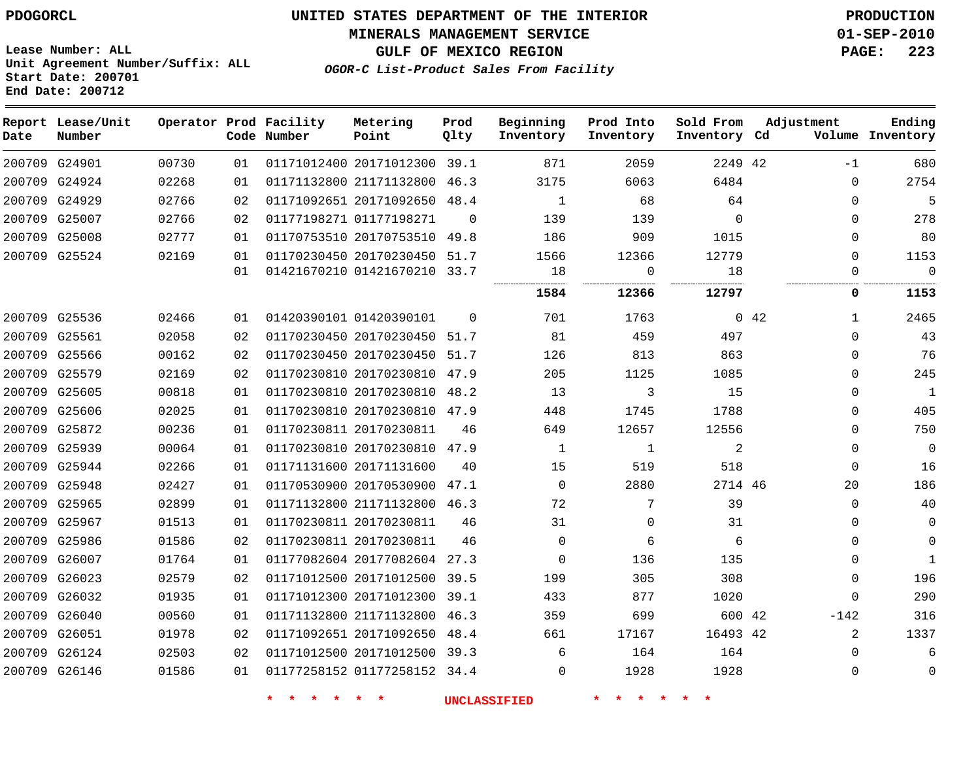#### **MINERALS MANAGEMENT SERVICE 01-SEP-2010**

**GULF OF MEXICO REGION PAGE: 223**

**Lease Number: ALL Unit Agreement Number/Suffix: ALL Start Date: 200701 End Date: 200712**

**OGOR-C List-Product Sales From Facility**

| Date | Report Lease/Unit<br>Number |       |    | Operator Prod Facility<br>Code Number | Metering<br>Point            | Prod<br>Qlty | Beginning<br>Inventory | Prod Into<br>Inventory | Sold From<br>Inventory Cd | Adjustment                  | Ending<br>Volume Inventory |
|------|-----------------------------|-------|----|---------------------------------------|------------------------------|--------------|------------------------|------------------------|---------------------------|-----------------------------|----------------------------|
|      | 200709 G24901               | 00730 | 01 |                                       | 01171012400 20171012300 39.1 |              | 871                    | 2059                   | 2249 42                   | $-1$                        | 680                        |
|      | 200709 G24924               | 02268 | 01 |                                       | 01171132800 21171132800      | 46.3         | 3175                   | 6063                   | 6484                      | $\Omega$                    | 2754                       |
|      | 200709 G24929               | 02766 | 02 |                                       | 01171092651 20171092650 48.4 |              | 1                      | 68                     | 64                        | $\Omega$                    | 5                          |
|      | 200709 G25007               | 02766 | 02 |                                       | 01177198271 01177198271      | $\Omega$     | 139                    | 139                    | $\Omega$                  | $\mathbf{0}$                | 278                        |
|      | 200709 G25008               | 02777 | 01 |                                       | 01170753510 20170753510 49.8 |              | 186                    | 909                    | 1015                      | $\mathbf 0$                 | 80                         |
|      | 200709 G25524               | 02169 | 01 |                                       | 01170230450 20170230450 51.7 |              | 1566                   | 12366                  | 12779                     | $\mathbf 0$                 | 1153                       |
|      |                             |       | 01 |                                       | 01421670210 01421670210      | 33.7         | 18                     | 0                      | 18                        | $\Omega$                    | $\Omega$                   |
|      |                             |       |    |                                       |                              |              | 1584                   | 12366                  | 12797                     | 0                           | 1153                       |
|      | 200709 G25536               | 02466 | 01 |                                       | 01420390101 01420390101      | $\Omega$     | 701                    | 1763                   |                           | $0\quad 42$<br>$\mathbf{1}$ | 2465                       |
|      | 200709 G25561               | 02058 | 02 |                                       | 01170230450 20170230450 51.7 |              | 81                     | 459                    | 497                       | $\Omega$                    | 43                         |
|      | 200709 G25566               | 00162 | 02 |                                       | 01170230450 20170230450      | 51.7         | 126                    | 813                    | 863                       | $\mathbf{0}$                | 76                         |
|      | 200709 G25579               | 02169 | 02 |                                       | 01170230810 20170230810 47.9 |              | 205                    | 1125                   | 1085                      | $\Omega$                    | 245                        |
|      | 200709 G25605               | 00818 | 01 |                                       | 01170230810 20170230810      | 48.2         | 13                     | 3                      | 15                        | $\mathbf{0}$                | $\mathbf{1}$               |
|      | 200709 G25606               | 02025 | 01 |                                       | 01170230810 20170230810 47.9 |              | 448                    | 1745                   | 1788                      | $\Omega$                    | 405                        |
|      | 200709 G25872               | 00236 | 01 |                                       | 01170230811 20170230811      | 46           | 649                    | 12657                  | 12556                     | $\mathbf 0$                 | 750                        |
|      | 200709 G25939               | 00064 | 01 |                                       | 01170230810 20170230810      | 47.9         | 1                      | 1                      | 2                         | $\mathbf 0$                 | $\mathbf 0$                |
|      | 200709 G25944               | 02266 | 01 |                                       | 01171131600 20171131600      | 40           | 15                     | 519                    | 518                       | $\Omega$                    | 16                         |
|      | 200709 G25948               | 02427 | 01 |                                       | 01170530900 20170530900      | 47.1         | $\Omega$               | 2880                   | 2714 46                   | 20                          | 186                        |
|      | 200709 G25965               | 02899 | 01 |                                       | 01171132800 21171132800 46.3 |              | 72                     | 7                      | 39                        | $\Omega$                    | 40                         |
|      | 200709 G25967               | 01513 | 01 |                                       | 01170230811 20170230811      | 46           | 31                     | 0                      | 31                        | $\Omega$                    | $\Omega$                   |
|      | 200709 G25986               | 01586 | 02 |                                       | 01170230811 20170230811      | 46           | $\Omega$               | 6                      | 6                         | $\Omega$                    | $\Omega$                   |
|      | 200709 G26007               | 01764 | 01 |                                       | 01177082604 20177082604      | 27.3         | 0                      | 136                    | 135                       | $\mathbf 0$                 | $\mathbf{1}$               |
|      | 200709 G26023               | 02579 | 02 |                                       | 01171012500 20171012500 39.5 |              | 199                    | 305                    | 308                       | $\mathbf 0$                 | 196                        |
|      | 200709 G26032               | 01935 | 01 |                                       | 01171012300 20171012300 39.1 |              | 433                    | 877                    | 1020                      | $\Omega$                    | 290                        |
|      | 200709 G26040               | 00560 | 01 |                                       | 01171132800 21171132800 46.3 |              | 359                    | 699                    | 600 42                    | $-142$                      | 316                        |
|      | 200709 G26051               | 01978 | 02 |                                       | 01171092651 20171092650      | 48.4         | 661                    | 17167                  | 16493 42                  | 2                           | 1337                       |
|      | 200709 G26124               | 02503 | 02 |                                       | 01171012500 20171012500 39.3 |              | 6                      | 164                    | 164                       | $\Omega$                    | 6                          |
|      | 200709 G26146               | 01586 | 01 |                                       | 01177258152 01177258152 34.4 |              | $\Omega$               | 1928                   | 1928                      | $\Omega$                    | $\Omega$                   |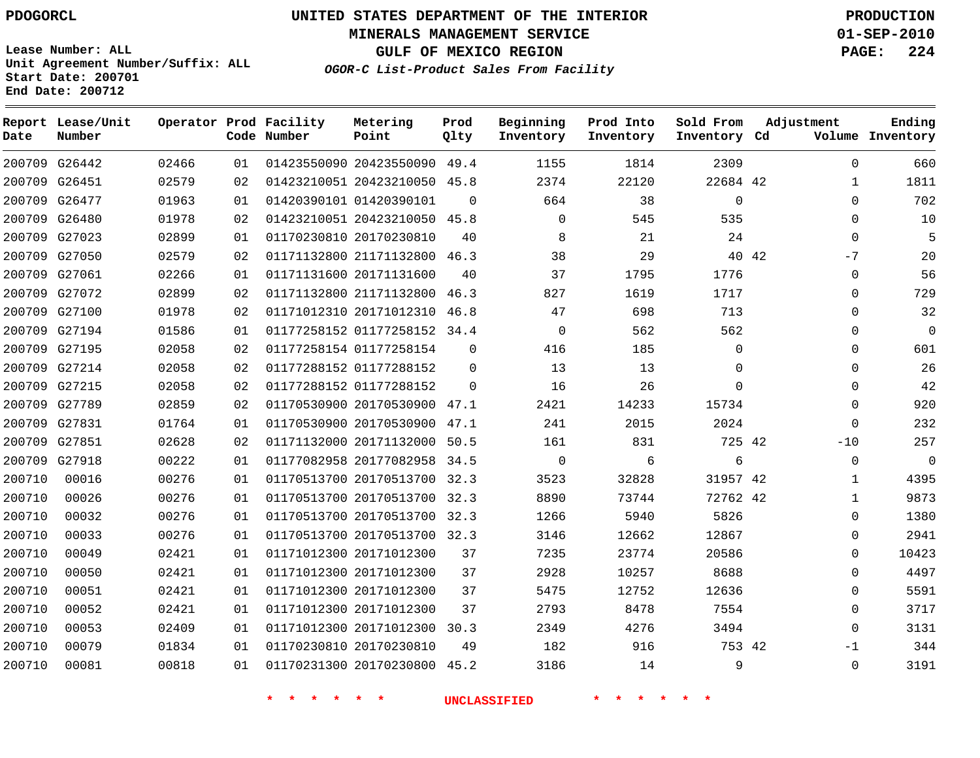**Start Date: 200701 End Date: 200712**

**Unit Agreement Number/Suffix: ALL**

# **UNITED STATES DEPARTMENT OF THE INTERIOR PDOGORCL PRODUCTION**

**MINERALS MANAGEMENT SERVICE 01-SEP-2010**

**GULF OF MEXICO REGION PAGE: 224**

**OGOR-C List-Product Sales From Facility**

| Date   | Report Lease/Unit<br>Number |       |    | Operator Prod Facility<br>Code Number | Metering<br>Point       | Prod<br>Qlty | Beginning<br>Inventory | Prod Into<br>Inventory | Sold From<br>Inventory Cd | Adjustment    | Ending<br>Volume Inventory |
|--------|-----------------------------|-------|----|---------------------------------------|-------------------------|--------------|------------------------|------------------------|---------------------------|---------------|----------------------------|
|        | 200709 G26442               | 02466 | 01 |                                       | 01423550090 20423550090 | 49.4         | 1155                   | 1814                   | 2309                      | $\Omega$      | 660                        |
| 200709 | G26451                      | 02579 | 02 |                                       | 01423210051 20423210050 | 45.8         | 2374                   | 22120                  | 22684 42                  | $\mathbf{1}$  | 1811                       |
| 200709 | G26477                      | 01963 | 01 |                                       | 01420390101 01420390101 | $\Omega$     | 664                    | 38                     | $\mathbf 0$               | $\mathbf 0$   | 702                        |
| 200709 | G26480                      | 01978 | 02 |                                       | 01423210051 20423210050 | 45.8         | $\mathbf{0}$           | 545                    | 535                       | $\Omega$      | 10                         |
|        | 200709 G27023               | 02899 | 01 |                                       | 01170230810 20170230810 | 40           | 8                      | 21                     | 24                        | $\Omega$      | 5                          |
| 200709 | G27050                      | 02579 | 02 |                                       | 01171132800 21171132800 | 46.3         | 38                     | 29                     |                           | 40 42<br>$-7$ | 20                         |
| 200709 | G27061                      | 02266 | 01 |                                       | 01171131600 20171131600 | 40           | 37                     | 1795                   | 1776                      | $\Omega$      | 56                         |
| 200709 | G27072                      | 02899 | 02 |                                       | 01171132800 21171132800 | 46.3         | 827                    | 1619                   | 1717                      | $\Omega$      | 729                        |
| 200709 | G27100                      | 01978 | 02 |                                       | 01171012310 20171012310 | 46.8         | 47                     | 698                    | 713                       | $\mathbf 0$   | 32                         |
| 200709 | G27194                      | 01586 | 01 |                                       | 01177258152 01177258152 | 34.4         | $\mathbf 0$            | 562                    | 562                       | $\mathbf 0$   | $\Omega$                   |
| 200709 | G27195                      | 02058 | 02 |                                       | 01177258154 01177258154 | $\mathbf 0$  | 416                    | 185                    | 0                         | 0             | 601                        |
| 200709 | G27214                      | 02058 | 02 |                                       | 01177288152 01177288152 | $\Omega$     | 13                     | 13                     | $\Omega$                  | $\Omega$      | 26                         |
| 200709 | G27215                      | 02058 | 02 |                                       | 01177288152 01177288152 | $\Omega$     | 16                     | 26                     | $\Omega$                  | $\Omega$      | 42                         |
|        | 200709 G27789               | 02859 | 02 |                                       | 01170530900 20170530900 | 47.1         | 2421                   | 14233                  | 15734                     | $\Omega$      | 920                        |
| 200709 | G27831                      | 01764 | 01 |                                       | 01170530900 20170530900 | 47.1         | 241                    | 2015                   | 2024                      | $\Omega$      | 232                        |
| 200709 | G27851                      | 02628 | 02 |                                       | 01171132000 20171132000 | 50.5         | 161                    | 831                    | 725 42                    | $-10$         | 257                        |
| 200709 | G27918                      | 00222 | 01 |                                       | 01177082958 20177082958 | 34.5         | $\mathsf 0$            | 6                      | 6                         | $\mathbf{0}$  | $\overline{0}$             |
| 200710 | 00016                       | 00276 | 01 |                                       | 01170513700 20170513700 | 32.3         | 3523                   | 32828                  | 31957 42                  | $\mathbf{1}$  | 4395                       |
| 200710 | 00026                       | 00276 | 01 |                                       | 01170513700 20170513700 | 32.3         | 8890                   | 73744                  | 72762 42                  | 1             | 9873                       |
| 200710 | 00032                       | 00276 | 01 |                                       | 01170513700 20170513700 | 32.3         | 1266                   | 5940                   | 5826                      | $\Omega$      | 1380                       |
| 200710 | 00033                       | 00276 | 01 |                                       | 01170513700 20170513700 | 32.3         | 3146                   | 12662                  | 12867                     | $\Omega$      | 2941                       |
| 200710 | 00049                       | 02421 | 01 |                                       | 01171012300 20171012300 | 37           | 7235                   | 23774                  | 20586                     | $\Omega$      | 10423                      |
| 200710 | 00050                       | 02421 | 01 |                                       | 01171012300 20171012300 | 37           | 2928                   | 10257                  | 8688                      | $\Omega$      | 4497                       |
| 200710 | 00051                       | 02421 | 01 |                                       | 01171012300 20171012300 | 37           | 5475                   | 12752                  | 12636                     | $\Omega$      | 5591                       |
| 200710 | 00052                       | 02421 | 01 |                                       | 01171012300 20171012300 | 37           | 2793                   | 8478                   | 7554                      | $\mathbf 0$   | 3717                       |
| 200710 | 00053                       | 02409 | 01 |                                       | 01171012300 20171012300 | 30.3         | 2349                   | 4276                   | 3494                      | $\Omega$      | 3131                       |
| 200710 | 00079                       | 01834 | 01 |                                       | 01170230810 20170230810 | 49           | 182                    | 916                    | 753 42                    | $-1$          | 344                        |
| 200710 | 00081                       | 00818 | 01 |                                       | 01170231300 20170230800 | 45.2         | 3186                   | 14                     | 9                         | $\Omega$      | 3191                       |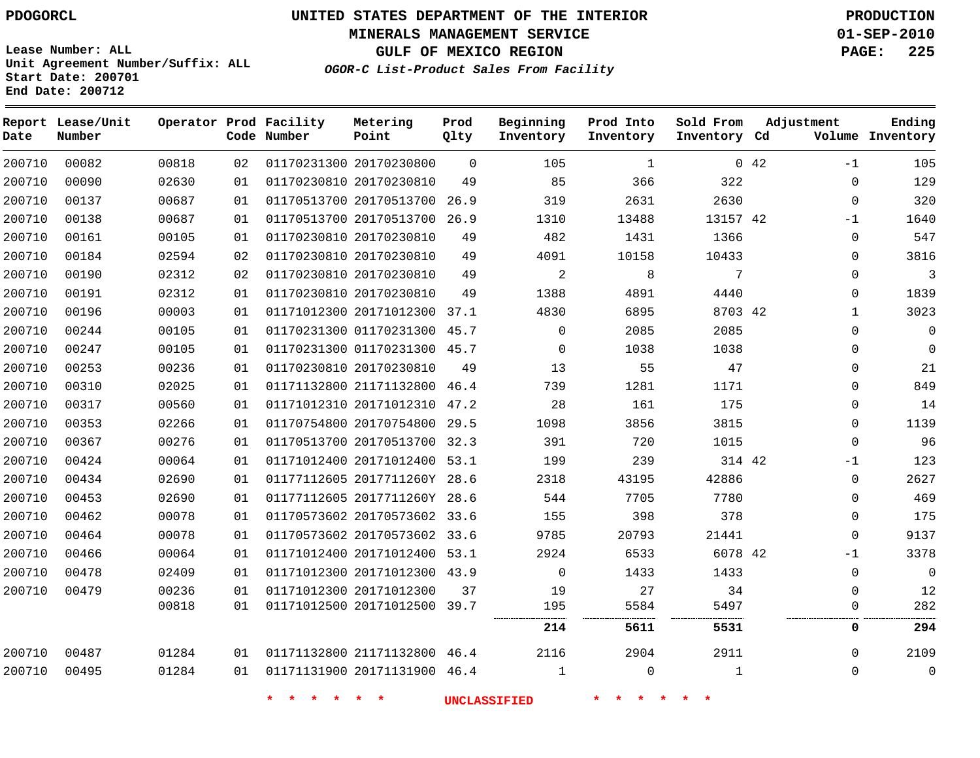**MINERALS MANAGEMENT SERVICE 01-SEP-2010**

**GULF OF MEXICO REGION PAGE: 225**

**Lease Number: ALL Unit Agreement Number/Suffix: ALL Start Date: 200701 End Date: 200712**

**OGOR-C List-Product Sales From Facility**

| Date   | Report Lease/Unit<br>Number |       |    | Operator Prod Facility<br>Code Number | Metering<br>Point            | Prod<br>Qlty | Beginning<br>Inventory | Prod Into<br>Inventory | Sold From<br>Inventory Cd | Adjustment          | Ending<br>Volume Inventory |
|--------|-----------------------------|-------|----|---------------------------------------|------------------------------|--------------|------------------------|------------------------|---------------------------|---------------------|----------------------------|
| 200710 | 00082                       | 00818 | 02 |                                       | 01170231300 20170230800      | $\mathbf 0$  | 105                    | $\mathbf{1}$           |                           | $0\quad 42$<br>$-1$ | 105                        |
| 200710 | 00090                       | 02630 | 01 |                                       | 01170230810 20170230810      | 49           | 85                     | 366                    | 322                       | $\mathbf{0}$        | 129                        |
| 200710 | 00137                       | 00687 | 01 |                                       | 01170513700 20170513700      | 26.9         | 319                    | 2631                   | 2630                      | $\mathsf 0$         | 320                        |
| 200710 | 00138                       | 00687 | 01 |                                       | 01170513700 20170513700 26.9 |              | 1310                   | 13488                  | 13157 42                  | $-1$                | 1640                       |
| 200710 | 00161                       | 00105 | 01 |                                       | 01170230810 20170230810      | 49           | 482                    | 1431                   | 1366                      | $\mathbf 0$         | 547                        |
| 200710 | 00184                       | 02594 | 02 |                                       | 01170230810 20170230810      | 49           | 4091                   | 10158                  | 10433                     | 0                   | 3816                       |
| 200710 | 00190                       | 02312 | 02 |                                       | 01170230810 20170230810      | 49           | 2                      | 8                      | 7                         | $\mathbf 0$         | 3                          |
| 200710 | 00191                       | 02312 | 01 |                                       | 01170230810 20170230810      | 49           | 1388                   | 4891                   | 4440                      | 0                   | 1839                       |
| 200710 | 00196                       | 00003 | 01 |                                       | 01171012300 20171012300 37.1 |              | 4830                   | 6895                   | 8703 42                   | $\mathbf{1}$        | 3023                       |
| 200710 | 00244                       | 00105 | 01 |                                       | 01170231300 01170231300 45.7 |              | $\mathbf 0$            | 2085                   | 2085                      | $\mathbf{0}$        | $\Omega$                   |
| 200710 | 00247                       | 00105 | 01 |                                       | 01170231300 01170231300 45.7 |              | $\mathbf 0$            | 1038                   | 1038                      | $\mathbf{0}$        | $\mathbf{0}$               |
| 200710 | 00253                       | 00236 | 01 |                                       | 01170230810 20170230810      | 49           | 13                     | 55                     | 47                        | $\mathbf{0}$        | 21                         |
| 200710 | 00310                       | 02025 | 01 |                                       | 01171132800 21171132800 46.4 |              | 739                    | 1281                   | 1171                      | $\mathbf{0}$        | 849                        |
| 200710 | 00317                       | 00560 | 01 |                                       | 01171012310 20171012310      | 47.2         | 28                     | 161                    | 175                       | $\mathbf{0}$        | 14                         |
| 200710 | 00353                       | 02266 | 01 |                                       | 01170754800 20170754800 29.5 |              | 1098                   | 3856                   | 3815                      | $\mathbf{0}$        | 1139                       |
| 200710 | 00367                       | 00276 | 01 |                                       | 01170513700 20170513700 32.3 |              | 391                    | 720                    | 1015                      | $\Omega$            | 96                         |
| 200710 | 00424                       | 00064 | 01 |                                       | 01171012400 20171012400 53.1 |              | 199                    | 239                    | 314 42                    | $-1$                | 123                        |
| 200710 | 00434                       | 02690 | 01 |                                       | 01177112605 2017711260Y 28.6 |              | 2318                   | 43195                  | 42886                     | $\mathbf{0}$        | 2627                       |
| 200710 | 00453                       | 02690 | 01 |                                       | 01177112605 2017711260Y 28.6 |              | 544                    | 7705                   | 7780                      | $\mathbf{0}$        | 469                        |
| 200710 | 00462                       | 00078 | 01 |                                       | 01170573602 20170573602 33.6 |              | 155                    | 398                    | 378                       | $\Omega$            | 175                        |
| 200710 | 00464                       | 00078 | 01 |                                       | 01170573602 20170573602 33.6 |              | 9785                   | 20793                  | 21441                     | $\mathbf{0}$        | 9137                       |
| 200710 | 00466                       | 00064 | 01 |                                       | 01171012400 20171012400 53.1 |              | 2924                   | 6533                   | 6078 42                   | $-1$                | 3378                       |
| 200710 | 00478                       | 02409 | 01 |                                       | 01171012300 20171012300 43.9 |              | $\Omega$               | 1433                   | 1433                      | $\mathbf{0}$        | $\mathbf 0$                |
| 200710 | 00479                       | 00236 | 01 |                                       | 01171012300 20171012300      | 37           | 19                     | 27                     | 34                        | $\mathbf{0}$        | 12                         |
|        |                             | 00818 | 01 |                                       | 01171012500 20171012500 39.7 |              | 195                    | 5584                   | 5497                      | $\mathbf 0$         | 282                        |
|        |                             |       |    |                                       |                              |              | 214                    | 5611                   | 5531                      | 0                   | 294                        |
| 200710 | 00487                       | 01284 | 01 |                                       | 01171132800 21171132800 46.4 |              | 2116                   | 2904                   | 2911                      | $\mathbf 0$         | 2109                       |
| 200710 | 00495                       | 01284 | 01 |                                       | 01171131900 20171131900 46.4 |              | $\mathbf{1}$           | $\mathbf 0$            | $\mathbf{1}$              | 0                   | $\mathbf 0$                |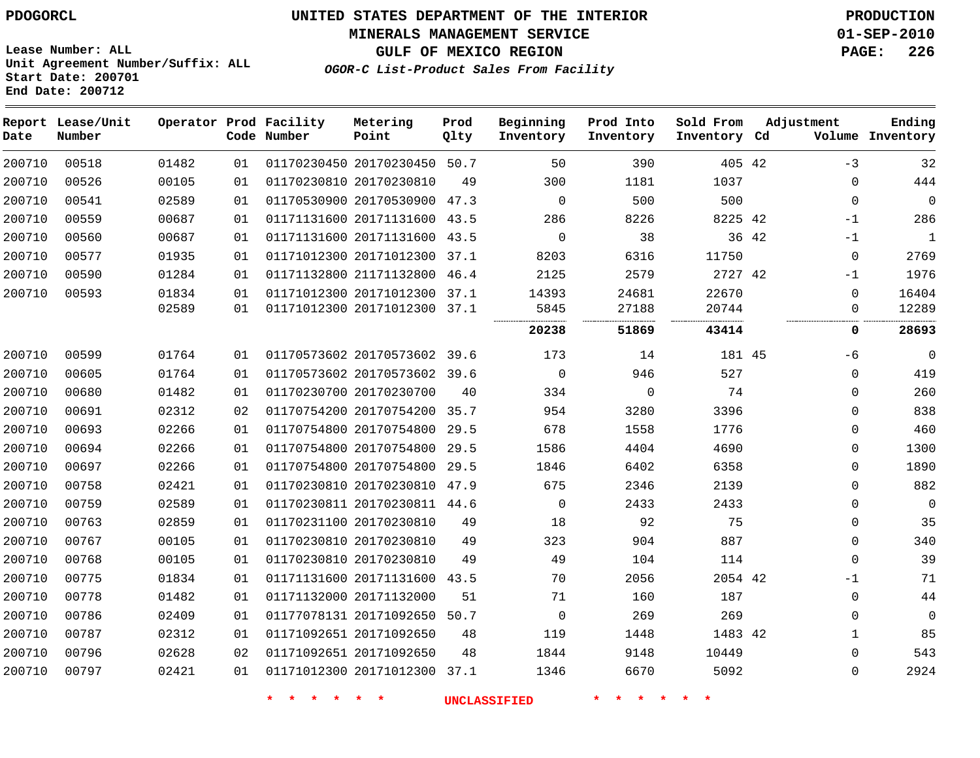#### **MINERALS MANAGEMENT SERVICE 01-SEP-2010**

**GULF OF MEXICO REGION PAGE: 226**

**Lease Number: ALL Unit Agreement Number/Suffix: ALL Start Date: 200701 End Date: 200712**

**OGOR-C List-Product Sales From Facility**

**Prod**

**Beginning**

**Prod Into**

**Sold From**

**Adjustment**

**Metering**

**Ending**

**Report Lease/Unit Operator Prod Facility Number Code Number Point Inventory Cd Volume Date Qlty Inventory Inventory Inventory** -3 20170230450 50.7 42 20170230810  $\Omega$   $\Omega$   $\cap$  $\Omega$  20170530900 47.3 20171131600 43.5 42 -1  $\Omega$  20171131600 43.5 42 -1  $\Omega$  20171012300 37.1 21171132800 46.4 42 -1 20171012300 37.1  $\Omega$  20171012300 37.1  $\Omega$  . . . . . . . . . . . . . . . . . . . . . . . . . . . . . . . . . . . . . . . . . . . . . . . . **51869 43414 0 28693** 20170573602 39.6 45 -6  $\Omega$  20170573602 39.6  $\Omega$   $\Omega$  20170230700  $\Omega$   $\Omega$  20170754200 35.7  $\Omega$  20170754800 29.5  $\Omega$  20170754800 29.5  $\Omega$  20170754800 29.5  $\Omega$  20170230810 47.9  $\Omega$  20170230811 44.6  $\Omega$   $\Omega$  $\Omega$  20170230810  $\Omega$  20170230810  $\Omega$  20170230810  $\Omega$  20171131600 43.5 42 -1 20171132000  $\Omega$  20171092650 50.7  $\Omega$   $\Omega$  $\Omega$  20171092650 42 20171092650 20171012300 37.1  $\Omega$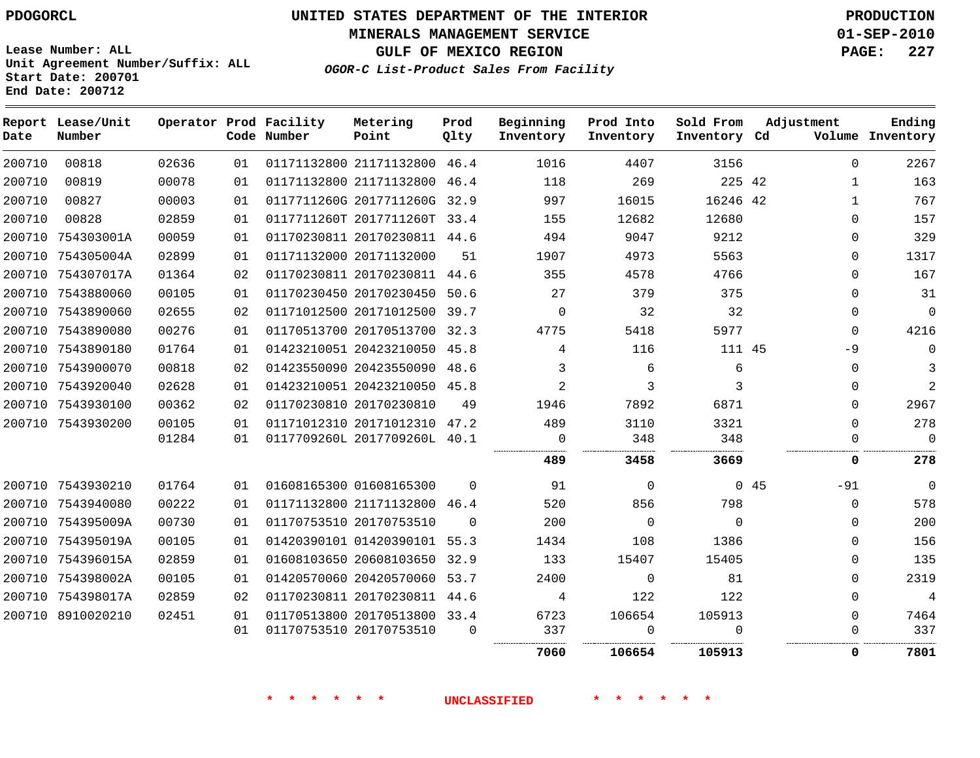**MINERALS MANAGEMENT SERVICE 01-SEP-2010**

**GULF OF MEXICO REGION PAGE: 227**

**Lease Number: ALL Unit Agreement Number/Suffix: ALL Start Date: 200701 End Date: 200712**

**OGOR-C List-Product Sales From Facility**

| Date   | Report Lease/Unit<br>Number |       |    | Operator Prod Facility<br>Code Number | Metering<br>Point            | Prod<br>Qlty | Beginning<br>Inventory | Prod Into<br>Inventory | Sold From<br>Inventory Cd | Adjustment |              | Ending<br>Volume Inventory |
|--------|-----------------------------|-------|----|---------------------------------------|------------------------------|--------------|------------------------|------------------------|---------------------------|------------|--------------|----------------------------|
| 200710 | 00818                       | 02636 | 01 |                                       | 01171132800 21171132800 46.4 |              | 1016                   | 4407                   | 3156                      |            | $\Omega$     | 2267                       |
| 200710 | 00819                       | 00078 | 01 |                                       | 01171132800 21171132800 46.4 |              | 118                    | 269                    | 225 42                    |            | $\mathbf{1}$ | 163                        |
| 200710 | 00827                       | 00003 | 01 |                                       | 0117711260G 2017711260G 32.9 |              | 997                    | 16015                  | 16246 42                  |            | $\mathbf{1}$ | 767                        |
| 200710 | 00828                       | 02859 | 01 |                                       | 0117711260T 2017711260T 33.4 |              | 155                    | 12682                  | 12680                     |            | $\Omega$     | 157                        |
|        | 200710 754303001A           | 00059 | 01 |                                       | 01170230811 20170230811 44.6 |              | 494                    | 9047                   | 9212                      |            | $\Omega$     | 329                        |
|        | 200710 754305004A           | 02899 | 01 |                                       | 01171132000 20171132000      | 51           | 1907                   | 4973                   | 5563                      |            | $\Omega$     | 1317                       |
|        | 200710 754307017A           | 01364 | 02 |                                       | 01170230811 20170230811 44.6 |              | 355                    | 4578                   | 4766                      |            | $\Omega$     | 167                        |
|        | 200710 7543880060           | 00105 | 01 |                                       | 01170230450 20170230450 50.6 |              | 27                     | 379                    | 375                       |            | $\Omega$     | 31                         |
|        | 200710 7543890060           | 02655 | 02 |                                       | 01171012500 20171012500 39.7 |              | $\mathbf 0$            | 32                     | 32                        |            | $\Omega$     | $\mathbf 0$                |
|        | 200710 7543890080           | 00276 | 01 |                                       | 01170513700 20170513700 32.3 |              | 4775                   | 5418                   | 5977                      |            | $\Omega$     | 4216                       |
|        | 200710 7543890180           | 01764 | 01 |                                       | 01423210051 20423210050 45.8 |              | 4                      | 116                    | 111 45                    |            | $-9$         | $\Omega$                   |
|        | 200710 7543900070           | 00818 | 02 |                                       | 01423550090 20423550090 48.6 |              | 3                      | 6                      | 6                         |            | $\mathbf 0$  | 3                          |
|        | 200710 7543920040           | 02628 | 01 |                                       | 01423210051 20423210050 45.8 |              | 2                      | 3                      | 3                         |            | $\Omega$     | 2                          |
|        | 200710 7543930100           | 00362 | 02 |                                       | 01170230810 20170230810      | 49           | 1946                   | 7892                   | 6871                      |            | $\mathbf{0}$ | 2967                       |
|        | 200710 7543930200           | 00105 | 01 |                                       | 01171012310 20171012310 47.2 |              | 489                    | 3110                   | 3321                      |            | $\Omega$     | 278                        |
|        |                             | 01284 | 01 |                                       | 0117709260L 2017709260L 40.1 |              | $\mathbf 0$            | 348                    | 348                       |            | 0            | $\mathbf 0$                |
|        |                             |       |    |                                       |                              |              | 489                    | 3458                   | 3669                      |            | 0            | 278                        |
|        | 200710 7543930210           | 01764 | 01 |                                       | 01608165300 01608165300      | $\Omega$     | 91                     | $\Omega$               |                           | 045        | $-91$        | $\Omega$                   |
|        | 200710 7543940080           | 00222 | 01 |                                       | 01171132800 21171132800 46.4 |              | 520                    | 856                    | 798                       |            | $\mathbf{0}$ | 578                        |
|        | 200710 754395009A           | 00730 | 01 |                                       | 01170753510 20170753510      | $\Omega$     | 200                    | $\Omega$               | $\Omega$                  |            | $\Omega$     | 200                        |
|        | 200710 754395019A           | 00105 | 01 |                                       | 01420390101 01420390101 55.3 |              | 1434                   | 108                    | 1386                      |            | $\Omega$     | 156                        |
|        | 200710 754396015A           | 02859 | 01 |                                       | 01608103650 20608103650 32.9 |              | 133                    | 15407                  | 15405                     |            | $\Omega$     | 135                        |
|        | 200710 754398002A           | 00105 | 01 |                                       | 01420570060 20420570060 53.7 |              | 2400                   | $\mathbf 0$            | 81                        |            | $\mathbf 0$  | 2319                       |
|        | 200710 754398017A           | 02859 | 02 |                                       | 01170230811 20170230811 44.6 |              | 4                      | 122                    | 122                       |            | $\Omega$     | $\overline{4}$             |
|        | 200710 8910020210           | 02451 | 01 |                                       | 01170513800 20170513800 33.4 |              | 6723                   | 106654                 | 105913                    |            | $\mathbf 0$  | 7464                       |
|        |                             |       | 01 |                                       | 01170753510 20170753510      | $\Omega$     | 337                    | $\Omega$               | $\Omega$                  |            | $\mathbf 0$  | 337                        |
|        |                             |       |    |                                       |                              |              | 7060                   | 106654                 | 105913                    |            | 0            | 7801                       |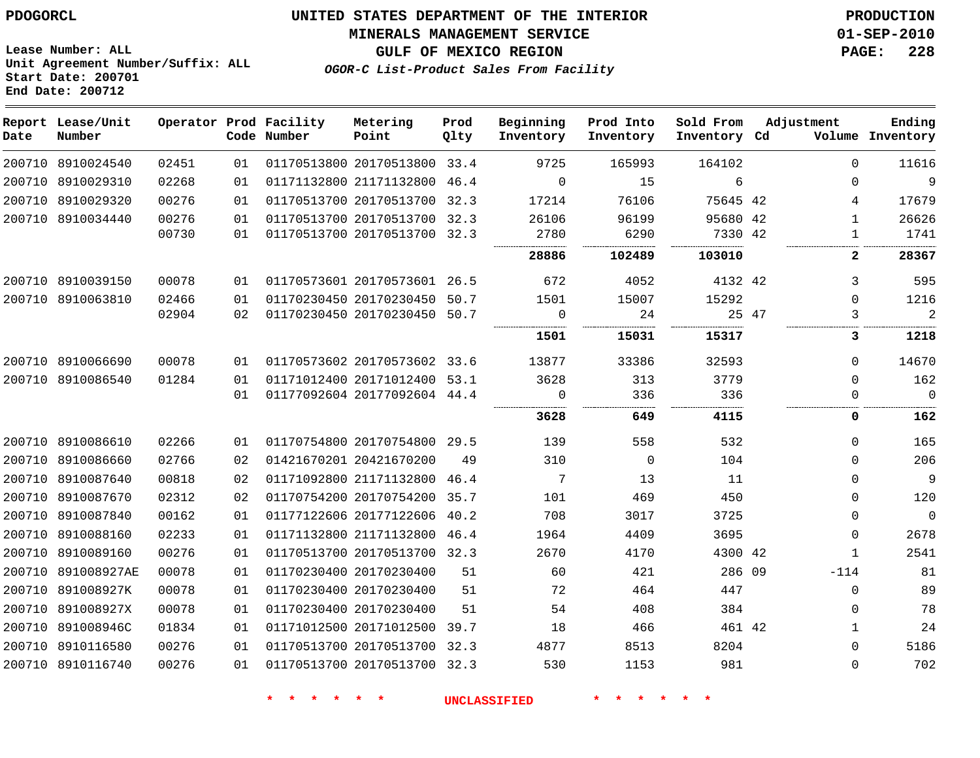#### **MINERALS MANAGEMENT SERVICE 01-SEP-2010**

**GULF OF MEXICO REGION PAGE: 228**

**Lease Number: ALL Unit Agreement Number/Suffix: ALL Start Date: 200701 End Date: 200712**

**OGOR-C List-Product Sales From Facility**

| Date | Report Lease/Unit<br>Number |       |    | Operator Prod Facility<br>Code Number | Metering<br>Point            | Prod<br>Qlty | Beginning<br>Inventory | Prod Into<br>Inventory | Sold From<br>Inventory Cd | Adjustment |              | Ending<br>Volume Inventory |
|------|-----------------------------|-------|----|---------------------------------------|------------------------------|--------------|------------------------|------------------------|---------------------------|------------|--------------|----------------------------|
|      | 200710 8910024540           | 02451 | 01 |                                       | 01170513800 20170513800 33.4 |              | 9725                   | 165993                 | 164102                    |            | $\Omega$     | 11616                      |
|      | 200710 8910029310           | 02268 | 01 |                                       | 01171132800 21171132800 46.4 |              | $\Omega$               | 15                     | 6                         |            | $\Omega$     | 9                          |
|      | 200710 8910029320           | 00276 | 01 |                                       | 01170513700 20170513700 32.3 |              | 17214                  | 76106                  | 75645 42                  |            | 4            | 17679                      |
|      | 200710 8910034440           | 00276 | 01 |                                       | 01170513700 20170513700 32.3 |              | 26106                  | 96199                  | 95680 42                  |            | $\mathbf 1$  | 26626                      |
|      |                             | 00730 | 01 |                                       | 01170513700 20170513700 32.3 |              | 2780                   | 6290                   | 7330 42                   |            | 1            | 1741                       |
|      |                             |       |    |                                       |                              |              | 28886                  | 102489                 | 103010                    |            | 2            | 28367                      |
|      | 200710 8910039150           | 00078 | 01 |                                       | 01170573601 20170573601 26.5 |              | 672                    | 4052                   | 4132 42                   |            | 3            | 595                        |
|      | 200710 8910063810           | 02466 | 01 |                                       | 01170230450 20170230450      | 50.7         | 1501                   | 15007                  | 15292                     |            | $\mathbf 0$  | 1216                       |
|      |                             | 02904 | 02 |                                       | 01170230450 20170230450 50.7 |              | $\mathbf 0$            | 24                     |                           | 25 47      | 3            | $\overline{2}$             |
|      |                             |       |    |                                       |                              |              | 1501                   | 15031                  | 15317                     |            | 3            | 1218                       |
|      | 200710 8910066690           | 00078 | 01 |                                       | 01170573602 20170573602 33.6 |              | 13877                  | 33386                  | 32593                     |            | $\Omega$     | 14670                      |
|      | 200710 8910086540           | 01284 | 01 |                                       | 01171012400 20171012400 53.1 |              | 3628                   | 313                    | 3779                      |            | $\Omega$     | 162                        |
|      |                             |       | 01 |                                       | 01177092604 20177092604 44.4 |              | $\mathbf 0$            | 336                    | 336<br>.                  |            | $\Omega$     | $\mathbf 0$<br>.           |
|      |                             |       |    |                                       |                              |              | 3628                   | 649                    | 4115                      |            | 0            | 162                        |
|      | 200710 8910086610           | 02266 | 01 |                                       | 01170754800 20170754800 29.5 |              | 139                    | 558                    | 532                       |            | $\Omega$     | 165                        |
|      | 200710 8910086660           | 02766 | 02 |                                       | 01421670201 20421670200      | 49           | 310                    | $\mathbf 0$            | 104                       |            | $\Omega$     | 206                        |
|      | 200710 8910087640           | 00818 | 02 |                                       | 01171092800 21171132800      | 46.4         | 7                      | 13                     | 11                        |            | $\Omega$     | 9                          |
|      | 200710 8910087670           | 02312 | 02 |                                       | 01170754200 20170754200 35.7 |              | 101                    | 469                    | 450                       |            | $\Omega$     | 120                        |
|      | 200710 8910087840           | 00162 | 01 |                                       | 01177122606 20177122606      | 40.2         | 708                    | 3017                   | 3725                      |            | 0            | $\mathbf 0$                |
|      | 200710 8910088160           | 02233 | 01 |                                       | 01171132800 21171132800 46.4 |              | 1964                   | 4409                   | 3695                      |            | $\Omega$     | 2678                       |
|      | 200710 8910089160           | 00276 | 01 |                                       | 01170513700 20170513700 32.3 |              | 2670                   | 4170                   | 4300 42                   |            | $\mathbf{1}$ | 2541                       |
|      | 200710 891008927AE          | 00078 | 01 |                                       | 01170230400 20170230400      | 51           | 60                     | 421                    | 286 09                    |            | $-114$       | 81                         |
|      | 200710 891008927K           | 00078 | 01 |                                       | 01170230400 20170230400      | 51           | 72                     | 464                    | 447                       |            | $\mathbf 0$  | 89                         |
|      | 200710 891008927X           | 00078 | 01 |                                       | 01170230400 20170230400      | 51           | 54                     | 408                    | 384                       |            | $\Omega$     | 78                         |
|      | 200710 891008946C           | 01834 | 01 |                                       | 01171012500 20171012500 39.7 |              | 18                     | 466                    | 461 42                    |            | $\mathbf{1}$ | 24                         |
|      | 200710 8910116580           | 00276 | 01 |                                       | 01170513700 20170513700 32.3 |              | 4877                   | 8513                   | 8204                      |            | $\Omega$     | 5186                       |
|      | 200710 8910116740           | 00276 | 01 |                                       | 01170513700 20170513700 32.3 |              | 530                    | 1153                   | 981                       |            | $\Omega$     | 702                        |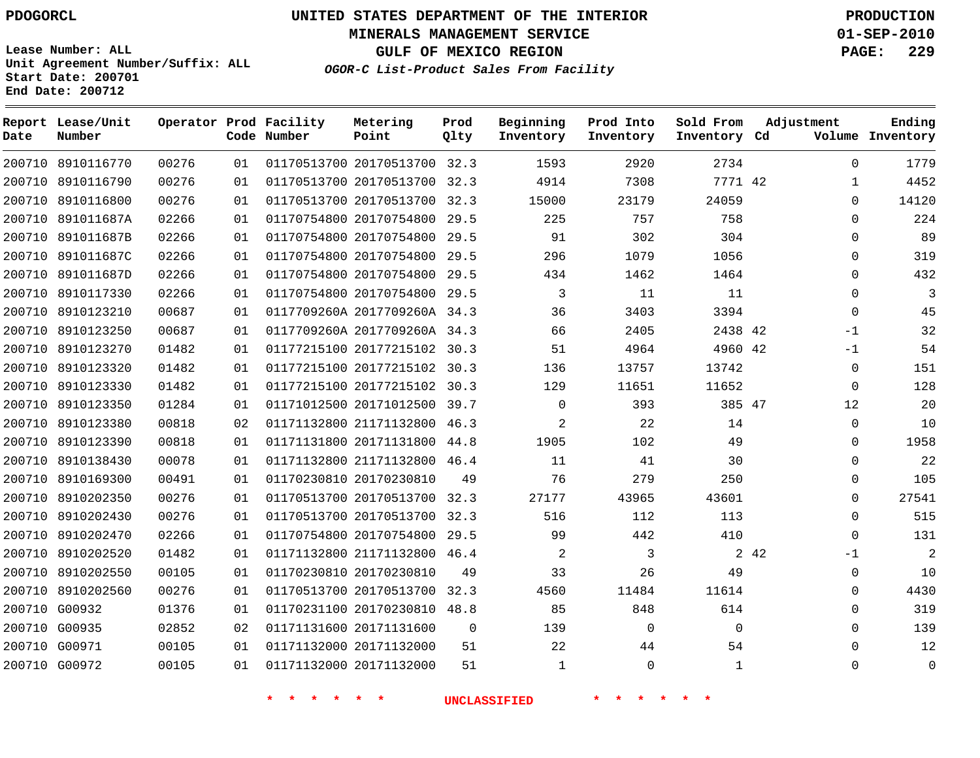**Start Date: 200701 End Date: 200712**

**Unit Agreement Number/Suffix: ALL**

# **UNITED STATES DEPARTMENT OF THE INTERIOR PDOGORCL PRODUCTION**

**MINERALS MANAGEMENT SERVICE 01-SEP-2010**

**GULF OF MEXICO REGION PAGE: 229**

**OGOR-C List-Product Sales From Facility**

| Date   | Report Lease/Unit<br>Number |       |    | Operator Prod Facility<br>Code Number | Metering<br>Point            | Prod<br>Qlty | Beginning<br>Inventory | Prod Into<br>Inventory | Sold From<br>Inventory Cd | Adjustment   | Ending<br>Volume Inventory |
|--------|-----------------------------|-------|----|---------------------------------------|------------------------------|--------------|------------------------|------------------------|---------------------------|--------------|----------------------------|
|        | 200710 8910116770           | 00276 | 01 |                                       | 01170513700 20170513700 32.3 |              | 1593                   | 2920                   | 2734                      | $\Omega$     | 1779                       |
| 200710 | 8910116790                  | 00276 | 01 |                                       | 01170513700 20170513700      | 32.3         | 4914                   | 7308                   | 7771 42                   | 1            | 4452                       |
| 200710 | 8910116800                  | 00276 | 01 |                                       | 01170513700 20170513700 32.3 |              | 15000                  | 23179                  | 24059                     | $\Omega$     | 14120                      |
| 200710 | 891011687A                  | 02266 | 01 |                                       | 01170754800 20170754800      | 29.5         | 225                    | 757                    | 758                       | $\mathbf 0$  | 224                        |
| 200710 | 891011687B                  | 02266 | 01 |                                       | 01170754800 20170754800      | 29.5         | 91                     | 302                    | 304                       | $\mathbf 0$  | 89                         |
| 200710 | 891011687C                  | 02266 | 01 |                                       | 01170754800 20170754800      | 29.5         | 296                    | 1079                   | 1056                      | $\Omega$     | 319                        |
| 200710 | 891011687D                  | 02266 | 01 |                                       | 01170754800 20170754800      | 29.5         | 434                    | 1462                   | 1464                      | $\Omega$     | 432                        |
| 200710 | 8910117330                  | 02266 | 01 |                                       | 01170754800 20170754800      | 29.5         | 3                      | 11                     | 11                        | $\mathbf 0$  | $\overline{3}$             |
| 200710 | 8910123210                  | 00687 | 01 |                                       | 0117709260A 2017709260A 34.3 |              | 36                     | 3403                   | 3394                      | $\Omega$     | 45                         |
| 200710 | 8910123250                  | 00687 | 01 |                                       | 0117709260A 2017709260A 34.3 |              | 66                     | 2405                   | 2438 42                   | $-1$         | 32                         |
| 200710 | 8910123270                  | 01482 | 01 |                                       | 01177215100 20177215102      | 30.3         | 51                     | 4964                   | 4960 42                   | $-1$         | 54                         |
| 200710 | 8910123320                  | 01482 | 01 |                                       | 01177215100 20177215102      | 30.3         | 136                    | 13757                  | 13742                     | $\Omega$     | 151                        |
| 200710 | 8910123330                  | 01482 | 01 |                                       | 01177215100 20177215102      | 30.3         | 129                    | 11651                  | 11652                     | $\Omega$     | 128                        |
| 200710 | 8910123350                  | 01284 | 01 |                                       | 01171012500 20171012500      | 39.7         | $\mathbf 0$            | 393                    | 385 47                    | 12           | 20                         |
| 200710 | 8910123380                  | 00818 | 02 |                                       | 01171132800 21171132800      | 46.3         | $\overline{a}$         | 22                     | 14                        | $\Omega$     | 10                         |
| 200710 | 8910123390                  | 00818 | 01 |                                       | 01171131800 20171131800      | 44.8         | 1905                   | 102                    | 49                        | $\Omega$     | 1958                       |
| 200710 | 8910138430                  | 00078 | 01 |                                       | 01171132800 21171132800 46.4 |              | 11                     | 41                     | 30                        | $\mathbf 0$  | 22                         |
| 200710 | 8910169300                  | 00491 | 01 |                                       | 01170230810 20170230810      | 49           | 76                     | 279                    | 250                       | $\mathbf 0$  | 105                        |
| 200710 | 8910202350                  | 00276 | 01 |                                       | 01170513700 20170513700      | 32.3         | 27177                  | 43965                  | 43601                     | $\Omega$     | 27541                      |
| 200710 | 8910202430                  | 00276 | 01 |                                       | 01170513700 20170513700      | 32.3         | 516                    | 112                    | 113                       | $\Omega$     | 515                        |
| 200710 | 8910202470                  | 02266 | 01 |                                       | 01170754800 20170754800      | 29.5         | 99                     | 442                    | 410                       | $\Omega$     | 131                        |
| 200710 | 8910202520                  | 01482 | 01 |                                       | 01171132800 21171132800 46.4 |              | 2                      | 3                      |                           | 2 42<br>$-1$ | 2                          |
| 200710 | 8910202550                  | 00105 | 01 |                                       | 01170230810 20170230810      | 49           | 33                     | 26                     | 49                        | $\Omega$     | 10                         |
| 200710 | 8910202560                  | 00276 | 01 |                                       | 01170513700 20170513700      | 32.3         | 4560                   | 11484                  | 11614                     | $\mathbf 0$  | 4430                       |
| 200710 | G00932                      | 01376 | 01 |                                       | 01170231100 20170230810      | 48.8         | 85                     | 848                    | 614                       | $\Omega$     | 319                        |
| 200710 | G00935                      | 02852 | 02 |                                       | 01171131600 20171131600      | $\Omega$     | 139                    | 0                      | $\mathbf 0$               | $\mathbf 0$  | 139                        |
| 200710 | G00971                      | 00105 | 01 |                                       | 01171132000 20171132000      | 51           | 22                     | 44                     | 54                        | $\Omega$     | 12                         |
|        | 200710 G00972               | 00105 | 01 |                                       | 01171132000 20171132000      | 51           | 1                      | $\Omega$               | 1                         | $\Omega$     | $\Omega$                   |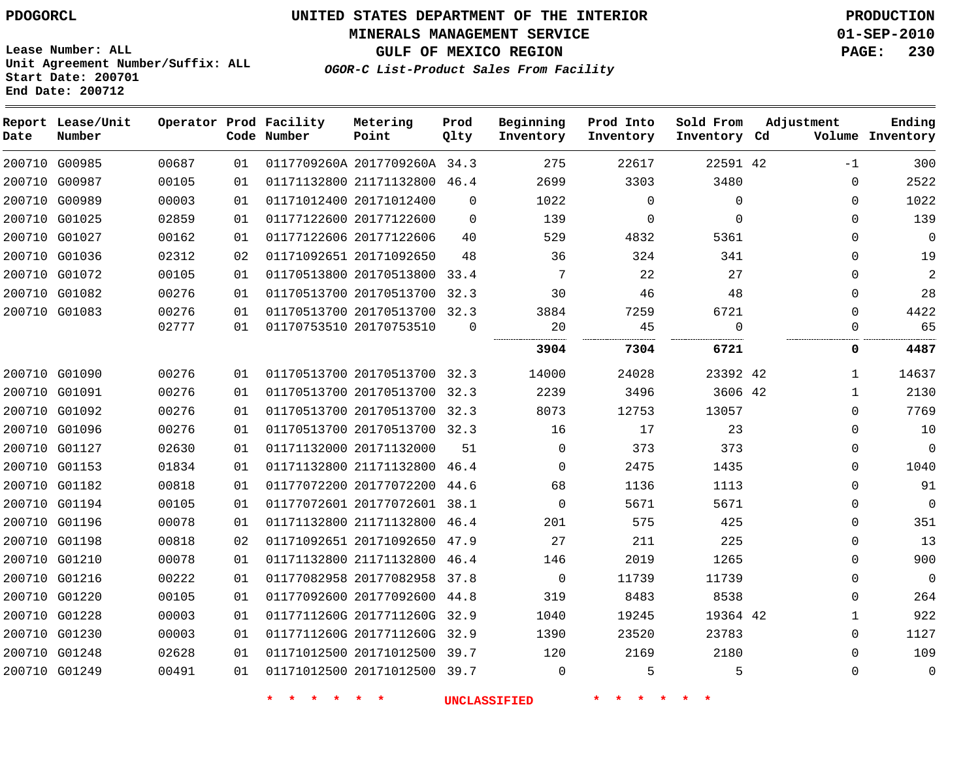#### **MINERALS MANAGEMENT SERVICE 01-SEP-2010**

**GULF OF MEXICO REGION PAGE: 230**

**Lease Number: ALL Unit Agreement Number/Suffix: ALL Start Date: 200701 End Date: 200712**

**OGOR-C List-Product Sales From Facility**

| Date          | Report Lease/Unit<br>Number |       |    | Operator Prod Facility<br>Code Number | Metering<br>Point            | Prod<br>Qlty | Beginning<br>Inventory | Prod Into<br>Inventory | Sold From<br>Inventory Cd | Adjustment   | Ending<br>Volume Inventory |
|---------------|-----------------------------|-------|----|---------------------------------------|------------------------------|--------------|------------------------|------------------------|---------------------------|--------------|----------------------------|
| 200710 G00985 |                             | 00687 | 01 |                                       | 0117709260A 2017709260A 34.3 |              | 275                    | 22617                  | 22591 42                  | $-1$         | 300                        |
| 200710 G00987 |                             | 00105 | 01 |                                       | 01171132800 21171132800 46.4 |              | 2699                   | 3303                   | 3480                      | $\mathbf 0$  | 2522                       |
| 200710 G00989 |                             | 00003 | 01 | 01171012400 20171012400               |                              | $\Omega$     | 1022                   | $\mathbf 0$            | $\Omega$                  | $\Omega$     | 1022                       |
| 200710 G01025 |                             | 02859 | 01 |                                       | 01177122600 20177122600      | $\Omega$     | 139                    | $\mathbf 0$            | $\Omega$                  | $\Omega$     | 139                        |
| 200710 G01027 |                             | 00162 | 01 |                                       | 01177122606 20177122606      | 40           | 529                    | 4832                   | 5361                      | $\Omega$     | $\mathbf{0}$               |
| 200710 G01036 |                             | 02312 | 02 |                                       | 01171092651 20171092650      | 48           | 36                     | 324                    | 341                       | $\Omega$     | 19                         |
| 200710 G01072 |                             | 00105 | 01 |                                       | 01170513800 20170513800 33.4 |              | 7                      | 22                     | 27                        | $\Omega$     | 2                          |
| 200710 G01082 |                             | 00276 | 01 |                                       | 01170513700 20170513700 32.3 |              | 30                     | 46                     | 48                        | $\Omega$     | 28                         |
| 200710 G01083 |                             | 00276 | 01 |                                       | 01170513700 20170513700 32.3 |              | 3884                   | 7259                   | 6721                      | $\Omega$     | 4422                       |
|               |                             | 02777 | 01 | 01170753510 20170753510               |                              | $\mathbf 0$  | 20                     | 45                     | 0                         | 0            | 65                         |
|               |                             |       |    |                                       |                              |              | 3904                   | 7304                   | 6721                      | 0            | 4487                       |
| 200710 G01090 |                             | 00276 | 01 |                                       | 01170513700 20170513700 32.3 |              | 14000                  | 24028                  | 23392 42                  | 1            | 14637                      |
| 200710 G01091 |                             | 00276 | 01 |                                       | 01170513700 20170513700 32.3 |              | 2239                   | 3496                   | 3606 42                   | $\mathbf{1}$ | 2130                       |
| 200710 G01092 |                             | 00276 | 01 |                                       | 01170513700 20170513700 32.3 |              | 8073                   | 12753                  | 13057                     | $\Omega$     | 7769                       |
| 200710 G01096 |                             | 00276 | 01 |                                       | 01170513700 20170513700 32.3 |              | 16                     | 17                     | 23                        | $\Omega$     | 10                         |
| 200710 G01127 |                             | 02630 | 01 |                                       | 01171132000 20171132000      | 51           | $\Omega$               | 373                    | 373                       | 0            | $\Omega$                   |
| 200710 G01153 |                             | 01834 | 01 |                                       | 01171132800 21171132800      | 46.4         | $\Omega$               | 2475                   | 1435                      | 0            | 1040                       |
| 200710 G01182 |                             | 00818 | 01 |                                       | 01177072200 20177072200      | 44.6         | 68                     | 1136                   | 1113                      | $\Omega$     | 91                         |
| 200710 G01194 |                             | 00105 | 01 |                                       | 01177072601 20177072601 38.1 |              | $\Omega$               | 5671                   | 5671                      | $\Omega$     | $\Omega$                   |
| 200710 G01196 |                             | 00078 | 01 |                                       | 01171132800 21171132800 46.4 |              | 201                    | 575                    | 425                       | $\Omega$     | 351                        |
| 200710 G01198 |                             | 00818 | 02 |                                       | 01171092651 20171092650      | 47.9         | 27                     | 211                    | 225                       | $\Omega$     | 13                         |
| 200710 G01210 |                             | 00078 | 01 |                                       | 01171132800 21171132800 46.4 |              | 146                    | 2019                   | 1265                      | $\Omega$     | 900                        |
| 200710 G01216 |                             | 00222 | 01 |                                       | 01177082958 20177082958      | 37.8         | $\mathbf 0$            | 11739                  | 11739                     | 0            | $\mathbf 0$                |
| 200710 G01220 |                             | 00105 | 01 |                                       | 01177092600 20177092600      | 44.8         | 319                    | 8483                   | 8538                      | $\mathbf 0$  | 264                        |
| 200710 G01228 |                             | 00003 | 01 |                                       | 0117711260G 2017711260G      | 32.9         | 1040                   | 19245                  | 19364 42                  | $\mathbf{1}$ | 922                        |
| 200710 G01230 |                             | 00003 | 01 |                                       | 0117711260G 2017711260G 32.9 |              | 1390                   | 23520                  | 23783                     | $\mathbf 0$  | 1127                       |
| 200710 G01248 |                             | 02628 | 01 |                                       | 01171012500 20171012500 39.7 |              | 120                    | 2169                   | 2180                      | $\Omega$     | 109                        |
| 200710 G01249 |                             | 00491 | 01 |                                       | 01171012500 20171012500 39.7 |              | $\mathbf 0$            | 5                      | 5                         | $\mathbf 0$  | $\mathbf{0}$               |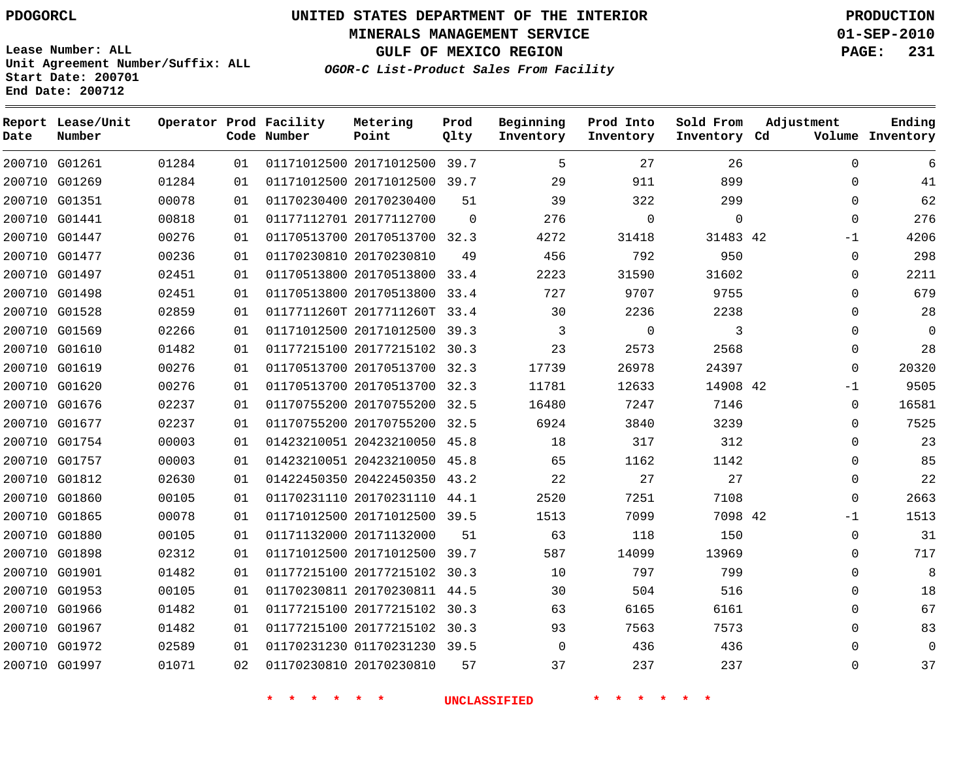**Start Date: 200701 End Date: 200712**

# **UNITED STATES DEPARTMENT OF THE INTERIOR PDOGORCL PRODUCTION**

**MINERALS MANAGEMENT SERVICE 01-SEP-2010**

**GULF OF MEXICO REGION PAGE: 231**

**OGOR-C List-Product Sales From Facility Unit Agreement Number/Suffix: ALL**

| Date | Report Lease/Unit<br>Number |       |    | Operator Prod Facility<br>Code Number | Metering<br>Point            | Prod<br>Qlty | Beginning<br>Inventory | Prod Into<br>Inventory | Sold From<br>Inventory Cd | Adjustment   | Ending<br>Volume Inventory |
|------|-----------------------------|-------|----|---------------------------------------|------------------------------|--------------|------------------------|------------------------|---------------------------|--------------|----------------------------|
|      | 200710 G01261               | 01284 | 01 |                                       | 01171012500 20171012500 39.7 |              | 5                      | 27                     | 26                        | $\Omega$     | 6                          |
|      | 200710 G01269               | 01284 | 01 |                                       | 01171012500 20171012500 39.7 |              | 29                     | 911                    | 899                       | 0            | 41                         |
|      | 200710 G01351               | 00078 | 01 |                                       | 01170230400 20170230400      | 51           | 39                     | 322                    | 299                       | $\Omega$     | 62                         |
|      | 200710 G01441               | 00818 | 01 |                                       | 01177112701 20177112700      | $\Omega$     | 276                    | $\Omega$               | $\mathbf 0$               | $\Omega$     | 276                        |
|      | 200710 G01447               | 00276 | 01 |                                       | 01170513700 20170513700 32.3 |              | 4272                   | 31418                  | 31483 42                  | $-1$         | 4206                       |
|      | 200710 G01477               | 00236 | 01 |                                       | 01170230810 20170230810      | 49           | 456                    | 792                    | 950                       | 0            | 298                        |
|      | 200710 G01497               | 02451 | 01 |                                       | 01170513800 20170513800 33.4 |              | 2223                   | 31590                  | 31602                     | 0            | 2211                       |
|      | 200710 G01498               | 02451 | 01 |                                       | 01170513800 20170513800      | 33.4         | 727                    | 9707                   | 9755                      | 0            | 679                        |
|      | 200710 G01528               | 02859 | 01 |                                       | 0117711260T 2017711260T      | 33.4         | 30                     | 2236                   | 2238                      | $\Omega$     | 28                         |
|      | 200710 G01569               | 02266 | 01 |                                       | 01171012500 20171012500 39.3 |              | 3                      | $\Omega$               | 3                         | 0            | $\Omega$                   |
|      | 200710 G01610               | 01482 | 01 |                                       | 01177215100 20177215102 30.3 |              | 23                     | 2573                   | 2568                      | $\Omega$     | 28                         |
|      | 200710 G01619               | 00276 | 01 |                                       | 01170513700 20170513700 32.3 |              | 17739                  | 26978                  | 24397                     | $\Omega$     | 20320                      |
|      | 200710 G01620               | 00276 | 01 |                                       | 01170513700 20170513700 32.3 |              | 11781                  | 12633                  | 14908 42                  | $-1$         | 9505                       |
|      | 200710 G01676               | 02237 | 01 |                                       | 01170755200 20170755200 32.5 |              | 16480                  | 7247                   | 7146                      | $\Omega$     | 16581                      |
|      | 200710 G01677               | 02237 | 01 |                                       | 01170755200 20170755200      | 32.5         | 6924                   | 3840                   | 3239                      | 0            | 7525                       |
|      | 200710 G01754               | 00003 | 01 |                                       | 01423210051 20423210050 45.8 |              | 18                     | 317                    | 312                       | $\Omega$     | 23                         |
|      | 200710 G01757               | 00003 | 01 |                                       | 01423210051 20423210050 45.8 |              | 65                     | 1162                   | 1142                      | 0            | 85                         |
|      | 200710 G01812               | 02630 | 01 |                                       | 01422450350 20422450350 43.2 |              | 22                     | 27                     | 27                        | $\Omega$     | 22                         |
|      | 200710 G01860               | 00105 | 01 |                                       | 01170231110 20170231110      | 44.1         | 2520                   | 7251                   | 7108                      | $\Omega$     | 2663                       |
|      | 200710 G01865               | 00078 | 01 |                                       | 01171012500 20171012500 39.5 |              | 1513                   | 7099                   | 7098 42                   | $-1$         | 1513                       |
|      | 200710 G01880               | 00105 | 01 |                                       | 01171132000 20171132000      | 51           | 63                     | 118                    | 150                       | $\mathbf{0}$ | 31                         |
|      | 200710 G01898               | 02312 | 01 |                                       | 01171012500 20171012500      | 39.7         | 587                    | 14099                  | 13969                     | $\Omega$     | 717                        |
|      | 200710 G01901               | 01482 | 01 |                                       | 01177215100 20177215102      | 30.3         | 10                     | 797                    | 799                       | 0            | 8                          |
|      | 200710 G01953               | 00105 | 01 |                                       | 01170230811 20170230811 44.5 |              | 30                     | 504                    | 516                       | $\Omega$     | 18                         |
|      | 200710 G01966               | 01482 | 01 |                                       | 01177215100 20177215102 30.3 |              | 63                     | 6165                   | 6161                      | 0            | 67                         |
|      | 200710 G01967               | 01482 | 01 |                                       | 01177215100 20177215102 30.3 |              | 93                     | 7563                   | 7573                      | $\Omega$     | 83                         |
|      | 200710 G01972               | 02589 | 01 |                                       | 01170231230 01170231230 39.5 |              | $\Omega$               | 436                    | 436                       | $\Omega$     | $\mathbf 0$                |
|      | 200710 G01997               | 01071 | 02 |                                       | 01170230810 20170230810      | 57           | 37                     | 237                    | 237                       | $\Omega$     | 37                         |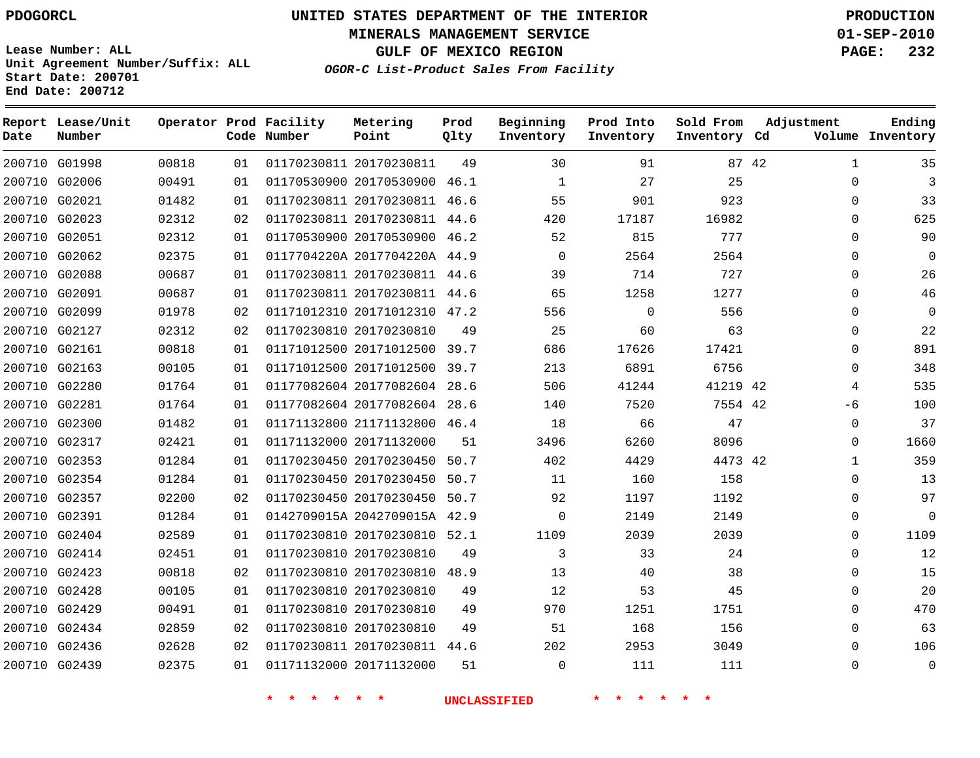**MINERALS MANAGEMENT SERVICE 01-SEP-2010**

**GULF OF MEXICO REGION PAGE: 232**

**Lease Number: ALL Unit Agreement Number/Suffix: ALL Start Date: 200701 End Date: 200712**

**OGOR-C List-Product Sales From Facility**

| Date | Report Lease/Unit<br>Number |       |    | Operator Prod Facility<br>Code Number | Metering<br>Point            | Prod<br>Qlty | Beginning<br>Inventory | Prod Into<br>Inventory | Sold From<br>Inventory Cd | Adjustment | Ending<br>Volume Inventory |
|------|-----------------------------|-------|----|---------------------------------------|------------------------------|--------------|------------------------|------------------------|---------------------------|------------|----------------------------|
|      | 200710 G01998               | 00818 | 01 |                                       | 01170230811 20170230811      | 49           | 30                     | 91                     |                           | 87 42      | $\mathbf{1}$<br>35         |
|      | 200710 G02006               | 00491 | 01 |                                       | 01170530900 20170530900 46.1 |              | $\mathbf{1}$           | 27                     | 25                        |            | 3<br>$\Omega$              |
|      | 200710 G02021               | 01482 | 01 |                                       | 01170230811 20170230811      | 46.6         | 55                     | 901                    | 923                       |            | 33<br>0                    |
|      | 200710 G02023               | 02312 | 02 |                                       | 01170230811 20170230811 44.6 |              | 420                    | 17187                  | 16982                     |            | 625<br>$\Omega$            |
|      | 200710 G02051               | 02312 | 01 |                                       | 01170530900 20170530900      | 46.2         | 52                     | 815                    | 777                       |            | 90<br>$\Omega$             |
|      | 200710 G02062               | 02375 | 01 |                                       | 0117704220A 2017704220A 44.9 |              | $\Omega$               | 2564                   | 2564                      |            | $\Omega$<br>$\Omega$       |
|      | 200710 G02088               | 00687 | 01 |                                       | 01170230811 20170230811      | 44.6         | 39                     | 714                    | 727                       |            | 26<br>$\mathbf{0}$         |
|      | 200710 G02091               | 00687 | 01 |                                       | 01170230811 20170230811 44.6 |              | 65                     | 1258                   | 1277                      |            | 46<br>$\Omega$             |
|      | 200710 G02099               | 01978 | 02 |                                       | 01171012310 20171012310 47.2 |              | 556                    | $\mathbf 0$            | 556                       |            | $\Omega$<br>$\Omega$       |
|      | 200710 G02127               | 02312 | 02 |                                       | 01170230810 20170230810      | 49           | 25                     | 60                     | 63                        |            | 22<br>$\Omega$             |
|      | 200710 G02161               | 00818 | 01 |                                       | 01171012500 20171012500      | 39.7         | 686                    | 17626                  | 17421                     |            | 891<br>$\mathbf 0$         |
|      | 200710 G02163               | 00105 | 01 |                                       | 01171012500 20171012500      | 39.7         | 213                    | 6891                   | 6756                      |            | 348<br>0                   |
|      | 200710 G02280               | 01764 | 01 |                                       | 01177082604 20177082604      | 28.6         | 506                    | 41244                  | 41219 42                  |            | 535<br>4                   |
|      | 200710 G02281               | 01764 | 01 |                                       | 01177082604 20177082604 28.6 |              | 140                    | 7520                   | 7554 42                   | -6         | 100                        |
|      | 200710 G02300               | 01482 | 01 |                                       | 01171132800 21171132800      | 46.4         | 18                     | 66                     | 47                        |            | 37<br>$\mathbf 0$          |
|      | 200710 G02317               | 02421 | 01 |                                       | 01171132000 20171132000      | 51           | 3496                   | 6260                   | 8096                      |            | 1660<br>0                  |
|      | 200710 G02353               | 01284 | 01 |                                       | 01170230450 20170230450      | 50.7         | 402                    | 4429                   | 4473 42                   |            | 359<br>$\mathbf 1$         |
|      | 200710 G02354               | 01284 | 01 |                                       | 01170230450 20170230450      | 50.7         | 11                     | 160                    | 158                       |            | 13<br>0                    |
|      | 200710 G02357               | 02200 | 02 |                                       | 01170230450 20170230450      | 50.7         | 92                     | 1197                   | 1192                      |            | 97<br>$\Omega$             |
|      | 200710 G02391               | 01284 | 01 |                                       | 0142709015A 2042709015A 42.9 |              | $\mathbf 0$            | 2149                   | 2149                      |            | $\mathbf 0$<br>0           |
|      | 200710 G02404               | 02589 | 01 |                                       | 01170230810 20170230810 52.1 |              | 1109                   | 2039                   | 2039                      |            | 1109<br>$\Omega$           |
|      | 200710 G02414               | 02451 | 01 |                                       | 01170230810 20170230810      | 49           | 3                      | 33                     | 24                        |            | 12<br>$\Omega$             |
|      | 200710 G02423               | 00818 | 02 |                                       | 01170230810 20170230810 48.9 |              | 13                     | 40                     | 38                        |            | 15<br>$\Omega$             |
|      | 200710 G02428               | 00105 | 01 |                                       | 01170230810 20170230810      | 49           | 12                     | 53                     | 45                        |            | 20<br>0                    |
|      | 200710 G02429               | 00491 | 01 |                                       | 01170230810 20170230810      | 49           | 970                    | 1251                   | 1751                      |            | 470<br>$\Omega$            |
|      | 200710 G02434               | 02859 | 02 |                                       | 01170230810 20170230810      | 49           | 51                     | 168                    | 156                       |            | 63<br>$\Omega$             |
|      | 200710 G02436               | 02628 | 02 |                                       | 01170230811 20170230811 44.6 |              | 202                    | 2953                   | 3049                      |            | 106<br>$\Omega$            |
|      | 200710 G02439               | 02375 | 01 |                                       | 01171132000 20171132000      | 51           | $\Omega$               | 111                    | 111                       |            | $\mathbf{0}$<br>$\Omega$   |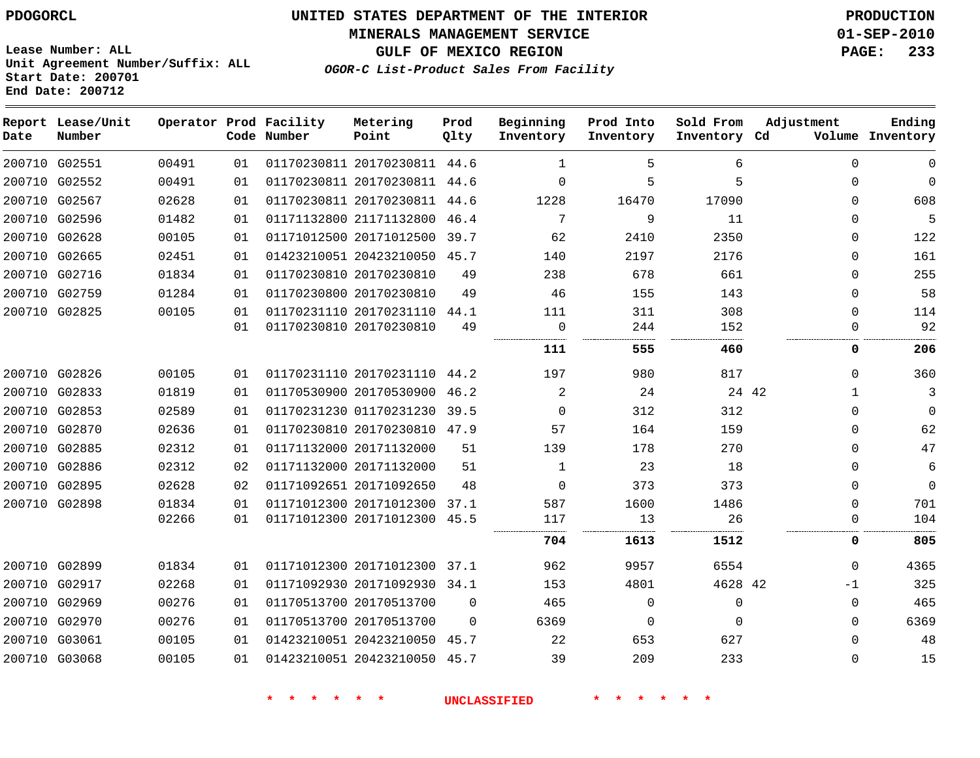#### **MINERALS MANAGEMENT SERVICE 01-SEP-2010**

**GULF OF MEXICO REGION PAGE: 233**

**Lease Number: ALL Unit Agreement Number/Suffix: ALL Start Date: 200701 End Date: 200712**

**OGOR-C List-Product Sales From Facility**

| Date | Report Lease/Unit<br>Number |       |    | Operator Prod Facility<br>Code Number | Metering<br>Point            | Prod<br>Qlty | Beginning<br>Inventory | Prod Into<br>Inventory | Sold From<br>Inventory Cd | Adjustment  | Ending<br>Volume Inventory |
|------|-----------------------------|-------|----|---------------------------------------|------------------------------|--------------|------------------------|------------------------|---------------------------|-------------|----------------------------|
|      | 200710 G02551               | 00491 | 01 |                                       | 01170230811 20170230811 44.6 |              | 1                      | 5                      | 6                         | $\mathbf 0$ | $\mathbf{0}$               |
|      | 200710 G02552               | 00491 | 01 |                                       | 01170230811 20170230811 44.6 |              | $\Omega$               | 5                      | 5                         | $\Omega$    | $\Omega$                   |
|      | 200710 G02567               | 02628 | 01 |                                       | 01170230811 20170230811 44.6 |              | 1228                   | 16470                  | 17090                     | $\Omega$    | 608                        |
|      | 200710 G02596               | 01482 | 01 |                                       | 01171132800 21171132800      | 46.4         | 7                      | 9                      | 11                        | 0           | 5                          |
|      | 200710 G02628               | 00105 | 01 |                                       | 01171012500 20171012500      | 39.7         | 62                     | 2410                   | 2350                      | $\Omega$    | 122                        |
|      | 200710 G02665               | 02451 | 01 |                                       | 01423210051 20423210050 45.7 |              | 140                    | 2197                   | 2176                      | $\Omega$    | 161                        |
|      | 200710 G02716               | 01834 | 01 |                                       | 01170230810 20170230810      | 49           | 238                    | 678                    | 661                       | 0           | 255                        |
|      | 200710 G02759               | 01284 | 01 |                                       | 01170230800 20170230810      | 49           | 46                     | 155                    | 143                       | $\Omega$    | 58                         |
|      | 200710 G02825               | 00105 | 01 |                                       | 01170231110 20170231110 44.1 |              | 111                    | 311                    | 308                       | $\Omega$    | 114                        |
|      |                             |       | 01 |                                       | 01170230810 20170230810      | 49           | 0                      | 244                    | 152                       | $\Omega$    | 92                         |
|      |                             |       |    |                                       |                              |              | 111                    | 555                    | 460                       | 0           | 206                        |
|      | 200710 G02826               | 00105 | 01 |                                       | 01170231110 20170231110 44.2 |              | 197                    | 980                    | 817                       | $\Omega$    | 360                        |
|      | 200710 G02833               | 01819 | 01 |                                       | 01170530900 20170530900      | 46.2         | 2                      | 24                     | 24 42                     | -1          | 3                          |
|      | 200710 G02853               | 02589 | 01 |                                       | 01170231230 01170231230      | 39.5         | $\Omega$               | 312                    | 312                       | $\Omega$    | $\Omega$                   |
|      | 200710 G02870               | 02636 | 01 |                                       | 01170230810 20170230810 47.9 |              | 57                     | 164                    | 159                       | $\Omega$    | 62                         |
|      | 200710 G02885               | 02312 | 01 |                                       | 01171132000 20171132000      | 51           | 139                    | 178                    | 270                       | 0           | 47                         |
|      | 200710 G02886               | 02312 | 02 |                                       | 01171132000 20171132000      | 51           | $\mathbf{1}$           | 23                     | 18                        | $\Omega$    | 6                          |
|      | 200710 G02895               | 02628 | 02 |                                       | 01171092651 20171092650      | 48           | $\Omega$               | 373                    | 373                       | $\Omega$    | $\mathbf{0}$               |
|      | 200710 G02898               | 01834 | 01 |                                       | 01171012300 20171012300      | 37.1         | 587                    | 1600                   | 1486                      | $\Omega$    | 701                        |
|      |                             | 02266 | 01 |                                       | 01171012300 20171012300 45.5 |              | 117                    | 13                     | 26                        | $\Omega$    | 104                        |
|      |                             |       |    |                                       |                              |              | 704                    | 1613                   | 1512                      | 0           | 805                        |
|      | 200710 G02899               | 01834 | 01 |                                       | 01171012300 20171012300 37.1 |              | 962                    | 9957                   | 6554                      | $\Omega$    | 4365                       |
|      | 200710 G02917               | 02268 | 01 |                                       | 01171092930 20171092930 34.1 |              | 153                    | 4801                   | 4628 42                   | $-1$        | 325                        |
|      | 200710 G02969               | 00276 | 01 |                                       | 01170513700 20170513700      | $\Omega$     | 465                    | 0                      | 0                         | $\mathbf 0$ | 465                        |
|      | 200710 G02970               | 00276 | 01 |                                       | 01170513700 20170513700      | $\Omega$     | 6369                   | $\mathbf 0$            | $\Omega$                  | $\Omega$    | 6369                       |
|      | 200710 G03061               | 00105 | 01 |                                       | 01423210051 20423210050      | 45.7         | 22                     | 653                    | 627                       | $\Omega$    | 48                         |
|      | 200710 G03068               | 00105 | 01 |                                       | 01423210051 20423210050 45.7 |              | 39                     | 209                    | 233                       | $\Omega$    | 15                         |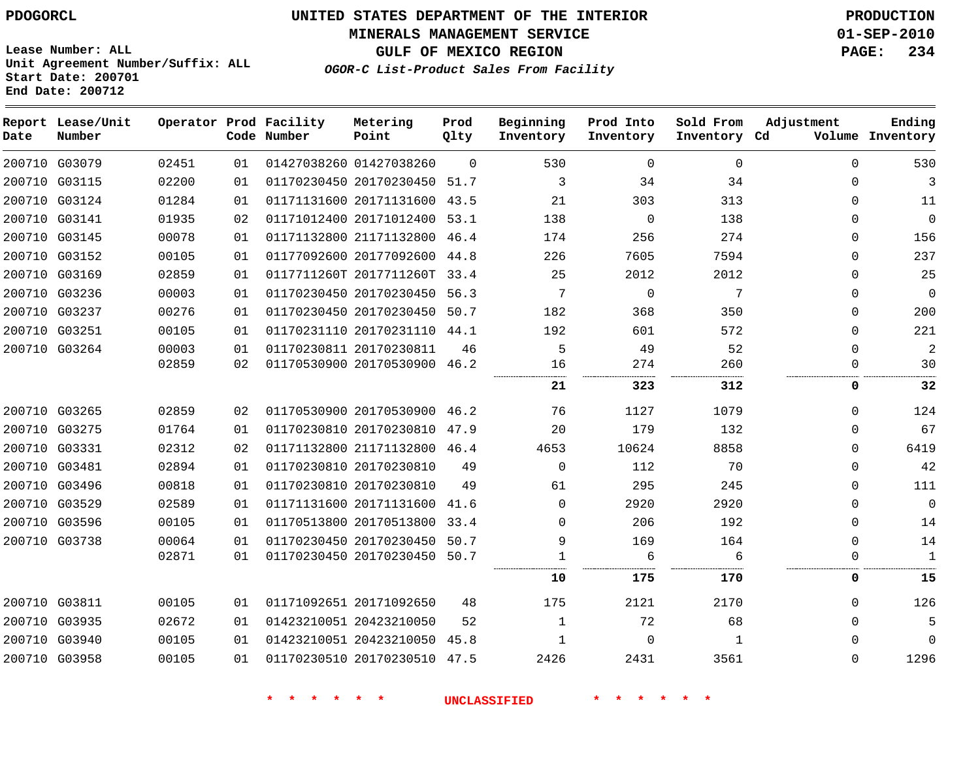**MINERALS MANAGEMENT SERVICE 01-SEP-2010**

**GULF OF MEXICO REGION PAGE: 234**

**Lease Number: ALL Unit Agreement Number/Suffix: ALL Start Date: 200701 End Date: 200712**

**OGOR-C List-Product Sales From Facility**

| Date | Report Lease/Unit<br>Number |       |    | Operator Prod Facility<br>Code Number | Metering<br>Point            | Prod<br>Qlty | Beginning<br>Inventory | Prod Into<br>Inventory | Sold From<br>Inventory Cd | Adjustment   | Ending<br>Volume Inventory |
|------|-----------------------------|-------|----|---------------------------------------|------------------------------|--------------|------------------------|------------------------|---------------------------|--------------|----------------------------|
|      | 200710 G03079               | 02451 | 01 |                                       | 01427038260 01427038260      | $\Omega$     | 530                    | $\mathbf 0$            | $\Omega$                  | $\Omega$     | 530                        |
|      | 200710 G03115               | 02200 | 01 |                                       | 01170230450 20170230450      | 51.7         | 3                      | 34                     | 34                        | $\Omega$     | 3                          |
|      | 200710 G03124               | 01284 | 01 |                                       | 01171131600 20171131600      | 43.5         | 21                     | 303                    | 313                       | $\Omega$     | 11                         |
|      | 200710 G03141               | 01935 | 02 |                                       | 01171012400 20171012400      | 53.1         | 138                    | $\Omega$               | 138                       | $\Omega$     | $\mathbf 0$                |
|      | 200710 G03145               | 00078 | 01 |                                       | 01171132800 21171132800      | 46.4         | 174                    | 256                    | 274                       | 0            | 156                        |
|      | 200710 G03152               | 00105 | 01 |                                       | 01177092600 20177092600 44.8 |              | 226                    | 7605                   | 7594                      | $\Omega$     | 237                        |
|      | 200710 G03169               | 02859 | 01 |                                       | 0117711260T 2017711260T      | 33.4         | 25                     | 2012                   | 2012                      | $\mathbf{0}$ | 25                         |
|      | 200710 G03236               | 00003 | 01 |                                       | 01170230450 20170230450      | 56.3         | 7                      | $\Omega$               | 7                         | $\Omega$     | $\mathbf 0$                |
|      | 200710 G03237               | 00276 | 01 |                                       | 01170230450 20170230450      | 50.7         | 182                    | 368                    | 350                       | 0            | 200                        |
|      | 200710 G03251               | 00105 | 01 |                                       | 01170231110 20170231110 44.1 |              | 192                    | 601                    | 572                       | $\Omega$     | 221                        |
|      | 200710 G03264               | 00003 | 01 |                                       | 01170230811 20170230811      | 46           | 5                      | 49                     | 52                        | $\Omega$     | $\overline{2}$             |
|      |                             | 02859 | 02 |                                       | 01170530900 20170530900      | 46.2         | 16                     | 274<br>                | 260                       | $\Omega$     | 30                         |
|      |                             |       |    |                                       |                              |              | 21                     | 323                    | <br>312                   | 0            | 32                         |
|      | 200710 G03265               | 02859 | 02 |                                       | 01170530900 20170530900 46.2 |              | 76                     | 1127                   | 1079                      | $\Omega$     | 124                        |
|      | 200710 G03275               | 01764 | 01 |                                       | 01170230810 20170230810      | 47.9         | 20                     | 179                    | 132                       | $\Omega$     | 67                         |
|      | 200710 G03331               | 02312 | 02 |                                       | 01171132800 21171132800 46.4 |              | 4653                   | 10624                  | 8858                      | $\Omega$     | 6419                       |
|      | 200710 G03481               | 02894 | 01 |                                       | 01170230810 20170230810      | 49           | $\Omega$               | 112                    | 70                        | $\Omega$     | 42                         |
|      | 200710 G03496               | 00818 | 01 |                                       | 01170230810 20170230810      | 49           | 61                     | 295                    | 245                       | $\Omega$     | 111                        |
|      | 200710 G03529               | 02589 | 01 |                                       | 01171131600 20171131600      | 41.6         | 0                      | 2920                   | 2920                      | 0            | $\mathbf 0$                |
|      | 200710 G03596               | 00105 | 01 |                                       | 01170513800 20170513800      | 33.4         | 0                      | 206                    | 192                       | 0            | 14                         |
|      | 200710 G03738               | 00064 | 01 |                                       | 01170230450 20170230450      | 50.7         | 9                      | 169                    | 164                       | 0            | 14                         |
|      |                             | 02871 | 01 |                                       | 01170230450 20170230450      | 50.7         |                        | 6                      | 6                         | $\Omega$     | $\mathbf{1}$               |
|      |                             |       |    |                                       |                              |              | 10                     | 175                    | 170                       | 0            | 15                         |
|      | 200710 G03811               | 00105 | 01 |                                       | 01171092651 20171092650      | 48           | 175                    | 2121                   | 2170                      | $\Omega$     | 126                        |
|      | 200710 G03935               | 02672 | 01 |                                       | 01423210051 20423210050      | 52           | $\mathbf{1}$           | 72                     | 68                        | $\Omega$     | 5                          |
|      | 200710 G03940               | 00105 | 01 |                                       | 01423210051 20423210050      | 45.8         | 1                      | $\Omega$               | 1                         | $\Omega$     | $\Omega$                   |
|      | 200710 G03958               | 00105 | 01 |                                       | 01170230510 20170230510      | 47.5         | 2426                   | 2431                   | 3561                      | $\Omega$     | 1296                       |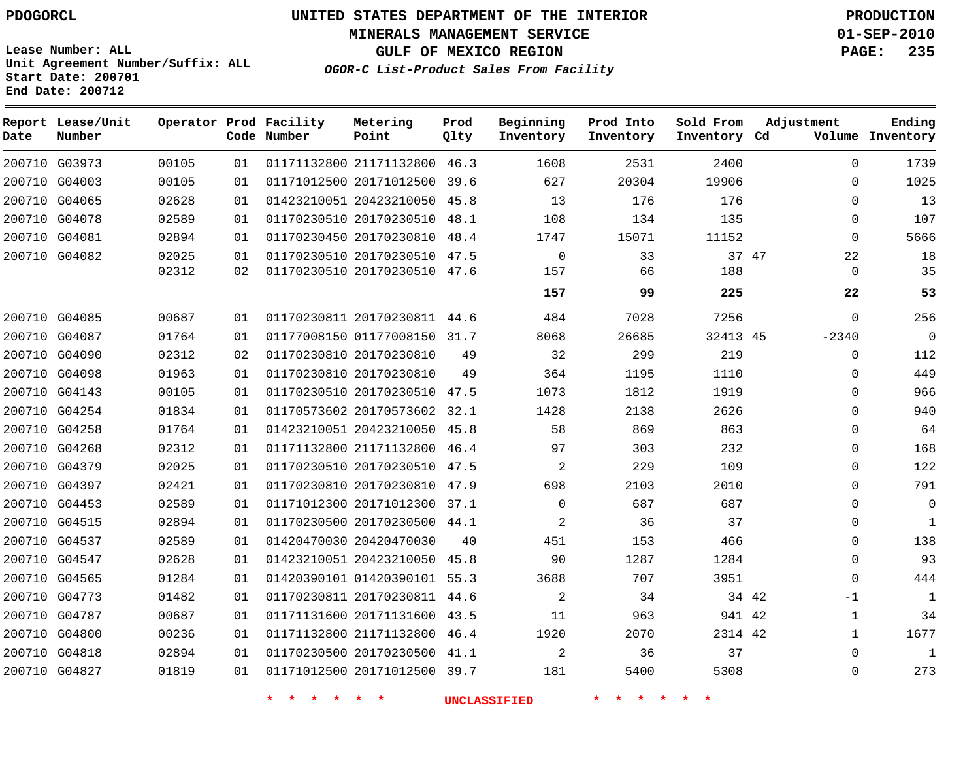#### **MINERALS MANAGEMENT SERVICE 01-SEP-2010**

**GULF OF MEXICO REGION PAGE: 235**

**Lease Number: ALL Unit Agreement Number/Suffix: ALL Start Date: 200701 End Date: 200712**

**OGOR-C List-Product Sales From Facility**

| Date | Report Lease/Unit<br>Number |       |    | Operator Prod Facility<br>Code Number | Metering<br>Point            | Prod<br>Qlty | Beginning<br>Inventory | Prod Into<br>Inventory | Sold From<br>Inventory Cd |       | Adjustment   | Ending<br>Volume Inventory |
|------|-----------------------------|-------|----|---------------------------------------|------------------------------|--------------|------------------------|------------------------|---------------------------|-------|--------------|----------------------------|
|      | 200710 G03973               | 00105 | 01 |                                       | 01171132800 21171132800 46.3 |              | 1608                   | 2531                   | 2400                      |       | $\Omega$     | 1739                       |
|      | 200710 G04003               | 00105 | 01 |                                       | 01171012500 20171012500 39.6 |              | 627                    | 20304                  | 19906                     |       | $\Omega$     | 1025                       |
|      | 200710 G04065               | 02628 | 01 |                                       | 01423210051 20423210050 45.8 |              | 13                     | 176                    | 176                       |       | $\Omega$     | 13                         |
|      | 200710 G04078               | 02589 | 01 |                                       | 01170230510 20170230510 48.1 |              | 108                    | 134                    | 135                       |       | $\mathbf{0}$ | 107                        |
|      | 200710 G04081               | 02894 | 01 |                                       | 01170230450 20170230810 48.4 |              | 1747                   | 15071                  | 11152                     |       | $\Omega$     | 5666                       |
|      | 200710 G04082               | 02025 | 01 |                                       | 01170230510 20170230510 47.5 |              | $\mathbf 0$            | 33                     |                           | 37 47 | 22           | 18                         |
|      |                             | 02312 | 02 |                                       | 01170230510 20170230510 47.6 |              | 157                    | 66                     | 188                       |       | $\Omega$     | 35                         |
|      |                             |       |    |                                       |                              |              | 157                    | 99                     | 225                       |       | 22           | 53                         |
|      | 200710 G04085               | 00687 | 01 |                                       | 01170230811 20170230811 44.6 |              | 484                    | 7028                   | 7256                      |       | $\Omega$     | 256                        |
|      | 200710 G04087               | 01764 | 01 |                                       | 01177008150 01177008150      | 31.7         | 8068                   | 26685                  | 32413 45                  |       | $-2340$      | $\mathbf{0}$               |
|      | 200710 G04090               | 02312 | 02 |                                       | 01170230810 20170230810      | 49           | 32                     | 299                    | 219                       |       | 0            | 112                        |
|      | 200710 G04098               | 01963 | 01 |                                       | 01170230810 20170230810      | 49           | 364                    | 1195                   | 1110                      |       | $\mathbf{0}$ | 449                        |
|      | 200710 G04143               | 00105 | 01 |                                       | 01170230510 20170230510 47.5 |              | 1073                   | 1812                   | 1919                      |       | $\mathbf{0}$ | 966                        |
|      | 200710 G04254               | 01834 | 01 |                                       | 01170573602 20170573602 32.1 |              | 1428                   | 2138                   | 2626                      |       | $\Omega$     | 940                        |
|      | 200710 G04258               | 01764 | 01 |                                       | 01423210051 20423210050 45.8 |              | 58                     | 869                    | 863                       |       | $\mathbf{0}$ | 64                         |
|      | 200710 G04268               | 02312 | 01 |                                       | 01171132800 21171132800 46.4 |              | 97                     | 303                    | 232                       |       | $\mathbf{0}$ | 168                        |
|      | 200710 G04379               | 02025 | 01 |                                       | 01170230510 20170230510 47.5 |              | 2                      | 229                    | 109                       |       | $\mathbf{0}$ | 122                        |
|      | 200710 G04397               | 02421 | 01 |                                       | 01170230810 20170230810 47.9 |              | 698                    | 2103                   | 2010                      |       | $\Omega$     | 791                        |
|      | 200710 G04453               | 02589 | 01 |                                       | 01171012300 20171012300 37.1 |              | $\Omega$               | 687                    | 687                       |       | $\mathbf 0$  | $\mathbf 0$                |
|      | 200710 G04515               | 02894 | 01 |                                       | 01170230500 20170230500 44.1 |              | 2                      | 36                     | 37                        |       | 0            | $\mathbf{1}$               |
|      | 200710 G04537               | 02589 | 01 |                                       | 01420470030 20420470030      | 40           | 451                    | 153                    | 466                       |       | $\Omega$     | 138                        |
|      | 200710 G04547               | 02628 | 01 |                                       | 01423210051 20423210050 45.8 |              | 90                     | 1287                   | 1284                      |       | $\Omega$     | 93                         |
|      | 200710 G04565               | 01284 | 01 |                                       | 01420390101 01420390101 55.3 |              | 3688                   | 707                    | 3951                      |       | $\mathbf{0}$ | 444                        |
|      | 200710 G04773               | 01482 | 01 |                                       | 01170230811 20170230811 44.6 |              | 2                      | 34                     |                           | 34 42 | $-1$         | 1                          |
|      | 200710 G04787               | 00687 | 01 |                                       | 01171131600 20171131600 43.5 |              | 11                     | 963                    | 941 42                    |       | $\mathbf{1}$ | 34                         |
|      | 200710 G04800               | 00236 | 01 |                                       | 01171132800 21171132800 46.4 |              | 1920                   | 2070                   | 2314 42                   |       | $\mathbf{1}$ | 1677                       |
|      | 200710 G04818               | 02894 | 01 |                                       | 01170230500 20170230500 41.1 |              | 2                      | 36                     | 37                        |       | $\Omega$     | $\mathbf{1}$               |
|      | 200710 G04827               | 01819 | 01 |                                       | 01171012500 20171012500 39.7 |              | 181                    | 5400                   | 5308                      |       | $\Omega$     | 273                        |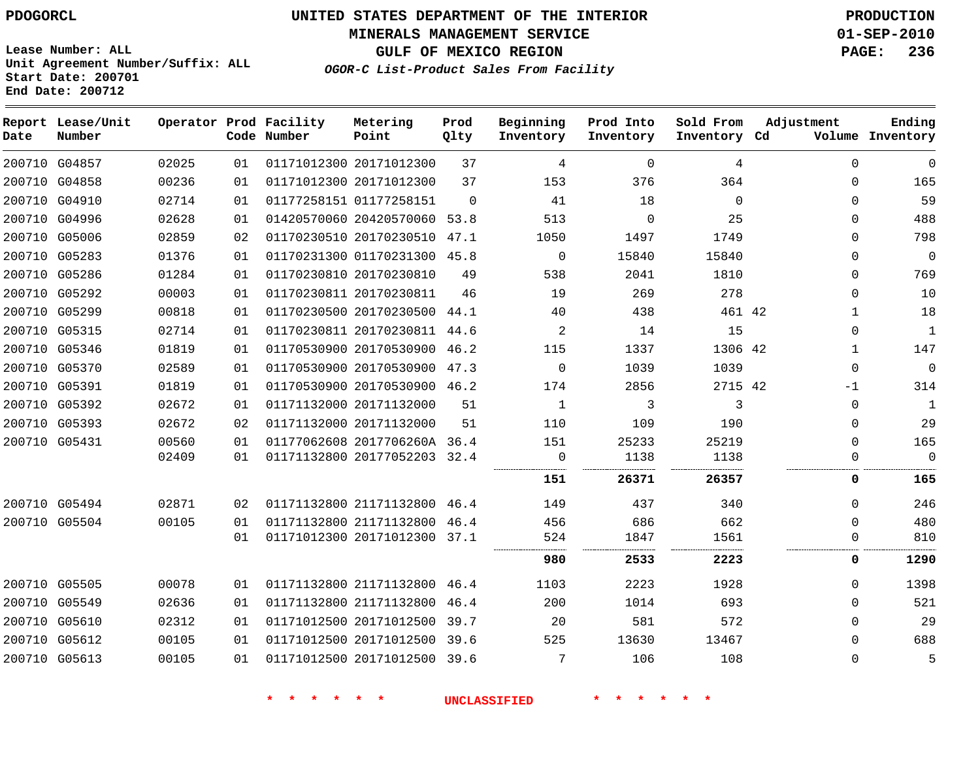**MINERALS MANAGEMENT SERVICE 01-SEP-2010**

**GULF OF MEXICO REGION PAGE: 236**

**Lease Number: ALL Unit Agreement Number/Suffix: ALL Start Date: 200701 End Date: 200712**

**OGOR-C List-Product Sales From Facility**

| Date          | Report Lease/Unit<br>Number |       |    | Operator Prod Facility<br>Code Number | Metering<br>Point            | Prod<br>Qlty | Beginning<br>Inventory | Prod Into<br>Inventory | Sold From<br>Inventory Cd | Adjustment   | Ending<br>Volume Inventory |
|---------------|-----------------------------|-------|----|---------------------------------------|------------------------------|--------------|------------------------|------------------------|---------------------------|--------------|----------------------------|
|               | 200710 G04857               | 02025 | 01 |                                       | 01171012300 20171012300      | 37           | 4                      | 0                      | 4                         | $\mathbf{0}$ | $\mathbf 0$                |
|               | 200710 G04858               | 00236 | 01 |                                       | 01171012300 20171012300      | 37           | 153                    | 376                    | 364                       | $\Omega$     | 165                        |
|               | 200710 G04910               | 02714 | 01 |                                       | 01177258151 01177258151      | $\Omega$     | 41                     | 18                     | $\Omega$                  | $\mathbf 0$  | 59                         |
|               | 200710 G04996               | 02628 | 01 |                                       | 01420570060 20420570060      | 53.8         | 513                    | $\mathbf 0$            | 25                        | 0            | 488                        |
|               | 200710 G05006               | 02859 | 02 |                                       | 01170230510 20170230510      | 47.1         | 1050                   | 1497                   | 1749                      | $\Omega$     | 798                        |
|               | 200710 G05283               | 01376 | 01 |                                       | 01170231300 01170231300 45.8 |              | 0                      | 15840                  | 15840                     | 0            | $\mathbf 0$                |
|               | 200710 G05286               | 01284 | 01 |                                       | 01170230810 20170230810      | 49           | 538                    | 2041                   | 1810                      | $\mathbf 0$  | 769                        |
|               | 200710 G05292               | 00003 | 01 |                                       | 01170230811 20170230811      | 46           | 19                     | 269                    | 278                       | 0            | 10                         |
|               | 200710 G05299               | 00818 | 01 |                                       | 01170230500 20170230500      | 44.1         | 40                     | 438                    | 461 42                    | $\mathbf{1}$ | 18                         |
|               | 200710 G05315               | 02714 | 01 |                                       | 01170230811 20170230811      | 44.6         | 2                      | 14                     | 15                        | 0            | 1                          |
|               | 200710 G05346               | 01819 | 01 |                                       | 01170530900 20170530900      | 46.2         | 115                    | 1337                   | 1306 42                   | 1            | 147                        |
|               | 200710 G05370               | 02589 | 01 |                                       | 01170530900 20170530900      | 47.3         | 0                      | 1039                   | 1039                      | $\mathbf 0$  | $\mathbf 0$                |
|               | 200710 G05391               | 01819 | 01 |                                       | 01170530900 20170530900 46.2 |              | 174                    | 2856                   | 2715 42                   | $-1$         | 314                        |
|               | 200710 G05392               | 02672 | 01 |                                       | 01171132000 20171132000      | 51           | 1                      | 3                      | 3                         | 0            | 1                          |
|               | 200710 G05393               | 02672 | 02 |                                       | 01171132000 20171132000      | 51           | 110                    | 109                    | 190                       | 0            | 29                         |
| 200710 G05431 |                             | 00560 | 01 |                                       | 01177062608 2017706260A 36.4 |              | 151                    | 25233                  | 25219                     | $\mathbf 0$  | 165                        |
|               |                             | 02409 | 01 |                                       | 01171132800 20177052203 32.4 |              | 0                      | 1138                   | 1138                      | 0            | $\Omega$                   |
|               |                             |       |    |                                       |                              |              | 151                    | 26371                  | 26357                     | 0            | 165                        |
|               | 200710 G05494               | 02871 | 02 |                                       | 01171132800 21171132800 46.4 |              | 149                    | 437                    | 340                       | 0            | 246                        |
|               | 200710 G05504               | 00105 | 01 |                                       | 01171132800 21171132800      | 46.4         | 456                    | 686                    | 662                       | 0            | 480                        |
|               |                             |       | 01 |                                       | 01171012300 20171012300 37.1 |              | 524                    | 1847                   | 1561                      | 0            | 810                        |
|               |                             |       |    |                                       |                              |              | 980                    | 2533                   | 2223                      | 0            | 1290                       |
| 200710 G05505 |                             | 00078 | 01 |                                       | 01171132800 21171132800 46.4 |              | 1103                   | 2223                   | 1928                      | $\Omega$     | 1398                       |
|               | 200710 G05549               | 02636 | 01 |                                       | 01171132800 21171132800      | 46.4         | 200                    | 1014                   | 693                       | 0            | 521                        |
|               | 200710 G05610               | 02312 | 01 |                                       | 01171012500 20171012500 39.7 |              | 20                     | 581                    | 572                       | $\Omega$     | 29                         |
|               | 200710 G05612               | 00105 | 01 |                                       | 01171012500 20171012500 39.6 |              | 525                    | 13630                  | 13467                     | 0            | 688                        |
|               | 200710 G05613               | 00105 | 01 |                                       | 01171012500 20171012500 39.6 |              | 7                      | 106                    | 108                       | 0            | 5                          |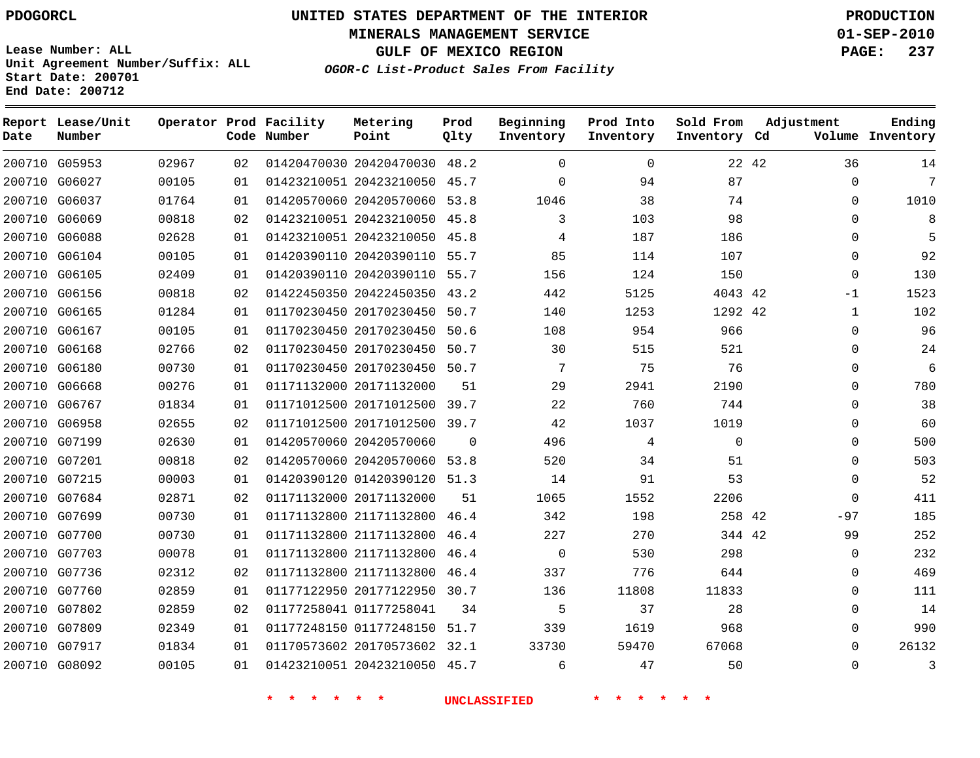**MINERALS MANAGEMENT SERVICE 01-SEP-2010**

**GULF OF MEXICO REGION PAGE: 237**

**Lease Number: ALL Unit Agreement Number/Suffix: ALL Start Date: 200701 End Date: 200712**

**OGOR-C List-Product Sales From Facility**

| Date | Report Lease/Unit<br>Number |       |    | Operator Prod Facility<br>Code Number | Metering<br>Point            | Prod<br>Qlty | Beginning<br>Inventory | Prod Into<br>Inventory | Sold From<br>Inventory Cd | Adjustment  | Ending<br>Volume Inventory |
|------|-----------------------------|-------|----|---------------------------------------|------------------------------|--------------|------------------------|------------------------|---------------------------|-------------|----------------------------|
|      | 200710 G05953               | 02967 | 02 |                                       | 01420470030 20420470030 48.2 |              | $\Omega$               | $\Omega$               |                           | 36<br>22 42 | 14                         |
|      | 200710 G06027               | 00105 | 01 |                                       | 01423210051 20423210050      | 45.7         | $\Omega$               | 94                     | 87                        | 0           | 7                          |
|      | 200710 G06037               | 01764 | 01 |                                       | 01420570060 20420570060 53.8 |              | 1046                   | 38                     | 74                        | 0           | 1010                       |
|      | 200710 G06069               | 00818 | 02 |                                       | 01423210051 20423210050 45.8 |              | 3                      | 103                    | 98                        | $\Omega$    | 8                          |
|      | 200710 G06088               | 02628 | 01 |                                       | 01423210051 20423210050      | 45.8         | 4                      | 187                    | 186                       | 0           | 5                          |
|      | 200710 G06104               | 00105 | 01 |                                       | 01420390110 20420390110 55.7 |              | 85                     | 114                    | 107                       | $\Omega$    | 92                         |
|      | 200710 G06105               | 02409 | 01 |                                       | 01420390110 20420390110 55.7 |              | 156                    | 124                    | 150                       | 0           | 130                        |
|      | 200710 G06156               | 00818 | 02 |                                       | 01422450350 20422450350 43.2 |              | 442                    | 5125                   | 4043 42                   | $-1$        | 1523                       |
|      | 200710 G06165               | 01284 | 01 |                                       | 01170230450 20170230450 50.7 |              | 140                    | 1253                   | 1292 42                   | 1           | 102                        |
|      | 200710 G06167               | 00105 | 01 |                                       | 01170230450 20170230450 50.6 |              | 108                    | 954                    | 966                       | $\Omega$    | 96                         |
|      | 200710 G06168               | 02766 | 02 |                                       | 01170230450 20170230450 50.7 |              | 30                     | 515                    | 521                       | 0           | 24                         |
|      | 200710 G06180               | 00730 | 01 |                                       | 01170230450 20170230450 50.7 |              | 7                      | 75                     | 76                        | $\Omega$    | 6                          |
|      | 200710 G06668               | 00276 | 01 |                                       | 01171132000 20171132000      | 51           | 29                     | 2941                   | 2190                      | 0           | 780                        |
|      | 200710 G06767               | 01834 | 01 |                                       | 01171012500 20171012500 39.7 |              | 22                     | 760                    | 744                       | $\Omega$    | 38                         |
|      | 200710 G06958               | 02655 | 02 |                                       | 01171012500 20171012500 39.7 |              | 42                     | 1037                   | 1019                      | 0           | 60                         |
|      | 200710 G07199               | 02630 | 01 |                                       | 01420570060 20420570060      | $\Omega$     | 496                    | 4                      | $\Omega$                  | $\Omega$    | 500                        |
|      | 200710 G07201               | 00818 | 02 |                                       | 01420570060 20420570060      | 53.8         | 520                    | 34                     | 51                        | 0           | 503                        |
|      | 200710 G07215               | 00003 | 01 |                                       | 01420390120 01420390120 51.3 |              | 14                     | 91                     | 53                        | $\Omega$    | 52                         |
|      | 200710 G07684               | 02871 | 02 |                                       | 01171132000 20171132000      | 51           | 1065                   | 1552                   | 2206                      | 0           | 411                        |
|      | 200710 G07699               | 00730 | 01 |                                       | 01171132800 21171132800      | 46.4         | 342                    | 198                    | 258 42                    | $-97$       | 185                        |
|      | 200710 G07700               | 00730 | 01 |                                       | 01171132800 21171132800      | 46.4         | 227                    | 270                    | 344 42                    | 99          | 252                        |
|      | 200710 G07703               | 00078 | 01 |                                       | 01171132800 21171132800      | 46.4         | $\mathbf 0$            | 530                    | 298                       | 0           | 232                        |
|      | 200710 G07736               | 02312 | 02 |                                       | 01171132800 21171132800      | 46.4         | 337                    | 776                    | 644                       | 0           | 469                        |
|      | 200710 G07760               | 02859 | 01 |                                       | 01177122950 20177122950 30.7 |              | 136                    | 11808                  | 11833                     | 0           | 111                        |
|      | 200710 G07802               | 02859 | 02 |                                       | 01177258041 01177258041      | 34           | 5                      | 37                     | 28                        | 0           | 14                         |
|      | 200710 G07809               | 02349 | 01 |                                       | 01177248150 01177248150      | 51.7         | 339                    | 1619                   | 968                       | $\Omega$    | 990                        |
|      | 200710 G07917               | 01834 | 01 |                                       | 01170573602 20170573602 32.1 |              | 33730                  | 59470                  | 67068                     | 0           | 26132                      |
|      | 200710 G08092               | 00105 | 01 |                                       | 01423210051 20423210050 45.7 |              | 6                      | 47                     | 50                        | 0           | 3                          |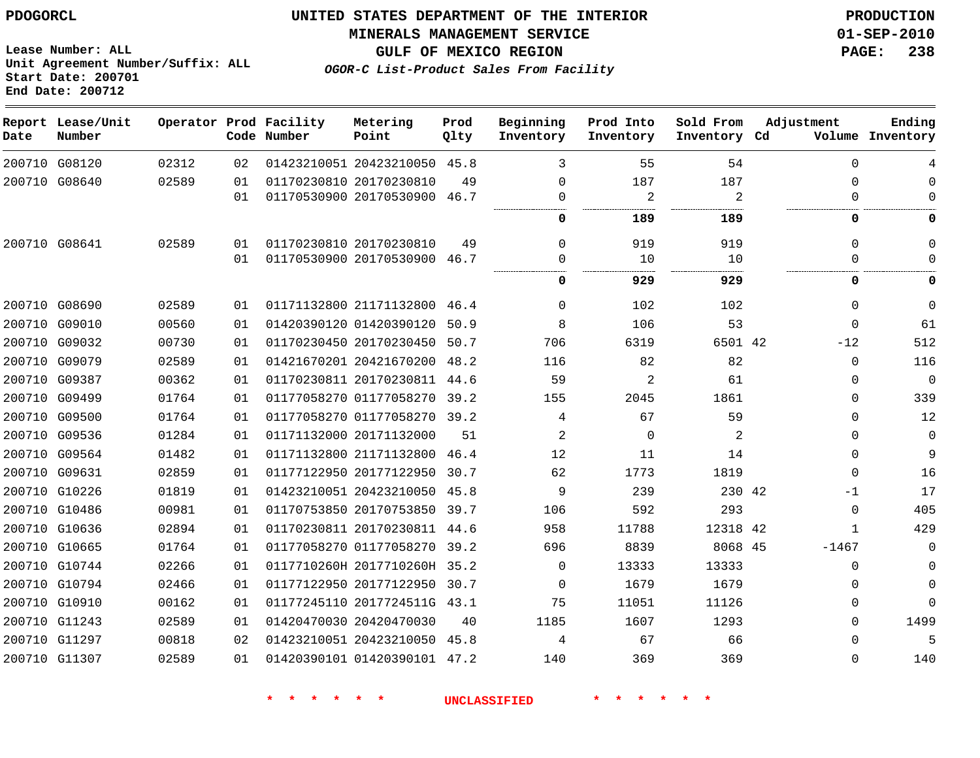**MINERALS MANAGEMENT SERVICE 01-SEP-2010**

**Lease Number: ALL Unit Agreement Number/Suffix: ALL Start Date: 200701 End Date: 200712**

**OGOR-C List-Product Sales From Facility**

**GULF OF MEXICO REGION PAGE: 238**

| Date   | Report Lease/Unit<br>Number |       |    | Operator Prod Facility<br>Code Number | Metering<br>Point            | Prod<br>Qlty | Beginning<br>Inventory | Prod Into<br>Inventory | Sold From<br>Inventory Cd | Adjustment |              | Ending<br>Volume Inventory |
|--------|-----------------------------|-------|----|---------------------------------------|------------------------------|--------------|------------------------|------------------------|---------------------------|------------|--------------|----------------------------|
|        | 200710 G08120               | 02312 | 02 |                                       | 01423210051 20423210050      | 45.8         | 3                      | 55                     | 54                        |            | 0            | 4                          |
|        | 200710 G08640               | 02589 | 01 |                                       | 01170230810 20170230810      | 49           | 0                      | 187                    | 187                       |            | $\Omega$     | 0                          |
|        |                             |       | 01 |                                       | 01170530900 20170530900 46.7 |              | 0                      | 2                      | 2                         |            | $\Omega$     | $\Omega$                   |
|        |                             |       |    |                                       |                              |              | O                      | 189                    | 189                       |            | 0            | 0                          |
|        | 200710 G08641               | 02589 | 01 |                                       | 01170230810 20170230810      | 49           | 0                      | 919                    | 919                       |            | $\mathbf{0}$ | $\Omega$                   |
|        |                             |       | 01 |                                       | 01170530900 20170530900 46.7 |              | $\Omega$               | 10                     | 10                        |            | $\Omega$     | $\Omega$                   |
|        |                             |       |    |                                       |                              |              | <br>0                  | 929                    | 929                       |            | 0            | 0                          |
|        | 200710 G08690               | 02589 | 01 |                                       | 01171132800 21171132800      | 46.4         | $\Omega$               | 102                    | 102                       |            | $\mathbf{0}$ | $\mathbf 0$                |
| 200710 | G09010                      | 00560 | 01 |                                       | 01420390120 01420390120      | 50.9         | 8                      | 106                    | 53                        |            | $\Omega$     | 61                         |
|        | 200710 G09032               | 00730 | 01 |                                       | 01170230450 20170230450      | 50.7         | 706                    | 6319                   | 6501 42                   |            | $-12$        | 512                        |
| 200710 | G09079                      | 02589 | 01 |                                       | 01421670201 20421670200      | 48.2         | 116                    | 82                     | 82                        |            | $\mathbf 0$  | 116                        |
|        | 200710 G09387               | 00362 | 01 |                                       | 01170230811 20170230811      | 44.6         | 59                     | 2                      | 61                        |            | 0            | $\mathbf 0$                |
| 200710 | G09499                      | 01764 | 01 |                                       | 01177058270 01177058270      | 39.2         | 155                    | 2045                   | 1861                      |            | 0            | 339                        |
|        | 200710 G09500               | 01764 | 01 |                                       | 01177058270 01177058270 39.2 |              | 4                      | 67                     | 59                        |            | 0            | 12                         |
| 200710 | G09536                      | 01284 | 01 |                                       | 01171132000 20171132000      | 51           | 2                      | 0                      | 2                         |            | $\Omega$     | 0                          |
|        | 200710 G09564               | 01482 | 01 |                                       | 01171132800 21171132800      | 46.4         | 12                     | 11                     | 14                        |            | 0            | 9                          |
| 200710 | G09631                      | 02859 | 01 |                                       | 01177122950 20177122950      | 30.7         | 62                     | 1773                   | 1819                      |            | $\Omega$     | 16                         |
|        | 200710 G10226               | 01819 | 01 |                                       | 01423210051 20423210050      | 45.8         | 9                      | 239                    | 230 42                    |            | -1           | 17                         |
|        | 200710 G10486               | 00981 | 01 |                                       | 01170753850 20170753850      | 39.7         | 106                    | 592                    | 293                       |            | $\mathbf{0}$ | 405                        |
|        | 200710 G10636               | 02894 | 01 |                                       | 01170230811 20170230811 44.6 |              | 958                    | 11788                  | 12318 42                  |            | 1            | 429                        |
|        | 200710 G10665               | 01764 | 01 |                                       | 01177058270 01177058270      | 39.2         | 696                    | 8839                   | 8068 45                   |            | $-1467$      | $\mathbf 0$                |
|        | 200710 G10744               | 02266 | 01 |                                       | 0117710260H 2017710260H 35.2 |              | $\Omega$               | 13333                  | 13333                     |            | 0            | $\Omega$                   |
|        | 200710 G10794               | 02466 | 01 |                                       | 01177122950 20177122950      | 30.7         | $\Omega$               | 1679                   | 1679                      |            | 0            | $\mathbf 0$                |
|        | 200710 G10910               | 00162 | 01 |                                       | 01177245110 2017724511G 43.1 |              | 75                     | 11051                  | 11126                     |            | 0            | $\Omega$                   |
|        | 200710 G11243               | 02589 | 01 |                                       | 01420470030 20420470030      | 40           | 1185                   | 1607                   | 1293                      |            | $\Omega$     | 1499                       |
|        | 200710 G11297               | 00818 | 02 |                                       | 01423210051 20423210050      | 45.8         | 4                      | 67                     | 66                        |            | 0            | 5                          |
|        | 200710 G11307               | 02589 | 01 |                                       | 01420390101 01420390101 47.2 |              | 140                    | 369                    | 369                       |            | $\Omega$     | 140                        |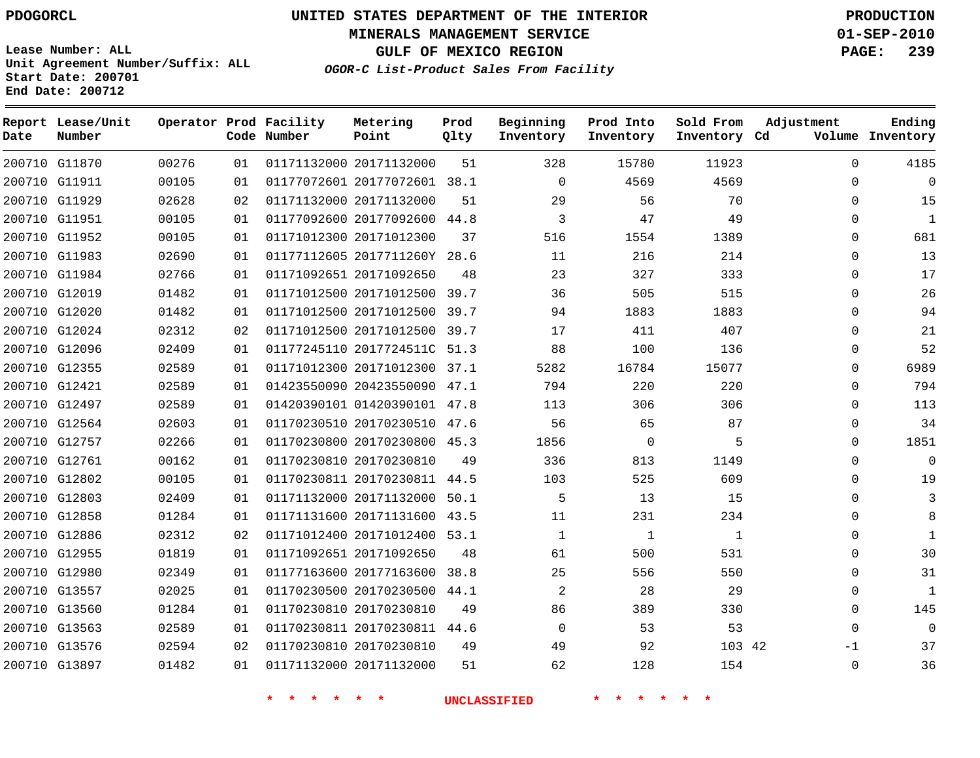**Start Date: 200701 End Date: 200712**

**Unit Agreement Number/Suffix: ALL**

# **UNITED STATES DEPARTMENT OF THE INTERIOR PDOGORCL PRODUCTION**

**MINERALS MANAGEMENT SERVICE 01-SEP-2010**

**GULF OF MEXICO REGION PAGE: 239**

**OGOR-C List-Product Sales From Facility**

| Date   | Report Lease/Unit<br>Number |       |    | Operator Prod Facility<br>Code Number | Metering<br>Point            | Prod<br>Qlty | Beginning<br>Inventory | Prod Into<br>Inventory | Sold From<br>Inventory Cd | Adjustment   | Ending<br>Volume Inventory |
|--------|-----------------------------|-------|----|---------------------------------------|------------------------------|--------------|------------------------|------------------------|---------------------------|--------------|----------------------------|
|        | 200710 G11870               | 00276 | 01 |                                       | 01171132000 20171132000      | 51           | 328                    | 15780                  | 11923                     | $\Omega$     | 4185                       |
|        | 200710 G11911               | 00105 | 01 |                                       | 01177072601 20177072601 38.1 |              | $\mathbf 0$            | 4569                   | 4569                      | $\Omega$     | $\overline{0}$             |
|        | 200710 G11929               | 02628 | 02 |                                       | 01171132000 20171132000      | 51           | 29                     | 56                     | 70                        | $\Omega$     | 15                         |
|        | 200710 G11951               | 00105 | 01 |                                       | 01177092600 20177092600      | 44.8         | 3                      | 47                     | 49                        | $\Omega$     | 1                          |
|        | 200710 G11952               | 00105 | 01 |                                       | 01171012300 20171012300      | 37           | 516                    | 1554                   | 1389                      | $\Omega$     | 681                        |
|        | 200710 G11983               | 02690 | 01 |                                       | 01177112605 2017711260Y 28.6 |              | 11                     | 216                    | 214                       | $\Omega$     | 13                         |
|        | 200710 G11984               | 02766 | 01 |                                       | 01171092651 20171092650      | 48           | 23                     | 327                    | 333                       | $\Omega$     | 17                         |
|        | 200710 G12019               | 01482 | 01 |                                       | 01171012500 20171012500      | 39.7         | 36                     | 505                    | 515                       | $\Omega$     | 26                         |
| 200710 | G12020                      | 01482 | 01 |                                       | 01171012500 20171012500      | 39.7         | 94                     | 1883                   | 1883                      | $\Omega$     | 94                         |
| 200710 | G12024                      | 02312 | 02 |                                       | 01171012500 20171012500      | 39.7         | 17                     | 411                    | 407                       | $\Omega$     | 21                         |
| 200710 | G12096                      | 02409 | 01 |                                       | 01177245110 2017724511C 51.3 |              | 88                     | 100                    | 136                       | $\mathbf 0$  | 52                         |
|        | 200710 G12355               | 02589 | 01 |                                       | 01171012300 20171012300      | 37.1         | 5282                   | 16784                  | 15077                     | $\Omega$     | 6989                       |
|        | 200710 G12421               | 02589 | 01 |                                       | 01423550090 20423550090      | 47.1         | 794                    | 220                    | 220                       | $\Omega$     | 794                        |
|        | 200710 G12497               | 02589 | 01 |                                       | 01420390101 01420390101 47.8 |              | 113                    | 306                    | 306                       | 0            | 113                        |
|        | 200710 G12564               | 02603 | 01 |                                       | 01170230510 20170230510      | 47.6         | 56                     | 65                     | 87                        | $\Omega$     | 34                         |
|        | 200710 G12757               | 02266 | 01 |                                       | 01170230800 20170230800      | 45.3         | 1856                   | $\mathbf 0$            | 5                         | $\Omega$     | 1851                       |
|        | 200710 G12761               | 00162 | 01 |                                       | 01170230810 20170230810      | 49           | 336                    | 813                    | 1149                      | $\mathbf{0}$ | $\overline{0}$             |
|        | 200710 G12802               | 00105 | 01 |                                       | 01170230811 20170230811 44.5 |              | 103                    | 525                    | 609                       | $\Omega$     | 19                         |
|        | 200710 G12803               | 02409 | 01 |                                       | 01171132000 20171132000      | 50.1         | 5                      | 13                     | 15                        | $\Omega$     | 3                          |
|        | 200710 G12858               | 01284 | 01 |                                       | 01171131600 20171131600      | 43.5         | 11                     | 231                    | 234                       | $\Omega$     | 8                          |
|        | 200710 G12886               | 02312 | 02 |                                       | 01171012400 20171012400      | 53.1         | $\mathbf 1$            | $\mathbf{1}$           | $\mathbf{1}$              | $\Omega$     | 1                          |
|        | 200710 G12955               | 01819 | 01 |                                       | 01171092651 20171092650      | 48           | 61                     | 500                    | 531                       | $\Omega$     | 30                         |
| 200710 | G12980                      | 02349 | 01 |                                       | 01177163600 20177163600      | 38.8         | 25                     | 556                    | 550                       | $\Omega$     | 31                         |
| 200710 | G13557                      | 02025 | 01 |                                       | 01170230500 20170230500      | 44.1         | 2                      | 28                     | 29                        | $\Omega$     | 1                          |
|        | 200710 G13560               | 01284 | 01 |                                       | 01170230810 20170230810      | 49           | 86                     | 389                    | 330                       | $\Omega$     | 145                        |
| 200710 | G13563                      | 02589 | 01 |                                       | 01170230811 20170230811 44.6 |              | 0                      | 53                     | 53                        | $\Omega$     | $\Omega$                   |
|        | 200710 G13576               | 02594 | 02 |                                       | 01170230810 20170230810      | 49           | 49                     | 92                     | 103 42                    | -1           | 37                         |
|        | 200710 G13897               | 01482 | 01 |                                       | 01171132000 20171132000      | 51           | 62                     | 128                    | 154                       | $\Omega$     | 36                         |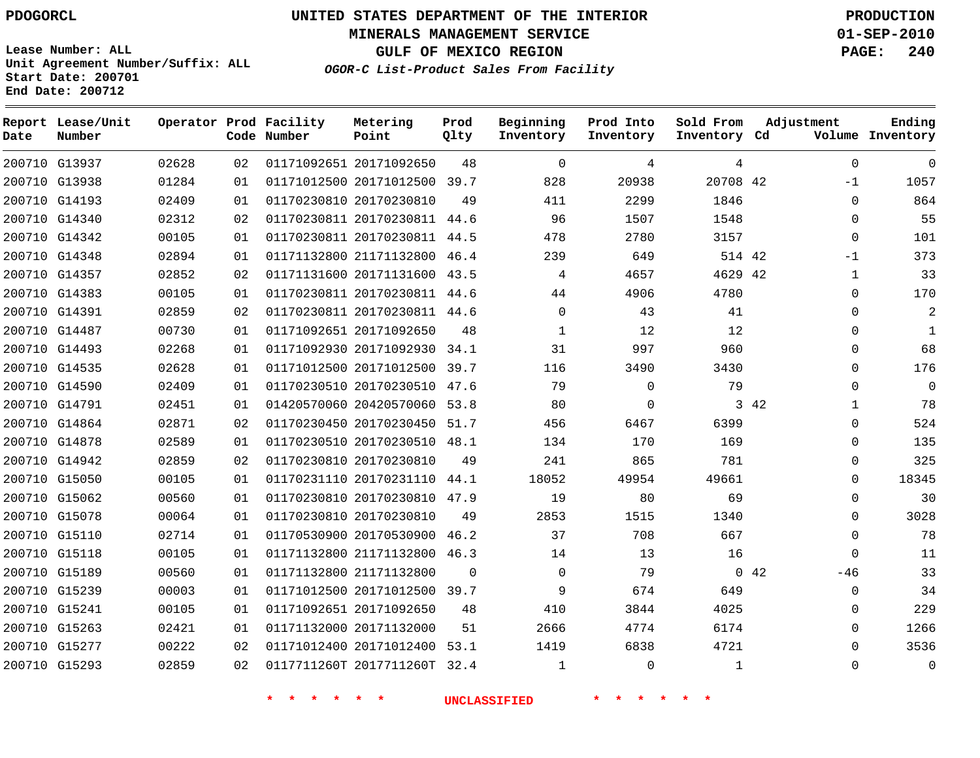**MINERALS MANAGEMENT SERVICE 01-SEP-2010**

**GULF OF MEXICO REGION PAGE: 240**

**Lease Number: ALL Unit Agreement Number/Suffix: ALL Start Date: 200701 End Date: 200712**

**OGOR-C List-Product Sales From Facility**

| Date | Report Lease/Unit<br>Number |       |    | Operator Prod Facility<br>Code Number | Metering<br>Point            | Prod<br>Qlty | Beginning<br>Inventory | Prod Into<br>Inventory | Sold From<br>Inventory Cd | Adjustment           | Ending<br>Volume Inventory |
|------|-----------------------------|-------|----|---------------------------------------|------------------------------|--------------|------------------------|------------------------|---------------------------|----------------------|----------------------------|
|      | 200710 G13937               | 02628 | 02 |                                       | 01171092651 20171092650      | 48           | $\mathbf 0$            | 4                      | 4                         | $\mathbf 0$          | $\mathbf 0$                |
|      | 200710 G13938               | 01284 | 01 |                                       | 01171012500 20171012500 39.7 |              | 828                    | 20938                  | 20708 42                  | $-1$                 | 1057                       |
|      | 200710 G14193               | 02409 | 01 |                                       | 01170230810 20170230810      | 49           | 411                    | 2299                   | 1846                      | $\mathbf 0$          | 864                        |
|      | 200710 G14340               | 02312 | 02 |                                       | 01170230811 20170230811 44.6 |              | 96                     | 1507                   | 1548                      | $\mathbf 0$          | 55                         |
|      | 200710 G14342               | 00105 | 01 |                                       | 01170230811 20170230811 44.5 |              | 478                    | 2780                   | 3157                      | $\mathbf 0$          | 101                        |
|      | 200710 G14348               | 02894 | 01 |                                       | 01171132800 21171132800      | 46.4         | 239                    | 649                    | 514 42                    | $-1$                 | 373                        |
|      | 200710 G14357               | 02852 | 02 |                                       | 01171131600 20171131600 43.5 |              | 4                      | 4657                   | 4629 42                   | $\mathbf 1$          | 33                         |
|      | 200710 G14383               | 00105 | 01 |                                       | 01170230811 20170230811 44.6 |              | 44                     | 4906                   | 4780                      | $\Omega$             | 170                        |
|      | 200710 G14391               | 02859 | 02 |                                       | 01170230811 20170230811 44.6 |              | $\Omega$               | 43                     | 41                        | $\Omega$             | $\overline{2}$             |
|      | 200710 G14487               | 00730 | 01 |                                       | 01171092651 20171092650      | 48           | 1                      | 12                     | 12                        | $\Omega$             | $\mathbf{1}$               |
|      | 200710 G14493               | 02268 | 01 |                                       | 01171092930 20171092930 34.1 |              | 31                     | 997                    | 960                       | $\Omega$             | 68                         |
|      | 200710 G14535               | 02628 | 01 |                                       | 01171012500 20171012500      | 39.7         | 116                    | 3490                   | 3430                      | $\Omega$             | 176                        |
|      | 200710 G14590               | 02409 | 01 |                                       | 01170230510 20170230510      | 47.6         | 79                     | $\Omega$               | 79                        | $\Omega$             | $\mathbf 0$                |
|      | 200710 G14791               | 02451 | 01 |                                       | 01420570060 20420570060      | 53.8         | 80                     | $\mathbf 0$            |                           | 3 42<br>$\mathbf 1$  | 78                         |
|      | 200710 G14864               | 02871 | 02 |                                       | 01170230450 20170230450 51.7 |              | 456                    | 6467                   | 6399                      | $\mathbf{0}$         | 524                        |
|      | 200710 G14878               | 02589 | 01 |                                       | 01170230510 20170230510      | 48.1         | 134                    | 170                    | 169                       | 0                    | 135                        |
|      | 200710 G14942               | 02859 | 02 |                                       | 01170230810 20170230810      | 49           | 241                    | 865                    | 781                       | $\mathbf{0}$         | 325                        |
|      | 200710 G15050               | 00105 | 01 |                                       | 01170231110 20170231110      | 44.1         | 18052                  | 49954                  | 49661                     | $\mathbf 0$          | 18345                      |
|      | 200710 G15062               | 00560 | 01 |                                       | 01170230810 20170230810 47.9 |              | 19                     | 80                     | 69                        | $\mathbf 0$          | 30                         |
|      | 200710 G15078               | 00064 | 01 |                                       | 01170230810 20170230810      | 49           | 2853                   | 1515                   | 1340                      | $\mathbf 0$          | 3028                       |
|      | 200710 G15110               | 02714 | 01 |                                       | 01170530900 20170530900      | 46.2         | 37                     | 708                    | 667                       | $\Omega$             | 78                         |
|      | 200710 G15118               | 00105 | 01 |                                       | 01171132800 21171132800      | 46.3         | 14                     | 13                     | 16                        | $\Omega$             | 11                         |
|      | 200710 G15189               | 00560 | 01 |                                       | 01171132800 21171132800      | $\Omega$     | $\Omega$               | 79                     |                           | $0\quad 42$<br>$-46$ | 33                         |
|      | 200710 G15239               | 00003 | 01 |                                       | 01171012500 20171012500      | 39.7         | 9                      | 674                    | 649                       | $\mathbf{0}$         | 34                         |
|      | 200710 G15241               | 00105 | 01 |                                       | 01171092651 20171092650      | 48           | 410                    | 3844                   | 4025                      | $\Omega$             | 229                        |
|      | 200710 G15263               | 02421 | 01 |                                       | 01171132000 20171132000      | 51           | 2666                   | 4774                   | 6174                      | $\Omega$             | 1266                       |
|      | 200710 G15277               | 00222 | 02 |                                       | 01171012400 20171012400 53.1 |              | 1419                   | 6838                   | 4721                      | $\Omega$             | 3536                       |
|      | 200710 G15293               | 02859 | 02 |                                       | 0117711260T 2017711260T 32.4 |              | $\mathbf 1$            | $\Omega$               | $\mathbf{1}$              | $\Omega$             | $\mathbf 0$                |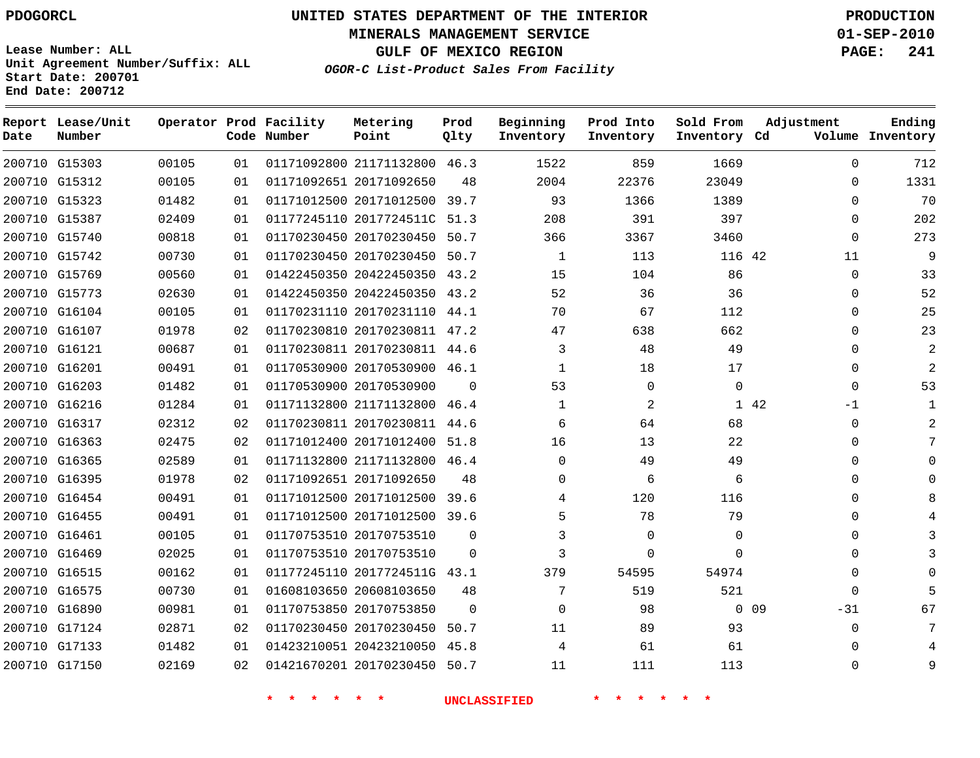# **UNITED STATES DEPARTMENT OF THE INTERIOR PDOGORCL PRODUCTION**

**MINERALS MANAGEMENT SERVICE 01-SEP-2010**

**GULF OF MEXICO REGION PAGE: 241**

**Unit Agreement Number/Suffix: ALL Start Date: 200701 End Date: 200712**

**OGOR-C List-Product Sales From Facility**

| Date | Report Lease/Unit<br>Number |       |    | Operator Prod Facility<br>Code Number | Metering<br>Point            | Prod<br>Qlty | Beginning<br>Inventory | Prod Into<br>Inventory | Sold From<br>Inventory Cd | Adjustment          | Ending<br>Volume Inventory |
|------|-----------------------------|-------|----|---------------------------------------|------------------------------|--------------|------------------------|------------------------|---------------------------|---------------------|----------------------------|
|      | 200710 G15303               | 00105 | 01 |                                       | 01171092800 21171132800 46.3 |              | 1522                   | 859                    | 1669                      | $\Omega$            | 712                        |
|      | 200710 G15312               | 00105 | 01 |                                       | 01171092651 20171092650      | 48           | 2004                   | 22376                  | 23049                     | $\Omega$            | 1331                       |
|      | 200710 G15323               | 01482 | 01 |                                       | 01171012500 20171012500 39.7 |              | 93                     | 1366                   | 1389                      | $\Omega$            | 70                         |
|      | 200710 G15387               | 02409 | 01 |                                       | 01177245110 2017724511C 51.3 |              | 208                    | 391                    | 397                       | $\mathbf{0}$        | 202                        |
|      | 200710 G15740               | 00818 | 01 |                                       | 01170230450 20170230450 50.7 |              | 366                    | 3367                   | 3460                      | $\Omega$            | 273                        |
|      | 200710 G15742               | 00730 | 01 |                                       | 01170230450 20170230450 50.7 |              | 1                      | 113                    | 116 42                    | 11                  | 9                          |
|      | 200710 G15769               | 00560 | 01 |                                       | 01422450350 20422450350 43.2 |              | 15                     | 104                    | 86                        | $\mathbf{0}$        | 33                         |
|      | 200710 G15773               | 02630 | 01 |                                       | 01422450350 20422450350 43.2 |              | 52                     | 36                     | 36                        | 0                   | 52                         |
|      | 200710 G16104               | 00105 | 01 |                                       | 01170231110 20170231110 44.1 |              | 70                     | 67                     | 112                       | $\Omega$            | 25                         |
|      | 200710 G16107               | 01978 | 02 |                                       | 01170230810 20170230811 47.2 |              | 47                     | 638                    | 662                       | $\Omega$            | 23                         |
|      | 200710 G16121               | 00687 | 01 |                                       | 01170230811 20170230811 44.6 |              | 3                      | 48                     | 49                        | $\Omega$            | $\overline{a}$             |
|      | 200710 G16201               | 00491 | 01 |                                       | 01170530900 20170530900 46.1 |              | $\mathbf{1}$           | 18                     | 17                        | $\mathbf{0}$        | $\overline{2}$             |
|      | 200710 G16203               | 01482 | 01 |                                       | 01170530900 20170530900      | $\Omega$     | 53                     | $\mathbf 0$            | $\Omega$                  | $\Omega$            | 53                         |
|      | 200710 G16216               | 01284 | 01 |                                       | 01171132800 21171132800 46.4 |              | $\mathbf 1$            | 2                      |                           | 1 42<br>$-1$        | $\mathbf{1}$               |
|      | 200710 G16317               | 02312 | 02 |                                       | 01170230811 20170230811 44.6 |              | 6                      | 64                     | 68                        | $\mathbf{0}$        |                            |
|      | 200710 G16363               | 02475 | 02 |                                       | 01171012400 20171012400 51.8 |              | 16                     | 13                     | 22                        | $\mathbf{0}$        |                            |
|      | 200710 G16365               | 02589 | 01 |                                       | 01171132800 21171132800 46.4 |              | $\Omega$               | 49                     | 49                        | 0                   |                            |
|      | 200710 G16395               | 01978 | 02 |                                       | 01171092651 20171092650      | 48           | 0                      | 6                      | 6                         | 0                   |                            |
|      | 200710 G16454               | 00491 | 01 |                                       | 01171012500 20171012500 39.6 |              | 4                      | 120                    | 116                       | $\Omega$            |                            |
|      | 200710 G16455               | 00491 | 01 |                                       | 01171012500 20171012500 39.6 |              | 5                      | 78                     | 79                        | $\mathbf{0}$        |                            |
|      | 200710 G16461               | 00105 | 01 |                                       | 01170753510 20170753510      | $\Omega$     | 3                      | $\mathbf 0$            | $\mathbf 0$               | $\Omega$            |                            |
|      | 200710 G16469               | 02025 | 01 |                                       | 01170753510 20170753510      | $\Omega$     | 3                      | $\Omega$               | $\Omega$                  | $\mathbf{0}$        |                            |
|      | 200710 G16515               | 00162 | 01 |                                       | 01177245110 2017724511G 43.1 |              | 379                    | 54595                  | 54974                     | $\Omega$            |                            |
|      | 200710 G16575               | 00730 | 01 |                                       | 01608103650 20608103650      | 48           | 7                      | 519                    | 521                       | $\mathbf{0}$        |                            |
|      | 200710 G16890               | 00981 | 01 |                                       | 01170753850 20170753850      | $\Omega$     | $\Omega$               | 98                     |                           | $0\quad09$<br>$-31$ | 67                         |
|      | 200710 G17124               | 02871 | 02 |                                       | 01170230450 20170230450      | 50.7         | 11                     | 89                     | 93                        | $\mathbf{0}$        |                            |
|      | 200710 G17133               | 01482 | 01 |                                       | 01423210051 20423210050 45.8 |              | 4                      | 61                     | 61                        | $\Omega$            |                            |
|      | 200710 G17150               | 02169 | 02 |                                       | 01421670201 20170230450 50.7 |              | 11                     | 111                    | 113                       | $\Omega$            | 9                          |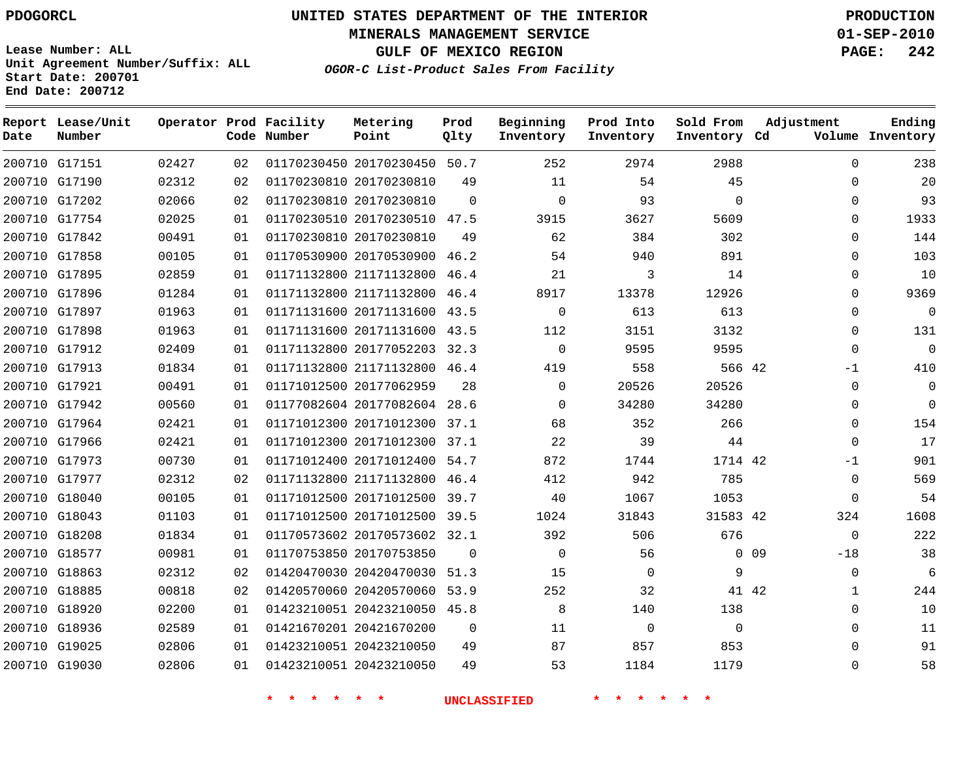**MINERALS MANAGEMENT SERVICE 01-SEP-2010**

**GULF OF MEXICO REGION PAGE: 242**

**Lease Number: ALL Unit Agreement Number/Suffix: ALL Start Date: 200701 End Date: 200712**

**OGOR-C List-Product Sales From Facility**

| Date | Report Lease/Unit<br>Number |       |    | Operator Prod Facility<br>Code Number | Metering<br>Point            | Prod<br>Qlty | Beginning<br>Inventory | Prod Into<br>Inventory | Sold From<br>Inventory Cd | Adjustment            | Ending<br>Volume Inventory |
|------|-----------------------------|-------|----|---------------------------------------|------------------------------|--------------|------------------------|------------------------|---------------------------|-----------------------|----------------------------|
|      | 200710 G17151               | 02427 | 02 |                                       | 01170230450 20170230450 50.7 |              | 252                    | 2974                   | 2988                      | $\Omega$              | 238                        |
|      | 200710 G17190               | 02312 | 02 |                                       | 01170230810 20170230810      | 49           | 11                     | 54                     | 45                        | $\mathbf{0}$          | 20                         |
|      | 200710 G17202               | 02066 | 02 |                                       | 01170230810 20170230810      | $\Omega$     | $\Omega$               | 93                     | $\Omega$                  | $\Omega$              | 93                         |
|      | 200710 G17754               | 02025 | 01 |                                       | 01170230510 20170230510 47.5 |              | 3915                   | 3627                   | 5609                      | $\Omega$              | 1933                       |
|      | 200710 G17842               | 00491 | 01 |                                       | 01170230810 20170230810      | 49           | 62                     | 384                    | 302                       | $\Omega$              | 144                        |
|      | 200710 G17858               | 00105 | 01 |                                       | 01170530900 20170530900 46.2 |              | 54                     | 940                    | 891                       | $\mathbf 0$           | 103                        |
|      | 200710 G17895               | 02859 | 01 |                                       | 01171132800 21171132800 46.4 |              | 21                     | 3                      | 14                        | 0                     | 10                         |
|      | 200710 G17896               | 01284 | 01 |                                       | 01171132800 21171132800      | 46.4         | 8917                   | 13378                  | 12926                     | $\mathbf 0$           | 9369                       |
|      | 200710 G17897               | 01963 | 01 |                                       | 01171131600 20171131600 43.5 |              | $\mathbf 0$            | 613                    | 613                       | $\Omega$              | $\mathbf 0$                |
|      | 200710 G17898               | 01963 | 01 |                                       | 01171131600 20171131600 43.5 |              | 112                    | 3151                   | 3132                      | $\mathbf 0$           | 131                        |
|      | 200710 G17912               | 02409 | 01 |                                       | 01171132800 20177052203 32.3 |              | $\Omega$               | 9595                   | 9595                      | $\Omega$              | $\mathbf 0$                |
|      | 200710 G17913               | 01834 | 01 |                                       | 01171132800 21171132800 46.4 |              | 419                    | 558                    | 566 42                    | $-1$                  | 410                        |
|      | 200710 G17921               | 00491 | 01 |                                       | 01171012500 20177062959      | 28           | $\Omega$               | 20526                  | 20526                     | $\Omega$              | $\mathbf 0$                |
|      | 200710 G17942               | 00560 | 01 |                                       | 01177082604 20177082604 28.6 |              | $\Omega$               | 34280                  | 34280                     | 0                     | $\mathbf 0$                |
|      | 200710 G17964               | 02421 | 01 |                                       | 01171012300 20171012300 37.1 |              | 68                     | 352                    | 266                       | 0                     | 154                        |
|      | 200710 G17966               | 02421 | 01 |                                       | 01171012300 20171012300 37.1 |              | 22                     | 39                     | 44                        | $\mathbf 0$           | 17                         |
|      | 200710 G17973               | 00730 | 01 |                                       | 01171012400 20171012400 54.7 |              | 872                    | 1744                   | 1714 42                   | $-1$                  | 901                        |
|      | 200710 G17977               | 02312 | 02 |                                       | 01171132800 21171132800 46.4 |              | 412                    | 942                    | 785                       | $\mathbf{0}$          | 569                        |
|      | 200710 G18040               | 00105 | 01 |                                       | 01171012500 20171012500 39.7 |              | 40                     | 1067                   | 1053                      | $\mathbf 0$           | 54                         |
|      | 200710 G18043               | 01103 | 01 |                                       | 01171012500 20171012500 39.5 |              | 1024                   | 31843                  | 31583 42                  | 324                   | 1608                       |
|      | 200710 G18208               | 01834 | 01 |                                       | 01170573602 20170573602 32.1 |              | 392                    | 506                    | 676                       | $\mathbf{0}$          | 222                        |
|      | 200710 G18577               | 00981 | 01 |                                       | 01170753850 20170753850      | $\Omega$     | $\mathbf 0$            | 56                     |                           | 0 0 9<br>$-18$        | 38                         |
|      | 200710 G18863               | 02312 | 02 |                                       | 01420470030 20420470030 51.3 |              | 15                     | $\mathbf 0$            | 9                         | 0                     | 6                          |
|      | 200710 G18885               | 00818 | 02 |                                       | 01420570060 20420570060 53.9 |              | 252                    | 32                     |                           | 41 42<br>$\mathbf{1}$ | 244                        |
|      | 200710 G18920               | 02200 | 01 |                                       | 01423210051 20423210050 45.8 |              | 8                      | 140                    | 138                       | $\Omega$              | 10                         |
|      | 200710 G18936               | 02589 | 01 |                                       | 01421670201 20421670200      | $\Omega$     | 11                     | $\mathbf 0$            | $\Omega$                  | $\mathbf 0$           | 11                         |
|      | 200710 G19025               | 02806 | 01 |                                       | 01423210051 20423210050      | 49           | 87                     | 857                    | 853                       | $\Omega$              | 91                         |
|      | 200710 G19030               | 02806 | 01 |                                       | 01423210051 20423210050      | 49           | 53                     | 1184                   | 1179                      | $\Omega$              | 58                         |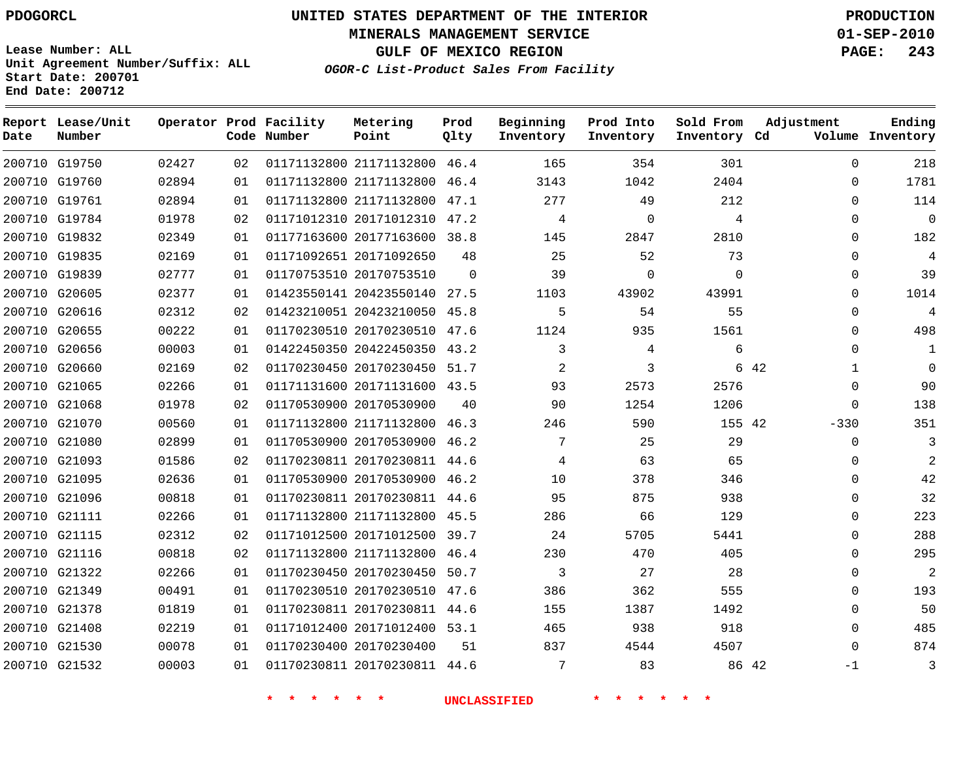# **UNITED STATES DEPARTMENT OF THE INTERIOR PDOGORCL PRODUCTION**

**MINERALS MANAGEMENT SERVICE 01-SEP-2010**

**GULF OF MEXICO REGION PAGE: 243**

**Unit Agreement Number/Suffix: ALL Start Date: 200701 End Date: 200712**

**OGOR-C List-Product Sales From Facility**

| Date | Report Lease/Unit<br>Number |       |    | Operator Prod Facility<br>Code Number | Metering<br>Point            | Prod<br>Qlty | Beginning<br>Inventory | Prod Into<br>Inventory | Sold From<br>Inventory Cd | Adjustment  | Ending<br>Volume Inventory |
|------|-----------------------------|-------|----|---------------------------------------|------------------------------|--------------|------------------------|------------------------|---------------------------|-------------|----------------------------|
|      | 200710 G19750               | 02427 | 02 |                                       | 01171132800 21171132800 46.4 |              | 165                    | 354                    | 301                       | $\Omega$    | 218                        |
|      | 200710 G19760               | 02894 | 01 |                                       | 01171132800 21171132800      | 46.4         | 3143                   | 1042                   | 2404                      | $\Omega$    | 1781                       |
|      | 200710 G19761               | 02894 | 01 |                                       | 01171132800 21171132800      | 47.1         | 277                    | 49                     | 212                       | $\Omega$    | 114                        |
|      | 200710 G19784               | 01978 | 02 |                                       | 01171012310 20171012310 47.2 |              | 4                      | $\Omega$               | 4                         | $\Omega$    | $\Omega$                   |
|      | 200710 G19832               | 02349 | 01 |                                       | 01177163600 20177163600 38.8 |              | 145                    | 2847                   | 2810                      | $\mathbf 0$ | 182                        |
|      | 200710 G19835               | 02169 | 01 |                                       | 01171092651 20171092650      | 48           | 25                     | 52                     | 73                        | $\mathbf 0$ | 4                          |
|      | 200710 G19839               | 02777 | 01 |                                       | 01170753510 20170753510      | $\Omega$     | 39                     | $\mathbf 0$            | $\Omega$                  | $\mathbf 0$ | 39                         |
|      | 200710 G20605               | 02377 | 01 |                                       | 01423550141 20423550140 27.5 |              | 1103                   | 43902                  | 43991                     | $\Omega$    | 1014                       |
|      | 200710 G20616               | 02312 | 02 |                                       | 01423210051 20423210050 45.8 |              | 5                      | 54                     | 55                        | $\Omega$    | 4                          |
|      | 200710 G20655               | 00222 | 01 |                                       | 01170230510 20170230510 47.6 |              | 1124                   | 935                    | 1561                      | $\Omega$    | 498                        |
|      | 200710 G20656               | 00003 | 01 |                                       | 01422450350 20422450350 43.2 |              | 3                      | 4                      | 6                         | $\Omega$    | 1                          |
|      | 200710 G20660               | 02169 | 02 |                                       | 01170230450 20170230450 51.7 |              | 2                      | 3                      |                           | 6 42<br>1   | $\Omega$                   |
|      | 200710 G21065               | 02266 | 01 |                                       | 01171131600 20171131600 43.5 |              | 93                     | 2573                   | 2576                      | $\Omega$    | 90                         |
|      | 200710 G21068               | 01978 | 02 |                                       | 01170530900 20170530900      | 40           | 90                     | 1254                   | 1206                      | $\Omega$    | 138                        |
|      | 200710 G21070               | 00560 | 01 |                                       | 01171132800 21171132800 46.3 |              | 246                    | 590                    | 155 42                    | $-330$      | 351                        |
|      | 200710 G21080               | 02899 | 01 |                                       | 01170530900 20170530900      | 46.2         | 7                      | 25                     | 29                        | $\mathbf 0$ | 3                          |
|      | 200710 G21093               | 01586 | 02 |                                       | 01170230811 20170230811 44.6 |              | 4                      | 63                     | 65                        | $\Omega$    | 2                          |
|      | 200710 G21095               | 02636 | 01 |                                       | 01170530900 20170530900 46.2 |              | 10                     | 378                    | 346                       | $\mathbf 0$ | 42                         |
|      | 200710 G21096               | 00818 | 01 |                                       | 01170230811 20170230811 44.6 |              | 95                     | 875                    | 938                       | $\Omega$    | 32                         |
|      | 200710 G21111               | 02266 | 01 |                                       | 01171132800 21171132800      | 45.5         | 286                    | 66                     | 129                       | $\mathbf 0$ | 223                        |
|      | 200710 G21115               | 02312 | 02 |                                       | 01171012500 20171012500 39.7 |              | 24                     | 5705                   | 5441                      | $\Omega$    | 288                        |
|      | 200710 G21116               | 00818 | 02 |                                       | 01171132800 21171132800      | 46.4         | 230                    | 470                    | 405                       | $\Omega$    | 295                        |
|      | 200710 G21322               | 02266 | 01 |                                       | 01170230450 20170230450      | 50.7         | 3                      | 27                     | 28                        | $\mathbf 0$ | $\overline{2}$             |
|      | 200710 G21349               | 00491 | 01 |                                       | 01170230510 20170230510 47.6 |              | 386                    | 362                    | 555                       | $\mathbf 0$ | 193                        |
|      | 200710 G21378               | 01819 | 01 |                                       | 01170230811 20170230811 44.6 |              | 155                    | 1387                   | 1492                      | $\Omega$    | 50                         |
|      | 200710 G21408               | 02219 | 01 |                                       | 01171012400 20171012400 53.1 |              | 465                    | 938                    | 918                       | $\mathbf 0$ | 485                        |
|      | 200710 G21530               | 00078 | 01 |                                       | 01170230400 20170230400      | 51           | 837                    | 4544                   | 4507                      | $\Omega$    | 874                        |
|      | 200710 G21532               | 00003 | 01 |                                       | 01170230811 20170230811 44.6 |              | 7                      | 83                     | 86 42                     | $-1$        | 3                          |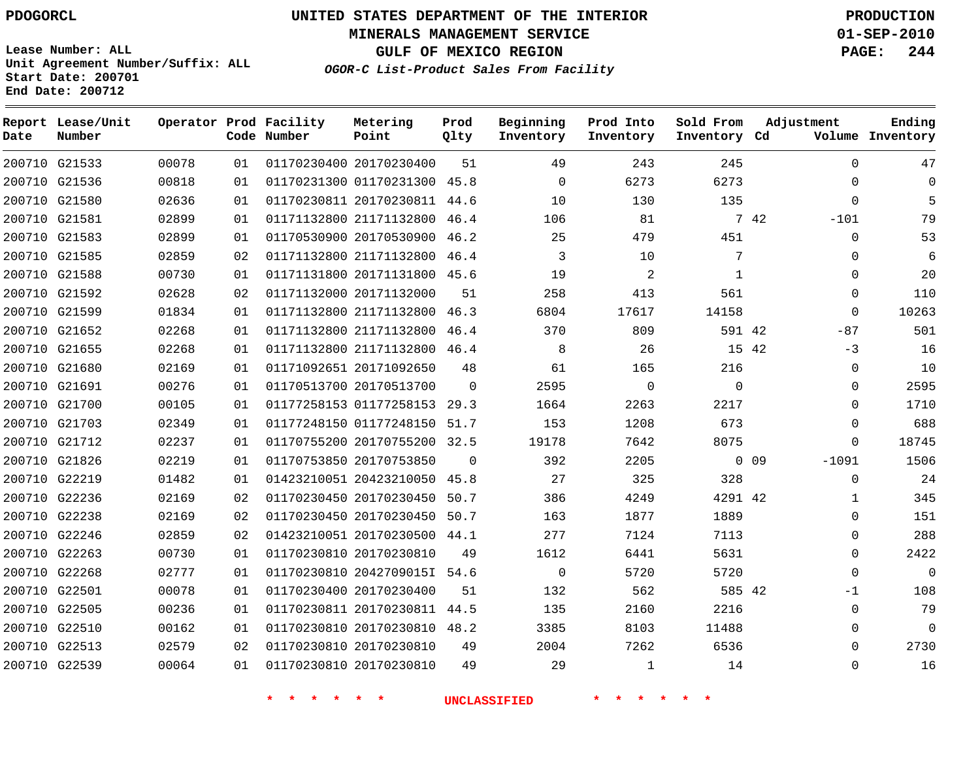**MINERALS MANAGEMENT SERVICE 01-SEP-2010**

**GULF OF MEXICO REGION PAGE: 244**

**Lease Number: ALL Unit Agreement Number/Suffix: ALL Start Date: 200701 End Date: 200712**

**OGOR-C List-Product Sales From Facility**

| Date | Report Lease/Unit<br>Number |       |    | Operator Prod Facility<br>Code Number | Metering<br>Point            | Prod<br>Qlty | Beginning<br>Inventory | Prod Into<br>Inventory | Sold From<br>Inventory Cd | Adjustment      | Ending<br>Volume Inventory |
|------|-----------------------------|-------|----|---------------------------------------|------------------------------|--------------|------------------------|------------------------|---------------------------|-----------------|----------------------------|
|      | 200710 G21533               | 00078 | 01 |                                       | 01170230400 20170230400      | 51           | 49                     | 243                    | 245                       |                 | 47<br>$\Omega$             |
|      | 200710 G21536               | 00818 | 01 |                                       | 01170231300 01170231300 45.8 |              | $\Omega$               | 6273                   | 6273                      |                 | $\Omega$<br>$\Omega$       |
|      | 200710 G21580               | 02636 | 01 |                                       | 01170230811 20170230811 44.6 |              | 10                     | 130                    | 135                       |                 | $\Omega$<br>5              |
|      | 200710 G21581               | 02899 | 01 |                                       | 01171132800 21171132800      | 46.4         | 106                    | 81                     |                           | 7 42<br>$-101$  | 79                         |
|      | 200710 G21583               | 02899 | 01 |                                       | 01170530900 20170530900 46.2 |              | 25                     | 479                    | 451                       |                 | 53<br>$\Omega$             |
|      | 200710 G21585               | 02859 | 02 |                                       | 01171132800 21171132800 46.4 |              | 3                      | 10                     | 7                         |                 | 6<br>$\Omega$              |
|      | 200710 G21588               | 00730 | 01 |                                       | 01171131800 20171131800 45.6 |              | 19                     | $\overline{a}$         | $\mathbf{1}$              |                 | 20<br>$\Omega$             |
|      | 200710 G21592               | 02628 | 02 |                                       | 01171132000 20171132000      | 51           | 258                    | 413                    | 561                       |                 | 110<br>$\Omega$            |
|      | 200710 G21599               | 01834 | 01 |                                       | 01171132800 21171132800 46.3 |              | 6804                   | 17617                  | 14158                     |                 | 10263<br>$\mathbf 0$       |
|      | 200710 G21652               | 02268 | 01 |                                       | 01171132800 21171132800 46.4 |              | 370                    | 809                    | 591 42                    | $-87$           | 501                        |
|      | 200710 G21655               | 02268 | 01 |                                       | 01171132800 21171132800 46.4 |              | 8                      | 26                     |                           | 15 42<br>$-3$   | 16                         |
|      | 200710 G21680               | 02169 | 01 |                                       | 01171092651 20171092650      | 48           | 61                     | 165                    | 216                       |                 | 10<br>0                    |
|      | 200710 G21691               | 00276 | 01 |                                       | 01170513700 20170513700      | $\Omega$     | 2595                   | $\mathbf 0$            | $\Omega$                  |                 | 2595<br>$\Omega$           |
|      | 200710 G21700               | 00105 | 01 |                                       | 01177258153 01177258153 29.3 |              | 1664                   | 2263                   | 2217                      |                 | $\Omega$<br>1710           |
|      | 200710 G21703               | 02349 | 01 |                                       | 01177248150 01177248150 51.7 |              | 153                    | 1208                   | 673                       |                 | 688<br>$\Omega$            |
|      | 200710 G21712               | 02237 | 01 |                                       | 01170755200 20170755200 32.5 |              | 19178                  | 7642                   | 8075                      |                 | 18745<br>$\mathbf 0$       |
|      | 200710 G21826               | 02219 | 01 |                                       | 01170753850 20170753850      | $\Omega$     | 392                    | 2205                   |                           | 0.09<br>$-1091$ | 1506                       |
|      | 200710 G22219               | 01482 | 01 |                                       | 01423210051 20423210050 45.8 |              | 27                     | 325                    | 328                       |                 | $\mathbf 0$<br>24          |
|      | 200710 G22236               | 02169 | 02 |                                       | 01170230450 20170230450 50.7 |              | 386                    | 4249                   | 4291 42                   |                 | 345<br>$\mathbf 1$         |
|      | 200710 G22238               | 02169 | 02 |                                       | 01170230450 20170230450 50.7 |              | 163                    | 1877                   | 1889                      |                 | 151<br>$\mathbf 0$         |
|      | 200710 G22246               | 02859 | 02 |                                       | 01423210051 20170230500 44.1 |              | 277                    | 7124                   | 7113                      |                 | 288<br>$\mathbf 0$         |
|      | 200710 G22263               | 00730 | 01 |                                       | 01170230810 20170230810      | 49           | 1612                   | 6441                   | 5631                      |                 | 2422<br>$\Omega$           |
|      | 200710 G22268               | 02777 | 01 |                                       | 01170230810 2042709015I 54.6 |              | $\mathbf 0$            | 5720                   | 5720                      |                 | $\mathbf 0$<br>$\Omega$    |
|      | 200710 G22501               | 00078 | 01 |                                       | 01170230400 20170230400      | 51           | 132                    | 562                    | 585 42                    | $-1$            | 108                        |
|      | 200710 G22505               | 00236 | 01 |                                       | 01170230811 20170230811 44.5 |              | 135                    | 2160                   | 2216                      |                 | 79<br>$\Omega$             |
|      | 200710 G22510               | 00162 | 01 |                                       | 01170230810 20170230810 48.2 |              | 3385                   | 8103                   | 11488                     |                 | $\Omega$<br>$\Omega$       |
|      | 200710 G22513               | 02579 | 02 |                                       | 01170230810 20170230810      | 49           | 2004                   | 7262                   | 6536                      |                 | 2730<br>$\Omega$           |
|      | 200710 G22539               | 00064 | 01 |                                       | 01170230810 20170230810      | 49           | 29                     | $\mathbf{1}$           | 14                        |                 | $\Omega$<br>16             |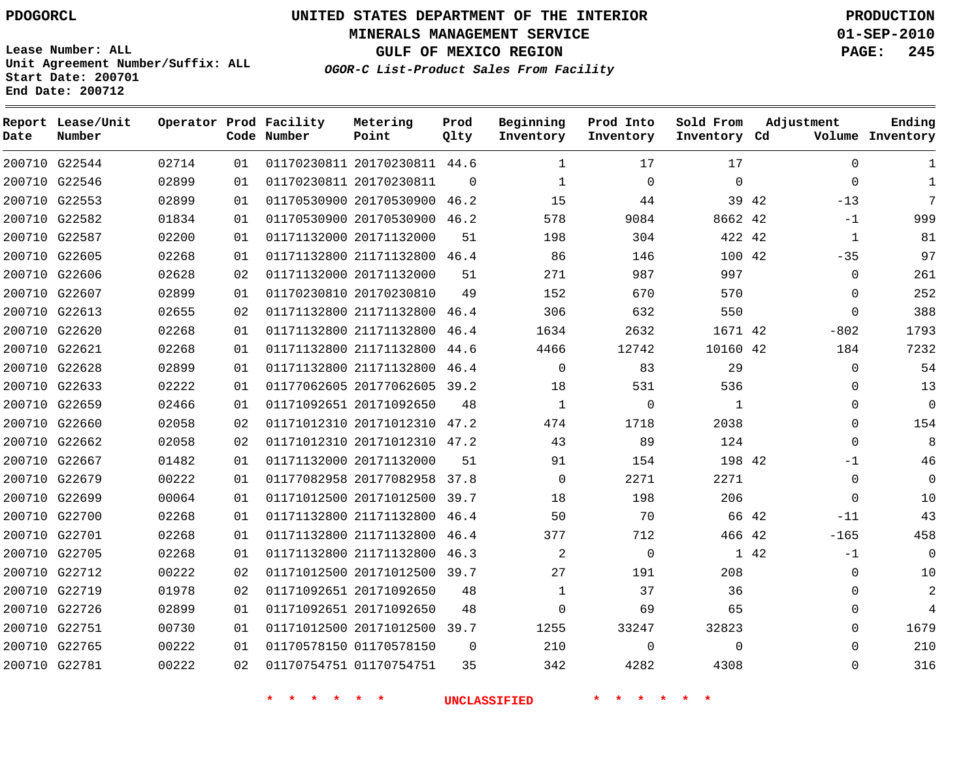**MINERALS MANAGEMENT SERVICE 01-SEP-2010**

**GULF OF MEXICO REGION PAGE: 245**

**Lease Number: ALL Unit Agreement Number/Suffix: ALL Start Date: 200701 End Date: 200712**

**OGOR-C List-Product Sales From Facility**

| Date | Report Lease/Unit<br>Number |       |    | Operator Prod Facility<br>Code Number | Metering<br>Point            | Prod<br>Qlty | Beginning<br>Inventory | Prod Into<br>Inventory | Sold From<br>Inventory Cd | Adjustment     | Ending<br>Volume Inventory |
|------|-----------------------------|-------|----|---------------------------------------|------------------------------|--------------|------------------------|------------------------|---------------------------|----------------|----------------------------|
|      | 200710 G22544               | 02714 | 01 |                                       | 01170230811 20170230811 44.6 |              | $\mathbf{1}$           | 17                     | 17                        | $\Omega$       | 1                          |
|      | 200710 G22546               | 02899 | 01 |                                       | 01170230811 20170230811      | $\Omega$     | $\mathbf{1}$           | $\mathbf 0$            | $\Omega$                  | $\mathbf 0$    | $\mathbf{1}$               |
|      | 200710 G22553               | 02899 | 01 |                                       | 01170530900 20170530900 46.2 |              | 15                     | 44                     |                           | 39 42<br>$-13$ | 7                          |
|      | 200710 G22582               | 01834 | 01 |                                       | 01170530900 20170530900 46.2 |              | 578                    | 9084                   | 8662 42                   | $-1$           | 999                        |
|      | 200710 G22587               | 02200 | 01 |                                       | 01171132000 20171132000      | 51           | 198                    | 304                    | 422 42                    | $\mathbf{1}$   | 81                         |
|      | 200710 G22605               | 02268 | 01 |                                       | 01171132800 21171132800 46.4 |              | 86                     | 146                    | 100 42                    | $-35$          | 97                         |
|      | 200710 G22606               | 02628 | 02 |                                       | 01171132000 20171132000      | 51           | 271                    | 987                    | 997                       | 0              | 261                        |
|      | 200710 G22607               | 02899 | 01 |                                       | 01170230810 20170230810      | 49           | 152                    | 670                    | 570                       | $\mathbf 0$    | 252                        |
|      | 200710 G22613               | 02655 | 02 |                                       | 01171132800 21171132800      | 46.4         | 306                    | 632                    | 550                       | $\Omega$       | 388                        |
|      | 200710 G22620               | 02268 | 01 |                                       | 01171132800 21171132800      | 46.4         | 1634                   | 2632                   | 1671 42                   | $-802$         | 1793                       |
|      | 200710 G22621               | 02268 | 01 |                                       | 01171132800 21171132800 44.6 |              | 4466                   | 12742                  | 10160 42                  | 184            | 7232                       |
|      | 200710 G22628               | 02899 | 01 |                                       | 01171132800 21171132800      | 46.4         | $\Omega$               | 83                     | 29                        | $\Omega$       | 54                         |
|      | 200710 G22633               | 02222 | 01 |                                       | 01177062605 20177062605 39.2 |              | 18                     | 531                    | 536                       | $\Omega$       | 13                         |
|      | 200710 G22659               | 02466 | 01 |                                       | 01171092651 20171092650      | 48           | $\mathbf{1}$           | $\mathbf 0$            | $\mathbf{1}$              | 0              | $\overline{0}$             |
|      | 200710 G22660               | 02058 | 02 |                                       | 01171012310 20171012310 47.2 |              | 474                    | 1718                   | 2038                      | 0              | 154                        |
|      | 200710 G22662               | 02058 | 02 |                                       | 01171012310 20171012310 47.2 |              | 43                     | 89                     | 124                       | 0              | 8                          |
|      | 200710 G22667               | 01482 | 01 |                                       | 01171132000 20171132000      | 51           | 91                     | 154                    | 198 42                    | -1             | 46                         |
|      | 200710 G22679               | 00222 | 01 |                                       | 01177082958 20177082958 37.8 |              | $\Omega$               | 2271                   | 2271                      | $\mathbf 0$    | $\mathbf 0$                |
|      | 200710 G22699               | 00064 | 01 |                                       | 01171012500 20171012500 39.7 |              | 18                     | 198                    | 206                       | $\mathbf 0$    | 10                         |
|      | 200710 G22700               | 02268 | 01 |                                       | 01171132800 21171132800 46.4 |              | 50                     | 70                     | 66 42                     | $-11$          | 43                         |
|      | 200710 G22701               | 02268 | 01 |                                       | 01171132800 21171132800 46.4 |              | 377                    | 712                    | 466 42                    | $-165$         | 458                        |
|      | 200710 G22705               | 02268 | 01 |                                       | 01171132800 21171132800 46.3 |              | 2                      | $\Omega$               |                           | 1 42<br>$-1$   | $\Omega$                   |
|      | 200710 G22712               | 00222 | 02 |                                       | 01171012500 20171012500 39.7 |              | 27                     | 191                    | 208                       | $\Omega$       | 10                         |
|      | 200710 G22719               | 01978 | 02 |                                       | 01171092651 20171092650      | 48           | $\mathbf{1}$           | 37                     | 36                        | $\Omega$       | $\overline{2}$             |
|      | 200710 G22726               | 02899 | 01 |                                       | 01171092651 20171092650      | 48           | $\Omega$               | 69                     | 65                        | $\Omega$       | 4                          |
|      | 200710 G22751               | 00730 | 01 |                                       | 01171012500 20171012500      | 39.7         | 1255                   | 33247                  | 32823                     | $\Omega$       | 1679                       |
|      | 200710 G22765               | 00222 | 01 |                                       | 01170578150 01170578150      | $\Omega$     | 210                    | $\Omega$               | $\Omega$                  | $\Omega$       | 210                        |
|      | 200710 G22781               | 00222 | 02 |                                       | 01170754751 01170754751      | 35           | 342                    | 4282                   | 4308                      | $\Omega$       | 316                        |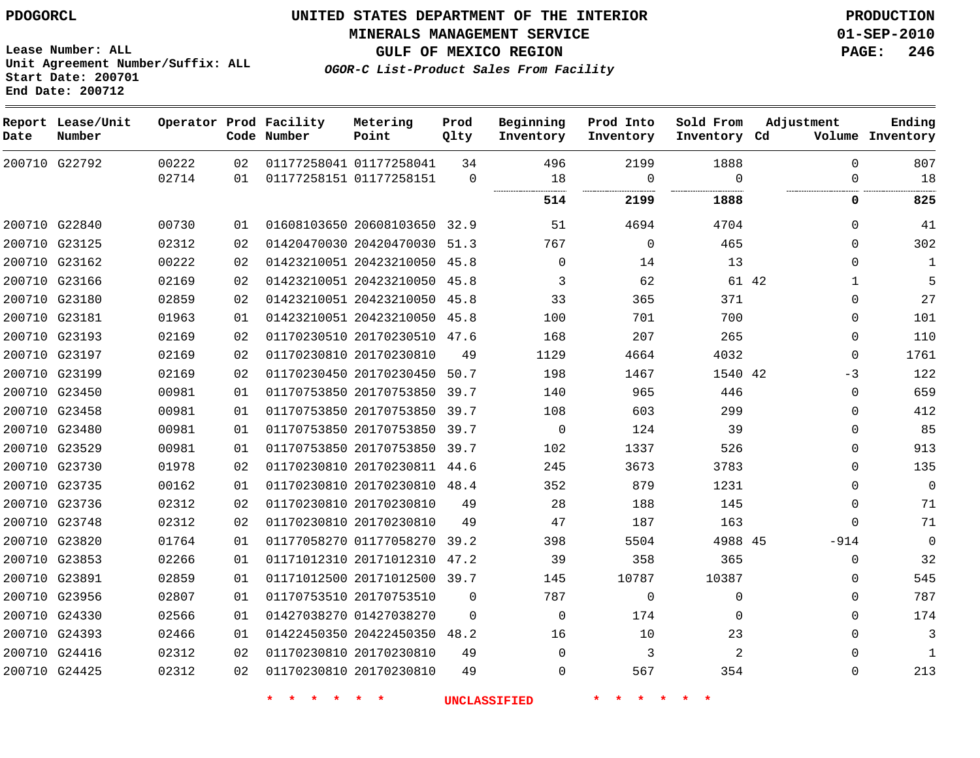**MINERALS MANAGEMENT SERVICE 01-SEP-2010**

**GULF OF MEXICO REGION PAGE: 246**

**OGOR-C List-Product Sales From Facility**

**Lease Number: ALL Unit Agreement Number/Suffix: ALL Start Date: 200701 End Date: 200712**

| Date | Report Lease/Unit<br>Number |       |    | Operator Prod Facility<br>Code Number | Metering<br>Point            | Prod<br>Qlty | Beginning<br>Inventory | Prod Into<br>Inventory | Sold From<br>Inventory Cd | Adjustment            | Ending<br>Volume Inventory |
|------|-----------------------------|-------|----|---------------------------------------|------------------------------|--------------|------------------------|------------------------|---------------------------|-----------------------|----------------------------|
|      | 200710 G22792               | 00222 | 02 |                                       | 01177258041 01177258041      | 34           | 496                    | 2199                   | 1888                      | $\Omega$              | 807                        |
|      |                             | 02714 | 01 |                                       | 01177258151 01177258151      | $\mathbf 0$  | 18                     | $\Omega$               | $\Omega$                  | $\mathbf 0$           | 18                         |
|      |                             |       |    |                                       |                              |              | 514                    | 2199                   | 1888                      | $\mathbf{0}$          | 825                        |
|      | 200710 G22840               | 00730 | 01 |                                       | 01608103650 20608103650 32.9 |              | 51                     | 4694                   | 4704                      | 0                     | 41                         |
|      | 200710 G23125               | 02312 | 02 |                                       | 01420470030 20420470030 51.3 |              | 767                    | $\mathbf 0$            | 465                       | 0                     | 302                        |
|      | 200710 G23162               | 00222 | 02 |                                       | 01423210051 20423210050 45.8 |              | $\mathbf 0$            | 14                     | 13                        | 0                     | 1                          |
|      | 200710 G23166               | 02169 | 02 |                                       | 01423210051 20423210050 45.8 |              | 3                      | 62                     |                           | 61 42<br>$\mathbf{1}$ | 5                          |
|      | 200710 G23180               | 02859 | 02 |                                       | 01423210051 20423210050 45.8 |              | 33                     | 365                    | 371                       | 0                     | 27                         |
|      | 200710 G23181               | 01963 | 01 |                                       | 01423210051 20423210050 45.8 |              | 100                    | 701                    | 700                       | 0                     | 101                        |
|      | 200710 G23193               | 02169 | 02 |                                       | 01170230510 20170230510 47.6 |              | 168                    | 207                    | 265                       | 0                     | 110                        |
|      | 200710 G23197               | 02169 | 02 |                                       | 01170230810 20170230810      | 49           | 1129                   | 4664                   | 4032                      | 0                     | 1761                       |
|      | 200710 G23199               | 02169 | 02 |                                       | 01170230450 20170230450 50.7 |              | 198                    | 1467                   | 1540 42                   | $-3$                  | 122                        |
|      | 200710 G23450               | 00981 | 01 |                                       | 01170753850 20170753850 39.7 |              | 140                    | 965                    | 446                       | 0                     | 659                        |
|      | 200710 G23458               | 00981 | 01 |                                       | 01170753850 20170753850 39.7 |              | 108                    | 603                    | 299                       | 0                     | 412                        |
|      | 200710 G23480               | 00981 | 01 |                                       | 01170753850 20170753850 39.7 |              | $\Omega$               | 124                    | 39                        | 0                     | 85                         |
|      | 200710 G23529               | 00981 | 01 |                                       | 01170753850 20170753850 39.7 |              | 102                    | 1337                   | 526                       | 0                     | 913                        |
|      | 200710 G23730               | 01978 | 02 |                                       | 01170230810 20170230811 44.6 |              | 245                    | 3673                   | 3783                      | $\Omega$              | 135                        |
|      | 200710 G23735               | 00162 | 01 |                                       | 01170230810 20170230810 48.4 |              | 352                    | 879                    | 1231                      | $\Omega$              | $\Omega$                   |
|      | 200710 G23736               | 02312 | 02 |                                       | 01170230810 20170230810      | 49           | 28                     | 188                    | 145                       | 0                     | 71                         |
|      | 200710 G23748               | 02312 | 02 |                                       | 01170230810 20170230810      | 49           | 47                     | 187                    | 163                       | 0                     | 71                         |
|      | 200710 G23820               | 01764 | 01 |                                       | 01177058270 01177058270      | 39.2         | 398                    | 5504                   | 4988 45                   | $-914$                | $\mathbf{0}$               |
|      | 200710 G23853               | 02266 | 01 |                                       | 01171012310 20171012310 47.2 |              | 39                     | 358                    | 365                       | 0                     | 32                         |
|      | 200710 G23891               | 02859 | 01 |                                       | 01171012500 20171012500 39.7 |              | 145                    | 10787                  | 10387                     | 0                     | 545                        |
|      | 200710 G23956               | 02807 | 01 |                                       | 01170753510 20170753510      | $\Omega$     | 787                    | $\mathbf 0$            | $\mathbf 0$               | 0                     | 787                        |
|      | 200710 G24330               | 02566 | 01 |                                       | 01427038270 01427038270      | $\Omega$     | $\Omega$               | 174                    | $\Omega$                  | 0                     | 174                        |
|      | 200710 G24393               | 02466 | 01 |                                       | 01422450350 20422450350 48.2 |              | 16                     | 10                     | 23                        | 0                     | 3                          |
|      | 200710 G24416               | 02312 | 02 |                                       | 01170230810 20170230810      | 49           | $\Omega$               | 3                      | 2                         | 0                     | $\mathbf{1}$               |
|      | 200710 G24425               | 02312 | 02 |                                       | 01170230810 20170230810      | 49           | $\Omega$               | 567                    | 354                       | 0                     | 213                        |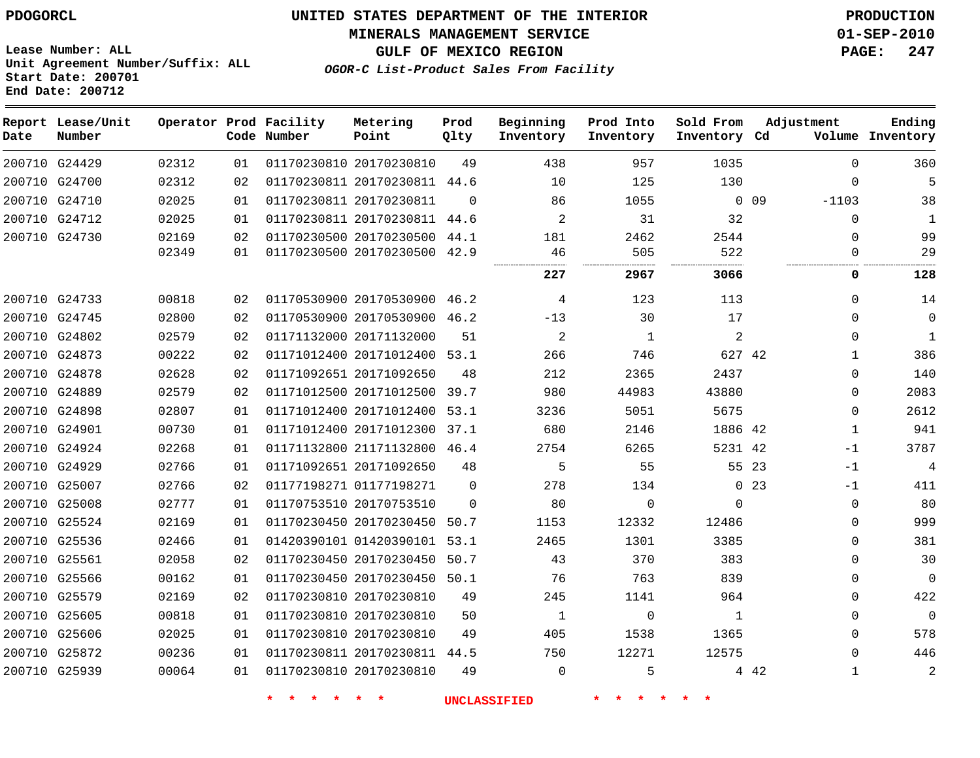**Report Lease/Unit**

# **UNITED STATES DEPARTMENT OF THE INTERIOR PDOGORCL PRODUCTION**

**MINERALS MANAGEMENT SERVICE 01-SEP-2010**

**GULF OF MEXICO REGION PAGE: 247**

**Unit Agreement Number/Suffix: ALL Start Date: 200701 End Date: 200712**

**Operator Prod Facility**

**OGOR-C List-Product Sales From Facility**

**Prod**

**Beginning**

**Prod Into**

**Sold From**

**Adjustment**

**Metering**

**Ending**

**Code Number Point Inventory Cd Volume Date Number Qlty Inventory Inventory Inventory**  $\Omega$  G24429 20170230810  $\Omega$  G24700 20170230811 44.6 G24710 20170230811  $\cap$  0 0 9 -1103  $\Omega$  G24712 20170230811 44.6  $\Omega$  G24730 20170230500 44.1 20170230500 42.9 . . . . . . **2967 3066 0 128** G24733 20170530900 46.2  $\Omega$  G24745 20170530900 46.2  $-13$   $\Omega$  $\Omega$  G24802 20171132000  $\Omega$  G24873 20171012400 53.1 42 G24878 20171092650  $\Omega$  G24889 20171012500 39.7  $\cap$  G24898 20171012400 53.1  $\Omega$  G24901 20171012300 37.1 42 G24924 21171132800 46.4 42 -1 G24929 20171092650 23  $-1$  G25007 01177198271  $\Omega$  0 23 -1 G25008 20170753510  $\Omega$   $\Omega$  $\Omega$  $\Omega$  G25524 20170230450 50.7  $\Omega$  G25536 01420390101 53.1  $\Omega$  G25561 20170230450 50.7  $\Omega$  G25566 20170230450 50.1  $\Omega$  $\Omega$  G25579 20170230810  $\Omega$  G25605 20170230810  $\Omega$   $\Omega$  $\Omega$  G25606 20170230810  $\Omega$  G25872 20170230811 44.5 G25939 20170230810 42  $\Omega$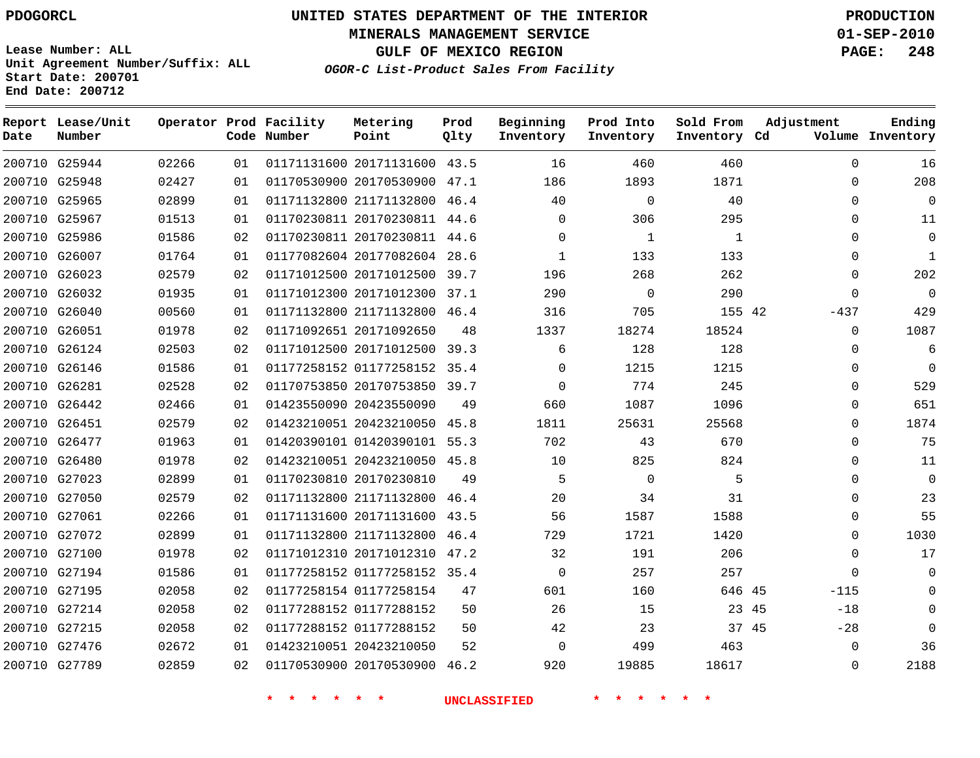**Start Date: 200701 End Date: 200712**

**Unit Agreement Number/Suffix: ALL**

# **UNITED STATES DEPARTMENT OF THE INTERIOR PDOGORCL PRODUCTION**

**MINERALS MANAGEMENT SERVICE 01-SEP-2010**

**GULF OF MEXICO REGION PAGE: 248**

**OGOR-C List-Product Sales From Facility**

| Date   | Report Lease/Unit<br>Number |       |    | Operator Prod Facility<br>Code Number | Metering<br>Point            | Prod<br>Qlty | Beginning<br>Inventory | Prod Into<br>Inventory | Sold From<br>Inventory Cd | Adjustment  | Ending<br>Volume Inventory |
|--------|-----------------------------|-------|----|---------------------------------------|------------------------------|--------------|------------------------|------------------------|---------------------------|-------------|----------------------------|
|        | 200710 G25944               | 02266 | 01 |                                       | 01171131600 20171131600      | 43.5         | 16                     | 460                    | 460                       | $\Omega$    | 16                         |
| 200710 | G25948                      | 02427 | 01 |                                       | 01170530900 20170530900      | 47.1         | 186                    | 1893                   | 1871                      | $\mathbf 0$ | 208                        |
|        | 200710 G25965               | 02899 | 01 |                                       | 01171132800 21171132800      | 46.4         | 40                     | $\mathbf 0$            | 40                        | $\Omega$    | $\Omega$                   |
|        | 200710 G25967               | 01513 | 01 |                                       | 01170230811 20170230811 44.6 |              | 0                      | 306                    | 295                       | $\Omega$    | 11                         |
|        | 200710 G25986               | 01586 | 02 |                                       | 01170230811 20170230811 44.6 |              | 0                      | $\mathbf{1}$           | $\mathbf{1}$              | $\Omega$    | $\Omega$                   |
| 200710 | G26007                      | 01764 | 01 |                                       | 01177082604 20177082604      | 28.6         | $\mathbf{1}$           | 133                    | 133                       | $\Omega$    | 1                          |
|        | 200710 G26023               | 02579 | 02 |                                       | 01171012500 20171012500      | 39.7         | 196                    | 268                    | 262                       | $\Omega$    | 202                        |
| 200710 | G26032                      | 01935 | 01 |                                       | 01171012300 20171012300      | 37.1         | 290                    | $\mathbf 0$            | 290                       | $\Omega$    | $\overline{0}$             |
| 200710 | G26040                      | 00560 | 01 |                                       | 01171132800 21171132800      | 46.4         | 316                    | 705                    | 155 42                    | $-437$      | 429                        |
| 200710 | G26051                      | 01978 | 02 |                                       | 01171092651 20171092650      | 48           | 1337                   | 18274                  | 18524                     | $\Omega$    | 1087                       |
| 200710 | G26124                      | 02503 | 02 |                                       | 01171012500 20171012500      | 39.3         | 6                      | 128                    | 128                       | $\Omega$    | 6                          |
|        | 200710 G26146               | 01586 | 01 |                                       | 01177258152 01177258152      | 35.4         | 0                      | 1215                   | 1215                      | $\Omega$    | $\Omega$                   |
| 200710 | G26281                      | 02528 | 02 |                                       | 01170753850 20170753850      | 39.7         | $\overline{0}$         | 774                    | 245                       | $\mathbf 0$ | 529                        |
|        | 200710 G26442               | 02466 | 01 |                                       | 01423550090 20423550090      | 49           | 660                    | 1087                   | 1096                      | $\Omega$    | 651                        |
| 200710 | G26451                      | 02579 | 02 |                                       | 01423210051 20423210050      | 45.8         | 1811                   | 25631                  | 25568                     | $\mathbf 0$ | 1874                       |
|        | 200710 G26477               | 01963 | 01 |                                       | 01420390101 01420390101 55.3 |              | 702                    | 43                     | 670                       | $\Omega$    | 75                         |
| 200710 | G26480                      | 01978 | 02 |                                       | 01423210051 20423210050      | 45.8         | 10                     | 825                    | 824                       | $\mathbf 0$ | 11                         |
|        | 200710 G27023               | 02899 | 01 |                                       | 01170230810 20170230810      | 49           | 5                      | $\Omega$               | 5                         | $\Omega$    | $\Omega$                   |
| 200710 | G27050                      | 02579 | 02 |                                       | 01171132800 21171132800      | 46.4         | 20                     | 34                     | 31                        | $\Omega$    | 23                         |
|        | 200710 G27061               | 02266 | 01 |                                       | 01171131600 20171131600      | 43.5         | 56                     | 1587                   | 1588                      | $\Omega$    | 55                         |
| 200710 | G27072                      | 02899 | 01 |                                       | 01171132800 21171132800      | 46.4         | 729                    | 1721                   | 1420                      | $\Omega$    | 1030                       |
|        | 200710 G27100               | 01978 | 02 |                                       | 01171012310 20171012310      | 47.2         | 32                     | 191                    | 206                       | $\Omega$    | 17                         |
| 200710 | G27194                      | 01586 | 01 |                                       | 01177258152 01177258152      | 35.4         | $\mathbf 0$            | 257                    | 257                       | $\Omega$    | $\Omega$                   |
| 200710 | G27195                      | 02058 | 02 |                                       | 01177258154 01177258154      | 47           | 601                    | 160                    | 646 45                    | $-115$      | $\Omega$                   |
| 200710 | G27214                      | 02058 | 02 |                                       | 01177288152 01177288152      | 50           | 26                     | 15                     | 23 45                     | $-18$       | $\Omega$                   |
| 200710 | G27215                      | 02058 | 02 |                                       | 01177288152 01177288152      | 50           | 42                     | 23                     | 37 45                     | $-28$       | $\Omega$                   |
|        | 200710 G27476               | 02672 | 01 |                                       | 01423210051 20423210050      | 52           | $\Omega$               | 499                    | 463                       | $\Omega$    | 36                         |
|        | 200710 G27789               | 02859 | 02 |                                       | 01170530900 20170530900      | 46.2         | 920                    | 19885                  | 18617                     | $\Omega$    | 2188                       |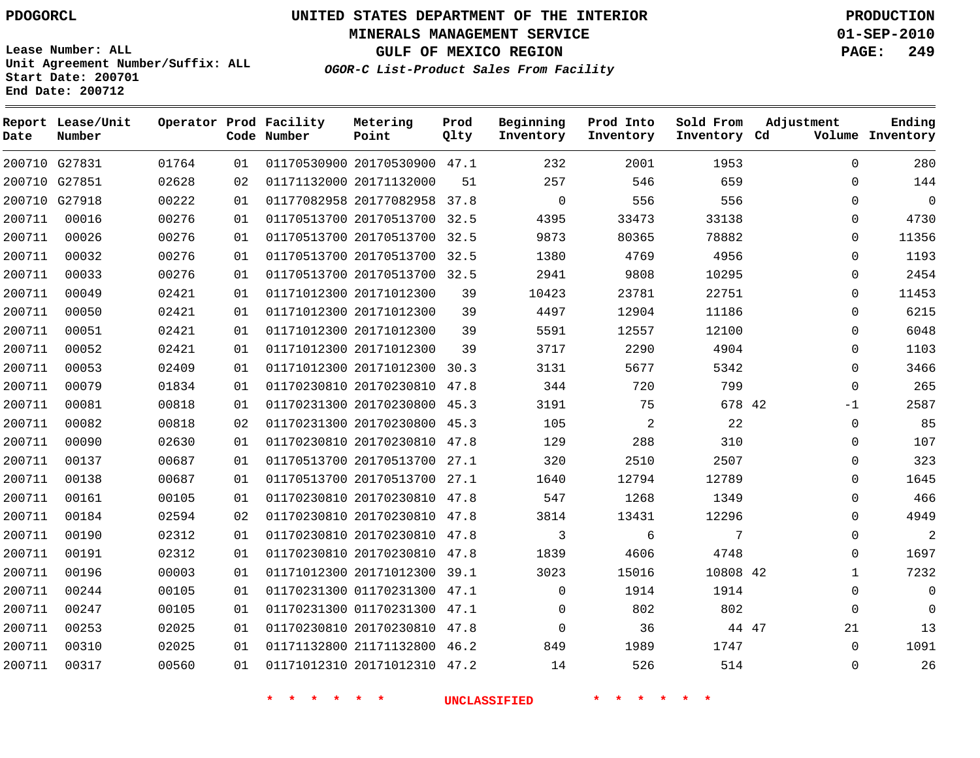**MINERALS MANAGEMENT SERVICE 01-SEP-2010**

**GULF OF MEXICO REGION PAGE: 249**

**Lease Number: ALL Unit Agreement Number/Suffix: ALL Start Date: 200701 End Date: 200712**

**OGOR-C List-Product Sales From Facility**

| Date   | Report Lease/Unit<br>Number |       |    | Operator Prod Facility<br>Code Number | Metering<br>Point            | Prod<br>Qlty | Beginning<br>Inventory | Prod Into<br>Inventory | Sold From<br>Inventory Cd | Adjustment   | Ending<br>Volume Inventory |
|--------|-----------------------------|-------|----|---------------------------------------|------------------------------|--------------|------------------------|------------------------|---------------------------|--------------|----------------------------|
|        | 200710 G27831               | 01764 | 01 |                                       | 01170530900 20170530900 47.1 |              | 232                    | 2001                   | 1953                      | $\Omega$     | 280                        |
|        | 200710 G27851               | 02628 | 02 |                                       | 01171132000 20171132000      | 51           | 257                    | 546                    | 659                       | $\Omega$     | 144                        |
|        | 200710 G27918               | 00222 | 01 |                                       | 01177082958 20177082958 37.8 |              | $\Omega$               | 556                    | 556                       | $\Omega$     | $\mathbf 0$                |
| 200711 | 00016                       | 00276 | 01 |                                       | 01170513700 20170513700 32.5 |              | 4395                   | 33473                  | 33138                     | $\Omega$     | 4730                       |
| 200711 | 00026                       | 00276 | 01 |                                       | 01170513700 20170513700 32.5 |              | 9873                   | 80365                  | 78882                     | $\Omega$     | 11356                      |
| 200711 | 00032                       | 00276 | 01 |                                       | 01170513700 20170513700 32.5 |              | 1380                   | 4769                   | 4956                      | $\Omega$     | 1193                       |
| 200711 | 00033                       | 00276 | 01 |                                       | 01170513700 20170513700 32.5 |              | 2941                   | 9808                   | 10295                     | $\Omega$     | 2454                       |
| 200711 | 00049                       | 02421 | 01 |                                       | 01171012300 20171012300      | 39           | 10423                  | 23781                  | 22751                     | $\Omega$     | 11453                      |
| 200711 | 00050                       | 02421 | 01 |                                       | 01171012300 20171012300      | 39           | 4497                   | 12904                  | 11186                     | $\Omega$     | 6215                       |
| 200711 | 00051                       | 02421 | 01 |                                       | 01171012300 20171012300      | 39           | 5591                   | 12557                  | 12100                     | $\mathbf 0$  | 6048                       |
| 200711 | 00052                       | 02421 | 01 |                                       | 01171012300 20171012300      | 39           | 3717                   | 2290                   | 4904                      | $\mathbf 0$  | 1103                       |
| 200711 | 00053                       | 02409 | 01 |                                       | 01171012300 20171012300      | 30.3         | 3131                   | 5677                   | 5342                      | $\Omega$     | 3466                       |
| 200711 | 00079                       | 01834 | 01 |                                       | 01170230810 20170230810 47.8 |              | 344                    | 720                    | 799                       | $\Omega$     | 265                        |
| 200711 | 00081                       | 00818 | 01 |                                       | 01170231300 20170230800 45.3 |              | 3191                   | 75                     | 678 42                    | $-1$         | 2587                       |
| 200711 | 00082                       | 00818 | 02 |                                       | 01170231300 20170230800 45.3 |              | 105                    | $\overline{2}$         | 22                        | $\Omega$     | 85                         |
| 200711 | 00090                       | 02630 | 01 |                                       | 01170230810 20170230810 47.8 |              | 129                    | 288                    | 310                       | $\Omega$     | 107                        |
| 200711 | 00137                       | 00687 | 01 |                                       | 01170513700 20170513700 27.1 |              | 320                    | 2510                   | 2507                      | $\Omega$     | 323                        |
| 200711 | 00138                       | 00687 | 01 |                                       | 01170513700 20170513700 27.1 |              | 1640                   | 12794                  | 12789                     | $\Omega$     | 1645                       |
| 200711 | 00161                       | 00105 | 01 |                                       | 01170230810 20170230810 47.8 |              | 547                    | 1268                   | 1349                      | $\mathbf 0$  | 466                        |
| 200711 | 00184                       | 02594 | 02 |                                       | 01170230810 20170230810 47.8 |              | 3814                   | 13431                  | 12296                     | $\mathbf 0$  | 4949                       |
| 200711 | 00190                       | 02312 | 01 |                                       | 01170230810 20170230810 47.8 |              | 3                      | 6                      | 7                         | $\Omega$     | $\overline{2}$             |
| 200711 | 00191                       | 02312 | 01 |                                       | 01170230810 20170230810 47.8 |              | 1839                   | 4606                   | 4748                      | $\Omega$     | 1697                       |
| 200711 | 00196                       | 00003 | 01 |                                       | 01171012300 20171012300 39.1 |              | 3023                   | 15016                  | 10808 42                  | $\mathbf{1}$ | 7232                       |
| 200711 | 00244                       | 00105 | 01 |                                       | 01170231300 01170231300 47.1 |              | $\mathbf 0$            | 1914                   | 1914                      | $\Omega$     | $\mathbf 0$                |
| 200711 | 00247                       | 00105 | 01 |                                       | 01170231300 01170231300 47.1 |              | $\Omega$               | 802                    | 802                       | $\Omega$     | $\mathbf 0$                |
| 200711 | 00253                       | 02025 | 01 |                                       | 01170230810 20170230810 47.8 |              | $\mathbf 0$            | 36                     | 44 47                     | 21           | 13                         |
| 200711 | 00310                       | 02025 | 01 |                                       | 01171132800 21171132800 46.2 |              | 849                    | 1989                   | 1747                      | $\Omega$     | 1091                       |
| 200711 | 00317                       | 00560 | 01 |                                       | 01171012310 20171012310 47.2 |              | 14                     | 526                    | 514                       | $\Omega$     | 26                         |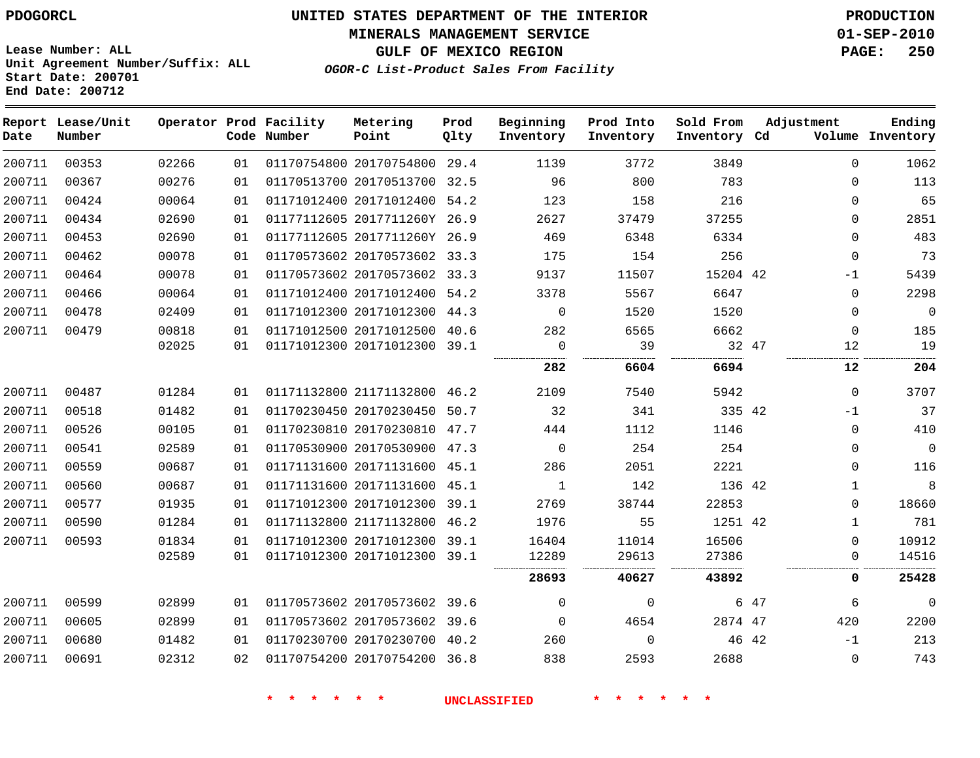**MINERALS MANAGEMENT SERVICE 01-SEP-2010**

**GULF OF MEXICO REGION PAGE: 250**

**Lease Number: ALL Unit Agreement Number/Suffix: ALL Start Date: 200701 End Date: 200712**

**OGOR-C List-Product Sales From Facility**

| Date   | Report Lease/Unit<br>Number |       |    | Operator Prod Facility<br>Code Number | Metering<br>Point            | Prod<br>Qlty | Beginning<br>Inventory | Prod Into<br>Inventory | Sold From<br>Inventory Cd | Adjustment | Ending<br>Volume Inventory |
|--------|-----------------------------|-------|----|---------------------------------------|------------------------------|--------------|------------------------|------------------------|---------------------------|------------|----------------------------|
| 200711 | 00353                       | 02266 | 01 |                                       | 01170754800 20170754800 29.4 |              | 1139                   | 3772                   | 3849                      |            | 1062<br>$\Omega$           |
| 200711 | 00367                       | 00276 | 01 |                                       | 01170513700 20170513700 32.5 |              | 96                     | 800                    | 783                       |            | 113<br>$\Omega$            |
| 200711 | 00424                       | 00064 | 01 |                                       | 01171012400 20171012400 54.2 |              | 123                    | 158                    | 216                       |            | 65<br>$\Omega$             |
| 200711 | 00434                       | 02690 | 01 |                                       | 01177112605 2017711260Y 26.9 |              | 2627                   | 37479                  | 37255                     |            | $\mathbf 0$<br>2851        |
| 200711 | 00453                       | 02690 | 01 |                                       | 01177112605 2017711260Y 26.9 |              | 469                    | 6348                   | 6334                      |            | 483<br>$\Omega$            |
| 200711 | 00462                       | 00078 | 01 |                                       | 01170573602 20170573602 33.3 |              | 175                    | 154                    | 256                       |            | 73<br>$\Omega$             |
| 200711 | 00464                       | 00078 | 01 |                                       | 01170573602 20170573602 33.3 |              | 9137                   | 11507                  | 15204 42                  |            | 5439<br>$-1$               |
| 200711 | 00466                       | 00064 | 01 |                                       | 01171012400 20171012400 54.2 |              | 3378                   | 5567                   | 6647                      |            | 2298<br>$\mathbf 0$        |
| 200711 | 00478                       | 02409 | 01 |                                       | 01171012300 20171012300 44.3 |              | $\Omega$               | 1520                   | 1520                      |            | $\mathbf 0$<br>$\mathbf 0$ |
| 200711 | 00479                       | 00818 | 01 |                                       | 01171012500 20171012500 40.6 |              | 282                    | 6565                   | 6662                      |            | $\mathbf 0$<br>185         |
|        |                             | 02025 | 01 |                                       | 01171012300 20171012300 39.1 |              | $\mathbf 0$            | 39                     |                           | 32 47      | 19<br>12                   |
|        |                             |       |    |                                       |                              |              | 282                    | 6604                   | 6694                      |            | 204<br>12                  |
| 200711 | 00487                       | 01284 | 01 |                                       | 01171132800 21171132800 46.2 |              | 2109                   | 7540                   | 5942                      |            | $\Omega$<br>3707           |
| 200711 | 00518                       | 01482 | 01 |                                       | 01170230450 20170230450 50.7 |              | 32                     | 341                    | 335 42                    |            | 37<br>$-1$                 |
| 200711 | 00526                       | 00105 | 01 |                                       | 01170230810 20170230810 47.7 |              | 444                    | 1112                   | 1146                      |            | 410<br>$\mathbf 0$         |
| 200711 | 00541                       | 02589 | 01 |                                       | 01170530900 20170530900 47.3 |              | $\Omega$               | 254                    | 254                       |            | $\mathbf 0$<br>$\mathbf 0$ |
| 200711 | 00559                       | 00687 | 01 |                                       | 01171131600 20171131600 45.1 |              | 286                    | 2051                   | 2221                      |            | 116<br>$\Omega$            |
| 200711 | 00560                       | 00687 | 01 |                                       | 01171131600 20171131600 45.1 |              | $\mathbf{1}$           | 142                    | 136 42                    |            | 8<br>$\mathbf{1}$          |
| 200711 | 00577                       | 01935 | 01 |                                       | 01171012300 20171012300 39.1 |              | 2769                   | 38744                  | 22853                     |            | 18660<br>$\mathbf 0$       |
| 200711 | 00590                       | 01284 | 01 |                                       | 01171132800 21171132800 46.2 |              | 1976                   | 55                     | 1251 42                   |            | 781<br>$\mathbf{1}$        |
| 200711 | 00593                       | 01834 | 01 |                                       | 01171012300 20171012300 39.1 |              | 16404                  | 11014                  | 16506                     |            | 10912<br>$\Omega$          |
|        |                             | 02589 | 01 |                                       | 01171012300 20171012300 39.1 |              | 12289                  | 29613                  | 27386                     |            | $\mathbf 0$<br>14516       |
|        |                             |       |    |                                       |                              |              | 28693                  | 40627                  | 43892                     |            | 25428<br>0                 |
| 200711 | 00599                       | 02899 | 01 |                                       | 01170573602 20170573602 39.6 |              | $\Omega$               | $\mathbf 0$            |                           | 6 47       | $\mathbf 0$<br>6           |
| 200711 | 00605                       | 02899 | 01 |                                       | 01170573602 20170573602 39.6 |              | $\Omega$               | 4654                   | 2874 47                   | 420        | 2200                       |
| 200711 | 00680                       | 01482 | 01 |                                       | 01170230700 20170230700 40.2 |              | 260                    | $\mathbf 0$            |                           | 46 42      | 213<br>$-1$                |
| 200711 | 00691                       | 02312 | 02 |                                       | 01170754200 20170754200 36.8 |              | 838                    | 2593                   | 2688                      |            | 743<br>$\mathbf 0$         |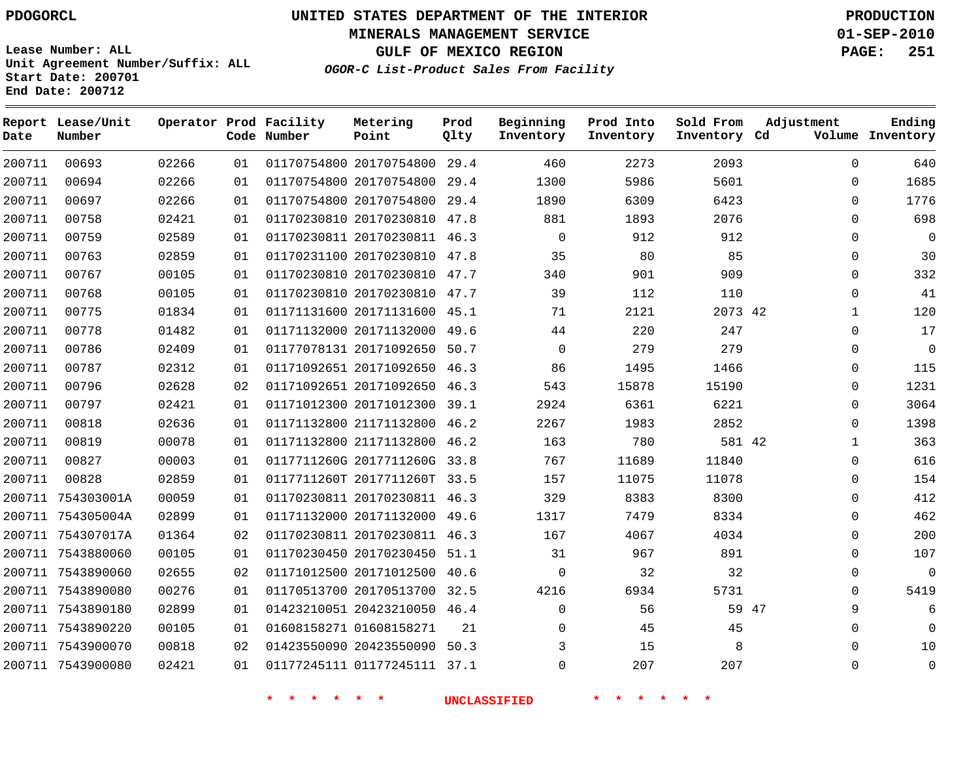**MINERALS MANAGEMENT SERVICE 01-SEP-2010**

**GULF OF MEXICO REGION PAGE: 251**

**Lease Number: ALL Unit Agreement Number/Suffix: ALL Start Date: 200701 End Date: 200712**

**OGOR-C List-Product Sales From Facility**

| Date   | Report Lease/Unit<br>Number |       |    | Operator Prod Facility<br>Code Number | Metering<br>Point            | Prod<br>Qlty | Beginning<br>Inventory | Prod Into<br>Inventory | Sold From<br>Inventory Cd | Adjustment   | Ending<br>Volume Inventory |
|--------|-----------------------------|-------|----|---------------------------------------|------------------------------|--------------|------------------------|------------------------|---------------------------|--------------|----------------------------|
| 200711 | 00693                       | 02266 | 01 |                                       | 01170754800 20170754800 29.4 |              | 460                    | 2273                   | 2093                      | 0            | 640                        |
| 200711 | 00694                       | 02266 | 01 |                                       | 01170754800 20170754800      | 29.4         | 1300                   | 5986                   | 5601                      | 0            | 1685                       |
| 200711 | 00697                       | 02266 | 01 |                                       | 01170754800 20170754800 29.4 |              | 1890                   | 6309                   | 6423                      | $\Omega$     | 1776                       |
| 200711 | 00758                       | 02421 | 01 |                                       | 01170230810 20170230810 47.8 |              | 881                    | 1893                   | 2076                      | $\Omega$     | 698                        |
| 200711 | 00759                       | 02589 | 01 |                                       | 01170230811 20170230811 46.3 |              | $\mathbf 0$            | 912                    | 912                       | $\Omega$     | 0                          |
| 200711 | 00763                       | 02859 | 01 |                                       | 01170231100 20170230810 47.8 |              | 35                     | 80                     | 85                        | $\Omega$     | 30                         |
| 200711 | 00767                       | 00105 | 01 |                                       | 01170230810 20170230810 47.7 |              | 340                    | 901                    | 909                       | $\Omega$     | 332                        |
| 200711 | 00768                       | 00105 | 01 |                                       | 01170230810 20170230810 47.7 |              | 39                     | 112                    | 110                       | $\Omega$     | 41                         |
| 200711 | 00775                       | 01834 | 01 |                                       | 01171131600 20171131600 45.1 |              | 71                     | 2121                   | 2073 42                   | 1            | 120                        |
| 200711 | 00778                       | 01482 | 01 |                                       | 01171132000 20171132000 49.6 |              | 44                     | 220                    | 247                       | 0            | 17                         |
| 200711 | 00786                       | 02409 | 01 |                                       | 01177078131 20171092650 50.7 |              | $\mathbf 0$            | 279                    | 279                       | 0            | 0                          |
| 200711 | 00787                       | 02312 | 01 |                                       | 01171092651 20171092650 46.3 |              | 86                     | 1495                   | 1466                      | 0            | 115                        |
| 200711 | 00796                       | 02628 | 02 |                                       | 01171092651 20171092650 46.3 |              | 543                    | 15878                  | 15190                     | 0            | 1231                       |
| 200711 | 00797                       | 02421 | 01 |                                       | 01171012300 20171012300 39.1 |              | 2924                   | 6361                   | 6221                      | 0            | 3064                       |
| 200711 | 00818                       | 02636 | 01 |                                       | 01171132800 21171132800 46.2 |              | 2267                   | 1983                   | 2852                      | 0            | 1398                       |
| 200711 | 00819                       | 00078 | 01 |                                       | 01171132800 21171132800 46.2 |              | 163                    | 780                    | 581 42                    | $\mathbf{1}$ | 363                        |
| 200711 | 00827                       | 00003 | 01 |                                       | 0117711260G 2017711260G 33.8 |              | 767                    | 11689                  | 11840                     | $\Omega$     | 616                        |
| 200711 | 00828                       | 02859 | 01 |                                       | 0117711260T 2017711260T 33.5 |              | 157                    | 11075                  | 11078                     | $\Omega$     | 154                        |
|        | 200711 754303001A           | 00059 | 01 |                                       | 01170230811 20170230811 46.3 |              | 329                    | 8383                   | 8300                      | 0            | 412                        |
|        | 200711 754305004A           | 02899 | 01 |                                       | 01171132000 20171132000 49.6 |              | 1317                   | 7479                   | 8334                      | 0            | 462                        |
|        | 200711 754307017A           | 01364 | 02 |                                       | 01170230811 20170230811 46.3 |              | 167                    | 4067                   | 4034                      | 0            | 200                        |
|        | 200711 7543880060           | 00105 | 01 |                                       | 01170230450 20170230450 51.1 |              | 31                     | 967                    | 891                       | 0            | 107                        |
|        | 200711 7543890060           | 02655 | 02 |                                       | 01171012500 20171012500 40.6 |              | $\mathbf 0$            | 32                     | 32                        | 0            | 0                          |
|        | 200711 7543890080           | 00276 | 01 |                                       | 01170513700 20170513700 32.5 |              | 4216                   | 6934                   | 5731                      | $\Omega$     | 5419                       |
|        | 200711 7543890180           | 02899 | 01 |                                       | 01423210051 20423210050 46.4 |              | $\mathbf 0$            | 56                     | 59 47                     | 9            | 6                          |
|        | 200711 7543890220           | 00105 | 01 |                                       | 01608158271 01608158271      | 21           | $\Omega$               | 45                     | 45                        | $\Omega$     | $\Omega$                   |
|        | 200711 7543900070           | 00818 | 02 |                                       | 01423550090 20423550090      | 50.3         | 3                      | 15                     | 8                         | $\Omega$     | 10                         |
|        | 200711 7543900080           | 02421 | 01 |                                       | 01177245111 01177245111 37.1 |              | $\Omega$               | 207                    | 207                       | $\Omega$     | $\mathbf 0$                |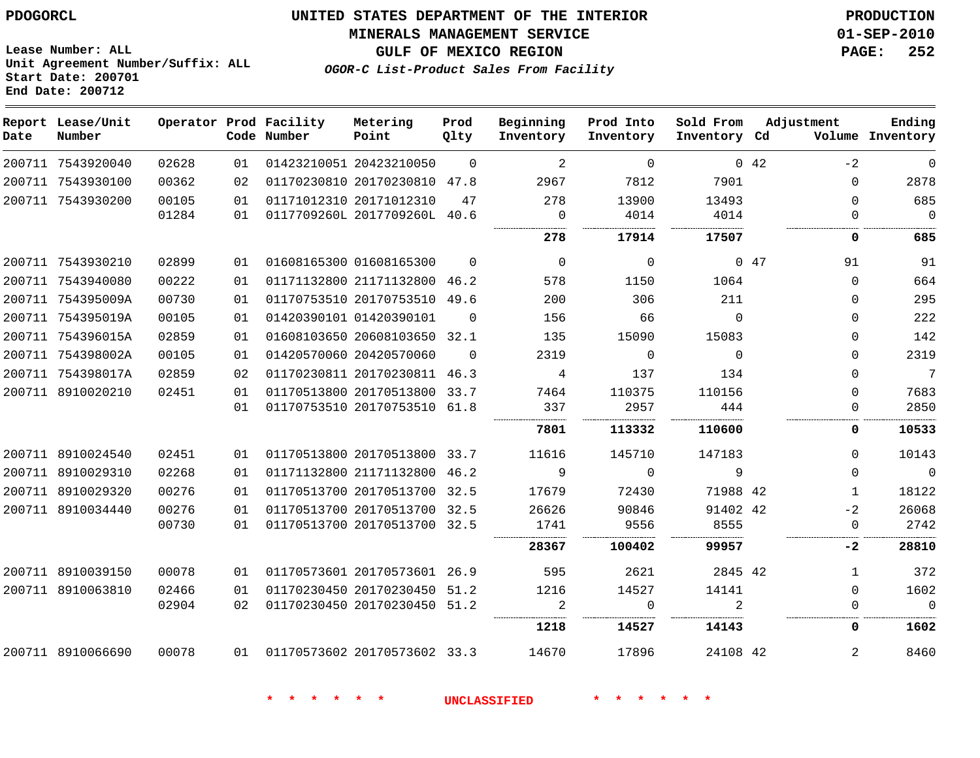#### **MINERALS MANAGEMENT SERVICE 01-SEP-2010**

**GULF OF MEXICO REGION PAGE: 252**

**Lease Number: ALL Unit Agreement Number/Suffix: ALL Start Date: 200701 End Date: 200712**

**OGOR-C List-Product Sales From Facility**

| Date | Report Lease/Unit<br>Number |       |    | Operator Prod Facility<br>Code Number | Metering<br>Point            | Prod<br>Qlty | Beginning<br>Inventory | Prod Into<br>Inventory | Sold From<br>Inventory Cd | Adjustment |                | Ending<br>Volume Inventory |
|------|-----------------------------|-------|----|---------------------------------------|------------------------------|--------------|------------------------|------------------------|---------------------------|------------|----------------|----------------------------|
|      | 200711 7543920040           | 02628 | 01 |                                       | 01423210051 20423210050      | $\Omega$     | 2                      | $\mathbf 0$            |                           | 042        | $-2$           | $\mathbf 0$                |
|      | 200711 7543930100           | 00362 | 02 |                                       | 01170230810 20170230810 47.8 |              | 2967                   | 7812                   | 7901                      |            | $\Omega$       | 2878                       |
|      | 200711 7543930200           | 00105 | 01 |                                       | 01171012310 20171012310      | 47           | 278                    | 13900                  | 13493                     |            | $\Omega$       | 685                        |
|      |                             | 01284 | 01 |                                       | 0117709260L 2017709260L 40.6 |              | $\mathbf 0$            | 4014                   | 4014                      |            | $\Omega$       | $\overline{0}$             |
|      |                             |       |    |                                       |                              |              | 278                    | 17914                  | 17507                     |            | 0              | 685                        |
|      | 200711 7543930210           | 02899 | 01 |                                       | 01608165300 01608165300      | $\Omega$     | $\overline{0}$         | $\mathbf 0$            |                           | 047        | 91             | 91                         |
|      | 200711 7543940080           | 00222 | 01 |                                       | 01171132800 21171132800 46.2 |              | 578                    | 1150                   | 1064                      |            | $\Omega$       | 664                        |
|      | 200711 754395009A           | 00730 | 01 |                                       | 01170753510 20170753510 49.6 |              | 200                    | 306                    | 211                       |            | $\Omega$       | 295                        |
|      | 200711 754395019A           | 00105 | 01 |                                       | 01420390101 01420390101      | $\Omega$     | 156                    | 66                     | $\Omega$                  |            | $\Omega$       | 222                        |
|      | 200711 754396015A           | 02859 | 01 |                                       | 01608103650 20608103650 32.1 |              | 135                    | 15090                  | 15083                     |            | $\Omega$       | 142                        |
|      | 200711 754398002A           | 00105 | 01 |                                       | 01420570060 20420570060      | $\Omega$     | 2319                   | $\mathbf 0$            | $\Omega$                  |            | $\Omega$       | 2319                       |
|      | 200711 754398017A           | 02859 | 02 |                                       | 01170230811 20170230811 46.3 |              | 4                      | 137                    | 134                       |            | $\Omega$       | $\overline{7}$             |
|      | 200711 8910020210           | 02451 | 01 |                                       | 01170513800 20170513800 33.7 |              | 7464                   | 110375                 | 110156                    |            | 0              | 7683                       |
|      |                             |       | 01 |                                       | 01170753510 20170753510 61.8 |              | 337                    | 2957                   | 444                       |            | $\Omega$       | 2850                       |
|      |                             |       |    |                                       |                              |              | 7801                   | 113332                 | 110600                    |            | 0              | 10533                      |
|      | 200711 8910024540           | 02451 | 01 |                                       | 01170513800 20170513800 33.7 |              | 11616                  | 145710                 | 147183                    |            | $\Omega$       | 10143                      |
|      | 200711 8910029310           | 02268 | 01 |                                       | 01171132800 21171132800 46.2 |              | 9                      | 0                      | 9                         |            | $\Omega$       | $\mathbf 0$                |
|      | 200711 8910029320           | 00276 | 01 |                                       | 01170513700 20170513700 32.5 |              | 17679                  | 72430                  | 71988 42                  |            | $\mathbf{1}$   | 18122                      |
|      | 200711 8910034440           | 00276 | 01 |                                       | 01170513700 20170513700 32.5 |              | 26626                  | 90846                  | 91402 42                  |            | $-2$           | 26068                      |
|      |                             | 00730 | 01 |                                       | 01170513700 20170513700 32.5 |              | 1741                   | 9556                   | 8555                      |            | $\mathbf 0$    | 2742                       |
|      |                             |       |    |                                       |                              |              | 28367                  | 100402                 | 99957                     |            | -2             | 28810                      |
|      | 200711 8910039150           | 00078 | 01 |                                       | 01170573601 20170573601 26.9 |              | 595                    | 2621                   | 2845 42                   |            | 1              | 372                        |
|      | 200711 8910063810           | 02466 | 01 |                                       | 01170230450 20170230450 51.2 |              | 1216                   | 14527                  | 14141                     |            | $\Omega$       | 1602                       |
|      |                             | 02904 | 02 |                                       | 01170230450 20170230450 51.2 |              | $\overline{2}$         | $\Omega$               | $\mathfrak{D}$            |            | $\Omega$       | $\Omega$                   |
|      |                             |       |    |                                       |                              |              | 1218                   | 14527                  | 14143                     |            | 0              | 1602                       |
|      | 200711 8910066690           | 00078 |    | 01 01170573602 20170573602 33.3       |                              |              | 14670                  | 17896                  | 24108 42                  |            | $\overline{2}$ | 8460                       |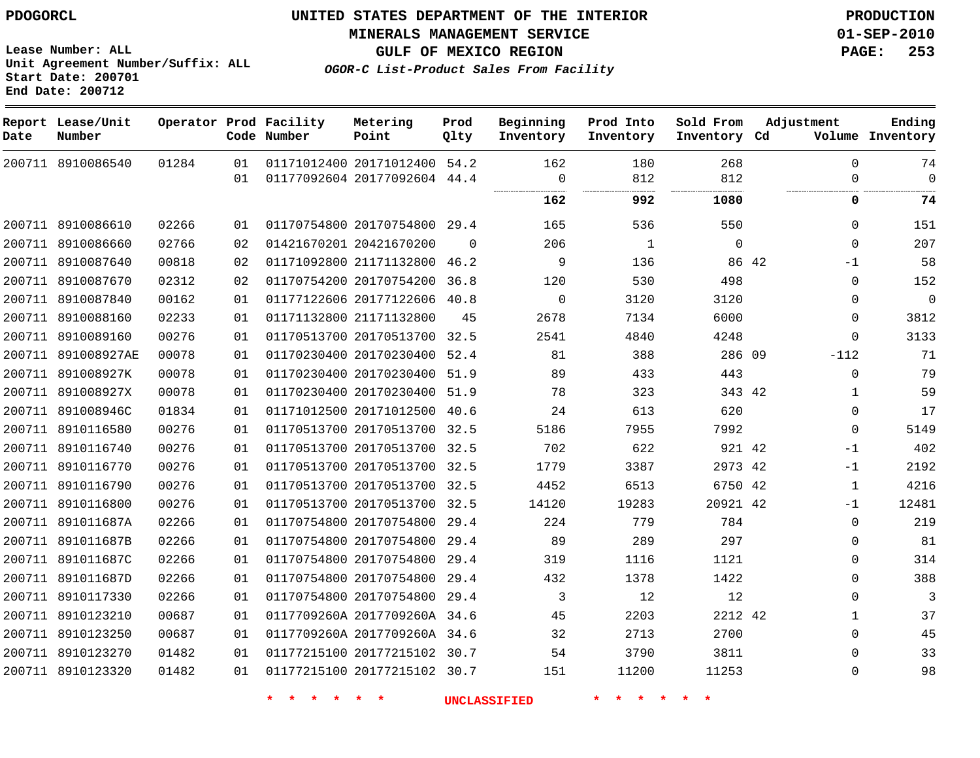**Start Date: 200701 End Date: 200712**

**Unit Agreement Number/Suffix: ALL**

# **UNITED STATES DEPARTMENT OF THE INTERIOR PDOGORCL PRODUCTION**

**MINERALS MANAGEMENT SERVICE 01-SEP-2010**

**GULF OF MEXICO REGION PAGE: 253**

**OGOR-C List-Product Sales From Facility**

| Date   | Report Lease/Unit<br>Number |       |    | Operator Prod Facility<br>Code Number | Metering<br>Point            | Prod<br>Qlty | Beginning<br>Inventory | Prod Into<br>Inventory | Sold From<br>Inventory Cd | Adjustment   | Ending<br>Volume Inventory |
|--------|-----------------------------|-------|----|---------------------------------------|------------------------------|--------------|------------------------|------------------------|---------------------------|--------------|----------------------------|
|        | 200711 8910086540           | 01284 | 01 |                                       | 01171012400 20171012400 54.2 |              | 162                    | 180                    | 268                       |              | $\Omega$<br>74             |
|        |                             |       | 01 |                                       | 01177092604 20177092604 44.4 |              | $\overline{0}$         | 812                    | 812                       |              | $\mathbf 0$<br>0           |
|        |                             |       |    |                                       |                              |              | 162                    | 992                    | 1080                      |              | 0<br>74                    |
|        | 200711 8910086610           | 02266 | 01 |                                       | 01170754800 20170754800      | 29.4         | 165                    | 536                    | 550                       |              | 0<br>151                   |
|        | 200711 8910086660           | 02766 | 02 |                                       | 01421670201 20421670200      | $\Omega$     | 206                    | 1                      | $\mathbf 0$               |              | 207<br>$\Omega$            |
|        | 200711 8910087640           | 00818 | 02 |                                       | 01171092800 21171132800 46.2 |              | 9                      | 136                    | 86 42                     | $-1$         | 58                         |
|        | 200711 8910087670           | 02312 | 02 |                                       | 01170754200 20170754200      | 36.8         | 120                    | 530                    | 498                       |              | 0<br>152                   |
|        | 200711 8910087840           | 00162 | 01 |                                       | 01177122606 20177122606 40.8 |              | $\Omega$               | 3120                   | 3120                      |              | $\Omega$<br>$\Omega$       |
| 200711 | 8910088160                  | 02233 | 01 |                                       | 01171132800 21171132800      | 45           | 2678                   | 7134                   | 6000                      |              | 3812<br>0                  |
|        | 200711 8910089160           | 00276 | 01 |                                       | 01170513700 20170513700 32.5 |              | 2541                   | 4840                   | 4248                      |              | 3133<br>0                  |
| 200711 | 891008927AE                 | 00078 | 01 |                                       | 01170230400 20170230400      | 52.4         | 81                     | 388                    | 286 09                    | $-112$       | 71                         |
|        | 200711 891008927K           | 00078 | 01 |                                       | 01170230400 20170230400      | 51.9         | 89                     | 433                    | 443                       |              | $\mathbf 0$<br>79          |
|        | 200711 891008927X           | 00078 | 01 |                                       | 01170230400 20170230400 51.9 |              | 78                     | 323                    | 343 42                    |              | 59<br>$\mathbf 1$          |
|        | 200711 891008946C           | 01834 | 01 |                                       | 01171012500 20171012500      | 40.6         | 24                     | 613                    | 620                       |              | 17<br>0                    |
|        | 200711 8910116580           | 00276 | 01 |                                       | 01170513700 20170513700 32.5 |              | 5186                   | 7955                   | 7992                      |              | 5149<br>$\Omega$           |
|        | 200711 8910116740           | 00276 | 01 |                                       | 01170513700 20170513700 32.5 |              | 702                    | 622                    | 921 42                    | $-1$         | 402                        |
|        | 200711 8910116770           | 00276 | 01 |                                       | 01170513700 20170513700 32.5 |              | 1779                   | 3387                   | 2973 42                   | $-1$         | 2192                       |
|        | 200711 8910116790           | 00276 | 01 |                                       | 01170513700 20170513700 32.5 |              | 4452                   | 6513                   | 6750 42                   | $\mathbf{1}$ | 4216                       |
| 200711 | 8910116800                  | 00276 | 01 |                                       | 01170513700 20170513700      | 32.5         | 14120                  | 19283                  | 20921 42                  | $-1$         | 12481                      |
|        | 200711 891011687A           | 02266 | 01 |                                       | 01170754800 20170754800      | 29.4         | 224                    | 779                    | 784                       |              | 219<br>0                   |
|        | 200711 891011687B           | 02266 | 01 |                                       | 01170754800 20170754800 29.4 |              | 89                     | 289                    | 297                       |              | 81<br>0                    |
|        | 200711 891011687C           | 02266 | 01 |                                       | 01170754800 20170754800      | 29.4         | 319                    | 1116                   | 1121                      |              | 0<br>314                   |
|        | 200711 891011687D           | 02266 | 01 |                                       | 01170754800 20170754800      | 29.4         | 432                    | 1378                   | 1422                      |              | 388<br>$\Omega$            |
| 200711 | 8910117330                  | 02266 | 01 |                                       | 01170754800 20170754800      | 29.4         | 3                      | 12                     | 12                        |              | 3<br>0                     |
|        | 200711 8910123210           | 00687 | 01 |                                       | 0117709260A 2017709260A 34.6 |              | 45                     | 2203                   | 2212 42                   |              | 37<br>$\mathbf{1}$         |
|        | 200711 8910123250           | 00687 | 01 |                                       | 0117709260A 2017709260A 34.6 |              | 32                     | 2713                   | 2700                      |              | 45<br>$\Omega$             |
|        | 200711 8910123270           | 01482 | 01 |                                       | 01177215100 20177215102 30.7 |              | 54                     | 3790                   | 3811                      |              | 33<br>0                    |
|        | 200711 8910123320           | 01482 | 01 |                                       | 01177215100 20177215102 30.7 |              | 151                    | 11200                  | 11253                     |              | 98<br>0                    |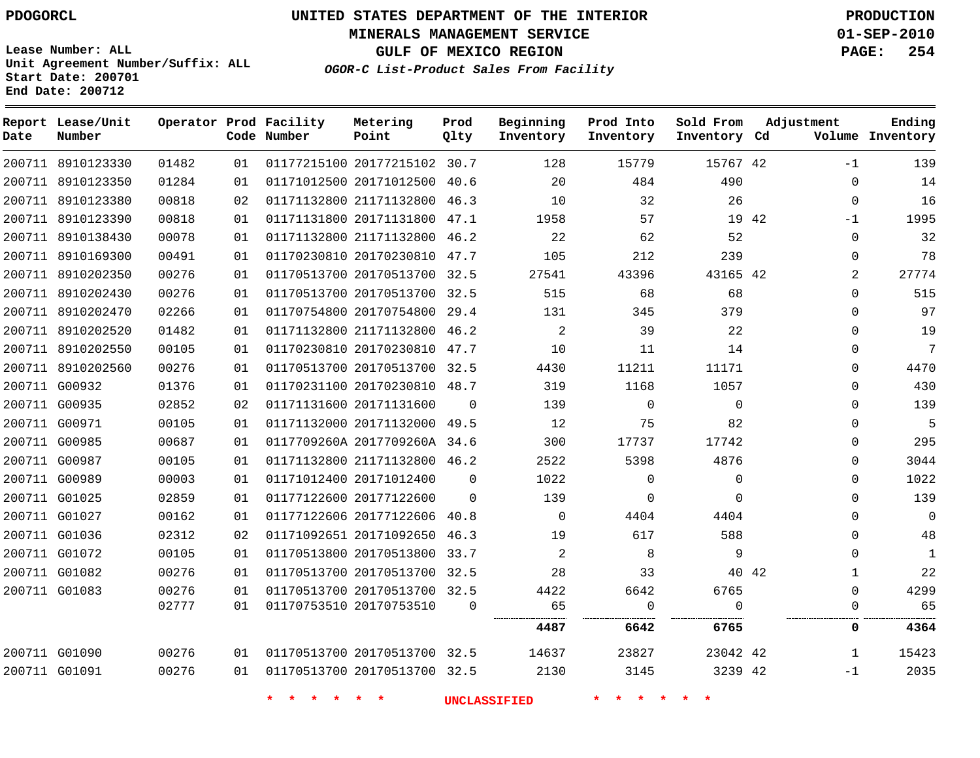**MINERALS MANAGEMENT SERVICE 01-SEP-2010**

**GULF OF MEXICO REGION PAGE: 254**

**Lease Number: ALL Unit Agreement Number/Suffix: ALL Start Date: 200701 End Date: 200712**

**OGOR-C List-Product Sales From Facility**

| Date | Report Lease/Unit<br>Number |       |    | Operator Prod Facility<br>Code Number | Metering<br>Point            | Prod<br>Qlty | Beginning<br>Inventory | Prod Into<br>Inventory | Sold From<br>Inventory Cd | Adjustment            | Ending<br>Volume Inventory |
|------|-----------------------------|-------|----|---------------------------------------|------------------------------|--------------|------------------------|------------------------|---------------------------|-----------------------|----------------------------|
|      | 200711 8910123330           | 01482 | 01 |                                       | 01177215100 20177215102 30.7 |              | 128                    | 15779                  | 15767 42                  | $-1$                  | 139                        |
|      | 200711 8910123350           | 01284 | 01 |                                       | 01171012500 20171012500 40.6 |              | 20                     | 484                    | 490                       | $\Omega$              | 14                         |
|      | 200711 8910123380           | 00818 | 02 |                                       | 01171132800 21171132800 46.3 |              | 10                     | 32                     | 26                        | $\mathbf 0$           | 16                         |
|      | 200711 8910123390           | 00818 | 01 |                                       | 01171131800 20171131800      | 47.1         | 1958                   | 57                     |                           | 19 42<br>$-1$         | 1995                       |
|      | 200711 8910138430           | 00078 | 01 |                                       | 01171132800 21171132800      | 46.2         | 22                     | 62                     | 52                        | $\Omega$              | 32                         |
|      | 200711 8910169300           | 00491 | 01 |                                       | 01170230810 20170230810 47.7 |              | 105                    | 212                    | 239                       | $\Omega$              | 78                         |
|      | 200711 8910202350           | 00276 | 01 |                                       | 01170513700 20170513700 32.5 |              | 27541                  | 43396                  | 43165 42                  |                       | 27774<br>$\overline{2}$    |
|      | 200711 8910202430           | 00276 | 01 |                                       | 01170513700 20170513700 32.5 |              | 515                    | 68                     | 68                        | $\Omega$              | 515                        |
|      | 200711 8910202470           | 02266 | 01 |                                       | 01170754800 20170754800      | 29.4         | 131                    | 345                    | 379                       | $\Omega$              | 97                         |
|      | 200711 8910202520           | 01482 | 01 |                                       | 01171132800 21171132800 46.2 |              | 2                      | 39                     | 22                        | $\Omega$              | 19                         |
|      | 200711 8910202550           | 00105 | 01 |                                       | 01170230810 20170230810      | 47.7         | 10                     | 11                     | 14                        | $\Omega$              | $\overline{7}$             |
|      | 200711 8910202560           | 00276 | 01 |                                       | 01170513700 20170513700 32.5 |              | 4430                   | 11211                  | 11171                     | $\mathbf 0$           | 4470                       |
|      | 200711 G00932               | 01376 | 01 |                                       | 01170231100 20170230810 48.7 |              | 319                    | 1168                   | 1057                      | $\Omega$              | 430                        |
|      | 200711 G00935               | 02852 | 02 |                                       | 01171131600 20171131600      | $\Omega$     | 139                    | $\mathbf{0}$           | $\mathbf{0}$              | 0                     | 139                        |
|      | 200711 G00971               | 00105 | 01 |                                       | 01171132000 20171132000 49.5 |              | 12                     | 75                     | 82                        | $\Omega$              | 5                          |
|      | 200711 G00985               | 00687 | 01 |                                       | 0117709260A 2017709260A 34.6 |              | 300                    | 17737                  | 17742                     | $\Omega$              | 295                        |
|      | 200711 G00987               | 00105 | 01 |                                       | 01171132800 21171132800 46.2 |              | 2522                   | 5398                   | 4876                      | $\mathbf 0$           | 3044                       |
|      | 200711 G00989               | 00003 | 01 |                                       | 01171012400 20171012400      | $\Omega$     | 1022                   | $\mathbf 0$            | $\mathbf{0}$              | $\Omega$              | 1022                       |
|      | 200711 G01025               | 02859 | 01 |                                       | 01177122600 20177122600      | $\Omega$     | 139                    | $\mathbf 0$            | $\Omega$                  | $\Omega$              | 139                        |
|      | 200711 G01027               | 00162 | 01 |                                       | 01177122606 20177122606 40.8 |              | $\Omega$               | 4404                   | 4404                      | $\Omega$              | $\mathbf 0$                |
|      | 200711 G01036               | 02312 | 02 |                                       | 01171092651 20171092650      | 46.3         | 19                     | 617                    | 588                       | 0                     | 48                         |
|      | 200711 G01072               | 00105 | 01 |                                       | 01170513800 20170513800      | 33.7         | 2                      | 8                      | 9                         | $\Omega$              | $\mathbf{1}$               |
|      | 200711 G01082               | 00276 | 01 |                                       | 01170513700 20170513700      | 32.5         | 28                     | 33                     |                           | 40 42<br>$\mathbf{1}$ | 22                         |
|      | 200711 G01083               | 00276 | 01 |                                       | 01170513700 20170513700 32.5 |              | 4422                   | 6642                   | 6765                      | $\Omega$              | 4299                       |
|      |                             | 02777 | 01 |                                       | 01170753510 20170753510      | $\Omega$     | 65                     | $\mathbf 0$            | $\Omega$                  | $\Omega$              | 65                         |
|      |                             |       |    |                                       |                              |              | 4487                   | 6642                   | 6765                      | 0                     | 4364                       |
|      | 200711 G01090               | 00276 | 01 |                                       | 01170513700 20170513700 32.5 |              | 14637                  | 23827                  | 23042 42                  | $\mathbf{1}$          | 15423                      |
|      | 200711 G01091               | 00276 | 01 |                                       | 01170513700 20170513700 32.5 |              | 2130                   | 3145                   | 3239 42                   | $-1$                  | 2035                       |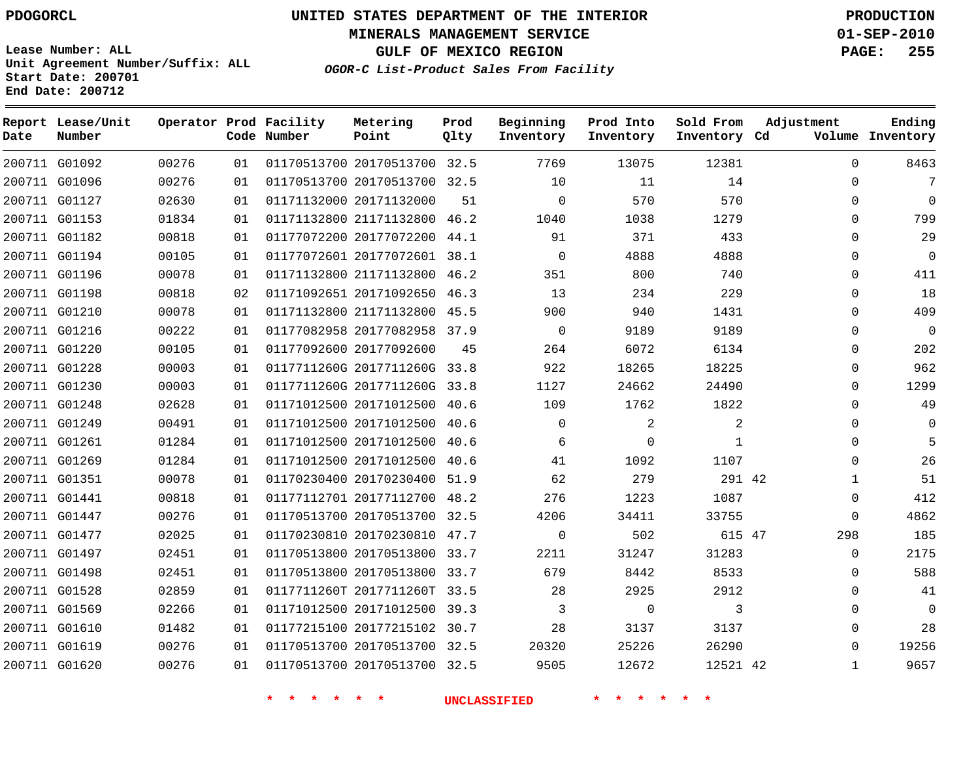# **UNITED STATES DEPARTMENT OF THE INTERIOR PDOGORCL PRODUCTION**

**MINERALS MANAGEMENT SERVICE 01-SEP-2010**

**GULF OF MEXICO REGION PAGE: 255**

**Unit Agreement Number/Suffix: ALL Start Date: 200701 End Date: 200712**

**OGOR-C List-Product Sales From Facility**

| Date | Report Lease/Unit<br>Number |       |    | Operator Prod Facility<br>Code Number | Metering<br>Point            | Prod<br>Qlty | Beginning<br>Inventory | Prod Into<br>Inventory | Sold From<br>Inventory Cd | Adjustment   | Ending<br>Volume Inventory |
|------|-----------------------------|-------|----|---------------------------------------|------------------------------|--------------|------------------------|------------------------|---------------------------|--------------|----------------------------|
|      | 200711 G01092               | 00276 | 01 |                                       | 01170513700 20170513700 32.5 |              | 7769                   | 13075                  | 12381                     | $\mathbf 0$  | 8463                       |
|      | 200711 G01096               | 00276 | 01 |                                       | 01170513700 20170513700 32.5 |              | 10                     | 11                     | 14                        | $\Omega$     | 7                          |
|      | 200711 G01127               | 02630 | 01 |                                       | 01171132000 20171132000      | 51           | $\mathbf 0$            | 570                    | 570                       | $\Omega$     | $\Omega$                   |
|      | 200711 G01153               | 01834 | 01 |                                       | 01171132800 21171132800 46.2 |              | 1040                   | 1038                   | 1279                      | $\Omega$     | 799                        |
|      | 200711 G01182               | 00818 | 01 |                                       | 01177072200 20177072200      | 44.1         | 91                     | 371                    | 433                       | $\Omega$     | 29                         |
|      | 200711 G01194               | 00105 | 01 |                                       | 01177072601 20177072601 38.1 |              | $\Omega$               | 4888                   | 4888                      | $\Omega$     | $\Omega$                   |
|      | 200711 G01196               | 00078 | 01 |                                       | 01171132800 21171132800      | 46.2         | 351                    | 800                    | 740                       | $\mathbf{0}$ | 411                        |
|      | 200711 G01198               | 00818 | 02 |                                       | 01171092651 20171092650 46.3 |              | 13                     | 234                    | 229                       | $\Omega$     | 18                         |
|      | 200711 G01210               | 00078 | 01 |                                       | 01171132800 21171132800      | 45.5         | 900                    | 940                    | 1431                      | $\Omega$     | 409                        |
|      | 200711 G01216               | 00222 | 01 |                                       | 01177082958 20177082958 37.9 |              | $\Omega$               | 9189                   | 9189                      | $\Omega$     | $\Omega$                   |
|      | 200711 G01220               | 00105 | 01 |                                       | 01177092600 20177092600      | 45           | 264                    | 6072                   | 6134                      | $\Omega$     | 202                        |
|      | 200711 G01228               | 00003 | 01 |                                       | 0117711260G 2017711260G      | 33.8         | 922                    | 18265                  | 18225                     | $\Omega$     | 962                        |
|      | 200711 G01230               | 00003 | 01 |                                       | 0117711260G 2017711260G      | 33.8         | 1127                   | 24662                  | 24490                     | $\Omega$     | 1299                       |
|      | 200711 G01248               | 02628 | 01 |                                       | 01171012500 20171012500      | 40.6         | 109                    | 1762                   | 1822                      | $\Omega$     | 49                         |
|      | 200711 G01249               | 00491 | 01 |                                       | 01171012500 20171012500      | 40.6         | $\Omega$               | $\overline{2}$         | $\overline{a}$            | $\Omega$     | $\Omega$                   |
|      | 200711 G01261               | 01284 | 01 |                                       | 01171012500 20171012500      | 40.6         | 6                      | $\Omega$               | $\mathbf{1}$              | $\Omega$     | 5                          |
|      | 200711 G01269               | 01284 | 01 |                                       | 01171012500 20171012500      | 40.6         | 41                     | 1092                   | 1107                      | $\Omega$     | 26                         |
|      | 200711 G01351               | 00078 | 01 |                                       | 01170230400 20170230400 51.9 |              | 62                     | 279                    | 291 42                    | 1            | 51                         |
|      | 200711 G01441               | 00818 | 01 |                                       | 01177112701 20177112700      | 48.2         | 276                    | 1223                   | 1087                      | $\Omega$     | 412                        |
|      | 200711 G01447               | 00276 | 01 |                                       | 01170513700 20170513700 32.5 |              | 4206                   | 34411                  | 33755                     | $\Omega$     | 4862                       |
|      | 200711 G01477               | 02025 | 01 |                                       | 01170230810 20170230810 47.7 |              | $\mathbf 0$            | 502                    | 615 47                    | 298          | 185                        |
|      | 200711 G01497               | 02451 | 01 |                                       | 01170513800 20170513800 33.7 |              | 2211                   | 31247                  | 31283                     | $\Omega$     | 2175                       |
|      | 200711 G01498               | 02451 | 01 |                                       | 01170513800 20170513800 33.7 |              | 679                    | 8442                   | 8533                      | 0            | 588                        |
|      | 200711 G01528               | 02859 | 01 |                                       | 0117711260T 2017711260T 33.5 |              | 28                     | 2925                   | 2912                      | $\Omega$     | 41                         |
|      | 200711 G01569               | 02266 | 01 |                                       | 01171012500 20171012500 39.3 |              | 3                      | $\mathbf 0$            | 3                         | $\Omega$     | $\Omega$                   |
|      | 200711 G01610               | 01482 | 01 |                                       | 01177215100 20177215102 30.7 |              | 28                     | 3137                   | 3137                      | $\Omega$     | 28                         |
|      | 200711 G01619               | 00276 | 01 |                                       | 01170513700 20170513700 32.5 |              | 20320                  | 25226                  | 26290                     | $\Omega$     | 19256                      |
|      | 200711 G01620               | 00276 | 01 |                                       | 01170513700 20170513700 32.5 |              | 9505                   | 12672                  | 12521 42                  | $\mathbf{1}$ | 9657                       |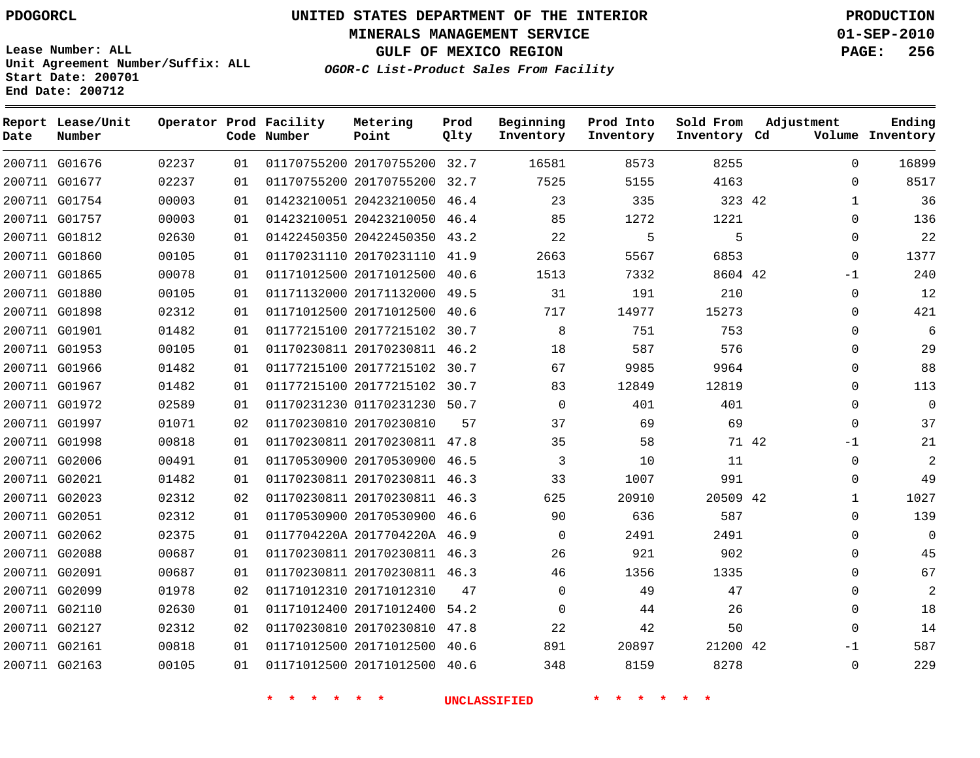**Start Date: 200701 End Date: 200712**

# **UNITED STATES DEPARTMENT OF THE INTERIOR PDOGORCL PRODUCTION**

**MINERALS MANAGEMENT SERVICE 01-SEP-2010**

**GULF OF MEXICO REGION PAGE: 256**

**OGOR-C List-Product Sales From Facility Unit Agreement Number/Suffix: ALL**

| Date | Report Lease/Unit<br>Number |       |    | Operator Prod Facility<br>Code Number | Metering<br>Point            | Prod<br>Qlty | Beginning<br>Inventory | Prod Into<br>Inventory | Sold From<br>Inventory Cd | Adjustment    | Ending<br>Volume Inventory |
|------|-----------------------------|-------|----|---------------------------------------|------------------------------|--------------|------------------------|------------------------|---------------------------|---------------|----------------------------|
|      | 200711 G01676               | 02237 | 01 |                                       | 01170755200 20170755200 32.7 |              | 16581                  | 8573                   | 8255                      | $\Omega$      | 16899                      |
|      | 200711 G01677               | 02237 | 01 |                                       | 01170755200 20170755200      | 32.7         | 7525                   | 5155                   | 4163                      | $\Omega$      | 8517                       |
|      | 200711 G01754               | 00003 | 01 |                                       | 01423210051 20423210050      | 46.4         | 23                     | 335                    | 323 42                    | $\mathbf{1}$  | 36                         |
|      | 200711 G01757               | 00003 | 01 |                                       | 01423210051 20423210050      | 46.4         | 85                     | 1272                   | 1221                      | $\Omega$      | 136                        |
|      | 200711 G01812               | 02630 | 01 |                                       | 01422450350 20422450350      | 43.2         | 22                     | 5                      | 5                         | $\Omega$      | 22                         |
|      | 200711 G01860               | 00105 | 01 |                                       | 01170231110 20170231110      | 41.9         | 2663                   | 5567                   | 6853                      | $\Omega$      | 1377                       |
|      | 200711 G01865               | 00078 | 01 |                                       | 01171012500 20171012500      | 40.6         | 1513                   | 7332                   | 8604 42                   | $-1$          | 240                        |
|      | 200711 G01880               | 00105 | 01 |                                       | 01171132000 20171132000      | 49.5         | 31                     | 191                    | 210                       | $\mathbf 0$   | 12                         |
|      | 200711 G01898               | 02312 | 01 |                                       | 01171012500 20171012500      | 40.6         | 717                    | 14977                  | 15273                     | $\Omega$      | 421                        |
|      | 200711 G01901               | 01482 | 01 |                                       | 01177215100 20177215102      | 30.7         | 8                      | 751                    | 753                       | $\mathbf 0$   | 6                          |
|      | 200711 G01953               | 00105 | 01 |                                       | 01170230811 20170230811      | 46.2         | 18                     | 587                    | 576                       | $\Omega$      | 29                         |
|      | 200711 G01966               | 01482 | 01 |                                       | 01177215100 20177215102      | 30.7         | 67                     | 9985                   | 9964                      | $\Omega$      | 88                         |
|      | 200711 G01967               | 01482 | 01 |                                       | 01177215100 20177215102 30.7 |              | 83                     | 12849                  | 12819                     | $\mathbf 0$   | 113                        |
|      | 200711 G01972               | 02589 | 01 |                                       | 01170231230 01170231230 50.7 |              | $\Omega$               | 401                    | 401                       | $\Omega$      | $\Omega$                   |
|      | 200711 G01997               | 01071 | 02 |                                       | 01170230810 20170230810      | 57           | 37                     | 69                     | 69                        | $\mathbf 0$   | 37                         |
|      | 200711 G01998               | 00818 | 01 |                                       | 01170230811 20170230811 47.8 |              | 35                     | 58                     |                           | 71 42<br>$-1$ | 21                         |
|      | 200711 G02006               | 00491 | 01 |                                       | 01170530900 20170530900      | 46.5         | 3                      | 10                     | 11                        | $\mathbf 0$   | 2                          |
|      | 200711 G02021               | 01482 | 01 |                                       | 01170230811 20170230811 46.3 |              | 33                     | 1007                   | 991                       | $\Omega$      | 49                         |
|      | 200711 G02023               | 02312 | 02 |                                       | 01170230811 20170230811      | 46.3         | 625                    | 20910                  | 20509 42                  | $\mathbf{1}$  | 1027                       |
|      | 200711 G02051               | 02312 | 01 |                                       | 01170530900 20170530900      | 46.6         | 90                     | 636                    | 587                       | $\Omega$      | 139                        |
|      | 200711 G02062               | 02375 | 01 |                                       | 0117704220A 2017704220A 46.9 |              | $\Omega$               | 2491                   | 2491                      | $\Omega$      | $\Omega$                   |
|      | 200711 G02088               | 00687 | 01 |                                       | 01170230811 20170230811 46.3 |              | 26                     | 921                    | 902                       | $\mathbf 0$   | 45                         |
|      | 200711 G02091               | 00687 | 01 |                                       | 01170230811 20170230811 46.3 |              | 46                     | 1356                   | 1335                      | $\Omega$      | 67                         |
|      | 200711 G02099               | 01978 | 02 |                                       | 01171012310 20171012310      | 47           | $\mathbf 0$            | 49                     | 47                        | $\mathbf 0$   | 2                          |
|      | 200711 G02110               | 02630 | 01 |                                       | 01171012400 20171012400      | 54.2         | $\mathbf 0$            | 44                     | 26                        | $\Omega$      | 18                         |
|      | 200711 G02127               | 02312 | 02 |                                       | 01170230810 20170230810      | 47.8         | 22                     | 42                     | 50                        | $\Omega$      | 14                         |
|      | 200711 G02161               | 00818 | 01 |                                       | 01171012500 20171012500      | 40.6         | 891                    | 20897                  | 21200 42                  | $-1$          | 587                        |
|      | 200711 G02163               | 00105 | 01 |                                       | 01171012500 20171012500      | 40.6         | 348                    | 8159                   | 8278                      | $\Omega$      | 229                        |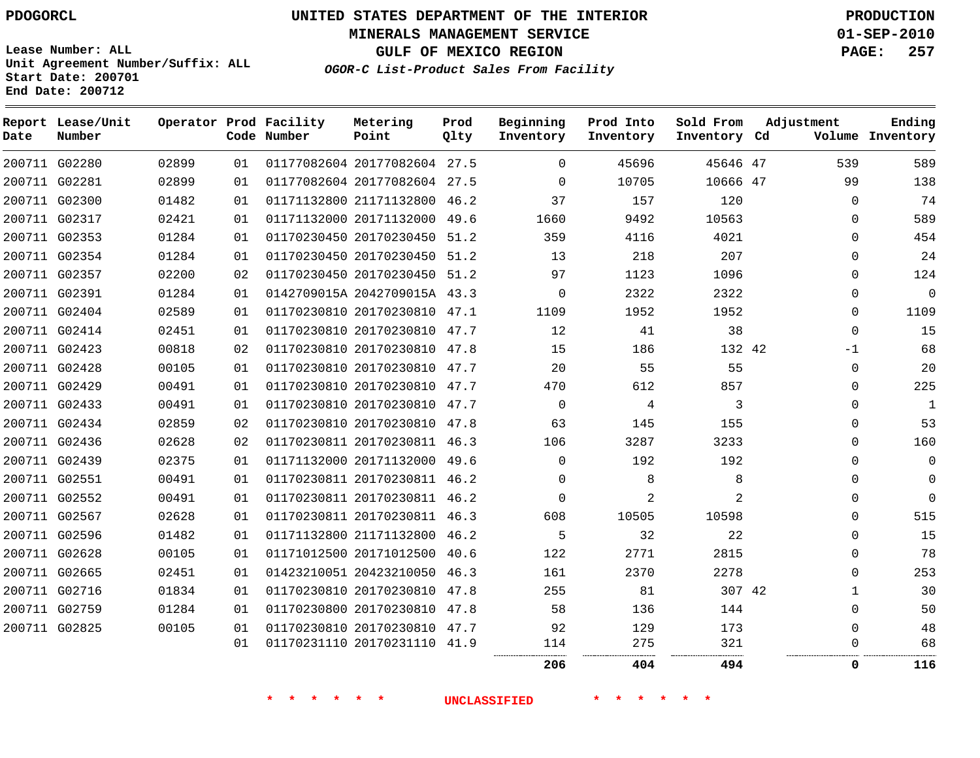**Start Date: 200701 End Date: 200712**

**Unit Agreement Number/Suffix: ALL**

# **UNITED STATES DEPARTMENT OF THE INTERIOR PDOGORCL PRODUCTION**

**MINERALS MANAGEMENT SERVICE 01-SEP-2010**

**GULF OF MEXICO REGION PAGE: 257**

**OGOR-C List-Product Sales From Facility**

| Date | Report Lease/Unit<br>Number |       |    | Operator Prod Facility<br>Code Number | Metering<br>Point            | Prod<br>Qlty | Beginning<br>Inventory | Prod Into<br>Inventory | Sold From<br>Inventory Cd | Adjustment  | Ending<br>Volume Inventory |
|------|-----------------------------|-------|----|---------------------------------------|------------------------------|--------------|------------------------|------------------------|---------------------------|-------------|----------------------------|
|      | 200711 G02280               | 02899 | 01 |                                       | 01177082604 20177082604 27.5 |              | 0                      | 45696                  | 45646 47                  | 539         | 589                        |
|      | 200711 G02281               | 02899 | 01 |                                       | 01177082604 20177082604 27.5 |              | $\mathbf 0$            | 10705                  | 10666 47                  | 99          | 138                        |
|      | 200711 G02300               | 01482 | 01 |                                       | 01171132800 21171132800      | 46.2         | 37                     | 157                    | 120                       | $\Omega$    | 74                         |
|      | 200711 G02317               | 02421 | 01 |                                       | 01171132000 20171132000      | 49.6         | 1660                   | 9492                   | 10563                     | $\Omega$    | 589                        |
|      | 200711 G02353               | 01284 | 01 |                                       | 01170230450 20170230450 51.2 |              | 359                    | 4116                   | 4021                      | $\Omega$    | 454                        |
|      | 200711 G02354               | 01284 | 01 |                                       | 01170230450 20170230450      | 51.2         | 13                     | 218                    | 207                       | 0           | 24                         |
|      | 200711 G02357               | 02200 | 02 |                                       | 01170230450 20170230450 51.2 |              | 97                     | 1123                   | 1096                      | $\Omega$    | 124                        |
|      | 200711 G02391               | 01284 | 01 |                                       | 0142709015A 2042709015A 43.3 |              | $\mathbf 0$            | 2322                   | 2322                      | $\Omega$    | $\mathbf 0$                |
|      | 200711 G02404               | 02589 | 01 |                                       | 01170230810 20170230810 47.1 |              | 1109                   | 1952                   | 1952                      | $\Omega$    | 1109                       |
|      | 200711 G02414               | 02451 | 01 |                                       | 01170230810 20170230810      | 47.7         | 12                     | 41                     | 38                        | $\Omega$    | 15                         |
|      | 200711 G02423               | 00818 | 02 |                                       | 01170230810 20170230810 47.8 |              | 15                     | 186                    | 132 42                    | $-1$        | 68                         |
|      | 200711 G02428               | 00105 | 01 |                                       | 01170230810 20170230810      | 47.7         | 20                     | 55                     | 55                        | $\mathbf 0$ | 20                         |
|      | 200711 G02429               | 00491 | 01 |                                       | 01170230810 20170230810      | 47.7         | 470                    | 612                    | 857                       | $\Omega$    | 225                        |
|      | 200711 G02433               | 00491 | 01 |                                       | 01170230810 20170230810      | 47.7         | $\mathbf 0$            | 4                      | 3                         | $\Omega$    | 1                          |
|      | 200711 G02434               | 02859 | 02 |                                       | 01170230810 20170230810      | 47.8         | 63                     | 145                    | 155                       | $\Omega$    | 53                         |
|      | 200711 G02436               | 02628 | 02 |                                       | 01170230811 20170230811 46.3 |              | 106                    | 3287                   | 3233                      | $\Omega$    | 160                        |
|      | 200711 G02439               | 02375 | 01 |                                       | 01171132000 20171132000      | 49.6         | $\Omega$               | 192                    | 192                       | $\Omega$    | $\Omega$                   |
|      | 200711 G02551               | 00491 | 01 |                                       | 01170230811 20170230811 46.2 |              | 0                      | 8                      | 8                         | $\Omega$    | $\mathbf 0$                |
|      | 200711 G02552               | 00491 | 01 |                                       | 01170230811 20170230811 46.2 |              | $\mathbf 0$            | 2                      | $\overline{2}$            | 0           | $\mathbf 0$                |
|      | 200711 G02567               | 02628 | 01 |                                       | 01170230811 20170230811 46.3 |              | 608                    | 10505                  | 10598                     | $\Omega$    | 515                        |
|      | 200711 G02596               | 01482 | 01 |                                       | 01171132800 21171132800 46.2 |              | 5                      | 32                     | 22                        | $\Omega$    | 15                         |
|      | 200711 G02628               | 00105 | 01 |                                       | 01171012500 20171012500 40.6 |              | 122                    | 2771                   | 2815                      | $\Omega$    | 78                         |
|      | 200711 G02665               | 02451 | 01 |                                       | 01423210051 20423210050      | 46.3         | 161                    | 2370                   | 2278                      | $\Omega$    | 253                        |
|      | 200711 G02716               | 01834 | 01 |                                       | 01170230810 20170230810      | 47.8         | 255                    | 81                     | 307 42                    | 1           | 30                         |
|      | 200711 G02759               | 01284 | 01 |                                       | 01170230800 20170230810      | 47.8         | 58                     | 136                    | 144                       | $\Omega$    | 50                         |
|      | 200711 G02825               | 00105 | 01 |                                       | 01170230810 20170230810      | 47.7         | 92                     | 129                    | 173                       | 0           | 48                         |
|      |                             |       | 01 |                                       | 01170231110 20170231110      | 41.9         | 114                    | 275<br>                | 321<br>                   | $\Omega$    | 68<br>                     |
|      |                             |       |    |                                       |                              |              | 206                    | 404                    | 494                       | 0           | 116                        |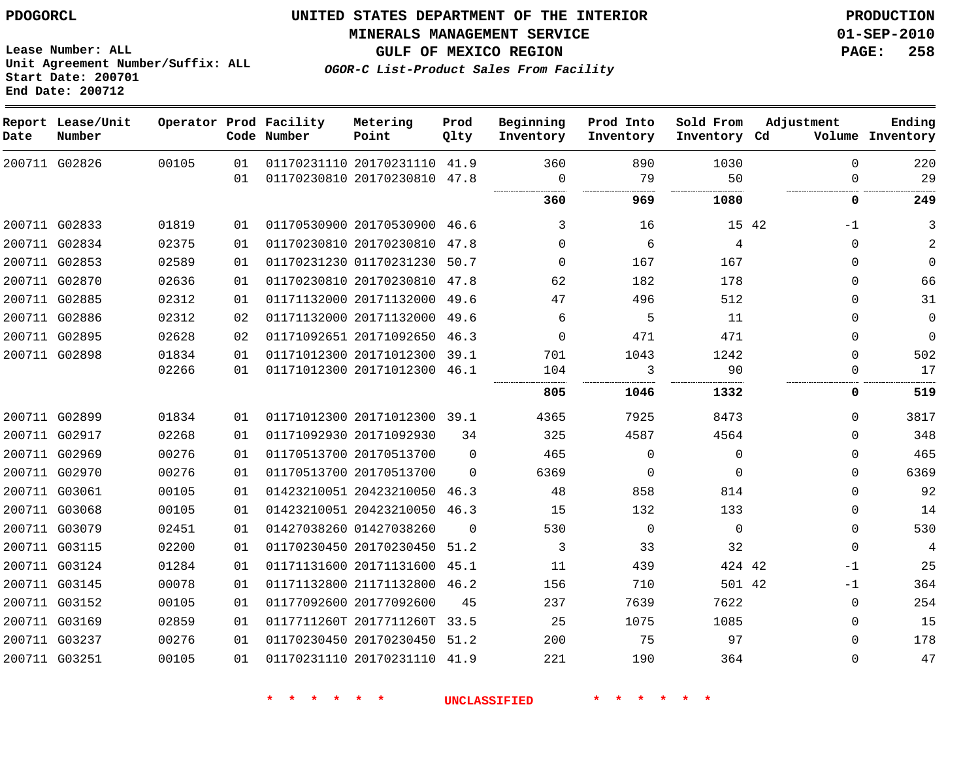**MINERALS MANAGEMENT SERVICE 01-SEP-2010**

**GULF OF MEXICO REGION PAGE: 258**

**OGOR-C List-Product Sales From Facility**

**Lease Number: ALL Unit Agreement Number/Suffix: ALL Start Date: 200701 End Date: 200712**

| Date | Report Lease/Unit<br>Number |       |    | Operator Prod Facility<br>Code Number | Metering<br>Point            | Prod<br>Qlty | Beginning<br>Inventory | Prod Into<br>Inventory | Sold From<br>Inventory Cd | Adjustment  | Ending<br>Volume Inventory |
|------|-----------------------------|-------|----|---------------------------------------|------------------------------|--------------|------------------------|------------------------|---------------------------|-------------|----------------------------|
|      | 200711 G02826               | 00105 | 01 |                                       | 01170231110 20170231110 41.9 |              | 360                    | 890                    | 1030                      | $\Omega$    | 220                        |
|      |                             |       | 01 |                                       | 01170230810 20170230810 47.8 |              | 0                      | 79                     | 50                        | $\Omega$    | 29                         |
|      |                             |       |    |                                       |                              |              | 360                    | 969                    | 1080                      | 0           | 249                        |
|      | 200711 G02833               | 01819 | 01 |                                       | 01170530900 20170530900 46.6 |              | 3                      | 16                     | 15 42                     | $-1$        | 3                          |
|      | 200711 G02834               | 02375 | 01 |                                       | 01170230810 20170230810 47.8 |              | $\Omega$               | 6                      | 4                         | $\Omega$    | 2                          |
|      | 200711 G02853               | 02589 | 01 |                                       | 01170231230 01170231230 50.7 |              | $\Omega$               | 167                    | 167                       | $\Omega$    | $\Omega$                   |
|      | 200711 G02870               | 02636 | 01 |                                       | 01170230810 20170230810 47.8 |              | 62                     | 182                    | 178                       | $\Omega$    | 66                         |
|      | 200711 G02885               | 02312 | 01 |                                       | 01171132000 20171132000      | 49.6         | 47                     | 496                    | 512                       | $\Omega$    | 31                         |
|      | 200711 G02886               | 02312 | 02 |                                       | 01171132000 20171132000 49.6 |              | 6                      | 5                      | 11                        | $\Omega$    | $\mathbf{0}$               |
|      | 200711 G02895               | 02628 | 02 |                                       | 01171092651 20171092650      | 46.3         | $\Omega$               | 471                    | 471                       | $\Omega$    | $\Omega$                   |
|      | 200711 G02898               | 01834 | 01 |                                       | 01171012300 20171012300 39.1 |              | 701                    | 1043                   | 1242                      | $\Omega$    | 502                        |
|      |                             | 02266 | 01 |                                       | 01171012300 20171012300 46.1 |              | 104                    | 3                      | 90                        | $\Omega$    | 17                         |
|      |                             |       |    |                                       |                              |              | 805                    | 1046                   | 1332                      | 0           | 519                        |
|      | 200711 G02899               | 01834 | 01 |                                       | 01171012300 20171012300 39.1 |              | 4365                   | 7925                   | 8473                      | 0           | 3817                       |
|      | 200711 G02917               | 02268 | 01 |                                       | 01171092930 20171092930      | 34           | 325                    | 4587                   | 4564                      | 0           | 348                        |
|      | 200711 G02969               | 00276 | 01 |                                       | 01170513700 20170513700      | $\Omega$     | 465                    | $\mathbf 0$            | $\mathbf 0$               | 0           | 465                        |
|      | 200711 G02970               | 00276 | 01 |                                       | 01170513700 20170513700      | $\Omega$     | 6369                   | 0                      | $\mathbf 0$               | 0           | 6369                       |
|      | 200711 G03061               | 00105 | 01 |                                       | 01423210051 20423210050      | 46.3         | 48                     | 858                    | 814                       | $\Omega$    | 92                         |
|      | 200711 G03068               | 00105 | 01 |                                       | 01423210051 20423210050      | 46.3         | 15                     | 132                    | 133                       | $\mathbf 0$ | 14                         |
|      | 200711 G03079               | 02451 | 01 |                                       | 01427038260 01427038260      | $\Omega$     | 530                    | $\mathbf 0$            | $\Omega$                  | $\mathbf 0$ | 530                        |
|      | 200711 G03115               | 02200 | 01 |                                       | 01170230450 20170230450      | 51.2         | 3                      | 33                     | 32                        | $\mathbf 0$ | 4                          |
|      | 200711 G03124               | 01284 | 01 |                                       | 01171131600 20171131600 45.1 |              | 11                     | 439                    | 424 42                    | $-1$        | 25                         |
|      | 200711 G03145               | 00078 | 01 |                                       | 01171132800 21171132800      | 46.2         | 156                    | 710                    | 501 42                    | $-1$        | 364                        |
|      | 200711 G03152               | 00105 | 01 |                                       | 01177092600 20177092600      | 45           | 237                    | 7639                   | 7622                      | $\mathbf 0$ | 254                        |
|      | 200711 G03169               | 02859 | 01 |                                       | 0117711260T 2017711260T      | 33.5         | 25                     | 1075                   | 1085                      | $\Omega$    | 15                         |
|      | 200711 G03237               | 00276 | 01 |                                       | 01170230450 20170230450 51.2 |              | 200                    | 75                     | 97                        | $\Omega$    | 178                        |
|      | 200711 G03251               | 00105 | 01 |                                       | 01170231110 20170231110 41.9 |              | 221                    | 190                    | 364                       | $\mathbf 0$ | 47                         |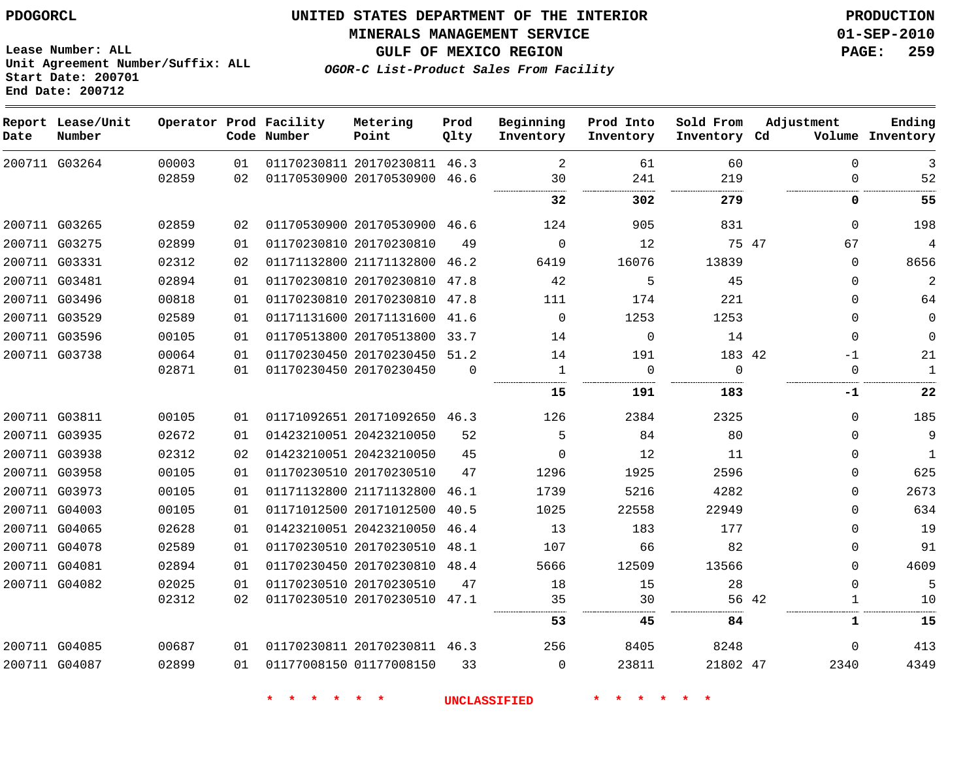**MINERALS MANAGEMENT SERVICE 01-SEP-2010**

**GULF OF MEXICO REGION PAGE: 259**

**OGOR-C List-Product Sales From Facility**

**Lease Number: ALL Unit Agreement Number/Suffix: ALL Start Date: 200701 End Date: 200712**

| Date | Report Lease/Unit<br>Number |       |    | Operator Prod Facility<br>Code Number | Metering<br>Point            | Prod<br>Qlty | Beginning<br>Inventory | Prod Into<br>Inventory | Sold From<br>Inventory Cd | Adjustment            | Ending<br>Volume Inventory |
|------|-----------------------------|-------|----|---------------------------------------|------------------------------|--------------|------------------------|------------------------|---------------------------|-----------------------|----------------------------|
|      | 200711 G03264               | 00003 | 01 |                                       | 01170230811 20170230811      | 46.3         | 2                      | 61                     | 60                        | 0                     | 3                          |
|      |                             | 02859 | 02 |                                       | 01170530900 20170530900 46.6 |              | 30                     | 241                    | 219                       | $\Omega$              | 52                         |
|      |                             |       |    |                                       |                              |              | 32                     | 302                    | 279                       | 0                     | 55                         |
|      | 200711 G03265               | 02859 | 02 |                                       | 01170530900 20170530900 46.6 |              | 124                    | 905                    | 831                       | $\mathbf 0$           | 198                        |
|      | 200711 G03275               | 02899 | 01 |                                       | 01170230810 20170230810      | 49           | $\Omega$               | 12                     | 75 47                     | 67                    | 4                          |
|      | 200711 G03331               | 02312 | 02 |                                       | 01171132800 21171132800 46.2 |              | 6419                   | 16076                  | 13839                     | $\Omega$              | 8656                       |
|      | 200711 G03481               | 02894 | 01 |                                       | 01170230810 20170230810      | 47.8         | 42                     | 5                      | 45                        | $\mathbf 0$           | $\overline{2}$             |
|      | 200711 G03496               | 00818 | 01 |                                       | 01170230810 20170230810 47.8 |              | 111                    | 174                    | 221                       | 0                     | 64                         |
|      | 200711 G03529               | 02589 | 01 |                                       | 01171131600 20171131600 41.6 |              | $\mathbf 0$            | 1253                   | 1253                      | $\mathbf 0$           | $\mathbf 0$                |
|      | 200711 G03596               | 00105 | 01 |                                       | 01170513800 20170513800 33.7 |              | 14                     | $\Omega$               | 14                        | $\Omega$              | $\Omega$                   |
|      | 200711 G03738               | 00064 | 01 |                                       | 01170230450 20170230450 51.2 |              | 14                     | 191                    | 183 42                    | $-1$                  | 21                         |
|      |                             | 02871 | 01 |                                       | 01170230450 20170230450      | $\Omega$     | $\mathbf{1}$<br>       | $\mathbf 0$            | $\Omega$                  | $\mathbf 0$           | $\mathbf{1}$               |
|      |                             |       |    |                                       |                              |              | 15                     | 191                    | 183                       | -1                    | 22                         |
|      | 200711 G03811               | 00105 | 01 |                                       | 01171092651 20171092650 46.3 |              | 126                    | 2384                   | 2325                      | $\mathbf 0$           | 185                        |
|      | 200711 G03935               | 02672 | 01 |                                       | 01423210051 20423210050      | 52           | 5                      | 84                     | 80                        | $\Omega$              | 9                          |
|      | 200711 G03938               | 02312 | 02 |                                       | 01423210051 20423210050      | 45           | $\Omega$               | 12                     | 11                        | 0                     | $\mathbf{1}$               |
|      | 200711 G03958               | 00105 | 01 |                                       | 01170230510 20170230510      | 47           | 1296                   | 1925                   | 2596                      | $\Omega$              | 625                        |
|      | 200711 G03973               | 00105 | 01 |                                       | 01171132800 21171132800      | 46.1         | 1739                   | 5216                   | 4282                      | $\Omega$              | 2673                       |
|      | 200711 G04003               | 00105 | 01 |                                       | 01171012500 20171012500      | 40.5         | 1025                   | 22558                  | 22949                     | $\Omega$              | 634                        |
|      | 200711 G04065               | 02628 | 01 |                                       | 01423210051 20423210050      | 46.4         | 13                     | 183                    | 177                       | $\Omega$              | 19                         |
|      | 200711 G04078               | 02589 | 01 |                                       | 01170230510 20170230510      | 48.1         | 107                    | 66                     | 82                        | $\mathbf 0$           | 91                         |
|      | 200711 G04081               | 02894 | 01 |                                       | 01170230450 20170230810 48.4 |              | 5666                   | 12509                  | 13566                     | $\Omega$              | 4609                       |
|      | 200711 G04082               | 02025 | 01 |                                       | 01170230510 20170230510      | 47           | 18                     | 15                     | 28                        | $\mathbf 0$           | 5                          |
|      |                             | 02312 | 02 |                                       | 01170230510 20170230510 47.1 |              | 35                     | 30                     |                           | 56 42<br>$\mathbf{1}$ | 10                         |
|      |                             |       |    |                                       |                              |              | 53                     | 45                     | 84                        | $\mathbf{1}$          | 15                         |
|      | 200711 G04085               | 00687 | 01 |                                       | 01170230811 20170230811 46.3 |              | 256                    | 8405                   | 8248                      | $\mathbf 0$           | 413                        |
|      | 200711 G04087               | 02899 | 01 |                                       | 01177008150 01177008150      | 33           | $\Omega$               | 23811                  | 21802 47                  | 2340                  | 4349                       |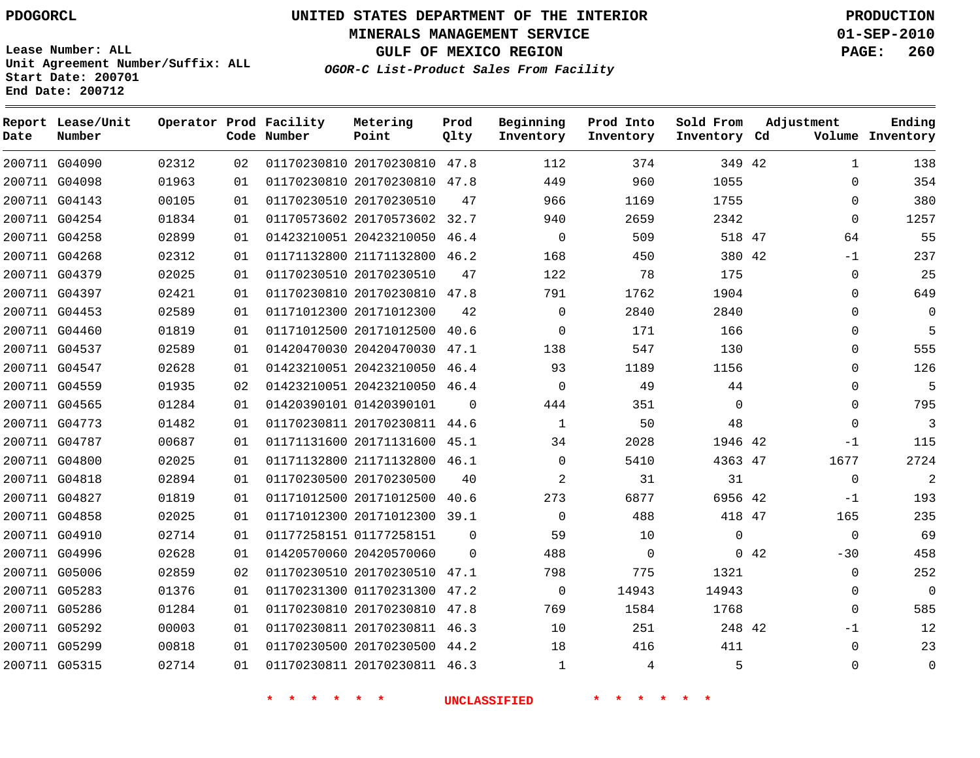**Start Date: 200701 End Date: 200712**

**Unit Agreement Number/Suffix: ALL**

# **UNITED STATES DEPARTMENT OF THE INTERIOR PDOGORCL PRODUCTION**

**MINERALS MANAGEMENT SERVICE 01-SEP-2010**

**GULF OF MEXICO REGION PAGE: 260**

**OGOR-C List-Product Sales From Facility**

| Date | Report Lease/Unit<br>Number |       |    | Operator Prod Facility<br>Code Number | Metering<br>Point            | Prod<br>Qlty | Beginning<br>Inventory | Prod Into<br>Inventory | Sold From<br>Inventory Cd |     | Adjustment   | Ending<br>Volume Inventory |
|------|-----------------------------|-------|----|---------------------------------------|------------------------------|--------------|------------------------|------------------------|---------------------------|-----|--------------|----------------------------|
|      | 200711 G04090               | 02312 | 02 |                                       | 01170230810 20170230810 47.8 |              | 112                    | 374                    | 349 42                    |     | $\mathbf{1}$ | 138                        |
|      | 200711 G04098               | 01963 | 01 |                                       | 01170230810 20170230810      | 47.8         | 449                    | 960                    | 1055                      |     | $\Omega$     | 354                        |
|      | 200711 G04143               | 00105 | 01 |                                       | 01170230510 20170230510      | 47           | 966                    | 1169                   | 1755                      |     | $\mathbf 0$  | 380                        |
|      | 200711 G04254               | 01834 | 01 |                                       | 01170573602 20170573602 32.7 |              | 940                    | 2659                   | 2342                      |     | $\mathbf 0$  | 1257                       |
|      | 200711 G04258               | 02899 | 01 |                                       | 01423210051 20423210050      | 46.4         | $\mathbf 0$            | 509                    | 518 47                    |     | 64           | 55                         |
|      | 200711 G04268               | 02312 | 01 |                                       | 01171132800 21171132800      | 46.2         | 168                    | 450                    | 380 42                    |     | $-1$         | 237                        |
|      | 200711 G04379               | 02025 | 01 |                                       | 01170230510 20170230510      | 47           | 122                    | 78                     | 175                       |     | $\mathbf 0$  | 25                         |
|      | 200711 G04397               | 02421 | 01 |                                       | 01170230810 20170230810 47.8 |              | 791                    | 1762                   | 1904                      |     | $\mathbf 0$  | 649                        |
|      | 200711 G04453               | 02589 | 01 |                                       | 01171012300 20171012300      | 42           | $\Omega$               | 2840                   | 2840                      |     | $\Omega$     | $\Omega$                   |
|      | 200711 G04460               | 01819 | 01 |                                       | 01171012500 20171012500      | 40.6         | $\mathbf 0$            | 171                    | 166                       |     | $\Omega$     | - 5                        |
|      | 200711 G04537               | 02589 | 01 |                                       | 01420470030 20420470030      | 47.1         | 138                    | 547                    | 130                       |     | $\Omega$     | 555                        |
|      | 200711 G04547               | 02628 | 01 |                                       | 01423210051 20423210050      | 46.4         | 93                     | 1189                   | 1156                      |     | $\Omega$     | 126                        |
|      | 200711 G04559               | 01935 | 02 |                                       | 01423210051 20423210050 46.4 |              | $\mathbf 0$            | 49                     | 44                        |     | $\mathbf 0$  | 5                          |
|      | 200711 G04565               | 01284 | 01 |                                       | 01420390101 01420390101      | $\Omega$     | 444                    | 351                    | $\mathbf 0$               |     | $\Omega$     | 795                        |
|      | 200711 G04773               | 01482 | 01 |                                       | 01170230811 20170230811 44.6 |              | $\mathbf{1}$           | 50                     | 48                        |     | $\Omega$     | $\overline{\mathbf{3}}$    |
|      | 200711 G04787               | 00687 | 01 |                                       | 01171131600 20171131600      | 45.1         | 34                     | 2028                   | 1946 42                   |     | $-1$         | 115                        |
|      | 200711 G04800               | 02025 | 01 |                                       | 01171132800 21171132800      | 46.1         | $\mathbf 0$            | 5410                   | 4363 47                   |     | 1677         | 2724                       |
|      | 200711 G04818               | 02894 | 01 |                                       | 01170230500 20170230500      | 40           | 2                      | 31                     | 31                        |     | $\mathbf 0$  | 2                          |
|      | 200711 G04827               | 01819 | 01 |                                       | 01171012500 20171012500      | 40.6         | 273                    | 6877                   | 6956 42                   |     | $-1$         | 193                        |
|      | 200711 G04858               | 02025 | 01 |                                       | 01171012300 20171012300 39.1 |              | $\mathbf 0$            | 488                    | 418 47                    |     | 165          | 235                        |
|      | 200711 G04910               | 02714 | 01 |                                       | 01177258151 01177258151      | $\Omega$     | 59                     | 10                     | $\mathbf 0$               |     | $\mathbf 0$  | 69                         |
|      | 200711 G04996               | 02628 | 01 |                                       | 01420570060 20420570060      | $\Omega$     | 488                    | $\mathbf 0$            |                           | 042 | $-30$        | 458                        |
|      | 200711 G05006               | 02859 | 02 |                                       | 01170230510 20170230510      | 47.1         | 798                    | 775                    | 1321                      |     | $\Omega$     | 252                        |
|      | 200711 G05283               | 01376 | 01 |                                       | 01170231300 01170231300      | 47.2         | $\mathbf 0$            | 14943                  | 14943                     |     | $\Omega$     | $\overline{0}$             |
|      | 200711 G05286               | 01284 | 01 |                                       | 01170230810 20170230810      | 47.8         | 769                    | 1584                   | 1768                      |     | $\Omega$     | 585                        |
|      | 200711 G05292               | 00003 | 01 |                                       | 01170230811 20170230811 46.3 |              | 10                     | 251                    | 248 42                    |     | $-1$         | 12                         |
|      | 200711 G05299               | 00818 | 01 |                                       | 01170230500 20170230500      | 44.2         | 18                     | 416                    | 411                       |     | $\mathbf 0$  | 23                         |
|      | 200711 G05315               | 02714 | 01 |                                       | 01170230811 20170230811 46.3 |              | $\mathbf{1}$           | 4                      | 5                         |     | $\Omega$     | $\Omega$                   |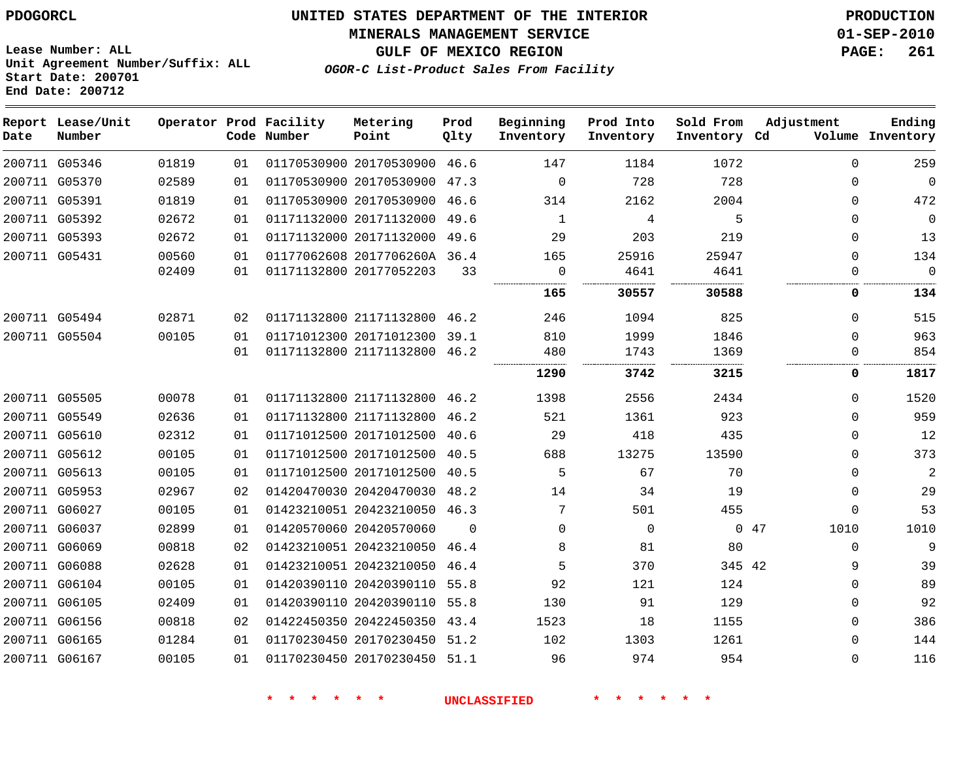**MINERALS MANAGEMENT SERVICE 01-SEP-2010**

**GULF OF MEXICO REGION PAGE: 261**

**Lease Number: ALL Unit Agreement Number/Suffix: ALL Start Date: 200701 End Date: 200712**

**OGOR-C List-Product Sales From Facility**

| Date | Report Lease/Unit<br>Number |       |    | Operator Prod Facility<br>Code Number | Metering<br>Point            | Prod<br>Qlty | Beginning<br>Inventory | Prod Into<br>Inventory | Sold From<br>Inventory Cd | Adjustment   | Ending<br>Volume Inventory |
|------|-----------------------------|-------|----|---------------------------------------|------------------------------|--------------|------------------------|------------------------|---------------------------|--------------|----------------------------|
|      | 200711 G05346               | 01819 | 01 |                                       | 01170530900 20170530900 46.6 |              | 147                    | 1184                   | 1072                      | $\Omega$     | 259                        |
|      | 200711 G05370               | 02589 | 01 |                                       | 01170530900 20170530900 47.3 |              | $\mathbf 0$            | 728                    | 728                       | 0            | $\overline{0}$             |
|      | 200711 G05391               | 01819 | 01 |                                       | 01170530900 20170530900 46.6 |              | 314                    | 2162                   | 2004                      | 0            | 472                        |
|      | 200711 G05392               | 02672 | 01 |                                       | 01171132000 20171132000      | 49.6         | 1                      | 4                      | 5                         | 0            | $\mathbf 0$                |
|      | 200711 G05393               | 02672 | 01 |                                       | 01171132000 20171132000      | 49.6         | 29                     | 203                    | 219                       | $\mathbf{0}$ | 13                         |
|      | 200711 G05431               | 00560 | 01 |                                       | 01177062608 2017706260A 36.4 |              | 165                    | 25916                  | 25947                     | $\mathbf{0}$ | 134                        |
|      |                             | 02409 | 01 |                                       | 01171132800 20177052203      | 33           | $\mathbf 0$            | 4641                   | 4641                      | 0            | $\Omega$                   |
|      |                             |       |    |                                       |                              |              | 165                    | 30557                  | 30588                     | 0            | 134                        |
|      | 200711 G05494               | 02871 | 02 |                                       | 01171132800 21171132800 46.2 |              | 246                    | 1094                   | 825                       | $\mathbf{0}$ | 515                        |
|      | 200711 G05504               | 00105 | 01 |                                       | 01171012300 20171012300 39.1 |              | 810                    | 1999                   | 1846                      | $\Omega$     | 963                        |
|      |                             |       | 01 |                                       | 01171132800 21171132800 46.2 |              | 480                    | 1743                   | 1369                      | $\mathbf{0}$ | 854                        |
|      |                             |       |    |                                       |                              |              | 1290                   | 3742                   | 3215                      | 0            | 1817                       |
|      | 200711 G05505               | 00078 | 01 |                                       | 01171132800 21171132800 46.2 |              | 1398                   | 2556                   | 2434                      | $\Omega$     | 1520                       |
|      | 200711 G05549               | 02636 | 01 |                                       | 01171132800 21171132800 46.2 |              | 521                    | 1361                   | 923                       | $\Omega$     | 959                        |
|      | 200711 G05610               | 02312 | 01 |                                       | 01171012500 20171012500 40.6 |              | 29                     | 418                    | 435                       | 0            | 12                         |
|      | 200711 G05612               | 00105 | 01 |                                       | 01171012500 20171012500      | 40.5         | 688                    | 13275                  | 13590                     | $\Omega$     | 373                        |
|      | 200711 G05613               | 00105 | 01 |                                       | 01171012500 20171012500 40.5 |              | 5                      | 67                     | 70                        | $\Omega$     | $\sqrt{2}$                 |
|      | 200711 G05953               | 02967 | 02 |                                       | 01420470030 20420470030 48.2 |              | 14                     | 34                     | 19                        | $\Omega$     | 29                         |
|      | 200711 G06027               | 00105 | 01 |                                       | 01423210051 20423210050 46.3 |              | 7                      | 501                    | 455                       | 0            | 53                         |
|      | 200711 G06037               | 02899 | 01 |                                       | 01420570060 20420570060      | $\Omega$     | $\Omega$               | $\mathbf 0$            |                           | 047<br>1010  | 1010                       |
|      | 200711 G06069               | 00818 | 02 |                                       | 01423210051 20423210050 46.4 |              | 8                      | 81                     | 80                        | $\Omega$     | $\mathsf 9$                |
|      | 200711 G06088               | 02628 | 01 |                                       | 01423210051 20423210050 46.4 |              | 5                      | 370                    | 345 42                    | 9            | 39                         |
|      | 200711 G06104               | 00105 | 01 |                                       | 01420390110 20420390110 55.8 |              | 92                     | 121                    | 124                       | $\Omega$     | 89                         |
|      | 200711 G06105               | 02409 | 01 |                                       | 01420390110 20420390110 55.8 |              | 130                    | 91                     | 129                       | $\Omega$     | 92                         |
|      | 200711 G06156               | 00818 | 02 |                                       | 01422450350 20422450350 43.4 |              | 1523                   | 18                     | 1155                      | $\Omega$     | 386                        |
|      | 200711 G06165               | 01284 | 01 |                                       | 01170230450 20170230450 51.2 |              | 102                    | 1303                   | 1261                      | $\Omega$     | 144                        |
|      | 200711 G06167               | 00105 | 01 |                                       | 01170230450 20170230450 51.1 |              | 96                     | 974                    | 954                       | $\Omega$     | 116                        |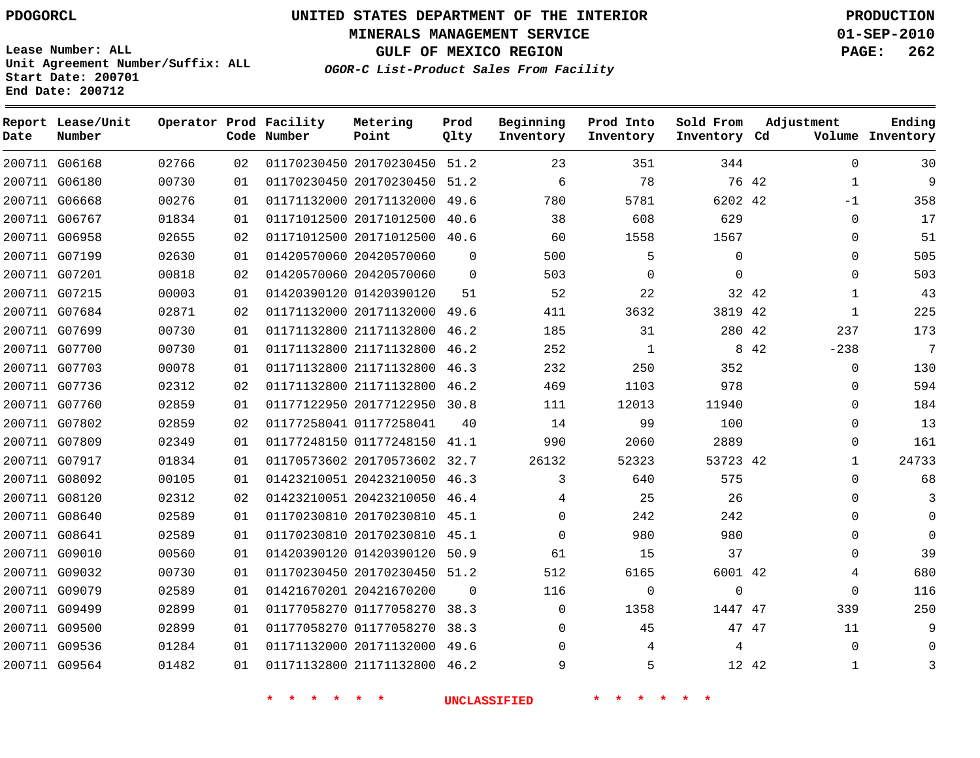**Start Date: 200701 End Date: 200712**

**Unit Agreement Number/Suffix: ALL**

# **UNITED STATES DEPARTMENT OF THE INTERIOR PDOGORCL PRODUCTION**

**MINERALS MANAGEMENT SERVICE 01-SEP-2010**

**GULF OF MEXICO REGION PAGE: 262**

**OGOR-C List-Product Sales From Facility**

| Date | Report Lease/Unit<br>Number |       |    | Operator Prod Facility<br>Code Number | Metering<br>Point            | Prod<br>Qlty | Beginning<br>Inventory | Prod Into<br>Inventory | Sold From<br>Inventory Cd | Adjustment            | Ending<br>Volume Inventory |
|------|-----------------------------|-------|----|---------------------------------------|------------------------------|--------------|------------------------|------------------------|---------------------------|-----------------------|----------------------------|
|      | 200711 G06168               | 02766 | 02 |                                       | 01170230450 20170230450 51.2 |              | 23                     | 351                    | 344                       | $\Omega$              | 30                         |
|      | 200711 G06180               | 00730 | 01 |                                       | 01170230450 20170230450      | 51.2         | 6                      | 78                     |                           | 76 42<br>$\mathbf{1}$ | 9                          |
|      | 200711 G06668               | 00276 | 01 |                                       | 01171132000 20171132000      | 49.6         | 780                    | 5781                   | 6202 42                   | $-1$                  | 358                        |
|      | 200711 G06767               | 01834 | 01 |                                       | 01171012500 20171012500      | 40.6         | 38                     | 608                    | 629                       | $\Omega$              | 17                         |
|      | 200711 G06958               | 02655 | 02 |                                       | 01171012500 20171012500      | 40.6         | 60                     | 1558                   | 1567                      | $\mathbf 0$           | 51                         |
|      | 200711 G07199               | 02630 | 01 |                                       | 01420570060 20420570060      | $\Omega$     | 500                    | 5                      | $\mathbf 0$               | $\mathbf{0}$          | 505                        |
|      | 200711 G07201               | 00818 | 02 |                                       | 01420570060 20420570060      | $\Omega$     | 503                    | $\Omega$               | $\Omega$                  | $\Omega$              | 503                        |
|      | 200711 G07215               | 00003 | 01 |                                       | 01420390120 01420390120      | 51           | 52                     | 22                     |                           | 32 42<br>$\mathbf{1}$ | 43                         |
|      | 200711 G07684               | 02871 | 02 |                                       | 01171132000 20171132000 49.6 |              | 411                    | 3632                   | 3819 42                   | $\mathbf{1}$          | 225                        |
|      | 200711 G07699               | 00730 | 01 |                                       | 01171132800 21171132800      | 46.2         | 185                    | 31                     | 280 42                    | 237                   | 173                        |
|      | 200711 G07700               | 00730 | 01 |                                       | 01171132800 21171132800      | 46.2         | 252                    | $\mathbf{1}$           |                           | 8 4 2<br>$-238$       | $7\phantom{.0}$            |
|      | 200711 G07703               | 00078 | 01 |                                       | 01171132800 21171132800      | 46.3         | 232                    | 250                    | 352                       | $\Omega$              | 130                        |
|      | 200711 G07736               | 02312 | 02 |                                       | 01171132800 21171132800      | 46.2         | 469                    | 1103                   | 978                       | $\mathbf 0$           | 594                        |
|      | 200711 G07760               | 02859 | 01 |                                       | 01177122950 20177122950      | 30.8         | 111                    | 12013                  | 11940                     | $\Omega$              | 184                        |
|      | 200711 G07802               | 02859 | 02 |                                       | 01177258041 01177258041      | 40           | 14                     | 99                     | 100                       | $\Omega$              | 13                         |
|      | 200711 G07809               | 02349 | 01 |                                       | 01177248150 01177248150      | 41.1         | 990                    | 2060                   | 2889                      | $\Omega$              | 161                        |
|      | 200711 G07917               | 01834 | 01 |                                       | 01170573602 20170573602      | 32.7         | 26132                  | 52323                  | 53723 42                  | 1                     | 24733                      |
|      | 200711 G08092               | 00105 | 01 |                                       | 01423210051 20423210050      | 46.3         | 3                      | 640                    | 575                       | $\mathbf{0}$          | 68                         |
|      | 200711 G08120               | 02312 | 02 |                                       | 01423210051 20423210050      | 46.4         | 4                      | 25                     | 26                        | $\Omega$              | 3                          |
|      | 200711 G08640               | 02589 | 01 |                                       | 01170230810 20170230810 45.1 |              | $\Omega$               | 242                    | 242                       | $\Omega$              | $\Omega$                   |
|      | 200711 G08641               | 02589 | 01 |                                       | 01170230810 20170230810      | 45.1         | $\mathbf 0$            | 980                    | 980                       | $\Omega$              | $\Omega$                   |
|      | 200711 G09010               | 00560 | 01 |                                       | 01420390120 01420390120      | 50.9         | 61                     | 15                     | 37                        | $\Omega$              | 39                         |
|      | 200711 G09032               | 00730 | 01 |                                       | 01170230450 20170230450      | 51.2         | 512                    | 6165                   | 6001 42                   | 4                     | 680                        |
|      | 200711 G09079               | 02589 | 01 |                                       | 01421670201 20421670200      | $\Omega$     | 116                    | $\mathbf 0$            | $\mathbf 0$               | $\Omega$              | 116                        |
|      | 200711 G09499               | 02899 | 01 |                                       | 01177058270 01177058270      | 38.3         | $\Omega$               | 1358                   | 1447 47                   | 339                   | 250                        |
|      | 200711 G09500               | 02899 | 01 |                                       | 01177058270 01177058270      | 38.3         | $\mathbf 0$            | 45                     | 47 47                     | 11                    | 9                          |
|      | 200711 G09536               | 01284 | 01 |                                       | 01171132000 20171132000      | 49.6         | $\Omega$               | 4                      | 4                         | $\mathbf 0$           | $\mathbf 0$                |
|      | 200711 G09564               | 01482 | 01 |                                       | 01171132800 21171132800      | 46.2         | 9                      | 5                      | 12 42                     | $\mathbf{1}$          | 3                          |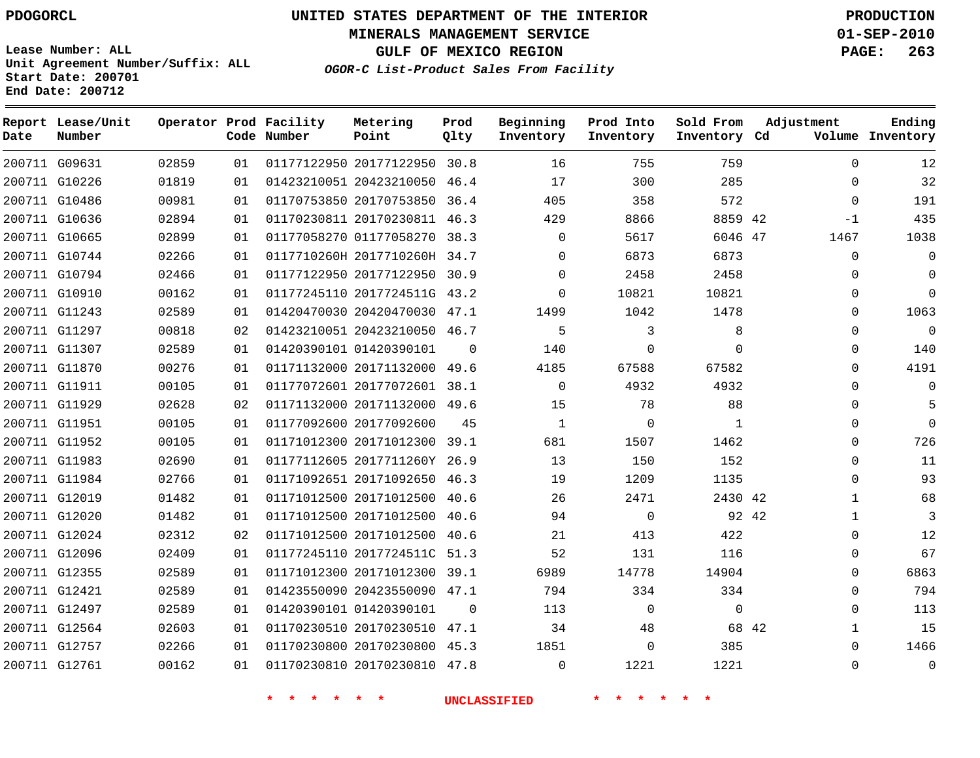**MINERALS MANAGEMENT SERVICE 01-SEP-2010**

**GULF OF MEXICO REGION PAGE: 263**

**Lease Number: ALL Unit Agreement Number/Suffix: ALL Start Date: 200701 End Date: 200712**

**OGOR-C List-Product Sales From Facility**

| Date | Report Lease/Unit<br>Number |       |    | Operator Prod Facility<br>Code Number | Metering<br>Point            | Prod<br>Qlty | Beginning<br>Inventory | Prod Into<br>Inventory | Sold From<br>Inventory Cd | Adjustment            | Ending<br>Volume Inventory |
|------|-----------------------------|-------|----|---------------------------------------|------------------------------|--------------|------------------------|------------------------|---------------------------|-----------------------|----------------------------|
|      | 200711 G09631               | 02859 | 01 |                                       | 01177122950 20177122950      | 30.8         | 16                     | 755                    | 759                       | $\Omega$              | 12                         |
|      | 200711 G10226               | 01819 | 01 |                                       | 01423210051 20423210050      | 46.4         | 17                     | 300                    | 285                       | $\mathbf 0$           | 32                         |
|      | 200711 G10486               | 00981 | 01 |                                       | 01170753850 20170753850 36.4 |              | 405                    | 358                    | 572                       | $\Omega$              | 191                        |
|      | 200711 G10636               | 02894 | 01 |                                       | 01170230811 20170230811 46.3 |              | 429                    | 8866                   | 8859 42                   | $-1$                  | 435                        |
|      | 200711 G10665               | 02899 | 01 |                                       | 01177058270 01177058270 38.3 |              | $\Omega$               | 5617                   | 6046 47                   | 1467                  | 1038                       |
|      | 200711 G10744               | 02266 | 01 |                                       | 0117710260H 2017710260H 34.7 |              | $\mathbf 0$            | 6873                   | 6873                      | 0                     | 0                          |
|      | 200711 G10794               | 02466 | 01 |                                       | 01177122950 20177122950 30.9 |              | $\Omega$               | 2458                   | 2458                      | $\Omega$              | $\Omega$                   |
|      | 200711 G10910               | 00162 | 01 |                                       | 01177245110 2017724511G 43.2 |              | $\Omega$               | 10821                  | 10821                     | 0                     | $\Omega$                   |
|      | 200711 G11243               | 02589 | 01 |                                       | 01420470030 20420470030 47.1 |              | 1499                   | 1042                   | 1478                      | 0                     | 1063                       |
|      | 200711 G11297               | 00818 | 02 |                                       | 01423210051 20423210050 46.7 |              | 5                      | 3                      | 8                         | $\mathbf 0$           | $\mathbf 0$                |
|      | 200711 G11307               | 02589 | 01 |                                       | 01420390101 01420390101      | $\Omega$     | 140                    | $\mathbf 0$            | $\Omega$                  | $\Omega$              | 140                        |
|      | 200711 G11870               | 00276 | 01 |                                       | 01171132000 20171132000      | 49.6         | 4185                   | 67588                  | 67582                     | $\Omega$              | 4191                       |
|      | 200711 G11911               | 00105 | 01 |                                       | 01177072601 20177072601 38.1 |              | $\Omega$               | 4932                   | 4932                      | $\Omega$              | $\Omega$                   |
|      | 200711 G11929               | 02628 | 02 |                                       | 01171132000 20171132000 49.6 |              | 15                     | 78                     | 88                        | 0                     | 5                          |
|      | 200711 G11951               | 00105 | 01 |                                       | 01177092600 20177092600      | 45           | $\mathbf{1}$           | $\mathbf 0$            | $\mathbf{1}$              | $\Omega$              | $\Omega$                   |
|      | 200711 G11952               | 00105 | 01 |                                       | 01171012300 20171012300 39.1 |              | 681                    | 1507                   | 1462                      | $\Omega$              | 726                        |
|      | 200711 G11983               | 02690 | 01 |                                       | 01177112605 2017711260Y 26.9 |              | 13                     | 150                    | 152                       | 0                     | 11                         |
|      | 200711 G11984               | 02766 | 01 |                                       | 01171092651 20171092650 46.3 |              | 19                     | 1209                   | 1135                      | 0                     | 93                         |
|      | 200711 G12019               | 01482 | 01 |                                       | 01171012500 20171012500 40.6 |              | 26                     | 2471                   | 2430 42                   | $\mathbf{1}$          | 68                         |
|      | 200711 G12020               | 01482 | 01 |                                       | 01171012500 20171012500      | 40.6         | 94                     | $\mathbf 0$            |                           | 92 42<br>$\mathbf{1}$ | 3                          |
|      | 200711 G12024               | 02312 | 02 |                                       | 01171012500 20171012500 40.6 |              | 21                     | 413                    | 422                       | $\Omega$              | 12                         |
|      | 200711 G12096               | 02409 | 01 |                                       | 01177245110 2017724511C 51.3 |              | 52                     | 131                    | 116                       | 0                     | 67                         |
|      | 200711 G12355               | 02589 | 01 |                                       | 01171012300 20171012300 39.1 |              | 6989                   | 14778                  | 14904                     | $\Omega$              | 6863                       |
|      | 200711 G12421               | 02589 | 01 |                                       | 01423550090 20423550090 47.1 |              | 794                    | 334                    | 334                       | $\Omega$              | 794                        |
|      | 200711 G12497               | 02589 | 01 |                                       | 01420390101 01420390101      | $\Omega$     | 113                    | $\mathbf 0$            | $\mathbf 0$               | $\Omega$              | 113                        |
|      | 200711 G12564               | 02603 | 01 |                                       | 01170230510 20170230510 47.1 |              | 34                     | 48                     |                           | 68 42<br>$\mathbf{1}$ | 15                         |
|      | 200711 G12757               | 02266 | 01 |                                       | 01170230800 20170230800 45.3 |              | 1851                   | $\Omega$               | 385                       | $\Omega$              | 1466                       |
|      | 200711 G12761               | 00162 | 01 |                                       | 01170230810 20170230810 47.8 |              | $\Omega$               | 1221                   | 1221                      | $\Omega$              | $\mathbf 0$                |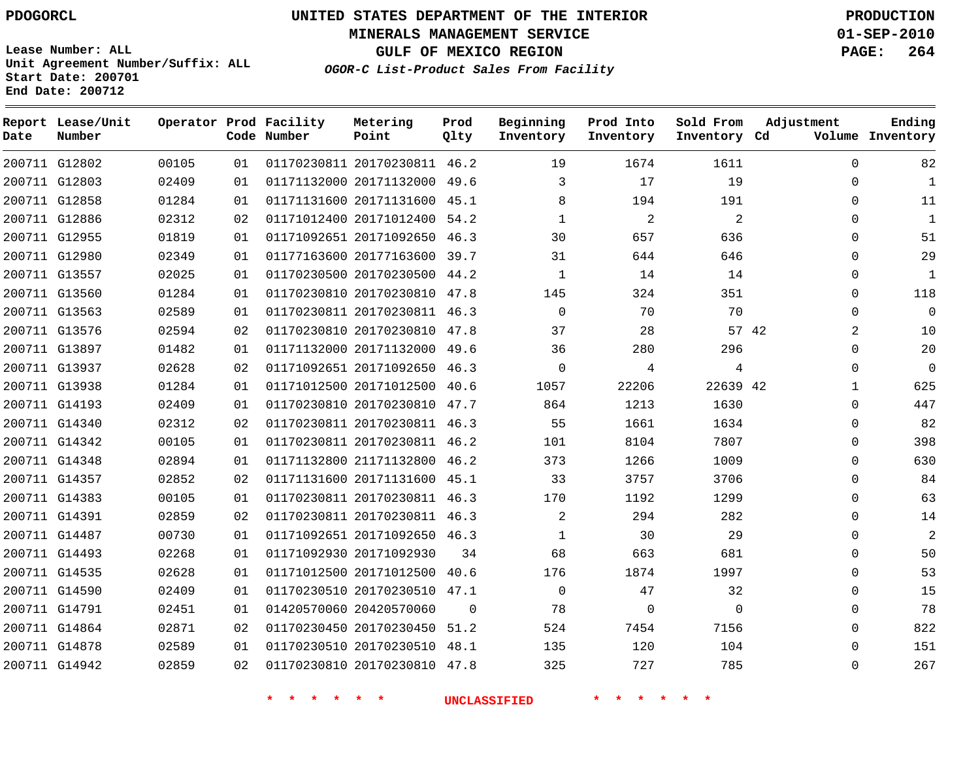**MINERALS MANAGEMENT SERVICE 01-SEP-2010**

**GULF OF MEXICO REGION PAGE: 264**

**Lease Number: ALL Unit Agreement Number/Suffix: ALL Start Date: 200701 End Date: 200712**

**OGOR-C List-Product Sales From Facility**

| Date | Report Lease/Unit<br>Number |       |    | Operator Prod Facility<br>Code Number | Metering<br>Point            | Prod<br>Qlty | Beginning<br>Inventory | Prod Into<br>Inventory | Sold From<br>Inventory Cd | Adjustment   | Ending<br>Volume Inventory |
|------|-----------------------------|-------|----|---------------------------------------|------------------------------|--------------|------------------------|------------------------|---------------------------|--------------|----------------------------|
|      | 200711 G12802               | 00105 | 01 |                                       | 01170230811 20170230811 46.2 |              | 19                     | 1674                   | 1611                      | $\Omega$     | 82                         |
|      | 200711 G12803               | 02409 | 01 |                                       | 01171132000 20171132000 49.6 |              | 3                      | 17                     | 19                        | $\Omega$     | $\mathbf 1$                |
|      | 200711 G12858               | 01284 | 01 |                                       | 01171131600 20171131600      | 45.1         | 8                      | 194                    | 191                       | $\Omega$     | 11                         |
|      | 200711 G12886               | 02312 | 02 |                                       | 01171012400 20171012400 54.2 |              | $\mathbf{1}$           | 2                      | 2                         | $\Omega$     | $\mathbf{1}$               |
|      | 200711 G12955               | 01819 | 01 |                                       | 01171092651 20171092650 46.3 |              | 30                     | 657                    | 636                       | $\Omega$     | 51                         |
|      | 200711 G12980               | 02349 | 01 |                                       | 01177163600 20177163600 39.7 |              | 31                     | 644                    | 646                       | $\Omega$     | 29                         |
|      | 200711 G13557               | 02025 | 01 |                                       | 01170230500 20170230500      | 44.2         | $\mathbf{1}$           | 14                     | 14                        | $\Omega$     | $\mathbf 1$                |
|      | 200711 G13560               | 01284 | 01 |                                       | 01170230810 20170230810 47.8 |              | 145                    | 324                    | 351                       | $\Omega$     | 118                        |
|      | 200711 G13563               | 02589 | 01 |                                       | 01170230811 20170230811 46.3 |              | $\Omega$               | 70                     | 70                        | $\Omega$     | $\Omega$                   |
|      | 200711 G13576               | 02594 | 02 |                                       | 01170230810 20170230810 47.8 |              | 37                     | 28                     |                           | 57 42<br>2   | 10                         |
|      | 200711 G13897               | 01482 | 01 |                                       | 01171132000 20171132000      | 49.6         | 36                     | 280                    | 296                       | $\Omega$     | 20                         |
|      | 200711 G13937               | 02628 | 02 |                                       | 01171092651 20171092650 46.3 |              | $\Omega$               | 4                      | 4                         | $\Omega$     | 0                          |
|      | 200711 G13938               | 01284 | 01 |                                       | 01171012500 20171012500      | 40.6         | 1057                   | 22206                  | 22639 42                  | $\mathbf{1}$ | 625                        |
|      | 200711 G14193               | 02409 | 01 |                                       | 01170230810 20170230810 47.7 |              | 864                    | 1213                   | 1630                      | $\Omega$     | 447                        |
|      | 200711 G14340               | 02312 | 02 |                                       | 01170230811 20170230811 46.3 |              | 55                     | 1661                   | 1634                      | $\Omega$     | 82                         |
|      | 200711 G14342               | 00105 | 01 |                                       | 01170230811 20170230811 46.2 |              | 101                    | 8104                   | 7807                      | $\Omega$     | 398                        |
|      | 200711 G14348               | 02894 | 01 |                                       | 01171132800 21171132800      | 46.2         | 373                    | 1266                   | 1009                      | $\Omega$     | 630                        |
|      | 200711 G14357               | 02852 | 02 |                                       | 01171131600 20171131600 45.1 |              | 33                     | 3757                   | 3706                      | $\Omega$     | 84                         |
|      | 200711 G14383               | 00105 | 01 |                                       | 01170230811 20170230811      | 46.3         | 170                    | 1192                   | 1299                      | $\Omega$     | 63                         |
|      | 200711 G14391               | 02859 | 02 |                                       | 01170230811 20170230811 46.3 |              | $\overline{a}$         | 294                    | 282                       | 0            | 14                         |
|      | 200711 G14487               | 00730 | 01 |                                       | 01171092651 20171092650 46.3 |              | $\mathbf 1$            | 30                     | 29                        | 0            | $\overline{a}$             |
|      | 200711 G14493               | 02268 | 01 |                                       | 01171092930 20171092930      | 34           | 68                     | 663                    | 681                       | $\Omega$     | 50                         |
|      | 200711 G14535               | 02628 | 01 |                                       | 01171012500 20171012500      | 40.6         | 176                    | 1874                   | 1997                      | $\Omega$     | 53                         |
|      | 200711 G14590               | 02409 | 01 |                                       | 01170230510 20170230510      | 47.1         | $\mathbf 0$            | 47                     | 32                        | 0            | 15                         |
|      | 200711 G14791               | 02451 | 01 |                                       | 01420570060 20420570060      | $\Omega$     | 78                     | 0                      | 0                         | 0            | 78                         |
|      | 200711 G14864               | 02871 | 02 |                                       | 01170230450 20170230450 51.2 |              | 524                    | 7454                   | 7156                      | $\Omega$     | 822                        |
|      | 200711 G14878               | 02589 | 01 |                                       | 01170230510 20170230510 48.1 |              | 135                    | 120                    | 104                       | 0            | 151                        |
|      | 200711 G14942               | 02859 | 02 |                                       | 01170230810 20170230810 47.8 |              | 325                    | 727                    | 785                       | $\Omega$     | 267                        |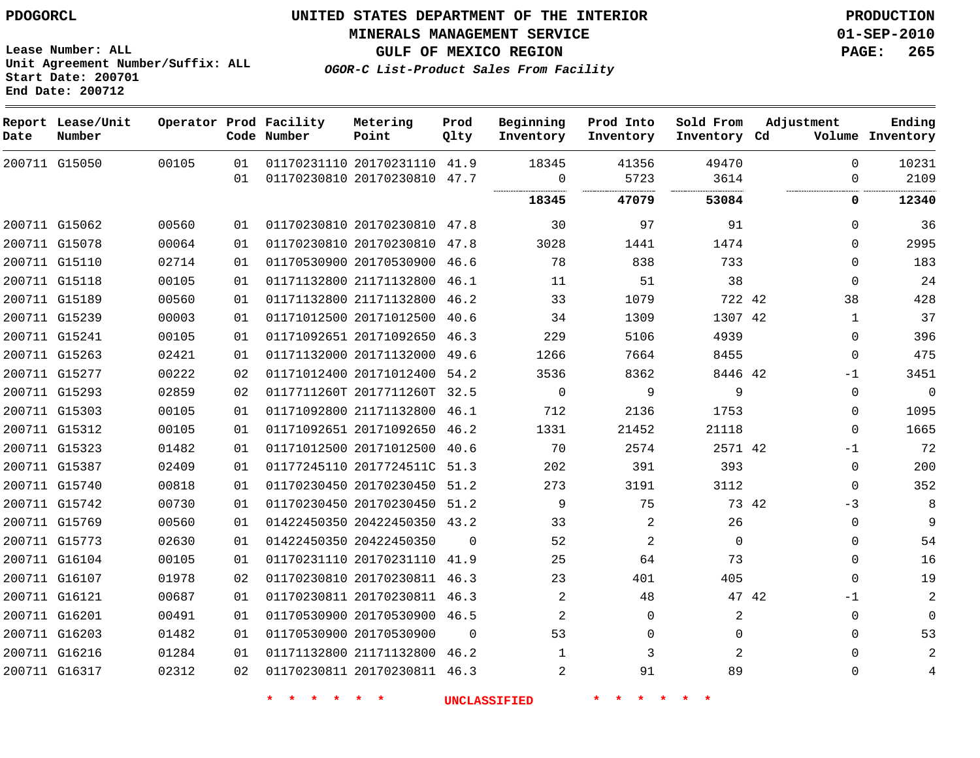**Start Date: 200701 End Date: 200712**

**Unit Agreement Number/Suffix: ALL**

# **UNITED STATES DEPARTMENT OF THE INTERIOR PDOGORCL PRODUCTION**

**MINERALS MANAGEMENT SERVICE 01-SEP-2010**

**GULF OF MEXICO REGION PAGE: 265**

**OGOR-C List-Product Sales From Facility**

|      | Report Lease/Unit |       |    | Operator Prod Facility | Metering                     | Prod     | Beginning      | Prod Into | Sold From    | Adjustment   | Ending           |
|------|-------------------|-------|----|------------------------|------------------------------|----------|----------------|-----------|--------------|--------------|------------------|
| Date | Number            |       |    | Code Number            | Point                        | Qlty     | Inventory      | Inventory | Inventory Cd |              | Volume Inventory |
|      | 200711 G15050     | 00105 | 01 |                        | 01170231110 20170231110 41.9 |          | 18345          | 41356     | 49470        | $\Omega$     | 10231            |
|      |                   |       | 01 |                        | 01170230810 20170230810 47.7 |          | 0              | 5723      | 3614         | $\Omega$     | 2109             |
|      |                   |       |    |                        |                              |          | 18345          | 47079     | 53084        | 0            | 12340            |
|      | 200711 G15062     | 00560 | 01 |                        | 01170230810 20170230810 47.8 |          | 30             | 97        | 91           | $\Omega$     | 36               |
|      | 200711 G15078     | 00064 | 01 |                        | 01170230810 20170230810      | 47.8     | 3028           | 1441      | 1474         | $\Omega$     | 2995             |
|      | 200711 G15110     | 02714 | 01 |                        | 01170530900 20170530900      | 46.6     | 78             | 838       | 733          | $\Omega$     | 183              |
|      | 200711 G15118     | 00105 | 01 |                        | 01171132800 21171132800      | 46.1     | 11             | 51        | 38           | $\Omega$     | 24               |
|      | 200711 G15189     | 00560 | 01 |                        | 01171132800 21171132800      | 46.2     | 33             | 1079      | 722 42       | 38           | 428              |
|      | 200711 G15239     | 00003 | 01 |                        | 01171012500 20171012500      | 40.6     | 34             | 1309      | 1307 42      | $\mathbf{1}$ | 37               |
|      | 200711 G15241     | 00105 | 01 |                        | 01171092651 20171092650 46.3 |          | 229            | 5106      | 4939         | $\Omega$     | 396              |
|      | 200711 G15263     | 02421 | 01 |                        | 01171132000 20171132000      | 49.6     | 1266           | 7664      | 8455         | $\mathbf 0$  | 475              |
|      | 200711 G15277     | 00222 | 02 |                        | 01171012400 20171012400      | 54.2     | 3536           | 8362      | 8446 42      | $-1$         | 3451             |
|      | 200711 G15293     | 02859 | 02 |                        | 0117711260T 2017711260T 32.5 |          | $\Omega$       | 9         | 9            | $\Omega$     | $\overline{0}$   |
|      | 200711 G15303     | 00105 | 01 |                        | 01171092800 21171132800      | 46.1     | 712            | 2136      | 1753         | $\mathbf{0}$ | 1095             |
|      | 200711 G15312     | 00105 | 01 |                        | 01171092651 20171092650 46.2 |          | 1331           | 21452     | 21118        | $\Omega$     | 1665             |
|      | 200711 G15323     | 01482 | 01 |                        | 01171012500 20171012500 40.6 |          | 70             | 2574      | 2571 42      | $-1$         | 72               |
|      | 200711 G15387     | 02409 | 01 |                        | 01177245110 2017724511C 51.3 |          | 202            | 391       | 393          | $\Omega$     | 200              |
|      | 200711 G15740     | 00818 | 01 |                        | 01170230450 20170230450      | 51.2     | 273            | 3191      | 3112         | $\Omega$     | 352              |
|      | 200711 G15742     | 00730 | 01 |                        | 01170230450 20170230450 51.2 |          | 9              | 75        | 73 42        | $-3$         | 8                |
|      | 200711 G15769     | 00560 | 01 |                        | 01422450350 20422450350 43.2 |          | 33             | 2         | 26           | $\Omega$     | 9                |
|      | 200711 G15773     | 02630 | 01 |                        | 01422450350 20422450350      | $\Omega$ | 52             | 2         | $\mathbf 0$  | $\Omega$     | 54               |
|      | 200711 G16104     | 00105 | 01 |                        | 01170231110 20170231110 41.9 |          | 25             | 64        | 73           | $\Omega$     | 16               |
|      | 200711 G16107     | 01978 | 02 |                        | 01170230810 20170230811      | 46.3     | 23             | 401       | 405          | $\Omega$     | 19               |
|      | 200711 G16121     | 00687 | 01 |                        | 01170230811 20170230811 46.3 |          | 2              | 48        | 47 42        | $-1$         | $\overline{a}$   |
|      | 200711 G16201     | 00491 | 01 |                        | 01170530900 20170530900 46.5 |          | 2              | $\Omega$  | 2            | $\Omega$     | $\mathbf 0$      |
|      | 200711 G16203     | 01482 | 01 |                        | 01170530900 20170530900      | $\Omega$ | 53             | 0         | $\Omega$     | $\Omega$     | 53               |
|      | 200711 G16216     | 01284 | 01 |                        | 01171132800 21171132800 46.2 |          | $\mathbf{1}$   | 3         | 2            | $\Omega$     | $\overline{a}$   |
|      | 200711 G16317     | 02312 | 02 |                        | 01170230811 20170230811 46.3 |          | $\overline{2}$ | 91        | 89           | $\Omega$     | 4                |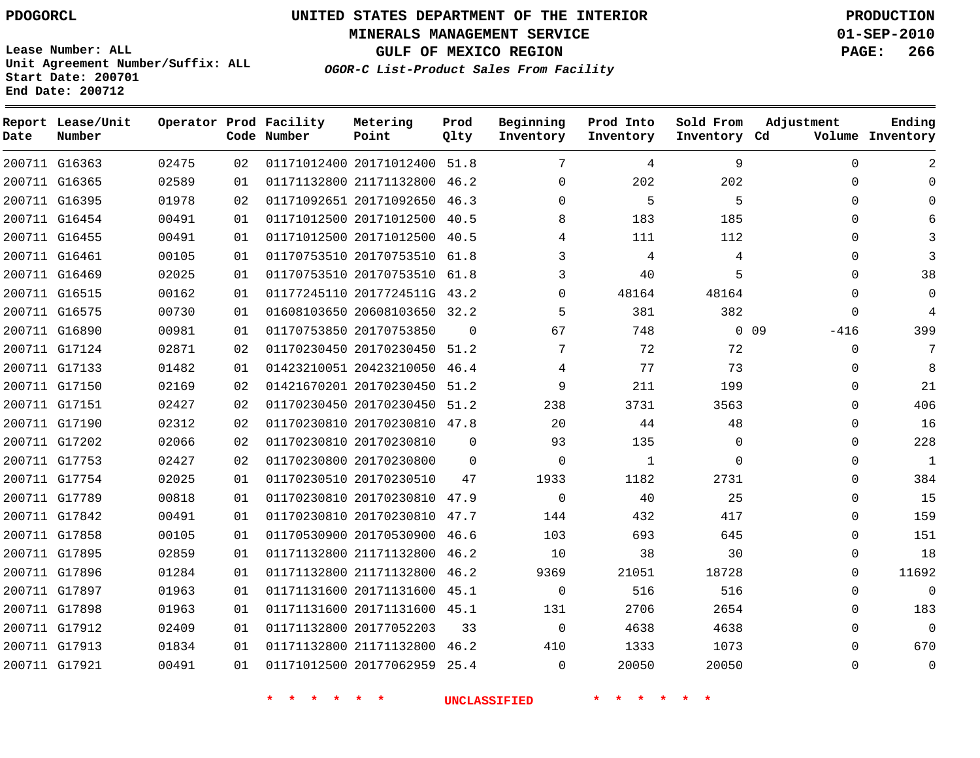**Date**

**Report Lease/Unit**

**Number**

# **UNITED STATES DEPARTMENT OF THE INTERIOR PDOGORCL PRODUCTION**

**MINERALS MANAGEMENT SERVICE 01-SEP-2010**

**GULF OF MEXICO REGION PAGE: 266**

**Lease Number: ALL Unit Agreement Number/Suffix: ALL Start Date: 200701 End Date: 200712**

**Operator Prod Facility**

**Code Number**

**OGOR-C List-Product Sales From Facility**

**Prod Qlty**

**Inventory**

**Metering Point**

**Inventory Cd Volume**

**Ending**

| 200711 G16363 | 02475 | 02 | 01171012400 20171012400 51.8 |          | 7              | 4     | 9          | $\Omega$ | $\mathcal{L}$ |
|---------------|-------|----|------------------------------|----------|----------------|-------|------------|----------|---------------|
| 200711 G16365 | 02589 | 01 | 01171132800 21171132800 46.2 |          | $\Omega$       | 202   | 202        | $\Omega$ |               |
| 200711 G16395 | 01978 | 02 | 01171092651 20171092650 46.3 |          | $\Omega$       | 5     | 5          | $\Omega$ |               |
| 200711 G16454 | 00491 | 01 | 01171012500 20171012500 40.5 |          | 8              | 183   | 185        | $\Omega$ |               |
| 200711 G16455 | 00491 | 01 | 01171012500 20171012500 40.5 |          | 4              | 111   | 112        | $\Omega$ |               |
| 200711 G16461 | 00105 | 01 | 01170753510 20170753510 61.8 |          | 3              | 4     | 4          | $\Omega$ |               |
| 200711 G16469 | 02025 | 01 | 01170753510 20170753510 61.8 |          | 3              | 40    | 5          | 0        | 38            |
| 200711 G16515 | 00162 | 01 | 01177245110 2017724511G 43.2 |          | 0              | 48164 | 48164      | 0        |               |
| 200711 G16575 | 00730 | 01 | 01608103650 20608103650 32.2 |          | -5             | 381   | 382        | $\Omega$ |               |
| 200711 G16890 | 00981 | 01 | 01170753850 20170753850      | $\Omega$ | 67             | 748   | $0\quad09$ | $-416$   | 399           |
| 200711 G17124 | 02871 | 02 | 01170230450 20170230450 51.2 |          | 7              | 72    | 72         | $\Omega$ |               |
| 200711 G17133 | 01482 | 01 | 01423210051 20423210050 46.4 |          | 4              | 77    | 73         | $\Omega$ | 8             |
| 200711 G17150 | 02169 | 02 | 01421670201 20170230450 51.2 |          | 9              | 211   | 199        | $\Omega$ | 21            |
| 200711 G17151 | 02427 | 02 | 01170230450 20170230450 51.2 |          | 238            | 3731  | 3563       | $\Omega$ | 406           |
| 200711 G17190 | 02312 | 02 | 01170230810 20170230810 47.8 |          | 20             | 44    | 48         | $\Omega$ | 16            |
| 200711 G17202 | 02066 | 02 | 01170230810 20170230810      | $\Omega$ | 93             | 135   | $\Omega$   | $\Omega$ | 228           |
| 200711 G17753 | 02427 | 02 | 01170230800 20170230800      | $\Omega$ | $\overline{0}$ | 1     | $\Omega$   | $\Omega$ | 1             |
| 200711 G17754 | 02025 | 01 | 01170230510 20170230510      | 47       | 1933           | 1182  | 2731       | $\Omega$ | 384           |
| 200711 G17789 | 00818 | 01 | 01170230810 20170230810 47.9 |          | $\overline{0}$ | 40    | 25         | $\Omega$ | 15            |
| 200711 G17842 | 00491 | 01 | 01170230810 20170230810 47.7 |          | 144            | 432   | 417        | 0        | 159           |
| 200711 G17858 | 00105 | 01 | 01170530900 20170530900 46.6 |          | 103            | 693   | 645        | $\Omega$ | 151           |
| 200711 G17895 | 02859 | 01 | 01171132800 21171132800 46.2 |          | 10             | 38    | 30         | $\Omega$ | 18            |
| 200711 G17896 | 01284 | 01 | 01171132800 21171132800 46.2 |          | 9369           | 21051 | 18728      | $\Omega$ | 11692         |
| 200711 G17897 | 01963 | 01 | 01171131600 20171131600 45.1 |          | $\overline{0}$ | 516   | 516        | 0        | $\mathbf 0$   |
| 200711 G17898 | 01963 | 01 | 01171131600 20171131600 45.1 |          | 131            | 2706  | 2654       | $\Omega$ | 183           |
| 200711 G17912 | 02409 | 01 | 01171132800 20177052203      | 33       | $\overline{0}$ | 4638  | 4638       | $\Omega$ | $\mathbf 0$   |
| 200711 G17913 | 01834 | 01 | 01171132800 21171132800 46.2 |          | 410            | 1333  | 1073       | $\Omega$ | 670           |
| 200711 G17921 | 00491 | 01 | 01171012500 20177062959 25.4 |          | $\overline{0}$ | 20050 | 20050      | $\Omega$ | $\mathbf 0$   |
|               |       |    |                              |          |                |       |            |          |               |

**\* \* \* \* \* \* UNCLASSIFIED \* \* \* \* \* \***

**Beginning Prod Into Sold From Adjustment**

**Inventory**

**Inventory**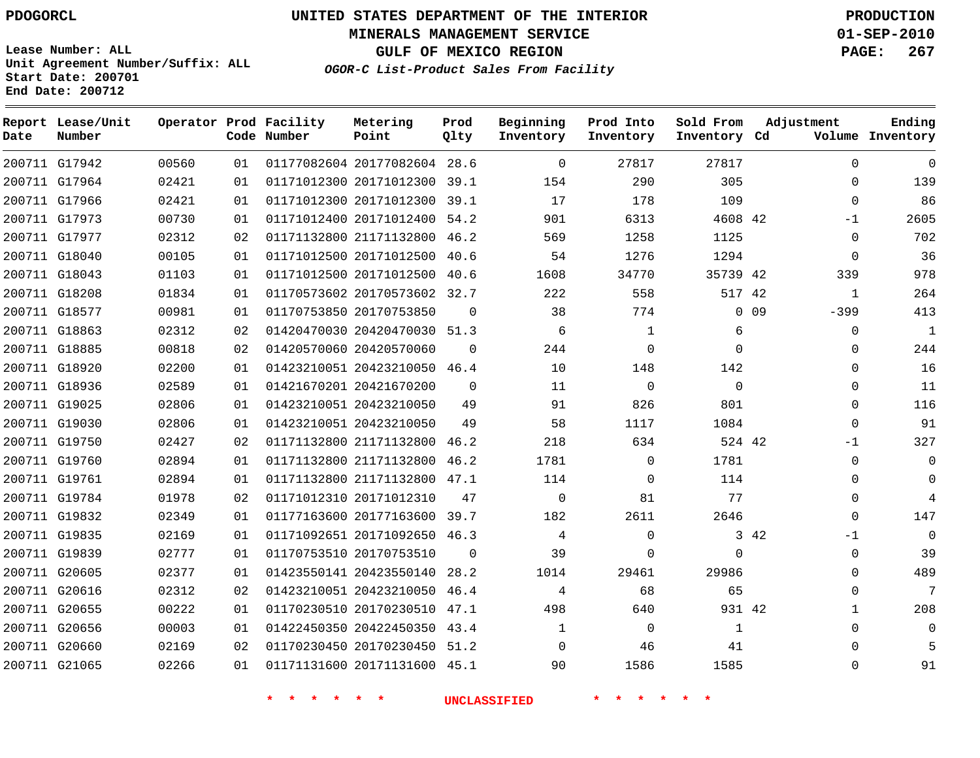**MINERALS MANAGEMENT SERVICE 01-SEP-2010**

**GULF OF MEXICO REGION PAGE: 267**

**Lease Number: ALL Unit Agreement Number/Suffix: ALL Start Date: 200701 End Date: 200712**

**OGOR-C List-Product Sales From Facility**

| Date | Report Lease/Unit<br>Number |       |    | Operator Prod Facility<br>Code Number | Metering<br>Point            | Prod<br>Qlty | Beginning<br>Inventory | Prod Into<br>Inventory | Sold From<br>Inventory Cd | Adjustment |              | Ending<br>Volume Inventory |
|------|-----------------------------|-------|----|---------------------------------------|------------------------------|--------------|------------------------|------------------------|---------------------------|------------|--------------|----------------------------|
|      | 200711 G17942               | 00560 | 01 |                                       | 01177082604 20177082604 28.6 |              | $\Omega$               | 27817                  | 27817                     |            | $\Omega$     | $\mathbf 0$                |
|      | 200711 G17964               | 02421 | 01 |                                       | 01171012300 20171012300 39.1 |              | 154                    | 290                    | 305                       |            | $\Omega$     | 139                        |
|      | 200711 G17966               | 02421 | 01 |                                       | 01171012300 20171012300 39.1 |              | 17                     | 178                    | 109                       |            | $\Omega$     | 86                         |
|      | 200711 G17973               | 00730 | 01 |                                       | 01171012400 20171012400      | 54.2         | 901                    | 6313                   | 4608 42                   |            | -1           | 2605                       |
|      | 200711 G17977               | 02312 | 02 |                                       | 01171132800 21171132800 46.2 |              | 569                    | 1258                   | 1125                      |            | $\mathbf{0}$ | 702                        |
|      | 200711 G18040               | 00105 | 01 |                                       | 01171012500 20171012500      | 40.6         | 54                     | 1276                   | 1294                      |            | $\mathbf{0}$ | 36                         |
|      | 200711 G18043               | 01103 | 01 |                                       | 01171012500 20171012500 40.6 |              | 1608                   | 34770                  | 35739 42                  |            | 339          | 978                        |
|      | 200711 G18208               | 01834 | 01 |                                       | 01170573602 20170573602 32.7 |              | 222                    | 558                    | 517 42                    |            | $\mathbf{1}$ | 264                        |
|      | 200711 G18577               | 00981 | 01 |                                       | 01170753850 20170753850      | 0            | 38                     | 774                    | $\mathbf{0}$              | 09         | $-399$       | 413                        |
|      | 200711 G18863               | 02312 | 02 |                                       | 01420470030 20420470030 51.3 |              | 6                      | 1                      | 6                         |            | 0            | $\mathbf{1}$               |
|      | 200711 G18885               | 00818 | 02 |                                       | 01420570060 20420570060      | $\Omega$     | 244                    | $\Omega$               | $\Omega$                  |            | $\mathbf{0}$ | 244                        |
|      | 200711 G18920               | 02200 | 01 |                                       | 01423210051 20423210050 46.4 |              | 10                     | 148                    | 142                       |            | $\Omega$     | 16                         |
|      | 200711 G18936               | 02589 | 01 |                                       | 01421670201 20421670200      | $\Omega$     | 11                     | $\Omega$               | $\Omega$                  |            | $\Omega$     | 11                         |
|      | 200711 G19025               | 02806 | 01 |                                       | 01423210051 20423210050      | 49           | 91                     | 826                    | 801                       |            | $\mathbf{0}$ | 116                        |
|      | 200711 G19030               | 02806 | 01 |                                       | 01423210051 20423210050      | 49           | 58                     | 1117                   | 1084                      |            | $\mathbf 0$  | 91                         |
|      | 200711 G19750               | 02427 | 02 |                                       | 01171132800 21171132800      | 46.2         | 218                    | 634                    | 524 42                    |            | $-1$         | 327                        |
|      | 200711 G19760               | 02894 | 01 |                                       | 01171132800 21171132800 46.2 |              | 1781                   | $\Omega$               | 1781                      |            | $\Omega$     | $\mathbf 0$                |
|      | 200711 G19761               | 02894 | 01 |                                       | 01171132800 21171132800 47.1 |              | 114                    | $\Omega$               | 114                       |            | $\Omega$     | $\Omega$                   |
|      | 200711 G19784               | 01978 | 02 |                                       | 01171012310 20171012310      | 47           | $\Omega$               | 81                     | 77                        |            | $\mathbf{0}$ | 4                          |
|      | 200711 G19832               | 02349 | 01 |                                       | 01177163600 20177163600      | 39.7         | 182                    | 2611                   | 2646                      |            | $\Omega$     | 147                        |
|      | 200711 G19835               | 02169 | 01 |                                       | 01171092651 20171092650 46.3 |              | 4                      | $\Omega$               |                           | 3 4 2      | -1           | $\mathbf 0$                |
|      | 200711 G19839               | 02777 | 01 |                                       | 01170753510 20170753510      | $\Omega$     | 39                     | $\Omega$               | $\Omega$                  |            | $\mathbf 0$  | 39                         |
|      | 200711 G20605               | 02377 | 01 |                                       | 01423550141 20423550140      | 28.2         | 1014                   | 29461                  | 29986                     |            | $\Omega$     | 489                        |
|      | 200711 G20616               | 02312 | 02 |                                       | 01423210051 20423210050 46.4 |              | 4                      | 68                     | 65                        |            | 0            | 7                          |
|      | 200711 G20655               | 00222 | 01 |                                       | 01170230510 20170230510 47.1 |              | 498                    | 640                    | 931 42                    |            | 1            | 208                        |
|      | 200711 G20656               | 00003 | 01 |                                       | 01422450350 20422450350 43.4 |              | $\mathbf{1}$           | $\mathbf 0$            | $\mathbf{1}$              |            | $\Omega$     | $\Omega$                   |
|      | 200711 G20660               | 02169 | 02 |                                       | 01170230450 20170230450 51.2 |              | $\Omega$               | 46                     | 41                        |            | $\Omega$     | 5                          |
|      | 200711 G21065               | 02266 | 01 |                                       | 01171131600 20171131600 45.1 |              | 90                     | 1586                   | 1585                      |            | $\Omega$     | 91                         |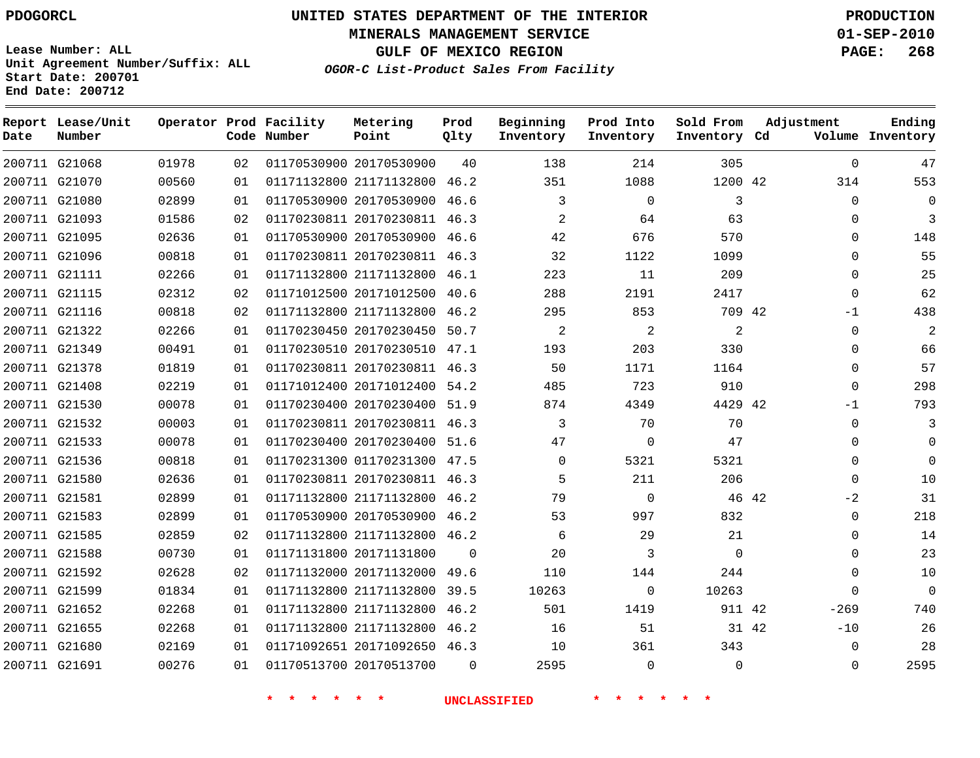**MINERALS MANAGEMENT SERVICE 01-SEP-2010**

**GULF OF MEXICO REGION PAGE: 268**

**Lease Number: ALL Unit Agreement Number/Suffix: ALL Start Date: 200701 End Date: 200712**

**OGOR-C List-Product Sales From Facility**

| Date | Report Lease/Unit<br>Number |       |    | Operator Prod Facility<br>Code Number | Metering<br>Point            | Prod<br>Qlty | Beginning<br>Inventory | Prod Into<br>Inventory | Sold From<br>Inventory Cd | Adjustment     | Ending<br>Volume Inventory |
|------|-----------------------------|-------|----|---------------------------------------|------------------------------|--------------|------------------------|------------------------|---------------------------|----------------|----------------------------|
|      | 200711 G21068               | 01978 | 02 |                                       | 01170530900 20170530900      | 40           | 138                    | 214                    | 305                       | $\Omega$       | 47                         |
|      | 200711 G21070               | 00560 | 01 |                                       | 01171132800 21171132800 46.2 |              | 351                    | 1088                   | 1200 42                   | 314            | 553                        |
|      | 200711 G21080               | 02899 | 01 |                                       | 01170530900 20170530900      | 46.6         | 3                      | $\mathbf 0$            | 3                         | $\Omega$       | 0                          |
|      | 200711 G21093               | 01586 | 02 |                                       | 01170230811 20170230811 46.3 |              | $\overline{2}$         | 64                     | 63                        | $\Omega$       | 3                          |
|      | 200711 G21095               | 02636 | 01 |                                       | 01170530900 20170530900      | 46.6         | 42                     | 676                    | 570                       | $\Omega$       | 148                        |
|      | 200711 G21096               | 00818 | 01 |                                       | 01170230811 20170230811 46.3 |              | 32                     | 1122                   | 1099                      | $\Omega$       | 55                         |
|      | 200711 G21111               | 02266 | 01 |                                       | 01171132800 21171132800      | 46.1         | 223                    | 11                     | 209                       | $\Omega$       | 25                         |
|      | 200711 G21115               | 02312 | 02 |                                       | 01171012500 20171012500      | 40.6         | 288                    | 2191                   | 2417                      | $\Omega$       | 62                         |
|      | 200711 G21116               | 00818 | 02 |                                       | 01171132800 21171132800      | 46.2         | 295                    | 853                    | 709 42                    | $-1$           | 438                        |
|      | 200711 G21322               | 02266 | 01 |                                       | 01170230450 20170230450      | 50.7         | $\overline{2}$         | 2                      | 2                         | $\Omega$       | 2                          |
|      | 200711 G21349               | 00491 | 01 |                                       | 01170230510 20170230510      | 47.1         | 193                    | 203                    | 330                       | $\Omega$       | 66                         |
|      | 200711 G21378               | 01819 | 01 |                                       | 01170230811 20170230811      | 46.3         | 50                     | 1171                   | 1164                      | $\Omega$       | 57                         |
|      | 200711 G21408               | 02219 | 01 |                                       | 01171012400 20171012400      | 54.2         | 485                    | 723                    | 910                       | $\Omega$       | 298                        |
|      | 200711 G21530               | 00078 | 01 |                                       | 01170230400 20170230400      | 51.9         | 874                    | 4349                   | 4429 42                   | -1             | 793                        |
|      | 200711 G21532               | 00003 | 01 |                                       | 01170230811 20170230811      | 46.3         | 3                      | 70                     | 70                        | $\Omega$       | 3                          |
|      | 200711 G21533               | 00078 | 01 |                                       | 01170230400 20170230400      | 51.6         | 47                     | $\mathbf 0$            | 47                        | 0              | 0                          |
|      | 200711 G21536               | 00818 | 01 |                                       | 01170231300 01170231300      | 47.5         | $\mathbf 0$            | 5321                   | 5321                      | $\Omega$       | $\mathbf 0$                |
|      | 200711 G21580               | 02636 | 01 |                                       | 01170230811 20170230811 46.3 |              | 5                      | 211                    | 206                       | $\mathbf 0$    | 10                         |
|      | 200711 G21581               | 02899 | 01 |                                       | 01171132800 21171132800      | 46.2         | 79                     | $\mathbf 0$            | 46 42                     | $-2$           | 31                         |
|      | 200711 G21583               | 02899 | 01 |                                       | 01170530900 20170530900      | 46.2         | 53                     | 997                    | 832                       | 0              | 218                        |
|      | 200711 G21585               | 02859 | 02 |                                       | 01171132800 21171132800      | 46.2         | 6                      | 29                     | 21                        | $\Omega$       | 14                         |
|      | 200711 G21588               | 00730 | 01 |                                       | 01171131800 20171131800      | $\Omega$     | 20                     | 3                      | $\Omega$                  | $\Omega$       | 23                         |
|      | 200711 G21592               | 02628 | 02 |                                       | 01171132000 20171132000      | 49.6         | 110                    | 144                    | 244                       | $\Omega$       | 10                         |
|      | 200711 G21599               | 01834 | 01 |                                       | 01171132800 21171132800      | 39.5         | 10263                  | $\mathbf 0$            | 10263                     | $\Omega$       | $\mathbf 0$                |
|      | 200711 G21652               | 02268 | 01 |                                       | 01171132800 21171132800      | 46.2         | 501                    | 1419                   | 911 42                    | $-269$         | 740                        |
|      | 200711 G21655               | 02268 | 01 |                                       | 01171132800 21171132800      | 46.2         | 16                     | 51                     |                           | $-10$<br>31 42 | 26                         |
|      | 200711 G21680               | 02169 | 01 |                                       | 01171092651 20171092650      | 46.3         | 10                     | 361                    | 343                       | $\Omega$       | 28                         |
|      | 200711 G21691               | 00276 | 01 |                                       | 01170513700 20170513700      | $\Omega$     | 2595                   | $\Omega$               | $\Omega$                  | $\Omega$       | 2595                       |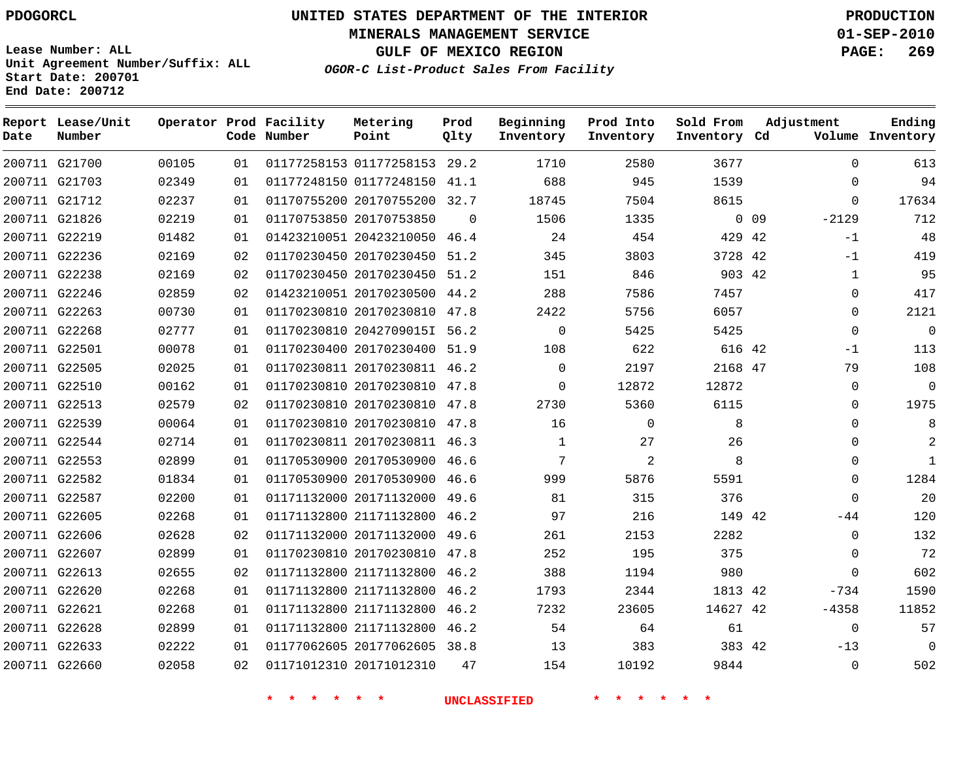**Start Date: 200701 End Date: 200712**

**Unit Agreement Number/Suffix: ALL**

# **UNITED STATES DEPARTMENT OF THE INTERIOR PDOGORCL PRODUCTION**

**MINERALS MANAGEMENT SERVICE 01-SEP-2010**

**GULF OF MEXICO REGION PAGE: 269**

**OGOR-C List-Product Sales From Facility**

| Date | Report Lease/Unit<br>Number |       |    | Operator Prod Facility<br>Code Number | Metering<br>Point            | Prod<br>Qlty | Beginning<br>Inventory | Prod Into<br>Inventory | Sold From<br>Inventory Cd | Adjustment                 | Ending<br>Volume Inventory |
|------|-----------------------------|-------|----|---------------------------------------|------------------------------|--------------|------------------------|------------------------|---------------------------|----------------------------|----------------------------|
|      | 200711 G21700               | 00105 | 01 |                                       | 01177258153 01177258153 29.2 |              | 1710                   | 2580                   | 3677                      | $\Omega$                   | 613                        |
|      | 200711 G21703               | 02349 | 01 |                                       | 01177248150 01177248150      | 41.1         | 688                    | 945                    | 1539                      | $\Omega$                   | 94                         |
|      | 200711 G21712               | 02237 | 01 |                                       | 01170755200 20170755200 32.7 |              | 18745                  | 7504                   | 8615                      | $\Omega$                   | 17634                      |
|      | 200711 G21826               | 02219 | 01 |                                       | 01170753850 20170753850      | $\Omega$     | 1506                   | 1335                   |                           | $-2129$<br>0 <sub>09</sub> | 712                        |
|      | 200711 G22219               | 01482 | 01 |                                       | 01423210051 20423210050 46.4 |              | 24                     | 454                    | 429 42                    | $-1$                       | 48                         |
|      | 200711 G22236               | 02169 | 02 |                                       | 01170230450 20170230450      | 51.2         | 345                    | 3803                   | 3728 42                   | $-1$                       | 419                        |
|      | 200711 G22238               | 02169 | 02 |                                       | 01170230450 20170230450      | 51.2         | 151                    | 846                    | 903 42                    | $\mathbf{1}$               | 95                         |
|      | 200711 G22246               | 02859 | 02 |                                       | 01423210051 20170230500      | 44.2         | 288                    | 7586                   | 7457                      | $\Omega$                   | 417                        |
|      | 200711 G22263               | 00730 | 01 |                                       | 01170230810 20170230810 47.8 |              | 2422                   | 5756                   | 6057                      | $\Omega$                   | 2121                       |
|      | 200711 G22268               | 02777 | 01 |                                       | 01170230810 2042709015I      | 56.2         | $\mathbf 0$            | 5425                   | 5425                      | $\Omega$                   | $\overline{0}$             |
|      | 200711 G22501               | 00078 | 01 |                                       | 01170230400 20170230400      | 51.9         | 108                    | 622                    | 616 42                    | $-1$                       | 113                        |
|      | 200711 G22505               | 02025 | 01 |                                       | 01170230811 20170230811      | 46.2         | $\mathbf 0$            | 2197                   | 2168 47                   | 79                         | 108                        |
|      | 200711 G22510               | 00162 | 01 |                                       | 01170230810 20170230810      | 47.8         | 0                      | 12872                  | 12872                     | $\Omega$                   | $\Omega$                   |
|      | 200711 G22513               | 02579 | 02 |                                       | 01170230810 20170230810      | 47.8         | 2730                   | 5360                   | 6115                      | $\Omega$                   | 1975                       |
|      | 200711 G22539               | 00064 | 01 |                                       | 01170230810 20170230810      | 47.8         | 16                     | $\Omega$               | 8                         | $\Omega$                   | 8                          |
|      | 200711 G22544               | 02714 | 01 |                                       | 01170230811 20170230811 46.3 |              | $\mathbf{1}$           | 27                     | 26                        | $\Omega$                   | 2                          |
|      | 200711 G22553               | 02899 | 01 |                                       | 01170530900 20170530900 46.6 |              | 7                      | 2                      | 8                         | $\Omega$                   | $\mathbf{1}$               |
|      | 200711 G22582               | 01834 | 01 |                                       | 01170530900 20170530900 46.6 |              | 999                    | 5876                   | 5591                      | $\mathbf 0$                | 1284                       |
|      | 200711 G22587               | 02200 | 01 |                                       | 01171132000 20171132000      | 49.6         | 81                     | 315                    | 376                       | $\Omega$                   | 20                         |
|      | 200711 G22605               | 02268 | 01 |                                       | 01171132800 21171132800 46.2 |              | 97                     | 216                    | 149 42                    | $-44$                      | 120                        |
|      | 200711 G22606               | 02628 | 02 |                                       | 01171132000 20171132000      | 49.6         | 261                    | 2153                   | 2282                      | 0                          | 132                        |
|      | 200711 G22607               | 02899 | 01 |                                       | 01170230810 20170230810      | 47.8         | 252                    | 195                    | 375                       | $\Omega$                   | 72                         |
|      | 200711 G22613               | 02655 | 02 |                                       | 01171132800 21171132800      | 46.2         | 388                    | 1194                   | 980                       | $\Omega$                   | 602                        |
|      | 200711 G22620               | 02268 | 01 |                                       | 01171132800 21171132800      | 46.2         | 1793                   | 2344                   | 1813 42                   | $-734$                     | 1590                       |
|      | 200711 G22621               | 02268 | 01 |                                       | 01171132800 21171132800      | 46.2         | 7232                   | 23605                  | 14627 42                  | $-4358$                    | 11852                      |
|      | 200711 G22628               | 02899 | 01 |                                       | 01171132800 21171132800      | 46.2         | 54                     | 64                     | 61                        | $\Omega$                   | 57                         |
|      | 200711 G22633               | 02222 | 01 |                                       | 01177062605 20177062605 38.8 |              | 13                     | 383                    | 383 42                    | $-13$                      | $\Omega$                   |
|      | 200711 G22660               | 02058 | 02 |                                       | 01171012310 20171012310      | 47           | 154                    | 10192                  | 9844                      | $\Omega$                   | 502                        |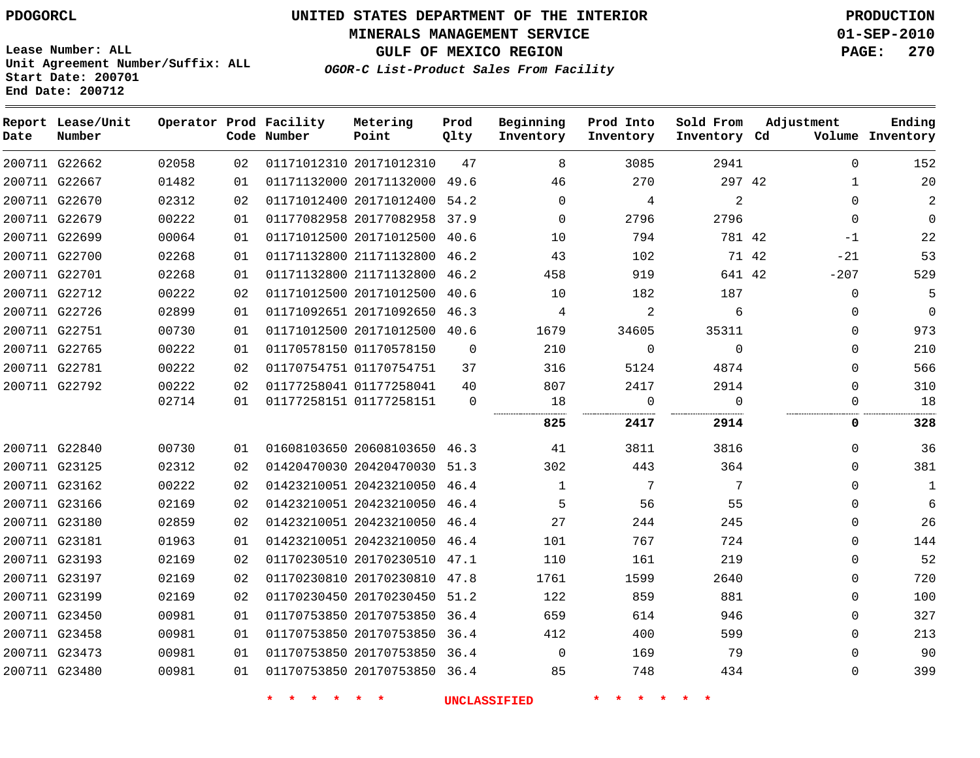**MINERALS MANAGEMENT SERVICE 01-SEP-2010**

**GULF OF MEXICO REGION PAGE: 270**

**Lease Number: ALL Unit Agreement Number/Suffix: ALL Start Date: 200701 End Date: 200712**

**OGOR-C List-Product Sales From Facility**

| Date | Report Lease/Unit<br>Number |       |    | Operator Prod Facility<br>Code Number | Metering<br>Point            | Prod<br>Qlty | Beginning<br>Inventory | Prod Into<br>Inventory | Sold From<br>Inventory Cd | Adjustment     | Ending<br>Volume Inventory |
|------|-----------------------------|-------|----|---------------------------------------|------------------------------|--------------|------------------------|------------------------|---------------------------|----------------|----------------------------|
|      | 200711 G22662               | 02058 | 02 |                                       | 01171012310 20171012310      | 47           | 8                      | 3085                   | 2941                      | $\Omega$       | 152                        |
|      | 200711 G22667               | 01482 | 01 |                                       | 01171132000 20171132000      | 49.6         | 46                     | 270                    | 297 42                    | $\mathbf 1$    | 20                         |
|      | 200711 G22670               | 02312 | 02 |                                       | 01171012400 20171012400      | 54.2         | $\mathbf 0$            | 4                      | $\overline{2}$            | $\Omega$       | 2                          |
|      | 200711 G22679               | 00222 | 01 |                                       | 01177082958 20177082958      | 37.9         | $\Omega$               | 2796                   | 2796                      | $\Omega$       | 0                          |
|      | 200711 G22699               | 00064 | 01 |                                       | 01171012500 20171012500      | 40.6         | 10                     | 794                    | 781 42                    | $-1$           | 22                         |
|      | 200711 G22700               | 02268 | 01 |                                       | 01171132800 21171132800      | 46.2         | 43                     | 102                    |                           | 71 42<br>$-21$ | 53                         |
|      | 200711 G22701               | 02268 | 01 |                                       | 01171132800 21171132800      | 46.2         | 458                    | 919                    | 641 42                    | $-207$         | 529                        |
|      | 200711 G22712               | 00222 | 02 |                                       | 01171012500 20171012500      | 40.6         | 10                     | 182                    | 187                       | $\mathbf 0$    | 5                          |
|      | 200711 G22726               | 02899 | 01 |                                       | 01171092651 20171092650 46.3 |              | 4                      | 2                      | 6                         | $\Omega$       | 0                          |
|      | 200711 G22751               | 00730 | 01 |                                       | 01171012500 20171012500 40.6 |              | 1679                   | 34605                  | 35311                     | $\Omega$       | 973                        |
|      | 200711 G22765               | 00222 | 01 |                                       | 01170578150 01170578150      | $\Omega$     | 210                    | $\mathbf 0$            | $\Omega$                  | $\Omega$       | 210                        |
|      | 200711 G22781               | 00222 | 02 |                                       | 01170754751 01170754751      | 37           | 316                    | 5124                   | 4874                      | $\Omega$       | 566                        |
|      | 200711 G22792               | 00222 | 02 |                                       | 01177258041 01177258041      | 40           | 807                    | 2417                   | 2914                      | $\mathbf 0$    | 310                        |
|      |                             | 02714 | 01 |                                       | 01177258151 01177258151      | $\mathbf 0$  | 18                     | 0                      | $\Omega$                  | $\Omega$       | 18                         |
|      |                             |       |    |                                       |                              |              | 825                    | 2417                   | 2914                      | 0              | 328                        |
|      | 200711 G22840               | 00730 | 01 |                                       | 01608103650 20608103650 46.3 |              | 41                     | 3811                   | 3816                      | $\Omega$       | 36                         |
|      | 200711 G23125               | 02312 | 02 |                                       | 01420470030 20420470030 51.3 |              | 302                    | 443                    | 364                       | $\Omega$       | 381                        |
|      | 200711 G23162               | 00222 | 02 |                                       | 01423210051 20423210050 46.4 |              | $\mathbf{1}$           | 7                      | 7                         | $\Omega$       | 1                          |
|      | 200711 G23166               | 02169 | 02 |                                       | 01423210051 20423210050      | 46.4         | 5                      | 56                     | 55                        | $\Omega$       | 6                          |
|      | 200711 G23180               | 02859 | 02 |                                       | 01423210051 20423210050      | 46.4         | 27                     | 244                    | 245                       | 0              | 26                         |
|      | 200711 G23181               | 01963 | 01 |                                       | 01423210051 20423210050      | 46.4         | 101                    | 767                    | 724                       | $\Omega$       | 144                        |
|      | 200711 G23193               | 02169 | 02 |                                       | 01170230510 20170230510 47.1 |              | 110                    | 161                    | 219                       | $\Omega$       | 52                         |
|      | 200711 G23197               | 02169 | 02 |                                       | 01170230810 20170230810 47.8 |              | 1761                   | 1599                   | 2640                      | $\Omega$       | 720                        |
|      | 200711 G23199               | 02169 | 02 |                                       | 01170230450 20170230450      | 51.2         | 122                    | 859                    | 881                       | $\Omega$       | 100                        |
|      | 200711 G23450               | 00981 | 01 |                                       | 01170753850 20170753850 36.4 |              | 659                    | 614                    | 946                       | $\Omega$       | 327                        |
|      | 200711 G23458               | 00981 | 01 |                                       | 01170753850 20170753850      | 36.4         | 412                    | 400                    | 599                       | $\mathbf{0}$   | 213                        |
|      | 200711 G23473               | 00981 | 01 |                                       | 01170753850 20170753850 36.4 |              | $\Omega$               | 169                    | 79                        | $\Omega$       | 90                         |
|      | 200711 G23480               | 00981 | 01 |                                       | 01170753850 20170753850 36.4 |              | 85                     | 748                    | 434                       | $\Omega$       | 399                        |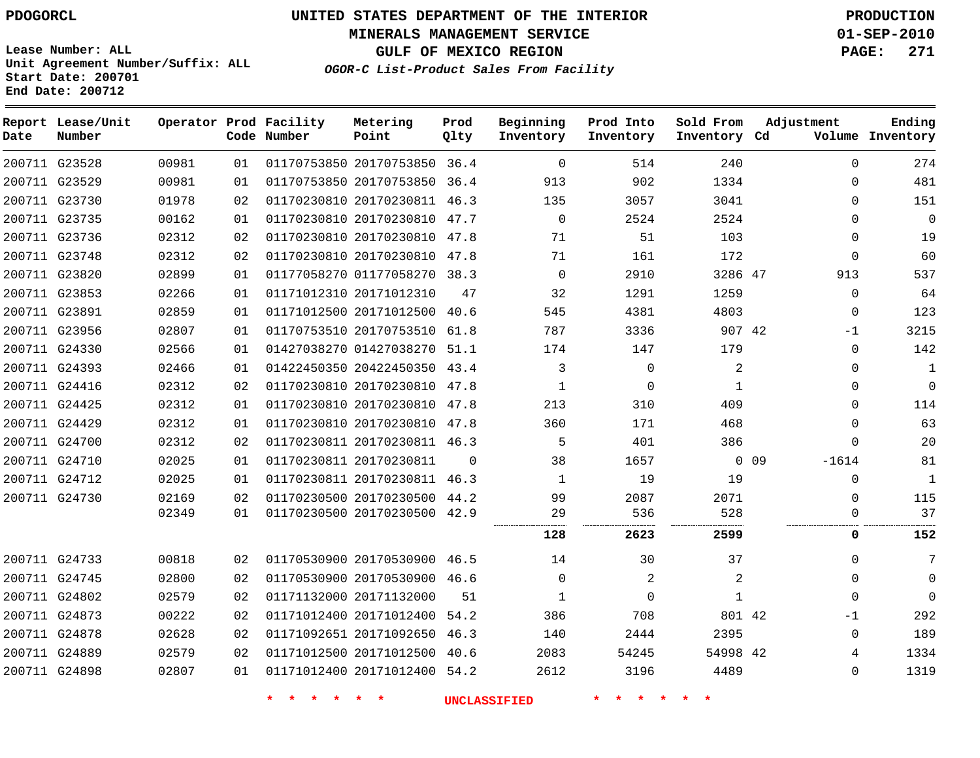**MINERALS MANAGEMENT SERVICE 01-SEP-2010**

**GULF OF MEXICO REGION PAGE: 271**

**Lease Number: ALL Unit Agreement Number/Suffix: ALL Start Date: 200701 End Date: 200712**

**OGOR-C List-Product Sales From Facility**

| Date | Report Lease/Unit<br>Number |       |    | Operator Prod Facility<br>Code Number | Metering<br>Point            | Prod<br>Qlty | Beginning<br>Inventory | Prod Into<br>Inventory | Sold From<br>Inventory Cd | Adjustment                 | Ending<br>Volume Inventory |
|------|-----------------------------|-------|----|---------------------------------------|------------------------------|--------------|------------------------|------------------------|---------------------------|----------------------------|----------------------------|
|      | 200711 G23528               | 00981 | 01 |                                       | 01170753850 20170753850 36.4 |              | $\Omega$               | 514                    | 240                       | $\Omega$                   | 274                        |
|      | 200711 G23529               | 00981 | 01 |                                       | 01170753850 20170753850 36.4 |              | 913                    | 902                    | 1334                      | $\mathbf{0}$               | 481                        |
|      | 200711 G23730               | 01978 | 02 |                                       | 01170230810 20170230811 46.3 |              | 135                    | 3057                   | 3041                      | $\Omega$                   | 151                        |
|      | 200711 G23735               | 00162 | 01 |                                       | 01170230810 20170230810 47.7 |              | $\mathbf 0$            | 2524                   | 2524                      | $\mathbf{0}$               | $\mathbf{0}$               |
|      | 200711 G23736               | 02312 | 02 |                                       | 01170230810 20170230810 47.8 |              | 71                     | 51                     | 103                       | $\mathbf{0}$               | 19                         |
|      | 200711 G23748               | 02312 | 02 |                                       | 01170230810 20170230810 47.8 |              | 71                     | 161                    | 172                       | $\mathbf{0}$               | 60                         |
|      | 200711 G23820               | 02899 | 01 |                                       | 01177058270 01177058270 38.3 |              | $\mathbf 0$            | 2910                   | 3286 47                   | 913                        | 537                        |
|      | 200711 G23853               | 02266 | 01 |                                       | 01171012310 20171012310      | 47           | 32                     | 1291                   | 1259                      | $\mathbf{0}$               | 64                         |
|      | 200711 G23891               | 02859 | 01 |                                       | 01171012500 20171012500      | 40.6         | 545                    | 4381                   | 4803                      | 0                          | 123                        |
|      | 200711 G23956               | 02807 | 01 |                                       | 01170753510 20170753510 61.8 |              | 787                    | 3336                   | 907 42                    | $-1$                       | 3215                       |
|      | 200711 G24330               | 02566 | 01 |                                       | 01427038270 01427038270 51.1 |              | 174                    | 147                    | 179                       | 0                          | 142                        |
|      | 200711 G24393               | 02466 | 01 |                                       | 01422450350 20422450350 43.4 |              | 3                      | $\mathbf 0$            | 2                         | 0                          | $\mathbf{1}$               |
|      | 200711 G24416               | 02312 | 02 |                                       | 01170230810 20170230810 47.8 |              | $\mathbf{1}$           | $\mathbf 0$            | $\mathbf{1}$              | $\mathbf{0}$               | $\mathbf 0$                |
|      | 200711 G24425               | 02312 | 01 |                                       | 01170230810 20170230810 47.8 |              | 213                    | 310                    | 409                       | $\Omega$                   | 114                        |
|      | 200711 G24429               | 02312 | 01 |                                       | 01170230810 20170230810 47.8 |              | 360                    | 171                    | 468                       | $\Omega$                   | 63                         |
|      | 200711 G24700               | 02312 | 02 |                                       | 01170230811 20170230811 46.3 |              | 5                      | 401                    | 386                       | $\mathbf{0}$               | 20                         |
|      | 200711 G24710               | 02025 | 01 |                                       | 01170230811 20170230811      | $\Omega$     | 38                     | 1657                   |                           | 0 <sub>09</sub><br>$-1614$ | 81                         |
|      | 200711 G24712               | 02025 | 01 |                                       | 01170230811 20170230811      | 46.3         | 1                      | 19                     | 19                        | 0                          | $\mathbf{1}$               |
|      | 200711 G24730               | 02169 | 02 |                                       | 01170230500 20170230500 44.2 |              | 99                     | 2087                   | 2071                      | $\Omega$                   | 115                        |
|      |                             | 02349 | 01 |                                       | 01170230500 20170230500 42.9 |              | 29<br>                 | 536                    | 528                       | U                          | 37                         |
|      |                             |       |    |                                       |                              |              | 128                    | 2623                   | 2599                      | 0                          | 152                        |
|      | 200711 G24733               | 00818 | 02 |                                       | 01170530900 20170530900 46.5 |              | 14                     | 30                     | 37                        | 0                          | 7                          |
|      | 200711 G24745               | 02800 | 02 |                                       | 01170530900 20170530900 46.6 |              | $\Omega$               | 2                      | 2                         | $\Omega$                   | $\Omega$                   |
|      | 200711 G24802               | 02579 | 02 |                                       | 01171132000 20171132000      | 51           | 1                      | $\Omega$               | $\mathbf{1}$              | $\Omega$                   | $\Omega$                   |
|      | 200711 G24873               | 00222 | 02 |                                       | 01171012400 20171012400      | 54.2         | 386                    | 708                    | 801 42                    | $-1$                       | 292                        |
|      | 200711 G24878               | 02628 | 02 |                                       | 01171092651 20171092650 46.3 |              | 140                    | 2444                   | 2395                      | $\Omega$                   | 189                        |
|      | 200711 G24889               | 02579 | 02 |                                       | 01171012500 20171012500      | -40.6        | 2083                   | 54245                  | 54998 42                  | 4                          | 1334                       |
|      | 200711 G24898               | 02807 | 01 |                                       | 01171012400 20171012400 54.2 |              | 2612                   | 3196                   | 4489                      | $\Omega$                   | 1319                       |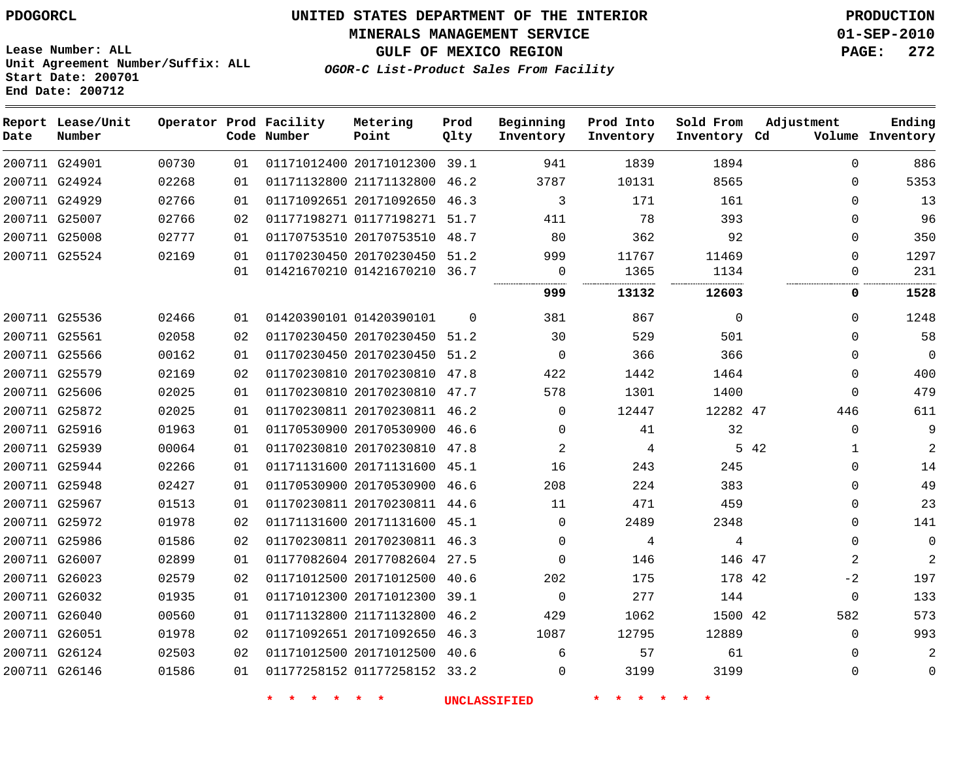#### **MINERALS MANAGEMENT SERVICE 01-SEP-2010**

**GULF OF MEXICO REGION PAGE: 272**

**Lease Number: ALL Unit Agreement Number/Suffix: ALL Start Date: 200701 End Date: 200712**

**OGOR-C List-Product Sales From Facility**

| Date          | Report Lease/Unit<br>Number |       |    | Operator Prod Facility<br>Code Number | Metering<br>Point            | Prod<br>Qlty | Beginning<br>Inventory | Prod Into<br>Inventory | Sold From<br>Inventory Cd | Adjustment           | Ending<br>Volume Inventory |
|---------------|-----------------------------|-------|----|---------------------------------------|------------------------------|--------------|------------------------|------------------------|---------------------------|----------------------|----------------------------|
| 200711 G24901 |                             | 00730 | 01 |                                       | 01171012400 20171012300 39.1 |              | 941                    | 1839                   | 1894                      | $\Omega$             | 886                        |
|               | 200711 G24924               | 02268 | 01 |                                       | 01171132800 21171132800      | 46.2         | 3787                   | 10131                  | 8565                      | $\Omega$             | 5353                       |
|               | 200711 G24929               | 02766 | 01 |                                       | 01171092651 20171092650 46.3 |              | 3                      | 171                    | 161                       | $\Omega$             | 13                         |
|               | 200711 G25007               | 02766 | 02 |                                       | 01177198271 01177198271 51.7 |              | 411                    | 78                     | 393                       | $\Omega$             | 96                         |
|               | 200711 G25008               | 02777 | 01 |                                       | 01170753510 20170753510 48.7 |              | 80                     | 362                    | 92                        | $\Omega$             | 350                        |
|               | 200711 G25524               | 02169 | 01 |                                       | 01170230450 20170230450 51.2 |              | 999                    | 11767                  | 11469                     | $\Omega$             | 1297                       |
|               |                             |       | 01 |                                       | 01421670210 01421670210 36.7 |              | 0                      | 1365                   | 1134                      | $\Omega$             | 231                        |
|               |                             |       |    |                                       |                              |              | 999                    | 13132                  | 12603                     | 0                    | 1528                       |
|               | 200711 G25536               | 02466 | 01 |                                       | 01420390101 01420390101      | $\Omega$     | 381                    | 867                    | $\mathbf 0$               | $\Omega$             | 1248                       |
|               | 200711 G25561               | 02058 | 02 |                                       | 01170230450 20170230450 51.2 |              | 30                     | 529                    | 501                       | $\Omega$             | 58                         |
|               | 200711 G25566               | 00162 | 01 |                                       | 01170230450 20170230450 51.2 |              | $\Omega$               | 366                    | 366                       | $\Omega$             | 0                          |
|               | 200711 G25579               | 02169 | 02 |                                       | 01170230810 20170230810      | 47.8         | 422                    | 1442                   | 1464                      | $\Omega$             | 400                        |
|               | 200711 G25606               | 02025 | 01 |                                       | 01170230810 20170230810      | 47.7         | 578                    | 1301                   | 1400                      | $\Omega$             | 479                        |
|               | 200711 G25872               | 02025 | 01 |                                       | 01170230811 20170230811 46.2 |              | 0                      | 12447                  | 12282 47                  | 446                  | 611                        |
| 200711 G25916 |                             | 01963 | 01 |                                       | 01170530900 20170530900 46.6 |              | 0                      | 41                     | 32                        | $\Omega$             | 9                          |
|               | 200711 G25939               | 00064 | 01 |                                       | 01170230810 20170230810 47.8 |              | $\overline{a}$         | 4                      |                           | 5 42<br>$\mathbf{1}$ | $\overline{a}$             |
|               | 200711 G25944               | 02266 | 01 |                                       | 01171131600 20171131600 45.1 |              | 16                     | 243                    | 245                       | $\Omega$             | 14                         |
|               | 200711 G25948               | 02427 | 01 |                                       | 01170530900 20170530900 46.6 |              | 208                    | 224                    | 383                       | $\Omega$             | 49                         |
|               | 200711 G25967               | 01513 | 01 |                                       | 01170230811 20170230811 44.6 |              | 11                     | 471                    | 459                       | $\Omega$             | 23                         |
|               | 200711 G25972               | 01978 | 02 |                                       | 01171131600 20171131600      | 45.1         | $\mathbf 0$            | 2489                   | 2348                      | $\Omega$             | 141                        |
|               | 200711 G25986               | 01586 | 02 |                                       | 01170230811 20170230811 46.3 |              | 0                      | 4                      | 4                         | $\Omega$             | 0                          |
|               | 200711 G26007               | 02899 | 01 |                                       | 01177082604 20177082604 27.5 |              | $\Omega$               | 146                    | 146 47                    | 2                    | $\overline{2}$             |
|               | 200711 G26023               | 02579 | 02 |                                       | 01171012500 20171012500      | 40.6         | 202                    | 175                    | 178 42                    | -2                   | 197                        |
|               | 200711 G26032               | 01935 | 01 |                                       | 01171012300 20171012300 39.1 |              | $\Omega$               | 277                    | 144                       | $\mathbf 0$          | 133                        |
|               | 200711 G26040               | 00560 | 01 |                                       | 01171132800 21171132800      | 46.2         | 429                    | 1062                   | 1500 42                   | 582                  | 573                        |
|               | 200711 G26051               | 01978 | 02 |                                       | 01171092651 20171092650 46.3 |              | 1087                   | 12795                  | 12889                     | $\Omega$             | 993                        |
|               | 200711 G26124               | 02503 | 02 |                                       | 01171012500 20171012500 40.6 |              | 6                      | 57                     | 61                        | $\Omega$             |                            |
|               | 200711 G26146               | 01586 | 01 |                                       | 01177258152 01177258152 33.2 |              | 0                      | 3199                   | 3199                      | $\Omega$             | 0                          |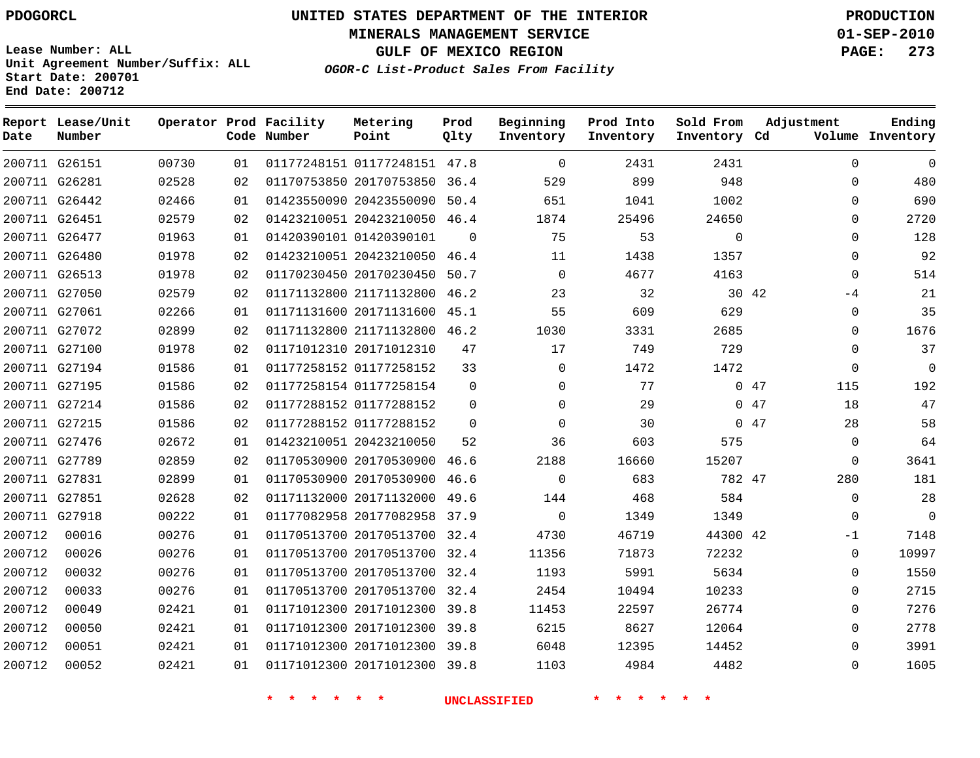# **UNITED STATES DEPARTMENT OF THE INTERIOR PDOGORCL PRODUCTION**

**MINERALS MANAGEMENT SERVICE 01-SEP-2010**

**GULF OF MEXICO REGION PAGE: 273**

**Unit Agreement Number/Suffix: ALL Start Date: 200701 End Date: 200712**

**OGOR-C List-Product Sales From Facility**

| Date   | Report Lease/Unit<br>Number |       |    | Operator Prod Facility<br>Code Number | Metering<br>Point            | Prod<br>Qlty | Beginning<br>Inventory | Prod Into<br>Inventory | Sold From<br>Inventory Cd | Adjustment   | Ending<br>Volume Inventory |
|--------|-----------------------------|-------|----|---------------------------------------|------------------------------|--------------|------------------------|------------------------|---------------------------|--------------|----------------------------|
|        | 200711 G26151               | 00730 | 01 |                                       | 01177248151 01177248151 47.8 |              | $\Omega$               | 2431                   | 2431                      | $\mathbf{0}$ | $\Omega$                   |
|        | 200711 G26281               | 02528 | 02 |                                       | 01170753850 20170753850 36.4 |              | 529                    | 899                    | 948                       | 0            | 480                        |
|        | 200711 G26442               | 02466 | 01 |                                       | 01423550090 20423550090      | 50.4         | 651                    | 1041                   | 1002                      | $\mathbf 0$  | 690                        |
|        | 200711 G26451               | 02579 | 02 |                                       | 01423210051 20423210050 46.4 |              | 1874                   | 25496                  | 24650                     | 0            | 2720                       |
|        | 200711 G26477               | 01963 | 01 |                                       | 01420390101 01420390101      | $\mathbf 0$  | 75                     | 53                     | $\Omega$                  | $\Omega$     | 128                        |
|        | 200711 G26480               | 01978 | 02 |                                       | 01423210051 20423210050      | 46.4         | 11                     | 1438                   | 1357                      | $\Omega$     | 92                         |
|        | 200711 G26513               | 01978 | 02 |                                       | 01170230450 20170230450      | 50.7         | $\Omega$               | 4677                   | 4163                      | $\Omega$     | 514                        |
|        | 200711 G27050               | 02579 | 02 |                                       | 01171132800 21171132800      | 46.2         | 23                     | 32                     | 30 42                     | $-4$         | 21                         |
|        | 200711 G27061               | 02266 | 01 |                                       | 01171131600 20171131600 45.1 |              | 55                     | 609                    | 629                       | 0            | 35                         |
|        | 200711 G27072               | 02899 | 02 |                                       | 01171132800 21171132800 46.2 |              | 1030                   | 3331                   | 2685                      | 0            | 1676                       |
|        | 200711 G27100               | 01978 | 02 |                                       | 01171012310 20171012310      | 47           | 17                     | 749                    | 729                       | 0            | 37                         |
|        | 200711 G27194               | 01586 | 01 |                                       | 01177258152 01177258152      | 33           | $\mathbf 0$            | 1472                   | 1472                      | $\mathbf{0}$ | $\mathbf 0$                |
|        | 200711 G27195               | 01586 | 02 |                                       | 01177258154 01177258154      | $\mathbf 0$  | $\Omega$               | 77                     |                           | 047<br>115   | 192                        |
|        | 200711 G27214               | 01586 | 02 |                                       | 01177288152 01177288152      | $\mathbf{0}$ | $\Omega$               | 29                     |                           | 047<br>18    | 47                         |
|        | 200711 G27215               | 01586 | 02 |                                       | 01177288152 01177288152      | $\Omega$     | $\Omega$               | 30                     |                           | 047<br>28    | 58                         |
|        | 200711 G27476               | 02672 | 01 |                                       | 01423210051 20423210050      | 52           | 36                     | 603                    | 575                       | $\mathbf 0$  | 64                         |
|        | 200711 G27789               | 02859 | 02 |                                       | 01170530900 20170530900      | 46.6         | 2188                   | 16660                  | 15207                     | $\mathbf 0$  | 3641                       |
|        | 200711 G27831               | 02899 | 01 |                                       | 01170530900 20170530900      | 46.6         | $\Omega$               | 683                    | 782 47                    | 280          | 181                        |
|        | 200711 G27851               | 02628 | 02 |                                       | 01171132000 20171132000      | 49.6         | 144                    | 468                    | 584                       | $\mathbf 0$  | 28                         |
|        | 200711 G27918               | 00222 | 01 |                                       | 01177082958 20177082958      | 37.9         | $\mathbf 0$            | 1349                   | 1349                      | $\mathbf{0}$ | $\mathbf 0$                |
| 200712 | 00016                       | 00276 | 01 |                                       | 01170513700 20170513700 32.4 |              | 4730                   | 46719                  | 44300 42                  | -1           | 7148                       |
| 200712 | 00026                       | 00276 | 01 |                                       | 01170513700 20170513700 32.4 |              | 11356                  | 71873                  | 72232                     | 0            | 10997                      |
| 200712 | 00032                       | 00276 | 01 |                                       | 01170513700 20170513700 32.4 |              | 1193                   | 5991                   | 5634                      | 0            | 1550                       |
| 200712 | 00033                       | 00276 | 01 |                                       | 01170513700 20170513700      | 32.4         | 2454                   | 10494                  | 10233                     | $\mathbf 0$  | 2715                       |
| 200712 | 00049                       | 02421 | 01 |                                       | 01171012300 20171012300 39.8 |              | 11453                  | 22597                  | 26774                     | $\Omega$     | 7276                       |
| 200712 | 00050                       | 02421 | 01 |                                       | 01171012300 20171012300 39.8 |              | 6215                   | 8627                   | 12064                     | $\Omega$     | 2778                       |
| 200712 | 00051                       | 02421 | 01 |                                       | 01171012300 20171012300 39.8 |              | 6048                   | 12395                  | 14452                     | $\Omega$     | 3991                       |
| 200712 | 00052                       | 02421 | 01 |                                       | 01171012300 20171012300 39.8 |              | 1103                   | 4984                   | 4482                      | $\Omega$     | 1605                       |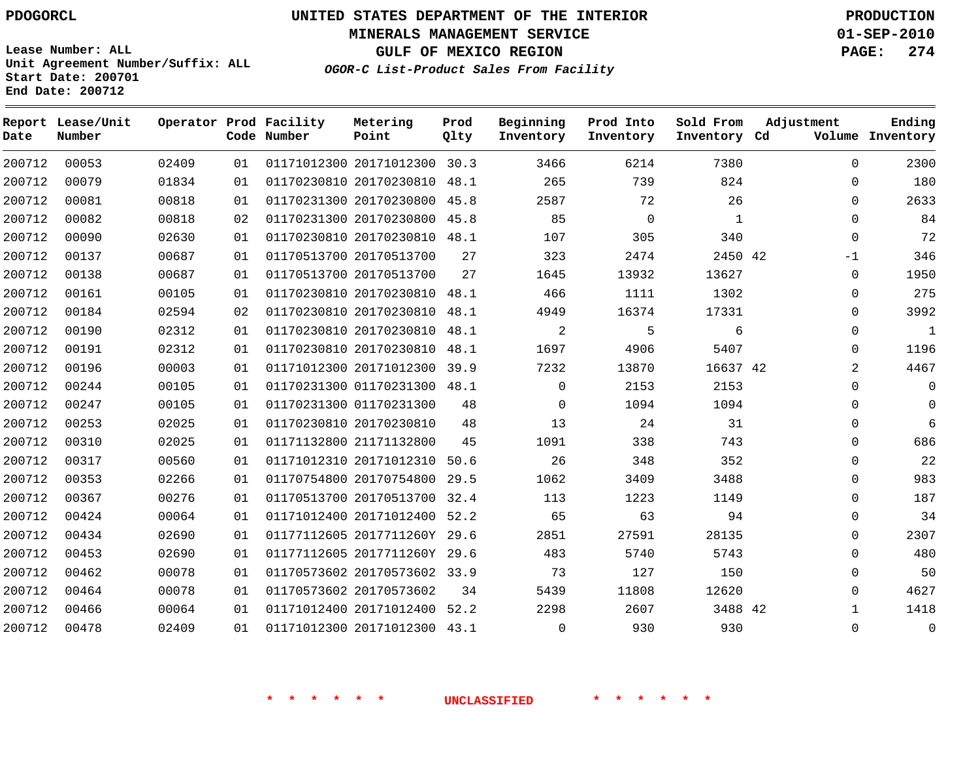**MINERALS MANAGEMENT SERVICE 01-SEP-2010**

**Lease Number: ALL Unit Agreement Number/Suffix: ALL Start Date: 200701 End Date: 200712**

**OGOR-C List-Product Sales From Facility**

**GULF OF MEXICO REGION PAGE: 274**

| Date   | Report Lease/Unit<br>Number |       |    | Operator Prod Facility<br>Code Number | Metering<br>Point            | Prod<br>Qlty | Beginning<br>Inventory | Prod Into<br>Inventory | Sold From<br>Inventory Cd | Adjustment   | Ending<br>Volume Inventory |
|--------|-----------------------------|-------|----|---------------------------------------|------------------------------|--------------|------------------------|------------------------|---------------------------|--------------|----------------------------|
| 200712 | 00053                       | 02409 | 01 |                                       | 01171012300 20171012300 30.3 |              | 3466                   | 6214                   | 7380                      | $\Omega$     | 2300                       |
| 200712 | 00079                       | 01834 | 01 |                                       | 01170230810 20170230810      | 48.1         | 265                    | 739                    | 824                       | $\Omega$     | 180                        |
| 200712 | 00081                       | 00818 | 01 |                                       | 01170231300 20170230800 45.8 |              | 2587                   | 72                     | 26                        | $\Omega$     | 2633                       |
| 200712 | 00082                       | 00818 | 02 |                                       | 01170231300 20170230800 45.8 |              | 85                     | $\mathbf 0$            | $\mathbf{1}$              | $\Omega$     | 84                         |
| 200712 | 00090                       | 02630 | 01 |                                       | 01170230810 20170230810      | 48.1         | 107                    | 305                    | 340                       | $\mathbf 0$  | 72                         |
| 200712 | 00137                       | 00687 | 01 |                                       | 01170513700 20170513700      | 27           | 323                    | 2474                   | 2450 42                   | -1           | 346                        |
| 200712 | 00138                       | 00687 | 01 |                                       | 01170513700 20170513700      | 27           | 1645                   | 13932                  | 13627                     | $\Omega$     | 1950                       |
| 200712 | 00161                       | 00105 | 01 |                                       | 01170230810 20170230810      | 48.1         | 466                    | 1111                   | 1302                      | $\mathbf 0$  | 275                        |
| 200712 | 00184                       | 02594 | 02 |                                       | 01170230810 20170230810      | 48.1         | 4949                   | 16374                  | 17331                     | $\Omega$     | 3992                       |
| 200712 | 00190                       | 02312 | 01 |                                       | 01170230810 20170230810      | 48.1         | 2                      | 5                      | 6                         | $\Omega$     | $\mathbf{1}$               |
| 200712 | 00191                       | 02312 | 01 |                                       | 01170230810 20170230810      | 48.1         | 1697                   | 4906                   | 5407                      | $\Omega$     | 1196                       |
| 200712 | 00196                       | 00003 | 01 |                                       | 01171012300 20171012300 39.9 |              | 7232                   | 13870                  | 16637 42                  | 2            | 4467                       |
| 200712 | 00244                       | 00105 | 01 |                                       | 01170231300 01170231300 48.1 |              | $\Omega$               | 2153                   | 2153                      | $\Omega$     | $\Omega$                   |
| 200712 | 00247                       | 00105 | 01 |                                       | 01170231300 01170231300      | 48           | $\mathbf 0$            | 1094                   | 1094                      | 0            | $\Omega$                   |
| 200712 | 00253                       | 02025 | 01 |                                       | 01170230810 20170230810      | 48           | 13                     | 24                     | 31                        | $\Omega$     | 6                          |
| 200712 | 00310                       | 02025 | 01 |                                       | 01171132800 21171132800      | 45           | 1091                   | 338                    | 743                       | $\Omega$     | 686                        |
| 200712 | 00317                       | 00560 | 01 |                                       | 01171012310 20171012310      | 50.6         | 26                     | 348                    | 352                       | $\mathbf 0$  | 22                         |
| 200712 | 00353                       | 02266 | 01 |                                       | 01170754800 20170754800      | 29.5         | 1062                   | 3409                   | 3488                      | $\Omega$     | 983                        |
| 200712 | 00367                       | 00276 | 01 |                                       | 01170513700 20170513700 32.4 |              | 113                    | 1223                   | 1149                      | $\Omega$     | 187                        |
| 200712 | 00424                       | 00064 | 01 |                                       | 01171012400 20171012400      | 52.2         | 65                     | 63                     | 94                        | $\mathbf{0}$ | 34                         |
| 200712 | 00434                       | 02690 | 01 |                                       | 01177112605 2017711260Y 29.6 |              | 2851                   | 27591                  | 28135                     | $\Omega$     | 2307                       |
| 200712 | 00453                       | 02690 | 01 |                                       | 01177112605 2017711260Y 29.6 |              | 483                    | 5740                   | 5743                      | $\Omega$     | 480                        |
| 200712 | 00462                       | 00078 | 01 |                                       | 01170573602 20170573602 33.9 |              | 73                     | 127                    | 150                       | $\mathbf 0$  | 50                         |
| 200712 | 00464                       | 00078 | 01 |                                       | 01170573602 20170573602      | 34           | 5439                   | 11808                  | 12620                     | $\Omega$     | 4627                       |
| 200712 | 00466                       | 00064 | 01 |                                       | 01171012400 20171012400      | 52.2         | 2298                   | 2607                   | 3488 42                   | 1            | 1418                       |
| 200712 | 00478                       | 02409 | 01 |                                       | 01171012300 20171012300 43.1 |              | $\Omega$               | 930                    | 930                       | $\Omega$     | $\mathbf 0$                |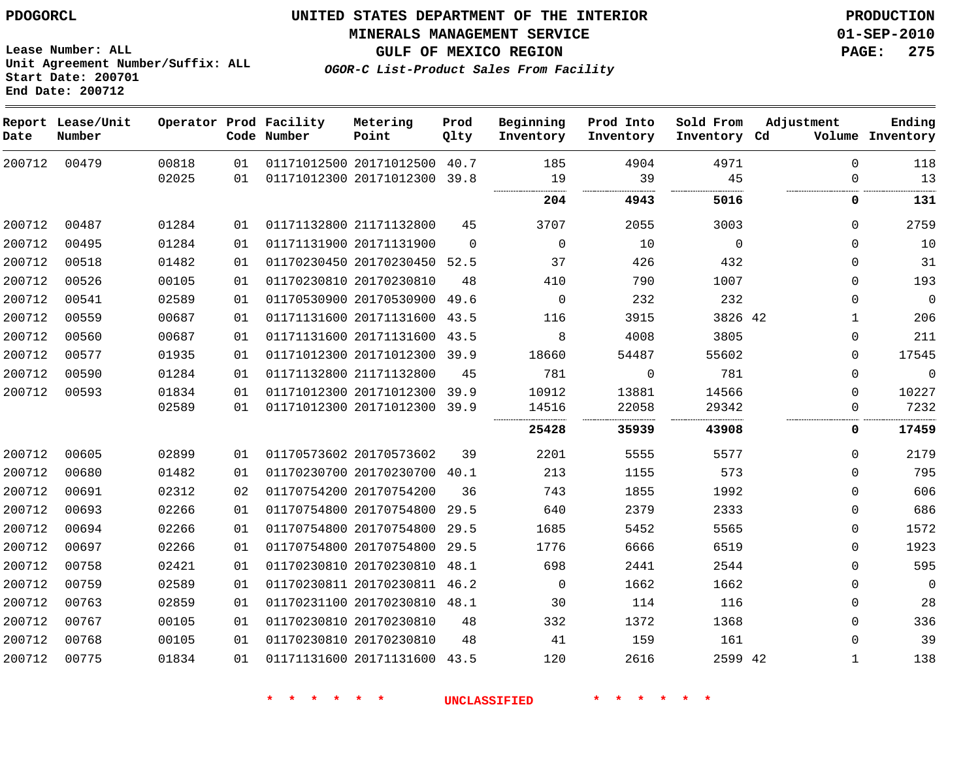**MINERALS MANAGEMENT SERVICE 01-SEP-2010**

**GULF OF MEXICO REGION PAGE: 275**

**OGOR-C List-Product Sales From Facility**

**Lease Number: ALL Unit Agreement Number/Suffix: ALL Start Date: 200701 End Date: 200712**

| Date   | Report Lease/Unit<br>Number |       |    | Operator Prod Facility<br>Code Number | Metering<br>Point            | Prod<br>Qlty | Beginning<br>Inventory | Prod Into<br>Inventory | Sold From<br>Inventory Cd | Adjustment  | Ending<br>Volume Inventory |
|--------|-----------------------------|-------|----|---------------------------------------|------------------------------|--------------|------------------------|------------------------|---------------------------|-------------|----------------------------|
| 200712 | 00479                       | 00818 | 01 |                                       | 01171012500 20171012500 40.7 |              | 185                    | 4904                   | 4971                      | 0           | 118                        |
|        |                             | 02025 | 01 |                                       | 01171012300 20171012300 39.8 |              | 19                     | 39                     | 45                        | $\Omega$    | 13                         |
|        |                             |       |    |                                       |                              |              | 204                    | 4943                   | 5016                      | 0           | 131                        |
| 200712 | 00487                       | 01284 | 01 |                                       | 01171132800 21171132800      | 45           | 3707                   | 2055                   | 3003                      | $\mathbf 0$ | 2759                       |
| 200712 | 00495                       | 01284 | 01 |                                       | 01171131900 20171131900      | $\Omega$     | $\mathbf 0$            | 10                     | $\mathbf 0$               | $\mathbf 0$ | 10                         |
| 200712 | 00518                       | 01482 | 01 |                                       | 01170230450 20170230450 52.5 |              | 37                     | 426                    | 432                       | 0           | 31                         |
| 200712 | 00526                       | 00105 | 01 |                                       | 01170230810 20170230810      | 48           | 410                    | 790                    | 1007                      | $\Omega$    | 193                        |
| 200712 | 00541                       | 02589 | 01 |                                       | 01170530900 20170530900 49.6 |              | 0                      | 232                    | 232                       | $\mathbf 0$ | $\mathbf 0$                |
| 200712 | 00559                       | 00687 | 01 |                                       | 01171131600 20171131600 43.5 |              | 116                    | 3915                   | 3826 42                   | 1           | 206                        |
| 200712 | 00560                       | 00687 | 01 |                                       | 01171131600 20171131600      | 43.5         | 8                      | 4008                   | 3805                      | 0           | 211                        |
| 200712 | 00577                       | 01935 | 01 |                                       | 01171012300 20171012300 39.9 |              | 18660                  | 54487                  | 55602                     | $\Omega$    | 17545                      |
| 200712 | 00590                       | 01284 | 01 |                                       | 01171132800 21171132800      | 45           | 781                    | $\mathbf 0$            | 781                       | $\mathbf 0$ | $\mathbf 0$                |
| 200712 | 00593                       | 01834 | 01 |                                       | 01171012300 20171012300 39.9 |              | 10912                  | 13881                  | 14566                     | $\mathbf 0$ | 10227                      |
|        |                             | 02589 | 01 |                                       | 01171012300 20171012300 39.9 |              | 14516                  | 22058                  | 29342<br>.                | $\mathbf 0$ | 7232                       |
|        |                             |       |    |                                       |                              |              | 25428                  | 35939                  | 43908                     | 0           | 17459                      |
| 200712 | 00605                       | 02899 | 01 |                                       | 01170573602 20170573602      | 39           | 2201                   | 5555                   | 5577                      | $\mathbf 0$ | 2179                       |
| 200712 | 00680                       | 01482 | 01 |                                       | 01170230700 20170230700 40.1 |              | 213                    | 1155                   | 573                       | $\mathbf 0$ | 795                        |
| 200712 | 00691                       | 02312 | 02 |                                       | 01170754200 20170754200      | 36           | 743                    | 1855                   | 1992                      | 0           | 606                        |
| 200712 | 00693                       | 02266 | 01 |                                       | 01170754800 20170754800      | 29.5         | 640                    | 2379                   | 2333                      | 0           | 686                        |
| 200712 | 00694                       | 02266 | 01 |                                       | 01170754800 20170754800      | 29.5         | 1685                   | 5452                   | 5565                      | 0           | 1572                       |
| 200712 | 00697                       | 02266 | 01 |                                       | 01170754800 20170754800      | 29.5         | 1776                   | 6666                   | 6519                      | $\mathbf 0$ | 1923                       |
| 200712 | 00758                       | 02421 | 01 |                                       | 01170230810 20170230810 48.1 |              | 698                    | 2441                   | 2544                      | $\mathbf 0$ | 595                        |
| 200712 | 00759                       | 02589 | 01 |                                       | 01170230811 20170230811 46.2 |              | 0                      | 1662                   | 1662                      | 0           | $\mathbf 0$                |
| 200712 | 00763                       | 02859 | 01 |                                       | 01170231100 20170230810 48.1 |              | 30                     | 114                    | 116                       | 0           | 28                         |
| 200712 | 00767                       | 00105 | 01 |                                       | 01170230810 20170230810      | 48           | 332                    | 1372                   | 1368                      | $\mathbf 0$ | 336                        |
| 200712 | 00768                       | 00105 | 01 |                                       | 01170230810 20170230810      | 48           | 41                     | 159                    | 161                       | 0           | 39                         |
| 200712 | 00775                       | 01834 | 01 |                                       | 01171131600 20171131600 43.5 |              | 120                    | 2616                   | 2599 42                   | 1           | 138                        |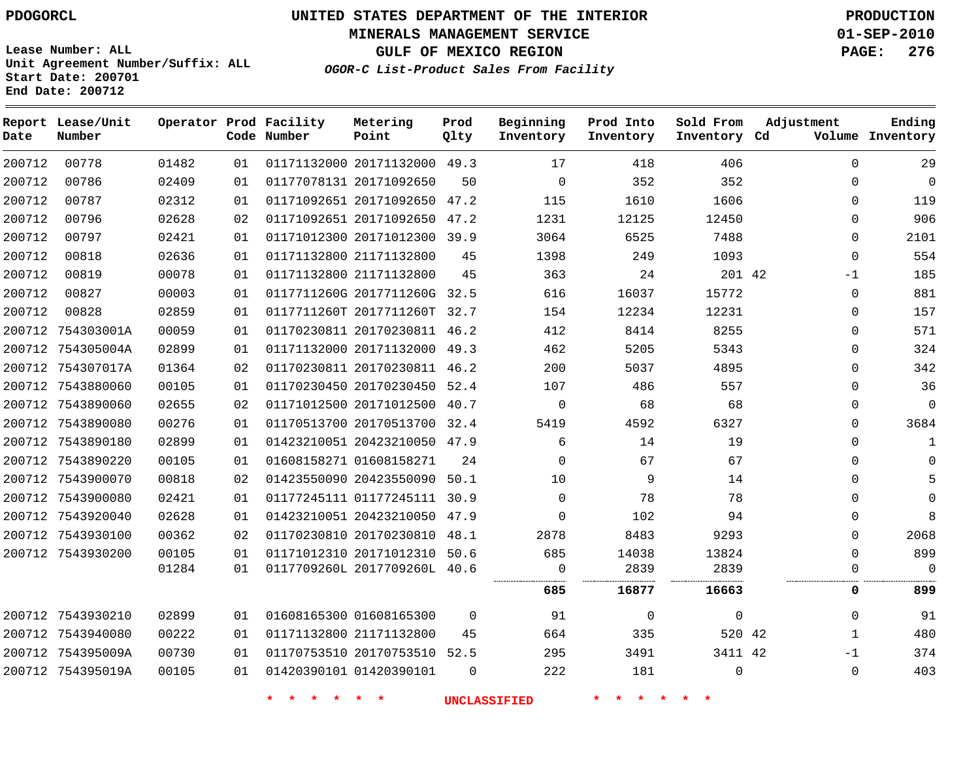**MINERALS MANAGEMENT SERVICE 01-SEP-2010**

**GULF OF MEXICO REGION PAGE: 276**

**Lease Number: ALL Unit Agreement Number/Suffix: ALL Start Date: 200701 End Date: 200712**

**OGOR-C List-Product Sales From Facility**

| Date   | Report Lease/Unit<br>Number |       |    | Operator Prod Facility<br>Code Number | Metering<br>Point            | Prod<br>Qlty | Beginning<br>Inventory | Prod Into<br>Inventory | Sold From<br>Inventory Cd | Adjustment   | Ending<br>Volume Inventory |
|--------|-----------------------------|-------|----|---------------------------------------|------------------------------|--------------|------------------------|------------------------|---------------------------|--------------|----------------------------|
| 200712 | 00778                       | 01482 | 01 |                                       | 01171132000 20171132000 49.3 |              | 17                     | 418                    | 406                       | $\Omega$     | 29                         |
| 200712 | 00786                       | 02409 | 01 |                                       | 01177078131 20171092650      | 50           | $\Omega$               | 352                    | 352                       | $\Omega$     | $\mathbf 0$                |
| 200712 | 00787                       | 02312 | 01 |                                       | 01171092651 20171092650 47.2 |              | 115                    | 1610                   | 1606                      | $\Omega$     | 119                        |
| 200712 | 00796                       | 02628 | 02 |                                       | 01171092651 20171092650      | 47.2         | 1231                   | 12125                  | 12450                     | $\Omega$     | 906                        |
| 200712 | 00797                       | 02421 | 01 |                                       | 01171012300 20171012300 39.9 |              | 3064                   | 6525                   | 7488                      | $\Omega$     | 2101                       |
| 200712 | 00818                       | 02636 | 01 |                                       | 01171132800 21171132800      | 45           | 1398                   | 249                    | 1093                      | $\mathbf{0}$ | 554                        |
| 200712 | 00819                       | 00078 | 01 |                                       | 01171132800 21171132800      | 45           | 363                    | 24                     | 201 42                    | $-1$         | 185                        |
| 200712 | 00827                       | 00003 | 01 |                                       | 0117711260G 2017711260G 32.5 |              | 616                    | 16037                  | 15772                     | $\mathbf 0$  | 881                        |
| 200712 | 00828                       | 02859 | 01 |                                       | 0117711260T 2017711260T      | 32.7         | 154                    | 12234                  | 12231                     | $\mathbf{0}$ | 157                        |
|        | 200712 754303001A           | 00059 | 01 |                                       | 01170230811 20170230811 46.2 |              | 412                    | 8414                   | 8255                      | $\Omega$     | 571                        |
|        | 200712 754305004A           | 02899 | 01 |                                       | 01171132000 20171132000 49.3 |              | 462                    | 5205                   | 5343                      | $\Omega$     | 324                        |
|        | 200712 754307017A           | 01364 | 02 |                                       | 01170230811 20170230811 46.2 |              | 200                    | 5037                   | 4895                      | 0            | 342                        |
|        | 200712 7543880060           | 00105 | 01 |                                       | 01170230450 20170230450 52.4 |              | 107                    | 486                    | 557                       | $\Omega$     | 36                         |
|        | 200712 7543890060           | 02655 | 02 |                                       | 01171012500 20171012500      | 40.7         | $\mathbf 0$            | 68                     | 68                        | $\Omega$     | $\mathbf 0$                |
|        | 200712 7543890080           | 00276 | 01 |                                       | 01170513700 20170513700 32.4 |              | 5419                   | 4592                   | 6327                      | $\Omega$     | 3684                       |
|        | 200712 7543890180           | 02899 | 01 |                                       | 01423210051 20423210050 47.9 |              | 6                      | 14                     | 19                        | $\Omega$     | $\mathbf{1}$               |
|        | 200712 7543890220           | 00105 | 01 |                                       | 01608158271 01608158271      | 24           | $\Omega$               | 67                     | 67                        | $\Omega$     | 0                          |
|        | 200712 7543900070           | 00818 | 02 |                                       | 01423550090 20423550090 50.1 |              | 10                     | 9                      | 14                        | $\Omega$     | 5                          |
|        | 200712 7543900080           | 02421 | 01 |                                       | 01177245111 01177245111 30.9 |              | $\Omega$               | 78                     | 78                        | $\Omega$     | 0                          |
|        | 200712 7543920040           | 02628 | 01 |                                       | 01423210051 20423210050 47.9 |              | $\mathbf 0$            | 102                    | 94                        | $\Omega$     | 8                          |
|        | 200712 7543930100           | 00362 | 02 |                                       | 01170230810 20170230810      | 48.1         | 2878                   | 8483                   | 9293                      | $\Omega$     | 2068                       |
|        | 200712 7543930200           | 00105 | 01 |                                       | 01171012310 20171012310      | 50.6         | 685                    | 14038                  | 13824                     | $\Omega$     | 899                        |
|        |                             | 01284 | 01 |                                       | 0117709260L 2017709260L 40.6 |              | 0                      | 2839                   | 2839                      | $\Omega$     | $\Omega$                   |
|        |                             |       |    |                                       |                              |              | 685                    | 16877                  | 16663                     | 0            | 899                        |
|        | 200712 7543930210           | 02899 | 01 |                                       | 01608165300 01608165300      | $\Omega$     | 91                     | $\mathbf 0$            | $\mathbf 0$               | $\Omega$     | 91                         |
|        | 200712 7543940080           | 00222 | 01 |                                       | 01171132800 21171132800      | 45           | 664                    | 335                    | 520 42                    | 1            | 480                        |
|        | 200712 754395009A           | 00730 | 01 |                                       | 01170753510 20170753510 52.5 |              | 295                    | 3491                   | 3411 42                   | $-1$         | 374                        |
|        | 200712 754395019A           | 00105 | 01 |                                       | 01420390101 01420390101      | $\Omega$     | 222                    | 181                    | $\Omega$                  | $\Omega$     | 403                        |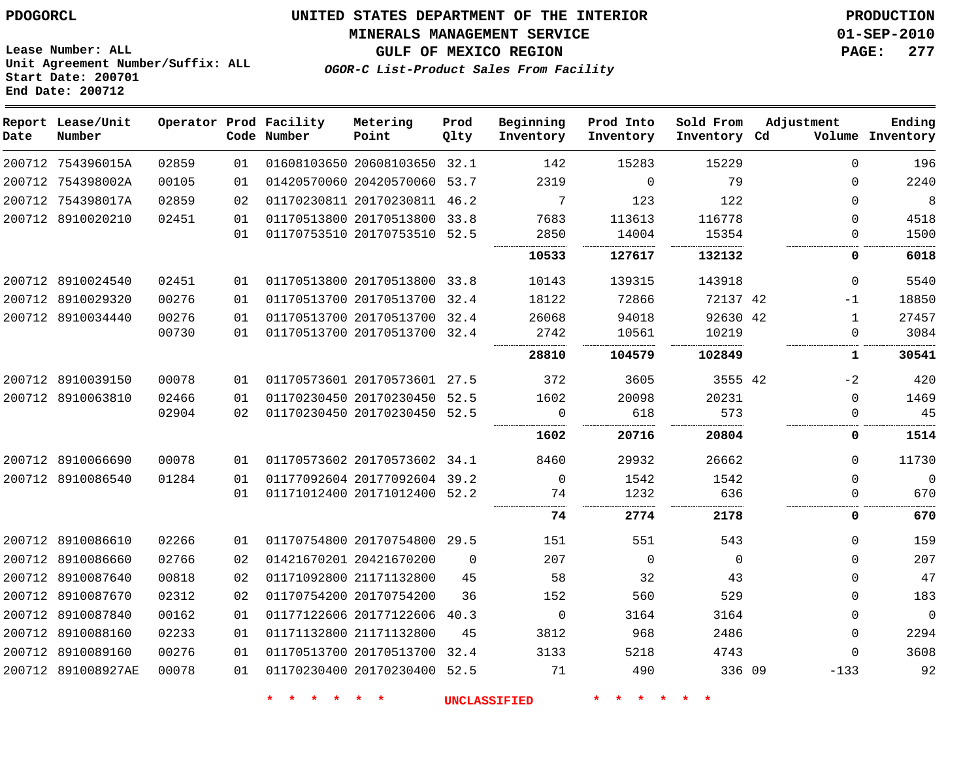#### **MINERALS MANAGEMENT SERVICE 01-SEP-2010**

**GULF OF MEXICO REGION PAGE: 277**

**Lease Number: ALL Unit Agreement Number/Suffix: ALL Start Date: 200701 End Date: 200712**

**OGOR-C List-Product Sales From Facility**

| Date | Report Lease/Unit<br>Number |       |    | Operator Prod Facility<br>Code Number | Metering<br>Point            | Prod<br>Qlty | Beginning<br>Inventory | Prod Into<br>Inventory | Sold From<br>Inventory Cd | Adjustment   | Ending<br>Volume Inventory |
|------|-----------------------------|-------|----|---------------------------------------|------------------------------|--------------|------------------------|------------------------|---------------------------|--------------|----------------------------|
|      | 200712 754396015A           | 02859 | 01 |                                       | 01608103650 20608103650 32.1 |              | 142                    | 15283                  | 15229                     | $\Omega$     | 196                        |
|      | 200712 754398002A           | 00105 | 01 |                                       | 01420570060 20420570060 53.7 |              | 2319                   | $\Omega$               | 79                        | $\Omega$     | 2240                       |
|      | 200712 754398017A           | 02859 | 02 |                                       | 01170230811 20170230811 46.2 |              | 7                      | 123                    | 122                       | $\Omega$     | 8                          |
|      | 200712 8910020210           | 02451 | 01 |                                       | 01170513800 20170513800 33.8 |              | 7683                   | 113613                 | 116778                    | $\Omega$     | 4518                       |
|      |                             |       | 01 |                                       | 01170753510 20170753510 52.5 |              | 2850                   | 14004                  | 15354                     | $\Omega$     | 1500                       |
|      |                             |       |    |                                       |                              |              | 10533                  | 127617                 | 132132                    | 0            | 6018                       |
|      | 200712 8910024540           | 02451 | 01 |                                       | 01170513800 20170513800 33.8 |              | 10143                  | 139315                 | 143918                    | 0            | 5540                       |
|      | 200712 8910029320           | 00276 | 01 |                                       | 01170513700 20170513700 32.4 |              | 18122                  | 72866                  | 72137 42                  | $-1$         | 18850                      |
|      | 200712 8910034440           | 00276 | 01 |                                       | 01170513700 20170513700 32.4 |              | 26068                  | 94018                  | 92630 42                  | $\mathbf{1}$ | 27457                      |
|      |                             | 00730 | 01 |                                       | 01170513700 20170513700 32.4 |              | 2742                   | 10561                  | 10219                     | 0            | 3084                       |
|      |                             |       |    |                                       |                              |              | 28810                  | 104579                 | 102849                    | ı.           | 30541                      |
|      | 200712 8910039150           | 00078 | 01 |                                       | 01170573601 20170573601 27.5 |              | 372                    | 3605                   | 3555 42                   | $-2$         | 420                        |
|      | 200712 8910063810           | 02466 | 01 |                                       | 01170230450 20170230450 52.5 |              | 1602                   | 20098                  | 20231                     | $\Omega$     | 1469                       |
|      |                             | 02904 | 02 |                                       | 01170230450 20170230450 52.5 |              | $\mathbf 0$            | 618                    | 573                       | $\Omega$     | 45                         |
|      |                             |       |    |                                       |                              |              | 1602                   | 20716                  | 20804                     | 0            | 1514                       |
|      | 200712 8910066690           | 00078 | 01 |                                       | 01170573602 20170573602 34.1 |              | 8460                   | 29932                  | 26662                     | $\Omega$     | 11730                      |
|      | 200712 8910086540           | 01284 | 01 |                                       | 01177092604 20177092604 39.2 |              | $\Omega$               | 1542                   | 1542                      | $\Omega$     | $\mathbf 0$                |
|      |                             |       | 01 |                                       | 01171012400 20171012400 52.2 |              | 74                     | 1232                   | 636                       | $\Omega$     | 670                        |
|      |                             |       |    |                                       |                              |              | <br>74                 | 2774                   | 2178                      | 0            | 670                        |
|      | 200712 8910086610           | 02266 | 01 |                                       | 01170754800 20170754800 29.5 |              | 151                    | 551                    | 543                       | 0            | 159                        |
|      | 200712 8910086660           | 02766 | 02 |                                       | 01421670201 20421670200      | $\Omega$     | 207                    | $\overline{0}$         | $\Omega$                  | $\mathbf{0}$ | 207                        |
|      | 200712 8910087640           | 00818 | 02 |                                       | 01171092800 21171132800      | 45           | 58                     | 32                     | 43                        | $\Omega$     | 47                         |
|      | 200712 8910087670           | 02312 | 02 |                                       | 01170754200 20170754200      | 36           | 152                    | 560                    | 529                       | $\Omega$     | 183                        |
|      | 200712 8910087840           | 00162 | 01 |                                       | 01177122606 20177122606      | 40.3         | $\overline{0}$         | 3164                   | 3164                      | $\Omega$     | $\mathbf 0$                |
|      | 200712 8910088160           | 02233 | 01 |                                       | 01171132800 21171132800      | 45           | 3812                   | 968                    | 2486                      | $\Omega$     | 2294                       |
|      | 200712 8910089160           | 00276 | 01 |                                       | 01170513700 20170513700      | 32.4         | 3133                   | 5218                   | 4743                      | $\Omega$     | 3608                       |
|      | 200712 891008927AE          | 00078 | 01 |                                       | 01170230400 20170230400 52.5 |              | 71                     | 490                    | 336 09                    | $-133$       | 92                         |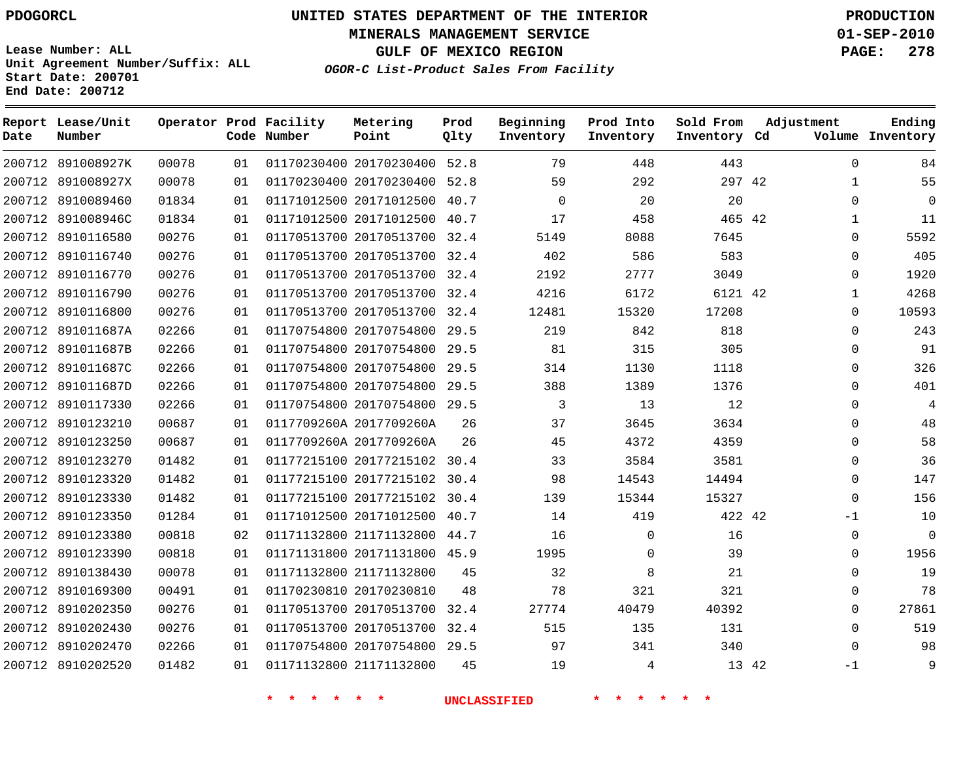**Start Date: 200701 End Date: 200712**

**Unit Agreement Number/Suffix: ALL**

# **UNITED STATES DEPARTMENT OF THE INTERIOR PDOGORCL PRODUCTION**

**MINERALS MANAGEMENT SERVICE 01-SEP-2010**

**GULF OF MEXICO REGION PAGE: 278**

**OGOR-C List-Product Sales From Facility**

| Date   | Report Lease/Unit<br>Number |       |    | Operator Prod Facility<br>Code Number | Metering<br>Point            | Prod<br>Qlty | Beginning<br>Inventory | Prod Into<br>Inventory | Sold From<br>Inventory Cd | Adjustment    | Ending<br>Volume Inventory |
|--------|-----------------------------|-------|----|---------------------------------------|------------------------------|--------------|------------------------|------------------------|---------------------------|---------------|----------------------------|
|        | 200712 891008927K           | 00078 | 01 |                                       | 01170230400 20170230400 52.8 |              | 79                     | 448                    | 443                       | $\Omega$      | 84                         |
| 200712 | 891008927X                  | 00078 | 01 |                                       | 01170230400 20170230400      | 52.8         | 59                     | 292                    | 297 42                    | $\mathbf{1}$  | 55                         |
|        | 200712 8910089460           | 01834 | 01 |                                       | 01171012500 20171012500      | 40.7         | $\mathbf 0$            | 20                     | 20                        | $\Omega$      | $\mathbf 0$                |
| 200712 | 891008946C                  | 01834 | 01 |                                       | 01171012500 20171012500      | 40.7         | 17                     | 458                    | 465 42                    | $\mathbf{1}$  | 11                         |
|        | 200712 8910116580           | 00276 | 01 |                                       | 01170513700 20170513700 32.4 |              | 5149                   | 8088                   | 7645                      | $\Omega$      | 5592                       |
| 200712 | 8910116740                  | 00276 | 01 |                                       | 01170513700 20170513700      | 32.4         | 402                    | 586                    | 583                       | $\mathbf 0$   | 405                        |
| 200712 | 8910116770                  | 00276 | 01 |                                       | 01170513700 20170513700 32.4 |              | 2192                   | 2777                   | 3049                      | $\mathbf 0$   | 1920                       |
| 200712 | 8910116790                  | 00276 | 01 |                                       | 01170513700 20170513700      | 32.4         | 4216                   | 6172                   | 6121 42                   | $\mathbf{1}$  | 4268                       |
|        | 200712 8910116800           | 00276 | 01 |                                       | 01170513700 20170513700 32.4 |              | 12481                  | 15320                  | 17208                     | $\Omega$      | 10593                      |
| 200712 | 891011687A                  | 02266 | 01 |                                       | 01170754800 20170754800      | 29.5         | 219                    | 842                    | 818                       | $\Omega$      | 243                        |
| 200712 | 891011687B                  | 02266 | 01 |                                       | 01170754800 20170754800      | 29.5         | 81                     | 315                    | 305                       | $\mathbf 0$   | 91                         |
| 200712 | 891011687C                  | 02266 | 01 |                                       | 01170754800 20170754800      | 29.5         | 314                    | 1130                   | 1118                      | $\Omega$      | 326                        |
| 200712 | 891011687D                  | 02266 | 01 |                                       | 01170754800 20170754800      | 29.5         | 388                    | 1389                   | 1376                      | $\mathbf 0$   | 401                        |
|        | 200712 8910117330           | 02266 | 01 |                                       | 01170754800 20170754800      | 29.5         | 3                      | 13                     | 12                        | $\mathbf 0$   | $\overline{4}$             |
| 200712 | 8910123210                  | 00687 | 01 |                                       | 0117709260A 2017709260A      | 26           | 37                     | 3645                   | 3634                      | $\mathbf 0$   | 48                         |
|        | 200712 8910123250           | 00687 | 01 |                                       | 0117709260A 2017709260A      | 26           | 45                     | 4372                   | 4359                      | $\Omega$      | 58                         |
|        | 200712 8910123270           | 01482 | 01 |                                       | 01177215100 20177215102 30.4 |              | 33                     | 3584                   | 3581                      | $\Omega$      | 36                         |
|        | 200712 8910123320           | 01482 | 01 |                                       | 01177215100 20177215102 30.4 |              | 98                     | 14543                  | 14494                     | $\mathbf 0$   | 147                        |
| 200712 | 8910123330                  | 01482 | 01 |                                       | 01177215100 20177215102      | 30.4         | 139                    | 15344                  | 15327                     | $\mathbf 0$   | 156                        |
|        | 200712 8910123350           | 01284 | 01 |                                       | 01171012500 20171012500      | 40.7         | 14                     | 419                    | 422 42                    | $-1$          | 10                         |
|        | 200712 8910123380           | 00818 | 02 |                                       | 01171132800 21171132800      | 44.7         | 16                     | $\Omega$               | 16                        | $\Omega$      | $\Omega$                   |
| 200712 | 8910123390                  | 00818 | 01 |                                       | 01171131800 20171131800 45.9 |              | 1995                   | $\Omega$               | 39                        | $\Omega$      | 1956                       |
| 200712 | 8910138430                  | 00078 | 01 |                                       | 01171132800 21171132800      | 45           | 32                     | 8                      | 21                        | $\mathbf 0$   | 19                         |
| 200712 | 8910169300                  | 00491 | 01 |                                       | 01170230810 20170230810      | 48           | 78                     | 321                    | 321                       | $\Omega$      | 78                         |
| 200712 | 8910202350                  | 00276 | 01 |                                       | 01170513700 20170513700      | 32.4         | 27774                  | 40479                  | 40392                     | $\Omega$      | 27861                      |
| 200712 | 8910202430                  | 00276 | 01 |                                       | 01170513700 20170513700      | 32.4         | 515                    | 135                    | 131                       | $\Omega$      | 519                        |
| 200712 | 8910202470                  | 02266 | 01 |                                       | 01170754800 20170754800      | 29.5         | 97                     | 341                    | 340                       | $\Omega$      | 98                         |
|        | 200712 8910202520           | 01482 | 01 |                                       | 01171132800 21171132800      | 45           | 19                     | 4                      |                           | 13 42<br>$-1$ | 9                          |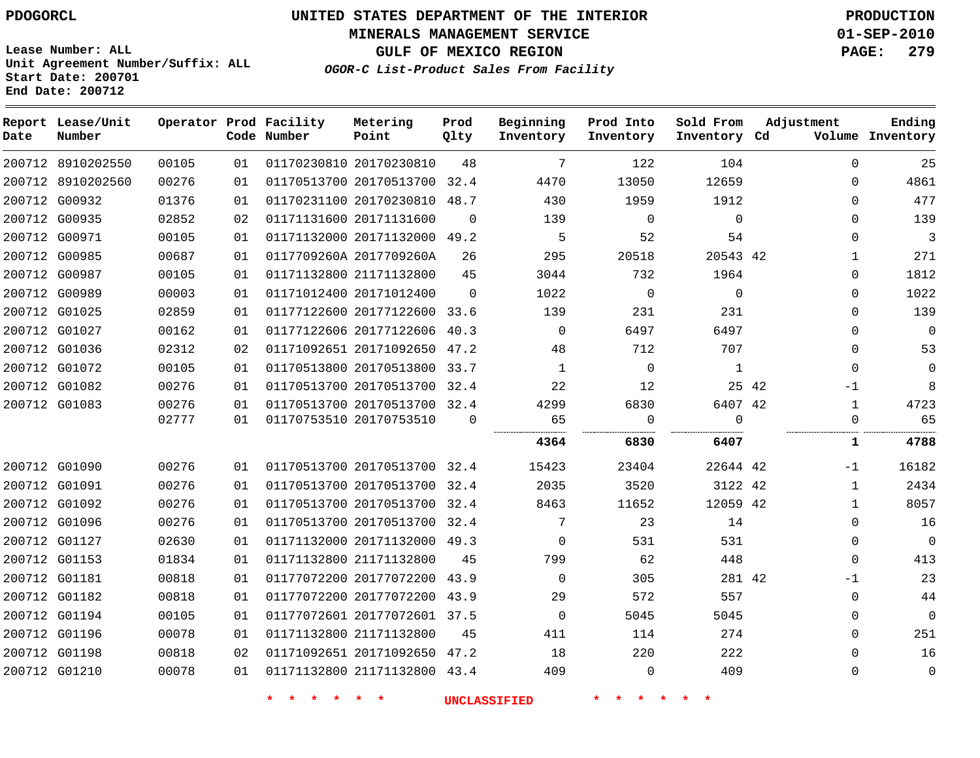**MINERALS MANAGEMENT SERVICE 01-SEP-2010**

**GULF OF MEXICO REGION PAGE: 279**

**Lease Number: ALL Unit Agreement Number/Suffix: ALL Start Date: 200701 End Date: 200712**

**OGOR-C List-Product Sales From Facility**

| Date | Report Lease/Unit<br>Number |       |    | Operator Prod Facility<br>Code Number | Metering<br>Point            | Prod<br>Qlty | Beginning<br>Inventory | Prod Into<br>Inventory | Sold From<br>Inventory Cd | Adjustment |              | Ending<br>Volume Inventory |
|------|-----------------------------|-------|----|---------------------------------------|------------------------------|--------------|------------------------|------------------------|---------------------------|------------|--------------|----------------------------|
|      | 200712 8910202550           | 00105 | 01 |                                       | 01170230810 20170230810      | 48           | 7                      | 122                    | 104                       |            | $\mathbf{0}$ | 25                         |
|      | 200712 8910202560           | 00276 | 01 |                                       | 01170513700 20170513700 32.4 |              | 4470                   | 13050                  | 12659                     |            | 0            | 4861                       |
|      | 200712 G00932               | 01376 | 01 |                                       | 01170231100 20170230810      | 48.7         | 430                    | 1959                   | 1912                      |            | $\Omega$     | 477                        |
|      | 200712 G00935               | 02852 | 02 |                                       | 01171131600 20171131600      | $\Omega$     | 139                    | $\mathbf{0}$           | $\Omega$                  |            | $\Omega$     | 139                        |
|      | 200712 G00971               | 00105 | 01 |                                       | 01171132000 20171132000      | 49.2         | 5                      | 52                     | 54                        |            | $\Omega$     | 3                          |
|      | 200712 G00985               | 00687 | 01 |                                       | 0117709260A 2017709260A      | 26           | 295                    | 20518                  | 20543 42                  |            | $\mathbf 1$  | 271                        |
|      | 200712 G00987               | 00105 | 01 |                                       | 01171132800 21171132800      | 45           | 3044                   | 732                    | 1964                      |            | $\Omega$     | 1812                       |
|      | 200712 G00989               | 00003 | 01 |                                       | 01171012400 20171012400      | $\Omega$     | 1022                   | $\mathbf{0}$           | $\Omega$                  |            | $\Omega$     | 1022                       |
|      | 200712 G01025               | 02859 | 01 |                                       | 01177122600 20177122600      | 33.6         | 139                    | 231                    | 231                       |            | $\Omega$     | 139                        |
|      | 200712 G01027               | 00162 | 01 |                                       | 01177122606 20177122606      | 40.3         | $\Omega$               | 6497                   | 6497                      |            | $\Omega$     | 0                          |
|      | 200712 G01036               | 02312 | 02 |                                       | 01171092651 20171092650      | 47.2         | 48                     | 712                    | 707                       |            | $\Omega$     | 53                         |
|      | 200712 G01072               | 00105 | 01 |                                       | 01170513800 20170513800 33.7 |              | 1                      | $\mathbf 0$            | 1                         |            | $\Omega$     | 0                          |
|      | 200712 G01082               | 00276 | 01 |                                       | 01170513700 20170513700 32.4 |              | 22                     | 12                     |                           | 25 42      | $-1$         | 8                          |
|      | 200712 G01083               | 00276 | 01 |                                       | 01170513700 20170513700 32.4 |              | 4299                   | 6830                   | 6407 42                   |            | 1            | 4723                       |
|      |                             | 02777 | 01 |                                       | 01170753510 20170753510      | $\mathbf 0$  | 65                     | 0                      | $\mathbf 0$               |            | $\Omega$     | 65                         |
|      |                             |       |    |                                       |                              |              | 4364                   | 6830                   | .<br>6407                 |            | 1            | 4788                       |
|      | 200712 G01090               | 00276 | 01 |                                       | 01170513700 20170513700 32.4 |              | 15423                  | 23404                  | 22644 42                  |            | -1           | 16182                      |
|      | 200712 G01091               | 00276 | 01 |                                       | 01170513700 20170513700      | 32.4         | 2035                   | 3520                   | 3122 42                   |            | $\mathbf{1}$ | 2434                       |
|      | 200712 G01092               | 00276 | 01 |                                       | 01170513700 20170513700 32.4 |              | 8463                   | 11652                  | 12059 42                  |            | 1            | 8057                       |
|      | 200712 G01096               | 00276 | 01 |                                       | 01170513700 20170513700 32.4 |              | 7                      | 23                     | 14                        |            | $\Omega$     | 16                         |
|      | 200712 G01127               | 02630 | 01 |                                       | 01171132000 20171132000      | 49.3         | 0                      | 531                    | 531                       |            | 0            | 0                          |
|      | 200712 G01153               | 01834 | 01 |                                       | 01171132800 21171132800      | 45           | 799                    | 62                     | 448                       |            | 0            | 413                        |
|      | 200712 G01181               | 00818 | 01 |                                       | 01177072200 20177072200      | 43.9         | $\Omega$               | 305                    | 281 42                    |            | $-1$         | 23                         |
|      | 200712 G01182               | 00818 | 01 |                                       | 01177072200 20177072200 43.9 |              | 29                     | 572                    | 557                       |            | $\Omega$     | 44                         |
|      | 200712 G01194               | 00105 | 01 |                                       | 01177072601 20177072601 37.5 |              | $\mathbf 0$            | 5045                   | 5045                      |            | $\Omega$     | $\mathbf 0$                |
|      | 200712 G01196               | 00078 | 01 |                                       | 01171132800 21171132800      | 45           | 411                    | 114                    | 274                       |            | $\Omega$     | 251                        |
|      | 200712 G01198               | 00818 | 02 |                                       | 01171092651 20171092650      | 47.2         | 18                     | 220                    | 222                       |            | $\Omega$     | 16                         |
|      | 200712 G01210               | 00078 | 01 |                                       | 01171132800 21171132800 43.4 |              | 409                    | $\mathbf 0$            | 409                       |            | $\Omega$     | 0                          |
|      |                             |       |    |                                       |                              |              |                        |                        |                           |            |              |                            |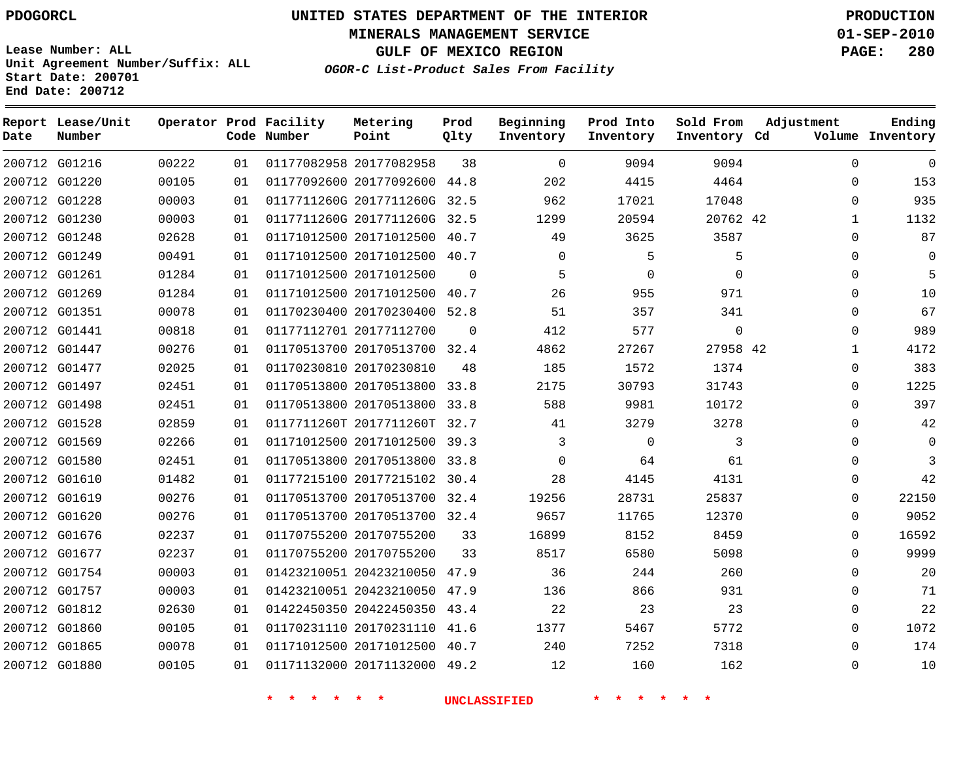**End Date: 200712**

# **UNITED STATES DEPARTMENT OF THE INTERIOR PDOGORCL PRODUCTION**

**MINERALS MANAGEMENT SERVICE 01-SEP-2010**

**GULF OF MEXICO REGION PAGE: 280**

**Unit Agreement Number/Suffix: ALL Start Date: 200701**

|  | OGOR-C List-Product Sales From Facility |  |  |  |
|--|-----------------------------------------|--|--|--|
|--|-----------------------------------------|--|--|--|

| Date          | Report Lease/Unit<br>Number |       |    | Operator Prod Facility<br>Code Number | Metering<br>Point            | Prod<br>Qlty | Beginning<br>Inventory | Prod Into<br>Inventory | Sold From<br>Inventory Cd | Adjustment   | Ending<br>Volume Inventory |
|---------------|-----------------------------|-------|----|---------------------------------------|------------------------------|--------------|------------------------|------------------------|---------------------------|--------------|----------------------------|
|               | 200712 G01216               | 00222 | 01 |                                       | 01177082958 20177082958      | 38           | $\Omega$               | 9094                   | 9094                      | $\Omega$     | $\Omega$                   |
| 200712 G01220 |                             | 00105 | 01 |                                       | 01177092600 20177092600 44.8 |              | 202                    | 4415                   | 4464                      | $\mathbf 0$  | 153                        |
| 200712 G01228 |                             | 00003 | 01 |                                       | 0117711260G 2017711260G 32.5 |              | 962                    | 17021                  | 17048                     | $\Omega$     | 935                        |
| 200712 G01230 |                             | 00003 | 01 |                                       | 0117711260G 2017711260G 32.5 |              | 1299                   | 20594                  | 20762 42                  | $\mathbf{1}$ | 1132                       |
| 200712 G01248 |                             | 02628 | 01 |                                       | 01171012500 20171012500 40.7 |              | 49                     | 3625                   | 3587                      | $\mathbf 0$  | 87                         |
| 200712 G01249 |                             | 00491 | 01 |                                       | 01171012500 20171012500 40.7 |              | $\Omega$               | 5                      | 5                         | $\Omega$     | $\Omega$                   |
| 200712 G01261 |                             | 01284 | 01 |                                       | 01171012500 20171012500      | $\Omega$     | 5                      | $\Omega$               | $\Omega$                  | $\Omega$     | 5                          |
| 200712 G01269 |                             | 01284 | 01 |                                       | 01171012500 20171012500 40.7 |              | 26                     | 955                    | 971                       | $\Omega$     | 10                         |
| 200712 G01351 |                             | 00078 | 01 |                                       | 01170230400 20170230400 52.8 |              | 51                     | 357                    | 341                       | $\Omega$     | 67                         |
| 200712 G01441 |                             | 00818 | 01 |                                       | 01177112701 20177112700      | $\Omega$     | 412                    | 577                    | $\mathbf 0$               | $\mathbf 0$  | 989                        |
| 200712 G01447 |                             | 00276 | 01 |                                       | 01170513700 20170513700 32.4 |              | 4862                   | 27267                  | 27958 42                  | 1            | 4172                       |
| 200712 G01477 |                             | 02025 | 01 |                                       | 01170230810 20170230810      | 48           | 185                    | 1572                   | 1374                      | $\mathbf 0$  | 383                        |
| 200712 G01497 |                             | 02451 | 01 |                                       | 01170513800 20170513800      | 33.8         | 2175                   | 30793                  | 31743                     | $\Omega$     | 1225                       |
| 200712 G01498 |                             | 02451 | 01 |                                       | 01170513800 20170513800      | 33.8         | 588                    | 9981                   | 10172                     | $\Omega$     | 397                        |
| 200712 G01528 |                             | 02859 | 01 |                                       | 0117711260T 2017711260T 32.7 |              | 41                     | 3279                   | 3278                      | $\mathbf 0$  | 42                         |
| 200712 G01569 |                             | 02266 | 01 |                                       | 01171012500 20171012500 39.3 |              | 3                      | $\Omega$               | 3                         | $\Omega$     | $\Omega$                   |
| 200712 G01580 |                             | 02451 | 01 |                                       | 01170513800 20170513800 33.8 |              | $\mathbf 0$            | 64                     | 61                        | $\mathbf 0$  | 3                          |
| 200712 G01610 |                             | 01482 | 01 |                                       | 01177215100 20177215102 30.4 |              | 28                     | 4145                   | 4131                      | $\Omega$     | 42                         |
| 200712 G01619 |                             | 00276 | 01 |                                       | 01170513700 20170513700 32.4 |              | 19256                  | 28731                  | 25837                     | $\mathbf 0$  | 22150                      |
| 200712 G01620 |                             | 00276 | 01 |                                       | 01170513700 20170513700 32.4 |              | 9657                   | 11765                  | 12370                     | $\Omega$     | 9052                       |
| 200712 G01676 |                             | 02237 | 01 |                                       | 01170755200 20170755200      | 33           | 16899                  | 8152                   | 8459                      | $\Omega$     | 16592                      |
| 200712 G01677 |                             | 02237 | 01 |                                       | 01170755200 20170755200      | 33           | 8517                   | 6580                   | 5098                      | $\Omega$     | 9999                       |
|               | 200712 G01754               | 00003 | 01 |                                       | 01423210051 20423210050 47.9 |              | 36                     | 244                    | 260                       | $\Omega$     | 20                         |
| 200712 G01757 |                             | 00003 | 01 |                                       | 01423210051 20423210050 47.9 |              | 136                    | 866                    | 931                       | $\mathbf 0$  | 71                         |
| 200712 G01812 |                             | 02630 | 01 |                                       | 01422450350 20422450350      | 43.4         | 22                     | 23                     | 23                        | $\mathbf 0$  | 22                         |
| 200712 G01860 |                             | 00105 | 01 |                                       | 01170231110 20170231110 41.6 |              | 1377                   | 5467                   | 5772                      | $\Omega$     | 1072                       |
| 200712 G01865 |                             | 00078 | 01 |                                       | 01171012500 20171012500 40.7 |              | 240                    | 7252                   | 7318                      | $\mathbf 0$  | 174                        |
| 200712 G01880 |                             | 00105 | 01 |                                       | 01171132000 20171132000 49.2 |              | 12                     | 160                    | 162                       | $\Omega$     | 10                         |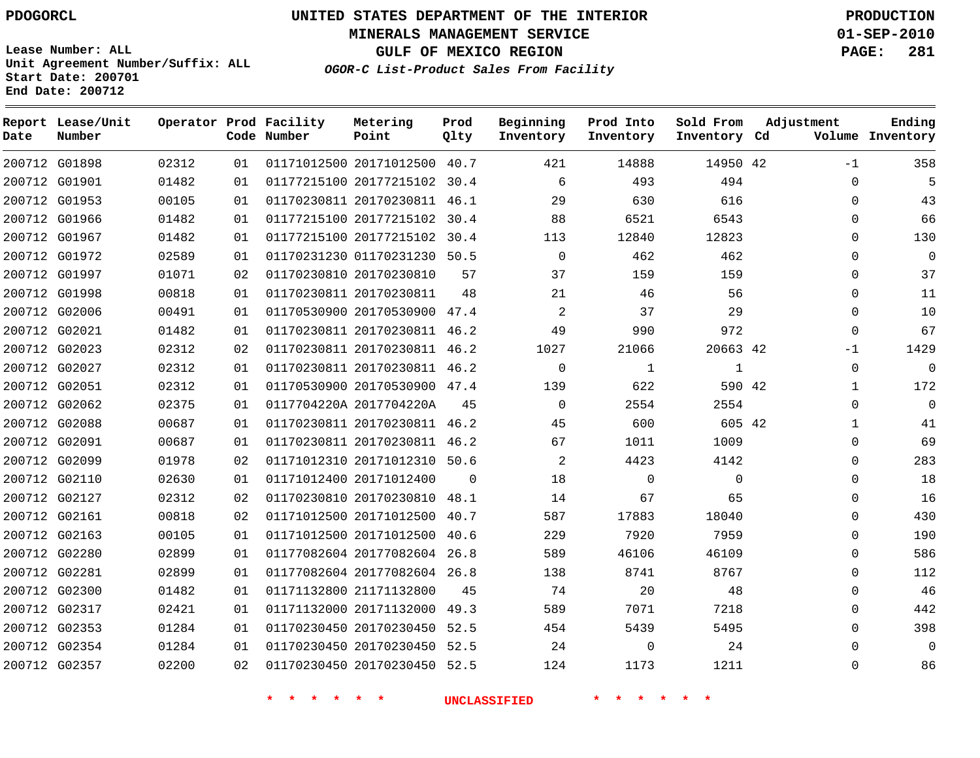**Start Date: 200701 End Date: 200712**

**Unit Agreement Number/Suffix: ALL**

# **UNITED STATES DEPARTMENT OF THE INTERIOR PDOGORCL PRODUCTION**

**MINERALS MANAGEMENT SERVICE 01-SEP-2010**

**GULF OF MEXICO REGION PAGE: 281**

**OGOR-C List-Product Sales From Facility**

 G01898 G01901 G01953 G01966 G01967 G01972 G01997 G01998 G02006 G02021 G02023 G02027 G02051 G02062 G02088 G02091 G02099 G02110 G02127 G02161 G02163 G02280 G02281 G02300 G02317 G02353 G02354 G02357 **Report Lease/Unit Date Number Operator Prod Facility Code Number** 20171012500 40.7 20177215102 30.4 20170230811 46.1 20177215102 30.4 20177215102 30.4 01170231230 50.5 20170230810 20170230811 20170530900 47.4 20170230811 46.2 20170230811 46.2 20170230811 46.2 20170530900 47.4 0117704220A 2017704220A 20170230811 46.2 20170230811 46.2 20171012310 50.6 20171012400 20170230810 48.1 20171012500 40.7 20171012500 40.6 20177082604 26.8 20177082604 26.8 21171132800 20171132000 49.3 20170230450 52.5 20170230450 52.5 20170230450 52.5 **Metering Point** 42 42 42 42  $\Omega$  **Prod Qlty**  $\Omega$   $\Omega$   $\Omega$  **Beginning Inventory**  $\Omega$   $\Omega$   $\Omega$  **Ending Inventory Cd Volume**  $\Omega$  **Prod Into Inventory**  $\Omega$  **Sold From Inventory**  $-1$  $\Omega$  $\cap$  $\Omega$  $\Omega$  $\Omega$  $\Omega$  $\Omega$   $\Omega$ -1  $\Omega$  $\Omega$  $\cap$  $\Omega$  $\Omega$  $\Omega$  $\Omega$  $\Omega$  $\Omega$  $\Omega$  $\Omega$  $\Omega$ **Adjustment**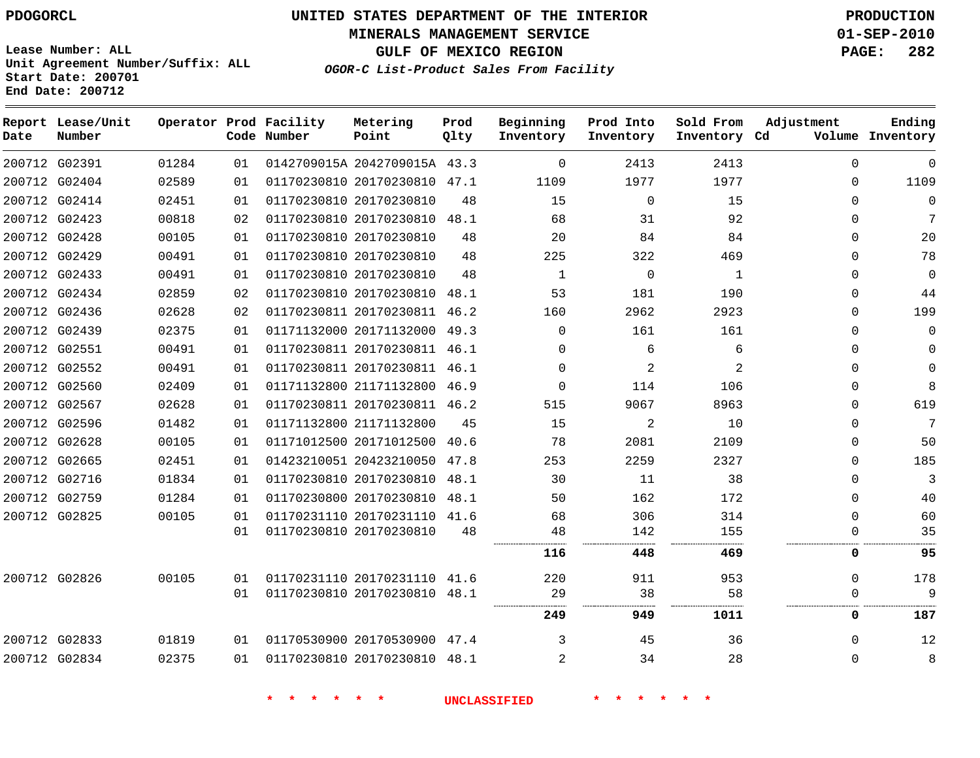**MINERALS MANAGEMENT SERVICE 01-SEP-2010**

**GULF OF MEXICO REGION PAGE: 282**

**Lease Number: ALL Unit Agreement Number/Suffix: ALL Start Date: 200701 End Date: 200712**

**OGOR-C List-Product Sales From Facility**

| Date          | Report Lease/Unit<br>Number |       |    | Operator Prod Facility<br>Code Number | Metering<br>Point            | Prod<br>Qlty | Beginning<br>Inventory | Prod Into<br>Inventory | Sold From<br>Inventory Cd | Adjustment  | Ending<br>Volume Inventory |
|---------------|-----------------------------|-------|----|---------------------------------------|------------------------------|--------------|------------------------|------------------------|---------------------------|-------------|----------------------------|
| 200712 G02391 |                             | 01284 | 01 |                                       | 0142709015A 2042709015A 43.3 |              | $\Omega$               | 2413                   | 2413                      | $\Omega$    | $\Omega$                   |
|               | 200712 G02404               | 02589 | 01 |                                       | 01170230810 20170230810 47.1 |              | 1109                   | 1977                   | 1977                      | $\Omega$    | 1109                       |
| 200712 G02414 |                             | 02451 | 01 |                                       | 01170230810 20170230810      | 48           | 15                     | $\Omega$               | 15                        | $\Omega$    | $\Omega$                   |
| 200712 G02423 |                             | 00818 | 02 |                                       | 01170230810 20170230810      | 48.1         | 68                     | 31                     | 92                        | $\Omega$    | 7                          |
| 200712 G02428 |                             | 00105 | 01 |                                       | 01170230810 20170230810      | 48           | 20                     | 84                     | 84                        | $\Omega$    | 20                         |
| 200712 G02429 |                             | 00491 | 01 |                                       | 01170230810 20170230810      | 48           | 225                    | 322                    | 469                       | $\Omega$    | 78                         |
| 200712 G02433 |                             | 00491 | 01 |                                       | 01170230810 20170230810      | 48           | $\mathbf{1}$           | $\mathbf 0$            | $\mathbf{1}$              | $\Omega$    | $\mathbf{0}$               |
|               | 200712 G02434               | 02859 | 02 |                                       | 01170230810 20170230810      | 48.1         | 53                     | 181                    | 190                       | $\mathbf 0$ | 44                         |
| 200712 G02436 |                             | 02628 | 02 |                                       | 01170230811 20170230811 46.2 |              | 160                    | 2962                   | 2923                      | $\Omega$    | 199                        |
|               | 200712 G02439               | 02375 | 01 |                                       | 01171132000 20171132000 49.3 |              | $\Omega$               | 161                    | 161                       | $\Omega$    | $\Omega$                   |
| 200712 G02551 |                             | 00491 | 01 |                                       | 01170230811 20170230811 46.1 |              | $\Omega$               | 6                      | 6                         | $\Omega$    | $\Omega$                   |
|               | 200712 G02552               | 00491 | 01 |                                       | 01170230811 20170230811 46.1 |              | $\Omega$               | $\overline{c}$         | $\overline{a}$            | $\Omega$    | $\Omega$                   |
|               | 200712 G02560               | 02409 | 01 |                                       | 01171132800 21171132800 46.9 |              | $\Omega$               | 114                    | 106                       | $\Omega$    | 8                          |
|               | 200712 G02567               | 02628 | 01 |                                       | 01170230811 20170230811 46.2 |              | 515                    | 9067                   | 8963                      | $\Omega$    | 619                        |
| 200712 G02596 |                             | 01482 | 01 |                                       | 01171132800 21171132800      | 45           | 15                     | 2                      | 10                        | $\Omega$    | 7                          |
| 200712 G02628 |                             | 00105 | 01 |                                       | 01171012500 20171012500      | 40.6         | 78                     | 2081                   | 2109                      | 0           | 50                         |
| 200712 G02665 |                             | 02451 | 01 |                                       | 01423210051 20423210050 47.8 |              | 253                    | 2259                   | 2327                      | $\Omega$    | 185                        |
| 200712 G02716 |                             | 01834 | 01 |                                       | 01170230810 20170230810 48.1 |              | 30                     | 11                     | 38                        | 0           | 3                          |
| 200712 G02759 |                             | 01284 | 01 |                                       | 01170230800 20170230810 48.1 |              | 50                     | 162                    | 172                       | $\Omega$    | 40                         |
| 200712 G02825 |                             | 00105 | 01 |                                       | 01170231110 20170231110 41.6 |              | 68                     | 306                    | 314                       | $\Omega$    | 60                         |
|               |                             |       | 01 |                                       | 01170230810 20170230810      | 48           | 48                     | 142                    | 155                       | $\mathbf 0$ | 35                         |
|               |                             |       |    |                                       |                              |              | 116                    | 448                    | 469                       | 0           | 95                         |
| 200712 G02826 |                             | 00105 | 01 |                                       | 01170231110 20170231110      | 41.6         | 220                    | 911                    | 953                       | $\Omega$    | 178                        |
|               |                             |       | 01 |                                       | 01170230810 20170230810 48.1 |              | 29                     | 38                     | 58                        | $\Omega$    | 9                          |
|               |                             |       |    |                                       |                              |              | 249                    | 949                    | 1011                      | 0           | 187                        |
| 200712 G02833 |                             | 01819 | 01 |                                       | 01170530900 20170530900 47.4 |              | 3                      | 45                     | 36                        | $\mathbf 0$ | 12                         |
| 200712 G02834 |                             | 02375 | 01 |                                       | 01170230810 20170230810 48.1 |              | 2                      | 34                     | 28                        | $\mathbf 0$ | 8                          |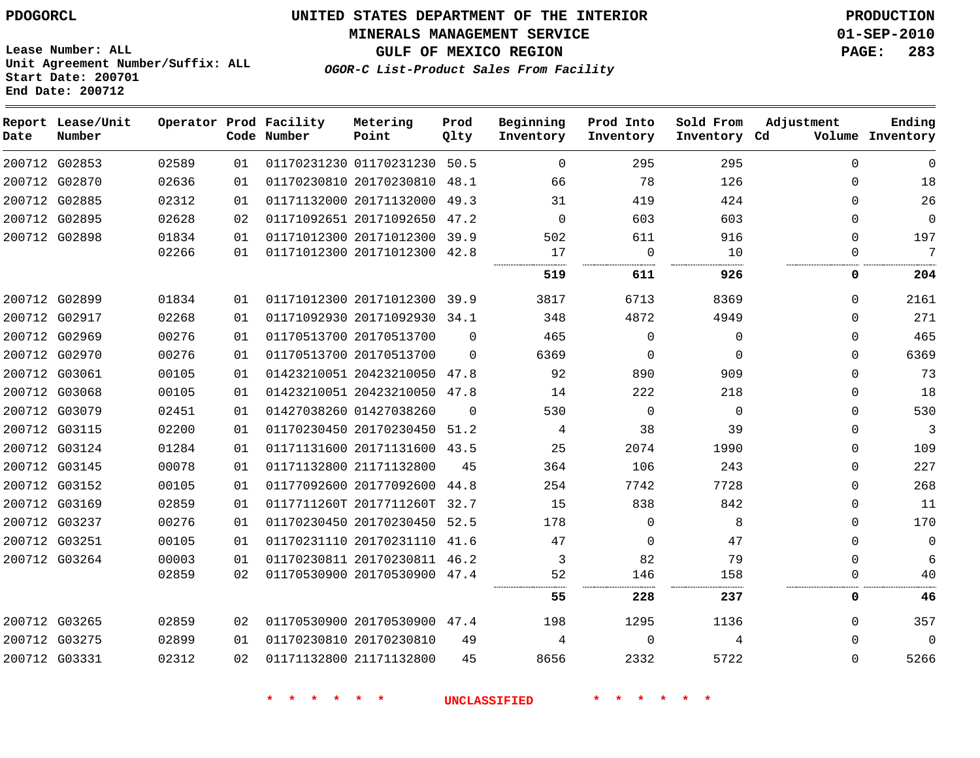#### **MINERALS MANAGEMENT SERVICE 01-SEP-2010**

**GULF OF MEXICO REGION PAGE: 283**

**Lease Number: ALL Unit Agreement Number/Suffix: ALL Start Date: 200701 End Date: 200712**

**OGOR-C List-Product Sales From Facility**

| Date | Report Lease/Unit<br>Number |       |    | Operator Prod Facility<br>Code Number | Metering<br>Point            | Prod<br>Qlty | Beginning<br>Inventory | Prod Into<br>Inventory | Sold From<br>Inventory Cd | Adjustment   | Ending<br>Volume Inventory |
|------|-----------------------------|-------|----|---------------------------------------|------------------------------|--------------|------------------------|------------------------|---------------------------|--------------|----------------------------|
|      | 200712 G02853               | 02589 | 01 |                                       | 01170231230 01170231230 50.5 |              | $\Omega$               | 295                    | 295                       | $\Omega$     | $\Omega$                   |
|      | 200712 G02870               | 02636 | 01 |                                       | 01170230810 20170230810 48.1 |              | 66                     | 78                     | 126                       | $\Omega$     | 18                         |
|      | 200712 G02885               | 02312 | 01 |                                       | 01171132000 20171132000 49.3 |              | 31                     | 419                    | 424                       | $\Omega$     | 26                         |
|      | 200712 G02895               | 02628 | 02 |                                       | 01171092651 20171092650 47.2 |              | $\Omega$               | 603                    | 603                       | $\Omega$     | $\mathbf{0}$               |
|      | 200712 G02898               | 01834 | 01 |                                       | 01171012300 20171012300 39.9 |              | 502                    | 611                    | 916                       | $\Omega$     | 197                        |
|      |                             | 02266 | 01 |                                       | 01171012300 20171012300 42.8 |              | 17                     | $\overline{0}$         | 10                        | $\Omega$     | 7                          |
|      |                             |       |    |                                       |                              |              | 519                    | 611                    | 926                       | 0            | 204                        |
|      | 200712 G02899               | 01834 | 01 |                                       | 01171012300 20171012300 39.9 |              | 3817                   | 6713                   | 8369                      | $\Omega$     | 2161                       |
|      | 200712 G02917               | 02268 | 01 |                                       | 01171092930 20171092930 34.1 |              | 348                    | 4872                   | 4949                      | $\Omega$     | 271                        |
|      | 200712 G02969               | 00276 | 01 |                                       | 01170513700 20170513700      | $\Omega$     | 465                    | $\Omega$               | $\Omega$                  | $\Omega$     | 465                        |
|      | 200712 G02970               | 00276 | 01 |                                       | 01170513700 20170513700      | $\Omega$     | 6369                   | $\mathbf 0$            | $\Omega$                  | $\Omega$     | 6369                       |
|      | 200712 G03061               | 00105 | 01 |                                       | 01423210051 20423210050 47.8 |              | 92                     | 890                    | 909                       | $\Omega$     | 73                         |
|      | 200712 G03068               | 00105 | 01 |                                       | 01423210051 20423210050 47.8 |              | 14                     | 222                    | 218                       | $\Omega$     | 18                         |
|      | 200712 G03079               | 02451 | 01 |                                       | 01427038260 01427038260      | $\Omega$     | 530                    | $\Omega$               | $\Omega$                  | $\Omega$     | 530                        |
|      | 200712 G03115               | 02200 | 01 |                                       | 01170230450 20170230450 51.2 |              | 4                      | 38                     | 39                        | $\Omega$     | 3                          |
|      | 200712 G03124               | 01284 | 01 |                                       | 01171131600 20171131600 43.5 |              | 25                     | 2074                   | 1990                      | $\Omega$     | 109                        |
|      | 200712 G03145               | 00078 | 01 |                                       | 01171132800 21171132800      | 45           | 364                    | 106                    | 243                       | $\Omega$     | 227                        |
|      | 200712 G03152               | 00105 | 01 |                                       | 01177092600 20177092600 44.8 |              | 254                    | 7742                   | 7728                      | $\Omega$     | 268                        |
|      | 200712 G03169               | 02859 | 01 |                                       | 0117711260T 2017711260T 32.7 |              | 15                     | 838                    | 842                       | $\Omega$     | 11                         |
|      | 200712 G03237               | 00276 | 01 |                                       | 01170230450 20170230450 52.5 |              | 178                    | $\Omega$               | 8                         | $\Omega$     | 170                        |
|      | 200712 G03251               | 00105 | 01 |                                       | 01170231110 20170231110 41.6 |              | 47                     | 0                      | 47                        | $\mathbf 0$  | $\mathbf{0}$               |
|      | 200712 G03264               | 00003 | 01 |                                       | 01170230811 20170230811 46.2 |              | 3                      | 82                     | 79                        | $\Omega$     | 6                          |
|      |                             | 02859 | 02 |                                       | 01170530900 20170530900 47.4 |              | 52                     | 146                    | 158                       | $\Omega$     | 40                         |
|      |                             |       |    |                                       |                              |              | 55                     | 228                    | 237                       | 0            | 46                         |
|      | 200712 G03265               | 02859 | 02 |                                       | 01170530900 20170530900 47.4 |              | 198                    | 1295                   | 1136                      | $\mathbf{0}$ | 357                        |
|      | 200712 G03275               | 02899 | 01 |                                       | 01170230810 20170230810      | 49           | 4                      | $\Omega$               | 4                         | $\Omega$     | $\mathbf 0$                |
|      | 200712 G03331               | 02312 | 02 |                                       | 01171132800 21171132800      | 45           | 8656                   | 2332                   | 5722                      | $\Omega$     | 5266                       |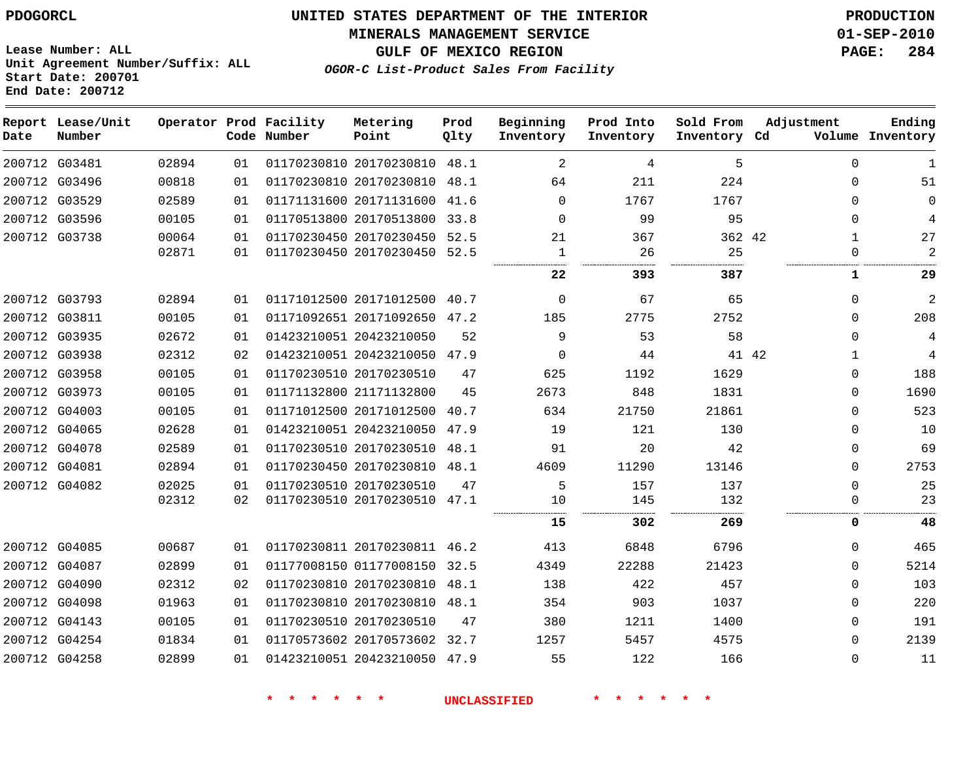**MINERALS MANAGEMENT SERVICE 01-SEP-2010**

**GULF OF MEXICO REGION PAGE: 284**

**Lease Number: ALL Unit Agreement Number/Suffix: ALL Start Date: 200701 End Date: 200712**

**OGOR-C List-Product Sales From Facility**

| Date | Report Lease/Unit<br>Number |       |    | Operator Prod Facility<br>Code Number | Metering<br>Point            | Prod<br>Qlty | Beginning<br>Inventory | Prod Into<br>Inventory | Sold From<br>Inventory Cd | Adjustment |              | Ending<br>Volume Inventory |
|------|-----------------------------|-------|----|---------------------------------------|------------------------------|--------------|------------------------|------------------------|---------------------------|------------|--------------|----------------------------|
|      | 200712 G03481               | 02894 | 01 |                                       | 01170230810 20170230810      | 48.1         | 2                      | 4                      | 5                         |            | $\Omega$     | $\mathbf{1}$               |
|      | 200712 G03496               | 00818 | 01 |                                       | 01170230810 20170230810      | 48.1         | 64                     | 211                    | 224                       |            | $\Omega$     | 51                         |
|      | 200712 G03529               | 02589 | 01 |                                       | 01171131600 20171131600      | 41.6         | $\Omega$               | 1767                   | 1767                      |            | $\Omega$     | $\mathbf 0$                |
|      | 200712 G03596               | 00105 | 01 |                                       | 01170513800 20170513800      | 33.8         | $\Omega$               | 99                     | 95                        |            | $\mathbf 0$  | 4                          |
|      | 200712 G03738               | 00064 | 01 |                                       | 01170230450 20170230450      | 52.5         | 21                     | 367                    | 362 42                    |            | $\mathbf{1}$ | 27                         |
|      |                             | 02871 | 01 |                                       | 01170230450 20170230450 52.5 |              | -1                     | 26                     | 25<br>.<br>.              |            | $\Omega$     | $\overline{2}$             |
|      |                             |       |    |                                       |                              |              | 22                     | 393                    | 387                       |            | 1            | 29                         |
|      | 200712 G03793               | 02894 | 01 |                                       | 01171012500 20171012500 40.7 |              | $\Omega$               | 67                     | 65                        |            | $\Omega$     | $\overline{2}$             |
|      | 200712 G03811               | 00105 | 01 |                                       | 01171092651 20171092650      | 47.2         | 185                    | 2775                   | 2752                      |            | $\Omega$     | 208                        |
|      | 200712 G03935               | 02672 | 01 |                                       | 01423210051 20423210050      | 52           | 9                      | 53                     | 58                        |            | 0            | 4                          |
|      | 200712 G03938               | 02312 | 02 |                                       | 01423210051 20423210050 47.9 |              | 0                      | 44                     |                           | 41 42      | $\mathbf{1}$ | 4                          |
|      | 200712 G03958               | 00105 | 01 |                                       | 01170230510 20170230510      | 47           | 625                    | 1192                   | 1629                      |            | $\Omega$     | 188                        |
|      | 200712 G03973               | 00105 | 01 |                                       | 01171132800 21171132800      | 45           | 2673                   | 848                    | 1831                      |            | $\Omega$     | 1690                       |
|      | 200712 G04003               | 00105 | 01 |                                       | 01171012500 20171012500      | 40.7         | 634                    | 21750                  | 21861                     |            | $\Omega$     | 523                        |
|      | 200712 G04065               | 02628 | 01 |                                       | 01423210051 20423210050      | 47.9         | 19                     | 121                    | 130                       |            | $\Omega$     | 10                         |
|      | 200712 G04078               | 02589 | 01 |                                       | 01170230510 20170230510      | 48.1         | 91                     | 20                     | 42                        |            | 0            | 69                         |
|      | 200712 G04081               | 02894 | 01 |                                       | 01170230450 20170230810      | 48.1         | 4609                   | 11290                  | 13146                     |            | 0            | 2753                       |
|      | 200712 G04082               | 02025 | 01 |                                       | 01170230510 20170230510      | 47           | 5                      | 157                    | 137                       |            | $\mathbf 0$  | 25                         |
|      |                             | 02312 | 02 |                                       | 01170230510 20170230510 47.1 |              | 10<br>                 | 145<br>.               | 132                       |            | 0            | 23                         |
|      |                             |       |    |                                       |                              |              | 15                     | 302                    | 269                       |            | 0            | 48                         |
|      | 200712 G04085               | 00687 | 01 |                                       | 01170230811 20170230811      | 46.2         | 413                    | 6848                   | 6796                      |            | $\Omega$     | 465                        |
|      | 200712 G04087               | 02899 | 01 |                                       | 01177008150 01177008150 32.5 |              | 4349                   | 22288                  | 21423                     |            | 0            | 5214                       |
|      | 200712 G04090               | 02312 | 02 |                                       | 01170230810 20170230810      | 48.1         | 138                    | 422                    | 457                       |            | 0            | 103                        |
|      | 200712 G04098               | 01963 | 01 |                                       | 01170230810 20170230810      | 48.1         | 354                    | 903                    | 1037                      |            | 0            | 220                        |
|      | 200712 G04143               | 00105 | 01 |                                       | 01170230510 20170230510      | 47           | 380                    | 1211                   | 1400                      |            | $\Omega$     | 191                        |
|      | 200712 G04254               | 01834 | 01 |                                       | 01170573602 20170573602      | 32.7         | 1257                   | 5457                   | 4575                      |            | $\Omega$     | 2139                       |
|      | 200712 G04258               | 02899 | 01 |                                       | 01423210051 20423210050 47.9 |              | 55                     | 122                    | 166                       |            | $\Omega$     | 11                         |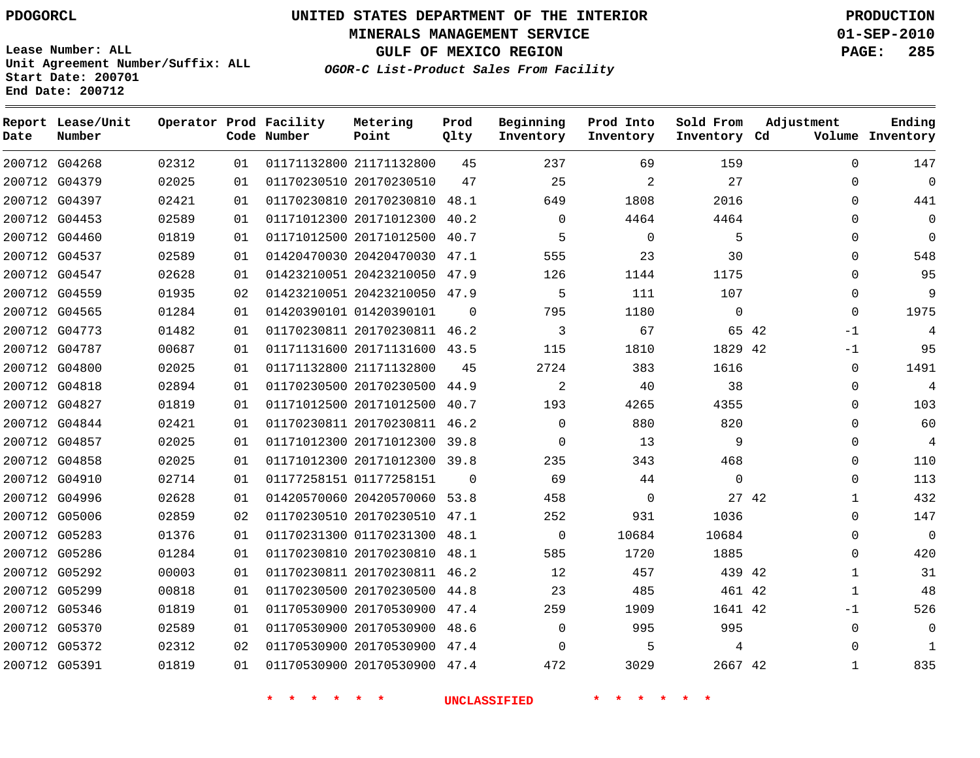# **UNITED STATES DEPARTMENT OF THE INTERIOR PDOGORCL PRODUCTION**

**MINERALS MANAGEMENT SERVICE 01-SEP-2010**

**GULF OF MEXICO REGION PAGE: 285**

**Unit Agreement Number/Suffix: ALL Start Date: 200701 End Date: 200712**

**OGOR-C List-Product Sales From Facility**

| Date | Report Lease/Unit<br>Number |       |    | Operator Prod Facility<br>Code Number | Metering<br>Point            | Prod<br>Qlty | Beginning<br>Inventory | Prod Into<br>Inventory | Sold From<br>Inventory Cd | Adjustment   | Ending<br>Volume Inventory |
|------|-----------------------------|-------|----|---------------------------------------|------------------------------|--------------|------------------------|------------------------|---------------------------|--------------|----------------------------|
|      | 200712 G04268               | 02312 | 01 |                                       | 01171132800 21171132800      | 45           | 237                    | 69                     | 159                       | $\Omega$     | 147                        |
|      | 200712 G04379               | 02025 | 01 |                                       | 01170230510 20170230510      | 47           | 25                     | 2                      | 27                        | $\Omega$     | $\Omega$                   |
|      | 200712 G04397               | 02421 | 01 |                                       | 01170230810 20170230810 48.1 |              | 649                    | 1808                   | 2016                      | $\Omega$     | 441                        |
|      | 200712 G04453               | 02589 | 01 |                                       | 01171012300 20171012300 40.2 |              | $\Omega$               | 4464                   | 4464                      | $\Omega$     | $\mathbf 0$                |
|      | 200712 G04460               | 01819 | 01 |                                       | 01171012500 20171012500 40.7 |              | 5                      | $\mathbf 0$            | 5                         | $\Omega$     | $\mathbf 0$                |
|      | 200712 G04537               | 02589 | 01 |                                       | 01420470030 20420470030 47.1 |              | 555                    | 23                     | 30                        | $\Omega$     | 548                        |
|      | 200712 G04547               | 02628 | 01 |                                       | 01423210051 20423210050 47.9 |              | 126                    | 1144                   | 1175                      | $\Omega$     | 95                         |
|      | 200712 G04559               | 01935 | 02 |                                       | 01423210051 20423210050 47.9 |              | 5                      | 111                    | 107                       | $\Omega$     | 9                          |
|      | 200712 G04565               | 01284 | 01 |                                       | 01420390101 01420390101      | $\Omega$     | 795                    | 1180                   | $\Omega$                  | $\Omega$     | 1975                       |
|      | 200712 G04773               | 01482 | 01 |                                       | 01170230811 20170230811 46.2 |              | 3                      | 67                     | 65 42                     | $-1$         | 4                          |
|      | 200712 G04787               | 00687 | 01 |                                       | 01171131600 20171131600 43.5 |              | 115                    | 1810                   | 1829 42                   | $-1$         | 95                         |
|      | 200712 G04800               | 02025 | 01 |                                       | 01171132800 21171132800      | 45           | 2724                   | 383                    | 1616                      | 0            | 1491                       |
|      | 200712 G04818               | 02894 | 01 |                                       | 01170230500 20170230500 44.9 |              | 2                      | 40                     | 38                        | $\Omega$     | 4                          |
|      | 200712 G04827               | 01819 | 01 |                                       | 01171012500 20171012500 40.7 |              | 193                    | 4265                   | 4355                      | $\Omega$     | 103                        |
|      | 200712 G04844               | 02421 | 01 |                                       | 01170230811 20170230811 46.2 |              | $\Omega$               | 880                    | 820                       | $\Omega$     | 60                         |
|      | 200712 G04857               | 02025 | 01 |                                       | 01171012300 20171012300 39.8 |              | $\Omega$               | 13                     | 9                         | $\Omega$     | $\overline{4}$             |
|      | 200712 G04858               | 02025 | 01 |                                       | 01171012300 20171012300 39.8 |              | 235                    | 343                    | 468                       | $\Omega$     | 110                        |
|      | 200712 G04910               | 02714 | 01 |                                       | 01177258151 01177258151      | $\Omega$     | 69                     | 44                     | $\mathbf 0$               | $\Omega$     | 113                        |
|      | 200712 G04996               | 02628 | 01 |                                       | 01420570060 20420570060 53.8 |              | 458                    | $\Omega$               | 27 42                     | $\mathbf{1}$ | 432                        |
|      | 200712 G05006               | 02859 | 02 |                                       | 01170230510 20170230510 47.1 |              | 252                    | 931                    | 1036                      | $\Omega$     | 147                        |
|      | 200712 G05283               | 01376 | 01 |                                       | 01170231300 01170231300 48.1 |              | $\Omega$               | 10684                  | 10684                     | $\Omega$     | $\mathbf 0$                |
|      | 200712 G05286               | 01284 | 01 |                                       | 01170230810 20170230810 48.1 |              | 585                    | 1720                   | 1885                      | $\Omega$     | 420                        |
|      | 200712 G05292               | 00003 | 01 |                                       | 01170230811 20170230811 46.2 |              | 12                     | 457                    | 439 42                    | $\mathbf 1$  | 31                         |
|      | 200712 G05299               | 00818 | 01 |                                       | 01170230500 20170230500 44.8 |              | 23                     | 485                    | 461 42                    | 1            | 48                         |
|      | 200712 G05346               | 01819 | 01 |                                       | 01170530900 20170530900 47.4 |              | 259                    | 1909                   | 1641 42                   | -1           | 526                        |
|      | 200712 G05370               | 02589 | 01 |                                       | 01170530900 20170530900 48.6 |              | $\mathbf 0$            | 995                    | 995                       | 0            | 0                          |
|      | 200712 G05372               | 02312 | 02 |                                       | 01170530900 20170530900 47.4 |              | $\Omega$               | 5                      | 4                         | $\Omega$     | -1                         |
|      | 200712 G05391               | 01819 | 01 |                                       | 01170530900 20170530900 47.4 |              | 472                    | 3029                   | 2667 42                   | 1            | 835                        |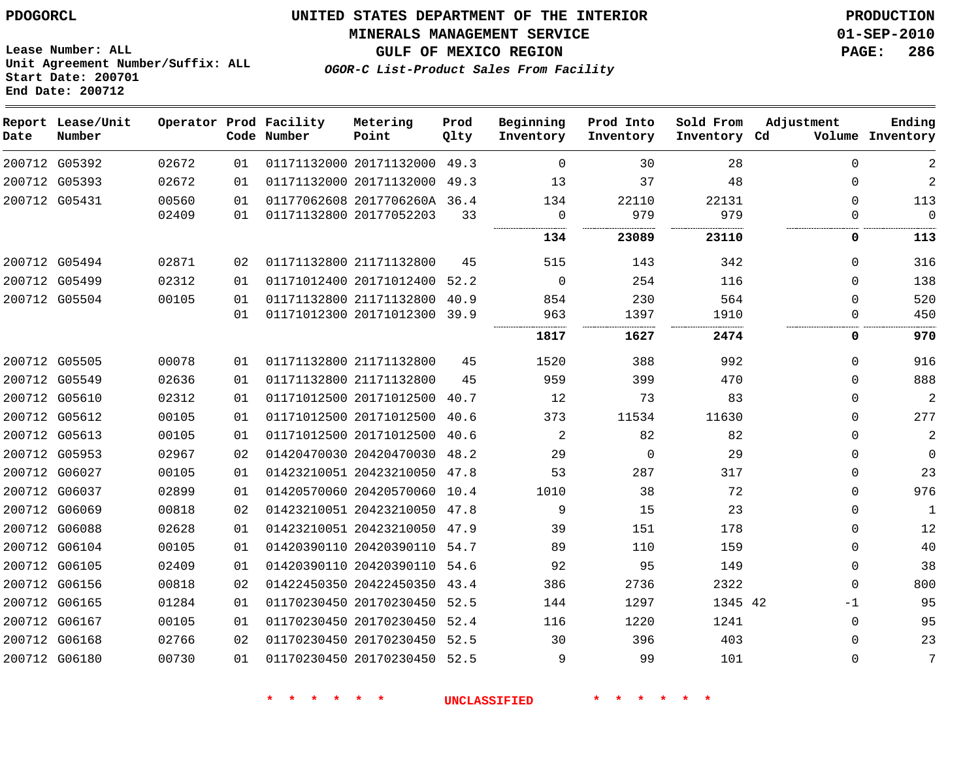**Start Date: 200701 End Date: 200712**

**Unit Agreement Number/Suffix: ALL**

# **UNITED STATES DEPARTMENT OF THE INTERIOR PDOGORCL PRODUCTION**

**MINERALS MANAGEMENT SERVICE 01-SEP-2010**

**GULF OF MEXICO REGION PAGE: 286**

**OGOR-C List-Product Sales From Facility**

| Date | Report Lease/Unit<br>Number |       |    | Operator Prod Facility<br>Code Number | Metering<br>Point            | Prod<br>Qlty | Beginning<br>Inventory | Prod Into<br>Inventory | Sold From<br>Inventory Cd | Adjustment  | Ending<br>Volume Inventory |
|------|-----------------------------|-------|----|---------------------------------------|------------------------------|--------------|------------------------|------------------------|---------------------------|-------------|----------------------------|
|      | 200712 G05392               | 02672 | 01 |                                       | 01171132000 20171132000      | 49.3         | $\Omega$               | 30                     | 28                        | $\Omega$    | 2                          |
|      | 200712 G05393               | 02672 | 01 |                                       | 01171132000 20171132000      | 49.3         | 13                     | 37                     | 48                        | $\mathbf 0$ | $\sqrt{2}$                 |
|      | 200712 G05431               | 00560 | 01 |                                       | 01177062608 2017706260A 36.4 |              | 134                    | 22110                  | 22131                     | $\Omega$    | 113                        |
|      |                             | 02409 | 01 |                                       | 01171132800 20177052203      | 33           | $\mathbf 0$            | 979                    | 979                       | 0           | $\overline{0}$             |
|      |                             |       |    |                                       |                              |              | 134                    | 23089                  | 23110                     | 0           | 113                        |
|      | 200712 G05494               | 02871 | 02 |                                       | 01171132800 21171132800      | 45           | 515                    | 143                    | 342                       | 0           | 316                        |
|      | 200712 G05499               | 02312 | 01 |                                       | 01171012400 20171012400      | 52.2         | $\mathbf 0$            | 254                    | 116                       | $\Omega$    | 138                        |
|      | 200712 G05504               | 00105 | 01 |                                       | 01171132800 21171132800      | 40.9         | 854                    | 230                    | 564                       | $\mathbf 0$ | 520                        |
|      |                             |       | 01 |                                       | 01171012300 20171012300      | 39.9         | 963                    | 1397                   | 1910                      | $\mathbf 0$ | 450                        |
|      |                             |       |    |                                       |                              |              | 1817                   | 1627                   | 2474                      | 0           | 970                        |
|      | 200712 G05505               | 00078 | 01 |                                       | 01171132800 21171132800      | 45           | 1520                   | 388                    | 992                       | $\Omega$    | 916                        |
|      | 200712 G05549               | 02636 | 01 |                                       | 01171132800 21171132800      | 45           | 959                    | 399                    | 470                       | $\Omega$    | 888                        |
|      | 200712 G05610               | 02312 | 01 |                                       | 01171012500 20171012500      | 40.7         | 12                     | 73                     | 83                        | $\Omega$    | 2                          |
|      | 200712 G05612               | 00105 | 01 |                                       | 01171012500 20171012500      | 40.6         | 373                    | 11534                  | 11630                     | $\Omega$    | 277                        |
|      | 200712 G05613               | 00105 | 01 |                                       | 01171012500 20171012500      | 40.6         | 2                      | 82                     | 82                        | $\Omega$    | 2                          |
|      | 200712 G05953               | 02967 | 02 |                                       | 01420470030 20420470030      | 48.2         | 29                     | 0                      | 29                        | $\Omega$    | $\mathbf 0$                |
|      | 200712 G06027               | 00105 | 01 |                                       | 01423210051 20423210050      | 47.8         | 53                     | 287                    | 317                       | $\Omega$    | 23                         |
|      | 200712 G06037               | 02899 | 01 |                                       | 01420570060 20420570060      | 10.4         | 1010                   | 38                     | 72                        | $\Omega$    | 976                        |
|      | 200712 G06069               | 00818 | 02 |                                       | 01423210051 20423210050      | 47.8         | 9                      | 15                     | 23                        | $\mathbf 0$ | 1                          |
|      | 200712 G06088               | 02628 | 01 |                                       | 01423210051 20423210050      | 47.9         | 39                     | 151                    | 178                       | $\Omega$    | 12                         |
|      | 200712 G06104               | 00105 | 01 |                                       | 01420390110 20420390110      | 54.7         | 89                     | 110                    | 159                       | $\mathbf 0$ | 40                         |
|      | 200712 G06105               | 02409 | 01 |                                       | 01420390110 20420390110      | 54.6         | 92                     | 95                     | 149                       | $\Omega$    | 38                         |
|      | 200712 G06156               | 00818 | 02 |                                       | 01422450350 20422450350      | 43.4         | 386                    | 2736                   | 2322                      | $\mathbf 0$ | 800                        |
|      | 200712 G06165               | 01284 | 01 |                                       | 01170230450 20170230450      | 52.5         | 144                    | 1297                   | 1345 42                   | -1          | 95                         |
|      | 200712 G06167               | 00105 | 01 |                                       | 01170230450 20170230450      | 52.4         | 116                    | 1220                   | 1241                      | $\mathbf 0$ | 95                         |
|      | 200712 G06168               | 02766 | 02 |                                       | 01170230450 20170230450      | 52.5         | 30                     | 396                    | 403                       | $\Omega$    | 23                         |
|      | 200712 G06180               | 00730 | 01 |                                       | 01170230450 20170230450      | 52.5         | 9                      | 99                     | 101                       | $\Omega$    | 7                          |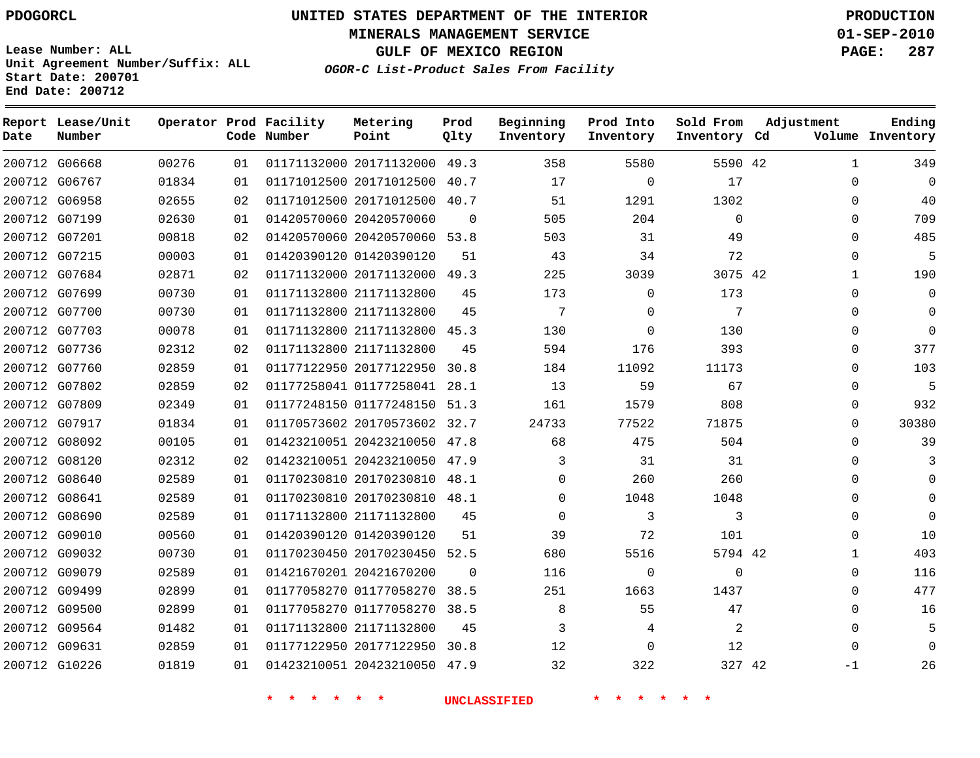**Start Date: 200701 End Date: 200712**

**Unit Agreement Number/Suffix: ALL**

# **UNITED STATES DEPARTMENT OF THE INTERIOR PDOGORCL PRODUCTION**

**MINERALS MANAGEMENT SERVICE 01-SEP-2010**

**GULF OF MEXICO REGION PAGE: 287**

**OGOR-C List-Product Sales From Facility**

| Date | Report Lease/Unit<br>Number |       |    | Operator Prod Facility<br>Code Number | Metering<br>Point            | Prod<br>Qlty | Beginning<br>Inventory | Prod Into<br>Inventory | Sold From<br>Inventory Cd | Adjustment   | Ending<br>Volume Inventory |
|------|-----------------------------|-------|----|---------------------------------------|------------------------------|--------------|------------------------|------------------------|---------------------------|--------------|----------------------------|
|      | 200712 G06668               | 00276 | 01 |                                       | 01171132000 20171132000 49.3 |              | 358                    | 5580                   | 5590 42                   | $\mathbf{1}$ | 349                        |
|      | 200712 G06767               | 01834 | 01 |                                       | 01171012500 20171012500      | 40.7         | 17                     | $\Omega$               | 17                        | $\Omega$     | $\overline{0}$             |
|      | 200712 G06958               | 02655 | 02 |                                       | 01171012500 20171012500      | 40.7         | 51                     | 1291                   | 1302                      | $\Omega$     | 40                         |
|      | 200712 G07199               | 02630 | 01 |                                       | 01420570060 20420570060      | $\Omega$     | 505                    | 204                    | $\Omega$                  | $\Omega$     | 709                        |
|      | 200712 G07201               | 00818 | 02 |                                       | 01420570060 20420570060      | 53.8         | 503                    | 31                     | 49                        | $\Omega$     | 485                        |
|      | 200712 G07215               | 00003 | 01 |                                       | 01420390120 01420390120      | 51           | 43                     | 34                     | 72                        | $\Omega$     | 5                          |
|      | 200712 G07684               | 02871 | 02 |                                       | 01171132000 20171132000      | 49.3         | 225                    | 3039                   | 3075 42                   | 1            | 190                        |
|      | 200712 G07699               | 00730 | 01 |                                       | 01171132800 21171132800      | 45           | 173                    | 0                      | 173                       | $\Omega$     | $\mathbf 0$                |
|      | 200712 G07700               | 00730 | 01 |                                       | 01171132800 21171132800      | 45           | 7                      | $\Omega$               | 7                         | $\Omega$     | $\overline{0}$             |
|      | 200712 G07703               | 00078 | 01 |                                       | 01171132800 21171132800      | 45.3         | 130                    | 0                      | 130                       | $\mathbf{0}$ | $\overline{0}$             |
|      | 200712 G07736               | 02312 | 02 |                                       | 01171132800 21171132800      | 45           | 594                    | 176                    | 393                       | $\Omega$     | 377                        |
|      | 200712 G07760               | 02859 | 01 |                                       | 01177122950 20177122950      | 30.8         | 184                    | 11092                  | 11173                     | $\Omega$     | 103                        |
|      | 200712 G07802               | 02859 | 02 |                                       | 01177258041 01177258041      | 28.1         | 13                     | 59                     | 67                        | $\Omega$     | - 5                        |
|      | 200712 G07809               | 02349 | 01 |                                       | 01177248150 01177248150      | 51.3         | 161                    | 1579                   | 808                       | $\Omega$     | 932                        |
|      | 200712 G07917               | 01834 | 01 |                                       | 01170573602 20170573602      | 32.7         | 24733                  | 77522                  | 71875                     | $\Omega$     | 30380                      |
|      | 200712 G08092               | 00105 | 01 |                                       | 01423210051 20423210050      | 47.8         | 68                     | 475                    | 504                       | $\Omega$     | 39                         |
|      | 200712 G08120               | 02312 | 02 |                                       | 01423210051 20423210050      | 47.9         | 3                      | 31                     | 31                        | $\Omega$     | 3                          |
|      | 200712 G08640               | 02589 | 01 |                                       | 01170230810 20170230810      | 48.1         | 0                      | 260                    | 260                       | $\Omega$     | $\mathbf 0$                |
|      | 200712 G08641               | 02589 | 01 |                                       | 01170230810 20170230810      | 48.1         | $\mathbf 0$            | 1048                   | 1048                      | $\Omega$     | $\Omega$                   |
|      | 200712 G08690               | 02589 | 01 |                                       | 01171132800 21171132800      | 45           | $\mathbf 0$            | 3                      | 3                         | $\Omega$     | $\Omega$                   |
|      | 200712 G09010               | 00560 | 01 |                                       | 01420390120 01420390120      | 51           | 39                     | 72                     | 101                       | $\Omega$     | 10                         |
|      | 200712 G09032               | 00730 | 01 |                                       | 01170230450 20170230450 52.5 |              | 680                    | 5516                   | 5794 42                   | 1            | 403                        |
|      | 200712 G09079               | 02589 | 01 |                                       | 01421670201 20421670200      | $\Omega$     | 116                    | 0                      | $\mathbf 0$               | $\Omega$     | 116                        |
|      | 200712 G09499               | 02899 | 01 |                                       | 01177058270 01177058270      | 38.5         | 251                    | 1663                   | 1437                      | $\Omega$     | 477                        |
|      | 200712 G09500               | 02899 | 01 |                                       | 01177058270 01177058270      | 38.5         | 8                      | 55                     | 47                        | $\Omega$     | 16                         |
|      | 200712 G09564               | 01482 | 01 |                                       | 01171132800 21171132800      | 45           | 3                      | 4                      | 2                         | $\mathbf 0$  | 5                          |
|      | 200712 G09631               | 02859 | 01 |                                       | 01177122950 20177122950      | 30.8         | 12                     | $\Omega$               | 12                        | $\Omega$     | $\Omega$                   |
|      | 200712 G10226               | 01819 | 01 |                                       | 01423210051 20423210050      | 47.9         | 32                     | 322                    | 327 42                    | $-1$         | 26                         |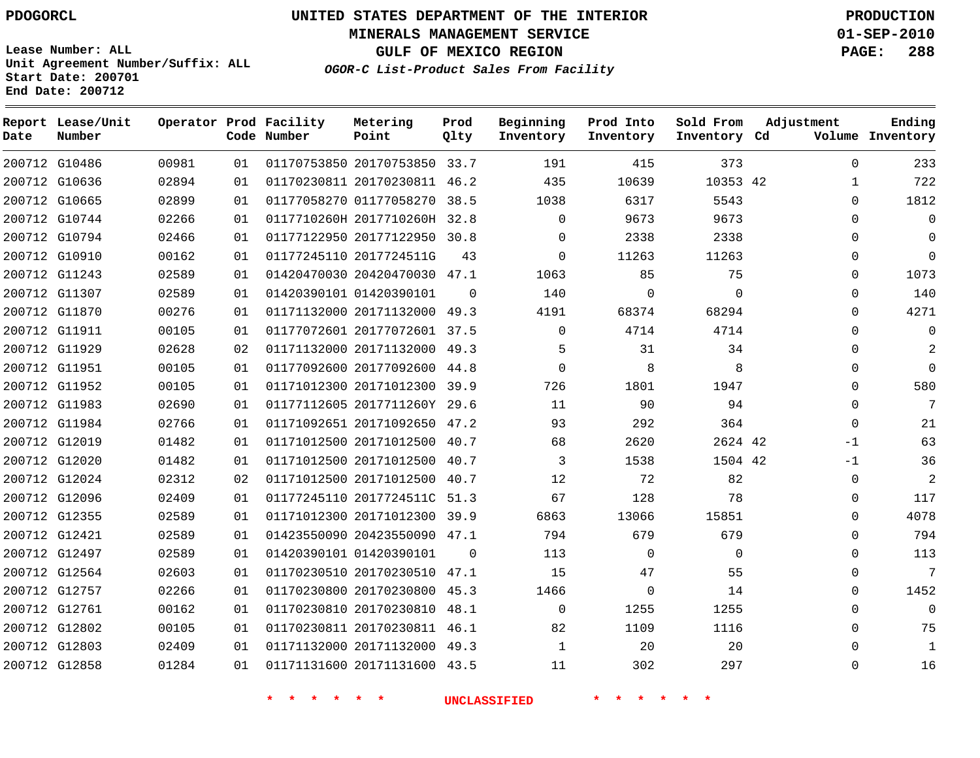**Start Date: 200701 End Date: 200712**

# **UNITED STATES DEPARTMENT OF THE INTERIOR PDOGORCL PRODUCTION**

**MINERALS MANAGEMENT SERVICE 01-SEP-2010**

**GULF OF MEXICO REGION PAGE: 288**

**OGOR-C List-Product Sales From Facility Unit Agreement Number/Suffix: ALL**

| Date | Report Lease/Unit<br>Number |       |     | Operator Prod Facility<br>Code Number | Metering<br>Point            | Prod<br>Qlty | Beginning<br>Inventory | Prod Into<br>Inventory | Sold From<br>Inventory Cd | Adjustment  | Ending<br>Volume Inventory |
|------|-----------------------------|-------|-----|---------------------------------------|------------------------------|--------------|------------------------|------------------------|---------------------------|-------------|----------------------------|
|      | 200712 G10486               | 00981 | 01  |                                       | 01170753850 20170753850 33.7 |              | 191                    | 415                    | 373                       | $\Omega$    | 233                        |
|      | 200712 G10636               | 02894 | 01  |                                       | 01170230811 20170230811 46.2 |              | 435                    | 10639                  | 10353 42                  | 1           | 722                        |
|      | 200712 G10665               | 02899 | 01  |                                       | 01177058270 01177058270      | 38.5         | 1038                   | 6317                   | 5543                      | $\Omega$    | 1812                       |
|      | 200712 G10744               | 02266 | 01  |                                       | 0117710260H 2017710260H 32.8 |              | $\Omega$               | 9673                   | 9673                      | $\mathbf 0$ | $\mathbf 0$                |
|      | 200712 G10794               | 02466 | 01  |                                       | 01177122950 20177122950 30.8 |              | $\Omega$               | 2338                   | 2338                      | $\mathbf 0$ | $\Omega$                   |
|      | 200712 G10910               | 00162 | 01  |                                       | 01177245110 2017724511G      | 43           | $\Omega$               | 11263                  | 11263                     | $\mathbf 0$ | $\Omega$                   |
|      | 200712 G11243               | 02589 | 01  |                                       | 01420470030 20420470030 47.1 |              | 1063                   | 85                     | 75                        | $\Omega$    | 1073                       |
|      | 200712 G11307               | 02589 | 01  |                                       | 01420390101 01420390101      | $\Omega$     | 140                    | 0                      | $\mathbf 0$               | $\Omega$    | 140                        |
|      | 200712 G11870               | 00276 | 01  |                                       | 01171132000 20171132000 49.3 |              | 4191                   | 68374                  | 68294                     | $\Omega$    | 4271                       |
|      | 200712 G11911               | 00105 | 01  |                                       | 01177072601 20177072601 37.5 |              | $\Omega$               | 4714                   | 4714                      | $\mathbf 0$ | 0                          |
|      | 200712 G11929               | 02628 | 02  |                                       | 01171132000 20171132000      | 49.3         | 5                      | 31                     | 34                        | $\mathbf 0$ | 2                          |
|      | 200712 G11951               | 00105 | 01  |                                       | 01177092600 20177092600      | 44.8         | $\mathbf 0$            | 8                      | 8                         | $\mathbf 0$ | $\Omega$                   |
|      | 200712 G11952               | 00105 | 01  |                                       | 01171012300 20171012300 39.9 |              | 726                    | 1801                   | 1947                      | $\mathbf 0$ | 580                        |
|      | 200712 G11983               | 02690 | 01  |                                       | 01177112605 2017711260Y 29.6 |              | 11                     | 90                     | 94                        | $\mathbf 0$ | 7                          |
|      | 200712 G11984               | 02766 | 01  |                                       | 01171092651 20171092650      | 47.2         | 93                     | 292                    | 364                       | $\mathbf 0$ | 21                         |
|      | 200712 G12019               | 01482 | 01  |                                       | 01171012500 20171012500      | 40.7         | 68                     | 2620                   | 2624 42                   | $-1$        | 63                         |
|      | 200712 G12020               | 01482 | 01  |                                       | 01171012500 20171012500      | 40.7         | 3                      | 1538                   | 1504 42                   | $-1$        | 36                         |
|      | 200712 G12024               | 02312 | 02  |                                       | 01171012500 20171012500 40.7 |              | 12                     | 72                     | 82                        | $\Omega$    | 2                          |
|      | 200712 G12096               | 02409 | 01  |                                       | 01177245110 2017724511C 51.3 |              | 67                     | 128                    | 78                        | $\mathbf 0$ | 117                        |
|      | 200712 G12355               | 02589 | 01  |                                       | 01171012300 20171012300      | 39.9         | 6863                   | 13066                  | 15851                     | $\Omega$    | 4078                       |
|      | 200712 G12421               | 02589 | 01  |                                       | 01423550090 20423550090 47.1 |              | 794                    | 679                    | 679                       | $\mathbf 0$ | 794                        |
|      | 200712 G12497               | 02589 | 01  |                                       | 01420390101 01420390101      | $\Omega$     | 113                    | $\Omega$               | $\Omega$                  | $\mathbf 0$ | 113                        |
|      | 200712 G12564               | 02603 | 01  |                                       | 01170230510 20170230510      | 47.1         | 15                     | 47                     | 55                        | $\mathbf 0$ | 7                          |
|      | 200712 G12757               | 02266 | 01  |                                       | 01170230800 20170230800      | 45.3         | 1466                   | 0                      | 14                        | $\Omega$    | 1452                       |
|      | 200712 G12761               | 00162 | 01  |                                       | 01170230810 20170230810      | 48.1         | $\mathbf 0$            | 1255                   | 1255                      | 0           | $\mathbf 0$                |
|      | 200712 G12802               | 00105 | 01  |                                       | 01170230811 20170230811 46.1 |              | 82                     | 1109                   | 1116                      | $\Omega$    | 75                         |
|      | 200712 G12803               | 02409 | 01  |                                       | 01171132000 20171132000 49.3 |              | $\mathbf{1}$           | 20                     | 20                        | $\Omega$    | 1                          |
|      | 200712 G12858               | 01284 | 0 1 |                                       | 01171131600 20171131600      | 43.5         | 11                     | 302                    | 297                       | $\Omega$    | 16                         |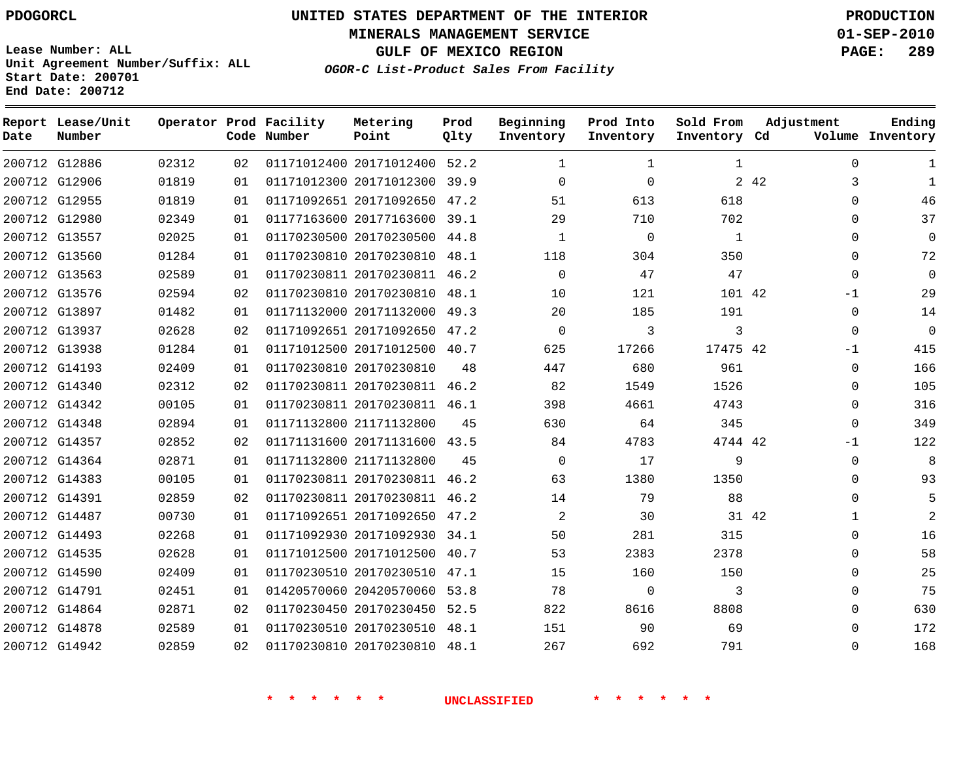**MINERALS MANAGEMENT SERVICE 01-SEP-2010**

**GULF OF MEXICO REGION PAGE: 289**

**Lease Number: ALL Unit Agreement Number/Suffix: ALL Start Date: 200701 End Date: 200712**

**OGOR-C List-Product Sales From Facility**

| Date | Report Lease/Unit<br>Number |       |    | Operator Prod Facility<br>Code Number | Metering<br>Point            | Prod<br>Qlty | Beginning<br>Inventory | Prod Into<br>Inventory | Sold From<br>Inventory Cd | Adjustment |              | Ending<br>Volume Inventory |
|------|-----------------------------|-------|----|---------------------------------------|------------------------------|--------------|------------------------|------------------------|---------------------------|------------|--------------|----------------------------|
|      | 200712 G12886               | 02312 | 02 |                                       | 01171012400 20171012400 52.2 |              | $\mathbf{1}$           | $\mathbf{1}$           | $\mathbf{1}$              |            | $\Omega$     | 1                          |
|      | 200712 G12906               | 01819 | 01 |                                       | 01171012300 20171012300      | 39.9         | $\Omega$               | $\Omega$               |                           | 2 4 2      | 3            | $\mathbf{1}$               |
|      | 200712 G12955               | 01819 | 01 |                                       | 01171092651 20171092650      | 47.2         | 51                     | 613                    | 618                       |            | $\Omega$     | 46                         |
|      | 200712 G12980               | 02349 | 01 |                                       | 01177163600 20177163600 39.1 |              | 29                     | 710                    | 702                       |            | 0            | 37                         |
|      | 200712 G13557               | 02025 | 01 |                                       | 01170230500 20170230500 44.8 |              | $\mathbf{1}$           | $\mathbf 0$            | $\mathbf{1}$              |            | 0            | $\Omega$                   |
|      | 200712 G13560               | 01284 | 01 |                                       | 01170230810 20170230810      | 48.1         | 118                    | 304                    | 350                       |            | $\mathbf{0}$ | 72                         |
|      | 200712 G13563               | 02589 | 01 |                                       | 01170230811 20170230811      | 46.2         | $\Omega$               | 47                     | 47                        |            | $\Omega$     | $\mathbf{0}$               |
|      | 200712 G13576               | 02594 | 02 |                                       | 01170230810 20170230810      | 48.1         | 10                     | 121                    | 101 42                    |            | $-1$         | 29                         |
|      | 200712 G13897               | 01482 | 01 |                                       | 01171132000 20171132000      | 49.3         | 20                     | 185                    | 191                       |            | $\Omega$     | 14                         |
|      | 200712 G13937               | 02628 | 02 |                                       | 01171092651 20171092650      | 47.2         | $\mathbf 0$            | 3                      | 3                         |            | 0            | $\mathbf 0$                |
|      | 200712 G13938               | 01284 | 01 |                                       | 01171012500 20171012500      | 40.7         | 625                    | 17266                  | 17475 42                  |            | $-1$         | 415                        |
|      | 200712 G14193               | 02409 | 01 |                                       | 01170230810 20170230810      | 48           | 447                    | 680                    | 961                       |            | $\Omega$     | 166                        |
|      | 200712 G14340               | 02312 | 02 |                                       | 01170230811 20170230811      | 46.2         | 82                     | 1549                   | 1526                      |            | $\Omega$     | 105                        |
|      | 200712 G14342               | 00105 | 01 |                                       | 01170230811 20170230811 46.1 |              | 398                    | 4661                   | 4743                      |            | $\Omega$     | 316                        |
|      | 200712 G14348               | 02894 | 01 |                                       | 01171132800 21171132800      | 45           | 630                    | 64                     | 345                       |            | $\mathbf 0$  | 349                        |
|      | 200712 G14357               | 02852 | 02 |                                       | 01171131600 20171131600 43.5 |              | 84                     | 4783                   | 4744 42                   |            | $-1$         | 122                        |
|      | 200712 G14364               | 02871 | 01 |                                       | 01171132800 21171132800      | 45           | $\Omega$               | 17                     | 9                         |            | $\mathbf 0$  | 8                          |
|      | 200712 G14383               | 00105 | 01 |                                       | 01170230811 20170230811      | 46.2         | 63                     | 1380                   | 1350                      |            | $\Omega$     | 93                         |
|      | 200712 G14391               | 02859 | 02 |                                       | 01170230811 20170230811      | 46.2         | 14                     | 79                     | 88                        |            | $\Omega$     | 5                          |
|      | 200712 G14487               | 00730 | 01 |                                       | 01171092651 20171092650      | 47.2         | 2                      | 30                     | 31 42                     |            | $\mathbf{1}$ | $\overline{2}$             |
|      | 200712 G14493               | 02268 | 01 |                                       | 01171092930 20171092930 34.1 |              | 50                     | 281                    | 315                       |            | $\Omega$     | 16                         |
|      | 200712 G14535               | 02628 | 01 |                                       | 01171012500 20171012500      | 40.7         | 53                     | 2383                   | 2378                      |            | $\mathbf{0}$ | 58                         |
|      | 200712 G14590               | 02409 | 01 |                                       | 01170230510 20170230510 47.1 |              | 15                     | 160                    | 150                       |            | $\mathbf{0}$ | 25                         |
|      | 200712 G14791               | 02451 | 01 |                                       | 01420570060 20420570060      | 53.8         | 78                     | 0                      | 3                         |            | $\Omega$     | 75                         |
|      | 200712 G14864               | 02871 | 02 |                                       | 01170230450 20170230450 52.5 |              | 822                    | 8616                   | 8808                      |            | $\Omega$     | 630                        |
|      | 200712 G14878               | 02589 | 01 |                                       | 01170230510 20170230510      | 48.1         | 151                    | 90                     | 69                        |            | $\Omega$     | 172                        |
|      | 200712 G14942               | 02859 | 02 |                                       | 01170230810 20170230810 48.1 |              | 267                    | 692                    | 791                       |            | $\Omega$     | 168                        |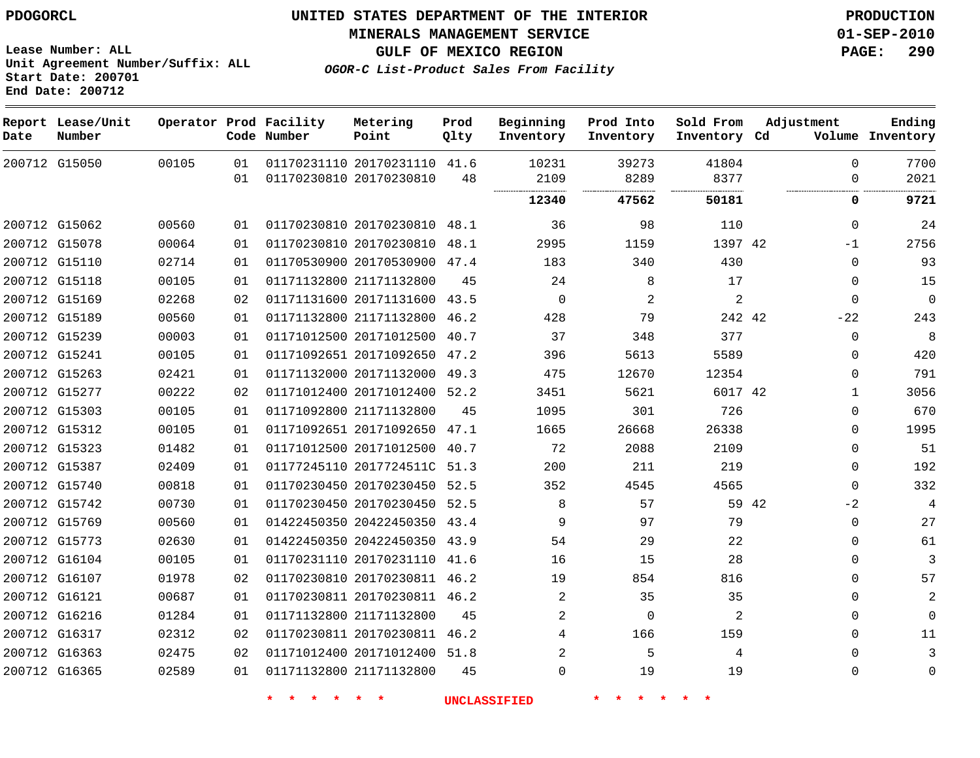**Lease Number: ALL**

**Start Date: 200701 End Date: 200712**

**Unit Agreement Number/Suffix: ALL**

# **UNITED STATES DEPARTMENT OF THE INTERIOR PDOGORCL PRODUCTION**

**MINERALS MANAGEMENT SERVICE 01-SEP-2010**

**GULF OF MEXICO REGION PAGE: 290**

**OGOR-C List-Product Sales From Facility**

**Report Lease/Unit Operator Prod Facility Metering Prod Beginning Prod Into Sold From Adjustment Ending Code Number Point Inventory Inventory Cd Volume Date Number Qlty Inventory Inventory**  $\Omega$  G15050 20170231110 41.6 20170230810  $\Omega$  . . . . . . . . . . . . . . . . . . . . . . . . . . . . . . . . . . . . . . . . . . **47562 50181 0 9721** G15062 20170230810 48.1  $\Omega$  G15078 20170230810 48.1 42 -1 G15110 20170530900 47.4  $\Omega$  G15118 21171132800  $\Omega$  G15169 20171131600 43.5  $\Omega$   $\Omega$  G15189 21171132800 46.2 42  $-2.2$  G15239 20171012500 40.7  $\Omega$  G15241 20171092650 47.2  $\Omega$  G15263 20171132000 49.3  $\cap$  G15277 20171012400 52.2 42 G15303 21171132800  $\Omega$  G15312 20171092650 47.1  $\Omega$  G15323 20171012500 40.7  $\Omega$  G15387 2017724511C 51.3  $\Omega$  G15740 20170230450 52.5  $\Omega$  G15742 20170230450 52.5 42  $-2$  G15769 20422450350 43.4  $\Omega$  G15773 20422450350 43.9  $\Omega$  G16104 20170231110 41.6  $\Omega$  G16107 20170230811 46.2  $\Omega$  G16121 20170230811 46.2  $\Omega$  G16216 21171132800  $\Omega$   $\Omega$  $\Omega$  G16317 20170230811 46.2  $\Omega$  G16363 20171012400 51.8  $\Omega$  G16365 21171132800  $\Omega$  $\Omega$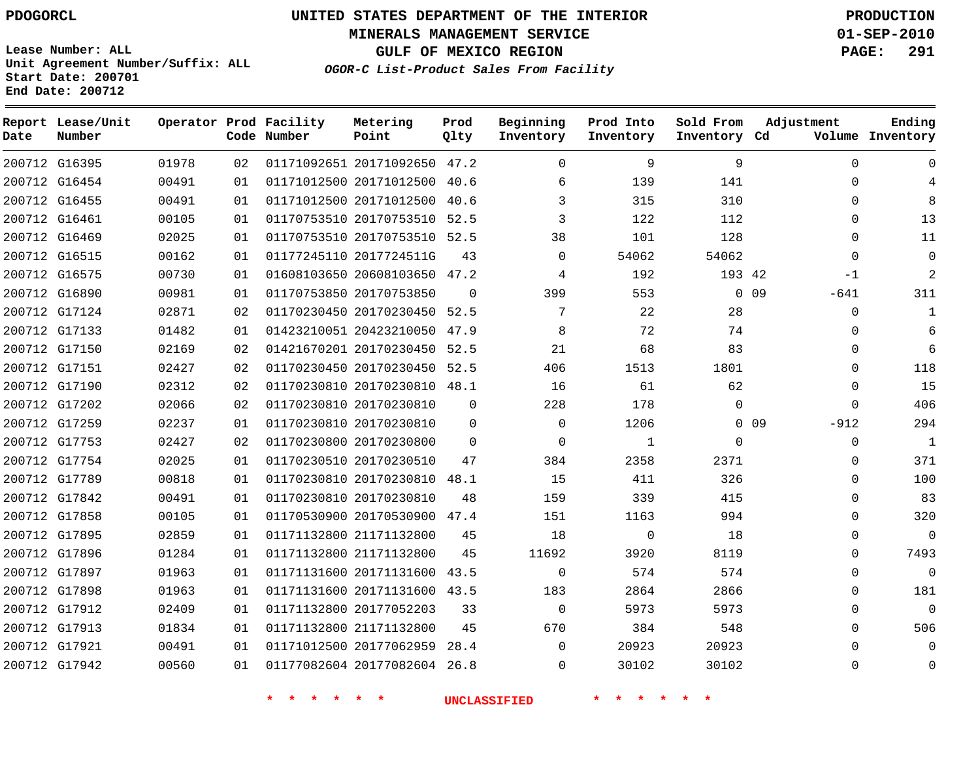**MINERALS MANAGEMENT SERVICE 01-SEP-2010**

**GULF OF MEXICO REGION PAGE: 291**

**Lease Number: ALL Unit Agreement Number/Suffix: ALL Start Date: 200701 End Date: 200712**

**OGOR-C List-Product Sales From Facility**

| Date | Report Lease/Unit<br>Number |       |    | Operator Prod Facility<br>Code Number | Metering<br>Point            | Prod<br>Qlty | Beginning<br>Inventory | Prod Into<br>Inventory | Sold From<br>Inventory Cd | Adjustment                | Ending<br>Volume Inventory |
|------|-----------------------------|-------|----|---------------------------------------|------------------------------|--------------|------------------------|------------------------|---------------------------|---------------------------|----------------------------|
|      | 200712 G16395               | 01978 | 02 |                                       | 01171092651 20171092650 47.2 |              | $\Omega$               | 9                      | 9                         | $\Omega$                  | $\Omega$                   |
|      | 200712 G16454               | 00491 | 01 |                                       | 01171012500 20171012500 40.6 |              | 6                      | 139                    | 141                       | $\Omega$                  | 4                          |
|      | 200712 G16455               | 00491 | 01 |                                       | 01171012500 20171012500      | 40.6         | 3                      | 315                    | 310                       | $\Omega$                  | 8                          |
|      | 200712 G16461               | 00105 | 01 |                                       | 01170753510 20170753510 52.5 |              | 3                      | 122                    | 112                       | $\Omega$                  | 13                         |
|      | 200712 G16469               | 02025 | 01 |                                       | 01170753510 20170753510 52.5 |              | 38                     | 101                    | 128                       | $\Omega$                  | 11                         |
|      | 200712 G16515               | 00162 | 01 |                                       | 01177245110 2017724511G      | 43           | $\Omega$               | 54062                  | 54062                     | $\Omega$                  | $\Omega$                   |
|      | 200712 G16575               | 00730 | 01 |                                       | 01608103650 20608103650 47.2 |              | 4                      | 192                    | 193 42                    | $-1$                      | 2                          |
|      | 200712 G16890               | 00981 | 01 |                                       | 01170753850 20170753850      | $\Omega$     | 399                    | 553                    |                           | 0.09<br>-641              | 311                        |
|      | 200712 G17124               | 02871 | 02 |                                       | 01170230450 20170230450      | 52.5         | 7                      | 22                     | 28                        | $\Omega$                  | $\mathbf{1}$               |
|      | 200712 G17133               | 01482 | 01 |                                       | 01423210051 20423210050 47.9 |              | 8                      | 72                     | 74                        | $\Omega$                  | 6                          |
|      | 200712 G17150               | 02169 | 02 |                                       | 01421670201 20170230450      | 52.5         | 21                     | 68                     | 83                        | $\Omega$                  | 6                          |
|      | 200712 G17151               | 02427 | 02 |                                       | 01170230450 20170230450 52.5 |              | 406                    | 1513                   | 1801                      | $\Omega$                  | 118                        |
|      | 200712 G17190               | 02312 | 02 |                                       | 01170230810 20170230810 48.1 |              | 16                     | 61                     | 62                        | $\Omega$                  | 15                         |
|      | 200712 G17202               | 02066 | 02 |                                       | 01170230810 20170230810      | 0            | 228                    | 178                    | $\mathbf 0$               | $\mathbf 0$               | 406                        |
|      | 200712 G17259               | 02237 | 01 |                                       | 01170230810 20170230810      | $\Omega$     | $\Omega$               | 1206                   |                           | 0 <sub>09</sub><br>$-912$ | 294                        |
|      | 200712 G17753               | 02427 | 02 |                                       | 01170230800 20170230800      | $\Omega$     | $\Omega$               | 1                      | $\mathbf 0$               | $\mathbf 0$               | 1                          |
|      | 200712 G17754               | 02025 | 01 |                                       | 01170230510 20170230510      | 47           | 384                    | 2358                   | 2371                      | $\mathbf 0$               | 371                        |
|      | 200712 G17789               | 00818 | 01 |                                       | 01170230810 20170230810      | 48.1         | 15                     | 411                    | 326                       | $\mathbf 0$               | 100                        |
|      | 200712 G17842               | 00491 | 01 |                                       | 01170230810 20170230810      | 48           | 159                    | 339                    | 415                       | $\Omega$                  | 83                         |
|      | 200712 G17858               | 00105 | 01 |                                       | 01170530900 20170530900      | 47.4         | 151                    | 1163                   | 994                       | $\Omega$                  | 320                        |
|      | 200712 G17895               | 02859 | 01 |                                       | 01171132800 21171132800      | 45           | 18                     | $\mathbf 0$            | 18                        | $\Omega$                  | $\mathbf{0}$               |
|      | 200712 G17896               | 01284 | 01 |                                       | 01171132800 21171132800      | 45           | 11692                  | 3920                   | 8119                      | $\Omega$                  | 7493                       |
|      | 200712 G17897               | 01963 | 01 |                                       | 01171131600 20171131600      | 43.5         | $\mathbf 0$            | 574                    | 574                       | $\Omega$                  | $\mathbf 0$                |
|      | 200712 G17898               | 01963 | 01 |                                       | 01171131600 20171131600 43.5 |              | 183                    | 2864                   | 2866                      | $\Omega$                  | 181                        |
|      | 200712 G17912               | 02409 | 01 |                                       | 01171132800 20177052203      | 33           | $\Omega$               | 5973                   | 5973                      | $\Omega$                  | $\Omega$                   |
|      | 200712 G17913               | 01834 | 01 |                                       | 01171132800 21171132800      | 45           | 670                    | 384                    | 548                       | $\Omega$                  | 506                        |
|      | 200712 G17921               | 00491 | 01 |                                       | 01171012500 20177062959      | 28.4         | $\Omega$               | 20923                  | 20923                     | $\Omega$                  | $\Omega$                   |
|      | 200712 G17942               | 00560 | 01 |                                       | 01177082604 20177082604      | 26.8         | $\Omega$               | 30102                  | 30102                     | $\Omega$                  | $\Omega$                   |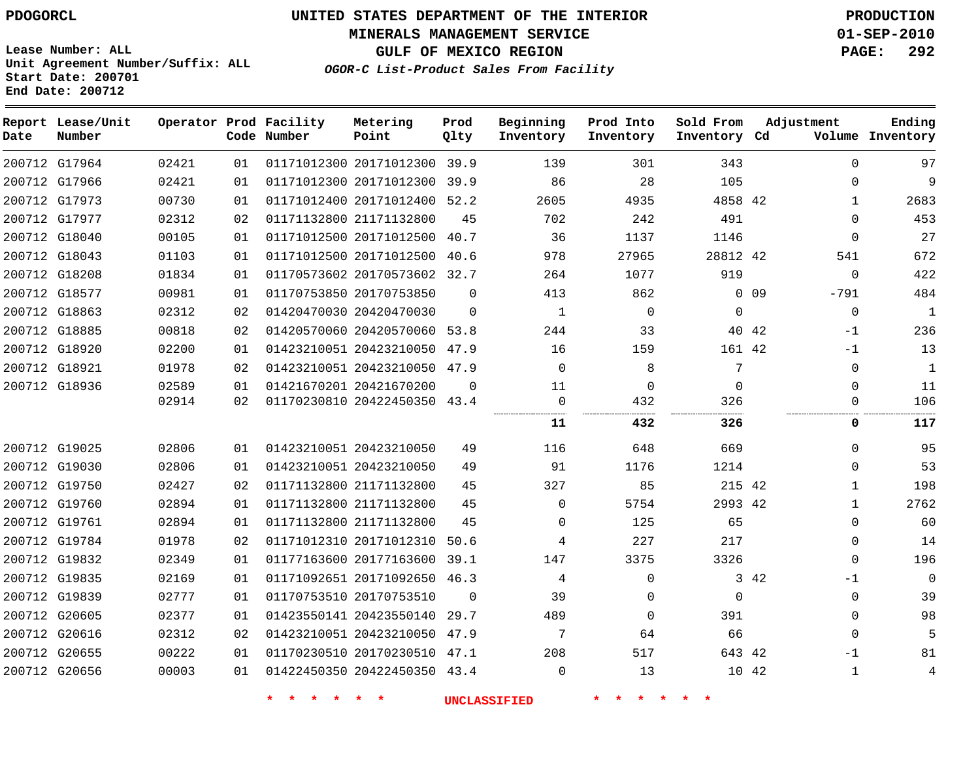**MINERALS MANAGEMENT SERVICE 01-SEP-2010**

**GULF OF MEXICO REGION PAGE: 292**

**Lease Number: ALL Unit Agreement Number/Suffix: ALL Start Date: 200701 End Date: 200712**

|  | OGOR-C List-Product Sales From Facility |  |  |  |
|--|-----------------------------------------|--|--|--|
|--|-----------------------------------------|--|--|--|

| Date | Report Lease/Unit<br>Number |       |    | Operator Prod Facility<br>Code Number | Metering<br>Point            | Prod<br>Qlty | Beginning<br>Inventory | Prod Into<br>Inventory | Sold From<br>Inventory Cd |        | Adjustment  | Ending<br>Volume Inventory |
|------|-----------------------------|-------|----|---------------------------------------|------------------------------|--------------|------------------------|------------------------|---------------------------|--------|-------------|----------------------------|
|      | 200712 G17964               | 02421 | 01 |                                       | 01171012300 20171012300 39.9 |              | 139                    | 301                    | 343                       |        | $\Omega$    | 97                         |
|      | 200712 G17966               | 02421 | 01 |                                       | 01171012300 20171012300 39.9 |              | 86                     | 28                     | 105                       |        | $\Omega$    | 9                          |
|      | 200712 G17973               | 00730 | 01 |                                       | 01171012400 20171012400 52.2 |              | 2605                   | 4935                   | 4858 42                   |        | 1           | 2683                       |
|      | 200712 G17977               | 02312 | 02 |                                       | 01171132800 21171132800      | 45           | 702                    | 242                    | 491                       |        | $\Omega$    | 453                        |
|      | 200712 G18040               | 00105 | 01 |                                       | 01171012500 20171012500      | 40.7         | 36                     | 1137                   | 1146                      |        | $\Omega$    | 27                         |
|      | 200712 G18043               | 01103 | 01 |                                       | 01171012500 20171012500 40.6 |              | 978                    | 27965                  | 28812 42                  |        | 541         | 672                        |
|      | 200712 G18208               | 01834 | 01 |                                       | 01170573602 20170573602 32.7 |              | 264                    | 1077                   | 919                       |        | $\mathbf 0$ | 422                        |
|      | 200712 G18577               | 00981 | 01 |                                       | 01170753850 20170753850      | $\Omega$     | 413                    | 862                    |                           | $0$ 09 | -791        | 484                        |
|      | 200712 G18863               | 02312 | 02 |                                       | 01420470030 20420470030      | $\Omega$     | $\mathbf{1}$           | $\Omega$               | $\Omega$                  |        | $\Omega$    | 1                          |
|      | 200712 G18885               | 00818 | 02 |                                       | 01420570060 20420570060 53.8 |              | 244                    | 33                     |                           | 40 42  | $-1$        | 236                        |
|      | 200712 G18920               | 02200 | 01 |                                       | 01423210051 20423210050 47.9 |              | 16                     | 159                    | 161 42                    |        | $-1$        | 13                         |
|      | 200712 G18921               | 01978 | 02 |                                       | 01423210051 20423210050 47.9 |              | $\mathbf 0$            | 8                      | 7                         |        | $\Omega$    | 1                          |
|      | 200712 G18936               | 02589 | 01 |                                       | 01421670201 20421670200      | $\mathbf 0$  | 11                     | $\mathbf 0$            | $\mathbf 0$               |        | $\mathbf 0$ | 11                         |
|      |                             | 02914 | 02 |                                       | 01170230810 20422450350 43.4 |              | $\mathsf{O}$           | 432                    | 326                       |        | 0           | 106                        |
|      |                             |       |    |                                       |                              |              | 11                     | 432                    | 326                       |        | 0           | 117                        |
|      | 200712 G19025               | 02806 | 01 |                                       | 01423210051 20423210050      | 49           | 116                    | 648                    | 669                       |        | $\Omega$    | 95                         |
|      | 200712 G19030               | 02806 | 01 |                                       | 01423210051 20423210050      | 49           | 91                     | 1176                   | 1214                      |        | $\Omega$    | 53                         |
|      | 200712 G19750               | 02427 | 02 |                                       | 01171132800 21171132800      | 45           | 327                    | 85                     | 215 42                    |        | $\mathbf 1$ | 198                        |
|      | 200712 G19760               | 02894 | 01 |                                       | 01171132800 21171132800      | 45           | $\mathbf 0$            | 5754                   | 2993 42                   |        | 1           | 2762                       |
|      | 200712 G19761               | 02894 | 01 |                                       | 01171132800 21171132800      | 45           | 0                      | 125                    | 65                        |        | $\Omega$    | 60                         |
|      | 200712 G19784               | 01978 | 02 |                                       | 01171012310 20171012310 50.6 |              | 4                      | 227                    | 217                       |        | $\Omega$    | 14                         |
|      | 200712 G19832               | 02349 | 01 |                                       | 01177163600 20177163600      | 39.1         | 147                    | 3375                   | 3326                      |        | $\Omega$    | 196                        |
|      | 200712 G19835               | 02169 | 01 |                                       | 01171092651 20171092650 46.3 |              | 4                      | $\Omega$               |                           | 3 42   | $-1$        | $\overline{0}$             |
|      | 200712 G19839               | 02777 | 01 |                                       | 01170753510 20170753510      | $\Omega$     | 39                     | 0                      | $\Omega$                  |        | $\Omega$    | 39                         |
|      | 200712 G20605               | 02377 | 01 |                                       | 01423550141 20423550140      | 29.7         | 489                    | $\mathbf 0$            | 391                       |        | $\mathbf 0$ | 98                         |
|      | 200712 G20616               | 02312 | 02 |                                       | 01423210051 20423210050 47.9 |              | 7                      | 64                     | 66                        |        | $\Omega$    | 5                          |
|      | 200712 G20655               | 00222 | 01 |                                       | 01170230510 20170230510 47.1 |              | 208                    | 517                    | 643 42                    |        | $-1$        | 81                         |
|      | 200712 G20656               | 00003 | 01 |                                       | 01422450350 20422450350 43.4 |              | $\Omega$               | 13                     | 10 42                     |        | 1           | 4                          |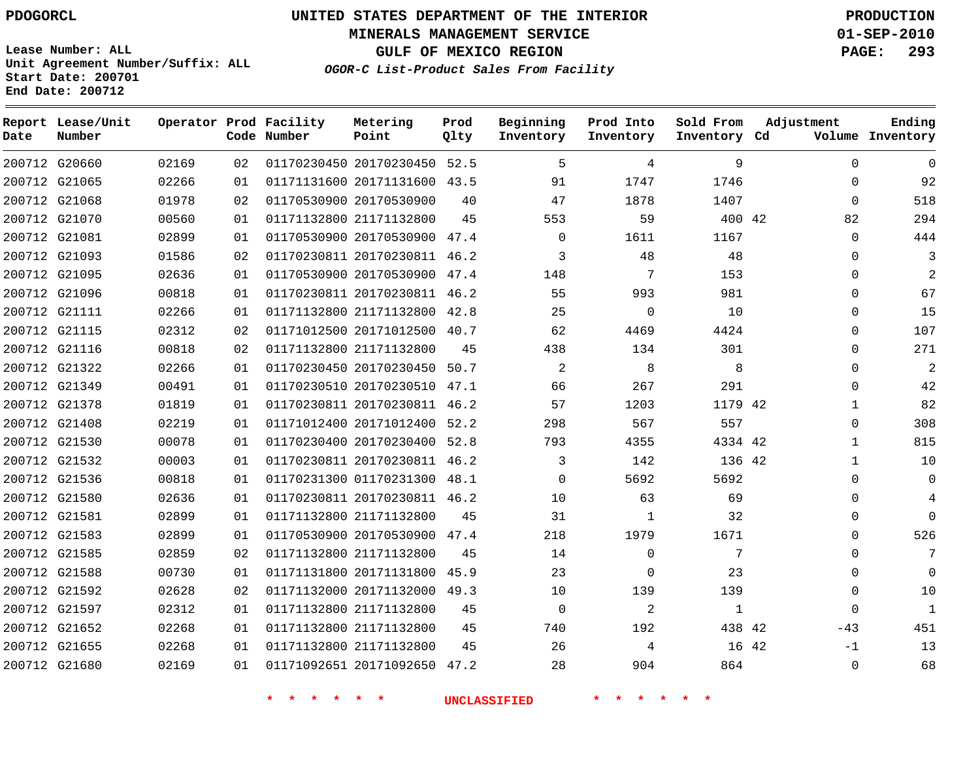**MINERALS MANAGEMENT SERVICE 01-SEP-2010**

**GULF OF MEXICO REGION PAGE: 293**

**Lease Number: ALL Unit Agreement Number/Suffix: ALL Start Date: 200701 End Date: 200712**

**OGOR-C List-Product Sales From Facility**

| Date | Report Lease/Unit<br>Number |       |    | Operator Prod Facility<br>Code Number | Metering<br>Point            | Prod<br>Qlty | Beginning<br>Inventory | Prod Into<br>Inventory | Sold From<br>Inventory Cd | Adjustment |              | Ending<br>Volume Inventory |
|------|-----------------------------|-------|----|---------------------------------------|------------------------------|--------------|------------------------|------------------------|---------------------------|------------|--------------|----------------------------|
|      | 200712 G20660               | 02169 | 02 |                                       | 01170230450 20170230450 52.5 |              | 5                      | 4                      | 9                         |            | $\mathbf 0$  | $\mathbf 0$                |
|      | 200712 G21065               | 02266 | 01 |                                       | 01171131600 20171131600 43.5 |              | 91                     | 1747                   | 1746                      |            | $\Omega$     | 92                         |
|      | 200712 G21068               | 01978 | 02 |                                       | 01170530900 20170530900      | 40           | 47                     | 1878                   | 1407                      |            | $\mathbf 0$  | 518                        |
|      | 200712 G21070               | 00560 | 01 |                                       | 01171132800 21171132800      | 45           | 553                    | 59                     | 400 42                    |            | 82           | 294                        |
|      | 200712 G21081               | 02899 | 01 |                                       | 01170530900 20170530900 47.4 |              | $\mathbf 0$            | 1611                   | 1167                      |            | $\mathbf 0$  | 444                        |
|      | 200712 G21093               | 01586 | 02 |                                       | 01170230811 20170230811 46.2 |              | 3                      | 48                     | 48                        |            | $\Omega$     | 3                          |
|      | 200712 G21095               | 02636 | 01 |                                       | 01170530900 20170530900      | 47.4         | 148                    | 7                      | 153                       |            | 0            | $\overline{2}$             |
|      | 200712 G21096               | 00818 | 01 |                                       | 01170230811 20170230811 46.2 |              | 55                     | 993                    | 981                       |            | $\Omega$     | 67                         |
|      | 200712 G21111               | 02266 | 01 |                                       | 01171132800 21171132800 42.8 |              | 25                     | $\Omega$               | 10                        |            | $\Omega$     | 15                         |
|      | 200712 G21115               | 02312 | 02 |                                       | 01171012500 20171012500 40.7 |              | 62                     | 4469                   | 4424                      |            | $\Omega$     | 107                        |
|      | 200712 G21116               | 00818 | 02 |                                       | 01171132800 21171132800      | 45           | 438                    | 134                    | 301                       |            | $\Omega$     | 271                        |
|      | 200712 G21322               | 02266 | 01 |                                       | 01170230450 20170230450 50.7 |              | 2                      | 8                      | 8                         |            | $\Omega$     | $\overline{2}$             |
|      | 200712 G21349               | 00491 | 01 |                                       | 01170230510 20170230510 47.1 |              | 66                     | 267                    | 291                       |            | $\Omega$     | 42                         |
|      | 200712 G21378               | 01819 | 01 |                                       | 01170230811 20170230811 46.2 |              | 57                     | 1203                   | 1179 42                   |            | 1            | 82                         |
|      | 200712 G21408               | 02219 | 01 |                                       | 01171012400 20171012400      | 52.2         | 298                    | 567                    | 557                       |            | $\Omega$     | 308                        |
|      | 200712 G21530               | 00078 | 01 |                                       | 01170230400 20170230400 52.8 |              | 793                    | 4355                   | 4334 42                   |            | $\mathbf{1}$ | 815                        |
|      | 200712 G21532               | 00003 | 01 |                                       | 01170230811 20170230811      | 46.2         | 3                      | 142                    | 136 42                    |            | $\mathbf 1$  | 10                         |
|      | 200712 G21536               | 00818 | 01 |                                       | 01170231300 01170231300 48.1 |              | $\Omega$               | 5692                   | 5692                      |            | $\Omega$     | $\Omega$                   |
|      | 200712 G21580               | 02636 | 01 |                                       | 01170230811 20170230811 46.2 |              | 10                     | 63                     | 69                        |            | $\Omega$     | $\overline{4}$             |
|      | 200712 G21581               | 02899 | 01 |                                       | 01171132800 21171132800      | 45           | 31                     | 1                      | 32                        |            | 0            | $\Omega$                   |
|      | 200712 G21583               | 02899 | 01 |                                       | 01170530900 20170530900      | 47.4         | 218                    | 1979                   | 1671                      |            | $\Omega$     | 526                        |
|      | 200712 G21585               | 02859 | 02 |                                       | 01171132800 21171132800      | 45           | 14                     | $\mathbf 0$            | 7                         |            | $\Omega$     | 7                          |
|      | 200712 G21588               | 00730 | 01 |                                       | 01171131800 20171131800      | 45.9         | 23                     | $\mathbf 0$            | 23                        |            | 0            | $\Omega$                   |
|      | 200712 G21592               | 02628 | 02 |                                       | 01171132000 20171132000      | 49.3         | 10                     | 139                    | 139                       |            | $\Omega$     | 10                         |
|      | 200712 G21597               | 02312 | 01 |                                       | 01171132800 21171132800      | 45           | $\Omega$               | 2                      | 1                         |            | $\Omega$     | $\mathbf{1}$               |
|      | 200712 G21652               | 02268 | 01 |                                       | 01171132800 21171132800      | 45           | 740                    | 192                    | 438 42                    |            | $-43$        | 451                        |
|      | 200712 G21655               | 02268 | 01 |                                       | 01171132800 21171132800      | 45           | 26                     | 4                      |                           | 16 42      | $-1$         | 13                         |
|      | 200712 G21680               | 02169 | 01 |                                       | 01171092651 20171092650      | 47.2         | 28                     | 904                    | 864                       |            | $\Omega$     | 68                         |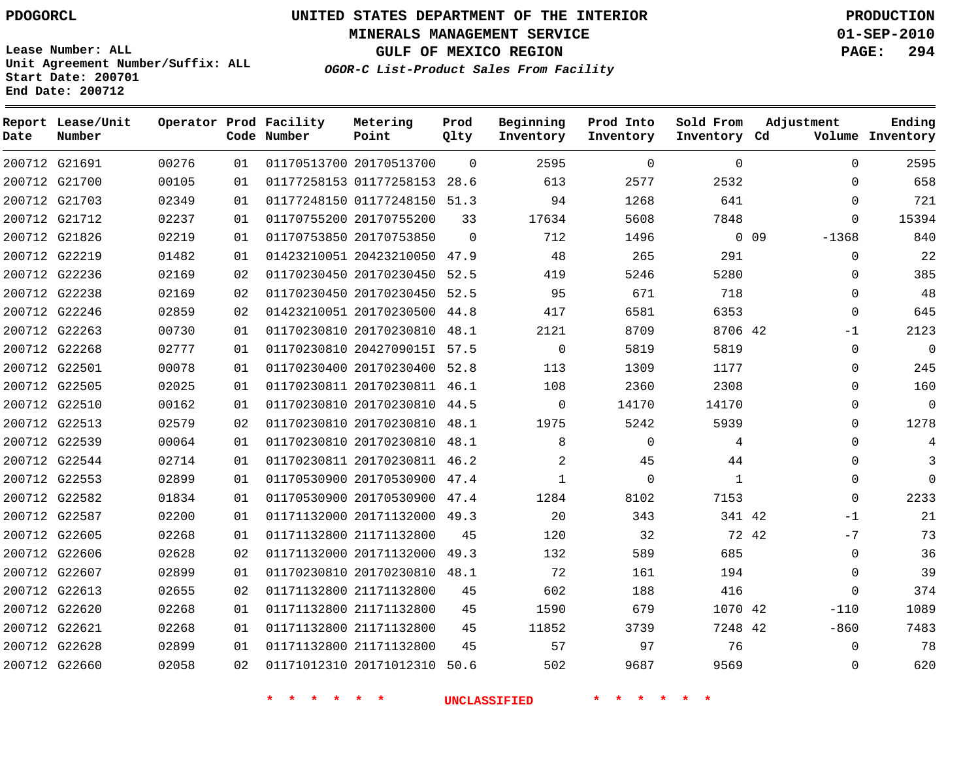**Lease Number: ALL**

**Start Date: 200701 End Date: 200712**

# **UNITED STATES DEPARTMENT OF THE INTERIOR PDOGORCL PRODUCTION**

**MINERALS MANAGEMENT SERVICE 01-SEP-2010**

**GULF OF MEXICO REGION PAGE: 294**

**OGOR-C List-Product Sales From Facility Unit Agreement Number/Suffix: ALL**

| Date | Report Lease/Unit<br>Number |       |    | Operator Prod Facility<br>Code Number | Metering<br>Point            | Prod<br>Qlty | Beginning<br>Inventory | Prod Into<br>Inventory | Sold From<br>Inventory Cd | Adjustment      | Ending<br>Volume Inventory |
|------|-----------------------------|-------|----|---------------------------------------|------------------------------|--------------|------------------------|------------------------|---------------------------|-----------------|----------------------------|
|      | 200712 G21691               | 00276 | 01 |                                       | 01170513700 20170513700      | $\Omega$     | 2595                   | $\Omega$               | $\Omega$                  | $\Omega$        | 2595                       |
|      | 200712 G21700               | 00105 | 01 |                                       | 01177258153 01177258153 28.6 |              | 613                    | 2577                   | 2532                      | $\Omega$        | 658                        |
|      | 200712 G21703               | 02349 | 01 |                                       | 01177248150 01177248150 51.3 |              | 94                     | 1268                   | 641                       | $\Omega$        | 721                        |
|      | 200712 G21712               | 02237 | 01 |                                       | 01170755200 20170755200      | 33           | 17634                  | 5608                   | 7848                      | $\Omega$        | 15394                      |
|      | 200712 G21826               | 02219 | 01 |                                       | 01170753850 20170753850      | $\Omega$     | 712                    | 1496                   |                           | 0.09<br>$-1368$ | 840                        |
|      | 200712 G22219               | 01482 | 01 |                                       | 01423210051 20423210050 47.9 |              | 48                     | 265                    | 291                       | $\Omega$        | 22                         |
|      | 200712 G22236               | 02169 | 02 |                                       | 01170230450 20170230450      | 52.5         | 419                    | 5246                   | 5280                      | $\mathbf{0}$    | 385                        |
|      | 200712 G22238               | 02169 | 02 |                                       | 01170230450 20170230450 52.5 |              | 95                     | 671                    | 718                       | $\Omega$        | 48                         |
|      | 200712 G22246               | 02859 | 02 |                                       | 01423210051 20170230500      | 44.8         | 417                    | 6581                   | 6353                      | $\mathbf 0$     | 645                        |
|      | 200712 G22263               | 00730 | 01 |                                       | 01170230810 20170230810 48.1 |              | 2121                   | 8709                   | 8706 42                   | $-1$            | 2123                       |
|      | 200712 G22268               | 02777 | 01 |                                       | 01170230810 20427090151 57.5 |              | $\mathbf 0$            | 5819                   | 5819                      | $\mathbf 0$     | $\overline{0}$             |
|      | 200712 G22501               | 00078 | 01 |                                       | 01170230400 20170230400 52.8 |              | 113                    | 1309                   | 1177                      | $\Omega$        | 245                        |
|      | 200712 G22505               | 02025 | 01 |                                       | 01170230811 20170230811 46.1 |              | 108                    | 2360                   | 2308                      | $\Omega$        | 160                        |
|      | 200712 G22510               | 00162 | 01 |                                       | 01170230810 20170230810      | 44.5         | $\mathbf 0$            | 14170                  | 14170                     | $\mathbf{0}$    | $\overline{0}$             |
|      | 200712 G22513               | 02579 | 02 |                                       | 01170230810 20170230810      | 48.1         | 1975                   | 5242                   | 5939                      | $\Omega$        | 1278                       |
|      | 200712 G22539               | 00064 | 01 |                                       | 01170230810 20170230810      | 48.1         | 8                      | $\mathbf 0$            | 4                         | $\mathbf{0}$    | 4                          |
|      | 200712 G22544               | 02714 | 01 |                                       | 01170230811 20170230811 46.2 |              | 2                      | 45                     | 44                        | $\Omega$        | 3                          |
|      | 200712 G22553               | 02899 | 01 |                                       | 01170530900 20170530900 47.4 |              | 1                      | $\Omega$               | 1                         | $\Omega$        | $\Omega$                   |
|      | 200712 G22582               | 01834 | 01 |                                       | 01170530900 20170530900 47.4 |              | 1284                   | 8102                   | 7153                      | $\Omega$        | 2233                       |
|      | 200712 G22587               | 02200 | 01 |                                       | 01171132000 20171132000      | 49.3         | 20                     | 343                    | 341 42                    | $-1$            | 21                         |
|      | 200712 G22605               | 02268 | 01 |                                       | 01171132800 21171132800      | 45           | 120                    | 32                     |                           | $-7$<br>72 42   | 73                         |
|      | 200712 G22606               | 02628 | 02 |                                       | 01171132000 20171132000      | 49.3         | 132                    | 589                    | 685                       | $\mathbf 0$     | 36                         |
|      | 200712 G22607               | 02899 | 01 |                                       | 01170230810 20170230810 48.1 |              | 72                     | 161                    | 194                       | $\mathbf 0$     | 39                         |
|      | 200712 G22613               | 02655 | 02 |                                       | 01171132800 21171132800      | 45           | 602                    | 188                    | 416                       | $\Omega$        | 374                        |
|      | 200712 G22620               | 02268 | 01 |                                       | 01171132800 21171132800      | 45           | 1590                   | 679                    | 1070 42                   | $-110$          | 1089                       |
|      | 200712 G22621               | 02268 | 01 |                                       | 01171132800 21171132800      | 45           | 11852                  | 3739                   | 7248 42                   | $-860$          | 7483                       |
|      | 200712 G22628               | 02899 | 01 |                                       | 01171132800 21171132800      | 45           | 57                     | 97                     | 76                        | $\Omega$        | 78                         |
|      | 200712 G22660               | 02058 | 02 |                                       | 01171012310 20171012310      | 50.6         | 502                    | 9687                   | 9569                      | $\Omega$        | 620                        |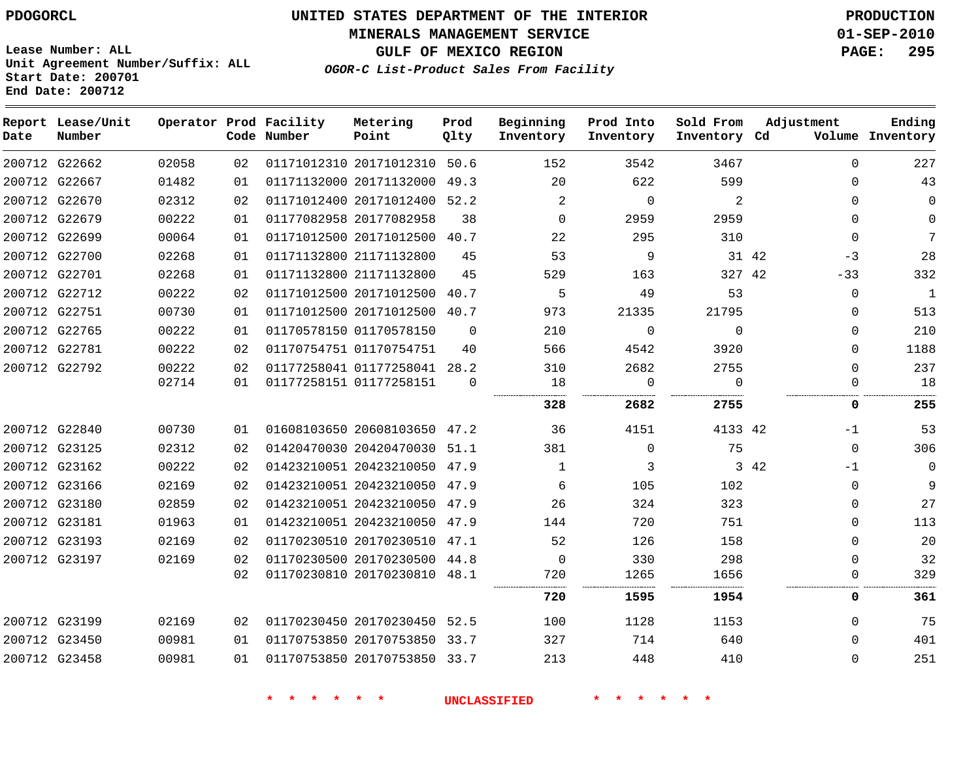**MINERALS MANAGEMENT SERVICE 01-SEP-2010**

**GULF OF MEXICO REGION PAGE: 295**

**Lease Number: ALL Unit Agreement Number/Suffix: ALL Start Date: 200701 End Date: 200712**

**OGOR-C List-Product Sales From Facility**

| Date          | Report Lease/Unit<br>Number |       |    | Operator Prod Facility<br>Code Number | Metering<br>Point            | Prod<br>Qlty | Beginning<br>Inventory | Prod Into<br>Inventory | Sold From<br>Inventory Cd | Adjustment    | Ending<br>Volume Inventory |
|---------------|-----------------------------|-------|----|---------------------------------------|------------------------------|--------------|------------------------|------------------------|---------------------------|---------------|----------------------------|
|               | 200712 G22662               | 02058 | 02 |                                       | 01171012310 20171012310 50.6 |              | 152                    | 3542                   | 3467                      | $\Omega$      | 227                        |
|               | 200712 G22667               | 01482 | 01 |                                       | 01171132000 20171132000      | 49.3         | 20                     | 622                    | 599                       | $\Omega$      | 43                         |
|               | 200712 G22670               | 02312 | 02 |                                       | 01171012400 20171012400 52.2 |              | $\overline{2}$         | $\Omega$               | 2                         | $\Omega$      | $\Omega$                   |
|               | 200712 G22679               | 00222 | 01 |                                       | 01177082958 20177082958      | 38           | $\Omega$               | 2959                   | 2959                      | $\Omega$      | $\Omega$                   |
|               | 200712 G22699               | 00064 | 01 |                                       | 01171012500 20171012500 40.7 |              | 22                     | 295                    | 310                       | $\Omega$      | 7                          |
|               | 200712 G22700               | 02268 | 01 |                                       | 01171132800 21171132800      | 45           | 53                     | 9                      |                           | 31 42<br>$-3$ | 28                         |
|               | 200712 G22701               | 02268 | 01 |                                       | 01171132800 21171132800      | 45           | 529                    | 163                    | 327 42                    | $-33$         | 332                        |
|               | 200712 G22712               | 00222 | 02 |                                       | 01171012500 20171012500      | 40.7         | 5                      | 49                     | 53                        | 0             | $\mathbf{1}$               |
| 200712 G22751 |                             | 00730 | 01 |                                       | 01171012500 20171012500 40.7 |              | 973                    | 21335                  | 21795                     | $\Omega$      | 513                        |
|               | 200712 G22765               | 00222 | 01 |                                       | 01170578150 01170578150      | $\Omega$     | 210                    | $\mathbf 0$            | $\Omega$                  | $\mathbf 0$   | 210                        |
|               | 200712 G22781               | 00222 | 02 |                                       | 01170754751 01170754751      | 40           | 566                    | 4542                   | 3920                      | $\Omega$      | 1188                       |
|               | 200712 G22792               | 00222 | 02 |                                       | 01177258041 01177258041 28.2 |              | 310                    | 2682                   | 2755                      | $\Omega$      | 237                        |
|               |                             | 02714 | 01 |                                       | 01177258151 01177258151      | $\Omega$     | 18                     | $\mathsf{O}$           | $\Omega$                  | $\mathbf 0$   | 18                         |
|               |                             |       |    |                                       |                              |              | 328                    | 2682                   | 2755                      | 0             | 255                        |
|               | 200712 G22840               | 00730 | 01 |                                       | 01608103650 20608103650 47.2 |              | 36                     | 4151                   | 4133 42                   | $-1$          | 53                         |
|               | 200712 G23125               | 02312 | 02 |                                       | 01420470030 20420470030 51.1 |              | 381                    | 0                      | 75                        | $\mathbf 0$   | 306                        |
|               | 200712 G23162               | 00222 | 02 |                                       | 01423210051 20423210050 47.9 |              | 1                      | 3                      |                           | 3 42<br>$-1$  | $\mathbf 0$                |
|               | 200712 G23166               | 02169 | 02 |                                       | 01423210051 20423210050 47.9 |              | 6                      | 105                    | 102                       | $\mathbf 0$   | 9                          |
|               | 200712 G23180               | 02859 | 02 |                                       | 01423210051 20423210050 47.9 |              | 26                     | 324                    | 323                       | 0             | 27                         |
|               | 200712 G23181               | 01963 | 01 |                                       | 01423210051 20423210050 47.9 |              | 144                    | 720                    | 751                       | $\mathbf 0$   | 113                        |
|               | 200712 G23193               | 02169 | 02 |                                       | 01170230510 20170230510 47.1 |              | 52                     | 126                    | 158                       | $\mathbf 0$   | 20                         |
|               | 200712 G23197               | 02169 | 02 |                                       | 01170230500 20170230500 44.8 |              | $\mathbf 0$            | 330                    | 298                       | $\Omega$      | 32                         |
|               |                             |       | 02 |                                       | 01170230810 20170230810 48.1 |              | 720                    | 1265                   | 1656                      | 0             | 329                        |
|               |                             |       |    |                                       |                              |              | 720                    | 1595                   | 1954                      | 0             | 361                        |
|               | 200712 G23199               | 02169 | 02 |                                       | 01170230450 20170230450 52.5 |              | 100                    | 1128                   | 1153                      | $\mathbf 0$   | 75                         |
|               | 200712 G23450               | 00981 | 01 |                                       | 01170753850 20170753850 33.7 |              | 327                    | 714                    | 640                       | 0             | 401                        |
|               | 200712 G23458               | 00981 | 01 |                                       | 01170753850 20170753850 33.7 |              | 213                    | 448                    | 410                       | $\mathbf 0$   | 251                        |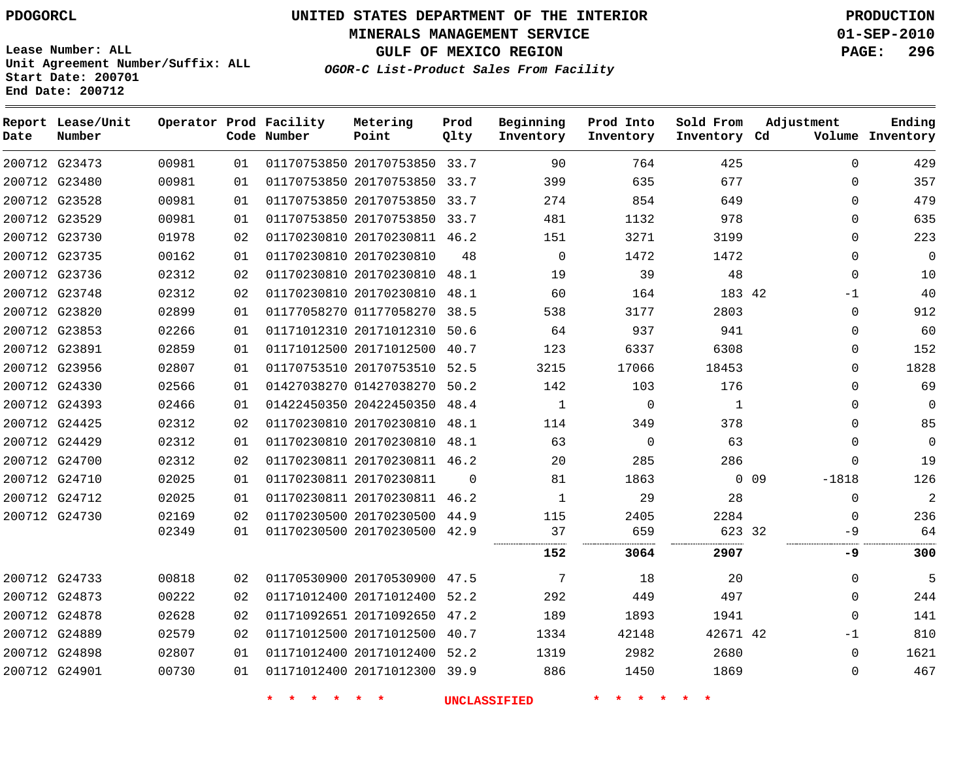**MINERALS MANAGEMENT SERVICE 01-SEP-2010**

**GULF OF MEXICO REGION PAGE: 296**

**Lease Number: ALL Unit Agreement Number/Suffix: ALL Start Date: 200701 End Date: 200712**

**OGOR-C List-Product Sales From Facility**

| Date          | Report Lease/Unit<br>Number |       |                 | Operator Prod Facility<br>Code Number | Metering<br>Point            | Prod<br>Qlty | Beginning<br>Inventory | Prod Into<br>Inventory | Sold From<br>Inventory Cd | Adjustment            | Ending<br>Volume Inventory |
|---------------|-----------------------------|-------|-----------------|---------------------------------------|------------------------------|--------------|------------------------|------------------------|---------------------------|-----------------------|----------------------------|
|               | 200712 G23473               | 00981 | 01              |                                       | 01170753850 20170753850 33.7 |              | 90                     | 764                    | 425                       | 0                     | 429                        |
|               | 200712 G23480               | 00981 | 01              |                                       | 01170753850 20170753850 33.7 |              | 399                    | 635                    | 677                       | $\Omega$              | 357                        |
|               | 200712 G23528               | 00981 | 01              |                                       | 01170753850 20170753850 33.7 |              | 274                    | 854                    | 649                       | 0                     | 479                        |
|               | 200712 G23529               | 00981 | 01              |                                       | 01170753850 20170753850 33.7 |              | 481                    | 1132                   | 978                       | 0                     | 635                        |
|               | 200712 G23730               | 01978 | 02              |                                       | 01170230810 20170230811 46.2 |              | 151                    | 3271                   | 3199                      | 0                     | 223                        |
|               | 200712 G23735               | 00162 | 01              |                                       | 01170230810 20170230810      | 48           | $\mathbf 0$            | 1472                   | 1472                      | $\Omega$              | $\overline{0}$             |
|               | 200712 G23736               | 02312 | 02              |                                       | 01170230810 20170230810 48.1 |              | 19                     | 39                     | 48                        | $\Omega$              | 10                         |
| 200712 G23748 |                             | 02312 | 02              |                                       | 01170230810 20170230810 48.1 |              | 60                     | 164                    | 183 42                    | $-1$                  | 40                         |
|               | 200712 G23820               | 02899 | 01              |                                       | 01177058270 01177058270 38.5 |              | 538                    | 3177                   | 2803                      | 0                     | 912                        |
|               | 200712 G23853               | 02266 | 01              |                                       | 01171012310 20171012310      | 50.6         | 64                     | 937                    | 941                       | $\Omega$              | 60                         |
|               | 200712 G23891               | 02859 | 01              |                                       | 01171012500 20171012500 40.7 |              | 123                    | 6337                   | 6308                      | 0                     | 152                        |
|               | 200712 G23956               | 02807 | 01              |                                       | 01170753510 20170753510 52.5 |              | 3215                   | 17066                  | 18453                     | 0                     | 1828                       |
|               | 200712 G24330               | 02566 | 01              |                                       | 01427038270 01427038270 50.2 |              | 142                    | 103                    | 176                       | 0                     | 69                         |
|               | 200712 G24393               | 02466 | 01              |                                       | 01422450350 20422450350 48.4 |              | $\mathbf{1}$           | $\overline{0}$         | $\mathbf{1}$              | 0                     | $\overline{0}$             |
|               | 200712 G24425               | 02312 | 02              |                                       | 01170230810 20170230810 48.1 |              | 114                    | 349                    | 378                       | $\Omega$              | 85                         |
|               | 200712 G24429               | 02312 | 01              |                                       | 01170230810 20170230810 48.1 |              | 63                     | $\Omega$               | 63                        | $\Omega$              | $\Omega$                   |
| 200712 G24700 |                             | 02312 | 02 <sub>o</sub> |                                       | 01170230811 20170230811 46.2 |              | 20                     | 285                    | 286                       | $\Omega$              | 19                         |
| 200712 G24710 |                             | 02025 | 01              |                                       | 01170230811 20170230811      | $\Omega$     | 81                     | 1863                   |                           | $0\quad09$<br>$-1818$ | 126                        |
|               | 200712 G24712               | 02025 | 01              |                                       | 01170230811 20170230811 46.2 |              | $\mathbf{1}$           | 29                     | 28                        | 0                     | $\overline{2}$             |
|               | 200712 G24730               | 02169 | 02              |                                       | 01170230500 20170230500 44.9 |              | 115                    | 2405                   | 2284                      | $\mathbf 0$           | 236                        |
|               |                             | 02349 | 01              |                                       | 01170230500 20170230500 42.9 |              | 37                     | 659                    | 623 32                    | -9                    | 64                         |
|               |                             |       |                 |                                       |                              |              | 152                    | 3064                   | 2907                      | -9                    | 300                        |
| 200712 G24733 |                             | 00818 | 02              |                                       | 01170530900 20170530900 47.5 |              | 7                      | 18                     | 20                        | $\Omega$              | 5                          |
|               | 200712 G24873               | 00222 | 02              |                                       | 01171012400 20171012400 52.2 |              | 292                    | 449                    | 497                       | $\Omega$              | 244                        |
|               | 200712 G24878               | 02628 | 02              |                                       | 01171092651 20171092650 47.2 |              | 189                    | 1893                   | 1941                      | $\Omega$              | 141                        |
|               | 200712 G24889               | 02579 | 02              |                                       | 01171012500 20171012500 40.7 |              | 1334                   | 42148                  | 42671 42                  | $-1$                  | 810                        |
|               | 200712 G24898               | 02807 | 01              |                                       | 01171012400 20171012400 52.2 |              | 1319                   | 2982                   | 2680                      | 0                     | 1621                       |
| 200712 G24901 |                             | 00730 | 01              |                                       | 01171012400 20171012300 39.9 |              | 886                    | 1450                   | 1869                      | 0                     | 467                        |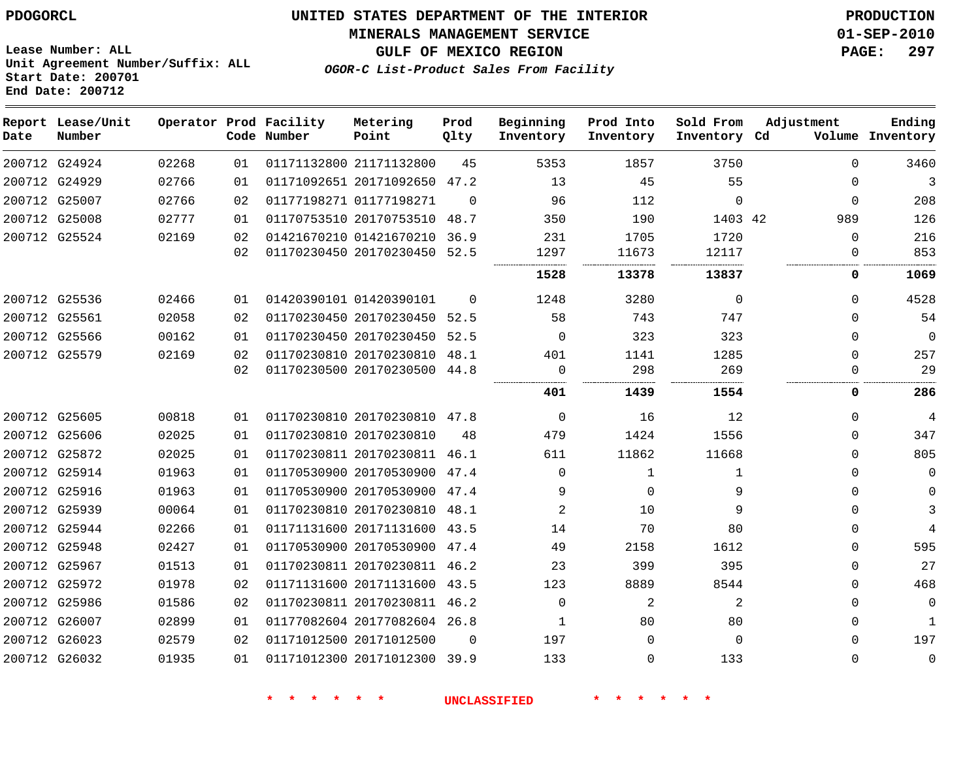## **MINERALS MANAGEMENT SERVICE 01-SEP-2010**

**GULF OF MEXICO REGION PAGE: 297**

**Lease Number: ALL Unit Agreement Number/Suffix: ALL Start Date: 200701 End Date: 200712**

**OGOR-C List-Product Sales From Facility**

| Date | Report Lease/Unit<br>Number |       |    | Operator Prod Facility<br>Code Number | Metering<br>Point            | Prod<br>Qlty | Beginning<br>Inventory | Prod Into<br>Inventory | Sold From<br>Inventory Cd | Adjustment | Ending<br>Volume Inventory |
|------|-----------------------------|-------|----|---------------------------------------|------------------------------|--------------|------------------------|------------------------|---------------------------|------------|----------------------------|
|      | 200712 G24924               | 02268 | 01 |                                       | 01171132800 21171132800      | 45           | 5353                   | 1857                   | 3750                      | $\Omega$   | 3460                       |
|      | 200712 G24929               | 02766 | 01 |                                       | 01171092651 20171092650 47.2 |              | 13                     | 45                     | 55                        | $\Omega$   | 3                          |
|      | 200712 G25007               | 02766 | 02 |                                       | 01177198271 01177198271      | $\Omega$     | 96                     | 112                    | $\Omega$                  | $\Omega$   | 208                        |
|      | 200712 G25008               | 02777 | 01 |                                       | 01170753510 20170753510 48.7 |              | 350                    | 190                    | 1403 42                   | 989        | 126                        |
|      | 200712 G25524               | 02169 | 02 |                                       | 01421670210 01421670210      | 36.9         | 231                    | 1705                   | 1720                      | $\Omega$   | 216                        |
|      |                             |       | 02 |                                       | 01170230450 20170230450 52.5 |              | 1297                   | 11673                  | 12117                     | $\Omega$   | 853                        |
|      |                             |       |    |                                       |                              |              | 1528                   | 13378                  | 13837                     | 0          | 1069                       |
|      | 200712 G25536               | 02466 | 01 |                                       | 01420390101 01420390101      | $\Omega$     | 1248                   | 3280                   | 0                         | $\Omega$   | 4528                       |
|      | 200712 G25561               | 02058 | 02 |                                       | 01170230450 20170230450 52.5 |              | 58                     | 743                    | 747                       | $\Omega$   | 54                         |
|      | 200712 G25566               | 00162 | 01 |                                       | 01170230450 20170230450 52.5 |              | $\Omega$               | 323                    | 323                       | $\Omega$   | $\mathbf 0$                |
|      | 200712 G25579               | 02169 | 02 |                                       | 01170230810 20170230810      | 48.1         | 401                    | 1141                   | 1285                      | $\Omega$   | 257                        |
|      |                             |       | 02 |                                       | 01170230500 20170230500 44.8 |              | 0                      | 298                    | 269                       | $\Omega$   | 29                         |
|      |                             |       |    |                                       |                              |              | 401                    | 1439                   | 1554                      | 0          | 286                        |
|      | 200712 G25605               | 00818 | 01 |                                       | 01170230810 20170230810 47.8 |              | $\Omega$               | 16                     | 12                        | $\Omega$   | 4                          |
|      | 200712 G25606               | 02025 | 01 |                                       | 01170230810 20170230810      | 48           | 479                    | 1424                   | 1556                      | $\Omega$   | 347                        |
|      | 200712 G25872               | 02025 | 01 |                                       | 01170230811 20170230811 46.1 |              | 611                    | 11862                  | 11668                     | $\Omega$   | 805                        |
|      | 200712 G25914               | 01963 | 01 |                                       | 01170530900 20170530900 47.4 |              | $\Omega$               | $\mathbf{1}$           | $\mathbf{1}$              | $\Omega$   | $\Omega$                   |
|      | 200712 G25916               | 01963 | 01 |                                       | 01170530900 20170530900 47.4 |              | 9                      | 0                      | 9                         | $\Omega$   | $\mathbf 0$                |
|      | 200712 G25939               | 00064 | 01 |                                       | 01170230810 20170230810      | 48.1         | $\overline{2}$         | 10                     | 9                         | $\Omega$   | 3                          |
|      | 200712 G25944               | 02266 | 01 |                                       | 01171131600 20171131600 43.5 |              | 14                     | 70                     | 80                        | $\Omega$   | 4                          |
|      | 200712 G25948               | 02427 | 01 |                                       | 01170530900 20170530900 47.4 |              | 49                     | 2158                   | 1612                      | 0          | 595                        |
|      | 200712 G25967               | 01513 | 01 |                                       | 01170230811 20170230811 46.2 |              | 23                     | 399                    | 395                       | $\Omega$   | 27                         |
|      | 200712 G25972               | 01978 | 02 |                                       | 01171131600 20171131600      | 43.5         | 123                    | 8889                   | 8544                      | $\Omega$   | 468                        |
|      | 200712 G25986               | 01586 | 02 |                                       | 01170230811 20170230811 46.2 |              | $\Omega$               | 2                      | 2                         | $\Omega$   | $\mathbf 0$                |
|      | 200712 G26007               | 02899 | 01 |                                       | 01177082604 20177082604 26.8 |              | 1                      | 80                     | 80                        | $\Omega$   | 1                          |
|      | 200712 G26023               | 02579 | 02 |                                       | 01171012500 20171012500      | $\Omega$     | 197                    | $\Omega$               | $\Omega$                  | $\Omega$   | 197                        |
|      | 200712 G26032               | 01935 | 01 |                                       | 01171012300 20171012300 39.9 |              | 133                    | $\Omega$               | 133                       | $\Omega$   | $\mathbf 0$                |